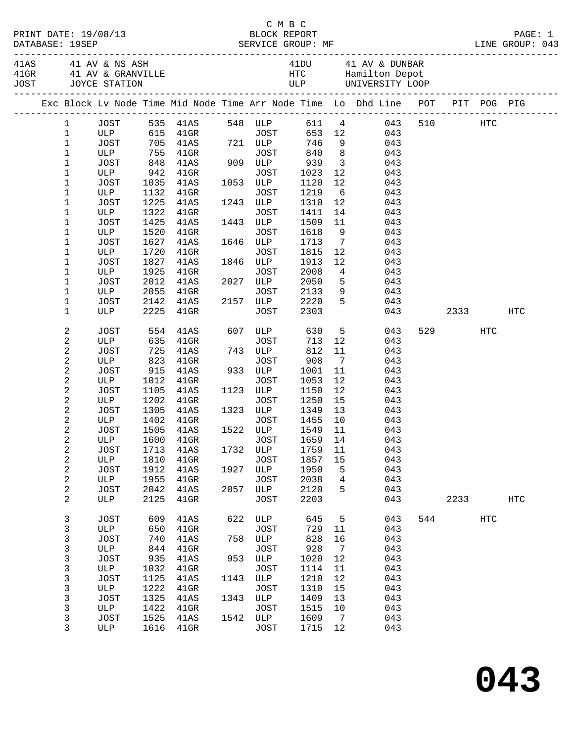|  |                            |                      |              |                                                                                |      | C M B C          |      |                 |                     |            |         |      |     |
|--|----------------------------|----------------------|--------------|--------------------------------------------------------------------------------|------|------------------|------|-----------------|---------------------|------------|---------|------|-----|
|  |                            | PRINT DATE: 19/08/13 |              |                                                                                |      |                  |      |                 |                     |            |         |      |     |
|  | DATABASE: 19SEP            |                      |              |                                                                                |      |                  |      |                 |                     |            |         |      |     |
|  |                            |                      |              |                                                                                |      |                  |      |                 |                     |            |         |      |     |
|  |                            |                      |              |                                                                                |      |                  |      |                 |                     |            |         |      |     |
|  |                            |                      |              |                                                                                |      |                  |      |                 |                     |            |         |      |     |
|  |                            |                      |              |                                                                                |      |                  |      |                 |                     |            |         |      |     |
|  |                            |                      |              | Exc Block Lv Node Time Mid Node Time Arr Node Time Lo Dhd Line POT PIT POG PIG |      |                  |      |                 |                     |            |         |      |     |
|  |                            |                      |              |                                                                                |      |                  |      |                 |                     |            |         |      |     |
|  | 1                          |                      |              | JOST 535 41AS 548 ULP 611 4 043                                                |      |                  |      |                 |                     |            | 510 HTC |      |     |
|  | $\mathbf{1}$               |                      |              | ULP 615 41GR JOST 653 12 043<br>JOST 705 41AS 721 ULP 746 9 043                |      |                  |      |                 |                     |            |         |      |     |
|  | $\mathbf 1$                |                      |              | 755 41GR                                                                       |      | JOST 840 8       |      |                 |                     |            |         |      |     |
|  | $\mathbf 1$                | ULP                  |              |                                                                                |      |                  |      |                 |                     | 043        |         |      |     |
|  | $\mathbf 1$                | JOST                 | 848          | 41AS                                                                           |      | 909 ULP 939      |      |                 | 3 <sup>1</sup>      | 043        |         |      |     |
|  | 1                          | ULP                  | 942          | $41$ GR                                                                        |      | JOST             | 1023 |                 | $\frac{12}{12}$     | 043        |         |      |     |
|  | $\mathbf 1$                | JOST                 | 1035         | 41AS                                                                           |      | 1053 ULP         | 1120 | 12              |                     | 043        |         |      |     |
|  | 1                          | ULP                  | 1132         | $41$ GR                                                                        |      | JOST             | 1219 | $6\overline{6}$ |                     | 043        |         |      |     |
|  | 1                          | JOST                 | 1225         | 41AS                                                                           |      | 1243 ULP         | 1310 | 12              |                     | 043        |         |      |     |
|  | 1                          | ULP                  | 1322         | $41$ GR                                                                        |      | JOST             | 1411 | 14              |                     | 043        |         |      |     |
|  | $\mathbf 1$                | JOST                 | 1425         | 41AS                                                                           |      | 1443 ULP         | 1509 | 11              |                     | 043        |         |      |     |
|  | 1                          | ULP                  | 1520         | 41GR                                                                           |      | JOST             | 1618 |                 | 9                   | 043        |         |      |     |
|  | $\mathbf 1$                | <b>JOST</b>          | 1627         | 41AS                                                                           |      | 1646 ULP         | 1713 | $\overline{7}$  |                     | 043        |         |      |     |
|  | 1                          | ULP                  | 1720         | $41$ GR                                                                        |      | JOST             | 1815 | 12              |                     | 043        |         |      |     |
|  | $\mathbf 1$                | JOST                 | 1827         | 41AS                                                                           |      | 1846 ULP         | 1913 | 12              |                     | 043        |         |      |     |
|  | 1                          | ULP                  | 1925         | $41$ GR                                                                        |      | JOST             | 2008 | $\overline{4}$  |                     | 043        |         |      |     |
|  | 1                          | <b>JOST</b>          | 2012         | 41AS                                                                           |      | 2027 ULP         | 2050 | 5               |                     | 043        |         |      |     |
|  | 1                          | ULP                  | 2055         | $41$ GR                                                                        |      | JOST             | 2133 |                 | 9<br>5 <sub>5</sub> | 043        |         |      |     |
|  | $\mathbf 1$<br>$\mathbf 1$ | JOST<br>ULP          | 2142<br>2225 | 41AS<br>$41$ GR                                                                |      | 2157 ULP<br>JOST | 2220 |                 |                     | 043<br>043 |         | 2333 | HTC |
|  |                            |                      |              |                                                                                |      |                  | 2303 |                 |                     |            |         |      |     |
|  | 2                          | JOST                 | 554          | 41AS                                                                           |      | 607 ULP 630      |      |                 | 5 <sub>1</sub>      | 043        | 529     | HTC  |     |
|  | $\sqrt{2}$                 | ULP                  | 635          | $41$ GR                                                                        |      | JOST             | 713  | 12              |                     | 043        |         |      |     |
|  | $\overline{\mathbf{c}}$    | JOST                 | 725          | 41AS                                                                           |      | 743 ULP          | 812  | 11              |                     | 043        |         |      |     |
|  | $\sqrt{2}$                 | ULP                  | 823          | $41$ GR                                                                        |      | JOST             | 908  | $\overline{7}$  |                     | 043        |         |      |     |
|  | 2                          | JOST                 | 915          | 41AS                                                                           |      | 933 ULP          | 1001 | 11              |                     | 043        |         |      |     |
|  | 2                          | ULP                  | 1012         | $41$ GR                                                                        |      | JOST             | 1053 | 12              |                     | 043        |         |      |     |
|  | 2                          | JOST                 | 1105         | 41AS                                                                           |      | 1123 ULP         | 1150 | 12              |                     | 043        |         |      |     |
|  | $\sqrt{2}$                 | ULP                  | 1202         | $41$ GR                                                                        |      | JOST             | 1250 | 15              |                     | 043        |         |      |     |
|  | 2                          | JOST                 | 1305         | 41AS                                                                           |      | 1323 ULP         | 1349 | 13              |                     | 043        |         |      |     |
|  | 2                          | ULP                  | 1402         | $41$ GR                                                                        |      | JOST             | 1455 | 10              |                     | 043        |         |      |     |
|  | 2                          | JOST                 | 1505         | 41AS                                                                           |      | 1522 ULP         | 1549 | 11              |                     | 043        |         |      |     |
|  | 2                          |                      |              | ULP 1600 41GR JOST 1659 14 043                                                 |      |                  |      |                 |                     |            |         |      |     |
|  | 2                          | JOST                 | 1713         | 41AS                                                                           |      | 1732 ULP         | 1759 | 11              |                     | 043        |         |      |     |
|  | 2                          | ULP                  | 1810         | $41$ GR                                                                        |      | JOST             | 1857 | 15              |                     | 043        |         |      |     |
|  | $\sqrt{2}$                 | JOST                 | 1912         | 41AS                                                                           |      | 1927 ULP         | 1950 | 5               |                     | 043        |         |      |     |
|  | $\sqrt{2}$                 | ULP                  | 1955         | $41$ GR                                                                        |      | JOST             | 2038 | 4               |                     | 043        |         |      |     |
|  | 2                          | JOST                 | 2042         | 41AS                                                                           |      | 2057 ULP         | 2120 | 5               |                     | 043        |         |      |     |
|  | $\overline{a}$             | ULP                  | 2125         | $41$ GR                                                                        |      | JOST             | 2203 |                 |                     | 043        | 2233    |      | HTC |
|  | 3                          | <b>JOST</b>          | 609          | 41AS                                                                           | 622  | ULP              | 645  | 5               |                     | 043        | 544     | HTC  |     |
|  | 3                          | ULP                  |              | 650 41GR                                                                       |      | JOST             | 729  | 11              |                     | 043        |         |      |     |
|  | $\mathsf{3}$               | JOST                 | 740          | 41AS                                                                           |      | 758 ULP          | 828  | 16              |                     | 043        |         |      |     |
|  | $\mathsf 3$                | ULP                  | 844          | $41$ GR                                                                        |      | JOST             | 928  | $\overline{7}$  |                     | 043        |         |      |     |
|  | 3                          | JOST                 | 935          | 41AS                                                                           | 953  | ULP              | 1020 | 12              |                     | 043        |         |      |     |
|  | $\mathsf 3$                | ULP                  | 1032         | $41$ GR                                                                        |      | JOST             | 1114 | 11              |                     | 043        |         |      |     |
|  | $\mathsf{3}$               | <b>JOST</b>          | 1125         | 41AS                                                                           | 1143 | ULP              | 1210 | 12              |                     | 043        |         |      |     |
|  | $\mathsf{3}$               | ULP                  | 1222         | $41$ GR                                                                        |      | JOST             | 1310 | 15              |                     | 043        |         |      |     |
|  | 3                          | JOST                 | 1325         | 41AS                                                                           | 1343 | ULP              | 1409 | 13              |                     | 043        |         |      |     |
|  | $\mathsf{3}$               | ULP                  | 1422         | $41$ GR                                                                        |      | JOST             | 1515 | 10              |                     | 043        |         |      |     |
|  | 3                          | JOST                 | 1525         | 41AS                                                                           | 1542 | ULP              | 1609 | $\overline{7}$  |                     | 043        |         |      |     |
|  | 3                          | ULP                  | 1616         | $41$ GR                                                                        |      | JOST             | 1715 | 12              |                     | 043        |         |      |     |
|  |                            |                      |              |                                                                                |      |                  |      |                 |                     |            |         |      |     |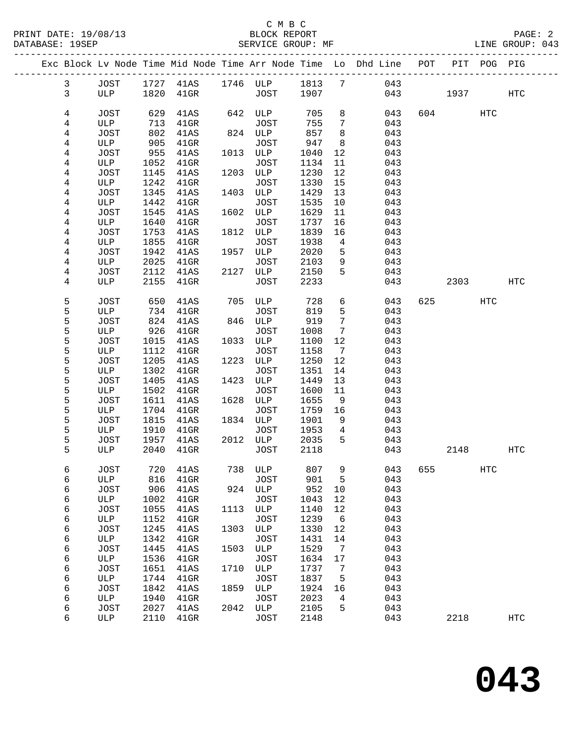|  |              |             |              | Exc Block Lv Node Time Mid Node Time Arr Node Time Lo Dhd Line POT |      |                    |              |                              |            |     | PIT       | POG PIG |                   |
|--|--------------|-------------|--------------|--------------------------------------------------------------------|------|--------------------|--------------|------------------------------|------------|-----|-----------|---------|-------------------|
|  | $\mathbf{3}$ | JOST        |              | 1727 41AS 1746 ULP 1813 7 043                                      |      |                    |              |                              |            |     |           |         |                   |
|  | $\mathbf{3}$ | ULP         | 1820         | $41\mathrm{GR}$                                                    |      | JOST               | 1907         |                              |            | 043 | 1937      |         | HTC               |
|  |              |             |              |                                                                    |      |                    |              |                              |            |     |           |         |                   |
|  | 4            | JOST        | 629          | 41AS                                                               |      | 642 ULP            | 705          | 8                            | 043        |     | 604       | HTC     |                   |
|  | 4            | ULP         | 713          | $41$ GR                                                            |      | JOST               | 755          | 7                            | 043        |     |           |         |                   |
|  | 4            | JOST        | 802          | 41AS                                                               |      | 824 ULP            | 857          | 8                            | 043        |     |           |         |                   |
|  | 4            | ULP         | 905          | $41$ GR                                                            |      | <b>JOST</b>        | 947          | 8                            | 043        |     |           |         |                   |
|  | 4            | JOST        | 955          | 41AS                                                               |      | 1013 ULP           | 1040         | 12                           | 043        |     |           |         |                   |
|  | 4            | ULP         | 1052         | 41GR                                                               |      | JOST               | 1134         | 11                           | 043        |     |           |         |                   |
|  | 4            | JOST        | 1145         | 41AS                                                               |      | 1203 ULP           | 1230         | 12                           | 043        |     |           |         |                   |
|  | 4            | ULP         | 1242         | $41$ GR                                                            |      | JOST               | 1330         | 15                           | 043        |     |           |         |                   |
|  | 4            | JOST        | 1345         | 41AS                                                               | 1403 | ULP                | 1429         | 13                           | 043        |     |           |         |                   |
|  | 4            | ULP         | 1442         | $41$ GR                                                            |      | JOST               | 1535         | 10                           | 043        |     |           |         |                   |
|  | 4            | JOST        | 1545         | 41AS                                                               |      | 1602 ULP           | 1629         | 11                           | 043        |     |           |         |                   |
|  | 4            | ULP         | 1640         | $41$ GR                                                            |      | JOST               | 1737         | 16                           | 043        |     |           |         |                   |
|  | 4            | JOST        | 1753<br>1855 | 41AS                                                               |      | 1812 ULP<br>JOST   | 1839         | 16<br>4                      | 043<br>043 |     |           |         |                   |
|  | 4<br>4       | ULP<br>JOST | 1942         | $41$ GR<br>41AS                                                    |      | 1957 ULP           | 1938<br>2020 | 5                            | 043        |     |           |         |                   |
|  | 4            | ULP         | 2025         | $41$ GR                                                            |      | JOST               | 2103         | 9                            | 043        |     |           |         |                   |
|  | 4            | JOST        | 2112         | 41AS                                                               |      | 2127 ULP           | 2150         | 5                            | 043        |     |           |         |                   |
|  | 4            | ULP         | 2155         | $41$ GR                                                            |      | JOST               | 2233         |                              | 043        |     | 2303      |         | HTC               |
|  |              |             |              |                                                                    |      |                    |              |                              |            |     |           |         |                   |
|  | 5            | JOST        | 650          | 41AS                                                               |      | 705 ULP            | 728          | 6                            | 043        |     | 625 — 100 | HTC     |                   |
|  | 5            | ULP         | 734          | $41$ GR                                                            |      | JOST               | 819          | 5                            | 043        |     |           |         |                   |
|  | 5            | JOST        | 824          | 41AS                                                               |      | 846 ULP            | 919          | $7\phantom{.0}$              | 043        |     |           |         |                   |
|  | 5            | ULP         | 926          | $41$ GR                                                            |      | JOST               | 1008         | 7                            | 043        |     |           |         |                   |
|  | 5            | JOST        | 1015         | 41AS                                                               |      | 1033 ULP           | 1100         | 12                           | 043        |     |           |         |                   |
|  | 5            | ULP         | 1112         | $41$ GR                                                            |      | JOST               | 1158         | $7\phantom{.0}\phantom{.0}7$ | 043        |     |           |         |                   |
|  | 5            | JOST        | 1205         | 41AS                                                               | 1223 | ULP                | 1250         | 12                           | 043        |     |           |         |                   |
|  | 5<br>5       | ULP<br>JOST | 1302<br>1405 | $41$ GR<br>41AS                                                    |      | JOST<br>1423 ULP   | 1351<br>1449 | 14<br>13                     | 043<br>043 |     |           |         |                   |
|  | 5            | ULP         | 1502         | $41$ GR                                                            |      | JOST               | 1600         | 11                           | 043        |     |           |         |                   |
|  | 5            | JOST        | 1611         | 41AS                                                               |      | 1628 ULP           | 1655         | 9                            | 043        |     |           |         |                   |
|  | 5            | ULP         | 1704         | $41$ GR                                                            |      | JOST               | 1759         | 16                           | 043        |     |           |         |                   |
|  | 5            | JOST        | 1815         | 41AS                                                               |      | 1834 ULP           | 1901         | 9                            | 043        |     |           |         |                   |
|  | 5            | ULP         | 1910         | $41$ GR                                                            |      | JOST               | 1953         | 4                            | 043        |     |           |         |                   |
|  | 5            | JOST        | 1957         | 41AS                                                               |      | 2012 ULP           | 2035         | 5                            | 043        |     |           |         |                   |
|  | 5            | ULP         | 2040         | $41$ GR                                                            |      | JOST               | 2118         |                              | 043        |     | 2148      |         | HTC               |
|  |              |             |              |                                                                    |      |                    |              |                              |            |     |           |         |                   |
|  | 6            |             |              | JOST 720 41AS 738 ULP 807 9 043 655                                |      |                    |              |                              |            |     |           | HTC     |                   |
|  | 6            | ULP<br>JOST | 816<br>906   | $41$ GR                                                            | 924  | <b>JOST</b><br>ULP | 901<br>952   | 5                            | 043<br>043 |     |           |         |                   |
|  | 6<br>6       | ULP         | 1002         | 41AS<br>$41$ GR                                                    |      | <b>JOST</b>        | 1043         | 10<br>12                     | 043        |     |           |         |                   |
|  | 6            | JOST        | 1055         | 41AS                                                               | 1113 | ULP                | 1140         | 12                           | 043        |     |           |         |                   |
|  | 6            | ULP         | 1152         | $41$ GR                                                            |      | <b>JOST</b>        | 1239         | 6                            | 043        |     |           |         |                   |
|  | 6            | JOST        | 1245         | 41AS                                                               | 1303 | ULP                | 1330         | 12                           | 043        |     |           |         |                   |
|  | 6            | ULP         | 1342         | $41$ GR                                                            |      | <b>JOST</b>        | 1431         | 14                           | 043        |     |           |         |                   |
|  | 6            | JOST        | 1445         | 41AS                                                               | 1503 | ULP                | 1529         | $7\phantom{.0}$              | 043        |     |           |         |                   |
|  | 6            | ULP         | 1536         | 41GR                                                               |      | JOST               | 1634         | 17                           | 043        |     |           |         |                   |
|  | 6            | JOST        | 1651         | 41AS                                                               | 1710 | ULP                | 1737         | 7                            | 043        |     |           |         |                   |
|  | 6            | ULP         | 1744         | 41GR                                                               |      | <b>JOST</b>        | 1837         | 5                            | 043        |     |           |         |                   |
|  | 6            | JOST        | 1842         | 41AS                                                               | 1859 | ULP                | 1924         | 16                           | 043        |     |           |         |                   |
|  | 6            | ULP         | 1940         | 41GR                                                               |      | <b>JOST</b>        | 2023         | 4                            | 043        |     |           |         |                   |
|  | 6            | JOST        | 2027         | 41AS                                                               | 2042 | ULP                | 2105         | 5                            | 043        |     |           |         |                   |
|  | 6            | ULP         | 2110         | $41$ GR                                                            |      | JOST               | 2148         |                              | 043        |     | 2218      |         | $_{\mathrm{HTC}}$ |
|  |              |             |              |                                                                    |      |                    |              |                              |            |     |           |         |                   |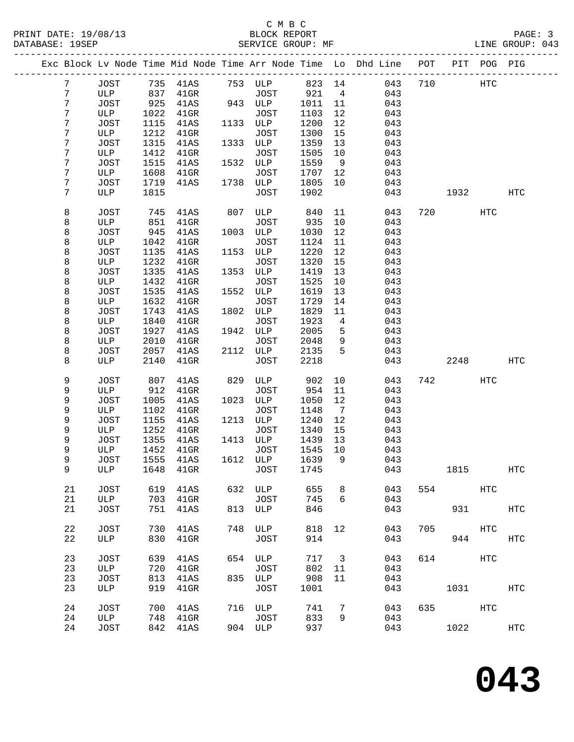## C M B C<br>BLOCK REPORT

|    |             |      | EXC BIOCK TA MODE ITWE WID MODE ITWE ALL MODE ITWE |      |             |        | ப               | nua rius | ROT. | RTT. | PUG        | ن∪⊥⊬              |
|----|-------------|------|----------------------------------------------------|------|-------------|--------|-----------------|----------|------|------|------------|-------------------|
| 7  | JOST        |      | 735 41AS                                           |      | 753 ULP     | 823 14 |                 | 043      | 710  |      | HTC        |                   |
|    | ULP         | 837  |                                                    |      |             | 921    |                 | 043      |      |      |            |                   |
| 7  |             | 925  | $41$ GR                                            |      | JOST        |        | 4               |          |      |      |            |                   |
| 7  | JOST        |      | 41AS                                               |      | 943 ULP     | 1011   | 11              | 043      |      |      |            |                   |
| 7  | ULP         | 1022 | $41$ GR                                            |      | <b>JOST</b> | 1103   | 12              | 043      |      |      |            |                   |
| 7  | JOST        | 1115 | 41AS                                               | 1133 | ULP         | 1200   | 12              | 043      |      |      |            |                   |
| 7  | ULP         | 1212 | $41$ GR                                            |      | <b>JOST</b> | 1300   | 15              | 043      |      |      |            |                   |
| 7  | JOST        | 1315 | 41AS                                               | 1333 | ULP         | 1359   | 13              | 043      |      |      |            |                   |
| 7  | ULP         | 1412 | $41$ GR                                            |      | JOST        | 1505   | 10              | 043      |      |      |            |                   |
| 7  | JOST        | 1515 | 41AS                                               | 1532 | ULP         | 1559   | 9               | 043      |      |      |            |                   |
| 7  | ULP         | 1608 | $41$ GR                                            |      | JOST        | 1707   | 12              | 043      |      |      |            |                   |
| 7  | JOST        | 1719 | 41AS                                               | 1738 | ULP         | 1805   | 10              | 043      |      |      |            |                   |
| 7  | ULP         | 1815 |                                                    |      | <b>JOST</b> | 1902   |                 | 043      |      | 1932 |            | $_{\mathrm{HTC}}$ |
|    |             |      |                                                    |      |             |        |                 |          |      |      |            |                   |
| 8  | <b>JOST</b> | 745  | 41AS                                               | 807  | ULP         | 840    | 11              | 043      | 720  |      | <b>HTC</b> |                   |
| 8  | ULP         | 851  | $41$ GR                                            |      | <b>JOST</b> | 935    | 10              | 043      |      |      |            |                   |
| 8  | JOST        | 945  | 41AS                                               | 1003 | ULP         | 1030   | 12              | 043      |      |      |            |                   |
| 8  | ULP         | 1042 | $41$ GR                                            |      | <b>JOST</b> | 1124   | 11              | 043      |      |      |            |                   |
| 8  | JOST        | 1135 | 41AS                                               | 1153 | ULP         | 1220   | 12              | 043      |      |      |            |                   |
| 8  | ULP         | 1232 | $41$ GR                                            |      | JOST        | 1320   | 15              | 043      |      |      |            |                   |
| 8  | JOST        | 1335 | 41AS                                               | 1353 | ULP         | 1419   | 13              | 043      |      |      |            |                   |
| 8  | ULP         | 1432 | $41$ GR                                            |      | <b>JOST</b> | 1525   | 10              | 043      |      |      |            |                   |
| 8  | JOST        | 1535 | 41AS                                               | 1552 | ULP         | 1619   | 13              | 043      |      |      |            |                   |
| 8  | ULP         | 1632 | $41$ GR                                            |      | <b>JOST</b> | 1729   | 14              | 043      |      |      |            |                   |
| 8  | JOST        | 1743 | 41AS                                               | 1802 | ULP         | 1829   | 11              | 043      |      |      |            |                   |
| 8  | ULP         | 1840 | $41$ GR                                            |      | <b>JOST</b> | 1923   | 4               | 043      |      |      |            |                   |
| 8  | JOST        | 1927 | 41AS                                               | 1942 | ULP         | 2005   | 5               | 043      |      |      |            |                   |
| 8  | ULP         | 2010 | $41$ GR                                            |      | JOST        | 2048   | 9               | 043      |      |      |            |                   |
| 8  | JOST        | 2057 | 41AS                                               | 2112 | ULP         | 2135   | 5               | 043      |      |      |            |                   |
| 8  | ULP         | 2140 | $41$ GR                                            |      | <b>JOST</b> | 2218   |                 | 043      |      | 2248 |            | <b>HTC</b>        |
|    |             |      |                                                    |      |             |        |                 |          |      |      |            |                   |
| 9  | JOST        | 807  | 41AS                                               | 829  | ULP         | 902    | 10              | 043      | 742  |      | <b>HTC</b> |                   |
| 9  | ULP         | 912  | $41$ GR                                            |      | <b>JOST</b> | 954    | 11              | 043      |      |      |            |                   |
| 9  | JOST        | 1005 | 41AS                                               | 1023 | ULP         | 1050   | 12              | 043      |      |      |            |                   |
| 9  | ULP         | 1102 | $41$ GR                                            |      | <b>JOST</b> | 1148   | $7\overline{ }$ | 043      |      |      |            |                   |
| 9  | JOST        | 1155 | 41AS                                               | 1213 | ULP         | 1240   | 12              | 043      |      |      |            |                   |
| 9  | ULP         | 1252 | $41$ GR                                            |      | JOST        | 1340   | 15              | 043      |      |      |            |                   |
| 9  | JOST        | 1355 | 41AS                                               | 1413 | ULP         | 1439   | 13              | 043      |      |      |            |                   |
| 9  | ULP         | 1452 | $41$ GR                                            |      | JOST        | 1545   | 10              | 043      |      |      |            |                   |
| 9  | JOST        | 1555 | 41AS                                               | 1612 | ULP         | 1639   | 9               | 043      |      |      |            |                   |
| 9  | ULP         | 1648 |                                                    |      | <b>JOST</b> | 1745   |                 | 043      |      |      |            | HTC               |
|    |             |      | $41$ GR                                            |      |             |        |                 |          |      | 1815 |            |                   |
| 21 | JOST        | 619  | 41AS                                               | 632  | ULP         | 655    | 8               | 043      | 554  |      | HTC        |                   |
| 21 | ULP         | 703  | $41$ GR                                            |      | <b>JOST</b> | 745    | 6               | 043      |      |      |            |                   |
| 21 | JOST        | 751  | 41AS                                               | 813  | ULP         | 846    |                 | 043      |      | 931  |            | HTC               |
|    |             |      |                                                    |      |             |        |                 |          |      |      |            |                   |
| 22 | JOST        | 730  | 41AS                                               | 748  | ULP         | 818    | 12              | 043      | 705  |      | HTC        |                   |
|    |             |      |                                                    |      |             |        |                 |          |      |      |            |                   |
| 22 | ULP         | 830  | $41$ GR                                            |      | JOST        | 914    |                 | 043      |      | 944  |            | HTC               |
| 23 | <b>JOST</b> | 639  | 41AS                                               | 654  | ULP         | 717    | 3               | 043      | 614  |      | HTC        |                   |
| 23 | ULP         | 720  | $41$ GR                                            |      | <b>JOST</b> | 802    | 11              | 043      |      |      |            |                   |
| 23 | JOST        | 813  | 41AS                                               | 835  | ULP         | 908    | 11              | 043      |      |      |            |                   |
| 23 | ULP         | 919  | $41$ GR                                            |      | <b>JOST</b> | 1001   |                 | 043      |      | 1031 |            | <b>HTC</b>        |
|    |             |      |                                                    |      |             |        |                 |          |      |      |            |                   |
| 24 | JOST        | 700  | 41AS                                               | 716  | ULP         | 741    | 7               | 043      | 635  |      | HTC        |                   |
| 24 | ULP         | 748  | $41$ GR                                            |      | JOST        | 833    | 9               | 043      |      |      |            |                   |
| 24 | JOST        | 842  | 41AS                                               |      | 904 ULP     | 937    |                 | 043      |      | 1022 |            | <b>HTC</b>        |
|    |             |      |                                                    |      |             |        |                 |          |      |      |            |                   |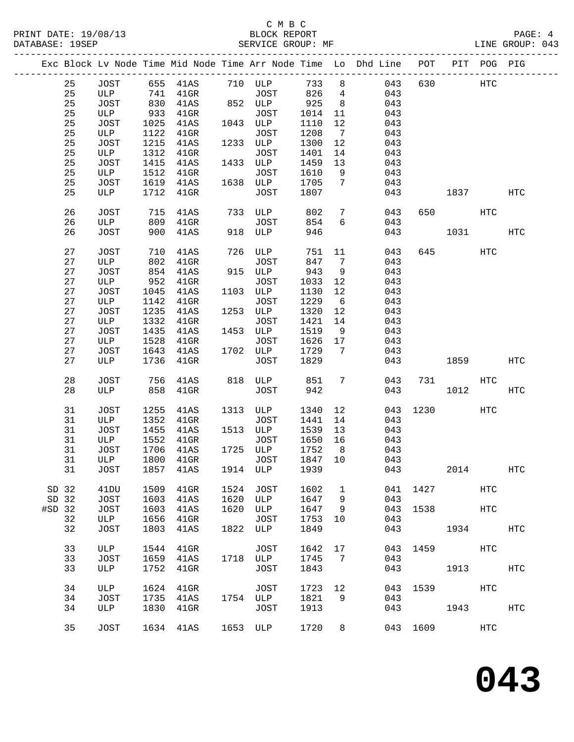|          |        |                  |      |                                 |      |             |        |                 | Exc Block Lv Node Time Mid Node Time Arr Node Time Lo Dhd Line POT PIT POG PIG |          |               |     |                   |
|----------|--------|------------------|------|---------------------------------|------|-------------|--------|-----------------|--------------------------------------------------------------------------------|----------|---------------|-----|-------------------|
|          | 25     | JOST             |      | 655 41AS 710 ULP                |      |             | 733    | 8               | 043                                                                            | 630      | HTC           |     |                   |
|          | 25     | ULP              |      | 741 41GR                        |      | JOST        | 826    | $4\overline{4}$ | 043                                                                            |          |               |     |                   |
|          | 25     | JOST             |      | 830 41AS                        |      | 852 ULP     | 925    | 8 <sup>8</sup>  | 043                                                                            |          |               |     |                   |
|          | 25     | ULP              | 933  | $41$ GR                         |      | JOST        | 1014   | 11              | 043                                                                            |          |               |     |                   |
|          | 25     | JOST             | 1025 | 41AS                            |      | 1043 ULP    | 1110   | 12              | 043                                                                            |          |               |     |                   |
|          | 25     | ULP              | 1122 | $41$ GR                         |      | JOST        | 1208   | $7\overline{ }$ | 043                                                                            |          |               |     |                   |
|          | 25     |                  | 1215 |                                 |      | 1233 ULP    | 1300   |                 | 043                                                                            |          |               |     |                   |
|          |        | JOST             |      | 41AS                            |      |             |        | 12              |                                                                                |          |               |     |                   |
|          | 25     | ULP              | 1312 | $41$ GR                         |      | JOST        | 1401   | 14              | 043                                                                            |          |               |     |                   |
|          | 25     | JOST             | 1415 | 41AS                            |      | 1433 ULP    | 1459   | 13              | 043                                                                            |          |               |     |                   |
|          | 25     | ULP              | 1512 | $41$ GR                         |      | JOST        | 1610   | 9               | 043                                                                            |          |               |     |                   |
|          | 25     | JOST             |      | 1619 41AS                       |      | 1638 ULP    | 1705   | $7\phantom{.0}$ | 043                                                                            |          |               |     |                   |
|          | 25     | ULP              | 1712 | $41$ GR                         |      | JOST        | 1807   |                 | 043                                                                            |          | 1837          |     | HTC               |
|          | 26     | JOST             | 715  | 41AS                            |      | 733 ULP     | 802    | $7\overline{ }$ | 043                                                                            | 650      |               | HTC |                   |
|          | 26     | ULP              | 809  | $41$ GR                         |      | JOST        | 854    | $6\overline{6}$ | 043                                                                            |          |               |     |                   |
|          | 26     | JOST             | 900  | 41AS                            |      | 918 ULP     | 946    |                 | 043                                                                            |          | 1031          |     | <b>HTC</b>        |
|          | 27     | JOST             | 710  | 41AS                            |      | 726 ULP     | 751 11 |                 | 043                                                                            |          | 645 — 100     | HTC |                   |
|          | 27     | ULP              | 802  | $41$ GR                         |      | JOST        | 847    | $\overline{7}$  | 043                                                                            |          |               |     |                   |
|          | $2\,7$ | JOST             | 854  | 41AS                            |      | 915 ULP     | 943    | 9               | 043                                                                            |          |               |     |                   |
|          | 27     | ULP              | 952  | $41$ GR                         |      | JOST        | 1033   | 12              | 043                                                                            |          |               |     |                   |
|          |        |                  |      |                                 |      |             |        |                 |                                                                                |          |               |     |                   |
|          | 27     | JOST             | 1045 | 41AS                            |      | 1103 ULP    | 1130   | 12              | 043                                                                            |          |               |     |                   |
|          | 27     | ULP              | 1142 | $41$ GR                         |      | JOST        | 1229   | $6\overline{6}$ | 043                                                                            |          |               |     |                   |
|          | $2\,7$ | JOST             | 1235 | 41AS                            |      | 1253 ULP    | 1320   | 12              | 043                                                                            |          |               |     |                   |
|          | 27     | ULP              | 1332 | $41$ GR                         |      | JOST        | 1421   | 14              | 043                                                                            |          |               |     |                   |
|          | 27     | JOST             | 1435 | 41AS                            |      | 1453 ULP    | 1519   | 9               | 043                                                                            |          |               |     |                   |
|          | 27     | ULP              | 1528 | $41$ GR                         |      | JOST        | 1626   | 17              | 043                                                                            |          |               |     |                   |
|          | 27     | JOST             | 1643 | 41AS                            |      | 1702 ULP    | 1729   | $\overline{7}$  | 043                                                                            |          |               |     |                   |
|          | 27     | ULP              | 1736 | $41$ GR                         |      | JOST        | 1829   |                 | 043                                                                            |          | 1859          |     | <b>HTC</b>        |
|          | $2\,8$ | <b>JOST</b>      | 756  | 41AS                            |      | 818 ULP 851 |        | $7\phantom{.0}$ | 043                                                                            |          | 731           | HTC |                   |
|          | 28     | ULP              | 858  | $41$ GR                         |      | JOST        | 942    |                 |                                                                                | 043      | 1012          |     | $_{\mathrm{HTC}}$ |
|          | 31     | JOST             | 1255 | 41AS                            |      | 1313 ULP    | 1340   | 12              | 043                                                                            |          | 1230 and 1230 | HTC |                   |
|          | 31     | ULP              | 1352 | $41$ GR                         |      | JOST        | 1441   | 14              | 043                                                                            |          |               |     |                   |
|          | 31     | JOST             | 1455 | 41AS                            |      | 1513 ULP    | 1539   | 13              | 043                                                                            |          |               |     |                   |
|          | 31     |                  | 1552 |                                 |      |             | 1650   |                 |                                                                                |          |               |     |                   |
|          |        | ULP              |      | $41$ GR                         |      | JOST        |        | 16              | 043                                                                            |          |               |     |                   |
|          | 31     | JOST             | 1706 | 41AS                            |      | 1725 ULP    | 1752   | 8 <sup>8</sup>  | 043                                                                            |          |               |     |                   |
|          | 31     | ULP              | 1800 | $41$ GR                         |      | JOST        | 1847   | 10              | 043                                                                            |          |               |     |                   |
|          |        |                  |      | 31 JOST 1857 41AS 1914 ULP 1939 |      |             |        |                 | 043                                                                            |          | 2014          |     | $_{\mathrm{HTC}}$ |
| SD 32    |        | 41 <sub>DU</sub> | 1509 | $41$ GR                         | 1524 | JOST        | 1602   | $\mathbf{1}$    | 041                                                                            |          | 1427          | HTC |                   |
| SD 32    |        | JOST             | 1603 | 41AS                            | 1620 | ULP         | 1647   | 9               | 043                                                                            |          |               |     |                   |
| $#SD$ 32 |        | <b>JOST</b>      | 1603 | 41AS                            | 1620 | ULP         | 1647   | 9               | 043                                                                            | 1538     |               | HTC |                   |
|          | 32     | ULP              | 1656 | $41$ GR                         |      | JOST        | 1753   | 10              | 043                                                                            |          |               |     |                   |
|          | 32     | <b>JOST</b>      | 1803 | 41AS                            |      | 1822 ULP    | 1849   |                 | 043                                                                            |          | 1934          |     | HTC               |
|          | 33     | ULP              | 1544 | $41$ GR                         |      | JOST        | 1642   | 17              | 043                                                                            |          | 1459 HTC      |     |                   |
|          | 33     | <b>JOST</b>      | 1659 | 41AS                            |      | 1718 ULP    | 1745   | 7               | 043                                                                            |          |               |     |                   |
|          | 33     | ULP              | 1752 | $41$ GR                         |      | JOST        | 1843   |                 | 043                                                                            |          | 1913          |     | HTC               |
|          |        |                  |      |                                 |      |             |        |                 |                                                                                |          |               |     |                   |
|          | 34     | ULP              | 1624 | $41$ GR                         |      | <b>JOST</b> | 1723   | 12              | 043                                                                            |          | 1539 and 1539 | HTC |                   |
|          | 34     | <b>JOST</b>      | 1735 | 41AS                            |      | 1754 ULP    | 1821   | 9               | 043                                                                            |          |               |     |                   |
|          | 34     | ULP              | 1830 | $41$ GR                         |      | JOST        | 1913   |                 | 043                                                                            |          | 1943          |     | HTC               |
|          | 35     | JOST             |      | 1634 41AS                       |      | 1653 ULP    | 1720   | 8               |                                                                                | 043 1609 |               | HTC |                   |
|          |        |                  |      |                                 |      |             |        |                 |                                                                                |          |               |     |                   |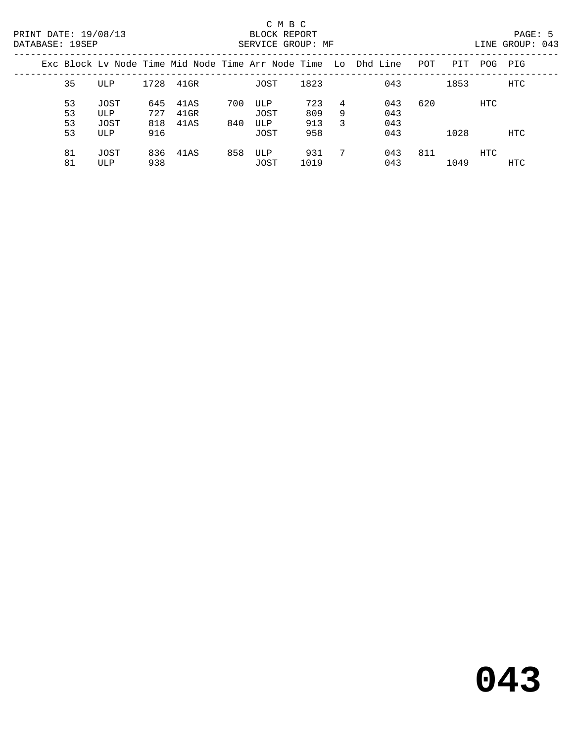| Exc Block Ly Node Time Mid Node Time Arr Node Time Lo Dhd Line |             |            |                   |     |             |             |        |            | POT | PIT  | POG        | PIG        |
|----------------------------------------------------------------|-------------|------------|-------------------|-----|-------------|-------------|--------|------------|-----|------|------------|------------|
| 35                                                             | ULP         | 1728       | 41GR              |     | JOST        | 1823        |        | 043        |     | 1853 |            | HTC        |
| 53<br>53                                                       | JOST<br>ULP | 645<br>727 | 41 A S<br>$41$ GR | 700 | ULP<br>JOST | 723<br>809  | 4<br>9 | 043<br>043 | 620 |      | <b>HTC</b> |            |
| 53<br>53                                                       | JOST<br>ULP | 818<br>916 | 41AS              | 840 | ULP<br>JOST | 913<br>958  | 3      | 043<br>043 |     | 1028 |            | <b>HTC</b> |
| 81<br>81                                                       | JOST<br>ULP | 836<br>938 | 41AS              | 858 | ULP<br>JOST | 931<br>1019 | 7      | 043<br>043 | 811 | 1049 | <b>HTC</b> | HTC        |
|                                                                |             |            |                   |     |             |             |        |            |     |      |            |            |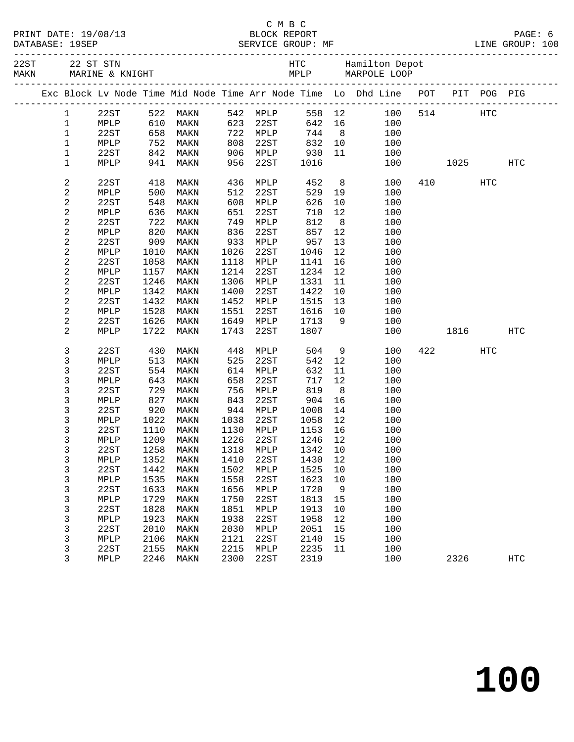|                                                                                                                                                                                                                                                                                                                                                                                                                                                                                            | PRINT DATE: 19/08/13 |
|--------------------------------------------------------------------------------------------------------------------------------------------------------------------------------------------------------------------------------------------------------------------------------------------------------------------------------------------------------------------------------------------------------------------------------------------------------------------------------------------|----------------------|
| $\blacksquare$ $\blacksquare$ $\blacksquare$ $\blacksquare$ $\blacksquare$ $\blacksquare$ $\blacksquare$ $\blacksquare$ $\blacksquare$ $\blacksquare$ $\blacksquare$ $\blacksquare$ $\blacksquare$ $\blacksquare$ $\blacksquare$ $\blacksquare$ $\blacksquare$ $\blacksquare$ $\blacksquare$ $\blacksquare$ $\blacksquare$ $\blacksquare$ $\blacksquare$ $\blacksquare$ $\blacksquare$ $\blacksquare$ $\blacksquare$ $\blacksquare$ $\blacksquare$ $\blacksquare$ $\blacksquare$ $\blacks$ | $\bullet$            |

|  |                         |      |      |                     |      |          |         |                | Exc Block Lv Node Time Mid Node Time Arr Node Time Lo Dhd Line POT PIT POG PIG |     |         |           |                   |  |
|--|-------------------------|------|------|---------------------|------|----------|---------|----------------|--------------------------------------------------------------------------------|-----|---------|-----------|-------------------|--|
|  | $\mathbf{1}$            | 22ST |      | 522 MAKN            |      | 542 MPLP |         | 558 12         | 100                                                                            |     | 514 HTC |           |                   |  |
|  | $\mathbf{1}$            | MPLP |      | 610 MAKN            | 623  | 22ST     |         | 642 16         | 100                                                                            |     |         |           |                   |  |
|  | $\mathbf 1$             | 22ST |      | 658 MAKN            |      | 722 MPLP | 744     | 8 <sup>8</sup> | 100                                                                            |     |         |           |                   |  |
|  | $\mathbf 1$             | MPLP |      | 752 MAKN            | 808  | 22ST     | 832     | 10             | 100                                                                            |     |         |           |                   |  |
|  | $\mathbf 1$             | 22ST |      | 842 MAKN            | 906  | MPLP     | 930     | 11             | 100                                                                            |     |         |           |                   |  |
|  | $\mathbf 1$             | MPLP | 941  | MAKN                | 956  | 22ST     | 1016    |                | 100                                                                            |     |         | 1025      | HTC               |  |
|  | $\overline{c}$          | 22ST | 418  | MAKN                | 436  | MPLP     | 452     |                | 8<br>100                                                                       |     | 410     | HTC       |                   |  |
|  | $\mathbf{2}$            | MPLP | 500  | MAKN                | 512  | 22ST     | 529     | 19             | 100                                                                            |     |         |           |                   |  |
|  | $\overline{\mathbf{c}}$ | 22ST | 548  | MAKN                | 608  | MPLP     | 626     | 10             | 100                                                                            |     |         |           |                   |  |
|  | 2                       | MPLP | 636  | MAKN                | 651  | 22ST     | 710     | 12             | 100                                                                            |     |         |           |                   |  |
|  | $\mathbf{2}$            | 22ST | 722  | MAKN                | 749  | MPLP     | 812     | 8 <sup>8</sup> | 100                                                                            |     |         |           |                   |  |
|  | $\overline{\mathbf{c}}$ | MPLP | 820  | MAKN                | 836  | 22ST     | 857     | 12             | 100                                                                            |     |         |           |                   |  |
|  | $\overline{\mathbf{c}}$ | 22ST | 909  | MAKN                | 933  | MPLP     | 957     | 13             | 100                                                                            |     |         |           |                   |  |
|  | $\mathbf{2}$            | MPLP | 1010 | MAKN                | 1026 | 22ST     | 1046    | 12             | 100                                                                            |     |         |           |                   |  |
|  | $\mathbf{2}$            | 22ST | 1058 | MAKN                | 1118 | MPLP     | 1141    | 16             | 100                                                                            |     |         |           |                   |  |
|  | $\mathbf{2}$            | MPLP | 1157 | MAKN                | 1214 | 22ST     | 1234    | 12             | 100                                                                            |     |         |           |                   |  |
|  | $\overline{\mathbf{c}}$ | 22ST | 1246 | MAKN                | 1306 | MPLP     | 1331    | 11             | 100                                                                            |     |         |           |                   |  |
|  | $\overline{\mathbf{c}}$ | MPLP | 1342 | MAKN                | 1400 | 22ST     | 1422    | 10             | 100                                                                            |     |         |           |                   |  |
|  | 2                       | 22ST | 1432 | MAKN                | 1452 | MPLP     | 1515    | 13             | 100                                                                            |     |         |           |                   |  |
|  | $\mathbf{2}$            | MPLP | 1528 | MAKN                | 1551 | 22ST     | 1616    | 10             | 100                                                                            |     |         |           |                   |  |
|  | 2                       | 22ST | 1626 | MAKN                | 1649 | MPLP     | 1713    | 9              | 100                                                                            |     |         |           |                   |  |
|  | 2                       | MPLP | 1722 | MAKN                | 1743 | 22ST     | 1807    |                | 100                                                                            |     |         | 1816 1819 | HTC               |  |
|  | 3                       | 22ST | 430  | MAKN                | 448  | MPLP     | 504     | 9              | 100                                                                            | 422 |         | HTC       |                   |  |
|  | 3                       | MPLP | 513  | MAKN                | 525  | 22ST     | 542     | 12             | 100                                                                            |     |         |           |                   |  |
|  | 3                       | 22ST | 554  | MAKN                | 614  | MPLP     | 632     | 11             | 100                                                                            |     |         |           |                   |  |
|  | 3                       | MPLP | 643  | MAKN                | 658  | 22ST     | 717     | 12             | 100                                                                            |     |         |           |                   |  |
|  | 3                       | 22ST | 729  | MAKN                | 756  | MPLP     | 819     | 8 <sup>8</sup> | 100                                                                            |     |         |           |                   |  |
|  | $\mathsf{3}$            | MPLP | 827  | MAKN                | 843  | 22ST     | 904     | 16             | 100                                                                            |     |         |           |                   |  |
|  | 3                       | 22ST | 920  | MAKN                | 944  | MPLP     | 1008    | 14             | 100                                                                            |     |         |           |                   |  |
|  | 3                       | MPLP | 1022 | MAKN                | 1038 | 22ST     | 1058    | 12             | 100                                                                            |     |         |           |                   |  |
|  | 3                       | 22ST | 1110 | MAKN                | 1130 | MPLP     | 1153    | 16             | 100                                                                            |     |         |           |                   |  |
|  | 3                       | MPLP | 1209 | MAKN                | 1226 | 22ST     | 1246    | 12             | 100                                                                            |     |         |           |                   |  |
|  | 3                       | 22ST | 1258 | MAKN                | 1318 | MPLP     | 1342 10 |                | 100                                                                            |     |         |           |                   |  |
|  | 3                       |      |      | MPLP 1352 MAKN 1410 |      | 22ST     | 1430 12 |                | 100                                                                            |     |         |           |                   |  |
|  | 3                       | 22ST | 1442 | MAKN                | 1502 | MPLP     | 1525    | 10             | 100                                                                            |     |         |           |                   |  |
|  | 3                       | MPLP | 1535 | MAKN                | 1558 | 22ST     | 1623    | 10             | 100                                                                            |     |         |           |                   |  |
|  | 3                       | 22ST | 1633 | MAKN                | 1656 | MPLP     | 1720    | 9              | 100                                                                            |     |         |           |                   |  |
|  | 3                       | MPLP | 1729 | MAKN                | 1750 | 22ST     | 1813    | 15             | 100                                                                            |     |         |           |                   |  |
|  | 3                       | 22ST | 1828 | MAKN                | 1851 | MPLP     | 1913    | 10             | 100                                                                            |     |         |           |                   |  |
|  | 3                       | MPLP | 1923 | MAKN                | 1938 | 22ST     | 1958    | 12             | 100                                                                            |     |         |           |                   |  |
|  | 3                       | 22ST | 2010 | MAKN                | 2030 | MPLP     | 2051    | 15             | 100                                                                            |     |         |           |                   |  |
|  | 3                       | MPLP | 2106 | MAKN                | 2121 | 22ST     | 2140    | 15             | 100                                                                            |     |         |           |                   |  |
|  | 3                       | 22ST | 2155 | MAKN                | 2215 | MPLP     | 2235    | 11             | 100                                                                            |     |         |           |                   |  |
|  | 3                       | MPLP | 2246 | MAKN                | 2300 | 22ST     | 2319    |                | 100                                                                            |     | 2326    |           | $_{\mathrm{HTC}}$ |  |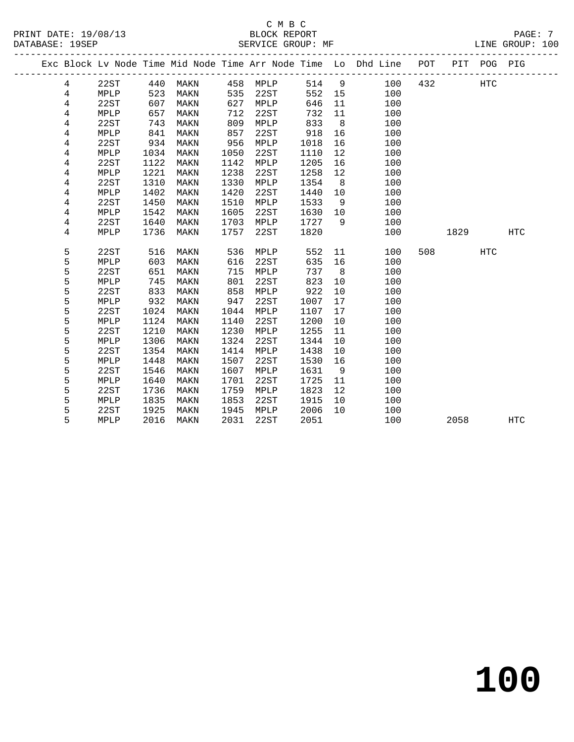### C M B C<br>BLOCK REPORT SERVICE GROUP: MF

**100**

|  |                |      |      |      |      |      |      |                | Exc Block Lv Node Time Mid Node Time Arr Node Time Lo Dhd Line POT |     | PIT  | POG PIG    |            |
|--|----------------|------|------|------|------|------|------|----------------|--------------------------------------------------------------------|-----|------|------------|------------|
|  | 4              | 22ST | 440  | MAKN | 458  | MPLP | 514  | 9              | 100                                                                | 432 |      | <b>HTC</b> |            |
|  | 4              | MPLP | 523  | MAKN | 535  | 22ST | 552  | 15             | 100                                                                |     |      |            |            |
|  | 4              | 22ST | 607  | MAKN | 627  | MPLP | 646  | 11             | 100                                                                |     |      |            |            |
|  | 4              | MPLP | 657  | MAKN | 712  | 22ST | 732  | 11             | 100                                                                |     |      |            |            |
|  | 4              | 22ST | 743  | MAKN | 809  | MPLP | 833  | 8              | 100                                                                |     |      |            |            |
|  | 4              | MPLP | 841  | MAKN | 857  | 22ST | 918  | 16             | 100                                                                |     |      |            |            |
|  | 4              | 22ST | 934  | MAKN | 956  | MPLP | 1018 | 16             | 100                                                                |     |      |            |            |
|  | 4              | MPLP | 1034 | MAKN | 1050 | 22ST | 1110 | 12             | 100                                                                |     |      |            |            |
|  | 4              | 22ST | 1122 | MAKN | 1142 | MPLP | 1205 | 16             | 100                                                                |     |      |            |            |
|  | 4              | MPLP | 1221 | MAKN | 1238 | 22ST | 1258 | 12             | 100                                                                |     |      |            |            |
|  | 4              | 22ST | 1310 | MAKN | 1330 | MPLP | 1354 | 8              | 100                                                                |     |      |            |            |
|  | 4              | MPLP | 1402 | MAKN | 1420 | 22ST | 1440 | 10             | 100                                                                |     |      |            |            |
|  | 4              | 22ST | 1450 | MAKN | 1510 | MPLP | 1533 | - 9            | 100                                                                |     |      |            |            |
|  | 4              | MPLP | 1542 | MAKN | 1605 | 22ST | 1630 | 10             | 100                                                                |     |      |            |            |
|  | 4              | 22ST | 1640 | MAKN | 1703 | MPLP | 1727 | - 9            | 100                                                                |     |      |            |            |
|  | $\overline{4}$ | MPLP | 1736 | MAKN | 1757 | 22ST | 1820 |                | 100                                                                |     | 1829 |            | HTC        |
|  |                |      |      |      |      |      |      |                |                                                                    |     |      |            |            |
|  | 5              | 22ST | 516  | MAKN | 536  | MPLP | 552  | 11             | 100                                                                | 508 |      | HTC        |            |
|  | 5              | MPLP | 603  | MAKN | 616  | 22ST | 635  | 16             | 100                                                                |     |      |            |            |
|  | 5              | 22ST | 651  | MAKN | 715  | MPLP | 737  | 8 <sup>8</sup> | 100                                                                |     |      |            |            |
|  | 5              | MPLP | 745  | MAKN | 801  | 22ST | 823  | 10             | 100                                                                |     |      |            |            |
|  | 5              | 22ST | 833  | MAKN | 858  | MPLP | 922  | 10             | 100                                                                |     |      |            |            |
|  | 5              | MPLP | 932  | MAKN | 947  | 22ST | 1007 | 17             | 100                                                                |     |      |            |            |
|  | 5              | 22ST | 1024 | MAKN | 1044 | MPLP | 1107 | 17             | 100                                                                |     |      |            |            |
|  | 5              | MPLP | 1124 | MAKN | 1140 | 22ST | 1200 | 10             | 100                                                                |     |      |            |            |
|  | 5              | 22ST | 1210 | MAKN | 1230 | MPLP | 1255 | 11             | 100                                                                |     |      |            |            |
|  | 5              | MPLP | 1306 | MAKN | 1324 | 22ST | 1344 | 10             | 100                                                                |     |      |            |            |
|  | 5              | 22ST | 1354 | MAKN | 1414 | MPLP | 1438 | 10             | 100                                                                |     |      |            |            |
|  | 5              | MPLP | 1448 | MAKN | 1507 | 22ST | 1530 | 16             | 100                                                                |     |      |            |            |
|  | 5              | 22ST | 1546 | MAKN | 1607 | MPLP | 1631 | 9              | 100                                                                |     |      |            |            |
|  | 5              | MPLP | 1640 | MAKN | 1701 | 22ST | 1725 | 11             | 100                                                                |     |      |            |            |
|  | 5              | 22ST | 1736 | MAKN | 1759 | MPLP | 1823 | 12             | 100                                                                |     |      |            |            |
|  | 5              | MPLP | 1835 | MAKN | 1853 | 22ST | 1915 | 10             | 100                                                                |     |      |            |            |
|  | 5              | 22ST | 1925 | MAKN | 1945 | MPLP | 2006 | 10             | 100                                                                |     |      |            |            |
|  | 5              | MPLP | 2016 | MAKN | 2031 | 22ST | 2051 |                | 100                                                                |     | 2058 |            | <b>HTC</b> |
|  |                |      |      |      |      |      |      |                |                                                                    |     |      |            |            |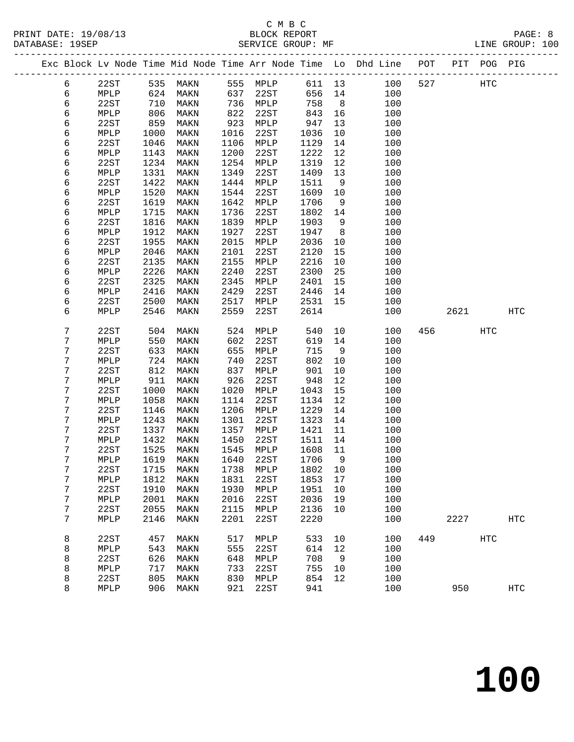|  |        |              |              |              |              |                 |              |                | Exc Block Lv Node Time Mid Node Time Arr Node Time Lo Dhd Line POT |     |      | PIT POG PIG |            |  |
|--|--------|--------------|--------------|--------------|--------------|-----------------|--------------|----------------|--------------------------------------------------------------------|-----|------|-------------|------------|--|
|  | 6      | 22ST         |              | 535 MAKN     |              | 555 MPLP        | 611 13       |                | 100                                                                | 527 |      | <b>HTC</b>  |            |  |
|  | 6      | MPLP         | 624          | MAKN         | 637          | 22ST            | 656          | 14             | 100                                                                |     |      |             |            |  |
|  | 6      | 22ST         | 710          | MAKN         | 736          | MPLP            | 758          | 8 <sup>8</sup> | 100                                                                |     |      |             |            |  |
|  | 6      | MPLP         | 806          | MAKN         | 822          | 22ST            | 843          | 16             | 100                                                                |     |      |             |            |  |
|  | 6      | 22ST         | 859          | MAKN         | 923          | MPLP            | 947          | 13             | 100                                                                |     |      |             |            |  |
|  | 6      | MPLP         | 1000         | MAKN         | 1016         | 22ST            | 1036         | 10             | 100                                                                |     |      |             |            |  |
|  | 6      | 22ST         | 1046         | MAKN         | 1106         | MPLP            | 1129         | 14             | 100                                                                |     |      |             |            |  |
|  | 6      | MPLP         | 1143         | MAKN         | 1200         | 22ST            | 1222         | 12             | 100                                                                |     |      |             |            |  |
|  | 6      | 22ST         | 1234         | MAKN         | 1254         | $\texttt{MPLP}$ | 1319         | 12             | 100                                                                |     |      |             |            |  |
|  | 6      | MPLP         | 1331         | MAKN         | 1349         | 22ST            | 1409         | 13             | 100                                                                |     |      |             |            |  |
|  | 6      | 22ST         | 1422         | MAKN         | 1444         | MPLP            | 1511         | 9              | 100                                                                |     |      |             |            |  |
|  | 6      | MPLP         | 1520         | MAKN         | 1544         | 22ST            | 1609         | 10             | 100                                                                |     |      |             |            |  |
|  | 6      | 22ST         | 1619         | MAKN         | 1642         | MPLP            | 1706         | 9              | 100                                                                |     |      |             |            |  |
|  | 6      | MPLP         | 1715         | MAKN         | 1736         | 22ST            | 1802         | 14             | 100                                                                |     |      |             |            |  |
|  | 6      | 22ST         | 1816         | MAKN         | 1839         | MPLP            | 1903         | 9              | 100                                                                |     |      |             |            |  |
|  | 6      | MPLP         | 1912         | MAKN         | 1927         | 22ST            | 1947         | 8 <sup>8</sup> | 100                                                                |     |      |             |            |  |
|  | 6      | 22ST         | 1955         | MAKN         | 2015         | MPLP            | 2036         | 10             | 100                                                                |     |      |             |            |  |
|  | 6      | MPLP         | 2046         | MAKN         | 2101         | 22ST            | 2120         | 15             | 100                                                                |     |      |             |            |  |
|  | 6      | 22ST         | 2135         | MAKN         | 2155         | MPLP            | 2216         | 10             | 100                                                                |     |      |             |            |  |
|  | 6      | MPLP         | 2226         | MAKN         | 2240         | 22ST            | 2300         | 25             | 100                                                                |     |      |             |            |  |
|  | 6      | 22ST         | 2325         | MAKN         | 2345         | MPLP            | 2401         | 15             | 100                                                                |     |      |             |            |  |
|  | 6      | MPLP         | 2416         | MAKN         | 2429         | 22ST            | 2446         | 14             | 100                                                                |     |      |             |            |  |
|  | 6<br>6 | 22ST<br>MPLP | 2500<br>2546 | MAKN<br>MAKN | 2517<br>2559 | MPLP<br>22ST    | 2531<br>2614 | 15             | 100<br>100                                                         |     | 2621 |             | <b>HTC</b> |  |
|  |        |              |              |              |              |                 |              |                |                                                                    |     |      |             |            |  |
|  | 7      | 22ST         | 504          | MAKN         | 524          | MPLP            | 540          | 10             | 100                                                                | 456 |      | HTC         |            |  |
|  | 7      | MPLP         | 550          | MAKN         | 602          | 22ST            | 619          | 14             | 100                                                                |     |      |             |            |  |
|  | 7      | 22ST         | 633          | MAKN         | 655          | MPLP            | 715          | 9              | 100                                                                |     |      |             |            |  |
|  | 7      | MPLP         | 724          | MAKN         | 740          | 22ST            | 802          | 10             | 100                                                                |     |      |             |            |  |
|  | 7      | 22ST         | 812          | MAKN         | 837          | MPLP            | 901          | 10             | 100                                                                |     |      |             |            |  |
|  | 7      | MPLP         | 911          | MAKN         | 926          | 22ST            | 948          | 12             | 100                                                                |     |      |             |            |  |
|  | 7      | 22ST         | 1000         | MAKN         | 1020         | MPLP            | 1043         | 15             | 100                                                                |     |      |             |            |  |
|  | 7      | MPLP         | 1058         | MAKN         | 1114         | 22ST            | 1134         | 12             | 100                                                                |     |      |             |            |  |
|  | 7      | 22ST         | 1146         | MAKN         | 1206         | $\texttt{MPLP}$ | 1229         | 14             | 100                                                                |     |      |             |            |  |
|  | 7      | MPLP         | 1243         | MAKN         | 1301         | 22ST            | 1323         | 14             | 100                                                                |     |      |             |            |  |
|  | 7      | 22ST         | 1337         | MAKN         | 1357         | MPLP            | 1421         | 11             | 100                                                                |     |      |             |            |  |
|  | 7      | MPLP         | 1432         | MAKN         | 1450         | 22ST            | 1511         | 14             | 100                                                                |     |      |             |            |  |
|  | 7      | 22ST         | 1525         | MAKN         | 1545         | MPLP            | 1608         | 11             | 100                                                                |     |      |             |            |  |
|  | 7      | MPLP         | 1619         | MAKN         | 1640         | 22ST            | 1706         | 9              | 100                                                                |     |      |             |            |  |
|  | 7      | 22ST         |              | 1715 MAKN    |              | 1738 MPLP       | 1802 10      |                | 100                                                                |     |      |             |            |  |
|  | 7      | MPLP         | 1812         | MAKN         | 1831         | 22ST            | 1853         | 17             | 100                                                                |     |      |             |            |  |
|  | 7      | 22ST         | 1910         | MAKN         | 1930         | MPLP            | 1951         | 10             | 100                                                                |     |      |             |            |  |
|  | 7      | MPLP         | 2001         | MAKN         | 2016         | 22ST            | 2036         | 19             | 100                                                                |     |      |             |            |  |
|  | 7      | 22ST         | 2055         | MAKN         | 2115         | MPLP            | 2136         | 10             | 100                                                                |     |      |             |            |  |
|  | 7      | MPLP         | 2146         | MAKN         | 2201         | 22ST            | 2220         |                | 100                                                                |     | 2227 |             | <b>HTC</b> |  |
|  | 8      | 22ST         | 457          | MAKN         | 517          | MPLP            | 533          | 10             | 100                                                                | 449 |      | HTC         |            |  |
|  | 8      | MPLP         | 543          | MAKN         | 555          | 22ST            | 614          | 12             | 100                                                                |     |      |             |            |  |
|  | 8      | 22ST         | 626          | MAKN         | 648          | MPLP            | 708          | 9              | 100                                                                |     |      |             |            |  |
|  | 8      | MPLP         | 717          | MAKN         | 733          | 22ST            | 755          | 10             | 100                                                                |     |      |             |            |  |
|  | 8      | 22ST         | 805          | MAKN         | 830          | MPLP            | 854          | 12             | 100                                                                |     |      |             |            |  |
|  | 8      | MPLP         | 906          | MAKN         | 921          | 22ST            | 941          |                | 100                                                                |     | 950  |             | <b>HTC</b> |  |
|  |        |              |              |              |              |                 |              |                |                                                                    |     |      |             |            |  |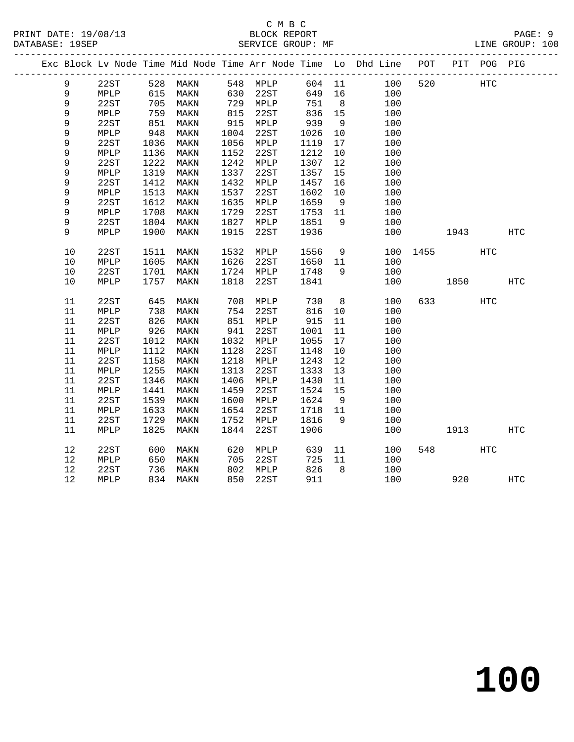### C M B C<br>BLOCK REPORT SERVICE GROUP: MF

|  |      |      |            |          |      |           |        |                      | Exc Block Lv Node Time Mid Node Time Arr Node Time Lo Dhd Line POT |     |      | PIT POG PIG |            |
|--|------|------|------------|----------|------|-----------|--------|----------------------|--------------------------------------------------------------------|-----|------|-------------|------------|
|  | 9    | 22ST |            | 528 MAKN |      | 548 MPLP  |        |                      | 604 11<br>100                                                      | 520 |      | <b>HTC</b>  |            |
|  | 9    | MPLP | 615        | MAKN     |      | 630 22ST  | 649 16 |                      | 100                                                                |     |      |             |            |
|  | 9    | 22ST | 705        | MAKN     |      | 729 MPLP  | 751    | 8 <sup>8</sup>       | 100                                                                |     |      |             |            |
|  | 9    | MPLP | 759        | MAKN     | 815  | 22ST      | 836    | 15                   | 100                                                                |     |      |             |            |
|  | 9    | 22ST | 851        | MAKN     | 915  | MPLP      | 939    | 9                    | 100                                                                |     |      |             |            |
|  | 9    | MPLP | 948        | MAKN     | 1004 | 22ST      | 1026   | 10                   | 100                                                                |     |      |             |            |
|  | 9    | 22ST | 1036       | MAKN     | 1056 | MPLP      | 1119   | 17                   | 100                                                                |     |      |             |            |
|  | 9    | MPLP | 1136       | MAKN     | 1152 | 22ST      | 1212   | 10                   | 100                                                                |     |      |             |            |
|  | 9    | 22ST | 1222       | MAKN     | 1242 | MPLP      | 1307   | 12                   | 100                                                                |     |      |             |            |
|  | 9    | MPLP | 1319       | MAKN     | 1337 | 22ST      | 1357   | 15                   | 100                                                                |     |      |             |            |
|  | 9    | 22ST | 1412       | MAKN     | 1432 | MPLP      | 1457   | 16                   | 100                                                                |     |      |             |            |
|  | 9    | MPLP | 1513       | MAKN     | 1537 | 22ST      | 1602   | 10                   | 100                                                                |     |      |             |            |
|  | 9    | 22ST | 1612       | MAKN     | 1635 | MPLP      | 1659   | 9                    | 100                                                                |     |      |             |            |
|  | 9    | MPLP | 1708       | MAKN     | 1729 | 22ST      | 1753   | 11                   | 100                                                                |     |      |             |            |
|  | 9    | 22ST | 1804       | MAKN     | 1827 | MPLP      | 1851   | 9                    | 100                                                                |     |      |             |            |
|  | 9    | MPLP | 1900       | MAKN     | 1915 | 22ST      | 1936   |                      | 100                                                                |     | 1943 |             | <b>HTC</b> |
|  |      |      |            |          |      |           |        |                      |                                                                    |     |      |             |            |
|  | 10   | 22ST | 1511       | MAKN     | 1532 | MPLP      | 1556   | 9                    | 100                                                                |     | 1455 | HTC         |            |
|  | 10   | MPLP | 1605       | MAKN     | 1626 | 22ST      | 1650   | 11                   | 100                                                                |     |      |             |            |
|  | 10   | 22ST | 1701       | MAKN     |      | 1724 MPLP | 1748   | 9                    | 100                                                                |     |      |             |            |
|  | 10   | MPLP | 1757       | MAKN     | 1818 | 22ST      | 1841   |                      | 100                                                                |     | 1850 |             | HTC        |
|  |      |      |            |          |      |           |        |                      |                                                                    |     |      |             |            |
|  | 11   | 22ST | 645        | MAKN     | 708  | MPLP      | 730    | 8 <sup>8</sup>       | 100                                                                | 633 |      | <b>HTC</b>  |            |
|  | 11   | MPLP | 738        | MAKN     | 754  | 22ST      | 816    | 10                   | 100                                                                |     |      |             |            |
|  | 11   | 22ST | 826        | MAKN     | 851  | MPLP      | 915    | 11                   | 100                                                                |     |      |             |            |
|  | 11   | MPLP | 926        | MAKN     | 941  | 22ST      | 1001   | 11                   | 100                                                                |     |      |             |            |
|  | 11   | 22ST | 1012       | MAKN     | 1032 | MPLP      | 1055   | 17                   | 100                                                                |     |      |             |            |
|  | 11   | MPLP | 1112       | MAKN     | 1128 | 22ST      | 1148   | 10                   | 100                                                                |     |      |             |            |
|  | 11   | 22ST | 1158       | MAKN     | 1218 | MPLP      | 1243   | 12                   | 100                                                                |     |      |             |            |
|  | 11   | MPLP | 1255       | MAKN     | 1313 | 22ST      | 1333   | 13                   | 100                                                                |     |      |             |            |
|  | 11   | 22ST | 1346       | MAKN     | 1406 | MPLP      | 1430   | 11                   | 100                                                                |     |      |             |            |
|  | 11   | MPLP | 1441       | MAKN     | 1459 | 22ST      | 1524   | 15                   | 100                                                                |     |      |             |            |
|  | 11   | 22ST | 1539       | MAKN     | 1600 | MPLP      | 1624   | 9                    | 100                                                                |     |      |             |            |
|  | 11   | MPLP | 1633       | MAKN     | 1654 | 22ST      | 1718   | 11                   | 100                                                                |     |      |             |            |
|  | 11   | 22ST | 1729       | MAKN     | 1752 | MPLP      | 1816   | 9                    | 100                                                                |     |      |             |            |
|  | 11   | MPLP | 1825       | MAKN     | 1844 | 22ST      | 1906   |                      | 100                                                                |     | 1913 |             | <b>HTC</b> |
|  |      |      |            |          |      |           |        |                      |                                                                    |     |      |             |            |
|  | 12   | 22ST | 600<br>650 | MAKN     | 620  | MPLP      | 639    | 11                   | 100                                                                | 548 |      | <b>HTC</b>  |            |
|  | $12$ | MPLP |            | MAKN     | 705  | 22ST      | 725    | 11<br>8 <sup>8</sup> | 100                                                                |     |      |             |            |
|  | 12   | 22ST | 736        | MAKN     |      | 802 MPLP  | 826    |                      | 100                                                                |     |      |             |            |
|  | 12   | MPLP |            | 834 MAKN | 850  | 22ST      | 911    |                      | 100                                                                |     |      | 920         | <b>HTC</b> |

**100**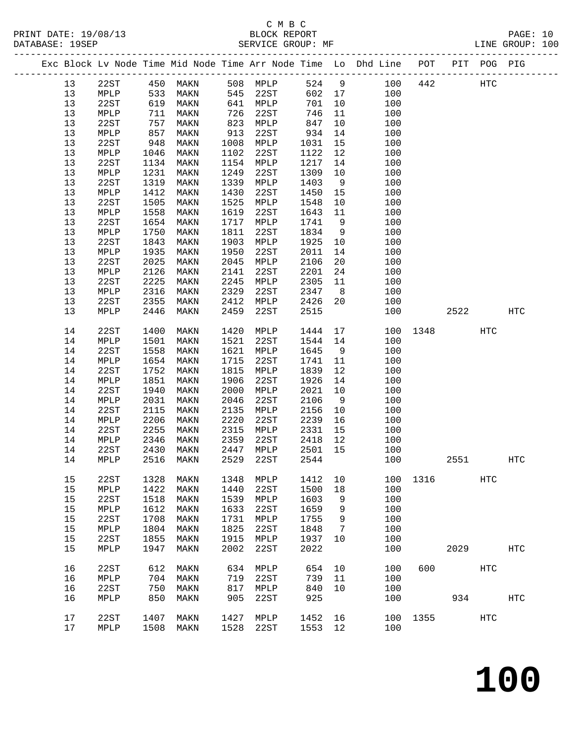## C M B C

|    |      |            |               |      |                                                 |         |    | Exc Block Lv Node Time Mid Node Time Arr Node Time Lo Dhd Line POT PIT POG PIG |      |      |            |                   |  |
|----|------|------------|---------------|------|-------------------------------------------------|---------|----|--------------------------------------------------------------------------------|------|------|------------|-------------------|--|
| 13 |      |            | 22ST 450 MAKN |      | MAKN 508 MPLP<br>MAKN 545 22ST<br>MAKN 641 MPLP |         |    | 524 9 100                                                                      |      | 442  | <b>HTC</b> |                   |  |
| 13 | MPLP |            |               |      |                                                 |         |    |                                                                                |      |      |            |                   |  |
| 13 | 22ST | 533<br>619 |               |      |                                                 |         |    | 602 17 100<br>701 10 100                                                       |      |      |            |                   |  |
| 13 | MPLP | 711        | MAKN          | 726  | 22ST                                            | 746     |    | $11$<br>100                                                                    |      |      |            |                   |  |
| 13 | 22ST | 757        | MAKN          | 823  | MPLP                                            | 847     |    | 10<br>100                                                                      |      |      |            |                   |  |
| 13 | MPLP |            | MAKN          | 913  | 22ST                                            | 934     |    | 100                                                                            |      |      |            |                   |  |
| 13 | 22ST | $0 - 948$  | MAKN          | 1008 | MPLP                                            | 1031    |    | $\frac{14}{15}$<br>100                                                         |      |      |            |                   |  |
| 13 | MPLP | 1046       | MAKN          | 1102 | 22ST                                            | 1122    |    | 12<br>100                                                                      |      |      |            |                   |  |
| 13 | 22ST | 1134       | MAKN          | 1154 | MPLP                                            | 1217    |    | 14<br>100                                                                      |      |      |            |                   |  |
| 13 | MPLP | 1231       | MAKN          | 1249 | 22ST                                            | 1309    |    | 10<br>100                                                                      |      |      |            |                   |  |
| 13 | 22ST | 1319       | MAKN          | 1339 | MPLP                                            | 1403    | 9  | 100                                                                            |      |      |            |                   |  |
| 13 | MPLP | 1412       | MAKN          | 1430 | 22ST                                            | 1450    |    | 15<br>100                                                                      |      |      |            |                   |  |
| 13 | 22ST | 1505       | MAKN          | 1525 | MPLP                                            | 1548    |    | 10<br>100                                                                      |      |      |            |                   |  |
| 13 | MPLP | 1558       | MAKN          | 1619 | 22ST                                            | 1643    |    | 100                                                                            |      |      |            |                   |  |
| 13 | 22ST | 1654       | MAKN          | 1717 | MPLP                                            | 1741    | 9  | $\begin{array}{ccc} 11 & & \\ & & \end{array}$<br>100                          |      |      |            |                   |  |
| 13 | MPLP | 1750       | MAKN          | 1811 | 22ST                                            | 1834    |    | 9<br>100                                                                       |      |      |            |                   |  |
| 13 | 22ST | 1843       | MAKN          | 1903 | MPLP                                            | 1925    | 10 | 100                                                                            |      |      |            |                   |  |
| 13 | MPLP | 1935       | MAKN          | 1950 | 22ST                                            | 2011    | 14 | 100                                                                            |      |      |            |                   |  |
| 13 |      | 2025       |               | 2045 |                                                 | 2106    | 20 | 100                                                                            |      |      |            |                   |  |
| 13 | 22ST | 2126       | MAKN          | 2141 | MPLP<br>22ST                                    | 2201    |    |                                                                                |      |      |            |                   |  |
|    | MPLP |            | MAKN          |      |                                                 |         | 24 | 100                                                                            |      |      |            |                   |  |
| 13 | 22ST | 2225       | MAKN          | 2245 | MPLP                                            | 2305    |    | 11<br>100                                                                      |      |      |            |                   |  |
| 13 | MPLP | 2316       | MAKN          | 2329 | 22ST                                            | 2347    | 8  | 100                                                                            |      |      |            |                   |  |
| 13 | 22ST | 2355       | MAKN          | 2412 | MPLP                                            | 2426    | 20 | 100                                                                            |      |      |            |                   |  |
| 13 | MPLP | 2446       | MAKN          | 2459 | 22ST                                            | 2515    |    | 100                                                                            |      | 2522 |            | HTC               |  |
| 14 | 22ST | 1400       | MAKN          | 1420 | MPLP                                            | 1444    |    | 17<br>100                                                                      | 1348 |      | HTC        |                   |  |
| 14 | MPLP | 1501       | MAKN          | 1521 | 22ST                                            | 1544 14 |    | 100                                                                            |      |      |            |                   |  |
| 14 | 22ST | 1558       | MAKN          | 1621 | MPLP                                            | 1645    | 9  | 100                                                                            |      |      |            |                   |  |
| 14 | MPLP | 1654       | MAKN          | 1715 | 22ST                                            | 1741    | 11 | 100                                                                            |      |      |            |                   |  |
| 14 | 22ST | 1752       | MAKN          | 1815 | MPLP                                            | 1839    | 12 | 100                                                                            |      |      |            |                   |  |
| 14 | MPLP | 1851       | MAKN          | 1906 | 22ST                                            | 1926    | 14 | 100                                                                            |      |      |            |                   |  |
| 14 | 22ST | 1940       | MAKN          | 2000 | MPLP                                            | 2021    | 10 | 100                                                                            |      |      |            |                   |  |
| 14 | MPLP | 2031       | MAKN          | 2046 | 22ST                                            | 2106    | 9  | 100                                                                            |      |      |            |                   |  |
| 14 | 22ST | 2115       | MAKN          | 2135 | MPLP                                            | 2156    |    | 10<br>100                                                                      |      |      |            |                   |  |
| 14 | MPLP | 2206       | MAKN          | 2220 | 22ST                                            | 2239    |    | 16<br>100                                                                      |      |      |            |                   |  |
| 14 | 22ST | 2255       | MAKN          | 2315 | MPLP                                            | 2331    | 15 | 100                                                                            |      |      |            |                   |  |
| 14 | MPLP | 2346       | MAKN          | 2359 | 22ST                                            | 2418    | 12 | 100                                                                            |      |      |            |                   |  |
| 14 | 22ST | 2430       | MAKN          | 2447 | MPLP                                            | 2501    | 15 | 100                                                                            |      |      |            |                   |  |
| 14 | MPLP | 2516       | MAKN          | 2529 | 22ST                                            | 2544    |    | 100                                                                            |      | 2551 |            | $_{\mathrm{HTC}}$ |  |
| 15 | 22ST | 1328       | MAKN          | 1348 | MPLP                                            | 1412    | 10 | 100                                                                            | 1316 |      | <b>HTC</b> |                   |  |
| 15 | MPLP | 1422       | MAKN          | 1440 | 22ST                                            | 1500    | 18 | 100                                                                            |      |      |            |                   |  |
| 15 | 22ST | 1518       | MAKN          | 1539 | MPLP                                            | 1603    | 9  | 100                                                                            |      |      |            |                   |  |
| 15 | MPLP | 1612       | MAKN          | 1633 | 22ST                                            | 1659    | 9  | 100                                                                            |      |      |            |                   |  |
| 15 | 22ST | 1708       | MAKN          | 1731 | MPLP                                            | 1755    | 9  | 100                                                                            |      |      |            |                   |  |
| 15 | MPLP | 1804       | MAKN          | 1825 | 22ST                                            | 1848    | 7  | 100                                                                            |      |      |            |                   |  |
| 15 | 22ST | 1855       | MAKN          | 1915 | MPLP                                            | 1937    | 10 | 100                                                                            |      |      |            |                   |  |
| 15 | MPLP | 1947       | MAKN          | 2002 | 22ST                                            | 2022    |    | 100                                                                            |      | 2029 |            | HTC               |  |
| 16 | 22ST | 612        | MAKN          | 634  | MPLP                                            | 654     | 10 | 100                                                                            | 600  |      | HTC        |                   |  |
| 16 | MPLP | 704        | MAKN          | 719  | 22ST                                            | 739     | 11 | 100                                                                            |      |      |            |                   |  |
| 16 | 22ST | 750        | MAKN          | 817  | MPLP                                            | 840     | 10 | 100                                                                            |      |      |            |                   |  |
| 16 | MPLP | 850        | MAKN          | 905  | 22ST                                            | 925     |    | 100                                                                            |      | 934  |            | $_{\mathrm{HTC}}$ |  |
| 17 | 22ST | 1407       | MAKN          | 1427 | MPLP                                            | 1452    | 16 | 100                                                                            | 1355 |      | HTC        |                   |  |
| 17 | MPLP | 1508       | MAKN          | 1528 | 22ST                                            | 1553    | 12 | 100                                                                            |      |      |            |                   |  |
|    |      |            |               |      |                                                 |         |    |                                                                                |      |      |            |                   |  |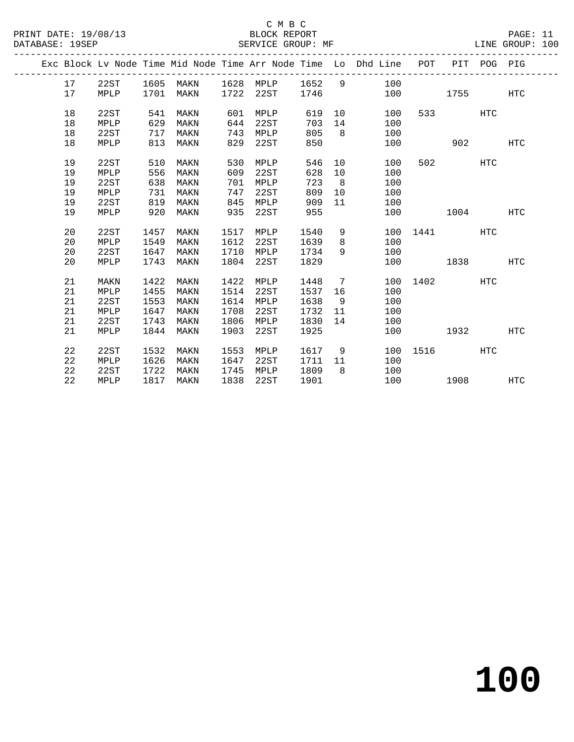### C M B C<br>BLOCK REPORT

PAGE: 11<br>LINE GROUP: 100

|  |    |      |      |      |      |      |      |                 | Exc Block Lv Node Time Mid Node Time Arr Node Time Lo Dhd Line | POT  | PIT  | POG PIG    |                   |
|--|----|------|------|------|------|------|------|-----------------|----------------------------------------------------------------|------|------|------------|-------------------|
|  | 17 | 22ST | 1605 | MAKN | 1628 | MPLP | 1652 | 9               | 100                                                            |      |      |            |                   |
|  | 17 | MPLP | 1701 | MAKN | 1722 | 22ST | 1746 |                 | 100                                                            |      | 1755 |            | $_{\mathrm{HTC}}$ |
|  |    |      |      |      |      |      |      |                 |                                                                |      |      |            |                   |
|  | 18 | 22ST | 541  | MAKN | 601  | MPLP | 619  | 10              | 100                                                            | 533  |      | <b>HTC</b> |                   |
|  | 18 | MPLP | 629  | MAKN | 644  | 22ST | 703  | 14              | 100                                                            |      |      |            |                   |
|  | 18 | 22ST | 717  | MAKN | 743  | MPLP | 805  | 8               | 100                                                            |      |      |            |                   |
|  | 18 | MPLP | 813  | MAKN | 829  | 22ST | 850  |                 | 100                                                            |      | 902  |            | <b>HTC</b>        |
|  | 19 | 22ST | 510  | MAKN | 530  | MPLP | 546  | 10 <sup>°</sup> | 100                                                            | 502  |      | <b>HTC</b> |                   |
|  | 19 | MPLP | 556  | MAKN | 609  | 22ST | 628  | 10              | 100                                                            |      |      |            |                   |
|  | 19 | 22ST | 638  | MAKN | 701  | MPLP | 723  | 8               | 100                                                            |      |      |            |                   |
|  | 19 | MPLP | 731  | MAKN | 747  | 22ST | 809  | 10              | 100                                                            |      |      |            |                   |
|  | 19 | 22ST | 819  | MAKN | 845  | MPLP | 909  | 11              | 100                                                            |      |      |            |                   |
|  | 19 | MPLP | 920  | MAKN | 935  | 22ST | 955  |                 | 100                                                            |      | 1004 |            | <b>HTC</b>        |
|  |    |      |      |      |      |      |      |                 |                                                                |      |      |            |                   |
|  | 20 | 22ST | 1457 | MAKN | 1517 | MPLP | 1540 | 9               | 100                                                            | 1441 |      | <b>HTC</b> |                   |
|  | 20 | MPLP | 1549 | MAKN | 1612 | 22ST | 1639 | 8               | 100                                                            |      |      |            |                   |
|  | 20 | 22ST | 1647 | MAKN | 1710 | MPLP | 1734 | 9               | 100                                                            |      |      |            |                   |
|  | 20 | MPLP | 1743 | MAKN | 1804 | 22ST | 1829 |                 | 100                                                            |      | 1838 |            | <b>HTC</b>        |
|  |    |      |      |      |      |      |      |                 |                                                                |      |      |            |                   |
|  | 21 | MAKN | 1422 | MAKN | 1422 | MPLP | 1448 | 7               | 100                                                            | 1402 |      | <b>HTC</b> |                   |
|  | 21 | MPLP | 1455 | MAKN | 1514 | 22ST | 1537 | 16              | 100                                                            |      |      |            |                   |
|  | 21 | 22ST | 1553 | MAKN | 1614 | MPLP | 1638 | - 9             | 100                                                            |      |      |            |                   |
|  | 21 | MPLP | 1647 | MAKN | 1708 | 22ST | 1732 | 11              | 100                                                            |      |      |            |                   |
|  | 21 | 22ST | 1743 | MAKN | 1806 | MPLP | 1830 | 14              | 100                                                            |      |      |            |                   |
|  | 21 | MPLP | 1844 | MAKN | 1903 | 22ST | 1925 |                 | 100                                                            |      | 1932 |            | <b>HTC</b>        |
|  | 22 | 22ST | 1532 | MAKN | 1553 | MPLP | 1617 | 9               | 100                                                            | 1516 |      | <b>HTC</b> |                   |
|  | 22 | MPLP | 1626 | MAKN | 1647 | 22ST | 1711 | 11              | 100                                                            |      |      |            |                   |
|  | 22 | 22ST | 1722 | MAKN | 1745 | MPLP | 1809 | 8               | 100                                                            |      |      |            |                   |
|  | 22 | MPLP | 1817 | MAKN | 1838 | 22ST | 1901 |                 | 100                                                            |      | 1908 |            | <b>HTC</b>        |
|  |    |      |      |      |      |      |      |                 |                                                                |      |      |            |                   |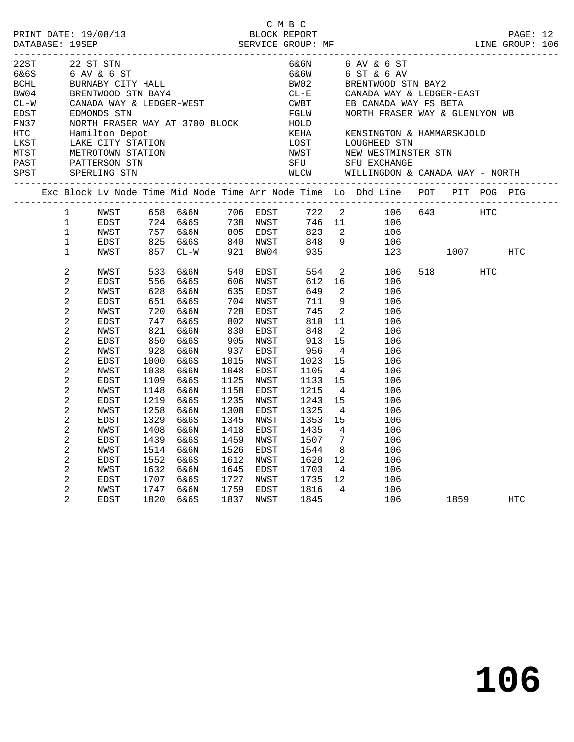|                             |                                                                                                                                                                                                              |                                                                                                                                                                             |                                                                                                                                                             |                                                                                                                                                                      |                                                                                                                                               |                                                                                                                                                                              | C M B C                                                                                                                                                     |                                                                                                                                                                                                                           |                                                                                                                                                                                                                                                                                                                                                                                                                                          |          |     |     |  |
|-----------------------------|--------------------------------------------------------------------------------------------------------------------------------------------------------------------------------------------------------------|-----------------------------------------------------------------------------------------------------------------------------------------------------------------------------|-------------------------------------------------------------------------------------------------------------------------------------------------------------|----------------------------------------------------------------------------------------------------------------------------------------------------------------------|-----------------------------------------------------------------------------------------------------------------------------------------------|------------------------------------------------------------------------------------------------------------------------------------------------------------------------------|-------------------------------------------------------------------------------------------------------------------------------------------------------------|---------------------------------------------------------------------------------------------------------------------------------------------------------------------------------------------------------------------------|------------------------------------------------------------------------------------------------------------------------------------------------------------------------------------------------------------------------------------------------------------------------------------------------------------------------------------------------------------------------------------------------------------------------------------------|----------|-----|-----|--|
| 22ST<br>EDST<br>FN37<br>HTC |                                                                                                                                                                                                              | 22 ST STN<br>EDMONDS STN<br>Hamilton Depot<br>LKST LAKE CITY STATION<br>MTST METROTOWN STATION                                                                              |                                                                                                                                                             | 22ST 22 ST STN<br>6&6S 6 AV & 6 ST<br>BCHL BURNABY CITY HALL<br>BW04 BRENTWOOD STN BAY4<br>CL-W CANADA WAY & LEDGER-WEST<br>NORTH FRASER WAY AT 3700 BLOCK           |                                                                                                                                               |                                                                                                                                                                              | HOLD<br>KEHA                                                                                                                                                |                                                                                                                                                                                                                           | $\begin{array}{lllll} 6\& 6\textnormal{N} & \qquad & 6\textnormal{A}\textnormal{V} \; \& \; 6\textnormal{S}\textnormal{T} \\ 6\& 6\textnormal{W} & \qquad & 6\textnormal{S}\textnormal{T} \; \& \; 6\textnormal{A}\textnormal{V} \end{array}$<br>BW02 BRENTWOOD STN BAY2<br>CL-E CANADA WAY & LEDGER-EAST<br>CWBT EB CANADA WAY FS BETA<br>FGLW NORTH FRASER WAY & GLENLY<br>NORTH FRASER WAY & GLENLYON WB<br>KENSINGTON & HAMMARSKJOLD |          |     |     |  |
|                             |                                                                                                                                                                                                              |                                                                                                                                                                             |                                                                                                                                                             |                                                                                                                                                                      |                                                                                                                                               |                                                                                                                                                                              |                                                                                                                                                             |                                                                                                                                                                                                                           | Exc Block Lv Node Time Mid Node Time Arr Node Time Lo Dhd Line POT PIT POG PIG                                                                                                                                                                                                                                                                                                                                                           |          |     |     |  |
|                             | $1 \quad$<br>$\mathbf 1$<br>$\mathbf{1}$<br>$\mathbf 1$<br>$\mathbf{1}$                                                                                                                                      | EDST<br>NWST<br>EDST<br>NWST                                                                                                                                                |                                                                                                                                                             | NWST 658 6&6N 706 EDST<br>857 CL-W                                                                                                                                   |                                                                                                                                               | 921 BW04                                                                                                                                                                     | 935                                                                                                                                                         |                                                                                                                                                                                                                           | 722 2 106 643 HTC<br>724 6&6S 738 NWST 746 11 106<br>757 6&6N 805 EDST 823 2 106<br>825 6&6S 840 NWST 848 9 106<br>123                                                                                                                                                                                                                                                                                                                   | 1007 100 |     | HTC |  |
|                             | $\sqrt{2}$<br>2<br>2<br>2<br>2<br>2<br>$\sqrt{2}$<br>2<br>$\sqrt{2}$<br>$\sqrt{2}$<br>2<br>$\overline{a}$<br>$\sqrt{2}$<br>$\sqrt{2}$<br>$\sqrt{2}$<br>2<br>2<br>$\overline{a}$<br>2<br>2<br>$\sqrt{2}$<br>2 | NWST<br>EDST<br>NWST<br>EDST<br>NWST<br>EDST<br>NWST<br><b>EDST</b><br>NWST<br>EDST<br>NWST<br>EDST<br>NWST<br>EDST<br>NWST<br>EDST<br>NWST<br>EDST<br>NWST<br>EDST<br>NWST | 533<br>556<br>628<br>651<br>720<br>747<br>821<br>850<br>928<br>1000<br>1038<br>1109<br>1148<br>1219<br>1258<br>1329<br>1408<br>1439<br>1514<br>1552<br>1632 | 6&6N<br>6&6S<br>6&6N<br>6&6S<br>6&6N<br>6&6S<br>6&6N<br>6&6S<br>6&6N<br>6&6S<br>6&6N<br>6&6S<br>6&6N<br>6&6S<br>6&6N<br>6&6S<br>6&6N<br>6&6S<br>6&6N<br>6&6S<br>6&6N | 540<br>606<br>635<br>728<br>830<br>905<br>937<br>1015<br>1048<br>1125<br>1158<br>1235<br>1308<br>1345<br>1418<br>1459<br>1526<br>1612<br>1645 | EDST<br>NWST<br>EDST<br>704 NWST<br>EDST<br>802 NWST<br>EDST<br>NWST<br>EDST<br>NWST<br>EDST<br>NWST<br>EDST<br>NWST<br>EDST<br>NWST<br>EDST<br>NWST<br>EDST<br>NWST<br>EDST | 554<br>612<br>649<br>711<br>745<br>810<br>848<br>913<br>956<br>1023<br>1105<br>1133<br>1215<br>1243<br>1325<br>1353<br>1435<br>1507<br>1544<br>1620<br>1703 | $\overline{a}$<br>9<br>$\overline{2}$<br>11<br>2<br>15<br>$\overline{4}$<br>15<br>4 <sup>1</sup><br>15<br>$\overline{4}$<br>15<br>$\overline{4}$<br>15<br>$\overline{4}$<br>$7\overline{ }$<br>8 <sup>8</sup><br>12<br>12 | 2 106<br>16<br>106<br>106<br>106<br>106<br>106<br>106<br>106<br>106<br>106<br>106<br>106<br>106<br>106<br>106<br>106<br>106<br>106<br>106<br>106<br>4<br>106<br>106                                                                                                                                                                                                                                                                      | 518 — 10 | HTC |     |  |
|                             | 2<br>$\overline{2}$                                                                                                                                                                                          | EDST<br>NWST<br>EDST                                                                                                                                                        | 1707<br>1747<br>1820                                                                                                                                        | 6&6S<br>6&6N<br>6&6S                                                                                                                                                 | 1727<br>1759                                                                                                                                  | NWST<br>EDST<br>1837 NWST                                                                                                                                                    | 1735<br>1816<br>1845                                                                                                                                        | $\overline{4}$                                                                                                                                                                                                            | 106<br>106                                                                                                                                                                                                                                                                                                                                                                                                                               | 1859 188 |     | HTC |  |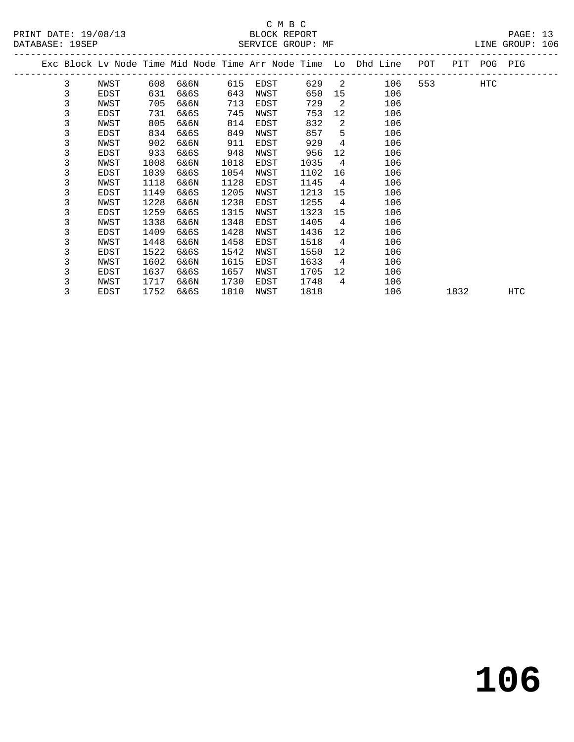# C M B C<br>BLOCK REPORT

PAGE: 13<br>LINE GROUP: 106

**106**

|  |   |      |      |      |      |      |      |                | Exc Block Lv Node Time Mid Node Time Arr Node Time Lo Dhd Line | POT | PIT  | POG PIG |            |
|--|---|------|------|------|------|------|------|----------------|----------------------------------------------------------------|-----|------|---------|------------|
|  | 3 | NWST | 608  | 6&6N | 615  | EDST | 629  | 2              | 106                                                            | 553 |      | HTC     |            |
|  | 3 | EDST | 631  | 6&6S | 643  | NWST | 650  | 15             | 106                                                            |     |      |         |            |
|  | 3 | NWST | 705  | 6&6N | 713  | EDST | 729  | 2              | 106                                                            |     |      |         |            |
|  | 3 | EDST | 731  | 6&6S | 745  | NWST | 753  | 12             | 106                                                            |     |      |         |            |
|  | 3 | NWST | 805  | 6&6N | 814  | EDST | 832  | 2              | 106                                                            |     |      |         |            |
|  | 3 | EDST | 834  | 6&6S | 849  | NWST | 857  | 5              | 106                                                            |     |      |         |            |
|  | 3 | NWST | 902  | 6&6N | 911  | EDST | 929  | 4              | 106                                                            |     |      |         |            |
|  | 3 | EDST | 933  | 6&6S | 948  | NWST | 956  | 12             | 106                                                            |     |      |         |            |
|  | 3 | NWST | 1008 | 6&6N | 1018 | EDST | 1035 | $\overline{4}$ | 106                                                            |     |      |         |            |
|  | 3 | EDST | 1039 | 6&6S | 1054 | NWST | 1102 | 16             | 106                                                            |     |      |         |            |
|  | 3 | NWST | 1118 | 6&6N | 1128 | EDST | 1145 | $\overline{4}$ | 106                                                            |     |      |         |            |
|  | 3 | EDST | 1149 | 6&6S | 1205 | NWST | 1213 | 15             | 106                                                            |     |      |         |            |
|  | 3 | NWST | 1228 | 6&6N | 1238 | EDST | 1255 | $\overline{4}$ | 106                                                            |     |      |         |            |
|  | 3 | EDST | 1259 | 6&6S | 1315 | NWST | 1323 | 15             | 106                                                            |     |      |         |            |
|  | 3 | NWST | 1338 | 6&6N | 1348 | EDST | 1405 | 4              | 106                                                            |     |      |         |            |
|  | 3 | EDST | 1409 | 6&6S | 1428 | NWST | 1436 | 12             | 106                                                            |     |      |         |            |
|  | 3 | NWST | 1448 | 6&6N | 1458 | EDST | 1518 | 4              | 106                                                            |     |      |         |            |
|  | 3 | EDST | 1522 | 6&6S | 1542 | NWST | 1550 | 12             | 106                                                            |     |      |         |            |
|  | 3 | NWST | 1602 | 6&6N | 1615 | EDST | 1633 | $\overline{4}$ | 106                                                            |     |      |         |            |
|  | 3 | EDST | 1637 | 6&6S | 1657 | NWST | 1705 | 12             | 106                                                            |     |      |         |            |
|  | 3 | NWST | 1717 | 6&6N | 1730 | EDST | 1748 | 4              | 106                                                            |     |      |         |            |
|  | 3 | EDST | 1752 | 6&6S | 1810 | NWST | 1818 |                | 106                                                            |     | 1832 |         | <b>HTC</b> |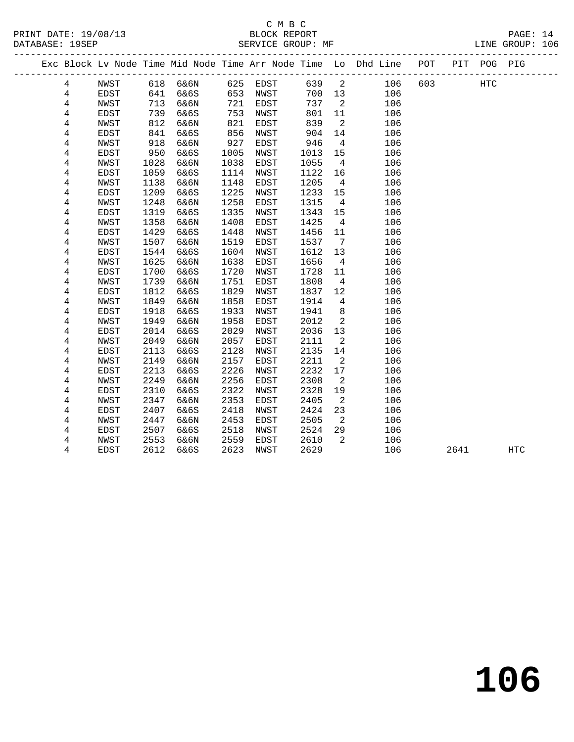|  |                |                     |              |              |              |              |              |                         | Exc Block Lv Node Time Mid Node Time Arr Node Time Lo Dhd Line POT |     |      | PIT POG PIG |            |
|--|----------------|---------------------|--------------|--------------|--------------|--------------|--------------|-------------------------|--------------------------------------------------------------------|-----|------|-------------|------------|
|  | 4              | NWST                |              | 618 6&6N     |              | 625 EDST     | 639          | $\overline{\mathbf{2}}$ | 106                                                                | 603 |      | HTC         |            |
|  | $\overline{4}$ | EDST                | $-41$<br>641 | 6&6S         | 653          | NWST         | 700          | 13                      | 106                                                                |     |      |             |            |
|  | $\overline{4}$ | NWST                | 713          | 6&6N         | 721          | EDST         | 737          | $\overline{2}$          | 106                                                                |     |      |             |            |
|  | 4              | EDST                | 739          | 6&6S         | 753          | NWST         | 801          | 11                      | 106                                                                |     |      |             |            |
|  | 4              | <b>NWST</b>         | 812          | 6&6N         | 821          | EDST         | 839          | $\overline{2}$          | 106                                                                |     |      |             |            |
|  | 4              | EDST                | 841          | 6&6S         | 856          | NWST         | 904          | 14                      | 106                                                                |     |      |             |            |
|  | 4              | NWST                | 918          | 6&6N         | 927          | EDST         | 946          | $\overline{4}$          | 106                                                                |     |      |             |            |
|  | 4              | EDST                | 950          | 6&6S         | 1005         | NWST         | 1013         | 15                      | 106                                                                |     |      |             |            |
|  | 4              | NWST                | 1028         | 6&6N         | 1038         | EDST         | 1055         | $\overline{4}$          | 106                                                                |     |      |             |            |
|  | 4              | EDST                | 1059         | 6&6S         | 1114         | NWST         | 1122         | 16                      | 106                                                                |     |      |             |            |
|  | 4              | NWST                | 1138         | 6&6N         | 1148         | EDST         | 1205         | $\overline{4}$          | 106                                                                |     |      |             |            |
|  | 4              | EDST                | 1209         | 6&6S         | 1225         | NWST         | 1233         | 15                      | 106                                                                |     |      |             |            |
|  | $\,4$          | NWST                | 1248         | 6&6N         | 1258         | EDST         | 1315         | $\overline{4}$          | 106                                                                |     |      |             |            |
|  | 4              | EDST                | 1319         | 6&6S         | 1335         | NWST         | 1343         | 15                      | 106                                                                |     |      |             |            |
|  | 4              | NWST                | 1358         | 6&6N         | 1408         | EDST         | 1425         | $\overline{4}$          | 106                                                                |     |      |             |            |
|  | 4              | EDST                | 1429         | 6&6S         | 1448         | NWST         | 1456         | 11                      | 106                                                                |     |      |             |            |
|  | 4              | <b>NWST</b>         | 1507         | 6&6N         | 1519         | EDST         | 1537         | $\overline{7}$          | 106                                                                |     |      |             |            |
|  | 4              | EDST                | 1544         | 6&6S         | 1604         | NWST         | 1612         | 13                      | 106                                                                |     |      |             |            |
|  | 4              | NWST                | 1625         | 6&6N         | 1638         | EDST         | 1656         | $\overline{4}$          | 106                                                                |     |      |             |            |
|  | 4              | EDST                | 1700         | 6&6S         | 1720         | NWST         | 1728         | 11                      | 106                                                                |     |      |             |            |
|  | 4              | <b>NWST</b>         | 1739         | 6&6N         | 1751         | EDST         | 1808         | $\overline{4}$          | 106                                                                |     |      |             |            |
|  | 4              | EDST                | 1812         | 6&6S         | 1829         | NWST         | 1837         | 12                      | 106                                                                |     |      |             |            |
|  | 4              | NWST                | 1849         | 6&6N         | 1858         | EDST         | 1914         | 4                       | 106                                                                |     |      |             |            |
|  | 4              | EDST                | 1918         | 6&6S         | 1933         | NWST         | 1941         | $\,8\,$                 | 106                                                                |     |      |             |            |
|  | 4              | NWST                | 1949         | 6&6N         | 1958         | EDST         | 2012         | $\overline{2}$          | 106                                                                |     |      |             |            |
|  | 4              | EDST                | 2014         | 6&6S         | 2029         | NWST         | 2036         | 13                      | 106                                                                |     |      |             |            |
|  | 4              | NWST                | 2049         | 6&6N         | 2057         | EDST         | 2111         | $\overline{2}$          | 106                                                                |     |      |             |            |
|  | 4<br>4         | EDST<br><b>NWST</b> | 2113<br>2149 | 6&6S<br>6&6N | 2128<br>2157 | NWST<br>EDST | 2135<br>2211 | 14<br>2                 | 106<br>106                                                         |     |      |             |            |
|  | 4              | <b>EDST</b>         | 2213         | 6&6S         | 2226         | NWST         | 2232         | 17                      | 106                                                                |     |      |             |            |
|  | 4              | <b>NWST</b>         | 2249         | 6&6N         | 2256         | EDST         | 2308         | 2                       | 106                                                                |     |      |             |            |
|  | 4              | EDST                | 2310         | 6&6S         | 2322         | NWST         | 2328         | 19                      | 106                                                                |     |      |             |            |
|  | 4              | NWST                | 2347         | 6&6N         | 2353         | EDST         | 2405         | 2                       | 106                                                                |     |      |             |            |
|  | 4              | EDST                | 2407         | 6&6S         | 2418         | NWST         | 2424         | 23                      | 106                                                                |     |      |             |            |
|  | 4              | NWST                | 2447         | 6&6N         | 2453         | EDST         | 2505         | 2                       | 106                                                                |     |      |             |            |
|  | 4              | EDST                | 2507         | 6&6S         | 2518         | NWST         | 2524         | 29                      | 106                                                                |     |      |             |            |
|  | 4              | NWST                | 2553         | 6&6N         | 2559         | EDST         | 2610         | 2                       | 106                                                                |     |      |             |            |
|  | 4              | EDST                | 2612         | 6&6S         | 2623         | NWST         | 2629         |                         | 106                                                                |     | 2641 |             | <b>HTC</b> |
|  |                |                     |              |              |              |              |              |                         |                                                                    |     |      |             |            |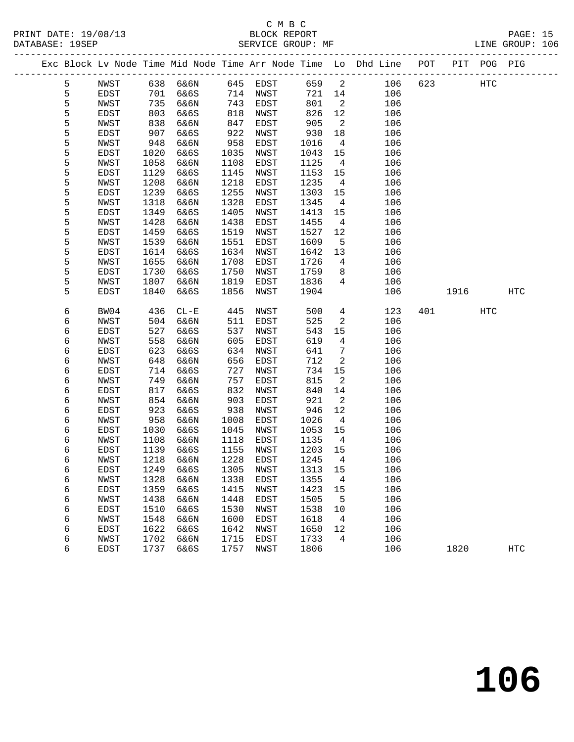# C M B C

DATABASE: 19SEP SERVICE GROUP: MF LINE GROUP: 106 ------------------------------------------------------------------------------------------------- Exc Block Lv Node Time Mid Node Time Arr Node Time Lo Dhd Line POT PIT POG PIG ------------------------------------------------------------------------------------------------- 5 NWST 638 6&6N 645 EDST 659 2 106 623 HTC<br>
5 EDST 701 6&6S 714 NWST 721 14 106<br>
5 NWST 735 6&6N 743 EDST 801 2 106<br>
5 EDST 803 6&6S 818 NWST 826 12 106<br>
5 NWST 838 6&6N 847 EDST 905 2 106<br>
5 EDST 907 6&6S 922 NWST 936 18 5 EDST 701 6&6S 714 NWST 721 14 106 5 NWST 735 6&6N 743 EDST 801 2 106 5 EDST 803 6&6S 818 NWST 826 12 106 5 NWST 838 6&6N 847 EDST 905 2 106 5 EDST 907 6&6S 922 NWST 930 18 106 5 NWST 948 6&6N 958 EDST 1016 4 106 5 EDST 1020 6&6S 1035 NWST 1043 15 106 5 NWST 1058 6&6N 1108 EDST 1125 4 106 5 EDST 1129 6&6S 1145 NWST 1153 15 106 5 NWST 1208 6&6N 1218 EDST 1235 4 106 5 EDST 1239 6&6S 1255 NWST 1303 15 106 5 NWST 1318 6&6N 1328 EDST 1345 4 106 5 EDST 1349 6&6S 1405 NWST 1413 15 106 5 NWST 1428 6&6N 1438 EDST 1455 4 106 5 EDST 1459 6&6S 1519 NWST 1527 12 106 5 NWST 1539 6&6N 1551 EDST 1609 5 106 5 EDST 1614 6&6S 1634 NWST 1642 13 106 5 NWST 1655 6&6N 1708 EDST 1726 4 106 5 EDST 1730 6&6S 1750 NWST 1759 8 106 5 NWST 1807 6&6N 1819 EDST 1836 4 106 5 EDST 1840 6&6S 1856 NWST 1904 106 1916 HTC 6 BW04 436 CL-E 445 NWST 500 4 123 401 HTC 6 NWST 504 6&6N 511 EDST 525 2 106 6 EDST 527 6&6S 537 NWST 543 15 106 6 NWST 558 6&6N 605 EDST 619 4 106 6 EDST 623 6&6S 634 NWST 641 7 106 6 NWST 648 6&6N 656 EDST 712 2 106 6 EDST 714 6&6S 727 NWST 734 15 106 6 NWST 749 6&6N 757 EDST 815 2 106 6 EDST 817 6&6S 832 NWST 840 14 106 6 NWST 854 6&6N 903 EDST 921 2 106 6 EDST 923 6&6S 938 NWST 946 12 106 6 NWST 958 6&6N 1008 EDST 1026 4 106 6 EDST 1030 6&6S 1045 NWST 1053 15 106 6 NWST 1108 6&6N 1118 EDST 1135 4 106<br>6 EDST 1139 6&6S 1155 NWST 1203 15 106<br>6 NWST 1218 6&6N 1228 EDST 1245 4 106<br>6 EDST 1249 6&6S 1305 NWST 1313 15 106

 6 EDST 1139 6&6S 1155 NWST 1203 15 106 6 NWST 1218 6&6N 1228 EDST 1245 4 106 6 EDST 1249 6&6S 1305 NWST 1313 15 106 6 NWST 1328 6&6N 1338 EDST 1355 4 106 6 EDST 1359 6&6S 1415 NWST 1423 15 106 6 NWST 1438 6&6N 1448 EDST 1505 5 106 6 EDST 1510 6&6S 1530 NWST 1538 10 106 6 NWST 1548 6&6N 1600 EDST 1618 4 106 6 EDST 1622 6&6S 1642 NWST 1650 12 106 6 NWST 1702 6&6N 1715 EDST 1733 4 106

6 EDST 1737 6&6S 1757 NWST 1806 106 1820 HTC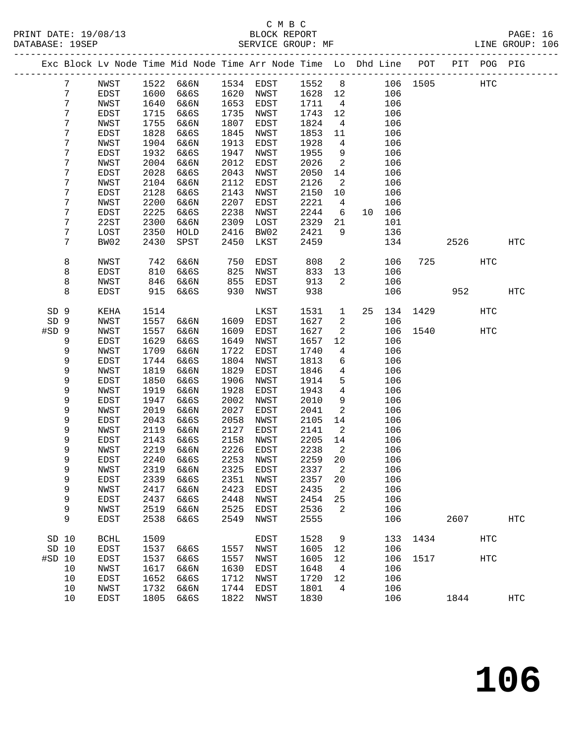# C M B C

| PRINT DATE: 19/08/13<br>DATABASE: 19SEP |      |                       |              | BLOCK REPORT<br>SERVICE GROUP: MF                                              |              |              |              |                          |                |            |      |         |            | PAGE: 16<br>LINE GROUP: 106 |  |
|-----------------------------------------|------|-----------------------|--------------|--------------------------------------------------------------------------------|--------------|--------------|--------------|--------------------------|----------------|------------|------|---------|------------|-----------------------------|--|
|                                         |      |                       |              | Exc Block Lv Node Time Mid Node Time Arr Node Time Lo Dhd Line POT PIT POG PIG |              |              |              |                          |                |            |      |         |            |                             |  |
| $7\phantom{.}$                          |      | NWST                  |              | 1522 6&6N 1534 EDST 1552 8 106 1505 HTC                                        |              |              |              |                          |                |            |      |         |            |                             |  |
| 7                                       |      | EDST                  | 1600         | 6&6S                                                                           |              | 1620 NWST    | 1628 12      |                          |                | 106        |      |         |            |                             |  |
| 7                                       |      | NWST                  | 1640         | 6&6N                                                                           | 1653         | EDST         | 1711         | $\overline{4}$           |                | 106        |      |         |            |                             |  |
| 7                                       |      | EDST                  | 1715         | 6&6S                                                                           | 1735         | NWST         | 1743 12      |                          |                | 106        |      |         |            |                             |  |
| 7                                       |      | NWST                  | 1755         | 6&6N                                                                           | 1807         | EDST         | 1824         | $\overline{4}$           |                | 106        |      |         |            |                             |  |
| 7                                       |      | EDST                  | 1828         | 6&6S                                                                           | 1845         | NWST         | 1853         | 11                       |                | 106        |      |         |            |                             |  |
| 7                                       |      | NWST                  | 1904         | 6&6N                                                                           | 1913         | EDST         | 1928         | $\overline{4}$           |                | 106        |      |         |            |                             |  |
| 7                                       |      | EDST                  | 1932         | 6&6S                                                                           | 1947         | NWST         | 1955         | 9                        |                | 106        |      |         |            |                             |  |
| 7                                       |      | NWST                  | 2004         | 6&6N                                                                           | 2012         | EDST         | 2026         | $\overline{\phantom{a}}$ |                | 106        |      |         |            |                             |  |
| 7                                       |      | EDST                  | 2028         | 6&6S                                                                           | 2043         | NWST         | 2050         | 14                       |                | 106        |      |         |            |                             |  |
| 7                                       |      | NWST                  | 2104         | 6&6N                                                                           | 2112         | EDST         | 2126         | $\overline{\phantom{a}}$ |                | 106        |      |         |            |                             |  |
| 7                                       |      | EDST                  | 2128         | 6&6S                                                                           | 2143         | NWST         | 2150         | 10                       |                | 106        |      |         |            |                             |  |
| 7                                       |      | NWST                  | 2200         | 6&6N                                                                           | 2207         | EDST         | 2221         | $\overline{4}$           |                | 106        |      |         |            |                             |  |
| 7                                       |      | EDST                  | 2225         | 6&6S                                                                           | 2238         | NWST         | 2244         | 6                        |                | 10 106     |      |         |            |                             |  |
| 7                                       |      | 22ST                  | 2300         | 6&6N                                                                           | 2309         | LOST         | 2329         | 21                       |                | 101        |      |         |            |                             |  |
| 7                                       |      | LOST                  | 2350         | HOLD                                                                           | 2416         | BW02         | 2421         | 9                        |                | 136        |      |         |            |                             |  |
| 7                                       |      | BW02                  | 2430         | SPST                                                                           | 2450         | LKST         | 2459         |                          |                | 134        |      |         | 2526       | HTC                         |  |
| 8                                       |      | NWST                  | 742          | 6&6N                                                                           | 750          | EDST         | 808          |                          | $\overline{2}$ | 106        |      | 725 HTC |            |                             |  |
| 8                                       |      | EDST                  | 810          | 6&6S                                                                           | 825          | NWST         | 833          | 13                       |                | 106        |      |         |            |                             |  |
| 8                                       |      | NWST                  | 846          | 6&6N                                                                           | 855          | EDST         | 913          | $\overline{2}$           |                | 106        |      |         |            |                             |  |
| 8                                       |      | EDST                  | 915          | 6&6S                                                                           | 930          | NWST         | 938          |                          |                | 106        |      | 952     |            | <b>HTC</b>                  |  |
| SD 9                                    |      | KEHA                  | 1514         |                                                                                |              | LKST         | 1531         | 1                        | 25             | 134        | 1429 |         | <b>HTC</b> |                             |  |
| SD <sub>9</sub>                         |      | NWST                  | 1557         | 6&6N                                                                           | 1609         | EDST         | 1627         | $\overline{a}$           |                | 106        |      |         |            |                             |  |
| #SD 9                                   |      | NWST                  | 1557         | 6&6N                                                                           | 1609         | EDST         | 1627         | $\overline{a}$           |                | 106        | 1540 |         | HTC        |                             |  |
| 9                                       |      | EDST                  | 1629         | 6&6S                                                                           | 1649         | NWST         | 1657         | 12                       |                | 106        |      |         |            |                             |  |
| 9                                       |      | NWST                  | 1709         | 6&6N                                                                           | 1722         | EDST         | 1740         | $4\overline{4}$          |                | 106        |      |         |            |                             |  |
| 9                                       |      | EDST                  | 1744         | 6&6S                                                                           | 1804         | NWST         | 1813         | 6                        |                | 106        |      |         |            |                             |  |
| 9                                       |      | NWST                  | 1819         | 6&6N                                                                           | 1829         | EDST         | 1846         | $\overline{4}$           |                | 106        |      |         |            |                             |  |
| 9                                       |      | EDST                  | 1850         | 6&6S                                                                           | 1906         | NWST         | 1914         | 5 <sup>5</sup>           |                | 106        |      |         |            |                             |  |
| 9                                       |      | NWST                  | 1919         | 6&6N                                                                           | 1928         | EDST         | 1943         | $\overline{4}$           |                | 106        |      |         |            |                             |  |
| 9                                       |      | EDST                  | 1947         | 6&6S                                                                           | 2002         | NWST         | 2010         | 9                        |                | 106        |      |         |            |                             |  |
| 9                                       |      | NWST                  | 2019         | 6&6N                                                                           | 2027         | EDST         | 2041         | $\overline{2}$           |                | 106        |      |         |            |                             |  |
| 9                                       |      | EDST                  | 2043         | 6&6S                                                                           | 2058         | NWST         | 2105         | 14                       |                | 106        |      |         |            |                             |  |
| 9<br>9                                  |      | NWST<br>EDST          | 2119<br>2143 | 6&6N<br>6&6S                                                                   | 2127<br>2158 | EDST<br>NWST | 2141<br>2205 | $\overline{2}$<br>14     |                | 106<br>106 |      |         |            |                             |  |
| 9                                       |      | NWST                  |              | 2219 6&6N 2226 EDST                                                            |              |              | 2238 2       |                          |                | 106        |      |         |            |                             |  |
| 9                                       |      | EDST                  | 2240         | 6&6S                                                                           | 2253         | NWST         | 2259         | 20                       |                | 106        |      |         |            |                             |  |
| 9                                       |      | <b>NWST</b>           | 2319         | 6&6N                                                                           | 2325         | EDST         | 2337         | 2                        |                | 106        |      |         |            |                             |  |
| 9                                       |      | EDST                  | 2339         | 6&6S                                                                           | 2351         | NWST         | 2357         | 20                       |                | 106        |      |         |            |                             |  |
| 9                                       |      | NWST                  | 2417         | 6&6N                                                                           | 2423         | EDST         | 2435         | 2                        |                | 106        |      |         |            |                             |  |
| 9                                       |      | EDST                  | 2437         | 6&6S                                                                           | 2448         | NWST         | 2454         | 25                       |                | 106        |      |         |            |                             |  |
| 9                                       |      | NWST                  | 2519         | 6&6N                                                                           | 2525         | <b>EDST</b>  | 2536         | 2                        |                | 106        |      |         |            |                             |  |
| 9                                       |      | EDST                  | 2538         | 6&6S                                                                           | 2549         | NWST         | 2555         |                          |                | 106        |      | 2607    |            | <b>HTC</b>                  |  |
| SD 10                                   |      | $\operatorname{BCHL}$ | 1509         |                                                                                |              | EDST         | 1528         | 9                        |                | 133        | 1434 |         | <b>HTC</b> |                             |  |
| SD 10                                   |      | EDST                  | 1537         | 6&6S                                                                           | 1557         | NWST         | 1605         | 12                       |                | 106        |      |         |            |                             |  |
| #SD 10                                  |      | EDST                  | 1537         | 6&6S                                                                           | 1557         | NWST         | 1605         | 12                       |                | 106        | 1517 |         | <b>HTC</b> |                             |  |
|                                         | 10   | NWST                  | 1617         | 6&6N                                                                           | 1630         | EDST         | 1648         | 4                        |                | 106        |      |         |            |                             |  |
|                                         | 10   | EDST                  | 1652         | 6&6S                                                                           | 1712         | NWST         | 1720         | 12                       |                | 106        |      |         |            |                             |  |
|                                         | $10$ | NWST                  | 1732         | 6&6N                                                                           | 1744         | EDST         | 1801         | $\overline{4}$           |                | 106        |      |         |            |                             |  |
|                                         | 10   | EDST                  | 1805         | 6&6S                                                                           | 1822         | NWST         | 1830         |                          |                | 106        |      | 1844    |            | HTC                         |  |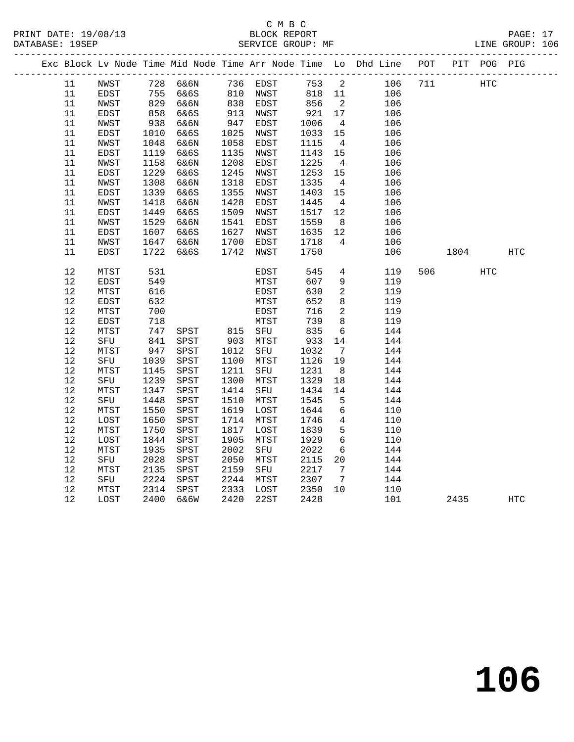# C M B C<br>BLOCK REPORT

|  |        |             |      |                   |      |                      |      |                          | Exc Block Lv Node Time Mid Node Time Arr Node Time Lo Dhd Line POT PIT POG PIG |     |      |     |            |
|--|--------|-------------|------|-------------------|------|----------------------|------|--------------------------|--------------------------------------------------------------------------------|-----|------|-----|------------|
|  | 11     | NWST        |      | 728 6&6N 736 EDST |      |                      | 753  | $\overline{\mathbf{c}}$  | 106                                                                            | 711 |      | HTC |            |
|  | 11     | EDST        |      | 755 6&6S          |      |                      | 818  | 11                       | 106                                                                            |     |      |     |            |
|  | 11     | NWST        | 829  | 6&6N              |      | 810 NWST<br>838 EDST | 856  | $\overline{\phantom{a}}$ | 106                                                                            |     |      |     |            |
|  | $11\,$ | EDST        | 858  | 6&6S              | 913  | NWST                 | 921  | 17                       | 106                                                                            |     |      |     |            |
|  | 11     | NWST        | 938  | 6&6N              | 947  | EDST                 | 1006 | $\overline{4}$           | 106                                                                            |     |      |     |            |
|  | 11     | EDST        | 1010 | 6&6S              | 1025 | NWST                 | 1033 | 15                       | 106                                                                            |     |      |     |            |
|  | 11     | NWST        | 1048 | 6&6N              | 1058 | EDST                 | 1115 | $\overline{4}$           | 106                                                                            |     |      |     |            |
|  | 11     | EDST        | 1119 | 6&6S              | 1135 | NWST                 | 1143 | 15                       | 106                                                                            |     |      |     |            |
|  | 11     | NWST        | 1158 | 6&6N              | 1208 | EDST                 | 1225 | $\overline{4}$           | 106                                                                            |     |      |     |            |
|  | 11     | EDST        | 1229 | 6&6S              | 1245 | NWST                 | 1253 | 15                       | 106                                                                            |     |      |     |            |
|  | 11     | NWST        | 1308 | 6&6N              | 1318 | EDST                 | 1335 | $\overline{4}$           | 106                                                                            |     |      |     |            |
|  | $11\,$ | EDST        | 1339 | 6&6S              | 1355 | NWST                 | 1403 | 15                       | 106                                                                            |     |      |     |            |
|  | $11\,$ | NWST        | 1418 | 6&6N              | 1428 | EDST                 | 1445 | $\overline{4}$           | 106                                                                            |     |      |     |            |
|  | $11\,$ | EDST        | 1449 | 6&6S              | 1509 | NWST                 | 1517 | 12                       | 106                                                                            |     |      |     |            |
|  | $11\,$ | NWST        | 1529 | 6&6N              | 1541 | EDST                 | 1559 | 8 <sup>8</sup>           | 106                                                                            |     |      |     |            |
|  | 11     | EDST        | 1607 | 6&6S              | 1627 | NWST                 | 1635 | 12                       | 106                                                                            |     |      |     |            |
|  | 11     | NWST        | 1647 | 6&6N              | 1700 | EDST                 | 1718 | $\overline{4}$           | 106                                                                            |     |      |     |            |
|  | 11     | EDST        | 1722 | 6&6S              | 1742 | NWST                 | 1750 |                          | 106                                                                            |     | 1804 |     | <b>HTC</b> |
|  | $12$   | MTST        | 531  |                   |      | EDST                 | 545  | $\overline{4}$           | 119                                                                            | 506 |      | HTC |            |
|  | $12$   | <b>EDST</b> | 549  |                   |      | MTST                 | 607  | 9                        | 119                                                                            |     |      |     |            |
|  | $12$   | MTST        | 616  |                   |      | EDST                 | 630  | $\overline{2}$           | 119                                                                            |     |      |     |            |
|  | $12$   | <b>EDST</b> | 632  |                   |      | MTST                 | 652  | 8                        | 119                                                                            |     |      |     |            |
|  | 12     | MTST        | 700  |                   |      | EDST                 | 716  | $\overline{a}$           | 119                                                                            |     |      |     |            |
|  | $12$   | EDST        | 718  |                   |      | MTST                 | 739  | 8                        | 119                                                                            |     |      |     |            |
|  | 12     | MTST        | 747  | SPST              |      | 815 SFU<br>903 MTST  | 835  | 6                        | 144                                                                            |     |      |     |            |
|  | 12     | SFU         | 841  | SPST              |      | MTST                 | 933  | 14                       | 144                                                                            |     |      |     |            |
|  | 12     | MTST        | 947  | SPST              | 1012 | SFU                  | 1032 | $\overline{7}$           | 144                                                                            |     |      |     |            |
|  | $12$   | SFU         | 1039 | ${\tt SPST}$      | 1100 | MTST                 | 1126 | 19                       | 144                                                                            |     |      |     |            |
|  | $12$   | MTST        | 1145 | SPST              | 1211 | SFU                  | 1231 | 8 <sup>8</sup>           | 144                                                                            |     |      |     |            |
|  | $1\,2$ | SFU         | 1239 | SPST              | 1300 | MTST                 | 1329 | 18                       | 144                                                                            |     |      |     |            |
|  | $12$   | MTST        | 1347 | SPST              | 1414 | SFU                  | 1434 | 14                       | 144                                                                            |     |      |     |            |
|  | $12$   | SFU         | 1448 | SPST              | 1510 | MTST                 | 1545 | 5                        | 144                                                                            |     |      |     |            |
|  | $12$   | MTST        | 1550 | SPST              | 1619 | LOST                 | 1644 | 6                        | 110                                                                            |     |      |     |            |
|  | $12\,$ | LOST        | 1650 | SPST              | 1714 | MTST                 | 1746 | $\overline{4}$           | 110                                                                            |     |      |     |            |
|  | 12     | MTST        | 1750 | SPST              | 1817 | LOST                 | 1839 | 5                        | 110                                                                            |     |      |     |            |
|  | 12     | LOST        | 1844 | SPST              | 1905 | MTST                 | 1929 | 6                        | 110                                                                            |     |      |     |            |
|  | 12     | MTST        | 1935 | SPST              | 2002 | SFU                  | 2022 | 6                        | 144                                                                            |     |      |     |            |
|  | $1\,2$ | SFU         | 2028 | SPST              | 2050 | MTST                 | 2115 | 20                       | 144                                                                            |     |      |     |            |
|  | $12$   | MTST        | 2135 | SPST              | 2159 | SFU                  | 2217 | $\overline{7}$           | 144                                                                            |     |      |     |            |
|  | $12$   | SFU         | 2224 | SPST              | 2244 | MTST                 | 2307 | $7\overline{ }$          | 144                                                                            |     |      |     |            |
|  | $12$   | MTST        | 2314 | SPST              | 2333 | LOST                 | 2350 | 10                       | 110                                                                            |     |      |     |            |
|  | 12     | LOST        | 2400 | 6&6W              | 2420 | 22ST                 | 2428 |                          | 101                                                                            |     | 2435 |     | HTC        |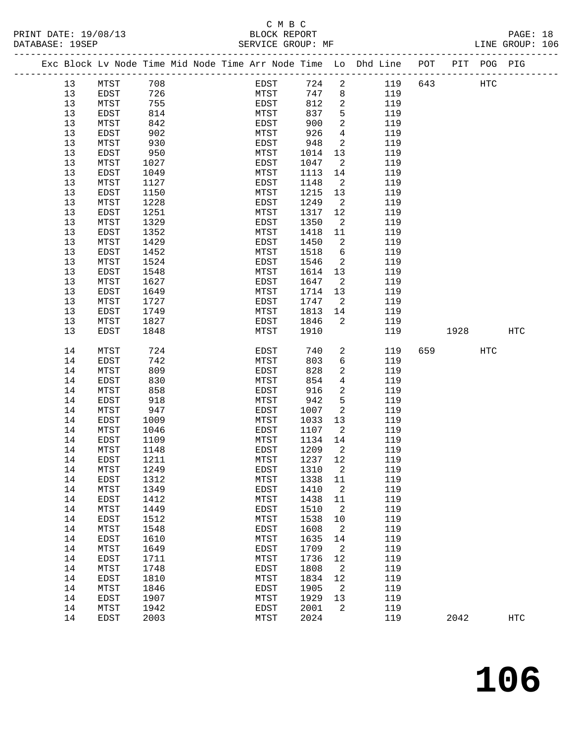## C M B C<br>BLOCK REPORT

LINE GROUP: 106

|  |          | Exc Block Lv Node Time Mid Node Time Arr Node Time Lo Dhd Line POT |              |  |              |              |                 |            |     |      | PIT POG PIG |                   |  |
|--|----------|--------------------------------------------------------------------|--------------|--|--------------|--------------|-----------------|------------|-----|------|-------------|-------------------|--|
|  | 13       | MTST                                                               | 708          |  | EDST         | 724          | $\overline{a}$  | 119        | 643 |      | <b>HTC</b>  |                   |  |
|  | 13       | EDST                                                               | 726          |  | MTST         | 747          | 8               | 119        |     |      |             |                   |  |
|  | 13       | MTST                                                               | 755          |  | EDST         | 812          | $\overline{2}$  | 119        |     |      |             |                   |  |
|  | 13       | EDST                                                               | 814          |  | MTST         | 837          | 5               | 119        |     |      |             |                   |  |
|  | 13       | MTST                                                               | 842          |  | EDST         | 900          | 2               | 119        |     |      |             |                   |  |
|  | 13       | <b>EDST</b>                                                        | 902          |  | MTST         | 926          | $\overline{4}$  | 119        |     |      |             |                   |  |
|  | 13       | MTST                                                               | 930          |  | EDST         | 948          | 2               | 119        |     |      |             |                   |  |
|  | 13       | EDST                                                               | 950          |  | MTST         | 1014         | 13              | 119        |     |      |             |                   |  |
|  | 13       | MTST                                                               | 1027         |  | EDST         | 1047         | 2               | 119        |     |      |             |                   |  |
|  | 13       | EDST                                                               | 1049         |  | MTST         | 1113         | 14              | 119        |     |      |             |                   |  |
|  | 13       | MTST                                                               | 1127         |  | EDST         | 1148         | 2               | 119        |     |      |             |                   |  |
|  | 13       | EDST                                                               | 1150         |  | MTST         | 1215         | 13              | 119        |     |      |             |                   |  |
|  | 13       | MTST                                                               | 1228         |  | EDST         | 1249         | 2               | 119        |     |      |             |                   |  |
|  | 13       | EDST                                                               | 1251         |  | MTST         | 1317         | 12              | 119        |     |      |             |                   |  |
|  | 13       | MTST                                                               | 1329         |  | EDST         | 1350         | 2               | 119        |     |      |             |                   |  |
|  | 13       | EDST                                                               | 1352         |  | MTST         | 1418         | 11              | 119        |     |      |             |                   |  |
|  | 13       | MTST                                                               | 1429         |  | EDST         | 1450         | 2               | 119        |     |      |             |                   |  |
|  | 13       | EDST                                                               | 1452         |  | MTST         | 1518         | 6               | 119        |     |      |             |                   |  |
|  | 13       | MTST                                                               | 1524         |  | EDST         | 1546         | 2               | 119        |     |      |             |                   |  |
|  | 13       | EDST                                                               | 1548         |  | MTST         | 1614         | 13              | 119        |     |      |             |                   |  |
|  | 13       | MTST                                                               | 1627         |  | EDST         | 1647         | 2               | 119        |     |      |             |                   |  |
|  | 13       | EDST                                                               | 1649         |  | MTST         | 1714         | 13              | 119        |     |      |             |                   |  |
|  | 13       | MTST                                                               | 1727         |  | EDST         | 1747         | 2               | 119        |     |      |             |                   |  |
|  | 13       | EDST                                                               | 1749         |  | MTST         | 1813         | 14              | 119        |     |      |             |                   |  |
|  | 13       | MTST                                                               | 1827         |  | EDST         | 1846         | 2               | 119        |     |      |             |                   |  |
|  | 13       | EDST                                                               | 1848         |  | MTST         | 1910         |                 | 119        |     | 1928 |             | <b>HTC</b>        |  |
|  |          |                                                                    |              |  |              |              |                 |            |     |      |             |                   |  |
|  | 14       | MTST                                                               | 724          |  | EDST         | 740          | 2               | 119        | 659 |      | <b>HTC</b>  |                   |  |
|  | 14       | <b>EDST</b>                                                        | 742          |  | MTST         | 803          | $6\overline{6}$ | 119        |     |      |             |                   |  |
|  | 14       | MTST                                                               | 809          |  | EDST         | 828          | 2               | 119        |     |      |             |                   |  |
|  | 14       | <b>EDST</b>                                                        | 830          |  | MTST         | 854          | $\overline{4}$  | 119        |     |      |             |                   |  |
|  | 14       | MTST                                                               | 858          |  | <b>EDST</b>  | 916          | 2               | 119        |     |      |             |                   |  |
|  | 14       | EDST                                                               | 918          |  | MTST         | 942          | 5               | 119        |     |      |             |                   |  |
|  | 14       | MTST                                                               | 947          |  | EDST         | 1007         | 2               | 119        |     |      |             |                   |  |
|  | 14       | EDST                                                               | 1009         |  | MTST         | 1033         | 13              | 119        |     |      |             |                   |  |
|  | 14       | MTST                                                               | 1046         |  | EDST         | 1107         | 2               | 119        |     |      |             |                   |  |
|  | 14       | EDST                                                               | 1109         |  | MTST         | 1134         | 14              | 119        |     |      |             |                   |  |
|  | 14<br>14 | MTST<br><b>EDST</b>                                                | 1148<br>1211 |  | EDST<br>MTST | 1209<br>1237 | 2<br>12         | 119<br>119 |     |      |             |                   |  |
|  |          |                                                                    |              |  |              |              |                 |            |     |      |             |                   |  |
|  | 14<br>14 | MTST                                                               | 1249         |  | EDST         | 1310         | 2               | 119<br>119 |     |      |             |                   |  |
|  | 14       | EDST<br>MTST                                                       | 1312<br>1349 |  | MTST<br>EDST | 1338<br>1410 | 11<br>2         | 119        |     |      |             |                   |  |
|  | 14       | EDST                                                               | 1412         |  | MTST         | 1438         | 11              | 119        |     |      |             |                   |  |
|  | 14       | MTST                                                               | 1449         |  | <b>EDST</b>  | 1510         | 2               | 119        |     |      |             |                   |  |
|  | 14       | EDST                                                               | 1512         |  | MTST         | 1538         | $10$            | 119        |     |      |             |                   |  |
|  | 14       | MTST                                                               | 1548         |  | EDST         | 1608         | $\overline{c}$  | 119        |     |      |             |                   |  |
|  | 14       | EDST                                                               | 1610         |  | MTST         | 1635         | 14              | 119        |     |      |             |                   |  |
|  | 14       | MTST                                                               | 1649         |  | EDST         | 1709         | 2               | 119        |     |      |             |                   |  |
|  | 14       | EDST                                                               | 1711         |  | MTST         | 1736         | 12              | 119        |     |      |             |                   |  |
|  | 14       | MTST                                                               | 1748         |  | EDST         | 1808         | 2               | 119        |     |      |             |                   |  |
|  | 14       | EDST                                                               | 1810         |  | MTST         | 1834         | 12              | 119        |     |      |             |                   |  |
|  | 14       | MTST                                                               | 1846         |  | EDST         | 1905         | 2               | 119        |     |      |             |                   |  |
|  | 14       | EDST                                                               | 1907         |  | MTST         | 1929         | 13              | 119        |     |      |             |                   |  |
|  | 14       | MTST                                                               | 1942         |  | EDST         | 2001         | 2               | 119        |     |      |             |                   |  |
|  | 14       | EDST                                                               | 2003         |  | MTST         | 2024         |                 | 119        |     | 2042 |             | $_{\mathrm{HTC}}$ |  |
|  |          |                                                                    |              |  |              |              |                 |            |     |      |             |                   |  |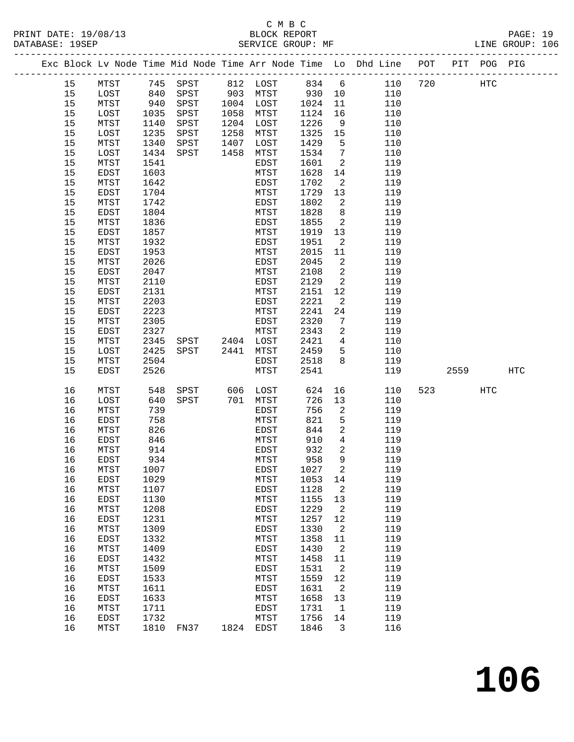## C M B C<br>BLOCK REPORT

PAGE: 19<br>LINE GROUP: 106

|      |      |      |                         |      |           |      |                            | Exc Block Lv Node Time Mid Node Time Arr Node Time Lo Dhd Line POT PIT POG PIG |     |                          |     |     |
|------|------|------|-------------------------|------|-----------|------|----------------------------|--------------------------------------------------------------------------------|-----|--------------------------|-----|-----|
| 15   | MTST |      | 745 SPST 812 LOST 834 6 |      |           |      |                            | 110                                                                            | 720 | HTC                      |     |     |
| 15   | LOST | 840  | SPST                    |      | 903 MTST  | 930  | 10                         | 110                                                                            |     |                          |     |     |
| 15   | MTST | 940  | SPST                    |      | 1004 LOST | 1024 | 11                         | 110                                                                            |     |                          |     |     |
| 15   | LOST | 1035 | SPST                    |      | 1058 MTST | 1124 | 16                         | 110                                                                            |     |                          |     |     |
| 15   | MTST | 1140 | SPST                    |      | 1204 LOST | 1226 | 9                          | 110                                                                            |     |                          |     |     |
| 15   | LOST | 1235 | ${\tt SPST}$            | 1258 | MTST      | 1325 | 15                         | 110                                                                            |     |                          |     |     |
| 15   | MTST | 1340 | SPST                    | 1407 | LOST      | 1429 | $5^{\circ}$                | 110                                                                            |     |                          |     |     |
| 15   | LOST | 1434 | SPST                    | 1458 | MTST      | 1534 | $\overline{7}$             | 110                                                                            |     |                          |     |     |
| 15   | MTST | 1541 |                         |      | EDST      | 1601 | $\overline{\phantom{0}}^2$ | 119                                                                            |     |                          |     |     |
| 15   | EDST | 1603 |                         |      | MTST      | 1628 | 14                         | 119                                                                            |     |                          |     |     |
| 15   | MTST | 1642 |                         |      | EDST      | 1702 | $\overline{\phantom{a}}^2$ | 119                                                                            |     |                          |     |     |
| 15   | EDST | 1704 |                         |      | MTST      | 1729 | 13                         | 119                                                                            |     |                          |     |     |
| 15   | MTST | 1742 |                         |      | EDST      | 1802 | 2                          | 119                                                                            |     |                          |     |     |
| 15   | EDST | 1804 |                         |      | MTST      | 1828 | 8                          | 119                                                                            |     |                          |     |     |
| 15   | MTST | 1836 |                         |      | EDST      | 1855 | $\overline{\phantom{a}}^2$ | 119                                                                            |     |                          |     |     |
| 15   | EDST | 1857 |                         |      | MTST      | 1919 | 13                         | 119                                                                            |     |                          |     |     |
| 15   | MTST | 1932 |                         |      | EDST      | 1951 | $\overline{\phantom{a}}^2$ | 119                                                                            |     |                          |     |     |
| 15   | EDST | 1953 |                         |      | MTST      | 2015 | 11                         | 119                                                                            |     |                          |     |     |
| 15   | MTST | 2026 |                         |      | EDST      | 2045 | $\overline{\phantom{a}}^2$ | 119                                                                            |     |                          |     |     |
| 15   | EDST | 2047 |                         |      | MTST      | 2108 | $\overline{\phantom{a}}$   | 119                                                                            |     |                          |     |     |
| 15   | MTST | 2110 |                         |      | EDST      | 2129 | 2                          | 119                                                                            |     |                          |     |     |
| 15   | EDST | 2131 |                         |      | MTST      | 2151 | 12                         | 119                                                                            |     |                          |     |     |
| 15   | MTST | 2203 |                         |      | EDST      | 2221 | 2                          | 119                                                                            |     |                          |     |     |
| $15$ | EDST | 2223 |                         |      | MTST      | 2241 | 24                         | 119                                                                            |     |                          |     |     |
| $15$ | MTST | 2305 |                         |      | EDST      | 2320 | 7                          | 119                                                                            |     |                          |     |     |
| 15   | EDST | 2327 |                         |      | MTST      | 2343 | $\overline{a}$             | 119                                                                            |     |                          |     |     |
| 15   | MTST | 2345 | SPST 2404 LOST          |      |           | 2421 | $\overline{4}$             | 110                                                                            |     |                          |     |     |
| 15   | LOST | 2425 | SPST                    | 2441 | MTST      | 2459 | 5                          | 110                                                                            |     |                          |     |     |
| 15   | MTST | 2504 |                         |      | EDST      | 2518 | 8                          | 119                                                                            |     |                          |     |     |
| 15   | EDST | 2526 |                         |      | MTST      | 2541 |                            | 119                                                                            |     | 2559                     |     | HTC |
| 16   | MTST | 548  | SPST                    | 606  | LOST      | 624  |                            | 16 16<br>110                                                                   |     | 523 and $\overline{523}$ | HTC |     |
| 16   | LOST | 640  | SPST                    |      | 701 MTST  | 726  | 13                         | 110                                                                            |     |                          |     |     |
| 16   | MTST | 739  |                         |      | EDST      | 756  | $\overline{2}$             | 119                                                                            |     |                          |     |     |
| 16   | EDST | 758  |                         |      | MTST      | 821  | 5                          | 119                                                                            |     |                          |     |     |
| 16   | MTST | 826  |                         |      | EDST      | 844  | $\overline{a}$             | 119                                                                            |     |                          |     |     |
| 16   | EDST | 846  |                         |      | MTST      | 910  | $\overline{4}$             | 119                                                                            |     |                          |     |     |
| 16   | MTST | 914  |                         |      | EDST      | 932  | $\overline{2}$             | 119                                                                            |     |                          |     |     |
| 16   | EDST | 934  |                         |      | MTST      | 958  | 9                          | 119                                                                            |     |                          |     |     |
| 16   | MTST | 1007 |                         |      | EDST      | 1027 | $\overline{2}$             | 119                                                                            |     |                          |     |     |
| 16   | EDST | 1029 |                         |      | MTST      | 1053 | 14                         | 119                                                                            |     |                          |     |     |
| 16   | MTST | 1107 |                         |      | EDST      | 1128 | $\overline{\phantom{a}}^2$ | 119                                                                            |     |                          |     |     |
| 16   | EDST | 1130 |                         |      | MTST      | 1155 | 13                         | 119                                                                            |     |                          |     |     |
| 16   | MTST | 1208 |                         |      | EDST      | 1229 | 2                          | 119                                                                            |     |                          |     |     |
| 16   | EDST | 1231 |                         |      | MTST      | 1257 | 12                         | 119                                                                            |     |                          |     |     |
| 16   | MTST | 1309 |                         |      | EDST      | 1330 | 2                          | 119                                                                            |     |                          |     |     |
| 16   | EDST | 1332 |                         |      | MTST      | 1358 | 11                         | 119                                                                            |     |                          |     |     |
| 16   | MTST | 1409 |                         |      | EDST      | 1430 | 2                          | 119                                                                            |     |                          |     |     |
| 16   | EDST | 1432 |                         |      | MTST      | 1458 | 11                         | 119                                                                            |     |                          |     |     |
| 16   | MTST | 1509 |                         |      | EDST      | 1531 | 2                          | 119                                                                            |     |                          |     |     |
| 16   | EDST | 1533 |                         |      | MTST      | 1559 | 12                         | 119                                                                            |     |                          |     |     |
| 16   | MTST | 1611 |                         |      | EDST      | 1631 | $\overline{2}$             | 119                                                                            |     |                          |     |     |
| 16   | EDST | 1633 |                         |      | MTST      | 1658 | 13                         | 119                                                                            |     |                          |     |     |
| 16   | MTST | 1711 |                         |      | EDST      | 1731 | 1                          | 119                                                                            |     |                          |     |     |
| 16   | EDST | 1732 |                         |      | MTST      | 1756 | 14                         | 119                                                                            |     |                          |     |     |
| 16   | MTST |      | 1810 FN37               |      | 1824 EDST | 1846 | 3                          | 116                                                                            |     |                          |     |     |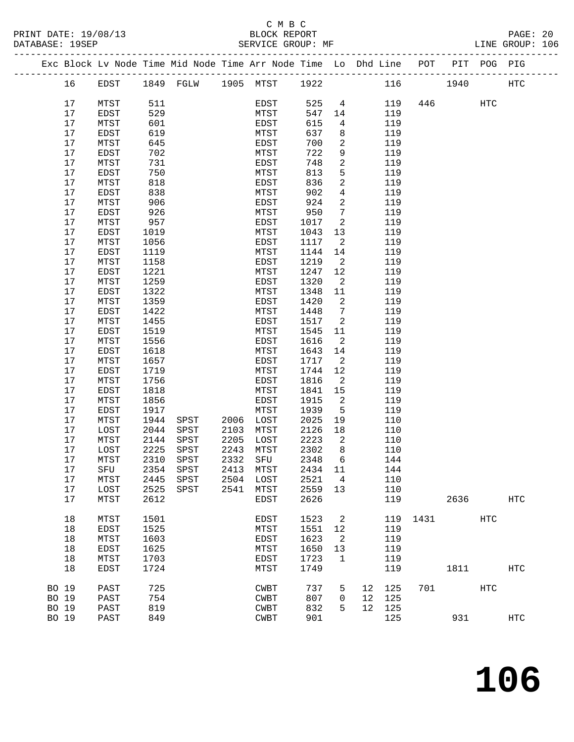|       |    |      |      | Exc Block Lv Node Time Mid Node Time Arr Node Time Lo Dhd Line POT PIT POG PIG |      |           |         |                         |    |     |          |      |     |            |
|-------|----|------|------|--------------------------------------------------------------------------------|------|-----------|---------|-------------------------|----|-----|----------|------|-----|------------|
|       | 16 | EDST |      | 1849 FGLW 1905 MTST 1922                                                       |      |           |         |                         |    |     | 116 1940 |      |     | HTC        |
|       | 17 | MTST | 511  |                                                                                |      | EDST      | 525     | $\overline{4}$          |    | 119 |          | 446  | HTC |            |
|       | 17 | EDST | 529  |                                                                                |      | MTST      | 547     | 14                      |    | 119 |          |      |     |            |
|       | 17 | MTST | 601  |                                                                                |      | EDST      | 615     | $4\overline{ }$         |    | 119 |          |      |     |            |
|       |    |      |      |                                                                                |      |           |         |                         |    |     |          |      |     |            |
|       | 17 | EDST | 619  |                                                                                |      | MTST      | 637     | 8                       |    | 119 |          |      |     |            |
|       | 17 | MTST | 645  |                                                                                |      | EDST      | 700     | 2                       |    | 119 |          |      |     |            |
|       | 17 | EDST | 702  |                                                                                |      | MTST      | 722     | 9                       |    | 119 |          |      |     |            |
|       | 17 | MTST | 731  |                                                                                |      | EDST      | 748     | $\overline{a}$          |    | 119 |          |      |     |            |
|       | 17 | EDST | 750  |                                                                                |      | MTST      | 813     | 5                       |    | 119 |          |      |     |            |
|       | 17 | MTST | 818  |                                                                                |      | EDST      | 836     | $\overline{a}$          |    | 119 |          |      |     |            |
|       | 17 | EDST | 838  |                                                                                |      | MTST      | 902     | $\overline{4}$          |    | 119 |          |      |     |            |
|       | 17 | MTST | 906  |                                                                                |      | EDST      | 924     | $\overline{2}$          |    | 119 |          |      |     |            |
|       | 17 | EDST | 926  |                                                                                |      | MTST      | 950     | $7\phantom{.0}$         |    | 119 |          |      |     |            |
|       | 17 | MTST | 957  |                                                                                |      | EDST      | 1017    | 2                       |    | 119 |          |      |     |            |
|       | 17 | EDST | 1019 |                                                                                |      | MTST      | 1043    | 13                      |    | 119 |          |      |     |            |
|       | 17 | MTST | 1056 |                                                                                |      | EDST      | 1117    | $\overline{\mathbf{c}}$ |    | 119 |          |      |     |            |
|       | 17 | EDST | 1119 |                                                                                |      | MTST      | 1144    | 14                      |    | 119 |          |      |     |            |
|       | 17 | MTST | 1158 |                                                                                |      | EDST      | 1219    | $\overline{\mathbf{c}}$ |    | 119 |          |      |     |            |
|       | 17 | EDST | 1221 |                                                                                |      | MTST      | 1247    | 12                      |    | 119 |          |      |     |            |
|       | 17 | MTST | 1259 |                                                                                |      | EDST      | 1320    | $\overline{2}$          |    | 119 |          |      |     |            |
|       | 17 | EDST | 1322 |                                                                                |      | MTST      | 1348    | 11                      |    | 119 |          |      |     |            |
|       | 17 | MTST | 1359 |                                                                                |      | EDST      | 1420    | $\overline{2}$          |    | 119 |          |      |     |            |
|       | 17 | EDST | 1422 |                                                                                |      | MTST      | 1448    | $\overline{7}$          |    | 119 |          |      |     |            |
|       | 17 |      |      |                                                                                |      |           |         | $\overline{\mathbf{c}}$ |    |     |          |      |     |            |
|       |    | MTST | 1455 |                                                                                |      | EDST      | 1517    |                         |    | 119 |          |      |     |            |
|       | 17 | EDST | 1519 |                                                                                |      | MTST      | 1545    | 11                      |    | 119 |          |      |     |            |
|       | 17 | MTST | 1556 |                                                                                |      | EDST      | 1616    | $\overline{2}$          |    | 119 |          |      |     |            |
|       | 17 | EDST | 1618 |                                                                                |      | MTST      | 1643    | 14                      |    | 119 |          |      |     |            |
|       | 17 | MTST | 1657 |                                                                                |      | EDST      | 1717    | 2                       |    | 119 |          |      |     |            |
|       | 17 | EDST | 1719 |                                                                                |      | MTST      | 1744    | 12                      |    | 119 |          |      |     |            |
|       | 17 | MTST | 1756 |                                                                                |      | EDST      | 1816    | $\overline{a}$          |    | 119 |          |      |     |            |
|       | 17 | EDST | 1818 |                                                                                |      | MTST      | 1841    | 15                      |    | 119 |          |      |     |            |
|       | 17 | MTST | 1856 |                                                                                |      | EDST      | 1915    | 2                       |    | 119 |          |      |     |            |
|       | 17 | EDST | 1917 |                                                                                |      | MTST      | 1939    | $5^{\circ}$             |    | 119 |          |      |     |            |
|       | 17 | MTST | 1944 | SPST                                                                           | 2006 | LOST      | 2025    | 19                      |    | 110 |          |      |     |            |
|       | 17 | LOST | 2044 | SPST                                                                           | 2103 | MTST      | 2126    | 18                      |    | 110 |          |      |     |            |
|       | 17 | MTST | 2144 | SPST                                                                           | 2205 | LOST      | 2223    | 2                       |    | 110 |          |      |     |            |
|       | 17 | LOST | 2225 | SPST                                                                           | 2243 | MTST      | 2302    | 8                       |    | 110 |          |      |     |            |
|       | 17 | MTST | 2310 | SPST                                                                           |      | 2332 SFU  | 2348    | 6                       |    | 144 |          |      |     |            |
|       | 17 | SFU  | 2354 | ${\tt SPST}$                                                                   |      | 2413 MTST | 2434 11 |                         |    | 144 |          |      |     |            |
|       | 17 | MTST | 2445 | SPST                                                                           |      | 2504 LOST | 2521    | $\overline{4}$          |    | 110 |          |      |     |            |
|       | 17 | LOST | 2525 | SPST                                                                           | 2541 | MTST      | 2559    | 13                      |    | 110 |          |      |     |            |
|       | 17 | MTST | 2612 |                                                                                |      | EDST      | 2626    |                         |    | 119 |          | 2636 |     | <b>HTC</b> |
|       |    |      |      |                                                                                |      |           |         |                         |    |     |          |      |     |            |
|       | 18 | MTST | 1501 |                                                                                |      | EDST      | 1523    | 2                       |    | 119 | 1431     |      | HTC |            |
|       | 18 | EDST | 1525 |                                                                                |      | MTST      | 1551    | 12                      |    | 119 |          |      |     |            |
|       | 18 | MTST | 1603 |                                                                                |      | EDST      | 1623    | $\overline{2}$          |    | 119 |          |      |     |            |
|       | 18 | EDST | 1625 |                                                                                |      | MTST      | 1650    | 13                      |    | 119 |          |      |     |            |
|       | 18 | MTST | 1703 |                                                                                |      | EDST      | 1723    | $\mathbf{1}$            |    | 119 |          |      |     |            |
|       | 18 | EDST | 1724 |                                                                                |      | MTST      | 1749    |                         |    | 119 |          | 1811 |     | HTC        |
| BO 19 |    | PAST | 725  |                                                                                |      | CWBT      | 737     | 5                       | 12 | 125 |          | 701  | HTC |            |
| BO 19 |    | PAST | 754  |                                                                                |      | CWBT      | 807     | $\mathbf 0$             | 12 | 125 |          |      |     |            |
| BO 19 |    | PAST | 819  |                                                                                |      | CWBT      | 832     | 5                       | 12 | 125 |          |      |     |            |
| BO 19 |    | PAST | 849  |                                                                                |      | CWBT      | 901     |                         |    | 125 |          | 931  |     | HTC        |
|       |    |      |      |                                                                                |      |           |         |                         |    |     |          |      |     |            |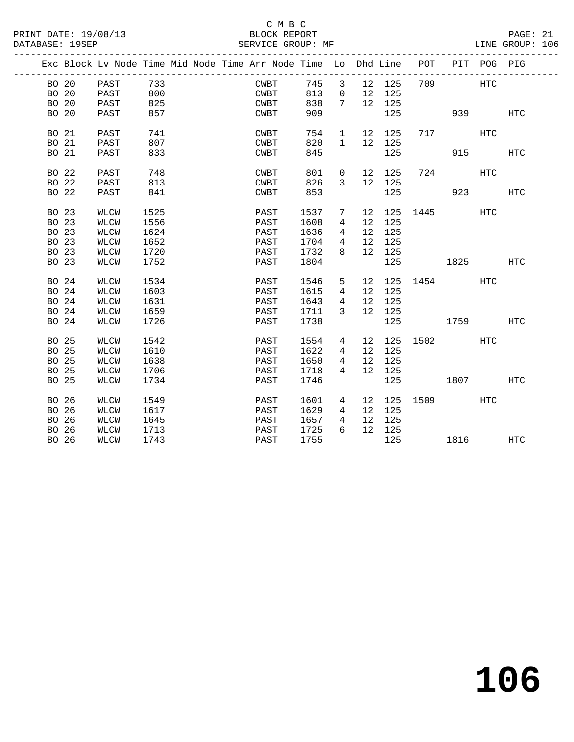PRINT DATE: 19/08/13 BLOCK REPORT<br>DATABASE: 19SEP SERVICE GROUP: MF

### C M B C<br>BLOCK REPORT

PAGE: 21<br>LINE GROUP: 106

|       |       | Exc Block Lv Node Time Mid Node Time Arr Node Time Lo Dhd Line |      |  |      |      |                     |                 |        | POT             |             | PIT POG PIG |            |
|-------|-------|----------------------------------------------------------------|------|--|------|------|---------------------|-----------------|--------|-----------------|-------------|-------------|------------|
| BO 20 |       | PAST                                                           | 733  |  | CWBT | 745  | 3 <sup>7</sup>      |                 | 12 125 | 709             |             | HTC         |            |
| BO 20 |       | PAST                                                           | 800  |  | CWBT | 813  | $\overline{0}$      | 12              | 125    |                 |             |             |            |
| BO 20 |       | PAST                                                           | 825  |  | CWBT | 838  | 7                   |                 | 12 125 |                 |             |             |            |
| BO 20 |       | PAST                                                           | 857  |  | CWBT | 909  |                     |                 | 125    |                 | 939         |             | HTC        |
|       |       |                                                                |      |  |      |      |                     |                 |        |                 |             |             |            |
| BO 21 |       | PAST                                                           | 741  |  | CWBT | 754  | 1                   |                 | 12 125 |                 | 717         | HTC         |            |
| BO 21 |       | PAST                                                           | 807  |  | CWBT | 820  | $1 \quad$           |                 | 12 125 |                 |             |             |            |
| BO 21 |       | PAST                                                           | 833  |  | CWBT | 845  |                     |                 | 125    |                 | 915         |             | <b>HTC</b> |
|       |       |                                                                |      |  |      |      |                     |                 |        |                 |             |             |            |
| BO 22 |       | PAST                                                           | 748  |  | CWBT | 801  | $\overline{0}$      | 12              | 125    |                 | 724         | HTC         |            |
| BO 22 |       | PAST                                                           | 813  |  | CWBT | 826  | $\mathbf{3}$        | 12              | 125    |                 |             |             |            |
| BO 22 |       | PAST                                                           | 841  |  | CWBT | 853  |                     |                 | 125    |                 |             | 923 — 100   | <b>HTC</b> |
|       |       |                                                                |      |  |      |      |                     |                 |        |                 |             |             |            |
| BO 23 |       | WLCW                                                           | 1525 |  | PAST | 1537 | 7                   | 12              |        | 125 1445        |             | HTC         |            |
| BO 23 |       | WLCW                                                           | 1556 |  | PAST | 1608 | 4                   | 12              | 125    |                 |             |             |            |
| BO 23 |       | WLCW                                                           | 1624 |  | PAST | 1636 | $\overline{4}$      | 12              | 125    |                 |             |             |            |
| BO 23 |       | WLCW                                                           | 1652 |  | PAST | 1704 | $4\overline{ }$     | 12              | 125    |                 |             |             |            |
| BO 23 |       | WLCW                                                           | 1720 |  | PAST | 1732 | 8                   | 12              | 125    |                 |             |             |            |
| BO 23 |       | WLCW                                                           | 1752 |  | PAST | 1804 |                     |                 | 125    |                 | 1825 HTC    |             |            |
|       |       |                                                                |      |  |      |      |                     |                 |        |                 |             |             |            |
| BO 24 |       | WLCW                                                           | 1534 |  | PAST | 1546 | 5 <sup>5</sup>      |                 |        | 12 125 1454 HTC |             |             |            |
| BO 24 |       | WLCW                                                           | 1603 |  | PAST | 1615 | $4\overline{ }$     | 12              | 125    |                 |             |             |            |
| BO 24 |       | WLCW                                                           | 1631 |  | PAST | 1643 | $4\overline{ }$     | 12              | 125    |                 |             |             |            |
| BO 24 |       | WLCW                                                           | 1659 |  | PAST | 1711 | $\overline{3}$      | 12 <sup>°</sup> | 125    |                 |             |             |            |
|       | BO 24 | <b>WLCW</b>                                                    | 1726 |  | PAST | 1738 |                     |                 | 125    |                 | 1759        |             | HTC        |
|       |       |                                                                |      |  |      |      |                     |                 |        |                 |             |             |            |
| BO 25 |       | WLCW                                                           | 1542 |  | PAST | 1554 | 4                   |                 |        | 12 125 1502     |             | HTC         |            |
| BO 25 |       | WLCW                                                           | 1610 |  | PAST | 1622 | $4\overline{ }$     | 12              | 125    |                 |             |             |            |
| BO 25 |       | WLCW                                                           | 1638 |  | PAST | 1650 | $4\overline{ }$     | 12              | 125    |                 |             |             |            |
| BO 25 |       | WLCW                                                           | 1706 |  | PAST | 1718 | $\overline{4}$      | 12              | 125    |                 |             |             |            |
| BO 25 |       | WLCW                                                           | 1734 |  | PAST | 1746 |                     |                 | 125    |                 | 1807 - 1800 |             | HTC        |
|       |       |                                                                |      |  |      |      |                     |                 |        |                 |             |             |            |
| BO 26 |       | WLCW                                                           | 1549 |  | PAST | 1601 | $4\overline{ }$     |                 |        | 12 125 1509 HTC |             |             |            |
| BO 26 |       | WLCW                                                           | 1617 |  | PAST | 1629 | 4                   | 12              | 125    |                 |             |             |            |
| BO 26 |       | WLCW                                                           | 1645 |  | PAST | 1657 | $\overline{4}$<br>6 | 12              | 125    |                 |             |             |            |
| BO 26 |       | WLCW                                                           | 1713 |  | PAST | 1725 |                     |                 | 12 125 |                 |             |             |            |
| BO 26 |       | WLCW                                                           | 1743 |  | PAST | 1755 |                     |                 | 125    |                 | 1816        |             | HTC        |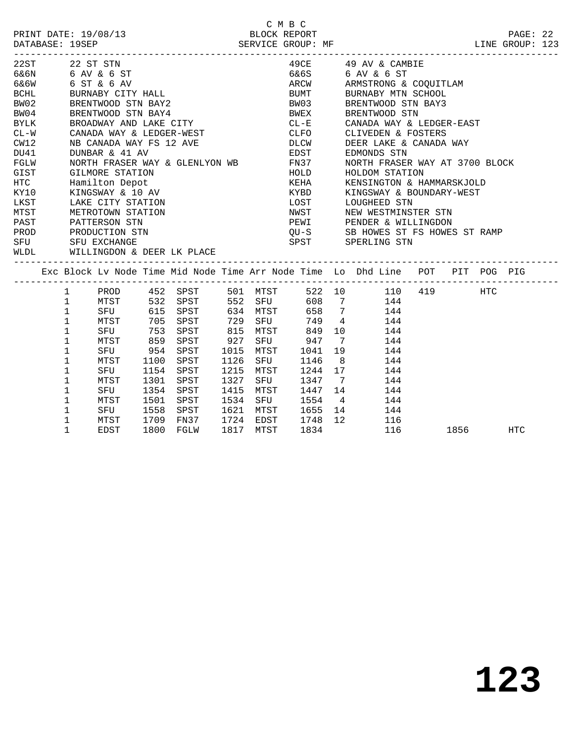|             | 22ST 22 ST STN |                    |      |                                        |      |           |                   |                 | 49CE 49 AV & CAMBIE                                                            |  |  |
|-------------|----------------|--------------------|------|----------------------------------------|------|-----------|-------------------|-----------------|--------------------------------------------------------------------------------|--|--|
|             |                | 6&6N 6 AV & 6 ST   |      |                                        |      |           |                   |                 | 6&6S 6 AV & 6 ST                                                               |  |  |
| 6&6W        |                | 6 ST & 6 AV        |      |                                        |      |           | ARCW              |                 | ARMSTRONG & COQUITLAM                                                          |  |  |
| <b>BCHL</b> |                | BURNABY CITY HALL  |      |                                        |      |           | <b>BUMT</b>       |                 | BURNABY MTN SCHOOL                                                             |  |  |
| BW02        |                | BRENTWOOD STN BAY2 |      |                                        |      |           | BW03              |                 | BRENTWOOD STN BAY3                                                             |  |  |
| BW04        |                | BRENTWOOD STN BAY4 |      |                                        |      |           | BWEX              |                 | BRENTWOOD STN                                                                  |  |  |
| BYLK        |                |                    |      | BROADWAY AND LAKE CITY                 |      |           |                   |                 | CL-E CANADA WAY & LEDGER-EAST                                                  |  |  |
| $CL-W$      |                |                    |      | CANADA WAY & LEDGER-WEST               |      |           |                   |                 | CLFO CLIVEDEN & FOSTERS                                                        |  |  |
| CW12        |                |                    |      | NB CANADA WAY FS 12 AVE                |      |           | <b>DLCW</b>       |                 | DEER LAKE & CANADA WAY                                                         |  |  |
| DU41        |                | DUNBAR & 41 AV     |      |                                        |      |           | EDST              |                 | EDMONDS STN                                                                    |  |  |
| FGLW        |                |                    |      | NORTH FRASER WAY & GLENLYON WB         |      |           | FN37              |                 | NORTH FRASER WAY AT 3700 BLOCK                                                 |  |  |
| GIST        |                | GILMORE STATION    |      |                                        |      |           | HOLD              |                 | HOLDOM STATION                                                                 |  |  |
| HTC         |                | Hamilton Depot     |      |                                        |      |           | KEHA              |                 | KENSINGTON & HAMMARSKJOLD                                                      |  |  |
| KY10        |                | KINGSWAY & 10 AV   |      |                                        |      |           | KYBD              |                 | KINGSWAY & BOUNDARY-WEST                                                       |  |  |
| LKST        |                | LAKE CITY STATION  |      |                                        |      |           | LOST              |                 | LOUGHEED STN                                                                   |  |  |
| MTST        |                | METROTOWN STATION  |      |                                        |      |           | NWST              |                 | NEW WESTMINSTER STN                                                            |  |  |
| PAST        |                | PATTERSON STN      |      |                                        |      |           |                   |                 | PEWI PENDER & WILLINGDON                                                       |  |  |
| PROD        |                | PRODUCTION STN     |      |                                        |      |           |                   |                 | QU-S SB HOWES ST FS HOWES ST RAMP                                              |  |  |
|             |                | SFU SFU EXCHANGE   |      |                                        |      |           |                   |                 | SPST SPERLING STN                                                              |  |  |
| WLDL        |                |                    |      | WILLINGDON & DEER LK PLACE             |      |           |                   |                 |                                                                                |  |  |
|             |                |                    |      | -------------------------------------- |      |           |                   |                 |                                                                                |  |  |
|             |                |                    |      |                                        |      |           |                   |                 | Exc Block Lv Node Time Mid Node Time Arr Node Time Lo Dhd Line POT PIT POG PIG |  |  |
|             |                |                    |      |                                        |      |           |                   |                 | 1 PROD 452 SPST 501 MTST 522 10 110 419 HTC                                    |  |  |
|             | $\mathbf{1}$   |                    |      | MTST 532 SPST 552 SFU                  |      |           |                   |                 | 608 7 144                                                                      |  |  |
|             | $\mathbf 1$    |                    |      | SFU 615 SPST                           |      | 634 MTST  | 658               | $7\overline{ }$ | 144                                                                            |  |  |
|             | 1              | MTST               |      | 705 SPST                               | 729  | SFU       | 749               |                 | $4\overline{ }$<br>144                                                         |  |  |
|             | 1              | SFU                |      | 753 SPST                               | 815  |           | MTST 849          |                 | 10<br>144                                                                      |  |  |
|             | 1              | MTST               | 859  | SPST                                   | 927  |           | SFU 947           |                 | $7\overline{ }$<br>144                                                         |  |  |
|             | 1              | SFU 954 SPST       |      |                                        | 1015 | MTST      | 1041              |                 | 19<br>144                                                                      |  |  |
|             | 1              | MTST               | 1100 | SPST                                   | 1126 | SFU       | 1146              |                 | $8 \overline{)}$<br>144                                                        |  |  |
|             | 1              | SFU                |      | 1154 SPST                              |      | 1215 MTST |                   |                 | 1244 17<br>144                                                                 |  |  |
|             | 1              | MTST               | 1301 | SPST                                   | 1327 | SFU       |                   |                 | 1347 7<br>144                                                                  |  |  |
|             | $\mathbf{1}$   | SFU                |      | 1354 SPST                              |      |           | 1415 MTST 1447 14 |                 | 144                                                                            |  |  |
|             | $\mathbf{1}$   | MTST               |      | 1501 SPST                              | 1534 | SFU       | 1554 4            |                 | 144                                                                            |  |  |

1 EDST 1800 FGLW 1817 MTST 1834 116 1856 HTC

 1 SFU 1558 SPST 1621 MTST 1655 14 144 1 MTST 1709 FN37 1724 EDST 1748 12 116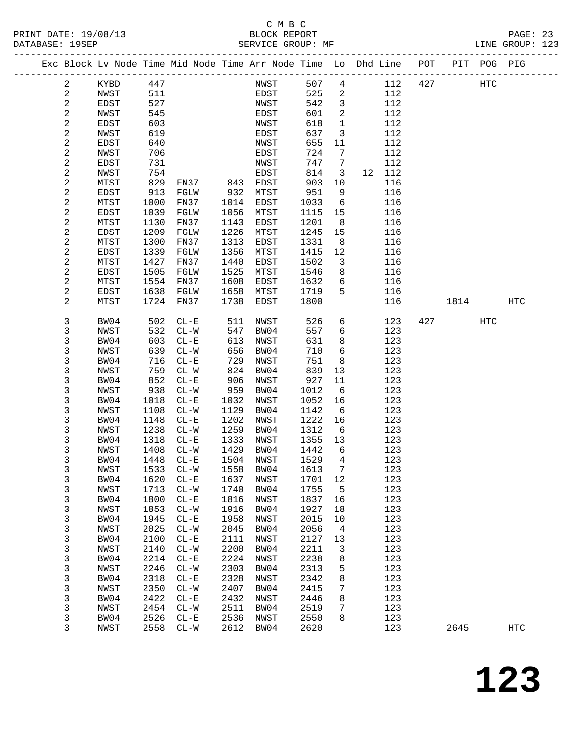#### C M B C<br>BLOCK REPORT PRINT DATE: 19/08/13 BLOCK REPORT PAGE: 23 SERVICE GROUP: MF

|  |                          | Exc Block Lv Node Time Mid Node Time Arr Node Time Lo Dhd Line POT PIT POG PIG |              |                     |              |              |              |                |            |     |      |     |            |
|--|--------------------------|--------------------------------------------------------------------------------|--------------|---------------------|--------------|--------------|--------------|----------------|------------|-----|------|-----|------------|
|  | $\overline{a}$           | KYBD                                                                           | 447          |                     |              | NWST         | 507          | $\overline{4}$ | 112        | 427 |      | HTC |            |
|  | $\sqrt{2}$               | NWST                                                                           | 511          |                     |              | EDST         | 525          | $\overline{a}$ | 112        |     |      |     |            |
|  | $\overline{c}$           | EDST                                                                           | 527          |                     |              | NWST         | 542          | $\overline{3}$ | 112        |     |      |     |            |
|  | $\overline{c}$           | NWST                                                                           | 545          |                     |              | EDST         | 601          | 2              | 112        |     |      |     |            |
|  | $\mathbf{2}$             | EDST                                                                           | 603          |                     |              | NWST         | 618          | $\mathbf{1}$   | 112        |     |      |     |            |
|  | $\sqrt{2}$               | NWST                                                                           | 619          |                     |              | EDST         | 637          | 3              | 112        |     |      |     |            |
|  | $\sqrt{2}$               | EDST                                                                           | 640          |                     |              | NWST         | 655          | 11             | 112        |     |      |     |            |
|  | $\sqrt{2}$               | NWST                                                                           | 706          |                     |              | EDST         | 724          | 7              | 112        |     |      |     |            |
|  | $\mathbf{2}$             | EDST                                                                           | 731          |                     |              | NWST         | 747          | 7              | 112        |     |      |     |            |
|  | $\sqrt{2}$               | NWST                                                                           | 754          |                     |              | EDST         | 814          | 3              | 12 112     |     |      |     |            |
|  | $\sqrt{2}$               | MTST                                                                           | 829          | FN37                | 843          | EDST         | 903          | 10             | 116        |     |      |     |            |
|  | $\sqrt{2}$               | EDST                                                                           | 913          | FGLW                | 932          | MTST         | 951          | 9              | 116        |     |      |     |            |
|  | $\sqrt{2}$               | MTST                                                                           | 1000         | FN37                | 1014         | EDST         | 1033         | 6              | 116        |     |      |     |            |
|  | $\sqrt{2}$               | EDST                                                                           | 1039         | FGLW                | 1056         | MTST         | 1115         | 15             | 116        |     |      |     |            |
|  | $\sqrt{2}$               | MTST                                                                           | 1130         | FN37                | 1143         | EDST         | 1201         | 8              | 116        |     |      |     |            |
|  | $\sqrt{2}$               | EDST                                                                           | 1209         | FGLW                | 1226         | MTST         | 1245         | 15             | 116        |     |      |     |            |
|  | $\sqrt{2}$               | MTST                                                                           | 1300         | FN37                | 1313         | EDST         | 1331         | 8              | 116        |     |      |     |            |
|  | $\sqrt{2}$<br>$\sqrt{2}$ | EDST                                                                           | 1339<br>1427 | FGLW                | 1356<br>1440 | MTST         | 1415         | 12             | 116        |     |      |     |            |
|  | $\sqrt{2}$               | MTST<br>EDST                                                                   | 1505         | FN37<br>FGLW        | 1525         | EDST<br>MTST | 1502<br>1546 | 3<br>8         | 116<br>116 |     |      |     |            |
|  | $\sqrt{2}$               | MTST                                                                           | 1554         | FN37                | 1608         | EDST         | 1632         | 6              | 116        |     |      |     |            |
|  | $\sqrt{2}$               | EDST                                                                           | 1638         | FGLW                | 1658         | MTST         | 1719         | 5              | 116        |     |      |     |            |
|  | 2                        | MTST                                                                           | 1724         | FN37                | 1738         | EDST         | 1800         |                | 116        |     | 1814 |     | <b>HTC</b> |
|  |                          |                                                                                |              |                     |              |              |              |                |            |     |      |     |            |
|  | 3                        | BW04                                                                           | 502          | $CL - E$            | 511          | NWST         | 526          | 6              | 123        | 427 |      | HTC |            |
|  | 3                        | NWST                                                                           | 532          | $CL - W$            | 547          | BW04         | 557          | 6              | 123        |     |      |     |            |
|  | 3                        | BW04                                                                           | 603          | $CL - E$            | 613          | NWST         | 631          | 8              | 123        |     |      |     |            |
|  | 3                        | NWST                                                                           | 639          | $CL-W$              | 656          | BW04         | 710          | 6              | 123        |     |      |     |            |
|  | 3                        | BW04                                                                           | 716          | $CL - E$            | 729          | NWST         | 751          | 8              | 123        |     |      |     |            |
|  | 3<br>$\mathsf 3$         | NWST                                                                           | 759          | $CL - W$            | 824          | BW04         | 839          | 13             | 123        |     |      |     |            |
|  | 3                        | BW04<br>NWST                                                                   | 852<br>938   | $CL - E$<br>$CL-W$  | 906<br>959   | NWST<br>BW04 | 927<br>1012  | 11<br>- 6      | 123<br>123 |     |      |     |            |
|  | 3                        | BW04                                                                           | 1018         | $CL - E$            | 1032         | NWST         | 1052         | 16             | 123        |     |      |     |            |
|  | 3                        | NWST                                                                           | 1108         | $CL - W$            | 1129         | BW04         | 1142         | - 6            | 123        |     |      |     |            |
|  | 3                        | BW04                                                                           | 1148         | $CL - E$            | 1202         | NWST         | 1222         | 16             | 123        |     |      |     |            |
|  | 3                        | NWST                                                                           | 1238         | $CL - W$            | 1259         | BW04         | 1312         | 6              | 123        |     |      |     |            |
|  | 3                        | BW04                                                                           | 1318         | $CL - E$            | 1333         | NWST         | 1355         | 13             | 123        |     |      |     |            |
|  | 3                        | NWST                                                                           | 1408         | $CL-W$              | 1429         | BW04         | 1442         | 6              | 123        |     |      |     |            |
|  | 3                        | BW04                                                                           | 1448         | $CL - E$            | 1504         | NWST         | 1529         | $\overline{4}$ | 123        |     |      |     |            |
|  | 3                        | NWST                                                                           |              | 1533 CL-W 1558 BW04 |              |              | 1613 7       |                | 123        |     |      |     |            |
|  | 3                        | BW04                                                                           | 1620         | $CL - E$            | 1637         | NWST         | 1701         | 12             | 123        |     |      |     |            |
|  | 3                        | NWST                                                                           | 1713         | $CL-W$              | 1740         | BW04         | 1755         | 5              | 123        |     |      |     |            |
|  | 3                        | BW04                                                                           | 1800         | $CL - E$            | 1816         | NWST         | 1837         | 16             | 123        |     |      |     |            |
|  | 3                        | NWST                                                                           | 1853         | $CL-W$              | 1916         | BW04         | 1927         | 18             | 123        |     |      |     |            |
|  | 3                        | BW04                                                                           | 1945         | $\rm CL-E$          | 1958         | NWST         | 2015         | 10             | 123        |     |      |     |            |
|  | 3                        | NWST                                                                           | 2025         | $CL-W$              | 2045         | BW04         | 2056         | 4              | 123        |     |      |     |            |
|  | 3                        | BW04                                                                           | 2100         | $CL - E$            | 2111         | NWST         | 2127         | 13             | 123        |     |      |     |            |
|  | 3                        | NWST                                                                           | 2140         | $CL-W$              | 2200         | BW04         | 2211         | 3              | 123        |     |      |     |            |
|  | 3                        | BW04                                                                           | 2214         | $CL - E$            | 2224         | NWST         | 2238         | 8              | 123        |     |      |     |            |
|  | 3                        | NWST                                                                           | 2246         | $CL-W$              | 2303         | BW04         | 2313         | 5              | 123        |     |      |     |            |
|  | 3                        | BW04                                                                           | 2318         | $CL - E$            | 2328         | NWST         | 2342         | 8              | 123        |     |      |     |            |
|  | 3                        | NWST                                                                           | 2350         | $CL-W$              | 2407         | BW04         | 2415         | 7              | 123        |     |      |     |            |
|  | 3<br>3                   | BW04                                                                           | 2422         | $\rm CL-E$          | 2432<br>2511 | NWST<br>BW04 | 2446         | 8              | 123<br>123 |     |      |     |            |
|  | 3                        | NWST<br>BW04                                                                   | 2454<br>2526 | $CL-W$<br>$CL - E$  | 2536         | NWST         | 2519<br>2550 | 7<br>8         | 123        |     |      |     |            |
|  | 3                        | NWST                                                                           | 2558         | $CL-W$              | 2612         | BW04         | 2620         |                | 123        |     | 2645 |     | <b>HTC</b> |
|  |                          |                                                                                |              |                     |              |              |              |                |            |     |      |     |            |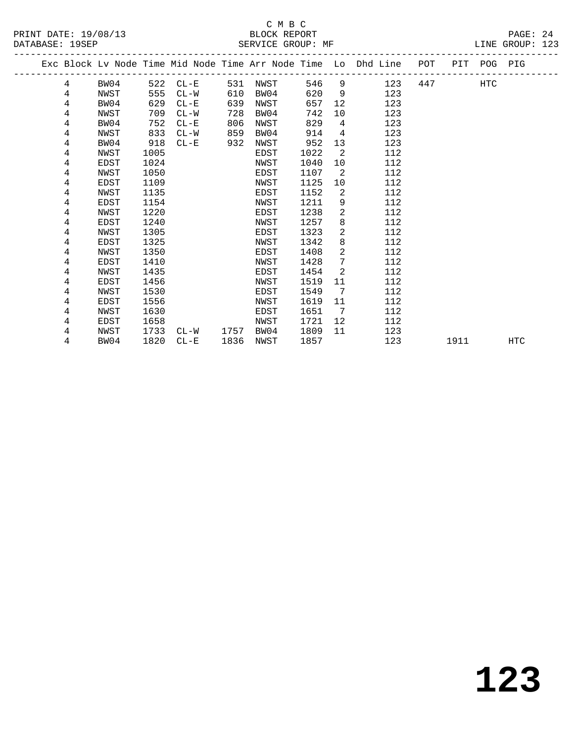|  |   |      |      |          |      |      |      |                              | Exc Block Lv Node Time Mid Node Time Arr Node Time Lo Dhd Line POT PIT POG PIG |     |      |     |            |
|--|---|------|------|----------|------|------|------|------------------------------|--------------------------------------------------------------------------------|-----|------|-----|------------|
|  | 4 | BW04 | 522  | $CL - E$ | 531  | NWST | 546  |                              | $9 \left( \frac{1}{2} \right)$<br>123                                          | 447 |      | HTC |            |
|  | 4 | NWST | 555  | $CL-W$   | 610  | BW04 | 620  | 9                            | 123                                                                            |     |      |     |            |
|  | 4 | BW04 | 629  | $CL - E$ | 639  | NWST | 657  | 12                           | 123                                                                            |     |      |     |            |
|  | 4 | NWST | 709  | $CL-W$   | 728  | BW04 | 742  | 10 <sup>°</sup>              | 123                                                                            |     |      |     |            |
|  | 4 | BW04 | 752  | $CL - E$ | 806  | NWST | 829  | 4                            | 123                                                                            |     |      |     |            |
|  | 4 | NWST | 833  | $CL-W$   | 859  | BW04 | 914  | $\overline{4}$               | 123                                                                            |     |      |     |            |
|  | 4 | BW04 | 918  | $CL-E$   | 932  | NWST | 952  | 13                           | 123                                                                            |     |      |     |            |
|  | 4 | NWST | 1005 |          |      | EDST | 1022 | 2                            | 112                                                                            |     |      |     |            |
|  | 4 | EDST | 1024 |          |      | NWST | 1040 | 10                           | 112                                                                            |     |      |     |            |
|  | 4 | NWST | 1050 |          |      | EDST | 1107 | 2                            | 112                                                                            |     |      |     |            |
|  | 4 | EDST | 1109 |          |      | NWST | 1125 | 10                           | 112                                                                            |     |      |     |            |
|  | 4 | NWST | 1135 |          |      | EDST | 1152 | 2                            | 112                                                                            |     |      |     |            |
|  | 4 | EDST | 1154 |          |      | NWST | 1211 | 9                            | 112                                                                            |     |      |     |            |
|  | 4 | NWST | 1220 |          |      | EDST | 1238 | 2                            | 112                                                                            |     |      |     |            |
|  | 4 | EDST | 1240 |          |      | NWST | 1257 | 8                            | 112                                                                            |     |      |     |            |
|  | 4 | NWST | 1305 |          |      | EDST | 1323 | 2                            | 112                                                                            |     |      |     |            |
|  | 4 | EDST | 1325 |          |      | NWST | 1342 | 8                            | 112                                                                            |     |      |     |            |
|  | 4 | NWST | 1350 |          |      | EDST | 1408 | 2                            | 112                                                                            |     |      |     |            |
|  | 4 | EDST | 1410 |          |      | NWST | 1428 | 7                            | 112                                                                            |     |      |     |            |
|  | 4 | NWST | 1435 |          |      | EDST | 1454 | 2                            | 112                                                                            |     |      |     |            |
|  | 4 | EDST | 1456 |          |      | NWST | 1519 | 11                           | 112                                                                            |     |      |     |            |
|  | 4 | NWST | 1530 |          |      | EDST | 1549 | 7                            | 112                                                                            |     |      |     |            |
|  | 4 | EDST | 1556 |          |      | NWST | 1619 | 11                           | 112                                                                            |     |      |     |            |
|  | 4 | NWST | 1630 |          |      | EDST | 1651 | $7\phantom{.0}\phantom{.0}7$ | 112                                                                            |     |      |     |            |
|  | 4 | EDST | 1658 |          |      | NWST | 1721 | 12                           | 112                                                                            |     |      |     |            |
|  | 4 | NWST | 1733 | CL-W     | 1757 | BW04 | 1809 | 11                           | 123                                                                            |     |      |     |            |
|  | 4 | BW04 | 1820 | $CL - E$ | 1836 | NWST | 1857 |                              | 123                                                                            |     | 1911 |     | <b>HTC</b> |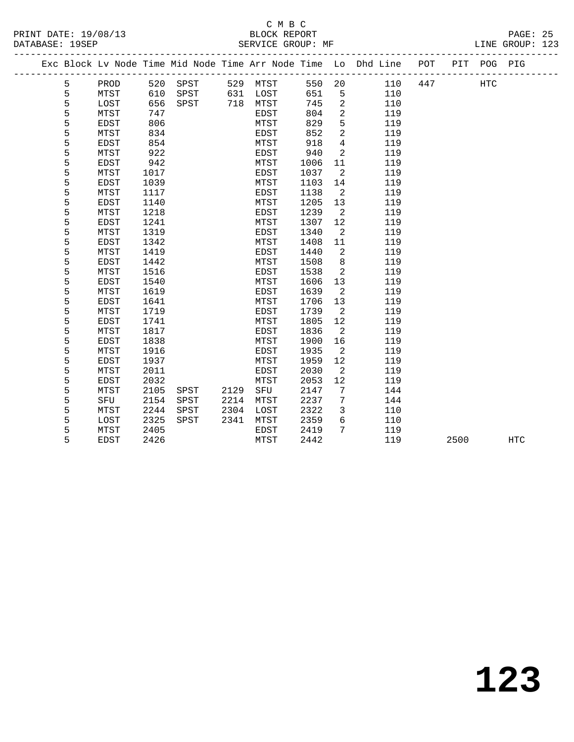|   |             |      |          |      |          |      |                 | Exc Block Lv Node Time Mid Node Time Arr Node Time Lo Dhd Line POT |     |      | PIT POG PIG |     |
|---|-------------|------|----------|------|----------|------|-----------------|--------------------------------------------------------------------|-----|------|-------------|-----|
| 5 | PROD        |      | 520 SPST |      | 529 MTST |      |                 | 550 20<br>110                                                      | 447 |      | <b>HTC</b>  |     |
| 5 | MTST        | 610  | SPST     |      | 631 LOST | 651  | 5               | 110                                                                |     |      |             |     |
| 5 | LOST        | 656  | SPST     |      | 718 MTST | 745  | 2               | 110                                                                |     |      |             |     |
| 5 | MTST        | 747  |          |      | EDST     | 804  | 2               | 119                                                                |     |      |             |     |
| 5 | EDST        | 806  |          |      | MTST     | 829  | 5               | 119                                                                |     |      |             |     |
| 5 | MTST        | 834  |          |      | EDST     | 852  | 2               | 119                                                                |     |      |             |     |
| 5 | EDST        | 854  |          |      | MTST     | 918  | $\overline{4}$  | 119                                                                |     |      |             |     |
| 5 | MTST        | 922  |          |      | EDST     | 940  | 2               | 119                                                                |     |      |             |     |
| 5 | <b>EDST</b> | 942  |          |      | MTST     | 1006 | 11              | 119                                                                |     |      |             |     |
| 5 | MTST        | 1017 |          |      | EDST     | 1037 | 2               | 119                                                                |     |      |             |     |
| 5 | EDST        | 1039 |          |      | MTST     | 1103 | 14              | 119                                                                |     |      |             |     |
| 5 | MTST        | 1117 |          |      | EDST     | 1138 | $\overline{2}$  | 119                                                                |     |      |             |     |
| 5 | EDST        | 1140 |          |      | MTST     | 1205 | 13              | 119                                                                |     |      |             |     |
| 5 | MTST        | 1218 |          |      | EDST     | 1239 | $\overline{2}$  | 119                                                                |     |      |             |     |
| 5 | <b>EDST</b> | 1241 |          |      | MTST     | 1307 | 12              | 119                                                                |     |      |             |     |
| 5 | MTST        | 1319 |          |      | EDST     | 1340 | $\overline{2}$  | 119                                                                |     |      |             |     |
| 5 | EDST        | 1342 |          |      | MTST     | 1408 | 11              | 119                                                                |     |      |             |     |
| 5 | MTST        | 1419 |          |      | EDST     | 1440 | 2               | 119                                                                |     |      |             |     |
| 5 | EDST        | 1442 |          |      | MTST     | 1508 | 8               | 119                                                                |     |      |             |     |
| 5 | MTST        | 1516 |          |      | EDST     | 1538 | 2               | 119                                                                |     |      |             |     |
| 5 | <b>EDST</b> | 1540 |          |      | MTST     | 1606 | 13              | 119                                                                |     |      |             |     |
| 5 | MTST        | 1619 |          |      | EDST     | 1639 | $\overline{2}$  | 119                                                                |     |      |             |     |
| 5 | EDST        | 1641 |          |      | MTST     | 1706 | 13              | 119                                                                |     |      |             |     |
| 5 | MTST        | 1719 |          |      | EDST     | 1739 | $\overline{2}$  | 119                                                                |     |      |             |     |
| 5 | <b>EDST</b> | 1741 |          |      | MTST     | 1805 | 12              | 119                                                                |     |      |             |     |
| 5 | MTST        | 1817 |          |      | EDST     | 1836 | 2               | 119                                                                |     |      |             |     |
| 5 | <b>EDST</b> | 1838 |          |      | MTST     | 1900 | 16              | 119                                                                |     |      |             |     |
| 5 | MTST        | 1916 |          |      | EDST     | 1935 | $\overline{2}$  | 119                                                                |     |      |             |     |
| 5 | EDST        | 1937 |          |      | MTST     | 1959 | 12              | 119                                                                |     |      |             |     |
| 5 | MTST        | 2011 |          |      | EDST     | 2030 | 2               | 119                                                                |     |      |             |     |
| 5 | <b>EDST</b> | 2032 |          |      | MTST     | 2053 | 12              | 119                                                                |     |      |             |     |
| 5 | MTST        | 2105 | SPST     | 2129 | SFU      | 2147 | $7\phantom{.0}$ | 144                                                                |     |      |             |     |
| 5 | SFU         | 2154 | SPST     | 2214 | MTST     | 2237 | 7               | 144                                                                |     |      |             |     |
| 5 | MTST        | 2244 | SPST     | 2304 | LOST     | 2322 | $\overline{3}$  | 110                                                                |     |      |             |     |
| 5 | LOST        | 2325 | SPST     | 2341 | MTST     | 2359 | $6\overline{6}$ | 110                                                                |     |      |             |     |
| 5 | MTST        | 2405 |          |      | EDST     | 2419 | 7               | 119                                                                |     |      |             |     |
| 5 | <b>EDST</b> | 2426 |          |      | MTST     | 2442 |                 | 119                                                                |     | 2500 |             | HTC |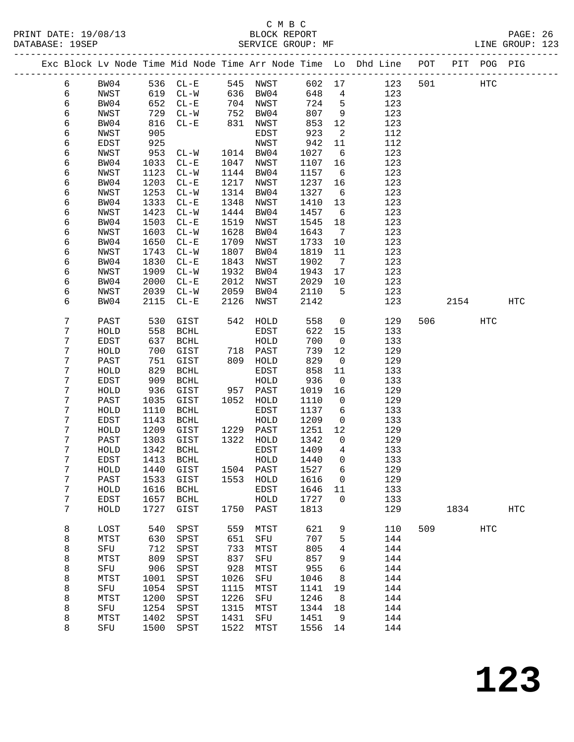#### C M B C<br>BLOCK REPORT PRINT DATE: 19/08/13 BLOCK REPORT PAGE: 26 SERVICE GROUP: MF

|  |        |              |              |                       |      |                        |              |                               | Exc Block Lv Node Time Mid Node Time Arr Node Time Lo Dhd Line POT |     |      | PIT POG PIG |            |
|--|--------|--------------|--------------|-----------------------|------|------------------------|--------------|-------------------------------|--------------------------------------------------------------------|-----|------|-------------|------------|
|  | 6      | BW04         |              | 536 CL-E              |      | 545 NWST               | 602 17       |                               | 123                                                                | 501 |      | HTC         |            |
|  | 6      | NWST         | 619          | $CL-W$                | 636  | BW04                   | 648          | $\overline{4}$                | 123                                                                |     |      |             |            |
|  | 6      | BW04         | 652          | $CL - E$              |      | 704 NWST               | 724          | 5                             | 123                                                                |     |      |             |            |
|  | 6      | NWST         | 729          | $CL-W$                | 752  | BW04                   | 807          | 9                             | 123                                                                |     |      |             |            |
|  | 6      | BW04         | 816          | $CL - E$              | 831  | NWST                   | 853          | 12                            | 123                                                                |     |      |             |            |
|  | 6      | NWST         | 905          |                       |      | EDST                   | 923          | 2                             | 112                                                                |     |      |             |            |
|  | 6      | EDST         | 925          |                       |      | NWST                   | 942          | 11                            | 112                                                                |     |      |             |            |
|  | 6      | NWST         | 953          | $CL-W$                |      | 1014 BW04              | 1027         | 6                             | 123                                                                |     |      |             |            |
|  | 6      | BW04         | 1033         | $CL - E$              | 1047 | NWST                   | 1107         | 16                            | 123                                                                |     |      |             |            |
|  | 6      | NWST         | 1123         | $CL-W$                | 1144 | BW04                   | 1157         | $6\overline{6}$               | 123                                                                |     |      |             |            |
|  | 6      | BW04         | 1203         | $CL - E$              | 1217 | NWST                   | 1237         | 16                            | 123                                                                |     |      |             |            |
|  | 6      | NWST         | 1253         | $CL - W$              | 1314 | BW04                   | 1327         | $6\overline{6}$               | 123                                                                |     |      |             |            |
|  | 6      | BW04         | 1333         | $CL - E$              | 1348 | NWST                   | 1410         | 13                            | 123                                                                |     |      |             |            |
|  | 6      | NWST         | 1423         | $CL-W$                | 1444 | BW04                   | 1457         | $6\overline{6}$               | 123                                                                |     |      |             |            |
|  | 6      | BW04         | 1503         | $CL-E$                | 1519 | NWST                   | 1545         | 18                            | 123                                                                |     |      |             |            |
|  | 6      | NWST         | 1603         | $CL - W$              | 1628 | BW04                   | 1643         | $7\phantom{.0}$               | 123                                                                |     |      |             |            |
|  | 6      | BW04         | 1650         | $CL - E$              | 1709 | NWST                   | 1733         | 10                            | 123                                                                |     |      |             |            |
|  | 6      | NWST         | 1743         | $CL - W$              | 1807 | BW04                   | 1819         | 11                            | 123                                                                |     |      |             |            |
|  | 6      | BW04         | 1830         | $CL - E$              | 1843 | NWST                   | 1902         | $\overline{7}$                | 123                                                                |     |      |             |            |
|  | 6      | NWST         | 1909         | $CL - W$              | 1932 | BW04                   | 1943         | 17                            | 123                                                                |     |      |             |            |
|  | 6      | BW04         | 2000         | $CL - E$              | 2012 | NWST                   | 2029         | 10                            | 123                                                                |     |      |             |            |
|  | 6      | NWST         | 2039         | $CL - W$              | 2059 | BW04                   | 2110         | 5                             | 123                                                                |     |      |             |            |
|  | 6      | BW04         | 2115         | $CL - E$              | 2126 | NWST                   | 2142         |                               | 123                                                                |     | 2154 |             | HTC        |
|  |        |              |              |                       |      |                        |              |                               |                                                                    |     |      |             |            |
|  | 7      | PAST         | 530          | GIST                  | 542  | HOLD                   | 558          | $\mathsf{O}$                  | 129                                                                | 506 |      | HTC         |            |
|  | 7      | HOLD         | 558          | BCHL                  |      | EDST                   | 622          | 15                            | 133                                                                |     |      |             |            |
|  | 7      | EDST         | 637          | BCHL                  |      | HOLD                   | 700          | $\overline{0}$                | 133                                                                |     |      |             |            |
|  | 7      | HOLD         | 700          | GIST                  |      | 718 PAST               | 739          | 12                            | 129                                                                |     |      |             |            |
|  | 7      | PAST         | 751          | GIST                  |      | 809 HOLD               | 829          | $\overline{0}$                | 129                                                                |     |      |             |            |
|  | 7      | HOLD         | 829          | <b>BCHL</b>           |      | EDST                   | 858          | 11                            | 133                                                                |     |      |             |            |
|  | 7      | EDST         | 909          | $\operatorname{BCHL}$ |      | HOLD                   | 936          | $\mathsf{O}$                  | 133                                                                |     |      |             |            |
|  | 7      | HOLD         | 936          | GIST                  | 957  | PAST                   | 1019         | 16                            | 129                                                                |     |      |             |            |
|  | 7      | PAST         | 1035         | GIST                  | 1052 | HOLD                   | 1110         | $\overline{0}$                | 129                                                                |     |      |             |            |
|  | 7      | HOLD         | 1110         | BCHL                  |      | EDST                   | 1137         | 6                             | 133                                                                |     |      |             |            |
|  | 7      | EDST         | 1143         | $\operatorname{BCHL}$ |      | HOLD                   | 1209         | $\mathsf{O}$                  | 133                                                                |     |      |             |            |
|  | 7<br>7 | HOLD         | 1209<br>1303 | GIST                  |      | 1229 PAST<br>1322 HOLD | 1251         | 12                            | 129                                                                |     |      |             |            |
|  | 7      | PAST<br>HOLD | 1342         | GIST<br>BCHL          |      | EDST                   | 1342<br>1409 | $\mathbf 0$<br>$\overline{4}$ | 129<br>133                                                         |     |      |             |            |
|  | 7      | EDST         | 1413         | BCHL                  |      | HOLD                   | 1440         | $\mathbf 0$                   | 133                                                                |     |      |             |            |
|  | 7      | ${\tt HOLD}$ |              | 1440 GIST             |      | 1504 PAST 1527 6       |              |                               | 129                                                                |     |      |             |            |
|  | 7      | PAST         | 1533         | GIST                  | 1553 | HOLD                   | 1616         | 0                             | 129                                                                |     |      |             |            |
|  | 7      | HOLD         | 1616         | <b>BCHL</b>           |      | EDST                   | 1646         | 11                            | 133                                                                |     |      |             |            |
|  | 7      | EDST         | 1657         | <b>BCHL</b>           |      | HOLD                   | 1727         | $\Omega$                      | 133                                                                |     |      |             |            |
|  | 7      | HOLD         | 1727         | GIST                  | 1750 | PAST                   | 1813         |                               | 129                                                                |     | 1834 |             | <b>HTC</b> |
|  |        |              |              |                       |      |                        |              |                               |                                                                    |     |      |             |            |
|  | 8      | LOST         | 540          | SPST                  | 559  | MTST                   | 621          | 9                             | 110                                                                | 509 |      | <b>HTC</b>  |            |
|  | 8      | MTST         | 630          | SPST                  | 651  | SFU                    | 707          | 5                             | 144                                                                |     |      |             |            |
|  | 8      | SFU          | 712          | SPST                  | 733  | MTST                   | 805          | 4                             | 144                                                                |     |      |             |            |
|  | 8      | MTST         | 809          | SPST                  | 837  | SFU                    | 857          | 9                             | 144                                                                |     |      |             |            |
|  | 8      | SFU          | 906          | SPST                  | 928  | MTST                   | 955          | 6                             | 144                                                                |     |      |             |            |
|  | 8      | MTST         | 1001         | SPST                  | 1026 | SFU                    | 1046         | 8                             | 144                                                                |     |      |             |            |
|  | 8      | SFU          | 1054         | SPST                  | 1115 | MTST                   | 1141         | 19                            | 144                                                                |     |      |             |            |
|  | 8      | MTST         | 1200         | SPST                  | 1226 | SFU                    | 1246         | 8                             | 144                                                                |     |      |             |            |
|  | 8      | SFU          | 1254         | SPST                  | 1315 | MTST                   | 1344         | 18                            | 144                                                                |     |      |             |            |
|  | 8      | MTST         | 1402         | SPST                  | 1431 | SFU                    | 1451         | 9                             | 144                                                                |     |      |             |            |
|  | 8      | SFU          | 1500         | SPST                  | 1522 | MTST                   | 1556         | 14                            | 144                                                                |     |      |             |            |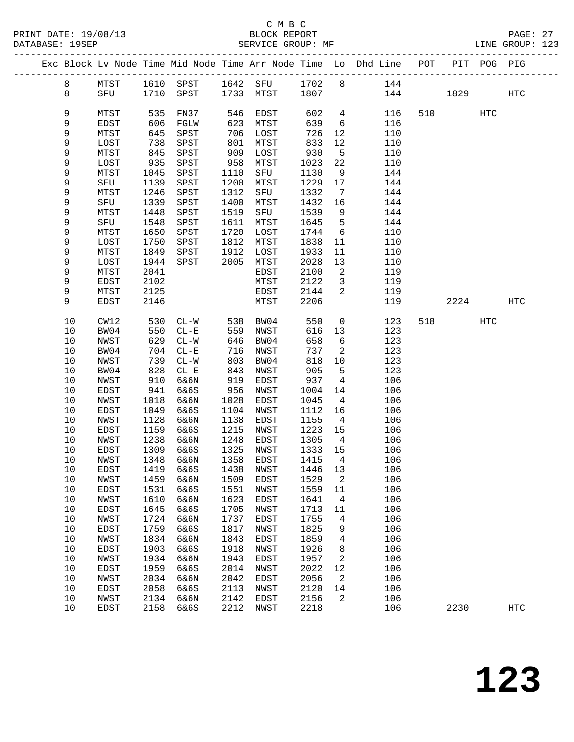|  |          |              |              |                     |              |              |              |                          | Exc Block Lv Node Time Mid Node Time Arr Node Time Lo Dhd Line POT |     |          | PIT POG PIG |                   |
|--|----------|--------------|--------------|---------------------|--------------|--------------|--------------|--------------------------|--------------------------------------------------------------------|-----|----------|-------------|-------------------|
|  | 8        | MTST         |              |                     |              |              |              |                          | 1610 SPST 1642 SFU 1702 8 144                                      |     |          |             |                   |
|  | 8        | SFU          |              | 1710 SPST 1733 MTST |              |              | 1807         |                          |                                                                    | 144 | 1829     |             | HTC               |
|  |          |              |              |                     |              |              |              |                          |                                                                    |     |          |             |                   |
|  | 9        | MTST         | 535          | FN37                | 546          | EDST         | 602          | $\overline{4}$           | 116                                                                |     | 510 72   | HTC         |                   |
|  | 9        | EDST         | 606          | FGLW                | 623          | MTST         | 639          | $6\overline{6}$          | 116                                                                |     |          |             |                   |
|  | 9        | MTST         | 645          | SPST                | 706          | LOST         | 726          | 12                       | 110                                                                |     |          |             |                   |
|  | 9        | LOST         | 738          | SPST                | 801          | MTST         | 833          | 12                       | 110                                                                |     |          |             |                   |
|  | 9        | MTST         | 845          | SPST                | 909          | LOST         | 930          | $5^{\circ}$              | 110                                                                |     |          |             |                   |
|  | 9        | LOST         | 935          | SPST                | 958          | MTST         | 1023         | 22                       | 110                                                                |     |          |             |                   |
|  | 9        | MTST         | 1045         | SPST                | 1110         | SFU          | 1130         | 9                        | 144                                                                |     |          |             |                   |
|  | 9        | SFU          | 1139         | SPST                | 1200         | MTST         | 1229         | 17                       | 144                                                                |     |          |             |                   |
|  | 9        | MTST         | 1246         | SPST                | 1312         | SFU          | 1332         | $\overline{7}$           | 144                                                                |     |          |             |                   |
|  | 9        | SFU          | 1339         | SPST                | 1400         | MTST         | 1432         | 16                       | 144                                                                |     |          |             |                   |
|  | 9        | MTST         | 1448         | SPST                | 1519         | SFU          | 1539         | 9                        | 144                                                                |     |          |             |                   |
|  | 9        | SFU          | 1548         | SPST                | 1611         | MTST         | 1645         | $5^{\circ}$              | 144                                                                |     |          |             |                   |
|  | 9        | MTST         | 1650         | SPST                | 1720         | LOST         | 1744         | $6\overline{6}$          | 110                                                                |     |          |             |                   |
|  | 9        | LOST         | 1750         | SPST                | 1812         | MTST         | 1838         | 11                       | 110                                                                |     |          |             |                   |
|  | 9        | MTST         | 1849         | SPST                | 1912         | LOST         | 1933         | 11                       | 110                                                                |     |          |             |                   |
|  | 9        | LOST         | 1944         | SPST                | 2005         | MTST         | 2028         | 13                       | 110                                                                |     |          |             |                   |
|  | 9        | MTST         | 2041         |                     |              | EDST         | 2100         | $\overline{\phantom{a}}$ | 119                                                                |     |          |             |                   |
|  | 9        | EDST         | 2102         |                     |              | MTST         | 2122         | $\overline{\mathbf{3}}$  | 119                                                                |     |          |             |                   |
|  | 9        | MTST         | 2125         |                     |              | EDST         | 2144         | 2                        | 119                                                                |     |          |             |                   |
|  | 9        | EDST         | 2146         |                     |              | MTST         | 2206         |                          | 119                                                                |     | 2224     |             | HTC               |
|  | $10$     | CW12         | 530          | $CL-W$              | 538          | BW04         | 550          | $\overline{0}$           | 123                                                                |     | 518 — 10 | HTC         |                   |
|  | $10$     | BW04         | 550          | $CL - E$            | 559          | NWST         | 616          | 13                       | 123                                                                |     |          |             |                   |
|  | 10       | NWST         | 629          | $CL-W$              | 646          | BW04         | 658          | 6                        | 123                                                                |     |          |             |                   |
|  | 10       | BW04         | 704          | $CL-E$              | 716          | NWST         | 737          | $\overline{\phantom{a}}$ | 123                                                                |     |          |             |                   |
|  | 10       | NWST         | 739          | $CL-W$              | 803          | BW04         | 818          | 10                       | 123                                                                |     |          |             |                   |
|  | 10       | BW04         | 828          | $CL - E$            | 843          | NWST         | 905          | $5^{\circ}$              | 123                                                                |     |          |             |                   |
|  | $10$     | NWST         | 910          | 6&6N                | 919          | EDST         | 937          | 4                        | 106                                                                |     |          |             |                   |
|  | $10$     | EDST         | 941          | 6&6S                | 956          | NWST         | 1004         | 14                       | 106                                                                |     |          |             |                   |
|  | 10       | NWST         | 1018         | 6&6N                | 1028         | EDST         | 1045         | $\overline{4}$           | 106                                                                |     |          |             |                   |
|  | 10       | EDST         | 1049         | 6&6S                | 1104         | NWST         | 1112         | 16                       | 106                                                                |     |          |             |                   |
|  | 10       | NWST         | 1128         | 6&6N                | 1138         | EDST         | 1155         | $\overline{4}$           | 106                                                                |     |          |             |                   |
|  | 10       | EDST         | 1159         | 6&6S                | 1215         | NWST         | 1223         | 15                       | 106                                                                |     |          |             |                   |
|  | 10<br>10 | NWST         | 1238         | 6&6N<br>6&6S        | 1248<br>1325 | EDST<br>NWST | 1305         | $\overline{4}$<br>15     | 106                                                                |     |          |             |                   |
|  | 10       | EDST<br>NWST | 1309<br>1348 | 6&6N                | 1358         | EDST         | 1333<br>1415 | $\overline{4}$           | 106<br>106                                                         |     |          |             |                   |
|  | 10 EDST  |              |              | 1419 6&6S           |              | 1438 NWST    | 1446 13      |                          | 106                                                                |     |          |             |                   |
|  | 10       | NWST         | 1459         | 6&6N                | 1509         | EDST         | 1529         | 2                        | 106                                                                |     |          |             |                   |
|  | 10       | EDST         | 1531         | 6&6S                | 1551         | NWST         | 1559         | 11                       | 106                                                                |     |          |             |                   |
|  | 10       | NWST         | 1610         | 6&6N                | 1623         | EDST         | 1641         | $\overline{4}$           | 106                                                                |     |          |             |                   |
|  | 10       | EDST         | 1645         | 6&6S                | 1705         | NWST         | 1713         | 11                       | 106                                                                |     |          |             |                   |
|  | 10       | NWST         | 1724         | 6&6N                | 1737         | EDST         | 1755         | 4                        | 106                                                                |     |          |             |                   |
|  | $10$     | EDST         | 1759         | 6&6S                | 1817         | NWST         | 1825         | 9                        | 106                                                                |     |          |             |                   |
|  | $10$     | NWST         | 1834         | 6&6N                | 1843         | EDST         | 1859         | 4                        | 106                                                                |     |          |             |                   |
|  | 10       | EDST         | 1903         | 6&6S                | 1918         | NWST         | 1926         | 8                        | 106                                                                |     |          |             |                   |
|  | 10       | NWST         | 1934         | 6&6N                | 1943         | EDST         | 1957         | 2                        | 106                                                                |     |          |             |                   |
|  | 10       | EDST         | 1959         | 6&6S                | 2014         | NWST         | 2022         | 12                       | 106                                                                |     |          |             |                   |
|  | $10$     | NWST         | 2034         | 6&6N                | 2042         | <b>EDST</b>  | 2056         | 2                        | 106                                                                |     |          |             |                   |
|  | 10       | EDST         | 2058         | 6&6S                | 2113         | NWST         | 2120         | 14                       | 106                                                                |     |          |             |                   |
|  | 10       | NWST         | 2134         | 6&6N                | 2142         | EDST         | 2156         | 2                        | 106                                                                |     |          |             |                   |
|  | 10       | EDST         | 2158         | 6&6S                | 2212         | NWST         | 2218         |                          | 106                                                                |     | 2230     |             | $_{\mathrm{HTC}}$ |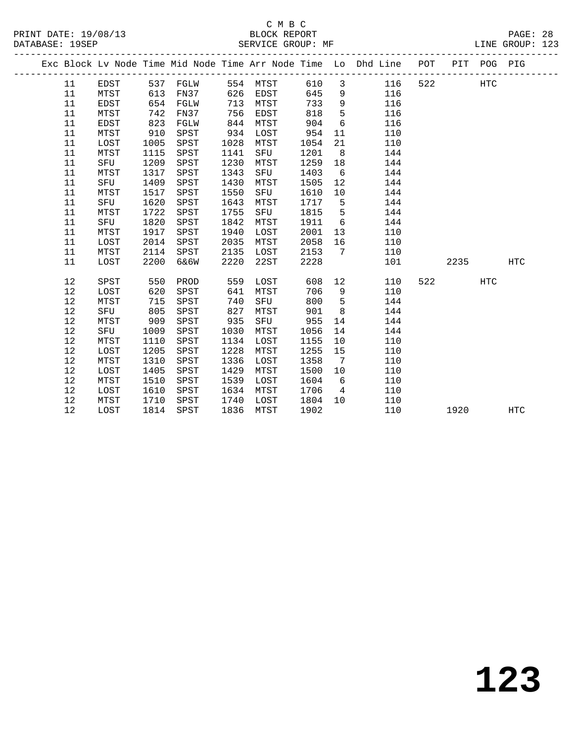### C M B C<br>BLOCK REPORT SERVICE GROUP: MF

|  |    |             |      |          |      |      |      |                 | Exc Block Lv Node Time Mid Node Time Arr Node Time Lo Dhd Line POT |     |      | PIT POG PIG |            |
|--|----|-------------|------|----------|------|------|------|-----------------|--------------------------------------------------------------------|-----|------|-------------|------------|
|  | 11 | EDST        |      | 537 FGLW | 554  | MTST | 610  | $\mathbf{3}$    | 116                                                                | 522 |      | HTC         |            |
|  | 11 | MTST        | 613  | FN37     | 626  | EDST | 645  | $\overline{9}$  | 116                                                                |     |      |             |            |
|  | 11 | <b>EDST</b> | 654  | FGLW     | 713  | MTST | 733  | 9               | 116                                                                |     |      |             |            |
|  | 11 | MTST        | 742  | FN37     | 756  | EDST | 818  | 5               | 116                                                                |     |      |             |            |
|  | 11 | <b>EDST</b> | 823  | FGLW     | 844  | MTST | 904  | 6               | 116                                                                |     |      |             |            |
|  | 11 | MTST        | 910  | SPST     | 934  | LOST | 954  | 11              | 110                                                                |     |      |             |            |
|  | 11 | LOST        | 1005 | SPST     | 1028 | MTST | 1054 | 21              | 110                                                                |     |      |             |            |
|  | 11 | MTST        | 1115 | SPST     | 1141 | SFU  | 1201 | 8               | 144                                                                |     |      |             |            |
|  | 11 | SFU         | 1209 | SPST     | 1230 | MTST | 1259 | 18              | 144                                                                |     |      |             |            |
|  | 11 | MTST        | 1317 | SPST     | 1343 | SFU  | 1403 | 6               | 144                                                                |     |      |             |            |
|  | 11 | SFU         | 1409 | SPST     | 1430 | MTST | 1505 | 12              | 144                                                                |     |      |             |            |
|  | 11 | MTST        | 1517 | SPST     | 1550 | SFU  | 1610 | 10              | 144                                                                |     |      |             |            |
|  | 11 | SFU         | 1620 | SPST     | 1643 | MTST | 1717 | 5               | 144                                                                |     |      |             |            |
|  | 11 | MTST        | 1722 | SPST     | 1755 | SFU  | 1815 | 5               | 144                                                                |     |      |             |            |
|  | 11 | SFU         | 1820 | SPST     | 1842 | MTST | 1911 | $6\overline{6}$ | 144                                                                |     |      |             |            |
|  | 11 | MTST        | 1917 | SPST     | 1940 | LOST | 2001 | 13              | 110                                                                |     |      |             |            |
|  | 11 | LOST        | 2014 | SPST     | 2035 | MTST | 2058 | 16              | 110                                                                |     |      |             |            |
|  | 11 | MTST        | 2114 | SPST     | 2135 | LOST | 2153 | 7               | 110                                                                |     |      |             |            |
|  | 11 | LOST        | 2200 | 6&6W     | 2220 | 22ST | 2228 |                 | 101                                                                |     | 2235 |             | <b>HTC</b> |
|  | 12 | SPST        | 550  | PROD     | 559  | LOST | 608  | 12              | 110                                                                | 522 |      | HTC         |            |
|  | 12 | LOST        | 620  | SPST     | 641  | MTST | 706  | 9               | 110                                                                |     |      |             |            |
|  | 12 | MTST        | 715  | SPST     | 740  | SFU  | 800  | 5               | 144                                                                |     |      |             |            |
|  | 12 | SFU         | 805  | SPST     | 827  | MTST | 901  | 8               | 144                                                                |     |      |             |            |
|  | 12 | MTST        | 909  | SPST     | 935  | SFU  | 955  | 14              | 144                                                                |     |      |             |            |
|  | 12 | SFU         | 1009 | SPST     | 1030 | MTST | 1056 | 14              | 144                                                                |     |      |             |            |
|  | 12 | MTST        | 1110 | SPST     | 1134 | LOST | 1155 | 10              | 110                                                                |     |      |             |            |
|  | 12 | LOST        | 1205 | SPST     | 1228 | MTST | 1255 | 15              | 110                                                                |     |      |             |            |
|  | 12 | MTST        | 1310 | SPST     | 1336 | LOST | 1358 | 7               | 110                                                                |     |      |             |            |
|  | 12 | LOST        | 1405 | SPST     | 1429 | MTST | 1500 | 10              | 110                                                                |     |      |             |            |
|  | 12 | MTST        | 1510 | SPST     | 1539 | LOST | 1604 | 6               | 110                                                                |     |      |             |            |
|  | 12 | LOST        | 1610 | SPST     | 1634 | MTST | 1706 | $\overline{4}$  | 110                                                                |     |      |             |            |
|  | 12 | MTST        | 1710 | SPST     | 1740 | LOST | 1804 | 10              | 110                                                                |     |      |             |            |

12 LOST 1814 SPST 1836 MTST 1902 110 1920 HTC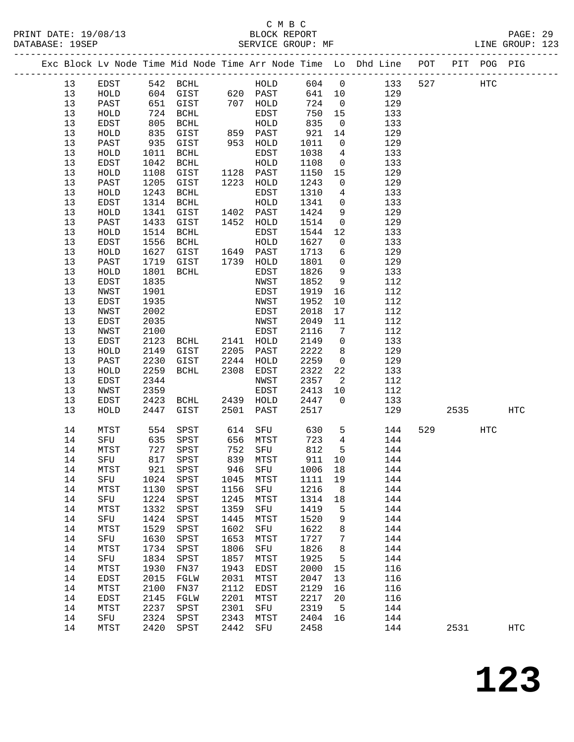|  |    |      |            |             |      |                      |         |                 | Exc Block Lv Node Time Mid Node Time Arr Node Time Lo Dhd Line POT |     |      | PIT POG PIG |                   |
|--|----|------|------------|-------------|------|----------------------|---------|-----------------|--------------------------------------------------------------------|-----|------|-------------|-------------------|
|  | 13 | EDST |            | 542 BCHL    |      | HOLD                 | 604 0   |                 | 133                                                                | 527 |      | HTC         |                   |
|  | 13 | HOLD | 604<br>651 | GIST        |      | 620 PAST<br>707 HOLD | 641     | 10              | 129                                                                |     |      |             |                   |
|  | 13 | PAST |            | GIST        |      |                      | 724     | $\overline{0}$  | 129                                                                |     |      |             |                   |
|  | 13 | HOLD | 724        | BCHL        |      | EDST                 | 750     | 15              | 133                                                                |     |      |             |                   |
|  | 13 | EDST | 805        | BCHL        |      | HOLD                 | 835     | $\overline{0}$  | 133                                                                |     |      |             |                   |
|  | 13 | HOLD | 835        | GIST        |      | 859 PAST             | 921     | 14              | 129                                                                |     |      |             |                   |
|  | 13 | PAST | 935        | GIST        |      | 953 HOLD             | 1011    | $\overline{0}$  | 129                                                                |     |      |             |                   |
|  | 13 | HOLD | 1011       | BCHL        |      | EDST                 | 1038    | $4\overline{4}$ | 133                                                                |     |      |             |                   |
|  | 13 | EDST | 1042       | BCHL        |      | HOLD                 | 1108    | $\overline{0}$  | 133                                                                |     |      |             |                   |
|  | 13 | HOLD | 1108       | GIST        |      | 1128 PAST            | 1150    | 15              | 129                                                                |     |      |             |                   |
|  | 13 | PAST | 1205       | GIST        |      | 1223 HOLD            | 1243    | $\overline{0}$  | 129                                                                |     |      |             |                   |
|  | 13 | HOLD | 1243       | <b>BCHL</b> |      | EDST                 | 1310    | $4\overline{ }$ | 133                                                                |     |      |             |                   |
|  | 13 | EDST | 1314       | BCHL        |      | HOLD                 | 1341    | $\mathbf 0$     | 133                                                                |     |      |             |                   |
|  | 13 | HOLD | 1341       | GIST        |      | 1402 PAST            | 1424    | 9               | 129                                                                |     |      |             |                   |
|  | 13 | PAST | 1433       | GIST        |      | 1452 HOLD            | 1514    | $\mathsf 0$     | 129                                                                |     |      |             |                   |
|  | 13 | HOLD | 1514       | BCHL        |      | EDST                 | 1544    | 12              | 133                                                                |     |      |             |                   |
|  | 13 | EDST | 1556       | BCHL        |      | HOLD                 | 1627    | $\overline{0}$  | 133                                                                |     |      |             |                   |
|  | 13 | HOLD | 1627       | GIST        |      | 1649 PAST            | 1713    | 6               | 129                                                                |     |      |             |                   |
|  | 13 | PAST | 1719       | GIST        |      | 1739 HOLD            | 1801    | $\overline{0}$  | 129                                                                |     |      |             |                   |
|  | 13 | HOLD | 1801       | BCHL        |      | EDST                 | 1826    | 9               | 133                                                                |     |      |             |                   |
|  | 13 | EDST | 1835       |             |      | NWST                 | 1852    | 9               | 112                                                                |     |      |             |                   |
|  | 13 | NWST | 1901       |             |      | EDST                 | 1919    | 16              | 112                                                                |     |      |             |                   |
|  | 13 | EDST | 1935       |             |      | NWST                 | 1952    | 10              | 112                                                                |     |      |             |                   |
|  | 13 | NWST | 2002       |             |      | EDST                 | 2018    | 17              | 112                                                                |     |      |             |                   |
|  | 13 | EDST | 2035       |             |      | NWST                 | 2049    | 11              | 112                                                                |     |      |             |                   |
|  | 13 | NWST | 2100       |             |      | EDST                 | 2116    | 7               | 112                                                                |     |      |             |                   |
|  | 13 | EDST | 2123       | BCHL        |      | 2141 HOLD            | 2149    | $\overline{0}$  | 133                                                                |     |      |             |                   |
|  | 13 | HOLD | 2149       | GIST        | 2205 | PAST                 | 2222    | 8               | 129                                                                |     |      |             |                   |
|  | 13 | PAST | 2230       | GIST        | 2244 | HOLD                 | 2259    | $\mathbf 0$     | 129                                                                |     |      |             |                   |
|  | 13 | HOLD | 2259       | BCHL        | 2308 | EDST                 | 2322    | 22              | 133                                                                |     |      |             |                   |
|  | 13 | EDST | 2344       |             |      | NWST                 | 2357    | 2               | 112                                                                |     |      |             |                   |
|  | 13 | NWST | 2359       |             |      | EDST                 | 2413    | 10              | 112                                                                |     |      |             |                   |
|  | 13 | EDST | 2423       | BCHL        | 2439 | HOLD                 | 2447    | $\mathbf{0}$    | 133                                                                |     |      |             |                   |
|  | 13 | HOLD | 2447       | GIST        | 2501 | PAST                 | 2517    |                 | 129                                                                |     | 2535 |             | <b>HTC</b>        |
|  | 14 | MTST | 554        | SPST        | 614  | SFU                  | 630     | $5\overline{)}$ | 144                                                                | 529 |      | HTC         |                   |
|  | 14 | SFU  | 635        | SPST        |      | 656 MTST             | 723     | $\overline{4}$  | 144                                                                |     |      |             |                   |
|  | 14 | MTST | 727        | SPST        |      | 752 SFU              | 812     | $5^{\circ}$     | 144                                                                |     |      |             |                   |
|  | 14 | SFU  | 817        | SPST        |      | 839 MTST             | 911     | 10              | 144                                                                |     |      |             |                   |
|  | 14 | MTST |            | 921 SPST    |      | 946 SFU              | 1006 18 |                 | 144                                                                |     |      |             |                   |
|  | 14 | SFU  | 1024       | SPST        | 1045 | MTST                 | 1111    | 19              | 144                                                                |     |      |             |                   |
|  | 14 | MTST | 1130       | SPST        | 1156 | SFU                  | 1216    | 8               | 144                                                                |     |      |             |                   |
|  | 14 | SFU  | 1224       | SPST        | 1245 | MTST                 | 1314    | 18              | 144                                                                |     |      |             |                   |
|  | 14 | MTST | 1332       | SPST        | 1359 | SFU                  | 1419    | 5               | 144                                                                |     |      |             |                   |
|  | 14 | SFU  | 1424       | SPST        | 1445 | MTST                 | 1520    | 9               | 144                                                                |     |      |             |                   |
|  | 14 | MTST | 1529       | SPST        | 1602 | SFU                  | 1622    | 8               | 144                                                                |     |      |             |                   |
|  | 14 | SFU  | 1630       | SPST        | 1653 | MTST                 | 1727    | 7               | 144                                                                |     |      |             |                   |
|  | 14 | MTST | 1734       | SPST        | 1806 | SFU                  | 1826    | 8               | 144                                                                |     |      |             |                   |
|  | 14 | SFU  | 1834       | SPST        | 1857 | MTST                 | 1925    | 5               | 144                                                                |     |      |             |                   |
|  | 14 | MTST | 1930       | FN37        | 1943 | <b>EDST</b>          | 2000    | 15              | 116                                                                |     |      |             |                   |
|  | 14 | EDST | 2015       | FGLW        | 2031 | MTST                 | 2047    | 13              | 116                                                                |     |      |             |                   |
|  | 14 | MTST | 2100       | FN37        | 2112 | EDST                 | 2129    | 16              | 116                                                                |     |      |             |                   |
|  | 14 | EDST | 2145       | FGLW        | 2201 | MTST                 | 2217    | 20              | 116                                                                |     |      |             |                   |
|  | 14 | MTST | 2237       | SPST        | 2301 | SFU                  | 2319    | 5               | 144                                                                |     |      |             |                   |
|  | 14 | SFU  | 2324       | SPST        | 2343 | MTST                 | 2404    | 16              | 144                                                                |     |      |             |                   |
|  | 14 | MTST | 2420       | SPST        | 2442 | SFU                  | 2458    |                 | 144                                                                |     | 2531 |             | $_{\mathrm{HTC}}$ |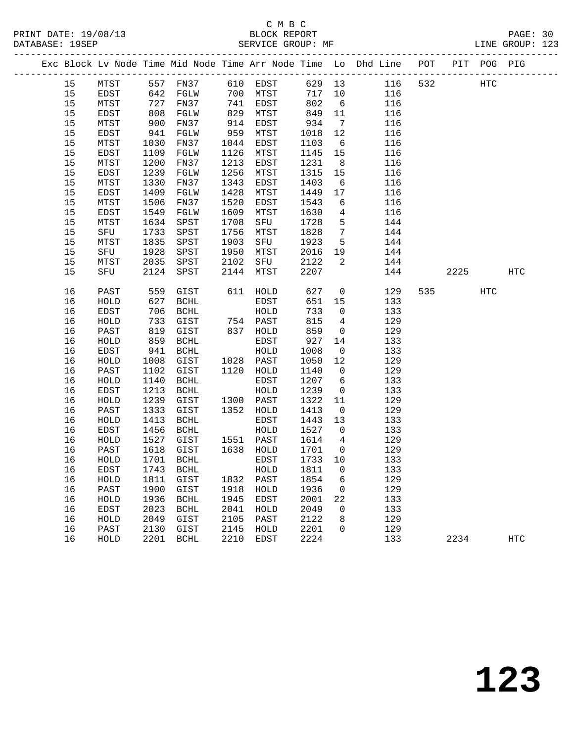|  |    |      |                 |                   |      |                      |        |                 | Exc Block Lv Node Time Mid Node Time Arr Node Time Lo Dhd Line POT PIT POG PIG |     |       |     |            |
|--|----|------|-----------------|-------------------|------|----------------------|--------|-----------------|--------------------------------------------------------------------------------|-----|-------|-----|------------|
|  | 15 | MTST |                 | 557 FN37 610 EDST |      |                      |        |                 | 629 13 116                                                                     | 532 | HTC   |     |            |
|  | 15 | EDST | 642             | FGLW              |      | 700 MTST             | 717 10 |                 | 116                                                                            |     |       |     |            |
|  | 15 | MTST | 727             | FN37              |      | 741 EDST             | 802    | 6               | 116                                                                            |     |       |     |            |
|  | 15 | EDST | 808             | FGLW              | 829  | MTST                 | 849    | 11              | 116                                                                            |     |       |     |            |
|  | 15 | MTST | 900             | FN37              | 914  | EDST                 | 934    | $7\overline{ }$ | 116                                                                            |     |       |     |            |
|  | 15 | EDST | 941             | FGLW              | 959  | MTST                 | 1018   | 12              | 116                                                                            |     |       |     |            |
|  | 15 | MTST | 1030            | FN37              | 1044 | EDST                 | 1103   | 6               | 116                                                                            |     |       |     |            |
|  | 15 | EDST | 1109            | FGLW              | 1126 | MTST                 | 1145   | 15              | 116                                                                            |     |       |     |            |
|  | 15 | MTST | 1200            | FN37              | 1213 | EDST                 | 1231   | 8 <sup>8</sup>  | 116                                                                            |     |       |     |            |
|  | 15 | EDST | 1239            | FGLW              | 1256 | MTST                 | 1315   | 15              | 116                                                                            |     |       |     |            |
|  | 15 | MTST | 1330            | FN37              | 1343 | EDST                 | 1403   | $6\overline{6}$ | 116                                                                            |     |       |     |            |
|  | 15 | EDST | 1409            | FGLW              | 1428 | MTST                 | 1449   | 17              | 116                                                                            |     |       |     |            |
|  | 15 | MTST | 1506            | FN37              | 1520 | EDST                 | 1543   | 6               | 116                                                                            |     |       |     |            |
|  | 15 | EDST | 1549            | FGLW              | 1609 | MTST                 | 1630   | $\overline{4}$  | 116                                                                            |     |       |     |            |
|  | 15 | MTST | 1634            | SPST              | 1708 | SFU                  | 1728   | $5^{\circ}$     | 144                                                                            |     |       |     |            |
|  | 15 | SFU  | 1733            | SPST              | 1756 | MTST                 | 1828   | $7\overline{ }$ | 144                                                                            |     |       |     |            |
|  | 15 | MTST | 1835            | SPST              | 1903 | SFU                  | 1923   | $5^{\circ}$     | 144                                                                            |     |       |     |            |
|  | 15 | SFU  | 1928            | SPST              | 1950 | MTST                 | 2016   | 19              | 144                                                                            |     |       |     |            |
|  | 15 | MTST | 2035            | SPST              | 2102 | SFU                  | 2122   | 2               | 144                                                                            |     |       |     |            |
|  | 15 | SFU  | 2124            | SPST              | 2144 | MTST                 | 2207   |                 | 144                                                                            |     | 2225  |     | <b>HTC</b> |
|  | 16 | PAST | 559             | GIST              |      | 611 HOLD             | 627    | $\overline{0}$  | 129                                                                            |     | 535 7 | HTC |            |
|  | 16 | HOLD | 627             | BCHL              |      | EDST                 | 651    | 15              | 133                                                                            |     |       |     |            |
|  | 16 | EDST | 706             | BCHL              |      | HOLD                 | 733    | $\overline{0}$  | 133                                                                            |     |       |     |            |
|  | 16 | HOLD | $\frac{7}{819}$ | GIST              |      | 754 PAST<br>837 HOLD | 815    | $\overline{4}$  | 129                                                                            |     |       |     |            |
|  | 16 | PAST |                 | GIST              |      |                      | 859    | $\overline{0}$  | 129                                                                            |     |       |     |            |
|  | 16 | HOLD | 859             | BCHL              |      | EDST                 | 927    | 14              | 133                                                                            |     |       |     |            |
|  | 16 | EDST | 941             | BCHL              |      | HOLD                 | 1008   | $\overline{0}$  | 133                                                                            |     |       |     |            |
|  | 16 | HOLD | 1008            | GIST              |      | 1028 PAST            | 1050   | 12              | 129                                                                            |     |       |     |            |
|  | 16 | PAST | 1102            | GIST              |      | 1120 HOLD            | 1140   | $\overline{0}$  | 129                                                                            |     |       |     |            |
|  | 16 | HOLD | 1140            | BCHL              |      | EDST                 | 1207   | 6               | 133                                                                            |     |       |     |            |
|  | 16 | EDST | 1213            | BCHL              |      | HOLD                 | 1239   | $\mathsf{O}$    | 133                                                                            |     |       |     |            |
|  | 16 | HOLD | 1239            | GIST              |      | 1300 PAST            | 1322   | 11              | 129                                                                            |     |       |     |            |
|  | 16 | PAST | 1333            | GIST              |      | 1352 HOLD            | 1413   | $\overline{0}$  | 129                                                                            |     |       |     |            |
|  | 16 | HOLD | 1413            | BCHL              |      | EDST                 | 1443   | 13              | 133                                                                            |     |       |     |            |
|  | 16 | EDST | 1456            | BCHL              |      | HOLD                 | 1527   | $\overline{0}$  | 133                                                                            |     |       |     |            |
|  | 16 | HOLD | 1527            | GIST              |      | 1551 PAST            | 1614   | $4\overline{4}$ | 129                                                                            |     |       |     |            |
|  | 16 | PAST | 1618            | GIST              |      | 1638 HOLD            | 1701   | $\overline{0}$  | 129                                                                            |     |       |     |            |
|  | 16 | HOLD |                 | 1701 BCHL         |      | EDST                 | 1733   | 10              | 133                                                                            |     |       |     |            |
|  | 16 | EDST |                 | 1743 BCHL         |      | HOLD 1811 0          |        |                 | 133                                                                            |     |       |     |            |
|  | 16 | HOLD | 1811            | GIST              | 1832 | PAST                 | 1854   | 6               | 129                                                                            |     |       |     |            |
|  | 16 | PAST | 1900            | GIST              | 1918 | HOLD                 | 1936   | 0               | 129                                                                            |     |       |     |            |
|  | 16 | HOLD | 1936            | BCHL              | 1945 | EDST                 | 2001   | 22              | 133                                                                            |     |       |     |            |
|  | 16 | EDST | 2023            | BCHL              | 2041 | HOLD                 | 2049   | 0               | 133                                                                            |     |       |     |            |
|  | 16 | HOLD | 2049            | GIST              | 2105 | PAST                 | 2122   | 8               | 129                                                                            |     |       |     |            |
|  | 16 | PAST | 2130            | GIST              | 2145 | HOLD                 | 2201   | 0               | 129                                                                            |     |       |     |            |
|  | 16 | HOLD |                 | 2201 BCHL         | 2210 | EDST                 | 2224   |                 | 133                                                                            |     | 2234  |     | HTC        |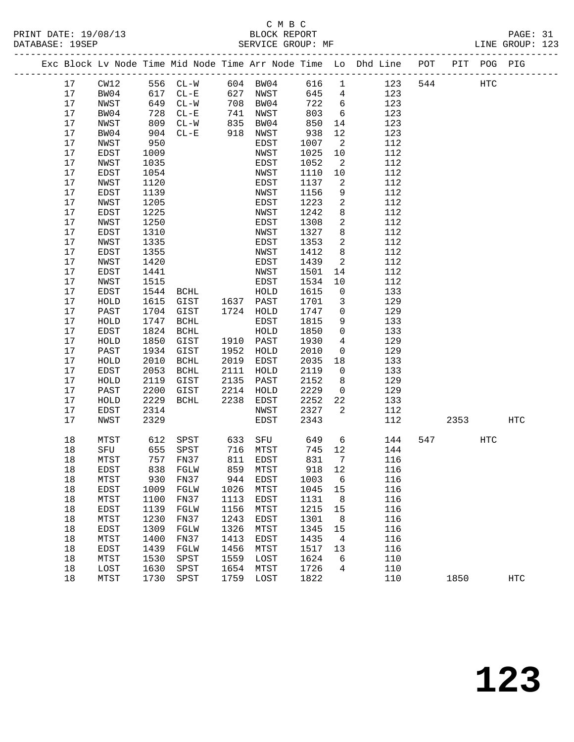#### C M B C<br>BLOCK REPORT PRINT DATE: 19/08/13 BLOCK REPORT PAGE: 31 SERVICE GROUP: MF

|  |    |      |      |          |      |             |        |                          | Exc Block Lv Node Time Mid Node Time Arr Node Time Lo Dhd Line POT PIT POG PIG |     |      |     |                   |
|--|----|------|------|----------|------|-------------|--------|--------------------------|--------------------------------------------------------------------------------|-----|------|-----|-------------------|
|  | 17 | CW12 |      | 556 CL-W |      | 604 BW04    | 616    | $\overline{1}$           | 123                                                                            | 544 |      | HTC |                   |
|  | 17 | BW04 | 617  | $CL - E$ |      | 627 NWST    | 645    | $4\overline{4}$          | 123                                                                            |     |      |     |                   |
|  | 17 | NWST | 649  | $CL-W$   | 708  | BW04        | 722    | $6\overline{6}$          | 123                                                                            |     |      |     |                   |
|  | 17 | BW04 | 728  | $CL - E$ | 741  | NWST        | 803    | 6                        | 123                                                                            |     |      |     |                   |
|  | 17 | NWST | 809  | $CL-W$   | 835  | BW04        | 850    | 14                       | 123                                                                            |     |      |     |                   |
|  | 17 | BW04 | 904  | $CL - E$ | 918  | NWST        | 938    | 12                       | 123                                                                            |     |      |     |                   |
|  | 17 | NWST | 950  |          |      | EDST        | 1007   | $\overline{\phantom{a}}$ | 112                                                                            |     |      |     |                   |
|  | 17 | EDST | 1009 |          |      | NWST        | 1025   | 10                       | 112                                                                            |     |      |     |                   |
|  | 17 | NWST | 1035 |          |      | EDST        | 1052   | $\overline{2}$           | 112                                                                            |     |      |     |                   |
|  | 17 | EDST | 1054 |          |      | NWST        | 1110   | 10                       | 112                                                                            |     |      |     |                   |
|  | 17 | NWST | 1120 |          |      | EDST        | 1137   | 2                        | 112                                                                            |     |      |     |                   |
|  | 17 | EDST | 1139 |          |      | NWST        | 1156   | 9                        | 112                                                                            |     |      |     |                   |
|  | 17 | NWST | 1205 |          |      | EDST        | 1223   | 2                        | 112                                                                            |     |      |     |                   |
|  | 17 | EDST | 1225 |          |      | NWST        | 1242   | 8                        | 112                                                                            |     |      |     |                   |
|  | 17 | NWST | 1250 |          |      | EDST        | 1308   | $\overline{a}$           | 112                                                                            |     |      |     |                   |
|  | 17 | EDST | 1310 |          |      | NWST        | 1327   | 8                        | 112                                                                            |     |      |     |                   |
|  | 17 | NWST | 1335 |          |      | EDST        | 1353   | $\overline{a}$           | 112                                                                            |     |      |     |                   |
|  | 17 | EDST | 1355 |          |      | NWST        | 1412   | 8                        | 112                                                                            |     |      |     |                   |
|  | 17 | NWST | 1420 |          |      | EDST        | 1439   | 2                        | 112                                                                            |     |      |     |                   |
|  | 17 | EDST | 1441 |          |      | NWST        | 1501   | 14                       | 112                                                                            |     |      |     |                   |
|  | 17 | NWST | 1515 |          |      | EDST        | 1534   | 10                       | 112                                                                            |     |      |     |                   |
|  | 17 | EDST | 1544 | BCHL     |      | HOLD        | 1615   | $\mathsf{O}$             | 133                                                                            |     |      |     |                   |
|  | 17 | HOLD | 1615 | GIST     | 1637 | PAST        | 1701   | 3                        | 129                                                                            |     |      |     |                   |
|  | 17 | PAST | 1704 | GIST     |      | 1724 HOLD   | 1747   | $\mathsf{O}$             | 129                                                                            |     |      |     |                   |
|  | 17 | HOLD | 1747 | BCHL     |      | EDST        | 1815   | 9                        | 133                                                                            |     |      |     |                   |
|  | 17 | EDST | 1824 | BCHL     |      | HOLD        | 1850   | $\mathbf 0$              | 133                                                                            |     |      |     |                   |
|  | 17 | HOLD | 1850 | GIST     | 1910 | PAST        | 1930   | $\overline{4}$           | 129                                                                            |     |      |     |                   |
|  | 17 | PAST | 1934 | GIST     | 1952 | HOLD        | 2010   | $\mathsf{O}$             | 129                                                                            |     |      |     |                   |
|  | 17 | HOLD | 2010 | BCHL     | 2019 | EDST        | 2035   | 18                       | 133                                                                            |     |      |     |                   |
|  | 17 | EDST | 2053 | BCHL     | 2111 | HOLD        | 2119   | $\overline{0}$           | 133                                                                            |     |      |     |                   |
|  | 17 | HOLD | 2119 | GIST     | 2135 | PAST        | 2152   | 8                        | 129                                                                            |     |      |     |                   |
|  | 17 | PAST | 2200 | GIST     | 2214 | HOLD        | 2229   | $\overline{0}$           | 129                                                                            |     |      |     |                   |
|  | 17 | HOLD | 2229 | BCHL     | 2238 | EDST        | 2252   | 22                       | 133                                                                            |     |      |     |                   |
|  | 17 | EDST | 2314 |          |      | NWST        | 2327   | 2                        | 112                                                                            |     |      |     |                   |
|  | 17 | NWST | 2329 |          |      | EDST        | 2343   |                          | 112                                                                            |     | 2353 |     | <b>HTC</b>        |
|  | 18 | MTST | 612  | SPST     | 633  | SFU         | 649    | $6\overline{6}$          | 144                                                                            | 547 |      | HTC |                   |
|  | 18 | SFU  |      | 655 SPST |      | 716 MTST    | 745    | 12                       | 144                                                                            |     |      |     |                   |
|  | 18 | MTST |      | 757 FN37 |      | 811 EDST    | 831    | $\overline{7}$           | 116                                                                            |     |      |     |                   |
|  | 18 | EDST |      | 838 FGLW |      | 859 MTST    | 918 12 |                          | 116                                                                            |     |      |     |                   |
|  | 18 | MTST | 930  | FN37     | 944  | EDST        | 1003   | 6                        | 116                                                                            |     |      |     |                   |
|  | 18 | EDST | 1009 | FGLW     | 1026 | MTST        | 1045   | 15                       | 116                                                                            |     |      |     |                   |
|  | 18 | MTST | 1100 | FN37     | 1113 | <b>EDST</b> | 1131   | 8                        | 116                                                                            |     |      |     |                   |
|  | 18 | EDST | 1139 | FGLW     | 1156 | MTST        | 1215   | 15                       | 116                                                                            |     |      |     |                   |
|  | 18 | MTST | 1230 | FN37     | 1243 | EDST        | 1301   | 8                        | 116                                                                            |     |      |     |                   |
|  | 18 | EDST | 1309 | FGLW     | 1326 | MTST        | 1345   | 15                       | 116                                                                            |     |      |     |                   |
|  | 18 | MTST | 1400 | FN37     | 1413 | <b>EDST</b> | 1435   | 4                        | 116                                                                            |     |      |     |                   |
|  | 18 | EDST | 1439 | FGLW     | 1456 | MTST        | 1517   | 13                       | 116                                                                            |     |      |     |                   |
|  | 18 | MTST | 1530 | SPST     | 1559 | LOST        | 1624   | 6                        | 110                                                                            |     |      |     |                   |
|  | 18 | LOST | 1630 | SPST     | 1654 | MTST        | 1726   | 4                        | 110                                                                            |     |      |     |                   |
|  | 18 | MTST | 1730 | SPST     | 1759 | LOST        | 1822   |                          | 110                                                                            |     | 1850 |     | $_{\mathrm{HTC}}$ |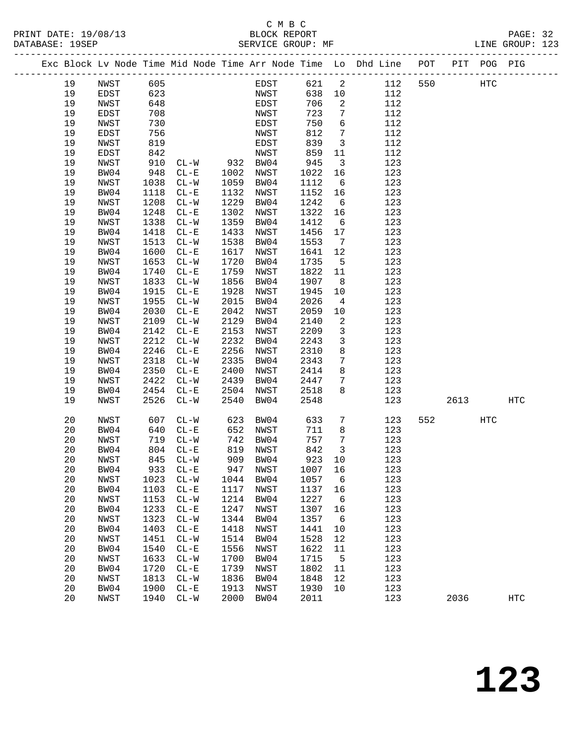### C M B C

| DATABASE: 19SEP |      |      | SERVICE GROUP: MF |      |            |         |                         | LINE GROUP: 123                                                                |     |      |      |                   |  |
|-----------------|------|------|-------------------|------|------------|---------|-------------------------|--------------------------------------------------------------------------------|-----|------|------|-------------------|--|
|                 |      |      |                   |      |            |         |                         | Exc Block Lv Node Time Mid Node Time Arr Node Time Lo Dhd Line POT PIT POG PIG |     |      |      |                   |  |
| 19              | NWST | 605  |                   |      | EDST 621 2 |         |                         | 112                                                                            | 550 | HTC  |      |                   |  |
| 19              | EDST | 623  |                   |      | NWST       | 638 10  |                         | 112                                                                            |     |      |      |                   |  |
| 19              | NWST | 648  |                   |      | EDST       | 706     | 2                       | 112                                                                            |     |      |      |                   |  |
| 19              | EDST | 708  |                   |      | NWST       | 723     | $7\overline{ }$         | 112                                                                            |     |      |      |                   |  |
| 19              | NWST | 730  |                   |      | EDST       | 750     | $6\overline{6}$         | 112                                                                            |     |      |      |                   |  |
| 19              | EDST | 756  |                   |      | NWST       | 812     | $7\overline{7}$         | 112                                                                            |     |      |      |                   |  |
| 19              | NWST | 819  |                   |      | EDST       | 839     | $\overline{3}$          | 112                                                                            |     |      |      |                   |  |
| 19              | EDST | 842  |                   |      | NWST       | 859     | 11                      | 112                                                                            |     |      |      |                   |  |
| 19              | NWST | 910  | $CL-W$ 932 BW04   |      |            | 945     | $\overline{\mathbf{3}}$ | 123                                                                            |     |      |      |                   |  |
| 19              | BW04 | 948  | $CL - E$          | 1002 | NWST       | 1022    | 16                      | 123                                                                            |     |      |      |                   |  |
| 19              | NWST | 1038 | $CL-W$            | 1059 | BW04       | 1112    | $6\overline{6}$         | 123                                                                            |     |      |      |                   |  |
| 19              | BW04 | 1118 | $CL-E$            | 1132 | NWST       | 1152    | 16                      | 123                                                                            |     |      |      |                   |  |
| 19              | NWST | 1208 | $CL - W$          | 1229 | BW04       | 1242    | $6\overline{6}$         | 123                                                                            |     |      |      |                   |  |
| 19              | BW04 | 1248 | $CL-E$            | 1302 | NWST       | 1322    | 16                      | 123                                                                            |     |      |      |                   |  |
| 19              | NWST | 1338 | $CL-W$            | 1359 | BW04       | 1412    | $6\overline{6}$         | 123                                                                            |     |      |      |                   |  |
| 19              | BW04 | 1418 | $CL-E$            | 1433 | NWST       | 1456    | 17                      | 123                                                                            |     |      |      |                   |  |
| 19              | NWST | 1513 | $CL-W$            | 1538 | BW04       | 1553    | $\overline{7}$          | 123                                                                            |     |      |      |                   |  |
| 19              | BW04 | 1600 | $CL - E$          | 1617 | NWST       | 1641    | 12                      | 123                                                                            |     |      |      |                   |  |
| 19              | NWST | 1653 | $CL-W$            | 1720 | BW04       | 1735    | $5^{\circ}$             | 123                                                                            |     |      |      |                   |  |
| 19              | BW04 | 1740 | $CL - E$          | 1759 | NWST       | 1822    | 11                      | 123                                                                            |     |      |      |                   |  |
| 19              | NWST | 1833 | $CL-W$            | 1856 | BW04       | 1907    | 8 <sup>8</sup>          | 123                                                                            |     |      |      |                   |  |
| 19              | BW04 | 1915 | $CL - E$          | 1928 | NWST       | 1945    | 10                      | 123                                                                            |     |      |      |                   |  |
| 19              | NWST | 1955 | $CL-W$            | 2015 | BW04       | 2026    | $\overline{4}$          | 123                                                                            |     |      |      |                   |  |
| 19              | BW04 | 2030 | $CL - E$          | 2042 | NWST       | 2059    | 10                      | 123                                                                            |     |      |      |                   |  |
| 19              | NWST | 2109 | $CL-W$            | 2129 | BW04       | 2140    | 2                       | 123                                                                            |     |      |      |                   |  |
| 19              | BW04 | 2142 | $CL - E$          | 2153 | NWST       | 2209    | $\mathbf{3}$            | 123                                                                            |     |      |      |                   |  |
| 19              | NWST | 2212 | $CL-W$            | 2232 | BW04       | 2243    | $\mathbf{3}$            | 123                                                                            |     |      |      |                   |  |
| 19              | BW04 | 2246 | $CL - E$          | 2256 | NWST       | 2310    | 8                       | 123                                                                            |     |      |      |                   |  |
| 19              | NWST | 2318 | $CL-W$            | 2335 | BW04       | 2343    | $7\phantom{.0}$         | 123                                                                            |     |      |      |                   |  |
| 19              | BW04 | 2350 | $CL - E$          | 2400 | NWST       | 2414    | 8                       | 123                                                                            |     |      |      |                   |  |
| 19              | NWST | 2422 | $CL-W$            | 2439 | BW04       | 2447    | 7                       | 123                                                                            |     |      |      |                   |  |
| 19              | BW04 | 2454 | $CL - E$          | 2504 | NWST       | 2518    | 8                       | 123                                                                            |     |      |      |                   |  |
| 19              | NWST | 2526 | $CL-W$            | 2540 | BW04       | 2548    |                         | 123                                                                            |     |      | 2613 | HTC               |  |
| 20              | NWST | 607  | $CL-W$            | 623  | BW04       | 633     | $7\overline{ }$         | 123                                                                            | 552 |      | HTC  |                   |  |
| 20              | BW04 | 640  | $CL - E$          |      | 652 NWST   | 711     | 8                       | 123                                                                            |     |      |      |                   |  |
| 20              | NWST | 719  | $CL - W$          |      | 742 BW04   | 757     | $\overline{7}$          | 123                                                                            |     |      |      |                   |  |
| 20              | BW04 |      | 804 CL-E          |      | 819 NWST   | 842     | $\overline{3}$          | 123                                                                            |     |      |      |                   |  |
| $20\,$          | NWST |      | 845 CL-W          |      | 909 BW04   | 923 10  |                         | 123                                                                            |     |      |      |                   |  |
| 20              | BW04 | 933  | $CL - E$          | 947  | NWST       | 1007 16 |                         | 123                                                                            |     |      |      |                   |  |
| 20              | NWST | 1023 | $CL-W$            | 1044 | BW04       | 1057    | $6\overline{6}$         | 123                                                                            |     |      |      |                   |  |
| 20              | BW04 | 1103 | $CL - E$          | 1117 | NWST       | 1137    | 16                      | 123                                                                            |     |      |      |                   |  |
| 20              | NWST | 1153 | $CL-W$            | 1214 | BW04       | 1227    | $6\overline{6}$         | 123                                                                            |     |      |      |                   |  |
| 20              | BW04 | 1233 | $CL - E$          | 1247 | NWST       | 1307    | 16                      | 123                                                                            |     |      |      |                   |  |
| 20              | NWST | 1323 | $CL-W$            | 1344 | BW04       | 1357    | $6\overline{6}$         | 123                                                                            |     |      |      |                   |  |
| 20              | BW04 | 1403 | $CL - E$          | 1418 | NWST       | 1441    | 10                      | 123                                                                            |     |      |      |                   |  |
| 20              | NWST | 1451 | $CL - W$          | 1514 | BW04       | 1528    | 12                      | 123                                                                            |     |      |      |                   |  |
| 20              | BW04 | 1540 | $CL - E$          | 1556 | NWST       | 1622    | 11                      | 123                                                                            |     |      |      |                   |  |
| 20              | NWST | 1633 | $CL-W$            | 1700 | BW04       | 1715    | $5^{\circ}$             | 123                                                                            |     |      |      |                   |  |
| 20              | BW04 | 1720 | $CL - E$          | 1739 | NWST       | 1802    | 11                      | 123                                                                            |     |      |      |                   |  |
| 20              | NWST | 1813 | $CL-W$            | 1836 | BW04       | 1848    | 12                      | 123                                                                            |     |      |      |                   |  |
| 20              | BW04 | 1900 | $CL - E$          | 1913 | NWST       | 1930    | 10                      | 123                                                                            |     |      |      |                   |  |
| 20              | NWST | 1940 | $CL-W$            | 2000 | BW04       | 2011    |                         | 123                                                                            |     | 2036 |      | $_{\mathrm{HTC}}$ |  |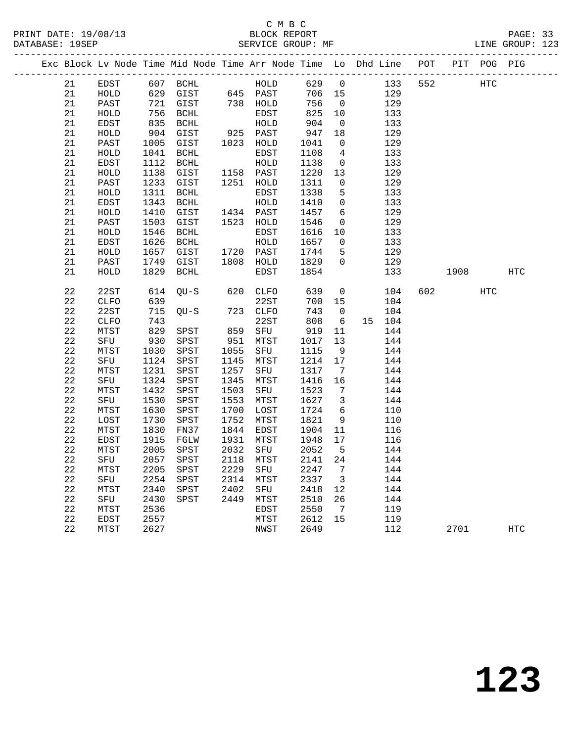# C M B C<br>BLOCK REPORT

PRINT DATE: 19/08/13 BLOCK REPORT PAGE: 33 SERVICE GROUP: MF -------------------------------------------------------------------------------------------------

|  |             |              |      |                       |      |              |      |                 | Exc Block Lv Node Time Mid Node Time Arr Node Time Lo Dhd Line | $\mathop{\rm POT}\nolimits$ | PIT  | POG PIG    |            |
|--|-------------|--------------|------|-----------------------|------|--------------|------|-----------------|----------------------------------------------------------------|-----------------------------|------|------------|------------|
|  | 21          | EDST         | 607  | $\operatorname{BCHL}$ |      | HOLD         | 629  | $\mathsf{O}$    | 133                                                            | 552                         |      | HTC        |            |
|  | 21          | HOLD         | 629  | GIST                  |      | 645 PAST     | 706  | 15              | 129                                                            |                             |      |            |            |
|  | 21          | PAST         | 721  | GIST                  | 738  | HOLD         | 756  | $\mathsf{O}$    | 129                                                            |                             |      |            |            |
|  | 21          | HOLD         | 756  | $\operatorname{BCHL}$ |      | EDST         | 825  | 10              | 133                                                            |                             |      |            |            |
|  | 21          | EDST         | 835  | $\operatorname{BCHL}$ |      | HOLD         | 904  | 0               | 133                                                            |                             |      |            |            |
|  | 21          | HOLD         | 904  | GIST                  | 925  | PAST         | 947  | 18              | 129                                                            |                             |      |            |            |
|  | 21          | PAST         | 1005 | GIST                  | 1023 | HOLD         | 1041 | 0               | 129                                                            |                             |      |            |            |
|  | 21          | ${\tt HOLD}$ | 1041 | $\operatorname{BCHL}$ |      | <b>EDST</b>  | 1108 | 4               | 133                                                            |                             |      |            |            |
|  | 21          | EDST         | 1112 | <b>BCHL</b>           |      | HOLD         | 1138 | 0               | 133                                                            |                             |      |            |            |
|  | 21          | HOLD         | 1138 | GIST                  | 1158 | PAST         | 1220 | 13              | 129                                                            |                             |      |            |            |
|  | 21          | PAST         | 1233 | GIST                  | 1251 | HOLD         | 1311 | 0               | 129                                                            |                             |      |            |            |
|  | 21          | HOLD         | 1311 | $\operatorname{BCHL}$ |      | <b>EDST</b>  | 1338 | 5               | 133                                                            |                             |      |            |            |
|  | 21          | EDST         | 1343 | $\operatorname{BCHL}$ |      | HOLD         | 1410 | 0               | 133                                                            |                             |      |            |            |
|  | 21          | HOLD         | 1410 | $\tt GIST$            | 1434 | PAST         | 1457 | 6               | 129                                                            |                             |      |            |            |
|  | 21          | PAST         | 1503 | GIST                  | 1523 | HOLD         | 1546 | 0               | 129                                                            |                             |      |            |            |
|  | 21          | HOLD         | 1546 | <b>BCHL</b>           |      | <b>EDST</b>  | 1616 | 10              | 133                                                            |                             |      |            |            |
|  | 21          | EDST         | 1626 | <b>BCHL</b>           |      | HOLD         | 1657 | 0               | 133                                                            |                             |      |            |            |
|  | 21          | HOLD         | 1657 | GIST                  | 1720 | PAST         | 1744 | 5               | 129                                                            |                             |      |            |            |
|  | 21          | PAST         | 1749 | GIST                  | 1808 | HOLD         | 1829 | $\mathbf 0$     | 129                                                            |                             |      |            |            |
|  | 21          | HOLD         | 1829 | BCHL                  |      | <b>EDST</b>  | 1854 |                 | 133                                                            |                             | 1908 |            | <b>HTC</b> |
|  | 22          | 22ST         | 614  | $QU-S$                | 620  | <b>CLFO</b>  | 639  | 0               | 104                                                            | 602                         |      | <b>HTC</b> |            |
|  | 22          | ${\tt CLFO}$ | 639  |                       |      | 22ST         | 700  | 15              | 104                                                            |                             |      |            |            |
|  | $2\sqrt{2}$ | 22ST         | 715  | $OU-S$                | 723  | <b>CLFO</b>  | 743  | 0               | 104                                                            |                             |      |            |            |
|  | 22          | <b>CLFO</b>  | 743  |                       |      | 22ST         | 808  | $\sqrt{6}$      | 104<br>15                                                      |                             |      |            |            |
|  | 22          | MTST         | 829  | SPST                  | 859  | SFU          | 919  | 11              | 144                                                            |                             |      |            |            |
|  | $2\sqrt{2}$ | SFU          | 930  | SPST                  | 951  | MTST         | 1017 | 13              | 144                                                            |                             |      |            |            |
|  | $2\sqrt{2}$ | MTST         | 1030 | ${\tt SPST}$          | 1055 | SFU          | 1115 | $\overline{9}$  | 144                                                            |                             |      |            |            |
|  | $2\sqrt{2}$ | SFU          | 1124 | ${\tt SPST}$          | 1145 | MTST         | 1214 | 17              | 144                                                            |                             |      |            |            |
|  | 22          | MTST         | 1231 | ${\tt SPST}$          | 1257 | SFU          | 1317 | $7\phantom{.0}$ | 144                                                            |                             |      |            |            |
|  | $2\sqrt{2}$ | SFU          | 1324 | SPST                  | 1345 | MTST         | 1416 | 16              | 144                                                            |                             |      |            |            |
|  | $2\sqrt{2}$ | MTST         | 1432 | ${\tt SPST}$          | 1503 | ${\tt SFU}$  | 1523 | $\overline{7}$  | 144                                                            |                             |      |            |            |
|  | $2\sqrt{2}$ | SFU          | 1530 | SPST                  | 1553 | MTST         | 1627 | 3               | 144                                                            |                             |      |            |            |
|  | 22          | MTST         | 1630 | SPST                  | 1700 | LOST         | 1724 | 6               | 110                                                            |                             |      |            |            |
|  | $2\sqrt{2}$ | LOST         | 1730 | SPST                  | 1752 | MTST         | 1821 | 9               | 110                                                            |                             |      |            |            |
|  | $2\sqrt{2}$ | MTST         | 1830 | FN37                  | 1844 | EDST         | 1904 | 11              | 116                                                            |                             |      |            |            |
|  | $2\sqrt{2}$ | EDST         | 1915 | FGLW                  | 1931 | MTST         | 1948 | 17              | 116                                                            |                             |      |            |            |
|  | 22          | MTST         | 2005 | SPST                  | 2032 | SFU          | 2052 | 5               | 144                                                            |                             |      |            |            |
|  | 22          | SFU          | 2057 | ${\tt SPST}$          | 2118 | MTST         | 2141 | 24              | 144                                                            |                             |      |            |            |
|  | $2\sqrt{2}$ | MTST         | 2205 | ${\tt SPST}$          | 2229 | SFU          | 2247 | 7               | 144                                                            |                             |      |            |            |
|  | 22          | SFU          | 2254 | SPST                  | 2314 | MTST         | 2337 | 3               | 144                                                            |                             |      |            |            |
|  | 22          | MTST         | 2340 | SPST                  | 2402 | SFU          | 2418 | 12              | 144                                                            |                             |      |            |            |
|  | 22          | SFU          | 2430 | SPST                  | 2449 | ${\tt MTST}$ | 2510 | 26              | 144                                                            |                             |      |            |            |
|  | 22          | MTST         | 2536 |                       |      | EDST         | 2550 | 7               | 119                                                            |                             |      |            |            |
|  | $2\sqrt{2}$ | EDST         | 2557 |                       |      | MTST         | 2612 | 15              | 119                                                            |                             |      |            |            |
|  | 22          | MTST         | 2627 |                       |      | NWST         | 2649 |                 | 112                                                            |                             | 2701 |            | HTC        |
|  |             |              |      |                       |      |              |      |                 |                                                                |                             |      |            |            |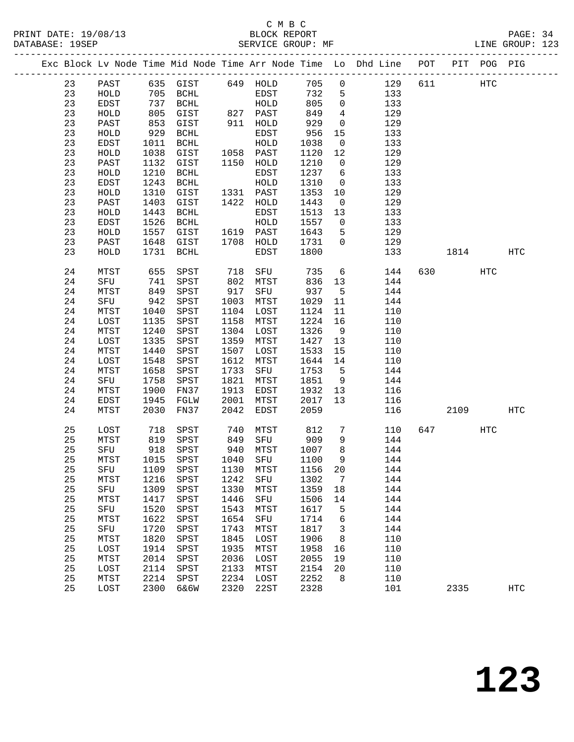#### C M B C<br>BLOCK REPORT PRINT DATE: 19/08/13 BLOCK REPORT PAGE: 34 SERVICE GROUP: MF

|  |    |              |      |                                 |      |                     |      |                         | Exc Block Lv Node Time Mid Node Time Arr Node Time Lo Dhd Line POT PIT POG PIG |     |      |     |                   |
|--|----|--------------|------|---------------------------------|------|---------------------|------|-------------------------|--------------------------------------------------------------------------------|-----|------|-----|-------------------|
|  | 23 | PAST         |      | 635 GIST 649 HOLD               |      |                     | 705  | $\overline{0}$          | 129                                                                            | 611 | HTC  |     |                   |
|  | 23 | HOLD         |      | 705 BCHL                        |      | EDST                | 732  | 5                       | 133                                                                            |     |      |     |                   |
|  | 23 | EDST         |      | 737 BCHL                        |      | HOLD                | 805  | $\overline{0}$          | 133                                                                            |     |      |     |                   |
|  | 23 | HOLD         | 805  | GIST                            |      | 827 PAST            | 849  | $4\overline{ }$         | 129                                                                            |     |      |     |                   |
|  | 23 | PAST         | 853  | GIST                            |      | 911 HOLD            | 929  | $\overline{0}$          | 129                                                                            |     |      |     |                   |
|  | 23 | HOLD         | 929  | BCHL                            |      | EDST                | 956  | 15                      | 133                                                                            |     |      |     |                   |
|  | 23 | EDST         | 1011 | BCHL                            |      | HOLD                | 1038 | $\overline{0}$          | 133                                                                            |     |      |     |                   |
|  | 23 | HOLD         | 1038 | GIST                            |      | $1058$ PAST         | 1120 | 12                      | 129                                                                            |     |      |     |                   |
|  | 23 | PAST         | 1132 | GIST                            |      | 1150 HOLD           | 1210 | $\overline{0}$          | 129                                                                            |     |      |     |                   |
|  | 23 | HOLD         | 1210 | BCHL                            |      | EDST                | 1237 | 6                       | 133                                                                            |     |      |     |                   |
|  | 23 | EDST         | 1243 | BCHL                            |      | HOLD                | 1310 | $\overline{\mathbf{0}}$ | 133                                                                            |     |      |     |                   |
|  | 23 | HOLD         | 1310 | GIST                            |      | 1331 PAST           | 1353 | 10                      | 129                                                                            |     |      |     |                   |
|  | 23 | PAST         | 1403 | GIST                            |      | 1422 HOLD           | 1443 | $\overline{0}$          | 129                                                                            |     |      |     |                   |
|  | 23 | ${\tt HOLD}$ | 1443 | BCHL                            |      | EDST                | 1513 | 13                      | 133                                                                            |     |      |     |                   |
|  | 23 | EDST         | 1526 | BCHL                            |      | HOLD                | 1557 | $\overline{0}$          | 133                                                                            |     |      |     |                   |
|  | 23 | HOLD         | 1557 | GIST                            |      | 1619 PAST           | 1643 | 5                       | 129                                                                            |     |      |     |                   |
|  | 23 | PAST         | 1648 | GIST                            |      | 1708 HOLD           | 1731 | $\overline{0}$          | 129                                                                            |     |      |     |                   |
|  | 23 | HOLD         |      | 1731 BCHL                       |      | EDST                | 1800 |                         | 133                                                                            |     | 1814 |     | HTC               |
|  |    |              |      |                                 |      |                     |      |                         |                                                                                |     |      |     |                   |
|  | 24 | MTST         | 655  | SPST                            | 718  | SFU                 | 735  | $6\overline{6}$         | 144                                                                            | 630 |      | HTC |                   |
|  | 24 | SFU          | 741  | SPST                            |      | 802 MTST<br>917 SFU | 836  | 13                      | 144                                                                            |     |      |     |                   |
|  | 24 | MTST         | 849  | SPST                            |      | SFU                 | 937  | 5 <sup>5</sup>          | 144                                                                            |     |      |     |                   |
|  | 24 | SFU          | 942  | SPST                            | 1003 | MTST                | 1029 | 11                      | 144                                                                            |     |      |     |                   |
|  | 24 | MTST         | 1040 | SPST                            |      | 1104 LOST           | 1124 | 11                      | 110                                                                            |     |      |     |                   |
|  | 24 | LOST         | 1135 | SPST                            | 1158 | MTST                | 1224 | 16                      | 110                                                                            |     |      |     |                   |
|  | 24 | MTST         | 1240 | SPST                            | 1304 | LOST                | 1326 | $\overline{9}$          | 110                                                                            |     |      |     |                   |
|  | 24 | LOST         | 1335 | SPST                            | 1359 | MTST                | 1427 | 13                      | 110                                                                            |     |      |     |                   |
|  | 24 | MTST         | 1440 | SPST                            | 1507 | LOST                | 1533 | 15                      | 110                                                                            |     |      |     |                   |
|  | 24 | LOST         | 1548 | SPST                            | 1612 | MTST                | 1644 | 14                      | 110                                                                            |     |      |     |                   |
|  | 24 | MTST         | 1658 | SPST                            | 1733 | SFU                 | 1753 | $5^{\circ}$             | 144                                                                            |     |      |     |                   |
|  | 24 | SFU          | 1758 | SPST                            | 1821 | MTST                | 1851 | 9                       | 144                                                                            |     |      |     |                   |
|  | 24 | MTST         | 1900 | FN37                            | 1913 | EDST                | 1932 | 13                      | 116                                                                            |     |      |     |                   |
|  | 24 | EDST         | 1945 | FGLW                            | 2001 | MTST                | 2017 | 13                      | 116                                                                            |     |      |     |                   |
|  | 24 | MTST         | 2030 | FN37                            | 2042 | EDST                | 2059 |                         | 116                                                                            |     | 2109 |     | HTC               |
|  | 25 | LOST         | 718  | SPST                            | 740  | MTST                | 812  | $7\phantom{.0}$         | 110                                                                            |     | 647  | HTC |                   |
|  | 25 | MTST         | 819  | SPST                            | 849  | SFU 909             |      | 9                       | 144                                                                            |     |      |     |                   |
|  | 25 | SFU          | 918  | SPST                            |      | 940 MTST            | 1007 | 8 <sup>8</sup>          | 144                                                                            |     |      |     |                   |
|  | 25 | MTST         |      | 1015 SPST                       |      | 1040 SFU            | 1100 | 9                       | 144                                                                            |     |      |     |                   |
|  | 25 |              |      | SFU 1109 SPST 1130 MTST 1156 20 |      |                     |      |                         | 144                                                                            |     |      |     |                   |
|  | 25 | MTST         | 1216 | SPST                            | 1242 | SFU                 | 1302 | $\overline{7}$          | 144                                                                            |     |      |     |                   |
|  | 25 | SFU          | 1309 | SPST                            | 1330 | MTST                | 1359 | 18                      | 144                                                                            |     |      |     |                   |
|  | 25 | MTST         | 1417 | SPST                            | 1446 | SFU                 | 1506 | 14                      | 144                                                                            |     |      |     |                   |
|  | 25 | SFU          | 1520 | SPST                            | 1543 | MTST                | 1617 | 5                       | 144                                                                            |     |      |     |                   |
|  | 25 | MTST         | 1622 | SPST                            | 1654 | SFU                 | 1714 | 6                       | 144                                                                            |     |      |     |                   |
|  | 25 | SFU          | 1720 | SPST                            | 1743 | MTST                | 1817 | 3                       | 144                                                                            |     |      |     |                   |
|  | 25 | MTST         | 1820 | SPST                            | 1845 | LOST                | 1906 | 8                       | 110                                                                            |     |      |     |                   |
|  | 25 | LOST         | 1914 | SPST                            | 1935 | MTST                | 1958 | 16                      | 110                                                                            |     |      |     |                   |
|  | 25 | MTST         | 2014 | SPST                            | 2036 | LOST                | 2055 | 19                      | 110                                                                            |     |      |     |                   |
|  | 25 | LOST         | 2114 | SPST                            | 2133 | MTST                | 2154 | 20                      | 110                                                                            |     |      |     |                   |
|  | 25 | MTST         | 2214 | SPST                            | 2234 | LOST                | 2252 | 8                       | 110                                                                            |     |      |     |                   |
|  | 25 | LOST         | 2300 | 6&6W                            | 2320 | 22ST                | 2328 |                         | 101                                                                            |     | 2335 |     | $_{\mathrm{HTC}}$ |
|  |    |              |      |                                 |      |                     |      |                         |                                                                                |     |      |     |                   |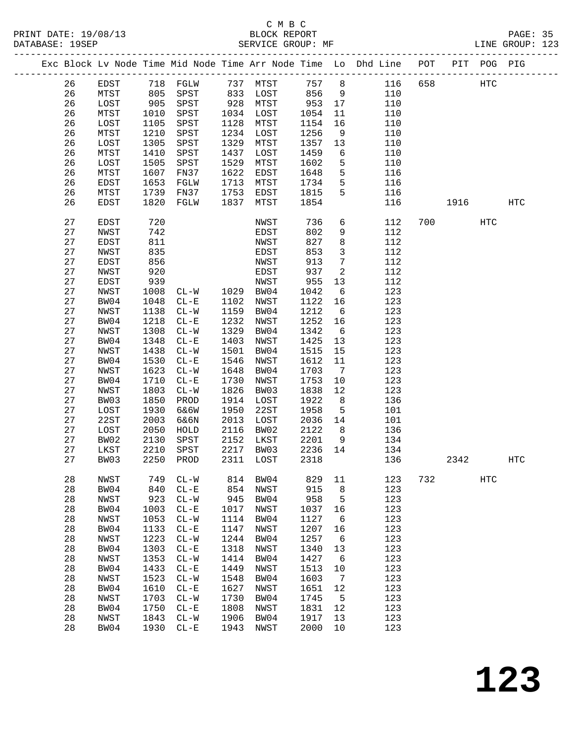# C M B C

|    |             |      |                         |      |           |      |                 | Exc Block Lv Node Time Mid Node Time Arr Node Time Lo Dhd Line POT PIT POG PIG |     |         |           |                   |  |
|----|-------------|------|-------------------------|------|-----------|------|-----------------|--------------------------------------------------------------------------------|-----|---------|-----------|-------------------|--|
| 26 | EDST        |      | 718 FGLW 737 MTST 757 8 |      |           |      |                 | 116 658                                                                        |     | HTC     |           |                   |  |
| 26 | MTST        | 805  | SPST 833 LOST           |      |           | 856  | 9               | 110                                                                            |     |         |           |                   |  |
| 26 | LOST        | 905  | SPST                    |      | 928 MTST  | 953  | 17              | 110                                                                            |     |         |           |                   |  |
| 26 | MTST        | 1010 | SPST                    |      | 1034 LOST | 1054 | 11              | 110                                                                            |     |         |           |                   |  |
| 26 | LOST        | 1105 | SPST                    | 1128 | MTST      | 1154 | 16              | 110                                                                            |     |         |           |                   |  |
| 26 | MTST        | 1210 | SPST                    | 1234 | LOST      | 1256 | 9               | 110                                                                            |     |         |           |                   |  |
| 26 | LOST        | 1305 | SPST                    | 1329 | MTST      | 1357 | 13              | 110                                                                            |     |         |           |                   |  |
| 26 | MTST        | 1410 | SPST                    | 1437 | LOST      | 1459 | 6               | 110                                                                            |     |         |           |                   |  |
|    |             |      |                         |      |           |      |                 |                                                                                |     |         |           |                   |  |
| 26 | LOST        | 1505 | SPST                    | 1529 | MTST      | 1602 | 5               | 110                                                                            |     |         |           |                   |  |
| 26 | MTST        | 1607 | FN37                    | 1622 | EDST      | 1648 | 5               | 116                                                                            |     |         |           |                   |  |
| 26 | EDST        | 1653 | FGLW                    | 1713 | MTST      | 1734 | 5               | 116                                                                            |     |         |           |                   |  |
| 26 | MTST        | 1739 | FN37                    | 1753 | EDST      | 1815 | 5               | 116                                                                            |     |         |           |                   |  |
| 26 | EDST        | 1820 | FGLW                    | 1837 | MTST      | 1854 |                 | 116                                                                            |     |         | 1916 1919 | <b>HTC</b>        |  |
| 27 | <b>EDST</b> | 720  |                         |      | NWST      | 736  | 6               | 112                                                                            |     | 700 000 | HTC       |                   |  |
| 27 | NWST        | 742  |                         |      | EDST      | 802  | 9               | 112                                                                            |     |         |           |                   |  |
| 27 | EDST        | 811  |                         |      | NWST      | 827  | 8               | 112                                                                            |     |         |           |                   |  |
| 27 | NWST        | 835  |                         |      | EDST      | 853  | $\mathbf{3}$    | 112                                                                            |     |         |           |                   |  |
| 27 | EDST        | 856  |                         |      | NWST      | 913  | $7\phantom{.0}$ | 112                                                                            |     |         |           |                   |  |
| 27 | NWST        | 920  |                         |      | EDST      | 937  | 2               | 112                                                                            |     |         |           |                   |  |
| 27 | <b>EDST</b> | 939  |                         |      | NWST      | 955  | 13              | 112                                                                            |     |         |           |                   |  |
| 27 | NWST        | 1008 | $CL-W$                  |      | 1029 BW04 | 1042 | 6               | 123                                                                            |     |         |           |                   |  |
| 27 | BW04        | 1048 | $CL - E$                | 1102 | NWST      | 1122 | 16              | 123                                                                            |     |         |           |                   |  |
| 27 | NWST        | 1138 | $CL - W$                | 1159 | BW04      | 1212 | 6               | 123                                                                            |     |         |           |                   |  |
| 27 | BW04        | 1218 | $CL - E$                | 1232 | NWST      | 1252 | 16              | 123                                                                            |     |         |           |                   |  |
| 27 | NWST        | 1308 | $CL - W$                | 1329 | BW04      | 1342 | $6\overline{6}$ | 123                                                                            |     |         |           |                   |  |
| 27 | BW04        | 1348 | $CL - E$                | 1403 |           | 1425 |                 | 123                                                                            |     |         |           |                   |  |
|    |             |      |                         |      | NWST      |      | 13              |                                                                                |     |         |           |                   |  |
| 27 | NWST        | 1438 | $CL - W$                | 1501 | BW04      | 1515 | 15              | 123                                                                            |     |         |           |                   |  |
| 27 | BW04        | 1530 | $CL - E$                | 1546 | NWST      | 1612 | 11              | 123                                                                            |     |         |           |                   |  |
| 27 | NWST        | 1623 | $CL-W$                  | 1648 | BW04      | 1703 | $\overline{7}$  | 123                                                                            |     |         |           |                   |  |
| 27 | BW04        | 1710 | $CL - E$                | 1730 | NWST      | 1753 | 10              | 123                                                                            |     |         |           |                   |  |
| 27 | NWST        | 1803 | $CL-W$                  | 1826 | BW03      | 1838 | 12              | 123                                                                            |     |         |           |                   |  |
| 27 | BW03        | 1850 | PROD                    | 1914 | LOST      | 1922 | 8               | 136                                                                            |     |         |           |                   |  |
| 27 | LOST        | 1930 | 6&6W                    | 1950 | 22ST      | 1958 | 5               | 101                                                                            |     |         |           |                   |  |
| 27 | 22ST        | 2003 | 6&6N                    | 2013 | LOST      | 2036 | 14              | 101                                                                            |     |         |           |                   |  |
| 27 | LOST        | 2050 | HOLD                    | 2116 | BW02      | 2122 | 8 <sup>8</sup>  | 136                                                                            |     |         |           |                   |  |
| 27 | BW02        | 2130 | SPST                    | 2152 | LKST      | 2201 | 9               | 134                                                                            |     |         |           |                   |  |
| 27 | LKST        | 2210 | SPST                    |      | 2217 BW03 | 2236 | 14              | 134                                                                            |     |         |           |                   |  |
| 27 | BW03        |      | 2250 PROD               |      | 2311 LOST | 2318 |                 | 136                                                                            |     | 2342    |           | $_{\mathrm{HTC}}$ |  |
| 28 | NWST        | 749  | $CL-W$                  | 814  | BW04      | 829  | 11              | 123                                                                            | 732 |         | HTC       |                   |  |
| 28 | BW04        | 840  | $CL - E$                | 854  | NWST      | 915  | 8               | 123                                                                            |     |         |           |                   |  |
| 28 | NWST        | 923  | $CL - W$                | 945  | BW04      | 958  | 5               | 123                                                                            |     |         |           |                   |  |
| 28 | BW04        | 1003 | $CL - E$                | 1017 | NWST      | 1037 | 16              | 123                                                                            |     |         |           |                   |  |
| 28 | NWST        | 1053 | $CL-W$                  | 1114 | BW04      | 1127 | 6               | 123                                                                            |     |         |           |                   |  |
| 28 | BW04        | 1133 |                         | 1147 |           | 1207 |                 | 123                                                                            |     |         |           |                   |  |
|    |             |      | $CL - E$                |      | NWST      |      | 16              |                                                                                |     |         |           |                   |  |
| 28 | NWST        | 1223 | $CL-W$                  | 1244 | BW04      | 1257 | - 6             | 123                                                                            |     |         |           |                   |  |
| 28 | BW04        | 1303 | $CL - E$                | 1318 | NWST      | 1340 | 13              | 123                                                                            |     |         |           |                   |  |
| 28 | NWST        | 1353 | $CL-W$                  | 1414 | BW04      | 1427 | 6               | 123                                                                            |     |         |           |                   |  |
| 28 | BW04        | 1433 | $CL - E$                | 1449 | NWST      | 1513 | 10              | 123                                                                            |     |         |           |                   |  |
| 28 | NWST        | 1523 | $CL-W$                  | 1548 | BW04      | 1603 | $\overline{7}$  | 123                                                                            |     |         |           |                   |  |
| 28 | BW04        | 1610 | $CL - E$                | 1627 | NWST      | 1651 | 12              | 123                                                                            |     |         |           |                   |  |
| 28 | NWST        | 1703 | $CL-W$                  | 1730 | BW04      | 1745 | 5               | 123                                                                            |     |         |           |                   |  |
| 28 | BW04        | 1750 | $CL - E$                | 1808 | NWST      | 1831 | 12              | 123                                                                            |     |         |           |                   |  |
| 28 | NWST        | 1843 | $CL - W$                | 1906 | BW04      | 1917 | 13              | 123                                                                            |     |         |           |                   |  |
| 28 | BW04        | 1930 | $CL - E$                | 1943 | NWST      | 2000 | 10              | 123                                                                            |     |         |           |                   |  |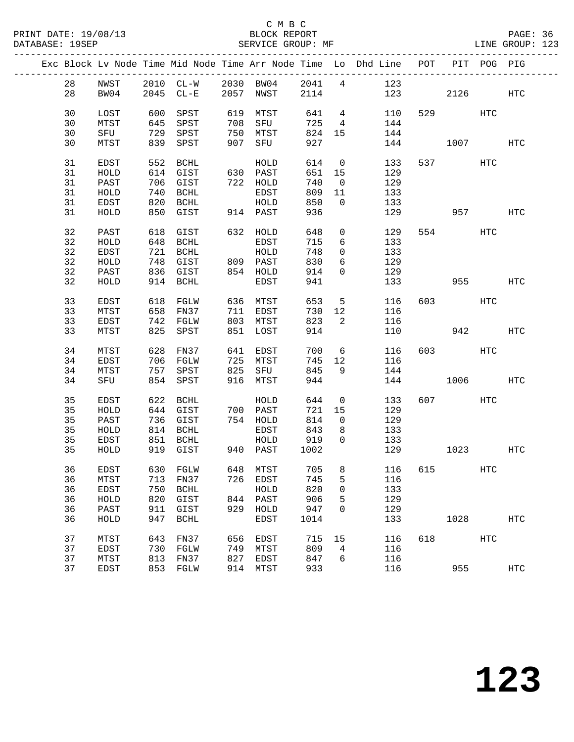|  |    |              |            |                   |            |              |            |                 | Exc Block Lv Node Time Mid Node Time Arr Node Time Lo Dhd Line POT |     |                          | PIT POG PIG |            |
|--|----|--------------|------------|-------------------|------------|--------------|------------|-----------------|--------------------------------------------------------------------|-----|--------------------------|-------------|------------|
|  | 28 | NWST         |            |                   |            |              |            |                 |                                                                    |     |                          |             |            |
|  | 28 | BW04         |            |                   |            |              |            |                 | 2010 CL-W 2030 BW04 2041 4 123<br>2045 CL-E 2057 NWST 2114 123     | 123 | 2126                     |             | HTC        |
|  |    |              |            |                   |            |              |            |                 |                                                                    |     |                          |             |            |
|  | 30 | LOST         | 600        | SPST              | 619        | MTST         | 641        | $4\overline{4}$ | 110                                                                |     | 529 and $\overline{529}$ | HTC         |            |
|  | 30 | MTST         | 645        | SPST              | 708        | SFU          | 725        | $4\overline{4}$ | 144                                                                |     |                          |             |            |
|  | 30 | SFU          | 729        | SPST              | 750        | MTST         | 824        | 15              | 144                                                                |     |                          |             |            |
|  | 30 | MTST         | 839        | SPST              | 907        | SFU          | 927        |                 | 144                                                                |     | 1007                     |             | HTC        |
|  |    |              |            |                   |            |              |            |                 |                                                                    |     |                          |             |            |
|  | 31 | EDST         |            | 552 BCHL          |            | HOLD         | 614        | $\overline{0}$  | 133                                                                |     | 537 and $\overline{537}$ | HTC         |            |
|  | 31 | HOLD         |            | 614 GIST          |            | 630 PAST     | 651 15     |                 | 129                                                                |     |                          |             |            |
|  | 31 | PAST         |            | 706 GIST          |            | 722 HOLD     | 740        | $\overline{0}$  | 129                                                                |     |                          |             |            |
|  | 31 | HOLD         | 740        | BCHL              |            | EDST         | 809        | 11              | 133                                                                |     |                          |             |            |
|  | 31 | EDST         | 820        | BCHL              |            | HOLD         | 850        | $\overline{0}$  | 133                                                                |     |                          |             |            |
|  | 31 | HOLD         |            | 850 GIST          |            | 914 PAST     | 936        |                 | 129                                                                |     | 957 — 100                |             | HTC        |
|  |    |              |            |                   |            |              |            |                 |                                                                    |     |                          |             |            |
|  | 32 | PAST         |            | 618 GIST          |            | 632 HOLD     | 648        | $\mathsf{O}$    | 129                                                                |     | 554 75                   | HTC         |            |
|  | 32 | HOLD         |            | 648 BCHL          |            | EDST         | 715        | 6               | 133                                                                |     |                          |             |            |
|  | 32 | EDST         |            | 721 BCHL          |            | HOLD         | 748        | $\overline{0}$  | 133                                                                |     |                          |             |            |
|  | 32 | HOLD         | 748        | GIST              |            | 809 PAST     | 830        | 6               | 129                                                                |     |                          |             |            |
|  | 32 | PAST         |            | 836 GIST          |            | 854 HOLD     | 914        | $\overline{0}$  | 129                                                                |     |                          |             |            |
|  | 32 | HOLD         |            | 914 BCHL          |            | EDST         | 941        |                 | 133                                                                |     | 955                      |             | HTC        |
|  |    |              |            |                   |            |              |            |                 |                                                                    |     |                          |             |            |
|  | 33 | EDST         | 618        | FGLW              |            | 636 MTST     | 653        | $5\overline{)}$ | 116                                                                |     | 603 000                  | HTC         |            |
|  | 33 | MTST         | 658        | FN37              |            | 711 EDST     | 730        | 12              | 116                                                                |     |                          |             |            |
|  | 33 | EDST         | 742        | FGLW              |            | 803 MTST     | 823        | 2               | 116                                                                |     |                          |             |            |
|  | 33 | MTST         | 825        | SPST              | 851        | LOST         | 914        |                 | 110                                                                |     | 942                      |             | HTC        |
|  |    |              |            |                   |            |              |            |                 |                                                                    |     |                          |             |            |
|  | 34 | MTST         |            | 628 FN37          |            | 641 EDST     | 700        | 6               | 116                                                                |     | 603 — 100                | HTC         |            |
|  | 34 | EDST         | 706        | FGLW              | 725        | MTST         | 745        | 12              | 116                                                                |     |                          |             |            |
|  | 34 | MTST         | 757        | SPST              | 825        | SFU          | 845        | 9               | 144                                                                |     |                          |             |            |
|  | 34 | SFU          |            | 854 SPST          |            | 916 MTST     | 944        |                 | 144                                                                |     | 1006                     |             | HTC        |
|  |    |              |            |                   |            |              |            |                 |                                                                    |     |                          |             |            |
|  | 35 | EDST         | 622        | BCHL              |            | HOLD         | 644        | $\overline{0}$  | 133                                                                |     | 607 — 100                | HTC         |            |
|  | 35 | HOLD         |            | 644 GIST          |            | 700 PAST     | 721        | 15              | 129                                                                |     |                          |             |            |
|  | 35 | PAST         |            | 736 GIST          |            | 754 HOLD     | 814        | $\overline{0}$  | 129                                                                |     |                          |             |            |
|  | 35 | HOLD         |            | 814 BCHL          |            | EDST         | 843        | 8               | 133                                                                |     |                          |             |            |
|  | 35 | EDST         | 851        | BCHL              |            | HOLD         | 919        | $\overline{0}$  | 133                                                                |     |                          |             |            |
|  | 35 | HOLD         |            | 919 GIST          |            | 940 PAST     | 1002       |                 | 129                                                                |     | 1023                     |             | HTC        |
|  |    |              |            |                   |            |              |            |                 |                                                                    |     |                          |             |            |
|  | 36 | EDST         |            | 630 FGLW 648 MTST |            |              |            |                 | 705 8 116 615                                                      |     |                          | HTC         |            |
|  | 36 | MTST         | 713        | FN37              | 726        | EDST         | 745        | 5               | 116                                                                |     |                          |             |            |
|  | 36 | EDST         | 750        | BCHL              |            | HOLD         | 820        | 0               | 133                                                                |     |                          |             |            |
|  | 36 | HOLD         | 820        | GIST              |            | 844 PAST     | 906        | 5               | 129                                                                |     |                          |             |            |
|  | 36 | PAST         | 911        | GIST              |            | 929 HOLD     | 947        | 0               | 129                                                                |     |                          |             |            |
|  | 36 | HOLD         | 947        | <b>BCHL</b>       |            | EDST         | 1014       |                 | 133                                                                |     | 1028                     |             | <b>HTC</b> |
|  | 37 |              |            |                   |            |              |            |                 |                                                                    | 618 |                          |             |            |
|  | 37 | MTST<br>EDST | 643<br>730 | FN37<br>FGLW      | 656<br>749 | EDST<br>MTST | 715<br>809 | 15<br>4         | 116<br>116                                                         |     |                          | HTC         |            |
|  | 37 |              | 813        | FN37              | 827        |              | 847        | 6               | 116                                                                |     |                          |             |            |
|  | 37 | MTST         | 853        |                   | 914        | EDST<br>MTST | 933        |                 | 116                                                                |     | 955                      |             | <b>HTC</b> |
|  |    | EDST         |            | FGLW              |            |              |            |                 |                                                                    |     |                          |             |            |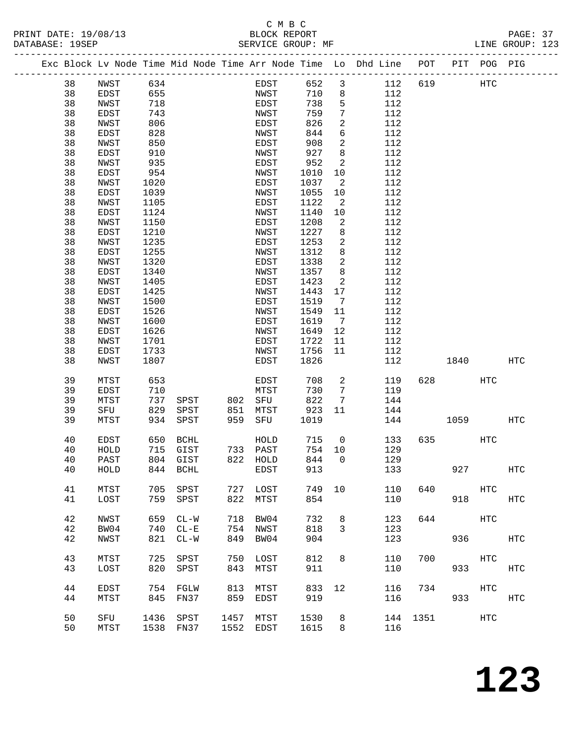#### C M B C<br>BLOCK REPORT PRINT DATE: 19/08/13 BLOCK REPORT PAGE: 37 SERVICE GROUP: MF

|  |        |              |              |          |           |              |              |                          | Exc Block Lv Node Time Mid Node Time Arr Node Time Lo Dhd Line POT PIT POG PIG |     |           |        |               |
|--|--------|--------------|--------------|----------|-----------|--------------|--------------|--------------------------|--------------------------------------------------------------------------------|-----|-----------|--------|---------------|
|  | 38     | NWST         | 634          |          |           | EDST         | 652          | $\mathbf{3}$             | 112                                                                            | 619 |           | HTC    |               |
|  | 38     | EDST         | 655          |          |           | NWST         | 710          | 8                        | 112                                                                            |     |           |        |               |
|  | 38     | NWST         | 718          |          |           | EDST         | 738          | 5                        | 112                                                                            |     |           |        |               |
|  | 38     | EDST         | 743          |          |           | NWST         | 759          | $7\phantom{.0}$          | 112                                                                            |     |           |        |               |
|  | 38     | NWST         | 806          |          |           | EDST         | 826          | $\overline{a}$           | 112                                                                            |     |           |        |               |
|  | 38     | EDST         | 828          |          |           | NWST         | 844          | $6\overline{6}$          | 112                                                                            |     |           |        |               |
|  | 38     | NWST         | 850          |          |           | EDST         | 908          | $\overline{a}$           | 112                                                                            |     |           |        |               |
|  | 38     | EDST         | 910          |          |           | NWST         | 927          | 8                        | 112                                                                            |     |           |        |               |
|  | 38     | NWST         | 935          |          |           | EDST         | 952          | $\overline{a}$           | 112                                                                            |     |           |        |               |
|  | 38     | EDST         | 954          |          |           | NWST         | 1010         | 10                       | 112                                                                            |     |           |        |               |
|  | 38     | NWST         | 1020         |          |           | EDST         | 1037         | $\overline{2}$           | 112                                                                            |     |           |        |               |
|  | 38     | EDST         | 1039         |          |           | NWST         | 1055         | 10                       | 112                                                                            |     |           |        |               |
|  | 38     | NWST         | 1105         |          |           | EDST         | 1122         | 2                        | 112                                                                            |     |           |        |               |
|  | 38     | EDST         | 1124         |          |           | NWST         | 1140         | 10                       | 112                                                                            |     |           |        |               |
|  | 38     | NWST         | 1150         |          |           | EDST         | 1208         | $\overline{a}$           | 112                                                                            |     |           |        |               |
|  | 38     | EDST         | 1210         |          |           | NWST         | 1227         | 8                        | 112                                                                            |     |           |        |               |
|  | 38     | NWST         | 1235         |          |           | EDST         | 1253         | $\overline{a}$           | 112                                                                            |     |           |        |               |
|  | 38     |              | 1255         |          |           |              | 1312         | 8                        | 112                                                                            |     |           |        |               |
|  | 38     | EDST         | 1320         |          |           | NWST         | 1338         | $\overline{a}$           | 112                                                                            |     |           |        |               |
|  | 38     | NWST         |              |          |           | EDST         |              |                          |                                                                                |     |           |        |               |
|  | 38     | EDST<br>NWST | 1340<br>1405 |          |           | NWST<br>EDST | 1357<br>1423 | 8<br>2                   | 112<br>112                                                                     |     |           |        |               |
|  | 38     |              | 1425         |          |           | NWST         |              | 17                       | 112                                                                            |     |           |        |               |
|  | 38     | EDST<br>NWST | 1500         |          |           | EDST         | 1443<br>1519 |                          | 112                                                                            |     |           |        |               |
|  |        |              |              |          |           |              |              | $\overline{7}$           |                                                                                |     |           |        |               |
|  | 38     | EDST         | 1526         |          |           | NWST         | 1549         | 11                       | 112                                                                            |     |           |        |               |
|  | 38     | NWST         | 1600         |          |           | EDST         | 1619         | $\overline{7}$           | 112                                                                            |     |           |        |               |
|  | 38     | EDST         | 1626         |          |           | NWST         | 1649         | 12                       | 112                                                                            |     |           |        |               |
|  | 38     | NWST         | 1701         |          |           | EDST         | 1722         | 11                       | 112                                                                            |     |           |        |               |
|  | 38     | EDST         | 1733         |          |           | NWST         | 1756         | 11                       | 112                                                                            |     |           |        |               |
|  | 38     | NWST         | 1807         |          |           | EDST         | 1826         |                          | 112                                                                            |     | 1840      |        | HTC           |
|  | 39     | MTST         | 653          |          |           | EDST         | 708          | $\overline{a}$           | 119                                                                            | 628 |           | HTC    |               |
|  | 39     | EDST         | 710          |          |           | MTST         | 730          | $7\phantom{.0}$          | 119                                                                            |     |           |        |               |
|  | 39     | MTST         | 737          | SPST     | 802       | SFU          | 822          | $7\phantom{.0}$          | 144                                                                            |     |           |        |               |
|  | 39     | SFU          | 829          | SPST     | 851       | MTST         | 923          | 11                       | 144                                                                            |     |           |        |               |
|  | 39     | MTST         | 934          | SPST     | 959       | SFU          | 1019         |                          | 144                                                                            |     | 1059      |        | HTC           |
|  |        |              |              |          |           |              |              |                          |                                                                                |     |           |        |               |
|  | 40     | EDST         |              | 650 BCHL |           | HOLD         | 715          | $\overline{\phantom{0}}$ | 133                                                                            |     | 635 — 100 | HTC    |               |
|  | 40     | HOLD         |              | 715 GIST |           | 733 PAST     | 754          | 10                       | 129                                                                            |     |           |        |               |
|  | 40     | PAST         |              | 804 GIST |           | 822 HOLD     | 844          | $\overline{0}$           | 129                                                                            |     |           |        |               |
|  | $40\,$ | HOLD         | 844 BCHL     |          | EDST      |              | 913          |                          | 133                                                                            |     | 927       |        | $_{\rm{HTC}}$ |
|  | 41     | MTST         | 705          | SPST     | 727       | LOST         | 749          | 10                       | 110                                                                            | 640 |           | HTC    |               |
|  | 41     | LOST         | 759          | SPST     | 822       | MTST         | 854          |                          | 110                                                                            |     |           | 918    | HTC           |
|  |        |              |              |          |           |              |              |                          |                                                                                |     |           |        |               |
|  | 42     | <b>NWST</b>  | 659          | $CL-W$   | 718       | BW04         | 732          | 8                        | 123                                                                            | 644 |           | HTC    |               |
|  | 42     | BW04         | 740          | $CL - E$ | 754       | NWST         | 818          | $\mathbf{3}$             | 123                                                                            |     |           |        |               |
|  | 42     | NWST         | 821          | $CL - W$ | 849       | BW04         | 904          |                          | 123                                                                            |     |           | 936 70 | HTC           |
|  |        |              |              |          |           |              |              |                          |                                                                                |     |           |        |               |
|  | 43     | MTST         | 725          | SPST     | 750       | LOST         | 812          | 8                        | 110                                                                            | 700 | HTC       |        |               |
|  | 43     | LOST         | 820          | SPST     | 843       | MTST         | 911          |                          | 110                                                                            |     |           | 933    | HTC           |
|  |        |              |              |          |           |              |              |                          |                                                                                |     |           |        |               |
|  | 44     | EDST         | 754          | FGLW     | 813       | MTST         | 833          | 12                       | 116                                                                            | 734 |           | HTC    |               |
|  | 44     | MTST         | 845          | FN37     | 859       | EDST         | 919          |                          | 116                                                                            |     |           | 933    | HTC           |
|  |        |              |              |          |           |              |              |                          |                                                                                |     |           |        |               |
|  | 50     | SFU          | 1436         | SPST     | 1457      | MTST         | 1530         | 8                        | 144                                                                            |     | 1351      | HTC    |               |
|  | 50     | MTST         | 1538 FN37    |          | 1552 EDST |              | 1615         | 8                        | 116                                                                            |     |           |        |               |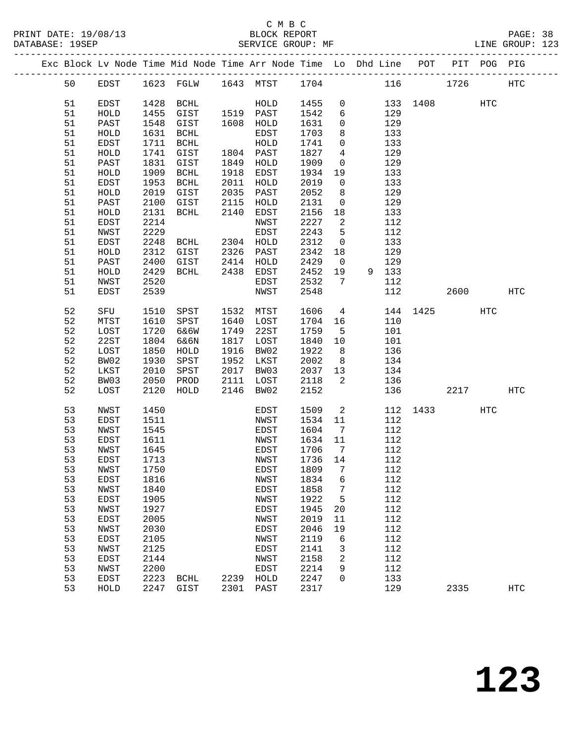|          |              |              | Exc Block Lv Node Time Mid Node Time Arr Node Time Lo Dhd Line POT PIT POG PIG |      |              |              |                            |            |          |      |     |            |
|----------|--------------|--------------|--------------------------------------------------------------------------------|------|--------------|--------------|----------------------------|------------|----------|------|-----|------------|
| 50       | EDST         |              | 1623 FGLW 1643 MTST 1704                                                       |      |              |              |                            |            | 116 1726 |      |     | HTC        |
| 51       | EDST         |              | 1428 BCHL                                                                      |      | HOLD         | 1455         | $\overline{0}$             |            | 133 1408 |      | HTC |            |
| 51       | HOLD         | 1455         | GIST                                                                           |      | 1519 PAST    | 1542         | 6                          | 129        |          |      |     |            |
| 51       | PAST         | 1548         | GIST                                                                           |      | 1608 HOLD    | 1631         | $\mathbf 0$                | 129        |          |      |     |            |
| 51       | HOLD         | 1631         | BCHL                                                                           |      | EDST         | 1703         | 8                          | 133        |          |      |     |            |
| 51       | EDST         | 1711         | BCHL                                                                           |      | HOLD         | 1741         | $\mathbf 0$                | 133        |          |      |     |            |
| 51       | HOLD         | 1741         | GIST                                                                           |      | 1804 PAST    | 1827         | $\overline{4}$             | 129        |          |      |     |            |
| 51       | PAST         | 1831         | GIST                                                                           | 1849 | HOLD         | 1909         | $\mathbf 0$                | 129        |          |      |     |            |
| 51       | HOLD         | 1909         | BCHL                                                                           | 1918 | EDST         | 1934         | 19                         | 133        |          |      |     |            |
| 51       | EDST         | 1953         | BCHL                                                                           | 2011 | HOLD         | 2019         | $\overline{0}$             | 133        |          |      |     |            |
| 51       | HOLD         | 2019         | GIST                                                                           | 2035 | PAST         | 2052         | 8                          | 129        |          |      |     |            |
| 51       | PAST         | 2100         | GIST                                                                           | 2115 | HOLD         | 2131         | $\overline{0}$             | 129        |          |      |     |            |
| 51       | ${\tt HOLD}$ | 2131         | BCHL                                                                           | 2140 | EDST         | 2156         | 18                         | 133        |          |      |     |            |
| 51       | EDST         | 2214         |                                                                                |      | NWST         | 2227         | $\overline{\phantom{a}}^2$ | 112        |          |      |     |            |
| 51       | NWST         | 2229         |                                                                                |      | EDST         | 2243         | 5                          | 112        |          |      |     |            |
| 51       | EDST         | 2248         |                                                                                |      |              | 2312         | $\overline{0}$             | 133        |          |      |     |            |
| 51       | ${\tt HOLD}$ | 2312         |                                                                                |      |              | 2342         | 18                         | 129        |          |      |     |            |
| 51       | PAST         | 2400         | GIST                                                                           | 2414 | HOLD         | 2429         | $\overline{0}$             | 129        |          |      |     |            |
| 51       | HOLD         | 2429         | BCHL                                                                           | 2438 | EDST         | 2452         | 19                         | 9 133      |          |      |     |            |
| 51       | NWST         | 2520         |                                                                                |      | EDST         | 2532         | $7\overline{ }$            | 112        |          |      |     |            |
| 51       | EDST         | 2539         |                                                                                |      | NWST         | 2548         |                            | 112        |          | 2600 |     | HTC        |
| 52       | SFU          | 1510         | SPST                                                                           | 1532 | MTST         | 1606         | $\overline{4}$             |            | 144 1425 |      | HTC |            |
| 52       | MTST         | 1610         | SPST                                                                           | 1640 | LOST         | 1704         | 16                         | 110        |          |      |     |            |
| 52       | LOST         | 1720         | 6&6W                                                                           | 1749 | 22ST         | 1759         | $5^{\circ}$                | 101        |          |      |     |            |
| 52       | 22ST         | 1804         | 6&6N                                                                           | 1817 | LOST         | 1840         | 10                         | 101        |          |      |     |            |
| 52       | LOST         | 1850         | HOLD                                                                           | 1916 | BW02         | 1922         | 8 <sup>8</sup>             | 136        |          |      |     |            |
| 52       | BW02         | 1930         | SPST                                                                           | 1952 | LKST         | 2002         | 8 <sup>8</sup>             | 134        |          |      |     |            |
| 52       | LKST         | 2010         | SPST                                                                           | 2017 | BW03         | 2037         | 13                         | 134        |          |      |     |            |
| 52       | BW03         | 2050         | PROD                                                                           | 2111 | LOST         | 2118         | 2                          | 136        |          |      |     |            |
| 52       | LOST         | 2120         | HOLD                                                                           | 2146 | BW02         | 2152         |                            | 136        |          | 2217 |     | <b>HTC</b> |
| 53       | NWST         | 1450         |                                                                                |      | EDST         | 1509         | $\overline{\mathbf{2}}$    |            | 112 1433 |      | HTC |            |
| 53       | EDST         | 1511         |                                                                                |      | NWST         | 1534         | 11                         | 112        |          |      |     |            |
| 53       | NWST         | 1545         |                                                                                |      | EDST         | 1604         | $\overline{7}$             | 112        |          |      |     |            |
| 53       | EDST         | 1611         |                                                                                |      | NWST         | 1634         | 11                         | 112        |          |      |     |            |
| 53       | NWST         | 1645         |                                                                                |      | EDST         | 1706         | $\overline{7}$             | 112        |          |      |     |            |
| 53       | EDST         | 1713         |                                                                                |      | NWST         | 1736 14      |                            | 112        |          |      |     |            |
| 53       | NWST         | 1750         |                                                                                |      | EDST 1809 7  |              |                            | 112        |          |      |     |            |
| 53       | EDST         | 1816         |                                                                                |      | NWST         | 1834         | 6                          | 112<br>112 |          |      |     |            |
| 53<br>53 | NWST<br>EDST | 1840<br>1905 |                                                                                |      | EDST<br>NWST | 1858<br>1922 | 7<br>5                     | 112        |          |      |     |            |
| 53       | NWST         | 1927         |                                                                                |      | EDST         | 1945         | 20                         | 112        |          |      |     |            |
| 53       | EDST         | 2005         |                                                                                |      | NWST         | 2019         | 11                         | 112        |          |      |     |            |
| 53       | NWST         | 2030         |                                                                                |      | EDST         | 2046         | 19                         | 112        |          |      |     |            |
| 53       | EDST         | 2105         |                                                                                |      | NWST         | 2119         | 6                          | 112        |          |      |     |            |
| 53       | NWST         | 2125         |                                                                                |      | EDST         | 2141         | 3                          | 112        |          |      |     |            |
| 53       | EDST         | 2144         |                                                                                |      | NWST         | 2158         | 2                          | 112        |          |      |     |            |
| 53       | NWST         | 2200         |                                                                                |      | EDST         | 2214         | 9                          | 112        |          |      |     |            |
| 53       | EDST         | 2223         | BCHL                                                                           | 2239 | HOLD         | 2247         | 0                          | 133        |          |      |     |            |
| 53       | HOLD         | 2247         | GIST                                                                           | 2301 | PAST         | 2317         |                            | 129        |          | 2335 |     | <b>HTC</b> |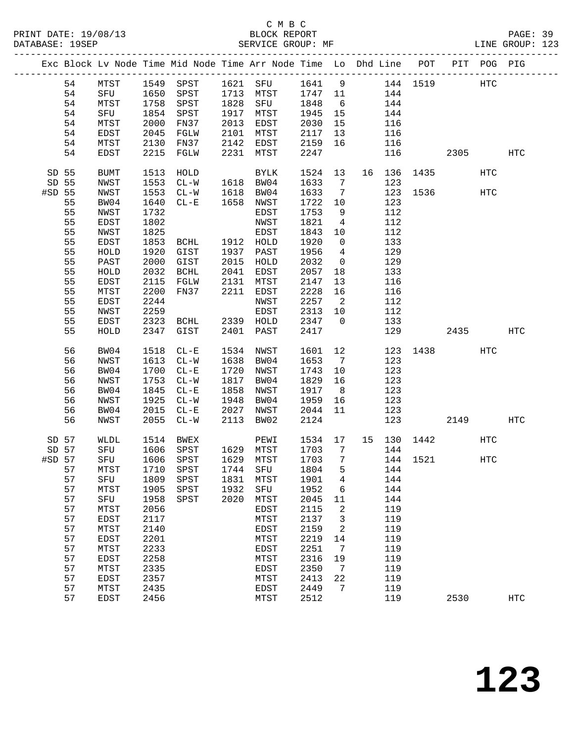|        |          |              |              | Exc Block Lv Node Time Mid Node Time Arr Node Time Lo Dhd Line POT |      |                   |              |                          |            |             |          | PIT POG PIG |                   |
|--------|----------|--------------|--------------|--------------------------------------------------------------------|------|-------------------|--------------|--------------------------|------------|-------------|----------|-------------|-------------------|
|        | 54       | ${\tt MTST}$ |              | 1549 SPST 1621 SFU 1641 9 144 1519                                 |      |                   |              |                          |            |             |          | HTC         |                   |
|        | 54       | SFU          |              | 1650 SPST                                                          |      | 1713 MTST         | 1747 11      |                          | 144        |             |          |             |                   |
|        | 54       | MTST         | 1758         | SPST                                                               | 1828 | SFU               | 1848         | 6                        | 144        |             |          |             |                   |
|        | 54       | SFU          | 1854         | SPST                                                               |      | 1917 MTST         | 1945         | 15                       | 144        |             |          |             |                   |
|        | 54       | MTST         | 2000         | FN37                                                               | 2013 | EDST              | 2030         | 15                       | 116        |             |          |             |                   |
|        | 54       | EDST         | 2045         | FGLW                                                               | 2101 | MTST              | 2117         | 13                       | 116        |             |          |             |                   |
|        | 54       | MTST         | 2130         | FN37                                                               | 2142 | EDST              | 2159         | 16                       | 116        |             |          |             |                   |
|        | 54       | EDST         | 2215         | FGLW                                                               | 2231 | MTST              | 2247         |                          | 116        |             | 2305     |             | $_{\mathrm{HTC}}$ |
| SD 55  |          | <b>BUMT</b>  | 1513         | HOLD                                                               |      | BYLK              | 1524         | 13                       |            | 16 136 1435 |          | HTC         |                   |
| SD 55  |          | NWST         | 1553         | $CL-W$                                                             |      | 1618 BW04         | 1633         | $7\overline{ }$          | 123        |             |          |             |                   |
| #SD 55 |          | NWST         | 1553         | $CL-W$                                                             |      | 1618 BW04         | 1633         | $7\overline{ }$          |            | 123 1536    |          | HTC         |                   |
|        | 55       | BW04         | 1640         | $CL-E$                                                             |      | 1658 NWST         | 1722         | 10                       | 123        |             |          |             |                   |
|        | 55       | NWST         | 1732         |                                                                    |      | EDST              | 1753         | 9                        | 112        |             |          |             |                   |
|        | 55       | EDST         | 1802         |                                                                    |      | NWST              | 1821         | $\overline{4}$           | 112        |             |          |             |                   |
|        | 55       | NWST         | 1825         |                                                                    |      | EDST              | 1843         | 10                       | 112        |             |          |             |                   |
|        | 55       | EDST         | 1853         | BCHL                                                               |      | 1912 HOLD         | 1920         | $\mathsf{O}$             | 133        |             |          |             |                   |
|        | 55       | HOLD         | 1920         | GIST                                                               | 1937 | PAST              | 1956         | $\overline{4}$           | 129        |             |          |             |                   |
|        | 55       | PAST         | 2000         | GIST                                                               |      | 2015 HOLD         | 2032         | $\overline{0}$           | 129        |             |          |             |                   |
|        | 55       | HOLD         | 2032         | BCHL                                                               | 2041 | EDST              | 2057         | 18                       | 133        |             |          |             |                   |
|        | 55       | EDST         | 2115         | FGLW                                                               | 2131 | MTST              | 2147         | 13                       | 116        |             |          |             |                   |
|        | 55       | MTST         | 2200         | FN37                                                               | 2211 | EDST              | 2228         | 16                       | 116        |             |          |             |                   |
|        | 55<br>55 | EDST         | 2244<br>2259 |                                                                    |      | NWST              | 2257<br>2313 | $\overline{\phantom{a}}$ | 112<br>112 |             |          |             |                   |
|        | 55       | NWST<br>EDST | 2323         | BCHL                                                               |      | EDST<br>2339 HOLD | 2347         | 10<br>$\overline{0}$     | 133        |             |          |             |                   |
|        | 55       | HOLD         | 2347         | GIST                                                               | 2401 | PAST              | 2417         |                          | 129        |             | 2435     |             | HTC               |
|        |          |              |              |                                                                    |      |                   |              |                          |            |             |          |             |                   |
|        | 56       | BW04         | 1518         | $CL - E$                                                           | 1534 | NWST              | 1601         | 12                       |            |             | 123 1438 | HTC         |                   |
|        | 56       | NWST         | 1613         | $CL-W$                                                             | 1638 | BW04              | 1653         | $\overline{7}$           | 123        |             |          |             |                   |
|        | 56       | BW04         | 1700         | $CL - E$                                                           | 1720 | NWST              | 1743         | 10                       | 123        |             |          |             |                   |
|        | 56       | NWST         | 1753         | $CL - W$                                                           | 1817 | BW04              | 1829         | 16                       | 123        |             |          |             |                   |
|        | 56       | BW04         | 1845         | $CL - E$                                                           | 1858 | NWST              | 1917         | 8 <sup>8</sup>           | 123        |             |          |             |                   |
|        | 56       | NWST         | 1925         | $CL - W$                                                           | 1948 | BW04              | 1959         | 16                       | 123        |             |          |             |                   |
|        | 56       | BW04         | 2015         | $CL - E$                                                           | 2027 | NWST              | 2044         | 11                       | 123        |             |          |             |                   |
|        | 56       | NWST         | 2055         | $CL-W$                                                             | 2113 | BW02              | 2124         |                          | 123        |             | 2149     |             | HTC               |
| SD 57  |          | WLDL         | 1514         | <b>BWEX</b>                                                        |      | PEWI              | 1534 17      |                          |            | 15 130 1442 |          | HTC         |                   |
| SD 57  |          | SFU          | 1606         | SPST                                                               |      | 1629 MTST         | 1703         | $7\overline{ }$          | 144        |             |          |             |                   |
| #SD 57 |          | SFU          | 1606         | SPST                                                               |      | 1629 MTST         | 1703         | $\overline{7}$           |            | 144 1521    |          | HTC         |                   |
| 57     |          | MTST         |              | 1710 SPST 1744 SFU 1804 5 144                                      |      |                   |              |                          |            |             |          |             |                   |
|        | 57       | SFU          | 1809         | ${\tt SPST}$                                                       | 1831 | MTST              | 1901         | 4                        | 144        |             |          |             |                   |
|        | 57       | MTST         | 1905         | SPST                                                               | 1932 | SFU               | 1952         | 6                        | 144        |             |          |             |                   |
|        | 57       | SFU          | 1958         | SPST                                                               | 2020 | MTST              | 2045         | 11                       | 144        |             |          |             |                   |
|        | 57       | MTST         | 2056         |                                                                    |      | EDST              | 2115         | 2                        | 119        |             |          |             |                   |
|        | 57       | EDST         | 2117         |                                                                    |      | MTST              | 2137         | 3                        | 119        |             |          |             |                   |
|        | 57       | MTST         | 2140         |                                                                    |      | <b>EDST</b>       | 2159         | 2                        | 119        |             |          |             |                   |
|        | 57       | EDST         | 2201         |                                                                    |      | MTST              | 2219         | 14                       | 119        |             |          |             |                   |
|        | 57       | MTST         | 2233         |                                                                    |      | EDST              | 2251         | $7\phantom{.0}$          | 119        |             |          |             |                   |
|        | 57       | EDST         | 2258         |                                                                    |      | MTST              | 2316         | 19                       | 119        |             |          |             |                   |
|        | 57       | MTST         | 2335         |                                                                    |      | <b>EDST</b>       | 2350         | 7                        | 119        |             |          |             |                   |
|        | 57       | EDST         | 2357         |                                                                    |      | MTST              | 2413         | 22                       | 119        |             |          |             |                   |
|        | 57       | MTST         | 2435         |                                                                    |      | <b>EDST</b>       | 2449         | 7                        | 119        |             |          |             |                   |
|        | 57       | <b>EDST</b>  | 2456         |                                                                    |      | MTST              | 2512         |                          | 119        |             | 2530     |             | <b>HTC</b>        |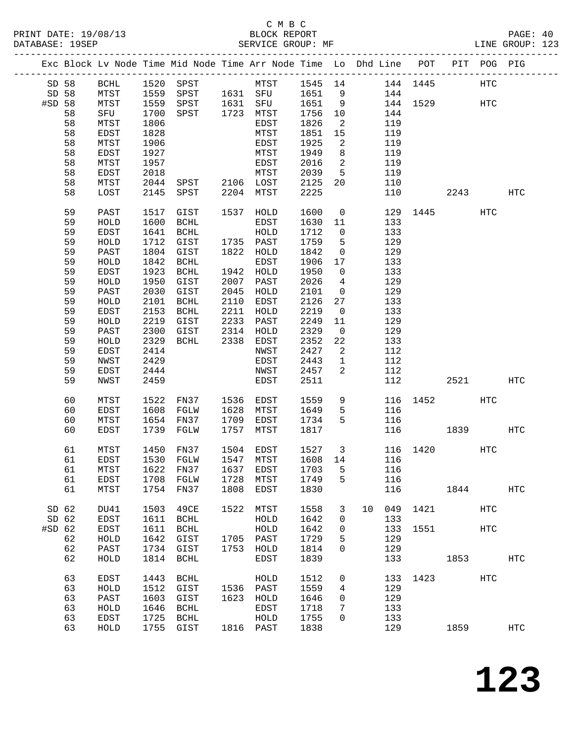#### C M B C<br>BLOCK REPORT PRINT DATE: 19/08/13 BLOCK REPORT PAGE: 40 SERVICE GROUP: MF

|                  |       |              |      |                |      | Exc Block Lv Node Time Mid Node Time Arr Node Time Lo Dhd Line POT PIT POG PIG |         |                            |    |     |          |          |            |                   |
|------------------|-------|--------------|------|----------------|------|--------------------------------------------------------------------------------|---------|----------------------------|----|-----|----------|----------|------------|-------------------|
|                  | SD 58 | BCHL         |      |                |      |                                                                                |         |                            |    |     |          |          | HTC        |                   |
| SD 58            |       | MTST         |      |                |      |                                                                                |         |                            |    |     |          |          |            |                   |
| #SD 58           |       | MTST         | 1559 | SPST 1631 SFU  |      |                                                                                | 1651    | 9                          |    |     |          | 144 1529 | HTC        |                   |
|                  | 58    | SFU          | 1700 | SPST 1723 MTST |      |                                                                                | 1756    | 10                         |    | 144 |          |          |            |                   |
|                  |       |              |      |                |      |                                                                                |         |                            |    |     |          |          |            |                   |
|                  | 58    | MTST         | 1806 |                |      | EDST                                                                           | 1826    | $\overline{\phantom{a}}$   |    | 119 |          |          |            |                   |
|                  | 58    | EDST         | 1828 |                |      | MTST                                                                           | 1851    | 15                         |    | 119 |          |          |            |                   |
|                  | 58    | MTST         | 1906 |                |      | EDST                                                                           | 1925    | $\overline{2}$             |    | 119 |          |          |            |                   |
|                  | 58    | EDST         | 1927 |                |      | MTST                                                                           | 1949    | 8 <sup>8</sup>             |    | 119 |          |          |            |                   |
|                  | 58    | MTST         | 1957 |                |      | EDST                                                                           | 2016    | $\overline{\phantom{a}}$   |    | 119 |          |          |            |                   |
|                  | 58    |              | 2018 |                |      | MTST                                                                           |         | $5^{\circ}$                |    |     |          |          |            |                   |
|                  |       | EDST         |      |                |      |                                                                                | 2039    |                            |    | 119 |          |          |            |                   |
|                  | 58    | MTST         |      |                |      | 2044 SPST 2106 LOST                                                            | 2125    | 20                         |    | 110 |          |          |            |                   |
|                  | 58    | LOST         | 2145 | SPST 2204 MTST |      |                                                                                | 2225    |                            |    | 110 |          | 2243     |            | HTC               |
|                  | 59    | PAST         | 1517 | GIST           |      | 1537 HOLD                                                                      | 1600    | $\overline{0}$             |    |     |          | 129 1445 | HTC        |                   |
|                  | 59    | HOLD         | 1600 | BCHL           |      | EDST                                                                           | 1630    | 11                         |    | 133 |          |          |            |                   |
|                  | 59    | EDST         | 1641 | BCHL           |      | HOLD                                                                           | 1712    | $\overline{0}$             |    | 133 |          |          |            |                   |
|                  | 59    |              | 1712 | GIST           |      | 1735 PAST                                                                      | 1759    |                            |    |     |          |          |            |                   |
|                  |       | HOLD         |      |                |      |                                                                                |         | $5^{\circ}$                |    | 129 |          |          |            |                   |
|                  | 59    | PAST         | 1804 | GIST           |      | 1822 HOLD                                                                      | 1842    | $\overline{0}$             |    | 129 |          |          |            |                   |
|                  | 59    | HOLD         | 1842 | BCHL           |      | EDST                                                                           | 1906    | 17                         |    | 133 |          |          |            |                   |
|                  | 59    | EDST         | 1923 | BCHL           |      | 1942 HOLD                                                                      | 1950    | $\overline{0}$             |    | 133 |          |          |            |                   |
|                  | 59    | ${\tt HOLD}$ | 1950 | GIST           | 2007 | PAST                                                                           | 2026    | $\overline{4}$             |    | 129 |          |          |            |                   |
|                  | 59    | PAST         | 2030 | GIST           |      | 2045 HOLD                                                                      | 2101    | $\overline{0}$             |    | 129 |          |          |            |                   |
|                  | 59    | HOLD         | 2101 | BCHL           | 2110 | EDST                                                                           | 2126    | 27                         |    | 133 |          |          |            |                   |
|                  | 59    | EDST         | 2153 | BCHL           |      | 2211 HOLD                                                                      | 2219    | $\overline{0}$             |    | 133 |          |          |            |                   |
|                  |       |              |      |                |      |                                                                                |         |                            |    |     |          |          |            |                   |
|                  | 59    | HOLD         | 2219 | GIST           |      | 2233 PAST                                                                      | 2249    | 11                         |    | 129 |          |          |            |                   |
|                  | 59    | PAST         | 2300 | GIST           |      | 2314 HOLD<br>2338 EDST                                                         | 2329    | $\overline{\mathbf{0}}$    |    | 129 |          |          |            |                   |
|                  | 59    | HOLD         | 2329 | BCHL           |      |                                                                                | 2352    | 22                         |    | 133 |          |          |            |                   |
|                  | 59    | EDST         | 2414 |                |      | NWST                                                                           | 2427    | $\overline{\phantom{a}}^2$ |    | 112 |          |          |            |                   |
|                  | 59    | NWST         | 2429 |                |      | EDST                                                                           | 2443    | $\mathbf{1}$               |    | 112 |          |          |            |                   |
|                  | 59    | EDST         | 2444 |                |      | NWST                                                                           | 2457    | 2                          |    | 112 |          |          |            |                   |
|                  | 59    | NWST         | 2459 |                |      | EDST                                                                           | 2511    |                            |    | 112 |          | 2521     |            | HTC               |
|                  |       |              |      |                |      |                                                                                |         |                            |    |     |          |          |            |                   |
|                  | 60    | MTST         | 1522 | FN37 1536 EDST |      |                                                                                | 1559    | 9                          |    |     | 116 1452 |          | HTC        |                   |
|                  | 60    | EDST         | 1608 | FGLW           | 1628 | MTST                                                                           | 1649    | 5                          |    | 116 |          |          |            |                   |
|                  | 60    | MTST         |      | 1654 FN37      | 1709 | EDST                                                                           | 1734    | 5                          |    | 116 |          |          |            |                   |
|                  | 60    | EDST         |      | 1739 FGLW      | 1757 | MTST                                                                           | 1817    |                            |    |     | 116 1839 |          |            | HTC               |
|                  |       |              |      |                |      |                                                                                |         |                            |    |     |          |          |            |                   |
|                  | 61    | MTST         | 1450 | FN37           |      | 1504 EDST                                                                      | 1527    | $\overline{\mathbf{3}}$    |    |     |          | 116 1420 | HTC        |                   |
|                  | 61    | <b>EDST</b>  | 1530 | FGLW           |      | 1547 MTST                                                                      | 1608 14 |                            |    | 116 |          |          |            |                   |
|                  |       |              |      |                |      | 61 MTST 1622 FN37 1637 EDST 1703 5 116                                         |         |                            |    |     |          |          |            |                   |
|                  | 61    | EDST         | 1708 | FGLW           | 1728 | MTST                                                                           | 1749    | 5                          |    | 116 |          |          |            |                   |
|                  | 61    | MTST         | 1754 | FN37           | 1808 | EDST                                                                           | 1830    |                            |    |     | 116      | 1844     |            | <b>HTC</b>        |
|                  |       |              |      |                |      |                                                                                |         |                            |    |     |          |          |            |                   |
| SD <sub>62</sub> |       | DU41         | 1503 | 49CE           | 1522 | MTST                                                                           | 1558    | 3                          | 10 | 049 |          | 1421     | <b>HTC</b> |                   |
| SD <sub>62</sub> |       | EDST         | 1611 | BCHL           |      | HOLD                                                                           | 1642    | 0                          |    | 133 |          |          |            |                   |
| $#SD$ 62         |       | EDST         | 1611 | BCHL           |      | ${\tt HOLD}$                                                                   | 1642    | 0                          |    | 133 | 1551     |          | HTC        |                   |
|                  | 62    | HOLD         | 1642 | GIST           |      | 1705 PAST                                                                      | 1729    | 5                          |    | 129 |          |          |            |                   |
|                  | 62    | PAST         | 1734 | GIST           | 1753 | HOLD                                                                           | 1814    | $\overline{0}$             |    | 129 |          |          |            |                   |
|                  | 62    | HOLD         | 1814 | BCHL           |      | EDST                                                                           | 1839    |                            |    | 133 |          | 1853     |            | $_{\mathrm{HTC}}$ |
|                  | 63    | EDST         | 1443 | BCHL           |      | HOLD                                                                           | 1512    | $\mathbf 0$                |    |     |          | 133 1423 | HTC        |                   |
|                  |       |              |      |                |      |                                                                                |         |                            |    |     |          |          |            |                   |
|                  | 63    | HOLD         | 1512 | GIST           |      | 1536 PAST                                                                      | 1559    | 4                          |    | 129 |          |          |            |                   |
|                  | 63    | PAST         | 1603 | GIST           | 1623 | HOLD                                                                           | 1646    | 0                          |    | 129 |          |          |            |                   |
|                  | 63    | HOLD         | 1646 | BCHL           |      | EDST                                                                           | 1718    | 7                          |    | 133 |          |          |            |                   |
|                  | 63    | EDST         | 1725 | BCHL           |      | HOLD                                                                           | 1755    | $\mathbf 0$                |    | 133 |          |          |            |                   |
|                  | 63    | HOLD         |      | 1755 GIST      |      | 1816 PAST                                                                      | 1838    |                            |    | 129 |          | 1859     |            | HTC               |
|                  |       |              |      |                |      |                                                                                |         |                            |    |     |          |          |            |                   |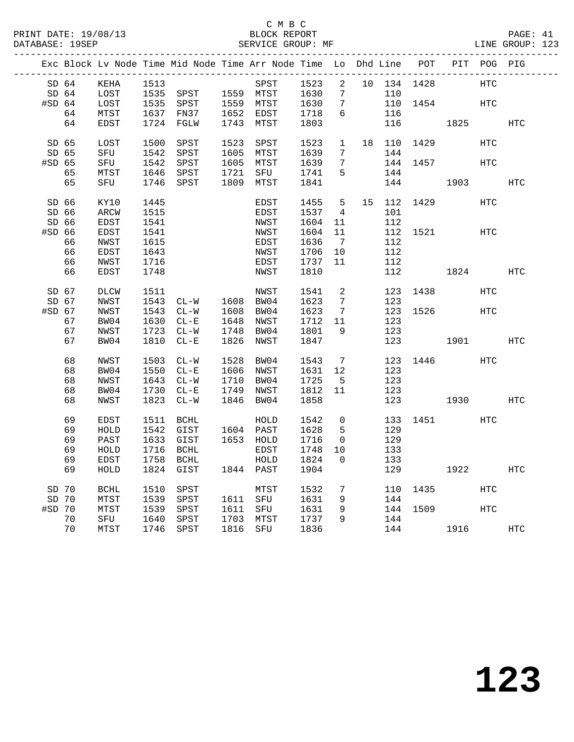|          |       |               |      | Exc Block Lv Node Time Mid Node Time Arr Node Time Lo Dhd Line POT PIT POG PIG |      |                        |              |                 |             |             |      |            |            |
|----------|-------|---------------|------|--------------------------------------------------------------------------------|------|------------------------|--------------|-----------------|-------------|-------------|------|------------|------------|
|          | SD 64 | KEHA          | 1513 |                                                                                |      | SPST                   | 1523         | $\overline{2}$  | 10 134 1428 |             |      | <b>HTC</b> |            |
|          | SD 64 | LOST          |      | 1535 SPST 1559 MTST                                                            |      |                        | 1630         | $7\overline{ }$ | 110         |             |      |            |            |
| $#SD$ 64 |       | LOST          |      | 1535 SPST                                                                      |      |                        | 1630         | $\overline{7}$  |             | 110 1454    |      | HTC        |            |
|          | 64    | ${\tt MTST}$  |      | 1637 FN37                                                                      |      | 1559 MTST<br>1652 EDST | 1718         | 6               | 116         |             |      |            |            |
|          | 64    | EDST          |      | 1724 FGLW                                                                      |      | 1743 MTST              | 1803         |                 | 116         |             | 1825 |            | HTC        |
| SD 65    |       | LOST          | 1500 | SPST                                                                           |      | 1523 SPST              | 1523         | $\mathbf{1}$    |             | 18 110 1429 |      | <b>HTC</b> |            |
|          | SD 65 | SFU           | 1542 | SPST                                                                           |      | 1605 MTST              | 1639         | $7\phantom{.0}$ | 144         |             |      |            |            |
| #SD 65   |       | SFU           | 1542 | SPST                                                                           |      | 1605 MTST              | 1639         | $7\phantom{.0}$ |             | 144 1457    |      | <b>HTC</b> |            |
|          | 65    | ${\tt MTST}$  | 1646 | SPST                                                                           | 1721 | SFU                    | 1741         | 5               | 144         |             |      |            |            |
|          | 65    | SFU           | 1746 | SPST                                                                           | 1809 | MTST                   | 1841         |                 | 144         |             | 1903 |            | <b>HTC</b> |
|          |       |               |      |                                                                                |      |                        |              |                 |             |             |      |            |            |
|          | SD 66 | KY10          | 1445 |                                                                                |      | EDST                   | 1455         | 5 <sub>5</sub>  | 15 112 1429 |             |      | HTC        |            |
|          | SD 66 | $\verb ARCW $ | 1515 |                                                                                |      | EDST                   | 1537         | $\overline{4}$  | 101         |             |      |            |            |
| SD 66    |       | EDST          | 1541 |                                                                                |      | NWST                   | 1604         | 11              | 112         |             |      |            |            |
| #SD 66   |       | EDST          | 1541 |                                                                                |      | NWST                   | 1604         | 11              |             | 112 1521    |      | HTC        |            |
|          | 66    | NWST          | 1615 |                                                                                |      | EDST                   | 1636         | $\overline{7}$  | 112         |             |      |            |            |
|          | 66    | EDST          | 1643 |                                                                                |      | NWST                   | 1706         | 10              | 112         |             |      |            |            |
|          | 66    | NWST          | 1716 |                                                                                |      | EDST                   | 1737         | 11              | 112         |             |      |            |            |
|          | 66    | EDST          | 1748 |                                                                                |      | NWST                   | 1810         |                 | 112         |             | 1824 |            | HTC        |
|          |       |               |      |                                                                                |      |                        |              |                 |             |             |      |            |            |
| SD 67    |       | DLCW          | 1511 |                                                                                |      | NWST                   | 1541         | $\overline{a}$  |             | 123 1438    |      | HTC        |            |
| SD 67    |       | NWST          |      | 1543 CL-W 1608 BW04                                                            |      |                        | 1623         | $\overline{7}$  | 123         |             |      |            |            |
| #SD 67   |       | NWST          | 1543 | $CL-W$                                                                         |      | 1608 BW04              | 1623         | $\overline{7}$  |             | 123 1526    |      | HTC        |            |
|          | 67    | BW04          | 1630 | $CL - E$                                                                       |      | 1648 NWST              | 1712         | 11              | 123         |             |      |            |            |
|          | 67    | NWST          | 1723 | $CL - W$                                                                       | 1748 | BW04                   | 1801         | 9               | 123         |             |      |            |            |
|          | 67    | BW04          | 1810 | $CL-E$                                                                         |      | 1826 NWST              | 1847         |                 | 123         | 1901        |      |            | HTC        |
|          | 68    | NWST          | 1503 | $CL-W$                                                                         |      | 1528 BW04              | 1543         | $7\overline{ }$ |             | 123 1446    |      | HTC        |            |
|          | 68    | BW04          | 1550 | $CL - E$                                                                       |      | 1606 NWST              |              | 12              | 123         |             |      |            |            |
|          | 68    | NWST          |      | 1643 CL-W                                                                      |      | 1710 BW04              | 163⊥<br>1725 | $5^{\circ}$     | 123         |             |      |            |            |
|          | 68    | BW04          |      | 1730 CL-E                                                                      |      | 1749 NWST              | 1812         | 11              | 123         |             |      |            |            |
|          | 68    | NWST          |      | 1823 CL-W                                                                      |      | 1846 BW04              | 1858         |                 | 123         |             | 1930 |            | HTC        |
|          |       |               |      |                                                                                |      |                        |              |                 |             |             |      |            |            |
|          | 69    | EDST          | 1511 | <b>BCHL</b>                                                                    |      | HOLD                   | 1542         | $\mathsf{O}$    | 133         | 1451 148    |      | HTC        |            |
|          | 69    | HOLD          |      | 1542 GIST                                                                      |      | 1604 PAST              | 1628         | 5               | 129         |             |      |            |            |
|          | 69    | PAST          | 1633 | GIST                                                                           |      | 1653 HOLD              | 1716         | $\overline{0}$  | 129         |             |      |            |            |
|          | 69    | ${\tt HOLD}$  | 1716 | <b>BCHL</b>                                                                    |      | EDST                   | 1748         | 10              | 133         |             |      |            |            |
|          | 69    | EDST          | 1758 | <b>BCHL</b>                                                                    |      | ${\tt HOLD}$           | 1824         | $\Omega$        | 133         |             |      |            |            |
|          | 69    | HOLD          | 1824 | GIST                                                                           |      | 1844 PAST              | 1904         |                 | 129         |             | 1922 |            | <b>HTC</b> |
| SD 70    |       | <b>BCHL</b>   | 1510 | SPST                                                                           |      | MTST                   | 1532         | $7\overline{ }$ |             | 110 1435    |      | HTC        |            |
| SD 70    |       | MTST          | 1539 | SPST                                                                           |      | 1611 SFU               | 1631         | 9               | 144         |             |      |            |            |
| #SD 70   |       | MTST          |      | 1539 SPST                                                                      |      | 1611 SFU               | 1631         | 9               |             | 144 1509    |      | <b>HTC</b> |            |
|          | 70    | SFU           | 1640 | SPST                                                                           |      | 1703 MTST              | 1737         | 9               | 144         |             |      |            |            |
|          | 70    | MTST          |      | 1746 SPST                                                                      |      | 1816 SFU               | 1836         |                 |             | 144 1916    |      |            | HTC        |
|          |       |               |      |                                                                                |      |                        |              |                 |             |             |      |            |            |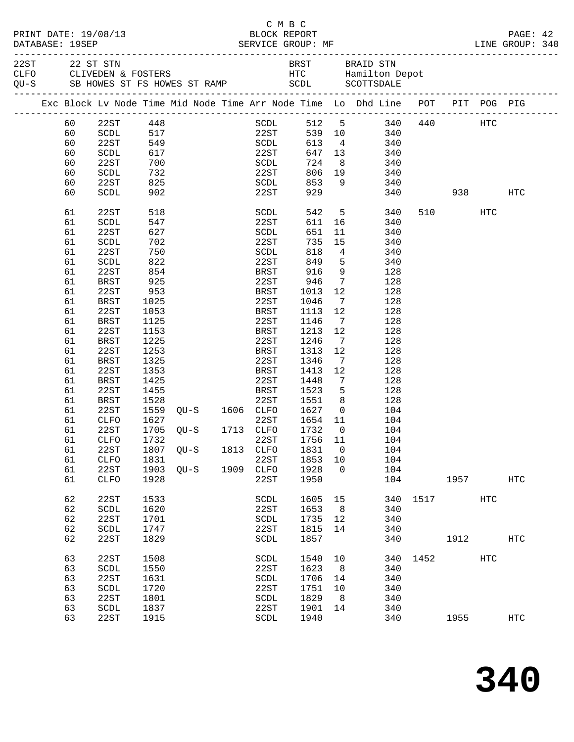|          |                                        |            |                                  |      | CMBC<br>BLOCK REPORT  |            |                 | ENGERVICE GROUP: MF AND LINE GROUP: 340                                                                                               |      |        |            | PAGE: 42          |  |
|----------|----------------------------------------|------------|----------------------------------|------|-----------------------|------------|-----------------|---------------------------------------------------------------------------------------------------------------------------------------|------|--------|------------|-------------------|--|
|          |                                        |            |                                  |      |                       |            |                 | 22ST 22 ST STN BRST BRAID STN CLFO CLIVEDEN & FOSTERS ST RAMP HTC Hamilton Depot<br>QU-S SB HOWES ST FS HOWES ST RAMP SCDL SCOTTSDALE |      |        |            |                   |  |
|          |                                        |            |                                  |      |                       |            |                 | Exc Block Lv Node Time Mid Node Time Arr Node Time Lo Dhd Line POT PIT POG PIG                                                        |      |        |            |                   |  |
| 60       | 22ST 448                               |            |                                  |      |                       |            |                 | SCDL 512 5 340 440 HTC                                                                                                                |      |        |            |                   |  |
| 60       | SCDL                                   |            |                                  |      | 517 22ST              |            |                 | 539 10 340                                                                                                                            |      |        |            |                   |  |
| 60       | 22ST                                   | 549        |                                  |      | SCDL                  |            |                 | 613 4 340                                                                                                                             |      |        |            |                   |  |
| 60       | SCDL                                   | 617<br>700 |                                  |      | 22ST<br>SCDL          |            |                 | 647 13 340<br>724 8 340                                                                                                               |      |        |            |                   |  |
| 60       | 22ST                                   |            |                                  |      |                       |            |                 |                                                                                                                                       |      |        |            |                   |  |
| 60       | SCDL                                   | 732        |                                  |      | <b>22ST</b>           |            |                 | 806 19 340                                                                                                                            |      |        |            |                   |  |
| 60       | 22ST                                   | 825        |                                  |      | SCDL                  | 853        |                 | 9 340                                                                                                                                 |      |        |            |                   |  |
| 60       | SCDL                                   | 902        |                                  |      | 22ST                  | 929        |                 | 340                                                                                                                                   |      | 938    |            | HTC               |  |
| 61       | 22ST                                   | 518        |                                  |      | SCDL                  | 542        |                 | 5 <sub>5</sub><br>340                                                                                                                 |      | 510 72 | HTC        |                   |  |
| 61       | $\operatorname{\mathsf{SCDL}}$         | 547        |                                  |      | 22ST                  | 611        |                 | 16<br>340                                                                                                                             |      |        |            |                   |  |
| 61<br>61 | 22ST<br>$\operatorname{\mathsf{SCDL}}$ | 627        |                                  |      | SCDL<br>22ST          | 651<br>735 | 11<br>15        | 340                                                                                                                                   |      |        |            |                   |  |
| 61       | 22ST                                   | 702<br>750 |                                  |      | SCDL                  | 818        |                 | 340<br>$4\overline{ }$<br>340                                                                                                         |      |        |            |                   |  |
| 61       | SCDL                                   | 822        |                                  |      | 22ST                  | 849        |                 | $5^{\circ}$<br>340                                                                                                                    |      |        |            |                   |  |
| 61       | 22ST                                   | 854        |                                  |      | BRST                  | 916        |                 | 9<br>128                                                                                                                              |      |        |            |                   |  |
| 61       | <b>BRST</b>                            | 925        |                                  |      | 22ST                  | 946        | $7\overline{ }$ | 128                                                                                                                                   |      |        |            |                   |  |
| 61       | 22ST                                   | 953        |                                  |      | BRST                  | 1013       | 12              | 128                                                                                                                                   |      |        |            |                   |  |
| 61       | BRST                                   | 1025       |                                  |      | 22ST                  | 1046       | $\overline{7}$  | 128                                                                                                                                   |      |        |            |                   |  |
| 61       | 22ST                                   | 1053       |                                  |      | BRST                  | 1113       | 12              | 128                                                                                                                                   |      |        |            |                   |  |
| 61       | BRST                                   | 1125       |                                  |      | 22ST                  | 1146       | $\overline{7}$  | 128                                                                                                                                   |      |        |            |                   |  |
| 61       | 22ST                                   | 1153       |                                  |      | BRST                  | 1213       | 12              | 128                                                                                                                                   |      |        |            |                   |  |
| 61       | BRST                                   | 1225       |                                  |      | 22ST                  | 1246       | $\overline{7}$  | 128                                                                                                                                   |      |        |            |                   |  |
| 61       | 22ST                                   | 1253       |                                  |      | BRST                  | 1313       | 12              | 128                                                                                                                                   |      |        |            |                   |  |
| 61       | <b>BRST</b>                            | 1325       |                                  |      | 22ST                  | 1346       | $\overline{7}$  | 128                                                                                                                                   |      |        |            |                   |  |
| 61       | 22ST                                   | 1353       |                                  |      | BRST                  | 1413       | 12              | 128                                                                                                                                   |      |        |            |                   |  |
| 61       | BRST                                   | 1425       |                                  |      | 22ST                  | 1448       | $\overline{7}$  | 128                                                                                                                                   |      |        |            |                   |  |
| 61       | 22ST                                   | 1455       |                                  |      | BRST                  | 1523       | 5               | 128                                                                                                                                   |      |        |            |                   |  |
| 61       | BRST                                   | 1528       | 1528 22ST<br>1559 QU-S 1606 CLFO |      | 22ST                  | 1551       | 8 <sup>8</sup>  | 128                                                                                                                                   |      |        |            |                   |  |
| 61       | 22ST                                   |            |                                  |      |                       | 1627       | $\overline{0}$  | 104                                                                                                                                   |      |        |            |                   |  |
| 61       | CLFO                                   | 1627       |                                  |      | 22ST                  | 1654 11    |                 | 104                                                                                                                                   |      |        |            |                   |  |
| 61       | 22ST                                   |            | 1705 QU-S 1713 CLFO              |      |                       | 1732       | $\overline{0}$  | 104                                                                                                                                   |      |        |            |                   |  |
| 61       | CLFO                                   | 1732       |                                  |      | 22ST 1756 11          |            |                 | 104                                                                                                                                   |      |        |            |                   |  |
| 61       | 22ST                                   | 1807       | QU-S                             | 1813 | CLFO                  | 1831       | $\mathbf 0$     | 104                                                                                                                                   |      |        |            |                   |  |
| 61       | CLFO                                   | 1831       |                                  |      | 22ST                  | 1853       | 10              | 104                                                                                                                                   |      |        |            |                   |  |
| 61       | 22ST                                   | 1903       | $QU-S$                           | 1909 | ${\tt CLFO}$          | 1928       | $\mathbf 0$     | 104                                                                                                                                   |      |        |            |                   |  |
| 61       | CLFO                                   | 1928       |                                  |      | 22ST                  | 1950       |                 | 104                                                                                                                                   |      | 1957   |            | $_{\mathrm{HTC}}$ |  |
| 62       | 22ST                                   | 1533       |                                  |      | SCDL                  | 1605       | 15              | 340                                                                                                                                   | 1517 |        | HTC        |                   |  |
| 62       | $\operatorname{\mathsf{SCDL}}$         | 1620       |                                  |      | 22ST                  | 1653       | 8               | 340                                                                                                                                   |      |        |            |                   |  |
| 62       | 22ST                                   | 1701       |                                  |      | $\operatorname{SCDL}$ | 1735       | 12              | 340                                                                                                                                   |      |        |            |                   |  |
| 62       | SCDL                                   | 1747       |                                  |      | 22ST                  | 1815       | 14              | 340                                                                                                                                   |      |        |            |                   |  |
| 62       | 22ST                                   | 1829       |                                  |      | SCDL                  | 1857       |                 | 340                                                                                                                                   |      | 1912   |            | <b>HTC</b>        |  |
| 63       | 22ST                                   | 1508       |                                  |      | SCDL                  | 1540       | 10              | 340                                                                                                                                   | 1452 |        | <b>HTC</b> |                   |  |
| 63       | $\operatorname{\mathsf{SCDL}}$         | 1550       |                                  |      | 22ST                  | 1623       | 8               | 340                                                                                                                                   |      |        |            |                   |  |
| 63       | 22ST                                   | 1631       |                                  |      | $\operatorname{SCDL}$ | 1706       | 14              | 340                                                                                                                                   |      |        |            |                   |  |
| 63       | <b>SCDL</b>                            | 1720       |                                  |      | 22ST                  | 1751       | 10              | 340                                                                                                                                   |      |        |            |                   |  |
| 63       | 22ST                                   | 1801       |                                  |      | SCDL                  | 1829       | 8               | 340                                                                                                                                   |      |        |            |                   |  |
| 63       | SCDL                                   | 1837       |                                  |      | 22ST                  | 1901       | 14              | 340                                                                                                                                   |      |        |            |                   |  |
| 63       | 22ST                                   | 1915       |                                  |      | SCDL                  | 1940       |                 | 340                                                                                                                                   |      | 1955   |            | <b>HTC</b>        |  |
|          |                                        |            |                                  |      |                       |            |                 |                                                                                                                                       |      |        |            |                   |  |

**340**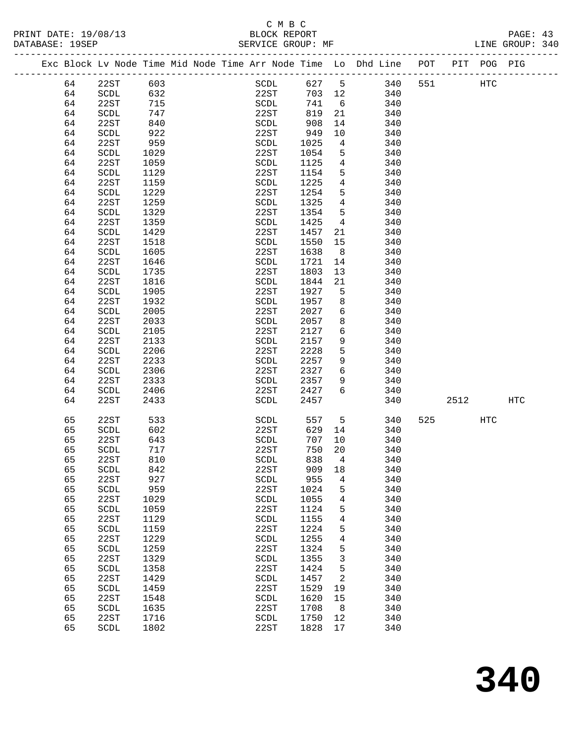# C M B C

| DATABASE: 19SEP |    |                                |      |  | SERVICE GROUP: MF              |        |                 |                                                                                |     |            |      | LINE GROUP: 340 |  |
|-----------------|----|--------------------------------|------|--|--------------------------------|--------|-----------------|--------------------------------------------------------------------------------|-----|------------|------|-----------------|--|
|                 |    |                                |      |  |                                |        |                 | Exc Block Lv Node Time Mid Node Time Arr Node Time Lo Dhd Line POT PIT POG PIG |     |            |      |                 |  |
|                 | 64 | 22ST                           | 603  |  | SCDL 627 5                     |        |                 | 340                                                                            | 551 | <b>HTC</b> |      |                 |  |
|                 | 64 | SCDL                           | 632  |  | 22ST                           | 703 12 |                 | 340                                                                            |     |            |      |                 |  |
|                 | 64 | 22ST                           | 715  |  | SCDL                           | 741    | $6\overline{6}$ | 340                                                                            |     |            |      |                 |  |
|                 | 64 | <b>SCDL</b>                    | 747  |  | 22ST                           | 819    | 21              | 340                                                                            |     |            |      |                 |  |
|                 | 64 | 22ST                           | 840  |  | SCDL                           | 908    | 14              | 340                                                                            |     |            |      |                 |  |
|                 | 64 | SCDL                           | 922  |  | 22ST                           | 949    | 10              | 340                                                                            |     |            |      |                 |  |
|                 | 64 | 22ST                           | 959  |  | SCDL                           | 1025   | $\overline{4}$  | 340                                                                            |     |            |      |                 |  |
|                 | 64 | SCDL                           | 1029 |  | 22ST                           | 1054   | 5               | 340                                                                            |     |            |      |                 |  |
|                 | 64 | 22ST                           | 1059 |  | SCDL                           | 1125   | $\overline{4}$  | 340                                                                            |     |            |      |                 |  |
|                 | 64 | SCDL                           | 1129 |  | 22ST                           | 1154   | 5               | 340                                                                            |     |            |      |                 |  |
|                 | 64 | 22ST                           | 1159 |  | SCDL                           | 1225   | $\overline{4}$  | 340                                                                            |     |            |      |                 |  |
|                 | 64 | SCDL                           | 1229 |  | 22ST                           | 1254   | 5               | 340                                                                            |     |            |      |                 |  |
|                 | 64 | 22ST                           | 1259 |  | SCDL                           | 1325   | $\overline{4}$  | 340                                                                            |     |            |      |                 |  |
|                 | 64 | SCDL                           | 1329 |  | 22ST                           | 1354   | 5               | 340                                                                            |     |            |      |                 |  |
|                 | 64 | 22ST                           | 1359 |  | SCDL                           | 1425   | $\overline{4}$  | 340                                                                            |     |            |      |                 |  |
|                 | 64 | SCDL                           | 1429 |  | 22ST                           | 1457   | 21              | 340                                                                            |     |            |      |                 |  |
|                 | 64 | 22ST                           | 1518 |  | SCDL                           | 1550   | 15              | 340                                                                            |     |            |      |                 |  |
|                 | 64 | SCDL                           | 1605 |  | 22ST                           | 1638   | 8 <sup>8</sup>  | 340                                                                            |     |            |      |                 |  |
|                 | 64 | 22ST                           | 1646 |  | SCDL                           | 1721   | 14              | 340                                                                            |     |            |      |                 |  |
|                 | 64 | SCDL                           | 1735 |  | 22ST                           | 1803   | 13              | 340                                                                            |     |            |      |                 |  |
|                 | 64 | 22ST                           | 1816 |  | SCDL                           | 1844   | 21              | 340                                                                            |     |            |      |                 |  |
|                 | 64 | SCDL                           | 1905 |  | 22ST                           | 1927   | $5^{\circ}$     | 340                                                                            |     |            |      |                 |  |
|                 | 64 | 22ST                           | 1932 |  | SCDL                           | 1957   | 8               | 340                                                                            |     |            |      |                 |  |
|                 | 64 | SCDL                           | 2005 |  | 22ST                           | 2027   | 6               | 340                                                                            |     |            |      |                 |  |
|                 | 64 | 22ST                           | 2033 |  | SCDL                           | 2057   | 8               | 340                                                                            |     |            |      |                 |  |
|                 | 64 | SCDL                           | 2105 |  | 22ST                           | 2127   | 6               | 340                                                                            |     |            |      |                 |  |
|                 |    |                                |      |  |                                |        |                 |                                                                                |     |            |      |                 |  |
|                 | 64 | 22ST                           | 2133 |  | SCDL                           | 2157   | 9<br>5          | 340                                                                            |     |            |      |                 |  |
|                 | 64 | SCDL                           | 2206 |  | 22ST                           | 2228   | 9               | 340                                                                            |     |            |      |                 |  |
|                 | 64 | 22ST                           | 2233 |  | SCDL                           | 2257   |                 | 340                                                                            |     |            |      |                 |  |
|                 | 64 | SCDL                           | 2306 |  | 22ST                           | 2327   | 6               | 340                                                                            |     |            |      |                 |  |
|                 | 64 | 22ST                           | 2333 |  | SCDL                           | 2357   | 9               | 340                                                                            |     |            |      |                 |  |
|                 | 64 | SCDL                           | 2406 |  | 22ST                           | 2427   | 6               | 340                                                                            |     |            |      |                 |  |
|                 | 64 | 22ST                           | 2433 |  | SCDL                           | 2457   |                 | 340                                                                            |     |            | 2512 | HTC             |  |
|                 | 65 | 22ST                           | 533  |  | SCDL                           | 557    |                 | $5 - 5$<br>340                                                                 |     | 525 720    | HTC  |                 |  |
|                 | 65 | SCDL                           | 602  |  | 22ST                           | 629    | 14              | 340                                                                            |     |            |      |                 |  |
|                 | 65 | 22ST                           | 643  |  | SCDL                           | 707    | 10              | 340                                                                            |     |            |      |                 |  |
|                 | 65 | SCDL                           | 717  |  | 22ST                           | 750    | 20              | 340                                                                            |     |            |      |                 |  |
|                 | 65 | 22ST                           | 810  |  | SCDL                           | 838 4  |                 | 340                                                                            |     |            |      |                 |  |
|                 | 65 | SCDL                           | 842  |  | 22ST                           | 909    | 18              | 340                                                                            |     |            |      |                 |  |
|                 | 65 | 22ST                           | 927  |  | $\operatorname{\mathsf{SCDL}}$ | 955    | 4               | 340                                                                            |     |            |      |                 |  |
|                 | 65 | $\operatorname{\mathsf{SCDL}}$ | 959  |  | 22ST                           | 1024   | 5               | 340                                                                            |     |            |      |                 |  |
|                 | 65 | 22ST                           | 1029 |  | SCDL                           | 1055   | 4               | 340                                                                            |     |            |      |                 |  |
|                 | 65 | SCDL                           | 1059 |  | 22ST                           | 1124   | 5               | 340                                                                            |     |            |      |                 |  |
|                 | 65 | 22ST                           | 1129 |  | SCDL                           | 1155   | 4               | 340                                                                            |     |            |      |                 |  |
|                 | 65 | $\operatorname{\mathsf{SCDL}}$ | 1159 |  | 22ST                           | 1224   | 5               | 340                                                                            |     |            |      |                 |  |
|                 | 65 | 22ST                           | 1229 |  | SCDL                           | 1255   | 4               | 340                                                                            |     |            |      |                 |  |
|                 | 65 | SCDL                           | 1259 |  | 22ST                           | 1324   | 5               | 340                                                                            |     |            |      |                 |  |
|                 | 65 | 22ST                           | 1329 |  | SCDL                           | 1355   | 3               | 340                                                                            |     |            |      |                 |  |
|                 | 65 | $\operatorname{\mathsf{SCDL}}$ | 1358 |  | 22ST                           | 1424   | 5               | 340                                                                            |     |            |      |                 |  |
|                 | 65 | 22ST                           | 1429 |  | SCDL                           | 1457   | 2               | 340                                                                            |     |            |      |                 |  |
|                 | 65 | SCDL                           | 1459 |  | 22ST                           | 1529   | 19              | 340                                                                            |     |            |      |                 |  |
|                 | 65 | 22ST                           | 1548 |  | SCDL                           | 1620   | 15              | 340                                                                            |     |            |      |                 |  |
|                 | 65 | SCDL                           | 1635 |  | 22ST                           | 1708   | 8               | 340                                                                            |     |            |      |                 |  |
|                 | 65 | 22ST                           | 1716 |  | SCDL                           | 1750   | 12              | 340                                                                            |     |            |      |                 |  |
|                 | 65 | SCDL                           | 1802 |  | 22ST                           | 1828   | 17              | 340                                                                            |     |            |      |                 |  |
|                 |    |                                |      |  |                                |        |                 |                                                                                |     |            |      |                 |  |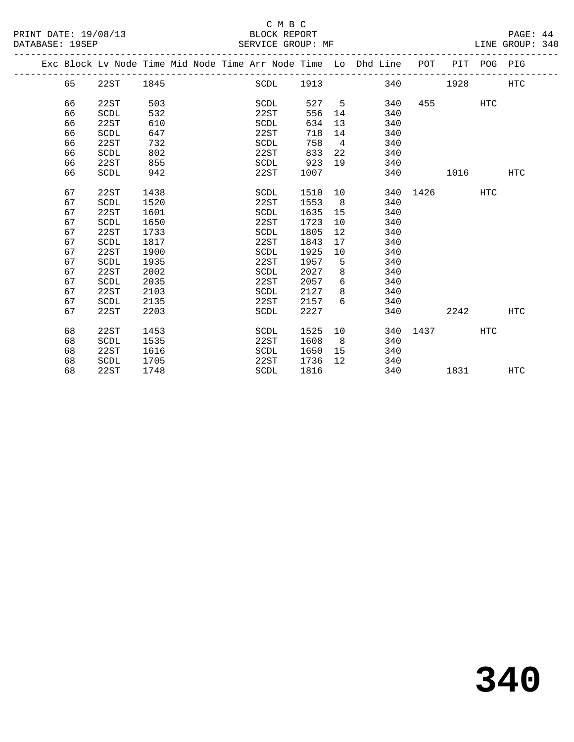## C M B C

DATABASE: 19SEP SERVICE GROUP: MF LINE GROUP: 340

| DAIADAOL 190EF |            |      |       |  | OLNVICL GROUP. MP    |                            |    |                                                                |          |      |            | UIND UNUUF JIU |  |
|----------------|------------|------|-------|--|----------------------|----------------------------|----|----------------------------------------------------------------|----------|------|------------|----------------|--|
|                |            |      |       |  |                      |                            |    | Exc Block Ly Node Time Mid Node Time Arr Node Time Lo Dhd Line | POT      | PIT  | POG        | PIG            |  |
|                | 65         | 22ST | 1845  |  | SCDL                 | 1913                       |    | 340                                                            |          | 1928 |            | HTC            |  |
|                | 66         | 22ST | 503   |  | SCDL                 | 527                        | 5. | 340                                                            | 455      |      | <b>HTC</b> |                |  |
|                | 66         | SCDL | 532   |  | 22ST                 | 556                        | 14 | 340                                                            |          |      |            |                |  |
|                | 66         | 22ST | 610   |  | SCDL                 | 634                        | 13 | 340                                                            |          |      |            |                |  |
|                | 66         | SCDL | 647   |  | 22ST                 | 718                        | 14 | 340                                                            |          |      |            |                |  |
|                | 66         | 22ST | 732   |  | SCDL                 | 758                        | 4  | 340                                                            |          |      |            |                |  |
|                | 66         | SCDL | 802   |  | 22ST                 | 833                        | 22 | 340                                                            |          |      |            |                |  |
|                | 66         | 22ST | 855   |  | SCDL                 | 923                        | 19 | 340                                                            |          |      |            |                |  |
|                | 66         | SCDL | 942   |  | 22ST                 | 1007                       |    | 340                                                            |          | 1016 |            | <b>HTC</b>     |  |
|                | 67         | 22ST | 1438  |  | SCDL                 | 1510                       | 10 |                                                                | 340 1426 |      | <b>HTC</b> |                |  |
|                | $\epsilon$ | CCT  | 1.500 |  | $\cap$ $\cap$ $\cap$ | $1 \Gamma \Gamma$ $\Omega$ |    | 210                                                            |          |      |            |                |  |

67 22ST 2203 SCDL 2227 340 2242 HTC

68 22ST 1748 SCDL 1816 340 1831 HTC

68 22ST 1453 SCDL 1525 10 340 1437 HTC

67 SCDL 1520 22ST 1553 8 340

 67 SCDL 1650 22ST 1723 10 340 67 22ST 1733 SCDL 1805 12 340 67 SCDL 1817 22ST 1843 17 340 67 22ST 1900 SCDL 1925 10 340 67 SCDL 1935 22ST 1957 5 340 67 22ST 2002 SCDL 2027 8 340 67 SCDL 2035 22ST 2057 6 340 67 22ST 2103 SCDL 2127 8 340 67 SCDL 2135 22ST 2157 6 340

68 SCDL 1535 22ST 1608 8 340

 68 22ST 1616 SCDL 1650 15 340 68 SCDL 1705 22ST 1736 12 340

67 22ST 1601 5CDL 1635 15 340<br>67 SCDL 1650 22ST 1723 10 340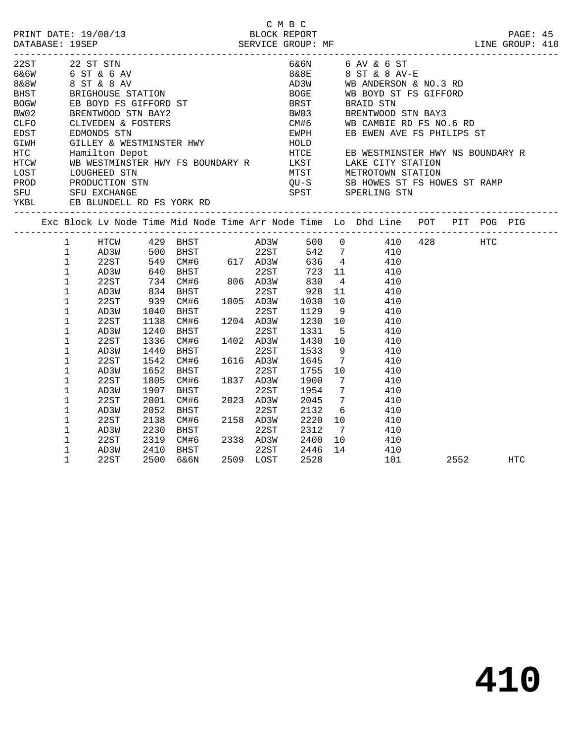|                                                                                                                                                                                  |                                                                                                                                                                                                                                                                                                                 |                                                                                                                                                              |                                                                                                                              |                                                                                                                                                                                                                                                                                                                                          |      |                                                                                                                  | C M B C              |                                               |                      |                                                                                                                                                                                                                                                                                                                                                                                                                                                                                                                                                                                                                          |      |            |  |
|----------------------------------------------------------------------------------------------------------------------------------------------------------------------------------|-----------------------------------------------------------------------------------------------------------------------------------------------------------------------------------------------------------------------------------------------------------------------------------------------------------------|--------------------------------------------------------------------------------------------------------------------------------------------------------------|------------------------------------------------------------------------------------------------------------------------------|------------------------------------------------------------------------------------------------------------------------------------------------------------------------------------------------------------------------------------------------------------------------------------------------------------------------------------------|------|------------------------------------------------------------------------------------------------------------------|----------------------|-----------------------------------------------|----------------------|--------------------------------------------------------------------------------------------------------------------------------------------------------------------------------------------------------------------------------------------------------------------------------------------------------------------------------------------------------------------------------------------------------------------------------------------------------------------------------------------------------------------------------------------------------------------------------------------------------------------------|------|------------|--|
| 22ST<br>6&6W 6 ST & 6 AV<br>8&8W 8 ST & 8 AV<br>BHST<br><b>BOGW</b><br>BW02<br>CLFO<br>EDST<br>GIWH<br>PROD PRODUCTION STN<br>SFU SFU EXCHANGE<br>YKBL EB BLUNDELL RD FS YORK RD |                                                                                                                                                                                                                                                                                                                 | 22 ST STN                                                                                                                                                    |                                                                                                                              | GILLEY & WESTMINSTER HWY                                                                                                                                                                                                                                                                                                                 |      |                                                                                                                  | 8&8E<br>HOLD         |                                               |                      | 6&6N 6 AV & 6 ST<br>8 ST & 8 AV-E<br>AD3W WB ANDERSON & NO.3 RD<br>8 ST & 8 AV<br>BRIGHOUSE STATION<br>EB BOYD FS GIFFORD ST<br>BREST<br>BREST<br>BREST<br>BREST<br>BREST<br>BREST<br>BREST<br>BREST<br>BREST<br>BREST<br>BREST<br>BREST<br>BREST<br>BREST<br>BREST<br>BREST<br>BREST<br>BREST<br>BREST<br>BREST<br>BREST<br>BREST<br>BREST<br>BREST<br><br>HTC Hamilton Depot<br>HTCE EB WESTMINSTER HWY R HTCE EB WESTMINSTER HWY NS BOUNDARY R<br>HTCE EB WESTMINSTER HWY FS BOUNDARY R LAKST LAKE CITY STATION<br>LOST LOUGHEED STN MTST METROTOWN STATION<br>QU-S SB HOWES ST FS HOWES ST RAMP<br>SPST SPERLING STN |      |            |  |
|                                                                                                                                                                                  |                                                                                                                                                                                                                                                                                                                 |                                                                                                                                                              |                                                                                                                              |                                                                                                                                                                                                                                                                                                                                          |      |                                                                                                                  |                      |                                               |                      | Exc Block Lv Node Time Mid Node Time Arr Node Time Lo Dhd Line POT PIT POG PIG                                                                                                                                                                                                                                                                                                                                                                                                                                                                                                                                           |      |            |  |
| $\mathbf{1}$<br>$\mathbf{1}$                                                                                                                                                     | $\mathbf{1}$<br>$\mathbf{1}$<br>$\mathbf 1$<br>$\mathbf{1}$<br>$\mathbf{1}$<br>$\mathbf{1}$<br>$\mathbf{1}$<br>$\mathbf{1}$<br>$\mathbf 1$<br>$\mathbf{1}$<br>$\mathbf 1$<br>$\mathbf{1}$<br>$\mathbf 1$<br>$\mathbf{1}$<br>$\mathbf 1$<br>$\mathbf 1$<br>$\mathbf{1}$<br>1<br>$\mathbf 1$<br>1<br>$\mathbf{1}$ | AD3W<br>22ST<br>AD3W<br>22ST<br>AD3W<br>22ST<br>AD3W<br>22ST<br>AD3W<br>22ST<br>AD3W<br>22ST<br>AD3W<br>22ST<br>AD3W<br>22ST<br>AD3W<br>22ST<br>AD3W<br>22ST | 1040<br>1138<br>1240<br>1336<br>1440<br>1542<br>1652<br>1805<br>1907<br>2001<br>2052<br>2138<br>2230<br>2319<br>2410<br>2500 | HTCW 429 BHST AD3W<br>AD3W 500 BHST 22ST<br>22ST 549 CM#6 617 AD3W<br>540 BHST<br>734 CM#6 806 AD3W<br>834 BHST 22ST<br>939 CM#6 1005 AD3W<br>939 CM#6 1005 AD3W<br>BHST<br>CM#6 1204 AD3W<br>BHST<br>CM#6<br>BHST<br>CM#6<br>BHST<br>CM#6 1837 AD3W<br>BHST<br>CM#6<br>BHST<br>CM#6 2158 AD3W<br>BHST<br>CM#6 2338 AD3W<br>BHST<br>6&6N | 2509 | 22ST<br>22ST<br>1402 AD3W<br>22ST<br>1616 AD3W<br>22ST<br>22ST<br>2023 AD3W<br>22ST<br>22ST<br>22ST<br>2509 LOST | 1900<br>2312<br>2528 | 542 7<br>830 4<br>1129 9<br>1755 10<br>2045 7 | 7<br>$7\overline{ }$ | 500 0 410 428 HTC<br>410<br>$636 + 410$<br>723 11 410<br>410<br>22ST 928 11 410<br>1030 10 410<br>410<br>1230 10 410<br>1331 5 410<br>$\begin{array}{cccc} 1430 & 10 & & 410 \\ 1533 & 9 & & 410 \end{array}$<br>1645 7 410<br>410<br>410<br>$1954$ 7 410<br>410<br>2132 6 410<br>2220 10 410<br>410<br>2400 10 410<br>2446 14 410<br>101                                                                                                                                                                                                                                                                                | 2552 | <b>HTC</b> |  |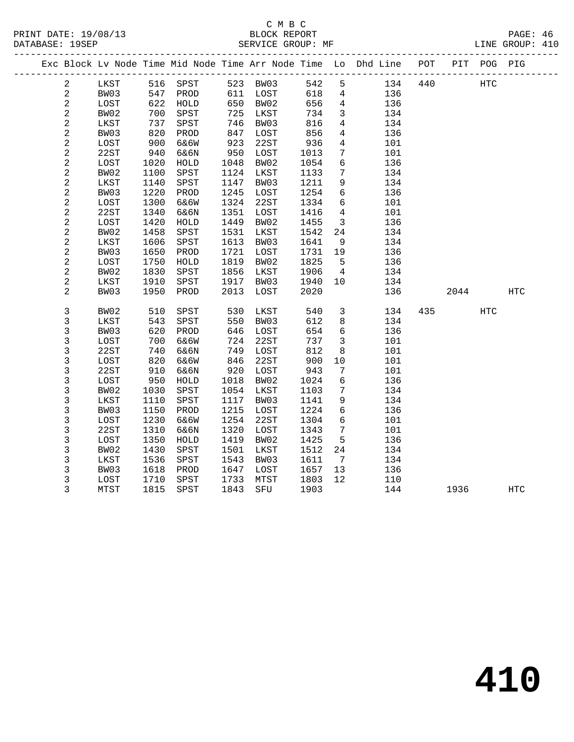#### C M B C<br>BLOCK REPORT SERVICE GROUP: MF

|                         |      |      |          |      |      |      |                 | Exc Block Lv Node Time Mid Node Time Arr Node Time Lo Dhd Line POT |     | PIT  | POG          | PIG |
|-------------------------|------|------|----------|------|------|------|-----------------|--------------------------------------------------------------------|-----|------|--------------|-----|
| $\overline{a}$          | LKST |      | 516 SPST | 523  | BW03 | 542  | 5               | 134                                                                | 440 |      | $_{\rm HTC}$ |     |
| $\overline{a}$          | BW03 | 547  | PROD     | 611  | LOST | 618  | 4               | 136                                                                |     |      |              |     |
| $\overline{c}$          | LOST | 622  | HOLD     | 650  | BW02 | 656  | $4\overline{ }$ | 136                                                                |     |      |              |     |
| $\overline{c}$          | BW02 | 700  | SPST     | 725  | LKST | 734  | $\mathbf{3}$    | 134                                                                |     |      |              |     |
| $\overline{2}$          | LKST | 737  | SPST     | 746  | BW03 | 816  | $\overline{4}$  | 134                                                                |     |      |              |     |
| $\overline{a}$          | BW03 | 820  | PROD     | 847  | LOST | 856  | $\overline{4}$  | 136                                                                |     |      |              |     |
| $\overline{c}$          | LOST | 900  | 6&6W     | 923  | 22ST | 936  | $\overline{4}$  | 101                                                                |     |      |              |     |
| $\overline{c}$          | 22ST | 940  | 6&6N     | 950  | LOST | 1013 | 7               | 101                                                                |     |      |              |     |
| $\overline{c}$          | LOST | 1020 | HOLD     | 1048 | BW02 | 1054 | 6               | 136                                                                |     |      |              |     |
| $\overline{c}$          | BW02 | 1100 | SPST     | 1124 | LKST | 1133 | $\overline{7}$  | 134                                                                |     |      |              |     |
| 2                       | LKST | 1140 | SPST     | 1147 | BW03 | 1211 | 9               | 134                                                                |     |      |              |     |
| $\overline{a}$          | BW03 | 1220 | PROD     | 1245 | LOST | 1254 | 6               | 136                                                                |     |      |              |     |
| $\overline{\mathbf{c}}$ | LOST | 1300 | 6&6W     | 1324 | 22ST | 1334 | 6               | 101                                                                |     |      |              |     |
| 2                       | 22ST | 1340 | 6&6N     | 1351 | LOST | 1416 | 4               | 101                                                                |     |      |              |     |
| 2                       | LOST | 1420 | HOLD     | 1449 | BW02 | 1455 | 3               | 136                                                                |     |      |              |     |
| $\overline{\mathbf{c}}$ | BW02 | 1458 | SPST     | 1531 | LKST | 1542 | 24              | 134                                                                |     |      |              |     |
| $\overline{\mathbf{c}}$ | LKST | 1606 | SPST     | 1613 | BW03 | 1641 | 9               | 134                                                                |     |      |              |     |
| $\overline{c}$          | BW03 | 1650 | PROD     | 1721 | LOST | 1731 | 19              | 136                                                                |     |      |              |     |
| $\overline{c}$          | LOST | 1750 | HOLD     | 1819 | BW02 | 1825 | 5               | 136                                                                |     |      |              |     |
| $\overline{c}$          | BW02 | 1830 | SPST     | 1856 | LKST | 1906 | $\overline{4}$  | 134                                                                |     |      |              |     |
| $\overline{c}$          | LKST | 1910 | SPST     | 1917 | BW03 | 1940 | 10              | 134                                                                |     |      |              |     |
| $\overline{2}$          | BW03 | 1950 | PROD     | 2013 | LOST | 2020 |                 | 136                                                                |     | 2044 |              | HTC |
|                         |      |      |          |      |      |      |                 |                                                                    |     |      |              |     |
| 3                       | BW02 | 510  | SPST     | 530  | LKST | 540  | $\mathbf{3}$    | 134                                                                | 435 |      | HTC          |     |
| 3                       | LKST | 543  | SPST     | 550  | BW03 | 612  | 8               | 134                                                                |     |      |              |     |
| 3                       | BW03 | 620  | PROD     | 646  | LOST | 654  | 6               | 136                                                                |     |      |              |     |
| 3                       | LOST | 700  | 6&6W     | 724  | 22ST | 737  | 3               | 101                                                                |     |      |              |     |
| 3                       | 22ST | 740  | 6&6N     | 749  | LOST | 812  | 8               | 101                                                                |     |      |              |     |
| 3                       | LOST | 820  | 6&6W     | 846  | 22ST | 900  | 10              | 101                                                                |     |      |              |     |
| 3                       | 22ST | 910  | 6&6N     | 920  | LOST | 943  | 7               | 101                                                                |     |      |              |     |
| 3                       | LOST | 950  | HOLD     | 1018 | BW02 | 1024 | 6               | 136                                                                |     |      |              |     |
| 3                       | BW02 | 1030 | SPST     | 1054 | LKST | 1103 | $7\phantom{.0}$ | 134                                                                |     |      |              |     |
| 3                       | LKST | 1110 | SPST     | 1117 | BW03 | 1141 | 9               | 134                                                                |     |      |              |     |
| 3                       | BW03 | 1150 | PROD     | 1215 | LOST | 1224 | $6\overline{6}$ | 136                                                                |     |      |              |     |
| 3                       | LOST | 1230 | 6&6W     | 1254 | 22ST | 1304 | 6               | 101                                                                |     |      |              |     |
| 3                       | 22ST | 1310 | 6&6N     | 1320 | LOST | 1343 | 7               | 101                                                                |     |      |              |     |

 3 LOST 1350 HOLD 1419 BW02 1425 5 136 3 BW02 1430 SPST 1501 LKST 1512 24 134 3 LKST 1536 SPST 1543 BW03 1611 7 134 3 BW03 1618 PROD 1647 LOST 1657 13 136 3 LOST 1710 SPST 1733 MTST 1803 12 110

3 MTST 1815 SPST 1843 SFU 1903 144 1936 HTC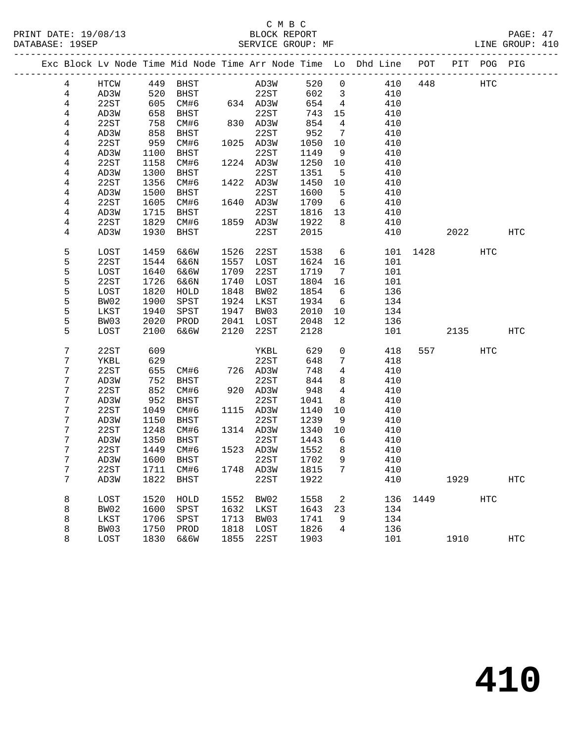# C M B C<br>BLOCK REPORT

LINE GROUP: 410

|  |                |      |      |                            |      |                                                                     |         |                            | Exc Block Lv Node Time Mid Node Time Arr Node Time Lo Dhd Line POT |          |           | PIT POG PIG |            |
|--|----------------|------|------|----------------------------|------|---------------------------------------------------------------------|---------|----------------------------|--------------------------------------------------------------------|----------|-----------|-------------|------------|
|  | $\overline{4}$ | HTCW |      | 449 BHST                   |      | AD3W                                                                |         | 520 0                      |                                                                    | 410 448  |           | HTC         |            |
|  | $\overline{4}$ | AD3W | 520  | BHST                       |      | 22ST                                                                | 602 3   |                            | 410                                                                |          |           |             |            |
|  | 4              | 22ST | 605  |                            |      | CM#6 634 AD3W                                                       | 654     | $\overline{4}$             | 410                                                                |          |           |             |            |
|  | 4              | AD3W | 658  | BHST                       |      | 22ST                                                                | 743     | 15                         | 410                                                                |          |           |             |            |
|  | 4              | 22ST | 758  | CM#6                       |      | $\begin{array}{cc}\n 2251 \\  830 \\  \hline\n 0.000\n \end{array}$ | 854     | $\overline{4}$             | 410                                                                |          |           |             |            |
|  | 4              | AD3W | 858  | BHST                       |      | 22ST                                                                | 952     | $\overline{7}$             | 410                                                                |          |           |             |            |
|  | 4              | 22ST | 959  | CM#6                       |      | 1025 AD3W                                                           | 1050    | 10                         | 410                                                                |          |           |             |            |
|  | 4              | AD3W | 1100 | BHST                       |      | 22ST                                                                | 1149    | 9                          | 410                                                                |          |           |             |            |
|  | $\overline{4}$ | 22ST | 1158 | CM#6                       |      | 1224 AD3W                                                           | 1250    | 10                         | 410                                                                |          |           |             |            |
|  | 4              | AD3W | 1300 | BHST                       |      | 22ST                                                                | 1351    | $5^{\circ}$                | 410                                                                |          |           |             |            |
|  | 4              | 22ST | 1356 | CM#6                       |      | 1422 AD3W                                                           | 1450    | 10                         | 410                                                                |          |           |             |            |
|  | 4              | AD3W | 1500 | BHST                       |      | 22ST                                                                | 1600    | $5^{\circ}$                | 410                                                                |          |           |             |            |
|  | 4              | 22ST | 1605 | CM#6                       |      | 1640 AD3W                                                           | 1709    | 6                          | 410                                                                |          |           |             |            |
|  | 4              | AD3W | 1715 | BHST                       |      | 22ST                                                                | 1816 13 |                            | 410                                                                |          |           |             |            |
|  | 4              | 22ST | 1829 | CM#6                       |      | 1859 AD3W                                                           | 1922    | 8 <sup>8</sup>             | 410                                                                |          |           |             |            |
|  | 4              | AD3W | 1930 | BHST                       |      | 22ST                                                                | 2015    |                            | 410                                                                |          | 2022 2023 |             | HTC        |
|  | 5              | LOST | 1459 | 6&6W                       | 1526 | 22ST                                                                | 1538    | 6                          |                                                                    | 101 1428 |           | HTC         |            |
|  | 5              | 22ST | 1544 | 6&6N                       |      | 1557 LOST                                                           | 1624    | 16                         | 101                                                                |          |           |             |            |
|  | 5              | LOST | 1640 | 6&6W                       | 1709 | 22ST                                                                | 1719    | 7                          | 101                                                                |          |           |             |            |
|  | 5              | 22ST | 1726 | 6&6N                       | 1740 | LOST                                                                | 1804    | 16                         | 101                                                                |          |           |             |            |
|  | 5              | LOST | 1820 | HOLD                       | 1848 | BW02                                                                | 1854    | 6                          | 136                                                                |          |           |             |            |
|  | 5              | BW02 | 1900 | SPST                       | 1924 | LKST                                                                | 1934    | $6\overline{6}$            | 134                                                                |          |           |             |            |
|  | 5              | LKST | 1940 | SPST                       | 1947 | BW03                                                                | 2010    | 10                         | 134                                                                |          |           |             |            |
|  | 5              | BW03 | 2020 | PROD                       | 2041 | LOST                                                                | 2048    | 12                         | 136                                                                |          |           |             |            |
|  | 5              | LOST | 2100 | 6&6W                       | 2120 | 22ST                                                                | 2128    |                            | 101                                                                |          | 2135 HTC  |             |            |
|  | 7              | 22ST | 609  |                            |      | YKBL                                                                | 629     | $\overline{0}$             | 418                                                                |          | 557 8     | HTC         |            |
|  | 7              | YKBL | 629  |                            |      | 22ST                                                                | 648     | $7\phantom{.0}$            | 418                                                                |          |           |             |            |
|  | 7              | 22ST | 655  | CM#6                       |      | 726 AD3W                                                            | 748     | $\overline{4}$             | 410                                                                |          |           |             |            |
|  | 7              | AD3W | 752  | BHST                       |      | 22ST                                                                | 844     | 8                          | 410                                                                |          |           |             |            |
|  | 7              | 22ST | 852  | CM#6                       |      | 920 AD3W                                                            | 948     | $\overline{4}$             | 410                                                                |          |           |             |            |
|  | 7              | AD3W | 952  | BHST                       |      | 22ST                                                                | 1041    | 8                          | 410                                                                |          |           |             |            |
|  | 7              | 22ST | 1049 | CM#6                       |      | 1115 AD3W                                                           | 1140    | 10                         | 410                                                                |          |           |             |            |
|  | 7              | AD3W | 1150 | BHST                       |      | 22ST                                                                | 1239    | 9                          | 410                                                                |          |           |             |            |
|  | 7              | 22ST | 1248 | CM#6                       |      | 1314 AD3W                                                           | 1340    | 10                         | 410                                                                |          |           |             |            |
|  | 7              | AD3W | 1350 | BHST                       |      | 22ST                                                                | 1443    | $6\overline{6}$            | 410                                                                |          |           |             |            |
|  | 7              | 22ST | 1449 | CM#6                       |      | 1523 AD3W                                                           | 1552    | 8 <sup>8</sup>             | 410                                                                |          |           |             |            |
|  | 7              | AD3W | 1600 | BHST                       |      | 22ST                                                                | 1702    | 9                          | 410                                                                |          |           |             |            |
|  | 7              | 22ST |      | 1711 CM#6 1748 AD3W 1815 7 |      |                                                                     |         |                            | 410                                                                |          |           |             |            |
|  | 7              | AD3W | 1822 | BHST                       |      | 22ST                                                                | 1922    |                            | 410                                                                |          | 1929      |             | <b>HTC</b> |
|  | 8              | LOST | 1520 | HOLD                       | 1552 | BW02                                                                | 1558    | $\overline{\phantom{a}}^2$ | 136                                                                | 1449     |           | <b>HTC</b>  |            |
|  | 8              | BW02 | 1600 | SPST                       | 1632 | LKST                                                                | 1643    | 23                         | 134                                                                |          |           |             |            |
|  | 8              | LKST | 1706 | SPST                       | 1713 | BW03                                                                | 1741    | 9                          | 134                                                                |          |           |             |            |
|  | 8              | BW03 | 1750 | PROD                       | 1818 | LOST                                                                | 1826    | 4                          | 136                                                                |          |           |             |            |
|  | 8              | LOST | 1830 | 6&6W                       | 1855 | 22ST                                                                | 1903    |                            | 101                                                                |          | 1910      |             | HTC        |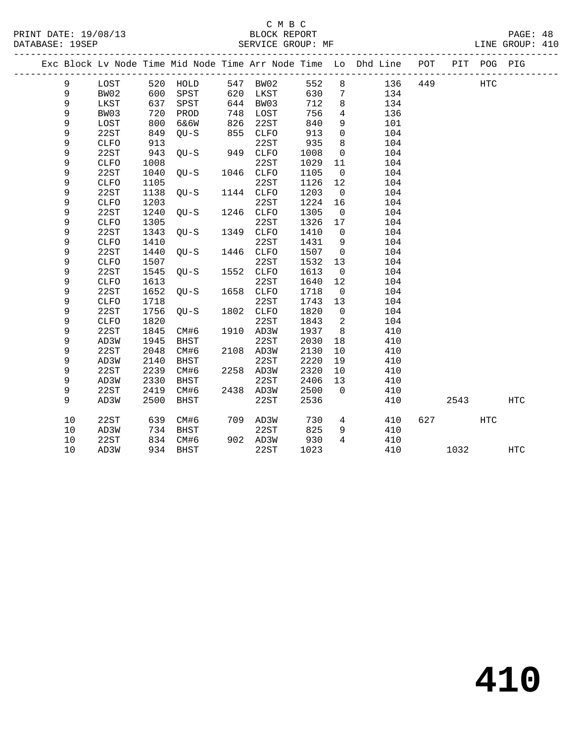|    |              |            |                   |     |           |      |                            | Exc Block Lv Node Time Mid Node Time Arr Node Time Lo Dhd Line POT |     |      | PIT POG PIG |            |  |
|----|--------------|------------|-------------------|-----|-----------|------|----------------------------|--------------------------------------------------------------------|-----|------|-------------|------------|--|
| 9  | LOST         |            | 520 HOLD          |     | 547 BW02  | 552  | 8                          | 136                                                                | 449 |      | <b>HTC</b>  |            |  |
| 9  | BW02         |            | SPST              |     | 620 LKST  | 630  | $\overline{7}$             | 134                                                                |     |      |             |            |  |
| 9  | LKST         | 600<br>637 | SPST              |     | 644 BW03  | 712  | 8                          | 134                                                                |     |      |             |            |  |
| 9  | BW03         | 720        | PROD              | 748 | LOST      | 756  | $\overline{4}$             | 136                                                                |     |      |             |            |  |
| 9  | LOST         | 800        | 6&6W              | 826 | 22ST      | 840  | 9                          | 101                                                                |     |      |             |            |  |
| 9  | 22ST         | 849        | QU-S              | 855 | CLFO      | 913  | $\overline{0}$             | 104                                                                |     |      |             |            |  |
| 9  | CLFO         | 913        |                   |     | 22ST      | 935  | 8                          | 104                                                                |     |      |             |            |  |
| 9  | 22ST         | 943        | $QU-S$ 949 $CLFO$ |     |           | 1008 | $\overline{0}$             | 104                                                                |     |      |             |            |  |
| 9  | ${\tt CLFO}$ | 1008       |                   |     | 22ST      | 1029 | 11                         | 104                                                                |     |      |             |            |  |
| 9  | 22ST         | 1040       | $QU-S$            |     | 1046 CLFO | 1105 | $\overline{0}$             | 104                                                                |     |      |             |            |  |
| 9  | <b>CLFO</b>  | 1105       |                   |     | 22ST      | 1126 | 12                         | 104                                                                |     |      |             |            |  |
| 9  | 22ST         | 1138       | QU-S              |     | 1144 CLFO | 1203 | $\overline{0}$             | 104                                                                |     |      |             |            |  |
| 9  | <b>CLFO</b>  | 1203       |                   |     | 22ST      | 1224 | 16                         | 104                                                                |     |      |             |            |  |
| 9  | 22ST         | 1240       | $OU-S$            |     | 1246 CLFO | 1305 | $\overline{0}$             | 104                                                                |     |      |             |            |  |
| 9  | <b>CLFO</b>  | 1305       |                   |     | 22ST      | 1326 | 17                         | 104                                                                |     |      |             |            |  |
| 9  | 22ST         | 1343       | $OU-S$            |     | 1349 CLFO | 1410 | $\overline{0}$             | 104                                                                |     |      |             |            |  |
| 9  | <b>CLFO</b>  | 1410       |                   |     | 22ST      | 1431 | 9                          | 104                                                                |     |      |             |            |  |
| 9  | 22ST         | 1440       | $QU-S$            |     | 1446 CLFO | 1507 | $\overline{0}$             | 104                                                                |     |      |             |            |  |
| 9  | ${\tt CLFO}$ | 1507       |                   |     | 22ST      | 1532 | 13                         | 104                                                                |     |      |             |            |  |
| 9  | 22ST         | 1545       | $QU-S$            |     | 1552 CLFO | 1613 | $\overline{0}$             | 104                                                                |     |      |             |            |  |
| 9  | <b>CLFO</b>  | 1613       |                   |     | 22ST      | 1640 | 12                         | 104                                                                |     |      |             |            |  |
| 9  | 22ST         | 1652       | $QU-S$            |     | 1658 CLFO | 1718 | $\overline{0}$             | 104                                                                |     |      |             |            |  |
| 9  | <b>CLFO</b>  | 1718       |                   |     | 22ST      | 1743 | 13                         | 104                                                                |     |      |             |            |  |
| 9  | 22ST         | 1756       | $QU-S$            |     | 1802 CLFO | 1820 | $\overline{0}$             | 104                                                                |     |      |             |            |  |
| 9  | <b>CLFO</b>  | 1820       |                   |     | 22ST      | 1843 | $\overline{\phantom{a}}^2$ | 104                                                                |     |      |             |            |  |
| 9  | 22ST         | 1845       | CM#6              |     | 1910 AD3W | 1937 | 8 <sup>8</sup>             | 410                                                                |     |      |             |            |  |
| 9  | AD3W         | 1945       | BHST              |     | 22ST      | 2030 | 18                         | 410                                                                |     |      |             |            |  |
| 9  | 22ST         | 2048       | CM#6              |     | 2108 AD3W | 2130 | 10                         | 410                                                                |     |      |             |            |  |
| 9  | AD3W         | 2140       | BHST              |     | 22ST      | 2220 | 19                         | 410                                                                |     |      |             |            |  |
| 9  | 22ST         | 2239       | CM#6              |     | 2258 AD3W | 2320 | 10                         | 410                                                                |     |      |             |            |  |
| 9  | AD3W         | 2330       | BHST              |     | 22ST      | 2406 | 13                         | 410                                                                |     |      |             |            |  |
| 9  | 22ST         | 2419       | CM#6              |     | 2438 AD3W | 2500 | $\overline{0}$             | 410                                                                |     |      |             |            |  |
| 9  | AD3W         | 2500       | BHST              |     | 22ST      | 2536 |                            | 410                                                                |     | 2543 |             | <b>HTC</b> |  |
| 10 | 22ST         | 639        | CM#6              |     | 709 AD3W  | 730  | $4\overline{ }$            | 410                                                                | 627 |      | <b>HTC</b>  |            |  |
| 10 | AD3W         | 734        | BHST              |     | 22ST      | 825  | 9                          | 410                                                                |     |      |             |            |  |
| 10 | 22ST         | 834        | CM#6              |     | 902 AD3W  | 930  | $\overline{4}$             | 410                                                                |     |      |             |            |  |
| 10 | AD3W         |            | 934 BHST          |     | 22ST      | 1023 |                            | 410                                                                |     | 1032 |             | HTC        |  |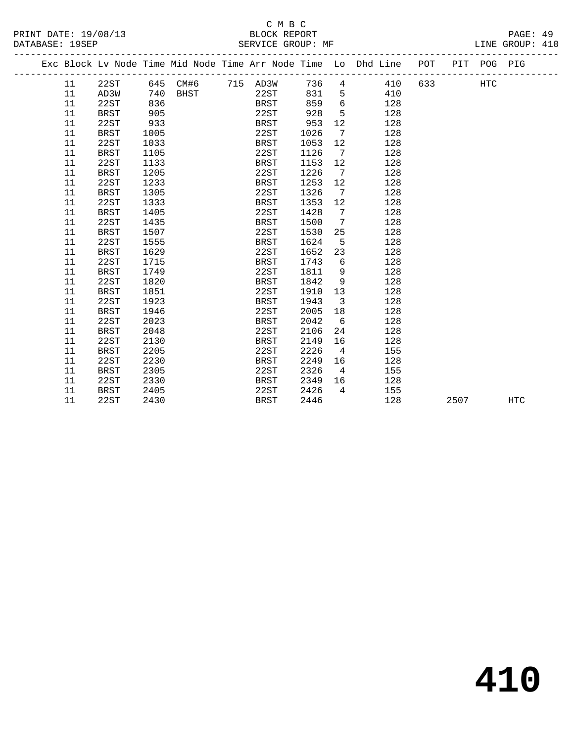|  |    |             |      |          |             |      |                              | Exc Block Lv Node Time Mid Node Time Arr Node Time Lo Dhd Line POT |     |      | PIT POG PIG |            |
|--|----|-------------|------|----------|-------------|------|------------------------------|--------------------------------------------------------------------|-----|------|-------------|------------|
|  | 11 | 22ST        |      | 645 CM#6 | 715 AD3W    | 736  | 4                            | 410                                                                | 633 |      | HTC         |            |
|  | 11 | AD3W        | 740  | BHST     | 22ST        | 831  | 5                            | 410                                                                |     |      |             |            |
|  | 11 | 22ST        | 836  |          | <b>BRST</b> | 859  | 6                            | 128                                                                |     |      |             |            |
|  | 11 | <b>BRST</b> | 905  |          | 22ST        | 928  | 5                            | 128                                                                |     |      |             |            |
|  | 11 | 22ST        | 933  |          | <b>BRST</b> | 953  | 12                           | 128                                                                |     |      |             |            |
|  | 11 | <b>BRST</b> | 1005 |          | 22ST        | 1026 | 7                            | 128                                                                |     |      |             |            |
|  | 11 | 22ST        | 1033 |          | BRST        | 1053 | 12                           | 128                                                                |     |      |             |            |
|  | 11 | <b>BRST</b> | 1105 |          | 22ST        | 1126 | 7                            | 128                                                                |     |      |             |            |
|  | 11 | 22ST        | 1133 |          | BRST        | 1153 | 12                           | 128                                                                |     |      |             |            |
|  | 11 | BRST        | 1205 |          | 22ST        | 1226 | $\overline{7}$               | 128                                                                |     |      |             |            |
|  | 11 | 22ST        | 1233 |          | <b>BRST</b> | 1253 | 12                           | 128                                                                |     |      |             |            |
|  | 11 | <b>BRST</b> | 1305 |          | 22ST        | 1326 | $7\phantom{.0}\phantom{.0}7$ | 128                                                                |     |      |             |            |
|  | 11 | 22ST        | 1333 |          | <b>BRST</b> | 1353 | 12                           | 128                                                                |     |      |             |            |
|  | 11 | BRST        | 1405 |          | 22ST        | 1428 | 7                            | 128                                                                |     |      |             |            |
|  | 11 | 22ST        | 1435 |          | <b>BRST</b> | 1500 | 7                            | 128                                                                |     |      |             |            |
|  | 11 | <b>BRST</b> | 1507 |          | 22ST        | 1530 | 25                           | 128                                                                |     |      |             |            |
|  | 11 | 22ST        | 1555 |          | <b>BRST</b> | 1624 | 5                            | 128                                                                |     |      |             |            |
|  | 11 | <b>BRST</b> | 1629 |          | 22ST        | 1652 | 23                           | 128                                                                |     |      |             |            |
|  | 11 | 22ST        | 1715 |          | <b>BRST</b> | 1743 | 6                            | 128                                                                |     |      |             |            |
|  | 11 | <b>BRST</b> | 1749 |          | 22ST        | 1811 | 9                            | 128                                                                |     |      |             |            |
|  | 11 | 22ST        | 1820 |          | <b>BRST</b> | 1842 | 9                            | 128                                                                |     |      |             |            |
|  | 11 | <b>BRST</b> | 1851 |          | 22ST        | 1910 | 13                           | 128                                                                |     |      |             |            |
|  | 11 | 22ST        | 1923 |          | <b>BRST</b> | 1943 | 3                            | 128                                                                |     |      |             |            |
|  | 11 | <b>BRST</b> | 1946 |          | 22ST        | 2005 | 18                           | 128                                                                |     |      |             |            |
|  | 11 | 22ST        | 2023 |          | BRST        | 2042 | 6                            | 128                                                                |     |      |             |            |
|  | 11 | <b>BRST</b> | 2048 |          | 22ST        | 2106 | 24                           | 128                                                                |     |      |             |            |
|  | 11 | 22ST        | 2130 |          | <b>BRST</b> | 2149 | 16                           | 128                                                                |     |      |             |            |
|  | 11 | <b>BRST</b> | 2205 |          | 22ST        | 2226 | $\overline{4}$               | 155                                                                |     |      |             |            |
|  | 11 | 22ST        | 2230 |          | <b>BRST</b> | 2249 | 16                           | 128                                                                |     |      |             |            |
|  | 11 | <b>BRST</b> | 2305 |          | 22ST        | 2326 | $\overline{4}$               | 155                                                                |     |      |             |            |
|  | 11 | 22ST        | 2330 |          | <b>BRST</b> | 2349 | 16                           | 128                                                                |     |      |             |            |
|  | 11 | BRST        | 2405 |          | 22ST        | 2426 | $\overline{4}$               | 155                                                                |     |      |             |            |
|  | 11 | 22ST        | 2430 |          | <b>BRST</b> | 2446 |                              | 128                                                                |     | 2507 |             | <b>HTC</b> |
|  |    |             |      |          |             |      |                              |                                                                    |     |      |             |            |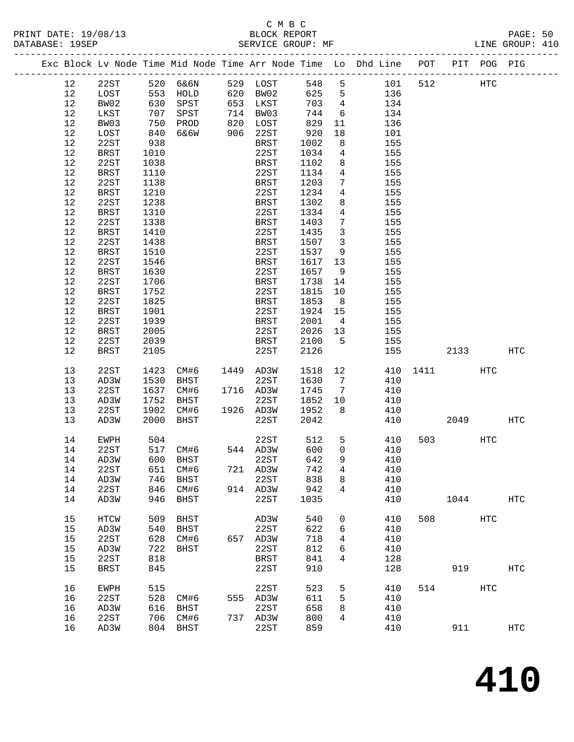|  |         |             |                   |                                  |                                  |       |                         | Exc Block Lv Node Time Mid Node Time Arr Node Time Lo Dhd Line POT PIT POG PIG |          |                |     |                   |
|--|---------|-------------|-------------------|----------------------------------|----------------------------------|-------|-------------------------|--------------------------------------------------------------------------------|----------|----------------|-----|-------------------|
|  | 12      | 22ST        |                   |                                  |                                  | 548 5 |                         | 101                                                                            | 512      | HTC            |     |                   |
|  | 12      | LOST        |                   |                                  |                                  | 625   | $5^{\circ}$             | 136                                                                            |          |                |     |                   |
|  | 12      | BW02        |                   | 630 SPST                         | 653 LKST                         | 703   | $\overline{4}$          | 134                                                                            |          |                |     |                   |
|  | 12      | LKST        | 707               | SPST                             |                                  | 744   | 6                       | 134                                                                            |          |                |     |                   |
|  | 12      | BW03        |                   | PROD                             | 714 BW03<br>820 LOST<br>906 22ST | 829   | 11                      | 136                                                                            |          |                |     |                   |
|  | 12      | LOST        | 750<br>840<br>840 | 6&6W                             | 906 22ST                         | 920   | 18                      | 101                                                                            |          |                |     |                   |
|  | 12      | 22ST        | 938               |                                  | BRST                             | 1002  | 8 <sup>8</sup>          | 155                                                                            |          |                |     |                   |
|  | 12      | BRST        |                   |                                  | 22ST                             | 1034  | $\overline{4}$          | 155                                                                            |          |                |     |                   |
|  |         |             | 1010              |                                  |                                  | 1102  |                         |                                                                                |          |                |     |                   |
|  | 12      | 22ST        | 1038              |                                  | BRST                             |       | 8                       | 155                                                                            |          |                |     |                   |
|  | 12      | BRST        | 1110              |                                  | 22ST                             | 1134  | $4\overline{4}$         | 155                                                                            |          |                |     |                   |
|  | 12      | 22ST        | 1138              |                                  | BRST                             | 1203  | 7                       | 155                                                                            |          |                |     |                   |
|  | 12      | BRST        | 1210              |                                  | 22ST                             | 1234  | $4\overline{ }$         | 155                                                                            |          |                |     |                   |
|  | $12$    | 22ST        | 1238              |                                  | BRST                             | 1302  | 8                       | 155                                                                            |          |                |     |                   |
|  | 12      | BRST        | 1310              |                                  | 22ST                             | 1334  | $\overline{4}$          | 155                                                                            |          |                |     |                   |
|  | 12      | 22ST        | 1338              |                                  | BRST                             | 1403  | 7                       | 155                                                                            |          |                |     |                   |
|  | 12      | <b>BRST</b> | 1410              |                                  | 22ST                             | 1435  | $\overline{3}$          | 155                                                                            |          |                |     |                   |
|  | 12      | 22ST        | 1438              |                                  | BRST                             | 1507  | $\overline{\mathbf{3}}$ | 155                                                                            |          |                |     |                   |
|  | 12      | BRST        | 1510              |                                  | 22ST                             | 1537  | 9                       | 155                                                                            |          |                |     |                   |
|  | 12      | 22ST        | 1546              |                                  | BRST                             | 1617  | 13                      | 155                                                                            |          |                |     |                   |
|  | $12$    | BRST        | 1630              |                                  | 22ST                             | 1657  | 9                       | 155                                                                            |          |                |     |                   |
|  | 12      | 22ST        | 1706              |                                  | BRST                             | 1738  | 14                      | 155                                                                            |          |                |     |                   |
|  | 12      | BRST        | 1752              |                                  | 22ST                             | 1815  | 10                      | 155                                                                            |          |                |     |                   |
|  | 12      | 22ST        | 1825              |                                  | BRST                             | 1853  | 8 <sup>8</sup>          | 155                                                                            |          |                |     |                   |
|  | $12$    | BRST        | 1901              |                                  | 22ST                             | 1924  | 15                      | 155                                                                            |          |                |     |                   |
|  | 12      | 22ST        | 1939              |                                  | BRST                             | 2001  | $\overline{4}$          | 155                                                                            |          |                |     |                   |
|  | 12      | BRST        | 2005              |                                  | 22ST                             | 2026  | 13                      | 155                                                                            |          |                |     |                   |
|  | 12      | 22ST        | 2039              |                                  | BRST                             | 2100  | $5^{\circ}$             | 155                                                                            |          |                |     |                   |
|  | 12      | BRST        | 2105              |                                  | 22ST                             | 2126  |                         | 155                                                                            |          | 2133           |     | HTC               |
|  |         |             |                   |                                  |                                  |       |                         |                                                                                |          |                |     |                   |
|  | 13      | 22ST        | 1423              | CM#6                             | 1449 AD3W                        | 1518  | 12                      |                                                                                | 410 1411 |                | HTC |                   |
|  | 13      | AD3W        | 1530              | BHST                             | 22ST                             | 1630  | $7\overline{ }$         | 410                                                                            |          |                |     |                   |
|  | 13      | 22ST        | 1637              | CM#6                             | 1716 AD3W                        | 1745  | $7\overline{ }$         | 410                                                                            |          |                |     |                   |
|  | 13      | AD3W        | 1752              | BHST                             | 22ST                             | 1852  | 10                      | 410                                                                            |          |                |     |                   |
|  | 13      | 22ST        | 1902              | CM#6                             | 1926 AD3W                        | 1952  | 8                       | 410                                                                            |          |                |     |                   |
|  | 13      | AD3W        | 2000              | BHST                             | 22ST                             | 2042  |                         | 410                                                                            |          | 2049           |     | HTC               |
|  | 14      | EWPH        | 504               |                                  | 22ST                             | 512   | 5                       | 410                                                                            |          | 503 and $\sim$ | HTC |                   |
|  | 14      | 22ST        |                   |                                  | 544 AD3W                         | 600   | $\overline{0}$          | 410                                                                            |          |                |     |                   |
|  | 14      | AD3W        |                   | 517 CM#6<br>600 BHST<br>600 BHST | 22ST                             | 642   | 9                       | 410                                                                            |          |                |     |                   |
|  | 14 22ST |             |                   | 651 CM#6                         | 721 AD3W                         | 742 4 |                         | 410                                                                            |          |                |     |                   |
|  | 14      | AD3W        | 746               | BHST                             | 22ST                             | 838   | 8                       | 410                                                                            |          |                |     |                   |
|  | 14      | 22ST        | 846               | CM#6                             | 914 AD3W                         | 942   | $\overline{4}$          | 410                                                                            |          |                |     |                   |
|  | 14      | AD3W        | 946               | BHST                             | 22ST                             | 1035  |                         | 410                                                                            |          | 1044           |     | HTC               |
|  |         |             |                   |                                  |                                  |       |                         |                                                                                |          |                |     |                   |
|  | 15      | HTCW        | 509               | BHST                             | AD3W                             | 540   | 0                       | 410                                                                            | 508      |                | HTC |                   |
|  | 15      | AD3W        | 540               | BHST                             | 22ST                             | 622   | 6                       | 410                                                                            |          |                |     |                   |
|  | 15      | 22ST        | 628               | CM#6                             | 657 AD3W                         | 718   | 4                       | 410                                                                            |          |                |     |                   |
|  | 15      | AD3W        | 722               | BHST                             | 22ST                             | 812   | 6                       | 410                                                                            |          |                |     |                   |
|  | 15      | 22ST        | 818               |                                  | BRST                             | 841   | 4                       | 128                                                                            |          |                |     |                   |
|  | 15      | <b>BRST</b> | 845               |                                  | 22ST                             | 910   |                         | 128                                                                            |          | 919            |     | <b>HTC</b>        |
|  |         |             |                   |                                  |                                  |       |                         |                                                                                |          |                |     |                   |
|  | 16      | <b>EWPH</b> | 515               |                                  | 22ST                             | 523   | 5                       | 410                                                                            | 514      |                | HTC |                   |
|  | 16      | 22ST        | 528               | CM#6                             | 555 AD3W                         | 611   | 5                       | 410                                                                            |          |                |     |                   |
|  | 16      | AD3W        | 616               | BHST                             | 22ST                             | 658   | 8                       | 410                                                                            |          |                |     |                   |
|  | 16      | 22ST        | 706               | CM#6                             | 737 AD3W                         | 800   | 4                       | 410                                                                            |          |                |     |                   |
|  | 16      | AD3W        |                   | 804 BHST                         | 22ST                             | 859   |                         | 410                                                                            |          | 911            |     | $_{\mathrm{HTC}}$ |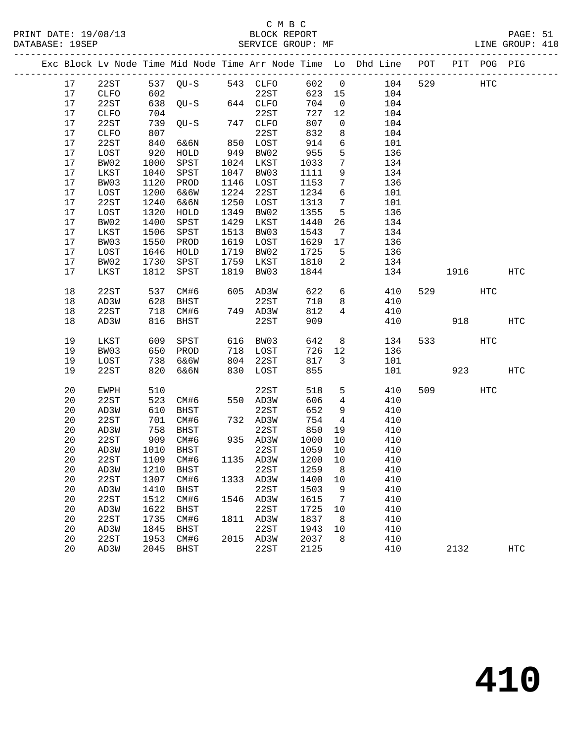PRINT DATE: 19/08/13 BLOCK REPORT PAGE: 51 DATABASE: 19SEP

# C M B C<br>BLOCK REPORT

| nurunnu . |             |            |                                      |      |                      |                        |                                   |                                                                                                         |      |            |                   |
|-----------|-------------|------------|--------------------------------------|------|----------------------|------------------------|-----------------------------------|---------------------------------------------------------------------------------------------------------|------|------------|-------------------|
|           |             |            |                                      |      |                      |                        |                                   | ---------------------<br>Exc Block Lv Node Time Mid Node Time Arr Node Time Lo Dhd Line POT PIT POG PIG |      |            |                   |
| 17        | 22ST        |            | 537 QU-S 543 CLFO                    |      |                      |                        |                                   | 602 0 104 529                                                                                           |      | HTC        |                   |
| 17        | CLFO        |            |                                      |      | 22ST                 | 623 15                 |                                   | 104                                                                                                     |      |            |                   |
| 17        | 22ST        |            | 602 22ST<br>638 QU-S 644 CLFO<br>704 |      |                      | 704                    | $\overline{0}$                    | 104                                                                                                     |      |            |                   |
| 17        | <b>CLFO</b> | 704        |                                      |      | 22ST                 | 727                    | 12                                | 104                                                                                                     |      |            |                   |
| 17        | 22ST        | 739        | $QU-S$ 747 $CLFO$                    |      |                      | 807                    | $\overline{0}$                    | 104                                                                                                     |      |            |                   |
| 17        | CLFO        | 807        |                                      |      | 22ST                 | 832                    | 8                                 | 104                                                                                                     |      |            |                   |
| 17        | 22ST        |            | 6&6N                                 |      |                      |                        | $6\overline{6}$                   | 101                                                                                                     |      |            |                   |
| 17        | LOST        | 840<br>920 | HOLD                                 |      | 850 LOST<br>949 BW02 |                        | $5\overline{)}$                   | 136                                                                                                     |      |            |                   |
| 17        | BW02        | 1000       | SPST                                 |      | 1024 LKST            | $955$<br>$955$<br>1033 | $7\overline{ }$                   | 134                                                                                                     |      |            |                   |
| 17        | LKST        | 1040       | SPST                                 |      | 1047 BW03            | 1111                   | 9                                 | 134                                                                                                     |      |            |                   |
| 17        | BW03        | 1120       | PROD                                 |      | 1146 LOST            | 1153                   | $7\overline{ }$                   | 136                                                                                                     |      |            |                   |
| 17        | LOST        | 1200       | 6&6W                                 | 1224 | 22ST                 | 1234                   | $6\overline{6}$                   | 101                                                                                                     |      |            |                   |
| 17        | 22ST        | 1240       | 6&6N                                 | 1250 | LOST                 | 1313                   | $7\overline{ }$                   | 101                                                                                                     |      |            |                   |
| 17        | LOST        | 1320       | HOLD                                 | 1349 | BW02                 | 1355                   | $5^{\circ}$                       | 136                                                                                                     |      |            |                   |
| 17        | BW02        | 1400       | SPST                                 | 1429 | LKST                 | 1440                   | 26                                | 134                                                                                                     |      |            |                   |
| 17        | LKST        | 1506       | SPST                                 | 1513 | BW03                 | 1543                   | $\overline{7}$                    | 134                                                                                                     |      |            |                   |
| 17        | BW03        | 1550       | PROD                                 | 1619 | LOST                 | 1629                   | 17                                | 136                                                                                                     |      |            |                   |
| 17        | LOST        | 1646       | HOLD                                 | 1719 | BW02                 | 1725                   | $-5$                              | 136                                                                                                     |      |            |                   |
| 17        | BW02        | 1730       | SPST                                 | 1759 | LKST                 | 1810                   | $\overline{2}$                    | 134                                                                                                     |      |            |                   |
| 17        | LKST        | 1812       | SPST                                 | 1819 | BW03                 | 1844                   |                                   | 134                                                                                                     | 1916 |            | $_{\mathrm{HTC}}$ |
|           |             |            |                                      |      |                      |                        |                                   |                                                                                                         |      |            |                   |
| 18        | 22ST        | 537        | CM#6                                 |      | 605 AD3W             | 622                    |                                   | $6\overline{6}$<br>410                                                                                  | 529  | <b>HTC</b> |                   |
| 18        | AD3W        | 628        | BHST                                 |      | 22ST                 | 710                    | 8                                 | 410                                                                                                     |      |            |                   |
| 18        | 22ST        | 718        | CM#6                                 |      | 749 AD3W             | 812                    | $4\overline{ }$                   | 410                                                                                                     |      |            |                   |
| 18        | AD3W        | 816        | BHST                                 |      | 22ST                 | 909                    |                                   | 410                                                                                                     | 918  |            | HTC               |
|           |             |            |                                      |      |                      |                        |                                   |                                                                                                         |      |            |                   |
| 19        | LKST        | 609        | SPST                                 |      | 616 BW03             | 642                    | 8                                 | 134                                                                                                     | 533  | <b>HTC</b> |                   |
| 19        | BW03        | 650        | PROD                                 |      | 718 LOST             | 726                    | 12                                | 136                                                                                                     |      |            |                   |
| 19        | LOST        | 738        | 6&6W                                 |      | 804 22ST             | 817                    | $\mathbf{3}$                      | 101                                                                                                     |      |            |                   |
| 19        | 22ST        | 820        | 6&6N                                 |      | 830 LOST             | 855                    |                                   | 101                                                                                                     | 923  |            | HTC               |
|           |             |            |                                      |      |                      |                        |                                   |                                                                                                         |      |            |                   |
| 20        | EWPH        | 510<br>523 |                                      |      | 22ST                 | 518                    | 5 <sup>5</sup><br>$4\overline{4}$ | 410                                                                                                     | 509  | <b>HTC</b> |                   |
| 20        | 22ST        |            | CM#6                                 |      | 550 AD3W             | 606                    |                                   | 410                                                                                                     |      |            |                   |
| 20        | AD3W        | 610        | BHST                                 |      | 22ST                 | 652                    | 9                                 | 410                                                                                                     |      |            |                   |
| 20        | 22ST        | 701        | CM#6                                 |      | 732 AD3W             | 754                    | 4                                 | 410                                                                                                     |      |            |                   |
| 20        | AD3W        | 758        | BHST                                 |      | 22ST                 | 850                    | 19                                | 410                                                                                                     |      |            |                   |
| 20        | 22ST        | 909        | CM#6                                 |      | 935 AD3W             | 1000                   | 10                                | 410                                                                                                     |      |            |                   |
| 20        | AD3W        | 1010       | BHST                                 |      | 22ST                 | 1059                   | 10                                | 410                                                                                                     |      |            |                   |
| 20        | 22ST        | 1109       | CM#6                                 |      | 1135 AD3W            | 1200                   | 10                                | 410                                                                                                     |      |            |                   |
| 20        | AD3W        | 1210       | <b>BHST</b>                          |      | 22ST                 | 1259                   | 8 <sup>8</sup>                    | 410                                                                                                     |      |            |                   |
| 20        | 22ST        | 1307       | CM#6                                 |      | 1333 AD3W            | 1400                   | 10                                | 410                                                                                                     |      |            |                   |
| 20        | AD3W        | 1410       | <b>BHST</b>                          |      | 22ST                 | 1503                   | 9                                 | 410                                                                                                     |      |            |                   |
| 20        | 22ST        | 1512       | CM#6                                 |      | 1546 AD3W            | 1615                   | $7\overline{ }$                   | 410                                                                                                     |      |            |                   |
| 20        | AD3W        |            | 1622 BHST                            |      | 22ST                 | 1725 10                |                                   | 410                                                                                                     |      |            |                   |
| 20        | 22ST        |            | 1735 CM#6                            |      | 1811 AD3W            | 1837                   | 8                                 | 410                                                                                                     |      |            |                   |

 20 AD3W 1845 BHST 22ST 1943 10 410 20 22ST 1953 CM#6 2015 AD3W 2037 8 410

20 AD3W 2045 BHST 22ST 2125 410 2132 HTC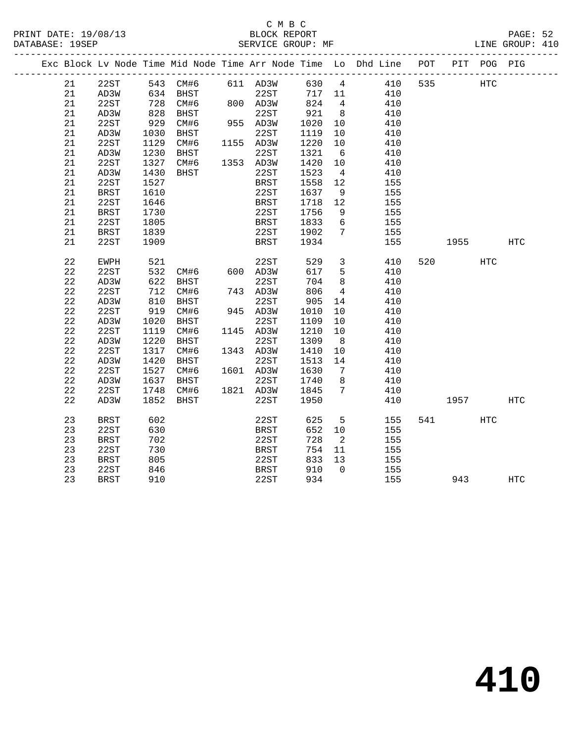#### C M B C<br>BLOCK REPORT PRINT DATE: 19/08/13 BLOCK REPORT PAGE: 52 DATABASE: 19SEP SERVICE GROUP: MF LINE GROUP: 410

|  |    |             |      |                      |                 |             |        |                 | Exc Block Lv Node Time Mid Node Time Arr Node Time Lo Dhd Line POT PIT POG PIG |     |         |            |            |
|--|----|-------------|------|----------------------|-----------------|-------------|--------|-----------------|--------------------------------------------------------------------------------|-----|---------|------------|------------|
|  | 21 | 22ST        |      | 543 CM#6             |                 | 611 AD3W    |        |                 | 630 4<br>410                                                                   | 535 |         | <b>HTC</b> |            |
|  | 21 | AD3W        |      | 634 BHST<br>728 CM#6 |                 | 22ST        | 717 11 |                 | 410                                                                            |     |         |            |            |
|  | 21 | 22ST        |      |                      | 80 <sup>2</sup> | 800 AD3W    | 824    | $4\overline{4}$ | 410                                                                            |     |         |            |            |
|  | 21 | AD3W        | 828  | BHST                 |                 | 22ST        | 921    | 8 <sup>8</sup>  | 410                                                                            |     |         |            |            |
|  | 21 | 22ST        | 929  | CM#6                 |                 | 955 AD3W    | 1020   | 10              | 410                                                                            |     |         |            |            |
|  | 21 | AD3W        | 1030 | BHST                 |                 | 22ST        | 1119   | 10              | 410                                                                            |     |         |            |            |
|  | 21 | 22ST        | 1129 | CM#6                 |                 | 1155 AD3W   | 1220   | 10              | 410                                                                            |     |         |            |            |
|  | 21 | AD3W        | 1230 | BHST                 |                 | 22ST        | 1321   | 6               | 410                                                                            |     |         |            |            |
|  | 21 | 22ST        | 1327 | CM#6                 |                 | 1353 AD3W   | 1420   | 10              | 410                                                                            |     |         |            |            |
|  | 21 | AD3W        | 1430 | BHST                 |                 | 22ST        | 1523   | $\overline{4}$  | 410                                                                            |     |         |            |            |
|  | 21 | 22ST        | 1527 |                      |                 | <b>BRST</b> | 1558   | 12              | 155                                                                            |     |         |            |            |
|  | 21 | <b>BRST</b> | 1610 |                      |                 | 22ST        | 1637   | 9               | 155                                                                            |     |         |            |            |
|  | 21 | 22ST        | 1646 |                      |                 | <b>BRST</b> | 1718   | 12              | 155                                                                            |     |         |            |            |
|  | 21 | <b>BRST</b> | 1730 |                      |                 | 22ST        | 1756   | 9               | 155                                                                            |     |         |            |            |
|  | 21 | 22ST        | 1805 |                      |                 | <b>BRST</b> | 1833   | 6               | 155                                                                            |     |         |            |            |
|  | 21 | BRST        | 1839 |                      |                 | 22ST        | 1902   | $7\phantom{.0}$ | 155                                                                            |     |         |            |            |
|  | 21 | 22ST        | 1909 |                      |                 | BRST        | 1934   |                 | 155                                                                            |     | 1955    |            | HTC        |
|  | 22 | EWPH        | 521  |                      |                 | 22ST        | 529    | $\mathbf{3}$    | 410                                                                            |     | 520 320 | HTC        |            |
|  | 22 | 22ST        | 532  | CM#6                 |                 | 600 AD3W    | 617    | 5               | 410                                                                            |     |         |            |            |
|  | 22 | AD3W        | 622  | BHST                 |                 | 22ST        | 704    | 8               | 410                                                                            |     |         |            |            |
|  | 22 | 22ST        | 712  | CM#6                 |                 | 743 AD3W    | 806    | $\overline{4}$  | 410                                                                            |     |         |            |            |
|  | 22 | AD3W        | 810  | BHST                 |                 | 22ST        | 905    | 14              | 410                                                                            |     |         |            |            |
|  | 22 | 22ST        | 919  | CM#6                 |                 | 945 AD3W    | 1010   | 10              | 410                                                                            |     |         |            |            |
|  | 22 | AD3W        | 1020 | BHST                 |                 | 22ST        | 1109   | 10              | 410                                                                            |     |         |            |            |
|  | 22 | 22ST        | 1119 | CM#6                 |                 | 1145 AD3W   | 1210   | 10              | 410                                                                            |     |         |            |            |
|  | 22 | AD3W        | 1220 | <b>BHST</b>          |                 | 22ST        | 1309   | 8               | 410                                                                            |     |         |            |            |
|  | 22 | 22ST        | 1317 | CM#6                 |                 | 1343 AD3W   | 1410   | 10              | 410                                                                            |     |         |            |            |
|  | 22 | AD3W        | 1420 | <b>BHST</b>          |                 | 22ST        | 1513   | 14              | 410                                                                            |     |         |            |            |
|  | 22 | 22ST        | 1527 | CM#6                 |                 | 1601 AD3W   | 1630   | $7\overline{ }$ | 410                                                                            |     |         |            |            |
|  | 22 | AD3W        | 1637 | BHST                 |                 | 22ST        | 1740   | 8               | 410                                                                            |     |         |            |            |
|  | 22 | 22ST        | 1748 | CM#6                 |                 | 1821 AD3W   | 1845   | $7\phantom{.0}$ | 410                                                                            |     |         |            |            |
|  | 22 | AD3W        | 1852 | BHST                 |                 | 22ST        | 1950   |                 | 410                                                                            |     | 1957    |            | <b>HTC</b> |
|  | 23 | BRST        | 602  |                      |                 | 22ST        | 625    | $5^{\circ}$     | 155                                                                            |     | 541 7   | HTC        |            |
|  | 23 | 22ST        | 630  |                      |                 | BRST        | 652    | 10              | 155                                                                            |     |         |            |            |
|  | 23 | <b>BRST</b> | 702  |                      |                 | 22ST        | 728    | $\overline{2}$  | 155                                                                            |     |         |            |            |
|  | 23 | 22ST        | 730  |                      |                 | <b>BRST</b> | 754    | 11              | 155                                                                            |     |         |            |            |
|  | 23 | <b>BRST</b> | 805  |                      |                 | 22ST        | 833    | 13              | 155                                                                            |     |         |            |            |
|  | 23 | 22ST        | 846  |                      |                 | <b>BRST</b> | 910    | $\bigcap$       | 155                                                                            |     |         |            |            |
|  | 23 | <b>BRST</b> | 910  |                      |                 | 22ST        | 934    |                 | 155                                                                            |     | 943     |            | <b>HTC</b> |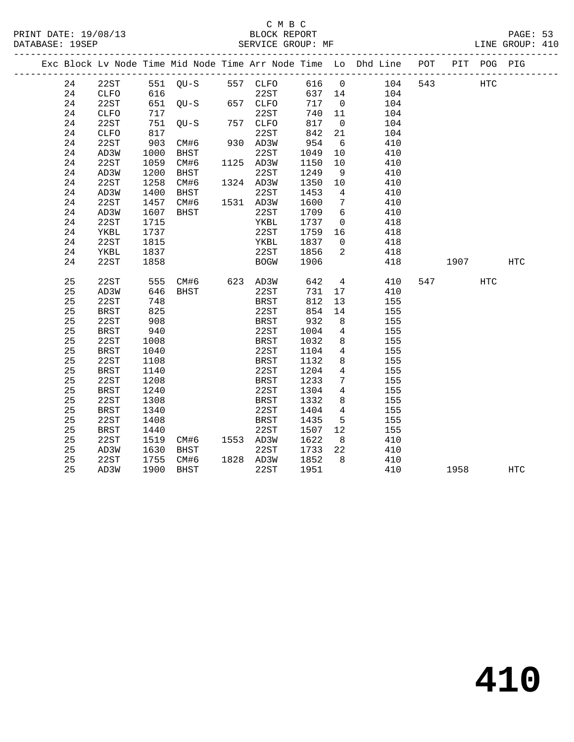|  |    |              |      |                   |             |        |                 | Exc Block Lv Node Time Mid Node Time Arr Node Time Lo Dhd Line POT |                    | PIT POG PIG |            |
|--|----|--------------|------|-------------------|-------------|--------|-----------------|--------------------------------------------------------------------|--------------------|-------------|------------|
|  | 24 | 22ST         |      | 551 QU-S 557 CLFO |             |        |                 | 616 0 104 543                                                      |                    | <b>HTC</b>  |            |
|  | 24 | CLFO         | 616  |                   | 22ST        | 637 14 |                 | 104                                                                |                    |             |            |
|  | 24 | 22ST         |      | $651$ QU-S        | 657 CLFO    | 717    | $\overline{0}$  | 104                                                                |                    |             |            |
|  | 24 | ${\tt CLFO}$ | 717  |                   | 22ST        | 740 11 |                 | 104                                                                |                    |             |            |
|  | 24 | 22ST         | 751  | OU-S              | 757 CLFO    | 817    | $\overline{0}$  | 104                                                                |                    |             |            |
|  | 24 | ${\tt CLFO}$ | 817  |                   | 22ST        | 842    | 21              | 104                                                                |                    |             |            |
|  | 24 | 22ST         | 903  | CM#6              | 930 AD3W    | 954    | 6               | 410                                                                |                    |             |            |
|  | 24 | AD3W         | 1000 | BHST              | 22ST        | 1049   | 10              | 410                                                                |                    |             |            |
|  | 24 | 22ST         | 1059 | CM#6              | 1125 AD3W   | 1150   | 10              | 410                                                                |                    |             |            |
|  | 24 | AD3W         | 1200 | BHST              | 22ST        | 1249   | 9               | 410                                                                |                    |             |            |
|  | 24 | 22ST         | 1258 | CM#6              | 1324 AD3W   | 1350   | 10              | 410                                                                |                    |             |            |
|  | 24 | AD3W         | 1400 | BHST              | 22ST        | 1453   | $\overline{4}$  | 410                                                                |                    |             |            |
|  | 24 | 22ST         | 1457 | CM#6              | 1531 AD3W   | 1600   | $\overline{7}$  | 410                                                                |                    |             |            |
|  | 24 | AD3W         | 1607 | BHST              | 22ST        | 1709   | 6               | 410                                                                |                    |             |            |
|  | 24 | 22ST         | 1715 |                   | YKBL        | 1737   | $\overline{0}$  | 418                                                                |                    |             |            |
|  | 24 | YKBL         | 1737 |                   | 22ST        | 1759   | 16              | 418                                                                |                    |             |            |
|  | 24 | 22ST         | 1815 |                   | YKBL        | 1837   | $\overline{0}$  | 418                                                                |                    |             |            |
|  | 24 | YKBL         | 1837 |                   | 22ST        | 1856   | 2               | 418                                                                |                    |             |            |
|  | 24 | 22ST         | 1858 |                   | <b>BOGW</b> | 1906   |                 | 418                                                                | 1907 - 1907 - 1910 |             | <b>HTC</b> |
|  |    |              |      |                   |             |        |                 |                                                                    |                    |             |            |
|  | 25 | 22ST         | 555  | CM#6 623 AD3W     |             | 642    |                 | $4\overline{ }$<br>410                                             | 547                | HTC         |            |
|  | 25 | AD3W         | 646  | BHST              | 22ST        | 731    | 17              | 410                                                                |                    |             |            |
|  | 25 | 22ST         | 748  |                   | <b>BRST</b> | 812    | 13              | 155                                                                |                    |             |            |
|  | 25 | <b>BRST</b>  | 825  |                   | 22ST        | 854    | 14              | 155                                                                |                    |             |            |
|  | 25 | 22ST         | 908  |                   | BRST        | 932    | 8 <sup>8</sup>  | 155                                                                |                    |             |            |
|  | 25 | BRST         | 940  |                   | 22ST        | 1004   | $\overline{4}$  | 155                                                                |                    |             |            |
|  | 25 | 22ST         | 1008 |                   | <b>BRST</b> | 1032   | 8               | 155                                                                |                    |             |            |
|  | 25 | <b>BRST</b>  | 1040 |                   | 22ST        | 1104   | $4\overline{ }$ | 155                                                                |                    |             |            |
|  | 25 | 22ST         | 1108 |                   | <b>BRST</b> | 1132   | 8               | 155                                                                |                    |             |            |
|  | 25 | <b>BRST</b>  | 1140 |                   | 22ST        | 1204   | $\overline{4}$  | 155                                                                |                    |             |            |
|  | 25 | 22ST         | 1208 |                   | <b>BRST</b> | 1233   | $7\phantom{.0}$ | 155                                                                |                    |             |            |
|  | 25 | <b>BRST</b>  | 1240 |                   | 22ST        | 1304   | $\overline{4}$  | 155                                                                |                    |             |            |
|  | 25 | 22ST         | 1308 |                   | BRST        | 1332   | 8               | 155                                                                |                    |             |            |
|  | 25 | <b>BRST</b>  | 1340 |                   | 22ST        | 1404   | $\overline{4}$  | 155                                                                |                    |             |            |
|  | 25 | 22ST         | 1408 |                   | <b>BRST</b> | 1435   | 5               | 155                                                                |                    |             |            |
|  | 25 | <b>BRST</b>  | 1440 |                   | 22ST        | 1507   | 12              | 155                                                                |                    |             |            |
|  | 25 | 22ST         | 1519 | CM#6 1553 AD3W    |             | 1622   | 8 <sup>8</sup>  | 410                                                                |                    |             |            |
|  | 25 | AD3W         | 1630 | BHST              | 22ST        | 1733   | 22              | 410                                                                |                    |             |            |
|  | 25 | 22ST         | 1755 | CM#6              | 1828 AD3W   | 1852   | 8 <sup>8</sup>  | 410                                                                |                    |             |            |
|  | 25 | AD3W         | 1900 | BHST              | 22ST        | 1951   |                 | 410                                                                | 1958               |             | <b>HTC</b> |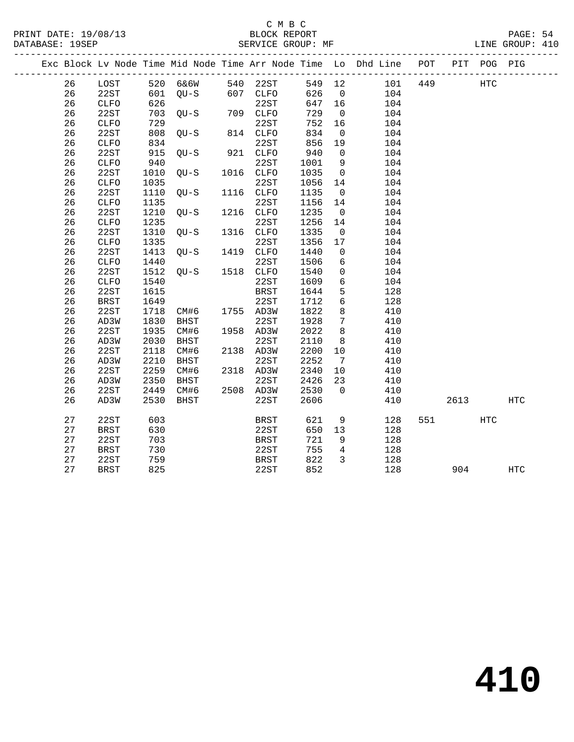|  |    |              |      |                       |             |         |                 | Exc Block Lv Node Time Mid Node Time Arr Node Time Lo Dhd Line POT |        | PIT POG PIG |            |  |
|--|----|--------------|------|-----------------------|-------------|---------|-----------------|--------------------------------------------------------------------|--------|-------------|------------|--|
|  | 26 | LOST         |      | 520 6&6W 540 22ST     |             |         |                 | 549 12 101 449                                                     |        | HTC         |            |  |
|  | 26 | 22ST         |      | $601$ QU-S $607$ CLFO |             | 626 0   |                 | 104                                                                |        |             |            |  |
|  | 26 | CLFO         | 626  |                       | 22ST        | 647 16  |                 | 104                                                                |        |             |            |  |
|  | 26 | 22ST         |      | 703 QU-S              | 709 CLFO    | 729     | $\overline{0}$  | 104                                                                |        |             |            |  |
|  | 26 | CLFO         | 729  |                       | 22ST        | 752     | 16              | 104                                                                |        |             |            |  |
|  | 26 | 22ST         | 808  | OU-S                  | 814 CLFO    | 834     | $\overline{0}$  | 104                                                                |        |             |            |  |
|  | 26 | <b>CLFO</b>  | 834  |                       | 22ST        | 856     | 19              | 104                                                                |        |             |            |  |
|  | 26 | 22ST         | 915  | QU-S                  | 921 CLFO    | 940     | $\overline{0}$  | 104                                                                |        |             |            |  |
|  | 26 | <b>CLFO</b>  | 940  |                       | 22ST        | 1001    | $\overline{9}$  | 104                                                                |        |             |            |  |
|  | 26 | 22ST         | 1010 | $QU-S$                | 1016 CLFO   | 1035    | $\overline{0}$  | 104                                                                |        |             |            |  |
|  | 26 | ${\tt CLFO}$ | 1035 |                       | 22ST        | 1056 14 |                 | 104                                                                |        |             |            |  |
|  | 26 | 22ST         | 1110 | $QU-S$                | 1116 CLFO   | 1135    | $\overline{0}$  | 104                                                                |        |             |            |  |
|  | 26 | <b>CLFO</b>  | 1135 |                       | 22ST        | 1156    | 14              | 104                                                                |        |             |            |  |
|  | 26 | 22ST         | 1210 | QU-S                  | 1216 CLFO   | 1235    | $\overline{0}$  | 104                                                                |        |             |            |  |
|  | 26 | <b>CLFO</b>  | 1235 |                       | 22ST        | 1256    | 14              | 104                                                                |        |             |            |  |
|  | 26 | 22ST         | 1310 | QU-S                  | 1316 CLFO   | 1335    | $\overline{0}$  | 104                                                                |        |             |            |  |
|  | 26 | <b>CLFO</b>  | 1335 |                       | 22ST        | 1356    | 17              | 104                                                                |        |             |            |  |
|  | 26 | 22ST         | 1413 | $QU-S$                | 1419 CLFO   | 1440    | $\overline{0}$  | 104                                                                |        |             |            |  |
|  | 26 | <b>CLFO</b>  | 1440 |                       | 22ST        | 1506    | 6               | 104                                                                |        |             |            |  |
|  | 26 | 22ST         | 1512 | $QU-S$                | 1518 CLFO   | 1540    | $\overline{0}$  | 104                                                                |        |             |            |  |
|  | 26 | ${\tt CLFO}$ | 1540 |                       | 22ST        | 1609    | $6\overline{6}$ | 104                                                                |        |             |            |  |
|  | 26 | 22ST         | 1615 |                       | <b>BRST</b> | 1644    | 5               | 128                                                                |        |             |            |  |
|  | 26 | <b>BRST</b>  | 1649 |                       | 22ST        | 1712    | 6               | 128                                                                |        |             |            |  |
|  | 26 | 22ST         | 1718 | CM#6                  | 1755 AD3W   | 1822    | 8               | 410                                                                |        |             |            |  |
|  | 26 | AD3W         | 1830 | BHST                  | 22ST        | 1928    | $\overline{7}$  | 410                                                                |        |             |            |  |
|  | 26 | 22ST         | 1935 | CM#6                  | 1958 AD3W   | 2022    | 8               | 410                                                                |        |             |            |  |
|  | 26 | AD3W         | 2030 | BHST                  | 22ST        | 2110    | 8               | 410                                                                |        |             |            |  |
|  | 26 | 22ST         | 2118 | CM#6                  | 2138 AD3W   | 2200    | 10              | 410                                                                |        |             |            |  |
|  | 26 | AD3W         | 2210 | BHST                  | 22ST        | 2252    | $7\overline{ }$ | 410                                                                |        |             |            |  |
|  | 26 | 22ST         | 2259 | CM#6                  | 2318 AD3W   | 2340    | 10              | 410                                                                |        |             |            |  |
|  | 26 | AD3W         | 2350 | BHST                  | 22ST        | 2426    | 23              | 410                                                                |        |             |            |  |
|  | 26 | 22ST         | 2449 | CM#6                  | 2508 AD3W   | 2530    | $\overline{0}$  | 410                                                                |        |             |            |  |
|  | 26 | AD3W         | 2530 | BHST                  | 22ST        | 2606    |                 | 410                                                                | 2613   |             | HTC        |  |
|  | 27 | 22ST         | 603  |                       | <b>BRST</b> | 621     | 9               | 128                                                                | 551 75 | HTC         |            |  |
|  | 27 | <b>BRST</b>  | 630  |                       | 22ST        | 650     | 13              | 128                                                                |        |             |            |  |
|  | 27 | 22ST         | 703  |                       | BRST        | 721     | 9               | 128                                                                |        |             |            |  |
|  | 27 | BRST         | 730  |                       | 22ST        | 755     | $\overline{4}$  | 128                                                                |        |             |            |  |
|  | 27 | 22ST         | 759  |                       | <b>BRST</b> | 822     | 3               | 128                                                                |        |             |            |  |
|  | 27 | <b>BRST</b>  | 825  |                       | 22ST        | 852     |                 | 128                                                                | 904    |             | <b>HTC</b> |  |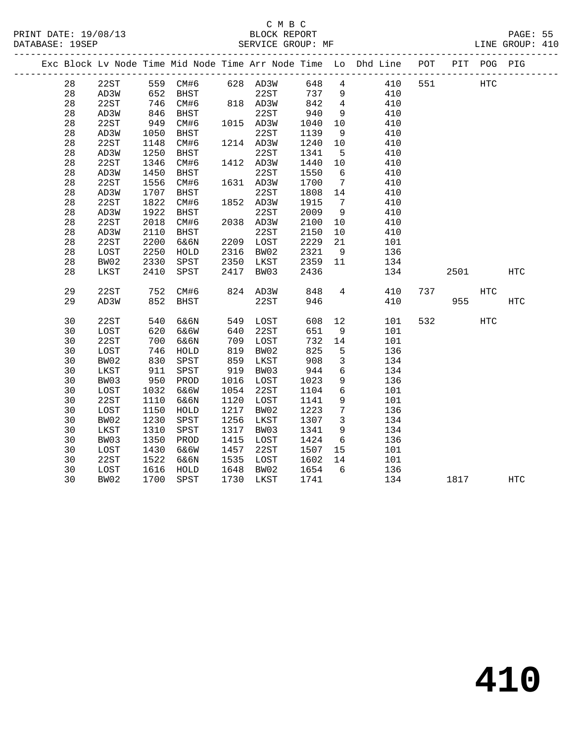## C M B C<br>BLOCK REPORT

LINE GROUP: 410

|  |          |              |              |                   |              |              |              |                         | Exc Block Lv Node Time Mid Node Time Arr Node Time Lo Dhd Line POT |     |      | PIT POG PIG  |              |
|--|----------|--------------|--------------|-------------------|--------------|--------------|--------------|-------------------------|--------------------------------------------------------------------|-----|------|--------------|--------------|
|  | 28       | 22ST         |              | 559 CM#6 628 AD3W |              |              | 648 4        |                         | 410                                                                | 551 |      | <b>HTC</b>   |              |
|  | 28       | AD3W         | 652          | BHST              |              | 22ST         | 737          | 9                       | 410                                                                |     |      |              |              |
|  | 28       | 22ST         | 746          | CM#6              |              | 818 AD3W     | 842          | $\overline{4}$          | 410                                                                |     |      |              |              |
|  | 28       | AD3W         | 846<br>949   | BHST              |              | 22ST         | 940          | 9                       | 410                                                                |     |      |              |              |
|  | 28       | 22ST         |              | CM#6              |              | 1015 AD3W    | 1040         | 10                      | 410                                                                |     |      |              |              |
|  | 28       | AD3W         | 1050         | BHST              |              | 22ST         | 1139         | 9                       | 410                                                                |     |      |              |              |
|  | 28       | 22ST         | 1148         | CM#6              |              | 1214 AD3W    | 1240         | 10                      | 410                                                                |     |      |              |              |
|  | 28       | AD3W         | 1250         | BHST              |              | 22ST         | 1341         | $5^{\circ}$             | 410                                                                |     |      |              |              |
|  | 28       | 22ST         | 1346         | CM#6              |              | 1412 AD3W    | 1440         | 10                      | 410                                                                |     |      |              |              |
|  | 28       | AD3W         | 1450         | BHST              |              | 22ST         | 1550         | 6                       | 410                                                                |     |      |              |              |
|  | 28       | 22ST         | 1556         | CM#6              |              | 1631 AD3W    | 1700         | $7\overline{ }$         | 410                                                                |     |      |              |              |
|  | 28       | AD3W         | 1707         | BHST              |              | 22ST         | 1808         | 14                      | 410                                                                |     |      |              |              |
|  | 28       | 22ST         | 1822         | CM#6              |              | 1852 AD3W    | 1915         | $\overline{7}$          | 410                                                                |     |      |              |              |
|  | 28       | AD3W         | 1922         | BHST              |              | 22ST         | 2009         | 9                       | 410                                                                |     |      |              |              |
|  | 28       | 22ST         | 2018         | CM#6              |              | 2038 AD3W    | 2100         | 10                      | 410                                                                |     |      |              |              |
|  | 28       | AD3W         | 2110         | <b>BHST</b>       |              | 22ST         | 2150         | 10                      | 410                                                                |     |      |              |              |
|  | 28       | 22ST         | 2200         | 6&6N              |              | 2209 LOST    | 2229         | 21                      | 101                                                                |     |      |              |              |
|  | 28       | LOST         | 2250         | HOLD              | 2316         | BW02         | 2321         | 9                       | 136                                                                |     |      |              |              |
|  | 28       | BW02         | 2330         | SPST              | 2350         | LKST         | 2359         | 11                      | 134                                                                |     |      |              |              |
|  | 28       | LKST         | 2410         | SPST              | 2417         | BW03         | 2436         |                         | 134                                                                |     | 2501 |              | <b>HTC</b>   |
|  |          |              |              |                   |              |              |              |                         |                                                                    |     |      |              |              |
|  | 29       | 22ST         | 752          | CM#6              |              | 824 AD3W     | 848          | $4\overline{ }$         | 410                                                                | 737 |      | $_{\rm HTC}$ |              |
|  | 29       | AD3W         | 852          | BHST              |              | 22ST         | 946          |                         | 410                                                                |     | 955  |              | $_{\rm HTC}$ |
|  |          |              |              |                   |              |              |              |                         |                                                                    |     |      |              |              |
|  | 30       | 22ST         | 540          | 6&6N              | 549          | LOST         | 608          | 12                      | 101                                                                | 532 |      | HTC          |              |
|  | 30       | LOST         | 620          | 6&6W              | 640          | 22ST         | 651          | 9                       | 101                                                                |     |      |              |              |
|  | 30       | 22ST         | 700          | 6&6N              | 709          | LOST         | 732          | 14                      | 101                                                                |     |      |              |              |
|  | 30       | LOST         | 746          | HOLD              | 819          | BW02         | 825          | $5\overline{5}$         | 136                                                                |     |      |              |              |
|  | 30       | BW02         | 830          | SPST              | 859          | LKST         | 908          | $\overline{3}$          | 134                                                                |     |      |              |              |
|  | 30       | LKST         | 911          | SPST              | 919          | BW03         | 944          | 6                       | 134                                                                |     |      |              |              |
|  | 30       | BW03         | 950          | PROD              | 1016<br>1054 | LOST         | 1023         | 9<br>$\epsilon$         | 136                                                                |     |      |              |              |
|  | 30       | LOST         | 1032         | 6&6W              |              | 22ST         | 1104         |                         | 101                                                                |     |      |              |              |
|  | 30       | 22ST         | 1110         | 6&6N              | 1120         | LOST         | 1141         | 9                       | 101                                                                |     |      |              |              |
|  | 30       | LOST         | 1150         | ${\tt HOLD}$      | 1217<br>1256 | BW02         | 1223         | $7\phantom{.0}$         | 136                                                                |     |      |              |              |
|  | 30       | BW02         | 1230         | SPST              | 1317         | LKST         | 1307         | $\overline{\mathbf{3}}$ | 134                                                                |     |      |              |              |
|  | 30       | LKST         | 1310         | SPST              |              | BW03         | 1341         | 9                       | 134                                                                |     |      |              |              |
|  | 30<br>30 | BW03         | 1350         | PROD<br>6&6W      | 1415<br>1457 | LOST<br>22ST | 1424<br>1507 | 6                       | 136                                                                |     |      |              |              |
|  | 30       | LOST<br>22ST | 1430<br>1522 | 6&6N              | 1535         | LOST         | 1602         | 15                      | 101<br>101                                                         |     |      |              |              |
|  |          |              |              |                   | 1648         |              |              | 14<br>6                 |                                                                    |     |      |              |              |
|  | 30<br>30 | LOST<br>BW02 | 1616<br>1700 | HOLD              | 1730         | BW02         | 1654<br>1741 |                         | 136                                                                |     |      |              |              |
|  |          |              |              | SPST              |              | LKST         |              |                         | 134                                                                |     | 1817 |              | <b>HTC</b>   |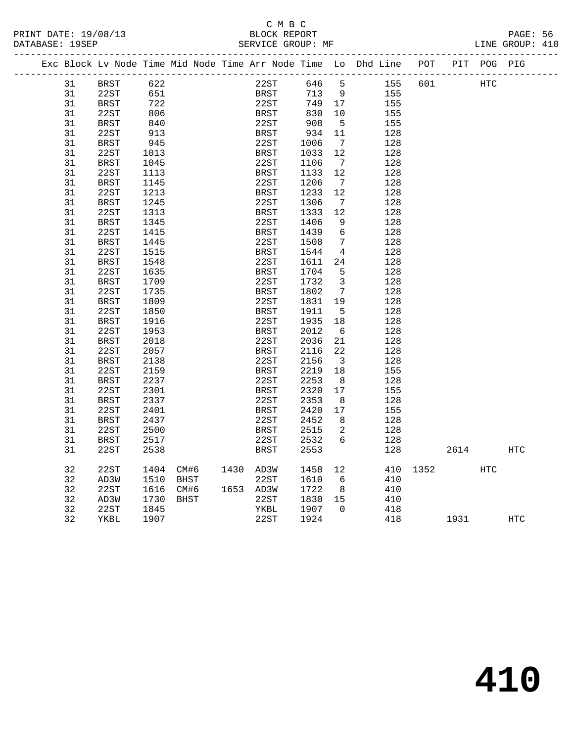# C M B C<br>BLOCK REPORT

| PRINT DATE: 19/08/13 | BLOCK REPORT                                                                   |  |                 | PAGE: 56 |
|----------------------|--------------------------------------------------------------------------------|--|-----------------|----------|
| DATABASE: 19SEP      | SERVICE GROUP: MF                                                              |  | LINE GROUP: 410 |          |
|                      | Fyd Rlock Ly Node Time Mid Node Time Arr Node Time Lo Dhd Line DOT DIT DOC DIC |  |                 |          |

|  | Exc Block Lv Node Time Mid Node Time Arr Node Time Lo Dhd Line |               |      |             |      |           |             |       |                              |     | POT  | PIT  | POG PIG |     |
|--|----------------------------------------------------------------|---------------|------|-------------|------|-----------|-------------|-------|------------------------------|-----|------|------|---------|-----|
|  | 31                                                             | BRST          | 622  |             |      |           | 22ST        | 646 5 |                              | 155 | 601  |      | HTC     |     |
|  | 31                                                             | 22ST          | 651  |             |      |           | BRST        | 713   | 9                            | 155 |      |      |         |     |
|  | 31                                                             | <b>BRST</b>   | 722  |             |      |           | 22ST        | 749   | 17                           | 155 |      |      |         |     |
|  | 31                                                             | 22ST          | 806  |             |      |           | <b>BRST</b> | 830   | 10                           | 155 |      |      |         |     |
|  | 31                                                             | <b>BRST</b>   | 840  |             |      |           | 22ST        | 908   | $-5$                         | 155 |      |      |         |     |
|  | 31                                                             | 22ST          | 913  |             |      |           | <b>BRST</b> | 934   | 11                           | 128 |      |      |         |     |
|  | 31                                                             | <b>BRST</b>   | 945  |             |      |           | 22ST        | 1006  | $7\overline{ }$              | 128 |      |      |         |     |
|  | 31                                                             | 22ST          | 1013 |             |      |           | <b>BRST</b> | 1033  | 12                           | 128 |      |      |         |     |
|  | 31                                                             | BRST          | 1045 |             |      |           | 22ST        | 1106  | $7\phantom{.0}\phantom{.0}7$ | 128 |      |      |         |     |
|  | 31                                                             | 22ST          | 1113 |             |      |           | <b>BRST</b> | 1133  | 12                           | 128 |      |      |         |     |
|  | 31                                                             | $_{\rm BRST}$ | 1145 |             |      |           | 22ST        | 1206  | $\overline{7}$               | 128 |      |      |         |     |
|  | 31                                                             | 22ST          | 1213 |             |      |           | <b>BRST</b> | 1233  | 12                           | 128 |      |      |         |     |
|  | 31                                                             | <b>BRST</b>   | 1245 |             |      |           | 22ST        | 1306  | $7\overline{ }$              | 128 |      |      |         |     |
|  | 31                                                             | 22ST          | 1313 |             |      |           | BRST        | 1333  | 12                           | 128 |      |      |         |     |
|  | 31                                                             | <b>BRST</b>   | 1345 |             |      |           | 22ST        | 1406  | 9                            | 128 |      |      |         |     |
|  | 31                                                             | 22ST          | 1415 |             |      |           | <b>BRST</b> | 1439  | 6                            | 128 |      |      |         |     |
|  | 31                                                             | BRST          | 1445 |             |      |           | 22ST        | 1508  | 7                            | 128 |      |      |         |     |
|  | 31                                                             | 22ST          | 1515 |             |      |           | <b>BRST</b> | 1544  | $\overline{4}$               | 128 |      |      |         |     |
|  | 31                                                             | BRST          | 1548 |             |      |           | 22ST        | 1611  | 24                           | 128 |      |      |         |     |
|  | 31                                                             | 22ST          | 1635 |             |      |           | <b>BRST</b> | 1704  | 5                            | 128 |      |      |         |     |
|  | 31                                                             | <b>BRST</b>   | 1709 |             |      |           | 22ST        | 1732  | $\overline{3}$               | 128 |      |      |         |     |
|  | 31                                                             | 22ST          | 1735 |             |      |           | <b>BRST</b> | 1802  | $7\phantom{.0}$              | 128 |      |      |         |     |
|  | 31                                                             | <b>BRST</b>   | 1809 |             |      |           | 22ST        | 1831  | 19                           | 128 |      |      |         |     |
|  | 31                                                             | 22ST          | 1850 |             |      |           | BRST        | 1911  | 5                            | 128 |      |      |         |     |
|  | 31                                                             | <b>BRST</b>   | 1916 |             |      |           | 22ST        | 1935  | 18                           | 128 |      |      |         |     |
|  | 31                                                             | 22ST          | 1953 |             |      |           | BRST        | 2012  | 6                            | 128 |      |      |         |     |
|  | 31                                                             | <b>BRST</b>   | 2018 |             |      |           | 22ST        | 2036  | 21                           | 128 |      |      |         |     |
|  | 31                                                             | 22ST          | 2057 |             |      |           | <b>BRST</b> | 2116  | 22                           | 128 |      |      |         |     |
|  | 31                                                             | <b>BRST</b>   | 2138 |             |      |           | 22ST        | 2156  | $\overline{\mathbf{3}}$      | 128 |      |      |         |     |
|  | 31                                                             | 22ST          | 2159 |             |      |           | <b>BRST</b> | 2219  | 18                           | 155 |      |      |         |     |
|  | 31                                                             | <b>BRST</b>   | 2237 |             |      |           | 22ST        | 2253  | 8                            | 128 |      |      |         |     |
|  | 31                                                             | 22ST          | 2301 |             |      |           | <b>BRST</b> | 2320  | 17                           | 155 |      |      |         |     |
|  | 31                                                             | <b>BRST</b>   | 2337 |             |      |           | 22ST        | 2353  | 8                            | 128 |      |      |         |     |
|  | 31                                                             | 22ST          | 2401 |             |      |           | <b>BRST</b> | 2420  | 17                           | 155 |      |      |         |     |
|  | 31                                                             | <b>BRST</b>   | 2437 |             |      |           | 22ST        | 2452  | 8                            | 128 |      |      |         |     |
|  | 31                                                             | 22ST          | 2500 |             |      |           | BRST        | 2515  | 2                            | 128 |      |      |         |     |
|  | 31                                                             | <b>BRST</b>   | 2517 |             |      |           | 22ST        | 2532  | 6                            | 128 |      |      |         |     |
|  | 31                                                             | 22ST          | 2538 |             |      |           | <b>BRST</b> | 2553  |                              | 128 |      | 2614 |         | HTC |
|  | 32                                                             | 22ST          | 1404 |             | CM#6 | 1430 AD3W |             | 1458  | 12                           | 410 | 1352 |      | HTC     |     |
|  | 32                                                             | AD3W          | 1510 | BHST        |      |           | 22ST        | 1610  | 6                            | 410 |      |      |         |     |
|  | 32                                                             | 22ST          | 1616 | CM#6        |      | 1653 AD3W |             | 1722  | 8 <sup>8</sup>               | 410 |      |      |         |     |
|  | 32                                                             | AD3W          | 1730 | <b>BHST</b> |      |           | 22ST        | 1830  | 15                           | 410 |      |      |         |     |
|  | 32                                                             | 22ST          | 1845 |             |      |           | YKBL        | 1907  | $\Omega$                     | 418 |      |      |         |     |
|  | 32                                                             | YKBL          | 1907 |             |      |           | 22ST        | 1924  |                              | 418 |      | 1931 |         | HTC |
|  |                                                                |               |      |             |      |           |             |       |                              |     |      |      |         |     |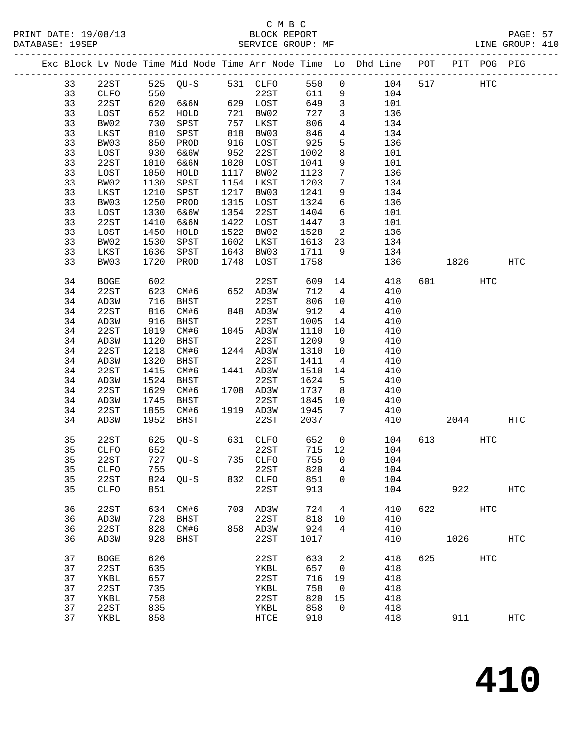|  |    |              |            |                    |      |           |              |                          | Exc Block Lv Node Time Mid Node Time Arr Node Time Lo Dhd Line POT PIT POG PIG |     |                        |     |            |
|--|----|--------------|------------|--------------------|------|-----------|--------------|--------------------------|--------------------------------------------------------------------------------|-----|------------------------|-----|------------|
|  | 33 | 22ST         |            | 525 QU-S 531 CLFO  |      |           | 550          | $\overline{0}$           | 104                                                                            | 517 | HTC                    |     |            |
|  | 33 | CLFO         | 550        |                    |      | 22ST      | 611          | 9                        | 104                                                                            |     |                        |     |            |
|  | 33 | 22ST         |            | 620 6&6N           |      | 629 LOST  | 649          | $\overline{\mathbf{3}}$  | 101                                                                            |     |                        |     |            |
|  | 33 | LOST         | 652        | HOLD               |      | 721 BW02  | 727          | $\mathbf{3}$             | 136                                                                            |     |                        |     |            |
|  | 33 | BW02         |            | SPST               |      | 757 LKST  | 806          | $\overline{4}$           | 134                                                                            |     |                        |     |            |
|  | 33 | LKST         | 730<br>810 | SPST               |      | 818 BW03  | 846          | $\overline{4}$           | 134                                                                            |     |                        |     |            |
|  | 33 | BW03         | 850        | PROD               |      | 916 LOST  | 925          | 5                        | 136                                                                            |     |                        |     |            |
|  | 33 | LOST         | 930        | 6&6W               |      | 952 22ST  | 1002         | 8                        | 101                                                                            |     |                        |     |            |
|  | 33 | 22ST         | 1010       | 6&6N               |      | 1020 LOST | 1041         | 9                        | 101                                                                            |     |                        |     |            |
|  | 33 | LOST         | 1050       | HOLD               |      | 1117 BW02 | 1123         | $7\overline{ }$          | 136                                                                            |     |                        |     |            |
|  | 33 | BW02         | 1130       | SPST               |      | 1154 LKST | 1203         | $7\phantom{.0}$          | 134                                                                            |     |                        |     |            |
|  |    |              |            |                    | 1217 |           |              |                          |                                                                                |     |                        |     |            |
|  | 33 | LKST         | 1210       | SPST               |      | BW03      | 1241         | 9                        | 134                                                                            |     |                        |     |            |
|  | 33 | BW03         | 1250       | PROD               |      | 1315 LOST | 1324         | $6\overline{6}$          | 136                                                                            |     |                        |     |            |
|  | 33 | LOST         | 1330       | 6&6W               |      | 1354 22ST | 1404         | 6                        | 101                                                                            |     |                        |     |            |
|  | 33 | 22ST         | 1410       | 6&6N               |      | 1422 LOST | 1447         | $\overline{\mathbf{3}}$  | 101                                                                            |     |                        |     |            |
|  | 33 | LOST         | 1450       | HOLD               |      | 1522 BW02 | 1528         | $\overline{\mathbf{c}}$  | 136                                                                            |     |                        |     |            |
|  | 33 | BW02         | 1530       | SPST               |      | 1602 LKST | 1613         | 23                       | 134                                                                            |     |                        |     |            |
|  | 33 | LKST         |            | 1636 SPST          |      | 1643 BW03 | 1613<br>1711 | 9                        | 134                                                                            |     |                        |     |            |
|  | 33 | BW03         |            | 1720 PROD          |      | 1748 LOST | 1758         |                          | 136                                                                            |     | 1826                   |     | HTC        |
|  | 34 | <b>BOGE</b>  |            | 602<br>623    CM#6 |      | 22ST      | 609          | 14                       | 418                                                                            |     | 601 000                | HTC |            |
|  | 34 | 22ST         |            |                    |      | 652 AD3W  | 712          | $4\overline{4}$          | 410                                                                            |     |                        |     |            |
|  | 34 | AD3W         |            | 716 BHST           |      | 22ST      | 806          | 10                       | 410                                                                            |     |                        |     |            |
|  | 34 | 22ST         | 816        | CM#6               |      | 848 AD3W  | 912          | $\overline{4}$           | 410                                                                            |     |                        |     |            |
|  | 34 | AD3W         | 916        | BHST               |      | 22ST      | 1005         | 14                       | 410                                                                            |     |                        |     |            |
|  | 34 | 22ST         |            | 1019 CM#6          |      | 1045 AD3W | 1110         | 10                       | 410                                                                            |     |                        |     |            |
|  | 34 | AD3W         | 1120       | BHST               |      | 22ST      | 1209         | 9                        | 410                                                                            |     |                        |     |            |
|  | 34 | 22ST         | 1218       | CM#6               |      | 1244 AD3W | 1310         | 10                       | 410                                                                            |     |                        |     |            |
|  | 34 | AD3W         | 1320       | BHST               |      | 22ST      | 1411         | $\overline{4}$           | 410                                                                            |     |                        |     |            |
|  | 34 | 22ST         | 1415       | CM#6               |      | 1441 AD3W | 1510         | 14                       | 410                                                                            |     |                        |     |            |
|  | 34 | AD3W         |            | 1524 BHST          |      | 22ST      | 1624         | $5^{\circ}$              | 410                                                                            |     |                        |     |            |
|  | 34 | 22ST         | 1629       | CM#6               |      | 1708 AD3W | 1737         | 8 <sup>8</sup>           | 410                                                                            |     |                        |     |            |
|  | 34 | AD3W         | 1745       | BHST               |      | 22ST      | 1845         | 10                       | 410                                                                            |     |                        |     |            |
|  | 34 | 22ST         | 1855       | CM#6               |      | 1919 AD3W | 1945         | 7                        | 410                                                                            |     |                        |     |            |
|  | 34 | AD3W         |            | 1952 BHST          |      | 22ST      | 2037         |                          | 410                                                                            |     | 2044                   |     | HTC        |
|  |    |              |            |                    |      |           |              |                          |                                                                                |     |                        |     |            |
|  | 35 | 22ST         | 625        | QU-S               |      | 631 CLFO  | 652          | $\overline{0}$           | 104                                                                            |     | 613 — 10               | HTC |            |
|  | 35 | CLFO         | 652        |                    |      | 22ST      | 715 12       |                          | 104                                                                            |     |                        |     |            |
|  | 35 | 22ST         |            | 727 QU-S           |      | 735 CLFO  | 755          | $\overline{0}$           | 104                                                                            |     |                        |     |            |
|  | 35 | CLFO         |            | 755 22ST           |      |           | 820 4        |                          | 104                                                                            |     |                        |     |            |
|  | 35 | 22ST         |            | 824 QU-S           |      | 832 CLFO  | 851          | 0                        | 104                                                                            |     |                        |     |            |
|  | 35 | ${\tt CLFO}$ | 851        |                    |      | 22ST      | 913          |                          | 104                                                                            |     | 922                    |     | <b>HTC</b> |
|  | 36 | 22ST         | 634        | CM#6               |      | 703 AD3W  | 724          | 4                        | 410                                                                            |     | 622 and $\overline{a}$ | HTC |            |
|  | 36 | AD3W         | 728        | BHST               |      | 22ST      | 818          | 10                       | 410                                                                            |     |                        |     |            |
|  | 36 | 22ST         |            | 828 CM#6           |      | 858 AD3W  | 924          | 4                        | 410                                                                            |     |                        |     |            |
|  | 36 | AD3W         |            | 928 BHST           |      | 22ST      | 1017         |                          | 410                                                                            |     | 1026                   |     | HTC        |
|  |    |              |            |                    |      |           |              |                          |                                                                                |     |                        |     |            |
|  | 37 | <b>BOGE</b>  | 626        |                    |      | 22ST      | 633          | 2                        | 418                                                                            |     | 625 000                | HTC |            |
|  | 37 | 22ST         | 635        |                    |      | YKBL      | 657          | $\overline{\phantom{0}}$ | 418                                                                            |     |                        |     |            |
|  | 37 | YKBL         | 657        |                    |      | 22ST      | 716          | 19                       | 418                                                                            |     |                        |     |            |
|  | 37 | 22ST         | 735        |                    |      | YKBL      | 758          | $\overline{0}$           | 418                                                                            |     |                        |     |            |
|  | 37 | YKBL         | 758        |                    |      | 22ST      | 820          | 15                       | 418                                                                            |     |                        |     |            |
|  | 37 | 22ST         | 835        |                    |      | YKBL      | 858          | $\Omega$                 | 418                                                                            |     |                        |     |            |
|  | 37 | YKBL         | 858        |                    |      | HTCE      | 910          |                          | 418                                                                            |     | 911                    |     | <b>HTC</b> |
|  |    |              |            |                    |      |           |              |                          |                                                                                |     |                        |     |            |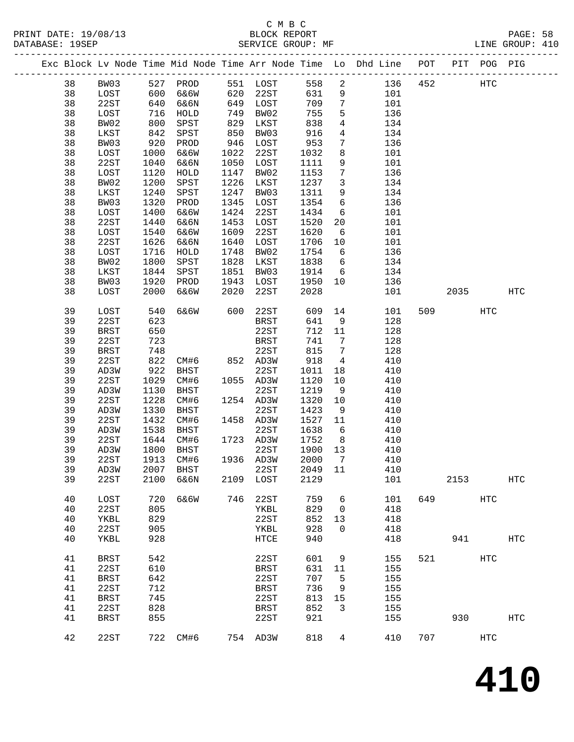### C M B C<br>BLOCK REPORT SERVICE GROUP: MF

|          |              |              |                |              |                   |              |                         | Exc Block Lv Node Time Mid Node Time Arr Node Time Lo Dhd Line POT |     |      | PIT POG PIG       |            |
|----------|--------------|--------------|----------------|--------------|-------------------|--------------|-------------------------|--------------------------------------------------------------------|-----|------|-------------------|------------|
| 38       | BW03         |              | 527 PROD       |              | 551 LOST          | 558          | $\overline{a}$          | 136                                                                | 452 |      | HTC               |            |
| 38       | LOST         | 600<br>640   | 6&6W           | 620          | 22ST              | 631          | 9                       | 101                                                                |     |      |                   |            |
| 38       | 22ST         | 640          | 6&6N           | 649          | LOST              | 709          | $7\phantom{.0}$         | 101                                                                |     |      |                   |            |
| 38       | LOST         | 716          | HOLD           | 749          | BW02              | 755          | 5                       | 136                                                                |     |      |                   |            |
| 38       | BW02         | 800          | SPST           | 829          | LKST              | 838          | $\overline{4}$          | 134                                                                |     |      |                   |            |
| 38       | LKST         | 842          | SPST           | 850          | BW03              | 916          | $\overline{4}$          | 134                                                                |     |      |                   |            |
| 38       | BW03         | 920          | PROD           | 946          | LOST              | 953          | $7\phantom{.}$          | 136                                                                |     |      |                   |            |
| 38       | LOST         | 1000         | 6&6W           | 1022         | 22ST              | 1032         | 8                       | 101                                                                |     |      |                   |            |
| 38       | 22ST         | 1040         | 6&6N           | 1050         | LOST              | 1111         | 9                       | 101                                                                |     |      |                   |            |
| 38       | LOST         | 1120         | HOLD           | 1147         | BW02              | 1153         | $7\phantom{.0}$         | 136                                                                |     |      |                   |            |
| 38<br>38 | BW02         | 1200         | SPST           | 1226<br>1247 | LKST              | 1237         | $\overline{\mathbf{3}}$ | 134                                                                |     |      |                   |            |
| 38       | LKST<br>BW03 | 1240<br>1320 | SPST<br>PROD   | 1345         | BW03<br>LOST      | 1311<br>1354 | 9<br>6                  | 134<br>136                                                         |     |      |                   |            |
| 38       | LOST         | 1400         | 6&6W           | 1424         | 22ST              | 1434         | $6\overline{6}$         | 101                                                                |     |      |                   |            |
| 38       | 22ST         | 1440         | 6&6N           | 1453         | LOST              | 1520         | 20                      | 101                                                                |     |      |                   |            |
| 38       | LOST         | 1540         | 6&6W           | 1609         | 22ST              | 1620         | 6                       | 101                                                                |     |      |                   |            |
| 38       | 22ST         | 1626         | 6&6N           | 1640         | LOST              | 1706         | 10                      | 101                                                                |     |      |                   |            |
| 38       | LOST         | 1716         | HOLD           | 1748         | BW02              | 1754         | 6                       | 136                                                                |     |      |                   |            |
| 38       | BW02         | 1800         | SPST           | 1828         | LKST              | 1838         | 6                       | 134                                                                |     |      |                   |            |
| 38       | LKST         | 1844         | SPST           | 1851         | BW03              | 1914         | 6                       | 134                                                                |     |      |                   |            |
| 38       | BW03         | 1920         | PROD           | 1943         | LOST              | 1950         | 10                      | 136                                                                |     |      |                   |            |
| 38       | LOST         | 2000         | 6&6W           | 2020         | 22ST              | 2028         |                         | 101                                                                |     | 2035 |                   | <b>HTC</b> |
|          |              |              |                |              |                   |              |                         |                                                                    |     |      |                   |            |
| 39       | LOST         | 540          | 6&6W           | 600          | 22ST              | 609          |                         | 14<br>101                                                          |     | 509  | HTC               |            |
| 39       | 22ST         | 623          |                |              | <b>BRST</b>       | 641          | 9                       | 128                                                                |     |      |                   |            |
| 39       | <b>BRST</b>  | 650          |                |              | 22ST              | 712          | 11                      | 128                                                                |     |      |                   |            |
| 39       | 22ST         | 723          |                |              | BRST              | 741          | 7                       | 128                                                                |     |      |                   |            |
| 39       | <b>BRST</b>  | 748          | CM#6 852 AD3W  |              | 22ST              | 815          | $7\phantom{.0}$         | 128                                                                |     |      |                   |            |
| 39       | 22ST         | 822<br>922   |                |              |                   | 918          | $\overline{4}$          | 410<br>410                                                         |     |      |                   |            |
| 39<br>39 | AD3W<br>22ST | 1029         | BHST<br>CM#6   |              | 22ST<br>1055 AD3W | 1011<br>1120 | 18<br>10                | 410                                                                |     |      |                   |            |
| 39       | AD3W         | 1130         | BHST           |              | 22ST              | 1219         | 9                       | 410                                                                |     |      |                   |            |
| 39       | 22ST         | 1228         | CM#6           |              | 1254 AD3W         | 1320         | 10                      | 410                                                                |     |      |                   |            |
| 39       | AD3W         | 1330         | BHST           |              | 22ST              | 1423         | 9                       | 410                                                                |     |      |                   |            |
| 39       | 22ST         | 1432         | CM#6           |              | 1458 AD3W         | 1527         | 11                      | 410                                                                |     |      |                   |            |
| 39       | AD3W         | 1538         | BHST           |              | 22ST              | 1638         | 6                       | 410                                                                |     |      |                   |            |
| 39       | 22ST         | 1644         | CM#6           |              | 1723 AD3W         | 1752         | 8 <sup>8</sup>          | 410                                                                |     |      |                   |            |
| 39       | AD3W         | 1800         | BHST           |              | 22ST              | 1900         | 13                      | 410                                                                |     |      |                   |            |
| 39       | 22ST         | 1913         | CM#6           |              | 1936 AD3W         | 2000         | $\overline{7}$          | 410                                                                |     |      |                   |            |
| 39       | AD3W         |              | 2007 BHST 22ST |              |                   | 2049 11      |                         | 410                                                                |     |      |                   |            |
| 39       | 22ST         | 2100         | 6&6N           | 2109         | LOST              | 2129         |                         | 101                                                                |     | 2153 |                   | HTC        |
|          |              |              |                |              |                   |              |                         |                                                                    |     |      |                   |            |
| 40       | LOST         | 720          | 6&6W           | 746          | 22ST              | 759          | 6                       | 101                                                                | 649 |      | $_{\mathrm{HTC}}$ |            |
| 40       | 22ST         | 805          |                |              | YKBL              | 829          | $\overline{0}$          | 418                                                                |     |      |                   |            |
| 40       | YKBL         | 829          |                |              | 22ST              | 852          | 13                      | 418                                                                |     |      |                   |            |
| 40       | 22ST         | 905          |                |              | YKBL              | 928          | $\mathbf 0$             | 418                                                                |     |      |                   |            |
| 40       | YKBL         | 928          |                |              | HTCE              | 940          |                         | 418                                                                |     | 941  |                   | HTC        |
| 41       | <b>BRST</b>  | 542          |                |              | 22ST              | 601          | 9                       | 155                                                                | 521 |      | HTC               |            |
| 41       | 22ST         | 610          |                |              | BRST              | 631          | 11                      | 155                                                                |     |      |                   |            |
| 41       | <b>BRST</b>  | 642          |                |              | 22ST              | 707          | 5                       | 155                                                                |     |      |                   |            |
| 41       | 22ST         | 712          |                |              | BRST              | 736          | 9                       | 155                                                                |     |      |                   |            |
| 41       | <b>BRST</b>  | 745          |                |              | 22ST              | 813          | 15                      | 155                                                                |     |      |                   |            |
| 41       | 22ST         | 828          |                |              | <b>BRST</b>       | 852          | 3                       | 155                                                                |     |      |                   |            |
| 41       | <b>BRST</b>  | 855          |                |              | 22ST              | 921          |                         | 155                                                                |     | 930  |                   | <b>HTC</b> |
| 42       | 22ST         | 722          | CM#6           |              | 754 AD3W          | 818          | 4                       | 410                                                                | 707 |      | $_{\mathrm{HTC}}$ |            |

**410**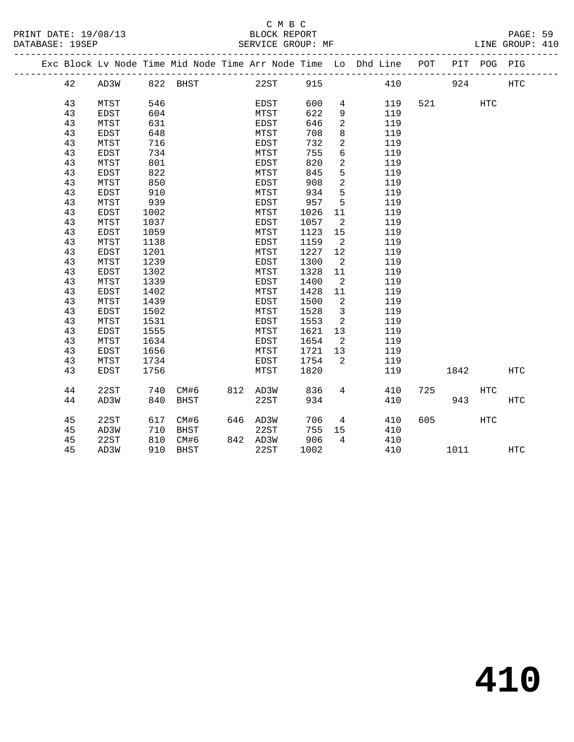|  |    |             |      |               |          |      |                         | Exc Block Lv Node Time Mid Node Time Arr Node Time Lo Dhd Line POT |     |        | PIT POG PIG |            |  |
|--|----|-------------|------|---------------|----------|------|-------------------------|--------------------------------------------------------------------|-----|--------|-------------|------------|--|
|  | 42 | AD3W        |      | 822 BHST 22ST |          | 915  |                         | 410                                                                |     | 924    |             | <b>HTC</b> |  |
|  |    |             |      |               |          |      |                         |                                                                    |     |        |             |            |  |
|  | 43 | MTST        | 546  |               | EDST     | 600  | 4                       | 119                                                                |     | 521 72 | <b>HTC</b>  |            |  |
|  | 43 | EDST        | 604  |               | MTST     | 622  | 9                       | 119                                                                |     |        |             |            |  |
|  | 43 | MTST        | 631  |               | EDST     | 646  | $\overline{2}$          | 119                                                                |     |        |             |            |  |
|  | 43 | EDST        | 648  |               | MTST     | 708  | 8                       | 119                                                                |     |        |             |            |  |
|  | 43 | MTST        | 716  |               | EDST     | 732  | $\overline{a}$          | 119                                                                |     |        |             |            |  |
|  | 43 | EDST        | 734  |               | MTST     | 755  | $\sqrt{6}$              | 119                                                                |     |        |             |            |  |
|  | 43 | MTST        | 801  |               | EDST     | 820  | $\overline{2}$          | 119                                                                |     |        |             |            |  |
|  | 43 | EDST        | 822  |               | MTST     | 845  | 5                       | 119                                                                |     |        |             |            |  |
|  | 43 | MTST        | 850  |               | EDST     | 908  | $\overline{a}$          | 119                                                                |     |        |             |            |  |
|  | 43 | EDST        | 910  |               | MTST     | 934  | 5                       | 119                                                                |     |        |             |            |  |
|  | 43 | MTST        | 939  |               | EDST     | 957  | 5                       | 119                                                                |     |        |             |            |  |
|  | 43 | EDST        | 1002 |               | MTST     | 1026 | 11                      | 119                                                                |     |        |             |            |  |
|  | 43 | MTST        | 1037 |               | EDST     | 1057 | $\overline{2}$          | 119                                                                |     |        |             |            |  |
|  | 43 | EDST        | 1059 |               | MTST     | 1123 | 15                      | 119                                                                |     |        |             |            |  |
|  | 43 | MTST        | 1138 |               | EDST     | 1159 | $\overline{2}$          | 119                                                                |     |        |             |            |  |
|  | 43 | EDST        | 1201 |               | MTST     | 1227 | 12                      | 119                                                                |     |        |             |            |  |
|  | 43 | MTST        | 1239 |               | EDST     | 1300 | $\overline{2}$          | 119                                                                |     |        |             |            |  |
|  | 43 | EDST        | 1302 |               | MTST     | 1328 | 11                      | 119                                                                |     |        |             |            |  |
|  | 43 | MTST        | 1339 |               | EDST     | 1400 | $\overline{2}$          | 119                                                                |     |        |             |            |  |
|  | 43 | EDST        | 1402 |               | MTST     | 1428 | 11                      | 119                                                                |     |        |             |            |  |
|  | 43 | MTST        | 1439 |               | EDST     | 1500 | $\overline{\mathbf{2}}$ | 119                                                                |     |        |             |            |  |
|  | 43 | EDST        | 1502 |               | MTST     | 1528 | $\overline{3}$          | 119                                                                |     |        |             |            |  |
|  | 43 | MTST        | 1531 |               | EDST     | 1553 | $\overline{2}$          | 119                                                                |     |        |             |            |  |
|  | 43 | EDST        | 1555 |               | MTST     | 1621 | 13                      | 119                                                                |     |        |             |            |  |
|  | 43 | MTST        | 1634 |               | EDST     | 1654 | $\overline{2}$          | 119                                                                |     |        |             |            |  |
|  | 43 | EDST        | 1656 |               | MTST     | 1721 | 13                      | 119                                                                |     |        |             |            |  |
|  | 43 | MTST        | 1734 |               | EDST     | 1754 | 2                       | 119                                                                |     |        |             |            |  |
|  | 43 | <b>EDST</b> | 1756 |               | MTST     | 1820 |                         | 119                                                                |     | 1842   |             | <b>HTC</b> |  |
|  | 44 | 22ST        | 740  | CM#6          | 812 AD3W | 836  | 4                       | 410                                                                | 725 |        | <b>HTC</b>  |            |  |
|  | 44 | AD3W        | 840  | BHST          | 22ST     | 934  |                         | 410                                                                |     | 943    |             | <b>HTC</b> |  |
|  |    |             |      |               |          |      |                         |                                                                    |     |        |             |            |  |
|  | 45 | 22ST        | 617  | CM#6          | 646 AD3W | 706  | $\overline{4}$          | 410                                                                | 605 |        | <b>HTC</b>  |            |  |
|  | 45 | AD3W        | 710  | BHST          | 22ST     | 755  | 15                      | 410                                                                |     |        |             |            |  |
|  | 45 | 22ST        | 810  | CM#6          | 842 AD3W | 906  | $\overline{4}$          | 410                                                                |     |        |             |            |  |
|  | 45 | AD3W        | 910  | BHST          | 22ST     | 1002 |                         | 410                                                                |     | 1011   |             | HTC        |  |
|  |    |             |      |               |          |      |                         |                                                                    |     |        |             |            |  |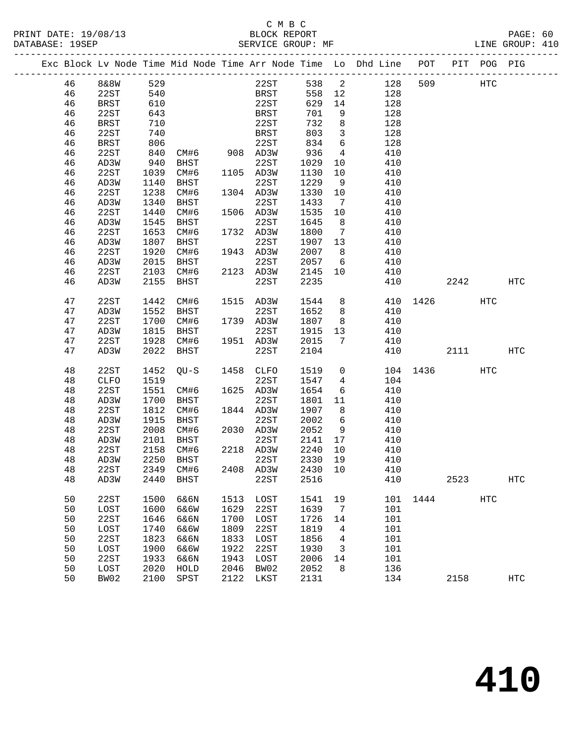# C M B C

| DATABASE: 19SEP |    |      |      |             |      | SERVICE GROUP: MF |      |                |                                                                                |          |         |     | LINE GROUP: 410 |  |
|-----------------|----|------|------|-------------|------|-------------------|------|----------------|--------------------------------------------------------------------------------|----------|---------|-----|-----------------|--|
|                 |    |      |      |             |      |                   |      |                | Exc Block Lv Node Time Mid Node Time Arr Node Time Lo Dhd Line POT PIT POG PIG |          |         |     |                 |  |
|                 | 46 | 8&8W | 529  |             |      | 22ST              |      |                | 538 2<br>128                                                                   |          | 509 HTC |     |                 |  |
|                 | 46 | 22ST | 540  |             |      | BRST              | 558  |                | 128<br>12 and $\overline{a}$                                                   |          |         |     |                 |  |
|                 | 46 | BRST | 610  |             |      | 22ST              | 629  | 14             | 128                                                                            |          |         |     |                 |  |
|                 | 46 | 22ST | 643  |             |      | BRST              | 701  | 9              | 128                                                                            |          |         |     |                 |  |
|                 | 46 | BRST | 710  |             |      | 22ST              | 732  | 8              | 128                                                                            |          |         |     |                 |  |
|                 | 46 | 22ST | 740  |             |      | BRST              | 803  | $\mathbf{3}$   | 128                                                                            |          |         |     |                 |  |
|                 | 46 | BRST | 806  |             |      | 22ST              | 834  | 6              | 128                                                                            |          |         |     |                 |  |
|                 | 46 | 22ST | 840  | CM#6        | 908  | AD3W              | 936  | 4              | 410                                                                            |          |         |     |                 |  |
|                 | 46 | AD3W | 940  | BHST        |      | 22ST              | 1029 | 10             | 410                                                                            |          |         |     |                 |  |
|                 | 46 | 22ST | 1039 | CM#6        |      | 1105 AD3W         | 1130 | 10             | 410                                                                            |          |         |     |                 |  |
|                 | 46 | AD3W | 1140 | BHST        |      | 22ST              | 1229 | 9              | 410                                                                            |          |         |     |                 |  |
|                 | 46 | 22ST | 1238 | CM#6        | 1304 | AD3W              | 1330 | 10             | 410                                                                            |          |         |     |                 |  |
|                 | 46 | AD3W | 1340 | BHST        |      | 22ST              | 1433 | $\overline{7}$ | 410                                                                            |          |         |     |                 |  |
|                 | 46 | 22ST | 1440 | CM#6        |      | 1506 AD3W         | 1535 | 10             | 410                                                                            |          |         |     |                 |  |
|                 | 46 | AD3W | 1545 | BHST        |      | 22ST              | 1645 | 8              | 410                                                                            |          |         |     |                 |  |
|                 | 46 | 22ST | 1653 | CM#6        | 1732 | AD3W              | 1800 | 7              | 410                                                                            |          |         |     |                 |  |
|                 | 46 | AD3W | 1807 | <b>BHST</b> |      | 22ST              | 1907 | 13             | 410                                                                            |          |         |     |                 |  |
|                 | 46 | 22ST | 1920 | CM#6        | 1943 | AD3W              | 2007 | 8              | 410                                                                            |          |         |     |                 |  |
|                 | 46 | AD3W | 2015 | BHST        |      | 22ST              | 2057 | 6              | 410                                                                            |          |         |     |                 |  |
|                 | 46 | 22ST | 2103 | CM#6        | 2123 | AD3W              | 2145 | 10             | 410                                                                            |          |         |     |                 |  |
|                 | 46 | AD3W | 2155 | BHST        |      | 22ST              | 2235 |                | 410                                                                            |          | 2242    |     | HTC             |  |
|                 | 47 | 22ST | 1442 | CM#6        | 1515 | AD3W              | 1544 | 8              |                                                                                | 410 1426 |         | HTC |                 |  |
|                 | 47 | AD3W | 1552 | BHST        |      | 22ST              | 1652 | 8              | 410                                                                            |          |         |     |                 |  |
|                 | 47 | 22ST | 1700 | CM#6        |      | 1739 AD3W         | 1807 | 8              | 410                                                                            |          |         |     |                 |  |
|                 | 47 | AD3W | 1815 | BHST        |      | 22ST              | 1915 | 13             | 410                                                                            |          |         |     |                 |  |
|                 |    |      |      |             |      |                   |      |                |                                                                                |          |         |     |                 |  |

| 47 | 22ST        | 1700 | CM#6        | 1739 | AD3W        | 1807 | 8           | 410 |      |      |            |            |
|----|-------------|------|-------------|------|-------------|------|-------------|-----|------|------|------------|------------|
| 47 | AD3W        | 1815 | BHST        |      | 22ST        | 1915 | 13          | 410 |      |      |            |            |
| 47 | 22ST        | 1928 | CM#6        | 1951 | AD3W        | 2015 | 7           | 410 |      |      |            |            |
| 47 | AD3W        | 2022 | <b>BHST</b> |      | 22ST        | 2104 |             | 410 |      | 2111 |            | <b>HTC</b> |
|    |             |      |             |      |             |      |             |     |      |      |            |            |
| 48 | 22ST        | 1452 | QU-S        | 1458 | <b>CLFO</b> | 1519 | $\mathbf 0$ | 104 | 1436 |      | HTC        |            |
| 48 | <b>CLFO</b> | 1519 |             |      | 22ST        | 1547 | 4           | 104 |      |      |            |            |
| 48 | 22ST        | 1551 | CM#6        | 1625 | AD3W        | 1654 | 6           | 410 |      |      |            |            |
| 48 | AD3W        | 1700 | BHST        |      | 22ST        | 1801 | 11          | 410 |      |      |            |            |
| 48 | 22ST        | 1812 | CM#6        | 1844 | AD3W        | 1907 | 8           | 410 |      |      |            |            |
| 48 | AD3W        | 1915 | <b>BHST</b> |      | 22ST        | 2002 | 6           | 410 |      |      |            |            |
| 48 | 22ST        | 2008 | CM#6        | 2030 | AD3W        | 2052 | 9           | 410 |      |      |            |            |
| 48 | AD3W        | 2101 | <b>BHST</b> |      | 22ST        | 2141 | 17          | 410 |      |      |            |            |
| 48 | 22ST        | 2158 | CM#6        | 2218 | AD3W        | 2240 | 10          | 410 |      |      |            |            |
| 48 | AD3W        | 2250 | BHST        |      | 22ST        | 2330 | 19          | 410 |      |      |            |            |
| 48 | 22ST        | 2349 | CM#6        | 2408 | AD3W        | 2430 | 10          | 410 |      |      |            |            |
| 48 | AD3W        | 2440 | <b>BHST</b> |      | 22ST        | 2516 |             | 410 |      | 2523 |            | HTC        |
|    |             |      |             |      |             |      |             |     |      |      |            |            |
| 50 | 22ST        | 1500 | 6&6N        | 1513 | LOST        | 1541 | 19          | 101 | 1444 |      | <b>HTC</b> |            |
| 50 | LOST        | 1600 | 6&6W        | 1629 | 22ST        | 1639 | 7           | 101 |      |      |            |            |
| 50 | 22ST        | 1646 | 6&6N        | 1700 | LOST        | 1726 | 14          | 101 |      |      |            |            |
| 50 | LOST        | 1740 | 6&6W        | 1809 | 22ST        | 1819 | 4           | 101 |      |      |            |            |
| 50 | 22ST        | 1823 | 6&6N        | 1833 | LOST        | 1856 | 4           | 101 |      |      |            |            |
| 50 | LOST        | 1900 | 6&6W        | 1922 | 22ST        | 1930 | 3           | 101 |      |      |            |            |
| 50 | 22ST        | 1933 | 6&6N        | 1943 | LOST        | 2006 | 14          | 101 |      |      |            |            |
| 50 | LOST        | 2020 | HOLD        | 2046 | BW02        | 2052 | 8           | 136 |      |      |            |            |
| 50 | BW02        | 2100 | SPST        | 2122 | LKST        | 2131 |             | 134 |      | 2158 |            | HTC        |
|    |             |      |             |      |             |      |             |     |      |      |            |            |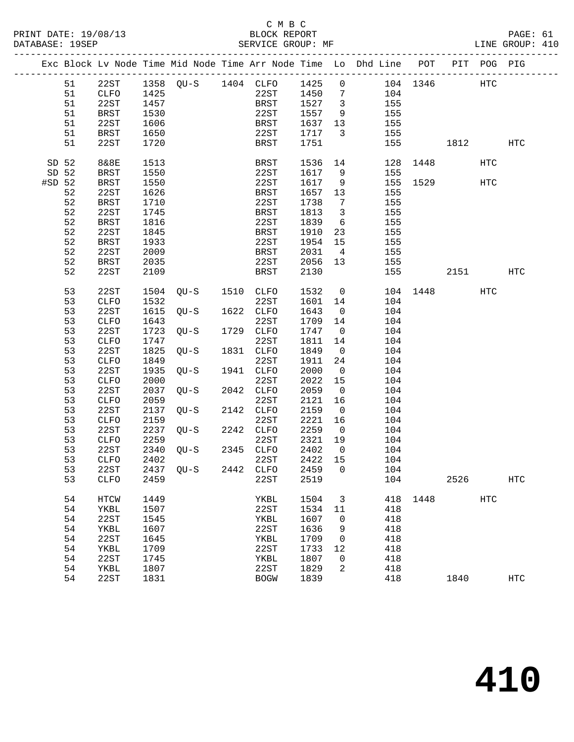|          |    |             |      |                     |                                 |         |                         | Exc Block Lv Node Time Mid Node Time Arr Node Time Lo Dhd Line POT PIT POG PIG |              |      |     |            |
|----------|----|-------------|------|---------------------|---------------------------------|---------|-------------------------|--------------------------------------------------------------------------------|--------------|------|-----|------------|
|          | 51 | 22ST        |      |                     |                                 |         |                         | 1358 QU-S 1404 CLFO 1425 0 104 1346 HTC                                        |              |      |     |            |
|          | 51 | CLFO        | 1425 |                     | 22ST                            | 1450 7  |                         | 104                                                                            |              |      |     |            |
|          | 51 | 22ST        | 1457 |                     | BRST                            | 1527 3  |                         | 155                                                                            |              |      |     |            |
|          | 51 | BRST        | 1530 |                     | 22ST                            | 1557    | 9                       | 155                                                                            |              |      |     |            |
|          | 51 | 22ST        | 1606 |                     | BRST                            | 1637    | 13                      | 155                                                                            |              |      |     |            |
|          | 51 | BRST        | 1650 |                     | 22ST                            | 1717    | $\overline{\mathbf{3}}$ | 155                                                                            |              |      |     |            |
|          | 51 | 22ST        | 1720 |                     | BRST                            | 1751    |                         | 155                                                                            |              | 1812 |     | <b>HTC</b> |
|          |    |             |      |                     |                                 |         |                         |                                                                                |              |      |     |            |
| SD 52    |    | 8&8E        | 1513 |                     | BRST                            | 1536    | 14                      |                                                                                | 128 1448     |      | HTC |            |
| SD 52    |    | BRST        | 1550 |                     | 22ST                            | 1617    | 9                       | 155                                                                            |              |      |     |            |
| $#SD$ 52 |    | BRST        | 1550 |                     | 22ST                            | 1617    | 9                       |                                                                                | 155 1529     |      | HTC |            |
|          | 52 | 22ST        | 1626 |                     | <b>BRST</b>                     | 1657    | 13                      | 155                                                                            |              |      |     |            |
|          | 52 | BRST        | 1710 |                     | 22ST                            | 1738    | $\overline{7}$          | 155                                                                            |              |      |     |            |
|          | 52 | 22ST        | 1745 |                     | BRST                            | 1813    | $\overline{\mathbf{3}}$ | 155                                                                            |              |      |     |            |
|          | 52 | BRST        | 1816 |                     | 22ST                            | 1839    | $6\overline{6}$         | 155                                                                            |              |      |     |            |
|          | 52 | 22ST        | 1845 |                     | BRST                            | 1910    | 23                      | 155                                                                            |              |      |     |            |
|          | 52 | BRST        | 1933 |                     | 22ST                            | 1954    | 15                      | 155                                                                            |              |      |     |            |
|          | 52 | 22ST        | 2009 |                     | BRST                            | 2031    | $\overline{4}$          | 155                                                                            |              |      |     |            |
|          | 52 | BRST        | 2035 |                     | 22ST                            | 2056    | 13                      | 155                                                                            |              |      |     |            |
|          | 52 | 22ST        | 2109 |                     | BRST                            | 2130    |                         | 155                                                                            |              | 2151 |     | HTC        |
|          |    |             |      |                     |                                 |         |                         |                                                                                |              |      |     |            |
|          | 53 | 22ST        |      | 1504 QU-S 1510 CLFO |                                 | 1532    | $\overline{0}$          |                                                                                | 104 1448 HTC |      |     |            |
|          | 53 | CLFO        | 1532 |                     | 22ST                            | 1601    | 14                      | 104                                                                            |              |      |     |            |
|          | 53 | 22ST        |      | 1615 QU-S           | 1622 CLFO                       | 1643    | $\overline{0}$          | 104                                                                            |              |      |     |            |
|          | 53 | CLFO        | 1643 |                     | 22ST                            | 1709    | 14                      | 104                                                                            |              |      |     |            |
|          | 53 | 22ST        |      | 1723 QU-S           | 1729 CLFO                       | 1747    | $\overline{0}$          | 104                                                                            |              |      |     |            |
|          | 53 | CLFO        | 1747 |                     | 22ST                            | 1811    | 14                      | 104                                                                            |              |      |     |            |
|          | 53 | 22ST        | 1825 | $QU-S$              | 1831 CLFO                       | 1849    | $\overline{0}$          | 104                                                                            |              |      |     |            |
|          | 53 | CLFO        | 1849 |                     | 22ST                            | 1911    | 24                      | 104                                                                            |              |      |     |            |
|          | 53 | 22ST        | 1935 | QU-S                | 1941 CLFO                       | 2000    | $\overline{0}$          | 104                                                                            |              |      |     |            |
|          | 53 | CLFO        | 2000 |                     | 22ST                            | 2022    | 15                      | 104                                                                            |              |      |     |            |
|          | 53 | 22ST        | 2037 | QU-S 2042 CLFO      |                                 | 2059    | $\overline{0}$          | 104                                                                            |              |      |     |            |
|          | 53 | CLFO        | 2059 |                     | 22ST                            | 2121    | 16                      | 104                                                                            |              |      |     |            |
|          | 53 | 22ST        |      | 2137 QU-S           | 2142 CLFO                       | 2159    | $\overline{0}$          | 104                                                                            |              |      |     |            |
|          | 53 | CLFO        | 2159 |                     | 22ST                            | 2221    | 16                      | 104                                                                            |              |      |     |            |
|          | 53 | 22ST        |      | 2237 QU-S 2242 CLFO |                                 | 2259    | $\overline{0}$          | 104                                                                            |              |      |     |            |
|          | 53 | CLFO        | 2259 |                     | 22ST                            | 2321    | 19                      | 104                                                                            |              |      |     |            |
|          | 53 | 22ST        |      | 2340 QU-S 2345 CLFO |                                 | 2402    | $\overline{0}$          | 104                                                                            |              |      |     |            |
|          | 53 | <b>CLFO</b> | 2402 |                     | 22ST                            | 2422 15 |                         | 104                                                                            |              |      |     |            |
|          | 53 |             |      |                     | 22ST 2437 QU-S 2442 CLFO 2459 0 |         |                         | 104                                                                            |              |      |     |            |
|          | 53 | <b>CLFO</b> | 2459 |                     | 22ST                            | 2519    |                         | 104                                                                            |              | 2526 |     | <b>HTC</b> |
|          | 54 | HTCW        | 1449 |                     | YKBL                            | 1504    | 3                       |                                                                                | 418 1448     |      | HTC |            |
|          | 54 | YKBL        | 1507 |                     | 22ST                            | 1534    | 11                      | 418                                                                            |              |      |     |            |
|          | 54 | 22ST        | 1545 |                     | YKBL                            | 1607    | 0                       | 418                                                                            |              |      |     |            |
|          | 54 | YKBL        | 1607 |                     | 22ST                            | 1636    | 9                       | 418                                                                            |              |      |     |            |
|          | 54 | 22ST        | 1645 |                     | YKBL                            | 1709    | 0                       | 418                                                                            |              |      |     |            |
|          | 54 | YKBL        | 1709 |                     | 22ST                            | 1733    | 12                      | 418                                                                            |              |      |     |            |
|          | 54 | 22ST        | 1745 |                     | YKBL                            | 1807    | 0                       | 418                                                                            |              |      |     |            |
|          | 54 | YKBL        | 1807 |                     | 22ST                            | 1829    | 2                       | 418                                                                            |              |      |     |            |
|          | 54 | 22ST        | 1831 |                     | <b>BOGW</b>                     | 1839    |                         | 418                                                                            |              | 1840 |     | HTC        |
|          |    |             |      |                     |                                 |         |                         |                                                                                |              |      |     |            |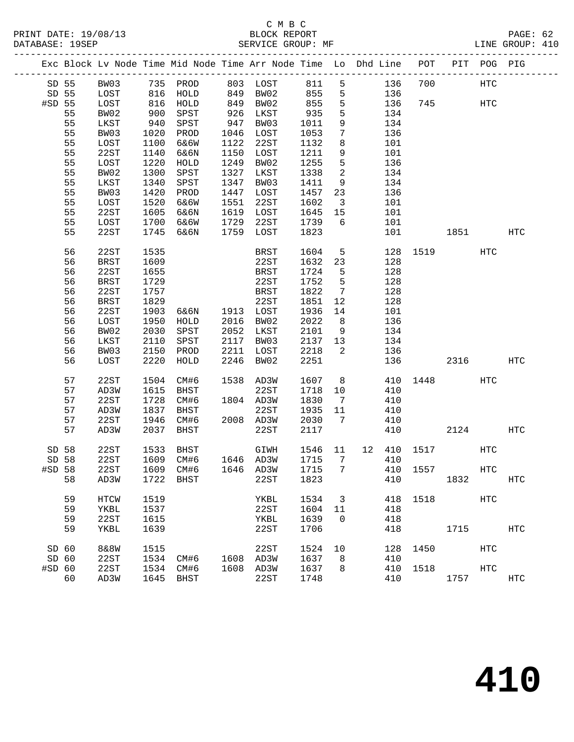|                  |    |                 |              | Exc Block Lv Node Time Mid Node Time Arr Node Time Lo Dhd Line POT |      |           |            |                         |     |             |          | PIT POG PIG       |            |
|------------------|----|-----------------|--------------|--------------------------------------------------------------------|------|-----------|------------|-------------------------|-----|-------------|----------|-------------------|------------|
| SD 55            |    | BW03            |              | 735 PROD                                                           |      | 803 LOST  | 811        | 5                       | 136 | 700         |          | <b>HTC</b>        |            |
| SD 55            |    | LOST            |              | HOLD                                                               |      | 849 BW02  |            | 5                       | 136 |             |          |                   |            |
| #SD 55           |    | LOST            | $816\n\n816$ | HOLD                                                               | 849  | BW02      | 855<br>855 | 5                       | 136 | 745         |          | HTC               |            |
|                  | 55 | BW02            | 900          | SPST                                                               | 926  | LKST      | 935        | 5                       | 134 |             |          |                   |            |
|                  | 55 | LKST            | 940          | SPST                                                               | 947  | BW03      | 1011       | 9                       | 134 |             |          |                   |            |
|                  | 55 | BW03            | 1020         | PROD                                                               | 1046 | LOST      | 1053       | $7\phantom{.0}$         | 136 |             |          |                   |            |
|                  | 55 | LOST            | 1100         | 6&6W                                                               | 1122 | 22ST      | 1132       | 8                       | 101 |             |          |                   |            |
|                  | 55 | 22ST            | 1140         | 6&6N                                                               | 1150 | LOST      | 1211       | 9                       | 101 |             |          |                   |            |
|                  | 55 | LOST            | 1220         | HOLD                                                               | 1249 | BW02      | 1255       | 5                       | 136 |             |          |                   |            |
|                  | 55 | BW02            | 1300         | SPST                                                               | 1327 | LKST      | 1338       | $\overline{a}$          | 134 |             |          |                   |            |
|                  | 55 | LKST            | 1340         | SPST                                                               | 1347 | BW03      | 1411       | 9                       | 134 |             |          |                   |            |
|                  | 55 | BW03            | 1420         | PROD                                                               | 1447 | LOST      | 1457       | 23                      | 136 |             |          |                   |            |
|                  | 55 | LOST            | 1520         | 6&6W                                                               | 1551 | 22ST      | 1602       | $\overline{\mathbf{3}}$ | 101 |             |          |                   |            |
|                  | 55 | 22ST            | 1605         | 6&6N                                                               | 1619 | LOST      | 1645       | 15                      | 101 |             |          |                   |            |
|                  | 55 | LOST            | 1700         | 6&6W                                                               | 1729 | 22ST      | 1739       | 6                       | 101 |             |          |                   |            |
|                  | 55 | 22ST            | 1745         | 6&6N                                                               | 1759 | LOST      | 1823       |                         | 101 |             | 1851     |                   | HTC        |
|                  |    |                 |              |                                                                    |      |           |            |                         |     |             |          |                   |            |
|                  | 56 | 22ST            | 1535         |                                                                    |      | BRST      | 1604       | 5                       |     | 128 1519    |          | HTC               |            |
|                  | 56 | <b>BRST</b>     | 1609         |                                                                    |      | 22ST      | 1632       | 23                      | 128 |             |          |                   |            |
|                  | 56 | 22ST            | 1655         |                                                                    |      | BRST      | 1724       | $5^{\circ}$             | 128 |             |          |                   |            |
|                  | 56 | <b>BRST</b>     | 1729         |                                                                    |      | 22ST      | 1752       | 5                       | 128 |             |          |                   |            |
|                  | 56 | 22ST            | 1757         |                                                                    |      | BRST      | 1822       | $7\overline{ }$         | 128 |             |          |                   |            |
|                  | 56 | <b>BRST</b>     | 1829         |                                                                    |      | 22ST      | 1851       | 12                      | 128 |             |          |                   |            |
|                  | 56 | 22ST            | 1903         | 6&6N                                                               |      | 1913 LOST | 1936       | 14                      | 101 |             |          |                   |            |
|                  | 56 | LOST            | 1950         | HOLD                                                               | 2016 | BW02      | 2022       | 8 <sup>8</sup>          | 136 |             |          |                   |            |
|                  | 56 | BW02            | 2030         | SPST                                                               | 2052 | LKST      | 2101       | 9                       | 134 |             |          |                   |            |
|                  | 56 | LKST            | 2110         | SPST                                                               | 2117 | BW03      | 2137       | 13                      | 134 |             |          |                   |            |
|                  | 56 | BW03            | 2150         | PROD                                                               | 2211 | LOST      | 2218       | $\overline{2}$          | 136 |             |          |                   |            |
|                  | 56 | LOST            | 2220         | HOLD                                                               | 2246 | BW02      | 2251       |                         | 136 |             | 2316     |                   | HTC        |
|                  |    |                 |              |                                                                    |      |           |            |                         |     |             |          |                   |            |
|                  | 57 | 22ST            | 1504         | CM#6                                                               |      | 1538 AD3W | 1607       | 8 <sup>8</sup>          |     |             | 410 1448 | HTC               |            |
|                  | 57 | AD3W            | 1615         | BHST                                                               |      | 22ST      | 1718       | 10                      | 410 |             |          |                   |            |
|                  | 57 | 22ST            | 1728         | CM#6                                                               |      | 1804 AD3W | 1830       | $\overline{7}$          | 410 |             |          |                   |            |
|                  | 57 | AD3W            | 1837         | BHST                                                               |      | 22ST      | 1935       | 11                      | 410 |             |          |                   |            |
|                  | 57 | 22ST            | 1946         | CM#6                                                               |      | 2008 AD3W | 2030       | 7                       | 410 |             |          |                   |            |
|                  | 57 | AD3W            | 2037         | BHST                                                               |      | 22ST      | 2117       |                         | 410 |             | 2124     |                   | HTC        |
|                  |    |                 |              |                                                                    |      |           |            |                         |     |             |          |                   |            |
| SD 58            |    | 22ST            | 1533         | BHST                                                               |      | GIWH      | 1546 11    |                         |     | 12 410 1517 |          | HTC               |            |
| SD 58            |    | 22ST            |              | 1609 CM#6                                                          |      | 1646 AD3W | 1715       | 7                       | 410 |             |          |                   |            |
|                  |    |                 |              | #SD 58 22ST 1609 CM#6 1646 AD3W 1715 7 410 1557                    |      |           |            |                         |     |             |          | $_{\mathrm{HTC}}$ |            |
|                  | 58 | AD3W            | 1722         | BHST                                                               |      | 22ST      | 1823       |                         | 410 |             | 1832     |                   | HTC        |
|                  | 59 | HTCW            | 1519         |                                                                    |      | YKBL      | 1534       | 3                       | 418 | 1518        |          | <b>HTC</b>        |            |
|                  | 59 | YKBL            | 1537         |                                                                    |      | 22ST      | 1604       | 11                      | 418 |             |          |                   |            |
|                  | 59 | 22ST            | 1615         |                                                                    |      | YKBL      | 1639       | 0                       | 418 |             |          |                   |            |
|                  | 59 | YKBL            | 1639         |                                                                    |      | 22ST      | 1706       |                         | 418 |             | 1715     |                   | HTC        |
|                  |    |                 |              |                                                                    |      |           |            |                         |     |             |          |                   |            |
| SD <sub>60</sub> |    | <b>8&amp;8W</b> | 1515         |                                                                    |      | 22ST      | 1524       | 10                      | 128 | 1450        |          | HTC               |            |
| SD 60            |    | 22ST            | 1534         | CM#6                                                               | 1608 | AD3W      | 1637       | 8                       | 410 |             |          |                   |            |
| #SD 60           |    | 22ST            | 1534         | CM#6                                                               | 1608 | AD3W      | 1637       | 8                       | 410 | 1518        |          | <b>HTC</b>        |            |
|                  | 60 | AD3W            | 1645         | <b>BHST</b>                                                        |      | 22ST      | 1748       |                         | 410 |             | 1757     |                   | <b>HTC</b> |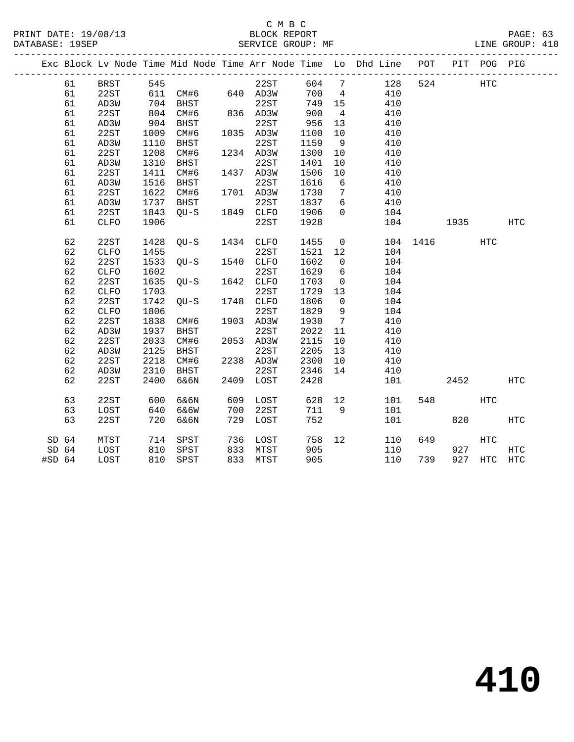#### C M B C<br>BLOCK REPORT PRINT DATE: 19/08/13 BLOCK REPORT PAGE: 63 SERVICE GROUP: MF

|                  |    |             |      |             |      |             |      |                   | Exc Block Lv Node Time Mid Node Time Arr Node Time Lo Dhd Line POT |      | PIT  | POG PIG    |              |
|------------------|----|-------------|------|-------------|------|-------------|------|-------------------|--------------------------------------------------------------------|------|------|------------|--------------|
|                  | 61 | <b>BRST</b> | 545  |             |      | 22ST        | 604  | 7                 | 128                                                                | 524  |      | HTC        |              |
|                  | 61 | 22ST        | 611  | CM#6        |      | 640 AD3W    | 700  | 4                 | 410                                                                |      |      |            |              |
|                  | 61 | AD3W        | 704  | BHST        |      | 22ST        | 749  | 15                | 410                                                                |      |      |            |              |
|                  | 61 | 22ST        | 804  | CM#6        |      | 836 AD3W    | 900  | $\overline{4}$    | 410                                                                |      |      |            |              |
|                  | 61 | AD3W        | 904  | BHST        |      | 22ST        | 956  | 13                | 410                                                                |      |      |            |              |
|                  | 61 | 22ST        | 1009 | CM#6        |      | 1035 AD3W   | 1100 | 10                | 410                                                                |      |      |            |              |
|                  | 61 | AD3W        | 1110 | BHST        |      | 22ST        | 1159 | 9                 | 410                                                                |      |      |            |              |
|                  | 61 | 22ST        | 1208 | CM#6        |      | 1234 AD3W   | 1300 | 10                | 410                                                                |      |      |            |              |
|                  | 61 | AD3W        | 1310 | <b>BHST</b> |      | 22ST        | 1401 | 10                | 410                                                                |      |      |            |              |
|                  | 61 | 22ST        | 1411 | CM#6        | 1437 | AD3W        | 1506 | 10                | 410                                                                |      |      |            |              |
|                  | 61 | AD3W        | 1516 | BHST        |      | 22ST        | 1616 | 6                 | 410                                                                |      |      |            |              |
|                  | 61 | 22ST        | 1622 | CM#6        |      | 1701 AD3W   | 1730 | $7\phantom{.0}$   | 410                                                                |      |      |            |              |
|                  | 61 | AD3W        | 1737 | BHST        |      | 22ST        | 1837 | 6                 | 410                                                                |      |      |            |              |
|                  | 61 | 22ST        | 1843 | $QU-S$      | 1849 | <b>CLFO</b> | 1906 | $\Omega$          | 104                                                                |      |      |            |              |
|                  | 61 | <b>CLFO</b> | 1906 |             |      | 22ST        | 1928 |                   | 104                                                                |      | 1935 |            | <b>HTC</b>   |
|                  |    |             |      |             |      |             |      |                   |                                                                    |      |      |            |              |
|                  | 62 | 22ST        | 1428 | $QU-S$      | 1434 | <b>CLFO</b> | 1455 | $\mathsf{O}$      | 104                                                                | 1416 |      | <b>HTC</b> |              |
|                  | 62 | <b>CLFO</b> | 1455 |             |      | 22ST        | 1521 | 12                | 104                                                                |      |      |            |              |
|                  | 62 | 22ST        | 1533 | $OU-S$      | 1540 | <b>CLFO</b> | 1602 | $\mathbf 0$       | 104                                                                |      |      |            |              |
|                  | 62 | <b>CLFO</b> | 1602 |             |      | 22ST        | 1629 | 6                 | 104                                                                |      |      |            |              |
|                  | 62 | 22ST        | 1635 | $QU-S$      | 1642 | CLFO        | 1703 | $\overline{0}$    | 104                                                                |      |      |            |              |
|                  | 62 | <b>CLFO</b> | 1703 |             |      | 22ST        | 1729 | 13                | 104                                                                |      |      |            |              |
|                  | 62 | 22ST        | 1742 | $OU-S$      | 1748 | CLFO        | 1806 | $\mathsf{O}$      | 104                                                                |      |      |            |              |
|                  | 62 | <b>CLFO</b> | 1806 |             |      | 22ST        | 1829 | 9                 | 104                                                                |      |      |            |              |
|                  | 62 | 22ST        | 1838 | CM#6        |      | 1903 AD3W   | 1930 | $7\phantom{.0}$   | 410                                                                |      |      |            |              |
|                  | 62 | AD3W        | 1937 | <b>BHST</b> |      | 22ST        | 2022 | 11                | 410                                                                |      |      |            |              |
|                  | 62 | 22ST        | 2033 | CM#6        | 2053 | AD3W        | 2115 | 10                | 410                                                                |      |      |            |              |
|                  | 62 | AD3W        | 2125 | BHST        |      | 22ST        | 2205 | 13                | 410                                                                |      |      |            |              |
|                  | 62 | 22ST        | 2218 | CM#6        | 2238 | AD3W        | 2300 | 10                | 410                                                                |      |      |            |              |
|                  | 62 | AD3W        | 2310 | BHST        |      | 22ST        | 2346 | 14                | 410                                                                |      |      |            |              |
|                  | 62 | 22ST        | 2400 | 6&6N        | 2409 | LOST        | 2428 |                   | 101                                                                |      | 2452 |            | <b>HTC</b>   |
|                  |    |             |      |             |      |             |      |                   |                                                                    |      |      |            |              |
|                  | 63 | 22ST        | 600  | 6&6N        | 609  | LOST        | 628  | 12                | 101                                                                | 548  |      | <b>HTC</b> |              |
|                  | 63 | LOST        | 640  | 6&6W        | 700  | 22ST        | 711  | 9                 | 101                                                                |      |      |            |              |
|                  | 63 | 22ST        | 720  | 6&6N        | 729  | LOST        | 752  |                   | 101                                                                |      | 820  |            | $_{\rm HTC}$ |
| SD 64            |    | MTST        | 714  | SPST        | 736  | LOST        | 758  | $12 \overline{ }$ | 110                                                                | 649  |      | <b>HTC</b> |              |
| SD <sub>64</sub> |    | LOST        | 810  | SPST        | 833  | MTST        | 905  |                   | 110                                                                |      | 927  |            | HTC          |
| $#SD$ 64         |    | LOST        | 810  | SPST        | 833  | MTST        | 905  |                   | 110                                                                | 739  | 927  | HTC        | HTC          |
|                  |    |             |      |             |      |             |      |                   |                                                                    |      |      |            |              |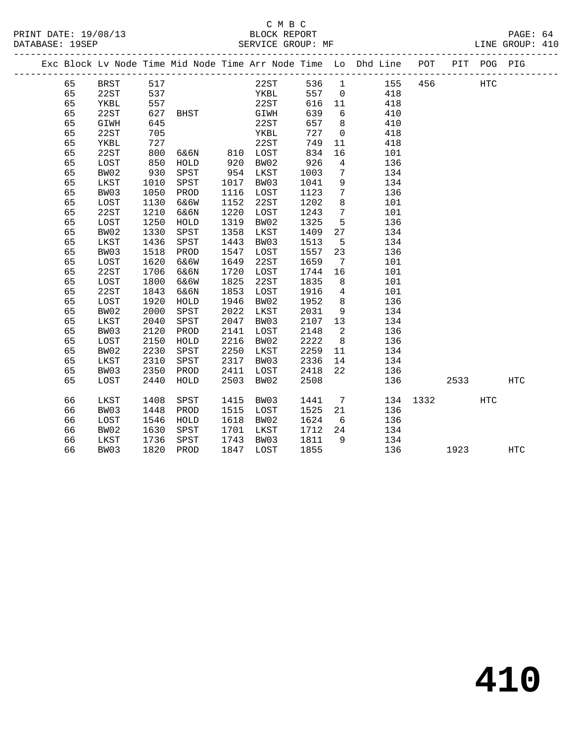|    |      |            |                                |      |              |        |                 | Exc Block Lv Node Time Mid Node Time Arr Node Time Lo Dhd Line POT |          |             | PIT POG PIG  |            |  |
|----|------|------------|--------------------------------|------|--------------|--------|-----------------|--------------------------------------------------------------------|----------|-------------|--------------|------------|--|
| 65 | BRST | 517        |                                |      | 22ST         | 536 1  |                 | 155 456                                                            |          |             | $_{\rm HTC}$ |            |  |
| 65 | 22ST | 537<br>557 |                                |      | YKBL<br>22ST | 557    | $\overline{0}$  | 418                                                                |          |             |              |            |  |
| 65 | YKBL | 557        |                                |      | 22ST         | 616 11 |                 | 418                                                                |          |             |              |            |  |
| 65 | 22ST | 627        | BHST                           |      | GIWH         | 639    | 6               | 410                                                                |          |             |              |            |  |
| 65 | GIWH | 645        |                                |      | 22ST         | 657    | 8 <sup>8</sup>  | 410                                                                |          |             |              |            |  |
| 65 | 22ST | 705        |                                |      | YKBL         | 727    | $\overline{0}$  | 418                                                                |          |             |              |            |  |
| 65 | YKBL | 727        |                                |      | 22ST         | 749    | 11              | 418                                                                |          |             |              |            |  |
| 65 | 22ST | 800        | 6&6N 810 LOST<br>HOLD 920 BW02 |      |              | 834    | 16              | 101                                                                |          |             |              |            |  |
| 65 | LOST | 850        |                                |      |              | 926    | $\overline{4}$  | 136                                                                |          |             |              |            |  |
| 65 | BW02 | 930        | SPST                           | 954  | LKST         | 1003   | $\overline{7}$  | 134                                                                |          |             |              |            |  |
| 65 | LKST | 1010       | SPST                           | 1017 | BW03         | 1041   | 9               | 134                                                                |          |             |              |            |  |
| 65 | BW03 | 1050       | PROD                           | 1116 | LOST         | 1123   | $7\phantom{.0}$ | 136                                                                |          |             |              |            |  |
| 65 | LOST | 1130       | 6&6W                           | 1152 | 22ST         | 1202   | $8\phantom{1}$  | 101                                                                |          |             |              |            |  |
| 65 | 22ST | 1210       | 6&6N                           | 1220 | LOST         | 1243   | $7\overline{ }$ | 101                                                                |          |             |              |            |  |
| 65 | LOST | 1250       | HOLD                           | 1319 | BW02         | 1325   | 5               | 136                                                                |          |             |              |            |  |
| 65 | BW02 | 1330       | SPST                           | 1358 | LKST         | 1409   | 27              | 134                                                                |          |             |              |            |  |
| 65 | LKST | 1436       | SPST                           | 1443 | BW03         | 1513   | $5^{\circ}$     | 134                                                                |          |             |              |            |  |
| 65 | BW03 | 1518       | PROD                           | 1547 | LOST         | 1557   | 23              | 136                                                                |          |             |              |            |  |
| 65 | LOST | 1620       | 6&6W                           | 1649 | 22ST         | 1659   | $\overline{7}$  | 101                                                                |          |             |              |            |  |
| 65 | 22ST | 1706       | 6&6N                           | 1720 | LOST         | 1744   | 16              | 101                                                                |          |             |              |            |  |
| 65 | LOST | 1800       | 6&6W                           | 1825 | 22ST         | 1835   | 8 <sup>8</sup>  | 101                                                                |          |             |              |            |  |
| 65 | 22ST | 1843       | 6&6N                           | 1853 | LOST         | 1916   | $\overline{4}$  | 101                                                                |          |             |              |            |  |
| 65 | LOST | 1920       | HOLD                           | 1946 | BW02         | 1952   | 8 <sup>8</sup>  | 136                                                                |          |             |              |            |  |
| 65 | BW02 | 2000       | SPST                           | 2022 | LKST         | 2031   | 9               | 134                                                                |          |             |              |            |  |
| 65 | LKST | 2040       | SPST                           | 2047 | BW03         | 2107   | 13              | 134                                                                |          |             |              |            |  |
| 65 | BW03 | 2120       | PROD                           | 2141 | LOST         | 2148   | $\overline{2}$  | 136                                                                |          |             |              |            |  |
| 65 | LOST | 2150       | HOLD                           | 2216 | BW02         | 2222   | 8 <sup>8</sup>  | 136                                                                |          |             |              |            |  |
| 65 | BW02 | 2230       | SPST                           | 2250 | LKST         | 2259   | 11              | 134                                                                |          |             |              |            |  |
| 65 | LKST | 2310       | SPST                           | 2317 | BW03         | 2336   | 14              | 134                                                                |          |             |              |            |  |
| 65 | BW03 | 2350       | PROD                           | 2411 | LOST         | 2418   | 22              | 136                                                                |          |             |              |            |  |
| 65 | LOST | 2440       | HOLD                           | 2503 | BW02         | 2508   |                 | 136                                                                |          | 2533        |              | <b>HTC</b> |  |
| 66 | LKST | 1408       | SPST                           | 1415 | BW03         | 1441   |                 | $7\overline{ }$                                                    | 134 1332 |             | <b>HTC</b>   |            |  |
| 66 | BW03 | 1448       | PROD                           | 1515 | LOST         | 1525   | 21              | 136                                                                |          |             |              |            |  |
| 66 | LOST | 1546       | HOLD                           | 1618 | BW02         | 1624   | 6               | 136                                                                |          |             |              |            |  |
| 66 | BW02 | 1630       | SPST                           | 1701 | LKST         | 1712   | 24              | 134                                                                |          |             |              |            |  |
| 66 | LKST | 1736       | SPST                           | 1743 | BW03         | 1811   | 9               | 134                                                                |          |             |              |            |  |
| 66 | BW03 | 1820       | PROD                           | 1847 | LOST         | 1855   |                 | 136                                                                |          | 1923 — 1923 |              | HTC        |  |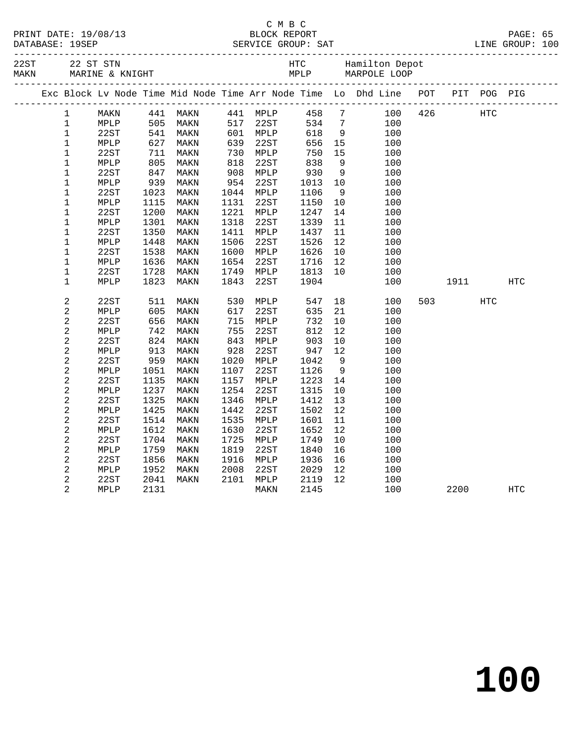|  | PRINT DATE: 19/08/13 |
|--|----------------------|
|  |                      |

#### C M B C PRINT DATE: 19/08/13 BLOCK REPORT PAGE: 65 DATABASE: 19SEP SERVICE GROUP: SAT LINE GROUP: 100

| 22ST<br>MAKN |                         | 22 ST STN<br>MARINE & KNIGHT |      | HTC<br>MPLP |      |          | MPLP |                 | Hamilton Depot<br>MARPOLE LOOP                                     |     |      |             |            |
|--------------|-------------------------|------------------------------|------|-------------|------|----------|------|-----------------|--------------------------------------------------------------------|-----|------|-------------|------------|
|              |                         |                              |      |             |      |          |      |                 | Exc Block Lv Node Time Mid Node Time Arr Node Time Lo Dhd Line POT |     |      | PIT POG PIG |            |
|              | $\mathbf 1$             | MAKN                         | 441  | MAKN        |      | 441 MPLP | 458  | $7\overline{ }$ | 100                                                                | 426 |      | HTC         |            |
|              | $\mathbf 1$             | MPLP                         | 505  | MAKN        | 517  | 22ST     | 534  | $7\phantom{.0}$ | 100                                                                |     |      |             |            |
|              | $\mathbf 1$             | 22ST                         | 541  | MAKN        | 601  | MPLP     | 618  | 9               | 100                                                                |     |      |             |            |
|              | $\mathbf 1$             | ${\tt MPLP}$                 | 627  | MAKN        | 639  | 22ST     | 656  | 15              | 100                                                                |     |      |             |            |
|              | $\mathbf{1}$            | 22ST                         | 711  | MAKN        | 730  | MPLP     | 750  | 15              | 100                                                                |     |      |             |            |
|              | $\mathbf 1$             | MPLP                         | 805  | MAKN        | 818  | 22ST     | 838  | 9               | 100                                                                |     |      |             |            |
|              | 1                       | 22ST                         | 847  | MAKN        | 908  | MPLP     | 930  | 9               | 100                                                                |     |      |             |            |
|              | $1\,$                   | MPLP                         | 939  | MAKN        | 954  | 22ST     | 1013 | 10              | 100                                                                |     |      |             |            |
|              | $\mathbf 1$             | 22ST                         | 1023 | MAKN        | 1044 | MPLP     | 1106 | 9               | 100                                                                |     |      |             |            |
|              | $\mathbf 1$             | MPLP                         | 1115 | MAKN        | 1131 | 22ST     | 1150 | 10              | 100                                                                |     |      |             |            |
|              | $\mathbf 1$             | 22ST                         | 1200 | MAKN        | 1221 | MPLP     | 1247 | 14              | 100                                                                |     |      |             |            |
|              | $\mathbf 1$             | MPLP                         | 1301 | MAKN        | 1318 | 22ST     | 1339 | 11              | 100                                                                |     |      |             |            |
|              | $\mathbf 1$             | 22ST                         | 1350 | MAKN        | 1411 | MPLP     | 1437 | 11              | 100                                                                |     |      |             |            |
|              | $\mathbf 1$             | MPLP                         | 1448 | MAKN        | 1506 | 22ST     | 1526 | 12              | 100                                                                |     |      |             |            |
|              | $\mathbf 1$             | 22ST                         | 1538 | MAKN        | 1600 | MPLP     | 1626 | 10              | 100                                                                |     |      |             |            |
|              | $\mathbf{1}$            | ${\tt MPLP}$                 | 1636 | MAKN        | 1654 | 22ST     | 1716 | 12              | 100                                                                |     |      |             |            |
|              | $\mathbf 1$             | 22ST                         | 1728 | MAKN        | 1749 | MPLP     | 1813 | 10              | 100                                                                |     |      |             |            |
|              | $\mathbf{1}$            | MPLP                         | 1823 | MAKN        | 1843 | 22ST     | 1904 |                 | 100                                                                |     | 1911 |             | HTC        |
|              | 2                       | 22ST                         | 511  | MAKN        | 530  | MPLP     | 547  | 18              | 100                                                                | 503 |      | HTC         |            |
|              | $\overline{a}$          | MPLP                         | 605  | MAKN        | 617  | 22ST     | 635  | 21              | 100                                                                |     |      |             |            |
|              | 2                       | 22ST                         | 656  | MAKN        | 715  | MPLP     | 732  | 10              | 100                                                                |     |      |             |            |
|              | $\overline{\mathbf{c}}$ | MPLP                         | 742  | MAKN        | 755  | 22ST     | 812  | 12              | 100                                                                |     |      |             |            |
|              | 2                       | 22ST                         | 824  | MAKN        | 843  | MPLP     | 903  | 10              | 100                                                                |     |      |             |            |
|              | 2                       | MPLP                         | 913  | MAKN        | 928  | 22ST     | 947  | 12              | 100                                                                |     |      |             |            |
|              | $\overline{c}$          | 22ST                         | 959  | MAKN        | 1020 | MPLP     | 1042 | 9               | 100                                                                |     |      |             |            |
|              | 2                       | MPLP                         | 1051 | MAKN        | 1107 | 22ST     | 1126 | 9               | 100                                                                |     |      |             |            |
|              | 2                       | 22ST                         | 1135 | MAKN        | 1157 | MPLP     | 1223 | 14              | 100                                                                |     |      |             |            |
|              | $\overline{c}$          | MPLP                         | 1237 | MAKN        | 1254 | 22ST     | 1315 | 10              | 100                                                                |     |      |             |            |
|              | 2                       | 22ST                         | 1325 | MAKN        | 1346 | MPLP     | 1412 | 13              | 100                                                                |     |      |             |            |
|              | $\overline{\mathbf{c}}$ | MPLP                         | 1425 | MAKN        | 1442 | 22ST     | 1502 | 12              | 100                                                                |     |      |             |            |
|              | $\overline{c}$          | 22ST                         | 1514 | MAKN        | 1535 | MPLP     | 1601 | 11              | 100                                                                |     |      |             |            |
|              | $\overline{a}$          | MPLP                         | 1612 | MAKN        | 1630 | 22ST     | 1652 | 12              | 100                                                                |     |      |             |            |
|              | 2                       | 22ST                         | 1704 | MAKN        | 1725 | MPLP     | 1749 | 10              | 100                                                                |     |      |             |            |
|              | $\overline{\mathbf{c}}$ | MPLP                         | 1759 | MAKN        | 1819 | 22ST     | 1840 | 16              | 100                                                                |     |      |             |            |
|              | $\overline{c}$          | 22ST                         | 1856 | MAKN        | 1916 | MPLP     | 1936 | 16              | 100                                                                |     |      |             |            |
|              | 2                       | MPLP                         | 1952 | MAKN        | 2008 | 22ST     | 2029 | 12              | 100                                                                |     |      |             |            |
|              | 2                       | 22ST                         | 2041 | MAKN        | 2101 | MPLP     | 2119 | 12              | 100                                                                |     |      |             |            |
|              | $\overline{a}$          | ${\tt MPLP}$                 | 2131 |             |      | MAKN     | 2145 |                 | 100                                                                |     | 2200 |             | <b>HTC</b> |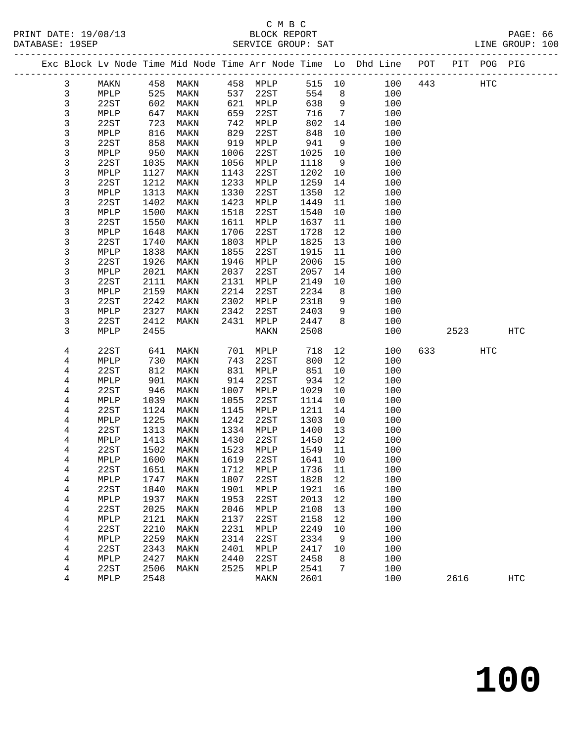|  | DAIADAOL · IJOLF |      |      |      |      | DERVICE GROUP. DAI |        |                |                                                                |     |         |     | TIND GUOGL. TAA |  |
|--|------------------|------|------|------|------|--------------------|--------|----------------|----------------------------------------------------------------|-----|---------|-----|-----------------|--|
|  |                  |      |      |      |      |                    |        |                | Exc Block Ly Node Time Mid Node Time Arr Node Time Lo Dhd Line | POT | PIT POG |     | PIG             |  |
|  |                  | MAKN | 458  | MAKN | 458  | MPLP               | 515 10 |                | 100                                                            | 443 |         | HTC |                 |  |
|  |                  | MPLP | 525  | MAKN | 537  | 22ST               | 554    | - 8            | 100                                                            |     |         |     |                 |  |
|  | 3                | 22ST | 602  | MAKN | 621  | MPLP               | 638    | 9              | 100                                                            |     |         |     |                 |  |
|  |                  | MPLP | 647  | MAKN | 659  | 22ST               | 716    | $\overline{7}$ | 100                                                            |     |         |     |                 |  |
|  |                  | 22ST | 723  | MAKN | 742  | MPLP               | 802 14 |                | 100                                                            |     |         |     |                 |  |
|  |                  | MPLP | 816  | MAKN | 829  | 22ST               | 848    | 10             | 100                                                            |     |         |     |                 |  |
|  |                  | 22ST | 858  | MAKN | 919  | MPLP               | 941    | - 9            | 100                                                            |     |         |     |                 |  |
|  |                  | MPLP | 950  | MAKN | 1006 | 22ST               | 1025   | 10             | 100                                                            |     |         |     |                 |  |
|  |                  | 22ST | 1035 | MAKN | 1056 | MPLP               | 1118   | - 9            | 100                                                            |     |         |     |                 |  |
|  |                  | MPLP | 1127 | MAKN | 1143 | 22ST               | 1202   | 10             | 100                                                            |     |         |     |                 |  |
|  |                  | 22ST | 1212 | MAKN | 1233 | MPLP               | 1259   | 14             | 100                                                            |     |         |     |                 |  |
|  |                  |      |      |      |      |                    |        |                |                                                                |     |         |     |                 |  |

| د                       | ML TL             | ່ອວບ | <b>IATUTA</b>   | TOOD | 4451              | ⊥∪∠ລ | ᅩ∪             | ᆂᇦ  |     |      |     |                   |
|-------------------------|-------------------|------|-----------------|------|-------------------|------|----------------|-----|-----|------|-----|-------------------|
| 3                       | 22ST              | 1035 | MAKN            | 1056 | MPLP              | 1118 | 9              | 100 |     |      |     |                   |
| $\mathsf{3}$            | MPLP              | 1127 | MAKN            | 1143 | 22ST              | 1202 | 10             | 100 |     |      |     |                   |
| 3                       | 22ST              | 1212 | MAKN            | 1233 | ${\tt MPLP}$      | 1259 | 14             | 100 |     |      |     |                   |
| 3                       | MPLP              | 1313 | MAKN            | 1330 | 22ST              | 1350 | $12$           | 100 |     |      |     |                   |
| $\mathfrak{Z}$          | 22ST              | 1402 | MAKN            | 1423 | MPLP              | 1449 | 11             | 100 |     |      |     |                   |
| 3                       | MPLP              | 1500 | MAKN            | 1518 | 22ST              | 1540 | 10             | 100 |     |      |     |                   |
| 3                       | 22ST              | 1550 | MAKN            | 1611 | ${\tt MPLP}$      | 1637 | $11\,$         | 100 |     |      |     |                   |
| $\mathsf{3}$            | MPLP              | 1648 | MAKN            | 1706 | 22ST              | 1728 | $12\,$         | 100 |     |      |     |                   |
| 3                       | 22ST              | 1740 | MAKN            | 1803 | MPLP              | 1825 | $13$           | 100 |     |      |     |                   |
| 3                       | ${\tt MPLP}$      | 1838 | MAKN            | 1855 | 22ST              | 1915 | 11             | 100 |     |      |     |                   |
| $\mathsf{3}$            | 22ST              | 1926 | MAKN            | 1946 | MPLP              | 2006 | 15             | 100 |     |      |     |                   |
| 3                       | ${\tt MPLP}$      | 2021 | MAKN            | 2037 | 22ST              | 2057 | 14             | 100 |     |      |     |                   |
| $\mathfrak{Z}$          | 22ST              | 2111 | MAKN            | 2131 | MPLP              | 2149 | $10$           | 100 |     |      |     |                   |
| 3                       | MPLP              | 2159 | MAKN            | 2214 | 22ST              | 2234 | $\,8\,$        | 100 |     |      |     |                   |
| $\mathfrak{Z}$          | 22ST              | 2242 | MAKN            | 2302 | MPLP              | 2318 | 9              | 100 |     |      |     |                   |
| 3                       | MPLP              | 2327 | MAKN            | 2342 | 22ST              | 2403 | 9              | 100 |     |      |     |                   |
| 3                       | 22ST              | 2412 | MAKN            | 2431 | MPLP              | 2447 | 8              | 100 |     |      |     |                   |
| 3                       | MPLP              | 2455 |                 |      | MAKN              | 2508 |                | 100 |     | 2523 |     | $_{\mathrm{HTC}}$ |
|                         |                   |      |                 |      |                   |      |                |     |     |      |     |                   |
| $\overline{4}$          | 22ST              | 641  | MAKN            | 701  | $\texttt{MPLP}{}$ | 718  | 12             | 100 | 633 |      | HTC |                   |
| $\overline{4}$          | $\texttt{MPLP}$   | 730  | MAKN            | 743  | 22ST              | 800  | 12             | 100 |     |      |     |                   |
| 4                       | 22ST              | 812  | MAKN            | 831  | MPLP              | 851  | $10$           | 100 |     |      |     |                   |
| $\overline{4}$          | $\texttt{MPLP}$   | 901  | MAKN            | 914  | 22ST              | 934  | 12             | 100 |     |      |     |                   |
| $\overline{4}$          | 22ST              | 946  | MAKN            | 1007 | MPLP              | 1029 | $10$           | 100 |     |      |     |                   |
| 4                       | $\texttt{MPLP}$   | 1039 | MAKN            | 1055 | 22ST              | 1114 | $10$           | 100 |     |      |     |                   |
| $\overline{4}$          | 22ST              | 1124 | MAKN            | 1145 | MPLP              | 1211 | 14             | 100 |     |      |     |                   |
| $\overline{4}$          | MPLP              | 1225 | MAKN            | 1242 | 22ST              | 1303 | $10$           | 100 |     |      |     |                   |
| $\overline{4}$          | 22ST              | 1313 | MAKN            | 1334 | MPLP              | 1400 | 13             | 100 |     |      |     |                   |
| $\overline{4}$          | MPLP              | 1413 | MAKN            | 1430 | 22ST              | 1450 | 12             | 100 |     |      |     |                   |
| $\overline{\mathbf{4}}$ | 22ST              | 1502 | MAKN            | 1523 | MPLP              | 1549 | 11             | 100 |     |      |     |                   |
| 4                       | $\texttt{MPLP}{}$ | 1600 | $\texttt{MAXN}$ | 1619 | 22ST              | 1641 | $10$           | 100 |     |      |     |                   |
| $\overline{4}$          | 22ST              | 1651 | MAKN            | 1712 | $\texttt{MPLP}$   | 1736 | $11\,$         | 100 |     |      |     |                   |
| $\overline{4}$          | $\texttt{MPLP}$   | 1747 | MAKN            | 1807 | 22ST              | 1828 | $12\,$         | 100 |     |      |     |                   |
| $\overline{4}$          | 22ST              | 1840 | MAKN            | 1901 | MPLP              | 1921 | 16             | 100 |     |      |     |                   |
| 4                       | $\texttt{MPLP}$   | 1937 | MAKN            | 1953 | 22ST              | 2013 | $1\,2$         | 100 |     |      |     |                   |
| $\overline{4}$          | 22ST              | 2025 | MAKN            | 2046 | $\texttt{MPLP}$   | 2108 | 13             | 100 |     |      |     |                   |
| $\overline{4}$          | MPLP              | 2121 | MAKN            | 2137 | 22ST              | 2158 | 12             | 100 |     |      |     |                   |
| $\overline{4}$          | 22ST              | 2210 | MAKN            | 2231 | MPLP              | 2249 | $10$           | 100 |     |      |     |                   |
| $\overline{4}$          | MPLP              | 2259 | MAKN            | 2314 | 22ST              | 2334 | 9              | 100 |     |      |     |                   |
| $\overline{4}$          | 22ST              | 2343 | MAKN            | 2401 | MPLP              | 2417 | 10             | 100 |     |      |     |                   |
| 4                       | MPLP              | 2427 | MAKN            | 2440 | 22ST              | 2458 | 8              | 100 |     |      |     |                   |
| $\overline{4}$          | 22ST              | 2506 | MAKN            | 2525 | MPLP              | 2541 | $7\phantom{.}$ | 100 |     |      |     |                   |
| 4                       | MPLP              | 2548 |                 |      | MAKN              | 2601 |                | 100 |     | 2616 |     | <b>HTC</b>        |
|                         |                   |      |                 |      |                   |      |                |     |     |      |     |                   |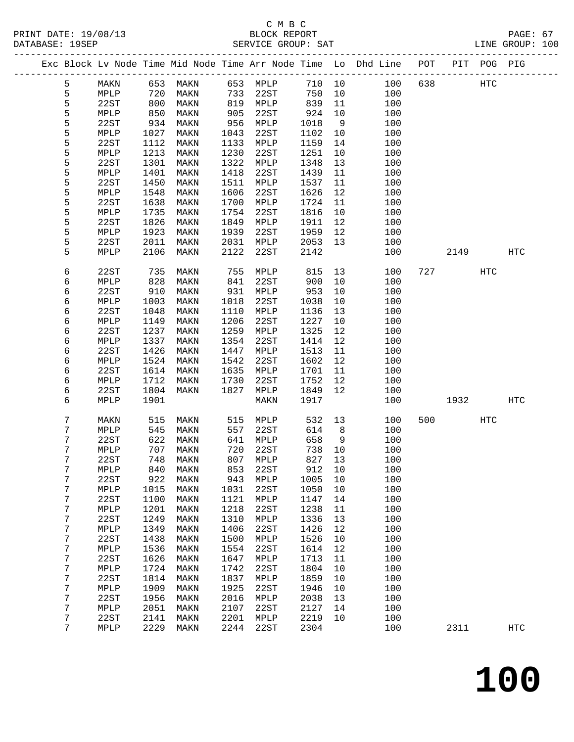|  |        |              |              |                         |              |              |              |          | Exc Block Lv Node Time Mid Node Time Arr Node Time Lo Dhd Line POT |     |      | PIT POG PIG |                   |
|--|--------|--------------|--------------|-------------------------|--------------|--------------|--------------|----------|--------------------------------------------------------------------|-----|------|-------------|-------------------|
|  | 5      | MAKN         | 653          | MAKN                    | 653          | MPLP         | 710 10       |          | 100                                                                | 638 |      | HTC         |                   |
|  | 5      | MPLP         | 720          | MAKN                    | 733          | 22ST         | 750          | 10       | 100                                                                |     |      |             |                   |
|  | 5      | 22ST         | 800          | MAKN                    | 819          | MPLP         | 839          | 11       | 100                                                                |     |      |             |                   |
|  | 5      | MPLP         | 850          | MAKN                    | 905          | 22ST         | 924          | 10       | 100                                                                |     |      |             |                   |
|  | 5      | 22ST         | 934          | MAKN                    | 956          | MPLP         | 1018         | 9        | 100                                                                |     |      |             |                   |
|  | 5      | MPLP         | 1027         | MAKN                    | 1043         | 22ST         | 1102         | 10       | 100                                                                |     |      |             |                   |
|  | 5      | 22ST         | 1112         | MAKN                    | 1133         | MPLP         | 1159         | 14       | 100                                                                |     |      |             |                   |
|  | 5      | MPLP         | 1213         | MAKN                    | 1230         | 22ST         | 1251         | 10       | 100                                                                |     |      |             |                   |
|  | 5      | 22ST         | 1301         | MAKN                    | 1322         | MPLP         | 1348         | 13       | 100                                                                |     |      |             |                   |
|  | 5      | MPLP         | 1401         | MAKN                    | 1418         | 22ST         | 1439         | 11       | 100                                                                |     |      |             |                   |
|  | 5      | 22ST         | 1450         | MAKN                    | 1511         | MPLP         | 1537         | 11       | 100                                                                |     |      |             |                   |
|  | 5      | MPLP         | 1548         | MAKN                    | 1606         | 22ST         | 1626         | 12       | 100                                                                |     |      |             |                   |
|  | 5      | 22ST         | 1638         | MAKN                    | 1700         | MPLP         | 1724         | 11       | 100                                                                |     |      |             |                   |
|  | 5      | MPLP         | 1735         | MAKN                    | 1754         | 22ST         | 1816         | $10\,$   | 100                                                                |     |      |             |                   |
|  | 5      | 22ST         | 1826         | MAKN                    | 1849         | MPLP         | 1911         | 12       | 100                                                                |     |      |             |                   |
|  | 5      | MPLP         | 1923         | MAKN                    | 1939         | 22ST         | 1959         | 12       | 100                                                                |     |      |             |                   |
|  | 5      | 22ST         | 2011         | MAKN                    | 2031         | MPLP         | 2053         | 13       | 100                                                                |     |      |             |                   |
|  | 5      | MPLP         | 2106         | MAKN                    | 2122         | 22ST         | 2142         |          | 100                                                                |     | 2149 |             | <b>HTC</b>        |
|  | 6      | 22ST         | 735          | MAKN                    | 755          | MPLP         | 815          | 13       | 100                                                                | 727 |      | HTC         |                   |
|  | 6      | MPLP         | 828          | MAKN                    | 841          | 22ST         | 900          | 10       | 100                                                                |     |      |             |                   |
|  | 6      | 22ST         | 910          | MAKN                    | 931          | MPLP         | 953          | 10       | 100                                                                |     |      |             |                   |
|  | 6      | MPLP         | 1003         | MAKN                    | 1018         | 22ST         | 1038         | 10       | 100                                                                |     |      |             |                   |
|  | 6      | 22ST         | 1048         | MAKN                    | 1110         | MPLP         | 1136         | 13       | 100                                                                |     |      |             |                   |
|  | 6      | MPLP         | 1149         | MAKN                    | 1206         | 22ST         | 1227         | 10       | 100                                                                |     |      |             |                   |
|  | 6      | 22ST         | 1237         | MAKN                    | 1259         | MPLP         | 1325         | 12       | 100                                                                |     |      |             |                   |
|  | 6      | MPLP         | 1337         | MAKN                    | 1354         | 22ST         | 1414         | 12       | 100                                                                |     |      |             |                   |
|  | 6      | 22ST         | 1426         | MAKN                    | 1447         | MPLP         | 1513         | 11       | 100                                                                |     |      |             |                   |
|  | 6      | MPLP         | 1524         | MAKN                    | 1542         | 22ST         | 1602         | 12       | 100                                                                |     |      |             |                   |
|  | 6      | 22ST         | 1614         | MAKN                    | 1635         | MPLP         | 1701         | 11       | 100                                                                |     |      |             |                   |
|  | 6      | MPLP         | 1712         | MAKN                    | 1730         | 22ST         | 1752         | 12       | 100                                                                |     |      |             |                   |
|  | 6      | 22ST         | 1804         | MAKN                    | 1827         | MPLP         | 1849         | 12       | 100                                                                |     |      |             |                   |
|  | 6      | MPLP         | 1901         |                         |              | MAKN         | 1917         |          | 100                                                                |     | 1932 |             | <b>HTC</b>        |
|  | 7      | MAKN         | 515          | MAKN                    | 515          | MPLP         | 532          | 13       | 100                                                                | 500 |      | HTC         |                   |
|  | 7      | MPLP         | 545          | MAKN                    | 557          | 22ST         | 614          | 8        | 100                                                                |     |      |             |                   |
|  | 7      | 22ST         | 622          | MAKN                    | 641          | MPLP         | 658          | 9        | 100                                                                |     |      |             |                   |
|  | 7      | MPLP         | 707          | MAKN                    | 720          | 22ST         | 738          | 10       | 100                                                                |     |      |             |                   |
|  | 7      | 22ST         | 748          | MAKN                    | 807          | MPLP         | 827          | 13       | 100                                                                |     |      |             |                   |
|  | 7      | MPLP         |              | 840 MAKN                |              | 853 22ST     | 912 10       |          | 100                                                                |     |      |             |                   |
|  | 7      | 22ST         | 922          | MAKN                    | 943          | MPLP         | 1005         | 10       | 100                                                                |     |      |             |                   |
|  | 7      | MPLP         | 1015         | MAKN                    | 1031         | 22ST         | 1050         | 10       | 100                                                                |     |      |             |                   |
|  | 7      | 22ST         | 1100         | MAKN                    | 1121         | MPLP         | 1147         | 14       | 100                                                                |     |      |             |                   |
|  | 7<br>7 | MPLP         | 1201<br>1249 | MAKN                    | 1218<br>1310 | 22ST         | 1238<br>1336 | 11       | 100<br>100                                                         |     |      |             |                   |
|  | 7      | 22ST         | 1349         | MAKN                    | 1406         | MPLP<br>22ST | 1426         | 13<br>12 | 100                                                                |     |      |             |                   |
|  |        | MPLP<br>22ST |              | MAKN                    | 1500         |              | 1526         |          | 100                                                                |     |      |             |                   |
|  | 7      |              | 1438<br>1536 | MAKN                    |              | MPLP<br>22ST |              | 10       | 100                                                                |     |      |             |                   |
|  | 7<br>7 | MPLP<br>22ST | 1626         | $\texttt{MAXN}$<br>MAKN | 1554<br>1647 | MPLP         | 1614<br>1713 | 12<br>11 | 100                                                                |     |      |             |                   |
|  | 7      | MPLP         | 1724         | MAKN                    | 1742         | 22ST         | 1804         | 10       | 100                                                                |     |      |             |                   |
|  | 7      | 22ST         | 1814         | MAKN                    | 1837         | MPLP         | 1859         | 10       | 100                                                                |     |      |             |                   |
|  | 7      | MPLP         | 1909         | MAKN                    | 1925         | 22ST         | 1946         | 10       | 100                                                                |     |      |             |                   |
|  | 7      | 22ST         | 1956         | MAKN                    | 2016         | MPLP         | 2038         | 13       | 100                                                                |     |      |             |                   |
|  | 7      | MPLP         | 2051         | MAKN                    | 2107         | 22ST         | 2127         | 14       | 100                                                                |     |      |             |                   |
|  | 7      | 22ST         | 2141         | MAKN                    | 2201         | MPLP         | 2219         | 10       | 100                                                                |     |      |             |                   |
|  | 7      | MPLP         | 2229         | MAKN                    | 2244         | 22ST         | 2304         |          | 100                                                                |     | 2311 |             | $_{\mathrm{HTC}}$ |
|  |        |              |              |                         |              |              |              |          |                                                                    |     |      |             |                   |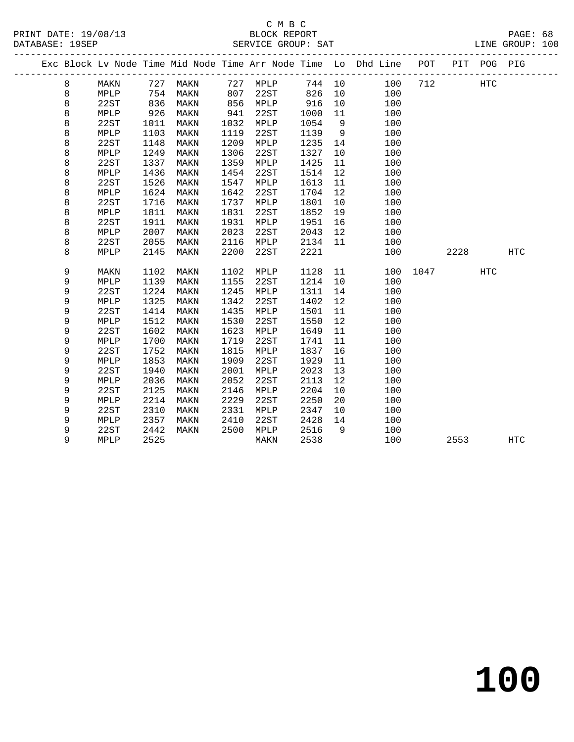|   |      |      |          |      |          |      |    | Exc Block Lv Node Time Mid Node Time Arr Node Time Lo Dhd Line POT |          |      | PIT POG PIG |            |  |
|---|------|------|----------|------|----------|------|----|--------------------------------------------------------------------|----------|------|-------------|------------|--|
| 8 | MAKN |      | 727 MAKN |      | 727 MPLP |      |    | 744 10<br>100                                                      | 712      |      | <b>HTC</b>  |            |  |
| 8 | MPLP | 754  | MAKN     | 807  | 22ST     | 826  | 10 | 100                                                                |          |      |             |            |  |
| 8 | 22ST | 836  | MAKN     | 856  | MPLP     | 916  | 10 | 100                                                                |          |      |             |            |  |
| 8 | MPLP | 926  | MAKN     | 941  | 22ST     | 1000 | 11 | 100                                                                |          |      |             |            |  |
| 8 | 22ST | 1011 | MAKN     | 1032 | MPLP     | 1054 | 9  | 100                                                                |          |      |             |            |  |
| 8 | MPLP | 1103 | MAKN     | 1119 | 22ST     | 1139 | 9  | 100                                                                |          |      |             |            |  |
| 8 | 22ST | 1148 | MAKN     | 1209 | MPLP     | 1235 | 14 | 100                                                                |          |      |             |            |  |
| 8 | MPLP | 1249 | MAKN     | 1306 | 22ST     | 1327 | 10 | 100                                                                |          |      |             |            |  |
| 8 | 22ST | 1337 | MAKN     | 1359 | MPLP     | 1425 | 11 | 100                                                                |          |      |             |            |  |
| 8 | MPLP | 1436 | MAKN     | 1454 | 22ST     | 1514 | 12 | 100                                                                |          |      |             |            |  |
| 8 | 22ST | 1526 | MAKN     | 1547 | MPLP     | 1613 | 11 | 100                                                                |          |      |             |            |  |
| 8 | MPLP | 1624 | MAKN     | 1642 | 22ST     | 1704 | 12 | 100                                                                |          |      |             |            |  |
| 8 | 22ST | 1716 | MAKN     | 1737 | MPLP     | 1801 | 10 | 100                                                                |          |      |             |            |  |
| 8 | MPLP | 1811 | MAKN     | 1831 | 22ST     | 1852 | 19 | 100                                                                |          |      |             |            |  |
| 8 | 22ST | 1911 | MAKN     | 1931 | MPLP     | 1951 | 16 | 100                                                                |          |      |             |            |  |
| 8 | MPLP | 2007 | MAKN     | 2023 | 22ST     | 2043 | 12 | 100                                                                |          |      |             |            |  |
| 8 | 22ST | 2055 | MAKN     | 2116 | MPLP     | 2134 | 11 | 100                                                                |          |      |             |            |  |
| 8 | MPLP | 2145 | MAKN     | 2200 | 22ST     | 2221 |    | 100                                                                |          | 2228 |             | HTC        |  |
| 9 | MAKN | 1102 | MAKN     | 1102 | MPLP     | 1128 | 11 |                                                                    | 100 1047 |      | HTC         |            |  |
| 9 | MPLP | 1139 | MAKN     | 1155 | 22ST     | 1214 | 10 | 100                                                                |          |      |             |            |  |
| 9 | 22ST | 1224 | MAKN     | 1245 | MPLP     | 1311 | 14 | 100                                                                |          |      |             |            |  |
| 9 | MPLP | 1325 | MAKN     | 1342 | 22ST     | 1402 | 12 | 100                                                                |          |      |             |            |  |
| 9 | 22ST | 1414 | MAKN     | 1435 | MPLP     | 1501 | 11 | 100                                                                |          |      |             |            |  |
| 9 | MPLP | 1512 | MAKN     | 1530 | 22ST     | 1550 | 12 | 100                                                                |          |      |             |            |  |
| 9 | 22ST | 1602 | MAKN     | 1623 | MPLP     | 1649 | 11 | 100                                                                |          |      |             |            |  |
| 9 | MPLP | 1700 | MAKN     | 1719 | 22ST     | 1741 | 11 | 100                                                                |          |      |             |            |  |
| 9 | 22ST | 1752 | MAKN     | 1815 | MPLP     | 1837 | 16 | 100                                                                |          |      |             |            |  |
| 9 | MPLP | 1853 | MAKN     | 1909 | 22ST     | 1929 | 11 | 100                                                                |          |      |             |            |  |
| 9 | 22ST | 1940 | MAKN     | 2001 | MPLP     | 2023 | 13 | 100                                                                |          |      |             |            |  |
| 9 | MPLP | 2036 | MAKN     | 2052 | 22ST     | 2113 | 12 | 100                                                                |          |      |             |            |  |
| 9 | 22ST | 2125 | MAKN     | 2146 | MPLP     | 2204 | 10 | 100                                                                |          |      |             |            |  |
| 9 | MPLP | 2214 | MAKN     | 2229 | 22ST     | 2250 | 20 | 100                                                                |          |      |             |            |  |
| 9 | 22ST | 2310 | MAKN     | 2331 | MPLP     | 2347 | 10 | 100                                                                |          |      |             |            |  |
| 9 | MPLP | 2357 | MAKN     | 2410 | 22ST     | 2428 | 14 | 100                                                                |          |      |             |            |  |
| 9 | 22ST | 2442 | MAKN     | 2500 | MPLP     | 2516 | 9  | 100                                                                |          |      |             |            |  |
| 9 | MPLP | 2525 |          |      | MAKN     | 2538 |    | 100                                                                |          | 2553 |             | <b>HTC</b> |  |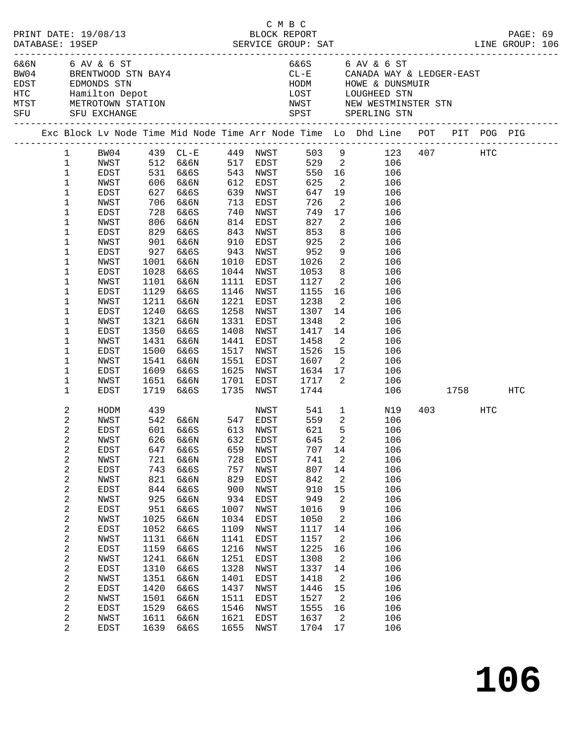| PRINT DATE: 19/08/13<br>DATABASE: 19SEP |                                |                                      |              |                                                         |                                           |                        | смвс<br>BLOCK REPORT     |                            | PAGE: 69                                                                                                                                                         |  |              |  |  |
|-----------------------------------------|--------------------------------|--------------------------------------|--------------|---------------------------------------------------------|-------------------------------------------|------------------------|--------------------------|----------------------------|------------------------------------------------------------------------------------------------------------------------------------------------------------------|--|--------------|--|--|
|                                         |                                | 6&6N 6 AV & 6 ST<br>SFU SFU EXCHANGE |              | BW04 BRENTWOOD STN BAY4                                 |                                           |                        |                          |                            | 6&6S 6 AV & 6 ST<br>CL-E CANADA WAY & LEDGER-EAST<br>HODM HOWE & DUNSMUIR<br>LOST LOUGHEED STN<br>NWST NEW WESTMINSTER STN<br>SPST SPERLING STN                  |  |              |  |  |
|                                         |                                |                                      |              |                                                         |                                           |                        |                          |                            | Exc Block Lv Node Time Mid Node Time Arr Node Time Lo Dhd Line POT PIT POG PIG<br>Exc Block Lv Node Time Mid Node Time Arr Node Time Lo Dhd Line POT PIT POG PIG |  |              |  |  |
|                                         |                                |                                      |              |                                                         |                                           |                        |                          |                            | 1 BW04 439 CL-E 449 NWST 503 9 123 407 HTC                                                                                                                       |  |              |  |  |
|                                         | $\mathbf{1}$                   |                                      |              |                                                         |                                           |                        |                          |                            | NWST 512 6&6N 517 EDST 529 2 106<br>EDST 531 6&6S 543 NWST 550 16 106<br>NWST 606 6&6N 612 EDST 625 2 106                                                        |  |              |  |  |
|                                         | $\mathbf{1}$                   |                                      |              |                                                         |                                           |                        |                          |                            |                                                                                                                                                                  |  |              |  |  |
|                                         | $\mathbf 1$                    |                                      |              |                                                         |                                           |                        |                          |                            |                                                                                                                                                                  |  |              |  |  |
|                                         | 1                              | EDST                                 |              | 627 6&6S                                                |                                           | 639 NWST               | 647                      |                            | 19<br>106                                                                                                                                                        |  |              |  |  |
|                                         | 1                              | NWST                                 |              | 706 6&6N                                                |                                           | 713 EDST               |                          |                            | $\overline{2}$<br>106                                                                                                                                            |  |              |  |  |
|                                         | 1                              | EDST                                 |              | 728 6&6S<br>806 6&6N                                    | $\begin{array}{c} 740 \\ 814 \end{array}$ | NWST                   |                          |                            | 17<br>106                                                                                                                                                        |  |              |  |  |
|                                         | 1<br>1                         | NWST<br>EDST                         | 829          | 6&6S                                                    | 843                                       | EDST<br>NWST           | 726<br>749<br>827<br>853 | $\overline{\mathbf{2}}$    | 106<br>8<br>106                                                                                                                                                  |  |              |  |  |
|                                         | 1                              | NWST                                 |              | 901 6&6N                                                | 910                                       | EDST                   | 925                      |                            | $\overline{2}$<br>106                                                                                                                                            |  |              |  |  |
|                                         | 1                              | EDST                                 | 927          | 6&6S                                                    | 943                                       | NWST                   |                          |                            | 9<br>106                                                                                                                                                         |  |              |  |  |
|                                         | 1                              | NWST                                 |              | 1001 6&6N                                               | 1010                                      | EDST                   | 952<br>1026              | $\overline{\mathbf{2}}$    | 106                                                                                                                                                              |  |              |  |  |
|                                         | 1                              | EDST                                 | 1028         | 6&6S                                                    |                                           | 1044 NWST              | 1053                     |                            | 8 <sup>1</sup><br>106                                                                                                                                            |  |              |  |  |
|                                         | 1                              | NWST                                 |              | 1101 6&6N                                               | 1111                                      | EDST                   | 1127                     |                            | $\overline{2}$<br>106                                                                                                                                            |  |              |  |  |
|                                         | 1                              | EDST                                 | 1129         | 6&6S                                                    | 1146                                      | NWST                   | 1155                     |                            | 16 10<br>106                                                                                                                                                     |  |              |  |  |
|                                         | 1                              | NWST                                 | 1211         | 6&6N                                                    | 1221                                      | EDST                   | 1238                     | $\overline{\mathbf{2}}$    | 106                                                                                                                                                              |  |              |  |  |
|                                         | 1                              | EDST                                 | 1240         | 6&6S                                                    | 1258                                      | NWST                   | 1307                     |                            | 14<br>106                                                                                                                                                        |  |              |  |  |
|                                         | $\mathbf 1$                    | NWST                                 | 1321         | 6&6N                                                    | 1331                                      | EDST                   | 1348                     |                            | $\overline{2}$<br>106                                                                                                                                            |  |              |  |  |
|                                         | 1                              | EDST                                 | 1350         | 6&6S                                                    | 1408                                      | NWST                   | 1417                     |                            | 14<br>106                                                                                                                                                        |  |              |  |  |
|                                         | 1                              | NWST                                 | 1431         | 6&6N                                                    | 1441                                      | EDST                   | 1458                     | $\overline{2}$             | 106<br>15                                                                                                                                                        |  |              |  |  |
|                                         | 1                              | EDST                                 | 1500         | 6&6S                                                    |                                           | 1517 NWST              | 1526<br>1607             |                            | 106<br>$\overline{2}$                                                                                                                                            |  |              |  |  |
|                                         | 1<br>1                         | NWST<br>EDST                         | 1609         | 1541 6&6N<br>6&6S                                       |                                           | 1551 EDST<br>1625 NWST |                          |                            | 106<br>106                                                                                                                                                       |  |              |  |  |
|                                         | 1                              | NWST                                 |              | 1651 6&6N                                               |                                           | 1701 EDST              |                          |                            | 106                                                                                                                                                              |  |              |  |  |
|                                         | 1                              | EDST                                 | 1719         | 6&6S                                                    |                                           | 1735 NWST              |                          |                            |                                                                                                                                                                  |  | 106 1758 HTC |  |  |
|                                         |                                |                                      |              |                                                         |                                           |                        |                          |                            |                                                                                                                                                                  |  |              |  |  |
|                                         | 2                              | HODM                                 | 439          |                                                         |                                           |                        | NWST 541                 |                            | $1 \qquad \qquad$<br>N19                                                                                                                                         |  | 403 HTC      |  |  |
|                                         | 2                              | NWST                                 |              | 542 6&6N      547   EDST<br>601   6&6S       613   NWST |                                           |                        | 559<br>621               |                            | $\overline{a}$<br>106                                                                                                                                            |  |              |  |  |
|                                         | $\overline{c}$<br>2            | EDST                                 |              | 626 6&6N 632 EDST 645 2                                 |                                           |                        |                          | 5                          | 106                                                                                                                                                              |  |              |  |  |
|                                         | 2                              | NWST<br>EDST                         | 647          | 6&6S                                                    | 659                                       | NWST                   | 707                      | 14                         | 106<br>106                                                                                                                                                       |  |              |  |  |
|                                         | 2                              | NWST                                 | 721          | 6&6N                                                    | 728                                       | EDST                   | 741                      | 2                          | 106                                                                                                                                                              |  |              |  |  |
|                                         | $\overline{\mathbf{c}}$        | EDST                                 | 743          | 6&6S                                                    | 757                                       | NWST                   | 807                      | 14                         | 106                                                                                                                                                              |  |              |  |  |
|                                         | 2                              | NWST                                 | 821          | 6&6N                                                    | 829                                       | EDST                   | 842                      | 2                          | 106                                                                                                                                                              |  |              |  |  |
|                                         | $\boldsymbol{2}$               | EDST                                 | 844          | 6&6S                                                    | 900                                       | NWST                   | 910                      | 15                         | 106                                                                                                                                                              |  |              |  |  |
|                                         | $\boldsymbol{2}$               | NWST                                 | 925          | 6&6N                                                    | 934                                       | EDST                   | 949                      | 2                          | 106                                                                                                                                                              |  |              |  |  |
|                                         | $\mathbf 2$                    | EDST                                 | 951          | 6&6S                                                    | 1007                                      | NWST                   | 1016                     | 9                          | 106                                                                                                                                                              |  |              |  |  |
|                                         | 2                              | NWST                                 | 1025         | 6&6N                                                    | 1034                                      | EDST                   | 1050                     | 2                          | 106                                                                                                                                                              |  |              |  |  |
|                                         | $\sqrt{2}$                     | EDST                                 | 1052         | 6&6S                                                    | 1109                                      | NWST                   | 1117                     | 14                         | 106                                                                                                                                                              |  |              |  |  |
|                                         | $\boldsymbol{2}$               | NWST                                 | 1131         | 6&6N                                                    | 1141                                      | EDST                   | 1157                     | 2                          | 106                                                                                                                                                              |  |              |  |  |
|                                         | $\sqrt{2}$                     | EDST                                 | 1159         | 6&6S                                                    | 1216                                      | NWST                   | 1225                     | 16                         | 106                                                                                                                                                              |  |              |  |  |
|                                         | $\overline{\mathbf{c}}$        | NWST                                 | 1241<br>1310 | 6&6N                                                    | 1251<br>1328                              | EDST                   | 1308<br>1337             | 2                          | 106                                                                                                                                                              |  |              |  |  |
|                                         | $\sqrt{2}$<br>$\boldsymbol{2}$ | EDST<br>NWST                         | 1351         | 6&6S<br>6&6N                                            | 1401                                      | NWST<br>EDST           | 1418                     | 14<br>2                    | 106<br>106                                                                                                                                                       |  |              |  |  |
|                                         | $\sqrt{2}$                     | EDST                                 | 1420         | 6&6S                                                    | 1437                                      | NWST                   | 1446                     | 15                         | 106                                                                                                                                                              |  |              |  |  |
|                                         | $\overline{\mathbf{c}}$        | NWST                                 | 1501         | 6&6N                                                    | 1511                                      | EDST                   | 1527                     | $\overline{\phantom{a}}^2$ | 106                                                                                                                                                              |  |              |  |  |
|                                         | $\mathbf{2}$                   | EDST                                 | 1529         | 6&6S                                                    | 1546                                      | NWST                   | 1555                     | 16                         | 106                                                                                                                                                              |  |              |  |  |
|                                         | 2                              | NWST                                 | 1611         | 6&6N                                                    | 1621                                      | EDST                   | 1637                     | 2                          | 106                                                                                                                                                              |  |              |  |  |
|                                         | $\overline{2}$                 | EDST                                 | 1639         | 6&6S                                                    | 1655                                      | NWST                   | 1704                     | 17                         | 106                                                                                                                                                              |  |              |  |  |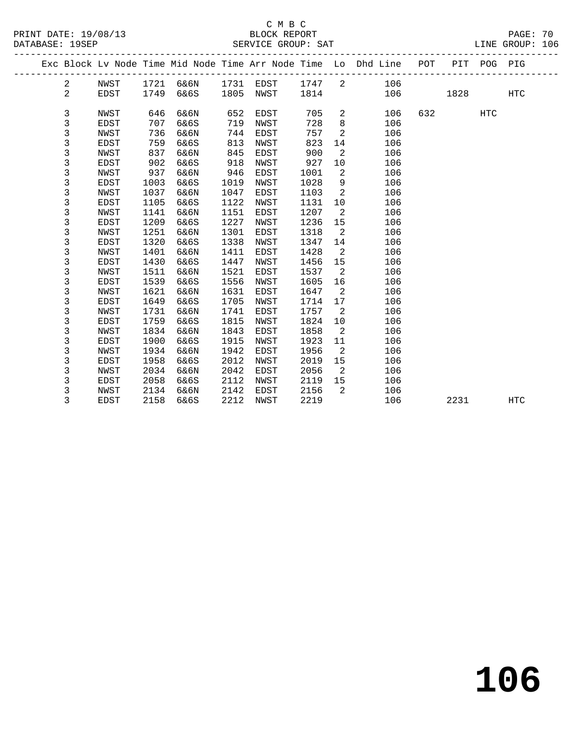|  |                |                     |              |              |              |              |              |         | Exc Block Lv Node Time Mid Node Time Arr Node Time Lo Dhd Line POT |     |      | PIT POG PIG |            |
|--|----------------|---------------------|--------------|--------------|--------------|--------------|--------------|---------|--------------------------------------------------------------------|-----|------|-------------|------------|
|  | $\mathbf{2}$   | NWST                | 1721         | 6&6N         | 1731         | EDST         | 1747         | 2       | 106                                                                |     |      |             |            |
|  | $\overline{2}$ | <b>EDST</b>         | 1749         | 6&6S         | 1805         | NWST         | 1814         |         | 106                                                                |     | 1828 |             | <b>HTC</b> |
|  |                |                     |              |              |              |              |              |         |                                                                    |     |      |             |            |
|  | 3              | NWST                | 646          | 6&6N         | 652          | EDST         | 705          | 2       | 106                                                                | 632 |      | HTC         |            |
|  | 3              | <b>EDST</b>         | 707          | 6&6S         | 719          | NWST         | 728          | 8       | 106                                                                |     |      |             |            |
|  | 3              | NWST                | 736          | 6&6N         | 744          | EDST         | 757          | 2       | 106                                                                |     |      |             |            |
|  | 3              | <b>EDST</b>         | 759          | 6&6S         | 813          | NWST         | 823          | 14      | 106                                                                |     |      |             |            |
|  | 3              | NWST                | 837          | 6&6N         | 845          | EDST         | 900          | 2       | 106                                                                |     |      |             |            |
|  | 3              | <b>EDST</b>         | 902          | 6&6S         | 918          | NWST         | 927          | 10      | 106                                                                |     |      |             |            |
|  | 3              | NWST                | 937          | 6&6N         | 946          | EDST         | 1001         | 2       | 106                                                                |     |      |             |            |
|  | 3              | <b>EDST</b>         | 1003         | 6&6S         | 1019         | NWST         | 1028         | 9       | 106                                                                |     |      |             |            |
|  | 3              | NWST                | 1037         | 6&6N         | 1047         | EDST         | 1103         | 2       | 106                                                                |     |      |             |            |
|  | 3              | EDST                | 1105         | 6&6S         | 1122         | NWST         | 1131         | 10      | 106                                                                |     |      |             |            |
|  | 3              | NWST                | 1141         | 6&6N         | 1151         | EDST         | 1207         | 2       | 106                                                                |     |      |             |            |
|  | 3              | <b>EDST</b>         | 1209         | 6&6S         | 1227         | NWST         | 1236         | 15      | 106                                                                |     |      |             |            |
|  | 3              | NWST                | 1251         | 6&6N         | 1301         | EDST         | 1318         | 2       | 106                                                                |     |      |             |            |
|  | 3              | EDST                | 1320         | 6&6S         | 1338         | NWST         | 1347         | 14      | 106                                                                |     |      |             |            |
|  | 3              | NWST                | 1401         | 6&6N         | 1411         | EDST         | 1428         | 2       | 106                                                                |     |      |             |            |
|  | 3<br>3         | <b>EDST</b>         | 1430         | 6&6S         | 1447         | NWST         | 1456         | 15<br>2 | 106                                                                |     |      |             |            |
|  |                | NWST                | 1511         | 6&6N         | 1521         | EDST         | 1537         |         | 106                                                                |     |      |             |            |
|  | 3              | EDST                | 1539         | 6&6S         | 1556         | NWST         | 1605         | 16<br>2 | 106                                                                |     |      |             |            |
|  | 3<br>3         | NWST                | 1621<br>1649 | 6&6N<br>6&6S | 1631<br>1705 | EDST         | 1647<br>1714 | 17      | 106<br>106                                                         |     |      |             |            |
|  | 3              | EDST<br><b>NWST</b> | 1731         | 6&6N         | 1741         | NWST<br>EDST | 1757         | 2       | 106                                                                |     |      |             |            |
|  | 3              | EDST                | 1759         | 6&6S         | 1815         | NWST         | 1824         | 10      | 106                                                                |     |      |             |            |
|  | 3              | NWST                | 1834         | 6&6N         | 1843         | EDST         | 1858         | 2       | 106                                                                |     |      |             |            |
|  | 3              | EDST                | 1900         | 6&6S         | 1915         | NWST         | 1923         | 11      | 106                                                                |     |      |             |            |
|  | 3              | NWST                | 1934         | 6&6N         | 1942         | <b>EDST</b>  | 1956         | 2       | 106                                                                |     |      |             |            |
|  | 3              | <b>EDST</b>         | 1958         | 6&6S         | 2012         | NWST         | 2019         | 15      | 106                                                                |     |      |             |            |
|  | 3              | NWST                | 2034         | 6&6N         | 2042         | EDST         | 2056         | 2       | 106                                                                |     |      |             |            |
|  | 3              | <b>EDST</b>         | 2058         | 6&6S         | 2112         | NWST         | 2119         | 15      | 106                                                                |     |      |             |            |
|  | 3              | NWST                | 2134         | 6&6N         | 2142         | <b>EDST</b>  | 2156         | 2       | 106                                                                |     |      |             |            |
|  | 3              | <b>EDST</b>         | 2158         | 6&6S         | 2212         | NWST         | 2219         |         | 106                                                                |     | 2231 |             | <b>HTC</b> |
|  |                |                     |              |              |              |              |              |         |                                                                    |     |      |             |            |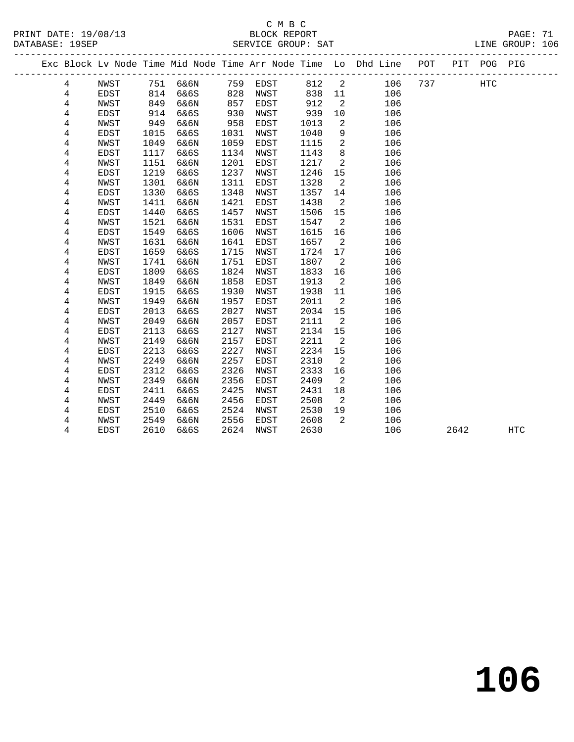| PRINT DATE: 19/08/13<br>DATABASE: 19SEP |                |             |      |          |      |             | C M B C |      |                | PAGE: 71<br>BLOCK REPORT PAGE: 71<br>SERVICE GROUP: SAT LINE GROUP: 106        |     |              |  |
|-----------------------------------------|----------------|-------------|------|----------|------|-------------|---------|------|----------------|--------------------------------------------------------------------------------|-----|--------------|--|
|                                         |                |             |      |          |      |             |         |      |                | Exc Block Lv Node Time Mid Node Time Arr Node Time Lo Dhd Line POT PIT POG PIG |     |              |  |
|                                         | 4              | NWST        |      | 751 6&6N | 759  | EDST        |         | 812  |                | $\overline{2}$<br>106                                                          | 737 | $_{\rm HTC}$ |  |
|                                         | 4              | EDST        | 814  | 6&6S     | 828  | NWST        |         | 838  | 11             | 106                                                                            |     |              |  |
|                                         | $\overline{4}$ | NWST        | 849  | 6&6N     | 857  | EDST        |         | 912  | 2              | 106                                                                            |     |              |  |
|                                         | $\overline{4}$ | EDST        | 914  | 6&6S     | 930  | NWST        |         | 939  | 10             | 106                                                                            |     |              |  |
|                                         | 4              | NWST        | 949  | 6&6N     | 958  | EDST        |         | 1013 | $\overline{2}$ | 106                                                                            |     |              |  |
|                                         | 4              | EDST        | 1015 | 6&6S     | 1031 | NWST        |         | 1040 | 9              | 106                                                                            |     |              |  |
|                                         | 4              | NWST        | 1049 | 6&6N     | 1059 | EDST        |         | 1115 | 2              | 106                                                                            |     |              |  |
|                                         | 4              | <b>EDST</b> | 1117 | 6&6S     | 1134 | NWST        |         | 1143 | 8              | 106                                                                            |     |              |  |
|                                         | 4              | NWST        | 1151 | 6&6N     | 1201 | <b>EDST</b> |         | 1217 | 2              | 106                                                                            |     |              |  |
|                                         | 4              | <b>EDST</b> | 1219 | 6&6S     | 1237 | NWST        |         | 1246 | 15             | 106                                                                            |     |              |  |
|                                         | 4              | NWST        | 1301 | 6&6N     | 1311 | EDST        |         | 1328 | 2              | 106                                                                            |     |              |  |
|                                         | 4              | <b>EDST</b> | 1330 | 6&6S     | 1348 | NWST        |         | 1357 | 14             | 106                                                                            |     |              |  |
|                                         | 4              | NWST        | 1411 | 6&6N     | 1421 | EDST        |         | 1438 | $\overline{a}$ | 106                                                                            |     |              |  |
|                                         | 4              | <b>EDST</b> | 1440 | 6&6S     | 1457 | NWST        |         | 1506 | 15             | 106                                                                            |     |              |  |
|                                         | 4              | NWST        | 1521 | 6&6N     | 1531 | EDST        |         | 1547 | $\overline{2}$ | 106                                                                            |     |              |  |
|                                         | 4              | EDST        | 1549 | 6&6S     | 1606 | NWST        |         | 1615 | 16             | 106                                                                            |     |              |  |
|                                         | 4              | NWST        | 1631 | 6&6N     | 1641 | EDST        |         | 1657 | 2              | 106                                                                            |     |              |  |
|                                         | 4              | EDST        | 1659 | 6&6S     | 1715 | NWST        |         | 1724 | 17             | 106                                                                            |     |              |  |
|                                         | 4              | NWST        | 1741 | 6&6N     | 1751 | EDST        |         | 1807 | 2              | 106                                                                            |     |              |  |
|                                         | 4              | EDST        | 1809 | 6&6S     | 1824 | NWST        |         | 1833 | 16             | 106                                                                            |     |              |  |
|                                         | 4              | NWST        | 1849 | 6&6N     | 1858 | EDST        |         | 1913 | $\overline{2}$ | 106                                                                            |     |              |  |
|                                         | 4              | EDST        | 1915 | 6&6S     | 1930 | NWST        |         | 1938 | 11             | 106                                                                            |     |              |  |
|                                         | 4              | NWST        | 1949 | 6&6N     | 1957 | <b>EDST</b> |         | 2011 | $\overline{2}$ | 106                                                                            |     |              |  |
|                                         | 4              | EDST        | 2013 | 6&6S     | 2027 | NWST        |         | 2034 | 15             | 106                                                                            |     |              |  |
|                                         | 4              | NWST        | 2049 | 6&6N     | 2057 | EDST        |         | 2111 | 2              | 106                                                                            |     |              |  |
|                                         | 4              | EDST        | 2113 | 6&6S     | 2127 | NWST        |         | 2134 | 15             | 106                                                                            |     |              |  |
|                                         | 4              | NWST        | 2149 | 6&6N     | 2157 | <b>EDST</b> |         | 2211 | 2              | 106                                                                            |     |              |  |
|                                         | 4              | EDST        | 2213 | 6&6S     | 2227 | NWST        |         | 2234 | 15             | 106                                                                            |     |              |  |
|                                         | 4              | NWST        | 2249 | 6&6N     | 2257 | EDST        |         | 2310 | $\overline{2}$ | 106                                                                            |     |              |  |
|                                         | 4              | EDST        | 2312 | 6&6S     | 2326 | NWST        |         | 2333 | 16             | 106                                                                            |     |              |  |
|                                         | 4              | NWST        | 2349 | 6&6N     | 2356 | EDST        |         | 2409 | 2              | 106                                                                            |     |              |  |
|                                         | 4              | EDST        | 2411 | 6&6S     | 2425 | NWST        |         | 2431 | 18             | 106                                                                            |     |              |  |
|                                         | 4              | NWST        | 2449 | 6&6N     | 2456 | EDST        |         | 2508 | 2              | 106                                                                            |     |              |  |
|                                         | 4              | <b>EDST</b> | 2510 | 6&6S     | 2524 | NWST        |         | 2530 | 19             | 106                                                                            |     |              |  |

4 NWST 2549 6&6N 2556 EDST 2608 2 106

4 EDST 2610 6&6S 2624 NWST 2630 106 2642 HTC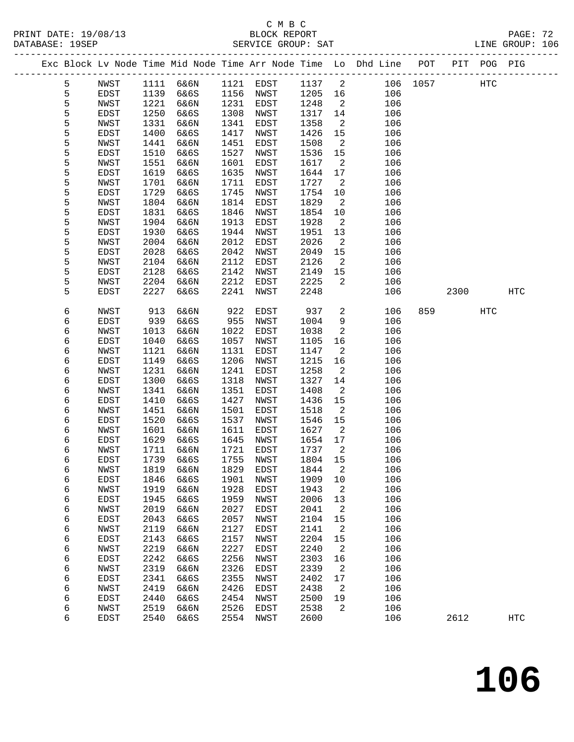#### C M B C<br>BLOCK REPORT SERVICE GROUP: SAT

| ---------- |              |              |              |             | DAILLE OILOUIT |              |                |                                                                    |          |      |             |     |
|------------|--------------|--------------|--------------|-------------|----------------|--------------|----------------|--------------------------------------------------------------------|----------|------|-------------|-----|
|            |              |              |              |             |                |              |                | Exc Block Lv Node Time Mid Node Time Arr Node Time Lo Dhd Line POT |          |      | PIT POG PIG |     |
| 5          | NWST         | 1111         | 6&6N         | 1121        | EDST           | 1137         | 2              |                                                                    | 106 1057 |      | HTC         |     |
| 5          | EDST         | 1139         | 6&6S         | 1156        | NWST           | 1205         | 16             | 106                                                                |          |      |             |     |
| 5          | NWST         | 1221         | 6&6N         | 1231        | EDST           | 1248         | $\overline{a}$ | 106                                                                |          |      |             |     |
| 5          | EDST         | 1250         | 6&6S         | 1308        | NWST           | 1317         | 14             | 106                                                                |          |      |             |     |
| 5          | NWST         | 1331         | 6&6N         | 1341        | EDST           | 1358         | $\overline{a}$ | 106                                                                |          |      |             |     |
| 5          | EDST         | 1400         | 6&6S         | 1417        | NWST           | 1426         | 15             | 106                                                                |          |      |             |     |
| 5          | NWST         | 1441         | 6&6N         | 1451        | EDST           | 1508         | 2              | 106                                                                |          |      |             |     |
| 5          | EDST         | 1510         | 6&6S         | 1527        | NWST           | 1536         | 15             | 106                                                                |          |      |             |     |
| 5          | NWST         | 1551         | 6&6N         | 1601        | EDST           | 1617         | $\overline{a}$ | 106                                                                |          |      |             |     |
| 5          | EDST         | 1619         | 6&6S         | 1635        | NWST           | 1644         | 17             | 106                                                                |          |      |             |     |
| 5          | NWST         | 1701         | 6&6N         | 1711        | EDST           | 1727         | 2              | 106                                                                |          |      |             |     |
| 5          | EDST         | 1729         | 6&6S         | 1745        | NWST           | 1754         | 10             | 106                                                                |          |      |             |     |
| 5          | NWST         | 1804         | 6&6N         | 1814        | EDST           | 1829         | 2              | 106                                                                |          |      |             |     |
| 5          | EDST         | 1831         | 6&6S         | 1846        | NWST           | 1854         | 10             | 106                                                                |          |      |             |     |
| 5          | NWST         | 1904         | 6&6N         | 1913        | EDST           | 1928         | 2              | 106                                                                |          |      |             |     |
| 5          | EDST         | 1930         | 6&6S         | 1944        | NWST           | 1951         | 13             | 106                                                                |          |      |             |     |
| 5          | NWST         | 2004         | 6&6N         | 2012        | EDST           | 2026         | $\overline{a}$ | 106                                                                |          |      |             |     |
| 5          | EDST         | 2028         | 6&6S         | 2042        | NWST           | 2049         | 15             | 106                                                                |          |      |             |     |
| 5          | NWST         | 2104         | 6&6N         | 2112        | EDST           | 2126         | $\overline{a}$ | 106                                                                |          |      |             |     |
| 5          | EDST         | 2128         | 6&6S         | 2142        | NWST           | 2149         | 15             | 106                                                                |          |      |             |     |
| 5          | NWST         | 2204         | 6&6N         | 2212        | EDST           | 2225         | 2              | 106                                                                |          |      |             |     |
| 5          | EDST         | 2227         | 6&6S         | 2241        | NWST           | 2248         |                | 106                                                                |          | 2300 |             | HTC |
|            |              |              |              |             |                |              |                |                                                                    |          |      |             |     |
| 6          | NWST         | 913          | 6&6N         | 922         | EDST           | 937          | $\overline{a}$ | 106                                                                | 859      |      | HTC         |     |
| 6          | EDST         | 939          | 6&6S         | 955<br>1022 | NWST<br>EDST   | 1004<br>1038 | 9              | 106                                                                |          |      |             |     |
| 6          | NWST<br>EDST | 1013<br>1040 | 6&6N<br>6&6S | 1057        | <b>NWST</b>    |              | 2              | 106<br>106                                                         |          |      |             |     |
| 6<br>6     |              |              |              | 1131        |                | 1105         | 16<br>2        |                                                                    |          |      |             |     |
| б          | NWST<br>EDST | 1121<br>1149 | 6&6N<br>6&6S | 1206        | EDST<br>NWST   | 1147<br>1215 | 16             | 106<br>106                                                         |          |      |             |     |
| 6          | NWST         | 1231         | 6&6N         | 1241        | EDST           | 1258         | $\overline{a}$ | 106                                                                |          |      |             |     |
| 6          | EDST         | 1300         | 6&6S         | 1318        | <b>NWST</b>    | 1327         | 14             | 106                                                                |          |      |             |     |
| 6          | NWST         | 1341         | 6&6N         | 1351        | EDST           | 1408         | 2              | 106                                                                |          |      |             |     |
| 6          | EDST         | 1410         | 6&6S         | 1427        | NWST           | 1436         | 15             | 106                                                                |          |      |             |     |
| б          | NWST         | 1451         | 6&6N         | 1501        | EDST           | 1518         | $\overline{c}$ | 106                                                                |          |      |             |     |
| 6          | EDST         | 1520         | 6&6S         | 1537        | NWST           | 1546         | 15             | 106                                                                |          |      |             |     |
| 6          | NWST         | 1601         | 6&6N         | 1611        | EDST           | 1627         | 2              | 106                                                                |          |      |             |     |
| 6          | EDST         | 1629         | 6&6S         | 1645        | NWST           | 1654         | 17             | 106                                                                |          |      |             |     |
| 6          | NWST         | 1711         | 6&6N         | 1721        | EDST           | 1737         | 2              | 106                                                                |          |      |             |     |
| 6          | EDST         | 1739         | 6&6S         | 1755        | NWST           | 1804         | 15             | 106                                                                |          |      |             |     |
| 6          | NWST         | 1819         | 6&6N         | 1829        | EDST           | 1844         | 2              | 106                                                                |          |      |             |     |
| 6          | EDST         | 1846         | 6&6S         | 1901        | NWST           | 1909         | 10             | 106                                                                |          |      |             |     |
| б          | NWST         | 1919         | 6&6N         | 1928        | EDST           | 1943         | 2              | 106                                                                |          |      |             |     |
| 6          | EDST         | 1945         | 6&6S         | 1959        | NWST           | 2006         | 13             | 106                                                                |          |      |             |     |
| 6          | NWST         | 2019         | 6&6N         | 2027        | EDST           | 2041         | 2              | 106                                                                |          |      |             |     |
| б          | EDST         | 2043         | 6&6S         | 2057        | NWST           | 2104         | 15             | 106                                                                |          |      |             |     |
| б          | NWST         | 2119         | 6&6N         | 2127        | EDST           | 2141         | $\overline{c}$ | 106                                                                |          |      |             |     |
| 6          | EDST         | 2143         | 6&6S         | 2157        | NWST           | 2204         | 15             | 106                                                                |          |      |             |     |
| 6          | NWST         | 2219         | 6&6N         | 2227        | EDST           | 2240         | 2              | 106                                                                |          |      |             |     |
| б          | EDST         | 2242         | 6&6S         | 2256        | NWST           | 2303         | 16             | 106                                                                |          |      |             |     |
| б          | NWST         | 2319         | 6&6N         | 2326        | EDST           | 2339         | 2              | 106                                                                |          |      |             |     |

 6 EDST 2341 6&6S 2355 NWST 2402 17 106 6 NWST 2419 6&6N 2426 EDST 2438 2 106 6 EDST 2440 6&6S 2454 NWST 2500 19 106 6 NWST 2519 6&6N 2526 EDST 2538 2 106

6 EDST 2540 6&6S 2554 NWST 2600 106 2612 HTC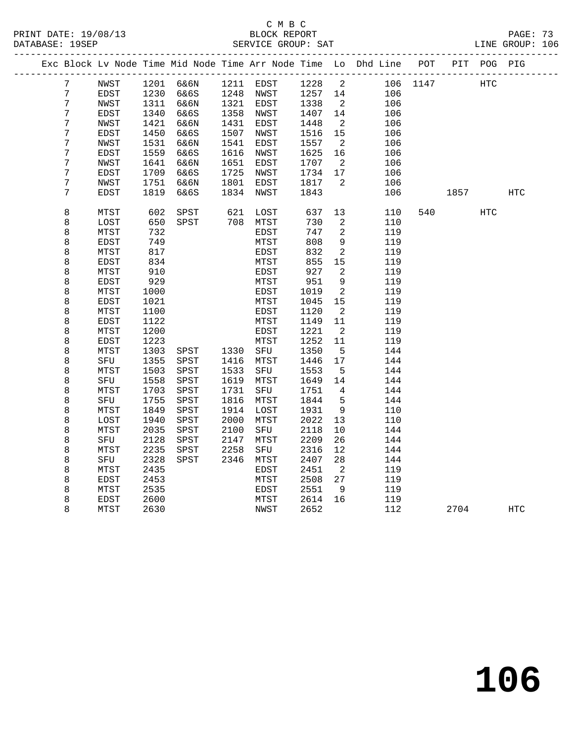### C M B C SERVICE GROUP: SAT

| PRINT DATE: 19/08/13 | BLOCK REPORT       | PAGE: 73        |  |
|----------------------|--------------------|-----------------|--|
| DATABASE: 19SEP      | SERVICE GROUP: SAT | LINE GROUP: 106 |  |

|                |             |              |              |              |             |              |                | Exc Block Lv Node Time Mid Node Time Arr Node Time Lo Dhd Line POT |      |      | PIT POG PIG |            |
|----------------|-------------|--------------|--------------|--------------|-------------|--------------|----------------|--------------------------------------------------------------------|------|------|-------------|------------|
| 7              | NWST        | 1201         | 6&6N         |              | 1211 EDST   | 1228         | 2              | 106                                                                | 1147 |      | <b>HTC</b>  |            |
| $\overline{7}$ | EDST        | 1230         | 6&6S         | 1248         | NWST        | 1257         | 14             | 106                                                                |      |      |             |            |
| 7              | NWST        | 1311         | 6&6N         | 1321         | EDST        | 1338         | 2              | 106                                                                |      |      |             |            |
| 7              | EDST        | 1340         | 6&6S         | 1358         | NWST        | 1407         | 14             | 106                                                                |      |      |             |            |
| 7              | NWST        | 1421         | 6&6N         | 1431         | EDST        | 1448         | 2              | 106                                                                |      |      |             |            |
| 7              | EDST        | 1450         | 6&6S         | 1507         | NWST        | 1516         | 15             | 106                                                                |      |      |             |            |
| 7              | NWST        | 1531         | 6&6N         | 1541         | EDST        | 1557         | 2              | 106                                                                |      |      |             |            |
| 7              | EDST        | 1559         | 6&6S         | 1616         | NWST        | 1625         | 16             | 106                                                                |      |      |             |            |
| 7              | NWST        | 1641         | 6&6N         | 1651         | EDST        | 1707         | $\overline{2}$ | 106                                                                |      |      |             |            |
| 7              | EDST        | 1709         | 6&6S         | 1725         | NWST        | 1734         | 17             | 106                                                                |      |      |             |            |
| 7              | NWST        | 1751         | 6&6N         | 1801         | EDST        | 1817         | 2              | 106                                                                |      |      |             |            |
| 7              | EDST        | 1819         | 6&6S         | 1834         | NWST        | 1843         |                | 106                                                                |      | 1857 |             | HTC        |
| 8              | MTST        | 602          | SPST         | 621          | LOST        | 637          | 13             | 110                                                                | 540  |      | <b>HTC</b>  |            |
| 8              | LOST        | 650          | SPST         | 708          | MTST        | 730          | 2              | 110                                                                |      |      |             |            |
| 8              | MTST        | 732          |              |              | EDST        | 747          | 2              | 119                                                                |      |      |             |            |
| 8              | EDST        | 749          |              |              | MTST        | 808          | 9              | 119                                                                |      |      |             |            |
| 8              | MTST        | 817          |              |              | EDST        | 832          | 2              | 119                                                                |      |      |             |            |
| 8              | <b>EDST</b> | 834          |              |              | MTST        | 855          | 15             | 119                                                                |      |      |             |            |
| 8              | MTST        | 910          |              |              | EDST        | 927          | 2              | 119                                                                |      |      |             |            |
| 8              | EDST        | 929          |              |              | MTST        | 951          | $\,9$          | 119                                                                |      |      |             |            |
| 8              | MTST        | 1000         |              |              | EDST        | 1019         | 2              | 119                                                                |      |      |             |            |
| 8              | EDST        | 1021         |              |              | MTST        | 1045         | 15             | 119                                                                |      |      |             |            |
| 8              | MTST        | 1100         |              |              | EDST        | 1120         | 2              | 119                                                                |      |      |             |            |
| 8              | EDST        | 1122         |              |              | MTST        | 1149         | 11             | 119                                                                |      |      |             |            |
| 8              | MTST        | 1200         |              |              | EDST        | 1221         | 2              | 119                                                                |      |      |             |            |
| 8              | EDST        | 1223         |              |              | MTST        | 1252         | 11             | 119                                                                |      |      |             |            |
| 8              | MTST        | 1303         | SPST         | 1330         | SFU         | 1350         | 5              | 144                                                                |      |      |             |            |
| 8              | SFU         | 1355         | ${\tt SPST}$ | 1416         | MTST        | 1446         | 17             | 144                                                                |      |      |             |            |
| 8              | MTST<br>SFU | 1503<br>1558 | SPST<br>SPST | 1533<br>1619 | SFU<br>MTST | 1553<br>1649 | 5<br>14        | 144<br>144                                                         |      |      |             |            |
| 8<br>8         | MTST        | 1703         | SPST         | 1731         | SFU         | 1751         | 4              | 144                                                                |      |      |             |            |
| 8              | SFU         | 1755         | SPST         | 1816         | MTST        | 1844         | 5              | 144                                                                |      |      |             |            |
| 8              | MTST        | 1849         | SPST         | 1914         | LOST        | 1931         | $\,9$          | 110                                                                |      |      |             |            |
| 8              | LOST        | 1940         | SPST         | 2000         | MTST        | 2022         | 13             | 110                                                                |      |      |             |            |
| 8              | MTST        | 2035         | SPST         | 2100         | SFU         | 2118         | 10             | 144                                                                |      |      |             |            |
| 8              | SFU         | 2128         | SPST         | 2147         | MTST        | 2209         | 26             | 144                                                                |      |      |             |            |
| 8              | MTST        | 2235         | SPST         | 2258         | SFU         | 2316         | 12             | 144                                                                |      |      |             |            |
| 8              | SFU         | 2328         | SPST         | 2346         | MTST        | 2407         | 28             | 144                                                                |      |      |             |            |
| 8              | MTST        | 2435         |              |              | EDST        | 2451         | $\overline{2}$ | 119                                                                |      |      |             |            |
| 8              | <b>EDST</b> | 2453         |              |              | MTST        | 2508         | 27             | 119                                                                |      |      |             |            |
| 8              | MTST        | 2535         |              |              | EDST        | 2551         | 9              | 119                                                                |      |      |             |            |
| 8              | EDST        | 2600         |              |              | MTST        | 2614         | 16             | 119                                                                |      |      |             |            |
| 8              | MTST        | 2630         |              |              | NWST        | 2652         |                | 112                                                                |      | 2704 |             | <b>HTC</b> |
|                |             |              |              |              |             |              |                |                                                                    |      |      |             |            |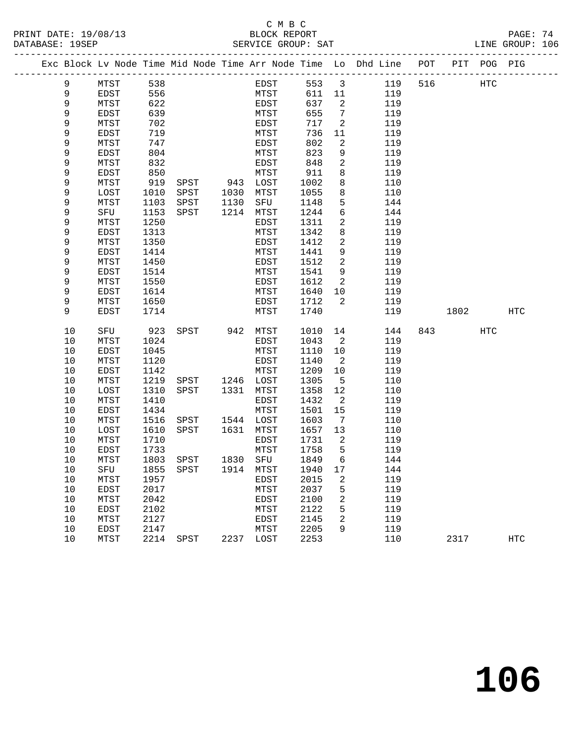|  |            | Exc Block Lv Node Time Mid Node Time Arr Node Time Lo Dhd Line POT PIT POG PIG |              |                             |           |              |              |                         |            |     |      |            |     |
|--|------------|--------------------------------------------------------------------------------|--------------|-----------------------------|-----------|--------------|--------------|-------------------------|------------|-----|------|------------|-----|
|  | 9          | MTST                                                                           | 538          |                             |           | EDST         | 553          | $\overline{\mathbf{3}}$ | 119        | 516 |      | HTC        |     |
|  | 9          | EDST                                                                           | 556          |                             |           | MTST         | 611          | 11                      | 119        |     |      |            |     |
|  | 9          | MTST                                                                           | 622          |                             |           | EDST         | 637          | 2                       | 119        |     |      |            |     |
|  | 9          | EDST                                                                           | 639          |                             |           | MTST         | 655          | 7                       | 119        |     |      |            |     |
|  | 9          | MTST                                                                           | 702          |                             |           | EDST         | 717          | 2                       | 119        |     |      |            |     |
|  | 9          | EDST                                                                           | 719          |                             |           | MTST         | 736          | 11                      | 119        |     |      |            |     |
|  | 9          | MTST                                                                           | 747          |                             |           | EDST         | 802          | 2                       | 119        |     |      |            |     |
|  | 9          | EDST                                                                           | 804          |                             |           | MTST         | 823          | 9                       | 119        |     |      |            |     |
|  | 9          | MTST                                                                           | 832          |                             |           | EDST         | 848          | $\overline{a}$          | 119        |     |      |            |     |
|  | 9          | EDST                                                                           | 850          |                             |           | MTST         | 911          | 8                       | 119        |     |      |            |     |
|  | 9          | MTST                                                                           | 919          | SPST                        | 943 LOST  |              | 1002         | 8                       | 110        |     |      |            |     |
|  | 9          | LOST                                                                           | 1010         | SPST                        | 1030      | MTST         | 1055         | 8                       | 110        |     |      |            |     |
|  | 9          | MTST                                                                           | 1103         | SPST                        | 1130      | SFU          | 1148         | 5                       | 144        |     |      |            |     |
|  | 9          | SFU                                                                            | 1153         | SPST                        | 1214      | MTST         | 1244         | 6                       | 144        |     |      |            |     |
|  | 9          | MTST                                                                           | 1250         |                             |           | EDST         | 1311         | $\mathbf{2}$            | 119        |     |      |            |     |
|  | 9          | EDST                                                                           | 1313         |                             |           | MTST         | 1342         | 8                       | 119        |     |      |            |     |
|  | 9          | MTST                                                                           | 1350         |                             |           | EDST         | 1412         | 2                       | 119        |     |      |            |     |
|  | 9          | EDST                                                                           | 1414         |                             |           | MTST         | 1441         | 9<br>$\overline{2}$     | 119        |     |      |            |     |
|  | 9<br>9     | MTST                                                                           | 1450         |                             |           | EDST         | 1512         | 9                       | 119        |     |      |            |     |
|  | 9          | EDST                                                                           | 1514<br>1550 |                             |           | MTST<br>EDST | 1541<br>1612 | 2                       | 119<br>119 |     |      |            |     |
|  | 9          | MTST<br><b>EDST</b>                                                            | 1614         |                             |           | MTST         | 1640         | 10                      | 119        |     |      |            |     |
|  | 9          | MTST                                                                           | 1650         |                             |           | EDST         | 1712         | 2                       | 119        |     |      |            |     |
|  | 9          | <b>EDST</b>                                                                    | 1714         |                             |           | MTST         | 1740         |                         | 119        |     | 1802 |            | HTC |
|  |            |                                                                                |              |                             |           |              |              |                         |            |     |      |            |     |
|  | 10         | SFU                                                                            | 923          | SPST                        | 942       | MTST         | 1010         | 14                      | 144        | 843 |      | <b>HTC</b> |     |
|  | 10         | MTST                                                                           | 1024         |                             |           | EDST         | 1043         | 2                       | 119        |     |      |            |     |
|  | 10         | EDST                                                                           | 1045         |                             |           | MTST         | 1110         | 10                      | 119        |     |      |            |     |
|  | 10         | MTST                                                                           | 1120         |                             |           | EDST         | 1140         | $\overline{2}$          | 119        |     |      |            |     |
|  | 10         | EDST                                                                           | 1142         |                             |           | MTST         | 1209         | 10                      | 119        |     |      |            |     |
|  | 10         | MTST                                                                           | 1219         | SPST                        | 1246 LOST |              | 1305         | 5                       | 110        |     |      |            |     |
|  | 10         | LOST                                                                           | 1310         | SPST                        | 1331      | MTST         | 1358         | 12                      | 110        |     |      |            |     |
|  | $10$       | MTST                                                                           | 1410         |                             |           | EDST         | 1432         | 2                       | 119        |     |      |            |     |
|  | 10         | EDST                                                                           | 1434         |                             |           | MTST         | 1501         | 15                      | 119        |     |      |            |     |
|  | 10         | MTST                                                                           | 1516         | SPST                        | 1544 LOST |              | 1603         | 7                       | 110        |     |      |            |     |
|  | 10         | LOST                                                                           | 1610         | SPST                        | 1631 MTST |              | 1657         | 13                      | 110        |     |      |            |     |
|  | 10         | MTST                                                                           | 1710         |                             |           | EDST         | 1731         | $\overline{2}$          | 119        |     |      |            |     |
|  | 10         | EDST                                                                           | 1733         |                             |           | MTST         | 1758         | $5^{\circ}$<br>6        | 119        |     |      |            |     |
|  | 10<br>$10$ | MTST                                                                           | 1803         | SPST                        | 1830 SFU  |              | 1849         |                         | 144        |     |      |            |     |
|  | 10         | SFU<br>MTST                                                                    | 1957         | 1855 SPST 1914 MTST 1940 17 |           | EDST         | 2015         | 2                       | 144<br>119 |     |      |            |     |
|  | 10         | <b>EDST</b>                                                                    | 2017         |                             |           | MTST         | 2037         | 5                       | 119        |     |      |            |     |
|  | 10         | MTST                                                                           | 2042         |                             |           | EDST         | 2100         | 2                       | 119        |     |      |            |     |
|  | 10         | <b>EDST</b>                                                                    | 2102         |                             |           | MTST         | 2122         | 5                       | 119        |     |      |            |     |
|  | 10         | MTST                                                                           | 2127         |                             |           | EDST         | 2145         | 2                       | 119        |     |      |            |     |
|  | 10         | <b>EDST</b>                                                                    | 2147         |                             |           | MTST         | 2205         | 9                       | 119        |     |      |            |     |
|  | 10         | MTST                                                                           | 2214         | SPST                        | 2237      | LOST         | 2253         |                         | 110        |     | 2317 |            | HTC |
|  |            |                                                                                |              |                             |           |              |              |                         |            |     |      |            |     |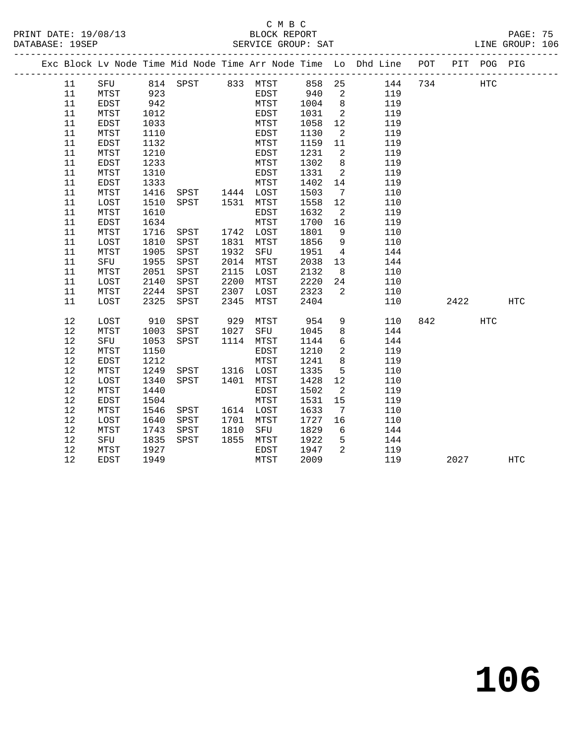### C M B C<br>BLOCK REPORT PRINT DATE: 19/08/13 BLOCK REPORT PAGE: 75 SERVICE GROUP: SAT

**106**

|  |          |             |              |                |              |              |              |                         | Exc Block Lv Node Time Mid Node Time Arr Node Time Lo Dhd Line POT |     |      | PIT POG PIG |     |  |
|--|----------|-------------|--------------|----------------|--------------|--------------|--------------|-------------------------|--------------------------------------------------------------------|-----|------|-------------|-----|--|
|  | 11       |             |              |                |              |              |              |                         | SFU 814 SPST 833 MTST 858 25 144<br>MTST 923 EDST 940 2 119        | 734 |      | <b>HTC</b>  |     |  |
|  | 11       |             | 923          |                |              |              |              |                         |                                                                    |     |      |             |     |  |
|  | 11       | EDST        | 942          |                |              | MTST 1004    |              | 8 <sup>8</sup>          | 119                                                                |     |      |             |     |  |
|  | 11       | MTST        | 1012         |                |              | EDST         | 1031         | $\overline{\mathbf{2}}$ | 119                                                                |     |      |             |     |  |
|  | 11       | EDST        | 1033         |                |              | MTST         | 1058         | 12                      | 119                                                                |     |      |             |     |  |
|  | 11       | MTST        | 1110         |                |              | EDST         | 1130         | $\overline{2}$          | 119                                                                |     |      |             |     |  |
|  | 11       | EDST        | 1132         |                |              | MTST         | 1159         | 11                      | 119                                                                |     |      |             |     |  |
|  | 11       | MTST        | 1210         |                |              | EDST         | 1231         | $\overline{\mathbf{c}}$ | 119                                                                |     |      |             |     |  |
|  | 11       | <b>EDST</b> | 1233         |                |              | MTST         | 1302         | 8 <sup>8</sup>          | 119                                                                |     |      |             |     |  |
|  | 11       | MTST        | 1310         |                |              | EDST         | 1331         | $\overline{2}$          | 119                                                                |     |      |             |     |  |
|  | 11       | EDST        | 1333         |                |              | MTST         | 1402         | 14                      | 119                                                                |     |      |             |     |  |
|  | 11       | MTST        | 1416         | SPST 1444 LOST |              |              | 1503         | $\overline{7}$          | 110                                                                |     |      |             |     |  |
|  | 11       | LOST        | 1510         | SPST 1531 MTST |              |              | 1558         | 12                      | 110                                                                |     |      |             |     |  |
|  | 11       | MTST        | 1610         |                |              | EDST         | 1632         | $\overline{2}$          | 119                                                                |     |      |             |     |  |
|  | 11       | EDST        | 1634         |                |              | MTST         | 1700         | 16                      | 119                                                                |     |      |             |     |  |
|  | 11       | MTST        | 1716         | SPST           |              | 1742 LOST    | 1801         | 9                       | 110                                                                |     |      |             |     |  |
|  | 11       | LOST        | 1810         | SPST           | 1831         | MTST         | 1856         | $\overline{9}$          | 110                                                                |     |      |             |     |  |
|  | 11       | MTST        | 1905         | SPST           | 1932         | SFU          | 1951         | $\overline{4}$          | 144                                                                |     |      |             |     |  |
|  | 11<br>11 | SFU<br>MTST | 1955<br>2051 | SPST<br>SPST   | 2014<br>2115 | MTST         | 2038<br>2132 | 13<br>8 <sup>8</sup>    | 144<br>110                                                         |     |      |             |     |  |
|  | 11       | LOST        | 2140         |                | 2200         | LOST<br>MTST | 2220         | 24                      | 110                                                                |     |      |             |     |  |
|  | 11       | MTST        | 2244         | SPST<br>SPST   | 2307         | LOST 2323    |              | $\overline{2}$          | 110                                                                |     |      |             |     |  |
|  | 11       | LOST        | 2325         | SPST           | 2345         | MTST         | 2404         |                         | 110                                                                |     | 2422 |             | HTC |  |
|  |          |             |              |                |              |              |              |                         |                                                                    |     |      |             |     |  |
|  | 12       | LOST        | 910          | SPST           | 929          | MTST         | 954          | 9                       | 110                                                                |     | 842  | HTC         |     |  |
|  | $12\,$   | MTST        | 1003         | SPST           | 1027         | SFU          | 1045         | 8                       | 144                                                                |     |      |             |     |  |
|  | 12       | SFU         | 1053         | SPST           |              | 1114 MTST    | 1144         | 6                       | 144                                                                |     |      |             |     |  |
|  | 12       | MTST        | 1150         |                |              | EDST         | 1210         | $\overline{2}$          | 119                                                                |     |      |             |     |  |
|  | 12       | EDST        | 1212         |                |              | MTST         | 1241         | 8                       | 119                                                                |     |      |             |     |  |
|  | 12       | MTST        | 1249         | SPST 1316 LOST |              |              | 1335         | 5                       | 110                                                                |     |      |             |     |  |
|  | 12       | LOST        | 1340         | SPST           | 1401         | MTST         | 1428         | 12                      | 110                                                                |     |      |             |     |  |
|  | 12       | MTST        | 1440         |                |              | EDST         | 1502         | 2                       | 119                                                                |     |      |             |     |  |
|  | $12$     | EDST        | 1504         |                |              | MTST         | 1531         | 15                      | 119                                                                |     |      |             |     |  |
|  | 12       | MTST        | 1546         | SPST 1614 LOST |              |              | 1633         | $7\overline{ }$         | 110                                                                |     |      |             |     |  |
|  | 12       | LOST        | 1640         | SPST           |              | 1701 MTST    | 1727         | 16                      | 110                                                                |     |      |             |     |  |
|  | 12       | MTST        | 1743         | SPST           |              | 1810 SFU     | 1829         | 6                       | 144                                                                |     |      |             |     |  |
|  | 12       | SFU         | 1835         | SPST           |              | 1855 MTST    | 1922         | $5^{\circ}$             | 144                                                                |     |      |             |     |  |
|  | 12       | MTST        | 1927         |                |              | EDST         | 1947         | 2                       | 119                                                                |     |      |             |     |  |
|  | 12       | EDST        | 1949         |                |              | MTST         | 2009         |                         | 119                                                                |     | 2027 |             | HTC |  |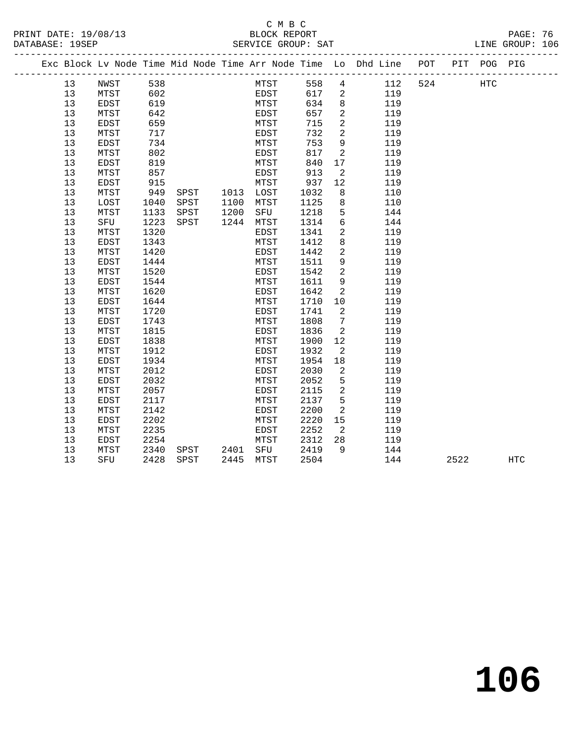### C M B C<br>BLOCK REPORT PRINT DATE: 19/08/13 BLOCK REPORT PAGE: 76 SERVICE GROUP: SAT

|  |          |              |              |      |                        |              |             |              |                     |            | Exc Block Lv Node Time Mid Node Time Arr Node Time Lo Dhd Line POT PIT POG PIG |      |     |
|--|----------|--------------|--------------|------|------------------------|--------------|-------------|--------------|---------------------|------------|--------------------------------------------------------------------------------|------|-----|
|  | 13       | NWST         | 538          |      |                        |              | <b>MTST</b> | 558          | $\overline{4}$      | 112        | 524 HTC                                                                        |      |     |
|  | 13       | MTST         | 602          |      |                        |              | EDST        | 617          | 2                   | 119        |                                                                                |      |     |
|  | 13       | EDST         | 619          |      |                        | MTST         |             | 634          | 8                   | 119        |                                                                                |      |     |
|  | 13       | MTST         | 642          |      |                        | EDST         |             | 657          | $\overline{a}$      | 119        |                                                                                |      |     |
|  | 13       | EDST         | 659          |      |                        | MTST         |             | 715          | $\overline{2}$      | 119        |                                                                                |      |     |
|  | 13       | MTST         | 717          |      |                        | EDST         |             | 732          | $\overline{2}$      | 119        |                                                                                |      |     |
|  | 13       | EDST         | 734          |      |                        | MTST         |             | 753          | 9                   | 119        |                                                                                |      |     |
|  | 13       | MTST         | 802          |      |                        | EDST         |             | 817          | 2                   | 119        |                                                                                |      |     |
|  | 13       | EDST         | 819          |      |                        | MTST         |             | 840          | 17                  | 119        |                                                                                |      |     |
|  | 13       | MTST         | 857          |      |                        | EDST         |             | 913          | 2                   | 119        |                                                                                |      |     |
|  | 13       | EDST         | 915          |      |                        | MTST         |             | 937          | 12                  | 119        |                                                                                |      |     |
|  | 13       | MTST         | 949          |      | SPST 1013 LOST         |              |             | 1032         | 8                   | 110        |                                                                                |      |     |
|  | 13       | LOST         | 1040         | SPST | 1100 MTST              |              |             | 1125         | 8                   | 110        |                                                                                |      |     |
|  | 13       | MTST         | 1133         | SPST | 1200                   | SFU          |             | 1218         | 5                   | 144        |                                                                                |      |     |
|  | 13       | SFU          | 1223         | SPST | 1244 MTST              |              |             | 1314         | $6\overline{6}$     | 144        |                                                                                |      |     |
|  | 13       | MTST         | 1320         |      |                        | EDST         |             | 1341         | 2                   | 119        |                                                                                |      |     |
|  | 13       | EDST         | 1343         |      |                        | MTST         |             | 1412         | 8                   | 119        |                                                                                |      |     |
|  | 13       | MTST         | 1420         |      |                        | EDST         |             | 1442         | 2                   | 119        |                                                                                |      |     |
|  | 13       | EDST         | 1444         |      |                        | MTST         |             | 1511         | 9<br>$\overline{2}$ | 119        |                                                                                |      |     |
|  | 13       | MTST         | 1520         |      |                        | EDST         |             | 1542         | 9                   | 119        |                                                                                |      |     |
|  | 13<br>13 | EDST<br>MTST | 1544<br>1620 |      |                        | MTST<br>EDST |             | 1611<br>1642 | 2                   | 119<br>119 |                                                                                |      |     |
|  | 13       | EDST         | 1644         |      |                        | MTST         |             | 1710         | 10                  | 119        |                                                                                |      |     |
|  | 13       | MTST         | 1720         |      |                        | EDST         |             | 1741         | 2                   | 119        |                                                                                |      |     |
|  | 13       | EDST         | 1743         |      |                        | MTST         |             | 1808         | $\overline{7}$      | 119        |                                                                                |      |     |
|  | 13       | MTST         | 1815         |      |                        | EDST         |             | 1836         | 2                   | 119        |                                                                                |      |     |
|  | 13       | <b>EDST</b>  | 1838         |      |                        | MTST         |             | 1900         | 12                  | 119        |                                                                                |      |     |
|  | 13       | MTST         | 1912         |      |                        | EDST         |             | 1932         | 2                   | 119        |                                                                                |      |     |
|  | 13       | EDST         | 1934         |      |                        | MTST         |             | 1954         | 18                  | 119        |                                                                                |      |     |
|  | 13       | MTST         | 2012         |      |                        | EDST         |             | 2030         | $\overline{2}$      | 119        |                                                                                |      |     |
|  | 13       | EDST         | 2032         |      |                        | MTST         |             | 2052         | 5                   | 119        |                                                                                |      |     |
|  | 13       | MTST         | 2057         |      |                        | EDST         |             | 2115         | 2                   | 119        |                                                                                |      |     |
|  | 13       | <b>EDST</b>  | 2117         |      |                        | MTST         |             | 2137         | 5                   | 119        |                                                                                |      |     |
|  | 13       | MTST         | 2142         |      |                        | EDST         |             | 2200         | 2                   | 119        |                                                                                |      |     |
|  | 13       | EDST         | 2202         |      |                        | MTST         |             | 2220         | 15                  | 119        |                                                                                |      |     |
|  | 13       | MTST         | 2235         |      |                        | EDST         |             | 2252         | $\overline{2}$      | 119        |                                                                                |      |     |
|  | 13       | EDST         | 2254         |      |                        | MTST         |             | 2312         | 28                  | 119        |                                                                                |      |     |
|  | 13       | MTST         | 2340         |      | SPST 2401<br>SPST 2445 | SFU          |             | 2419         | $\overline{9}$      | 144        |                                                                                |      |     |
|  | 13       | SFU          | 2428         | SPST | 2445 MTST              |              |             | 2504         |                     | 144        |                                                                                | 2522 | HTC |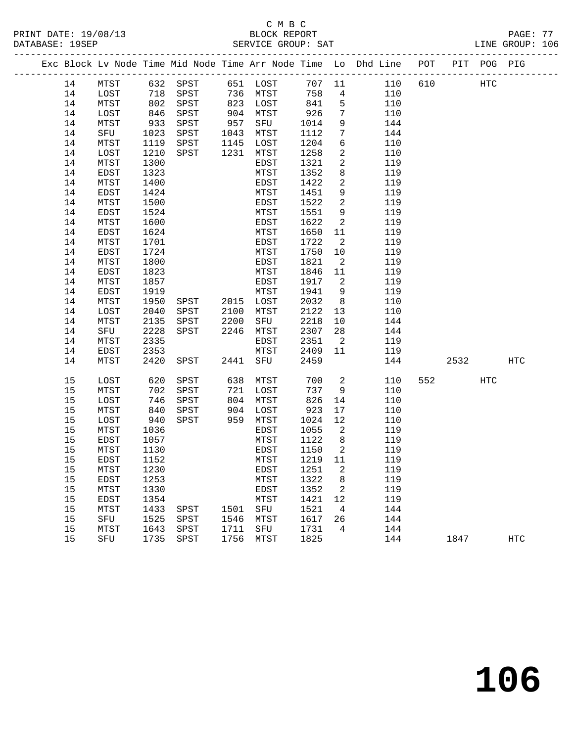|  |    |      |            |                          |              |           |        |                            | Exc Block Lv Node Time Mid Node Time Arr Node Time Lo Dhd Line POT PIT POG PIG |     |      |     |     |
|--|----|------|------------|--------------------------|--------------|-----------|--------|----------------------------|--------------------------------------------------------------------------------|-----|------|-----|-----|
|  | 14 | MTST |            | 632 SPST 651 LOST 707 11 |              |           |        |                            | 110 610                                                                        |     | HTC  |     |     |
|  | 14 | LOST |            | 718 SPST 736 MTST        |              |           | 758    | $4\overline{4}$            | 110                                                                            |     |      |     |     |
|  | 14 | MTST |            | 802 SPST                 |              | 823 LOST  | 841    | $5^{\circ}$                | 110                                                                            |     |      |     |     |
|  | 14 | LOST | 846        | SPST                     |              | 904 MTST  | 926    | $7\overline{ }$            | 110                                                                            |     |      |     |     |
|  | 14 | MTST | 933        | SPST                     | 957          | SFU       | 1014   | 9                          | 144                                                                            |     |      |     |     |
|  | 14 | SFU  | 1023       | SPST                     |              | 1043 MTST | 1112   | $7\phantom{.0}$            | 144                                                                            |     |      |     |     |
|  | 14 | MTST | 1119       | SPST                     |              | 1145 LOST | 1204   | 6                          | 110                                                                            |     |      |     |     |
|  | 14 | LOST | 1210       | SPST                     |              | 1231 MTST | 1258   | $\overline{a}$             | 110                                                                            |     |      |     |     |
|  | 14 | MTST | 1300       |                          |              | EDST      | 1321   | $\overline{a}$             | 119                                                                            |     |      |     |     |
|  | 14 | EDST | 1323       |                          |              | MTST      | 1352   | 8                          | 119                                                                            |     |      |     |     |
|  | 14 | MTST | 1400       |                          |              | EDST      | 1422   | $\overline{a}$             | 119                                                                            |     |      |     |     |
|  | 14 | EDST | 1424       |                          |              | MTST      | 1451   | 9                          | 119                                                                            |     |      |     |     |
|  | 14 | MTST | 1500       |                          |              | EDST      | 1522   | $\overline{a}$             | 119                                                                            |     |      |     |     |
|  | 14 | EDST | 1524       |                          |              | MTST      | 1551   | 9                          | 119                                                                            |     |      |     |     |
|  | 14 | MTST | 1600       |                          |              | EDST      | 1622   | 2                          | 119                                                                            |     |      |     |     |
|  | 14 | EDST | 1624       |                          |              | MTST      | 1650   | 11                         | 119                                                                            |     |      |     |     |
|  | 14 | MTST | 1701       |                          |              | EDST      | 1722   | $\overline{\mathbf{c}}$    | 119                                                                            |     |      |     |     |
|  | 14 | EDST | 1724       |                          |              | MTST      | 1750   | 10                         | 119                                                                            |     |      |     |     |
|  | 14 | MTST | 1800       |                          |              | EDST      | 1821   | $\overline{\phantom{a}}^2$ | 119                                                                            |     |      |     |     |
|  | 14 | EDST | 1823       |                          |              | MTST      | 1846   | 11                         | 119                                                                            |     |      |     |     |
|  | 14 | MTST | 1857       |                          |              | EDST      | 1917   | $\overline{2}$             | 119                                                                            |     |      |     |     |
|  | 14 | EDST | 1919       |                          |              | MTST      | 1941   | 9                          | 119                                                                            |     |      |     |     |
|  | 14 | MTST | 1950       | SPST 2015 LOST           |              |           | 2032   | 8 <sup>8</sup>             | 110                                                                            |     |      |     |     |
|  | 14 | LOST | 2040       | SPST                     |              | 2100 MTST | 2122   | 13                         | 110                                                                            |     |      |     |     |
|  | 14 | MTST | 2135       | SPST                     | 2200         | SFU       | 2218   | 10                         | 144                                                                            |     |      |     |     |
|  | 14 | SFU  | 2228       | SPST                     |              | 2246 MTST | 2307   | 28                         | 144                                                                            |     |      |     |     |
|  | 14 | MTST | 2335       |                          |              | EDST      | 2351   | $\overline{\phantom{0}}^2$ | 119                                                                            |     |      |     |     |
|  | 14 | EDST | 2353       |                          |              | MTST      | 2409   | 11                         | 119                                                                            |     |      |     |     |
|  | 14 | MTST | 2420       | SPST                     |              | 2441 SFU  | 2459   |                            | 144                                                                            |     | 2532 |     | HTC |
|  |    |      |            |                          |              |           |        |                            |                                                                                |     |      |     |     |
|  | 15 | LOST | 620        | SPST                     |              | 638 MTST  | 700    | $\overline{\mathbf{c}}$    | 110                                                                            | 552 |      | HTC |     |
|  | 15 | MTST | 702        | SPST                     |              | 721 LOST  | 737    | 9                          | 110                                                                            |     |      |     |     |
|  | 15 | LOST | 746        | SPST                     | 804          | MTST      | 826    | 14                         | 110                                                                            |     |      |     |     |
|  | 15 | MTST | 840<br>940 | SPST                     | $904$<br>959 | LOST      | 923    | 17                         | 110                                                                            |     |      |     |     |
|  | 15 | LOST |            | SPST                     |              | 959 MTST  | 1024   | 12                         | 110                                                                            |     |      |     |     |
|  | 15 | MTST | 1036       |                          |              | EDST      | 1055   | $\overline{\phantom{0}}^2$ | 119                                                                            |     |      |     |     |
|  | 15 | EDST | 1057       |                          |              | MTST      | 1122   | 8 <sup>8</sup>             | 119                                                                            |     |      |     |     |
|  | 15 | MTST | 1130       |                          |              | EDST      | 1150   | $\overline{2}$             | 119                                                                            |     |      |     |     |
|  | 15 | EDST | 1152       |                          |              | MTST      | 1219   | 11                         | 119                                                                            |     |      |     |     |
|  | 15 | MTST | 1230       |                          |              | EDST      | 1251 2 |                            | 119                                                                            |     |      |     |     |
|  | 15 | EDST | 1253       |                          |              | MTST      | 1322   | 8                          | 119                                                                            |     |      |     |     |
|  | 15 | MTST | 1330       |                          |              | EDST      | 1352   | 2                          | 119                                                                            |     |      |     |     |
|  | 15 | EDST | 1354       |                          |              | MTST      | 1421   | 12                         | 119                                                                            |     |      |     |     |
|  | 15 | MTST | 1433       | SPST                     | 1501         | SFU       | 1521   | $\overline{4}$             | 144                                                                            |     |      |     |     |
|  | 15 | SFU  | 1525       | SPST                     | 1546         | MTST      | 1617   | 26                         | 144                                                                            |     |      |     |     |
|  | 15 | MTST | 1643       | SPST                     | 1711         | SFU       | 1731   | 4                          | 144                                                                            |     |      |     |     |
|  | 15 | SFU  | 1735       | SPST                     | 1756         | MTST      | 1825   |                            | 144                                                                            |     | 1847 |     | HTC |
|  |    |      |            |                          |              |           |        |                            |                                                                                |     |      |     |     |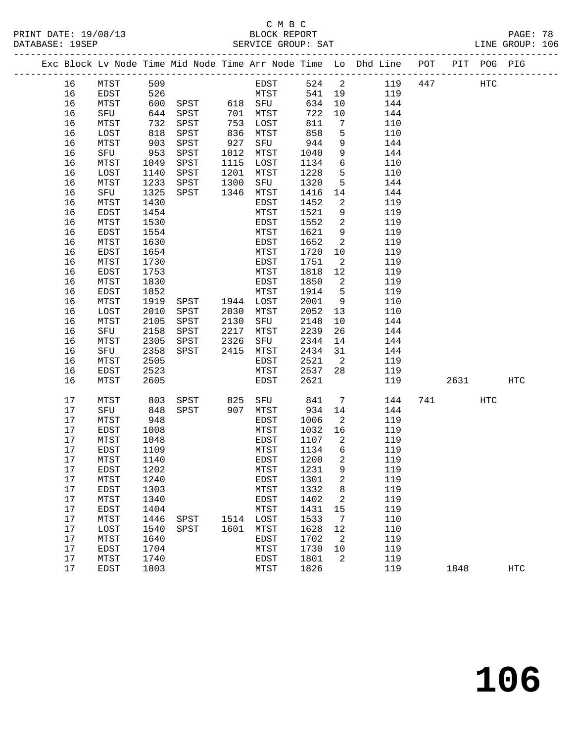# C M B C

| PRINT DATE: 19/08/13 | BLOCK REPORT       | PAGE: 78        |
|----------------------|--------------------|-----------------|
| DATABASE: 19SEP      | SERVICE GROUP: SAT | LINE GROUP: 106 |

|  |    |      |      |      |      |           |        |                            | Exc Block Lv Node Time Mid Node Time Arr Node Time Lo Dhd Line POT |     |      | PIT POG PIG |     |
|--|----|------|------|------|------|-----------|--------|----------------------------|--------------------------------------------------------------------|-----|------|-------------|-----|
|  | 16 | MTST | 509  |      |      | EDST      | 524 2  |                            | 119                                                                | 447 |      | HTC         |     |
|  | 16 | EDST | 526  |      |      | MTST      | 541 19 |                            | 119                                                                |     |      |             |     |
|  | 16 | MTST | 600  | SPST |      | 618 SFU   | 634    | 10                         | 144                                                                |     |      |             |     |
|  | 16 | SFU  | 644  | SPST | 701  | MTST      | 722    | 10                         | 144                                                                |     |      |             |     |
|  | 16 | MTST | 732  | SPST | 753  | LOST      | 811    | 7                          | 110                                                                |     |      |             |     |
|  | 16 | LOST | 818  | SPST | 836  | MTST      | 858    | 5                          | 110                                                                |     |      |             |     |
|  | 16 | MTST | 903  | SPST | 927  | SFU       | 944    | 9                          | 144                                                                |     |      |             |     |
|  | 16 | SFU  | 953  | SPST | 1012 | MTST      | 1040   | 9                          | 144                                                                |     |      |             |     |
|  | 16 | MTST | 1049 | SPST | 1115 | LOST      | 1134   | $6\overline{6}$            | 110                                                                |     |      |             |     |
|  | 16 | LOST | 1140 | SPST | 1201 | MTST      | 1228   | 5                          | 110                                                                |     |      |             |     |
|  | 16 | MTST | 1233 | SPST | 1300 | SFU       | 1320   | 5                          | 144                                                                |     |      |             |     |
|  | 16 | SFU  | 1325 | SPST | 1346 | MTST      | 1416   | 14                         | 144                                                                |     |      |             |     |
|  | 16 | MTST | 1430 |      |      | EDST      | 1452   | 2                          | 119                                                                |     |      |             |     |
|  | 16 | EDST | 1454 |      |      | MTST      | 1521   | 9                          | 119                                                                |     |      |             |     |
|  | 16 | MTST | 1530 |      |      | EDST      | 1552   | $\overline{2}$             | 119                                                                |     |      |             |     |
|  | 16 | EDST | 1554 |      |      | MTST      | 1621   | 9                          | 119                                                                |     |      |             |     |
|  | 16 | MTST | 1630 |      |      | EDST      | 1652   | 2                          | 119                                                                |     |      |             |     |
|  | 16 | EDST | 1654 |      |      | MTST      | 1720   | 10                         | 119                                                                |     |      |             |     |
|  | 16 | MTST | 1730 |      |      | EDST      | 1751   | $\overline{a}$             | 119                                                                |     |      |             |     |
|  | 16 | EDST | 1753 |      |      | MTST      | 1818   | 12                         | 119                                                                |     |      |             |     |
|  | 16 | MTST | 1830 |      |      | EDST      | 1850   | 2                          | 119                                                                |     |      |             |     |
|  | 16 | EDST | 1852 |      |      | MTST      | 1914   | 5                          | 119                                                                |     |      |             |     |
|  | 16 | MTST | 1919 | SPST |      | 1944 LOST | 2001   | 9                          | 110                                                                |     |      |             |     |
|  | 16 | LOST | 2010 | SPST | 2030 | MTST      | 2052   | 13                         | 110                                                                |     |      |             |     |
|  | 16 | MTST | 2105 | SPST | 2130 | SFU       | 2148   | 10                         | 144                                                                |     |      |             |     |
|  | 16 | SFU  | 2158 | SPST | 2217 | MTST      | 2239   | 26                         | 144                                                                |     |      |             |     |
|  | 16 | MTST | 2305 | SPST | 2326 | SFU       | 2344   | 14                         | 144                                                                |     |      |             |     |
|  | 16 | SFU  | 2358 | SPST | 2415 | MTST      | 2434   | 31                         | 144                                                                |     |      |             |     |
|  | 16 | MTST | 2505 |      |      | EDST      | 2521   | $\overline{\phantom{0}}^2$ | 119                                                                |     |      |             |     |
|  | 16 | EDST | 2523 |      |      | MTST      | 2537   | 28                         | 119                                                                |     |      |             |     |
|  | 16 | MTST | 2605 |      |      | EDST      | 2621   |                            | 119                                                                |     | 2631 |             | HTC |
|  | 17 | MTST | 803  | SPST | 825  | SFU       | 841    | 7                          | 144                                                                |     | 741  | HTC         |     |
|  | 17 | SFU  | 848  | SPST | 907  | MTST      | 934    | 14                         | 144                                                                |     |      |             |     |
|  | 17 | MTST | 948  |      |      | EDST      | 1006   | $\overline{2}$             | 119                                                                |     |      |             |     |
|  | 17 | EDST | 1008 |      |      | MTST      | 1032   | 16                         | 119                                                                |     |      |             |     |
|  | 17 | MTST | 1048 |      |      | EDST      | 1107   | $\overline{2}$             | 119                                                                |     |      |             |     |
|  | 17 | EDST | 1109 |      |      | MTST      | 1134   | 6                          | 119                                                                |     |      |             |     |
|  | 17 | MTST | 1140 |      |      | EDST      | 1200   | 2                          | 119                                                                |     |      |             |     |
|  | 17 | EDST | 1202 |      |      | MTST      | 1231 9 |                            | 119                                                                |     |      |             |     |
|  | 17 | MTST | 1240 |      |      | EDST      | 1301   | 2                          | 119                                                                |     |      |             |     |
|  | 17 | EDST | 1303 |      |      | MTST      | 1332   | 8                          | 119                                                                |     |      |             |     |
|  | 17 | MTST | 1340 |      |      | EDST      | 1402   | 2                          | 119                                                                |     |      |             |     |
|  | 17 | EDST | 1404 |      |      | MTST      | 1431   | 15                         | 119                                                                |     |      |             |     |
|  | 17 | MTST | 1446 | SPST | 1514 | LOST      | 1533   | 7                          | 110                                                                |     |      |             |     |
|  | 17 | LOST | 1540 | SPST | 1601 | MTST      | 1628   | 12                         | 110                                                                |     |      |             |     |
|  | 17 | MTST | 1640 |      |      | EDST      | 1702   | 2                          | 119                                                                |     |      |             |     |
|  | 17 | EDST | 1704 |      |      | MTST      | 1730   | 10                         | 119                                                                |     |      |             |     |
|  | 17 | MTST | 1740 |      |      | EDST      | 1801   | 2                          | 119                                                                |     |      |             |     |
|  | 17 | EDST | 1803 |      |      | MTST      | 1826   |                            | 119                                                                |     | 1848 |             | HTC |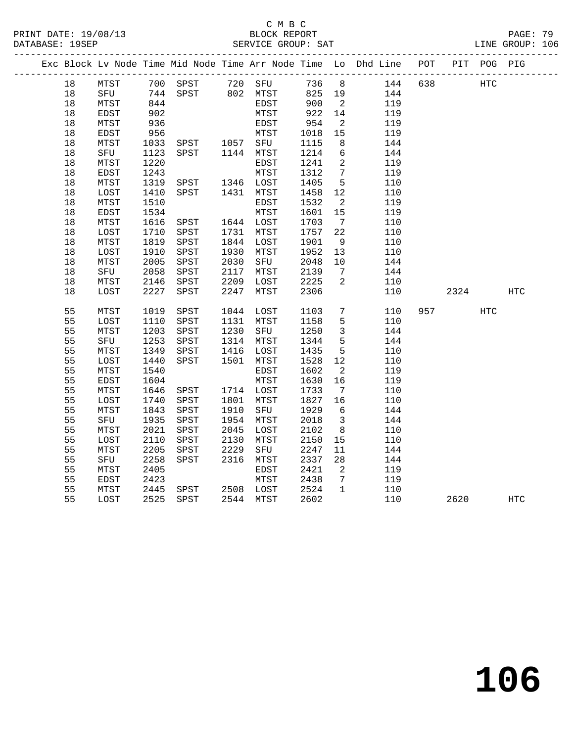### C M B C<br>BLOCK REPORT SERVICE GROUP: SAT

|    |             |      |                                  |      |           |        |                          | Exc Block Lv Node Time Mid Node Time Arr Node Time Lo Dhd Line POT |     |           | PIT POG PIG |     |
|----|-------------|------|----------------------------------|------|-----------|--------|--------------------------|--------------------------------------------------------------------|-----|-----------|-------------|-----|
| 18 |             |      |                                  |      |           |        |                          | 736 8 144                                                          | 638 |           | HTC         |     |
| 18 |             |      |                                  |      |           | 825 19 |                          | 144                                                                |     |           |             |     |
| 18 | MTST        | 844  |                                  |      | EDST      | 900    | $\overline{\mathbf{2}}$  | 119                                                                |     |           |             |     |
| 18 | <b>EDST</b> | 902  |                                  |      | MTST      | 922    | 14                       | 119                                                                |     |           |             |     |
| 18 | MTST        | 936  |                                  |      | EDST      | 954    | $\overline{2}$           | 119                                                                |     |           |             |     |
| 18 | EDST        | 956  |                                  |      | MTST      | 1018   | 15                       | 119                                                                |     |           |             |     |
| 18 | MTST        | 1033 | SPST 1057 SFU                    |      |           | 1115   | 8                        | 144                                                                |     |           |             |     |
| 18 | SFU         | 1123 | SPST 1144 MTST                   |      |           | 1214   | $6\overline{6}$          | 144                                                                |     |           |             |     |
| 18 | MTST        | 1220 |                                  |      | EDST      | 1241   | $\overline{2}$           | 119                                                                |     |           |             |     |
| 18 | <b>EDST</b> | 1243 |                                  |      | MTST      | 1312   | $7\overline{ }$          | 119                                                                |     |           |             |     |
| 18 | MTST        | 1319 | SPST 1346 LOST<br>SPST 1431 MTST |      |           | 1405   | $5^{\circ}$              | 110                                                                |     |           |             |     |
| 18 | LOST        | 1410 | SPST                             |      | 1431 MTST | 1458   | 12                       | 110                                                                |     |           |             |     |
| 18 | MTST        | 1510 |                                  |      | EDST      | 1532   | $\overline{\phantom{a}}$ | 119                                                                |     |           |             |     |
| 18 | EDST        | 1534 |                                  |      | MTST      | 1601   | 15                       | 119                                                                |     |           |             |     |
| 18 | MTST        | 1616 | SPST                             |      | 1644 LOST | 1703   | $7\overline{ }$          | 110                                                                |     |           |             |     |
| 18 | LOST        | 1710 | SPST                             | 1731 | MTST      | 1757   | 22                       | 110                                                                |     |           |             |     |
| 18 | MTST        | 1819 | SPST                             | 1844 | LOST      | 1901   | 9                        | 110                                                                |     |           |             |     |
| 18 | LOST        | 1910 | SPST                             | 1930 | MTST      | 1952   | 13                       | 110                                                                |     |           |             |     |
| 18 | MTST        | 2005 | SPST                             | 2030 | SFU       | 2048   | 10                       | 144                                                                |     |           |             |     |
| 18 | SFU         | 2058 | SPST                             | 2117 | MTST      | 2139   | $7\overline{ }$          | 144                                                                |     |           |             |     |
| 18 | MTST        | 2146 | SPST                             | 2209 | LOST      | 2225   | 2                        | 110                                                                |     |           |             |     |
| 18 | LOST        | 2227 | SPST                             | 2247 | MTST      | 2306   |                          | 110                                                                |     | 2324      |             | HTC |
| 55 | MTST        | 1019 | SPST                             |      | 1044 LOST | 1103   | $7\overline{ }$          | 110                                                                |     | 957 — 100 | HTC         |     |
| 55 | LOST        | 1110 | SPST                             |      | 1131 MTST | 1158   | 5                        | 110                                                                |     |           |             |     |
| 55 | MTST        | 1203 | SPST                             | 1230 | SFU       | 1250   | $\overline{\mathbf{3}}$  | 144                                                                |     |           |             |     |
| 55 | SFU         | 1253 | SPST                             | 1314 | MTST      | 1344   | 5                        | 144                                                                |     |           |             |     |
| 55 | MTST        | 1349 | SPST                             | 1416 | LOST      | 1435   | $5\overline{)}$          | 110                                                                |     |           |             |     |
| 55 | LOST        | 1440 | SPST                             | 1501 | MTST      | 1528   | 12                       | 110                                                                |     |           |             |     |
| 55 | MTST        | 1540 |                                  |      | EDST      | 1602   | $\overline{a}$           | 119                                                                |     |           |             |     |
| 55 | EDST        | 1604 |                                  |      | MTST      | 1630   | 16                       | 119                                                                |     |           |             |     |
| 55 | MTST        | 1646 | SPST                             |      | 1714 LOST | 1733   | $7\overline{ }$          | 110                                                                |     |           |             |     |
| 55 | LOST        | 1740 | SPST                             | 1801 | MTST      | 1827   | 16                       | 110                                                                |     |           |             |     |
| 55 | MTST        | 1843 | SPST                             | 1910 | SFU       | 1929   | 6                        | 144                                                                |     |           |             |     |
| 55 | SFU         | 1935 | SPST                             | 1954 | MTST      | 2018   | $\overline{\mathbf{3}}$  | 144                                                                |     |           |             |     |
| 55 | MTST        | 2021 | SPST                             | 2045 | LOST      | 2102   | 8 <sup>8</sup>           | 110                                                                |     |           |             |     |
| 55 | LOST        | 2110 | SPST                             | 2130 | MTST      | 2150   | 15                       | 110                                                                |     |           |             |     |
| 55 | MTST        | 2205 | SPST                             | 2229 | SFU       | 2247   | 11                       | 144                                                                |     |           |             |     |
| 55 | SFU         | 2258 | SPST                             | 2316 | MTST      | 2337   | 28                       | 144                                                                |     |           |             |     |
| 55 | MTST        | 2405 |                                  |      | EDST      | 2421   | $\overline{2}$           | 119                                                                |     |           |             |     |
| 55 | <b>EDST</b> | 2423 |                                  |      | MTST      | 2438   | 7                        | 119                                                                |     |           |             |     |

55 MTST 2445 SPST 2508 LOST 2524 1 110

55 LOST 2525 SPST 2544 MTST 2602 110 2620 HTC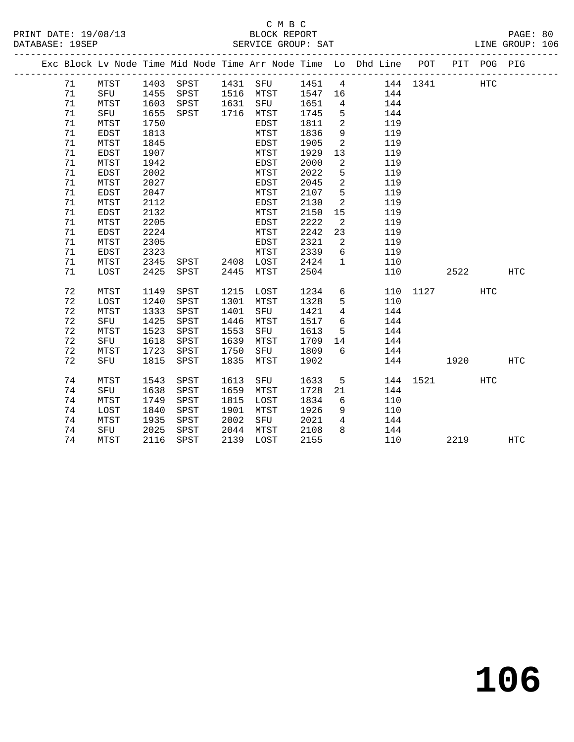|  |    |             |      |                |      |                    |      |                            | Exc Block Lv Node Time Mid Node Time Arr Node Time Lo Dhd Line POT |          |         | PIT POG PIG |            |
|--|----|-------------|------|----------------|------|--------------------|------|----------------------------|--------------------------------------------------------------------|----------|---------|-------------|------------|
|  | 71 | MTST        |      |                |      | 1403 SPST 1431 SFU |      |                            | 1451 4 144 1341                                                    |          |         | HTC         |            |
|  | 71 | SFU         | 1455 | SPST 1516 MTST |      |                    |      |                            | 1547 16 144                                                        |          |         |             |            |
|  | 71 | MTST        | 1603 | SPST           |      | 1631 SFU           | 1651 | $\overline{4}$             | 144                                                                |          |         |             |            |
|  | 71 | SFU         | 1655 | SPST           |      | 1716 MTST          | 1745 | $5^{\circ}$                | 144                                                                |          |         |             |            |
|  | 71 | MTST        | 1750 |                |      | EDST               | 1811 | $\overline{\phantom{0}}^2$ | 119                                                                |          |         |             |            |
|  | 71 | EDST        | 1813 |                |      | MTST               | 1836 | 9                          | 119                                                                |          |         |             |            |
|  | 71 | MTST        | 1845 |                |      | EDST               | 1905 | $\overline{\phantom{a}}^2$ | 119                                                                |          |         |             |            |
|  | 71 | EDST        | 1907 |                |      | MTST               | 1929 | 13                         | 119                                                                |          |         |             |            |
|  | 71 | MTST        | 1942 |                |      | EDST               | 2000 | $\overline{2}$             | 119                                                                |          |         |             |            |
|  | 71 | EDST        | 2002 |                |      | MTST               | 2022 | 5                          | 119                                                                |          |         |             |            |
|  | 71 | MTST        | 2027 |                |      | EDST               | 2045 | $\overline{2}$             | 119                                                                |          |         |             |            |
|  | 71 | <b>EDST</b> | 2047 |                |      | MTST               | 2107 | 5                          | 119                                                                |          |         |             |            |
|  | 71 | MTST        | 2112 |                |      | EDST               | 2130 | 2                          | 119                                                                |          |         |             |            |
|  | 71 | EDST        | 2132 |                |      | MTST               | 2150 | 15                         | 119                                                                |          |         |             |            |
|  | 71 | MTST        | 2205 |                |      | EDST               | 2222 | $\overline{2}$             | 119                                                                |          |         |             |            |
|  | 71 | EDST        | 2224 |                |      | MTST               | 2242 | 23                         | 119                                                                |          |         |             |            |
|  | 71 | MTST        | 2305 |                |      | EDST               | 2321 | $\overline{\phantom{a}}$   | 119                                                                |          |         |             |            |
|  | 71 | EDST        | 2323 |                |      | MTST               | 2339 | 6                          | 119                                                                |          |         |             |            |
|  | 71 | MTST        | 2345 | SPST 2408 LOST |      |                    | 2424 | $\mathbf{1}$               | 110                                                                |          |         |             |            |
|  | 71 | LOST        | 2425 | SPST           | 2445 | MTST               | 2504 |                            | 110                                                                |          | 2522 20 |             | HTC        |
|  | 72 | MTST        | 1149 | SPST           | 1215 | LOST               | 1234 | 6                          |                                                                    | 110 1127 |         | HTC         |            |
|  | 72 | LOST        | 1240 | SPST           | 1301 | MTST               | 1328 | 5                          | 110                                                                |          |         |             |            |
|  | 72 | MTST        | 1333 | SPST           | 1401 | SFU                | 1421 | $\overline{4}$             | 144                                                                |          |         |             |            |
|  | 72 | SFU         | 1425 | SPST           | 1446 | MTST               | 1517 | 6                          | 144                                                                |          |         |             |            |
|  | 72 | MTST        | 1523 | SPST           | 1553 | SFU                | 1613 | $5\overline{)}$            | 144                                                                |          |         |             |            |
|  | 72 | SFU         | 1618 | SPST           | 1639 | MTST               | 1709 | 14                         | 144                                                                |          |         |             |            |
|  | 72 | MTST        | 1723 | SPST           | 1750 | SFU                | 1809 | 6                          | 144                                                                |          |         |             |            |
|  | 72 | SFU         | 1815 | SPST           | 1835 | MTST               | 1902 |                            |                                                                    | 144      | 1920    |             | HTC        |
|  | 74 | MTST        | 1543 | SPST           | 1613 | SFU                | 1633 | 5                          |                                                                    | 144 1521 |         | HTC         |            |
|  | 74 | SFU         | 1638 | SPST           | 1659 | MTST               | 1728 | 21                         | 144                                                                |          |         |             |            |
|  | 74 | MTST        | 1749 | SPST           | 1815 | LOST               | 1834 | 6                          | 110                                                                |          |         |             |            |
|  | 74 | LOST        | 1840 | SPST           | 1901 | MTST               | 1926 | 9                          | 110                                                                |          |         |             |            |
|  | 74 | MTST        | 1935 | SPST           | 2002 | SFU                | 2021 | $4\overline{ }$            | 144                                                                |          |         |             |            |
|  | 74 | SFU         | 2025 | SPST           | 2044 | MTST               | 2108 | 8                          | 144                                                                |          |         |             |            |
|  | 74 | MTST        | 2116 | SPST           |      | 2139 LOST          | 2155 |                            | 110                                                                |          | 2219    |             | <b>HTC</b> |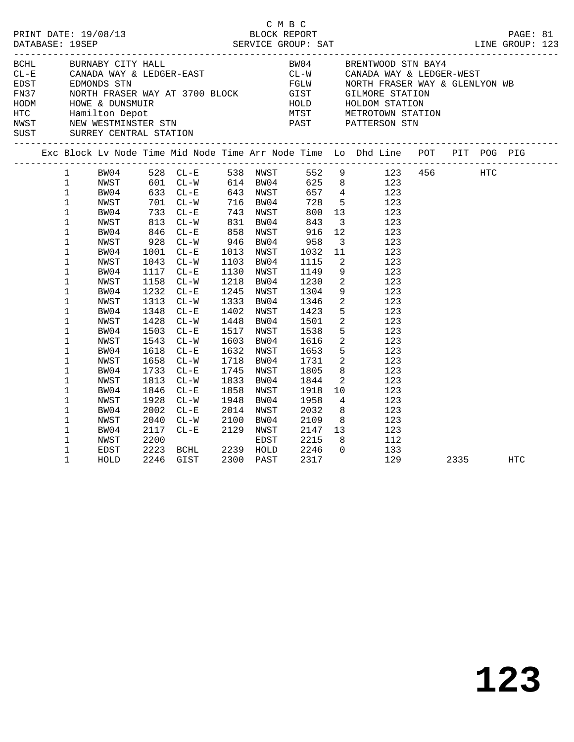|  |                                                                                                                                                               |                                                                                                                      |                                                                              |                                                                                                                                                                              |                                  |                                                                                                                                                          | C M B C |                                                                                                                   |                                                                                                |                                                                                                                                                                                                                                                                                                                                                                                                                                                                                       |      | LINE GROUP: 123 |  |
|--|---------------------------------------------------------------------------------------------------------------------------------------------------------------|----------------------------------------------------------------------------------------------------------------------|------------------------------------------------------------------------------|------------------------------------------------------------------------------------------------------------------------------------------------------------------------------|----------------------------------|----------------------------------------------------------------------------------------------------------------------------------------------------------|---------|-------------------------------------------------------------------------------------------------------------------|------------------------------------------------------------------------------------------------|---------------------------------------------------------------------------------------------------------------------------------------------------------------------------------------------------------------------------------------------------------------------------------------------------------------------------------------------------------------------------------------------------------------------------------------------------------------------------------------|------|-----------------|--|
|  |                                                                                                                                                               | BCHL BURNABY CITY HALL                                                                                               |                                                                              |                                                                                                                                                                              |                                  |                                                                                                                                                          |         |                                                                                                                   |                                                                                                | BW04 BRENTWOOD STN BAY4<br>ECHE BURNABY CITY HALL BOOT BOOT BE CAN BE SENTWOOD STARDA WAY & LEDGER-WEST<br>EDGER EDGER-EAST CL-W CANADA WAY & LEDGER-WEST<br>FN37 NORTH FRASER WAY AT 3700 BLOCK GIST GILMORE STATION<br>HODM HOWE & DUNSMUIR<br>HODM HOWE & DUNS                                                                                                                                                                                                                     |      |                 |  |
|  |                                                                                                                                                               |                                                                                                                      |                                                                              |                                                                                                                                                                              |                                  |                                                                                                                                                          |         |                                                                                                                   |                                                                                                | Exc Block Lv Node Time Mid Node Time Arr Node Time Lo Dhd Line POT PIT POG PIG                                                                                                                                                                                                                                                                                                                                                                                                        |      |                 |  |
|  | $\mathbf{1}$<br>$\mathbf 1$<br>$\mathbf{1}$<br>1<br>$\mathbf 1$<br>1<br>$\mathbf 1$<br>$\mathbf 1$<br>1<br>1<br>$\mathbf 1$<br>1<br>$1\,$<br>$\mathbf 1$<br>1 | NWST<br>BW04<br>NWST<br>BW04<br>NWST<br>BW04<br>NWST<br>BW04<br>NWST<br>BW04<br>NWST<br>BW04<br>NWST<br>BW04<br>NWST | 1001<br>1043<br>1158<br>1348<br>1543<br>1658                                 | 813 CL-W<br>846 CL-E<br>928 CL-W<br>$CL-E$<br>$CL-W$<br>1117 CL-E<br>$CL-W$<br>1232 CL-E<br>1313 CL-W<br>$CL - E$<br>1428 CL-W<br>1503 CL-E<br>$CL-W$<br>1618 CL-E<br>$CL-W$ | 831 BW04<br>858 NWST<br>946 BW04 | 1013 NWST<br>1103 BW04<br>1130 NWST<br>1218 BW04<br>1245 NWST<br>1333 BW04<br>1402 NWST<br>1448 BW04<br>1517 NWST<br>1603 BW04<br>1632 NWST<br>1718 BW04 |         | 843<br>916<br>958<br>1032<br>1115<br>1149<br>1230<br>1304<br>1346<br>1423<br>1501<br>1538<br>1616<br>1653<br>1731 | $\overline{\mathbf{3}}$<br>12<br>11<br>$\overline{\mathbf{2}}$<br>9<br>$\overline{\mathbf{2}}$ | 1 BW04 528 CL-E 538 NWST 552 9 123 456 HTC<br>1 NWST 601 CL-W 614 BW04 625 8 123<br>1 BW04 633 CL-E 643 NWST 657 4 123<br>1 NWST 701 CL-W 716 BW04 728 5 123<br>1 BW04 733 CL-E 743 NWST 800 13 123<br>123<br>123<br>$3 \t 123$<br>123<br>123<br>9 123<br>$\frac{2}{2}$ 123<br>123<br>123<br>$\begin{array}{ccc} 5 & \hspace{1.5cm} 123 \\ 2 & \hspace{1.5cm} 123 \end{array}$<br>5 123<br>$\begin{array}{ccc} 2 & \hspace{1.5cm} 123 \\ 5 & \hspace{1.5cm} 123 \end{array}$<br>2 123 |      |                 |  |
|  | 1<br>1<br>1<br>1<br>$\mathbf 1$<br>1<br>1<br>1<br>$\mathbf 1$<br>1                                                                                            | BW04<br>NWST<br>BW04<br>NWST<br>BW04<br>NWST<br>BW04<br>NWST<br>EDST<br>HOLD                                         | 1733<br>1813<br>1846<br>1928<br>2002<br>2040<br>2117<br>2200<br>2223<br>2246 | $CL - E$<br>$CL-W$<br>$CL-E$<br>$CL-W$<br>$CL - E$<br>$CL-W$<br>$CL-E$ 2129<br>$CL - E$<br>BCHL 2239 HOLD<br>GIST                                                            | 1948<br>2100 BW04                | 1745 NWST<br>1833 BW04<br>1858 NWST<br>BW04<br>2014 NWST<br>2129 NWST<br>EDST<br>2300 PAST                                                               |         | 1805<br>1844<br>1918<br>1958<br>2032<br>2109<br>2147<br>2215<br>2246<br>2317                                      | 10<br>$\Omega$                                                                                 | $\begin{array}{cc} 8 & 123 \\ 2 & 123 \end{array}$<br>123<br>$\begin{array}{cc} 4 & 123 \\ 8 & 123 \end{array}$<br>8 123<br>$\begin{array}{cc} 13 & \hspace{1.5cm} 123 \\ 8 & \hspace{1.5cm} 112 \end{array}$<br>133<br>129                                                                                                                                                                                                                                                           | 2335 | HTC             |  |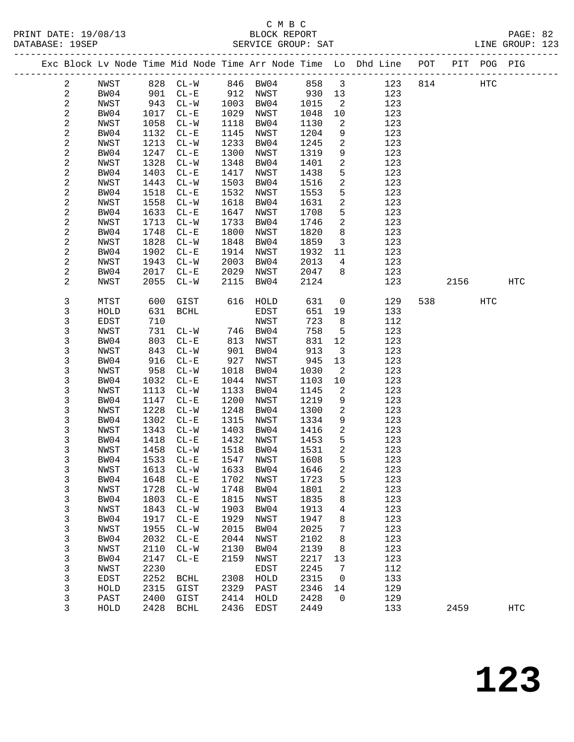PRINT DATE: 19/08/13 BLOCK REPORT BLOCK REPORT DATABASE: 19SEP

## C M B C<br>BLOCK REPORT

| DATABASE: 19SEP |   |      |      |          |      | SERVICE GROUP: SAT |        |                          |                                                                    |     |     |         | LINE GROUP: 123 |  |
|-----------------|---|------|------|----------|------|--------------------|--------|--------------------------|--------------------------------------------------------------------|-----|-----|---------|-----------------|--|
|                 |   |      |      |          |      |                    |        |                          | Exc Block Lv Node Time Mid Node Time Arr Node Time Lo Dhd Line POT |     | PIT | POG PIG |                 |  |
|                 |   | NWST |      | 828 CL-W |      | 846 BW04           | 858    | $\overline{\phantom{a}}$ | 123                                                                | 814 |     | HTC     |                 |  |
|                 |   | BW04 | 901  | $CL-E$   | 912  | NWST               | 930 13 |                          | 123                                                                |     |     |         |                 |  |
|                 | 2 | NWST | 943  | $CL - W$ | 1003 | BW04               | 1015   | 2                        | 123                                                                |     |     |         |                 |  |
|                 | 2 | BW04 | 1017 | $CL - E$ | 1029 | NWST               | 1048   | 10                       | 123                                                                |     |     |         |                 |  |
|                 |   | NWST | 1058 | CL-W     | 1118 | BW04               | 1130   |                          | 123                                                                |     |     |         |                 |  |

| $\overline{a}$          | BWU4         | TOT \ | ビロービ                     | 1029 | <b>NMP.T.</b> | 1048 | ΤO                      | 123 |     |      |                   |     |  |
|-------------------------|--------------|-------|--------------------------|------|---------------|------|-------------------------|-----|-----|------|-------------------|-----|--|
| $\boldsymbol{2}$        | NWST         | 1058  | $CL-W$                   | 1118 | BW04          | 1130 | 2                       | 123 |     |      |                   |     |  |
| $\mathbf 2$             | BW04         | 1132  | $\rm CL-E$               | 1145 | NWST          | 1204 | 9                       | 123 |     |      |                   |     |  |
| $\boldsymbol{2}$        | NWST         | 1213  | $CL-W$                   | 1233 | BW04          | 1245 | 2                       | 123 |     |      |                   |     |  |
|                         |              |       |                          | 1300 |               |      |                         | 123 |     |      |                   |     |  |
| $\mathbf 2$             | BW04         | 1247  | $CL - E$                 |      | NWST          | 1319 | 9                       |     |     |      |                   |     |  |
| $\sqrt{2}$              | NWST         | 1328  | $CL-W$                   | 1348 | BW04          | 1401 | $\overline{\mathbf{c}}$ | 123 |     |      |                   |     |  |
| $\boldsymbol{2}$        | BW04         | 1403  | $\rm CL-E$               | 1417 | NWST          | 1438 | 5                       | 123 |     |      |                   |     |  |
| $\mathbf 2$             | NWST         | 1443  | $CL-W$                   | 1503 | BW04          | 1516 | 2                       | 123 |     |      |                   |     |  |
| $\boldsymbol{2}$        | BW04         | 1518  | $CL - E$                 | 1532 | NWST          | 1553 | 5                       | 123 |     |      |                   |     |  |
| $\mathbf 2$             | NWST         | 1558  | $CL-W$                   | 1618 | BW04          | 1631 | $\boldsymbol{2}$        | 123 |     |      |                   |     |  |
| $\boldsymbol{2}$        | BW04         | 1633  | $CL - E$                 | 1647 | NWST          | 1708 | 5                       | 123 |     |      |                   |     |  |
|                         | NWST         |       | $CL-W$                   | 1733 | BW04          | 1746 |                         | 123 |     |      |                   |     |  |
| $\mathbf 2$             |              | 1713  |                          |      |               |      | 2                       |     |     |      |                   |     |  |
| $\boldsymbol{2}$        | BW04         | 1748  | $\rm CL-E$               | 1800 | NWST          | 1820 | 8                       | 123 |     |      |                   |     |  |
| $\mathbf 2$             | NWST         | 1828  | $\mathtt{CL-}\mathtt{W}$ | 1848 | BW04          | 1859 | 3                       | 123 |     |      |                   |     |  |
| $\mathbf 2$             | BW04         | 1902  | $\rm CL-E$               | 1914 | NWST          | 1932 | 11                      | 123 |     |      |                   |     |  |
| $\mathbf 2$             | NWST         | 1943  | $CL-W$                   | 2003 | BW04          | 2013 | $\overline{4}$          | 123 |     |      |                   |     |  |
| $\overline{\mathbf{c}}$ | BW04         | 2017  | $CL - E$                 | 2029 | NWST          | 2047 | 8                       | 123 |     |      |                   |     |  |
| $\overline{c}$          | NWST         | 2055  | $CL-W$                   | 2115 | BW04          | 2124 |                         | 123 |     | 2156 |                   | HTC |  |
|                         |              |       |                          |      |               |      |                         |     |     |      |                   |     |  |
| 3                       |              |       | GIST                     |      |               |      |                         |     |     |      |                   |     |  |
|                         | MTST         | 600   |                          | 616  | HOLD          | 631  | $\mathsf{O}$            | 129 | 538 |      | $_{\mathrm{HTC}}$ |     |  |
| 3                       | HOLD         | 631   | <b>BCHL</b>              |      | EDST          | 651  | 19                      | 133 |     |      |                   |     |  |
| 3                       | EDST         | 710   |                          |      | NWST          | 723  | 8                       | 112 |     |      |                   |     |  |
| 3                       | ${\tt NWST}$ | 731   | $CL-W$                   | 746  | BW04          | 758  | 5                       | 123 |     |      |                   |     |  |
| 3                       | BW04         | 803   | $\rm CL-E$               | 813  | NWST          | 831  | $12$                    | 123 |     |      |                   |     |  |
| 3                       | NWST         | 843   | $CL-W$                   | 901  | BW04          | 913  | 3                       | 123 |     |      |                   |     |  |
| 3                       | BW04         | 916   | $CL - E$                 | 927  | NWST          | 945  | $13$                    | 123 |     |      |                   |     |  |
| 3                       | NWST         | 958   | $CL-W$                   | 1018 | BW04          | 1030 | 2                       | 123 |     |      |                   |     |  |
| 3                       | BW04         | 1032  | $CL - E$                 | 1044 | NWST          | 1103 | 10                      | 123 |     |      |                   |     |  |
|                         |              |       |                          |      |               |      |                         |     |     |      |                   |     |  |
| 3                       | NWST         | 1113  | $CL-W$                   | 1133 | BW04          | 1145 | $\overline{\mathbf{c}}$ | 123 |     |      |                   |     |  |
| 3                       | BW04         | 1147  | $CL - E$                 | 1200 | NWST          | 1219 | 9                       | 123 |     |      |                   |     |  |
| 3                       | NWST         | 1228  | $CL-W$                   | 1248 | BW04          | 1300 | $\boldsymbol{2}$        | 123 |     |      |                   |     |  |
| 3                       | BW04         | 1302  | $\rm CL-E$               | 1315 | NWST          | 1334 | 9                       | 123 |     |      |                   |     |  |
| 3                       | NWST         | 1343  | $CL-W$                   | 1403 | BW04          | 1416 | 2                       | 123 |     |      |                   |     |  |
| 3                       | BW04         | 1418  | $CL - E$                 | 1432 | NWST          | 1453 | 5                       | 123 |     |      |                   |     |  |
| 3                       | NWST         | 1458  | $CL-W$                   | 1518 | BW04          | 1531 | 2                       | 123 |     |      |                   |     |  |
| 3                       | BW04         | 1533  | $CL - E$                 | 1547 | NWST          | 1608 | 5                       | 123 |     |      |                   |     |  |
| 3                       | NWST         | 1613  | $CL-W$                   | 1633 | BW04          | 1646 | 2                       | 123 |     |      |                   |     |  |
|                         |              |       |                          |      |               |      |                         |     |     |      |                   |     |  |
| 3                       | BW04         | 1648  | $CL - E$                 | 1702 | NWST          | 1723 | 5                       | 123 |     |      |                   |     |  |
| 3                       | NWST         | 1728  | $CL-W$                   | 1748 | BW04          | 1801 | 2                       | 123 |     |      |                   |     |  |
| 3                       | BW04         | 1803  | $CL - E$                 | 1815 | NWST          | 1835 | 8                       | 123 |     |      |                   |     |  |
| 3                       | NWST         | 1843  | $CL-W$                   | 1903 | BW04          | 1913 | 4                       | 123 |     |      |                   |     |  |
| 3                       | BW04         | 1917  | $CL - E$                 | 1929 | NWST          | 1947 | 8                       | 123 |     |      |                   |     |  |
| 3                       | NWST         | 1955  | $CL-W$                   | 2015 | BW04          | 2025 | 7                       | 123 |     |      |                   |     |  |
| 3                       | BW04         | 2032  | $CL - E$                 | 2044 | NWST          | 2102 | 8                       | 123 |     |      |                   |     |  |
| 3                       | NWST         | 2110  | $CL-W$                   | 2130 | BW04          | 2139 | 8                       | 123 |     |      |                   |     |  |
|                         |              |       |                          |      |               |      |                         |     |     |      |                   |     |  |
| 3                       | BW04         | 2147  | $CL - E$                 | 2159 | NWST          | 2217 | 13                      | 123 |     |      |                   |     |  |
| 3                       | NWST         | 2230  |                          |      | EDST          | 2245 | 7                       | 112 |     |      |                   |     |  |
| 3                       | EDST         | 2252  | <b>BCHL</b>              | 2308 | HOLD          | 2315 | 0                       | 133 |     |      |                   |     |  |
| 3                       | HOLD         | 2315  | GIST                     | 2329 | PAST          | 2346 | 14                      | 129 |     |      |                   |     |  |
| 3                       | PAST         | 2400  | GIST                     | 2414 | HOLD          | 2428 | 0                       | 129 |     |      |                   |     |  |
| 3                       | HOLD         | 2428  | <b>BCHL</b>              | 2436 | EDST          | 2449 |                         | 133 |     | 2459 |                   | HTC |  |
|                         |              |       |                          |      |               |      |                         |     |     |      |                   |     |  |
|                         |              |       |                          |      |               |      |                         |     |     |      |                   |     |  |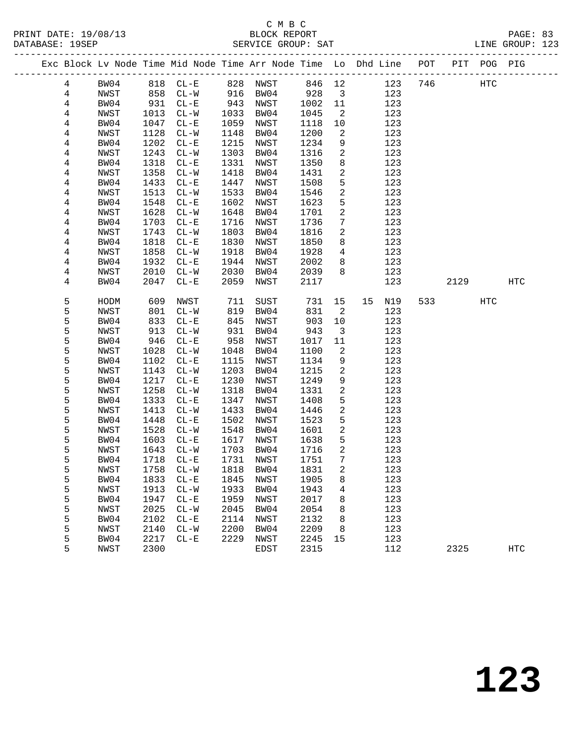|                |              |      | Exc Block Lv Node Time Mid Node Time Arr Node Time Lo Dhd Line POT |              |           |      |                               |    |            |     |      | PIT POG PIG |            |
|----------------|--------------|------|--------------------------------------------------------------------|--------------|-----------|------|-------------------------------|----|------------|-----|------|-------------|------------|
| $\overline{4}$ | BW04         |      | 818 CL-E 828 NWST 846 12                                           |              |           |      |                               |    | 123        | 746 |      | HTC         |            |
| $\overline{4}$ | NWST         |      | 858 CL-W                                                           |              | 916 BW04  | 928  | $\overline{\mathbf{3}}$       |    | 123        |     |      |             |            |
| 4              | BW04         | 931  | $CL - E$                                                           | 943          | NWST      | 1002 | 11                            |    | 123        |     |      |             |            |
| 4              | NWST         | 1013 | $CL-W$                                                             | 1033         | BW04      | 1045 | 2                             |    | 123        |     |      |             |            |
| 4              | BW04         | 1047 | $CL - E$                                                           | 1059         | NWST      | 1118 | 10                            |    | 123        |     |      |             |            |
| 4              | NWST         | 1128 | $CL-W$                                                             | 1148         | BW04      | 1200 | 2                             |    | 123        |     |      |             |            |
| 4              | BW04         | 1202 | $CL - E$                                                           | 1215         | NWST      | 1234 | 9                             |    | 123        |     |      |             |            |
| 4              | NWST         | 1243 | $CL-W$                                                             | 1303         | BW04      | 1316 | 2                             |    | 123        |     |      |             |            |
| $\overline{4}$ | BW04         | 1318 | $CL - E$                                                           | 1331         | NWST      | 1350 | 8                             |    | 123        |     |      |             |            |
| 4              | NWST         | 1358 | $CL-W$                                                             | 1418         | BW04      | 1431 | 2                             |    | 123        |     |      |             |            |
| 4              | BW04         | 1433 | $CL - E$                                                           | 1447         | NWST      | 1508 | 5                             |    | 123        |     |      |             |            |
| 4              | NWST         | 1513 | $CL-W$                                                             | 1533         | BW04      | 1546 | $\sqrt{2}$                    |    | 123        |     |      |             |            |
| 4              | BW04         | 1548 | $CL-E$                                                             | 1602         | NWST      | 1623 | $5\phantom{.0}$               |    | 123        |     |      |             |            |
| 4              | NWST         | 1628 | $CL-W$                                                             | 1648         | BW04      | 1701 | 2                             |    | 123        |     |      |             |            |
|                |              | 1703 | $CL-E$                                                             | 1716         |           | 1736 | $7\phantom{.0}$               |    | 123        |     |      |             |            |
| 4              | BW04         |      |                                                                    |              | NWST      |      | $\overline{a}$                |    |            |     |      |             |            |
| 4              | NWST         | 1743 | $CL-W$                                                             | 1803<br>1830 | BW04      | 1816 |                               |    | 123        |     |      |             |            |
| 4              | BW04         | 1818 | $CL - E$                                                           |              | NWST      | 1850 | 8                             |    | 123        |     |      |             |            |
| 4              | NWST         | 1858 | $CL-W$                                                             | 1918         | BW04      | 1928 | $4\overline{ }$               |    | 123        |     |      |             |            |
| 4              | BW04         | 1932 | $CL - E$                                                           | 1944         | NWST      | 2002 | 8                             |    | 123        |     |      |             |            |
| 4              | NWST         | 2010 | $CL-W$                                                             | 2030         | BW04      | 2039 | 8                             |    | 123        |     |      |             |            |
| 4              | BW04         | 2047 | $CL-E$                                                             | 2059         | NWST      | 2117 |                               |    | 123        |     | 2129 |             | HTC        |
| 5              | HODM         | 609  | NWST                                                               | 711          | SUST      | 731  | 15                            | 15 | N19        | 533 |      | HTC         |            |
| 5              | NWST         | 801  | $CL - W$                                                           | 819          | BW04      | 831  | $\overline{\phantom{a}}^2$    |    | 123        |     |      |             |            |
| 5              | BW04         | 833  | $CL - E$                                                           | 845          | NWST      | 903  | 10                            |    | 123        |     |      |             |            |
| 5              |              |      |                                                                    |              |           | 943  |                               |    |            |     |      |             |            |
| 5              | NWST         | 913  | $CL - W$                                                           | 931<br>958   | BW04      |      | $\overline{\mathbf{3}}$<br>11 |    | 123        |     |      |             |            |
|                | BW04         | 946  | $CL - E$                                                           | 1048         | NWST      | 1017 |                               |    | 123<br>123 |     |      |             |            |
| 5              | NWST         | 1028 | $CL-W$                                                             |              | BW04      | 1100 | $\overline{\phantom{a}}^2$    |    |            |     |      |             |            |
| 5              | BW04         | 1102 | $CL - E$                                                           | 1115         | NWST      | 1134 | 9                             |    | 123        |     |      |             |            |
| 5              | NWST         | 1143 | $CL-W$                                                             | 1203         | BW04      | 1215 | $\overline{a}$                |    | 123        |     |      |             |            |
| 5              | BW04         | 1217 | $CL-E$                                                             | 1230         | NWST      | 1249 | $\,9$                         |    | 123        |     |      |             |            |
| 5              | NWST         | 1258 | $CL-W$                                                             | 1318         | BW04      | 1331 | 2                             |    | 123        |     |      |             |            |
| 5              | BW04         | 1333 | $CL - E$                                                           | 1347         | NWST      | 1408 | 5                             |    | 123        |     |      |             |            |
| 5              | NWST         | 1413 | $CL-W$                                                             | 1433         | BW04      | 1446 | $\sqrt{2}$                    |    | 123        |     |      |             |            |
| 5              | BW04         | 1448 | $CL - E$                                                           | 1502         | NWST      | 1523 | $5\phantom{.0}$               |    | 123        |     |      |             |            |
| 5              | NWST         | 1528 | $CL-W$                                                             | 1548         | BW04      | 1601 | 2                             |    | 123        |     |      |             |            |
| 5              | BW04         | 1603 | $CL - E$                                                           | 1617         | NWST      | 1638 | 5                             |    | 123        |     |      |             |            |
| 5              | NWST         | 1643 | $CL - W$                                                           | 1703         | BW04      | 1716 | 2                             |    | 123        |     |      |             |            |
| 5              | BW04         | 1718 | $CL-E$                                                             | 1731         | NWST      | 1751 | $7\phantom{.0}$               |    | 123        |     |      |             |            |
| ц              | ${\tt NWST}$ |      | 1758 CL-W                                                          |              | 1818 BW04 | 1831 | $\overline{a}$                |    | 123        |     |      |             |            |
| 5              | BW04         | 1833 | $CL-E$                                                             | 1845         | NWST      | 1905 | 8                             |    | 123        |     |      |             |            |
| 5              | NWST         | 1913 | $CL-W$                                                             | 1933         | BW04      | 1943 | 4                             |    | 123        |     |      |             |            |
| 5              | BW04         | 1947 | $CL - E$                                                           | 1959         | NWST      | 2017 | 8                             |    | 123        |     |      |             |            |
| 5              | NWST         | 2025 | $CL - W$                                                           | 2045         | BW04      | 2054 | 8                             |    | 123        |     |      |             |            |
| 5              | BW04         | 2102 | $CL - E$                                                           | 2114         | NWST      | 2132 | 8                             |    | 123        |     |      |             |            |
| 5              | NWST         | 2140 | $CL - W$                                                           | 2200         | BW04      | 2209 | 8                             |    | 123        |     |      |             |            |
| 5              | BW04         | 2217 | $CL - E$                                                           | 2229         | NWST      | 2245 | 15                            |    | 123        |     |      |             |            |
| 5              | NWST         | 2300 |                                                                    |              | EDST      | 2315 |                               |    | 112        |     | 2325 |             | <b>HTC</b> |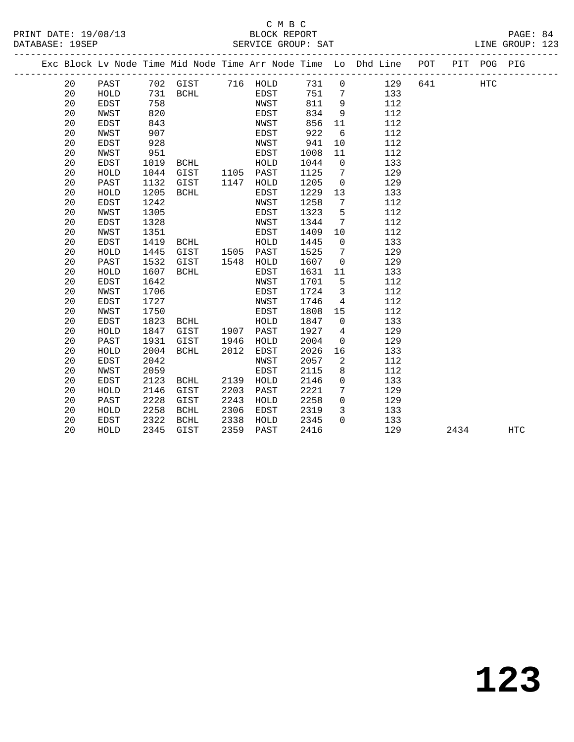### C M B C<br>BLOCK REPORT PRINT DATE: 19/08/13 BLOCK REPORT PAGE: 84

LINE GROUP: 123

|  |    |             |      |             |      |             |      |             | Exc Block Lv Node Time Mid Node Time Arr Node Time Lo Dhd Line | POT | PIT POG PIG |  |
|--|----|-------------|------|-------------|------|-------------|------|-------------|----------------------------------------------------------------|-----|-------------|--|
|  | 20 | PAST        | 702  | GIST        | 716  | HOLD        | 731  | 0           | 129                                                            | 641 | HTC         |  |
|  | 20 | HOLD        | 731  | <b>BCHL</b> |      | EDST        | 751  | 7           | 133                                                            |     |             |  |
|  | 20 | EDST        | 758  |             |      | NWST        | 811  | 9           | 112                                                            |     |             |  |
|  | 20 | NWST        | 820  |             |      | <b>EDST</b> | 834  | 9           | 112                                                            |     |             |  |
|  | 20 | <b>EDST</b> | 843  |             |      | <b>NWST</b> | 856  | 11          | 112                                                            |     |             |  |
|  | 20 | NWST        | 907  |             |      | <b>EDST</b> | 922  | 6           | 112                                                            |     |             |  |
|  | 20 | <b>EDST</b> | 928  |             |      | NWST        | 941  | 10          | 112                                                            |     |             |  |
|  | 20 | NWST        | 951  |             |      | EDST        | 1008 | 11          | 112                                                            |     |             |  |
|  | 20 | EDST        | 1019 | <b>BCHL</b> |      | HOLD        | 1044 | 0           | 133                                                            |     |             |  |
|  | 20 | HOLD        | 1044 | GIST        | 1105 | PAST        | 1125 | 7           | 129                                                            |     |             |  |
|  | 20 | PAST        | 1132 | GIST        | 1147 | HOLD        | 1205 | 0           | 129                                                            |     |             |  |
|  | 20 | HOLD        | 1205 | <b>BCHL</b> |      | <b>EDST</b> | 1229 | 13          | 133                                                            |     |             |  |
|  | 20 | EDST        | 1242 |             |      | NWST        | 1258 | 7           | 112                                                            |     |             |  |
|  | 20 | NWST        | 1305 |             |      | EDST        | 1323 | 5           | 112                                                            |     |             |  |
|  | 20 | <b>EDST</b> | 1328 |             |      | NWST        | 1344 | 7           | 112                                                            |     |             |  |
|  | 20 | NWST        | 1351 |             |      | EDST        | 1409 | 10          | 112                                                            |     |             |  |
|  | 20 | <b>EDST</b> | 1419 | <b>BCHL</b> |      | HOLD        | 1445 | $\mathbf 0$ | 133                                                            |     |             |  |
|  | 20 | HOLD        | 1445 | GIST        | 1505 | PAST        | 1525 | 7           | 129                                                            |     |             |  |
|  | 20 | PAST        | 1532 | GIST        | 1548 | HOLD        | 1607 | 0           | 129                                                            |     |             |  |
|  | 20 | HOLD        | 1607 | <b>BCHL</b> |      | EDST        | 1631 | 11          | 133                                                            |     |             |  |
|  | 20 | <b>EDST</b> | 1642 |             |      | NWST        | 1701 | 5           | 112                                                            |     |             |  |
|  | 20 | NWST        | 1706 |             |      | EDST        | 1724 | 3           | 112                                                            |     |             |  |
|  | 20 | <b>EDST</b> | 1727 |             |      | NWST        | 1746 | 4           | 112                                                            |     |             |  |
|  | 20 | NWST        | 1750 |             |      | <b>EDST</b> | 1808 | 15          | 112                                                            |     |             |  |
|  | 20 | EDST        | 1823 | <b>BCHL</b> |      | HOLD        | 1847 | 0           | 133                                                            |     |             |  |
|  | 20 | HOLD        | 1847 | GIST        | 1907 | PAST        | 1927 | 4           | 129                                                            |     |             |  |
|  | 20 | PAST        | 1931 | GIST        | 1946 | HOLD        | 2004 | $\mathbf 0$ | 129                                                            |     |             |  |
|  | 20 | HOLD        | 2004 | <b>BCHL</b> | 2012 | EDST        | 2026 | 16          | 133                                                            |     |             |  |
|  | 20 | <b>EDST</b> | 2042 |             |      | NWST        | 2057 | 2           | 112                                                            |     |             |  |
|  | 20 | NWST        | 2059 |             |      | <b>EDST</b> | 2115 | 8           | 112                                                            |     |             |  |
|  | 20 | EDST        | 2123 | BCHL        | 2139 | HOLD        | 2146 | 0           | 133                                                            |     |             |  |
|  | 20 | HOLD        | 2146 | GIST        | 2203 | PAST        | 2221 | 7           | 129                                                            |     |             |  |
|  | 20 | PAST        | 2228 | GIST        | 2243 | HOLD        | 2258 | 0           | 129                                                            |     |             |  |
|  | 20 | HOLD        | 2258 | <b>BCHL</b> | 2306 | <b>EDST</b> | 2319 | 3           | 133                                                            |     |             |  |

20 EDST 2322 BCHL 2338 HOLD 2345 0 133

20 HOLD 2345 GIST 2359 PAST 2416 129 2434 HTC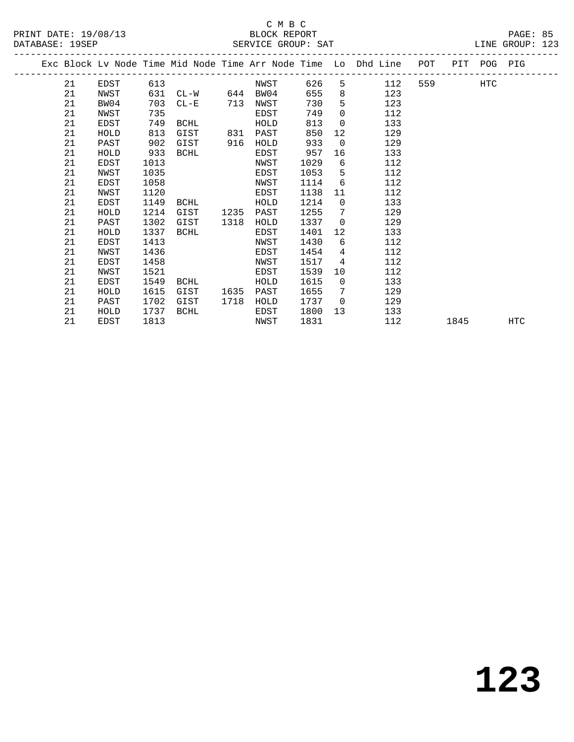### C M B C<br>BLOCK REPORT SERVICE GROUP: SAT

PRINT DATE: 19/08/13 BLOCK REPORT PAGE: 85

|  |    |      |      |               |      |      |      |                 | Exc Block Lv Node Time Mid Node Time Arr Node Time Lo Dhd Line POT |        |      | PIT POG PIG |     |
|--|----|------|------|---------------|------|------|------|-----------------|--------------------------------------------------------------------|--------|------|-------------|-----|
|  | 21 | EDST | 613  |               |      | NWST | 626  |                 | 5 112                                                              | 559 75 |      | HTC         |     |
|  | 21 | NWST | 631  | CL-W 644 BW04 |      |      | 655  | 8               | 123                                                                |        |      |             |     |
|  | 21 | BW04 | 703  | $CL-E$        | 713  | NWST | 730  | 5               | 123                                                                |        |      |             |     |
|  | 21 | NWST | 735  |               |      | EDST | 749  | $\Omega$        | 112                                                                |        |      |             |     |
|  | 21 | EDST | 749  | BCHL          |      | HOLD | 813  | $\Omega$        | 133                                                                |        |      |             |     |
|  | 21 | HOLD | 813  | GIST          | 831  | PAST | 850  | 12              | 129                                                                |        |      |             |     |
|  | 21 | PAST | 902  | GIST          | 916  | HOLD | 933  | $\Omega$        | 129                                                                |        |      |             |     |
|  | 21 | HOLD | 933  | BCHL          |      | EDST | 957  | 16              | 133                                                                |        |      |             |     |
|  | 21 | EDST | 1013 |               |      | NWST | 1029 | 6               | 112                                                                |        |      |             |     |
|  | 21 | NWST | 1035 |               |      | EDST | 1053 | 5               | 112                                                                |        |      |             |     |
|  | 21 | EDST | 1058 |               |      | NWST | 1114 | 6               | 112                                                                |        |      |             |     |
|  | 21 | NWST | 1120 |               |      | EDST | 1138 | 11              | 112                                                                |        |      |             |     |
|  | 21 | EDST | 1149 | BCHL          |      | HOLD | 1214 | $\overline{0}$  | 133                                                                |        |      |             |     |
|  | 21 | HOLD | 1214 | GIST          | 1235 | PAST | 1255 | 7               | 129                                                                |        |      |             |     |
|  | 21 | PAST | 1302 | GIST          | 1318 | HOLD | 1337 | $\Omega$        | 129                                                                |        |      |             |     |
|  | 21 | HOLD | 1337 | BCHL          |      | EDST | 1401 | 12 <sup>°</sup> | 133                                                                |        |      |             |     |
|  | 21 | EDST | 1413 |               |      | NWST | 1430 | 6               | 112                                                                |        |      |             |     |
|  | 21 | NWST | 1436 |               |      | EDST | 1454 | 4               | 112                                                                |        |      |             |     |
|  | 21 | EDST | 1458 |               |      | NWST | 1517 | 4               | 112                                                                |        |      |             |     |
|  | 21 | NWST | 1521 |               |      | EDST | 1539 | 10              | 112                                                                |        |      |             |     |
|  | 21 | EDST | 1549 | BCHL          |      | HOLD | 1615 | $\Omega$        | 133                                                                |        |      |             |     |
|  | 21 | HOLD | 1615 | GIST          | 1635 | PAST | 1655 | $7\phantom{.0}$ | 129                                                                |        |      |             |     |
|  | 21 | PAST | 1702 | GIST          | 1718 | HOLD | 1737 | $\overline{0}$  | 129                                                                |        |      |             |     |
|  | 21 | HOLD | 1737 | BCHL          |      | EDST | 1800 | 13              | 133                                                                |        |      |             |     |
|  | 21 | EDST | 1813 |               |      | NWST | 1831 |                 | 112                                                                |        | 1845 |             | HTC |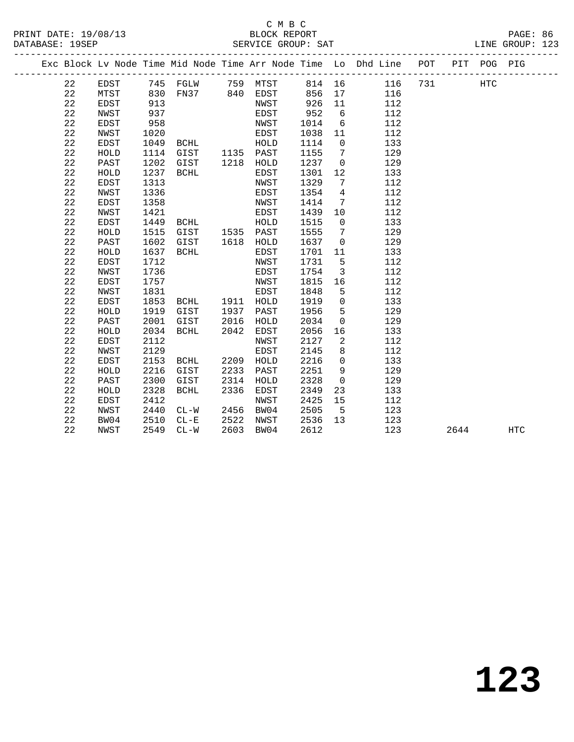## C M B C<br>BLOCK REPORT

| DATABASE: 19SEP |  |  |  | SERVICE GROUP: SAT |                                                                                        |  | LINE GROUP: 123 |  |
|-----------------|--|--|--|--------------------|----------------------------------------------------------------------------------------|--|-----------------|--|
|                 |  |  |  |                    | Exc Block Ly Node Time Mid Node Time Arr Node Time Lo Dhd Line - POT - PIT - POG - PIG |  |                 |  |

 22 EDST 745 FGLW 759 MTST 814 16 116 731 HTC 22 MTST 830 FN37 840 EDST 856 17 116 22 EDST 913 NWST 926 11 112 22 NWST 937 EDST 952 6 112

| 22 | EDST        | 958  |             |      | NWST | 1014 | 6           | 112 |      |            |
|----|-------------|------|-------------|------|------|------|-------------|-----|------|------------|
| 22 | NWST        | 1020 |             |      | EDST | 1038 | 11          | 112 |      |            |
| 22 | EDST        | 1049 | BCHL        |      | HOLD | 1114 | $\mathbf 0$ | 133 |      |            |
| 22 | HOLD        | 1114 | GIST        | 1135 | PAST | 1155 | 7           | 129 |      |            |
| 22 | PAST        | 1202 | GIST        | 1218 | HOLD | 1237 | 0           | 129 |      |            |
| 22 | HOLD        | 1237 | <b>BCHL</b> |      | EDST | 1301 | 12          | 133 |      |            |
| 22 | EDST        | 1313 |             |      | NWST | 1329 | 7           | 112 |      |            |
| 22 | NWST        | 1336 |             |      | EDST | 1354 | 4           | 112 |      |            |
| 22 | EDST        | 1358 |             |      | NWST | 1414 | 7           | 112 |      |            |
| 22 | NWST        | 1421 |             |      | EDST | 1439 | 10          | 112 |      |            |
| 22 | <b>EDST</b> | 1449 | <b>BCHL</b> |      | HOLD | 1515 | $\mathbf 0$ | 133 |      |            |
| 22 | HOLD        | 1515 | GIST        | 1535 | PAST | 1555 | 7           | 129 |      |            |
| 22 | PAST        | 1602 | GIST        | 1618 | HOLD | 1637 | 0           | 129 |      |            |
| 22 | HOLD        | 1637 | <b>BCHL</b> |      | EDST | 1701 | 11          | 133 |      |            |
| 22 | EDST        | 1712 |             |      | NWST | 1731 | 5           | 112 |      |            |
| 22 | NWST        | 1736 |             |      | EDST | 1754 | 3           | 112 |      |            |
| 22 | <b>EDST</b> | 1757 |             |      | NWST | 1815 | 16          | 112 |      |            |
| 22 | NWST        | 1831 |             |      | EDST | 1848 | 5           | 112 |      |            |
| 22 | EDST        | 1853 | <b>BCHL</b> | 1911 | HOLD | 1919 | 0           | 133 |      |            |
| 22 | HOLD        | 1919 | GIST        | 1937 | PAST | 1956 | 5           | 129 |      |            |
| 22 | PAST        | 2001 | GIST        | 2016 | HOLD | 2034 | 0           | 129 |      |            |
| 22 | HOLD        | 2034 | <b>BCHL</b> | 2042 | EDST | 2056 | 16          | 133 |      |            |
| 22 | EDST        | 2112 |             |      | NWST | 2127 | 2           | 112 |      |            |
| 22 | NWST        | 2129 |             |      | EDST | 2145 | 8           | 112 |      |            |
| 22 | EDST        | 2153 | <b>BCHL</b> | 2209 | HOLD | 2216 | $\mathbf 0$ | 133 |      |            |
| 22 | HOLD        | 2216 | GIST        | 2233 | PAST | 2251 | 9           | 129 |      |            |
| 22 | PAST        | 2300 | GIST        | 2314 | HOLD | 2328 | $\mathbf 0$ | 129 |      |            |
| 22 | HOLD        | 2328 | <b>BCHL</b> | 2336 | EDST | 2349 | 23          | 133 |      |            |
| 22 | EDST        | 2412 |             |      | NWST | 2425 | 15          | 112 |      |            |
| 22 | NWST        | 2440 | $CL-W$      | 2456 | BW04 | 2505 | 5           | 123 |      |            |
| 22 | BW04        | 2510 | $CL - E$    | 2522 | NWST | 2536 | 13          | 123 |      |            |
| 22 | NWST        | 2549 | $CL-W$      | 2603 | BW04 | 2612 |             | 123 | 2644 | <b>HTC</b> |
|    |             |      |             |      |      |      |             |     |      |            |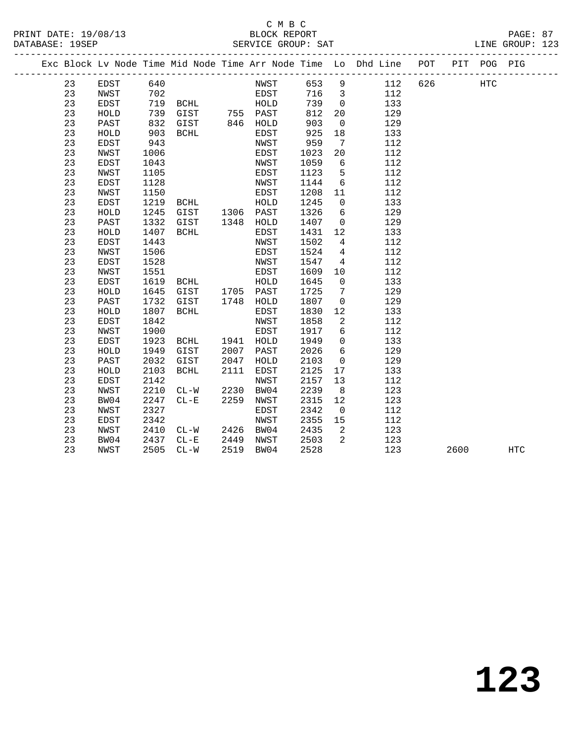### C M B C<br>BLOCK REPORT PRINT DATE: 19/08/13 BLOCK REPORT PAGE: 87 SERVICE GROUP: SAT

|  |    |             |      |             |      |           |      |                         | Exc Block Lv Node Time Mid Node Time Arr Node Time Lo Dhd Line POT |     |      | PIT POG PIG |            |
|--|----|-------------|------|-------------|------|-----------|------|-------------------------|--------------------------------------------------------------------|-----|------|-------------|------------|
|  | 23 | EDST        | 640  |             |      | NWST      | 653  | $\overline{9}$          | 112                                                                | 626 |      | HTC         |            |
|  | 23 | NWST        | 702  |             |      | EDST      | 716  | $\overline{\mathbf{3}}$ | 112                                                                |     |      |             |            |
|  | 23 | EDST        | 719  | BCHL        |      | HOLD      | 739  | $\overline{0}$          | 133                                                                |     |      |             |            |
|  | 23 | HOLD        | 739  | GIST        |      | 755 PAST  | 812  | 20                      | 129                                                                |     |      |             |            |
|  | 23 | PAST        | 832  | GIST        |      | 846 HOLD  | 903  | $\mathbf 0$             | 129                                                                |     |      |             |            |
|  | 23 | HOLD        | 903  | BCHL        |      | EDST      | 925  | 18                      | 133                                                                |     |      |             |            |
|  | 23 | EDST        | 943  |             |      | NWST      | 959  | $7\phantom{.0}$         | 112                                                                |     |      |             |            |
|  | 23 | NWST        | 1006 |             |      | EDST      | 1023 | 20                      | 112                                                                |     |      |             |            |
|  | 23 | EDST        | 1043 |             |      | NWST      | 1059 | 6                       | 112                                                                |     |      |             |            |
|  | 23 | NWST        | 1105 |             |      | EDST      | 1123 | 5                       | 112                                                                |     |      |             |            |
|  | 23 | <b>EDST</b> | 1128 |             |      | NWST      | 1144 | 6                       | 112                                                                |     |      |             |            |
|  | 23 | NWST        | 1150 |             |      | EDST      | 1208 | 11                      | 112                                                                |     |      |             |            |
|  | 23 | <b>EDST</b> | 1219 | BCHL        |      | HOLD      | 1245 | $\overline{0}$          | 133                                                                |     |      |             |            |
|  | 23 | HOLD        | 1245 | GIST        | 1306 | PAST      | 1326 | 6                       | 129                                                                |     |      |             |            |
|  | 23 | PAST        | 1332 | GIST        | 1348 | HOLD      | 1407 | $\mathsf{O}$            | 129                                                                |     |      |             |            |
|  | 23 | HOLD        | 1407 | BCHL        |      | EDST      | 1431 | 12                      | 133                                                                |     |      |             |            |
|  | 23 | EDST        | 1443 |             |      | NWST      | 1502 | 4                       | 112                                                                |     |      |             |            |
|  | 23 | NWST        | 1506 |             |      | EDST      | 1524 | 4                       | 112                                                                |     |      |             |            |
|  | 23 | EDST        | 1528 |             |      | NWST      | 1547 | 4                       | 112                                                                |     |      |             |            |
|  | 23 | NWST        | 1551 |             |      | EDST      | 1609 | 10                      | 112                                                                |     |      |             |            |
|  | 23 | <b>EDST</b> | 1619 | BCHL        |      | HOLD      | 1645 | $\mathbf 0$             | 133                                                                |     |      |             |            |
|  | 23 | HOLD        | 1645 | GIST        |      | 1705 PAST | 1725 | 7                       | 129                                                                |     |      |             |            |
|  | 23 | PAST        | 1732 | GIST        | 1748 | HOLD      | 1807 | $\mathbf 0$             | 129                                                                |     |      |             |            |
|  | 23 | HOLD        | 1807 | <b>BCHL</b> |      | EDST      | 1830 | 12                      | 133                                                                |     |      |             |            |
|  | 23 | EDST        | 1842 |             |      | NWST      | 1858 | 2                       | 112                                                                |     |      |             |            |
|  | 23 | NWST        | 1900 |             |      | EDST      | 1917 | 6                       | 112                                                                |     |      |             |            |
|  | 23 | <b>EDST</b> | 1923 | BCHL        | 1941 | HOLD      | 1949 | $\mathsf{O}$            | 133                                                                |     |      |             |            |
|  | 23 | HOLD        | 1949 | GIST        | 2007 | PAST      | 2026 | $6\overline{6}$         | 129                                                                |     |      |             |            |
|  | 23 | PAST        | 2032 | GIST        | 2047 | HOLD      | 2103 | $\mathbf 0$             | 129                                                                |     |      |             |            |
|  | 23 | HOLD        | 2103 | <b>BCHL</b> | 2111 | EDST      | 2125 | 17                      | 133                                                                |     |      |             |            |
|  | 23 | <b>EDST</b> | 2142 |             |      | NWST      | 2157 | 13                      | 112                                                                |     |      |             |            |
|  | 23 | NWST        | 2210 | $CL-W$      | 2230 | BW04      | 2239 | 8                       | 123                                                                |     |      |             |            |
|  | 23 | BW04        | 2247 | $CL - E$    | 2259 | NWST      | 2315 | 12                      | 123                                                                |     |      |             |            |
|  | 23 | NWST        | 2327 |             |      | EDST      | 2342 | $\overline{0}$          | 112                                                                |     |      |             |            |
|  | 23 | EDST        | 2342 |             |      | NWST      | 2355 | 15                      | 112                                                                |     |      |             |            |
|  | 23 | NWST        | 2410 | $CL-W$      | 2426 | BW04      | 2435 | 2                       | 123                                                                |     |      |             |            |
|  | 23 | BW04        | 2437 | $CL-E$      | 2449 | NWST      | 2503 | 2                       | 123                                                                |     |      |             |            |
|  | 23 | NWST        | 2505 | $CL-W$      | 2519 | BW04      | 2528 |                         | 123                                                                |     | 2600 |             | <b>HTC</b> |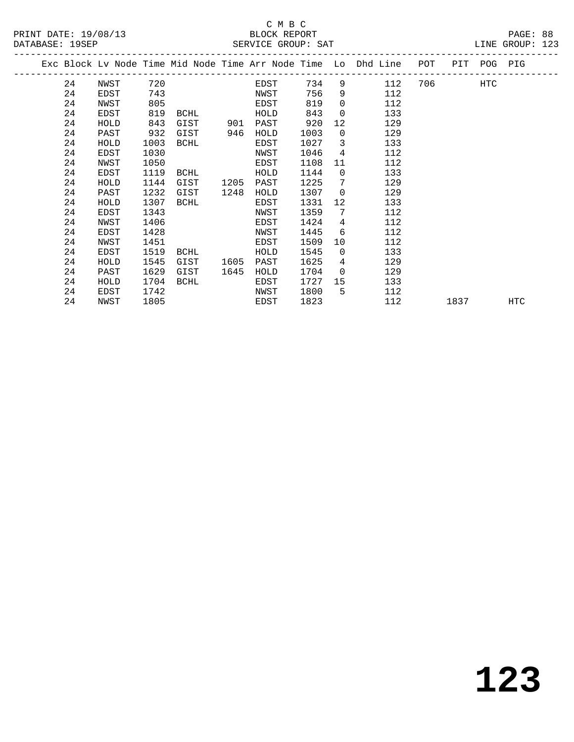### C M B C<br>BLOCK REPORT SERVICE GROUP: SAT

|  | DAIADAQU . IJOUI |      |      |           |      | DERVICE GROUP. DAI |      |                         |                                                                    |          |             | TTIND OTCOLL. |
|--|------------------|------|------|-----------|------|--------------------|------|-------------------------|--------------------------------------------------------------------|----------|-------------|---------------|
|  |                  |      |      |           |      |                    |      |                         | Exc Block Lv Node Time Mid Node Time Arr Node Time Lo Dhd Line POT |          | PIT POG PIG |               |
|  | 24               | NWST | 720  |           |      | EDST               | 734  |                         | $9 \left( \frac{1}{2} \right)$<br>112                              | 706 — 10 | HTC         |               |
|  | 24               | EDST | 743  |           |      | NWST               | 756  | 9                       | 112                                                                |          |             |               |
|  | 24               | NWST | 805  |           |      | EDST               | 819  | $\Omega$                | 112                                                                |          |             |               |
|  | 24               | EDST | 819  | BCHL      |      | HOLD               | 843  | $\Omega$                | 133                                                                |          |             |               |
|  | 24               | HOLD | 843  | GIST      | 901  | PAST               | 920  | 12                      | 129                                                                |          |             |               |
|  | 24               | PAST | 932  | GIST      | 946  | HOLD               | 1003 | $\Omega$                | 129                                                                |          |             |               |
|  | 24               | HOLD | 1003 | BCHL      |      | EDST               | 1027 | $\overline{\mathbf{3}}$ | 133                                                                |          |             |               |
|  | 24               | EDST | 1030 |           |      | NWST               | 1046 | 4                       | 112                                                                |          |             |               |
|  | 24               | NWST | 1050 |           |      | EDST               | 1108 | 11                      | 112                                                                |          |             |               |
|  | 24               | EDST | 1119 | BCHL      |      | HOLD               | 1144 | $\Omega$                | 133                                                                |          |             |               |
|  | 24               | HOLD | 1144 | GIST      | 1205 | PAST               | 1225 | 7                       | 129                                                                |          |             |               |
|  | 24               | PAST | 1232 | GIST      | 1248 | HOLD               | 1307 | $\Omega$                | 129                                                                |          |             |               |
|  | 24               | HOLD | 1307 | BCHL      |      | EDST               | 1331 | 12                      | 133                                                                |          |             |               |
|  | 24               | EDST | 1343 |           |      | NWST               | 1359 | 7                       | 112                                                                |          |             |               |
|  | 24               | NWST | 1406 |           |      | EDST               | 1424 | 4                       | 112                                                                |          |             |               |
|  | 24               | EDST | 1428 |           |      | NWST               | 1445 | 6                       | 112                                                                |          |             |               |
|  | 24               | NWST | 1451 |           |      | EDST               | 1509 | 10                      | 112                                                                |          |             |               |
|  | 24               | EDST |      | 1519 BCHL |      | HOLD               | 1545 | $\overline{0}$          | 133                                                                |          |             |               |

24 EDST 1519 BCHL HOLD 1545 0 133

24 HOLD 1704 BCHL EDST 1727 15 133

24 NWST 1805 EDST 1823 112 1837 HTC

 24 HOLD 1545 GIST 1605 PAST 1625 4 129 24 PAST 1629 GIST 1645 HOLD 1704 0 129

24 EDST 1742 NWST 1800 5 112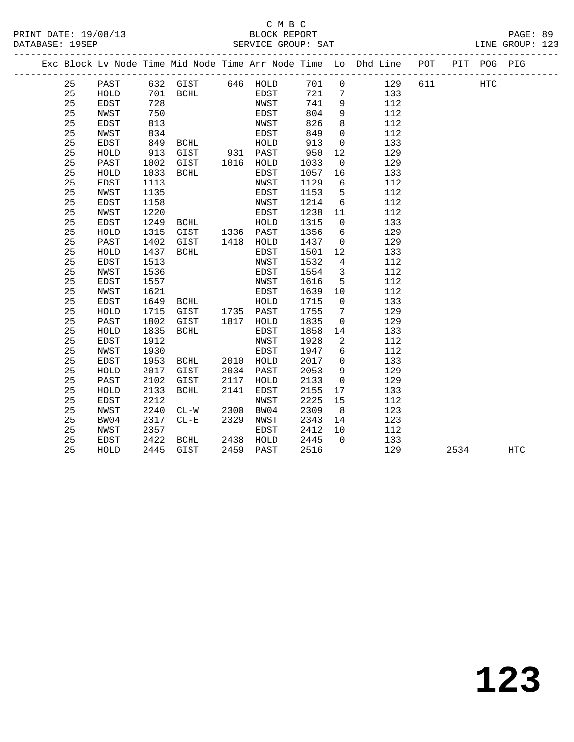|    |              |      |                                              |      |              |                  |                         | Exc Block Lv Node Time Mid Node Time Arr Node Time Lo Dhd Line POT |     |      | PIT POG PIG |     |  |
|----|--------------|------|----------------------------------------------|------|--------------|------------------|-------------------------|--------------------------------------------------------------------|-----|------|-------------|-----|--|
| 25 | PAST         |      | 632 GIST 646 HOLD                            |      |              | 701              | $\overline{0}$          | 129                                                                | 611 |      | <b>HTC</b>  |     |  |
| 25 | HOLD         |      | $701$ BCHL $729$                             |      | EDST<br>NWST | 721              | $\overline{7}$          | 133                                                                |     |      |             |     |  |
| 25 | EDST         | 728  |                                              |      | NWST         | 741              | 9                       | 112                                                                |     |      |             |     |  |
| 25 | NWST         | 750  |                                              |      | EDST         | 804              | 9                       | 112                                                                |     |      |             |     |  |
| 25 | EDST         | 813  |                                              |      | NWST         | 826              | 8                       | 112                                                                |     |      |             |     |  |
| 25 | NWST         | 834  |                                              |      | EDST         | 849              | $\overline{0}$          | 112                                                                |     |      |             |     |  |
| 25 | EDST         | 849  |                                              |      |              | 913              | $\overline{0}$          | 133                                                                |     |      |             |     |  |
| 25 | ${\tt HOLD}$ | 913  | BCHL HOLD<br>GIST 931 PAST<br>GIST 1016 HOLD |      |              | 950              | 12                      | 129                                                                |     |      |             |     |  |
| 25 | PAST         | 1002 |                                              |      |              | 1033             | $\overline{0}$          | 129                                                                |     |      |             |     |  |
| 25 | HOLD         | 1033 | BCHL                                         |      | EDST         | 1057             | 16                      | 133                                                                |     |      |             |     |  |
| 25 | EDST         | 1113 |                                              |      | NWST         | 1129             | 6                       | 112                                                                |     |      |             |     |  |
| 25 | <b>NWST</b>  | 1135 |                                              |      | EDST         | 1153             | 5                       | 112                                                                |     |      |             |     |  |
| 25 | <b>EDST</b>  | 1158 |                                              |      | NWST         | 1214             | $6\overline{6}$         | 112                                                                |     |      |             |     |  |
| 25 | NWST         | 1220 |                                              |      | EDST         | 1238             | 11                      | 112                                                                |     |      |             |     |  |
| 25 | EDST         | 1249 | <b>BCHL</b>                                  |      | HOLD         | 1315             | $\overline{0}$          | 133                                                                |     |      |             |     |  |
| 25 | HOLD         | 1315 | GIST 1336 PAST                               |      |              | 1356             | 6                       | 129                                                                |     |      |             |     |  |
| 25 | PAST         | 1402 | GIST 1418 HOLD                               |      |              | 1437             | $\overline{0}$          | 129                                                                |     |      |             |     |  |
| 25 | HOLD         | 1437 | BCHL                                         |      | EDST         | 1501             | 12                      | 133                                                                |     |      |             |     |  |
| 25 | EDST         | 1513 |                                              |      | NWST         | 1532             | $\overline{4}$          | 112                                                                |     |      |             |     |  |
| 25 | NWST         | 1536 |                                              |      | EDST         | 1554             | $\overline{\mathbf{3}}$ | 112                                                                |     |      |             |     |  |
| 25 | EDST         | 1557 |                                              |      | NWST         | 1616             | $5^{\circ}$             | 112                                                                |     |      |             |     |  |
| 25 | <b>NWST</b>  | 1621 |                                              |      | EDST         | 1639             | 10                      | 112                                                                |     |      |             |     |  |
| 25 | EDST         | 1649 | <b>BCHL</b>                                  |      | HOLD         | 1715             | $\overline{0}$          | 133                                                                |     |      |             |     |  |
| 25 | HOLD         | 1715 | GIST 1735 PAST                               |      |              | 1755             | $\overline{7}$          | 129                                                                |     |      |             |     |  |
| 25 | PAST         | 1802 | GIST 1817 HOLD                               |      |              | 1835             | $\overline{0}$          | 129                                                                |     |      |             |     |  |
| 25 | HOLD         | 1835 | BCHL                                         |      | EDST         | 1858             | 14                      | 133                                                                |     |      |             |     |  |
| 25 | EDST         | 1912 |                                              |      | NWST         | 1928             | $\overline{2}$          | 112                                                                |     |      |             |     |  |
| 25 | NWST         | 1930 |                                              |      | EDST         | 1947             | 6                       | 112                                                                |     |      |             |     |  |
| 25 | EDST         | 1953 | BCHL 2010 HOLD                               |      |              | 2017             | $\overline{0}$          | 133                                                                |     |      |             |     |  |
| 25 | HOLD         | 2017 | GIST                                         |      | 2034 PAST    | 2053             | 9                       | 129                                                                |     |      |             |     |  |
| 25 | PAST         | 2102 | GIST                                         | 2117 | HOLD         | 2133             | $\overline{0}$          | 129                                                                |     |      |             |     |  |
| 25 | HOLD         | 2133 | BCHL                                         | 2141 | EDST         | 2155             | 17                      | 133                                                                |     |      |             |     |  |
| 25 | EDST         | 2212 |                                              |      | NWST         | 2225             | 15                      | 112                                                                |     |      |             |     |  |
| 25 | NWST         | 2240 | $CL-W$ 2300                                  |      | BW04         | 2309             | 8 <sup>8</sup>          | 123                                                                |     |      |             |     |  |
| 25 | BW04         | 2317 | $CL - E$                                     | 2329 | NWST         | 2343             | 14                      | 123                                                                |     |      |             |     |  |
| 25 | NWST         | 2357 |                                              |      | EDST         | 2412             | 10                      | 112                                                                |     |      |             |     |  |
| 25 | EDST         | 2422 | BCHL                                         |      | 2438 HOLD    | $2445$<br>$2445$ | $\overline{0}$          | 133                                                                |     |      |             |     |  |
| 25 | HOLD         |      | 2445 GIST                                    |      | 2459 PAST    | 2516             |                         | 129                                                                |     | 2534 |             | HTC |  |
|    |              |      |                                              |      |              |                  |                         |                                                                    |     |      |             |     |  |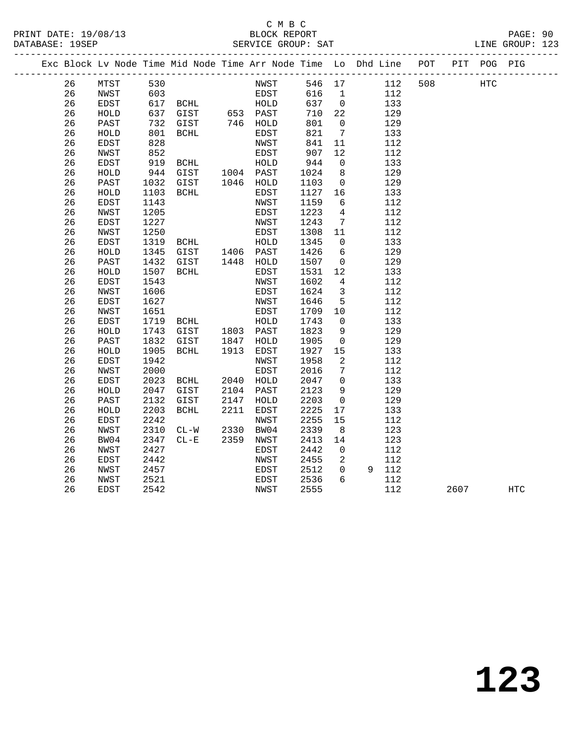### C M B C<br>BLOCK REPORT SERVICE GROUP: SAT

|  |    |              |      |                |      |             |      |                         | Exc Block Lv Node Time Mid Node Time Arr Node Time Lo Dhd Line POT |     | PIT POG PIG |  |
|--|----|--------------|------|----------------|------|-------------|------|-------------------------|--------------------------------------------------------------------|-----|-------------|--|
|  | 26 | MTST         | 530  |                |      | NWST        |      |                         | 546 17<br>112                                                      | 508 | HTC         |  |
|  | 26 | NWST         | 603  |                |      | EDST        | 616  |                         | 112<br>$\mathbf{1}$                                                |     |             |  |
|  | 26 | EDST         | 617  | <b>BCHL</b>    |      | HOLD        | 637  |                         | $\overline{0}$<br>133                                              |     |             |  |
|  | 26 | HOLD         | 637  | GIST 653 PAST  |      |             | 710  | 22                      | 129                                                                |     |             |  |
|  | 26 | PAST         | 732  | GIST           |      | 746 HOLD    | 801  | $\overline{0}$          | 129                                                                |     |             |  |
|  | 26 | HOLD         | 801  | <b>BCHL</b>    |      | EDST        | 821  | 7                       | 133                                                                |     |             |  |
|  | 26 | <b>EDST</b>  | 828  |                |      | NWST        | 841  | 11                      | 112                                                                |     |             |  |
|  | 26 | NWST         | 852  |                |      | EDST        | 907  | 12                      | 112                                                                |     |             |  |
|  | 26 | EDST         | 919  | BCHL           |      | HOLD        | 944  | $\overline{0}$          | 133                                                                |     |             |  |
|  | 26 | ${\tt HOLD}$ | 944  | GIST 1004 PAST |      |             | 1024 | 8 <sup>8</sup>          | 129                                                                |     |             |  |
|  | 26 | PAST         | 1032 | GIST           |      | 1046 HOLD   | 1103 | $\overline{0}$          | 129                                                                |     |             |  |
|  | 26 | HOLD         | 1103 | BCHL           |      | EDST        | 1127 | 16                      | 133                                                                |     |             |  |
|  | 26 | <b>EDST</b>  | 1143 |                |      | NWST        | 1159 | 6                       | 112                                                                |     |             |  |
|  | 26 | NWST         | 1205 |                |      | EDST        | 1223 | $\overline{4}$          | 112                                                                |     |             |  |
|  | 26 | EDST         | 1227 |                |      | NWST        | 1243 | $7\overline{ }$         | 112                                                                |     |             |  |
|  | 26 | NWST         | 1250 |                |      | EDST        | 1308 | 11                      | 112                                                                |     |             |  |
|  | 26 | EDST         | 1319 | BCHL           |      | HOLD        | 1345 | $\overline{0}$          | 133                                                                |     |             |  |
|  | 26 | HOLD         | 1345 | GIST           |      | 1406 PAST   | 1426 | $6\overline{6}$         | 129                                                                |     |             |  |
|  | 26 | PAST         | 1432 | GIST           | 1448 | HOLD        | 1507 | $\overline{0}$          | 129                                                                |     |             |  |
|  | 26 | HOLD         | 1507 | BCHL           |      | EDST        | 1531 | 12                      | 133                                                                |     |             |  |
|  | 26 | EDST         | 1543 |                |      | NWST        | 1602 | $\overline{4}$          | 112                                                                |     |             |  |
|  | 26 | NWST         | 1606 |                |      | EDST        | 1624 | $\overline{\mathbf{3}}$ | 112                                                                |     |             |  |
|  | 26 | EDST         | 1627 |                |      | NWST        | 1646 | $-5$                    | 112                                                                |     |             |  |
|  | 26 | NWST         | 1651 |                |      | EDST        | 1709 | 10                      | 112                                                                |     |             |  |
|  | 26 | EDST         | 1719 | BCHL           |      | HOLD        | 1743 | $\overline{0}$          | 133                                                                |     |             |  |
|  | 26 | HOLD         | 1743 | GIST           | 1803 | PAST        | 1823 | 9                       | 129                                                                |     |             |  |
|  | 26 | PAST         | 1832 | GIST           | 1847 | HOLD        | 1905 | $\overline{0}$          | 129                                                                |     |             |  |
|  | 26 | HOLD         | 1905 | BCHL           | 1913 | EDST        | 1927 | 15                      | 133                                                                |     |             |  |
|  | 26 | <b>EDST</b>  | 1942 |                |      | NWST        | 1958 | 2                       | 112                                                                |     |             |  |
|  | 26 | NWST         | 2000 |                |      | <b>EDST</b> | 2016 | 7                       | 112                                                                |     |             |  |
|  | 26 | EDST         | 2023 | BCHL           | 2040 | HOLD        | 2047 | $\overline{0}$          | 133                                                                |     |             |  |
|  | 26 | HOLD         | 2047 | GIST           | 2104 | PAST        | 2123 | 9                       | 129                                                                |     |             |  |
|  | 26 | PAST         | 2132 | GIST           | 2147 | HOLD        | 2203 | $\overline{0}$          | 129                                                                |     |             |  |
|  | 26 | HOLD         | 2203 | <b>BCHL</b>    | 2211 | EDST        | 2225 | 17                      | 133                                                                |     |             |  |
|  | 26 | <b>EDST</b>  | 2242 |                |      | NWST        | 2255 | 15                      | 112                                                                |     |             |  |

 26 NWST 2310 CL-W 2330 BW04 2339 8 123 26 BW04 2347 CL-E 2359 NWST 2413 14 123 26 NWST 2427 EDST 2442 0 112 26 EDST 2442 NWST 2455 2 112 26 NWST 2457 EDST 2512 0 9 112 26 NWST 2521 EDST 2536 6 112

26 EDST 2542 NWST 2555 112 2607 HTC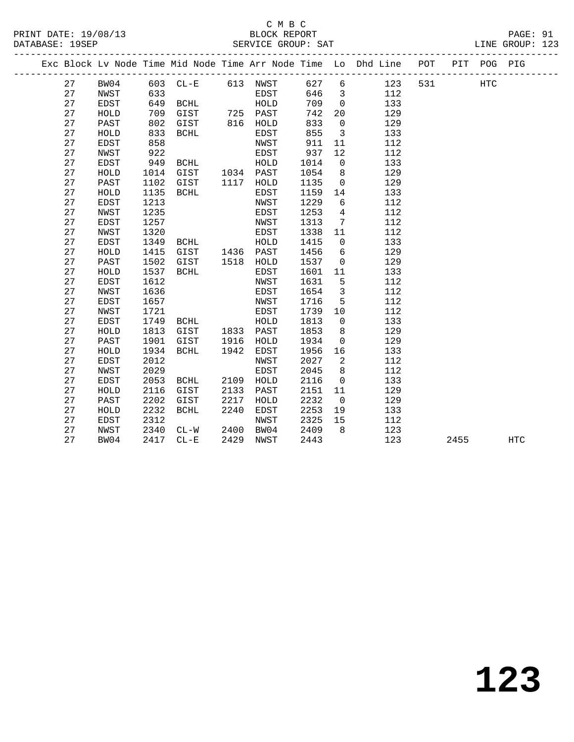## C M B C<br>BLOCK REPORT

PRINT DATE: 19/08/13 BLOCK REPORT PAGE: 91 SERVICE GROUP: SAT ------------------------------------------------------------------------------------------------- Exc Block Lv Node Time Mid Node Time Arr Node Time Lo Dhd Line POT PIT POG PIG

|  |    |             |      |             |      | EXC BIOCK LV NOGE TIME MIG NOGE TIME ATT NOGE TIME |      | LO.            | Dha Line | POT. | <b>BT.L</b> | POG        | P T G |  |
|--|----|-------------|------|-------------|------|----------------------------------------------------|------|----------------|----------|------|-------------|------------|-------|--|
|  | 27 | BW04        | 603  | $CL - E$    |      | 613 NWST                                           | 627  | 6              | 123      | 531  |             | <b>HTC</b> |       |  |
|  | 27 | NWST        | 633  |             |      | <b>EDST</b>                                        | 646  | 3              | 112      |      |             |            |       |  |
|  | 27 | EDST        | 649  | BCHL        |      | HOLD                                               | 709  | $\mathbf 0$    | 133      |      |             |            |       |  |
|  | 27 | HOLD        | 709  | GIST        | 725  | PAST                                               | 742  | 20             | 129      |      |             |            |       |  |
|  | 27 | PAST        | 802  | GIST        | 816  | HOLD                                               | 833  | $\mathbf 0$    | 129      |      |             |            |       |  |
|  | 27 | HOLD        | 833  | <b>BCHL</b> |      | EDST                                               | 855  | $\overline{3}$ | 133      |      |             |            |       |  |
|  | 27 | <b>EDST</b> | 858  |             |      | NWST                                               | 911  | 11             | 112      |      |             |            |       |  |
|  | 27 | NWST        | 922  |             |      | EDST                                               | 937  | 12             | 112      |      |             |            |       |  |
|  | 27 | <b>EDST</b> | 949  | BCHL        |      | HOLD                                               | 1014 | $\mathbf 0$    | 133      |      |             |            |       |  |
|  | 27 | HOLD        | 1014 | GIST        | 1034 | PAST                                               | 1054 | 8              | 129      |      |             |            |       |  |
|  | 27 | PAST        | 1102 | GIST        | 1117 | HOLD                                               | 1135 | $\mathbf 0$    | 129      |      |             |            |       |  |
|  | 27 | HOLD        | 1135 | <b>BCHL</b> |      | <b>EDST</b>                                        | 1159 | 14             | 133      |      |             |            |       |  |
|  | 27 | <b>EDST</b> | 1213 |             |      | NWST                                               | 1229 | 6              | 112      |      |             |            |       |  |
|  | 27 | NWST        | 1235 |             |      | <b>EDST</b>                                        | 1253 | 4              | 112      |      |             |            |       |  |
|  | 27 | <b>EDST</b> | 1257 |             |      | NWST                                               | 1313 | 7              | 112      |      |             |            |       |  |
|  | 27 | NWST        | 1320 |             |      | <b>EDST</b>                                        | 1338 | 11             | 112      |      |             |            |       |  |
|  | 27 | <b>EDST</b> | 1349 | BCHL        |      | HOLD                                               | 1415 | $\mathbf 0$    | 133      |      |             |            |       |  |
|  | 27 | HOLD        | 1415 | GIST        | 1436 | PAST                                               | 1456 | 6              | 129      |      |             |            |       |  |
|  | 27 | PAST        | 1502 | GIST        | 1518 | HOLD                                               | 1537 | 0              | 129      |      |             |            |       |  |
|  | 27 | HOLD        | 1537 | <b>BCHL</b> |      | EDST                                               | 1601 | 11             | 133      |      |             |            |       |  |
|  | 27 | EDST        | 1612 |             |      | NWST                                               | 1631 | $\overline{5}$ | 112      |      |             |            |       |  |
|  | 27 | NWST        | 1636 |             |      | <b>EDST</b>                                        | 1654 | $\mathbf{3}$   | 112      |      |             |            |       |  |
|  | 27 | <b>EDST</b> | 1657 |             |      | NWST                                               | 1716 | 5              | 112      |      |             |            |       |  |
|  | 27 | NWST        | 1721 |             |      | <b>EDST</b>                                        | 1739 | 10             | 112      |      |             |            |       |  |
|  | 27 | <b>EDST</b> | 1749 | BCHL        |      | HOLD                                               | 1813 | $\mathsf{O}$   | 133      |      |             |            |       |  |
|  | 27 | HOLD        | 1813 | GIST        | 1833 | PAST                                               | 1853 | 8              | 129      |      |             |            |       |  |
|  | 27 | PAST        | 1901 | GIST        | 1916 | HOLD                                               | 1934 | 0              | 129      |      |             |            |       |  |
|  | 27 | HOLD        | 1934 | <b>BCHL</b> | 1942 | EDST                                               | 1956 | 16             | 133      |      |             |            |       |  |
|  | 27 | EDST        | 2012 |             |      | NWST                                               | 2027 | 2              | 112      |      |             |            |       |  |
|  | 27 | NWST        | 2029 |             |      | <b>EDST</b>                                        | 2045 | 8              | 112      |      |             |            |       |  |
|  | 27 | <b>EDST</b> | 2053 | <b>BCHL</b> | 2109 | HOLD                                               | 2116 | $\mathbf 0$    | 133      |      |             |            |       |  |
|  | 27 | HOLD        | 2116 | GIST        | 2133 | PAST                                               | 2151 | 11             | 129      |      |             |            |       |  |
|  | 27 | PAST        | 2202 | GIST        | 2217 | HOLD                                               | 2232 | $\mathbf 0$    | 129      |      |             |            |       |  |
|  | 27 | HOLD        | 2232 | <b>BCHL</b> | 2240 | EDST                                               | 2253 | 19             | 133      |      |             |            |       |  |
|  | 27 | EDST        | 2312 |             |      | NWST                                               | 2325 | 15             | 112      |      |             |            |       |  |
|  | 27 | NWST        | 2340 | $CL-W$      | 2400 | BW04                                               | 2409 | 8              | 123      |      |             |            |       |  |
|  | 27 | BW04        | 2417 | $CL - E$    | 2429 | NWST                                               | 2443 |                | 123      |      | 2455        |            | HTC   |  |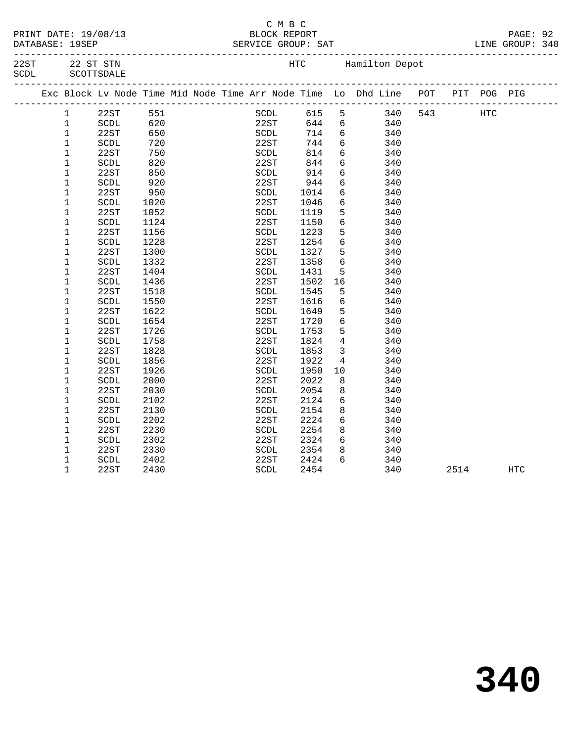|  | PRINT DATE: 19/08/13 |
|--|----------------------|
|  | $\cdots$             |

#### C M B C PAGE: 92 Extra service of the service of the service of the service of the service of the service of the service of the service of the service of the service of the service of the service of the service of the service of the servic

|              | DAIABASE: 19SEP |                             |               |  | SERVICE GROUP: SAT             |                            |                          |                                                                |     |     |     | TIME GKOOL: 340 |  |
|--------------|-----------------|-----------------------------|---------------|--|--------------------------------|----------------------------|--------------------------|----------------------------------------------------------------|-----|-----|-----|-----------------|--|
| 22ST<br>SCDL |                 | 22 ST STN<br>SCOTTSDALE     |               |  |                                | <b>HTC</b>                 |                          | Hamilton Depot                                                 |     |     |     |                 |  |
|              |                 |                             |               |  |                                |                            |                          | Exc Block Ly Node Time Mid Node Time Arr Node Time Lo Dhd Line | POT | PIT | POG | PIG             |  |
|              |                 | 22ST                        | 551           |  | SCDL                           | 615                        | 5                        | 340                                                            | 543 |     | HTC |                 |  |
|              |                 | SCDL                        | 620           |  | 22ST                           | 644                        | 6                        | 340                                                            |     |     |     |                 |  |
|              |                 | 22ST                        | 650           |  | SCDL                           | 714                        | 6                        | 340                                                            |     |     |     |                 |  |
|              |                 | SCDL                        | 720           |  | 22ST                           | 744                        | 6                        | 340                                                            |     |     |     |                 |  |
|              |                 | 22ST                        | 750           |  | SCDL                           | 814                        | 6                        | 340                                                            |     |     |     |                 |  |
|              |                 | SCDL                        | 820           |  | 22ST                           | 844                        | 6                        | 340                                                            |     |     |     |                 |  |
|              |                 | 22ST                        | 850           |  | SCDL                           | 914                        | 6                        | 340                                                            |     |     |     |                 |  |
|              |                 | $\sim$ $\sim$ $\sim$ $\sim$ | $\cap$ $\cap$ |  | $\cap$ $\cap$ $\subset$ $\Box$ | $\sim$ $\lambda$ $\lambda$ | $\overline{\phantom{0}}$ | $\Omega$                                                       |     |     |     |                 |  |

------------------------------------------------------------------------------------------------- 1 SCDL 620 22ST 644 6 340 1 22ST 650 SCDL 714 6 340 1 SCDL 720 22ST 744 6 340 1 22ST 750 SCDL 814 6 340 1 SCDL 820 22ST 844 6 340 1 22ST 850 SCDL 914 6 340 1 SCDL 920 22ST 944 6 340 1 22ST 950 SCDL 1014 6 340 1 SCDL 1020 22ST 1046 6 340 1 22ST 1052 SCDL 1119 5 340 1 SCDL 1124 22ST 1150 6 340 1 22ST 1156 SCDL 1223 5 340 1 SCDL 1228 22ST 1254 6 340 1 22ST 1300 SCDL 1327 5 340 1 SCDL 1332 22ST 1358 6 340 1 22ST 1404 SCDL 1431 5 340 1 SCDL 1436 22ST 1502 16 340 1 22ST 1518 SCDL 1545 5 340 1 SCDL 1550 22ST 1616 6 340 1 22ST 1622 SCDL 1649 5 340 1 SCDL 1654 22ST 1720 6 340 1 22ST 1726 SCDL 1753 5 340 1 SCDL 1758 22ST 1824 4 340 1 22ST 1828 SCDL 1853 3 340 1 SCDL 1856 22ST 1922 4 340 1 22ST 1926 SCDL 1950 10 340 1 SCDL 2000 22ST 2022 8 340 1 22ST 2030 SCDL 2054 8 340 1 SCDL 2102 22ST 2124 6 340 1 22ST 2130 SCDL 2154 8 340 1 SCDL 2202 22ST 2224 6 340 1 22ST 2230 SCDL 2254 8 340 1 SCDL 2302 22ST 2324 6 340 1 22ST 2330 SCDL 2354 8 340 1 SCDL 2402 22ST 2424 6 340 1 22ST 2430 SCDL 2454 340 2514 HTC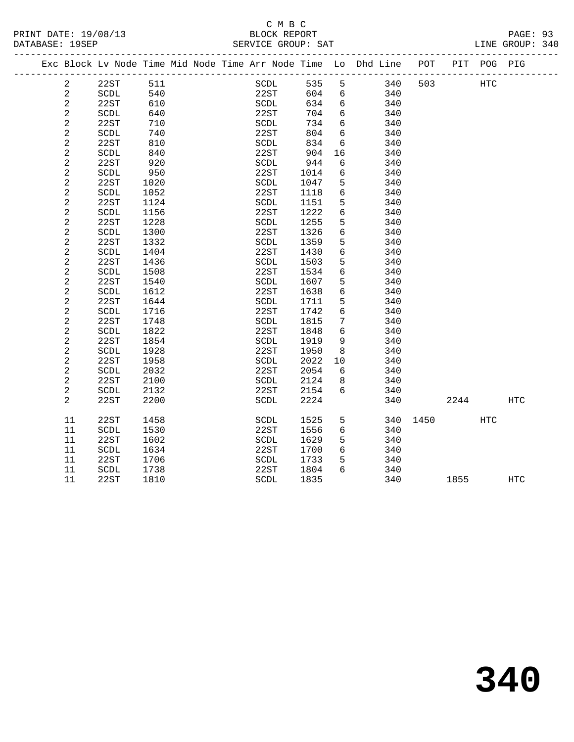### C M B C<br>BLOCK REPORT SERVICE GROUP: SAT

|  |                         | Exc Block Lv Node Time Mid Node Time Arr Node Time Lo Dhd Line |      |  |      |      |      |                 |     | POT      |      | PIT POG PIG |                   |
|--|-------------------------|----------------------------------------------------------------|------|--|------|------|------|-----------------|-----|----------|------|-------------|-------------------|
|  | $\overline{2}$          | 22ST                                                           | 511  |  |      | SCDL | 535  | 5               | 340 | 503      |      | HTC         |                   |
|  | $\overline{a}$          | SCDL                                                           | 540  |  |      | 22ST | 604  | 6               | 340 |          |      |             |                   |
|  | $\overline{c}$          | 22ST                                                           | 610  |  | SCDL |      | 634  | 6               | 340 |          |      |             |                   |
|  | $\sqrt{2}$              | SCDL                                                           | 640  |  | 22ST |      | 704  | 6               | 340 |          |      |             |                   |
|  | $\overline{c}$          | 22ST                                                           | 710  |  | SCDL |      | 734  | 6               | 340 |          |      |             |                   |
|  | 2                       | SCDL                                                           | 740  |  | 22ST |      | 804  | 6               | 340 |          |      |             |                   |
|  | $\overline{c}$          | 22ST                                                           | 810  |  | SCDL |      | 834  | 6               | 340 |          |      |             |                   |
|  | 2                       | SCDL                                                           | 840  |  | 22ST |      | 904  | 16              | 340 |          |      |             |                   |
|  | $\overline{c}$          | 22ST                                                           | 920  |  | SCDL |      | 944  | 6               | 340 |          |      |             |                   |
|  | $\overline{c}$          | $\operatorname{SCDL}$                                          | 950  |  | 22ST |      | 1014 | 6               | 340 |          |      |             |                   |
|  | $\sqrt{2}$              | 22ST                                                           | 1020 |  | SCDL |      | 1047 | 5               | 340 |          |      |             |                   |
|  | $\mathbf{2}$            | $\operatorname{SCDL}$                                          | 1052 |  | 22ST |      | 1118 | $6\overline{6}$ | 340 |          |      |             |                   |
|  | 2                       | 22ST                                                           | 1124 |  | SCDL |      | 1151 | 5               | 340 |          |      |             |                   |
|  | $\sqrt{2}$              | SCDL                                                           | 1156 |  | 22ST |      | 1222 | $6\overline{6}$ | 340 |          |      |             |                   |
|  | 2                       | 22ST                                                           | 1228 |  | SCDL |      | 1255 | 5               | 340 |          |      |             |                   |
|  | 2                       | SCDL                                                           | 1300 |  | 22ST |      | 1326 | 6               | 340 |          |      |             |                   |
|  | $\sqrt{2}$              | 22ST                                                           | 1332 |  | SCDL |      | 1359 | $5\phantom{.0}$ | 340 |          |      |             |                   |
|  | $\sqrt{2}$              | SCDL                                                           | 1404 |  | 22ST |      | 1430 | 6               | 340 |          |      |             |                   |
|  | 2                       | 22ST                                                           | 1436 |  | SCDL |      | 1503 | 5               | 340 |          |      |             |                   |
|  | $\overline{c}$          | SCDL                                                           | 1508 |  | 22ST |      | 1534 | $6\overline{6}$ | 340 |          |      |             |                   |
|  | $\sqrt{2}$              | 22ST                                                           | 1540 |  | SCDL |      | 1607 | 5               | 340 |          |      |             |                   |
|  | $\mathbf{2}$            | SCDL                                                           | 1612 |  | 22ST |      | 1638 | 6               | 340 |          |      |             |                   |
|  | $\sqrt{2}$              | 22ST                                                           | 1644 |  | SCDL |      | 1711 | 5               | 340 |          |      |             |                   |
|  | $\sqrt{2}$              | SCDL                                                           | 1716 |  | 22ST |      | 1742 | $6\overline{6}$ | 340 |          |      |             |                   |
|  | $\mathbf{2}$            | 22ST                                                           | 1748 |  | SCDL |      | 1815 | 7               | 340 |          |      |             |                   |
|  | 2                       | SCDL                                                           | 1822 |  | 22ST |      | 1848 | 6               | 340 |          |      |             |                   |
|  | $\overline{\mathbf{c}}$ | 22ST                                                           | 1854 |  | SCDL |      | 1919 | 9               | 340 |          |      |             |                   |
|  | 2                       | SCDL                                                           | 1928 |  | 22ST |      | 1950 | 8               | 340 |          |      |             |                   |
|  | 2                       | 22ST                                                           | 1958 |  | SCDL |      | 2022 | 10              | 340 |          |      |             |                   |
|  | 2                       | SCDL                                                           | 2032 |  | 22ST |      | 2054 | 6               | 340 |          |      |             |                   |
|  | $\sqrt{2}$              | 22ST                                                           | 2100 |  | SCDL |      | 2124 | 8               | 340 |          |      |             |                   |
|  | $\mathbf{2}$            | SCDL                                                           | 2132 |  | 22ST |      | 2154 | 6               | 340 |          |      |             |                   |
|  | $\overline{2}$          | 22ST                                                           | 2200 |  | SCDL |      | 2224 |                 | 340 |          | 2244 |             | <b>HTC</b>        |
|  | 11                      | 22ST                                                           | 1458 |  | SCDL |      | 1525 | 5               |     | 340 1450 |      | HTC         |                   |
|  | 11                      | SCDL                                                           | 1530 |  | 22ST |      | 1556 | 6               | 340 |          |      |             |                   |
|  | 11                      | 22ST                                                           | 1602 |  | SCDL |      | 1629 | 5               | 340 |          |      |             |                   |
|  | 11                      | SCDL                                                           | 1634 |  | 22ST |      | 1700 | 6               | 340 |          |      |             |                   |
|  | 11                      | 22ST                                                           | 1706 |  | SCDL |      | 1733 | 5               | 340 |          |      |             |                   |
|  | 11                      | SCDL                                                           | 1738 |  | 22ST |      | 1804 | 6               | 340 |          |      |             |                   |
|  | 11                      | 22ST                                                           | 1810 |  | SCDL |      | 1835 |                 | 340 |          | 1855 |             | $_{\mathrm{HTC}}$ |
|  |                         |                                                                |      |  |      |      |      |                 |     |          |      |             |                   |

**340**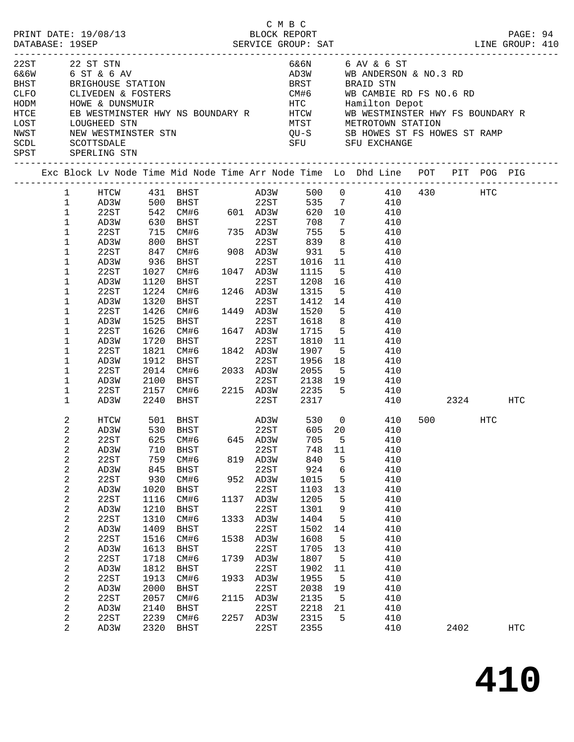|              |                  |                                   |      |                                                                                                                                                                                                                                                                                                   |      | C M B C   |              |                 |                                                                                                                                                                                                                                      |          |     |          |  |
|--------------|------------------|-----------------------------------|------|---------------------------------------------------------------------------------------------------------------------------------------------------------------------------------------------------------------------------------------------------------------------------------------------------|------|-----------|--------------|-----------------|--------------------------------------------------------------------------------------------------------------------------------------------------------------------------------------------------------------------------------------|----------|-----|----------|--|
|              |                  | PRINT DATE: 19/08/13              |      |                                                                                                                                                                                                                                                                                                   |      |           | BLOCK REPORT |                 |                                                                                                                                                                                                                                      |          |     | PAGE: 94 |  |
|              |                  |                                   |      |                                                                                                                                                                                                                                                                                                   |      |           |              |                 |                                                                                                                                                                                                                                      |          |     |          |  |
|              |                  |                                   |      |                                                                                                                                                                                                                                                                                                   |      |           |              |                 |                                                                                                                                                                                                                                      |          |     |          |  |
| 22ST         |                  | 22 ST STN<br>6&6W 6 ST & 6 AV     |      |                                                                                                                                                                                                                                                                                                   |      |           |              |                 | 6&6N 6 AV & 6 ST<br>AD3W WB ANDERSON & NO.3 RD                                                                                                                                                                                       |          |     |          |  |
|              |                  |                                   |      |                                                                                                                                                                                                                                                                                                   |      |           |              |                 |                                                                                                                                                                                                                                      |          |     |          |  |
| <b>BHST</b>  |                  |                                   |      |                                                                                                                                                                                                                                                                                                   |      |           |              |                 | BRIGHOUSE STATION (DUNDARY REALLY STAND STRING MED FOR NO.6 RD)<br>CLIVEDEN & FOSTERS (DUNSMUIR) HTC (DUNG Hamilton Depot<br>HOWE & DUNSMUIR (HOWE HTC Hamilton Depot REAGNEMENT REAGNEMENT REAGNEMENT REAGNEMENT REAGNEMENT REAGNEM |          |     |          |  |
| CLFO         |                  |                                   |      |                                                                                                                                                                                                                                                                                                   |      |           |              |                 |                                                                                                                                                                                                                                      |          |     |          |  |
| HODM         |                  |                                   |      |                                                                                                                                                                                                                                                                                                   |      |           |              |                 |                                                                                                                                                                                                                                      |          |     |          |  |
| HTCE         |                  |                                   |      |                                                                                                                                                                                                                                                                                                   |      |           |              |                 |                                                                                                                                                                                                                                      |          |     |          |  |
| LOST<br>NWST |                  | LOUGHEED STN                      |      |                                                                                                                                                                                                                                                                                                   |      |           |              |                 | MTST METROTOWN STATION                                                                                                                                                                                                               |          |     |          |  |
| SCDL         |                  | NEW WESTMINSTER STN<br>SCOTTSDALE |      |                                                                                                                                                                                                                                                                                                   |      |           |              |                 | QU-S SB HOWES ST FS HOWES ST RAMP<br>SFU SFU EXCHANGE                                                                                                                                                                                |          |     |          |  |
| SPST         |                  | SPERLING STN                      |      |                                                                                                                                                                                                                                                                                                   |      |           |              |                 |                                                                                                                                                                                                                                      |          |     |          |  |
|              |                  |                                   |      |                                                                                                                                                                                                                                                                                                   |      |           |              |                 |                                                                                                                                                                                                                                      |          |     |          |  |
|              |                  |                                   |      |                                                                                                                                                                                                                                                                                                   |      |           |              |                 | Exc Block Lv Node Time Mid Node Time Arr Node Time Lo Dhd Line POT PIT POG PIG                                                                                                                                                       |          |     |          |  |
|              |                  |                                   |      |                                                                                                                                                                                                                                                                                                   |      |           |              |                 | 1 HTCW 431 BHST AD3W 500 0 410 430 HTC                                                                                                                                                                                               |          |     |          |  |
|              |                  |                                   |      |                                                                                                                                                                                                                                                                                                   |      |           |              |                 | 535 7 410                                                                                                                                                                                                                            |          |     |          |  |
|              |                  |                                   |      |                                                                                                                                                                                                                                                                                                   |      |           |              |                 | 620 10 410                                                                                                                                                                                                                           |          |     |          |  |
|              |                  |                                   |      | $\begin{tabular}{lllllllll} 1 & $\mbox{\sc AD3W}$ & 500 & \mbox{\sc BHST}$ & 22ST \\ 1 & 22ST & 542 & $\mbox{\sc CM$}\#6$ & 601 & $\mbox{\sc AD3W}$ \\ 1 & $\mbox{\sc AD3W}$ & 630 & $\mbox{\sc BHST}$ & 22ST \\ 1 & 22ST & 715 & $\mbox{\sc CM$}\#6$ & 735 & $\mbox{\sc AD3W}$ \\ \end{tabular}$ |      |           | 708          | $7\overline{ }$ | 410                                                                                                                                                                                                                                  |          |     |          |  |
|              |                  |                                   |      |                                                                                                                                                                                                                                                                                                   |      |           |              |                 | 755 5 410                                                                                                                                                                                                                            |          |     |          |  |
|              | $\mathbf{1}$     | AD3W                              | 800  |                                                                                                                                                                                                                                                                                                   |      | 22ST      |              |                 | 839 8 410                                                                                                                                                                                                                            |          |     |          |  |
|              | $\mathbf{1}$     | 22ST                              | 847  |                                                                                                                                                                                                                                                                                                   |      |           | 931          |                 | 5 410                                                                                                                                                                                                                                |          |     |          |  |
|              | $\mathbf{1}$     | AD3W                              | 936  | BHST                                                                                                                                                                                                                                                                                              |      | 22ST      | 1016 11      |                 | 410                                                                                                                                                                                                                                  |          |     |          |  |
|              | $\mathbf 1$      | 22ST                              | 1027 | CM#6                                                                                                                                                                                                                                                                                              |      | 1047 AD3W | 1115         |                 | 5 410                                                                                                                                                                                                                                |          |     |          |  |
|              | $\mathbf{1}$     | AD3W                              | 1120 | BHST                                                                                                                                                                                                                                                                                              |      | 22ST      |              |                 | 1208 16 410                                                                                                                                                                                                                          |          |     |          |  |
|              | $\mathbf 1$      | 22ST                              | 1224 | CM#6                                                                                                                                                                                                                                                                                              |      | 1246 AD3W | 1315 5       |                 | 410                                                                                                                                                                                                                                  |          |     |          |  |
|              | $\mathbf 1$      | AD3W                              | 1320 | BHST                                                                                                                                                                                                                                                                                              |      | 22ST      | 1412 14      |                 | 410                                                                                                                                                                                                                                  |          |     |          |  |
|              | $\mathbf 1$      | 22ST                              | 1426 | CM#6                                                                                                                                                                                                                                                                                              |      | 1449 AD3W |              |                 | 1520 5 410                                                                                                                                                                                                                           |          |     |          |  |
|              | $\mathbf 1$      | AD3W                              | 1525 | BHST                                                                                                                                                                                                                                                                                              |      | 22ST      |              |                 | 1618 8 410                                                                                                                                                                                                                           |          |     |          |  |
|              | $\mathbf 1$      | 22ST                              | 1626 | CM#6                                                                                                                                                                                                                                                                                              |      | 1647 AD3W | 1715         |                 | 5 410                                                                                                                                                                                                                                |          |     |          |  |
|              | 1                | AD3W                              | 1720 | BHST                                                                                                                                                                                                                                                                                              |      | 22ST      | 1810 11      |                 | 410                                                                                                                                                                                                                                  |          |     |          |  |
|              | $\mathbf{1}$     | 22ST                              | 1821 | CM#6                                                                                                                                                                                                                                                                                              |      | 1842 AD3W | 1907         | 5 <sup>5</sup>  | 410                                                                                                                                                                                                                                  |          |     |          |  |
|              | $\mathbf 1$      | AD3W                              | 1912 | BHST                                                                                                                                                                                                                                                                                              |      | 22ST      | 1956         |                 | 18 410                                                                                                                                                                                                                               |          |     |          |  |
|              | $\mathbf 1$      | 22ST                              | 2014 | CM#6                                                                                                                                                                                                                                                                                              |      | 2033 AD3W | 2055         | 5 <sup>5</sup>  | 410                                                                                                                                                                                                                                  |          |     |          |  |
|              | $\mathbf 1$      | AD3W                              |      | 2100 BHST 22ST 2138 19<br>2157 CM#6 2215 AD3W 2235 5                                                                                                                                                                                                                                              |      |           |              |                 | 410                                                                                                                                                                                                                                  |          |     |          |  |
|              | $\mathbf 1$      | 22ST                              |      |                                                                                                                                                                                                                                                                                                   |      |           |              |                 | 410                                                                                                                                                                                                                                  |          |     |          |  |
|              | $\mathbf 1$      | AD3W                              |      | 2240 BHST                                                                                                                                                                                                                                                                                         |      | 22ST      | 2317         |                 | 410                                                                                                                                                                                                                                  | 2324 HTC |     |          |  |
|              | 2                | HTCW                              |      |                                                                                                                                                                                                                                                                                                   |      |           |              |                 | 410                                                                                                                                                                                                                                  | 500 000  | HTC |          |  |
|              | 2                | AD3W                              |      | 501 BHST<br>530 BHST                                                                                                                                                                                                                                                                              |      |           |              |                 | 410                                                                                                                                                                                                                                  |          |     |          |  |
|              | 2                | 22ST                              |      | 625 CM#6 645 AD3W                                                                                                                                                                                                                                                                                 |      |           |              |                 | 705 5 410                                                                                                                                                                                                                            |          |     |          |  |
|              | 2                | AD3W                              | 710  | BHST                                                                                                                                                                                                                                                                                              |      | 22ST      | 748          | 11              | 410                                                                                                                                                                                                                                  |          |     |          |  |
|              | 2                | 22ST                              | 759  | CM#6                                                                                                                                                                                                                                                                                              |      | 819 AD3W  | 840          | 5               | 410                                                                                                                                                                                                                                  |          |     |          |  |
|              | $\boldsymbol{2}$ | AD3W                              | 845  | BHST                                                                                                                                                                                                                                                                                              |      | 22ST      | 924          | 6               | 410                                                                                                                                                                                                                                  |          |     |          |  |
|              | 2                | 22ST                              | 930  | CM#6                                                                                                                                                                                                                                                                                              |      | 952 AD3W  | 1015         | 5               | 410                                                                                                                                                                                                                                  |          |     |          |  |
|              | 2                | AD3W                              | 1020 | BHST                                                                                                                                                                                                                                                                                              |      | 22ST      | 1103         | 13              | 410                                                                                                                                                                                                                                  |          |     |          |  |
|              | 2                | 22ST                              | 1116 | CM#6                                                                                                                                                                                                                                                                                              | 1137 | AD3W      | 1205         | 5               | 410                                                                                                                                                                                                                                  |          |     |          |  |
|              | $\sqrt{2}$       | AD3W                              | 1210 | BHST                                                                                                                                                                                                                                                                                              |      | 22ST      | 1301         | 9               | 410                                                                                                                                                                                                                                  |          |     |          |  |
|              | 2                | 22ST                              | 1310 | CM#6                                                                                                                                                                                                                                                                                              |      | 1333 AD3W | 1404         | 5               | 410                                                                                                                                                                                                                                  |          |     |          |  |
|              | 2                | AD3W                              | 1409 | BHST                                                                                                                                                                                                                                                                                              |      | 22ST      | 1502         | 14              | 410                                                                                                                                                                                                                                  |          |     |          |  |
|              | 2                | 22ST                              | 1516 | CM#6                                                                                                                                                                                                                                                                                              | 1538 | AD3W      | 1608         | 5               | 410                                                                                                                                                                                                                                  |          |     |          |  |
|              | $\sqrt{2}$       | AD3W                              | 1613 | BHST                                                                                                                                                                                                                                                                                              |      | 22ST      | 1705         | 13              | 410                                                                                                                                                                                                                                  |          |     |          |  |
|              | 2                | 22ST                              | 1718 | CM#6                                                                                                                                                                                                                                                                                              | 1739 | AD3W      | 1807         | 5               | 410                                                                                                                                                                                                                                  |          |     |          |  |
|              | $\sqrt{2}$       | AD3W                              | 1812 | BHST                                                                                                                                                                                                                                                                                              |      | 22ST      | 1902         | 11              | 410                                                                                                                                                                                                                                  |          |     |          |  |
|              | 2                | 22ST                              | 1913 | CM#6                                                                                                                                                                                                                                                                                              | 1933 | AD3W      | 1955         | 5               | 410                                                                                                                                                                                                                                  |          |     |          |  |
|              | $\sqrt{2}$       | AD3W                              | 2000 | BHST                                                                                                                                                                                                                                                                                              |      | 22ST      | 2038         | 19              | 410                                                                                                                                                                                                                                  |          |     |          |  |
|              | 2                | 22ST                              | 2057 | CM#6                                                                                                                                                                                                                                                                                              |      | 2115 AD3W | 2135         | 5               | 410                                                                                                                                                                                                                                  |          |     |          |  |
|              | 2                | AD3W                              | 2140 | BHST                                                                                                                                                                                                                                                                                              |      | 22ST      | 2218         | 21              | 410                                                                                                                                                                                                                                  |          |     |          |  |
|              | 2                | 22ST                              | 2239 | CM#6                                                                                                                                                                                                                                                                                              |      | 2257 AD3W | 2315         | 5               | 410                                                                                                                                                                                                                                  |          |     |          |  |
|              | 2                | AD3W                              | 2320 | BHST                                                                                                                                                                                                                                                                                              |      | 22ST      | 2355         |                 | 410                                                                                                                                                                                                                                  | 2402     |     | HTC      |  |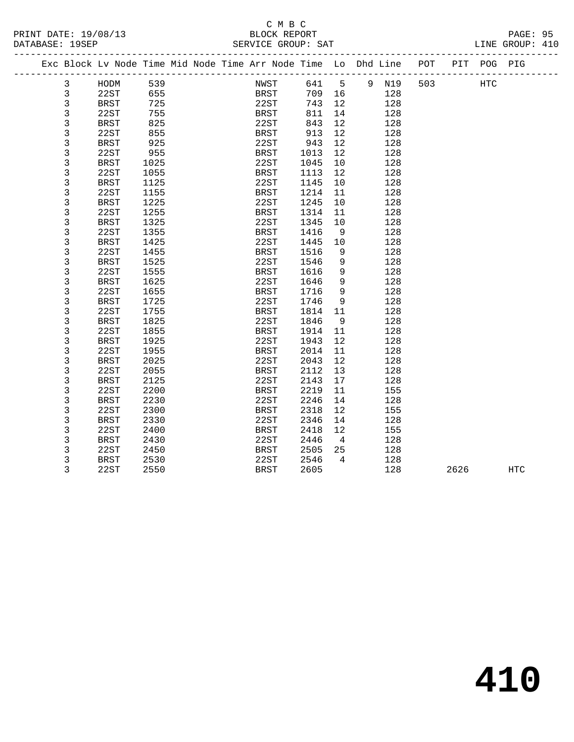### C M B C<br>BLOCK REPORT SERVICE GROUP: SAT

| Exc Block Lv Node Time Mid Node Time Arr Node Time Lo Dhd Line POT PIT POG PIG |             |      |  |             |      |      |    |         |     |            |  |
|--------------------------------------------------------------------------------|-------------|------|--|-------------|------|------|----|---------|-----|------------|--|
| 3                                                                              | HODM        | 539  |  |             | NWST | 641  |    | 5 9 N19 | 503 | <b>HTC</b> |  |
| 3                                                                              | 22ST        | 655  |  | BRST        |      | 709  | 16 | 128     |     |            |  |
| 3                                                                              | BRST        | 725  |  | 22ST        |      | 743  | 12 | 128     |     |            |  |
| 3                                                                              | 22ST        | 755  |  | BRST        |      | 811  | 14 | 128     |     |            |  |
| 3                                                                              | BRST        | 825  |  | 22ST        |      | 843  | 12 | 128     |     |            |  |
| 3                                                                              | 22ST        | 855  |  | BRST        |      | 913  | 12 | 128     |     |            |  |
| 3                                                                              | <b>BRST</b> | 925  |  | 22ST        |      | 943  | 12 | 128     |     |            |  |
| 3                                                                              | 22ST        | 955  |  | BRST        |      | 1013 | 12 | 128     |     |            |  |
| 3                                                                              | BRST        | 1025 |  | 22ST        |      | 1045 | 10 | 128     |     |            |  |
| 3                                                                              | 22ST        | 1055 |  | BRST        |      | 1113 | 12 | 128     |     |            |  |
| 3                                                                              | <b>BRST</b> | 1125 |  | 22ST        |      | 1145 | 10 | 128     |     |            |  |
| 3                                                                              | 22ST        | 1155 |  | BRST        |      | 1214 | 11 | 128     |     |            |  |
| 3                                                                              | <b>BRST</b> | 1225 |  | 22ST        |      | 1245 | 10 | 128     |     |            |  |
| 3                                                                              | 22ST        | 1255 |  | BRST        |      | 1314 | 11 | 128     |     |            |  |
| 3                                                                              | BRST        | 1325 |  | 22ST        |      | 1345 | 10 | 128     |     |            |  |
| 3                                                                              | 22ST        | 1355 |  | BRST        |      | 1416 | 9  | 128     |     |            |  |
| 3                                                                              | BRST        | 1425 |  | 22ST        |      | 1445 | 10 | 128     |     |            |  |
| 3                                                                              | 22ST        | 1455 |  | BRST        |      | 1516 | 9  | 128     |     |            |  |
| 3                                                                              | <b>BRST</b> | 1525 |  | 22ST        |      | 1546 | 9  | 128     |     |            |  |
| 3                                                                              | 22ST        | 1555 |  | BRST        |      | 1616 | 9  | 128     |     |            |  |
| 3                                                                              | BRST        | 1625 |  | 22ST        |      | 1646 | 9  | 128     |     |            |  |
| 3                                                                              | 22ST        | 1655 |  | BRST        |      | 1716 | 9  | 128     |     |            |  |
| 3                                                                              | <b>BRST</b> | 1725 |  | 22ST        |      | 1746 | 9  | 128     |     |            |  |
| 3                                                                              | 22ST        | 1755 |  | BRST        |      | 1814 | 11 | 128     |     |            |  |
| 3                                                                              | <b>BRST</b> | 1825 |  | 22ST        |      | 1846 | 9  | 128     |     |            |  |
| 3                                                                              | 22ST        | 1855 |  | BRST        |      | 1914 | 11 | 128     |     |            |  |
| 3                                                                              | <b>BRST</b> | 1925 |  | 22ST        |      | 1943 | 12 | 128     |     |            |  |
| 3                                                                              | 22ST        | 1955 |  | BRST        |      | 2014 | 11 | 128     |     |            |  |
| 3                                                                              | BRST        | 2025 |  | 22ST        |      | 2043 | 12 | 128     |     |            |  |
| 3                                                                              | 22ST        | 2055 |  | BRST        |      | 2112 | 13 | 128     |     |            |  |
| 3                                                                              | <b>BRST</b> | 2125 |  | 22ST        |      | 2143 | 17 | 128     |     |            |  |
| 3                                                                              | 22ST        | 2200 |  | <b>BRST</b> |      | 2219 | 11 | 155     |     |            |  |

3 22ST 2550 BRST 2605 128 2626 HTC

 3 BRST 2230 22ST 2246 14 128 3 22ST 2300 BRST 2318 12 155 3 BRST 2330 22ST 2346 14 128

3 BRST 2430 22ST 2446 4 128

3 22ST 2400 BRST 2418 12 155<br>3 BRST 2430 22ST 2446 4 128

 3 22ST 2450 BRST 2505 25 128 3 BRST 2530 22ST 2546 4 128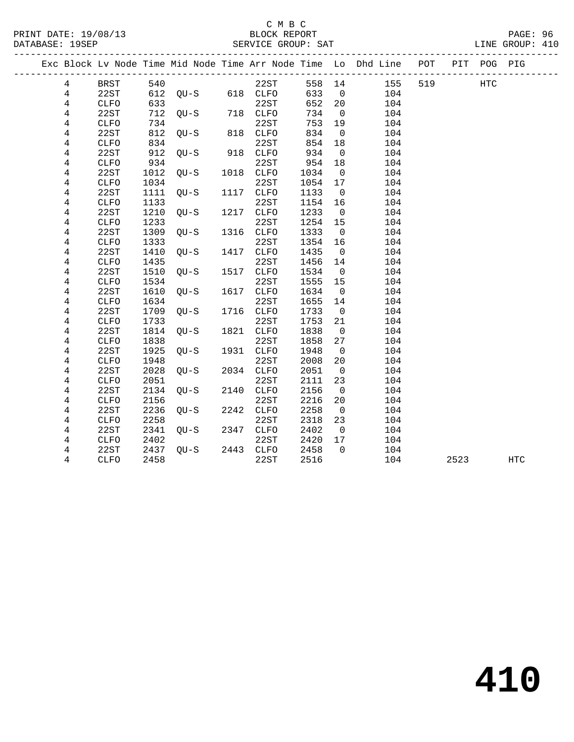### C M B C<br>BLOCK REPORT SERVICE GROUP: SAT

PRINT DATE: 19/08/13 BLOCK REPORT PAGE: 96

|                |              |      |                       |      |           |         |                         | Exc Block Lv Node Time Mid Node Time Arr Node Time Lo Dhd Line POT |     |      | PIT POG PIG |     |  |
|----------------|--------------|------|-----------------------|------|-----------|---------|-------------------------|--------------------------------------------------------------------|-----|------|-------------|-----|--|
| $\overline{4}$ | BRST         | 540  |                       |      | 22ST      |         | 558 14                  | 155                                                                | 519 |      | <b>HTC</b>  |     |  |
| $\overline{4}$ | 22ST         |      | $612$ QU-S $618$ CLFO |      |           | 633     | $\overline{0}$          | 104                                                                |     |      |             |     |  |
| 4              | CLFO         | 633  |                       |      | 22ST      | 652 20  |                         | 104                                                                |     |      |             |     |  |
| 4              | 22ST         |      | 712 QU-S 718 CLFO     |      |           | 734     | $\overline{0}$          | 104                                                                |     |      |             |     |  |
| 4              | CLFO         | 734  |                       |      | 22ST      | 753     | 19                      | 104                                                                |     |      |             |     |  |
| $\overline{4}$ | 22ST         | 812  | $QU-S$ 818 $CLFO$     |      |           | 834     | $\overline{0}$          | 104                                                                |     |      |             |     |  |
| 4              | CLFO         | 834  |                       |      | 22ST      | 854     | 18                      | 104                                                                |     |      |             |     |  |
| 4              | 22ST         | 912  | OU-S                  |      | 918 CLFO  | 934     | $\overline{0}$          | 104                                                                |     |      |             |     |  |
| 4              | <b>CLFO</b>  | 934  |                       |      | 22ST      | 954     | 18                      | 104                                                                |     |      |             |     |  |
| 4              | 22ST         | 1012 | QU-S                  |      | 1018 CLFO | 1034    | $\overline{0}$          | 104                                                                |     |      |             |     |  |
| 4              | <b>CLFO</b>  | 1034 |                       |      | 22ST      | 1054 17 |                         | 104                                                                |     |      |             |     |  |
| 4              | 22ST         | 1111 | OU-S                  |      | 1117 CLFO | 1133    | $\overline{0}$          | 104                                                                |     |      |             |     |  |
| 4              | CLFO         | 1133 |                       |      | 22ST      | 1154 16 |                         | 104                                                                |     |      |             |     |  |
| 4              | 22ST         | 1210 | $QU-S$                |      | 1217 CLFO | 1233    | $\overline{0}$          | 104                                                                |     |      |             |     |  |
| $\overline{4}$ | <b>CLFO</b>  | 1233 |                       |      | 22ST      | 1254    | 15                      | 104                                                                |     |      |             |     |  |
| 4              | 22ST         | 1309 | QU-S                  |      | 1316 CLFO | 1333    | $\overline{0}$          | 104                                                                |     |      |             |     |  |
| 4              | <b>CLFO</b>  | 1333 |                       |      | 22ST      | 1354    | 16                      | 104                                                                |     |      |             |     |  |
| 4              | 22ST         | 1410 | QU-S                  | 1417 | CLFO      | 1435    | $\overline{0}$          | 104                                                                |     |      |             |     |  |
| 4              | <b>CLFO</b>  | 1435 |                       |      | 22ST      | 1456    | 14                      | 104                                                                |     |      |             |     |  |
| 4              | 22ST         | 1510 | QU-S                  |      | 1517 CLFO | 1534    | $\overline{0}$          | 104                                                                |     |      |             |     |  |
| 4              | <b>CLFO</b>  | 1534 |                       |      | 22ST      | 1555    | 15                      | 104                                                                |     |      |             |     |  |
| 4              | 22ST         | 1610 | QU-S                  |      | 1617 CLFO | 1634    | $\overline{0}$          | 104                                                                |     |      |             |     |  |
| 4              | CLFO         | 1634 |                       |      | 22ST      | 1655    | 14                      | 104                                                                |     |      |             |     |  |
| 4              | 22ST         | 1709 | $QU-S$                |      | 1716 CLFO | 1733    | $\overline{0}$          | 104                                                                |     |      |             |     |  |
| 4              | CLFO         | 1733 |                       |      | 22ST      | 1753    | 21                      | 104                                                                |     |      |             |     |  |
| 4              | 22ST         | 1814 | QU-S                  |      | 1821 CLFO | 1838    | $\overline{0}$          | 104                                                                |     |      |             |     |  |
| 4              | <b>CLFO</b>  | 1838 |                       |      | 22ST      | 1858    | 27                      | 104                                                                |     |      |             |     |  |
| 4              | 22ST         | 1925 | OU-S                  |      | 1931 CLFO | 1948    | $\overline{\mathbf{0}}$ | 104                                                                |     |      |             |     |  |
| 4              | <b>CLFO</b>  | 1948 |                       |      | 22ST      | 2008    | 20                      | 104                                                                |     |      |             |     |  |
| 4              | 22ST         | 2028 | $QU-S$                |      | 2034 CLFO | 2051    | $\overline{0}$          | 104                                                                |     |      |             |     |  |
| 4              | <b>CLFO</b>  | 2051 |                       |      | 22ST      | 2111    | 23                      | 104                                                                |     |      |             |     |  |
| 4              | 22ST         | 2134 | $QU-S$                | 2140 | CLFO      | 2156    | $\overline{0}$          | 104                                                                |     |      |             |     |  |
| 4              | ${\tt CLFO}$ | 2156 |                       |      | 22ST      | 2216    | 20                      | 104                                                                |     |      |             |     |  |
| 4              | 22ST         | 2236 | OU-S                  |      | 2242 CLFO | 2258    | $\overline{0}$          | 104                                                                |     |      |             |     |  |
| 4              | ${\tt CLFO}$ | 2258 |                       |      | 22ST      | 2318    | 23                      | 104                                                                |     |      |             |     |  |
| 4              | 22ST         | 2341 | QU-S 2347             |      | CLFO      | 2402    | $\overline{0}$          | 104                                                                |     |      |             |     |  |
| 4              | <b>CLFO</b>  | 2402 |                       |      | 22ST      | 2420    | 17                      | 104                                                                |     |      |             |     |  |
| 4              | 22ST         | 2437 | QU-S                  |      | 2443 CLFO | 2458    | $\overline{0}$          | 104                                                                |     |      |             |     |  |
| 4              | CLFO         | 2458 |                       |      | 22ST      | 2516    |                         | 104                                                                |     | 2523 |             | HTC |  |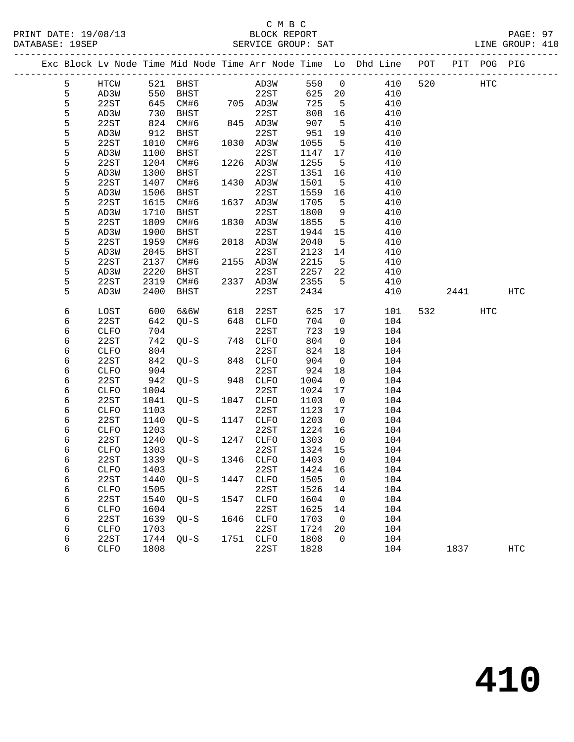### C M B C<br>BLOCK REPORT PRINT DATE: 19/08/13 BLOCK REPORT PAGE: 97 SERVICE GROUP: SAT

|   |             |      |                |      |                  |         |                         | Exc Block Lv Node Time Mid Node Time Arr Node Time Lo Dhd Line POT PIT POG PIG |     |      |     |            |
|---|-------------|------|----------------|------|------------------|---------|-------------------------|--------------------------------------------------------------------------------|-----|------|-----|------------|
| 5 | HTCW        |      | 521 BHST       |      | AD3W             | 550 0   |                         | 410                                                                            | 520 |      | HTC |            |
| 5 | AD3W        | 550  | <b>BHST</b>    |      | 22ST             | 625 20  |                         | 410                                                                            |     |      |     |            |
| 5 | 22ST        | 645  | CM#6 705 AD3W  |      |                  | 725     | $5^{\circ}$             | 410                                                                            |     |      |     |            |
| 5 | AD3W        | 730  | BHST           |      | 22ST             | 808     | 16                      | 410                                                                            |     |      |     |            |
| 5 | 22ST        | 824  | CM#6           |      | 22ST<br>845 AD3W | 907     | $5^{\circ}$             | 410                                                                            |     |      |     |            |
| 5 | AD3W        | 912  | BHST           |      | 22ST             | 951     | 19                      | 410                                                                            |     |      |     |            |
| 5 | 22ST        | 1010 | CM#6           |      | 1030 AD3W        | 1055    | $-5$                    | 410                                                                            |     |      |     |            |
| 5 | AD3W        | 1100 | BHST           |      | 22ST             | 1147    | 17                      | 410                                                                            |     |      |     |            |
| 5 | 22ST        | 1204 | CM#6           |      | 1226 AD3W        | 1255    | $-5$                    | 410                                                                            |     |      |     |            |
| 5 | AD3W        | 1300 | BHST           |      | 22ST             | 1351    | 16                      | 410                                                                            |     |      |     |            |
| 5 | 22ST        | 1407 | CM#6           |      | 1430 AD3W        | 1501    | $-5$                    | 410                                                                            |     |      |     |            |
| 5 | AD3W        | 1506 | BHST           |      | 22ST             | 1559    | 16                      | 410                                                                            |     |      |     |            |
| 5 | 22ST        | 1615 | CM#6           |      | 1637 AD3W        | 1705    | 5                       | 410                                                                            |     |      |     |            |
| 5 | AD3W        | 1710 | BHST           |      | 22ST             | 1800    | 9                       | 410                                                                            |     |      |     |            |
| 5 | 22ST        | 1809 | CM#6           |      | 1830 AD3W        | 1855    | 5                       | 410                                                                            |     |      |     |            |
| 5 | AD3W        | 1900 | BHST           |      | 22ST             | 1944    | 15                      | 410                                                                            |     |      |     |            |
| 5 | 22ST        | 1959 | CM#6           |      | 2018 AD3W        | 2040    | $-5$                    | 410                                                                            |     |      |     |            |
| 5 | AD3W        | 2045 | BHST           |      | 22ST             | 2123    | 14                      | 410                                                                            |     |      |     |            |
| 5 | 22ST        | 2137 | CM#6           |      | 2155 AD3W        | 2215    | $5^{\circ}$             | 410                                                                            |     |      |     |            |
| 5 | AD3W        | 2220 | BHST           |      | 22ST             | 2257    | 22                      | 410                                                                            |     |      |     |            |
| 5 | 22ST        | 2319 | CM#6           |      | 2337 AD3W        | 2355    | 5                       | 410                                                                            |     |      |     |            |
| 5 | AD3W        | 2400 | BHST           |      | 22ST             | 2434    |                         | 410                                                                            |     | 2441 |     | HTC        |
|   |             |      |                |      |                  |         |                         |                                                                                |     |      |     |            |
| 6 | LOST        | 600  | 6&6W           | 618  | 22ST             | 625     | 17                      | 101                                                                            |     | 532  | HTC |            |
| 6 | 22ST        | 642  | $QU-S$         |      | 648 CLFO         | 704     | $\overline{0}$          | 104                                                                            |     |      |     |            |
| 6 | CLFO        | 704  |                |      | 22ST             | 723     | 19                      | 104                                                                            |     |      |     |            |
| 6 | 22ST        | 742  | QU-S           |      | 748 CLFO         | 804     | $\overline{0}$          | 104                                                                            |     |      |     |            |
| 6 | <b>CLFO</b> | 804  |                |      | 22ST             | 824     | 18                      | 104                                                                            |     |      |     |            |
| 6 | 22ST        | 842  | OU-S           |      | 848 CLFO         | 904     | $\overline{\mathbf{0}}$ | 104                                                                            |     |      |     |            |
| 6 | <b>CLFO</b> | 904  |                |      | 22ST             | 924     | 18                      | 104                                                                            |     |      |     |            |
| 6 | 22ST        | 942  | $QU-S$         |      | 948 CLFO         | 1004    | $\overline{0}$          | 104                                                                            |     |      |     |            |
| 6 | CLFO        | 1004 |                |      | 22ST             | 1024    | 17                      | 104                                                                            |     |      |     |            |
| 6 | 22ST        | 1041 | QU-S           | 1047 | CLFO             | 1103    | $\overline{\mathbf{0}}$ | 104                                                                            |     |      |     |            |
| 6 | <b>CLFO</b> | 1103 |                |      | 22ST             | 1123    | 17                      | 104                                                                            |     |      |     |            |
| 6 | 22ST        | 1140 | $QU-S$         |      | 1147 CLFO        | 1203    | $\overline{0}$          | 104                                                                            |     |      |     |            |
| 6 | <b>CLFO</b> | 1203 |                |      | 22ST             | 1224    | 16                      | 104                                                                            |     |      |     |            |
| 6 | 22ST        | 1240 | QU-S           | 1247 | CLFO             | 1303    | $\overline{\mathbf{0}}$ | 104                                                                            |     |      |     |            |
| 6 | CLFO        | 1303 |                |      | 22ST             | 1324 15 |                         | 104                                                                            |     |      |     |            |
| 6 | 22ST        |      | 1339 QU-S      |      | 1346 CLFO        | 1403    | $\overline{0}$          | 104                                                                            |     |      |     |            |
| 6 |             |      | CLFO 1403 22ST |      |                  | 1424 16 |                         | 104                                                                            |     |      |     |            |
| 6 | 22ST        | 1440 | QU-S           | 1447 | <b>CLFO</b>      | 1505    | 0                       | 104                                                                            |     |      |     |            |
| 6 | CLFO        | 1505 |                |      | 22ST             | 1526    | 14                      | 104                                                                            |     |      |     |            |
| 6 | 22ST        | 1540 | QU-S           | 1547 | <b>CLFO</b>      | 1604    | $\overline{0}$          | 104                                                                            |     |      |     |            |
| 6 | CLFO        | 1604 |                |      | 22ST             | 1625    | 14                      | 104                                                                            |     |      |     |            |
| 6 | 22ST        | 1639 | $QU-S$         | 1646 | CLFO             | 1703    | 0                       | 104                                                                            |     |      |     |            |
| 6 | CLFO        | 1703 |                |      | 22ST             | 1724    | 20                      | 104                                                                            |     |      |     |            |
| 6 | 22ST        | 1744 | $QU-S$         | 1751 | CLFO             | 1808    | $\mathbf 0$             | 104                                                                            |     |      |     |            |
| 6 | CLFO        | 1808 |                |      | 22ST             | 1828    |                         | 104                                                                            |     | 1837 |     | <b>HTC</b> |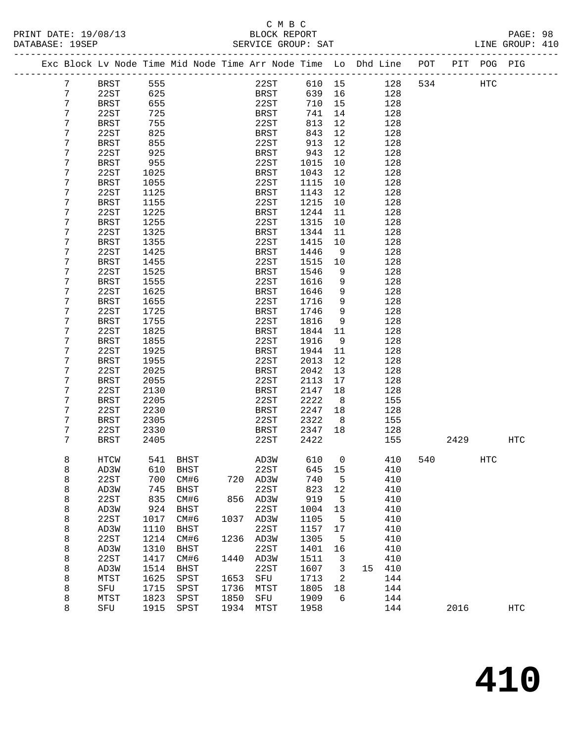| PRINT DATE: 19/08/13 | BLOCK REPORT       | PAGE: 98        |  |
|----------------------|--------------------|-----------------|--|
| DATABASE: 19SEP      | SERVICE GROUP: SAT | LINE GROUP: 410 |  |

|   |               |      |             |      | Exc Block Lv Node Time Mid Node Time Arr Node Time Lo Dhd Line POT PIT POG PIG |        |                |        |     |     |      |     |            |
|---|---------------|------|-------------|------|--------------------------------------------------------------------------------|--------|----------------|--------|-----|-----|------|-----|------------|
| 7 | <b>BRST</b>   | 555  |             |      | 22ST                                                                           |        |                | 610 15 | 128 | 534 |      | HTC |            |
| 7 | 22ST          | 625  |             |      | BRST                                                                           | 639    | 16             |        | 128 |     |      |     |            |
| 7 | <b>BRST</b>   | 655  |             |      | 22ST                                                                           | 710    | 15             |        | 128 |     |      |     |            |
| 7 | 22ST          | 725  |             |      | BRST                                                                           | 741    | 14             |        | 128 |     |      |     |            |
| 7 | <b>BRST</b>   | 755  |             |      | 22ST                                                                           | 813    | 12             |        | 128 |     |      |     |            |
| 7 | 22ST          | 825  |             |      | BRST                                                                           | 843    | 12             |        | 128 |     |      |     |            |
| 7 | <b>BRST</b>   | 855  |             |      | 22ST                                                                           | 913    | 12             |        | 128 |     |      |     |            |
| 7 | 22ST          | 925  |             |      | BRST                                                                           | 943    | 12             |        | 128 |     |      |     |            |
| 7 | BRST          | 955  |             |      | 22ST                                                                           | 1015   | 10             |        | 128 |     |      |     |            |
| 7 | 22ST          | 1025 |             |      | BRST                                                                           | 1043   | 12             |        | 128 |     |      |     |            |
| 7 | <b>BRST</b>   | 1055 |             |      | 22ST                                                                           | 1115   | 10             |        | 128 |     |      |     |            |
| 7 | 22ST          | 1125 |             |      | BRST                                                                           | 1143   | 12             |        | 128 |     |      |     |            |
| 7 | <b>BRST</b>   | 1155 |             |      | 22ST                                                                           | 1215   | 10             |        | 128 |     |      |     |            |
| 7 | 22ST          | 1225 |             |      | BRST                                                                           | 1244   | 11             |        | 128 |     |      |     |            |
| 7 | <b>BRST</b>   | 1255 |             |      | 22ST                                                                           | 1315   | 10             |        | 128 |     |      |     |            |
| 7 | 22ST          | 1325 |             |      | BRST                                                                           | 1344   | 11             |        | 128 |     |      |     |            |
| 7 | <b>BRST</b>   | 1355 |             |      | 22ST                                                                           | 1415   | 10             |        | 128 |     |      |     |            |
| 7 | 22ST          | 1425 |             |      | BRST                                                                           | 1446   | $\overline{9}$ |        | 128 |     |      |     |            |
| 7 | BRST          | 1455 |             |      | 22ST                                                                           | 1515   | 10             |        | 128 |     |      |     |            |
| 7 | 22ST          | 1525 |             |      | BRST                                                                           | 1546   | 9              |        | 128 |     |      |     |            |
| 7 | <b>BRST</b>   | 1555 |             |      | 22ST                                                                           | 1616   | 9              |        | 128 |     |      |     |            |
| 7 | 22ST          | 1625 |             |      | <b>BRST</b>                                                                    | 1646   | 9              |        | 128 |     |      |     |            |
| 7 | BRST          | 1655 |             |      | 22ST                                                                           | 1716   | 9              |        | 128 |     |      |     |            |
| 7 | 22ST          | 1725 |             |      | BRST                                                                           | 1746   | 9              |        | 128 |     |      |     |            |
| 7 | <b>BRST</b>   | 1755 |             |      | 22ST                                                                           | 1816   | 9              |        | 128 |     |      |     |            |
| 7 | 22ST          | 1825 |             |      | BRST                                                                           | 1844   | 11             |        | 128 |     |      |     |            |
| 7 | <b>BRST</b>   | 1855 |             |      | 22ST                                                                           | 1916   | $\overline{9}$ |        | 128 |     |      |     |            |
| 7 | 22ST          | 1925 |             |      | BRST                                                                           | 1944   | 11             |        | 128 |     |      |     |            |
| 7 | <b>BRST</b>   | 1955 |             |      | 22ST                                                                           | 2013   | 12             |        | 128 |     |      |     |            |
| 7 | 22ST          | 2025 |             |      | <b>BRST</b>                                                                    | 2042   | 13             |        | 128 |     |      |     |            |
| 7 | <b>BRST</b>   | 2055 |             |      | 22ST                                                                           | 2113   | 17             |        | 128 |     |      |     |            |
| 7 | 22ST          | 2130 |             |      | <b>BRST</b>                                                                    | 2147   | 18             |        | 128 |     |      |     |            |
| 7 | <b>BRST</b>   | 2205 |             |      | 22ST                                                                           | 2222   | 8              |        | 155 |     |      |     |            |
| 7 | 22ST          | 2230 |             |      | BRST                                                                           | 2247   | 18             |        | 128 |     |      |     |            |
| 7 | BRST          | 2305 |             |      | 22ST                                                                           | 2322   | 8 <sup>8</sup> |        | 155 |     |      |     |            |
| 7 | 22ST          | 2330 |             |      | BRST                                                                           | 2347   | 18             |        | 128 |     |      |     |            |
| 7 | <b>BRST</b>   | 2405 |             |      | 22ST                                                                           | 2422   |                |        | 155 |     | 2429 |     | <b>HTC</b> |
| 8 | HTCW          |      | 541 BHST    |      | AD3W                                                                           | 610    | $\mathsf{O}$   |        | 410 | 540 |      | HTC |            |
| 8 | AD3W 610 BHST |      |             |      | 22ST                                                                           | 645 15 |                |        | 410 |     |      |     |            |
| 8 | 22ST          | 700  | CM#6        | 720  | AD3W                                                                           | 740    | 5              |        | 410 |     |      |     |            |
| 8 | AD3W          | 745  | BHST        |      | 22ST                                                                           | 823    | 12             |        | 410 |     |      |     |            |
| 8 | 22ST          | 835  | CM#6        | 856  | AD3W                                                                           | 919    | 5              |        | 410 |     |      |     |            |
| 8 | AD3W          | 924  | BHST        |      | 22ST                                                                           | 1004   | 13             |        | 410 |     |      |     |            |
| 8 | 22ST          | 1017 | CM#6        | 1037 | AD3W                                                                           | 1105   | 5              |        | 410 |     |      |     |            |
| 8 | AD3W          | 1110 | <b>BHST</b> |      | 22ST                                                                           | 1157   | 17             |        | 410 |     |      |     |            |
| 8 | 22ST          | 1214 | CM#6        | 1236 | AD3W                                                                           | 1305   | 5              |        | 410 |     |      |     |            |
| 8 | AD3W          | 1310 | <b>BHST</b> |      | 22ST                                                                           | 1401   | 16             |        | 410 |     |      |     |            |
| 8 | 22ST          | 1417 | CM#6        | 1440 | AD3W                                                                           | 1511   | $\mathbf{3}$   |        | 410 |     |      |     |            |
| 8 | AD3W          | 1514 | <b>BHST</b> |      | 22ST                                                                           | 1607   | 3              | 15     | 410 |     |      |     |            |
| 8 | MTST          | 1625 | SPST        | 1653 | SFU                                                                            | 1713   | 2              |        | 144 |     |      |     |            |
| 8 | SFU           | 1715 | SPST        | 1736 | MTST                                                                           | 1805   | 18             |        | 144 |     |      |     |            |
| 8 | MTST          | 1823 | SPST        | 1850 | SFU                                                                            | 1909   | 6              |        | 144 |     |      |     |            |
| 8 | SFU           | 1915 | SPST        | 1934 | MTST                                                                           | 1958   |                |        | 144 |     | 2016 |     | HTC        |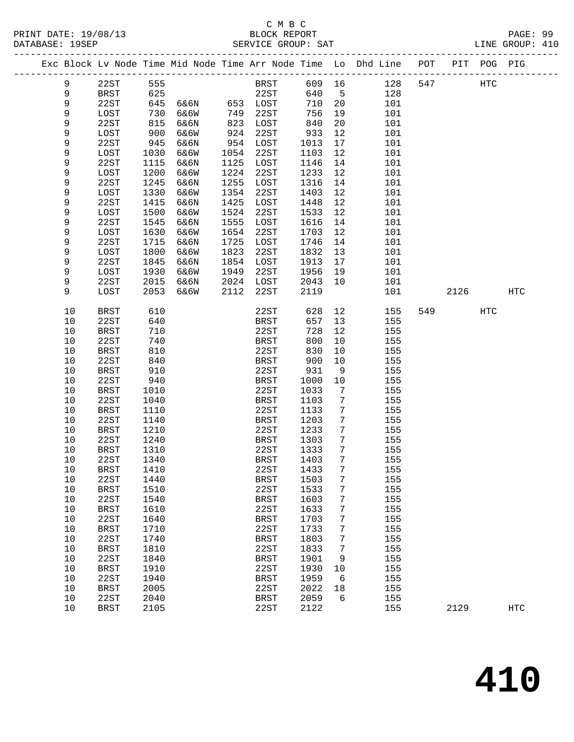|             |                     |              |      |      |                     |              |                 | Exc Block Lv Node Time Mid Node Time Arr Node Time Lo Dhd Line POT |     |      | PIT POG PIG |            |
|-------------|---------------------|--------------|------|------|---------------------|--------------|-----------------|--------------------------------------------------------------------|-----|------|-------------|------------|
| 9           | 22ST                | 555          |      |      | BRST                | 609 16       |                 | 128                                                                | 547 |      | <b>HTC</b>  |            |
| 9           | BRST                | 625          |      |      | 22ST                | 640          | $-5$            | 128                                                                |     |      |             |            |
| $\mathsf 9$ | 22ST                | 645          | 6&6N |      | 653 LOST            | 710          | 20              | 101                                                                |     |      |             |            |
| 9           | LOST                | 730          | 6&6W | 749  | 22ST                | 756          | 19              | 101                                                                |     |      |             |            |
| 9           | 22ST                | 815          | 6&6N | 823  | LOST                | 840          | 20              | 101                                                                |     |      |             |            |
| 9           | LOST                | 900          | 6&6W | 924  | 22ST                | 933          | 12              | 101                                                                |     |      |             |            |
| 9           | 22ST                | 945          | 6&6N | 954  | LOST                | 1013         | 17              | 101                                                                |     |      |             |            |
| 9           | LOST                | 1030         | 6&6W | 1054 | 22ST                | 1103         | 12              | 101                                                                |     |      |             |            |
| 9           | 22ST                | 1115         | 6&6N | 1125 | LOST                | 1146         | 14              | 101                                                                |     |      |             |            |
| 9           | LOST                | 1200         | 6&6W | 1224 | 22ST                | 1233         | 12              | 101                                                                |     |      |             |            |
| 9           | 22ST                | 1245         | 6&6N | 1255 | LOST                | 1316         | 14              | 101                                                                |     |      |             |            |
| 9           | LOST                | 1330         | 6&6W | 1354 | 22ST                | 1403         | 12              | 101                                                                |     |      |             |            |
| 9           | 22ST                | 1415         | 6&6N | 1425 | LOST                | 1448         | 12              | 101                                                                |     |      |             |            |
| 9           | LOST                | 1500         | 6&6W | 1524 | 22ST                | 1533         | 12              | 101                                                                |     |      |             |            |
| 9           | 22ST                | 1545         | 6&6N | 1555 | LOST                | 1616         | 14              | 101                                                                |     |      |             |            |
| 9           | LOST                | 1630         | 6&6W | 1654 | 22ST                | 1703         | 12              | 101                                                                |     |      |             |            |
| 9           | 22ST                | 1715         | 6&6N | 1725 | LOST                | 1746         | 14              | 101                                                                |     |      |             |            |
| 9           | LOST                | 1800         | 6&6W | 1823 | 22ST                | 1832         | 13              | 101                                                                |     |      |             |            |
| 9           | 22ST                | 1845         | 6&6N | 1854 | LOST                | 1913         | 17              | 101                                                                |     |      |             |            |
| 9           | LOST                | 1930         | 6&6W | 1949 | 22ST                | 1956         | 19              | 101                                                                |     |      |             |            |
| 9           | 22ST                | 2015         | 6&6N | 2024 | LOST                | 2043         | 10              | 101                                                                |     |      |             |            |
| 9           | LOST                | 2053         | 6&6W | 2112 | 22ST                | 2119         |                 | 101                                                                |     | 2126 |             | HTC        |
|             |                     |              |      |      |                     |              |                 |                                                                    |     |      |             |            |
| 10          | <b>BRST</b>         | 610          |      |      | 22ST                | 628          | 12              | 155                                                                | 549 |      | HTC         |            |
| 10          | 22ST                | 640          |      |      | BRST                | 657          | 13              | 155                                                                |     |      |             |            |
| $10$        | BRST                | 710          |      |      | 22ST                | 728          | 12              | 155                                                                |     |      |             |            |
| 10          | 22ST                | 740          |      |      | BRST                | 800          | 10              | 155                                                                |     |      |             |            |
| 10          | <b>BRST</b>         | 810          |      |      | 22ST                | 830          | 10              | 155                                                                |     |      |             |            |
| 10          | 22ST                | 840          |      |      | BRST                | 900          | 10              | 155                                                                |     |      |             |            |
| 10          | <b>BRST</b>         | 910          |      |      | 22ST                | 931          | 9               | 155                                                                |     |      |             |            |
| 10          | 22ST                | 940          |      |      | <b>BRST</b>         | 1000         | $10\,$          | 155                                                                |     |      |             |            |
| 10          | <b>BRST</b>         | 1010         |      |      | 22ST                | 1033         | 7               | 155                                                                |     |      |             |            |
| 10          | 22ST                | 1040         |      |      | BRST                | 1103         | 7               | 155                                                                |     |      |             |            |
| 10          | <b>BRST</b>         | 1110         |      |      | 22ST                | 1133         | 7               | 155                                                                |     |      |             |            |
| 10          | 22ST                | 1140         |      |      | BRST                | 1203         | 7               | 155                                                                |     |      |             |            |
| 10          | <b>BRST</b>         | 1210         |      |      | 22ST                | 1233         | 7               | 155                                                                |     |      |             |            |
| 10          | 22ST                | 1240         |      |      | BRST                | 1303         | 7               | 155                                                                |     |      |             |            |
| 10          | BRST                | 1310         |      |      | 22ST                | 1333         | 7               | 155                                                                |     |      |             |            |
| 10          | 22ST                | 1340         |      |      | <b>BRST</b>         | 1403         | 7               | 155                                                                |     |      |             |            |
| $10$        | BRST                | 1410         |      |      | 22ST                | 1433         | $7\phantom{.0}$ | 155                                                                |     |      |             |            |
| 10          | 22ST                | 1440         |      |      | <b>BRST</b>         | 1503         | 7               | 155                                                                |     |      |             |            |
| 10          | <b>BRST</b>         | 1510         |      |      | 22ST                | 1533         | 7               | 155                                                                |     |      |             |            |
| 10          | 22ST                | 1540         |      |      | <b>BRST</b>         | 1603         | 7               | 155                                                                |     |      |             |            |
| 10<br>10    | <b>BRST</b><br>22ST | 1610<br>1640 |      |      | 22ST                | 1633<br>1703 | 7<br>7          | 155<br>155                                                         |     |      |             |            |
|             |                     |              |      |      | <b>BRST</b>         | 1733         |                 |                                                                    |     |      |             |            |
| 10<br>10    | <b>BRST</b><br>22ST | 1710<br>1740 |      |      | 22ST<br><b>BRST</b> | 1803         | 7<br>7          | 155<br>155                                                         |     |      |             |            |
| 10          | <b>BRST</b>         | 1810         |      |      | 22ST                | 1833         | 7               | 155                                                                |     |      |             |            |
| 10          | 22ST                | 1840         |      |      | <b>BRST</b>         | 1901         | 9               | 155                                                                |     |      |             |            |
| 10          | <b>BRST</b>         | 1910         |      |      | 22ST                | 1930         | 10              | 155                                                                |     |      |             |            |
| 10          | 22ST                | 1940         |      |      | <b>BRST</b>         | 1959         | 6               | 155                                                                |     |      |             |            |
| $10$        | <b>BRST</b>         | 2005         |      |      | 22ST                | 2022         | 18              | 155                                                                |     |      |             |            |
| 10          | 22ST                | 2040         |      |      | <b>BRST</b>         | 2059         | 6               | 155                                                                |     |      |             |            |
| 10          | <b>BRST</b>         | 2105         |      |      | 22ST                | 2122         |                 | 155                                                                |     | 2129 |             | <b>HTC</b> |
|             |                     |              |      |      |                     |              |                 |                                                                    |     |      |             |            |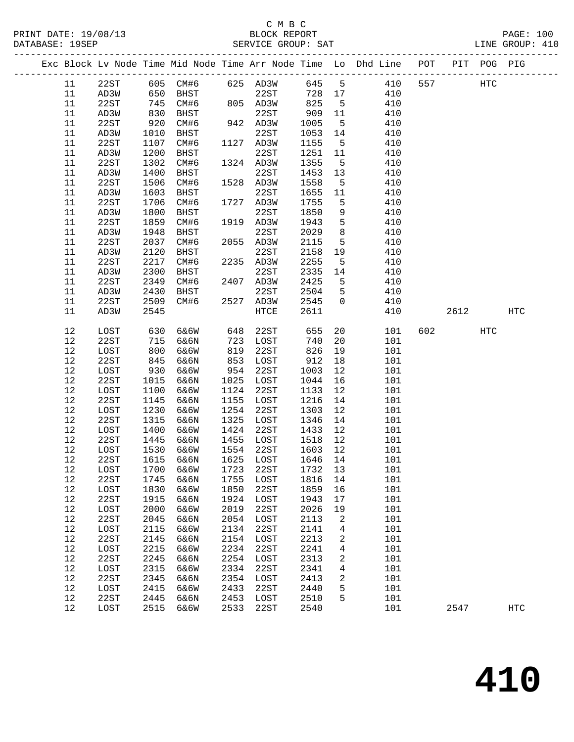### C M B C<br>BLOCK REPORT SERVICE GROUP: SAT

-------------------------------------------------------------------------------------------------

|          |      |      |              |      |           |         |        | Exc Block Lv Node Time Mid Node Time Arr Node Time Lo Dhd Line | POT | PIT  | POG PIG |                   |
|----------|------|------|--------------|------|-----------|---------|--------|----------------------------------------------------------------|-----|------|---------|-------------------|
| 11       | 22ST | 605  | CM#6         |      | 625 AD3W  | 645     | 5      | 410                                                            | 557 |      | HTC     |                   |
| 11       | AD3W | 650  | BHST         |      | 22ST      | 728     | 17     | 410                                                            |     |      |         |                   |
| 11       | 22ST | 745  | CM#6         |      | 805 AD3W  | 825     | 5      | 410                                                            |     |      |         |                   |
| 11       | AD3W | 830  | BHST         |      | 22ST      | 909     | 11     | 410                                                            |     |      |         |                   |
| 11       | 22ST | 920  | CM#6         | 942  | AD3W      | 1005    | 5      | 410                                                            |     |      |         |                   |
| 11       | AD3W | 1010 | <b>BHST</b>  |      | 22ST      | 1053    | 14     | 410                                                            |     |      |         |                   |
| 11       | 22ST | 1107 | CM#6         | 1127 | AD3W      | 1155    | 5      | 410                                                            |     |      |         |                   |
| 11       | AD3W | 1200 | <b>BHST</b>  |      | 22ST      | 1251    | 11     | 410                                                            |     |      |         |                   |
| 11       | 22ST | 1302 | CM#6         | 1324 | AD3W      | 1355    | 5      | 410                                                            |     |      |         |                   |
| 11       | AD3W | 1400 | BHST         |      | 22ST      | 1453    | 13     | 410                                                            |     |      |         |                   |
| 11       | 22ST | 1506 | CM#6         | 1528 | AD3W      | 1558    | 5      | 410                                                            |     |      |         |                   |
| 11       | AD3W | 1603 | BHST         |      | 22ST      | 1655    | 11     | 410                                                            |     |      |         |                   |
| 11       | 22ST | 1706 | CM#6         | 1727 | AD3W      | 1755    | 5      | 410                                                            |     |      |         |                   |
| 11       | AD3W | 1800 | BHST         |      | 22ST      | 1850    | 9      | 410                                                            |     |      |         |                   |
| 11       | 22ST | 1859 | CM#6         | 1919 | AD3W      | 1943    | 5      | 410                                                            |     |      |         |                   |
| 11       | AD3W | 1948 | <b>BHST</b>  |      | 22ST      | 2029    | 8      | 410                                                            |     |      |         |                   |
| 11       | 22ST | 2037 | CM#6         | 2055 | AD3W      | 2115    | 5      | 410                                                            |     |      |         |                   |
| 11       | AD3W | 2120 | <b>BHST</b>  |      | 22ST      | 2158    | 19     | 410                                                            |     |      |         |                   |
| 11       | 22ST | 2217 | CM#6         | 2235 | AD3W      | 2255    | 5      | 410                                                            |     |      |         |                   |
| 11       | AD3W | 2300 | <b>BHST</b>  |      | 22ST      | 2335    | 14     | 410                                                            |     |      |         |                   |
| 11       | 22ST | 2349 | CM#6         | 2407 | AD3W      | 2425    | 5      | 410                                                            |     |      |         |                   |
| 11       | AD3W | 2430 | <b>BHST</b>  |      | 22ST      | 2504    | 5      | 410                                                            |     |      |         |                   |
| 11       | 22ST | 2509 | CM#6         | 2527 | AD3W      | 2545    | 0      | 410                                                            |     |      |         |                   |
| 11       | AD3W | 2545 |              |      | HTCE      | 2611    |        | 410                                                            |     | 2612 |         | $_{\mathrm{HTC}}$ |
|          |      |      |              |      |           |         |        |                                                                |     |      |         |                   |
| 12       | LOST | 630  | 6&6W         | 648  | 22ST      | 655     | 20     | 101                                                            | 602 |      | HTC     |                   |
| 12       | 22ST | 715  | 6&6N         | 723  | LOST      | 740     | 20     | 101                                                            |     |      |         |                   |
| 12       | LOST | 800  | 6&6W         | 819  | 22ST      | 826     | 19     | 101                                                            |     |      |         |                   |
| 12       | 22ST | 845  | 6&6N         | 853  | LOST      | 912     | 18     | 101                                                            |     |      |         |                   |
| $1\,2$   | LOST | 930  | 6&6W         | 954  | 22ST      | 1003    | 12     | 101                                                            |     |      |         |                   |
| 12       | 22ST | 1015 | 6&6N         | 1025 | LOST      | 1044    | 16     | 101                                                            |     |      |         |                   |
| 12       | LOST | 1100 | 6&6W         | 1124 | 22ST      | 1133    | 12     | 101                                                            |     |      |         |                   |
| $12$     | 22ST | 1145 | 6&6N         | 1155 | LOST      | 1216    | 14     | 101                                                            |     |      |         |                   |
| 12       | LOST | 1230 | 6&6W         | 1254 | 22ST      | 1303    | 12     | 101                                                            |     |      |         |                   |
| 12       | 22ST | 1315 | 6&6N         | 1325 | LOST      | 1346    | 14     | 101                                                            |     |      |         |                   |
| 12       | LOST | 1400 | 6&6W         | 1424 | 22ST      | 1433    | 12     | 101                                                            |     |      |         |                   |
| 12       | 22ST | 1445 | 6&6N         | 1455 | LOST      | 1518    | 12     | 101                                                            |     |      |         |                   |
| 12       | LOST | 1530 | 6&6W         | 1554 | 22ST      | 1603    | 12     | 101                                                            |     |      |         |                   |
| 12       | 22ST | 1615 | 6&6N         | 1625 | LOST      | 1646    | 14     | 101                                                            |     |      |         |                   |
| 12       | LOST | 1700 | 6&6W         | 1723 | 22ST      | 1732    | 13     | 101                                                            |     |      |         |                   |
| 12       | 22ST | 1745 | 6&6N         |      | 1755 LOST | 1816 14 |        | 101                                                            |     |      |         |                   |
| 12       | LOST | 1830 | 6&6W         | 1850 | 22ST      | 1859 16 |        | 101                                                            |     |      |         |                   |
| 12       | 22ST | 1915 | 6&6N         | 1924 | LOST      | 1943    | 17     | 101                                                            |     |      |         |                   |
| 12       | LOST | 2000 | 6&6W         | 2019 | 22ST      | 2026    | 19     | 101                                                            |     |      |         |                   |
| 12       | 22ST | 2045 | 6&6N         | 2054 | LOST      | 2113    | 2      | 101                                                            |     |      |         |                   |
| 12       | LOST | 2115 | 6&6W         | 2134 | 22ST      | 2141    | 4      | 101                                                            |     |      |         |                   |
| 12       | 22ST | 2145 | 6&6N         | 2154 | LOST      | 2213    | 2      | 101                                                            |     |      |         |                   |
| 12       | LOST | 2215 | 6&6W         | 2234 | 22ST      | 2241    | 4      | 101                                                            |     |      |         |                   |
| 12       | 22ST | 2245 | 6&6N         | 2254 | LOST      | 2313    | 2      | 101                                                            |     |      |         |                   |
| 12<br>12 | LOST | 2315 | 6&6W<br>6&6N | 2334 | 22ST      | 2341    | 4<br>2 | 101                                                            |     |      |         |                   |
|          | 22ST | 2345 |              | 2354 | LOST      | 2413    |        | 101                                                            |     |      |         |                   |
| 12       | LOST | 2415 | 6&6W         | 2433 | 22ST      | 2440    | 5      | 101                                                            |     |      |         |                   |
| 12       | 22ST |      | 2445 6&6N    | 2453 | LOST      | 2510    | 5      | 101                                                            |     |      |         |                   |

12 LOST 2515 6&6W 2533 22ST 2540 101 2547 HTC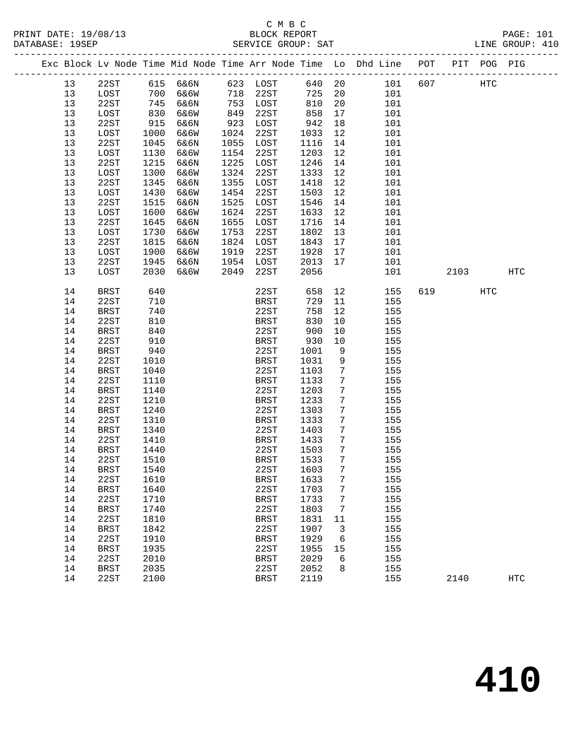## C M B C<br>BLOCK REPORT SERVICE GROUP: SAT

|          |              |            |      |      |                     |              |                 | Exc Block Lv Node Time Mid Node Time Arr Node Time Lo Dhd Line POT |     |      | PIT POG PIG |     |
|----------|--------------|------------|------|------|---------------------|--------------|-----------------|--------------------------------------------------------------------|-----|------|-------------|-----|
| 13       | 22ST         | 615        | 6&6N |      | 623 LOST            | 640 20       |                 | 101                                                                | 607 |      | HTC         |     |
| 13       | LOST         | 700        | 6&6W | 718  | 22ST                | 725          | 20              | 101                                                                |     |      |             |     |
| 13       | 22ST         | 745        | 6&6N | 753  | LOST                | 810          | 20              | 101                                                                |     |      |             |     |
| 13       | LOST         | 830        | 6&6W | 849  | 22ST                | 858          | 17              | 101                                                                |     |      |             |     |
| 13       | 22ST         | 915        | 6&6N | 923  | LOST                | 942          | 18              | 101                                                                |     |      |             |     |
| 13       | LOST         | 1000       | 6&6W | 1024 | 22ST                | 1033         | 12              | 101                                                                |     |      |             |     |
| 13       | 22ST         | 1045       | 6&6N | 1055 | LOST                | 1116         | 14              | 101                                                                |     |      |             |     |
| 13       | LOST         | 1130       | 6&6W | 1154 | 22ST                | 1203         | 12              | 101                                                                |     |      |             |     |
| 13       | 22ST         | 1215       | 6&6N | 1225 | LOST                | 1246         | 14              | 101                                                                |     |      |             |     |
| 13       | LOST         | 1300       | 6&6W | 1324 | 22ST                | 1333         | 12              | 101                                                                |     |      |             |     |
| 13       | 22ST         | 1345       | 6&6N | 1355 | LOST                | 1418         | 12              | 101                                                                |     |      |             |     |
| 13       | LOST         | 1430       | 6&6W | 1454 | 22ST                | 1503         | 12              | 101                                                                |     |      |             |     |
| 13       | 22ST         | 1515       | 6&6N | 1525 | LOST                | 1546         | 14              | 101                                                                |     |      |             |     |
| 13       | LOST         | 1600       | 6&6W | 1624 | 22ST                | 1633         | 12              | 101                                                                |     |      |             |     |
| 13       | 22ST         | 1645       | 6&6N | 1655 | LOST                | 1716         | 14              | 101                                                                |     |      |             |     |
| 13       | LOST         | 1730       | 6&6W | 1753 | 22ST                | 1802         | 13              | 101                                                                |     |      |             |     |
| 13       | 22ST         | 1815       | 6&6N | 1824 | LOST                | 1843         | 17              | 101                                                                |     |      |             |     |
| 13       | LOST         | 1900       | 6&6W | 1919 | 22ST                | 1928         | 17              | 101                                                                |     |      |             |     |
| 13       | 22ST         | 1945       | 6&6N | 1954 | LOST                | 2013         | 17              | 101                                                                |     |      |             |     |
| 13       | LOST         | 2030       | 6&6W | 2049 | 22ST                | 2056         |                 | 101                                                                |     | 2103 |             | HTC |
|          |              |            |      |      |                     |              |                 |                                                                    |     |      |             |     |
| 14       | <b>BRST</b>  | 640        |      |      | 22ST                | 658          | 12              | 155                                                                | 619 |      | <b>HTC</b>  |     |
| 14       | 22ST         | 710        |      |      | <b>BRST</b>         | 729          | 11              | 155                                                                |     |      |             |     |
| 14       | <b>BRST</b>  | 740        |      |      | 22ST                | 758          | 12              | 155                                                                |     |      |             |     |
| 14       | 22ST         | 810        |      |      | BRST                | 830          | 10              | 155                                                                |     |      |             |     |
| 14       | <b>BRST</b>  | 840        |      |      | 22ST                | 900          | 10              | 155                                                                |     |      |             |     |
| 14<br>14 | 22ST         | 910<br>940 |      |      | <b>BRST</b><br>22ST | 930          | 10              | 155                                                                |     |      |             |     |
| 14       | BRST<br>22ST | 1010       |      |      | BRST                | 1001<br>1031 | 9<br>9          | 155<br>155                                                         |     |      |             |     |
| 14       | BRST         | 1040       |      |      | 22ST                | 1103         | 7               | 155                                                                |     |      |             |     |
| 14       | 22ST         | 1110       |      |      | <b>BRST</b>         | 1133         | 7               | 155                                                                |     |      |             |     |
| 14       | <b>BRST</b>  | 1140       |      |      | 22ST                | 1203         | $7\phantom{.0}$ | 155                                                                |     |      |             |     |
| 14       | 22ST         | 1210       |      |      | BRST                | 1233         | 7               | 155                                                                |     |      |             |     |
| 14       | <b>BRST</b>  | 1240       |      |      | 22ST                | 1303         | 7               | 155                                                                |     |      |             |     |
| 14       | 22ST         | 1310       |      |      | BRST                | 1333         | 7               | 155                                                                |     |      |             |     |
| 14       | <b>BRST</b>  | 1340       |      |      | 22ST                | 1403         | $7\phantom{.0}$ | 155                                                                |     |      |             |     |
| 14       | 22ST         | 1410       |      |      | BRST                | 1433         | $7\phantom{.0}$ | 155                                                                |     |      |             |     |
| 14       | BRST         | 1440       |      |      | 22ST                | 1503         | 7               | 155                                                                |     |      |             |     |
| 14       | 22ST         | 1510       |      |      | <b>BRST</b>         | 1533         | 7               | 155                                                                |     |      |             |     |
| 14       | <b>BRST</b>  | 1540       |      |      | 22ST                | 1603 7       |                 | 155                                                                |     |      |             |     |
| 14       | 22ST         | 1610       |      |      | <b>BRST</b>         | 1633         | 7               | 155                                                                |     |      |             |     |
| 14       | <b>BRST</b>  | 1640       |      |      | 22ST                | 1703         | 7               | 155                                                                |     |      |             |     |
| 14       | 22ST         | 1710       |      |      | <b>BRST</b>         | 1733         | 7               | 155                                                                |     |      |             |     |
| 14       | <b>BRST</b>  | 1740       |      |      | 22ST                | 1803         | 7               | 155                                                                |     |      |             |     |
| 14       | 22ST         | 1810       |      |      | <b>BRST</b>         | 1831         | 11              | 155                                                                |     |      |             |     |
| 14       | <b>BRST</b>  | 1842       |      |      | 22ST                | 1907         | 3               | 155                                                                |     |      |             |     |
| 14       | 22ST         | 1910       |      |      | <b>BRST</b>         | 1929         | 6               | 155                                                                |     |      |             |     |
| 14       | <b>BRST</b>  | 1935       |      |      | 22ST                | 1955         | 15              | 155                                                                |     |      |             |     |
| 14       | 22ST         | 2010       |      |      | <b>BRST</b>         | 2029         | 6               | 155                                                                |     |      |             |     |
| 14       | <b>BRST</b>  | 2035       |      |      | 22ST                | 2052         | 8               | 155                                                                |     |      |             |     |

14 22ST 2100 BRST 2119 155 2140 HTC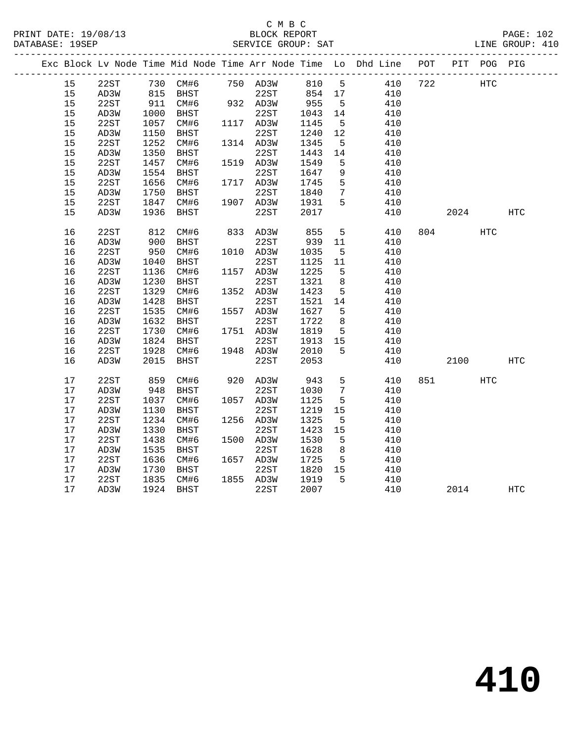|  |    |      |      |                       |             |      |                 | Exc Block Lv Node Time Mid Node Time Arr Node Time Lo Dhd Line POT |     |       | PIT POG PIG |                   |
|--|----|------|------|-----------------------|-------------|------|-----------------|--------------------------------------------------------------------|-----|-------|-------------|-------------------|
|  | 15 | 22ST |      | 730 CM#6 750 AD3W 810 |             |      |                 | 5 410                                                              | 722 |       | <b>HTC</b>  |                   |
|  | 15 | AD3W |      | 815 BHST              | 22ST 854 17 |      |                 | 410                                                                |     |       |             |                   |
|  | 15 | 22ST | 911  | CM#6                  | 932 AD3W    | 955  | $5^{\circ}$     | 410                                                                |     |       |             |                   |
|  | 15 | AD3W | 1000 | BHST                  | 22ST        | 1043 | 14              | 410                                                                |     |       |             |                   |
|  | 15 | 22ST | 1057 | CM#6                  | 1117 AD3W   | 1145 | $5^{\circ}$     | 410                                                                |     |       |             |                   |
|  | 15 | AD3W | 1150 | BHST                  | 22ST        | 1240 | 12              | 410                                                                |     |       |             |                   |
|  | 15 | 22ST | 1252 | CM#6                  | 1314 AD3W   | 1345 | $5^{\circ}$     | 410                                                                |     |       |             |                   |
|  | 15 | AD3W | 1350 | BHST                  | 22ST        | 1443 | 14              | 410                                                                |     |       |             |                   |
|  | 15 | 22ST | 1457 | CM#6                  | 1519 AD3W   | 1549 | 5               | 410                                                                |     |       |             |                   |
|  | 15 | AD3W | 1554 | BHST                  | 22ST        | 1647 | 9               | 410                                                                |     |       |             |                   |
|  | 15 | 22ST | 1656 | CM#6                  | 1717 AD3W   | 1745 | 5               | 410                                                                |     |       |             |                   |
|  | 15 | AD3W | 1750 | BHST                  | 22ST        | 1840 | $7\overline{ }$ | 410                                                                |     |       |             |                   |
|  | 15 | 22ST | 1847 | CM#6                  | 1907 AD3W   | 1931 | 5               | 410                                                                |     |       |             |                   |
|  | 15 | AD3W | 1936 | BHST                  | 22ST        | 2017 |                 | 410                                                                |     | 2024  |             | $_{\mathrm{HTC}}$ |
|  | 16 | 22ST | 812  | CM#6                  | 833 AD3W    | 855  | 5               | 410                                                                |     | 804 7 | HTC         |                   |
|  | 16 | AD3W | 900  | BHST                  | 22ST        | 939  | 11              | 410                                                                |     |       |             |                   |
|  | 16 | 22ST | 950  | CM#6                  | 1010 AD3W   | 1035 | $5^{\circ}$     | 410                                                                |     |       |             |                   |
|  | 16 | AD3W | 1040 | BHST                  | 22ST        | 1125 | 11              | 410                                                                |     |       |             |                   |
|  | 16 | 22ST | 1136 | CM#6                  | 1157 AD3W   | 1225 | 5               | 410                                                                |     |       |             |                   |
|  | 16 | AD3W | 1230 | BHST                  | 22ST        | 1321 | 8               | 410                                                                |     |       |             |                   |
|  | 16 | 22ST | 1329 | CM#6                  | 1352 AD3W   | 1423 | 5               | 410                                                                |     |       |             |                   |
|  | 16 | AD3W | 1428 | BHST                  | 22ST        | 1521 | 14              | 410                                                                |     |       |             |                   |
|  | 16 | 22ST | 1535 | CM#6                  | 1557 AD3W   | 1627 | 5               | 410                                                                |     |       |             |                   |
|  | 16 | AD3W | 1632 | BHST                  | 22ST        | 1722 | 8 <sup>8</sup>  | 410                                                                |     |       |             |                   |
|  | 16 | 22ST | 1730 | CM#6                  | 1751 AD3W   | 1819 | $5^{\circ}$     | 410                                                                |     |       |             |                   |
|  | 16 | AD3W | 1824 | BHST                  | 22ST        | 1913 | 15              | 410                                                                |     |       |             |                   |
|  | 16 | 22ST | 1928 | CM#6                  | 1948 AD3W   | 2010 | 5               | 410                                                                |     |       |             |                   |
|  | 16 | AD3W | 2015 | <b>BHST</b>           | 22ST        | 2053 |                 | 410                                                                |     | 2100  |             | <b>HTC</b>        |
|  | 17 | 22ST | 859  | CM#6                  | 920 AD3W    | 943  | 5               | 410                                                                |     | 851 7 | HTC         |                   |
|  | 17 | AD3W | 948  | BHST                  | 22ST        | 1030 | $7\phantom{.0}$ | 410                                                                |     |       |             |                   |
|  | 17 | 22ST | 1037 | CM#6                  | 1057 AD3W   | 1125 | $5\overline{5}$ | 410                                                                |     |       |             |                   |
|  | 17 | AD3W | 1130 | BHST                  | 22ST        | 1219 | 15              | 410                                                                |     |       |             |                   |
|  | 17 | 22ST | 1234 | CM#6                  | 1256 AD3W   | 1325 | $5^{\circ}$     | 410                                                                |     |       |             |                   |
|  | 17 | AD3W | 1330 | BHST                  | 22ST        | 1423 | 15              | 410                                                                |     |       |             |                   |
|  | 17 | 22ST | 1438 | CM#6                  | 1500 AD3W   | 1530 | $5^{\circ}$     | 410                                                                |     |       |             |                   |
|  | 17 | AD3W | 1535 | BHST                  | 22ST        | 1628 | 8               | 410                                                                |     |       |             |                   |
|  | 17 | 22ST | 1636 | CM#6                  | 1657 AD3W   | 1725 | $5^{\circ}$     | 410                                                                |     |       |             |                   |
|  | 17 | AD3W | 1730 | BHST                  | 22ST        | 1820 | 15              | 410                                                                |     |       |             |                   |
|  | 17 | 22ST | 1835 | CM#6                  | 1855 AD3W   | 1919 | 5               | 410                                                                |     |       |             |                   |
|  | 17 | AD3W | 1924 | BHST                  | 22ST        | 2007 |                 | 410                                                                |     | 2014  |             | $_{\rm HTC}$      |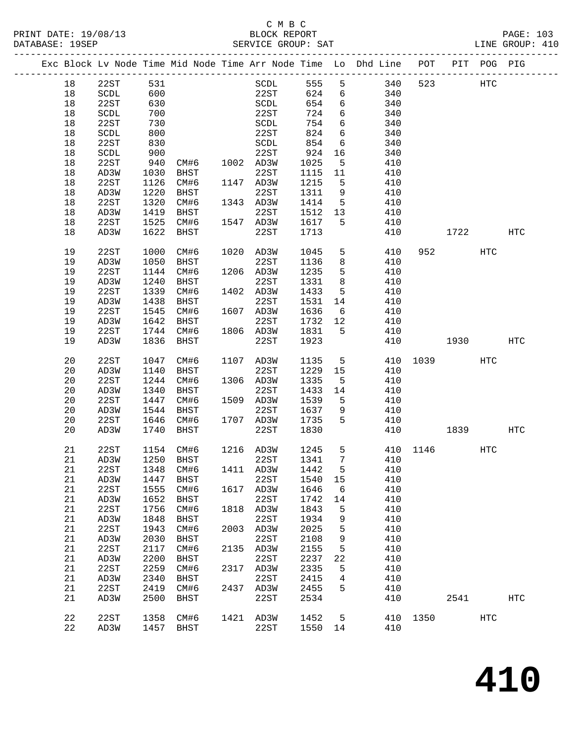### C M B C<br>BLOCK REPORT SERVICE GROUP: SAT

|  |             |                       |      |             |      |                                |      |                 | Exc Block Lv Node Time Mid Node Time Arr Node Time Lo Dhd Line POT |          |      | PIT POG PIG |                   |
|--|-------------|-----------------------|------|-------------|------|--------------------------------|------|-----------------|--------------------------------------------------------------------|----------|------|-------------|-------------------|
|  | 18          | 22ST                  | 531  |             |      | SCDL                           | 555  | 5               | 340                                                                | 523      |      | HTC         |                   |
|  | 18          | $\operatorname{SCDL}$ | 600  |             |      | 22ST                           | 624  | 6               | 340                                                                |          |      |             |                   |
|  | 18          | 22ST                  | 630  |             |      | $\operatorname{SCDL}$          | 654  | 6               | 340                                                                |          |      |             |                   |
|  | 18          | SCDL                  | 700  |             |      | 22ST                           | 724  | 6               | 340                                                                |          |      |             |                   |
|  | 18          | 22ST                  | 730  |             |      | SCDL                           | 754  | 6               | 340                                                                |          |      |             |                   |
|  | 18          | SCDL                  | 800  |             |      | 22ST                           | 824  | $6\overline{6}$ | 340                                                                |          |      |             |                   |
|  | 18          | 22ST                  | 830  |             |      | $\operatorname{\mathsf{SCDL}}$ | 854  | 6               | 340                                                                |          |      |             |                   |
|  |             |                       |      |             |      |                                |      |                 |                                                                    |          |      |             |                   |
|  | 18          | $\operatorname{SCDL}$ | 900  |             |      | 22ST                           | 924  | 16              | 340                                                                |          |      |             |                   |
|  | 18          | 22ST                  | 940  | CM#6        |      | 1002 AD3W                      | 1025 | 5               | 410                                                                |          |      |             |                   |
|  | 18          | AD3W                  | 1030 | BHST        |      | 22ST                           | 1115 | 11              | 410                                                                |          |      |             |                   |
|  | 18          | 22ST                  | 1126 | CM#6        |      | 1147 AD3W                      | 1215 | 5               | 410                                                                |          |      |             |                   |
|  | 18          | AD3W                  | 1220 | BHST        |      | 22ST                           | 1311 | 9               | 410                                                                |          |      |             |                   |
|  | 18          | 22ST                  | 1320 | CM#6        |      | 1343 AD3W                      | 1414 | 5               | 410                                                                |          |      |             |                   |
|  | 18          | AD3W                  | 1419 | BHST        |      | 22ST                           | 1512 | 13              | 410                                                                |          |      |             |                   |
|  | 18          | 22ST                  | 1525 | CM#6        |      | 1547 AD3W                      | 1617 | 5               | 410                                                                |          |      |             |                   |
|  | 18          | AD3W                  | 1622 | BHST        |      | 22ST                           | 1713 |                 | 410                                                                |          | 1722 |             | HTC               |
|  | 19          | 22ST                  | 1000 | CM#6        | 1020 | AD3W                           | 1045 | 5               | 410                                                                | 952      |      | HTC         |                   |
|  | 19          | AD3W                  | 1050 | BHST        |      | 22ST                           | 1136 | 8               | 410                                                                |          |      |             |                   |
|  | 19          | 22ST                  | 1144 | CM#6        |      | 1206 AD3W                      | 1235 | $5\phantom{.0}$ | 410                                                                |          |      |             |                   |
|  | 19          | AD3W                  | 1240 | BHST        |      | 22ST                           | 1331 | 8               | 410                                                                |          |      |             |                   |
|  | 19          | 22ST                  | 1339 | CM#6        | 1402 | AD3W                           | 1433 | 5               | 410                                                                |          |      |             |                   |
|  | 19          | AD3W                  | 1438 | BHST        |      | 22ST                           | 1531 | 14              | 410                                                                |          |      |             |                   |
|  | 19          | 22ST                  | 1545 | CM#6        |      | 1607 AD3W                      | 1636 | 6               | 410                                                                |          |      |             |                   |
|  | 19          | AD3W                  | 1642 | BHST        |      | 22ST                           | 1732 | 12              | 410                                                                |          |      |             |                   |
|  | 19          | 22ST                  | 1744 | CM#6        |      | 1806 AD3W                      | 1831 | 5               | 410                                                                |          |      |             |                   |
|  | 19          | AD3W                  | 1836 | <b>BHST</b> |      | 22ST                           | 1923 |                 | 410                                                                |          | 1930 |             | HTC               |
|  |             |                       |      |             |      |                                |      |                 |                                                                    |          |      |             |                   |
|  | 20          | 22ST                  | 1047 | CM#6        |      | 1107 AD3W                      | 1135 | 5               | 410                                                                | 1039     |      | HTC         |                   |
|  | 20          | AD3W                  | 1140 | BHST        |      | 22ST                           | 1229 | 15              | 410                                                                |          |      |             |                   |
|  | 20          | 22ST                  | 1244 | CM#6        |      | 1306 AD3W                      | 1335 | 5               | 410                                                                |          |      |             |                   |
|  | 20          | AD3W                  | 1340 | BHST        |      | 22ST                           | 1433 | 14              | 410                                                                |          |      |             |                   |
|  | 20          | 22ST                  | 1447 | CM#6        |      | 1509 AD3W                      | 1539 | 5               | 410                                                                |          |      |             |                   |
|  | 20          | AD3W                  | 1544 | <b>BHST</b> |      | 22ST                           | 1637 | 9               | 410                                                                |          |      |             |                   |
|  | 20          | 22ST                  | 1646 | CM#6        | 1707 | AD3W                           | 1735 | 5               | 410                                                                |          |      |             |                   |
|  | 20          | AD3W                  | 1740 | BHST        |      | 22ST                           | 1830 |                 | 410                                                                |          | 1839 |             | HTC               |
|  | 21          | 22ST                  | 1154 | CM#6        |      | 1216 AD3W                      | 1245 | 5               |                                                                    | 410 1146 |      | HTC         |                   |
|  | 21          | AD3W                  | 1250 | BHST        |      | 22ST                           | 1341 | $7\overline{ }$ | 410                                                                |          |      |             |                   |
|  | 21          | 22ST                  |      | 1348 CM#6   |      | 1411 AD3W 1442 5               |      |                 | 410                                                                |          |      |             |                   |
|  | 21          | AD3W                  | 1447 | <b>BHST</b> |      | 22ST                           | 1540 | 15              | 410                                                                |          |      |             |                   |
|  | 21          | 22ST                  | 1555 | CM#6        | 1617 | AD3W                           | 1646 | 6               | 410                                                                |          |      |             |                   |
|  | 21          | AD3W                  | 1652 | BHST        |      | 22ST                           | 1742 | 14              | 410                                                                |          |      |             |                   |
|  | 21          | 22ST                  | 1756 | CM#6        | 1818 | AD3W                           | 1843 | 5               | 410                                                                |          |      |             |                   |
|  | 21          | AD3W                  | 1848 | <b>BHST</b> |      | 22ST                           | 1934 | 9               | 410                                                                |          |      |             |                   |
|  | 21          | 22ST                  | 1943 | CM#6        | 2003 | AD3W                           | 2025 | 5               | 410                                                                |          |      |             |                   |
|  | 21          | AD3W                  | 2030 | <b>BHST</b> |      | 22ST                           | 2108 | 9               | 410                                                                |          |      |             |                   |
|  | 21          | 22ST                  | 2117 | CM#6        | 2135 | AD3W                           | 2155 | 5               | 410                                                                |          |      |             |                   |
|  | 21          | AD3W                  | 2200 | <b>BHST</b> |      | 22ST                           | 2237 | 22              | 410                                                                |          |      |             |                   |
|  | 21          | 22ST                  | 2259 | CM#6        | 2317 | AD3W                           | 2335 | 5               | 410                                                                |          |      |             |                   |
|  | 21          | AD3W                  | 2340 | <b>BHST</b> |      | 22ST                           | 2415 | 4               | 410                                                                |          |      |             |                   |
|  | 21          | 22ST                  | 2419 | CM#6        | 2437 | AD3W                           | 2455 | 5               | 410                                                                |          |      |             |                   |
|  | 21          | AD3W                  | 2500 | <b>BHST</b> |      | 22ST                           | 2534 |                 | 410                                                                |          | 2541 |             | $_{\mathrm{HTC}}$ |
|  |             |                       |      |             |      |                                |      |                 |                                                                    |          |      |             |                   |
|  | $2\sqrt{2}$ | 22ST                  | 1358 | CM#6        | 1421 | AD3W                           | 1452 | 5               | 410                                                                | 1350     |      | <b>HTC</b>  |                   |

22 AD3W 1457 BHST 22ST 1550 14 410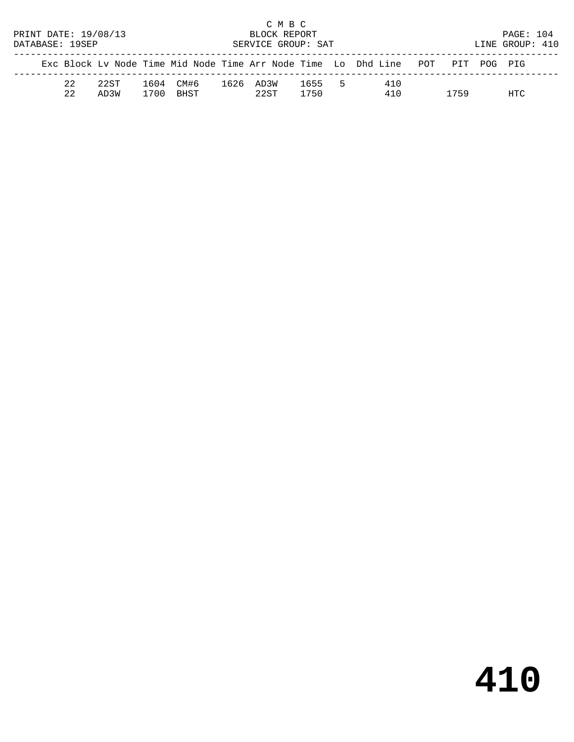|                      |    |      |                    |      |      | C M B C |      |     |                                                                                |  |      |  |                 |  |
|----------------------|----|------|--------------------|------|------|---------|------|-----|--------------------------------------------------------------------------------|--|------|--|-----------------|--|
| PRINT DATE: 19/08/13 |    |      |                    |      |      |         |      |     | <b>PAGE: 104</b>                                                               |  |      |  |                 |  |
| DATABASE: 19SEP      |    |      | SERVICE GROUP: SAT |      |      |         |      |     |                                                                                |  |      |  | LINE GROUP: 410 |  |
|                      |    |      |                    |      |      |         |      |     | Exc Block Lv Node Time Mid Node Time Arr Node Time Lo Dhd Line POT PIT POG PIG |  |      |  |                 |  |
|                      | 22 | 22ST | 1604               | CM#6 | 1626 | AD3W    | 1655 | - 5 | 410                                                                            |  |      |  |                 |  |
|                      | 22 | AD3W | 1700               | BHST |      | 22ST    | 1750 |     | 410                                                                            |  | 1759 |  | HTC             |  |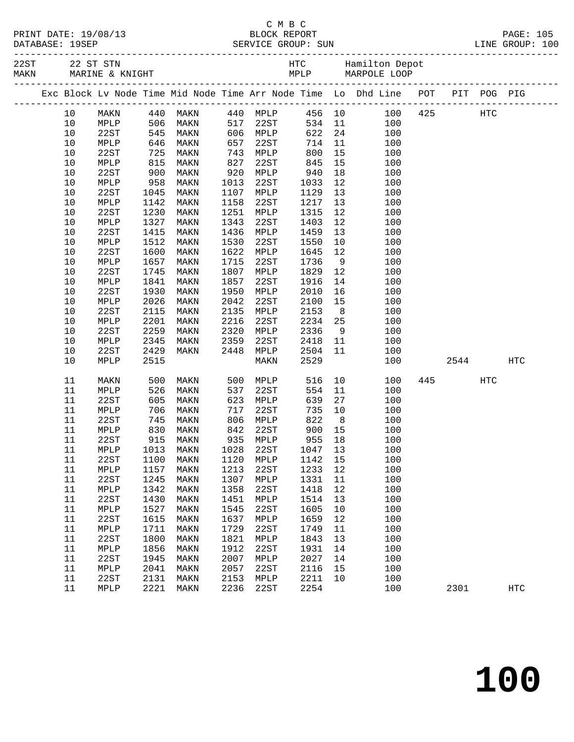|           | PRINT DATE: 19/08/13                      |  |
|-----------|-------------------------------------------|--|
| --------- | $\bullet \bullet \bullet \bullet \bullet$ |  |

|  |      |      |                   |                                     |      |                                        |              |                | 22ST 22 ST STN 1997 EXT AND HTC Hamilton Depot<br>MAKN MARINE & KNIGHT MARPOLE LOOP |             |     |                   |
|--|------|------|-------------------|-------------------------------------|------|----------------------------------------|--------------|----------------|-------------------------------------------------------------------------------------|-------------|-----|-------------------|
|  |      |      |                   |                                     |      |                                        |              |                | Exc Block Lv Node Time Mid Node Time Arr Node Time Lo Dhd Line POT PIT POG PIG      |             |     |                   |
|  | 10   |      |                   | MAKN 440 MAKN 440 MPLP 456 10       |      |                                        |              |                |                                                                                     | 100 425 HTC |     |                   |
|  | 10   | MPLP |                   |                                     |      |                                        |              |                | 100                                                                                 |             |     |                   |
|  | $10$ | 22ST |                   |                                     |      | $517$ 22ST<br>$517$ 22ST<br>$506$ MPLP |              |                | 534 11<br>622 24<br>100                                                             |             |     |                   |
|  | 10   | MPLP |                   | 506 MAKN<br>545 MAKN<br>646 MAKN    | 657  | 22ST                                   | 714          | 11             | 100                                                                                 |             |     |                   |
|  | 10   | 22ST | 725               | MAKN                                | 743  | MPLP                                   | 800          | 15             | 100                                                                                 |             |     |                   |
|  | 10   | MPLP |                   | MAKN                                | 827  | 22ST                                   | 845          | 15             | 100                                                                                 |             |     |                   |
|  | 10   | 22ST |                   | MAKN                                | 920  | MPLP                                   | 940          | 18             | 100                                                                                 |             |     |                   |
|  | 10   | MPLP | 815<br>900<br>958 | MAKN                                | 1013 | 22ST                                   | 1033         | 12             | 100                                                                                 |             |     |                   |
|  | 10   | 22ST | 1045              | MAKN                                | 1107 | MPLP                                   | 1129         | 13             | 100                                                                                 |             |     |                   |
|  | 10   | MPLP | 1142              | MAKN                                | 1158 | 22ST                                   | 1217         | 13             | 100                                                                                 |             |     |                   |
|  | $10$ | 22ST | 1230              | MAKN                                | 1251 | MPLP                                   | 1315         | 12             | 100                                                                                 |             |     |                   |
|  | 10   | MPLP | 1327              | MAKN                                | 1343 | 22ST                                   | 1403         | 12             | 100                                                                                 |             |     |                   |
|  | 10   | 22ST | 1415              | MAKN                                | 1436 | MPLP                                   | 1459         | 13             | 100                                                                                 |             |     |                   |
|  | 10   | MPLP | 1512              | MAKN                                | 1530 | 22ST                                   | 1550         | 10             | 100                                                                                 |             |     |                   |
|  | 10   | 22ST | 1600              | MAKN                                | 1622 | MPLP                                   | 1645         | 12             | 100                                                                                 |             |     |                   |
|  | 10   | MPLP | 1657              | MAKN                                | 1715 | 22ST                                   | 1736         | 9              | 100                                                                                 |             |     |                   |
|  | 10   | 22ST | 1745              | MAKN                                | 1807 | MPLP                                   | 1829         | 12             | 100                                                                                 |             |     |                   |
|  | 10   | MPLP | 1841              | MAKN                                | 1857 | 22ST                                   | 1916         | 14             | 100                                                                                 |             |     |                   |
|  | $10$ | 22ST | 1930              | MAKN                                | 1950 | MPLP                                   | 2010         | 16             | 100                                                                                 |             |     |                   |
|  | 10   | MPLP | 2026              | MAKN                                | 2042 | 22ST                                   | 2100         | 15             | 100                                                                                 |             |     |                   |
|  | $10$ | 22ST | 2115              | MAKN                                | 2135 | MPLP                                   | 2153         | 8 <sup>8</sup> | 100                                                                                 |             |     |                   |
|  | 10   | MPLP | 2201              | MAKN                                | 2216 | 22ST                                   | 2234         | 25             | 100                                                                                 |             |     |                   |
|  | $10$ | 22ST | 2259              | MAKN                                | 2320 | MPLP                                   | 2336         | 9              | 100                                                                                 |             |     |                   |
|  | 10   | MPLP | 2345              | MAKN                                | 2359 | 22ST                                   | 2418         | 11             | 100                                                                                 |             |     |                   |
|  | 10   | 22ST | 2429              | MAKN                                | 2448 | MPLP                                   | 2504         | 11             | 100                                                                                 |             |     |                   |
|  | 10   | MPLP | 2515              |                                     |      | MAKN                                   | 2529         |                | 100                                                                                 | 2544        |     | $_{\mathrm{HTC}}$ |
|  | 11   | MAKN | 500               | MAKN                                |      | 500 MPLP                               | 516          |                | 10<br>100                                                                           | 445         | HTC |                   |
|  | 11   | MPLP | 526               | MAKN                                | 537  | 22ST                                   | 554          | 11             | 100                                                                                 |             |     |                   |
|  | 11   | 22ST | 605               | MAKN                                | 623  | MPLP                                   | 639          | 27             | 100                                                                                 |             |     |                   |
|  | 11   | MPLP | 706<br>745<br>830 | MAKN                                | 717  | 22ST                                   | 735          | 10             | 100                                                                                 |             |     |                   |
|  | 11   | 22ST |                   | MAKN                                | 806  | MPLP                                   | 822          | 8 <sup>8</sup> | 100                                                                                 |             |     |                   |
|  | 11   | MPLP |                   | MAKN                                | 842  | 22ST                                   | 900          | 15             | 100                                                                                 |             |     |                   |
|  | 11   | 22ST | 915               | MAKN                                |      | 935 MPLP                               | 955          | 18             | 100                                                                                 |             |     |                   |
|  | 11   | MPLP | 1013              | MAKN                                | 1028 | 22ST                                   | 1047<br>1142 | 13             | 100                                                                                 |             |     |                   |
|  | 11   | 22ST | 1100              | MAKN                                |      | 1120 MPLP                              | 1142 15      |                | 100                                                                                 |             |     |                   |
|  |      |      |                   | 11 MPLP 1157 MAKN 1213 22ST 1233 12 |      |                                        |              |                | 100                                                                                 |             |     |                   |
|  | 11   | 22ST | 1245              | MAKN                                | 1307 | MPLP                                   | 1331 11      |                | 100                                                                                 |             |     |                   |
|  | 11   | MPLP | 1342              | MAKN                                | 1358 | 22ST                                   | 1418         | 12             | 100                                                                                 |             |     |                   |
|  | 11   | 22ST | 1430              | MAKN                                | 1451 | MPLP                                   | 1514         | 13             | 100                                                                                 |             |     |                   |
|  | 11   | MPLP | 1527              | MAKN                                | 1545 | 22ST                                   | 1605         | 10             | 100                                                                                 |             |     |                   |
|  | 11   | 22ST | 1615              | MAKN                                | 1637 | MPLP                                   | 1659         | 12             | 100                                                                                 |             |     |                   |
|  | 11   | MPLP | 1711              | MAKN                                | 1729 | 22ST                                   | 1749         | 11             | 100                                                                                 |             |     |                   |
|  | 11   | 22ST | 1800              | MAKN                                | 1821 | MPLP                                   | 1843         | 13             | 100                                                                                 |             |     |                   |
|  | 11   | MPLP | 1856              | MAKN                                | 1912 | 22ST                                   | 1931         | 14             | 100                                                                                 |             |     |                   |
|  | 11   | 22ST | 1945              | MAKN                                | 2007 | MPLP                                   | 2027         | 14             | 100                                                                                 |             |     |                   |
|  | 11   | MPLP | 2041              | MAKN                                | 2057 | 22ST                                   | 2116         | 15             | 100                                                                                 |             |     |                   |
|  | 11   | 22ST | 2131              | MAKN                                | 2153 | MPLP                                   | 2211         | 10             | 100                                                                                 |             |     |                   |
|  | 11   | MPLP | 2221              | MAKN                                | 2236 | 22ST                                   | 2254         |                | 100                                                                                 | 2301        |     | HTC               |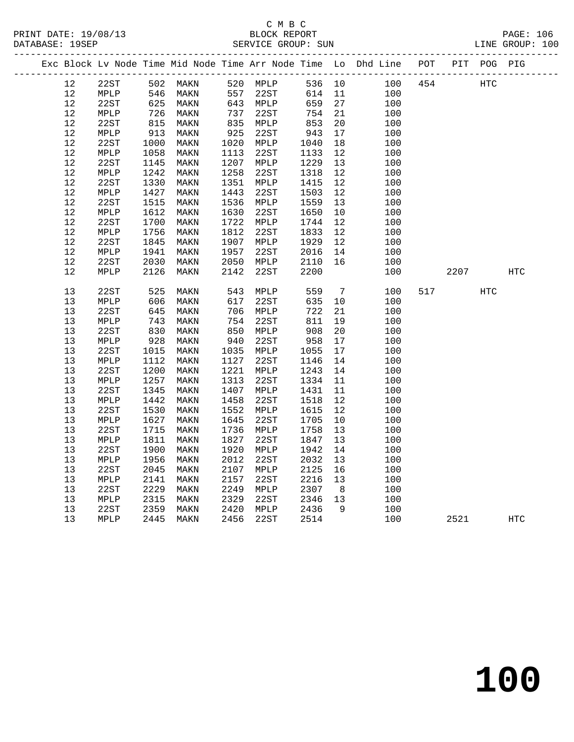|      |                 |                   |                      |      |            |        |                | Exc Block Lv Node Time Mid Node Time Arr Node Time Lo Dhd Line POT PIT POG PIG |     |      |     |            |  |
|------|-----------------|-------------------|----------------------|------|------------|--------|----------------|--------------------------------------------------------------------------------|-----|------|-----|------------|--|
| 12   | 22ST            |                   | 502 MAKN             |      | 520 MPLP   | 536 10 |                | 100 454                                                                        |     |      | HTC |            |  |
| 12   | MPLP            |                   |                      |      | 557 22ST   | 614 11 |                | 100                                                                            |     |      |     |            |  |
| 12   | 22ST            |                   | 546 MAKN<br>625 MAKN |      | 643 MPLP   | 659    | 27             | 100                                                                            |     |      |     |            |  |
| 12   | MPLP            | $\frac{1}{815}$   | MAKN                 | 737  | 22ST       | 754    | 21             | 100                                                                            |     |      |     |            |  |
| 12   | 22ST            |                   | MAKN                 |      | $835$ MPLP | 853    | 20             | 100                                                                            |     |      |     |            |  |
| 12   | MPLP            | 913               | MAKN                 | 925  | 22ST       | 943    | 17             | 100                                                                            |     |      |     |            |  |
| 12   | 22ST            | 1000              | MAKN                 | 1020 | MPLP       | 1040   | 18             | 100                                                                            |     |      |     |            |  |
| $12$ | $\texttt{MPLP}$ | 1058              | MAKN                 | 1113 | 22ST       | 1133   | 12             | 100                                                                            |     |      |     |            |  |
| 12   | 22ST            | 1145              | MAKN                 | 1207 | MPLP       | 1229   | 13             | 100                                                                            |     |      |     |            |  |
| 12   | MPLP            | 1242              | MAKN                 | 1258 | 22ST       | 1318   | 12             | 100                                                                            |     |      |     |            |  |
| 12   | 22ST            | 1330              | MAKN                 | 1351 | MPLP       | 1415   | 12             | 100                                                                            |     |      |     |            |  |
| $12$ | MPLP            | 1427              | MAKN                 | 1443 | 22ST       | 1503   | 12             | 100                                                                            |     |      |     |            |  |
| 12   | 22ST            | 1515              | MAKN                 | 1536 | MPLP       | 1559   | 13             | 100                                                                            |     |      |     |            |  |
| 12   | MPLP            | 1612              | MAKN                 | 1630 | 22ST       | 1650   | 10             | 100                                                                            |     |      |     |            |  |
| 12   | 22ST            | 1700              | MAKN                 | 1722 | MPLP       | 1744   | 12             | 100                                                                            |     |      |     |            |  |
| 12   | $\texttt{MPLP}$ | 1756              | MAKN                 | 1812 | 22ST       | 1833   | 12             | 100                                                                            |     |      |     |            |  |
| 12   | 22ST            | 1845              | MAKN                 | 1907 | MPLP       | 1929   | 12             | 100                                                                            |     |      |     |            |  |
| $12$ | MPLP            | 1941              | MAKN                 | 1957 | 22ST       | 2016   | 14             | 100                                                                            |     |      |     |            |  |
| 12   | 22ST            | 2030              | MAKN                 | 2050 | MPLP       | 2110   | 16             | 100                                                                            |     |      |     |            |  |
| 12   | MPLP            | 2126              | MAKN                 | 2142 | 22ST       | 2200   |                | 100                                                                            |     | 2207 |     | <b>HTC</b> |  |
|      |                 |                   |                      |      |            |        |                |                                                                                |     |      |     |            |  |
| 13   | 22ST            |                   | MAKN                 | 543  | MPLP       | 559    | $\overline{7}$ | 100                                                                            | 517 |      | HTC |            |  |
| 13   | MPLP            | 525<br>606<br>606 | MAKN                 | 617  | 22ST       | 635    | 10             | 100                                                                            |     |      |     |            |  |
| 13   | 22ST            | 645               | MAKN                 | 706  | MPLP       | 722    | 21             | 100                                                                            |     |      |     |            |  |
| 13   | $\texttt{MPLP}$ | 743               | MAKN                 | 754  | 22ST       | 811    | 19             | 100                                                                            |     |      |     |            |  |
| 13   | 22ST            | 830               | MAKN                 | 850  | MPLP       | 908    | 20             | 100                                                                            |     |      |     |            |  |
| 13   | MPLP            | 928               | MAKN                 | 940  | 22ST       | 958    | 17             | 100                                                                            |     |      |     |            |  |
| 13   | 22ST            | 1015              | MAKN                 | 1035 | MPLP       | 1055   | 17             | 100                                                                            |     |      |     |            |  |
| 13   | MPLP            | 1112              | MAKN                 | 1127 | 22ST       | 1146   | 14             | 100                                                                            |     |      |     |            |  |
| 13   | 22ST            | 1200              | MAKN                 | 1221 | MPLP       | 1243   | 14             | 100                                                                            |     |      |     |            |  |
| 13   | MPLP            | 1257              | MAKN                 | 1313 | 22ST       | 1334   | 11             | 100                                                                            |     |      |     |            |  |
| 13   | 22ST            | 1345              | MAKN                 | 1407 | MPLP       | 1431   | 11             | 100                                                                            |     |      |     |            |  |
| 13   | MPLP            | 1442              | MAKN                 | 1458 | 22ST       | 1518   | 12             | 100                                                                            |     |      |     |            |  |
| 13   | 22ST            | 1530              | MAKN                 | 1552 | MPLP       | 1615   | 12             | 100                                                                            |     |      |     |            |  |
| 13   | MPLP            | 1627              | MAKN                 | 1645 | 22ST       | 1705   | 10             | 100                                                                            |     |      |     |            |  |
| 13   | 22ST            | 1715              | MAKN                 | 1736 | MPLP       | 1758   | 13             | 100                                                                            |     |      |     |            |  |
| 13   | MPLP            | 1811              | MAKN                 | 1827 | 22ST       | 1847   | 13             | 100                                                                            |     |      |     |            |  |
| 13   | 22ST            | 1900              | MAKN                 | 1920 | MPLP       | 1942   | 14             | 100                                                                            |     |      |     |            |  |
| 13   | $\texttt{MPLP}$ | 1956              | MAKN                 | 2012 | 22ST       | 2032   | 13             | 100                                                                            |     |      |     |            |  |
| 13   | 22ST            | 2045              | MAKN                 | 2107 | MPLP       | 2125   | 16             | 100                                                                            |     |      |     |            |  |
| 13   | ${\tt MPLP}$    | 2141              | MAKN                 | 2157 | 22ST       | 2216   | 13             | 100                                                                            |     |      |     |            |  |
| 13   | 22ST            | 2229              | MAKN                 | 2249 | MPLP       | 2307   | 8 <sup>8</sup> | 100                                                                            |     |      |     |            |  |
| 13   | $\texttt{MPLP}$ | 2315              | MAKN                 | 2329 | 22ST       | 2346   | 13             | 100                                                                            |     |      |     |            |  |
| 13   | 22ST            | 2359              | MAKN                 | 2420 | MPLP       | 2436   | 9              | 100                                                                            |     |      |     |            |  |
| 13   | MPLP            | 2445              | MAKN                 | 2456 | 22ST       | 2514   |                | 100                                                                            |     | 2521 |     | HTC        |  |
|      |                 |                   |                      |      |            |        |                |                                                                                |     |      |     |            |  |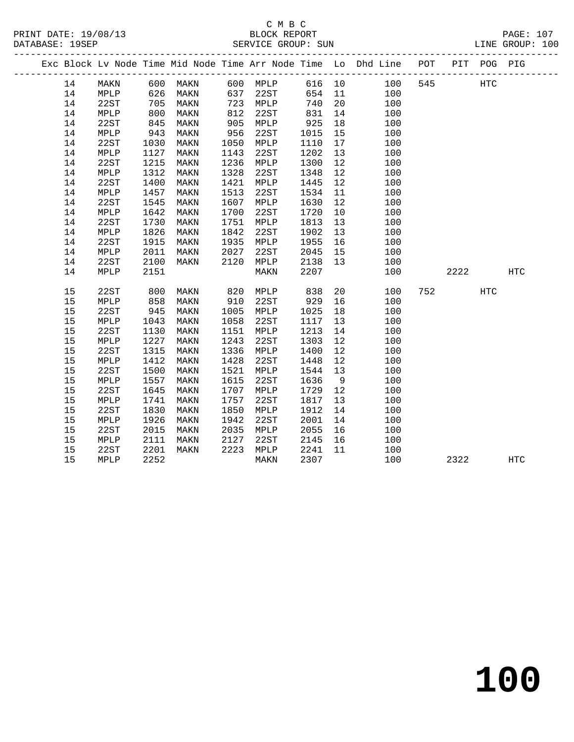### C M B C DATABASE: 19SEP SERVICE GROUP: SUN LINE GROUP: 100

-------------------------------------------------------------------------------------------------

14 22ST 1730 MAKN 1751 MPLP 1813 13 100

 Exc Block Lv Node Time Mid Node Time Arr Node Time Lo Dhd Line POT PIT POG PIG ------------------------------------------------------------------------------------------------- ---------------<br>14 MAKN 600 MAKN 600 MPLP 616 10 100 545 HTC 14 MPLP 626 MAKN 637 22ST 654 11 100 14 22ST 705 MAKN 723 MPLP 740 20 100 14 MPLP 800 MAKN 812 22ST 831 14 100 14 22ST 845 MAKN 905 MPLP 925 18 100 14 MPLP 943 MAKN 956 22ST 1015 15 100 14 22ST 1030 MAKN 1050 MPLP 1110 17 100 14 MPLP 1127 MAKN 1143 22ST 1202 13 100 14 22ST 1215 MAKN 1236 MPLP 1300 12 100 14 MPLP 1312 MAKN 1328 22ST 1348 12 100 14 22ST 1400 MAKN 1421 MPLP 1445 12 100 14 MPLP 1457 MAKN 1513 22ST 1534 11 100 14 22ST 1545 MAKN 1607 MPLP 1630 12 100 14 MPLP 1642 MAKN 1700 22ST 1720 10 100

| 14 | MPLP | 1826 | MAKN | 1842 | 22ST | 1902 | 13      | 100 |     |      |            |     |
|----|------|------|------|------|------|------|---------|-----|-----|------|------------|-----|
| 14 | 22ST | 1915 | MAKN | 1935 | MPLP | 1955 | 16      | 100 |     |      |            |     |
| 14 | MPLP | 2011 | MAKN | 2027 | 22ST | 2045 | 15      | 100 |     |      |            |     |
| 14 | 22ST | 2100 | MAKN | 2120 | MPLP | 2138 | 13      | 100 |     |      |            |     |
| 14 | MPLP | 2151 |      |      | MAKN | 2207 |         | 100 |     | 2222 |            | HTC |
|    |      |      |      |      |      |      |         |     |     |      |            |     |
| 15 | 22ST | 800  | MAKN | 820  | MPLP | 838  | 20      | 100 | 752 |      | <b>HTC</b> |     |
| 15 | MPLP | 858  | MAKN | 910  | 22ST | 929  | 16      | 100 |     |      |            |     |
| 15 | 22ST | 945  | MAKN | 1005 | MPLP | 1025 | 18      | 100 |     |      |            |     |
| 15 | MPLP | 1043 | MAKN | 1058 | 22ST | 1117 | 13      | 100 |     |      |            |     |
| 15 | 22ST | 1130 | MAKN | 1151 | MPLP | 1213 | 14      | 100 |     |      |            |     |
| 15 | MPLP | 1227 | MAKN | 1243 | 22ST | 1303 | $12 \,$ | 100 |     |      |            |     |
| 15 | 22ST | 1315 | MAKN | 1336 | MPLP | 1400 | 12      | 100 |     |      |            |     |
| 15 | MPLP | 1412 | MAKN | 1428 | 22ST | 1448 | 12      | 100 |     |      |            |     |
| 15 | 22ST | 1500 | MAKN | 1521 | MPLP | 1544 | 13      | 100 |     |      |            |     |
| 15 | MPLP | 1557 | MAKN | 1615 | 22ST | 1636 | 9       | 100 |     |      |            |     |
| 15 | 22ST | 1645 | MAKN | 1707 | MPLP | 1729 | 12      | 100 |     |      |            |     |
| 15 | MPLP | 1741 | MAKN | 1757 | 22ST | 1817 | 13      | 100 |     |      |            |     |
| 15 | 22ST | 1830 | MAKN | 1850 | MPLP | 1912 | 14      | 100 |     |      |            |     |
| 15 | MPLP | 1926 | MAKN | 1942 | 22ST | 2001 | 14      | 100 |     |      |            |     |
| 15 | 22ST | 2015 | MAKN | 2035 | MPLP | 2055 | 16      | 100 |     |      |            |     |
| 15 | MPLP | 2111 | MAKN | 2127 | 22ST | 2145 | 16      | 100 |     |      |            |     |
| 15 | 22ST | 2201 | MAKN | 2223 | MPLP | 2241 | 11      | 100 |     |      |            |     |
| 15 | MPLP | 2252 |      |      | MAKN | 2307 |         | 100 |     | 2322 |            | HTC |
|    |      |      |      |      |      |      |         |     |     |      |            |     |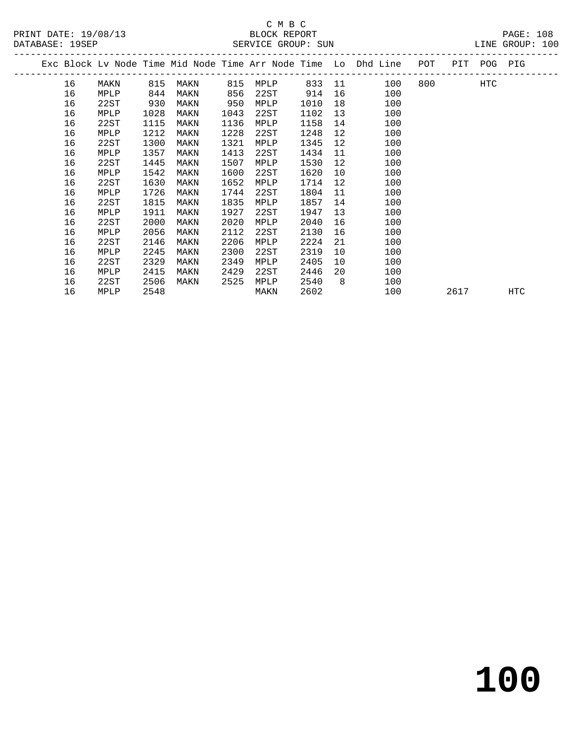|  |    |      |      |      |      |      |      |    | Exc Block Lv Node Time Mid Node Time Arr Node Time Lo Dhd Line POT |     |      | PIT POG PIG |     |
|--|----|------|------|------|------|------|------|----|--------------------------------------------------------------------|-----|------|-------------|-----|
|  | 16 | MAKN | 815  | MAKN | 815  | MPLP |      |    | 833 11<br>100                                                      | 800 |      | HTC         |     |
|  | 16 | MPLP | 844  | MAKN | 856  | 22ST | 914  | 16 | 100                                                                |     |      |             |     |
|  | 16 | 22ST | 930  | MAKN | 950  | MPLP | 1010 | 18 | 100                                                                |     |      |             |     |
|  | 16 | MPLP | 1028 | MAKN | 1043 | 22ST | 1102 | 13 | 100                                                                |     |      |             |     |
|  | 16 | 22ST | 1115 | MAKN | 1136 | MPLP | 1158 | 14 | 100                                                                |     |      |             |     |
|  | 16 | MPLP | 1212 | MAKN | 1228 | 22ST | 1248 | 12 | 100                                                                |     |      |             |     |
|  | 16 | 22ST | 1300 | MAKN | 1321 | MPLP | 1345 | 12 | 100                                                                |     |      |             |     |
|  | 16 | MPLP | 1357 | MAKN | 1413 | 22ST | 1434 | 11 | 100                                                                |     |      |             |     |
|  | 16 | 22ST | 1445 | MAKN | 1507 | MPLP | 1530 | 12 | 100                                                                |     |      |             |     |
|  | 16 | MPLP | 1542 | MAKN | 1600 | 22ST | 1620 | 10 | 100                                                                |     |      |             |     |
|  | 16 | 22ST | 1630 | MAKN | 1652 | MPLP | 1714 | 12 | 100                                                                |     |      |             |     |
|  | 16 | MPLP | 1726 | MAKN | 1744 | 22ST | 1804 | 11 | 100                                                                |     |      |             |     |
|  | 16 | 22ST | 1815 | MAKN | 1835 | MPLP | 1857 | 14 | 100                                                                |     |      |             |     |
|  | 16 | MPLP | 1911 | MAKN | 1927 | 22ST | 1947 | 13 | 100                                                                |     |      |             |     |
|  | 16 | 22ST | 2000 | MAKN | 2020 | MPLP | 2040 | 16 | 100                                                                |     |      |             |     |
|  | 16 | MPLP | 2056 | MAKN | 2112 | 22ST | 2130 | 16 | 100                                                                |     |      |             |     |
|  | 16 | 22ST | 2146 | MAKN | 2206 | MPLP | 2224 | 21 | 100                                                                |     |      |             |     |
|  | 16 | MPLP | 2245 | MAKN | 2300 | 22ST | 2319 | 10 | 100                                                                |     |      |             |     |
|  | 16 | 22ST | 2329 | MAKN | 2349 | MPLP | 2405 | 10 | 100                                                                |     |      |             |     |
|  | 16 | MPLP | 2415 | MAKN | 2429 | 22ST | 2446 | 20 | 100                                                                |     |      |             |     |
|  | 16 | 22ST | 2506 | MAKN | 2525 | MPLP | 2540 | 8  | 100                                                                |     |      |             |     |
|  | 16 | MPLP | 2548 |      |      | MAKN | 2602 |    | 100                                                                |     | 2617 |             | HTC |
|  |    |      |      |      |      |      |      |    |                                                                    |     |      |             |     |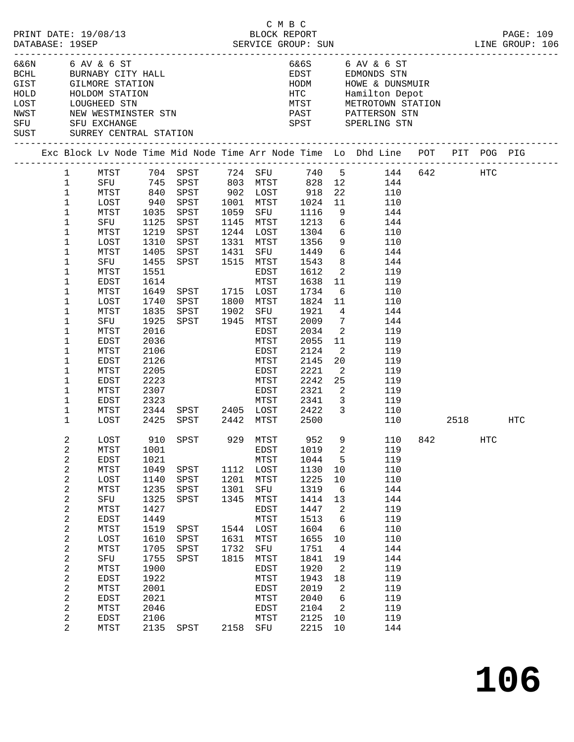|                              | DATABASE: 19SEP                                                                                                                                                                                                                                                       | PRINT DATE: 19/08/13                                                                                                                                              |                                                                                                                                                      |                                                                                                                                                  |                                              | СМВС<br>BLOCK REPORT                                                                                                                                                         |                                                                                                                                                             |                                                                                                                                                                                                |                                                                                                                                                                                               |           |                   | PAGE: 109 |
|------------------------------|-----------------------------------------------------------------------------------------------------------------------------------------------------------------------------------------------------------------------------------------------------------------------|-------------------------------------------------------------------------------------------------------------------------------------------------------------------|------------------------------------------------------------------------------------------------------------------------------------------------------|--------------------------------------------------------------------------------------------------------------------------------------------------|----------------------------------------------|------------------------------------------------------------------------------------------------------------------------------------------------------------------------------|-------------------------------------------------------------------------------------------------------------------------------------------------------------|------------------------------------------------------------------------------------------------------------------------------------------------------------------------------------------------|-----------------------------------------------------------------------------------------------------------------------------------------------------------------------------------------------|-----------|-------------------|-----------|
|                              |                                                                                                                                                                                                                                                                       | 6&6N 6 AV & 6 ST<br>GIST GILMORE STATION                                                                                                                          |                                                                                                                                                      | BCHL BURNABY CITY HALL                                                                                                                           |                                              |                                                                                                                                                                              | HODM                                                                                                                                                        |                                                                                                                                                                                                | 6&6S 6 AV & 6 ST<br>EDST EDMONDS STN<br>HOWE & DUNSMUIR                                                                                                                                       |           |                   |           |
| HOLD<br>LOST<br>NWST<br>SUST |                                                                                                                                                                                                                                                                       | HOLDOM DIE<br>LOUGHEED STN<br>TIMESTMINS<br>HOLDOM STATION<br>NEW WESTMINSTER STN<br>SFU SFU EXCHANGE<br>SURREY CENTRAL STATION                                   |                                                                                                                                                      |                                                                                                                                                  |                                              |                                                                                                                                                                              |                                                                                                                                                             |                                                                                                                                                                                                | HTC Hamilton Depot<br>MTST METROTOWN STATION<br>PAST PATTERSON STN<br>SPST SPERLING STN                                                                                                       |           |                   |           |
|                              |                                                                                                                                                                                                                                                                       |                                                                                                                                                                   |                                                                                                                                                      |                                                                                                                                                  |                                              |                                                                                                                                                                              |                                                                                                                                                             |                                                                                                                                                                                                | Exc Block Lv Node Time Mid Node Time Arr Node Time Lo Dhd Line POT PIT POG PIG                                                                                                                |           |                   |           |
|                              | $\mathbf{1}$<br>$\mathbf{1}$<br>$\mathbf{1}$<br>$\mathbf{1}$<br>$\mathbf 1$<br>$\mathbf 1$<br>1<br>$\mathbf 1$<br>1<br>1<br>1<br>$\mathbf 1$<br>1<br>1<br>1<br>1<br>1<br>1<br>$\mathbf 1$<br>1<br>$\mathbf 1$<br>1                                                    | MTST<br>MTST<br>LOST<br>MTST<br>SFU<br>MTST<br>LOST<br>MTST<br>SFU<br>MTST<br>EDST<br>MTST<br>LOST<br>MTST<br>SFU<br>MTST<br>EDST<br>MTST<br>EDST<br>MTST<br>EDST | 940<br>1035<br>1125<br>1219<br>1310<br>1405<br>1455<br>1551<br>1614<br>1649<br>1740<br>1835<br>1925<br>2016<br>2036<br>2106<br>2126<br>2205<br>2223  | 840 SPST 902 LOST 918<br>SPST<br>SPST<br>SPST<br>SPST<br>SPST<br>SPST 1431<br>SPST 1515 MTST<br>SPST 1715 LOST<br>SPST<br>SPST<br>SPST 1945 MTST | 1902                                         | 1001 MTST<br>1059 SFU<br>1145 MTST<br>$1244$ LOST $1304$ 6<br>1331 MTST<br>SFU<br>EDST<br>MTST<br>1800 MTST<br>SFU<br>EDST<br>MTST<br>EDST<br>MTST<br>EDST<br>MTST           | 1024<br>1116<br>1213<br>1356<br>1449<br>1543<br>1612<br>1638<br>1734<br>1824 11<br>1921<br>2009<br>2034<br>2055<br>2124<br>2145<br>2221<br>2242             | 22<br>11<br>9<br>6<br>9<br>8 <sup>8</sup><br>$\overline{2}$<br>11<br>6<br>$\overline{4}$<br>$\overline{7}$<br>$\overline{\phantom{a}}^2$<br>11<br>$\overline{2}$<br>20<br>$\overline{2}$<br>25 | 740 5 144 642 HTC<br>828 12 144<br>110<br>110<br>144<br>144<br>110<br>110<br>$6\overline{}$<br>144<br>144<br>119<br>119<br>110<br>110<br>144<br>144<br>119<br>119<br>119<br>119<br>119<br>119 |           |                   |           |
|                              | $\mathbf 1$<br>$\mathbf 1$<br>$\mathbf 1$<br>$\mathbf{1}$                                                                                                                                                                                                             | MTST<br>EDST<br>MTST<br>LOST                                                                                                                                      | 2307<br>2323<br>2344<br>2425                                                                                                                         | SPST 2405 LOST 2422<br>SPST 2442 MTST 2500                                                                                                       |                                              | EDST<br>MTST 2341                                                                                                                                                            | 2321                                                                                                                                                        | $\overline{\phantom{a}}$<br>$\overline{\mathbf{3}}$                                                                                                                                            | 119<br>119<br>$\overline{\mathbf{3}}$<br>110<br>110                                                                                                                                           | 2518 — 10 |                   | HTC       |
|                              | 2<br>2<br>$\overline{\mathbf{c}}$<br>$\boldsymbol{2}$<br>2<br>$\overline{\mathbf{c}}$<br>2<br>$\boldsymbol{2}$<br>2<br>$\overline{c}$<br>2<br>$\boldsymbol{2}$<br>2<br>2<br>$\overline{\mathbf{c}}$<br>$\boldsymbol{2}$<br>$\overline{c}$<br>2<br>2<br>$\overline{2}$ | LOST<br>MTST<br>EDST<br>MTST<br>LOST<br>MTST<br>SFU<br>MTST<br>EDST<br>MTST<br>LOST<br>MTST<br>SFU<br>MTST<br>EDST<br>MTST<br>EDST<br>MTST<br>EDST<br>MTST        | 1001<br>1021<br>1049<br>1140<br>1235<br>1325<br>1427<br>1449<br>1519<br>1610<br>1705<br>1755<br>1900<br>1922<br>2001<br>2021<br>2046<br>2106<br>2135 | 910 SPST<br>SPST<br>SPST<br>SPST<br>SPST<br>SPST<br>SPST<br>SPST<br>SPST<br>SPST                                                                 | 1201<br>1301<br>1345<br>1631<br>1732<br>1815 | 929 MTST<br>EDST<br>MTST<br>1112 LOST<br>MTST<br>SFU<br>MTST<br>EDST<br>MTST<br>1544 LOST<br>MTST<br>SFU<br>MTST<br>EDST<br>MTST<br>EDST<br>MTST<br>EDST<br>MTST<br>2158 SFU | 952<br>1019<br>1044<br>1130<br>1225<br>1319<br>1414<br>1447<br>1513<br>1604<br>1655<br>1751<br>1841<br>1920<br>1943<br>2019<br>2040<br>2104<br>2125<br>2215 | 2<br>5<br>10<br>10<br>6<br>13<br>2<br>6<br>6<br>10<br>$\overline{4}$<br>19<br>2<br>18<br>2<br>6<br>$\overline{2}$<br>10<br>10                                                                  | 9 110 842<br>119<br>119<br>110<br>110<br>144<br>144<br>119<br>119<br>110<br>110<br>144<br>144<br>119<br>119<br>119<br>119<br>119<br>119<br>144                                                |           | $_{\mathrm{HTC}}$ |           |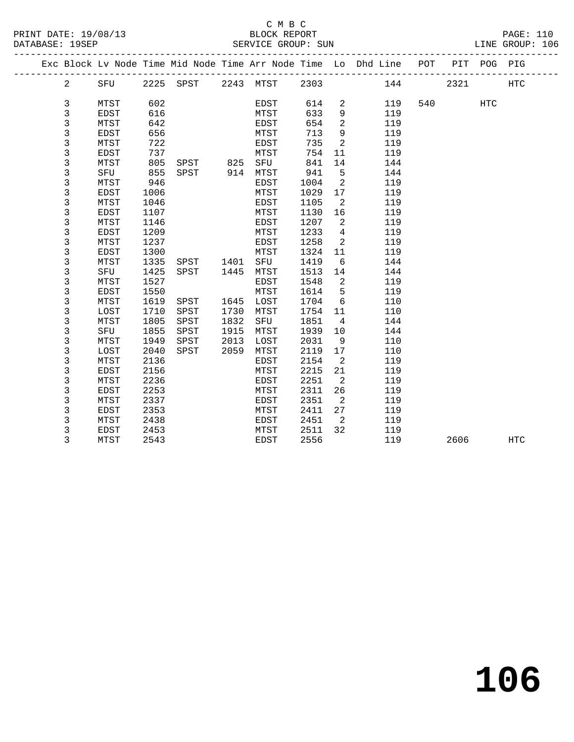|                |             |      |                     |      |             |      |                            | Exc Block Lv Node Time Mid Node Time Arr Node Time Lo Dhd Line POT |     | PIT  | POG PIG |                   |
|----------------|-------------|------|---------------------|------|-------------|------|----------------------------|--------------------------------------------------------------------|-----|------|---------|-------------------|
| $\overline{a}$ | SFU         |      | 2225 SPST 2243 MTST |      |             | 2303 |                            |                                                                    | 144 | 2321 |         | <b>HTC</b>        |
|                |             |      |                     |      |             |      |                            |                                                                    |     |      |         |                   |
| 3              | MTST        | 602  |                     |      | EDST        | 614  | 2                          | 119                                                                | 540 |      | HTC     |                   |
| 3              | <b>EDST</b> | 616  |                     |      | MTST        | 633  | $\overline{9}$             | 119                                                                |     |      |         |                   |
| 3              | MTST        | 642  |                     |      | EDST        | 654  | 2                          | 119                                                                |     |      |         |                   |
| 3              | EDST        | 656  |                     |      | MTST        | 713  | 9                          | 119                                                                |     |      |         |                   |
| 3              | MTST        | 722  |                     |      | EDST        | 735  | $\overline{\phantom{0}}^2$ | 119                                                                |     |      |         |                   |
| 3              | EDST        | 737  |                     |      | MTST        | 754  | 11                         | 119                                                                |     |      |         |                   |
| 3              | MTST        | 805  | SPST 825            |      | SFU         | 841  | 14                         | 144                                                                |     |      |         |                   |
| 3              | SFU         | 855  | SPST 914            |      | MTST        | 941  | 5                          | 144                                                                |     |      |         |                   |
| 3              | MTST        | 946  |                     |      | EDST        | 1004 | $\overline{a}$             | 119                                                                |     |      |         |                   |
| 3              | <b>EDST</b> | 1006 |                     |      | MTST        | 1029 | 17                         | 119                                                                |     |      |         |                   |
| 3              | MTST        | 1046 |                     |      | EDST        | 1105 | $\overline{2}$             | 119                                                                |     |      |         |                   |
| 3              | <b>EDST</b> | 1107 |                     |      | MTST        | 1130 | 16                         | 119                                                                |     |      |         |                   |
| 3              | MTST        | 1146 |                     |      | EDST        | 1207 | $\overline{2}$             | 119                                                                |     |      |         |                   |
| 3              | <b>EDST</b> | 1209 |                     |      | MTST        | 1233 | $\overline{4}$             | 119                                                                |     |      |         |                   |
| 3              | MTST        | 1237 |                     |      | EDST        | 1258 | 2                          | 119                                                                |     |      |         |                   |
| 3              | <b>EDST</b> | 1300 |                     |      | MTST        | 1324 | 11                         | 119                                                                |     |      |         |                   |
| 3              | MTST        | 1335 | SPST 1401           |      | SFU         | 1419 | 6                          | 144                                                                |     |      |         |                   |
| 3              | SFU         | 1425 | SPST                | 1445 | MTST        | 1513 | 14                         | 144                                                                |     |      |         |                   |
| 3              | MTST        | 1527 |                     |      | EDST        | 1548 | $\overline{\phantom{0}}^2$ | 119                                                                |     |      |         |                   |
| 3              | <b>EDST</b> | 1550 |                     |      | MTST        | 1614 | $5^{\circ}$                | 119                                                                |     |      |         |                   |
| 3              | MTST        | 1619 | SPST                | 1645 | LOST        | 1704 | 6                          | 110                                                                |     |      |         |                   |
| 3              | LOST        | 1710 | SPST                | 1730 | MTST        | 1754 | 11                         | 110                                                                |     |      |         |                   |
| 3              | MTST        | 1805 | SPST                | 1832 | SFU         | 1851 | $\overline{4}$             | 144                                                                |     |      |         |                   |
| 3              | SFU         | 1855 | SPST                | 1915 | MTST        | 1939 | 10                         | 144                                                                |     |      |         |                   |
| 3              | MTST        | 1949 | SPST                | 2013 | LOST        | 2031 | 9                          | 110                                                                |     |      |         |                   |
| 3              | LOST        | 2040 | SPST                | 2059 | MTST        | 2119 | 17                         | 110                                                                |     |      |         |                   |
| 3              | MTST        | 2136 |                     |      | EDST        | 2154 | $\overline{2}$             | 119                                                                |     |      |         |                   |
| 3              | EDST        | 2156 |                     |      | MTST        | 2215 | 21                         | 119                                                                |     |      |         |                   |
| 3              | MTST        | 2236 |                     |      | EDST        | 2251 | $\overline{2}$             | 119                                                                |     |      |         |                   |
| 3              | <b>EDST</b> | 2253 |                     |      | MTST        | 2311 | 26                         | 119                                                                |     |      |         |                   |
| 3              | MTST        | 2337 |                     |      | EDST        | 2351 | 2                          | 119                                                                |     |      |         |                   |
| 3              | <b>EDST</b> | 2353 |                     |      | MTST        | 2411 | 27                         | 119                                                                |     |      |         |                   |
| 3              | MTST        | 2438 |                     |      | EDST        | 2451 | $\overline{\phantom{0}}^2$ | 119                                                                |     |      |         |                   |
| 3              | EDST        | 2453 |                     |      | MTST        | 2511 | 32                         | 119                                                                |     |      |         |                   |
| 3              | MTST        | 2543 |                     |      | <b>EDST</b> | 2556 |                            | 119                                                                |     | 2606 |         | $_{\mathrm{HTC}}$ |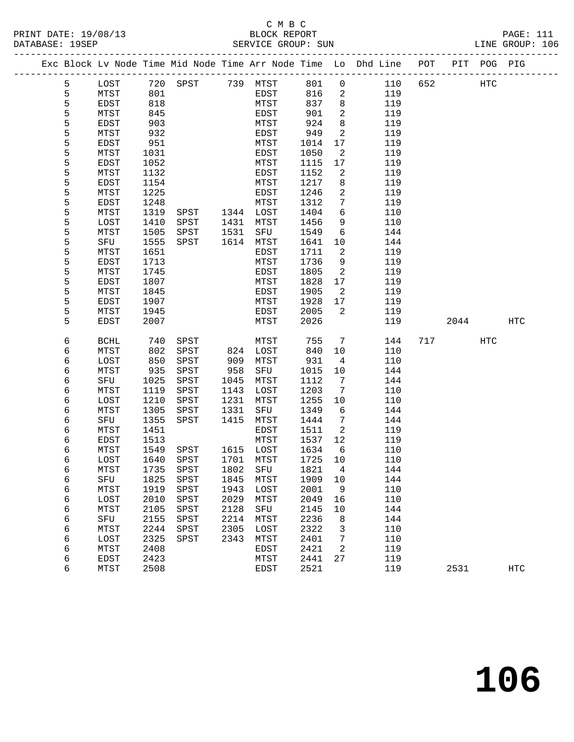| PRINT DATE: 19/08/13 | BLOCK REPORT       | <b>PAGE: 111</b> |
|----------------------|--------------------|------------------|
| DATABASE: 19SEP      | SERVICE GROUP: SUN | LINE GROUP: 106  |

|  |   |             |      |                |      |                   |      |                            | Exc Block Lv Node Time Mid Node Time Arr Node Time Lo Dhd Line POT PIT POG PIG |     |      |     |            |
|--|---|-------------|------|----------------|------|-------------------|------|----------------------------|--------------------------------------------------------------------------------|-----|------|-----|------------|
|  | 5 | LOST        |      |                |      | 720 SPST 739 MTST | 801  | $\overline{0}$             | 110                                                                            | 652 | HTC  |     |            |
|  | 5 | MTST        | 801  |                |      | EDST              | 816  | 2                          | 119                                                                            |     |      |     |            |
|  | 5 | EDST        | 818  |                |      | MTST              | 837  | 8                          | 119                                                                            |     |      |     |            |
|  | 5 | MTST        | 845  |                |      | EDST              | 901  | $\overline{a}$             | 119                                                                            |     |      |     |            |
|  | 5 | EDST        | 903  |                |      | MTST              | 924  | 8                          | 119                                                                            |     |      |     |            |
|  | 5 | MTST        | 932  |                |      | EDST              | 949  | 2                          | 119                                                                            |     |      |     |            |
|  | 5 | EDST        | 951  |                |      | MTST              | 1014 | 17                         | 119                                                                            |     |      |     |            |
|  | 5 | MTST        | 1031 |                |      | EDST              | 1050 | 2                          | 119                                                                            |     |      |     |            |
|  | 5 | EDST        | 1052 |                |      | MTST              | 1115 | 17                         | 119                                                                            |     |      |     |            |
|  | 5 | MTST        | 1132 |                |      | EDST              | 1152 | $\overline{a}$             | 119                                                                            |     |      |     |            |
|  | 5 | EDST        | 1154 |                |      | MTST              | 1217 | 8                          | 119                                                                            |     |      |     |            |
|  | 5 | MTST        | 1225 |                |      | EDST              | 1246 | 2                          | 119                                                                            |     |      |     |            |
|  | 5 | EDST        | 1248 |                |      | MTST              | 1312 | $7\phantom{.0}$            | 119                                                                            |     |      |     |            |
|  | 5 | MTST        | 1319 | SPST           |      | 1344 LOST         | 1404 | 6                          | 110                                                                            |     |      |     |            |
|  | 5 | LOST        | 1410 | SPST           |      | 1431 MTST         | 1456 | 9                          | 110                                                                            |     |      |     |            |
|  | 5 | MTST        | 1505 | SPST           | 1531 | SFU               | 1549 | 6                          | 144                                                                            |     |      |     |            |
|  | 5 | SFU         | 1555 | SPST           |      | 1614 MTST         | 1641 | 10                         | 144                                                                            |     |      |     |            |
|  | 5 | MTST        | 1651 |                |      | EDST              | 1711 | $\overline{2}$             | 119                                                                            |     |      |     |            |
|  | 5 | EDST        | 1713 |                |      | MTST              | 1736 | $\overline{9}$             | 119                                                                            |     |      |     |            |
|  | 5 | MTST        | 1745 |                |      | EDST              | 1805 | $\overline{\phantom{a}}$   | 119                                                                            |     |      |     |            |
|  | 5 | EDST        | 1807 |                |      | MTST              | 1828 | 17                         | 119                                                                            |     |      |     |            |
|  | 5 | MTST        | 1845 |                |      | EDST              | 1905 | $\overline{2}$             | 119                                                                            |     |      |     |            |
|  | 5 | EDST        | 1907 |                |      | MTST              | 1928 | 17                         | 119                                                                            |     |      |     |            |
|  | 5 | MTST        | 1945 |                |      | EDST              | 2005 | $\overline{\phantom{0}}^2$ | 119                                                                            |     |      |     |            |
|  | 5 | EDST        | 2007 |                |      | MTST              | 2026 |                            | 119                                                                            |     | 2044 |     | HTC        |
|  | 6 | BCHL        | 740  | SPST           |      | MTST              | 755  | $\overline{7}$             | 144                                                                            |     | 717  | HTC |            |
|  | 6 | MTST        | 802  | SPST           |      | 824 LOST          | 840  | 10                         | 110                                                                            |     |      |     |            |
|  | 6 | LOST        | 850  | SPST           | 909  | MTST              | 931  | $\overline{4}$             | 110                                                                            |     |      |     |            |
|  | 6 | MTST        | 935  | SPST           | 958  | SFU               | 1015 | 10                         | 144                                                                            |     |      |     |            |
|  | 6 | SFU         | 1025 | SPST           | 1045 | MTST              | 1112 | $7\overline{ }$            | 144                                                                            |     |      |     |            |
|  | 6 | MTST        | 1119 | SPST           | 1143 | LOST              | 1203 | 7                          | 110                                                                            |     |      |     |            |
|  | 6 | LOST        | 1210 | SPST           | 1231 | MTST              | 1255 | 10                         | 110                                                                            |     |      |     |            |
|  | 6 | MTST        | 1305 | SPST           | 1331 | SFU               | 1349 | 6                          | 144                                                                            |     |      |     |            |
|  | 6 | SFU         | 1355 | SPST           | 1415 | MTST              | 1444 | $\overline{7}$             | 144                                                                            |     |      |     |            |
|  | 6 | MTST        | 1451 |                |      | EDST              | 1511 | $\overline{\phantom{a}}$   | 119                                                                            |     |      |     |            |
|  | 6 | EDST        | 1513 |                |      | MTST              | 1537 | 12                         | 119                                                                            |     |      |     |            |
|  | 6 | MTST        | 1549 | SPST 1615 LOST |      |                   | 1634 | 6                          | 110                                                                            |     |      |     |            |
|  | 6 | LOST        | 1640 | SPST           |      | 1701 MTST         | 1725 | 10                         | 110                                                                            |     |      |     |            |
|  | 6 | MTST        |      | 1735 SPST      |      | 1802 SFU 1821 4   |      |                            | 144                                                                            |     |      |     |            |
|  | 6 | SFU         | 1825 | SPST           | 1845 | MTST              | 1909 | 10                         | 144                                                                            |     |      |     |            |
|  | 6 | MTST        | 1919 | SPST           | 1943 | LOST              | 2001 | 9                          | 110                                                                            |     |      |     |            |
|  | 6 | LOST        | 2010 | SPST           | 2029 | MTST              | 2049 | 16                         | 110                                                                            |     |      |     |            |
|  | 6 | MTST        | 2105 | SPST           | 2128 | SFU               | 2145 | 10                         | 144                                                                            |     |      |     |            |
|  | 6 | SFU         | 2155 | SPST           | 2214 | MTST              | 2236 | 8                          | 144                                                                            |     |      |     |            |
|  | 6 | MTST        | 2244 | SPST           | 2305 | LOST              | 2322 | 3                          | 110                                                                            |     |      |     |            |
|  | 6 | LOST        | 2325 | SPST           | 2343 | MTST              | 2401 | 7                          | 110                                                                            |     |      |     |            |
|  | 6 | MTST        | 2408 |                |      | EDST              | 2421 | 2                          | 119                                                                            |     |      |     |            |
|  | 6 | EDST        | 2423 |                |      | MTST              | 2441 | 27                         | 119                                                                            |     |      |     |            |
|  | 6 | <b>MTST</b> | 2508 |                |      | EDST              | 2521 |                            | 119                                                                            |     | 2531 |     | <b>HTC</b> |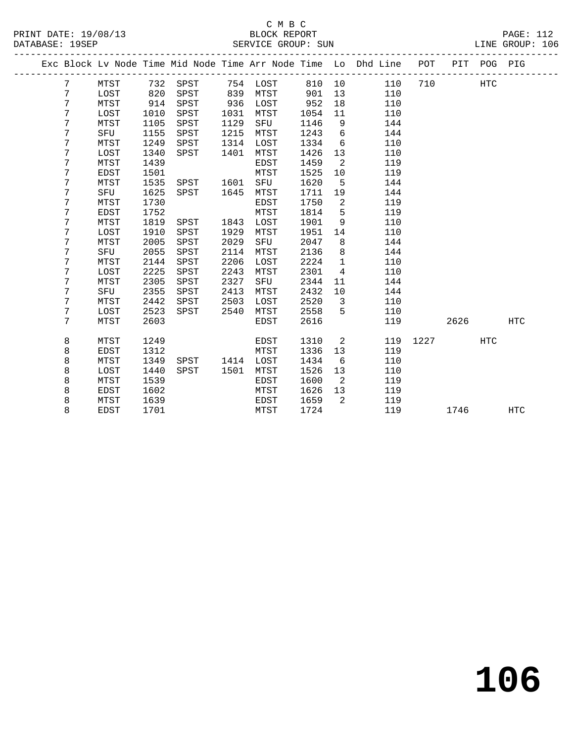PRINT DATE: 19/08/13 BLOCK REPORT PAGE: 112 DATABASE: 19SEP

# C M B C<br>BLOCK REPORT

| DAIADAJE: 1795F |      |      |      |      | DEILVILLE GILOUF · DUN |      |     |                                                                |     |     |     | TTNE GROOF. TOO |  |
|-----------------|------|------|------|------|------------------------|------|-----|----------------------------------------------------------------|-----|-----|-----|-----------------|--|
|                 |      |      |      |      |                        |      |     | Exc Block Ly Node Time Mid Node Time Arr Node Time Lo Dhd Line | POT | PIT | POG | PIG             |  |
|                 | MTST | 732  | SPST | 754  | LOST                   | 810  | 10  | 110                                                            | 710 |     | HTC |                 |  |
|                 | LOST | 820  | SPST | 839  | MTST                   | 901  | 13  | 110                                                            |     |     |     |                 |  |
|                 | MTST | 914  | SPST | 936  | LOST                   | 952  | 18  | 110                                                            |     |     |     |                 |  |
|                 | LOST | 1010 | SPST | 1031 | MTST                   | 1054 | -11 | 110                                                            |     |     |     |                 |  |
|                 | MTST | 1105 | SPST | 1129 | SFU                    | 1146 | 9   | 144                                                            |     |     |     |                 |  |
|                 | SFU  | 1155 | SPST | 1215 | MTST                   | 1243 | 6   | 144                                                            |     |     |     |                 |  |
|                 | MTST | 1249 | SPST | 1314 | LOST                   | 1334 | 6   | 110                                                            |     |     |     |                 |  |
|                 | LOST | 1340 | SPST | 1401 | MTST                   | 1426 | 13  | 110                                                            |     |     |     |                 |  |
|                 | MTST | 1439 |      |      | EDST                   | 1459 |     | 119                                                            |     |     |     |                 |  |

7 MTST 2603 EDST 2616 119 2626 HTC

8 MTST 1249 EDST 1310 2 119 1227 HTC

8 EDST 1701 MTST 1724 119 1746 HTC

 7 EDST 1501 MTST 1525 10 119 MTST 1535 SPST 1601 SFU 1620 5 144

7 SFU 1625 SPST 1645 MTST 1711 19 144

 7 MTST 1819 SPST 1843 LOST 1901 9 110 7 LOST 1910 SPST 1929 MTST 1951 14 110

7 SFU 2055 SPST 2114 MTST 2136 8 144

 7 LOST 2225 SPST 2243 MTST 2301 4 110 7 MTST 2305 SPST 2327 SFU 2344 11 144 7 SFU 2355 SPST 2413 MTST 2432 10 144 MTST 2442 SPST 2503 LOST 2520 3 110 7 LOST 2523 SPST 2540 MTST 2558 5 110

 8 EDST 1312 MTST 1336 13 119 8 MTST 1349 SPST 1414 LOST 1434 6 110 8 LOST 1440 SPST 1501 MTST 1526 13 110

8 EDST 1602 MTST 1626 13 119

 7 MTST 1730 EDST 1750 2 119 7 EDST 1752 MTST 1814 5 119

7 MTST 2005 SPST 2029 SFU 2047 8 144

7 MTST 2144 SPST 2206 LOST 2224 1 110

8 MTST 1539 EDST 1600 2 119

8 MTST 1639 EDST 1659 2 119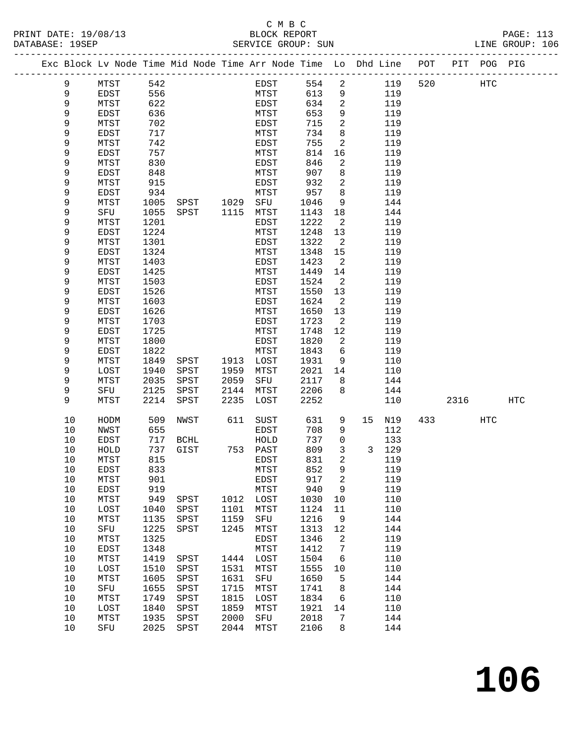|  |            | Exc Block Lv Node Time Mid Node Time Arr Node Time Lo Dhd Line POT |              |      |           |              |              |                |    |            |     |      | PIT POG PIG |     |
|--|------------|--------------------------------------------------------------------|--------------|------|-----------|--------------|--------------|----------------|----|------------|-----|------|-------------|-----|
|  | 9          | MTST                                                               | 542          |      |           | EDST         | 554          | $\overline{a}$ |    | 119        | 520 |      | HTC         |     |
|  | 9          | <b>EDST</b>                                                        | 556          |      |           | MTST         | 613          | 9              |    | 119        |     |      |             |     |
|  | 9          | MTST                                                               | 622          |      |           | EDST         | 634          | 2              |    | 119        |     |      |             |     |
|  | 9          | EDST                                                               | 636          |      |           | MTST         | 653          | 9              |    | 119        |     |      |             |     |
|  | 9          | MTST                                                               | 702          |      |           | EDST         | 715          | 2              |    | 119        |     |      |             |     |
|  | 9          | EDST                                                               | 717          |      |           | MTST         | 734          | 8              |    | 119        |     |      |             |     |
|  | 9          | MTST                                                               | 742          |      |           | EDST         | 755          | 2              |    | 119        |     |      |             |     |
|  | 9          | EDST                                                               | 757          |      |           | MTST         | 814          | 16             |    | 119        |     |      |             |     |
|  | 9          | MTST                                                               | 830          |      |           | EDST         | 846          | 2              |    | 119        |     |      |             |     |
|  | 9          | EDST                                                               | 848          |      |           | MTST         | 907          | 8              |    | 119        |     |      |             |     |
|  | 9          | MTST                                                               | 915          |      |           | EDST         | 932          | 2              |    | 119        |     |      |             |     |
|  | 9          | EDST                                                               | 934          |      |           | MTST         | 957          | 8              |    | 119        |     |      |             |     |
|  | 9          | MTST                                                               | 1005         |      | SPST 1029 | SFU          | 1046         | 9              |    | 144        |     |      |             |     |
|  | 9          | SFU                                                                | 1055         | SPST | 1115      | MTST         | 1143         | 18             |    | 144        |     |      |             |     |
|  | 9<br>9     | MTST                                                               | 1201<br>1224 |      |           | EDST         | 1222         | 2              |    | 119<br>119 |     |      |             |     |
|  | 9          | EDST<br>MTST                                                       | 1301         |      |           | MTST<br>EDST | 1248<br>1322 | 13<br>2        |    | 119        |     |      |             |     |
|  | 9          | EDST                                                               | 1324         |      |           | MTST         | 1348         | 15             |    | 119        |     |      |             |     |
|  | 9          | MTST                                                               | 1403         |      |           | EDST         | 1423         | 2              |    | 119        |     |      |             |     |
|  | 9          | EDST                                                               | 1425         |      |           | MTST         | 1449         | 14             |    | 119        |     |      |             |     |
|  | 9          | MTST                                                               | 1503         |      |           | EDST         | 1524         | 2              |    | 119        |     |      |             |     |
|  | 9          | <b>EDST</b>                                                        | 1526         |      |           | MTST         | 1550         | 13             |    | 119        |     |      |             |     |
|  | 9          | MTST                                                               | 1603         |      |           | EDST         | 1624         | 2              |    | 119        |     |      |             |     |
|  | 9          | EDST                                                               | 1626         |      |           | MTST         | 1650         | 13             |    | 119        |     |      |             |     |
|  | 9          | MTST                                                               | 1703         |      |           | EDST         | 1723         | 2              |    | 119        |     |      |             |     |
|  | 9          | EDST                                                               | 1725         |      |           | MTST         | 1748         | 12             |    | 119        |     |      |             |     |
|  | 9          | MTST                                                               | 1800         |      |           | EDST         | 1820         | 2              |    | 119        |     |      |             |     |
|  | 9          | <b>EDST</b>                                                        | 1822         |      |           | MTST         | 1843         | 6              |    | 119        |     |      |             |     |
|  | 9          | MTST                                                               | 1849         | SPST | 1913      | LOST         | 1931         | 9              |    | 110        |     |      |             |     |
|  | 9          | LOST                                                               | 1940         | SPST | 1959      | MTST         | 2021         | 14             |    | 110        |     |      |             |     |
|  | 9          | MTST                                                               | 2035         | SPST | 2059      | SFU          | 2117         | 8              |    | 144        |     |      |             |     |
|  | 9          | SFU                                                                | 2125         | SPST | 2144      | MTST         | 2206         | 8              |    | 144        |     |      |             |     |
|  | 9          | MTST                                                               | 2214         | SPST | 2235      | LOST         | 2252         |                |    | 110        |     | 2316 |             | HTC |
|  | 10         | HODM                                                               | 509          | NWST | 611       | SUST         | 631          | 9              | 15 | N19        | 433 |      | HTC         |     |
|  | 10         | <b>NWST</b>                                                        | 655          |      |           | EDST         | 708          | 9              |    | 112        |     |      |             |     |
|  | 10         | EDST                                                               | 717          | BCHL |           | HOLD         | 737          | $\mathbf 0$    |    | 133        |     |      |             |     |
|  | 10         | HOLD                                                               | 737          | GIST |           | 753 PAST     | 809          | 3              |    | 3 129      |     |      |             |     |
|  | 10         | MTST                                                               | 815          |      |           | EDST         | 831          | 2              |    | 119        |     |      |             |     |
|  | $10$       | EDST                                                               | 833          |      |           | MTST         | 852 9        |                |    | 119        |     |      |             |     |
|  | 10<br>$10$ | MTST                                                               | 901<br>919   |      |           | EDST         | 917<br>940   | 2<br>9         |    | 119<br>119 |     |      |             |     |
|  | 10         | EDST<br>MTST                                                       | 949          | SPST | 1012      | MTST<br>LOST | 1030         | 10             |    | 110        |     |      |             |     |
|  | $10$       | LOST                                                               | 1040         | SPST | 1101      | MTST         | 1124         | 11             |    | 110        |     |      |             |     |
|  | $10$       | MTST                                                               | 1135         | SPST | 1159      | ${\tt SFU}$  | 1216         | 9              |    | 144        |     |      |             |     |
|  | $10$       | ${\tt SFU}$                                                        | 1225         | SPST | 1245      | MTST         | 1313         | 12             |    | 144        |     |      |             |     |
|  | 10         | MTST                                                               | 1325         |      |           | EDST         | 1346         | 2              |    | 119        |     |      |             |     |
|  | $10$       | EDST                                                               | 1348         |      |           | ${\tt MTST}$ | 1412         | 7              |    | 119        |     |      |             |     |
|  | $10$       | MTST                                                               | 1419         | SPST | 1444      | LOST         | 1504         | 6              |    | 110        |     |      |             |     |
|  | $10$       | LOST                                                               | 1510         | SPST | 1531      | MTST         | 1555         | 10             |    | 110        |     |      |             |     |
|  | 10         | MTST                                                               | 1605         | SPST | 1631      | SFU          | 1650         | 5              |    | 144        |     |      |             |     |
|  | 10         | SFU                                                                | 1655         | SPST | 1715      | MTST         | 1741         | 8              |    | 144        |     |      |             |     |
|  | 10         | MTST                                                               | 1749         | SPST | 1815      | LOST         | 1834         | 6              |    | 110        |     |      |             |     |
|  | 10         | LOST                                                               | 1840         | SPST | 1859      | MTST         | 1921         | 14             |    | 110        |     |      |             |     |
|  | $10$       | MTST                                                               | 1935         | SPST | 2000      | ${\rm SFU}$  | 2018         | 7              |    | 144        |     |      |             |     |
|  | 10         | SFU                                                                | 2025         | SPST | 2044      | MTST         | 2106         | 8              |    | 144        |     |      |             |     |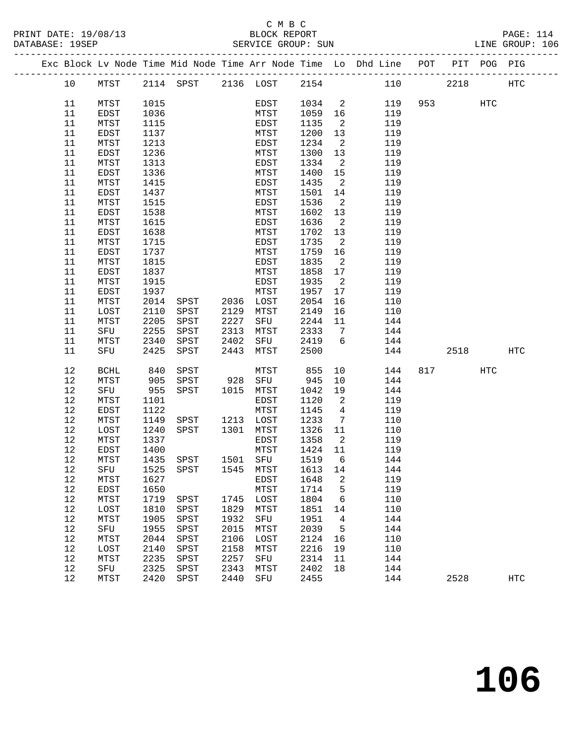|  |          |              |              |                                    |      |              |                 |                            | Exc Block Lv Node Time Mid Node Time Arr Node Time Lo Dhd Line POT PIT POG PIG |          |     |            |
|--|----------|--------------|--------------|------------------------------------|------|--------------|-----------------|----------------------------|--------------------------------------------------------------------------------|----------|-----|------------|
|  | 10       | MTST         |              | 2114 SPST 2136 LOST 2154           |      |              |                 |                            | 110                                                                            | 2218     |     | HTC        |
|  | 11       | MTST         | 1015         |                                    |      | EDST         | 1034 2          |                            |                                                                                | 119 953  | HTC |            |
|  | 11       | EDST         | 1036         |                                    |      | MTST         | 1059 16         |                            | 119                                                                            |          |     |            |
|  | 11       | MTST         | 1115         |                                    |      | EDST         | 1135            | $\overline{2}$             | 119                                                                            |          |     |            |
|  | 11       | EDST         | 1137         |                                    |      | MTST         | 1200            | 13                         | 119                                                                            |          |     |            |
|  | 11       | MTST         | 1213         |                                    |      | EDST         | 1234            | $\overline{\phantom{0}}^2$ | 119                                                                            |          |     |            |
|  | 11       | EDST         | 1236         |                                    |      | MTST         | 1300            | 13                         | 119                                                                            |          |     |            |
|  | 11       | MTST         | 1313         |                                    |      | EDST         | 1334            | $\overline{2}$             | 119                                                                            |          |     |            |
|  | 11       | EDST         | 1336         |                                    |      | MTST         | 1400            | 15                         | 119                                                                            |          |     |            |
|  | 11       | MTST         | 1415         |                                    |      | EDST         | 1435            | $\overline{\phantom{a}}^2$ | 119                                                                            |          |     |            |
|  | 11       | EDST         | 1437         |                                    |      | MTST         | 1501            | 14                         | 119                                                                            |          |     |            |
|  | 11       | MTST         | 1515         |                                    |      | EDST         | 1536            | $\overline{\phantom{0}}^2$ | 119                                                                            |          |     |            |
|  | 11       | EDST         | 1538         |                                    |      | MTST         | 1602            | 13                         | 119                                                                            |          |     |            |
|  | 11       | MTST         | 1615         |                                    |      | EDST         | 1636            | $\overline{\phantom{0}}^2$ | 119                                                                            |          |     |            |
|  | 11       | EDST         | 1638         |                                    |      | MTST         | 1702            | 13                         | 119                                                                            |          |     |            |
|  | 11<br>11 | MTST<br>EDST | 1715<br>1737 |                                    |      | EDST<br>MTST | 1735<br>1759 16 | $\overline{\phantom{a}}^2$ | 119<br>119                                                                     |          |     |            |
|  | 11       | MTST         | 1815         |                                    |      | EDST         | 1835            | $\overline{\mathbf{c}}$    | 119                                                                            |          |     |            |
|  | 11       | EDST         | 1837         |                                    |      | MTST         | 1858            | 17                         | 119                                                                            |          |     |            |
|  | 11       | MTST         | 1915         |                                    |      | EDST         | 1935            | $\overline{\phantom{0}}^2$ | 119                                                                            |          |     |            |
|  | 11       | EDST         | 1937         |                                    |      | MTST         | 1957            | 17                         | 119                                                                            |          |     |            |
|  | 11       | MTST         | 2014         | SPST 2036 LOST                     |      |              | 2054            | 16                         | 110                                                                            |          |     |            |
|  | 11       | LOST         | 2110         | SPST                               |      | 2129 MTST    | 2149            | 16                         | 110                                                                            |          |     |            |
|  | 11       | MTST         | 2205         | SPST                               | 2227 | SFU          | 2244            | 11                         | 144                                                                            |          |     |            |
|  | 11       | SFU          | 2255         | SPST                               | 2313 | MTST         | 2333            | $\overline{7}$             | 144                                                                            |          |     |            |
|  | 11       | MTST         | 2340         | SPST                               | 2402 | SFU 2419     |                 | $6\overline{6}$            | 144                                                                            |          |     |            |
|  | 11       | SFU          | 2425         | SPST                               | 2443 | <b>MTST</b>  | 2500            |                            | 144                                                                            | 2518     |     | HTC        |
|  | 12       | BCHL         | 840          | SPST                               |      | MTST         | 855             | 10                         | 144                                                                            | 817 — 10 | HTC |            |
|  | 12       | MTST         | 905          | SPST                               |      | 928 SFU      | 945             | 10                         | 144                                                                            |          |     |            |
|  | 12       | SFU          | 955          | SPST                               |      | 1015 MTST    | 1042            | 19                         | 144                                                                            |          |     |            |
|  | 12       | MTST         | 1101         |                                    |      | EDST         | 1120            | $\overline{\phantom{a}}$   | 119                                                                            |          |     |            |
|  | 12       | EDST         | 1122         |                                    |      | MTST         | 1145            | $\overline{4}$             | 119                                                                            |          |     |            |
|  | 12       | MTST         | 1149         | SPST 1213 LOST                     |      |              | 1233            | $\overline{7}$             | 110                                                                            |          |     |            |
|  | 12       | LOST         | 1240         | SPST 1301                          |      | MTST         | 1326 11         |                            | 110                                                                            |          |     |            |
|  | 12       | MTST         | 1337         |                                    |      | EDST         | 1358            | $\overline{\mathbf{c}}$    | 119                                                                            |          |     |            |
|  | 12       | EDST         | 1400         |                                    |      | MTST         | 1424 11         |                            | 119                                                                            |          |     |            |
|  | 12       | MTST         |              | 1435 SPST                          |      | 1501 SFU     | 1519            | $6\overline{6}$            | 144                                                                            |          |     |            |
|  | 12       | MTST         | 1627         | 12 SFU 1525 SPST 1545 MTST 1613 14 |      | EDST         | 1648            | 2                          | 144<br>119                                                                     |          |     |            |
|  | 12       | EDST         | 1650         |                                    |      | MTST         | 1714            | 5                          | 119                                                                            |          |     |            |
|  | 12       | MTST         | 1719         | SPST                               | 1745 | LOST         | 1804            | 6                          | 110                                                                            |          |     |            |
|  | 12       | LOST         | 1810         | SPST                               | 1829 | MTST         | 1851            | 14                         | 110                                                                            |          |     |            |
|  | 12       | MTST         | 1905         | SPST                               | 1932 | SFU          | 1951            | 4                          | 144                                                                            |          |     |            |
|  | 12       | SFU          | 1955         | SPST                               | 2015 | MTST         | 2039            | 5                          | 144                                                                            |          |     |            |
|  | 12       | MTST         | 2044         | SPST                               | 2106 | LOST         | 2124            | 16                         | 110                                                                            |          |     |            |
|  | 12       | LOST         | 2140         | SPST                               | 2158 | MTST         | 2216            | 19                         | 110                                                                            |          |     |            |
|  | 12       | MTST         | 2235         | SPST                               | 2257 | SFU          | 2314            | 11                         | 144                                                                            |          |     |            |
|  | 12       | SFU          | 2325         | SPST                               | 2343 | MTST         | 2402            | 18                         | 144                                                                            |          |     |            |
|  | 12       | MTST         | 2420         | SPST                               | 2440 | SFU          | 2455            |                            | 144                                                                            | 2528     |     | <b>HTC</b> |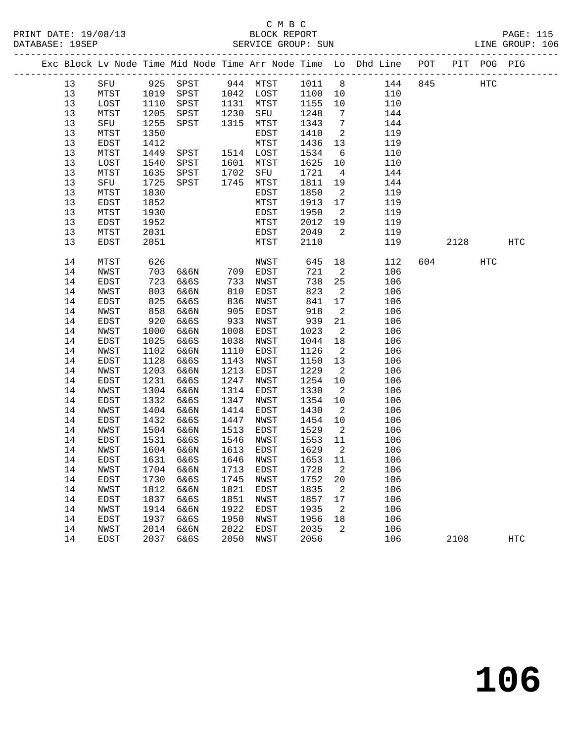|  |    |      |      |                              |      |           |         |                            | Exc Block Lv Node Time Mid Node Time Arr Node Time Lo Dhd Line POT PIT POG PIG |     |        |     |            |
|--|----|------|------|------------------------------|------|-----------|---------|----------------------------|--------------------------------------------------------------------------------|-----|--------|-----|------------|
|  | 13 |      |      | SFU 925 SPST 944 MTST 1011 8 |      |           |         |                            | 144                                                                            | 845 |        | HTC |            |
|  | 13 | MTST | 1019 | SPST 1042 LOST               |      |           | 1100 10 |                            | 110                                                                            |     |        |     |            |
|  | 13 | LOST | 1110 | SPST                         |      | 1131 MTST | 1155    | 10                         | 110                                                                            |     |        |     |            |
|  | 13 | MTST | 1205 | SPST                         | 1230 | SFU       | 1248    | $\overline{7}$             | 144                                                                            |     |        |     |            |
|  | 13 | SFU  | 1255 | SPST                         | 1315 | MTST      | 1343    | $\overline{7}$             | 144                                                                            |     |        |     |            |
|  | 13 | MTST | 1350 |                              |      | EDST      | 1410    | 2                          | 119                                                                            |     |        |     |            |
|  | 13 | EDST | 1412 |                              |      | MTST      | 1436    | 13                         | 119                                                                            |     |        |     |            |
|  | 13 | MTST | 1449 | SPST                         |      | 1514 LOST | 1534    | 6                          | 110                                                                            |     |        |     |            |
|  | 13 | LOST | 1540 | SPST                         | 1601 | MTST      | 1625    | 10                         | 110                                                                            |     |        |     |            |
|  | 13 | MTST | 1635 | SPST                         | 1702 | SFU       | 1721    | $\overline{4}$             | 144                                                                            |     |        |     |            |
|  | 13 | SFU  | 1725 | SPST                         | 1745 | MTST      | 1811    | 19                         | 144                                                                            |     |        |     |            |
|  | 13 | MTST | 1830 |                              |      | EDST      | 1850    | $\overline{2}$             | 119                                                                            |     |        |     |            |
|  | 13 | EDST | 1852 |                              |      | MTST      | 1913    | 17                         | 119                                                                            |     |        |     |            |
|  | 13 | MTST | 1930 |                              |      | EDST      | 1950    | $\overline{2}$             | 119                                                                            |     |        |     |            |
|  | 13 | EDST | 1952 |                              |      | MTST      | 2012    | 19                         | 119                                                                            |     |        |     |            |
|  | 13 | MTST | 2031 |                              |      | EDST      | 2049    | $\overline{\phantom{a}}^2$ | 119                                                                            |     |        |     |            |
|  | 13 | EDST | 2051 |                              |      | MTST      | 2110    |                            | 119                                                                            |     | 2128   |     | HTC        |
|  |    |      |      |                              |      |           |         |                            |                                                                                |     |        |     |            |
|  | 14 | MTST | 626  |                              |      | NWST      | 645     | 18                         | 112                                                                            |     | 604 60 | HTC |            |
|  | 14 | NWST | 703  | 6&6N 709                     |      | EDST      | 721     | $\overline{\phantom{a}}$   | 106                                                                            |     |        |     |            |
|  | 14 | EDST | 723  | 6&6S                         | 733  | NWST      | 738     | 25                         | 106                                                                            |     |        |     |            |
|  | 14 | NWST | 803  | 6&6N                         | 810  | EDST      | 823     | $\overline{a}$             | 106                                                                            |     |        |     |            |
|  | 14 | EDST | 825  | 6&6S                         | 836  | NWST      | 841     | 17                         | 106                                                                            |     |        |     |            |
|  | 14 | NWST | 858  | 6&6N                         | 905  | EDST      | 918     | $\overline{\phantom{a}}^2$ | 106                                                                            |     |        |     |            |
|  | 14 | EDST | 920  | 6&6S                         | 933  | NWST      | 939     | 21                         | 106                                                                            |     |        |     |            |
|  | 14 | NWST | 1000 | 6&6N                         | 1008 | EDST      | 1023    | $\overline{2}$             | 106                                                                            |     |        |     |            |
|  | 14 | EDST | 1025 | 6&6S                         | 1038 | NWST      | 1044    | 18                         | 106                                                                            |     |        |     |            |
|  | 14 | NWST | 1102 | 6&6N                         | 1110 | EDST      | 1126    | $\overline{\phantom{a}}$   | 106                                                                            |     |        |     |            |
|  | 14 | EDST | 1128 | 6&6S                         | 1143 | NWST      | 1150    | 13                         | 106                                                                            |     |        |     |            |
|  | 14 | NWST | 1203 | 6&6N                         | 1213 | EDST      | 1229    | $\overline{2}$             | 106                                                                            |     |        |     |            |
|  | 14 | EDST | 1231 | 6&6S                         | 1247 | NWST      | 1254    | 10                         | 106                                                                            |     |        |     |            |
|  | 14 | NWST | 1304 | 6&6N                         | 1314 | EDST      | 1330    | $\overline{\phantom{a}}$   | 106                                                                            |     |        |     |            |
|  | 14 | EDST | 1332 | 6&6S                         | 1347 | NWST      | 1354    | 10                         | 106                                                                            |     |        |     |            |
|  | 14 | NWST | 1404 | 6&6N                         | 1414 | EDST      | 1430    | $\overline{2}$             | 106                                                                            |     |        |     |            |
|  | 14 | EDST | 1432 | 6&6S                         | 1447 | NWST      | 1454    | 10                         | 106                                                                            |     |        |     |            |
|  | 14 | NWST | 1504 | 6&6N                         | 1513 | EDST      | 1529    | $\overline{\mathbf{c}}$    | 106                                                                            |     |        |     |            |
|  | 14 | EDST | 1531 | 6&6S                         | 1546 | NWST      | 1553    | 11                         | 106                                                                            |     |        |     |            |
|  | 14 | NWST | 1604 | 6&6N                         | 1613 | EDST      | 1629    | $\overline{\mathbf{c}}$    | 106                                                                            |     |        |     |            |
|  | 14 | EDST | 1631 | 6&6S                         |      | 1646 NWST | 1653 11 |                            | 106                                                                            |     |        |     |            |
|  | 14 | NWST |      | 1704 6&6N 1713 EDST          |      |           | 1728 2  |                            | 106                                                                            |     |        |     |            |
|  | 14 | EDST | 1730 | 6&6S                         | 1745 | NWST      | 1752    | 20                         | 106                                                                            |     |        |     |            |
|  | 14 | NWST | 1812 | 6&6N                         | 1821 | EDST      | 1835    | $\overline{2}$             | 106                                                                            |     |        |     |            |
|  | 14 | EDST | 1837 | 6&6S                         | 1851 | NWST      | 1857    | 17                         | 106                                                                            |     |        |     |            |
|  | 14 | NWST | 1914 | 6&6N                         | 1922 | EDST      | 1935    | 2                          | 106                                                                            |     |        |     |            |
|  | 14 | EDST | 1937 | 6&6S                         | 1950 | NWST      | 1956    | 18                         | 106                                                                            |     |        |     |            |
|  | 14 | NWST | 2014 | 6&6N                         | 2022 | EDST      | 2035    | 2                          | 106                                                                            |     |        |     |            |
|  | 14 | EDST | 2037 | 6&6S                         | 2050 | NWST      | 2056    |                            | 106                                                                            |     | 2108   |     | <b>HTC</b> |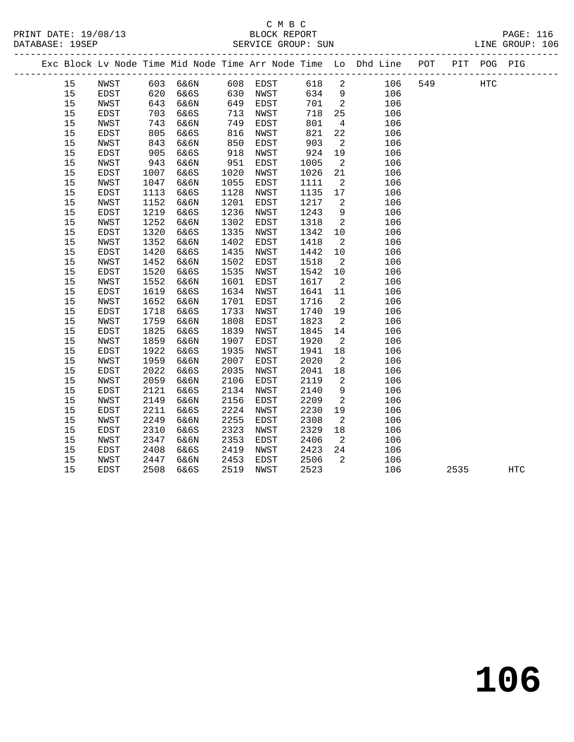|  |            |                            |              |              |              |              |              |                          | Exc Block Lv Node Time Mid Node Time Arr Node Time Lo Dhd Line POT |     |      | PIT POG PIG |            |
|--|------------|----------------------------|--------------|--------------|--------------|--------------|--------------|--------------------------|--------------------------------------------------------------------|-----|------|-------------|------------|
|  | 15         | NWST                       |              | 603 6&6N     |              | 608 EDST     | 618          | $\overline{\phantom{a}}$ | 106                                                                | 549 |      | HTC         |            |
|  | 15         | EDST                       | 620          | 6&6S         | 630          | NWST         | 634          | 9                        | 106                                                                |     |      |             |            |
|  | 15         | NWST                       | 643          | 6&6N         | 649          | EDST         | 701          | $\overline{\phantom{a}}$ | 106                                                                |     |      |             |            |
|  | 15         | EDST                       | 703          | 6&6S         | 713          | NWST         | 718          | 25                       | 106                                                                |     |      |             |            |
|  | 15         | NWST                       | 743          | 6&6N         | 749          | EDST         | 801          | $\overline{4}$           | 106                                                                |     |      |             |            |
|  | 15         | EDST                       | 805          | 6&6S         | 816          | NWST         | 821          | 22                       | 106                                                                |     |      |             |            |
|  | 15         | NWST                       | 843          | 6&6N         | 850          | EDST         | 903          | 2                        | 106                                                                |     |      |             |            |
|  | 15         | EDST                       | 905          | 6&6S         | 918          | NWST         | 924          | 19                       | 106                                                                |     |      |             |            |
|  | 15         | NWST                       | 943          | 6&6N         | 951          | EDST         | 1005         | $\overline{2}$           | 106                                                                |     |      |             |            |
|  | 15         | EDST                       | 1007         | 6&6S         | 1020         | NWST         | 1026         | 21                       | 106                                                                |     |      |             |            |
|  | $15$       | $\ensuremath{\text{NWST}}$ | 1047         | 6&6N         | 1055         | EDST         | 1111         | 2                        | 106                                                                |     |      |             |            |
|  | 15         | EDST                       | 1113         | 6&6S         | 1128         | NWST         | 1135         | 17                       | 106                                                                |     |      |             |            |
|  | $15$       | NWST                       | 1152         | 6&6N         | 1201         | EDST         | 1217         | $\overline{2}$           | 106                                                                |     |      |             |            |
|  | 15         | EDST                       | 1219         | 6&6S         | 1236         | NWST         | 1243         | 9                        | 106                                                                |     |      |             |            |
|  | $15$       | NWST                       | 1252         | 6&6N         | 1302         | EDST         | 1318         | $\overline{\phantom{a}}$ | 106                                                                |     |      |             |            |
|  | 15         | EDST                       | 1320         | 6&6S         | 1335         | NWST         | 1342         | 10                       | 106                                                                |     |      |             |            |
|  | $15$       | NWST                       | 1352         | 6&6N         | 1402         | EDST         | 1418         | $\overline{a}$           | 106                                                                |     |      |             |            |
|  | 15         | <b>EDST</b>                | 1420         | 6&6S         | 1435         | NWST         | 1442         | 10                       | 106                                                                |     |      |             |            |
|  | $15$       | NWST                       | 1452         | 6&6N         | 1502         | EDST         | 1518         | $\overline{2}$           | 106                                                                |     |      |             |            |
|  | 15         | EDST                       | 1520         | 6&6S         | 1535         | NWST         | 1542         | 10                       | 106                                                                |     |      |             |            |
|  | $15$       | NWST                       | 1552         | 6&6N         | 1601         | EDST         | 1617         | $\overline{\phantom{a}}$ | 106                                                                |     |      |             |            |
|  | 15         | EDST                       | 1619         | 6&6S         | 1634         | NWST         | 1641         | 11                       | 106                                                                |     |      |             |            |
|  | 15         | NWST                       | 1652         | 6&6N         | 1701         | EDST         | 1716         | $\overline{\phantom{a}}$ | 106                                                                |     |      |             |            |
|  | 15         | EDST                       | 1718         | 6&6S         | 1733         | NWST         | 1740         | 19                       | 106                                                                |     |      |             |            |
|  | 15         | NWST                       | 1759         | 6&6N         | 1808         | EDST         | 1823         | $\overline{\phantom{a}}$ | 106                                                                |     |      |             |            |
|  | 15         | EDST                       | 1825         | 6&6S         | 1839         | NWST         | 1845         | 14                       | 106                                                                |     |      |             |            |
|  | 15         | NWST                       | 1859         | 6&6N         | 1907         | EDST         | 1920         | $\overline{a}$           | 106                                                                |     |      |             |            |
|  | 15         | EDST                       | 1922         | 6&6S         | 1935         | NWST         | 1941         | 18                       | 106                                                                |     |      |             |            |
|  | $15$       | NWST                       | 1959         | 6&6N         | 2007         | EDST         | 2020         | 2                        | 106                                                                |     |      |             |            |
|  | 15         | <b>EDST</b>                | 2022         | 6&6S         | 2035         | NWST         | 2041         | 18                       | 106                                                                |     |      |             |            |
|  | 15         | NWST                       | 2059         | 6&6N         | 2106         | EDST         | 2119         | 2                        | 106                                                                |     |      |             |            |
|  | 15<br>$15$ | <b>EDST</b><br>NWST        | 2121<br>2149 | 6&6S         | 2134<br>2156 | NWST         | 2140<br>2209 | 9<br>2                   | 106<br>106                                                         |     |      |             |            |
|  | 15         |                            |              | 6&6N         | 2224         | EDST         |              |                          |                                                                    |     |      |             |            |
|  |            | <b>EDST</b>                | 2211         | 6&6S         |              | NWST         | 2230         | 19                       | 106                                                                |     |      |             |            |
|  | $15$       | NWST                       | 2249         | 6&6N         | 2255         | EDST         | 2308         | $\overline{2}$           | 106                                                                |     |      |             |            |
|  | 15         | <b>EDST</b>                | 2310         | 6&6S         | 2323<br>2353 | NWST         | 2329<br>2406 | 18<br>$\overline{2}$     | 106                                                                |     |      |             |            |
|  | 15<br>15   | NWST<br>EDST               | 2347<br>2408 | 6&6N         | 2419         | EDST         | 2423         | 24                       | 106<br>106                                                         |     |      |             |            |
|  | $15$       | NWST                       | 2447         | 6&6S<br>6&6N | 2453         | NWST<br>EDST | 2506         | $\overline{2}$           | 106                                                                |     |      |             |            |
|  | 15         | EDST                       | 2508         | 6&6S         | 2519         | NWST         | 2523         |                          | 106                                                                |     | 2535 |             | <b>HTC</b> |
|  |            |                            |              |              |              |              |              |                          |                                                                    |     |      |             |            |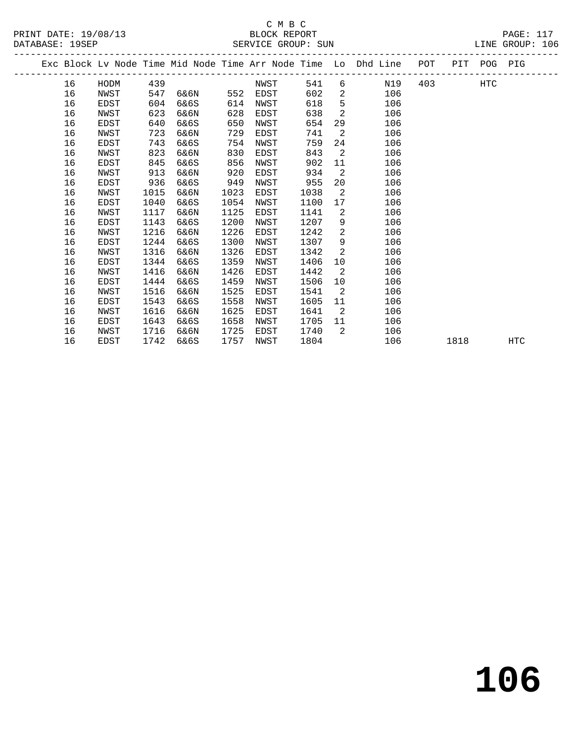|  |    |      |      |      |      |      |      |                 | Exc Block Lv Node Time Mid Node Time Arr Node Time Lo Dhd Line | POT |      | PIT POG PIG |     |
|--|----|------|------|------|------|------|------|-----------------|----------------------------------------------------------------|-----|------|-------------|-----|
|  | 16 | HODM | 439  |      |      | NWST | 541  |                 | N19<br>$6 \qquad \qquad$                                       | 403 |      | <b>HTC</b>  |     |
|  | 16 | NWST | 547  | 6&6N | 552  | EDST | 602  | $\overline{2}$  | 106                                                            |     |      |             |     |
|  | 16 | EDST | 604  | 6&6S | 614  | NWST | 618  | 5               | 106                                                            |     |      |             |     |
|  | 16 | NWST | 623  | 6&6N | 628  | EDST | 638  | 2               | 106                                                            |     |      |             |     |
|  | 16 | EDST | 640  | 6&6S | 650  | NWST | 654  | 29              | 106                                                            |     |      |             |     |
|  | 16 | NWST | 723  | 6&6N | 729  | EDST | 741  | 2               | 106                                                            |     |      |             |     |
|  | 16 | EDST | 743  | 6&6S | 754  | NWST | 759  | 24              | 106                                                            |     |      |             |     |
|  | 16 | NWST | 823  | 6&6N | 830  | EDST | 843  | $\overline{2}$  | 106                                                            |     |      |             |     |
|  | 16 | EDST | 845  | 6&6S | 856  | NWST | 902  | 11              | 106                                                            |     |      |             |     |
|  | 16 | NWST | 913  | 6&6N | 920  | EDST | 934  | $\overline{2}$  | 106                                                            |     |      |             |     |
|  | 16 | EDST | 936  | 6&6S | 949  | NWST | 955  | 20              | 106                                                            |     |      |             |     |
|  | 16 | NWST | 1015 | 6&6N | 1023 | EDST | 1038 | $\overline{2}$  | 106                                                            |     |      |             |     |
|  | 16 | EDST | 1040 | 6&6S | 1054 | NWST | 1100 | 17              | 106                                                            |     |      |             |     |
|  | 16 | NWST | 1117 | 6&6N | 1125 | EDST | 1141 | $\overline{2}$  | 106                                                            |     |      |             |     |
|  | 16 | EDST | 1143 | 6&6S | 1200 | NWST | 1207 | 9               | 106                                                            |     |      |             |     |
|  | 16 | NWST | 1216 | 6&6N | 1226 | EDST | 1242 | $\overline{2}$  | 106                                                            |     |      |             |     |
|  | 16 | EDST | 1244 | 6&6S | 1300 | NWST | 1307 | 9               | 106                                                            |     |      |             |     |
|  | 16 | NWST | 1316 | 6&6N | 1326 | EDST | 1342 | 2               | 106                                                            |     |      |             |     |
|  | 16 | EDST | 1344 | 6&6S | 1359 | NWST | 1406 | 10              | 106                                                            |     |      |             |     |
|  | 16 | NWST | 1416 | 6&6N | 1426 | EDST | 1442 | $\overline{2}$  | 106                                                            |     |      |             |     |
|  | 16 | EDST | 1444 | 6&6S | 1459 | NWST | 1506 | 10 <sup>°</sup> | 106                                                            |     |      |             |     |
|  | 16 | NWST | 1516 | 6&6N | 1525 | EDST | 1541 | $\overline{2}$  | 106                                                            |     |      |             |     |
|  | 16 | EDST | 1543 | 6&6S | 1558 | NWST | 1605 | 11              | 106                                                            |     |      |             |     |
|  | 16 | NWST | 1616 | 6&6N | 1625 | EDST | 1641 | $\overline{2}$  | 106                                                            |     |      |             |     |
|  | 16 | EDST | 1643 | 6&6S | 1658 | NWST | 1705 | 11              | 106                                                            |     |      |             |     |
|  | 16 | NWST | 1716 | 6&6N | 1725 | EDST | 1740 | $\overline{2}$  | 106                                                            |     |      |             |     |
|  | 16 | EDST | 1742 | 6&6S | 1757 | NWST | 1804 |                 | 106                                                            |     | 1818 |             | HTC |
|  |    |      |      |      |      |      |      |                 |                                                                |     |      |             |     |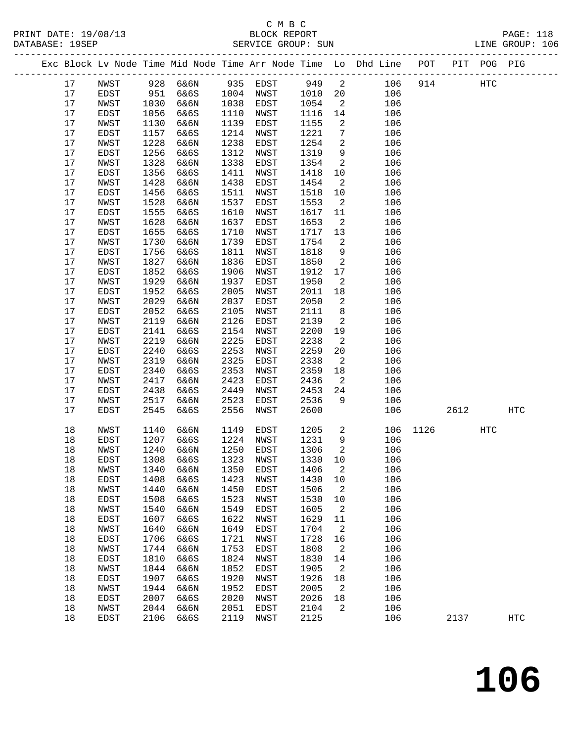|  |    |      |      |          |      |              |        |                            | Exc Block Lv Node Time Mid Node Time Arr Node Time Lo Dhd Line POT PIT POG PIG |      |      |     |            |
|--|----|------|------|----------|------|--------------|--------|----------------------------|--------------------------------------------------------------------------------|------|------|-----|------------|
|  | 17 | NWST |      | 928 6&6N |      | 935 EDST 949 |        | $\overline{\mathbf{c}}$    | 106                                                                            | 914  |      | HTC |            |
|  | 17 | EDST | 951  | 6&6S     |      | 1004 NWST    | 1010   | 20                         | 106                                                                            |      |      |     |            |
|  | 17 | NWST | 1030 | 6&6N     | 1038 | EDST         | 1054   | $\overline{2}$             | 106                                                                            |      |      |     |            |
|  | 17 | EDST | 1056 | 6&6S     | 1110 | NWST         | 1116   | 14                         | 106                                                                            |      |      |     |            |
|  | 17 | NWST | 1130 | 6&6N     | 1139 | EDST         | 1155   | $\overline{2}$             | 106                                                                            |      |      |     |            |
|  | 17 | EDST | 1157 | 6&6S     | 1214 | NWST         | 1221   | $7\phantom{.0}$            | 106                                                                            |      |      |     |            |
|  | 17 | NWST | 1228 | 6&6N     | 1238 | EDST         | 1254   | 2                          | 106                                                                            |      |      |     |            |
|  | 17 | EDST | 1256 | 6&6S     | 1312 | NWST         | 1319   | 9                          | 106                                                                            |      |      |     |            |
|  | 17 | NWST | 1328 | 6&6N     | 1338 | EDST         | 1354   | $\overline{a}$             | 106                                                                            |      |      |     |            |
|  | 17 | EDST | 1356 | 6&6S     | 1411 | NWST         | 1418   | 10                         | 106                                                                            |      |      |     |            |
|  | 17 | NWST | 1428 | 6&6N     | 1438 | EDST         | 1454   | $\overline{2}$             | 106                                                                            |      |      |     |            |
|  | 17 | EDST | 1456 | 6&6S     | 1511 | NWST         | 1518   | 10                         | 106                                                                            |      |      |     |            |
|  | 17 | NWST | 1528 | 6&6N     | 1537 | EDST         | 1553   | $\overline{2}$             | 106                                                                            |      |      |     |            |
|  | 17 | EDST | 1555 | 6&6S     | 1610 | NWST         | 1617   | 11                         | 106                                                                            |      |      |     |            |
|  | 17 | NWST | 1628 | 6&6N     | 1637 | EDST         | 1653   | $\overline{a}$             | 106                                                                            |      |      |     |            |
|  | 17 | EDST | 1655 | 6&6S     | 1710 | NWST         | 1717   | 13                         | 106                                                                            |      |      |     |            |
|  | 17 | NWST | 1730 | 6&6N     | 1739 | EDST         | 1754   | 2                          | 106                                                                            |      |      |     |            |
|  | 17 | EDST | 1756 | 6&6S     | 1811 | NWST         | 1818   | 9                          | 106                                                                            |      |      |     |            |
|  | 17 | NWST | 1827 | 6&6N     | 1836 | EDST         | 1850   | 2                          | 106                                                                            |      |      |     |            |
|  | 17 | EDST | 1852 | 6&6S     | 1906 | NWST         | 1912   | 17                         | 106                                                                            |      |      |     |            |
|  | 17 | NWST | 1929 | 6&6N     | 1937 | EDST         | 1950   | 2                          | 106                                                                            |      |      |     |            |
|  | 17 | EDST | 1952 | 6&6S     | 2005 | NWST         | 2011   | 18                         | 106                                                                            |      |      |     |            |
|  | 17 | NWST | 2029 | 6&6N     | 2037 | EDST         | 2050   | 2                          | 106                                                                            |      |      |     |            |
|  | 17 | EDST | 2052 | 6&6S     | 2105 | NWST         | 2111   | 8                          | 106                                                                            |      |      |     |            |
|  | 17 | NWST | 2119 | 6&6N     | 2126 | EDST         | 2139   | 2                          | 106                                                                            |      |      |     |            |
|  | 17 | EDST | 2141 | 6&6S     | 2154 | NWST         | 2200   | 19                         | 106                                                                            |      |      |     |            |
|  | 17 | NWST | 2219 | 6&6N     | 2225 | EDST         | 2238   | $\overline{2}$             | 106                                                                            |      |      |     |            |
|  | 17 | EDST | 2240 | 6&6S     | 2253 | NWST         | 2259   | 20                         | 106                                                                            |      |      |     |            |
|  | 17 | NWST | 2319 | 6&6N     | 2325 | EDST         | 2338   | $\overline{a}$             | 106                                                                            |      |      |     |            |
|  | 17 | EDST | 2340 | 6&6S     | 2353 | NWST         | 2359   | 18                         | 106                                                                            |      |      |     |            |
|  | 17 | NWST | 2417 | 6&6N     | 2423 | EDST         | 2436   | $\overline{2}$             | 106                                                                            |      |      |     |            |
|  | 17 | EDST | 2438 | 6&6S     | 2449 | NWST         | 2453   | 24                         | 106                                                                            |      |      |     |            |
|  | 17 | NWST | 2517 | 6&6N     | 2523 | EDST         | 2536   | 9                          | 106                                                                            |      |      |     |            |
|  | 17 | EDST | 2545 | 6&6S     | 2556 | NWST         | 2600   |                            | 106                                                                            |      | 2612 |     | HTC        |
|  |    |      |      |          |      |              |        |                            |                                                                                |      |      |     |            |
|  | 18 | NWST | 1140 | 6&6N     | 1149 | EDST         | 1205   | $\overline{a}$             | 106                                                                            | 1126 |      | HTC |            |
|  | 18 | EDST | 1207 | 6&6S     | 1224 | NWST         | 1231   | 9                          | 106                                                                            |      |      |     |            |
|  | 18 | NWST | 1240 | 6&6N     | 1250 | EDST         | 1306   | $\overline{2}$             | 106                                                                            |      |      |     |            |
|  | 18 | EDST | 1308 | 6&6S     | 1323 | NWST         | 1330   | 10                         | 106                                                                            |      |      |     |            |
|  | 18 | NWST | 1340 | 6&6N     |      | 1350 EDST    | 1406 2 |                            | 106                                                                            |      |      |     |            |
|  | 18 | EDST | 1408 | 6&6S     | 1423 | NWST         | 1430   | 10                         | 106                                                                            |      |      |     |            |
|  | 18 | NWST | 1440 | 6&6N     | 1450 | EDST         | 1506   | $\overline{\phantom{a}}^2$ | 106                                                                            |      |      |     |            |
|  | 18 | EDST | 1508 | 6&6S     | 1523 | NWST         | 1530   | 10                         | 106                                                                            |      |      |     |            |
|  | 18 | NWST | 1540 | 6&6N     | 1549 | EDST         | 1605   | 2                          | 106                                                                            |      |      |     |            |
|  | 18 | EDST | 1607 | 6&6S     | 1622 | NWST         | 1629   | 11                         | 106                                                                            |      |      |     |            |
|  | 18 | NWST | 1640 | 6&6N     | 1649 | EDST         | 1704   | 2                          | 106                                                                            |      |      |     |            |
|  | 18 | EDST | 1706 | 6&6S     | 1721 | NWST         | 1728   | 16                         | 106                                                                            |      |      |     |            |
|  | 18 | NWST | 1744 | 6&6N     | 1753 | EDST         | 1808   | 2                          | 106                                                                            |      |      |     |            |
|  | 18 | EDST | 1810 | 6&6S     | 1824 | NWST         | 1830   | 14                         | 106                                                                            |      |      |     |            |
|  | 18 | NWST | 1844 | 6&6N     | 1852 | EDST         | 1905   | 2                          | 106                                                                            |      |      |     |            |
|  | 18 | EDST | 1907 | 6&6S     | 1920 | NWST         | 1926   | 18                         | 106                                                                            |      |      |     |            |
|  | 18 | NWST | 1944 | 6&6N     | 1952 | EDST         | 2005   | $\overline{2}$             | 106                                                                            |      |      |     |            |
|  | 18 | EDST | 2007 | 6&6S     | 2020 | NWST         | 2026   | 18                         | 106                                                                            |      |      |     |            |
|  | 18 | NWST | 2044 | 6&6N     | 2051 | EDST         | 2104   | 2                          | 106                                                                            |      |      |     |            |
|  | 18 | EDST | 2106 | 6&6S     | 2119 | NWST         | 2125   |                            | 106                                                                            |      | 2137 |     | <b>HTC</b> |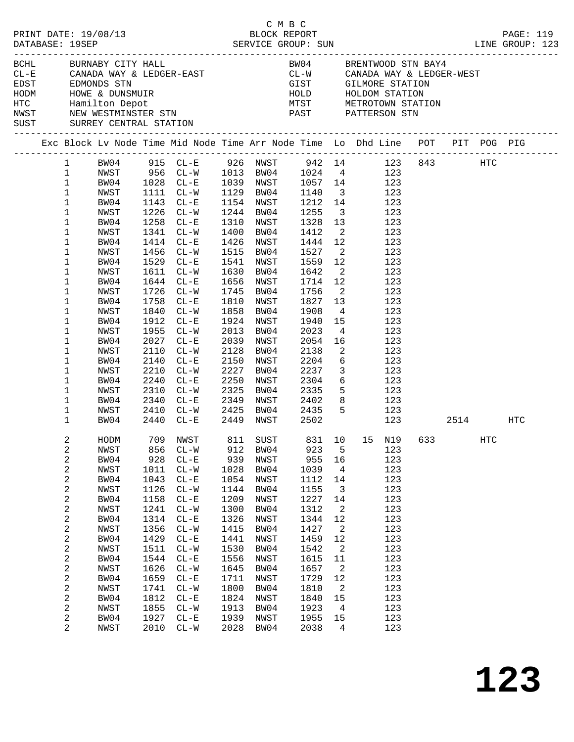|  | DATABASE: 19SEP                                                                                                                                                                                                                                               | PRINT DATE: 19/08/13                                                                                                                                                                         |                                                                                                                                                    |                                                                                                                                                                                                                                                                                                                         |                                                                                                                                                    | смвс<br>BLOCK REPORT                                                                                                                                                                                                                    |                                                                                                                                                                                                |                                                                                                                                                                                                                       |                                                                                                                                                                                                                                                                                                                                                                                                                                                                         |  |     | PAGE: 119                                                                      |
|--|---------------------------------------------------------------------------------------------------------------------------------------------------------------------------------------------------------------------------------------------------------------|----------------------------------------------------------------------------------------------------------------------------------------------------------------------------------------------|----------------------------------------------------------------------------------------------------------------------------------------------------|-------------------------------------------------------------------------------------------------------------------------------------------------------------------------------------------------------------------------------------------------------------------------------------------------------------------------|----------------------------------------------------------------------------------------------------------------------------------------------------|-----------------------------------------------------------------------------------------------------------------------------------------------------------------------------------------------------------------------------------------|------------------------------------------------------------------------------------------------------------------------------------------------------------------------------------------------|-----------------------------------------------------------------------------------------------------------------------------------------------------------------------------------------------------------------------|-------------------------------------------------------------------------------------------------------------------------------------------------------------------------------------------------------------------------------------------------------------------------------------------------------------------------------------------------------------------------------------------------------------------------------------------------------------------------|--|-----|--------------------------------------------------------------------------------|
|  |                                                                                                                                                                                                                                                               | BCHL BURNABY CITY HALL<br>SUST SURREY CENTRAL STATION                                                                                                                                        |                                                                                                                                                    |                                                                                                                                                                                                                                                                                                                         |                                                                                                                                                    |                                                                                                                                                                                                                                         |                                                                                                                                                                                                |                                                                                                                                                                                                                       | BW04 BRENTWOOD STN BAY4<br>$\begin{array}{lllllllll} \texttt{CL-E} & \texttt{CANADA WAY & \& LEDGER-EAST} & \texttt{CL-W} & \texttt{CANADA WAY & \& LEDGER-WEST} \\ \texttt{EDST} & \texttt{EDMONDS STN} & & & & & \\ \end{array}$<br>EDST EDMONDS STN EDMONDS STN GIST GILMORE STATION<br>HODM HOWE & DUNSMUIR<br>HTC Hamilton Depot MTST METROTOWN STATION<br>NWST NEW WESTMINSTER STN PAST PATTERSON STN                                                             |  |     |                                                                                |
|  |                                                                                                                                                                                                                                                               |                                                                                                                                                                                              |                                                                                                                                                    |                                                                                                                                                                                                                                                                                                                         |                                                                                                                                                    |                                                                                                                                                                                                                                         |                                                                                                                                                                                                |                                                                                                                                                                                                                       |                                                                                                                                                                                                                                                                                                                                                                                                                                                                         |  |     | Exc Block Lv Node Time Mid Node Time Arr Node Time Lo Dhd Line POT PIT POG PIG |
|  | $\mathbf{1}$<br>$\mathbf{1}$<br>$\mathbf{1}$<br>$\mathbf{1}$<br>$\mathbf{1}$<br>$\mathbf{1}$<br>1<br>1<br>1<br>1<br>1<br>1<br>1<br>1<br>$\mathbf 1$<br>$\mathbf 1$<br>1<br>1<br>$\mathbf 1$<br>1<br>1<br>1<br>$\mathbf 1$<br>$\mathbf 1$<br>1<br>$\mathbf{1}$ | NWST<br>BW04<br>NWST<br>BW04<br>NWST<br>BW04<br>NWST<br>BW04<br>NWST<br>BW04<br>NWST<br>BW04<br>NWST<br>BW04<br>NWST<br>BW04<br>NWST<br>BW04<br>NWST<br>BW04<br>NWST<br>BW04<br>NWST<br>BW04 | 1912<br>1955<br>2027<br>2110<br>2210<br>2240                                                                                                       | 1111 CL-W<br>1143 CL-E<br>1226 CL-W<br>1258 CL-E<br>1341 CL-W<br>1414 CL-E<br>1456 CL-W<br>1529 CL-E<br>1611 CL-W<br>1644 CL-E<br>1726 CL-W<br>1758 CL-E<br>1840 CL-W<br>$CL-E$<br>$CL-W$<br>$CL - E$<br>$CL-W$<br>2140 CL-E<br>$CL - W$<br>$CL - E$<br>2310 CL-W<br>2340 CL-E<br>2410 CL-W 2425 BW04 2435<br>2440 CL-E | 1630<br>2013<br>2150<br>2227<br>2250                                                                                                               | 1154 NWST<br>1244 BW04<br>1310 NWST<br>1400 BW04<br>1426 NWST<br>1515 BW04<br>1541 NWST<br>BW04<br>1656 NWST<br>1745 BW04<br>1810 NWST<br>1858 BW04<br>1924 NWST<br>BW04<br>2039 NWST<br>2128 BW04<br>NWST<br>BW04<br>NWST<br>2325 BW04 | 1129 BW04 1140<br>1255<br>1328<br>1412<br>1444 12<br>1527<br>1559<br>1642<br>1714 12<br>1756<br>1827<br>1908<br>1940<br>2023<br>2054<br>2138<br>2204<br>2237<br>2304<br>2335<br>2449 NWST 2502 | 13<br>12<br>$\overline{\phantom{a}}$<br>$\overline{\phantom{a}}$<br>13<br>$4\overline{4}$<br>16<br>$\overline{\phantom{a}}^2$<br>$\overline{\mathbf{3}}$                                                              | 1 BW04 915 CL-E 926 NWST 942 14 123 843 HTC<br>NWST 956 CL-W 1013 BW04 1024 4 123<br>BW04 1028 CL-E 1039 NWST 1057 14 123<br>3 123<br>1212 14 123<br>$\frac{3}{2}$ 123<br>123<br>2 123<br>123<br>$\overline{\mathbf{2}}$<br>123<br>123<br>123<br>123<br>123<br>123<br>123<br>15<br>123<br>$4\overline{ }$<br>123<br>123<br>123<br>$6\overline{6}$<br>123<br>123<br>$\begin{array}{ccc} 6 & & 123 \\ 5 & & 123 \end{array}$<br>2349 NWST 2402 8 123<br>5 123<br>123 2514 |  |     | HTC                                                                            |
|  | 2<br>2<br>2<br>2<br>2<br>2<br>2<br>2<br>2<br>2<br>2<br>2<br>2<br>2<br>2<br>2<br>2<br>2<br>2<br>$\overline{2}$                                                                                                                                                 | NWST<br>BW04<br>NWST<br>BW04<br>NWST<br>BW04<br>NWST<br>BW04<br>NWST<br>BW04<br>NWST<br>BW04<br>NWST<br>BW04<br>NWST<br>BW04<br>NWST<br>BW04<br>NWST                                         | 856<br>928<br>1011<br>1043<br>1126<br>1158<br>1241<br>1314<br>1356<br>1429<br>1511<br>1544<br>1626<br>1659<br>1741<br>1812<br>1855<br>1927<br>2010 | $CL - W$<br>$CL - E$<br>$CL-W$<br>$CL - E$<br>$CL - W$<br>$CL - E$<br>$CL - W$<br>$CL - E$<br>$CL - W$<br>$CL - E$<br>$CL-W$<br>$CL - E$<br>$CL - W$<br>$CL - E$<br>$CL-W$<br>$CL - E$<br>$CL-W$<br>$CL - E$<br>$CL-W$                                                                                                  | 912<br>939<br>1028<br>1054<br>1144<br>1209<br>1300<br>1326<br>1415<br>1441<br>1530<br>1556<br>1645<br>1711<br>1800<br>1824<br>1913<br>1939<br>2028 | BW04<br>NWST<br>BW04<br>NWST<br>BW04<br>NWST<br>BW04<br>NWST<br>BW04<br>NWST<br>BW04<br>NWST<br>BW04<br>NWST<br>BW04<br>NWST<br>BW04<br>NWST<br>BW04                                                                                    | 923<br>955<br>1039<br>1112<br>1155<br>1227<br>1312<br>1344<br>1427<br>1459<br>1542<br>1615<br>1657<br>1729<br>1810<br>1840<br>1923<br>1955<br>2038                                             | 5<br>16<br>$\overline{4}$<br>14<br>$\overline{3}$<br>14<br>$\overline{a}$<br>12<br>$\overline{\phantom{a}}^2$<br>12<br>$\overline{2}$<br>11<br>$\overline{\phantom{a}}$<br>12<br>2<br>15<br>$\overline{4}$<br>15<br>4 | HODM 709 NWST 811 SUST 831 10 15 N19 633<br>123<br>123<br>123<br>123<br>123<br>123<br>123<br>123<br>123<br>123<br>123<br>123<br>123<br>123<br>123<br>123<br>123<br>123<br>123                                                                                                                                                                                                                                                                                           |  | HTC |                                                                                |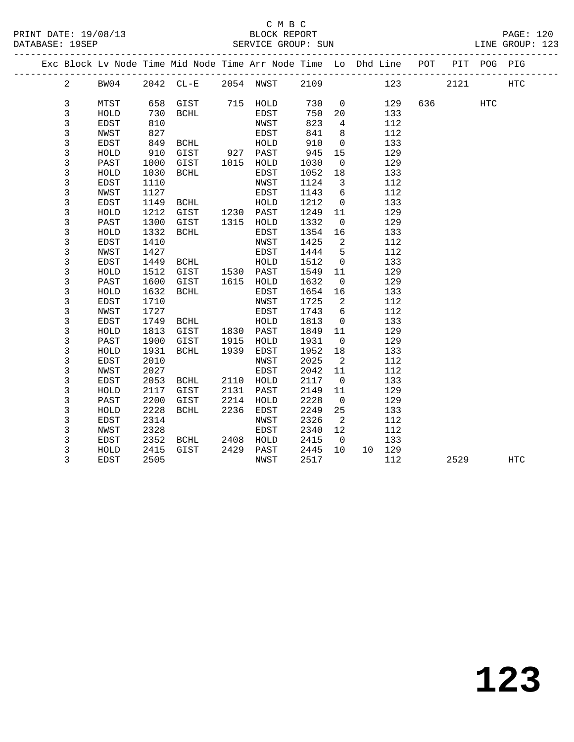|  |                |             |      | Exc Block Lv Node Time Mid Node Time Arr Node Time Lo Dhd Line POT |      |              |      |                            |        |     |      | PIT POG PIG |                   |  |
|--|----------------|-------------|------|--------------------------------------------------------------------|------|--------------|------|----------------------------|--------|-----|------|-------------|-------------------|--|
|  | $\overline{a}$ | BW04        |      | 2042 CL-E 2054 NWST                                                |      |              | 2109 |                            | 123    |     | 2121 |             | $_{\mathrm{HTC}}$ |  |
|  |                |             |      |                                                                    |      |              |      |                            |        |     |      |             |                   |  |
|  | 3              | MTST        |      | 658 GIST                                                           |      | 715 HOLD     | 730  | $\overline{0}$             | 129    | 636 |      | HTC         |                   |  |
|  | 3              | HOLD        | 730  | BCHL                                                               |      | EDST         | 750  | 20                         | 133    |     |      |             |                   |  |
|  | 3              | EDST        | 810  |                                                                    |      | NWST         | 823  | $4\overline{ }$            | 112    |     |      |             |                   |  |
|  | 3              | NWST        | 827  |                                                                    |      | EDST         | 841  | 8                          | 112    |     |      |             |                   |  |
|  | 3              | EDST        | 849  | BCHL                                                               |      | ${\tt HOLD}$ | 910  | $\mathbf 0$                | 133    |     |      |             |                   |  |
|  | 3              | HOLD        | 910  | GIST                                                               |      | 927 PAST     | 945  | 15                         | 129    |     |      |             |                   |  |
|  | 3              | PAST        | 1000 | GIST                                                               | 1015 | HOLD         | 1030 | $\overline{0}$             | 129    |     |      |             |                   |  |
|  | 3              | HOLD        | 1030 | BCHL                                                               |      | EDST         | 1052 | 18                         | 133    |     |      |             |                   |  |
|  | 3              | EDST        | 1110 |                                                                    |      | NWST         | 1124 | $\overline{\mathbf{3}}$    | 112    |     |      |             |                   |  |
|  | 3              | NWST        | 1127 |                                                                    |      | EDST         | 1143 | 6                          | 112    |     |      |             |                   |  |
|  | 3              | <b>EDST</b> | 1149 | BCHL                                                               |      | HOLD         | 1212 | $\mathbf 0$                | 133    |     |      |             |                   |  |
|  | 3              | HOLD        | 1212 | GIST                                                               |      | 1230 PAST    | 1249 | 11                         | 129    |     |      |             |                   |  |
|  | 3              | PAST        | 1300 | GIST                                                               | 1315 | HOLD         | 1332 | $\overline{0}$             | 129    |     |      |             |                   |  |
|  | 3              | HOLD        | 1332 | BCHL                                                               |      | EDST         | 1354 | 16                         | 133    |     |      |             |                   |  |
|  | 3              | EDST        | 1410 |                                                                    |      | NWST         | 1425 | 2                          | 112    |     |      |             |                   |  |
|  | 3              | NWST        | 1427 |                                                                    |      | EDST         | 1444 | 5                          | 112    |     |      |             |                   |  |
|  | 3              | EDST        | 1449 | BCHL                                                               |      | HOLD         | 1512 | $\mathsf{O}$               | 133    |     |      |             |                   |  |
|  | $\mathsf{3}$   | HOLD        | 1512 | GIST                                                               |      | 1530 PAST    | 1549 | 11                         | 129    |     |      |             |                   |  |
|  | 3              | PAST        | 1600 | GIST                                                               |      | 1615 HOLD    | 1632 | $\overline{0}$             | 129    |     |      |             |                   |  |
|  | $\mathsf 3$    | HOLD        | 1632 | <b>BCHL</b>                                                        |      | EDST         | 1654 | 16                         | 133    |     |      |             |                   |  |
|  | 3              | <b>EDST</b> | 1710 |                                                                    |      | NWST         | 1725 | $\overline{\phantom{a}}^2$ | 112    |     |      |             |                   |  |
|  | 3              | NWST        | 1727 |                                                                    |      | EDST         | 1743 | 6                          | 112    |     |      |             |                   |  |
|  | 3              | EDST        | 1749 | BCHL                                                               |      | HOLD         | 1813 | $\overline{0}$             | 133    |     |      |             |                   |  |
|  | 3              | HOLD        | 1813 | GIST                                                               | 1830 | PAST         | 1849 | 11                         | 129    |     |      |             |                   |  |
|  | 3              | PAST        | 1900 | GIST                                                               | 1915 | HOLD         | 1931 | $\overline{0}$             | 129    |     |      |             |                   |  |
|  | 3              | HOLD        | 1931 | BCHL                                                               | 1939 | EDST         | 1952 | 18                         | 133    |     |      |             |                   |  |
|  | 3              | <b>EDST</b> | 2010 |                                                                    |      | NWST         | 2025 | $\overline{2}$             | 112    |     |      |             |                   |  |
|  | $\mathsf{3}$   | NWST        | 2027 |                                                                    |      | EDST         | 2042 | 11                         | 112    |     |      |             |                   |  |
|  | 3              | EDST        | 2053 | BCHL                                                               | 2110 | HOLD         | 2117 | $\overline{0}$             | 133    |     |      |             |                   |  |
|  | 3              | HOLD        | 2117 | GIST                                                               | 2131 | PAST         | 2149 | 11                         | 129    |     |      |             |                   |  |
|  | 3              | PAST        | 2200 | GIST                                                               | 2214 | HOLD         | 2228 | $\overline{0}$             | 129    |     |      |             |                   |  |
|  | 3              | HOLD        | 2228 | BCHL                                                               | 2236 | EDST         | 2249 | 25                         | 133    |     |      |             |                   |  |
|  | 3              | <b>EDST</b> | 2314 |                                                                    |      | NWST         | 2326 | $\overline{2}$             | 112    |     |      |             |                   |  |
|  | 3              | NWST        | 2328 |                                                                    |      | EDST         | 2340 | 12                         | 112    |     |      |             |                   |  |
|  | 3              | EDST        | 2352 | BCHL                                                               | 2408 | HOLD         | 2415 | $\overline{0}$             | 133    |     |      |             |                   |  |
|  | 3              | HOLD        | 2415 | GIST                                                               | 2429 | PAST         | 2445 | 10                         | 10 129 |     |      |             |                   |  |
|  | 3              | <b>EDST</b> | 2505 |                                                                    |      | NWST         | 2517 |                            | 112    |     | 2529 |             | HTC               |  |
|  |                |             |      |                                                                    |      |              |      |                            |        |     |      |             |                   |  |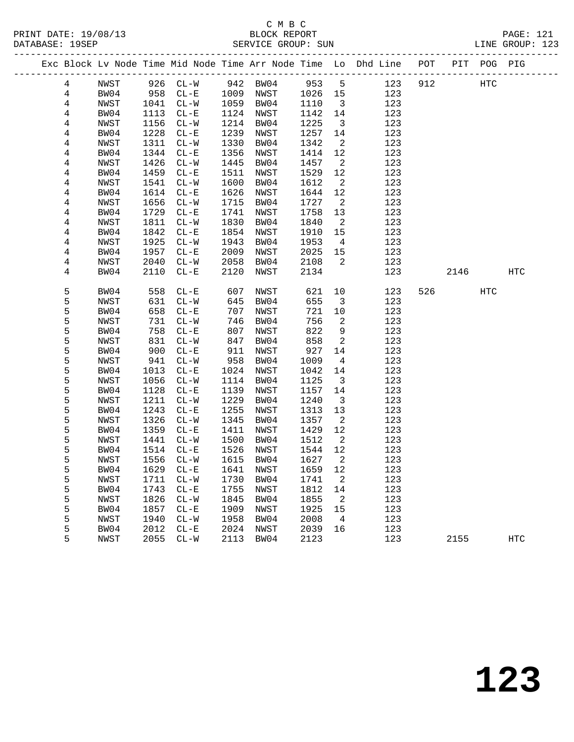|                |      |      |                         |      |           |         |                            | Exc Block Lv Node Time Mid Node Time Arr Node Time Lo Dhd Line POT |     |      | PIT POG PIG |            |  |
|----------------|------|------|-------------------------|------|-----------|---------|----------------------------|--------------------------------------------------------------------|-----|------|-------------|------------|--|
| 4              | NWST |      | 926 CL-W 942 BW04 953 5 |      |           |         |                            | 123                                                                | 912 |      | HTC         |            |  |
| $\overline{4}$ | BW04 |      | 958 CL-E 1009 NWST      |      |           | 1026 15 |                            | 123                                                                |     |      |             |            |  |
| 4              | NWST | 1041 | $CL-W$                  | 1059 | BW04      | 1110    | $\overline{\mathbf{3}}$    | 123                                                                |     |      |             |            |  |
| 4              | BW04 | 1113 | $CL - E$                | 1124 | NWST      | 1142    | 14                         | 123                                                                |     |      |             |            |  |
| 4              | NWST | 1156 | $CL-W$                  | 1214 | BW04      | 1225    | $\overline{\mathbf{3}}$    | 123                                                                |     |      |             |            |  |
| 4              | BW04 | 1228 | $CL-E$                  | 1239 | NWST      | 1257    | 14                         | 123                                                                |     |      |             |            |  |
| 4              | NWST | 1311 | $CL-W$                  | 1330 | BW04      | 1342    | $\overline{\phantom{a}}^2$ | 123                                                                |     |      |             |            |  |
| 4              | BW04 | 1344 | $CL - E$                | 1356 | NWST      | 1414    | 12                         | 123                                                                |     |      |             |            |  |
| 4              | NWST | 1426 | $CL-W$                  | 1445 | BW04      | 1457    | $\overline{\phantom{a}}^2$ | 123                                                                |     |      |             |            |  |
| 4              | BW04 | 1459 | $CL - E$                | 1511 | NWST      | 1529    | 12                         | 123                                                                |     |      |             |            |  |
| 4              | NWST | 1541 | $CL-W$                  | 1600 | BW04      | 1612    | $\overline{a}$             | 123                                                                |     |      |             |            |  |
| 4              | BW04 | 1614 | $CL - E$                | 1626 | NWST      | 1644    | 12                         | 123                                                                |     |      |             |            |  |
| 4              | NWST | 1656 | $CL-W$                  | 1715 | BW04      | 1727    | $\overline{\phantom{a}}^2$ | 123                                                                |     |      |             |            |  |
| 4              | BW04 | 1729 | $CL - E$                | 1741 | NWST      | 1758    | 13                         | 123                                                                |     |      |             |            |  |
| 4              | NWST | 1811 | $CL-W$                  | 1830 | BW04      | 1840    | $\overline{2}$             | 123                                                                |     |      |             |            |  |
| 4              | BW04 | 1842 | $CL-E$                  | 1854 | NWST      | 1910    | 15                         | 123                                                                |     |      |             |            |  |
| 4              | NWST | 1925 | $CL - W$                | 1943 | BW04      | 1953    | $\overline{4}$             | 123                                                                |     |      |             |            |  |
| 4              | BW04 | 1957 | $CL - E$                | 2009 | NWST      | 2025    | 15                         | 123                                                                |     |      |             |            |  |
| 4              | NWST | 2040 | $CL-W$                  | 2058 | BW04      | 2108    | $\overline{2}$             | 123                                                                |     |      |             |            |  |
| 4              | BW04 | 2110 | $CL - E$                | 2120 | NWST      | 2134    |                            | 123                                                                |     | 2146 |             | HTC        |  |
| 5              | BW04 | 558  | $CL - E$                | 607  | NWST      | 621     | 10                         | 123                                                                | 526 |      | HTC         |            |  |
| 5              | NWST | 631  | $CL-W$                  | 645  | BW04      | 655     | $\overline{\mathbf{3}}$    | 123                                                                |     |      |             |            |  |
| 5              | BW04 | 658  | $CL - E$                | 707  | NWST      | 721     | 10                         | 123                                                                |     |      |             |            |  |
| 5              | NWST | 731  | $CL-W$                  | 746  | BW04      | 756     | 2                          | 123                                                                |     |      |             |            |  |
| 5              | BW04 | 758  | $CL - E$                | 807  | NWST      | 822     | 9                          | 123                                                                |     |      |             |            |  |
| 5              | NWST | 831  | $CL-W$                  | 847  | BW04      | 858     | 2                          | 123                                                                |     |      |             |            |  |
| 5              | BW04 | 900  | $CL - E$                | 911  | NWST      | 927     | 14                         | 123                                                                |     |      |             |            |  |
| 5              | NWST | 941  | $CL-W$                  | 958  | BW04      | 1009    | $\overline{4}$             | 123                                                                |     |      |             |            |  |
| 5              | BW04 | 1013 | $CL - E$                | 1024 | NWST      | 1042    | 14                         | 123                                                                |     |      |             |            |  |
| 5              | NWST | 1056 | $CL-W$                  | 1114 | BW04      | 1125    | $\overline{\mathbf{3}}$    | 123                                                                |     |      |             |            |  |
| 5              | BW04 | 1128 | $CL - E$                | 1139 | NWST      | 1157    | 14                         | 123                                                                |     |      |             |            |  |
| 5              | NWST | 1211 | $CL-W$                  | 1229 | BW04      | 1240    | $\overline{\mathbf{3}}$    | 123                                                                |     |      |             |            |  |
| 5              | BW04 | 1243 | $CL-E$                  | 1255 | NWST      | 1313    | 13                         | 123                                                                |     |      |             |            |  |
| 5              | NWST | 1326 | $CL-W$                  | 1345 | BW04      | 1357    | $\overline{2}$             | 123                                                                |     |      |             |            |  |
| 5              | BW04 | 1359 | $CL - E$                | 1411 | NWST      | 1429    | 12                         | 123                                                                |     |      |             |            |  |
| 5              | NWST | 1441 | $CL-W$                  | 1500 | BW04      | 1512    | $\overline{2}$             | 123                                                                |     |      |             |            |  |
| 5              | BW04 | 1514 | $CL - E$                | 1526 | NWST      | 1544    | 12                         | 123                                                                |     |      |             |            |  |
| 5              | NWST | 1556 | $CL - W$                |      | 1615 BW04 | 1627    | $\overline{\phantom{0}}^2$ | 123                                                                |     |      |             |            |  |
| 5              | BW04 |      | 1629 CL-E 1641 NWST     |      |           | 1659 12 |                            | 123                                                                |     |      |             |            |  |
| 5              | NWST | 1711 | $CL-W$                  | 1730 | BW04      | 1741    | 2                          | 123                                                                |     |      |             |            |  |
| 5              | BW04 | 1743 | $CL - E$                | 1755 | NWST      | 1812    | 14                         | 123                                                                |     |      |             |            |  |
| 5              | NWST | 1826 | $CL - W$                | 1845 | BW04      | 1855    | $\overline{2}$             | 123                                                                |     |      |             |            |  |
| 5              | BW04 | 1857 | $CL - E$                | 1909 | NWST      | 1925    | 15                         | 123                                                                |     |      |             |            |  |
| 5              | NWST | 1940 | $CL - W$                | 1958 | BW04      | 2008    | $\overline{4}$             | 123                                                                |     |      |             |            |  |
| 5              | BW04 | 2012 | $CL - E$                | 2024 | NWST      | 2039    | 16                         | 123                                                                |     |      |             |            |  |
| 5              | NWST | 2055 | $CL - W$                | 2113 | BW04      | 2123    |                            | 123                                                                |     | 2155 |             | <b>HTC</b> |  |
|                |      |      |                         |      |           |         |                            |                                                                    |     |      |             |            |  |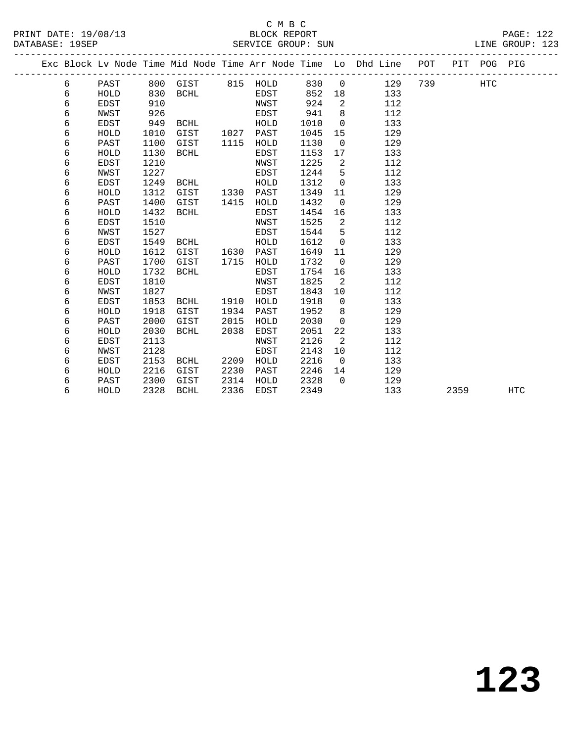### C M B C<br>BLOCK REPORT PRINT DATE: 19/08/13 BLOCK REPORT PAGE: 122 SERVICE GROUP: SUN

|  |   |             |      |                   |      |      |      |                | Exc Block Lv Node Time Mid Node Time Arr Node Time Lo Dhd Line | POT     | PIT POG PIG |  |
|--|---|-------------|------|-------------------|------|------|------|----------------|----------------------------------------------------------------|---------|-------------|--|
|  | 6 | PAST        |      | 800 GIST 815 HOLD |      |      | 830  |                | $\overline{0}$<br>129                                          | 739 HTC |             |  |
|  | 6 | HOLD        | 830  | BCHL              |      | EDST | 852  | 18             | 133                                                            |         |             |  |
|  | 6 | EDST        | 910  |                   |      | NWST | 924  | 2              | 112                                                            |         |             |  |
|  | 6 | NWST        | 926  |                   |      | EDST | 941  | 8              | 112                                                            |         |             |  |
|  | 6 | <b>EDST</b> | 949  | BCHL              |      | HOLD | 1010 | $\overline{0}$ | 133                                                            |         |             |  |
|  | 6 | HOLD        | 1010 | GIST              | 1027 | PAST | 1045 | 15             | 129                                                            |         |             |  |
|  | 6 | PAST        | 1100 | GIST              | 1115 | HOLD | 1130 | $\Omega$       | 129                                                            |         |             |  |
|  | 6 | HOLD        | 1130 | BCHL              |      | EDST | 1153 | 17             | 133                                                            |         |             |  |
|  | 6 | EDST        | 1210 |                   |      | NWST | 1225 | 2              | 112                                                            |         |             |  |
|  | 6 | NWST        | 1227 |                   |      | EDST | 1244 | 5              | 112                                                            |         |             |  |
|  | 6 | EDST        | 1249 | BCHL              |      | HOLD | 1312 | $\overline{0}$ | 133                                                            |         |             |  |
|  | 6 | HOLD        | 1312 | GIST              | 1330 | PAST | 1349 | 11             | 129                                                            |         |             |  |
|  | 6 | PAST        | 1400 | GIST              | 1415 | HOLD | 1432 | $\overline{0}$ | 129                                                            |         |             |  |
|  | 6 | HOLD        | 1432 | BCHL              |      | EDST | 1454 | 16             | 133                                                            |         |             |  |
|  | 6 | <b>EDST</b> | 1510 |                   |      | NWST | 1525 | 2              | 112                                                            |         |             |  |
|  | 6 | NWST        | 1527 |                   |      | EDST | 1544 | $-5$           | 112                                                            |         |             |  |
|  | 6 | EDST        | 1549 | BCHL              |      | HOLD | 1612 | $\Omega$       | 133                                                            |         |             |  |
|  | 6 | HOLD        | 1612 | GIST              | 1630 | PAST | 1649 | 11             | 129                                                            |         |             |  |
|  | 6 | PAST        | 1700 | GIST              | 1715 | HOLD | 1732 | $\overline{0}$ | 129                                                            |         |             |  |
|  | 6 | HOLD        | 1732 | BCHL              |      | EDST | 1754 | 16             | 133                                                            |         |             |  |
|  | 6 | EDST        | 1810 |                   |      | NWST | 1825 | $\overline{2}$ | 112                                                            |         |             |  |
|  | 6 | NWST        | 1827 |                   |      | EDST | 1843 | 10             | 112                                                            |         |             |  |
|  | 6 | EDST        | 1853 | BCHL              | 1910 | HOLD | 1918 | $\overline{0}$ | 133                                                            |         |             |  |
|  | 6 | HOLD        | 1918 | GIST              | 1934 | PAST | 1952 | 8              | 129                                                            |         |             |  |
|  | 6 | PAST        | 2000 | GIST              | 2015 | HOLD | 2030 | $\Omega$       | 129                                                            |         |             |  |
|  | 6 | HOLD        | 2030 | BCHL              | 2038 | EDST | 2051 | 22             | 133                                                            |         |             |  |
|  | 6 | EDST        | 2113 |                   |      | NWST | 2126 | 2              | 112                                                            |         |             |  |
|  | 6 | NWST        | 2128 |                   |      | EDST | 2143 | 10             | 112                                                            |         |             |  |

 6 EDST 2153 BCHL 2209 HOLD 2216 0 133 6 HOLD 2216 GIST 2230 PAST 2246 14 129 6 PAST 2300 GIST 2314 HOLD 2328 0 129

6 HOLD 2328 BCHL 2336 EDST 2349 133 2359 HTC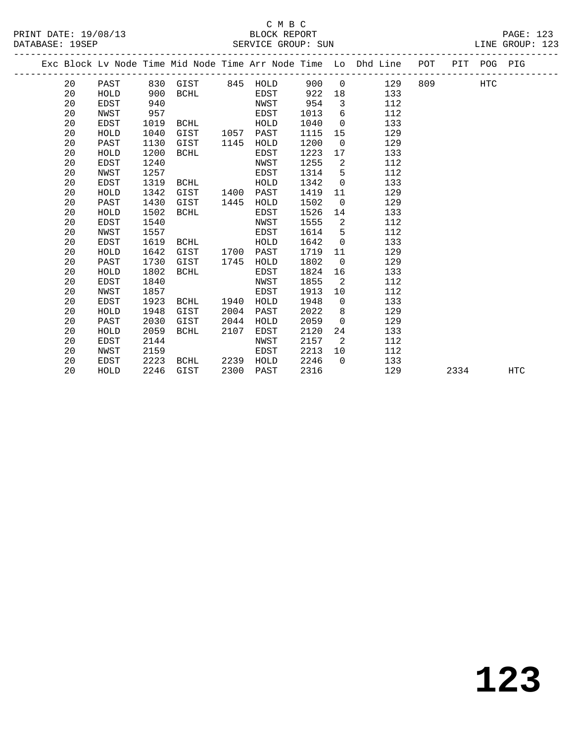### C M B C<br>BLOCK REPORT SERVICE GROUP: SUN

PRINT DATE: 19/08/13 BLOCK REPORT PAGE: 123

|  |    |             |      |                   |      |             |      |                | Exc Block Lv Node Time Mid Node Time Arr Node Time Lo Dhd Line | POT |      | PIT POG PIG |     |
|--|----|-------------|------|-------------------|------|-------------|------|----------------|----------------------------------------------------------------|-----|------|-------------|-----|
|  | 20 | PAST        |      | 830 GIST 845 HOLD |      |             | 900  | $\overline{0}$ | 129                                                            | 809 |      | HTC         |     |
|  | 20 | HOLD        | 900  | BCHL              |      | EDST        | 922  | 18             | 133                                                            |     |      |             |     |
|  | 20 | EDST        | 940  |                   |      | NWST        | 954  | $\overline{3}$ | 112                                                            |     |      |             |     |
|  | 20 | NWST        | 957  |                   |      | EDST        | 1013 | 6              | 112                                                            |     |      |             |     |
|  | 20 | EDST        | 1019 | BCHL              |      | HOLD        | 1040 | $\overline{0}$ | 133                                                            |     |      |             |     |
|  | 20 | HOLD        | 1040 | GIST              | 1057 | PAST        | 1115 | 15             | 129                                                            |     |      |             |     |
|  | 20 | PAST        | 1130 | GIST              | 1145 | HOLD        | 1200 | $\mathbf 0$    | 129                                                            |     |      |             |     |
|  | 20 | HOLD        | 1200 | BCHL              |      | EDST        | 1223 | 17             | 133                                                            |     |      |             |     |
|  | 20 | <b>EDST</b> | 1240 |                   |      | NWST        | 1255 | 2              | 112                                                            |     |      |             |     |
|  | 20 | NWST        | 1257 |                   |      | EDST        | 1314 | 5              | 112                                                            |     |      |             |     |
|  | 20 | EDST        | 1319 | BCHL              |      | HOLD        | 1342 | $\mathbf 0$    | 133                                                            |     |      |             |     |
|  | 20 | HOLD        | 1342 | GIST              | 1400 | PAST        | 1419 | 11             | 129                                                            |     |      |             |     |
|  | 20 | PAST        | 1430 | GIST              | 1445 | HOLD        | 1502 | $\overline{0}$ | 129                                                            |     |      |             |     |
|  | 20 | HOLD        | 1502 | BCHL              |      | EDST        | 1526 | 14             | 133                                                            |     |      |             |     |
|  | 20 | <b>EDST</b> | 1540 |                   |      | NWST        | 1555 | 2              | 112                                                            |     |      |             |     |
|  | 20 | NWST        | 1557 |                   |      | EDST        | 1614 | 5              | 112                                                            |     |      |             |     |
|  | 20 | EDST        | 1619 | BCHL              |      | HOLD        | 1642 | $\overline{0}$ | 133                                                            |     |      |             |     |
|  | 20 | HOLD        | 1642 | GIST              | 1700 | PAST        | 1719 | 11             | 129                                                            |     |      |             |     |
|  | 20 | PAST        | 1730 | GIST              | 1745 | HOLD        | 1802 | $\overline{0}$ | 129                                                            |     |      |             |     |
|  | 20 | HOLD        | 1802 | BCHL              |      | EDST        | 1824 | 16             | 133                                                            |     |      |             |     |
|  | 20 | <b>EDST</b> | 1840 |                   |      | NWST        | 1855 | 2              | 112                                                            |     |      |             |     |
|  | 20 | NWST        | 1857 |                   |      | <b>EDST</b> | 1913 | 10             | 112                                                            |     |      |             |     |
|  | 20 | EDST        | 1923 | BCHL              | 1940 | HOLD        | 1948 | $\overline{0}$ | 133                                                            |     |      |             |     |
|  | 20 | HOLD        | 1948 | GIST              | 2004 | PAST        | 2022 | 8              | 129                                                            |     |      |             |     |
|  | 20 | PAST        | 2030 | GIST              | 2044 | HOLD        | 2059 | $\overline{0}$ | 129                                                            |     |      |             |     |
|  | 20 | HOLD        | 2059 | <b>BCHL</b>       | 2107 | EDST        | 2120 | 24             | 133                                                            |     |      |             |     |
|  | 20 | EDST        | 2144 |                   |      | NWST        | 2157 | 2              | 112                                                            |     |      |             |     |
|  | 20 | NWST        | 2159 |                   |      | EDST        | 2213 | 10             | 112                                                            |     |      |             |     |
|  | 20 | EDST        | 2223 | BCHL              | 2239 | HOLD        | 2246 | $\Omega$       | 133                                                            |     |      |             |     |
|  | 20 | HOLD        | 2246 | GIST              | 2300 | PAST        | 2316 |                | 129                                                            |     | 2334 |             | HTC |
|  |    |             |      |                   |      |             |      |                |                                                                |     |      |             |     |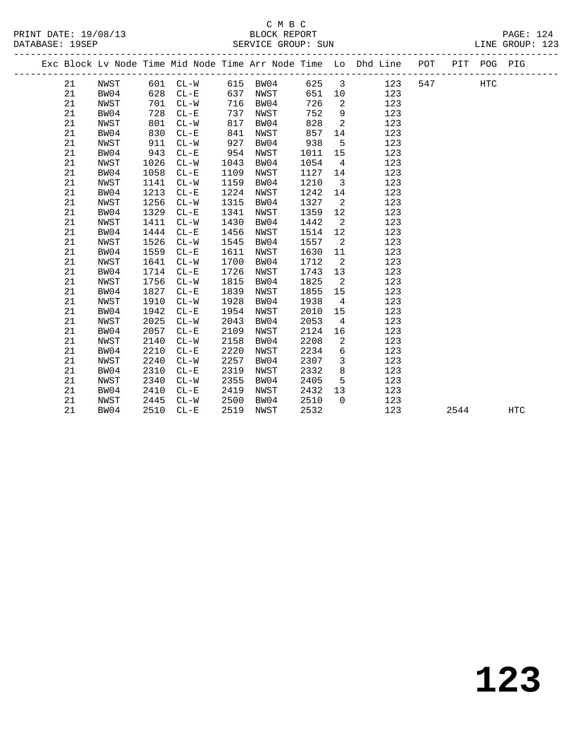# C M B C<br>BLOCK REPORT

|  | DATABASE: 19SEP |      |      |          |      | SERVICE GROUP: SUN |        |                          |                                                                                |     |     | LINE GROUP: 123 |  |
|--|-----------------|------|------|----------|------|--------------------|--------|--------------------------|--------------------------------------------------------------------------------|-----|-----|-----------------|--|
|  |                 |      |      |          |      |                    |        |                          | Exc Block Lv Node Time Mid Node Time Arr Node Time Lo Dhd Line POT PIT POG PIG |     |     |                 |  |
|  | 21              | NWST |      | 601 CL-W |      | 615 BW04           | 625 3  |                          | 123                                                                            | 547 | HTC |                 |  |
|  | 21              | BW04 | 628  | $CL - E$ | 637  | NWST               | 651 10 |                          | 123                                                                            |     |     |                 |  |
|  | 21              | NWST | 701  | $CL-W$   |      | 716 BW04           | 726    | $\overline{\phantom{a}}$ | 123                                                                            |     |     |                 |  |
|  | 21              | BW04 | 728  | $CL - E$ | 737  | NWST               | 752    | 9                        | 123                                                                            |     |     |                 |  |
|  | 21              | NWST | 801  | $CL-W$   | 817  | BW04               | 828    | $\overline{2}$           | 123                                                                            |     |     |                 |  |
|  | 21              | BW04 | 830  | $CL-E$   | 841  | NWST               | 857    | 14                       | 123                                                                            |     |     |                 |  |
|  | 21              | NWST | 911  | $CL-W$   | 927  | BW04               | 938    | $5^{\circ}$              | 123                                                                            |     |     |                 |  |
|  | 21              | BW04 | 943  | $CL - E$ | 954  | NWST               | 1011   | 15                       | 123                                                                            |     |     |                 |  |
|  | 21              | NWST | 1026 | $CL-W$   | 1043 | BW04               | 1054   | $4\overline{4}$          | 123                                                                            |     |     |                 |  |
|  | 21              | BW04 | 1058 | $CL - E$ | 1109 | NWST               | 1127   |                          | 14<br>123                                                                      |     |     |                 |  |
|  | 21              | NWST | 1141 | $CL-W$   | 1159 | BW04               | 1210   | $\overline{\mathbf{3}}$  | 123                                                                            |     |     |                 |  |
|  | 21              | BW04 | 1213 | $CL - E$ | 1224 | NWST               | 1242   |                          | 14<br>123                                                                      |     |     |                 |  |
|  | 21              | NWST | 1256 | $CL-W$   | 1315 | BW04               | 1327   | $\overline{2}$           | 123                                                                            |     |     |                 |  |
|  | 21              | BW04 | 1329 | $CL - E$ | 1341 | NWST               | 1359   | 12                       | 123                                                                            |     |     |                 |  |
|  | 21              | NWST | 1411 | $CL-W$   | 1430 | BW04               | 1442   | $\overline{2}$           | 123                                                                            |     |     |                 |  |
|  | 21              | BW04 | 1444 | $CL - E$ | 1456 | NWST               | 1514   | 12                       | 123                                                                            |     |     |                 |  |
|  | 21              | NWST | 1526 | $CL-W$   | 1545 | BW04               | 1557   | $\overline{a}$           | 123                                                                            |     |     |                 |  |
|  | 21              | BW04 | 1559 | $CL-E$   | 1611 | NWST               | 1630   | 11                       | 123                                                                            |     |     |                 |  |
|  | 21              | NWST | 1641 | $CL-W$   | 1700 | BW04               | 1712   | $\overline{\phantom{a}}$ | 123                                                                            |     |     |                 |  |
|  | 21              | BW04 | 1714 | $CL-E$   | 1726 | NWST               | 1743   | 13                       | 123                                                                            |     |     |                 |  |
|  | 21              | NWST | 1756 | $CL-W$   | 1815 | BW04               | 1825   | $\overline{a}$           | 123                                                                            |     |     |                 |  |
|  | 21              | BW04 | 1827 | $CL - E$ | 1839 | NWST               | 1855   | 15                       | 123                                                                            |     |     |                 |  |
|  | 21              | NWST | 1910 | $CL-W$   | 1928 | BW04               | 1938   | $\overline{4}$           | 123                                                                            |     |     |                 |  |
|  | 21              | BW04 | 1942 | $CL - E$ | 1954 | NWST               | 2010   | 15                       | 123                                                                            |     |     |                 |  |
|  | 21              | NWST | 2025 | $CL-W$   | 2043 | BW04               | 2053   | $4\overline{4}$          | 123                                                                            |     |     |                 |  |
|  | 21              | BW04 | 2057 | $CL - E$ | 2109 | NWST               | 2124   |                          | 16 10<br>123                                                                   |     |     |                 |  |
|  | 21              | NWST | 2140 | $CL-W$   | 2158 | BW04               | 2208   | $\overline{a}$           | 123                                                                            |     |     |                 |  |
|  | 21              | BW04 | 2210 | $CL - E$ | 2220 | NWST               | 2234   | 6                        | 123                                                                            |     |     |                 |  |
|  | 21              | NWST | 2240 | $CL-W$   | 2257 | BW04               | 2307   | $\overline{\mathbf{3}}$  | 123                                                                            |     |     |                 |  |
|  | 21              | BW04 | 2310 | $CL-E$   | 2319 | NWST               | 2332   | 8 <sup>8</sup>           | 123                                                                            |     |     |                 |  |
|  | 21              | NWST | 2340 | $CL-W$   | 2355 | BW04               | 2405   | 5                        | 123                                                                            |     |     |                 |  |
|  | 21              | BW04 | 2410 | $CL - E$ | 2419 | NWST               | 2432   | 13                       | 123                                                                            |     |     |                 |  |

21 NWST 2445 CL-W 2500 BW04 2510 0 123

21 BW04 2510 CL-E 2519 NWST 2532 123 2544 HTC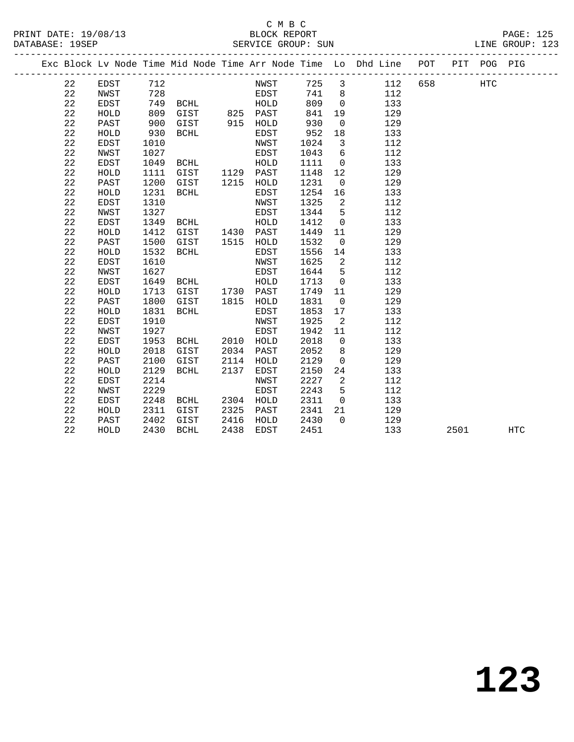### C M B C<br>BLOCK REPORT PRINT DATE: 19/08/13 BLOCK REPORT PAGE: 125 SERVICE GROUP: SUN

|  |          |              |            |  |               |                | Exc Block Ly Node Time Mid Node Time Arr Node Time Lo Dhd Line POT PIT POG PIG |  |      |  |
|--|----------|--------------|------------|--|---------------|----------------|--------------------------------------------------------------------------------|--|------|--|
|  | 22<br>22 | EDST<br>NWST | 712<br>728 |  | NWST<br>EDST. | 725 3<br>741 8 | 112 658<br>112                                                                 |  | HTC. |  |

| 22          | EDST        | 749  | <b>BCHL</b> |      | HOLD         | 809  | 0                | 133 |      |            |
|-------------|-------------|------|-------------|------|--------------|------|------------------|-----|------|------------|
| 22          | HOLD        | 809  | GIST        | 825  | PAST         | 841  | 19               | 129 |      |            |
| 22          | PAST        | 900  | GIST        | 915  | HOLD         | 930  | $\mathbf 0$      | 129 |      |            |
| 22          | HOLD        | 930  | <b>BCHL</b> |      | EDST         | 952  | 18               | 133 |      |            |
| 22          | EDST        | 1010 |             |      | NWST         | 1024 | 3                | 112 |      |            |
| 22          | NWST        | 1027 |             |      | EDST         | 1043 | 6                | 112 |      |            |
| $2\sqrt{2}$ | <b>EDST</b> | 1049 | <b>BCHL</b> |      | HOLD         | 1111 | 0                | 133 |      |            |
| 22          | HOLD        | 1111 | GIST        | 1129 | PAST         | 1148 | 12               | 129 |      |            |
| 22          | PAST        | 1200 | GIST        | 1215 | HOLD         | 1231 | 0                | 129 |      |            |
| 22          | HOLD        | 1231 | <b>BCHL</b> |      | EDST         | 1254 | 16               | 133 |      |            |
| $2\sqrt{2}$ | EDST        | 1310 |             |      | NWST         | 1325 | $\boldsymbol{2}$ | 112 |      |            |
| 22          | NWST        | 1327 |             |      | EDST         | 1344 | 5                | 112 |      |            |
| $2\sqrt{2}$ | <b>EDST</b> | 1349 | <b>BCHL</b> |      | HOLD         | 1412 | $\mathbf 0$      | 133 |      |            |
| 22          | HOLD        | 1412 | GIST        | 1430 | PAST         | 1449 | 11               | 129 |      |            |
| 22          | PAST        | 1500 | GIST        | 1515 | HOLD         | 1532 | $\mathbf 0$      | 129 |      |            |
| 22          | HOLD        | 1532 | <b>BCHL</b> |      | EDST         | 1556 | 14               | 133 |      |            |
| 22          | EDST        | 1610 |             |      | NWST         | 1625 | $\overline{c}$   | 112 |      |            |
| 22          | NWST        | 1627 |             |      | EDST         | 1644 | 5                | 112 |      |            |
| 22          | EDST        | 1649 | <b>BCHL</b> |      | ${\tt HOLD}$ | 1713 | $\mathbf 0$      | 133 |      |            |
| $2\sqrt{2}$ | HOLD        | 1713 | GIST        | 1730 | PAST         | 1749 | 11               | 129 |      |            |
| 22          | PAST        | 1800 | GIST        | 1815 | HOLD         | 1831 | 0                | 129 |      |            |
| 22          | HOLD        | 1831 | <b>BCHL</b> |      | EDST         | 1853 | 17               | 133 |      |            |
| $2\sqrt{2}$ | <b>EDST</b> | 1910 |             |      | NWST         | 1925 | 2                | 112 |      |            |
| $2\sqrt{2}$ | NWST        | 1927 |             |      | EDST         | 1942 | 11               | 112 |      |            |
| 22          | EDST        | 1953 | <b>BCHL</b> | 2010 | HOLD         | 2018 | 0                | 133 |      |            |
| 22          | HOLD        | 2018 | GIST        | 2034 | PAST         | 2052 | 8                | 129 |      |            |
| 22          | PAST        | 2100 | GIST        | 2114 | HOLD         | 2129 | $\mathbf 0$      | 129 |      |            |
| 22          | HOLD        | 2129 | <b>BCHL</b> | 2137 | EDST         | 2150 | 24               | 133 |      |            |
| $2\sqrt{2}$ | EDST        | 2214 |             |      | NWST         | 2227 | 2                | 112 |      |            |
| 22          | NWST        | 2229 |             |      | EDST         | 2243 | 5                | 112 |      |            |
| 22          | <b>EDST</b> | 2248 | <b>BCHL</b> | 2304 | HOLD         | 2311 | $\mathbf 0$      | 133 |      |            |
| 22          | HOLD        | 2311 | GIST        | 2325 | PAST         | 2341 | 21               | 129 |      |            |
| 22          | PAST        | 2402 | GIST        | 2416 | HOLD         | 2430 | $\Omega$         | 129 |      |            |
| 22          | HOLD        | 2430 | <b>BCHL</b> | 2438 | EDST         | 2451 |                  | 133 | 2501 | <b>HTC</b> |
|             |             |      |             |      |              |      |                  |     |      |            |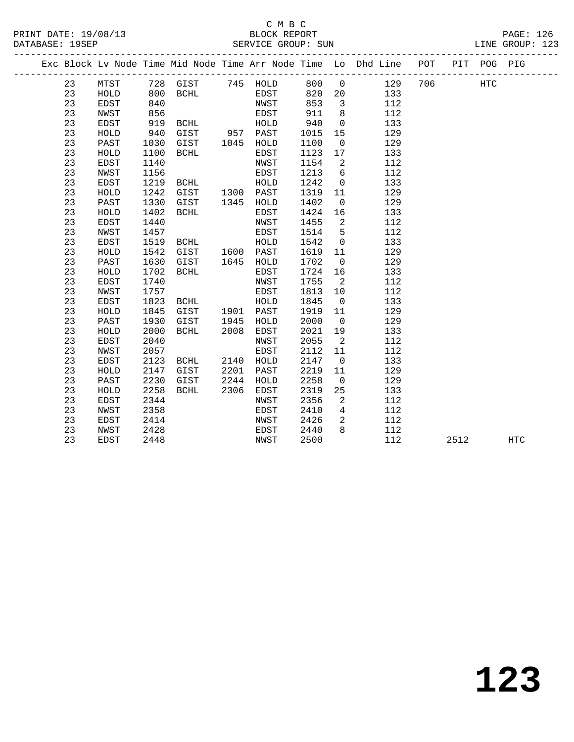| PRINT DATE: 19/08/13<br>DATABASE: 19SEP |    |             |      |          |      | CMBC<br>BLOCK REPORT<br>SERVICE GROUP: SUN |      |                |                                                                                |     |     | PAGE: 126<br>LINE GROUP: 123 |
|-----------------------------------------|----|-------------|------|----------|------|--------------------------------------------|------|----------------|--------------------------------------------------------------------------------|-----|-----|------------------------------|
|                                         |    |             |      |          |      |                                            |      |                | Exc Block Lv Node Time Mid Node Time Arr Node Time Lo Dhd Line POT PIT POG PIG |     |     |                              |
|                                         | 23 | MTST        |      | 728 GIST |      | 745 HOLD                                   | 800  | $\overline{0}$ | 129                                                                            | 706 | HTC |                              |
|                                         | 23 | HOLD        | 800  | BCHL     |      | EDST                                       | 820  | 20             | 133                                                                            |     |     |                              |
|                                         | 23 | EDST        | 840  |          |      | NWST                                       | 853  | 3              | 112                                                                            |     |     |                              |
|                                         | 23 | NWST        | 856  |          |      | EDST                                       | 911  | 8              | 112                                                                            |     |     |                              |
|                                         | 23 | EDST        | 919  | BCHL     |      | HOLD                                       | 940  | $\mathsf{O}$   | 133                                                                            |     |     |                              |
|                                         | 23 | HOLD        | 940  | GIST     |      | 957 PAST                                   | 1015 | 15             | 129                                                                            |     |     |                              |
|                                         | 23 | PAST        | 1030 | GIST     | 1045 | HOLD                                       | 1100 | $\overline{0}$ | 129                                                                            |     |     |                              |
|                                         | 23 | HOLD        | 1100 | BCHL     |      | EDST                                       | 1123 | 17             | 133                                                                            |     |     |                              |
|                                         | 23 | EDST        | 1140 |          |      | NWST                                       | 1154 | 2              | 112                                                                            |     |     |                              |
|                                         | 23 | NWST        | 1156 |          |      | EDST                                       | 1213 | 6              | 112                                                                            |     |     |                              |
|                                         | 23 | EDST        | 1219 | BCHL     |      | HOLD                                       | 1242 | $\mathbf 0$    | 133                                                                            |     |     |                              |
|                                         | 23 | HOLD        | 1242 | GIST     |      | 1300 PAST                                  | 1319 | 11             | 129                                                                            |     |     |                              |
|                                         | 23 | PAST        | 1330 | GIST     | 1345 | HOLD                                       | 1402 | $\mathbf 0$    | 129                                                                            |     |     |                              |
|                                         | 23 | HOLD        | 1402 | BCHL     |      | EDST                                       | 1424 | 16             | 133                                                                            |     |     |                              |
|                                         | 23 | EDST        | 1440 |          |      | NWST                                       | 1455 | 2              | 112                                                                            |     |     |                              |
|                                         | 23 | NWST        | 1457 |          |      | EDST                                       | 1514 | 5              | 112                                                                            |     |     |                              |
|                                         | 23 | EDST        | 1519 | BCHL     |      | HOLD                                       | 1542 | $\mathbf{0}$   | 133                                                                            |     |     |                              |
|                                         | 23 | HOLD        | 1542 | GIST     |      | 1600 PAST                                  | 1619 | 11             | 129                                                                            |     |     |                              |
|                                         | 23 | PAST        | 1630 | GIST     | 1645 | HOLD                                       | 1702 | $\overline{0}$ | 129                                                                            |     |     |                              |
|                                         | 23 | HOLD        | 1702 | BCHL     |      | EDST                                       | 1724 | 16             | 133                                                                            |     |     |                              |
|                                         | 23 | EDST        | 1740 |          |      | NWST                                       | 1755 | 2              | 112                                                                            |     |     |                              |
|                                         | 23 | NWST        | 1757 |          |      | EDST                                       | 1813 | 10             | 112                                                                            |     |     |                              |
|                                         | 23 | EDST        | 1823 | BCHL     |      | HOLD                                       | 1845 | $\overline{0}$ | 133                                                                            |     |     |                              |
|                                         | 23 | HOLD        | 1845 | GIST     | 1901 | PAST                                       | 1919 | 11             | 129                                                                            |     |     |                              |
|                                         | 23 | PAST        | 1930 | GIST     | 1945 | HOLD                                       | 2000 | $\overline{0}$ | 129                                                                            |     |     |                              |
|                                         | 23 | HOLD        | 2000 | BCHL     | 2008 | EDST                                       | 2021 | 19             | 133                                                                            |     |     |                              |
|                                         | 23 | <b>EDST</b> | 2040 |          |      | NWST                                       | 2055 | 2              | 112                                                                            |     |     |                              |
|                                         | 23 | NWST        | 2057 |          |      | EDST                                       | 2112 | 11             | 112                                                                            |     |     |                              |
|                                         | 23 | <b>EDST</b> | 2123 | BCHL     | 2140 | HOLD                                       | 2147 | $\overline{0}$ | 133                                                                            |     |     |                              |
|                                         | 23 | HOLD        | 2147 | GIST     | 2201 | PAST                                       | 2219 | 11             | 129                                                                            |     |     |                              |
|                                         | 23 | PAST        | 2230 | GIST     | 2244 | HOLD                                       | 2258 | $\Omega$       | 129                                                                            |     |     |                              |

23 HOLD 2258 BCHL 2306 EDST 2319 25 133

23 EDST 2448 NWST 2500 112 2512 HTC

 23 EDST 2344 NWST 2356 2 112 23 NWST 2358 EDST 2410 4 112 23 EDST 2414 NWST 2426 2 112 23 NWST 2428 EDST 2440 8 112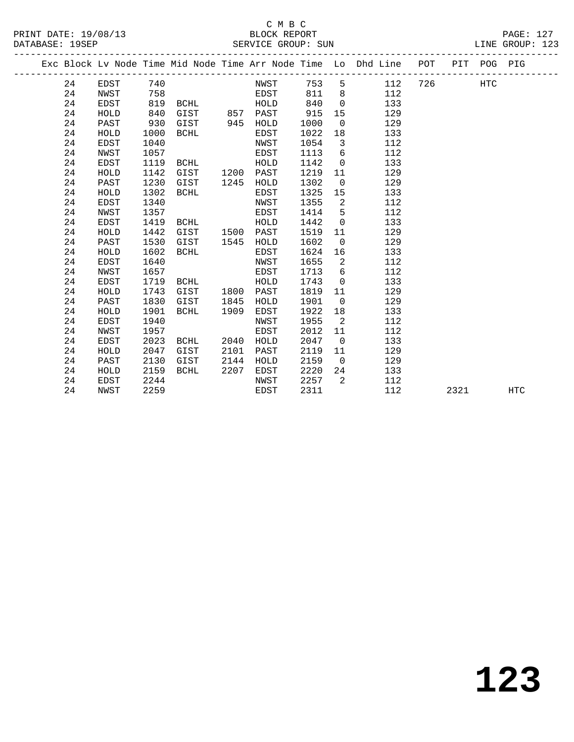# C M B C<br>BLOCK REPORT

|  | DATABASE: 19SEP | PRINT DATE: 19/08/13 |     |          |  |      | BLOCK REPORT | SERVICE GROUP: SUN |                |                                                                                |       |      | <b>PAGE: 127</b><br>LINE GROUP: 123 |  |
|--|-----------------|----------------------|-----|----------|--|------|--------------|--------------------|----------------|--------------------------------------------------------------------------------|-------|------|-------------------------------------|--|
|  |                 |                      |     |          |  |      |              |                    |                | Exc Block Lv Node Time Mid Node Time Arr Node Time Lo Dhd Line POT PIT POG PIG |       |      |                                     |  |
|  | 24              | EDST                 | 740 |          |  | NWST |              | 753 5              |                | 112                                                                            | - 726 | HTC. |                                     |  |
|  | 24              | NWST                 | 758 |          |  | EDST |              | 811                | - 8            | 112                                                                            |       |      |                                     |  |
|  | 24              | EDST                 |     | 819 BCHL |  | HOLD |              | 840                | $\overline{0}$ | 133                                                                            |       |      |                                     |  |
|  |                 |                      |     |          |  |      |              |                    |                |                                                                                |       |      |                                     |  |

| 24 | HOLD | 840  | GIST        | 857  | PAST | 915  | 15             | 129 |      |     |  |
|----|------|------|-------------|------|------|------|----------------|-----|------|-----|--|
| 24 | PAST | 930  | GIST        | 945  | HOLD | 1000 | $\mathbf 0$    | 129 |      |     |  |
| 24 | HOLD | 1000 | <b>BCHL</b> |      | EDST | 1022 | 18             | 133 |      |     |  |
| 24 | EDST | 1040 |             |      | NWST | 1054 | 3              | 112 |      |     |  |
| 24 | NWST | 1057 |             |      | EDST | 1113 | 6              | 112 |      |     |  |
| 24 | EDST | 1119 | <b>BCHL</b> |      | HOLD | 1142 | $\mathbf 0$    | 133 |      |     |  |
| 24 | HOLD | 1142 | GIST        | 1200 | PAST | 1219 | 11             | 129 |      |     |  |
| 24 | PAST | 1230 | GIST        | 1245 | HOLD | 1302 | $\mathbf 0$    | 129 |      |     |  |
| 24 | HOLD | 1302 | <b>BCHL</b> |      | EDST | 1325 | 15             | 133 |      |     |  |
| 24 | EDST | 1340 |             |      | NWST | 1355 | 2              | 112 |      |     |  |
| 24 | NWST | 1357 |             |      | EDST | 1414 | 5              | 112 |      |     |  |
| 24 | EDST | 1419 | BCHL        |      | HOLD | 1442 | $\mathbf 0$    | 133 |      |     |  |
| 24 | HOLD | 1442 | GIST        | 1500 | PAST | 1519 | 11             | 129 |      |     |  |
| 24 | PAST | 1530 | GIST        | 1545 | HOLD | 1602 | $\mathbf 0$    | 129 |      |     |  |
| 24 | HOLD | 1602 | <b>BCHL</b> |      | EDST | 1624 | 16             | 133 |      |     |  |
| 24 | EDST | 1640 |             |      | NWST | 1655 | 2              | 112 |      |     |  |
| 24 | NWST | 1657 |             |      | EDST | 1713 | 6              | 112 |      |     |  |
| 24 | EDST | 1719 | <b>BCHL</b> |      | HOLD | 1743 | $\mathbf 0$    | 133 |      |     |  |
| 24 | HOLD | 1743 | GIST        | 1800 | PAST | 1819 | 11             | 129 |      |     |  |
| 24 | PAST | 1830 | GIST        | 1845 | HOLD | 1901 | $\mathbf 0$    | 129 |      |     |  |
| 24 | HOLD | 1901 | <b>BCHL</b> | 1909 | EDST | 1922 | 18             | 133 |      |     |  |
| 24 | EDST | 1940 |             |      | NWST | 1955 | 2              | 112 |      |     |  |
| 24 | NWST | 1957 |             |      | EDST | 2012 | 11             | 112 |      |     |  |
| 24 | EDST | 2023 | <b>BCHL</b> | 2040 | HOLD | 2047 | $\mathbf 0$    | 133 |      |     |  |
| 24 | HOLD | 2047 | GIST        | 2101 | PAST | 2119 | 11             | 129 |      |     |  |
| 24 | PAST | 2130 | GIST        | 2144 | HOLD | 2159 | $\overline{0}$ | 129 |      |     |  |
| 24 | HOLD | 2159 | <b>BCHL</b> | 2207 | EDST | 2220 | 24             | 133 |      |     |  |
| 24 | EDST | 2244 |             |      | NWST | 2257 | 2              | 112 |      |     |  |
| 24 | NWST | 2259 |             |      | EDST | 2311 |                | 112 | 2321 | HTC |  |
|    |      |      |             |      |      |      |                |     |      |     |  |

**123**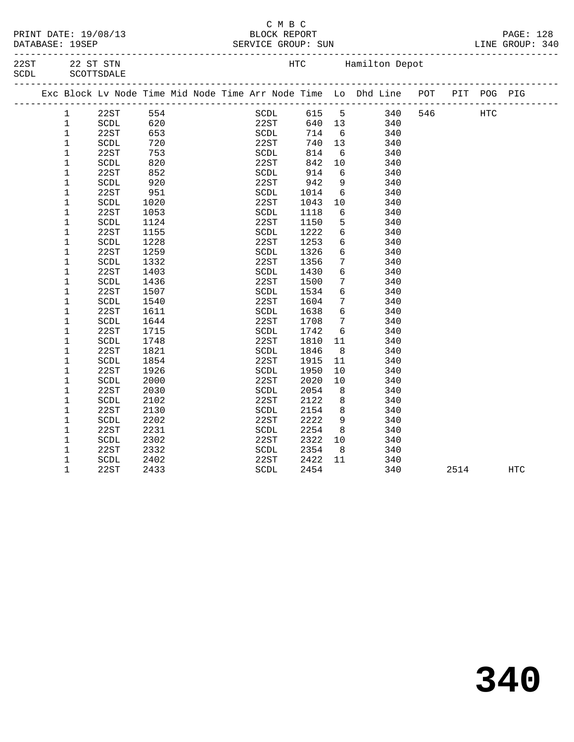|  | PRINT DATE: 19/08/13        |
|--|-----------------------------|
|  | $\sim$ $\sim$ $\sim$ $\sim$ |

### C M B C PRINT DATE: 19/08/13 BLOCK REPORT PAGE: 128 DATABASE: 19SEP SERVICE GROUP: SUN

-------------------------------------------------------------------------------------------------

| 22ST<br>SCDL |  | 22 ST STN<br>SCOTTSDALE |            |  |               | HTC          |                            | Hamilton Depot                                                         |     |         |  |
|--------------|--|-------------------------|------------|--|---------------|--------------|----------------------------|------------------------------------------------------------------------|-----|---------|--|
|              |  |                         |            |  |               |              |                            | Exc Block Lv Node Time Mid Node Time Arr Node Time Lo Dhd Line POT PIT |     | POG PIG |  |
|              |  | 22ST<br>SCDL            | 554<br>620 |  | SCDL<br>22.ST | 615 5<br>640 | $\overline{\phantom{a}13}$ | 340<br>340                                                             | 546 | HTC     |  |

|  |             |                                |      |  | Exc Block Lv Node Time Mid Node Time Arr Node Time Lo Dhd Line |      |                 |     | POT | PIT | POG PIG |  |
|--|-------------|--------------------------------|------|--|----------------------------------------------------------------|------|-----------------|-----|-----|-----|---------|--|
|  | 1           | 22ST                           | 554  |  | SCDL                                                           | 615  | 5               | 340 | 546 |     | HTC     |  |
|  | 1           | SCDL                           | 620  |  | 22ST                                                           | 640  | 13              | 340 |     |     |         |  |
|  | $\mathbf 1$ | 22ST                           | 653  |  | SCDL                                                           | 714  | 6               | 340 |     |     |         |  |
|  | $\mathbf 1$ | $\operatorname{\mathsf{SCDL}}$ | 720  |  | 22ST                                                           | 740  | 13              | 340 |     |     |         |  |
|  | 1           | 22ST                           | 753  |  | $\operatorname{SCDL}$                                          | 814  | 6               | 340 |     |     |         |  |
|  | 1           | SCDL                           | 820  |  | 22ST                                                           | 842  | 10              | 340 |     |     |         |  |
|  | 1           | 22ST                           | 852  |  | SCDL                                                           | 914  | 6               | 340 |     |     |         |  |
|  | 1           | SCDL                           | 920  |  | 22ST                                                           | 942  | 9               | 340 |     |     |         |  |
|  | $\mathbf 1$ | 22ST                           | 951  |  | SCDL                                                           | 1014 | 6               | 340 |     |     |         |  |
|  | $\mathbf 1$ | $\operatorname{SCDL}$          | 1020 |  | 22ST                                                           | 1043 | 10              | 340 |     |     |         |  |
|  | $\mathbf 1$ | 22ST                           | 1053 |  | SCDL                                                           | 1118 | 6               | 340 |     |     |         |  |
|  | 1           | SCDL                           | 1124 |  | 22ST                                                           | 1150 | 5               | 340 |     |     |         |  |
|  | 1           | 22ST                           | 1155 |  | SCDL                                                           | 1222 | 6               | 340 |     |     |         |  |
|  | 1           | $\operatorname{SCDL}$          | 1228 |  | 22ST                                                           | 1253 | $\epsilon$      | 340 |     |     |         |  |
|  | 1           | 22ST                           | 1259 |  | SCDL                                                           | 1326 | 6               | 340 |     |     |         |  |
|  | 1           | SCDL                           | 1332 |  | 22ST                                                           | 1356 | 7               | 340 |     |     |         |  |
|  | 1           | 22ST                           | 1403 |  | SCDL                                                           | 1430 | 6               | 340 |     |     |         |  |
|  | 1           | SCDL                           | 1436 |  | 22ST                                                           | 1500 | 7               | 340 |     |     |         |  |
|  | 1           | 22ST                           | 1507 |  | SCDL                                                           | 1534 | 6               | 340 |     |     |         |  |
|  | 1           | $\operatorname{SCDL}$          | 1540 |  | 22ST                                                           | 1604 | 7               | 340 |     |     |         |  |
|  | 1           | 22ST                           | 1611 |  | SCDL                                                           | 1638 | $6\overline{6}$ | 340 |     |     |         |  |
|  | 1           | SCDL                           | 1644 |  | 22ST                                                           | 1708 | 7               | 340 |     |     |         |  |
|  | 1           | 22ST                           | 1715 |  | SCDL                                                           | 1742 | 6               | 340 |     |     |         |  |
|  | 1           | SCDL                           | 1748 |  | 22ST                                                           | 1810 | 11              | 340 |     |     |         |  |
|  | 1           | 22ST                           | 1821 |  | SCDL                                                           | 1846 | 8               | 340 |     |     |         |  |
|  | 1           | SCDL                           | 1854 |  | 22ST                                                           | 1915 | 11              | 340 |     |     |         |  |
|  | 1           | 22ST                           | 1926 |  | SCDL                                                           | 1950 | 10              | 340 |     |     |         |  |
|  | 1           | SCDL                           | 2000 |  | 22ST                                                           | 2020 | 10              | 340 |     |     |         |  |
|  | 1           | 22ST                           | 2030 |  | SCDL                                                           | 2054 | 8               | 340 |     |     |         |  |
|  | $\mathbf 1$ | SCDL                           | 2102 |  | 22ST                                                           | 2122 | 8               | 340 |     |     |         |  |
|  | 1           | 22ST                           | 2130 |  | SCDL                                                           | 2154 | 8               | 340 |     |     |         |  |
|  | $\mathbf 1$ | $\operatorname{SCDL}$          | 2202 |  | 22ST                                                           | 2222 | 9               | 340 |     |     |         |  |
|  | 1           | 22ST                           | 2231 |  | SCDL                                                           | 2254 | 8               | 340 |     |     |         |  |
|  | 1           | SCDL                           | 2302 |  | 22ST                                                           | 2322 | 10              | 340 |     |     |         |  |
|  | $\mathbf 1$ | 22ST                           | 2332 |  | SCDL                                                           | 2354 | 8               | 340 |     |     |         |  |
|  | 1           | SCDL                           | 2402 |  | 22ST                                                           | 2422 | 11              | 340 |     |     |         |  |

1 22ST 2433 SCDL 2454 340 2514 HTC

# **340**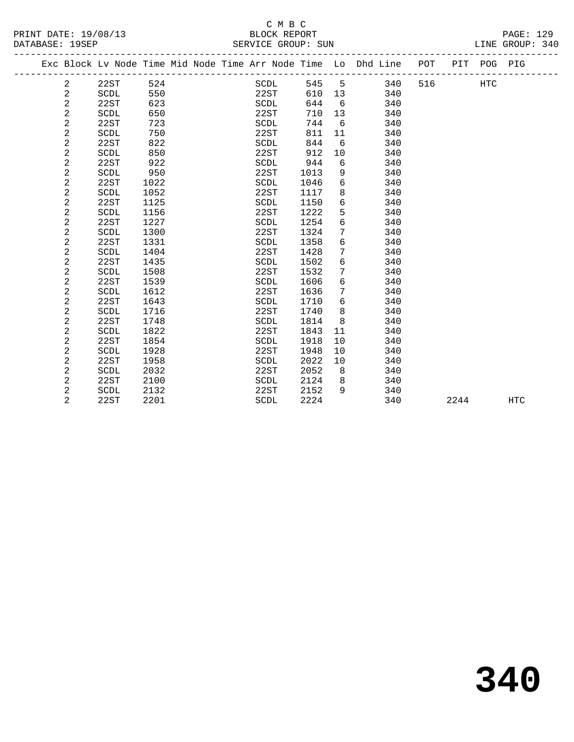|  |                |             |      |  |      |        |            | Exc Block Lv Node Time Mid Node Time Arr Node Time Lo Dhd Line POT |     |      | PIT POG PIG |            |  |
|--|----------------|-------------|------|--|------|--------|------------|--------------------------------------------------------------------|-----|------|-------------|------------|--|
|  | 2              | 22ST        | 524  |  | SCDL | 545    | -5         | 340                                                                | 516 |      | HTC         |            |  |
|  | 2              | SCDL        | 550  |  | 22ST | 610 13 |            | 340                                                                |     |      |             |            |  |
|  | $\overline{a}$ | 22ST        | 623  |  | SCDL | 644    | 6          | 340                                                                |     |      |             |            |  |
|  | 2              | SCDL        | 650  |  | 22ST | 710    | 13         | 340                                                                |     |      |             |            |  |
|  | 2              | 22ST        | 723  |  | SCDL | 744    | 6          | 340                                                                |     |      |             |            |  |
|  | $\overline{c}$ | SCDL        | 750  |  | 22ST | 811    | 11         | 340                                                                |     |      |             |            |  |
|  | $\overline{c}$ | 22ST        | 822  |  | SCDL | 844    | 6          | 340                                                                |     |      |             |            |  |
|  | 2              | SCDL        | 850  |  | 22ST | 912    | 10         | 340                                                                |     |      |             |            |  |
|  | $\overline{c}$ | 22ST        | 922  |  | SCDL | 944    | 6          | 340                                                                |     |      |             |            |  |
|  | $\overline{c}$ | SCDL        | 950  |  | 22ST | 1013   | 9          | 340                                                                |     |      |             |            |  |
|  | 2              | 22ST        | 1022 |  | SCDL | 1046   | 6          | 340                                                                |     |      |             |            |  |
|  | $\overline{c}$ | SCDL        | 1052 |  | 22ST | 1117   | 8          | 340                                                                |     |      |             |            |  |
|  | $\overline{c}$ | 22ST        | 1125 |  | SCDL | 1150   | 6          | 340                                                                |     |      |             |            |  |
|  | 2              | SCDL        | 1156 |  | 22ST | 1222   | 5          | 340                                                                |     |      |             |            |  |
|  | $\sqrt{2}$     | 22ST        | 1227 |  | SCDL | 1254   | 6          | 340                                                                |     |      |             |            |  |
|  | 2              | SCDL        | 1300 |  | 22ST | 1324   | 7          | 340                                                                |     |      |             |            |  |
|  | $\overline{c}$ | 22ST        | 1331 |  | SCDL | 1358   | $\sqrt{6}$ | 340                                                                |     |      |             |            |  |
|  | $\overline{c}$ | SCDL        | 1404 |  | 22ST | 1428   | 7          | 340                                                                |     |      |             |            |  |
|  | 2              | 22ST        | 1435 |  | SCDL | 1502   | $\sqrt{6}$ | 340                                                                |     |      |             |            |  |
|  | $\overline{c}$ | SCDL        | 1508 |  | 22ST | 1532   | 7          | 340                                                                |     |      |             |            |  |
|  | $\overline{a}$ | 22ST        | 1539 |  | SCDL | 1606   | 6          | 340                                                                |     |      |             |            |  |
|  | $\overline{a}$ | SCDL        | 1612 |  | 22ST | 1636   | 7          | 340                                                                |     |      |             |            |  |
|  | $\overline{c}$ | 22ST        | 1643 |  | SCDL | 1710   | 6          | 340                                                                |     |      |             |            |  |
|  | $\sqrt{2}$     | SCDL        | 1716 |  | 22ST | 1740   | 8          | 340                                                                |     |      |             |            |  |
|  | $\overline{c}$ | 22ST        | 1748 |  | SCDL | 1814   | 8          | 340                                                                |     |      |             |            |  |
|  | 2              | <b>SCDL</b> | 1822 |  | 22ST | 1843   | 11         | 340                                                                |     |      |             |            |  |
|  | 2              | 22ST        | 1854 |  | SCDL | 1918   | 10         | 340                                                                |     |      |             |            |  |
|  | 2              | <b>SCDL</b> | 1928 |  | 22ST | 1948   | 10         | 340                                                                |     |      |             |            |  |
|  | 2              | 22ST        | 1958 |  | SCDL | 2022   | 10         | 340                                                                |     |      |             |            |  |
|  | 2              | SCDL        | 2032 |  | 22ST | 2052   | 8          | 340                                                                |     |      |             |            |  |
|  | 2              | 22ST        | 2100 |  | SCDL | 2124   | 8          | 340                                                                |     |      |             |            |  |
|  | 2              | SCDL        | 2132 |  | 22ST | 2152   | 9          | 340                                                                |     |      |             |            |  |
|  | $\overline{2}$ | 22ST        | 2201 |  | SCDL | 2224   |            | 340                                                                |     | 2244 |             | <b>HTC</b> |  |
|  |                |             |      |  |      |        |            |                                                                    |     |      |             |            |  |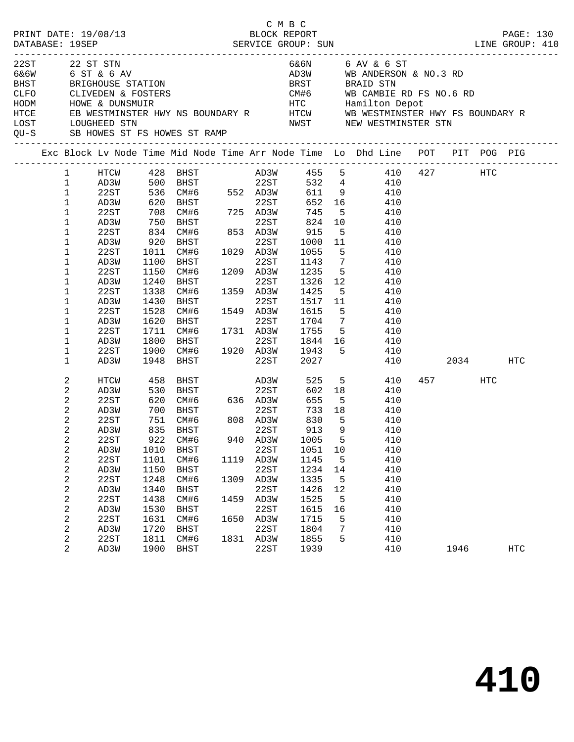|                      |                                              | PRINT DATE: 19/08/13 |                      |                                                                                                                |              | C M B C<br>BLOCK REPORT |                      |                |                                                                                                                                                                     |              |     | PAGE: 130<br>LINE GROUP: 410 |
|----------------------|----------------------------------------------|----------------------|----------------------|----------------------------------------------------------------------------------------------------------------|--------------|-------------------------|----------------------|----------------|---------------------------------------------------------------------------------------------------------------------------------------------------------------------|--------------|-----|------------------------------|
| 22ST 22 ST STN       |                                              |                      |                      |                                                                                                                |              |                         |                      |                | 6&6N 6 AV & 6 ST<br>AD3W WB ANDERSON & NO.3 RD<br>BRST BRAID STN<br>CM#6 WB CAMBIE RD FS NO.6 RD                                                                    |              |     |                              |
| HODM<br>HTCE<br>LOST |                                              |                      |                      | QU-S SB HOWES ST FS HOWES ST RAMP                                                                              |              |                         |                      |                | ENTRE AND THE HANDLER HISTORIC HOME & DUNSMUIR<br>HOWE & DUNSMUIR HWY NS BOUNDARY RY HTCW WB WESTMINSTER HWY FS BOUNDARY R<br>LOUGHEED STN NWST NEW WESTMINSTER STN |              |     |                              |
|                      |                                              |                      |                      |                                                                                                                |              |                         |                      |                | Exc Block Lv Node Time Mid Node Time Arr Node Time Lo Dhd Line POT PIT POG PIG                                                                                      |              |     |                              |
|                      | $\mathbf{1}$<br>$\mathbf{1}$<br>$\mathbf{1}$ |                      |                      |                                                                                                                |              |                         |                      |                | HTCW 428 BHST AD3W 455 5 410 427 HTC                                                                                                                                |              |     |                              |
|                      | $\mathbf 1$<br>$\mathbf 1$                   |                      |                      |                                                                                                                |              |                         |                      |                | AD3W 500 BHST 22ST 532 4 410<br>22ST 536 CM#6 552 AD3W 611 9 410<br>AD3W 620 BHST 22ST 652 16 410<br>22ST 708 CM#6 725 AD3W 745 5 410                               |              |     |                              |
|                      | $\mathbf 1$<br>$\mathbf 1$<br>$\mathbf 1$    | AD3W<br>22ST<br>AD3W |                      |                                                                                                                |              |                         |                      |                | 750 BHST<br>834 CM#6 853 AD3W 915 5 410<br>920 BHST 22ST 1000 11 410<br>1011 CM#6 1029 AD3W 1055 5 410                                                              |              |     |                              |
|                      | 1<br>1<br>1                                  | 22ST<br>AD3W<br>22ST | 1100<br>1150         | <b>BHST</b><br>CM#6 1209 AD3W                                                                                  |              | 22ST                    |                      |                | 1143 7 410<br>1235 5 410                                                                                                                                            |              |     |                              |
|                      | $\mathbf{1}$<br>1                            | AD3W<br>22ST         | 1240<br>1338         | BHST<br>CM#6 1359 AD3W                                                                                         |              | 22ST                    |                      |                | 1326 12 410<br>1425 5 410                                                                                                                                           |              |     |                              |
|                      | $\mathbf 1$<br>$\mathbf 1$<br>$\mathbf 1$    | AD3W<br>22ST<br>AD3W | 1430<br>1528         | BHST                                                                                                           |              |                         |                      |                | 22ST 1517 11 410<br>CM#6 1549 AD3W 1615 5 410<br>BHST 22ST 1704 7 410<br>CM#6 1731 AD3W 1755 5 410                                                                  |              |     |                              |
|                      | 1<br>$\mathbf{1}$<br>$\mathbf 1$             | 22ST<br>AD3W<br>22ST | 1620<br>1711<br>1800 |                                                                                                                |              |                         |                      |                | 22ST 1844 16 410<br>BHST 22ST 1844 16 410<br>CM#6 1920 AD3W 1943 5 410                                                                                              |              |     |                              |
|                      | 1                                            | AD3W                 | 1900<br>1948         | <b>BHST</b>                                                                                                    |              | 22ST 2027               |                      |                |                                                                                                                                                                     | 410 2034 HTC |     |                              |
|                      | 2<br>2<br>2                                  | HTCW<br>AD3W<br>22ST | 458<br>530           | BHST AD3W                                                                                                      |              |                         | $655$ 5              |                | 525 5<br>410<br>18 410<br>410                                                                                                                                       | 457          | HTC |                              |
|                      | $\overline{c}$<br>2<br>2                     | AD3W<br>22ST<br>AD3W |                      | 530 BHST 22ST 602 18<br>620 CM#6 636 AD3W 655 5<br>700 BHST 22ST 733 18<br>751 CM#6 808 AD3W 830 5<br>835 BHST |              | 22ST                    | 830 5<br>913         | $\overline{9}$ | 410<br>410<br>410                                                                                                                                                   |              |     |                              |
|                      | $\overline{a}$<br>2                          | 22ST<br>AD3W         | 1010                 | 922 CM#6<br><b>BHST</b>                                                                                        |              | 940 AD3W 1005 5<br>22ST | 1051                 | 10             | 410<br>410                                                                                                                                                          |              |     |                              |
|                      | 2<br>$\boldsymbol{2}$<br>$\boldsymbol{2}$    | 22ST<br>AD3W<br>22ST | 1101<br>1150<br>1248 | CM#6<br><b>BHST</b><br>CM#6                                                                                    | 1119<br>1309 | AD3W<br>22ST<br>AD3W    | 1145<br>1234<br>1335 | 5<br>14<br>5   | 410<br>410<br>410                                                                                                                                                   |              |     |                              |
|                      | $\boldsymbol{2}$<br>2<br>$\boldsymbol{2}$    | AD3W<br>22ST<br>AD3W | 1340<br>1438<br>1530 | <b>BHST</b><br>CM#6<br><b>BHST</b>                                                                             | 1459         | 22ST<br>AD3W<br>22ST    | 1426<br>1525<br>1615 | 12<br>5<br>16  | 410<br>410<br>410                                                                                                                                                   |              |     |                              |
|                      | 2<br>$\boldsymbol{2}$                        | 22ST<br>AD3W         | 1631<br>1720         | CM#6<br><b>BHST</b>                                                                                            | 1650         | AD3W<br>22ST            | 1715<br>1804         | 5<br>7         | 410<br>410                                                                                                                                                          |              |     |                              |
|                      | 2<br>$\overline{a}$                          | 22ST<br>AD3W         | 1811<br>1900         | CM#6<br><b>BHST</b>                                                                                            | 1831         | AD3W<br>22ST            | 1855<br>1939         | 5              | 410<br>410                                                                                                                                                          | 1946         |     | <b>HTC</b>                   |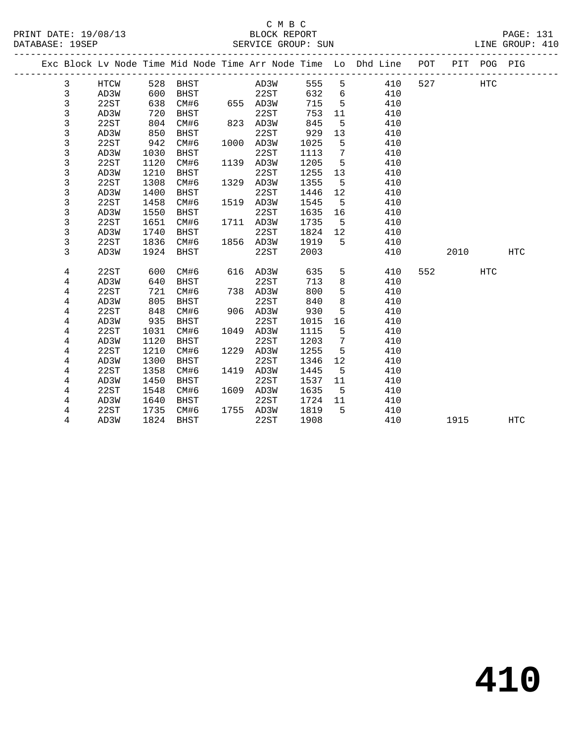### C M B C<br>BLOCK REPORT PRINT DATE: 19/08/13 BLOCK REPORT PAGE: 131 SERVICE GROUP: SUN

|  |                |              |              |                     |      |              |              |                 | Exc Block Lv Node Time Mid Node Time Arr Node Time Lo Dhd Line POT |     |      | PIT POG PIG |            |
|--|----------------|--------------|--------------|---------------------|------|--------------|--------------|-----------------|--------------------------------------------------------------------|-----|------|-------------|------------|
|  | 3              | HTCW         | 528          | BHST                |      | AD3W         | 555          | 5               | 410                                                                | 527 |      | HTC         |            |
|  | 3              | AD3W         | 600          | BHST                |      | 22ST         | 632          | 6               | 410                                                                |     |      |             |            |
|  | 3              | 22ST         | 638          | CM#6                |      | 655 AD3W     | 715          | 5               | 410                                                                |     |      |             |            |
|  | 3              | AD3W         | 720          | <b>BHST</b>         |      | 22ST         | 753          | 11              | 410                                                                |     |      |             |            |
|  | 3              | 22ST         | 804          | CM#6                |      | 823 AD3W     | 845          | 5               | 410                                                                |     |      |             |            |
|  | 3              | AD3W         | 850          | <b>BHST</b>         |      | 22ST         | 929          | 13              | 410                                                                |     |      |             |            |
|  | 3              | 22ST         | 942          | CM#6                | 1000 | AD3W         | 1025         | 5               | 410                                                                |     |      |             |            |
|  | 3              | AD3W         | 1030         | <b>BHST</b>         |      | 22ST         | 1113         | 7               | 410                                                                |     |      |             |            |
|  | $\mathsf 3$    | 22ST         | 1120         | CM#6                | 1139 | AD3W         | 1205         | 5               | 410                                                                |     |      |             |            |
|  | 3              | AD3W         | 1210         | <b>BHST</b>         |      | 22ST         | 1255         | 13              | 410                                                                |     |      |             |            |
|  | 3              | 22ST         | 1308         | CM#6                | 1329 | AD3W         | 1355         | -5              | 410                                                                |     |      |             |            |
|  | 3              | AD3W         | 1400         | <b>BHST</b>         |      | 22ST         | 1446         | 12              | 410                                                                |     |      |             |            |
|  | $\mathsf{3}$   | 22ST         | 1458         | CM#6                | 1519 | AD3W         | 1545         | 5               | 410                                                                |     |      |             |            |
|  | 3              | AD3W         | 1550         | <b>BHST</b>         |      | 22ST         | 1635         | 16              | 410                                                                |     |      |             |            |
|  | 3              | 22ST         | 1651         | CM#6                | 1711 | AD3W         | 1735         | 5               | 410                                                                |     |      |             |            |
|  | $\mathsf{3}$   | AD3W         | 1740         | <b>BHST</b>         |      | 22ST         | 1824         | 12              | 410                                                                |     |      |             |            |
|  | 3              | 22ST         | 1836         | CM#6                | 1856 | AD3W         | 1919         | 5               | 410                                                                |     |      |             |            |
|  | 3              | AD3W         | 1924         | BHST                |      | 22ST         | 2003         |                 | 410                                                                |     | 2010 |             | <b>HTC</b> |
|  |                |              |              |                     |      |              |              |                 |                                                                    |     |      |             |            |
|  | 4              | 22ST         | 600          | CM#6                | 616  | AD3W         | 635          | 5               | 410                                                                | 552 |      | HTC         |            |
|  | 4              | AD3W         | 640          | <b>BHST</b>         |      | 22ST         | 713          | 8               | 410                                                                |     |      |             |            |
|  | $\overline{4}$ | 22ST         | 721          | CM#6                | 738  | AD3W         | 800          | 5               | 410                                                                |     |      |             |            |
|  | 4              | AD3W         | 805          | <b>BHST</b>         |      | 22ST         | 840          | 8               | 410                                                                |     |      |             |            |
|  | $\,4$          | 22ST<br>AD3W | 848<br>935   | CM#6                | 906  | AD3W<br>22ST | 930          | 5<br>16         | 410<br>410                                                         |     |      |             |            |
|  | 4<br>4         | 22ST         | 1031         | BHST<br>CM#6        | 1049 | AD3W         | 1015<br>1115 | 5               | 410                                                                |     |      |             |            |
|  |                |              | 1120         |                     |      | 22ST         | 1203         | $7\phantom{.0}$ | 410                                                                |     |      |             |            |
|  | 4              | AD3W<br>22ST | 1210         | <b>BHST</b><br>CM#6 | 1229 | AD3W         | 1255         | 5               | 410                                                                |     |      |             |            |
|  | 4              | AD3W         | 1300         | <b>BHST</b>         |      | 22ST         | 1346         | 12              | 410                                                                |     |      |             |            |
|  | 4<br>4         | 22ST         | 1358         | CM#6                | 1419 | AD3W         | 1445         | 5               | 410                                                                |     |      |             |            |
|  |                |              |              |                     |      |              |              |                 |                                                                    |     |      |             |            |
|  | 4<br>4         | AD3W<br>22ST | 1450<br>1548 | BHST<br>CM#6        | 1609 | 22ST<br>AD3W | 1537<br>1635 | 11<br>5         | 410<br>410                                                         |     |      |             |            |
|  | 4              | AD3W         | 1640         | BHST                |      | 22ST         | 1724         | 11              | 410                                                                |     |      |             |            |
|  | 4              | 22ST         | 1735         | CM#6                | 1755 | AD3W         | 1819         | 5               | 410                                                                |     |      |             |            |
|  | 4              | AD3W         | 1824         | <b>BHST</b>         |      | 22ST         | 1908         |                 | 410                                                                |     | 1915 |             | <b>HTC</b> |
|  |                |              |              |                     |      |              |              |                 |                                                                    |     |      |             |            |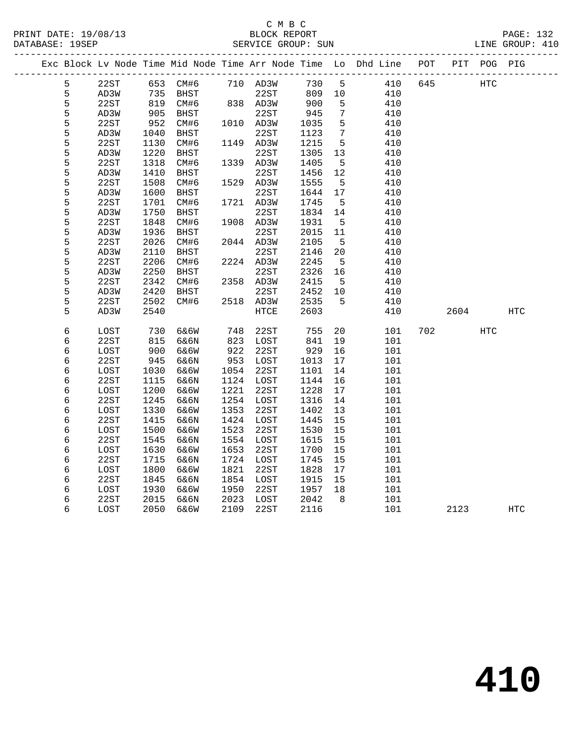### C M B C<br>BLOCK REPORT SERVICE GROUP: SUN

|  |   | Exc Block Lv Node Time Mid Node Time Arr Node Time Lo Dhd Line POT |            |      |                   |              |                      |                 |     |         |         | PIT POG PIG |            |
|--|---|--------------------------------------------------------------------|------------|------|-------------------|--------------|----------------------|-----------------|-----|---------|---------|-------------|------------|
|  | 5 | 22ST                                                               |            |      | 653 CM#6 710 AD3W |              | 730 5                |                 |     | 410 645 |         | HTC         |            |
|  | 5 | AD3W                                                               | 735<br>819 |      |                   |              | 809 10<br>809<br>900 |                 | 410 |         |         |             |            |
|  | 5 | 22ST                                                               |            |      |                   |              |                      | 5               | 410 |         |         |             |            |
|  | 5 | AD3W                                                               | 905        | BHST |                   | 22ST         | 945                  | $7\phantom{.0}$ | 410 |         |         |             |            |
|  | 5 | 22ST                                                               | 952        | CM#6 | 1010 AD3W         |              | 1035                 | $5^{\circ}$     | 410 |         |         |             |            |
|  | 5 | AD3W                                                               | 1040       | BHST |                   | 22ST         | 1123                 | $\overline{7}$  | 410 |         |         |             |            |
|  | 5 | 22ST                                                               | 1130       | CM#6 | 1149 AD3W         |              | 1215                 | 5               | 410 |         |         |             |            |
|  | 5 | AD3W                                                               | 1220       | BHST |                   | 22ST         | 1305                 | 13              | 410 |         |         |             |            |
|  | 5 | 22ST                                                               | 1318       | CM#6 | 1339 AD3W         |              | 1405                 | $5^{\circ}$     | 410 |         |         |             |            |
|  | 5 | AD3W                                                               | 1410       | BHST |                   | 22ST         | 1456                 | 12              | 410 |         |         |             |            |
|  | 5 | 22ST                                                               | 1508       | CM#6 | 1529 AD3W         |              | 1555                 | $5^{\circ}$     | 410 |         |         |             |            |
|  | 5 | AD3W                                                               | 1600       | BHST |                   | 22ST         | 1644                 | 17              | 410 |         |         |             |            |
|  | 5 | 22ST                                                               | 1701       | CM#6 | 1721 AD3W         |              | 1745                 | $5^{\circ}$     | 410 |         |         |             |            |
|  | 5 | AD3W                                                               | 1750       | BHST |                   | 22ST         | 1834                 | 14              | 410 |         |         |             |            |
|  | 5 | 22ST                                                               | 1848       | CM#6 | 1908 AD3W         |              | 1931                 | $5^{\circ}$     | 410 |         |         |             |            |
|  | 5 | AD3W                                                               | 1936       | BHST |                   | 22ST         | 2015                 | 11              | 410 |         |         |             |            |
|  | 5 | 22ST                                                               | 2026       | CM#6 | 2044 AD3W         |              | 2105                 | $5^{\circ}$     | 410 |         |         |             |            |
|  | 5 | AD3W                                                               | 2110       | BHST |                   | 22ST         | 2146                 | 20              | 410 |         |         |             |            |
|  | 5 | 22ST                                                               | 2206       | CM#6 |                   | 2224 AD3W    | 2245                 | $5^{\circ}$     | 410 |         |         |             |            |
|  | 5 | AD3W                                                               | 2250       | BHST |                   | 22ST         | 2326                 | 16              | 410 |         |         |             |            |
|  | 5 | 22ST                                                               | 2342       | CM#6 | 2358 AD3W         |              | 2415                 | $-5$            | 410 |         |         |             |            |
|  | 5 | AD3W                                                               | 2420       | BHST |                   | 22ST         | 2452                 | 10              | 410 |         |         |             |            |
|  | 5 | 22ST                                                               | 2502       | CM#6 | 2518 AD3W         |              | 2535                 | 5               | 410 |         |         |             |            |
|  | 5 | AD3W                                                               | 2540       |      |                   | ${\tt HTCE}$ | 2603                 |                 | 410 |         | 2604    |             | <b>HTC</b> |
|  | 6 | LOST                                                               | 730        | 6&6W | 748               | 22ST         | 755                  | 20              | 101 |         | 702 300 | <b>HTC</b>  |            |
|  | б | 22ST                                                               | 815        | 6&6N | 823               | LOST         | 841                  | 19              | 101 |         |         |             |            |
|  | 6 | LOST                                                               | 900        | 6&6W | 922               | 22ST         | 929                  | 16              | 101 |         |         |             |            |
|  | 6 | 22ST                                                               | 945        | 6&6N | 953               | LOST         | 1013                 | 17              | 101 |         |         |             |            |
|  | б | LOST                                                               | 1030       | 6&6W | 1054 22ST         |              | 1101                 | 14              | 101 |         |         |             |            |
|  | 6 | 22ST                                                               | 1115       | 6&6N | 1124 LOST         |              | 1144                 | 16              | 101 |         |         |             |            |
|  | 6 | LOST                                                               | 1200       | 6&6W | 1221              | 22ST         | 1228                 | 17              | 101 |         |         |             |            |
|  | 6 | 22ST                                                               | 1245       | 6&6N | 1254 LOST         |              | 1316                 | 14              | 101 |         |         |             |            |
|  | 6 | LOST                                                               | 1330       | 6&6W | 1353              | 22ST         | 1402                 | 13              | 101 |         |         |             |            |
|  | 6 | 22ST                                                               | 1415       | 6&6N | 1424              | LOST         | 1445                 | 15              | 101 |         |         |             |            |
|  | 6 | LOST                                                               | 1500       | 6&6W | 1523              | 22ST         | 1530                 | 15              | 101 |         |         |             |            |
|  | 6 | 22ST                                                               | 1545       | 6&6N | 1554              | LOST         | 1615                 | 15              | 101 |         |         |             |            |
|  | 6 | LOST                                                               | 1630       | 6&6W | 1653              | 22ST         | 1700                 | 15              | 101 |         |         |             |            |
|  | 6 | 22ST                                                               | 1715       | 6&6N | 1724 LOST         |              | 1745                 | 15              | 101 |         |         |             |            |
|  | 6 | LOST                                                               | 1800       | 6&6W | 1821              | 22ST         | 1828                 | 17              | 101 |         |         |             |            |
|  | 6 | 22ST                                                               | 1845       | 6&6N | 1854 LOST         |              | 1915                 | 15              | 101 |         |         |             |            |
|  | 6 | LOST                                                               | 1930       | 6&6W | 1950              | 22ST         | 1957                 | 18              | 101 |         |         |             |            |
|  | 6 | 22ST                                                               | 2015       | 6&6N | 2023              | LOST         | 2042                 | 8               | 101 |         |         |             |            |

6 LOST 2050 6&6W 2109 22ST 2116 101 2123 HTC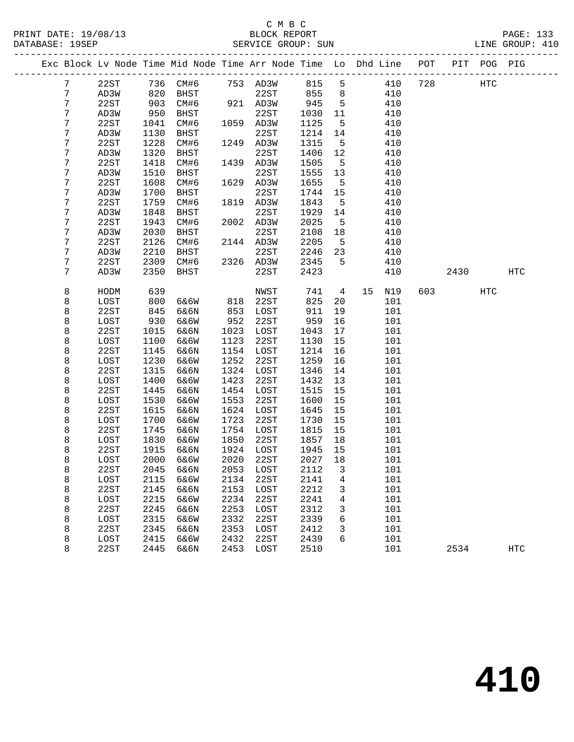|  |                 |      |      |           |      | Exc Block Lv Node Time Mid Node Time Arr Node Time Lo Dhd Line POT |        |                 |           |     |      | PIT POG PIG |            |
|--|-----------------|------|------|-----------|------|--------------------------------------------------------------------|--------|-----------------|-----------|-----|------|-------------|------------|
|  | $7\phantom{.0}$ | 22ST |      | 736 CM#6  |      | 753 AD3W                                                           | 815    | 5               | 410       | 728 |      | HTC         |            |
|  | 7               | AD3W | 820  | BHST      |      | 22ST                                                               | 855    | 8               | 410       |     |      |             |            |
|  | 7               | 22ST | 903  | CM#6      |      | 921 AD3W                                                           | 945    | $5\overline{)}$ | 410       |     |      |             |            |
|  | 7               | AD3W | 950  | BHST      |      | 22ST                                                               | 1030   | 11              | 410       |     |      |             |            |
|  | 7               | 22ST | 1041 | CM#6      |      | 1059 AD3W                                                          | 1125   | 5               | 410       |     |      |             |            |
|  | 7               | AD3W | 1130 | BHST      |      | 22ST                                                               | 1214   | 14              | 410       |     |      |             |            |
|  | 7               | 22ST | 1228 | CM#6      |      | 1249 AD3W                                                          | 1315   | 5               | 410       |     |      |             |            |
|  | 7               | AD3W | 1320 | BHST      |      | 22ST                                                               | 1406   | 12              | 410       |     |      |             |            |
|  | 7               | 22ST | 1418 | CM#6      | 1439 | AD3W                                                               | 1505   | 5               | 410       |     |      |             |            |
|  | 7               | AD3W | 1510 | BHST      |      | 22ST                                                               | 1555   | 13              | 410       |     |      |             |            |
|  | 7               | 22ST | 1608 | CM#6      |      | 1629 AD3W                                                          | 1655   | $5^{\circ}$     | 410       |     |      |             |            |
|  | 7               | AD3W | 1700 | BHST      |      | 22ST                                                               | 1744   | 15              | 410       |     |      |             |            |
|  | 7               | 22ST | 1759 | CM#6      | 1819 | AD3W                                                               | 1843   | 5               | 410       |     |      |             |            |
|  | 7               | AD3W | 1848 | BHST      |      | 22ST                                                               | 1929   | 14              | 410       |     |      |             |            |
|  | 7               | 22ST | 1943 | CM#6      |      | 2002 AD3W                                                          | 2025   | $5\overline{5}$ | 410       |     |      |             |            |
|  | 7               | AD3W | 2030 | BHST      |      | 22ST                                                               | 2108   | 18              | 410       |     |      |             |            |
|  | 7               | 22ST | 2126 | CM#6      |      | 2144 AD3W                                                          | 2205   | $5^{\circ}$     | 410       |     |      |             |            |
|  | 7               | AD3W | 2210 | BHST      |      | 22ST                                                               | 2246   | 23              | 410       |     |      |             |            |
|  | 7               | 22ST | 2309 | CM#6      |      | 2326 AD3W                                                          | 2345   | $5^{\circ}$     | 410       |     |      |             |            |
|  | 7               | AD3W | 2350 | BHST      |      | 22ST                                                               | 2423   |                 | 410       |     | 2430 |             | HTC        |
|  |                 |      |      |           |      |                                                                    |        |                 |           |     |      |             |            |
|  | 8               | HODM | 639  |           |      | NWST                                                               | 741    | $\overline{4}$  | 15<br>N19 | 603 |      | <b>HTC</b>  |            |
|  | 8               | LOST | 800  | 6&6W      | 818  | 22ST                                                               | 825    | 20              | 101       |     |      |             |            |
|  | 8               | 22ST | 845  | 6&6N      | 853  | LOST                                                               | 911    | 19              | 101       |     |      |             |            |
|  | 8               | LOST | 930  | 6&6W      | 952  | 22ST                                                               | 959    | 16              | 101       |     |      |             |            |
|  | 8               | 22ST | 1015 | 6&6N      | 1023 | LOST                                                               | 1043   | 17              | 101       |     |      |             |            |
|  | 8               | LOST | 1100 | 6&6W      | 1123 | 22ST                                                               | 1130   | 15              | 101       |     |      |             |            |
|  | 8               | 22ST | 1145 | 6&6N      | 1154 | LOST                                                               | 1214   | 16              | 101       |     |      |             |            |
|  | 8               | LOST | 1230 | 6&6W      | 1252 | 22ST                                                               | 1259   | 16              | 101       |     |      |             |            |
|  | 8               | 22ST | 1315 | 6&6N      | 1324 | LOST                                                               | 1346   | 14              | 101       |     |      |             |            |
|  | 8               | LOST | 1400 | 6&6W      | 1423 | 22ST                                                               | 1432   | 13              | 101       |     |      |             |            |
|  | 8               | 22ST | 1445 | 6&6N      | 1454 | LOST                                                               | 1515   | 15              | 101       |     |      |             |            |
|  | 8               | LOST | 1530 | 6&6W      | 1553 | 22ST                                                               | 1600   | 15              | 101       |     |      |             |            |
|  | 8               | 22ST | 1615 | 6&6N      | 1624 | LOST                                                               | 1645   | 15              | 101       |     |      |             |            |
|  | 8               | LOST | 1700 | 6&6W      | 1723 | 22ST                                                               | 1730   | 15              | 101       |     |      |             |            |
|  | 8               | 22ST | 1745 | 6&6N      | 1754 | LOST                                                               | 1815   | 15              | 101       |     |      |             |            |
|  | 8               | LOST | 1830 | 6&6W      | 1850 | 22ST                                                               | 1857   | 18              | 101       |     |      |             |            |
|  | 8               | 22ST | 1915 | 6&6N      | 1924 | LOST                                                               | 1945   | 15              | 101       |     |      |             |            |
|  | 8               | LOST | 2000 | 6&6W      | 2020 | 22ST                                                               | 2027   | 18              | 101       |     |      |             |            |
|  | 8               | 22ST |      | 2045 6&6N |      | 2053 LOST                                                          | 2112 3 |                 | 101       |     |      |             |            |
|  | 8               | LOST | 2115 | 6&6W      | 2134 | 22ST                                                               | 2141   | 4               | 101       |     |      |             |            |
|  | 8               | 22ST | 2145 | 6&6N      | 2153 | LOST                                                               | 2212   | 3               | 101       |     |      |             |            |
|  | 8               | LOST | 2215 | 6&6W      | 2234 | 22ST                                                               | 2241   | 4               | 101       |     |      |             |            |
|  | 8               | 22ST | 2245 | 6&6N      | 2253 | LOST                                                               | 2312   | 3               | 101       |     |      |             |            |
|  | 8               | LOST | 2315 | 6&6W      | 2332 | 22ST                                                               | 2339   | 6               | 101       |     |      |             |            |
|  | 8               | 22ST | 2345 | 6&6N      | 2353 | LOST                                                               | 2412   | 3               | 101       |     |      |             |            |
|  | 8               | LOST | 2415 | 6&6W      | 2432 | 22ST                                                               | 2439   | 6               | 101       |     |      |             |            |
|  | 8               | 22ST | 2445 | 6&6N      | 2453 | LOST                                                               | 2510   |                 | 101       |     | 2534 |             | <b>HTC</b> |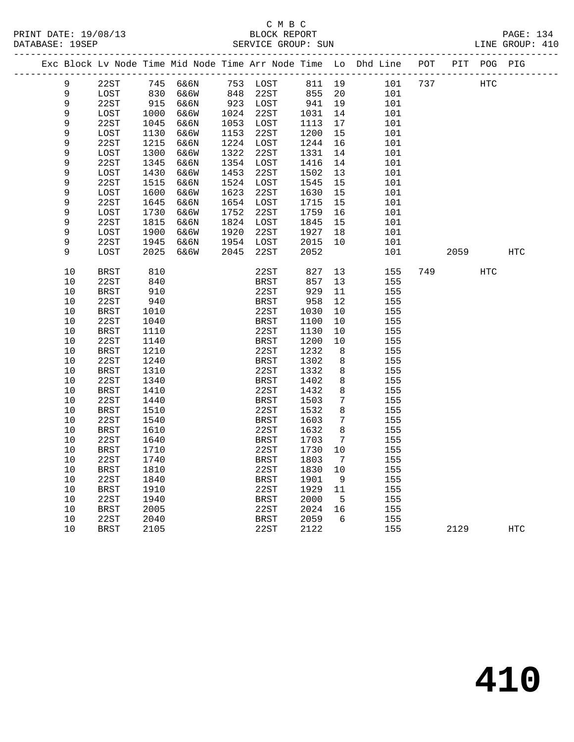|             |             |      |          |      |             |        |                 | Exc Block Lv Node Time Mid Node Time Arr Node Time Lo Dhd Line | POT |      | PIT POG PIG |            |  |
|-------------|-------------|------|----------|------|-------------|--------|-----------------|----------------------------------------------------------------|-----|------|-------------|------------|--|
| 9           | 22ST        |      | 745 6&6N |      | 753 LOST    | 811 19 |                 | 101                                                            | 737 |      | HTC         |            |  |
| $\mathsf 9$ | LOST        | 830  | 6&6W     | 848  | 22ST        | 855    | 20              | 101                                                            |     |      |             |            |  |
| 9           | 22ST        | 915  | 6&6N     |      | 923 LOST    | 941    | 19              | 101                                                            |     |      |             |            |  |
| $\mathsf 9$ | LOST        | 1000 | 6&6W     |      | 1024 22ST   | 1031   | 14              | 101                                                            |     |      |             |            |  |
| 9           | 22ST        | 1045 | 6&6N     |      | 1053 LOST   | 1113   | 17              | 101                                                            |     |      |             |            |  |
| 9           | LOST        | 1130 | 6&6W     | 1153 | 22ST        | 1200   | 15              | 101                                                            |     |      |             |            |  |
| 9           | 22ST        | 1215 | 6&6N     |      | 1224 LOST   | 1244   | 16              | 101                                                            |     |      |             |            |  |
| 9           | LOST        | 1300 | 6&6W     | 1322 | 22ST        | 1331   | 14              | 101                                                            |     |      |             |            |  |
| 9           | 22ST        | 1345 | 6&6N     |      | 1354 LOST   | 1416   | 14              | 101                                                            |     |      |             |            |  |
| 9           | LOST        | 1430 | 6&6W     | 1453 | 22ST        | 1502   | 13              | 101                                                            |     |      |             |            |  |
| 9           | 22ST        | 1515 | 6&6N     |      | 1524 LOST   | 1545   | 15              | 101                                                            |     |      |             |            |  |
| 9           | LOST        | 1600 | 6&6W     | 1623 | 22ST        | 1630   | 15              | 101                                                            |     |      |             |            |  |
| 9           | 22ST        | 1645 | 6&6N     |      | 1654 LOST   | 1715   | 15              | 101                                                            |     |      |             |            |  |
| 9           | LOST        | 1730 | 6&6W     | 1752 | 22ST        | 1759   | 16              | 101                                                            |     |      |             |            |  |
| 9           | 22ST        | 1815 | 6&6N     |      | 1824 LOST   | 1845   | 15              | 101                                                            |     |      |             |            |  |
| 9           | LOST        | 1900 | 6&6W     | 1920 | 22ST        | 1927   | 18              | 101                                                            |     |      |             |            |  |
| 9           | 22ST        | 1945 | 6&6N     |      | 1954 LOST   | 2015   | 10              | 101                                                            |     |      |             |            |  |
| 9           | LOST        | 2025 | 6&6W     | 2045 | 22ST        | 2052   |                 | 101                                                            |     | 2059 |             | <b>HTC</b> |  |
| 10          | BRST        | 810  |          |      | 22ST        | 827    | 13              | 155                                                            | 749 |      | <b>HTC</b>  |            |  |
| 10          | 22ST        | 840  |          |      | <b>BRST</b> | 857    | 13              | 155                                                            |     |      |             |            |  |
| 10          | <b>BRST</b> | 910  |          |      | 22ST        | 929    | 11              | 155                                                            |     |      |             |            |  |
| 10          | 22ST        | 940  |          |      | BRST        | 958    | 12              | 155                                                            |     |      |             |            |  |
| 10          | BRST        | 1010 |          |      | 22ST        | 1030   | 10              | 155                                                            |     |      |             |            |  |
| 10          | 22ST        | 1040 |          |      | BRST        | 1100   | 10              | 155                                                            |     |      |             |            |  |
| 10          | <b>BRST</b> | 1110 |          |      | 22ST        | 1130   | 10              | 155                                                            |     |      |             |            |  |
| 10          | 22ST        | 1140 |          |      | <b>BRST</b> | 1200   | 10              | 155                                                            |     |      |             |            |  |
| 10          | <b>BRST</b> | 1210 |          |      | 22ST        | 1232   | 8               | 155                                                            |     |      |             |            |  |
| 10          | 22ST        | 1240 |          |      | BRST        | 1302   | 8               | 155                                                            |     |      |             |            |  |
| 10          | <b>BRST</b> | 1310 |          |      | 22ST        | 1332   | 8               | 155                                                            |     |      |             |            |  |
| 10          | 22ST        | 1340 |          |      | <b>BRST</b> | 1402   | 8               | 155                                                            |     |      |             |            |  |
| 10          | BRST        | 1410 |          |      | 22ST        | 1432   | 8               | 155                                                            |     |      |             |            |  |
| 10          | 22ST        | 1440 |          |      | <b>BRST</b> | 1503   | $7\phantom{.0}$ | 155                                                            |     |      |             |            |  |
| 10          | <b>BRST</b> | 1510 |          |      | 22ST        | 1532   | 8               | 155                                                            |     |      |             |            |  |
| 10          | 22ST        | 1540 |          |      | <b>BRST</b> | 1603   | 7               | 155                                                            |     |      |             |            |  |
| $10$        | <b>BRST</b> | 1610 |          |      | 22ST        | 1632   | 8               | 155                                                            |     |      |             |            |  |
| 10          | 22ST        | 1640 |          |      | BRST        | 1703   | 7               | 155                                                            |     |      |             |            |  |
| 10          | <b>BRST</b> | 1710 |          |      | 22ST        | 1730   | 10              | 155                                                            |     |      |             |            |  |
| 10          | 22ST        | 1740 |          |      | <b>BRST</b> | 1803   | $\overline{7}$  | 155                                                            |     |      |             |            |  |
| 10          | <b>BRST</b> | 1810 |          |      | 22ST        | 1830   | 10              | 155                                                            |     |      |             |            |  |
| 10          | 22ST        | 1840 |          |      | <b>BRST</b> | 1901   | 9               | 155                                                            |     |      |             |            |  |
| 10          | <b>BRST</b> | 1910 |          |      | 22ST        | 1929   | 11              | 155                                                            |     |      |             |            |  |
| 10          | 22ST        | 1940 |          |      | <b>BRST</b> | 2000   | $5\overline{)}$ | 155                                                            |     |      |             |            |  |
| 10          | <b>BRST</b> | 2005 |          |      | 22ST        | 2024   | 16              | 155                                                            |     |      |             |            |  |
| 10          | 22ST        | 2040 |          |      | <b>BRST</b> | 2059   | 6               | 155                                                            |     |      |             |            |  |
| 10          | <b>BRST</b> | 2105 |          |      | 22ST        | 2122   |                 | 155                                                            |     | 2129 |             | HTC        |  |
|             |             |      |          |      |             |        |                 |                                                                |     |      |             |            |  |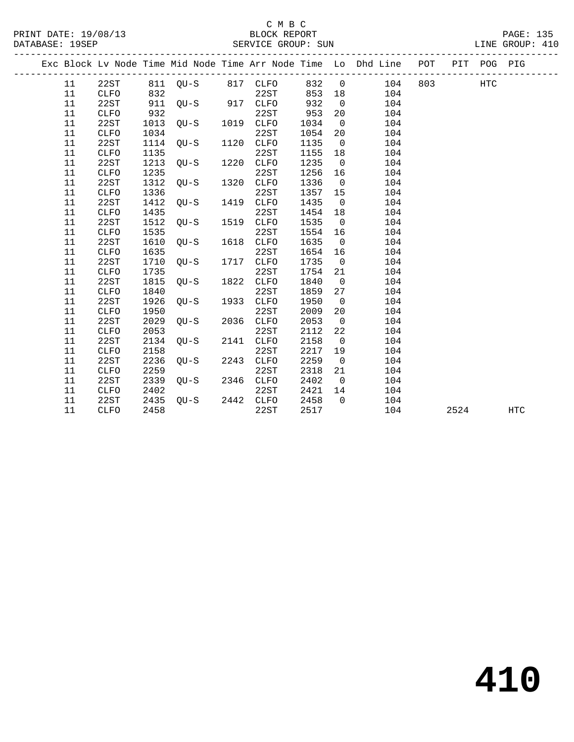|  |    |             |      |                   |      |             |      |                | Exc Block Lv Node Time Mid Node Time Arr Node Time Lo Dhd Line POT PIT POG PIG |      |     |     |
|--|----|-------------|------|-------------------|------|-------------|------|----------------|--------------------------------------------------------------------------------|------|-----|-----|
|  | 11 | 22ST        |      | 811 QU-S 817 CLFO |      |             | 832  | $\overline{0}$ | 104 803                                                                        |      | HTC |     |
|  | 11 | CLFO        | 832  |                   |      | 22ST        | 853  | 18             | 104                                                                            |      |     |     |
|  | 11 | 22ST        | 911  | $QU-S$ 917 $CLFO$ |      |             | 932  | $\overline{0}$ | 104                                                                            |      |     |     |
|  | 11 | <b>CLFO</b> | 932  |                   |      | 22ST        | 953  | 20             | 104                                                                            |      |     |     |
|  | 11 | 22ST        | 1013 | QU-S              |      | 1019 CLFO   | 1034 | $\overline{0}$ | 104                                                                            |      |     |     |
|  | 11 | <b>CLFO</b> | 1034 |                   |      | 22ST        | 1054 | 20             | 104                                                                            |      |     |     |
|  | 11 | 22ST        | 1114 | QU-S              |      | 1120 CLFO   | 1135 | $\overline{0}$ | 104                                                                            |      |     |     |
|  | 11 | CLFO        | 1135 |                   |      | 22ST        | 1155 | 18             | 104                                                                            |      |     |     |
|  | 11 | 22ST        | 1213 | OU-S              | 1220 | CLFO        | 1235 | $\overline{0}$ | 104                                                                            |      |     |     |
|  | 11 | <b>CLFO</b> | 1235 |                   |      | 22ST        | 1256 | 16             | 104                                                                            |      |     |     |
|  | 11 | 22ST        | 1312 | OU-S              | 1320 | CLFO        | 1336 | $\overline{0}$ | 104                                                                            |      |     |     |
|  | 11 | CLFO        | 1336 |                   |      | 22ST        | 1357 | 15             | 104                                                                            |      |     |     |
|  | 11 | 22ST        | 1412 | OU-S              |      | 1419 CLFO   | 1435 | $\overline{0}$ | 104                                                                            |      |     |     |
|  | 11 | CLFO        | 1435 |                   |      | 22ST        | 1454 | 18             | 104                                                                            |      |     |     |
|  | 11 | 22ST        | 1512 | $OU-S$            | 1519 | CLFO        | 1535 | $\overline{0}$ | 104                                                                            |      |     |     |
|  | 11 | <b>CLFO</b> | 1535 |                   |      | 22ST        | 1554 | 16             | 104                                                                            |      |     |     |
|  | 11 | 22ST        | 1610 | $OU-S$            | 1618 | <b>CLFO</b> | 1635 | $\overline{0}$ | 104                                                                            |      |     |     |
|  | 11 | <b>CLFO</b> | 1635 |                   |      | 22ST        | 1654 | 16             | 104                                                                            |      |     |     |
|  | 11 | 22ST        | 1710 | $QU-S$            | 1717 | CLFO        | 1735 | $\overline{0}$ | 104                                                                            |      |     |     |
|  | 11 | <b>CLFO</b> | 1735 |                   |      | 22ST        | 1754 | 21             | 104                                                                            |      |     |     |
|  | 11 | 22ST        | 1815 | OU-S              | 1822 | <b>CLFO</b> | 1840 | $\overline{0}$ | 104                                                                            |      |     |     |
|  | 11 | CLFO        | 1840 |                   |      | 22ST        | 1859 | 27             | 104                                                                            |      |     |     |
|  | 11 | 22ST        | 1926 | $OU-S$            | 1933 | <b>CLFO</b> | 1950 | $\overline{0}$ | 104                                                                            |      |     |     |
|  | 11 | <b>CLFO</b> | 1950 |                   |      | 22ST        | 2009 | 20             | 104                                                                            |      |     |     |
|  | 11 | 22ST        | 2029 | $OU-S$            | 2036 | <b>CLFO</b> | 2053 | $\overline{0}$ | 104                                                                            |      |     |     |
|  | 11 | <b>CLFO</b> | 2053 |                   |      | 22ST        | 2112 | 22             | 104                                                                            |      |     |     |
|  | 11 | 22ST        | 2134 | $QU-S$            | 2141 | <b>CLFO</b> | 2158 | $\overline{0}$ | 104                                                                            |      |     |     |
|  | 11 | <b>CLFO</b> | 2158 |                   |      | 22ST        | 2217 | 19             | 104                                                                            |      |     |     |
|  | 11 | 22ST        | 2236 | $OU-S$            | 2243 | <b>CLFO</b> | 2259 | $\overline{0}$ | 104                                                                            |      |     |     |
|  | 11 | <b>CLFO</b> | 2259 |                   |      | 22ST        | 2318 | 21             | 104                                                                            |      |     |     |
|  | 11 | 22ST        | 2339 | OU-S              | 2346 | <b>CLFO</b> | 2402 | $\overline{0}$ | 104                                                                            |      |     |     |
|  | 11 | <b>CLFO</b> | 2402 |                   |      | 22ST        | 2421 | 14             | 104                                                                            |      |     |     |
|  | 11 | 22ST        | 2435 | OU-S 2442 CLFO    |      |             | 2458 | $\Omega$       | 104                                                                            |      |     |     |
|  | 11 | <b>CLFO</b> | 2458 |                   |      | 22ST        | 2517 |                | 104                                                                            | 2524 |     | HTC |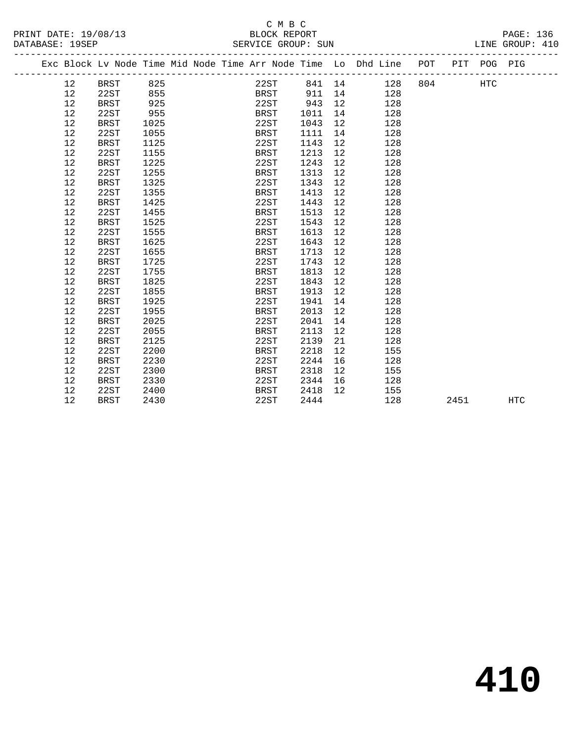### C M B C<br>BLOCK REPORT SERVICE GROUP: SUN

PRINT DATE: 19/08/13 BLOCK REPORT PAGE: 136

|  |    |             |      |  | Exc Block Lv Node Time Mid Node Time Arr Node Time Lo Dhd Line POT |      |                   |        |         |      | PIT POG PIG |     |
|--|----|-------------|------|--|--------------------------------------------------------------------|------|-------------------|--------|---------|------|-------------|-----|
|  | 12 | <b>BRST</b> | 825  |  | 22ST                                                               |      |                   | 841 14 | 128 804 |      | <b>HTC</b>  |     |
|  | 12 | 22ST        | 855  |  | BRST                                                               | 911  | 14                |        | 128     |      |             |     |
|  | 12 | <b>BRST</b> | 925  |  | 22ST                                                               | 943  | 12                |        | 128     |      |             |     |
|  | 12 | 22ST        | 955  |  | BRST                                                               | 1011 | 14                |        | 128     |      |             |     |
|  | 12 | <b>BRST</b> | 1025 |  | 22ST                                                               | 1043 | 12                |        | 128     |      |             |     |
|  | 12 | 22ST        | 1055 |  | BRST                                                               | 1111 | 14                |        | 128     |      |             |     |
|  | 12 | <b>BRST</b> | 1125 |  | 22ST                                                               | 1143 | 12                |        | 128     |      |             |     |
|  | 12 | 22ST        | 1155 |  | BRST                                                               | 1213 | 12                |        | 128     |      |             |     |
|  | 12 | <b>BRST</b> | 1225 |  | 22ST                                                               | 1243 | 12                |        | 128     |      |             |     |
|  | 12 | 22ST        | 1255 |  | BRST                                                               | 1313 | 12                |        | 128     |      |             |     |
|  | 12 | <b>BRST</b> | 1325 |  | 22ST                                                               | 1343 | 12                |        | 128     |      |             |     |
|  | 12 | 22ST        | 1355 |  | BRST                                                               | 1413 | 12                |        | 128     |      |             |     |
|  | 12 | <b>BRST</b> | 1425 |  | 22ST                                                               | 1443 | 12                |        | 128     |      |             |     |
|  | 12 | 22ST        | 1455 |  | BRST                                                               | 1513 | 12                |        | 128     |      |             |     |
|  | 12 | <b>BRST</b> | 1525 |  | 22ST                                                               | 1543 | 12                |        | 128     |      |             |     |
|  | 12 | 22ST        | 1555 |  | BRST                                                               | 1613 | 12                |        | 128     |      |             |     |
|  | 12 | <b>BRST</b> | 1625 |  | 22ST                                                               | 1643 | $12 \overline{ }$ |        | 128     |      |             |     |
|  | 12 | 22ST        | 1655 |  | BRST                                                               | 1713 | 12                |        | 128     |      |             |     |
|  | 12 | <b>BRST</b> | 1725 |  | 22ST                                                               | 1743 | 12 <sup>°</sup>   |        | 128     |      |             |     |
|  | 12 | 22ST        | 1755 |  | BRST                                                               | 1813 | 12                |        | 128     |      |             |     |
|  | 12 | <b>BRST</b> | 1825 |  | 22ST                                                               | 1843 | 12                |        | 128     |      |             |     |
|  | 12 | 22ST        | 1855 |  | BRST                                                               | 1913 | $12 \overline{ }$ |        | 128     |      |             |     |
|  | 12 | <b>BRST</b> | 1925 |  | 22ST                                                               | 1941 | 14                |        | 128     |      |             |     |
|  | 12 | 22ST        | 1955 |  | BRST                                                               | 2013 | 12                |        | 128     |      |             |     |
|  | 12 | <b>BRST</b> | 2025 |  | 22ST                                                               | 2041 | 14                |        | 128     |      |             |     |
|  | 12 | 22ST        | 2055 |  | BRST                                                               | 2113 | 12                |        | 128     |      |             |     |
|  | 12 | <b>BRST</b> | 2125 |  | 22ST                                                               | 2139 | 21                |        | 128     |      |             |     |
|  | 12 | 22ST        | 2200 |  | BRST                                                               | 2218 | 12                |        | 155     |      |             |     |
|  | 12 | <b>BRST</b> | 2230 |  | 22ST                                                               | 2244 | 16                |        | 128     |      |             |     |
|  | 12 | 22ST        | 2300 |  | <b>BRST</b>                                                        | 2318 | 12                |        | 155     |      |             |     |
|  | 12 | <b>BRST</b> | 2330 |  | 22ST                                                               | 2344 | 16                |        | 128     |      |             |     |
|  | 12 | 22ST        | 2400 |  | BRST                                                               | 2418 | 12                |        | 155     |      |             |     |
|  | 12 | <b>BRST</b> | 2430 |  | 22ST                                                               | 2444 |                   |        | 128     | 2451 |             | HTC |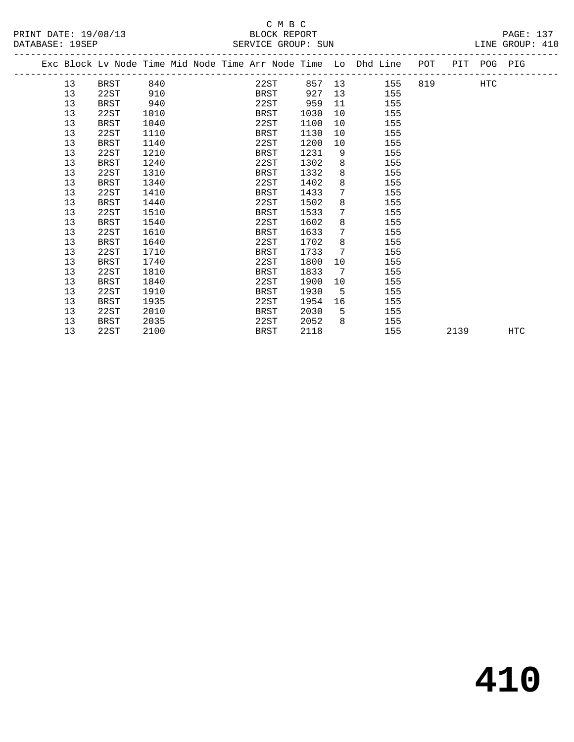|  |    | Exc Block Lv Node Time Mid Node Time Arr Node Time Lo Dhd Line POT PIT POG PIG |      |  |      |      |                 |        |     |          |      |     |     |
|--|----|--------------------------------------------------------------------------------|------|--|------|------|-----------------|--------|-----|----------|------|-----|-----|
|  | 13 | <b>BRST</b>                                                                    | 840  |  | 22ST |      |                 | 857 13 | 155 | 819 — 10 |      | HTC |     |
|  | 13 | 22ST                                                                           | 910  |  | BRST | 927  | 13              |        | 155 |          |      |     |     |
|  | 13 | <b>BRST</b>                                                                    | 940  |  | 22ST | 959  | 11              |        | 155 |          |      |     |     |
|  | 13 | 22ST                                                                           | 1010 |  | BRST | 1030 | 10              |        | 155 |          |      |     |     |
|  | 13 | <b>BRST</b>                                                                    | 1040 |  | 22ST | 1100 | 10 <sup>°</sup> |        | 155 |          |      |     |     |
|  | 13 | 22ST                                                                           | 1110 |  | BRST | 1130 | 10              |        | 155 |          |      |     |     |
|  | 13 | <b>BRST</b>                                                                    | 1140 |  | 22ST | 1200 | 10              |        | 155 |          |      |     |     |
|  | 13 | 22ST                                                                           | 1210 |  | BRST | 1231 | 9               |        | 155 |          |      |     |     |
|  | 13 | <b>BRST</b>                                                                    | 1240 |  | 22ST | 1302 | 8               |        | 155 |          |      |     |     |
|  | 13 | 22ST                                                                           | 1310 |  | BRST | 1332 | 8               |        | 155 |          |      |     |     |
|  | 13 | <b>BRST</b>                                                                    | 1340 |  | 22ST | 1402 | 8               |        | 155 |          |      |     |     |
|  | 13 | 22ST                                                                           | 1410 |  | BRST | 1433 | $7\overline{ }$ |        | 155 |          |      |     |     |
|  | 13 | <b>BRST</b>                                                                    | 1440 |  | 22ST | 1502 | 8               |        | 155 |          |      |     |     |
|  | 13 | 22ST                                                                           | 1510 |  | BRST | 1533 | $7\phantom{.0}$ |        | 155 |          |      |     |     |
|  | 13 | BRST                                                                           | 1540 |  | 22ST | 1602 | 8               |        | 155 |          |      |     |     |
|  | 13 | 22ST                                                                           | 1610 |  | BRST | 1633 | $7\phantom{.0}$ |        | 155 |          |      |     |     |
|  | 13 | <b>BRST</b>                                                                    | 1640 |  | 22ST | 1702 | 8               |        | 155 |          |      |     |     |
|  | 13 | 22ST                                                                           | 1710 |  | BRST | 1733 | 7               |        | 155 |          |      |     |     |
|  | 13 | <b>BRST</b>                                                                    | 1740 |  | 22ST | 1800 | 10              |        | 155 |          |      |     |     |
|  | 13 | 22ST                                                                           | 1810 |  | BRST | 1833 | $7\overline{ }$ |        | 155 |          |      |     |     |
|  | 13 | <b>BRST</b>                                                                    | 1840 |  | 22ST | 1900 | 10              |        | 155 |          |      |     |     |
|  | 13 | 22ST                                                                           | 1910 |  | BRST | 1930 | 5               |        | 155 |          |      |     |     |
|  | 13 | <b>BRST</b>                                                                    | 1935 |  | 22ST | 1954 | 16              |        | 155 |          |      |     |     |
|  | 13 | 22ST                                                                           | 2010 |  | BRST | 2030 | 5               |        | 155 |          |      |     |     |
|  | 13 | <b>BRST</b>                                                                    | 2035 |  | 22ST | 2052 | 8               |        | 155 |          |      |     |     |
|  | 13 | 22ST                                                                           | 2100 |  | BRST | 2118 |                 |        | 155 |          | 2139 |     | HTC |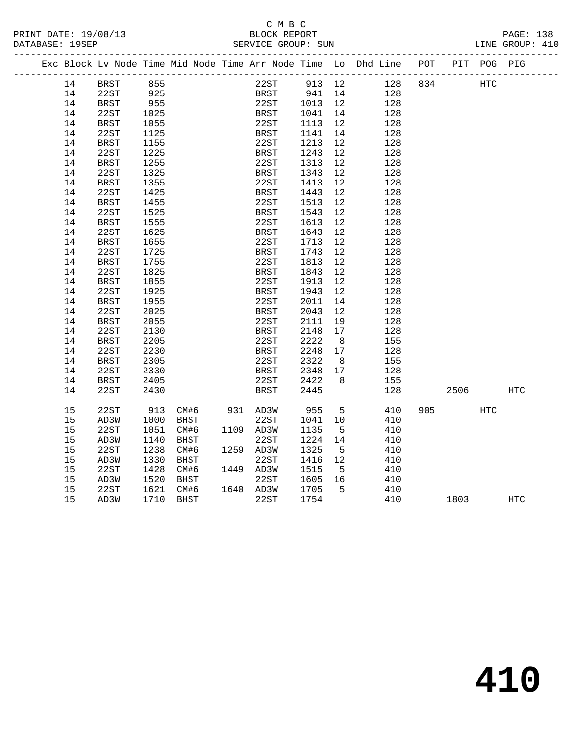# C M B C<br>BLOCK REPORT

| PRINT DATE: 19/08/13 | <u>ب سین</u> ب<br>BLOCK REPORT | PAGE: 138       |
|----------------------|--------------------------------|-----------------|
| DATABASE: 19SEP      | SERVICE GROUP: SUN             | LINE GROUP: 410 |
|                      |                                |                 |

|  |    |             |      |             |      | Exc Block Lv Node Time Mid Node Time Arr Node Time Lo Dhd Line |        |     |     | POT | PIT  | POG PIG    |            |
|--|----|-------------|------|-------------|------|----------------------------------------------------------------|--------|-----|-----|-----|------|------------|------------|
|  | 14 | <b>BRST</b> | 855  |             |      | 22ST                                                           | 913 12 |     | 128 | 834 |      | HTC        |            |
|  | 14 | 22ST        | 925  |             |      | BRST                                                           | 941    | 14  | 128 |     |      |            |            |
|  | 14 | <b>BRST</b> | 955  |             |      | 22ST                                                           | 1013   | 12  | 128 |     |      |            |            |
|  | 14 | 22ST        | 1025 |             |      | <b>BRST</b>                                                    | 1041   | 14  | 128 |     |      |            |            |
|  | 14 | <b>BRST</b> | 1055 |             |      | 22ST                                                           | 1113   | 12  | 128 |     |      |            |            |
|  | 14 | 22ST        | 1125 |             |      | BRST                                                           | 1141   | 14  | 128 |     |      |            |            |
|  | 14 | <b>BRST</b> | 1155 |             |      | 22ST                                                           | 1213   | 12  | 128 |     |      |            |            |
|  | 14 | 22ST        | 1225 |             |      | BRST                                                           | 1243   | 12  | 128 |     |      |            |            |
|  | 14 | <b>BRST</b> | 1255 |             |      | 22ST                                                           | 1313   | 12  | 128 |     |      |            |            |
|  | 14 | 22ST        | 1325 |             |      | <b>BRST</b>                                                    | 1343   | 12  | 128 |     |      |            |            |
|  | 14 | <b>BRST</b> | 1355 |             |      | 22ST                                                           | 1413   | 12  | 128 |     |      |            |            |
|  | 14 | 22ST        | 1425 |             |      | BRST                                                           | 1443   | 12  | 128 |     |      |            |            |
|  | 14 | <b>BRST</b> | 1455 |             |      | 22ST                                                           | 1513   | 12  | 128 |     |      |            |            |
|  | 14 | 22ST        | 1525 |             |      | BRST                                                           | 1543   | 12  | 128 |     |      |            |            |
|  | 14 | <b>BRST</b> | 1555 |             |      | 22ST                                                           | 1613   | 12  | 128 |     |      |            |            |
|  | 14 | 22ST        | 1625 |             |      | <b>BRST</b>                                                    | 1643   | 12  | 128 |     |      |            |            |
|  | 14 | <b>BRST</b> | 1655 |             |      | 22ST                                                           | 1713   | 12  | 128 |     |      |            |            |
|  | 14 | 22ST        | 1725 |             |      | <b>BRST</b>                                                    | 1743   | 12  | 128 |     |      |            |            |
|  | 14 | BRST        | 1755 |             |      | 22ST                                                           | 1813   | 12  | 128 |     |      |            |            |
|  | 14 | 22ST        | 1825 |             |      | BRST                                                           | 1843   | 12  | 128 |     |      |            |            |
|  | 14 | <b>BRST</b> | 1855 |             |      | 22ST                                                           | 1913   | 12  | 128 |     |      |            |            |
|  | 14 | 22ST        | 1925 |             |      | <b>BRST</b>                                                    | 1943   | 12  | 128 |     |      |            |            |
|  | 14 | <b>BRST</b> | 1955 |             |      | 22ST                                                           | 2011   | 14  | 128 |     |      |            |            |
|  | 14 | 22ST        | 2025 |             |      | <b>BRST</b>                                                    | 2043   | 12  | 128 |     |      |            |            |
|  | 14 | BRST        | 2055 |             |      | 22ST                                                           | 2111   | 19  | 128 |     |      |            |            |
|  | 14 | 22ST        | 2130 |             |      | <b>BRST</b>                                                    | 2148   | 17  | 128 |     |      |            |            |
|  | 14 | <b>BRST</b> | 2205 |             |      | 22ST                                                           | 2222   | 8   | 155 |     |      |            |            |
|  | 14 | 22ST        | 2230 |             |      | <b>BRST</b>                                                    | 2248   | 17  | 128 |     |      |            |            |
|  | 14 | <b>BRST</b> | 2305 |             |      | 22ST                                                           | 2322   | - 8 | 155 |     |      |            |            |
|  | 14 | 22ST        | 2330 |             |      | BRST                                                           | 2348   | 17  | 128 |     |      |            |            |
|  | 14 | <b>BRST</b> | 2405 |             |      | 22ST                                                           | 2422   | 8   | 155 |     |      |            |            |
|  | 14 | 22ST        | 2430 |             |      | <b>BRST</b>                                                    | 2445   |     | 128 |     | 2506 |            | <b>HTC</b> |
|  | 15 | 22ST        | 913  | CM#6        |      | 931 AD3W                                                       | 955    | 5   | 410 | 905 |      | <b>HTC</b> |            |
|  | 15 | AD3W        | 1000 | <b>BHST</b> |      | 22ST                                                           | 1041   | 10  | 410 |     |      |            |            |
|  | 15 | 22ST        | 1051 | CM#6        |      | 1109 AD3W                                                      | 1135   | 5   | 410 |     |      |            |            |
|  | 15 | AD3W        | 1140 | <b>BHST</b> |      | 22ST                                                           | 1224   | 14  | 410 |     |      |            |            |
|  | 15 | 22ST        | 1238 | CM#6        | 1259 | AD3W                                                           | 1325   | 5   | 410 |     |      |            |            |
|  | 15 | AD3W        | 1330 | <b>BHST</b> |      | 22ST                                                           | 1416   | 12  | 410 |     |      |            |            |
|  | 15 | 22ST        | 1428 | CM#6        |      | 1449 AD3W                                                      | 1515   | 5   | 410 |     |      |            |            |
|  | 15 | AD3W        | 1520 | <b>BHST</b> |      | 22ST                                                           | 1605   | 16  | 410 |     |      |            |            |
|  | 15 | 22ST        | 1621 | CM#6        |      | 1640 AD3W                                                      | 1705   | 5   | 410 |     |      |            |            |
|  | 15 | AD3W        | 1710 | BHST        |      | 22ST                                                           | 1754   |     | 410 |     | 1803 |            | HTC        |
|  |    |             |      |             |      |                                                                |        |     |     |     |      |            |            |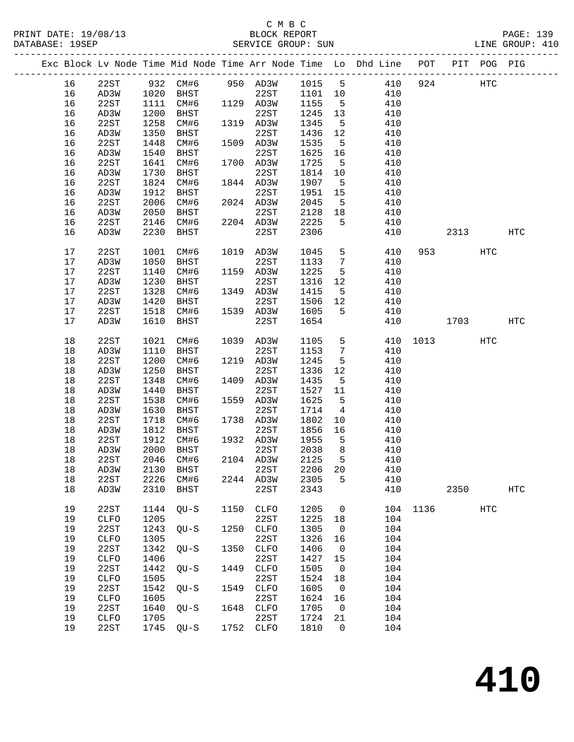### C M B C<br>BLOCK REPORT SERVICE GROUP: SUN

|  |          |                     |              |                |      |              |              |                      | Exc Block Lv Node Time Mid Node Time Arr Node Time Lo Dhd Line POT |          |          | PIT POG PIG |                   |
|--|----------|---------------------|--------------|----------------|------|--------------|--------------|----------------------|--------------------------------------------------------------------|----------|----------|-------------|-------------------|
|  | 16       | 22ST                |              | 932 CM#6       |      | 950 AD3W     | 1015 5       |                      | 410                                                                | 924      |          | HTC         |                   |
|  | 16       | AD3W                | 1020         | BHST           |      | 22ST         | 1101 10      |                      | 410                                                                |          |          |             |                   |
|  | 16       | 22ST                | 1111         | CM#6           |      | 1129 AD3W    | 1155         | $5^{\circ}$          | 410                                                                |          |          |             |                   |
|  | 16       | AD3W                | 1200         | BHST           |      | 22ST         | 1245         | 13                   | 410                                                                |          |          |             |                   |
|  | 16       | 22ST                | 1258         | CM#6           |      | 1319 AD3W    | 1345         | 5                    | 410                                                                |          |          |             |                   |
|  | 16       | AD3W                | 1350         | BHST           |      | 22ST         | 1436         | 12                   | 410                                                                |          |          |             |                   |
|  | 16       | 22ST                | 1448         | CM#6           |      | 1509 AD3W    | 1535         | $5^{\circ}$          | 410                                                                |          |          |             |                   |
|  | 16       | AD3W                | 1540         | BHST           |      | 22ST         | 1625         | 16                   | 410                                                                |          |          |             |                   |
|  | 16       | 22ST                | 1641         | CM#6           |      | 1700 AD3W    | 1725         | 5                    | 410                                                                |          |          |             |                   |
|  | 16       | AD3W                | 1730         | BHST           |      | 22ST         | 1814         | 10                   | 410                                                                |          |          |             |                   |
|  | 16       | 22ST                | 1824         | CM#6           |      | 1844 AD3W    | 1907         | $5^{\circ}$          | 410                                                                |          |          |             |                   |
|  | 16       | AD3W                | 1912         | BHST           |      | 22ST         | 1951         | 15                   | 410                                                                |          |          |             |                   |
|  | 16       | 22ST                | 2006         | CM#6           |      | 2024 AD3W    | 2045         | 5                    | 410                                                                |          |          |             |                   |
|  | 16       | AD3W                | 2050         | BHST           |      | 22ST         | 2128         | 18                   | 410                                                                |          |          |             |                   |
|  | 16       | 22ST                | 2146         | CM#6           |      | 2204 AD3W    | 2225         | 5                    | 410                                                                |          |          |             |                   |
|  | 16       | AD3W                | 2230         | BHST           |      | 22ST         | 2306         |                      | 410                                                                |          | 2313     |             | <b>HTC</b>        |
|  |          |                     |              |                |      |              |              |                      |                                                                    |          |          |             |                   |
|  | $17$     | 22ST                | 1001         | CM#6           |      | 1019 AD3W    | 1045         | 5                    | 410                                                                |          | 953 [18] | HTC         |                   |
|  | 17       | AD3W                | 1050         | BHST           |      | 22ST         | 1133         | $7\phantom{.0}$      | 410                                                                |          |          |             |                   |
|  | 17       | 22ST                | 1140         | CM#6           |      | 1159 AD3W    | 1225         | 5                    | 410                                                                |          |          |             |                   |
|  | 17       | AD3W                | 1230         | BHST           |      | 22ST         | 1316         | 12                   | 410                                                                |          |          |             |                   |
|  | 17       | 22ST                | 1328         | CM#6           |      | 1349 AD3W    | 1415         | 5                    | 410                                                                |          |          |             |                   |
|  | 17       | AD3W                | 1420         | BHST           |      | 22ST         | 1506         | 12                   | 410                                                                |          |          |             |                   |
|  | 17       | 22ST                | 1518         | CM#6           |      | 1539 AD3W    | 1605         | 5                    | 410                                                                |          |          |             |                   |
|  | 17       | AD3W                | 1610         | BHST           |      | 22ST         | 1654         |                      | 410                                                                |          | 1703     |             | <b>HTC</b>        |
|  |          |                     |              |                |      |              |              |                      |                                                                    |          |          |             |                   |
|  | 18       | 22ST                | 1021         | CM#6           |      | 1039 AD3W    | 1105         | 5                    | 410                                                                |          | 1013     | HTC         |                   |
|  | 18       | AD3W                | 1110         | BHST           |      | 22ST         | 1153         | $7\phantom{.0}$      | 410                                                                |          |          |             |                   |
|  | 18       | 22ST                | 1200         | CM#6           |      | 1219 AD3W    | 1245         | 5                    | 410                                                                |          |          |             |                   |
|  | 18       | AD3W                | 1250         | BHST           |      | 22ST         | 1336         | 12                   | 410                                                                |          |          |             |                   |
|  | 18       | 22ST                | 1348         | CM#6           |      | 1409 AD3W    | 1435         | 5                    | 410                                                                |          |          |             |                   |
|  | 18       | AD3W                | 1440         | BHST           |      | 22ST         | 1527         | 11                   | 410                                                                |          |          |             |                   |
|  | 18       | 22ST                | 1538         | CM#6           |      | 1559 AD3W    | 1625         | 5                    | 410                                                                |          |          |             |                   |
|  | 18       | AD3W                | 1630         | BHST           |      | 22ST         | 1714         | $\overline{4}$       | 410                                                                |          |          |             |                   |
|  | 18       | 22ST                | 1718         | CM#6           |      | 1738 AD3W    | 1802         | 10                   | 410                                                                |          |          |             |                   |
|  | 18       | AD3W                | 1812         | BHST           |      | 22ST         | 1856         | 16                   | 410                                                                |          |          |             |                   |
|  | 18       | 22ST                | 1912         | CM#6           |      | 1932 AD3W    | 1955         | $-5$                 | 410                                                                |          |          |             |                   |
|  | 18       | AD3W                | 2000         | BHST           |      | 22ST         | 2038         | 8 <sup>8</sup>       | 410                                                                |          |          |             |                   |
|  | 18       | 22ST                | 2046         | CM#6           |      | 2104 AD3W    | 2125         | $5^{\circ}$          | 410                                                                |          |          |             |                   |
|  | $18\,$   | AD3W                |              | 2130 BHST 22ST |      |              | 2206 20      |                      | 410                                                                |          |          |             |                   |
|  | 18       | 22ST                | 2226         | CM#6           |      | 2244 AD3W    | 2305         | 5                    | 410                                                                |          |          |             |                   |
|  | 18       | AD3W                | 2310         | BHST           |      | 22ST         | 2343         |                      | 410                                                                |          | 2350     |             | $_{\mathrm{HTC}}$ |
|  |          |                     |              |                |      |              |              |                      |                                                                    |          |          |             |                   |
|  | 19       | 22ST                | 1144         | $QU-S$         | 1150 | CLFO         | 1205         | $\overline{0}$       |                                                                    | 104 1136 |          | HTC         |                   |
|  | 19       | CLFO<br>22ST        | 1205         |                | 1250 | 22ST         | 1225         | 18                   | 104                                                                |          |          |             |                   |
|  | 19       |                     | 1243         | $QU-S$         |      | <b>CLFO</b>  | 1305         | 0                    | 104                                                                |          |          |             |                   |
|  | 19       | CLFO                | 1305         |                |      | 22ST         | 1326         | 16                   | 104                                                                |          |          |             |                   |
|  | 19<br>19 | 22ST<br><b>CLFO</b> | 1342<br>1406 | $QU-S$         | 1350 | CLFO<br>22ST | 1406<br>1427 | $\overline{0}$<br>15 | 104<br>104                                                         |          |          |             |                   |
|  | 19       | 22ST                | 1442         | $QU-S$         | 1449 | <b>CLFO</b>  | 1505         | $\mathbf 0$          | 104                                                                |          |          |             |                   |
|  | 19       | CLFO                | 1505         |                |      | 22ST         | 1524         | 18                   | 104                                                                |          |          |             |                   |
|  | 19       | 22ST                | 1542         |                | 1549 | CLFO         | 1605         | $\overline{0}$       | 104                                                                |          |          |             |                   |
|  | 19       | CLFO                | 1605         | QU-S           |      | 22ST         | 1624         | 16                   | 104                                                                |          |          |             |                   |
|  | 19       | 22ST                | 1640         | $QU-S$         | 1648 | <b>CLFO</b>  | 1705         | $\mathbf 0$          | 104                                                                |          |          |             |                   |
|  | 19       | CLFO                | 1705         |                |      | 22ST         | 1724         | 21                   | 104                                                                |          |          |             |                   |
|  | 19       | 22ST                | 1745         | $QU-S$         |      | 1752 CLFO    | 1810         | $\mathbf 0$          | 104                                                                |          |          |             |                   |
|  |          |                     |              |                |      |              |              |                      |                                                                    |          |          |             |                   |

**410**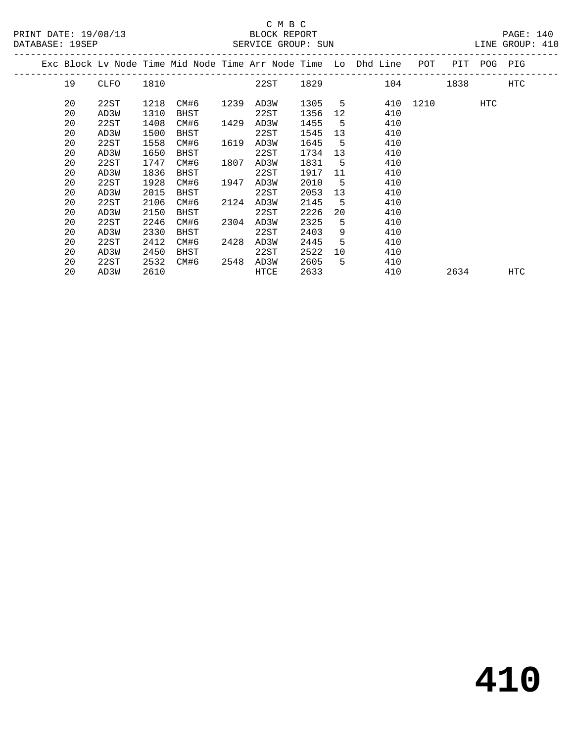PRINT DATE: 19/08/13 BLOCK REPORT<br>
DATABASE: 19SEP<br>
SERVICE GROUP: SUN

## C M B C<br>BLOCK REPORT

PAGE: 140<br>LINE GROUP: 410

|  | DAIADAOL. 190LF |      |      |      |      | ALAILL GRUUP. AUN |             |                |                                                                    | ATMP AVAAR. TIA |      |         |            |  |
|--|-----------------|------|------|------|------|-------------------|-------------|----------------|--------------------------------------------------------------------|-----------------|------|---------|------------|--|
|  |                 |      |      |      |      |                   |             |                | Exc Block Lv Node Time Mid Node Time Arr Node Time Lo Dhd Line POT |                 |      | PIT POG | PIG        |  |
|  | 19              | CLFO | 1810 |      |      | 22ST              | 1829   1820 |                |                                                                    | 104             | 1838 |         | <b>HTC</b> |  |
|  | 20              | 22ST | 1218 | CM#6 | 1239 | AD3W              | 1305 5      |                |                                                                    | 410 1210        |      | HTC     |            |  |
|  | 20              | AD3W | 1310 | BHST |      | 22ST              | 1356        | 12             | 410                                                                |                 |      |         |            |  |
|  | 20              | 22ST | 1408 | CM#6 | 1429 | AD3W              | 1455        | $-5$           | 410                                                                |                 |      |         |            |  |
|  | 20              | AD3W | 1500 | BHST |      | 22ST              | 1545        | 13             | 410                                                                |                 |      |         |            |  |
|  | 20              | 22ST | 1558 | CM#6 | 1619 | AD3W              | 1645        | 5 <sup>5</sup> | 410                                                                |                 |      |         |            |  |
|  | 20              | AD3W | 1650 | BHST |      | 22ST              | 1734        | 13             | 410                                                                |                 |      |         |            |  |
|  | 20              | 22ST | 1747 | CM#6 | 1807 | AD3W              | 1831        | 5              | 410                                                                |                 |      |         |            |  |
|  | 20              | AD3W | 1836 | BHST |      | 22ST              | 1917        | 11             | 410                                                                |                 |      |         |            |  |
|  | 20              | 22ST | 1928 | CM#6 | 1947 | AD3W              | 2010        | $-5$           | 410                                                                |                 |      |         |            |  |
|  | 20              | AD3W | 2015 | BHST |      | 22ST              | 2053        | 13             | 410                                                                |                 |      |         |            |  |
|  | 20              | 22ST | 2106 | CM#6 | 2124 | AD3W              | 2145        | $-5$           | 410                                                                |                 |      |         |            |  |
|  | 20              | AD3W | 2150 | BHST |      | 22ST              | 2226        | 20             | 410                                                                |                 |      |         |            |  |
|  | 20              | 22ST | 2246 | CM#6 | 2304 | AD3W              | 2325        | 5              | 410                                                                |                 |      |         |            |  |
|  | 20              | AD3W | 2330 | BHST |      | 22ST              | 2403        | 9              | 410                                                                |                 |      |         |            |  |
|  | 20              | 22ST | 2412 | CM#6 | 2428 | AD3W              | 2445        | 5              | 410                                                                |                 |      |         |            |  |
|  | 20              | AD3W | 2450 | BHST |      | 22ST              | 2522        | 10             | 410                                                                |                 |      |         |            |  |
|  | 20              | 22ST | 2532 | CM#6 | 2548 | AD3W              | 2605        | 5              | 410                                                                |                 |      |         |            |  |
|  | 20              | AD3W | 2610 |      |      | HTCE              | 2633        |                | 410                                                                |                 | 2634 |         | <b>HTC</b> |  |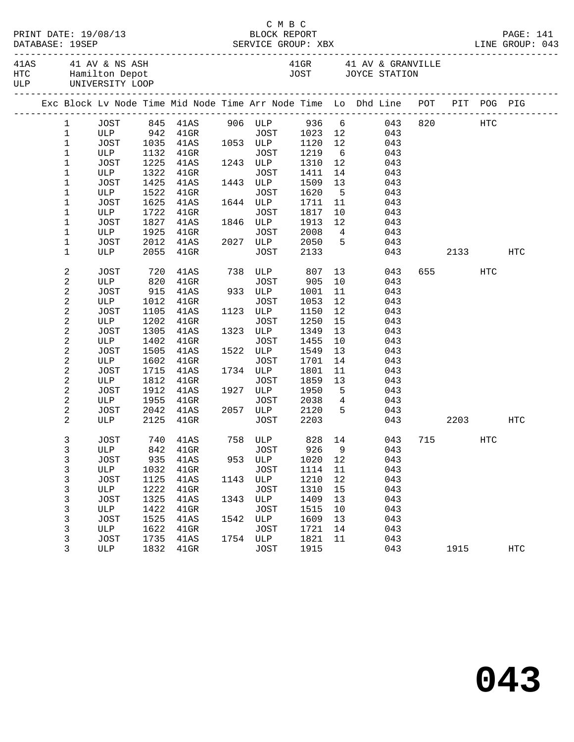| C M B C<br>DATABASE: 19SEP |  |                |                     |      |                                                                                |      |             |      |             |                 |     |  |         |            |     |
|----------------------------|--|----------------|---------------------|------|--------------------------------------------------------------------------------|------|-------------|------|-------------|-----------------|-----|--|---------|------------|-----|
|                            |  |                | ULP UNIVERSITY LOOP |      | 41AS 41 AV & NS ASH 41GR 41 AV & GRANVILLE HTC Hamilton Depot                  |      |             |      |             |                 |     |  |         |            |     |
|                            |  |                |                     |      | Exc Block Lv Node Time Mid Node Time Arr Node Time Lo Dhd Line POT PIT POG PIG |      |             |      |             |                 |     |  |         |            |     |
|                            |  | $\mathbf{1}$   |                     |      | JOST 845 41AS 906 ULP 936 6 043                                                |      |             |      |             |                 |     |  | 820 HTC |            |     |
|                            |  | $\mathbf 1$    |                     |      | ULP 942 41GR JOST 1023 12 043<br>JOST 1035 41AS 1053 ULP 1120 12 043           |      |             |      |             |                 |     |  |         |            |     |
|                            |  | $\mathbf{1}$   |                     |      |                                                                                |      |             |      |             |                 |     |  |         |            |     |
|                            |  | $\mathbf 1$    | ULP                 | 1132 | 41GR                                                                           |      | JOST        | 1219 |             | 6 <sup>1</sup>  | 043 |  |         |            |     |
|                            |  | $\mathbf 1$    | JOST                | 1225 | 41AS                                                                           |      | 1243 ULP    | 1310 | 12          |                 | 043 |  |         |            |     |
|                            |  | $\mathbf 1$    | ULP                 | 1322 | $41$ GR                                                                        |      | JOST        | 1411 | 14          |                 | 043 |  |         |            |     |
|                            |  | $\mathbf 1$    | JOST                | 1425 | 41AS                                                                           |      | 1443 ULP    | 1509 | 13          |                 | 043 |  |         |            |     |
|                            |  | 1              | ULP                 | 1522 | $41$ GR                                                                        |      | JOST        | 1620 | $5^{\circ}$ |                 | 043 |  |         |            |     |
|                            |  | 1              | JOST                | 1625 | 41AS                                                                           |      | 1644 ULP    | 1711 | 11          |                 | 043 |  |         |            |     |
|                            |  | $\mathbf 1$    | ULP                 | 1722 | $41$ GR                                                                        |      | JOST        | 1817 | 10          |                 | 043 |  |         |            |     |
|                            |  | $\mathbf 1$    | JOST                | 1827 | 41AS                                                                           |      | 1846 ULP    | 1913 | 12          | $4\overline{ }$ | 043 |  |         |            |     |
|                            |  | 1              | ULP                 | 1925 | $41$ GR                                                                        |      | JOST        | 2008 |             |                 | 043 |  |         |            |     |
|                            |  | $\mathbf 1$    | <b>JOST</b>         | 2012 | 41AS                                                                           |      | 2027 ULP    | 2050 |             | $5^{\circ}$     | 043 |  |         |            |     |
|                            |  | $\mathbf{1}$   | ULP                 | 2055 | $41$ GR                                                                        |      | JOST        | 2133 |             |                 | 043 |  |         | 2133       | HTC |
|                            |  | 2              | JOST                | 720  | 41AS                                                                           |      | 738 ULP 807 |      |             | 13              | 043 |  | 655 000 | <b>HTC</b> |     |
|                            |  | $\mathbf{2}$   | ULP                 |      | 820 41GR                                                                       |      | JOST        | 905  | 10          |                 | 043 |  |         |            |     |
|                            |  | $\sqrt{2}$     | <b>JOST</b>         | 915  | 41AS                                                                           |      | 933 ULP     | 1001 | 11          |                 | 043 |  |         |            |     |
|                            |  | $\sqrt{2}$     | ULP                 | 1012 | $41$ GR                                                                        |      | JOST        | 1053 | 12          |                 | 043 |  |         |            |     |
|                            |  | 2              | JOST                | 1105 | 41AS                                                                           |      | 1123 ULP    | 1150 | 12          |                 | 043 |  |         |            |     |
|                            |  | 2              | ULP                 | 1202 | $41$ GR                                                                        |      | JOST        | 1250 | 15          |                 | 043 |  |         |            |     |
|                            |  | 2              | <b>JOST</b>         | 1305 | 41AS                                                                           |      | 1323 ULP    | 1349 | 13          |                 | 043 |  |         |            |     |
|                            |  | $\sqrt{2}$     | ULP                 | 1402 | $41$ GR                                                                        |      | JOST        | 1455 | 10          |                 | 043 |  |         |            |     |
|                            |  | $\sqrt{2}$     | <b>JOST</b>         | 1505 | 41AS                                                                           |      | 1522 ULP    | 1549 | 13          |                 | 043 |  |         |            |     |
|                            |  | 2              | ULP                 | 1602 | $41$ GR                                                                        |      | JOST        | 1701 | 14          |                 | 043 |  |         |            |     |
|                            |  | 2              | <b>JOST</b>         | 1715 | 41AS                                                                           |      | 1734 ULP    | 1801 | 11          |                 | 043 |  |         |            |     |
|                            |  | $\sqrt{2}$     | ULP                 | 1812 | $41$ GR                                                                        |      | JOST        | 1859 | 13          |                 | 043 |  |         |            |     |
|                            |  | $\sqrt{2}$     | <b>JOST</b>         | 1912 | 41AS                                                                           |      | 1927 ULP    | 1950 | $5^{\circ}$ |                 | 043 |  |         |            |     |
|                            |  | 2              | ULP                 | 1955 | 41GR                                                                           |      | JOST        | 2038 |             | $4\overline{ }$ | 043 |  |         |            |     |
|                            |  | 2              | JOST                | 2042 | 41AS                                                                           |      | 2057 ULP    | 2120 |             | $5 - 5$         | 043 |  |         |            |     |
|                            |  | $\overline{2}$ | ULP                 | 2125 | $41$ GR                                                                        |      | JOST        | 2203 |             |                 | 043 |  | 2203    |            | HTC |
|                            |  | 3              |                     |      | JOST 740 41AS 758 ULP 828 14 043 715                                           |      |             |      |             |                 |     |  |         | HTC        |     |
|                            |  | 3              | ULP                 | 842  | $41$ GR                                                                        |      | JOST        | 926  | 9           |                 | 043 |  |         |            |     |
|                            |  | 3              | <b>JOST</b>         | 935  | 41AS                                                                           |      | 953 ULP     | 1020 | 12          |                 | 043 |  |         |            |     |
|                            |  | 3              | ULP                 | 1032 | $41$ GR                                                                        |      | JOST        | 1114 | 11          |                 | 043 |  |         |            |     |
|                            |  | 3              | <b>JOST</b>         | 1125 | 41AS                                                                           | 1143 | ULP         | 1210 | 12          |                 | 043 |  |         |            |     |
|                            |  | 3              | ULP                 | 1222 | $41$ GR                                                                        |      | JOST        | 1310 | 15          |                 | 043 |  |         |            |     |
|                            |  | 3              | <b>JOST</b>         | 1325 | 41AS                                                                           | 1343 | ULP         | 1409 | 13          |                 | 043 |  |         |            |     |
|                            |  | 3              | ULP                 | 1422 | $41$ GR                                                                        |      | JOST        | 1515 | 10          |                 | 043 |  |         |            |     |
|                            |  | 3              | <b>JOST</b>         | 1525 | 41AS                                                                           | 1542 | ULP         | 1609 | 13          |                 | 043 |  |         |            |     |
|                            |  | 3              | ULP                 | 1622 | $41$ GR                                                                        |      | JOST        | 1721 | 14          |                 | 043 |  |         |            |     |
|                            |  | 3              | <b>JOST</b>         | 1735 | 41AS                                                                           | 1754 | ULP         | 1821 | 11          |                 | 043 |  |         |            |     |
|                            |  | 3              | ULP                 | 1832 | $41$ GR                                                                        |      | JOST        | 1915 |             |                 | 043 |  | 1915    |            | HTC |
|                            |  |                |                     |      |                                                                                |      |             |      |             |                 |     |  |         |            |     |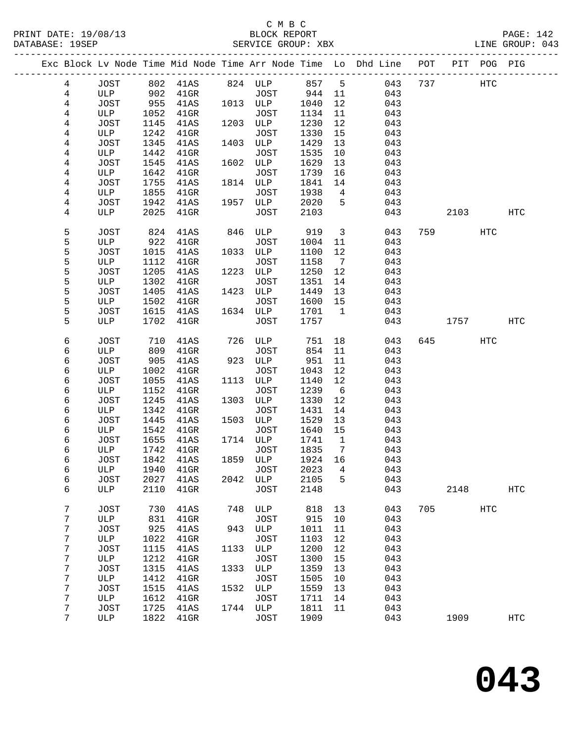|  |                       |              |              |                 |      |             |              |                              | Exc Block Lv Node Time Mid Node Time Arr Node Time Lo Dhd Line POT PIT POG PIG |     |      |            |                   |
|--|-----------------------|--------------|--------------|-----------------|------|-------------|--------------|------------------------------|--------------------------------------------------------------------------------|-----|------|------------|-------------------|
|  | $\overline{4}$        | JOST         | 802          | 41AS            |      | 824 ULP     | 857          | $5^{\circ}$                  | 043                                                                            | 737 |      | HTC        |                   |
|  | $\overline{4}$        | ULP          | 902          | $41$ GR         |      | JOST        | 944          | 11                           | 043                                                                            |     |      |            |                   |
|  | $\overline{4}$        | JOST         | 955          | 41AS            |      | 1013 ULP    | 1040         | 12                           | 043                                                                            |     |      |            |                   |
|  | 4                     | ULP          | 1052         | $41$ GR         |      | JOST        | 1134         | 11                           | 043                                                                            |     |      |            |                   |
|  | 4                     | JOST         | 1145         | 41AS            | 1203 | ULP         | 1230         | 12                           | 043                                                                            |     |      |            |                   |
|  | 4                     | ULP          | 1242         | $41$ GR         |      | JOST        | 1330         | 15                           | 043                                                                            |     |      |            |                   |
|  | 4                     | JOST         | 1345         | 41AS            | 1403 | ULP         | 1429         | 13                           | 043                                                                            |     |      |            |                   |
|  | 4                     | ULP          | 1442         | $41$ GR         |      | JOST        | 1535         | 10                           | 043                                                                            |     |      |            |                   |
|  | 4                     | JOST         | 1545         | 41AS            | 1602 | ULP         | 1629         | 13                           | 043                                                                            |     |      |            |                   |
|  | 4                     | ULP          | 1642         | $41$ GR         |      | JOST        | 1739         | 16                           | 043                                                                            |     |      |            |                   |
|  | 4                     | JOST         | 1755         | 41AS            |      | 1814 ULP    | 1841         | 14                           | 043                                                                            |     |      |            |                   |
|  | 4                     | ULP          | 1855         | $41$ GR         |      | JOST        | 1938         | $4\overline{4}$              | 043                                                                            |     |      |            |                   |
|  | 4                     | JOST         | 1942         | 41AS            | 1957 | ULP         | 2020         | 5                            | 043                                                                            |     |      |            |                   |
|  | 4                     | ULP          | 2025         | $41$ GR         |      | JOST        | 2103         |                              | 043                                                                            |     | 2103 |            | HTC               |
|  | 5                     | <b>JOST</b>  | 824          | 41AS            | 846  | ULP         | 919          | $\mathbf{3}$                 | 043                                                                            | 759 |      | HTC        |                   |
|  | 5                     | ULP          | 922          | $41$ GR         |      | JOST        | 1004         | 11                           | 043                                                                            |     |      |            |                   |
|  | 5<br>5                | JOST         | 1015         | 41AS            | 1033 | ULP<br>JOST | 1100         | 12                           | 043                                                                            |     |      |            |                   |
|  | 5                     | ULP<br>JOST  | 1112<br>1205 | $41$ GR<br>41AS | 1223 | ULP         | 1158<br>1250 | $\overline{7}$<br>12         | 043<br>043                                                                     |     |      |            |                   |
|  | 5                     | ULP          | 1302         | $41$ GR         |      | <b>JOST</b> | 1351         | 14                           | 043                                                                            |     |      |            |                   |
|  | 5                     | JOST         | 1405         | 41AS            | 1423 | ULP         | 1449         | 13                           | 043                                                                            |     |      |            |                   |
|  | 5                     | ULP          | 1502         | $41$ GR         |      | <b>JOST</b> | 1600         | 15                           | 043                                                                            |     |      |            |                   |
|  | 5                     | JOST         | 1615         | 41AS            |      | 1634 ULP    | 1701         | $\mathbf{1}$                 | 043                                                                            |     |      |            |                   |
|  | 5                     | ULP          | 1702         | $41$ GR         |      | <b>JOST</b> | 1757         |                              | 043                                                                            |     | 1757 |            | HTC               |
|  |                       |              |              |                 |      |             |              |                              |                                                                                |     |      |            |                   |
|  | 6                     | JOST         | 710          | 41AS            | 726  | ULP         | 751          | 18                           | 043                                                                            | 645 |      | HTC        |                   |
|  | 6                     | ULP          | 809          | $41$ GR         |      | JOST        | 854          | 11                           | 043                                                                            |     |      |            |                   |
|  | 6                     | JOST         | 905          | 41AS            | 923  | ULP         | 951          | 11                           | 043                                                                            |     |      |            |                   |
|  | 6                     | ULP          | 1002         | $41$ GR         |      | JOST        | 1043         | 12                           | 043                                                                            |     |      |            |                   |
|  | 6                     | JOST         | 1055         | 41AS            | 1113 | ULP         | 1140         | 12                           | 043                                                                            |     |      |            |                   |
|  | 6<br>6                | ULP          | 1152<br>1245 | $41$ GR         | 1303 | JOST        | 1239         | 6<br>12                      | 043                                                                            |     |      |            |                   |
|  | 6                     | JOST<br>ULP  |              | 41AS            |      | ULP<br>JOST | 1330<br>1431 | 14                           | 043<br>043                                                                     |     |      |            |                   |
|  | 6                     | JOST         | 1342<br>1445 | $41$ GR<br>41AS | 1503 | ULP         | 1529         | 13                           | 043                                                                            |     |      |            |                   |
|  | 6                     | ULP          | 1542         | $41$ GR         |      | JOST        | 1640         | 15                           | 043                                                                            |     |      |            |                   |
|  | 6                     | JOST         | 1655         | 41AS            |      | 1714 ULP    | 1741         | $\mathbf{1}$                 | 043                                                                            |     |      |            |                   |
|  | 6                     | ULP          | 1742         | $41$ GR         |      | JOST        | 1835         | $7\phantom{.0}\phantom{.0}7$ | 043                                                                            |     |      |            |                   |
|  | 6                     | JOST         | 1842         | 41AS            | 1859 | ULP         | 1924 16      |                              | 043                                                                            |     |      |            |                   |
|  | 6                     | $_{\rm ULP}$ | 1940         | $41$ GR         |      | JOST        | 2023 4       |                              | 043                                                                            |     |      |            |                   |
|  | 6                     | JOST         | 2027         | 41AS            | 2042 | ULP         | 2105         | 5                            | 043                                                                            |     |      |            |                   |
|  | 6                     | ULP          | 2110         | $41$ GR         |      | <b>JOST</b> | 2148         |                              | 043                                                                            |     | 2148 |            | $_{\mathrm{HTC}}$ |
|  |                       |              |              |                 |      |             |              |                              |                                                                                |     |      |            |                   |
|  | $\boldsymbol{7}$      | <b>JOST</b>  | 730          | 41AS            | 748  | ULP         | 818          | 13                           | 043                                                                            | 705 |      | <b>HTC</b> |                   |
|  | $\boldsymbol{7}$      | ULP          | 831          | $41$ GR         |      | JOST        | 915          | 10                           | 043                                                                            |     |      |            |                   |
|  | $\boldsymbol{7}$      | <b>JOST</b>  | 925          | 41AS            | 943  | ULP         | 1011         | 11                           | 043                                                                            |     |      |            |                   |
|  | 7                     | ULP          | 1022         | $41$ GR         |      | JOST        | 1103         | 12                           | 043                                                                            |     |      |            |                   |
|  | 7<br>$\boldsymbol{7}$ | JOST         | 1115<br>1212 | 41AS            | 1133 | ULP<br>JOST | 1200<br>1300 | 12<br>15                     | 043<br>043                                                                     |     |      |            |                   |
|  | 7                     | ULP<br>JOST  | 1315         | $41$ GR<br>41AS | 1333 | ULP         | 1359         | 13                           | 043                                                                            |     |      |            |                   |
|  | 7                     | ULP          | 1412         | $41$ GR         |      | JOST        | 1505         | 10                           | 043                                                                            |     |      |            |                   |
|  | 7                     | JOST         | 1515         | 41AS            | 1532 | ULP         | 1559         | 13                           | 043                                                                            |     |      |            |                   |
|  | 7                     | ULP          | 1612         | $41$ GR         |      | <b>JOST</b> | 1711         | 14                           | 043                                                                            |     |      |            |                   |
|  | $\boldsymbol{7}$      | JOST         | 1725         | 41AS            | 1744 | ULP         | 1811         | 11                           | 043                                                                            |     |      |            |                   |
|  | 7                     | ULP          | 1822         | $41$ GR         |      | JOST        | 1909         |                              | 043                                                                            |     | 1909 |            | <b>HTC</b>        |
|  |                       |              |              |                 |      |             |              |                              |                                                                                |     |      |            |                   |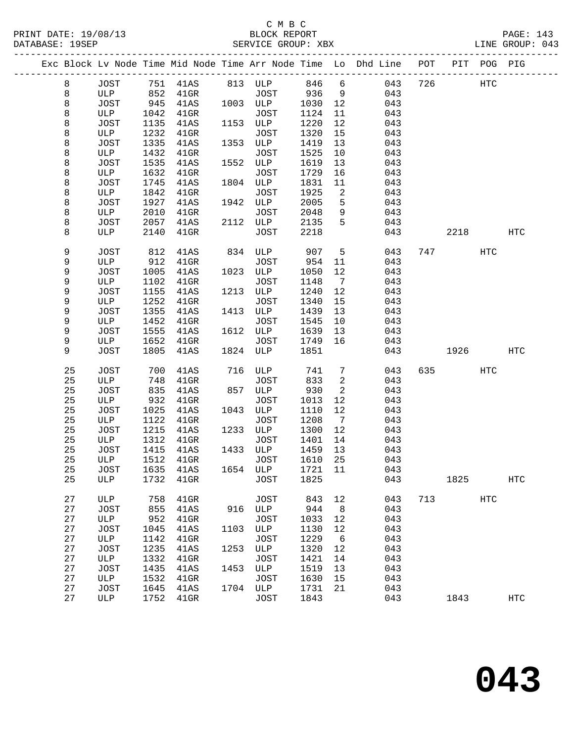### C M B C<br>BLOCK REPORT SERVICE GROUP: XBX

|  |    |             |      |         |      |             |      |                              | Exc Block Lv Node Time Mid Node Time Arr Node Time Lo Dhd Line POT |     |      | PIT POG PIG |                   |
|--|----|-------------|------|---------|------|-------------|------|------------------------------|--------------------------------------------------------------------|-----|------|-------------|-------------------|
|  | 8  | JOST        | 751  | 41AS    |      | 813 ULP     | 846  | 6                            | 043                                                                | 726 |      | <b>HTC</b>  |                   |
|  | 8  | ULP         | 852  | $41$ GR |      | JOST        | 936  | 9                            | 043                                                                |     |      |             |                   |
|  | 8  | JOST        | 945  | 41AS    |      | 1003 ULP    | 1030 | 12                           | 043                                                                |     |      |             |                   |
|  | 8  | ULP         | 1042 | $41$ GR |      | JOST        | 1124 | 11                           | 043                                                                |     |      |             |                   |
|  | 8  | JOST        | 1135 | 41AS    | 1153 | ULP         | 1220 | 12                           | 043                                                                |     |      |             |                   |
|  | 8  | ULP         | 1232 | $41$ GR |      | JOST        | 1320 | 15                           | 043                                                                |     |      |             |                   |
|  | 8  | JOST        | 1335 | 41AS    | 1353 | ULP         | 1419 | 13                           | 043                                                                |     |      |             |                   |
|  | 8  | ULP         | 1432 | $41$ GR |      | JOST        | 1525 | 10                           | 043                                                                |     |      |             |                   |
|  | 8  | JOST        | 1535 | 41AS    | 1552 | ULP         | 1619 | 13                           | 043                                                                |     |      |             |                   |
|  | 8  | ULP         | 1632 | $41$ GR |      | JOST        | 1729 | 16                           | 043                                                                |     |      |             |                   |
|  | 8  | JOST        | 1745 | 41AS    |      | 1804 ULP    | 1831 | 11                           | 043                                                                |     |      |             |                   |
|  | 8  | ULP         | 1842 | $41$ GR |      | JOST        | 1925 | 2                            | 043                                                                |     |      |             |                   |
|  | 8  | JOST        | 1927 | 41AS    | 1942 | ULP         | 2005 | 5                            | 043                                                                |     |      |             |                   |
|  | 8  | ULP         |      |         |      | JOST        | 2048 | 9                            | 043                                                                |     |      |             |                   |
|  |    |             | 2010 | $41$ GR |      |             |      |                              |                                                                    |     |      |             |                   |
|  | 8  | JOST        | 2057 | 41AS    | 2112 | ULP         | 2135 | 5                            | 043                                                                |     |      |             |                   |
|  | 8  | ULP         | 2140 | $41$ GR |      | <b>JOST</b> | 2218 |                              | 043                                                                |     | 2218 |             | <b>HTC</b>        |
|  | 9  | <b>JOST</b> | 812  | 41AS    | 834  | ULP         | 907  | 5                            | 043                                                                | 747 |      | <b>HTC</b>  |                   |
|  | 9  | ULP         | 912  | $41$ GR |      | JOST        | 954  | 11                           | 043                                                                |     |      |             |                   |
|  | 9  | JOST        | 1005 | 41AS    | 1023 | ULP         | 1050 | 12                           | 043                                                                |     |      |             |                   |
|  | 9  | ULP         | 1102 | 41GR    |      | JOST        | 1148 | $7\overline{ }$              | 043                                                                |     |      |             |                   |
|  | 9  | JOST        | 1155 | 41AS    | 1213 | ULP         | 1240 | 12                           | 043                                                                |     |      |             |                   |
|  | 9  | ULP         | 1252 | $41$ GR |      | <b>JOST</b> | 1340 | 15                           | 043                                                                |     |      |             |                   |
|  | 9  | JOST        | 1355 | 41AS    | 1413 | ULP         | 1439 | 13                           | 043                                                                |     |      |             |                   |
|  | 9  | ULP         | 1452 | $41$ GR |      | JOST        | 1545 | 10                           | 043                                                                |     |      |             |                   |
|  | 9  | JOST        | 1555 | 41AS    | 1612 | ULP         | 1639 | 13                           | 043                                                                |     |      |             |                   |
|  | 9  | ULP         | 1652 | $41$ GR |      | JOST        | 1749 | 16                           | 043                                                                |     |      |             |                   |
|  | 9  | JOST        | 1805 | 41AS    | 1824 | ULP         | 1851 |                              | 043                                                                |     | 1926 |             | <b>HTC</b>        |
|  |    |             |      |         |      |             |      |                              |                                                                    |     |      |             |                   |
|  | 25 | JOST        | 700  | 41AS    | 716  | ULP         | 741  | $7\phantom{.0}$              | 043                                                                | 635 |      | <b>HTC</b>  |                   |
|  | 25 | ULP         | 748  | $41$ GR |      | JOST        | 833  | 2                            | 043                                                                |     |      |             |                   |
|  | 25 | JOST        | 835  | 41AS    | 857  | ULP         | 930  | 2                            | 043                                                                |     |      |             |                   |
|  | 25 | ULP         | 932  | $41$ GR |      | JOST        | 1013 | 12                           | 043                                                                |     |      |             |                   |
|  | 25 | JOST        | 1025 | 41AS    | 1043 | ULP         | 1110 | 12                           | 043                                                                |     |      |             |                   |
|  | 25 | ULP         | 1122 | $41$ GR |      | JOST        | 1208 | $7\phantom{.0}\phantom{.0}7$ | 043                                                                |     |      |             |                   |
|  | 25 | JOST        | 1215 | 41AS    | 1233 | ULP         | 1300 | 12                           | 043                                                                |     |      |             |                   |
|  | 25 | ULP         | 1312 | 41GR    |      | JOST        | 1401 | 14                           | 043                                                                |     |      |             |                   |
|  | 25 | JOST        | 1415 | 41AS    | 1433 | ULP         | 1459 | 13                           | 043                                                                |     |      |             |                   |
|  | 25 | ULP         | 1512 | $41$ GR |      | JOST        | 1610 | 25                           | 043                                                                |     |      |             |                   |
|  | 25 | JOST        | 1635 | 41AS    | 1654 | ULP         | 1721 | 11                           | 043                                                                |     |      |             |                   |
|  | 25 | ULP         | 1732 | 41GR    |      | <b>JOST</b> | 1825 |                              | 043                                                                |     | 1825 |             | $_{\mathrm{HTC}}$ |
|  | 27 | ULP         | 758  | $41$ GR |      | <b>JOST</b> | 843  | 12                           | 043                                                                | 713 |      | <b>HTC</b>  |                   |
|  | 27 | JOST        | 855  | 41AS    | 916  | ULP         | 944  | 8                            | 043                                                                |     |      |             |                   |
|  | 27 | ULP         | 952  | $41$ GR |      | <b>JOST</b> | 1033 | 12                           | 043                                                                |     |      |             |                   |
|  | 27 | JOST        | 1045 | 41AS    | 1103 | ULP         | 1130 | 12                           | 043                                                                |     |      |             |                   |
|  | 27 | ULP         | 1142 | 41GR    |      | <b>JOST</b> | 1229 | 6                            | 043                                                                |     |      |             |                   |
|  | 27 | JOST        | 1235 | 41AS    | 1253 | ULP         | 1320 | 12                           | 043                                                                |     |      |             |                   |
|  | 27 | ULP         | 1332 | 41GR    |      | <b>JOST</b> | 1421 | 14                           | 043                                                                |     |      |             |                   |
|  | 27 | JOST        | 1435 | 41AS    | 1453 | ULP         | 1519 | 13                           | 043                                                                |     |      |             |                   |
|  | 27 | ULP         | 1532 | $41$ GR |      | JOST        | 1630 | 15                           | 043                                                                |     |      |             |                   |
|  | 27 | JOST        | 1645 | 41AS    | 1704 | ULP         | 1731 | 21                           | 043                                                                |     |      |             |                   |

27 ULP 1752 41GR JOST 1843 043 1843 HTC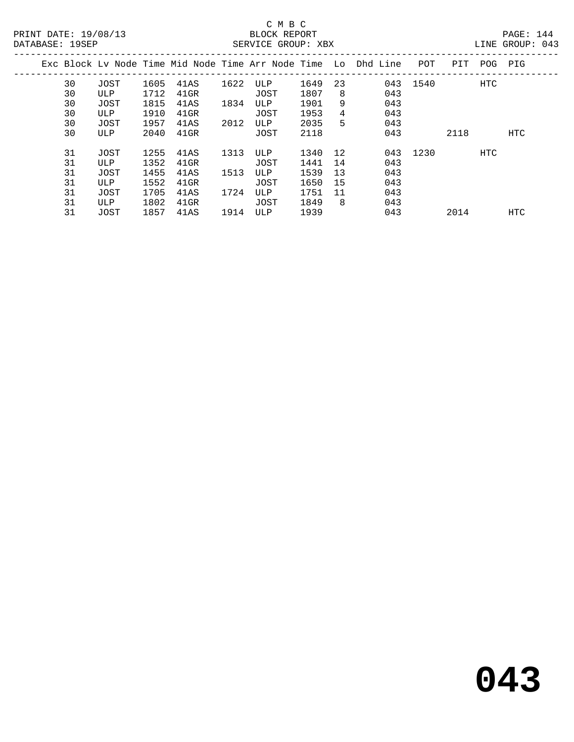|  | DAIADAQU · 17081 |      |      |         |      |      | DINE OROOI . 015 |    |                                                                |          |      |         |            |  |
|--|------------------|------|------|---------|------|------|------------------|----|----------------------------------------------------------------|----------|------|---------|------------|--|
|  |                  |      |      |         |      |      |                  |    | Exc Block Lv Node Time Mid Node Time Arr Node Time Lo Dhd Line | POT      | PIT  | POG PIG |            |  |
|  | 30               | JOST | 1605 | 41AS    | 1622 | ULP  | 1649             | 23 |                                                                | 043 1540 |      | HTC     |            |  |
|  | 30               | ULP  | 1712 | 41GR    |      | JOST | 1807             | 8  | 043                                                            |          |      |         |            |  |
|  | 30               | JOST | 1815 | 41AS    | 1834 | ULP  | 1901             | 9  | 043                                                            |          |      |         |            |  |
|  | 30               | ULP  | 1910 | $41$ GR |      | JOST | 1953             | 4  | 043                                                            |          |      |         |            |  |
|  | 30               | JOST | 1957 | 41AS    | 2012 | ULP  | 2035             | 5  | 043                                                            |          |      |         |            |  |
|  | 30               | ULP  | 2040 | 41GR    |      | JOST | 2118             |    | 043                                                            |          | 2118 |         | <b>HTC</b> |  |
|  | 31               | JOST | 1255 | 41AS    | 1313 | ULP  | 1340             | 12 |                                                                | 043 1230 |      | HTC     |            |  |
|  | 31               | ULP  | 1352 | 41GR    |      | JOST | 1441             | 14 | 043                                                            |          |      |         |            |  |
|  | 31               | JOST | 1455 | 41AS    | 1513 | ULP  | 1539             | 13 | 043                                                            |          |      |         |            |  |
|  | 31               | ULP  | 1552 | $41$ GR |      | JOST | 1650             | 15 | 043                                                            |          |      |         |            |  |
|  | 31               | JOST | 1705 | 41AS    | 1724 | ULP  | 1751             | 11 | 043                                                            |          |      |         |            |  |
|  | 31               | ULP  | 1802 | 41GR    |      | JOST | 1849             | -8 | 043                                                            |          |      |         |            |  |
|  | 31               | JOST | 1857 | 41AS    | 1914 | ULP  | 1939             |    | 043                                                            |          | 2014 |         | <b>HTC</b> |  |
|  |                  |      |      |         |      |      |                  |    |                                                                |          |      |         |            |  |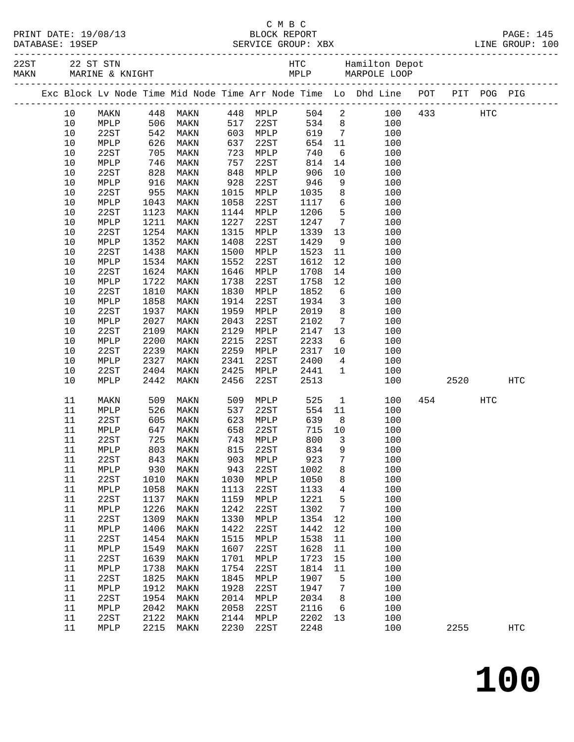|  | PRINT DATE: 19/08/13        |
|--|-----------------------------|
|  | $\sim$ $\sim$ $\sim$ $\sim$ |

**100**

|  |         |                 |              | Exc Block Lv Node Time Mid Node Time Arr Node Time Lo Dhd Line POT PIT POG PIG |      |          |      |      |                         |                    |     |             |            |                   |
|--|---------|-----------------|--------------|--------------------------------------------------------------------------------|------|----------|------|------|-------------------------|--------------------|-----|-------------|------------|-------------------|
|  | 10      | MAKN            |              | 448 MAKN      448 MPLP<br>506 MAKN     517 22ST<br>542 MAKN     603 MPLP       |      |          |      |      |                         | 504 2              |     | 100 433 HTC |            |                   |
|  | 10      | MPLP            |              |                                                                                |      |          |      |      |                         | $534$ 8<br>$534$ 7 | 100 |             |            |                   |
|  | 10      | 22ST            |              |                                                                                |      |          |      | 619  | $7\overline{ }$         |                    | 100 |             |            |                   |
|  | $10$    | MPLP            | 626          | MAKN                                                                           | 637  |          | 22ST | 654  | 11                      |                    | 100 |             |            |                   |
|  | 10      | 22ST            | 705          | MAKN                                                                           | 723  | MPLP     |      | 740  | 6                       |                    | 100 |             |            |                   |
|  | 10      | MPLP            | 746<br>828   | MAKN                                                                           | 757  | 22ST     |      | 814  | 14                      |                    | 100 |             |            |                   |
|  | 10      | 22ST            |              | MAKN                                                                           | 848  | MPLP     |      | 906  | 10                      |                    | 100 |             |            |                   |
|  | 10      | MPLP            | 916          | MAKN                                                                           | 928  | 22ST     |      | 946  | 9                       |                    | 100 |             |            |                   |
|  | 10      | 22ST            | 955          | MAKN                                                                           | 1015 | MPLP     |      | 1035 | 8                       |                    | 100 |             |            |                   |
|  | 10      | MPLP            | 1043         | MAKN                                                                           | 1058 | 22ST     |      | 1117 | 6                       |                    | 100 |             |            |                   |
|  | 10      | 22ST            | 1123         | MAKN                                                                           | 1144 | MPLP     |      | 1206 | $5^{\circ}$             |                    | 100 |             |            |                   |
|  | $10$    | MPLP            | 1211         | MAKN                                                                           | 1227 | 22ST     |      | 1247 | $7\overline{ }$         |                    | 100 |             |            |                   |
|  | 10      | 22ST            | 1254         | MAKN                                                                           | 1315 | MPLP     |      | 1339 | 13                      |                    | 100 |             |            |                   |
|  | 10      | MPLP            | 1352         | MAKN                                                                           | 1408 | 22ST     |      | 1429 | 9                       |                    | 100 |             |            |                   |
|  | $10$    | 22ST            | 1438         | MAKN                                                                           | 1500 | MPLP     |      | 1523 | 11                      |                    | 100 |             |            |                   |
|  | $10$    | MPLP            | 1534         | MAKN                                                                           | 1552 | 22ST     |      | 1612 | 12                      |                    | 100 |             |            |                   |
|  | 10      | 22ST            | 1624         | MAKN                                                                           | 1646 | MPLP     |      | 1708 | 14                      |                    | 100 |             |            |                   |
|  | $10$    | MPLP            | 1722         | MAKN                                                                           | 1738 | 22ST     |      | 1758 | 12                      |                    | 100 |             |            |                   |
|  | $10$    | 22ST            | 1810         | MAKN                                                                           | 1830 | MPLP     |      | 1852 | $6\overline{6}$         |                    | 100 |             |            |                   |
|  | $10$    | MPLP            | 1858         | MAKN                                                                           | 1914 | 22ST     |      | 1934 | $\overline{\mathbf{3}}$ |                    | 100 |             |            |                   |
|  | 10      | 22ST            | 1937         | MAKN                                                                           | 1959 | MPLP     |      | 2019 | 8 <sup>8</sup>          |                    | 100 |             |            |                   |
|  | 10      | MPLP            | 2027         | MAKN                                                                           | 2043 | 22ST     |      | 2102 | $7\overline{ }$         |                    | 100 |             |            |                   |
|  | $10$    | 22ST            | 2109         | MAKN                                                                           | 2129 | MPLP     |      | 2147 | 13                      |                    | 100 |             |            |                   |
|  | 10      | MPLP            | 2200         | MAKN                                                                           | 2215 | 22ST     |      | 2233 | 6                       |                    | 100 |             |            |                   |
|  | 10      | 22ST            | 2239         | MAKN                                                                           | 2259 | MPLP     |      | 2317 | 10                      |                    | 100 |             |            |                   |
|  | 10      | MPLP            | 2327         | MAKN                                                                           | 2341 | 22ST     |      | 2400 | 4                       |                    | 100 |             |            |                   |
|  | 10      | 22ST            | 2404         | MAKN                                                                           | 2425 | MPLP     |      | 2441 | $\mathbf{1}$            |                    | 100 |             |            |                   |
|  | 10      | MPLP            | 2442         | MAKN                                                                           | 2456 | 22ST     |      | 2513 |                         |                    | 100 | 2520        |            | <b>HTC</b>        |
|  | 11      | MAKN            | 509          | MAKN                                                                           | 509  | MPLP     |      | 525  | $\mathbf{1}$            |                    | 100 | 454         | <b>HTC</b> |                   |
|  | 11      | MPLP            | 526          | MAKN                                                                           | 537  | 22ST     |      | 554  | 11                      |                    | 100 |             |            |                   |
|  | 11      | 22ST            | 605          | MAKN                                                                           | 623  | MPLP     |      | 639  | 8 <sup>8</sup>          |                    | 100 |             |            |                   |
|  | 11      | MPLP            | 647          | MAKN                                                                           | 658  | 22ST     |      | 715  | 10                      |                    | 100 |             |            |                   |
|  | 11      | 22ST            | 725          | MAKN                                                                           | 743  | MPLP     |      | 800  | $\overline{\mathbf{3}}$ |                    | 100 |             |            |                   |
|  | 11      | MPLP            | $803$<br>843 | MAKN                                                                           | 815  | 22ST     |      | 834  | 9                       |                    | 100 |             |            |                   |
|  | 11      | 22ST            | 843          | MAKN                                                                           |      | 903 MPLP |      | 923  | $\overline{7}$          |                    | 100 |             |            |                   |
|  | 11 MPLP |                 |              | 930 MAKN                                                                       |      | 943 22ST |      | 1002 |                         | 8                  | 100 |             |            |                   |
|  | 11      | 22ST            | 1010         | MAKN                                                                           | 1030 | MPLP     |      | 1050 | 8                       |                    | 100 |             |            |                   |
|  | 11      | MPLP            | 1058         | MAKN                                                                           | 1113 | 22ST     |      | 1133 | $\overline{4}$          |                    | 100 |             |            |                   |
|  | 11      | 22ST            | 1137         | MAKN                                                                           | 1159 | MPLP     |      | 1221 | $\overline{5}$          |                    | 100 |             |            |                   |
|  | 11      | MPLP            | 1226         | MAKN                                                                           | 1242 | 22ST     |      | 1302 | $7\phantom{.0}$         |                    | 100 |             |            |                   |
|  | 11      | 22ST            | 1309         | MAKN                                                                           | 1330 | MPLP     |      | 1354 | 12                      |                    | 100 |             |            |                   |
|  | 11      | $\texttt{MPLP}$ | 1406         | MAKN                                                                           | 1422 | 22ST     |      | 1442 | 12                      |                    | 100 |             |            |                   |
|  | 11      | 22ST            | 1454         | MAKN                                                                           | 1515 | MPLP     |      | 1538 | 11                      |                    | 100 |             |            |                   |
|  | 11      | $\texttt{MPLP}$ | 1549         | MAKN                                                                           | 1607 | 22ST     |      | 1628 | 11                      |                    | 100 |             |            |                   |
|  | 11      | 22ST            | 1639         | MAKN                                                                           | 1701 | MPLP     |      | 1723 | 15                      |                    | 100 |             |            |                   |
|  | 11      | $\texttt{MPLP}$ | 1738         | MAKN                                                                           | 1754 | 22ST     |      | 1814 | 11                      |                    | 100 |             |            |                   |
|  | 11      | 22ST            | 1825         | MAKN                                                                           | 1845 | MPLP     |      | 1907 | 5                       |                    | 100 |             |            |                   |
|  | 11      | $\texttt{MPLP}$ | 1912         | MAKN                                                                           | 1928 | 22ST     |      | 1947 | $7\phantom{.0}$         |                    | 100 |             |            |                   |
|  | 11      | 22ST            | 1954         | MAKN                                                                           | 2014 | MPLP     |      | 2034 | 8                       |                    | 100 |             |            |                   |
|  | 11      | $\texttt{MPLP}$ | 2042         | MAKN                                                                           | 2058 | 22ST     |      | 2116 | $6\overline{6}$         |                    | 100 |             |            |                   |
|  | 11      | 22ST            | 2122         | MAKN                                                                           | 2144 | MPLP     |      | 2202 | 13                      |                    | 100 |             |            |                   |
|  | 11      | MPLP            |              | 2215 MAKN                                                                      | 2230 | 22ST     |      | 2248 |                         |                    | 100 | 2255        |            | $_{\mathrm{HTC}}$ |
|  |         |                 |              |                                                                                |      |          |      |      |                         |                    |     |             |            |                   |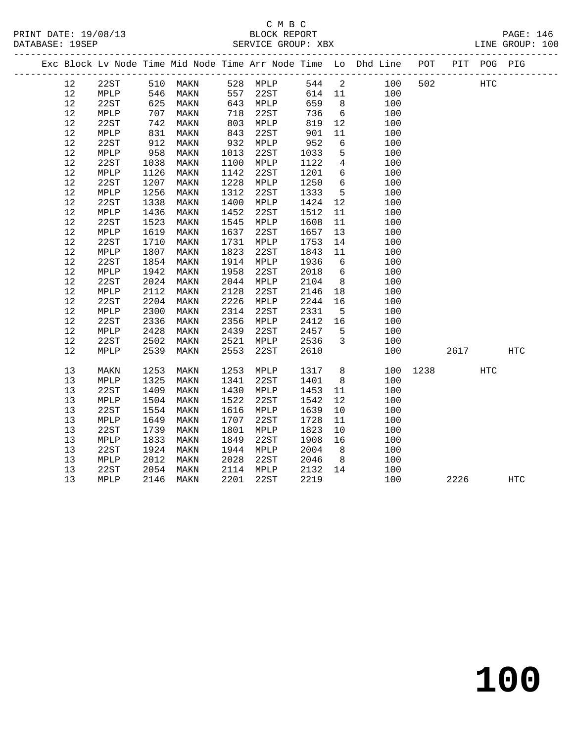# C M B C SERVICE GROUP: XBX

| PRINT DATE: 19/08/13 | BLOCK REPORT       | <b>PAGE: 146</b> |
|----------------------|--------------------|------------------|
| DATABASE: 19SEP      | SERVICE GROUP: XBX | LINE GROUP: 100  |

|  |    |      |      |           |      |           |        |                 | Exc Block Lv Node Time Mid Node Time Arr Node Time Lo Dhd Line POT |      |      | PIT POG PIG |            |
|--|----|------|------|-----------|------|-----------|--------|-----------------|--------------------------------------------------------------------|------|------|-------------|------------|
|  | 12 | 22ST |      | 510 MAKN  |      | 528 MPLP  | 544 2  |                 | 100                                                                | 502  |      | <b>HTC</b>  |            |
|  | 12 | MPLP | 546  | MAKN      | 557  | 22ST      | 614 11 |                 | 100                                                                |      |      |             |            |
|  | 12 | 22ST | 625  | MAKN      |      | 643 MPLP  | 659    | 8 <sup>8</sup>  | 100                                                                |      |      |             |            |
|  | 12 | MPLP | 707  | MAKN      | 718  | 22ST      | 736    | 6               | 100                                                                |      |      |             |            |
|  | 12 | 22ST | 742  | MAKN      | 803  | MPLP      | 819    | 12              | 100                                                                |      |      |             |            |
|  | 12 | MPLP | 831  | MAKN      | 843  | 22ST      | 901    | 11              | 100                                                                |      |      |             |            |
|  | 12 | 22ST | 912  | MAKN      |      | 932 MPLP  | 952    | $6\overline{6}$ | 100                                                                |      |      |             |            |
|  | 12 | MPLP | 958  | MAKN      | 1013 | 22ST      | 1033   | 5               | 100                                                                |      |      |             |            |
|  | 12 | 22ST | 1038 | MAKN      | 1100 | MPLP      | 1122   | $4\overline{ }$ | 100                                                                |      |      |             |            |
|  | 12 | MPLP | 1126 | MAKN      | 1142 | 22ST      | 1201   | $6\overline{6}$ | 100                                                                |      |      |             |            |
|  | 12 | 22ST | 1207 | MAKN      | 1228 | MPLP      | 1250   | $6\overline{6}$ | 100                                                                |      |      |             |            |
|  | 12 | MPLP | 1256 | MAKN      | 1312 | 22ST      | 1333   | $5\phantom{.0}$ | 100                                                                |      |      |             |            |
|  | 12 | 22ST | 1338 | MAKN      | 1400 | MPLP      | 1424   | 12              | 100                                                                |      |      |             |            |
|  | 12 | MPLP | 1436 | MAKN      | 1452 | 22ST      | 1512   | 11              | 100                                                                |      |      |             |            |
|  | 12 | 22ST | 1523 | MAKN      | 1545 | MPLP      | 1608   | 11              | 100                                                                |      |      |             |            |
|  | 12 | MPLP | 1619 | MAKN      | 1637 | 22ST      | 1657   | 13              | 100                                                                |      |      |             |            |
|  | 12 | 22ST | 1710 | MAKN      | 1731 | MPLP      | 1753   | 14              | 100                                                                |      |      |             |            |
|  | 12 | MPLP | 1807 | MAKN      | 1823 | 22ST      | 1843   | 11              | 100                                                                |      |      |             |            |
|  | 12 | 22ST | 1854 | MAKN      | 1914 | MPLP      | 1936   | $6\overline{6}$ | 100                                                                |      |      |             |            |
|  | 12 | MPLP | 1942 | MAKN      | 1958 | 22ST      | 2018   | $6\overline{6}$ | 100                                                                |      |      |             |            |
|  | 12 | 22ST | 2024 | MAKN      | 2044 | MPLP      | 2104   | 8 <sup>8</sup>  | 100                                                                |      |      |             |            |
|  | 12 | MPLP | 2112 | MAKN      | 2128 | 22ST      | 2146   | 18              | 100                                                                |      |      |             |            |
|  | 12 | 22ST | 2204 | MAKN      | 2226 | MPLP      | 2244   | 16              | 100                                                                |      |      |             |            |
|  | 12 | MPLP | 2300 | MAKN      | 2314 | 22ST      | 2331   | $5^{\circ}$     | 100                                                                |      |      |             |            |
|  | 12 | 22ST | 2336 | MAKN      | 2356 | MPLP      | 2412   | 16              | 100                                                                |      |      |             |            |
|  | 12 | MPLP | 2428 | MAKN      | 2439 | 22ST      | 2457   | $5^{\circ}$     | 100                                                                |      |      |             |            |
|  | 12 | 22ST | 2502 | MAKN      | 2521 | MPLP      | 2536   | $\overline{3}$  | 100                                                                |      |      |             |            |
|  | 12 | MPLP | 2539 | MAKN      | 2553 | 22ST      | 2610   |                 | 100                                                                |      | 2617 |             | <b>HTC</b> |
|  | 13 | MAKN | 1253 | MAKN      | 1253 | MPLP      | 1317   | 8 <sup>8</sup>  | 100                                                                | 1238 |      | HTC         |            |
|  | 13 | MPLP | 1325 | MAKN      | 1341 | 22ST      | 1401   | 8 <sup>8</sup>  | 100                                                                |      |      |             |            |
|  | 13 | 22ST | 1409 | MAKN      | 1430 | MPLP      | 1453   | 11              | 100                                                                |      |      |             |            |
|  | 13 | MPLP | 1504 | MAKN      | 1522 | 22ST      | 1542   | 12              | 100                                                                |      |      |             |            |
|  | 13 | 22ST | 1554 | MAKN      | 1616 | MPLP      | 1639   | 10              | 100                                                                |      |      |             |            |
|  | 13 | MPLP | 1649 | MAKN      | 1707 | 22ST      | 1728   | 11              | 100                                                                |      |      |             |            |
|  | 13 | 22ST | 1739 | MAKN      | 1801 | MPLP      | 1823   | 10              | 100                                                                |      |      |             |            |
|  | 13 | MPLP | 1833 | MAKN      | 1849 | 22ST      | 1908   | 16              | 100                                                                |      |      |             |            |
|  | 13 | 22ST | 1924 | MAKN      | 1944 | MPLP      | 2004   | 8 <sup>8</sup>  | 100                                                                |      |      |             |            |
|  | 13 | MPLP | 2012 | MAKN      | 2028 | 22ST      | 2046   | 8 <sup>8</sup>  | 100                                                                |      |      |             |            |
|  | 13 | 22ST | 2054 | MAKN      |      | 2114 MPLP | 2132   | 14              | 100                                                                |      |      |             |            |
|  | 13 | MPLP |      | 2146 MAKN | 2201 | 22ST      | 2219   |                 | 100                                                                |      | 2226 |             | HTC        |
|  |    |      |      |           |      |           |        |                 |                                                                    |      |      |             |            |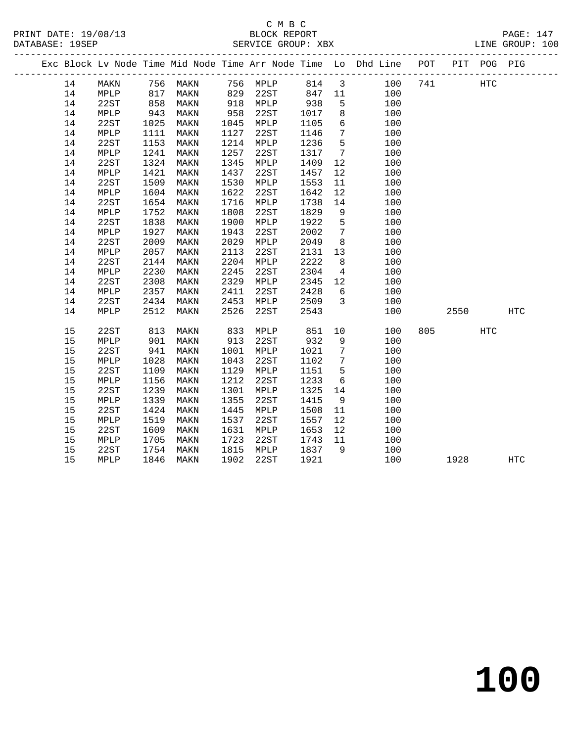|  |    |      |      |             |      |          |        |                 | Exc Block Lv Node Time Mid Node Time Arr Node Time Lo Dhd Line POT PIT POG PIG |     |      |            |            |
|--|----|------|------|-------------|------|----------|--------|-----------------|--------------------------------------------------------------------------------|-----|------|------------|------------|
|  | 14 | MAKN | 756  | <b>MAKN</b> |      | 756 MPLP | 814    | $\mathbf{3}$    | 100                                                                            | 741 |      | <b>HTC</b> |            |
|  | 14 | MPLP | 817  | MAKN        | 829  | 22ST     | 847 11 |                 | 100                                                                            |     |      |            |            |
|  | 14 | 22ST | 858  | MAKN        | 918  | MPLP     | 938    | 5               | 100                                                                            |     |      |            |            |
|  | 14 | MPLP | 943  | MAKN        | 958  | 22ST     | 1017   | 8               | 100                                                                            |     |      |            |            |
|  | 14 | 22ST | 1025 | MAKN        | 1045 | MPLP     | 1105   | 6               | 100                                                                            |     |      |            |            |
|  | 14 | MPLP | 1111 | MAKN        | 1127 | 22ST     | 1146   | $7\phantom{.0}$ | 100                                                                            |     |      |            |            |
|  | 14 | 22ST | 1153 | MAKN        | 1214 | MPLP     | 1236   | 5               | 100                                                                            |     |      |            |            |
|  | 14 | MPLP | 1241 | MAKN        | 1257 | 22ST     | 1317   | $7\overline{ }$ | 100                                                                            |     |      |            |            |
|  | 14 | 22ST | 1324 | MAKN        | 1345 | MPLP     | 1409   | 12              | 100                                                                            |     |      |            |            |
|  | 14 | MPLP | 1421 | MAKN        | 1437 | 22ST     | 1457   | 12              | 100                                                                            |     |      |            |            |
|  | 14 | 22ST | 1509 | MAKN        | 1530 | MPLP     | 1553   | 11              | 100                                                                            |     |      |            |            |
|  | 14 | MPLP | 1604 | MAKN        | 1622 | 22ST     | 1642   | 12              | 100                                                                            |     |      |            |            |
|  | 14 | 22ST | 1654 | MAKN        | 1716 | MPLP     | 1738   | 14              | 100                                                                            |     |      |            |            |
|  | 14 | MPLP | 1752 | MAKN        | 1808 | 22ST     | 1829   | 9               | 100                                                                            |     |      |            |            |
|  | 14 | 22ST | 1838 | MAKN        | 1900 | MPLP     | 1922   | 5               | 100                                                                            |     |      |            |            |
|  | 14 | MPLP | 1927 | MAKN        | 1943 | 22ST     | 2002   | $7\overline{ }$ | 100                                                                            |     |      |            |            |
|  | 14 | 22ST | 2009 | MAKN        | 2029 | MPLP     | 2049   | 8               | 100                                                                            |     |      |            |            |
|  | 14 | MPLP | 2057 | MAKN        | 2113 | 22ST     | 2131   | 13              | 100                                                                            |     |      |            |            |
|  | 14 | 22ST | 2144 | MAKN        | 2204 | MPLP     | 2222   | 8               | 100                                                                            |     |      |            |            |
|  | 14 | MPLP | 2230 | MAKN        | 2245 | 22ST     | 2304   | $\overline{4}$  | 100                                                                            |     |      |            |            |
|  | 14 | 22ST | 2308 | MAKN        | 2329 | MPLP     | 2345   | 12              | 100                                                                            |     |      |            |            |
|  | 14 | MPLP | 2357 | MAKN        | 2411 | 22ST     | 2428   | 6               | 100                                                                            |     |      |            |            |
|  | 14 | 22ST | 2434 | MAKN        | 2453 | MPLP     | 2509   | $\overline{3}$  | 100                                                                            |     |      |            |            |
|  | 14 | MPLP | 2512 | MAKN        | 2526 | 22ST     | 2543   |                 | 100                                                                            |     | 2550 |            | <b>HTC</b> |
|  | 15 | 22ST | 813  | MAKN        | 833  | MPLP     | 851    | 10              | 100                                                                            | 805 |      | <b>HTC</b> |            |
|  | 15 | MPLP | 901  | MAKN        | 913  | 22ST     | 932    | 9               | 100                                                                            |     |      |            |            |
|  | 15 | 22ST | 941  | MAKN        | 1001 | MPLP     | 1021   | $7\phantom{.0}$ | 100                                                                            |     |      |            |            |
|  | 15 | MPLP | 1028 | MAKN        | 1043 | 22ST     | 1102   | $7\phantom{.0}$ | 100                                                                            |     |      |            |            |
|  | 15 | 22ST | 1109 | MAKN        | 1129 | MPLP     | 1151   | 5               | 100                                                                            |     |      |            |            |
|  | 15 | MPLP | 1156 | MAKN        | 1212 | 22ST     | 1233   | 6               | 100                                                                            |     |      |            |            |
|  | 15 | 22ST | 1239 | MAKN        | 1301 | MPLP     | 1325   | 14              | 100                                                                            |     |      |            |            |
|  | 15 | MPLP | 1339 | MAKN        | 1355 | 22ST     | 1415   | 9               | 100                                                                            |     |      |            |            |
|  | 15 | 22ST | 1424 | MAKN        | 1445 | MPLP     | 1508   | 11              | 100                                                                            |     |      |            |            |
|  | 15 | MPLP | 1519 | MAKN        | 1537 | 22ST     | 1557   | 12              | 100                                                                            |     |      |            |            |
|  | 15 | 22ST | 1609 | MAKN        | 1631 | MPLP     | 1653   | 12              | 100                                                                            |     |      |            |            |
|  | 15 | MPLP | 1705 | MAKN        | 1723 | 22ST     | 1743   | 11              | 100                                                                            |     |      |            |            |
|  | 15 | 22ST | 1754 | MAKN        | 1815 | MPLP     | 1837   | 9               | 100                                                                            |     |      |            |            |
|  | 15 | MPLP | 1846 | MAKN        | 1902 | 22ST     | 1921   |                 | 100                                                                            |     | 1928 |            | HTC        |
|  |    |      |      |             |      |          |        |                 |                                                                                |     |      |            |            |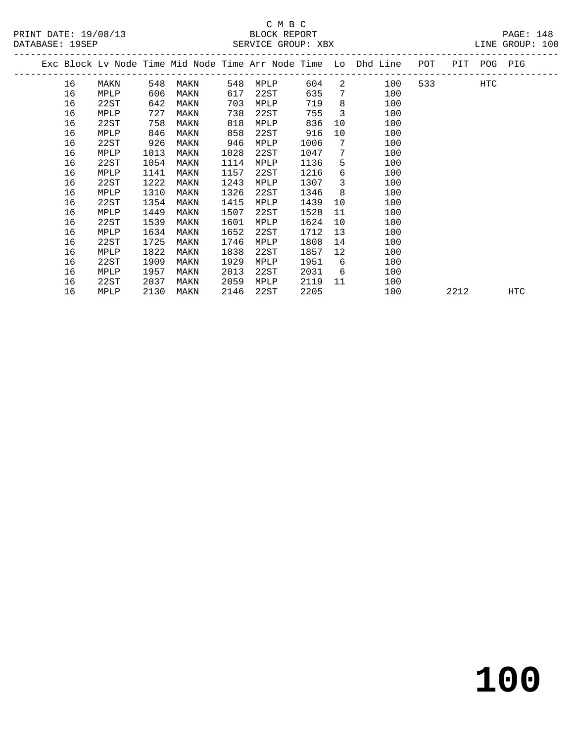|  |    |      |      |      |      |      |      |                         | Exc Block Lv Node Time Mid Node Time Arr Node Time Lo Dhd Line POT |                          | PIT POG PIG |     |     |  |
|--|----|------|------|------|------|------|------|-------------------------|--------------------------------------------------------------------|--------------------------|-------------|-----|-----|--|
|  | 16 | MAKN | 548  | MAKN | 548  | MPLP | 604  |                         | 2 100                                                              | 533 and $\overline{533}$ |             | HTC |     |  |
|  | 16 | MPLP | 606  | MAKN | 617  | 22ST | 635  | $7\phantom{.0}$         | 100                                                                |                          |             |     |     |  |
|  | 16 | 22ST | 642  | MAKN | 703  | MPLP | 719  | 8                       | 100                                                                |                          |             |     |     |  |
|  | 16 | MPLP | 727  | MAKN | 738  | 22ST | 755  | $\overline{\mathbf{3}}$ | 100                                                                |                          |             |     |     |  |
|  | 16 | 22ST | 758  | MAKN | 818  | MPLP | 836  | 10                      | 100                                                                |                          |             |     |     |  |
|  | 16 | MPLP | 846  | MAKN | 858  | 22ST | 916  | 10                      | 100                                                                |                          |             |     |     |  |
|  | 16 | 22ST | 926  | MAKN | 946  | MPLP | 1006 | $7\phantom{0}$          | 100                                                                |                          |             |     |     |  |
|  | 16 | MPLP | 1013 | MAKN | 1028 | 22ST | 1047 | $7\phantom{.0}$         | 100                                                                |                          |             |     |     |  |
|  | 16 | 22ST | 1054 | MAKN | 1114 | MPLP | 1136 | 5 <sup>5</sup>          | 100                                                                |                          |             |     |     |  |
|  | 16 | MPLP | 1141 | MAKN | 1157 | 22ST | 1216 | 6                       | 100                                                                |                          |             |     |     |  |
|  | 16 | 22ST | 1222 | MAKN | 1243 | MPLP | 1307 | $\overline{\mathbf{3}}$ | 100                                                                |                          |             |     |     |  |
|  | 16 | MPLP | 1310 | MAKN | 1326 | 22ST | 1346 | 8 <sup>8</sup>          | 100                                                                |                          |             |     |     |  |
|  | 16 | 22ST | 1354 | MAKN | 1415 | MPLP | 1439 | 10                      | 100                                                                |                          |             |     |     |  |
|  | 16 | MPLP | 1449 | MAKN | 1507 | 22ST | 1528 | 11                      | 100                                                                |                          |             |     |     |  |
|  | 16 | 22ST | 1539 | MAKN | 1601 | MPLP | 1624 | 10                      | 100                                                                |                          |             |     |     |  |
|  | 16 | MPLP | 1634 | MAKN | 1652 | 22ST | 1712 | 13                      | 100                                                                |                          |             |     |     |  |
|  | 16 | 22ST | 1725 | MAKN | 1746 | MPLP | 1808 | 14                      | 100                                                                |                          |             |     |     |  |
|  | 16 | MPLP | 1822 | MAKN | 1838 | 22ST | 1857 | 12                      | 100                                                                |                          |             |     |     |  |
|  | 16 | 22ST | 1909 | MAKN | 1929 | MPLP | 1951 | 6                       | 100                                                                |                          |             |     |     |  |
|  | 16 | MPLP | 1957 | MAKN | 2013 | 22ST | 2031 | 6                       | 100                                                                |                          |             |     |     |  |
|  | 16 | 22ST | 2037 | MAKN | 2059 | MPLP | 2119 | 11                      | 100                                                                |                          |             |     |     |  |
|  | 16 | MPLP | 2130 | MAKN | 2146 | 22ST | 2205 |                         | 100                                                                |                          | 2212        |     | HTC |  |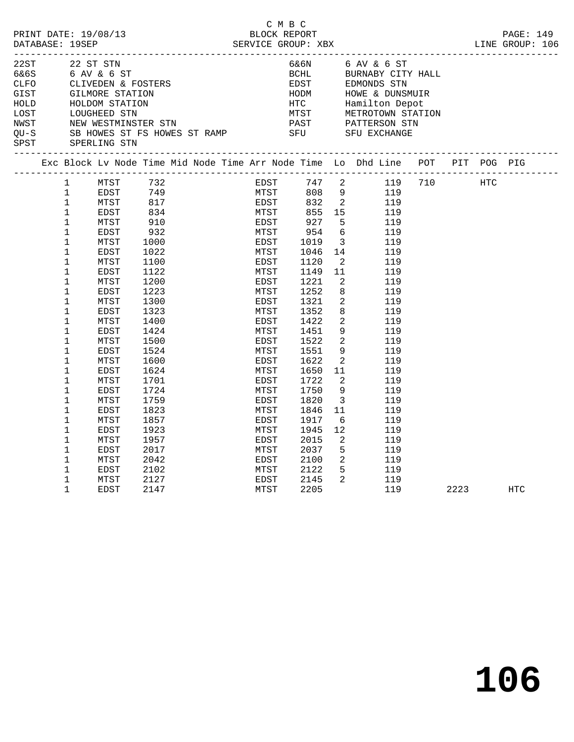| PRINT DATE: 19/08/13<br>DATABASE: 19SEP<br>22 ST STN                         |                                                                                                                                                                                                                                                                                                                                                               |                                                                                                                                                                                                                                                                                                                                                                                                                                                                       |                                                                                                                                                                                        |  |  | C M B C<br>BLOCK REPORT                                                                                                                                      |                              |                                                                                                                                                                                 |                                                                                                                                                                                                                                                               |   |                                                                                                                                                                                    |  | PAGE: 149 |     |  |
|------------------------------------------------------------------------------|---------------------------------------------------------------------------------------------------------------------------------------------------------------------------------------------------------------------------------------------------------------------------------------------------------------------------------------------------------------|-----------------------------------------------------------------------------------------------------------------------------------------------------------------------------------------------------------------------------------------------------------------------------------------------------------------------------------------------------------------------------------------------------------------------------------------------------------------------|----------------------------------------------------------------------------------------------------------------------------------------------------------------------------------------|--|--|--------------------------------------------------------------------------------------------------------------------------------------------------------------|------------------------------|---------------------------------------------------------------------------------------------------------------------------------------------------------------------------------|---------------------------------------------------------------------------------------------------------------------------------------------------------------------------------------------------------------------------------------------------------------|---|------------------------------------------------------------------------------------------------------------------------------------------------------------------------------------|--|-----------|-----|--|
| 22ST<br>6&6S<br>CLFO<br>GIST<br>GIST<br>HOLD<br>LOST<br>NWST<br>QU-S<br>SPST |                                                                                                                                                                                                                                                                                                                                                               | $\begin{array}{lll} 2251 & 5111 & 5111 & 5111 & 5111 & 5111 & 5111 & 5111 & 5111 & 5111 & 5111 & 5111 & 5111 & 5111 & 5111 & 5111 & 5111 & 5111 & 5111 & 5111 & 5111 & 5111 & 5111 & 5111 & 5111 & 5111 & 5111 & 5111 & 5111 & 5111 & 5111 & 5111 & 5111 & 5111 & 5111 & 5$<br>CLIVEDEN & FOSTERS<br>GILMORE STATION<br>HOLDOM STATION HTC<br>HOLDOM STATION HTC<br>LOUGHEED STN MTST<br>NEW WESTMINSTER STN PAST<br>SB HOWES ST FS HOWES ST RAMP SFU<br>SPERLING STN |                                                                                                                                                                                        |  |  |                                                                                                                                                              |                              | EDST<br>HODM                                                                                                                                                                    |                                                                                                                                                                                                                                                               |   | 6&6N 6 AV & 6 ST<br>BCHL BURNABY CITY<br>BURNABY CITY HALL<br>EDMONDS STN<br>HOWE & DUNSMUIR<br>Hamilton Depot<br>METROTOWN STATION<br>PAST PATTERSON STN<br>SFU EXCHANGE          |  |           |     |  |
|                                                                              |                                                                                                                                                                                                                                                                                                                                                               | Exc Block Lv Node Time Mid Node Time Arr Node Time Lo Dhd Line POT PIT POG PIG                                                                                                                                                                                                                                                                                                                                                                                        |                                                                                                                                                                                        |  |  |                                                                                                                                                              |                              |                                                                                                                                                                                 |                                                                                                                                                                                                                                                               |   |                                                                                                                                                                                    |  |           |     |  |
|                                                                              | $\mathbf{1}$<br>$\mathbf{1}$<br>$\mathbf{1}$<br>$\mathbf{1}$<br>$\mathbf 1$<br>$\mathbf{1}$<br>$\mathbf 1$<br>1<br>$\mathbf 1$<br>$\mathbf 1$<br>$\mathbf 1$<br>$\mathbf{1}$<br>$\mathbf{1}$<br>$\mathbf{1}$<br>$\mathbf{1}$<br>$\mathbf 1$<br>$\mathbf{1}$<br>$\mathbf 1$<br>$\mathbf 1$<br>$\mathbf 1$<br>$\mathbf{1}$<br>$\mathbf{1}$<br>$\mathbf{1}$<br>1 | MTST<br>EDST<br>MTST<br>EDST<br>MTST<br>EDST<br>MTST<br>EDST<br>MTST<br>EDST<br>MTST<br>EDST<br>MTST<br>EDST<br>MTST<br>EDST<br>MTST<br>EDST<br>MTST<br>EDST<br>MTST<br>EDST<br>MTST<br>EDST                                                                                                                                                                                                                                                                          | 732<br>749<br>817<br>834<br>910<br>932<br>1000<br>1022<br>1100<br>1122<br>1200<br>1223<br>1300<br>1323<br>1400<br>1424<br>1500<br>1524<br>1600<br>1624<br>1701<br>1724<br>1759<br>1823 |  |  | EDST<br>MTST<br>EDST<br>MTST<br>EDST<br>MTST<br>EDST<br>MTST<br>EDST<br>MTST<br>EDST<br>MTST<br>EDST<br>MTST<br>EDST<br>MTST<br>EDST<br>MTST<br>EDST<br>MTST | EDST<br>MTST<br>EDST<br>MTST | 808<br>832<br>855<br>927<br>954<br>1019<br>1046<br>1120<br>1149<br>1221<br>1252<br>1321<br>1352<br>1422<br>1451<br>1522<br>1551<br>1622<br>1650<br>1722<br>1750<br>1820<br>1846 | $\overline{\phantom{a}}$<br>15<br>$5^{\circ}$<br>6<br>$\overline{\mathbf{3}}$<br>14<br>$\overline{2}$<br>11<br>$\overline{2}$<br>8<br>$\overline{2}$<br>8<br>2<br>9<br>$\overline{a}$<br>9<br>2<br>11<br>$\overline{2}$<br>9<br>$\overline{\mathbf{3}}$<br>11 | 9 | 747 2 119 710 HTC<br>119<br>119<br>119<br>119<br>119<br>119<br>119<br>119<br>119<br>119<br>119<br>119<br>119<br>119<br>119<br>119<br>119<br>119<br>119<br>119<br>119<br>119<br>119 |  |           |     |  |
|                                                                              | $\mathbf 1$<br>$\mathbf 1$<br>$\mathbf{1}$<br>$\mathbf 1$<br>$\mathbf 1$<br>$\mathbf 1$<br>1<br>$\mathbf{1}$                                                                                                                                                                                                                                                  | MTST<br>EDST<br>MTST<br>EDST<br>MTST<br>EDST<br>MTST<br>EDST                                                                                                                                                                                                                                                                                                                                                                                                          | 1857<br>1923<br>1957<br>2017<br>2042<br>2102<br>2127<br>2147                                                                                                                           |  |  | EDST<br>MTST<br>EDST<br>MTST<br>EDST<br>MTST<br>EDST<br>MTST                                                                                                 |                              | 1917<br>1945<br>2015<br>2037<br>2100<br>2122<br>2145<br>2205                                                                                                                    | 6<br>12<br>$\overline{2}$<br>5<br>$\overline{a}$<br>5<br>$\overline{a}$                                                                                                                                                                                       |   | 119<br>119<br>119<br>119<br>119<br>119<br>119<br>119                                                                                                                               |  | 2223      | HTC |  |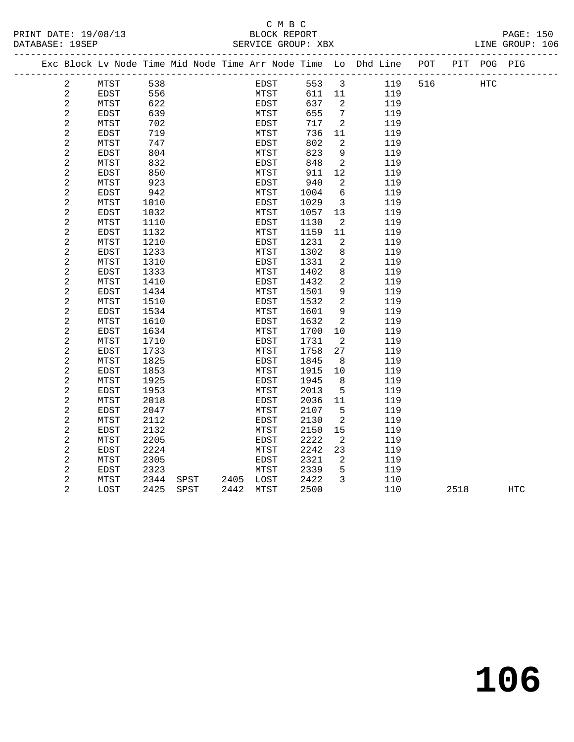# C M B C

| PRINT DATE: 19/08/13 | <b>BLOCK REPORT</b> | PAGE: 150 |  |
|----------------------|---------------------|-----------|--|

#### DATABASE: 19SEP SERVICE GROUP: XBX LINE GROUP: 106 ------------------------------------------------------------------------------------------------- Exc Block Lv Node Time Mid Node Time Arr Node Time Lo Dhd Line POT PIT POG PIG ------------------------------------------------------------------------------------------------- 2 MTST 538 EDST 553 3 119 516 HTC 2 EDST 556 MTST 611 11 119<br>2 MTST 622 EDST 637 2 119 2 MTST 622 EDST 637 2 119 2 EDST 639 MTST 655 7 119 2 MTST 702 EDST 717 2 119 2 EDST 719 MTST 736 11 119 2 MTST 747 EDST 802 2 119 2 EDST 804 MTST 823 9 119 2 MTST 832 EDST 848 2 119 2 EDST 850 MTST 911 12 119 2 MTST 923 EDST 940 2 119 2 MTST 923<br>
2 EDST 942<br>
2 EDST 942<br>
2 MTST 1010<br>
2 EDST 1029 3 119<br>
2 EDST 1032<br>
2 EDST 1032<br>
2 MTST 1057 13 119 2 MTST 1010 EDST 1029 3 119 2 EDST 1032 MTST 1057 13 119 2 MTST 923<br>
2 EDST 942<br>
2 MTST 1010<br>
2 MTST 1032<br>
2 MTST 1032<br>
2 MTST 1110<br>
2 EDST 1130<br>
2 MTST 1110<br>
2 EDST 1130<br>
2 MTST 1130<br>
2 MTST 1130<br>
2 119<br>
2 MTST 1130<br>
2 119<br>
2 MTST 1130<br>
2 119<br>
2 MTST 1130<br>
2 119<br>
2 MTST 1130<br>
2 2 EDST 1132 MTST 1159 1<br>2 MTST 1210 EDST 1231 2 2 MTST 1210 EDST 1231 2 119<br>
2 EDST 1233 MTST 1302 8 119<br>
2 MTST 1310 EDST 1331 2 119 2 EDST 1233 MTST 1302 8 119 2 MTST 1310 EDST 1331 2 119 2 EDST 1333 MTST 1402 8 119 2 MTST 1410 EDST 1432 2 119 2 EDST 1434 MTST 1501 9 119 2 MTST 1510 EDST 1532 2 119 2 EDST 1534 MTST 1601 9 119<br>
2 MTST 1610 EDST 1632 2 119<br>
2 EDST 1634 MTST 1700 10 119 2 MTST 1610 EDST 1632 2 119 2 EDST 1634 MTST 1700 10 119 2 MTST 1710 EDST 1731 2 119 2 EDST 1733 MTST 1758 27 119 2 MTST 1825 EDST 1845 8 119 2 EDST 1853 MTST 1915 10 119 2 MTST 1925 EDST 1945 8 119 2 EDST 1953 MTST 2013 5 119 2 MTST 2018 EDST 2036 11 119 2 MISI 2010<br>
2 EDST 2047 MTST 2107 5 119<br>
2 MTST 2112 EDST 2130 2 119 2 2017<br>
2 MTST 2112 EDST 2130 2 119<br>
2 EDST 2132 MTST 2150 15 119 EDST 2132 MTST 2150 15 119<br>
MTST 2205 EDST 2222 2 119<br>
EDST 2224 MTST 2242 23 119 2 MTST 2205 EDST 2222 2 119 2 EDST 2224 MTST 2242 23 119 2 MTST 2305 EDST 2321 2 119 2 EDST 2323 MTST 2339 5 119 2 MTST 2344 SPST 2405 LOST 2422 3 110

2 LOST 2425 SPST 2442 MTST 2500 110 2518 HTC

**106**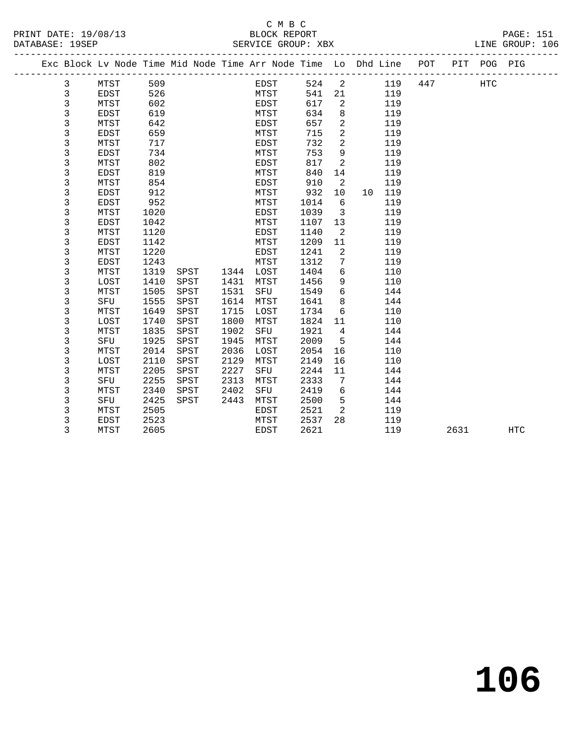|  |             |             |      |      |      | Exc Block Lv Node Time Mid Node Time Arr Node Time Lo Dhd Line POT |      |                |    |     |     |      | PIT POG PIG |                   |
|--|-------------|-------------|------|------|------|--------------------------------------------------------------------|------|----------------|----|-----|-----|------|-------------|-------------------|
|  | 3           | MTST        | 509  |      |      | EDST                                                               | 524  | 2              |    | 119 | 447 |      | <b>HTC</b>  |                   |
|  | 3           | EDST        | 526  |      |      | MTST                                                               | 541  | 21             |    | 119 |     |      |             |                   |
|  | 3           | MTST        | 602  |      |      | EDST                                                               | 617  | 2              |    | 119 |     |      |             |                   |
|  | 3           | <b>EDST</b> | 619  |      |      | MTST                                                               | 634  | 8              |    | 119 |     |      |             |                   |
|  | 3           | MTST        | 642  |      |      | EDST                                                               | 657  | $\overline{a}$ |    | 119 |     |      |             |                   |
|  | 3           | <b>EDST</b> | 659  |      |      | MTST                                                               | 715  | 2              |    | 119 |     |      |             |                   |
|  | 3           | MTST        | 717  |      |      | EDST                                                               | 732  | 2              |    | 119 |     |      |             |                   |
|  | 3           | <b>EDST</b> | 734  |      |      | MTST                                                               | 753  | 9              |    | 119 |     |      |             |                   |
|  | 3           | MTST        | 802  |      |      | EDST                                                               | 817  | 2              |    | 119 |     |      |             |                   |
|  | 3           | <b>EDST</b> | 819  |      |      | MTST                                                               | 840  | 14             |    | 119 |     |      |             |                   |
|  | 3           | MTST        | 854  |      |      | EDST                                                               | 910  | 2              |    | 119 |     |      |             |                   |
|  | 3           | <b>EDST</b> | 912  |      |      | MTST                                                               | 932  | 10             | 10 | 119 |     |      |             |                   |
|  | 3           | EDST        | 952  |      |      | MTST                                                               | 1014 | 6              |    | 119 |     |      |             |                   |
|  | 3           | MTST        | 1020 |      |      | EDST                                                               | 1039 | $\overline{3}$ |    | 119 |     |      |             |                   |
|  | $\mathsf 3$ | <b>EDST</b> | 1042 |      |      | MTST                                                               | 1107 | 13             |    | 119 |     |      |             |                   |
|  | $\mathsf 3$ | MTST        | 1120 |      |      | EDST                                                               | 1140 | 2              |    | 119 |     |      |             |                   |
|  | 3           | <b>EDST</b> | 1142 |      |      | MTST                                                               | 1209 | 11             |    | 119 |     |      |             |                   |
|  | 3           | MTST        | 1220 |      |      | EDST                                                               | 1241 | 2              |    | 119 |     |      |             |                   |
|  | 3           | EDST        | 1243 |      |      | MTST                                                               | 1312 | 7              |    | 119 |     |      |             |                   |
|  | 3           | MTST        | 1319 | SPST | 1344 | LOST                                                               | 1404 | 6              |    | 110 |     |      |             |                   |
|  | 3           | LOST        | 1410 | SPST | 1431 | MTST                                                               | 1456 | 9              |    | 110 |     |      |             |                   |
|  | 3           | MTST        | 1505 | SPST | 1531 | SFU                                                                | 1549 | 6              |    | 144 |     |      |             |                   |
|  | 3           | SFU         | 1555 | SPST | 1614 | MTST                                                               | 1641 | 8              |    | 144 |     |      |             |                   |
|  | 3           | MTST        | 1649 | SPST | 1715 | LOST                                                               | 1734 | 6              |    | 110 |     |      |             |                   |
|  | 3           | LOST        | 1740 | SPST | 1800 | MTST                                                               | 1824 | 11             |    | 110 |     |      |             |                   |
|  | 3           | MTST        | 1835 | SPST | 1902 | SFU                                                                | 1921 | $\overline{4}$ |    | 144 |     |      |             |                   |
|  | $\mathsf 3$ | SFU         | 1925 | SPST | 1945 | MTST                                                               | 2009 | 5              |    | 144 |     |      |             |                   |
|  | 3           | MTST        | 2014 | SPST | 2036 | LOST                                                               | 2054 | 16             |    | 110 |     |      |             |                   |
|  | 3           | LOST        | 2110 | SPST | 2129 | MTST                                                               | 2149 | 16             |    | 110 |     |      |             |                   |
|  | 3           | MTST        | 2205 | SPST | 2227 | SFU                                                                | 2244 | 11             |    | 144 |     |      |             |                   |
|  | 3           | SFU         | 2255 | SPST | 2313 | MTST                                                               | 2333 | 7              |    | 144 |     |      |             |                   |
|  | 3           | MTST        | 2340 | SPST | 2402 | SFU                                                                | 2419 | 6              |    | 144 |     |      |             |                   |
|  | 3           | SFU         | 2425 | SPST | 2443 | MTST                                                               | 2500 | 5              |    | 144 |     |      |             |                   |
|  | 3           | MTST        | 2505 |      |      | EDST                                                               | 2521 | 2              |    | 119 |     |      |             |                   |
|  | 3           | <b>EDST</b> | 2523 |      |      | MTST                                                               | 2537 | 28             |    | 119 |     |      |             |                   |
|  | 3           | MTST        | 2605 |      |      | EDST                                                               | 2621 |                |    | 119 |     | 2631 |             | $_{\mathrm{HTC}}$ |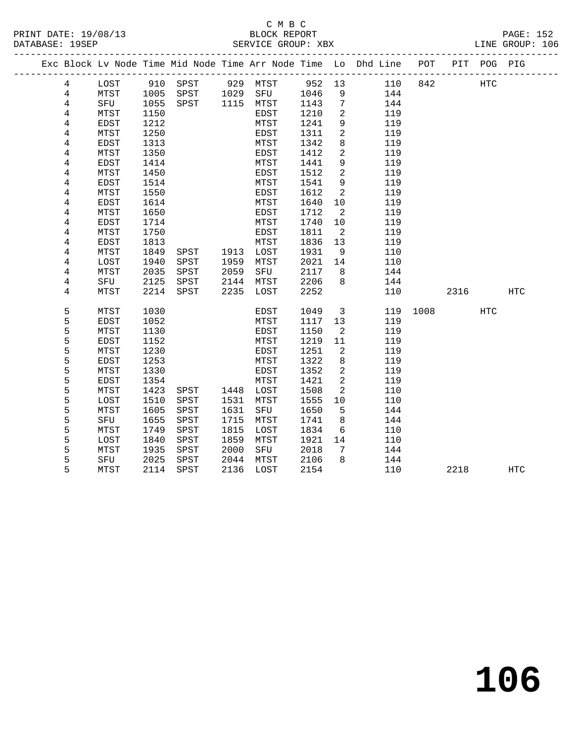# C M B C<br>BLOCK REPORT SERVICE GROUP: XBX

|                |             |              |                                           |      |           |      |                 | Exc Block Lv Node Time Mid Node Time Arr Node Time Lo Dhd Line POT |          |      | PIT POG PIG |            |
|----------------|-------------|--------------|-------------------------------------------|------|-----------|------|-----------------|--------------------------------------------------------------------|----------|------|-------------|------------|
| 4              | LOST        |              | 910 SPST 929 MTST 952 13                  |      |           |      |                 | 110                                                                | 842      |      | HTC         |            |
| $\overline{4}$ | MTST        | 1005<br>1055 |                                           |      |           |      | 9               | 144                                                                |          |      |             |            |
| 4              | SFU         | 1055         | SPST 1029 SFU 1046<br>SPST 1115 MTST 1143 |      |           |      | $7\phantom{.0}$ | 144                                                                |          |      |             |            |
| 4              | MTST        | 1150         |                                           |      | EDST      | 1210 | 2               | 119                                                                |          |      |             |            |
| 4              | EDST        | 1212         |                                           |      | MTST      | 1241 | 9               | 119                                                                |          |      |             |            |
| 4              | MTST        | 1250         |                                           |      | EDST      | 1311 | 2               | 119                                                                |          |      |             |            |
| 4              | EDST        | 1313         |                                           |      | MTST      | 1342 | 8               | 119                                                                |          |      |             |            |
| 4              | MTST        | 1350         |                                           |      | EDST      | 1412 | 2               | 119                                                                |          |      |             |            |
| 4              | EDST        | 1414         |                                           |      | MTST      | 1441 | 9               | 119                                                                |          |      |             |            |
| 4              | MTST        | 1450         |                                           |      | EDST      | 1512 | 2               | 119                                                                |          |      |             |            |
| 4              | EDST        | 1514         |                                           |      | MTST      | 1541 | 9               | 119                                                                |          |      |             |            |
| 4              | MTST        | 1550         |                                           |      | EDST      | 1612 | 2               | 119                                                                |          |      |             |            |
| 4              | <b>EDST</b> | 1614         |                                           |      | MTST      | 1640 | 10              | 119                                                                |          |      |             |            |
| 4              | MTST        | 1650         |                                           |      | EDST      | 1712 | $\overline{2}$  | 119                                                                |          |      |             |            |
| 4              | EDST        | 1714         |                                           |      | MTST      | 1740 | 10              | 119                                                                |          |      |             |            |
| 4              | MTST        | 1750         |                                           |      | EDST      | 1811 | $\overline{2}$  | 119                                                                |          |      |             |            |
| 4              | EDST        | 1813         |                                           |      | MTST      | 1836 | 13              | 119                                                                |          |      |             |            |
| 4              | MTST        | 1849         | SPST                                      | 1913 | LOST      | 1931 | 9               | 110                                                                |          |      |             |            |
| 4              | LOST        | 1940         | SPST                                      | 1959 | MTST      | 2021 | 14              | 110                                                                |          |      |             |            |
| $\overline{4}$ | MTST        | 2035         | SPST                                      | 2059 | SFU       | 2117 | $\overline{8}$  | 144                                                                |          |      |             |            |
| 4              | SFU         | 2125         | SPST                                      | 2144 | MTST      | 2206 | 8               | 144                                                                |          |      |             |            |
| 4              | MTST        |              | 2214 SPST                                 | 2235 | LOST      | 2252 |                 | 110                                                                |          | 2316 |             | <b>HTC</b> |
| 5              | MTST        | 1030         |                                           |      | EDST      | 1049 | $\mathbf{3}$    |                                                                    | 119 1008 |      | HTC         |            |
| 5              | EDST        | 1052         |                                           |      | MTST      | 1117 | 13              | 119                                                                |          |      |             |            |
| 5              | MTST        | 1130         |                                           |      | EDST      | 1150 | $\overline{2}$  | 119                                                                |          |      |             |            |
| 5              | EDST        | 1152         |                                           |      | MTST      | 1219 | 11              | 119                                                                |          |      |             |            |
| 5              | MTST        | 1230         |                                           |      | EDST      | 1251 | $\overline{2}$  | 119                                                                |          |      |             |            |
| 5              | EDST        | 1253         |                                           |      | MTST      | 1322 | 8               | 119                                                                |          |      |             |            |
| 5              | MTST        | 1330         |                                           |      | EDST      | 1352 | 2               | 119                                                                |          |      |             |            |
| 5              | EDST        | 1354         |                                           |      | MTST      | 1421 | 2               | 119                                                                |          |      |             |            |
| 5              | MTST        | 1423         | SPST                                      |      | 1448 LOST | 1508 | 2               | 110                                                                |          |      |             |            |
| 5              | LOST        | 1510         | SPST                                      | 1531 | MTST      | 1555 | 10              | 110                                                                |          |      |             |            |
| 5              | MTST        | 1605         | SPST                                      | 1631 | SFU       | 1650 | $-5$            | 144                                                                |          |      |             |            |
| 5              | SFU         | 1655         | SPST                                      | 1715 | MTST      | 1741 | 8 <sup>8</sup>  | 144                                                                |          |      |             |            |
| 5              | MTST        | 1749         | SPST                                      | 1815 | LOST      | 1834 | 6               | 110                                                                |          |      |             |            |
| 5              | LOST        | 1840         | SPST                                      | 1859 | MTST      | 1921 | 14              | 110                                                                |          |      |             |            |
| 5              | MTST        | 1935         | SPST                                      | 2000 | SFU       | 2018 | 7               | 144                                                                |          |      |             |            |

5 SFU 2025 SPST 2044 MTST 2106 8 144

5 MTST 2114 SPST 2136 LOST 2154 110 2218 HTC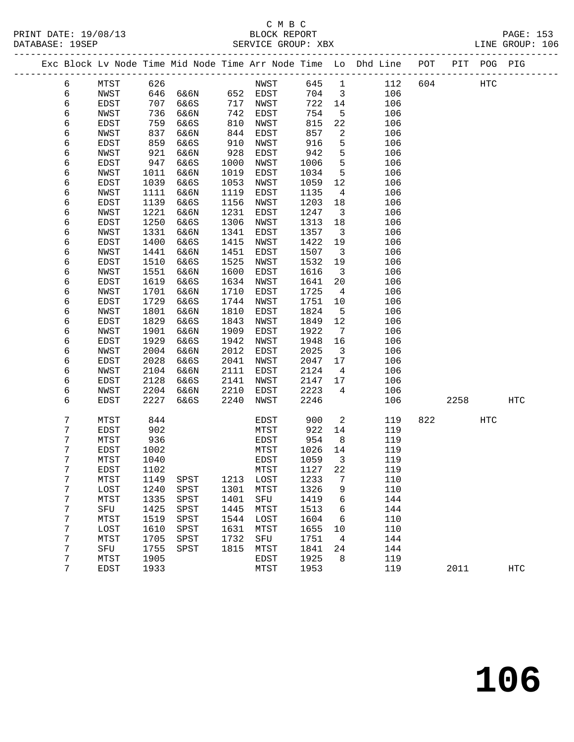# C M B C<br>BLOCK REPORT

|                      | <u>ب سین</u> ب     |                  |
|----------------------|--------------------|------------------|
| PRINT DATE: 19/08/13 | BLOCK REPORT       | <b>PAGE: 153</b> |
| DATABASE: 19SEP      | SERVICE GROUP: XBX | LINE GROUP: 106  |

|  |   |              |      |      |      |          |         |                 | Exc Block Lv Node Time Mid Node Time Arr Node Time Lo Dhd Line POT |     |                        | PIT POG PIG |            |
|--|---|--------------|------|------|------|----------|---------|-----------------|--------------------------------------------------------------------|-----|------------------------|-------------|------------|
|  | 6 | MTST         | 626  |      |      | NWST     | 645     | $\overline{1}$  | 112                                                                | 604 |                        | HTC         |            |
|  | 6 | NWST         | 646  | 6&6N |      | 652 EDST | 704     | $\mathbf{3}$    | 106                                                                |     |                        |             |            |
|  | 6 | EDST         | 707  | 6&6S | 717  | NWST     | 722     | 14              | 106                                                                |     |                        |             |            |
|  | 6 | NWST         | 736  | 6&6N | 742  | EDST     | 754     | 5               | 106                                                                |     |                        |             |            |
|  | 6 | EDST         | 759  | 6&6S | 810  | NWST     | 815     | 22              | 106                                                                |     |                        |             |            |
|  | 6 | NWST         | 837  | 6&6N | 844  | EDST     | 857     | 2               | 106                                                                |     |                        |             |            |
|  | 6 | EDST         | 859  | 6&6S | 910  | NWST     | 916     | 5               | 106                                                                |     |                        |             |            |
|  | 6 | NWST         | 921  | 6&6N | 928  | EDST     | 942     | 5               | 106                                                                |     |                        |             |            |
|  | 6 | EDST         | 947  | 6&6S | 1000 | NWST     | 1006    | 5               | 106                                                                |     |                        |             |            |
|  | 6 | NWST         | 1011 | 6&6N | 1019 | EDST     | 1034    | 5               | 106                                                                |     |                        |             |            |
|  | 6 | EDST         | 1039 | 6&6S | 1053 | NWST     | 1059    | 12              | 106                                                                |     |                        |             |            |
|  | 6 | <b>NWST</b>  | 1111 | 6&6N | 1119 | EDST     | 1135    | $\overline{4}$  | 106                                                                |     |                        |             |            |
|  | 6 | EDST         | 1139 | 6&6S | 1156 | NWST     | 1203    | 18              | 106                                                                |     |                        |             |            |
|  | 6 | NWST         | 1221 | 6&6N | 1231 | EDST     | 1247    | $\mathbf{3}$    | 106                                                                |     |                        |             |            |
|  | 6 | EDST         | 1250 | 6&6S | 1306 | NWST     | 1313    | 18              | 106                                                                |     |                        |             |            |
|  | 6 | NWST         | 1331 | 6&6N | 1341 | EDST     | 1357    | 3               | 106                                                                |     |                        |             |            |
|  | 6 | EDST         | 1400 | 6&6S | 1415 | NWST     | 1422    | 19              | 106                                                                |     |                        |             |            |
|  | 6 | NWST         | 1441 | 6&6N | 1451 | EDST     | 1507    | $\overline{3}$  | 106                                                                |     |                        |             |            |
|  | 6 | EDST         | 1510 | 6&6S | 1525 | NWST     | 1532    | 19              | 106                                                                |     |                        |             |            |
|  | 6 | NWST         | 1551 | 6&6N | 1600 | EDST     | 1616    | 3               | 106                                                                |     |                        |             |            |
|  | 6 | EDST         | 1619 | 6&6S | 1634 | NWST     | 1641    | 20              | 106                                                                |     |                        |             |            |
|  | 6 | NWST         | 1701 | 6&6N | 1710 | EDST     | 1725    | 4               | 106                                                                |     |                        |             |            |
|  | 6 | EDST         | 1729 | 6&6S | 1744 | NWST     | 1751    | 10              | 106                                                                |     |                        |             |            |
|  | 6 | NWST         | 1801 | 6&6N | 1810 | EDST     | 1824    | 5               | 106                                                                |     |                        |             |            |
|  | 6 | EDST         | 1829 | 6&6S | 1843 | NWST     | 1849    | 12              | 106                                                                |     |                        |             |            |
|  | 6 | NWST         | 1901 | 6&6N | 1909 | EDST     | 1922    | $7\phantom{.0}$ | 106                                                                |     |                        |             |            |
|  | 6 | EDST         | 1929 | 6&6S | 1942 | NWST     | 1948    | 16              | 106                                                                |     |                        |             |            |
|  | 6 | NWST         | 2004 | 6&6N | 2012 | EDST     | 2025    | $\mathbf{3}$    | 106                                                                |     |                        |             |            |
|  | 6 | EDST         | 2028 | 6&6S | 2041 | NWST     | 2047    | 17              | 106                                                                |     |                        |             |            |
|  | 6 | NWST         | 2104 | 6&6N | 2111 | EDST     | 2124    | 4               | 106                                                                |     |                        |             |            |
|  | 6 | EDST         | 2128 | 6&6S | 2141 | NWST     | 2147    | 17              | 106                                                                |     |                        |             |            |
|  | 6 | NWST         | 2204 | 6&6N | 2210 | EDST     | 2223    | 4               | 106                                                                |     |                        |             |            |
|  | 6 | EDST         | 2227 | 6&6S | 2240 | NWST     | 2246    |                 | 106                                                                |     | 2258                   |             | <b>HTC</b> |
|  | 7 | MTST         | 844  |      |      | EDST     | 900     | 2               | 119                                                                |     | 822 and $\overline{a}$ | HTC         |            |
|  | 7 | EDST         | 902  |      |      | MTST     | 922     | 14              | 119                                                                |     |                        |             |            |
|  | 7 | MTST         | 936  |      |      | EDST     | 954     | 8               | 119                                                                |     |                        |             |            |
|  | 7 | EDST         | 1002 |      |      | MTST     | 1026    | 14              | 119                                                                |     |                        |             |            |
|  | 7 | MTST         | 1040 |      |      | EDST     | 1059    | 3               | 119                                                                |     |                        |             |            |
|  | 7 | ${\tt EDST}$ | 1102 |      |      | MTST     | 1127 22 |                 | 119                                                                |     |                        |             |            |
|  | 7 | MTST         | 1149 | SPST | 1213 | LOST     | 1233    | 7               | 110                                                                |     |                        |             |            |
|  | 7 | LOST         | 1240 | SPST | 1301 | MTST     | 1326    | 9               | 110                                                                |     |                        |             |            |
|  | 7 | MTST         | 1335 | SPST | 1401 | SFU      | 1419    | 6               | 144                                                                |     |                        |             |            |
|  | 7 | SFU          | 1425 | SPST | 1445 | MTST     | 1513    | 6               | 144                                                                |     |                        |             |            |
|  | 7 | MTST         | 1519 | SPST | 1544 | LOST     | 1604    | 6               | 110                                                                |     |                        |             |            |
|  | 7 | LOST         | 1610 | SPST | 1631 | MTST     | 1655    | 10              | 110                                                                |     |                        |             |            |
|  | 7 | MTST         | 1705 | SPST | 1732 | SFU      | 1751    | 4               | 144                                                                |     |                        |             |            |
|  | 7 | SFU          | 1755 | SPST | 1815 | MTST     | 1841    | 24              | 144                                                                |     |                        |             |            |
|  | 7 | MTST         | 1905 |      |      | EDST     | 1925    | 8               | 119                                                                |     |                        |             |            |
|  | 7 | EDST         | 1933 |      |      | MTST     | 1953    |                 | 119                                                                |     | 2011                   |             | <b>HTC</b> |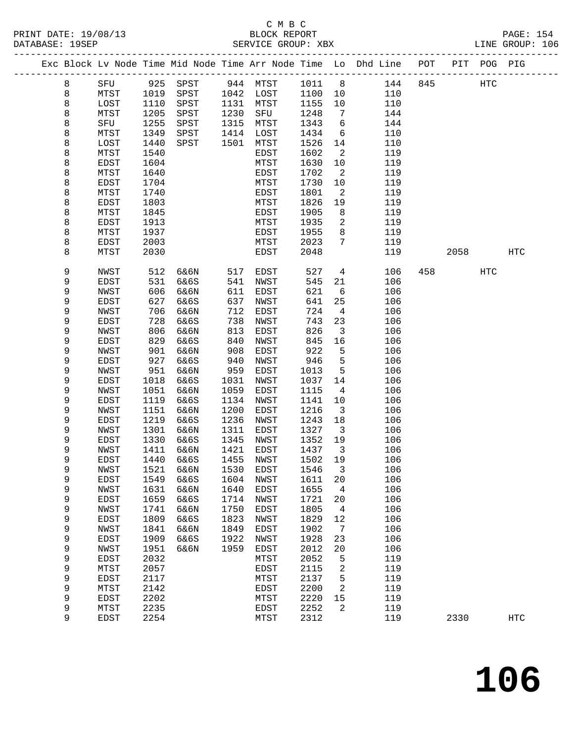#### C M B C<br>BLOCK REPORT PRINT DATE: 19/08/13 BLOCK REPORT PAGE: 154 SERVICE GROUP: XBX

|  |   |             |      |                     |      |             |        |                         | Exc Block Lv Node Time Mid Node Time Arr Node Time Lo Dhd Line POT |     |      | PIT POG PIG |                   |
|--|---|-------------|------|---------------------|------|-------------|--------|-------------------------|--------------------------------------------------------------------|-----|------|-------------|-------------------|
|  | 8 | SFU         | 925  | SPST                |      | 944 MTST    | 1011 8 |                         | 144                                                                | 845 |      | HTC         |                   |
|  | 8 | MTST        | 1019 | SPST                |      | 1042 LOST   | 1100   | 10                      | 110                                                                |     |      |             |                   |
|  | 8 | LOST        | 1110 | SPST                | 1131 | MTST        | 1155   | 10                      | 110                                                                |     |      |             |                   |
|  | 8 | MTST        | 1205 | SPST                | 1230 | SFU         | 1248   | 7                       | 144                                                                |     |      |             |                   |
|  | 8 | SFU         | 1255 | SPST                | 1315 | MTST        | 1343   | 6                       | 144                                                                |     |      |             |                   |
|  | 8 | MTST        | 1349 | SPST                | 1414 | LOST        | 1434   | 6                       | 110                                                                |     |      |             |                   |
|  | 8 | LOST        | 1440 | SPST                | 1501 | MTST        | 1526   | 14                      | 110                                                                |     |      |             |                   |
|  | 8 | MTST        | 1540 |                     |      | EDST        | 1602   | 2                       | 119                                                                |     |      |             |                   |
|  |   |             |      |                     |      |             |        |                         |                                                                    |     |      |             |                   |
|  | 8 | EDST        | 1604 |                     |      | MTST        | 1630   | 10                      | 119                                                                |     |      |             |                   |
|  | 8 | MTST        | 1640 |                     |      | EDST        | 1702   | 2                       | 119                                                                |     |      |             |                   |
|  | 8 | EDST        | 1704 |                     |      | MTST        | 1730   | 10                      | 119                                                                |     |      |             |                   |
|  | 8 | MTST        | 1740 |                     |      | EDST        | 1801   | 2                       | 119                                                                |     |      |             |                   |
|  | 8 | EDST        | 1803 |                     |      | MTST        | 1826   | 19                      | 119                                                                |     |      |             |                   |
|  | 8 | MTST        | 1845 |                     |      | EDST        | 1905   | 8                       | 119                                                                |     |      |             |                   |
|  | 8 | EDST        | 1913 |                     |      | MTST        | 1935   | 2                       | 119                                                                |     |      |             |                   |
|  | 8 | MTST        | 1937 |                     |      | EDST        | 1955   | 8                       | 119                                                                |     |      |             |                   |
|  | 8 | EDST        | 2003 |                     |      | MTST        | 2023   | $7\phantom{.0}$         | 119                                                                |     |      |             |                   |
|  | 8 | MTST        | 2030 |                     |      | EDST        | 2048   |                         | 119                                                                |     | 2058 |             | $_{\mathrm{HTC}}$ |
|  | 9 | NWST        | 512  | 6&6N                | 517  | EDST        | 527    | 4                       | 106                                                                | 458 |      | <b>HTC</b>  |                   |
|  | 9 | <b>EDST</b> | 531  | 6&6S                | 541  | NWST        | 545    | 21                      | 106                                                                |     |      |             |                   |
|  | 9 | NWST        | 606  | 6&6N                | 611  | EDST        | 621    | 6                       | 106                                                                |     |      |             |                   |
|  | 9 | EDST        | 627  | 6&6S                | 637  | NWST        | 641    | 25                      | 106                                                                |     |      |             |                   |
|  | 9 | NWST        | 706  | 6&6N                | 712  | EDST        | 724    | $\overline{4}$          | 106                                                                |     |      |             |                   |
|  | 9 | <b>EDST</b> | 728  | 6&6S                | 738  | NWST        | 743    | 23                      | 106                                                                |     |      |             |                   |
|  | 9 | NWST        | 806  | 6&6N                | 813  | EDST        | 826    | 3                       | 106                                                                |     |      |             |                   |
|  | 9 | EDST        | 829  | 6&6S                | 840  | NWST        | 845    | 16                      | 106                                                                |     |      |             |                   |
|  | 9 | NWST        | 901  | 6&6N                | 908  | EDST        | 922    | 5                       | 106                                                                |     |      |             |                   |
|  | 9 | EDST        | 927  | 6&6S                | 940  | NWST        | 946    | 5                       | 106                                                                |     |      |             |                   |
|  | 9 | NWST        | 951  | 6&6N                | 959  | EDST        | 1013   | 5                       | 106                                                                |     |      |             |                   |
|  | 9 | EDST        | 1018 | 6&6S                | 1031 | NWST        | 1037   | 14                      | 106                                                                |     |      |             |                   |
|  | 9 | NWST        | 1051 | 6&6N                | 1059 | EDST        | 1115   | 4                       | 106                                                                |     |      |             |                   |
|  | 9 | EDST        | 1119 | 6&6S                | 1134 | NWST        | 1141   | 10                      | 106                                                                |     |      |             |                   |
|  | 9 | NWST        | 1151 | 6&6N                | 1200 | EDST        | 1216   | 3                       | 106                                                                |     |      |             |                   |
|  | 9 | EDST        | 1219 | 6&6S                | 1236 | NWST        | 1243   | 18                      | 106                                                                |     |      |             |                   |
|  | 9 | NWST        | 1301 | 6&6N                | 1311 | EDST        | 1327   | $\overline{\mathbf{3}}$ | 106                                                                |     |      |             |                   |
|  | 9 | EDST        | 1330 | 6&6S                | 1345 | NWST        | 1352   | 19                      | 106                                                                |     |      |             |                   |
|  | 9 | NWST        | 1411 | 6&6N                | 1421 | EDST        | 1437   | $\overline{\mathbf{3}}$ | 106                                                                |     |      |             |                   |
|  | 9 | EDST        | 1440 | 6&6S                | 1455 | NWST        | 1502   | 19                      | 106                                                                |     |      |             |                   |
|  | 9 | NWST        |      | 1521 6&6N 1530 EDST |      |             | 1546 3 |                         | 106                                                                |     |      |             |                   |
|  | 9 | EDST        | 1549 | 6&6S                | 1604 | NWST        | 1611   | 20                      | 106                                                                |     |      |             |                   |
|  | 9 | NWST        | 1631 | 6&6N                | 1640 | EDST        | 1655   | 4                       | 106                                                                |     |      |             |                   |
|  | 9 | EDST        | 1659 | 6&6S                | 1714 | NWST        | 1721   | 20                      | 106                                                                |     |      |             |                   |
|  | 9 |             |      |                     | 1750 |             | 1805   |                         | 106                                                                |     |      |             |                   |
|  |   | NWST        | 1741 | 6&6N                |      | EDST        |        | 4                       |                                                                    |     |      |             |                   |
|  | 9 | EDST        | 1809 | 6&6S                | 1823 | NWST        | 1829   | 12                      | 106                                                                |     |      |             |                   |
|  | 9 | NWST        | 1841 | 6&6N                | 1849 | <b>EDST</b> | 1902   | 7                       | 106                                                                |     |      |             |                   |
|  | 9 | EDST        | 1909 | 6&6S                | 1922 | NWST        | 1928   | 23                      | 106                                                                |     |      |             |                   |
|  | 9 | NWST        | 1951 | 6&6N                | 1959 | EDST        | 2012   | 20                      | 106                                                                |     |      |             |                   |
|  | 9 | EDST        | 2032 |                     |      | MTST        | 2052   | 5                       | 119                                                                |     |      |             |                   |
|  | 9 | MTST        | 2057 |                     |      | EDST        | 2115   | 2                       | 119                                                                |     |      |             |                   |
|  | 9 | EDST        | 2117 |                     |      | MTST        | 2137   | 5                       | 119                                                                |     |      |             |                   |
|  | 9 | MTST        | 2142 |                     |      | EDST        | 2200   | $\sqrt{2}$              | 119                                                                |     |      |             |                   |
|  | 9 | EDST        | 2202 |                     |      | MTST        | 2220   | 15                      | 119                                                                |     |      |             |                   |
|  | 9 | MTST        | 2235 |                     |      | EDST        | 2252   | 2                       | 119                                                                |     |      |             |                   |
|  | 9 | EDST        | 2254 |                     |      | MTST        | 2312   |                         | 119                                                                |     | 2330 |             | <b>HTC</b>        |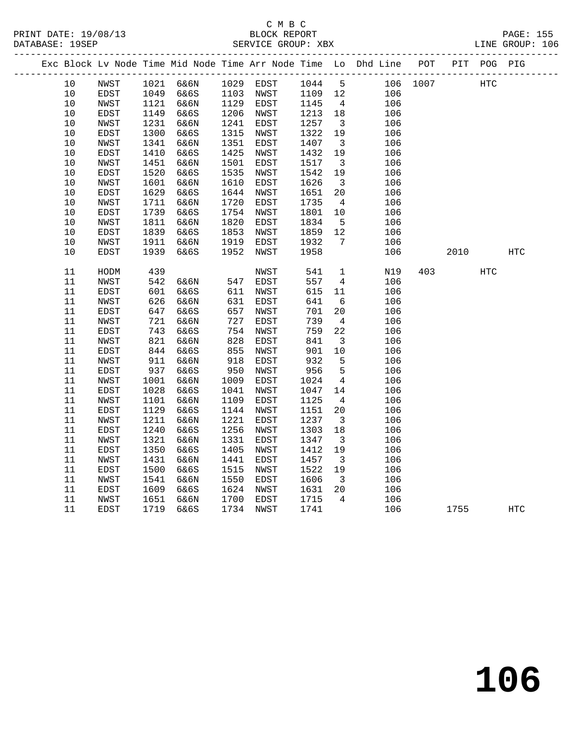|  |          |              |             |              |             |              |             |                                   | Exc Block Lv Node Time Mid Node Time Arr Node Time Lo Dhd Line POT |          |      | PIT POG PIG |            |
|--|----------|--------------|-------------|--------------|-------------|--------------|-------------|-----------------------------------|--------------------------------------------------------------------|----------|------|-------------|------------|
|  | 10       | NWST         |             | 1021 6&6N    |             | 1029 EDST    | 1044        | $5^{\circ}$                       |                                                                    | 106 1007 |      | HTC         |            |
|  | 10       | EDST         | 1049        | 6&6S         | 1103        | NWST         | 1109 12     |                                   | 106                                                                |          |      |             |            |
|  | 10       | NWST         | 1121        | 6&6N         |             | 1129 EDST    | 1145        | $\overline{4}$                    | 106                                                                |          |      |             |            |
|  | 10       | EDST         | 1149        | 6&6S         | 1206        | NWST         | 1213        | 18                                | 106                                                                |          |      |             |            |
|  | 10       | NWST         | 1231        | 6&6N         | 1241        | EDST         | 1257        | $\overline{\mathbf{3}}$           | 106                                                                |          |      |             |            |
|  | $10$     | EDST         | 1300        | 6&6S         | 1315        | NWST         | 1322        | 19                                | 106                                                                |          |      |             |            |
|  | $10$     | NWST         | 1341        | 6&6N         | 1351        | EDST         | 1407        | $\overline{\mathbf{3}}$           | 106                                                                |          |      |             |            |
|  | 10       | EDST         | 1410        | 6&6S         | 1425        | NWST         | 1432        | 19                                | 106                                                                |          |      |             |            |
|  | 10       | NWST         | 1451        | 6&6N         | 1501        | EDST         | 1517        | $\overline{\mathbf{3}}$           | 106                                                                |          |      |             |            |
|  | 10       | EDST         | 1520        | 6&6S         | 1535        | NWST         | 1542        | 19                                | 106                                                                |          |      |             |            |
|  | 10       | NWST         | 1601        | 6&6N         | 1610        | EDST         | 1626        | $\overline{\mathbf{3}}$           | 106                                                                |          |      |             |            |
|  | 10       | EDST         | 1629        | 6&6S         | 1644        | NWST         | 1651        | 20                                | 106                                                                |          |      |             |            |
|  | 10       | NWST         | 1711        | 6&6N         | 1720        | EDST         | 1735        | $\overline{4}$                    | 106                                                                |          |      |             |            |
|  | 10       | EDST         | 1739        | 6&6S         | 1754        | NWST         | 1801        | 10                                | 106                                                                |          |      |             |            |
|  | 10       | NWST         | 1811        | 6&6N         | 1820        | EDST         | 1834        | 5                                 | 106                                                                |          |      |             |            |
|  | 10       | EDST         | 1839        | 6&6S         | 1853        | NWST         | 1859        | 12                                | 106                                                                |          |      |             |            |
|  | 10       | NWST         | 1911        | 6&6N         | 1919        | EDST         | 1932        | 7                                 | 106                                                                |          |      |             |            |
|  | 10       | EDST         | 1939        | 6&6S         | 1952        | NWST         | 1958        |                                   | 106                                                                |          | 2010 |             | <b>HTC</b> |
|  | 11       | HODM         | 439         |              |             | NWST         | 541         | $\mathbf{1}$                      | N19                                                                | 403      |      | HTC         |            |
|  | 11       | NWST         | 542         | 6&6N         | 547         | EDST         | 557         | $\overline{4}$                    | 106                                                                |          |      |             |            |
|  | 11       | ${\tt EDST}$ | 601         | 6&6S         | 611         | NWST         | 615         | 11                                | 106                                                                |          |      |             |            |
|  | 11       | NWST         | 626         | 6&6N         | 631         | EDST         | 641         | - 6                               | 106                                                                |          |      |             |            |
|  | 11       | EDST         | 647         | 6&6S         | 657         | NWST         | 701         | 20                                | 106                                                                |          |      |             |            |
|  | 11       | NWST         | 721         | 6&6N         | 727         | EDST         | 739         | $\overline{4}$                    | 106                                                                |          |      |             |            |
|  | 11       | EDST         | 743         | 6&6S         | 754         | NWST         | 759         | 22                                | 106                                                                |          |      |             |            |
|  | 11       | NWST         | 821         | 6&6N         | 828         | EDST         | 841         | $\overline{\mathbf{3}}$           | 106                                                                |          |      |             |            |
|  | 11       | EDST         | 844         | 6&6S         | 855         | NWST         | 901         | 10                                | 106                                                                |          |      |             |            |
|  | 11       | NWST         | 911         | 6&6N         | 918         | EDST         | 932         | 5                                 | 106                                                                |          |      |             |            |
|  | 11<br>11 | EDST<br>NWST | 937<br>1001 | 6&6S<br>6&6N | 950<br>1009 | NWST<br>EDST | 956<br>1024 | $5\phantom{.0}$<br>$\overline{4}$ | 106<br>106                                                         |          |      |             |            |
|  | 11       | EDST         | 1028        | 6&6S         | 1041        | NWST         | 1047        | 14                                | 106                                                                |          |      |             |            |
|  | 11       | NWST         | 1101        | 6&6N         | 1109        | EDST         | 1125        | $\overline{4}$                    | 106                                                                |          |      |             |            |
|  | 11       | EDST         | 1129        | 6&6S         | 1144        | NWST         | 1151        | 20                                | 106                                                                |          |      |             |            |
|  | 11       | NWST         | 1211        | 6&6N         | 1221        | EDST         | 1237        | $\overline{\mathbf{3}}$           | 106                                                                |          |      |             |            |
|  | 11       | EDST         | 1240        | 6&6S         | 1256        | NWST         | 1303        | 18                                | 106                                                                |          |      |             |            |
|  | 11       | NWST         | 1321        | 6&6N         | 1331        | EDST         | 1347        | $\overline{\mathbf{3}}$           | 106                                                                |          |      |             |            |
|  | 11       | EDST         | 1350        | 6&6S         | 1405        | NWST         | 1412        | 19                                | 106                                                                |          |      |             |            |
|  | 11       | NWST         | 1431        | 6&6N         | 1441        | EDST         | 1457        | $\overline{\mathbf{3}}$           | 106                                                                |          |      |             |            |
|  | 11       | EDST         | 1500        | 6&6S         | 1515        | NWST         | 1522        | 19                                | 106                                                                |          |      |             |            |
|  | 11       | NWST         | 1541        | 6&6N         | 1550        | EDST         | 1606        | $\overline{\mathbf{3}}$           | 106                                                                |          |      |             |            |
|  | 11       | EDST         | 1609        | 6&6S         | 1624        | NWST         | 1631        | 20                                | 106                                                                |          |      |             |            |
|  | 11       | NWST         | 1651        | 6&6N         | 1700        | EDST         | 1715        | $\overline{4}$                    | 106                                                                |          |      |             |            |
|  | 11       | EDST         | 1719        | 6&6S         |             | 1734 NWST    | 1741        |                                   | 106                                                                |          | 1755 |             | HTC        |
|  |          |              |             |              |             |              |             |                                   |                                                                    |          |      |             |            |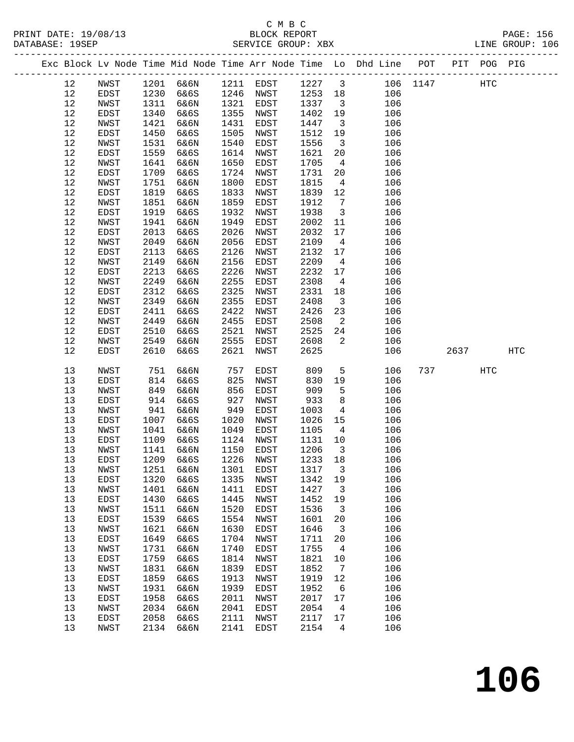| Exc Block Lv Node Time Mid Node Time Arr Node Time Lo Dhd Line POT<br>PIT POG PIG<br>_______________________________<br>12<br>1201<br>6&6N<br>1211 EDST<br>1227<br>$\overline{\mathbf{3}}$<br>106 1147<br>NWST<br>HTC<br>1246<br>12<br>1230<br>6&6S<br>1253<br>18<br>106<br>EDST<br>NWST<br>12<br>NWST<br>1311<br>6&6N<br>1321<br>1337<br>106<br>EDST<br>$\overline{\mathbf{3}}$<br>12<br>1340<br>6&6S<br>1355<br>1402<br>19<br>EDST<br>NWST<br>106<br>12<br>1421<br>1431<br>1447<br>$\overline{\mathbf{3}}$<br>NWST<br>6&6N<br>EDST<br>106<br>12<br>1450<br>6&6S<br>1505<br>1512<br>EDST<br>19<br>106<br>NWST<br>12<br>1531<br>1540<br>1556<br>NWST<br>6&6N<br>EDST<br>106<br>$\overline{\mathbf{3}}$<br>12<br>1559<br>6&6S<br>1614<br>1621<br>20<br>106<br>EDST<br>NWST<br>1650<br>12<br>1641<br>1705<br>$\overline{4}$<br>106<br>NWST<br>6&6N<br>EDST<br>12<br>1709<br>6&6S<br>1724<br>1731<br>EDST<br>NWST<br>20<br>106<br>1751<br>1800<br>12<br>NWST<br>6&6N<br>EDST<br>1815<br>$\overline{4}$<br>106<br>$12$<br>1819<br>6&6S<br>1833<br>1839<br>12<br>EDST<br>NWST<br>106<br>12<br>1851<br>1859<br>1912<br>$7\overline{ }$<br>NWST<br>6&6N<br>EDST<br>106<br>12<br>1919<br>1932<br>1938<br>6&6S<br>$\overline{3}$<br>106<br>EDST<br>NWST<br>12<br>1941<br>1949<br>NWST<br>6&6N<br>EDST<br>2002<br>11<br>106<br>12<br>2013<br>6&6S<br>2026<br>2032<br>17<br>EDST<br>NWST<br>106<br>12<br>2049<br>2056<br>2109<br>106<br>NWST<br>6&6N<br>EDST<br>$\overline{4}$<br>12<br>2113<br>6&6S<br>2126<br>2132<br>EDST<br>NWST<br>17<br>106<br>2156<br>2209<br>12<br>NWST<br>2149<br>6&6N<br>EDST<br>$\overline{4}$<br>106<br>$12$<br>2213<br>2226<br>2232<br>EDST<br>6&6S<br>NWST<br>17<br>106<br>12<br>NWST<br>2249<br>6&6N<br>2255<br>2308<br>106<br>EDST<br>$\overline{4}$<br>12<br>2312<br>6&6S<br>2325<br>2331<br>EDST<br>NWST<br>18<br>106<br>12<br>2349<br>6&6N<br>2355<br>2408<br>NWST<br>EDST<br>$\overline{\mathbf{3}}$<br>106<br>12<br>2411<br>6&6S<br>2422<br>2426<br>23<br>106<br>EDST<br>NWST<br>12<br>2449<br>2455<br>2508<br>2<br>106<br>NWST<br>6&6N<br>EDST<br>12<br>2510<br>2521<br>2525<br>106<br>EDST<br>6&6S<br>NWST<br>24<br>12<br>NWST<br>2549<br>6&6N<br>2555<br>2608<br>2<br>EDST<br>106<br>12<br>2610<br>2621<br>2625<br>EDST<br>6&6S<br>NWST<br>106<br>2637<br><b>HTC</b><br>13<br>809<br>NWST<br>751<br>6&6N<br>757<br>$5\phantom{.0}$<br>106<br>737<br><b>HTC</b><br>EDST<br>814<br>6&6S<br>825<br>830<br>13<br>EDST<br>NWST<br>19<br>106<br>849<br>856<br>909<br>13<br>NWST<br>6&6N<br>EDST<br>5<br>106<br>13<br>914<br>927<br>933<br>8<br>106<br>EDST<br>6&6S<br>NWST<br>13<br>NWST<br>941<br>949<br>1003<br>106<br>6&6N<br>EDST<br>4<br>13<br>1020<br>1026<br>EDST<br>1007<br>6&6S<br>NWST<br>15<br>106<br>1049<br>13<br>NWST<br>1041<br>6&6N<br>EDST<br>1105<br>4<br>106<br>13<br>1109<br>1124<br>EDST<br>6&6S<br>NWST<br>1131<br>10<br>106<br>1150<br>1206<br>13<br>NWST<br>1141<br>6&6N<br>EDST<br>$\overline{\mathbf{3}}$<br>106<br>13<br>1209<br>1226<br>1233<br>EDST<br>6&6S<br>NWST<br>18<br>106<br>13<br>NWST<br>1251<br>6&6N<br>1301<br>EDST<br>1317<br>3<br>106<br>6&6S<br>1342<br>19<br>13<br>EDST<br>1320<br>1335<br>NWST<br>106<br>13<br>1411<br>1427<br>106<br>NWST<br>1401<br>6&6N<br>EDST<br>3<br>1445<br>1452<br>106<br>13<br>EDST<br>1430<br>6&6S<br>NWST<br>19<br>1520<br>1536<br>13<br>NWST<br>1511<br>6&6N<br>EDST<br>3<br>106<br>13<br>1539<br>6&6S<br>1554<br>106<br>EDST<br>NWST<br>1601<br>20<br>13<br>NWST<br>1621<br>6&6N<br>1630<br>EDST<br>1646<br>3<br>106<br>13<br>EDST<br>1649<br>6&6S<br>1704<br>1711<br>20<br>106<br>NWST<br>1731<br>1740<br>1755<br>106<br>13<br>NWST<br>6&6N<br>EDST<br>4<br>13<br>1759<br>6&6S<br>1814<br>1821<br>106<br>EDST<br>NWST<br>10<br>1831<br>1839<br>1852<br>106<br>13<br>NWST<br>6&6N<br>EDST<br>7<br>1859<br>6&6S<br>1913<br>1919<br>106<br>13<br>EDST<br>NWST<br>12<br>1931<br>1939<br>1952<br>13<br>NWST<br>6&6N<br><b>EDST</b><br>6<br>106<br>1958<br>6&6S<br>2011<br>2017<br>106<br>13<br>EDST<br>NWST<br>17<br>13<br>2034<br>6&6N<br>2041<br>2054<br>106<br>NWST<br>EDST<br>4<br>13<br>2058<br>6&6S<br>2111<br>2117<br>106<br>EDST<br>NWST<br>17<br>13<br>2141<br>2154<br>4<br>106<br>NWST<br>2134<br>6&6N<br>EDST |  |  |  |  |  |  |  |  |
|-----------------------------------------------------------------------------------------------------------------------------------------------------------------------------------------------------------------------------------------------------------------------------------------------------------------------------------------------------------------------------------------------------------------------------------------------------------------------------------------------------------------------------------------------------------------------------------------------------------------------------------------------------------------------------------------------------------------------------------------------------------------------------------------------------------------------------------------------------------------------------------------------------------------------------------------------------------------------------------------------------------------------------------------------------------------------------------------------------------------------------------------------------------------------------------------------------------------------------------------------------------------------------------------------------------------------------------------------------------------------------------------------------------------------------------------------------------------------------------------------------------------------------------------------------------------------------------------------------------------------------------------------------------------------------------------------------------------------------------------------------------------------------------------------------------------------------------------------------------------------------------------------------------------------------------------------------------------------------------------------------------------------------------------------------------------------------------------------------------------------------------------------------------------------------------------------------------------------------------------------------------------------------------------------------------------------------------------------------------------------------------------------------------------------------------------------------------------------------------------------------------------------------------------------------------------------------------------------------------------------------------------------------------------------------------------------------------------------------------------------------------------------------------------------------------------------------------------------------------------------------------------------------------------------------------------------------------------------------------------------------------------------------------------------------------------------------------------------------------------------------------------------------------------------------------------------------------------------------------------------------------------------------------------------------------------------------------------------------------------------------------------------------------------------------------------------------------------------------------------------------------------------------------------------------------------------------------------------------------------------------------------------------------------------------------------------------------------------------------------------------------------------------------------------------------------------------------------------------------------------------------------------------------------------------------------------------------------------------------------------------------------------------------------------------------------------------------------------------------------------------------------------------------------------------------------------------------------------|--|--|--|--|--|--|--|--|
|                                                                                                                                                                                                                                                                                                                                                                                                                                                                                                                                                                                                                                                                                                                                                                                                                                                                                                                                                                                                                                                                                                                                                                                                                                                                                                                                                                                                                                                                                                                                                                                                                                                                                                                                                                                                                                                                                                                                                                                                                                                                                                                                                                                                                                                                                                                                                                                                                                                                                                                                                                                                                                                                                                                                                                                                                                                                                                                                                                                                                                                                                                                                                                                                                                                                                                                                                                                                                                                                                                                                                                                                                                                                                                                                                                                                                                                                                                                                                                                                                                                                                                                                                                                                                       |  |  |  |  |  |  |  |  |
|                                                                                                                                                                                                                                                                                                                                                                                                                                                                                                                                                                                                                                                                                                                                                                                                                                                                                                                                                                                                                                                                                                                                                                                                                                                                                                                                                                                                                                                                                                                                                                                                                                                                                                                                                                                                                                                                                                                                                                                                                                                                                                                                                                                                                                                                                                                                                                                                                                                                                                                                                                                                                                                                                                                                                                                                                                                                                                                                                                                                                                                                                                                                                                                                                                                                                                                                                                                                                                                                                                                                                                                                                                                                                                                                                                                                                                                                                                                                                                                                                                                                                                                                                                                                                       |  |  |  |  |  |  |  |  |
|                                                                                                                                                                                                                                                                                                                                                                                                                                                                                                                                                                                                                                                                                                                                                                                                                                                                                                                                                                                                                                                                                                                                                                                                                                                                                                                                                                                                                                                                                                                                                                                                                                                                                                                                                                                                                                                                                                                                                                                                                                                                                                                                                                                                                                                                                                                                                                                                                                                                                                                                                                                                                                                                                                                                                                                                                                                                                                                                                                                                                                                                                                                                                                                                                                                                                                                                                                                                                                                                                                                                                                                                                                                                                                                                                                                                                                                                                                                                                                                                                                                                                                                                                                                                                       |  |  |  |  |  |  |  |  |
|                                                                                                                                                                                                                                                                                                                                                                                                                                                                                                                                                                                                                                                                                                                                                                                                                                                                                                                                                                                                                                                                                                                                                                                                                                                                                                                                                                                                                                                                                                                                                                                                                                                                                                                                                                                                                                                                                                                                                                                                                                                                                                                                                                                                                                                                                                                                                                                                                                                                                                                                                                                                                                                                                                                                                                                                                                                                                                                                                                                                                                                                                                                                                                                                                                                                                                                                                                                                                                                                                                                                                                                                                                                                                                                                                                                                                                                                                                                                                                                                                                                                                                                                                                                                                       |  |  |  |  |  |  |  |  |
|                                                                                                                                                                                                                                                                                                                                                                                                                                                                                                                                                                                                                                                                                                                                                                                                                                                                                                                                                                                                                                                                                                                                                                                                                                                                                                                                                                                                                                                                                                                                                                                                                                                                                                                                                                                                                                                                                                                                                                                                                                                                                                                                                                                                                                                                                                                                                                                                                                                                                                                                                                                                                                                                                                                                                                                                                                                                                                                                                                                                                                                                                                                                                                                                                                                                                                                                                                                                                                                                                                                                                                                                                                                                                                                                                                                                                                                                                                                                                                                                                                                                                                                                                                                                                       |  |  |  |  |  |  |  |  |
|                                                                                                                                                                                                                                                                                                                                                                                                                                                                                                                                                                                                                                                                                                                                                                                                                                                                                                                                                                                                                                                                                                                                                                                                                                                                                                                                                                                                                                                                                                                                                                                                                                                                                                                                                                                                                                                                                                                                                                                                                                                                                                                                                                                                                                                                                                                                                                                                                                                                                                                                                                                                                                                                                                                                                                                                                                                                                                                                                                                                                                                                                                                                                                                                                                                                                                                                                                                                                                                                                                                                                                                                                                                                                                                                                                                                                                                                                                                                                                                                                                                                                                                                                                                                                       |  |  |  |  |  |  |  |  |
|                                                                                                                                                                                                                                                                                                                                                                                                                                                                                                                                                                                                                                                                                                                                                                                                                                                                                                                                                                                                                                                                                                                                                                                                                                                                                                                                                                                                                                                                                                                                                                                                                                                                                                                                                                                                                                                                                                                                                                                                                                                                                                                                                                                                                                                                                                                                                                                                                                                                                                                                                                                                                                                                                                                                                                                                                                                                                                                                                                                                                                                                                                                                                                                                                                                                                                                                                                                                                                                                                                                                                                                                                                                                                                                                                                                                                                                                                                                                                                                                                                                                                                                                                                                                                       |  |  |  |  |  |  |  |  |
|                                                                                                                                                                                                                                                                                                                                                                                                                                                                                                                                                                                                                                                                                                                                                                                                                                                                                                                                                                                                                                                                                                                                                                                                                                                                                                                                                                                                                                                                                                                                                                                                                                                                                                                                                                                                                                                                                                                                                                                                                                                                                                                                                                                                                                                                                                                                                                                                                                                                                                                                                                                                                                                                                                                                                                                                                                                                                                                                                                                                                                                                                                                                                                                                                                                                                                                                                                                                                                                                                                                                                                                                                                                                                                                                                                                                                                                                                                                                                                                                                                                                                                                                                                                                                       |  |  |  |  |  |  |  |  |
|                                                                                                                                                                                                                                                                                                                                                                                                                                                                                                                                                                                                                                                                                                                                                                                                                                                                                                                                                                                                                                                                                                                                                                                                                                                                                                                                                                                                                                                                                                                                                                                                                                                                                                                                                                                                                                                                                                                                                                                                                                                                                                                                                                                                                                                                                                                                                                                                                                                                                                                                                                                                                                                                                                                                                                                                                                                                                                                                                                                                                                                                                                                                                                                                                                                                                                                                                                                                                                                                                                                                                                                                                                                                                                                                                                                                                                                                                                                                                                                                                                                                                                                                                                                                                       |  |  |  |  |  |  |  |  |
|                                                                                                                                                                                                                                                                                                                                                                                                                                                                                                                                                                                                                                                                                                                                                                                                                                                                                                                                                                                                                                                                                                                                                                                                                                                                                                                                                                                                                                                                                                                                                                                                                                                                                                                                                                                                                                                                                                                                                                                                                                                                                                                                                                                                                                                                                                                                                                                                                                                                                                                                                                                                                                                                                                                                                                                                                                                                                                                                                                                                                                                                                                                                                                                                                                                                                                                                                                                                                                                                                                                                                                                                                                                                                                                                                                                                                                                                                                                                                                                                                                                                                                                                                                                                                       |  |  |  |  |  |  |  |  |
|                                                                                                                                                                                                                                                                                                                                                                                                                                                                                                                                                                                                                                                                                                                                                                                                                                                                                                                                                                                                                                                                                                                                                                                                                                                                                                                                                                                                                                                                                                                                                                                                                                                                                                                                                                                                                                                                                                                                                                                                                                                                                                                                                                                                                                                                                                                                                                                                                                                                                                                                                                                                                                                                                                                                                                                                                                                                                                                                                                                                                                                                                                                                                                                                                                                                                                                                                                                                                                                                                                                                                                                                                                                                                                                                                                                                                                                                                                                                                                                                                                                                                                                                                                                                                       |  |  |  |  |  |  |  |  |
|                                                                                                                                                                                                                                                                                                                                                                                                                                                                                                                                                                                                                                                                                                                                                                                                                                                                                                                                                                                                                                                                                                                                                                                                                                                                                                                                                                                                                                                                                                                                                                                                                                                                                                                                                                                                                                                                                                                                                                                                                                                                                                                                                                                                                                                                                                                                                                                                                                                                                                                                                                                                                                                                                                                                                                                                                                                                                                                                                                                                                                                                                                                                                                                                                                                                                                                                                                                                                                                                                                                                                                                                                                                                                                                                                                                                                                                                                                                                                                                                                                                                                                                                                                                                                       |  |  |  |  |  |  |  |  |
|                                                                                                                                                                                                                                                                                                                                                                                                                                                                                                                                                                                                                                                                                                                                                                                                                                                                                                                                                                                                                                                                                                                                                                                                                                                                                                                                                                                                                                                                                                                                                                                                                                                                                                                                                                                                                                                                                                                                                                                                                                                                                                                                                                                                                                                                                                                                                                                                                                                                                                                                                                                                                                                                                                                                                                                                                                                                                                                                                                                                                                                                                                                                                                                                                                                                                                                                                                                                                                                                                                                                                                                                                                                                                                                                                                                                                                                                                                                                                                                                                                                                                                                                                                                                                       |  |  |  |  |  |  |  |  |
|                                                                                                                                                                                                                                                                                                                                                                                                                                                                                                                                                                                                                                                                                                                                                                                                                                                                                                                                                                                                                                                                                                                                                                                                                                                                                                                                                                                                                                                                                                                                                                                                                                                                                                                                                                                                                                                                                                                                                                                                                                                                                                                                                                                                                                                                                                                                                                                                                                                                                                                                                                                                                                                                                                                                                                                                                                                                                                                                                                                                                                                                                                                                                                                                                                                                                                                                                                                                                                                                                                                                                                                                                                                                                                                                                                                                                                                                                                                                                                                                                                                                                                                                                                                                                       |  |  |  |  |  |  |  |  |
|                                                                                                                                                                                                                                                                                                                                                                                                                                                                                                                                                                                                                                                                                                                                                                                                                                                                                                                                                                                                                                                                                                                                                                                                                                                                                                                                                                                                                                                                                                                                                                                                                                                                                                                                                                                                                                                                                                                                                                                                                                                                                                                                                                                                                                                                                                                                                                                                                                                                                                                                                                                                                                                                                                                                                                                                                                                                                                                                                                                                                                                                                                                                                                                                                                                                                                                                                                                                                                                                                                                                                                                                                                                                                                                                                                                                                                                                                                                                                                                                                                                                                                                                                                                                                       |  |  |  |  |  |  |  |  |
|                                                                                                                                                                                                                                                                                                                                                                                                                                                                                                                                                                                                                                                                                                                                                                                                                                                                                                                                                                                                                                                                                                                                                                                                                                                                                                                                                                                                                                                                                                                                                                                                                                                                                                                                                                                                                                                                                                                                                                                                                                                                                                                                                                                                                                                                                                                                                                                                                                                                                                                                                                                                                                                                                                                                                                                                                                                                                                                                                                                                                                                                                                                                                                                                                                                                                                                                                                                                                                                                                                                                                                                                                                                                                                                                                                                                                                                                                                                                                                                                                                                                                                                                                                                                                       |  |  |  |  |  |  |  |  |
|                                                                                                                                                                                                                                                                                                                                                                                                                                                                                                                                                                                                                                                                                                                                                                                                                                                                                                                                                                                                                                                                                                                                                                                                                                                                                                                                                                                                                                                                                                                                                                                                                                                                                                                                                                                                                                                                                                                                                                                                                                                                                                                                                                                                                                                                                                                                                                                                                                                                                                                                                                                                                                                                                                                                                                                                                                                                                                                                                                                                                                                                                                                                                                                                                                                                                                                                                                                                                                                                                                                                                                                                                                                                                                                                                                                                                                                                                                                                                                                                                                                                                                                                                                                                                       |  |  |  |  |  |  |  |  |
|                                                                                                                                                                                                                                                                                                                                                                                                                                                                                                                                                                                                                                                                                                                                                                                                                                                                                                                                                                                                                                                                                                                                                                                                                                                                                                                                                                                                                                                                                                                                                                                                                                                                                                                                                                                                                                                                                                                                                                                                                                                                                                                                                                                                                                                                                                                                                                                                                                                                                                                                                                                                                                                                                                                                                                                                                                                                                                                                                                                                                                                                                                                                                                                                                                                                                                                                                                                                                                                                                                                                                                                                                                                                                                                                                                                                                                                                                                                                                                                                                                                                                                                                                                                                                       |  |  |  |  |  |  |  |  |
|                                                                                                                                                                                                                                                                                                                                                                                                                                                                                                                                                                                                                                                                                                                                                                                                                                                                                                                                                                                                                                                                                                                                                                                                                                                                                                                                                                                                                                                                                                                                                                                                                                                                                                                                                                                                                                                                                                                                                                                                                                                                                                                                                                                                                                                                                                                                                                                                                                                                                                                                                                                                                                                                                                                                                                                                                                                                                                                                                                                                                                                                                                                                                                                                                                                                                                                                                                                                                                                                                                                                                                                                                                                                                                                                                                                                                                                                                                                                                                                                                                                                                                                                                                                                                       |  |  |  |  |  |  |  |  |
|                                                                                                                                                                                                                                                                                                                                                                                                                                                                                                                                                                                                                                                                                                                                                                                                                                                                                                                                                                                                                                                                                                                                                                                                                                                                                                                                                                                                                                                                                                                                                                                                                                                                                                                                                                                                                                                                                                                                                                                                                                                                                                                                                                                                                                                                                                                                                                                                                                                                                                                                                                                                                                                                                                                                                                                                                                                                                                                                                                                                                                                                                                                                                                                                                                                                                                                                                                                                                                                                                                                                                                                                                                                                                                                                                                                                                                                                                                                                                                                                                                                                                                                                                                                                                       |  |  |  |  |  |  |  |  |
|                                                                                                                                                                                                                                                                                                                                                                                                                                                                                                                                                                                                                                                                                                                                                                                                                                                                                                                                                                                                                                                                                                                                                                                                                                                                                                                                                                                                                                                                                                                                                                                                                                                                                                                                                                                                                                                                                                                                                                                                                                                                                                                                                                                                                                                                                                                                                                                                                                                                                                                                                                                                                                                                                                                                                                                                                                                                                                                                                                                                                                                                                                                                                                                                                                                                                                                                                                                                                                                                                                                                                                                                                                                                                                                                                                                                                                                                                                                                                                                                                                                                                                                                                                                                                       |  |  |  |  |  |  |  |  |
|                                                                                                                                                                                                                                                                                                                                                                                                                                                                                                                                                                                                                                                                                                                                                                                                                                                                                                                                                                                                                                                                                                                                                                                                                                                                                                                                                                                                                                                                                                                                                                                                                                                                                                                                                                                                                                                                                                                                                                                                                                                                                                                                                                                                                                                                                                                                                                                                                                                                                                                                                                                                                                                                                                                                                                                                                                                                                                                                                                                                                                                                                                                                                                                                                                                                                                                                                                                                                                                                                                                                                                                                                                                                                                                                                                                                                                                                                                                                                                                                                                                                                                                                                                                                                       |  |  |  |  |  |  |  |  |
|                                                                                                                                                                                                                                                                                                                                                                                                                                                                                                                                                                                                                                                                                                                                                                                                                                                                                                                                                                                                                                                                                                                                                                                                                                                                                                                                                                                                                                                                                                                                                                                                                                                                                                                                                                                                                                                                                                                                                                                                                                                                                                                                                                                                                                                                                                                                                                                                                                                                                                                                                                                                                                                                                                                                                                                                                                                                                                                                                                                                                                                                                                                                                                                                                                                                                                                                                                                                                                                                                                                                                                                                                                                                                                                                                                                                                                                                                                                                                                                                                                                                                                                                                                                                                       |  |  |  |  |  |  |  |  |
|                                                                                                                                                                                                                                                                                                                                                                                                                                                                                                                                                                                                                                                                                                                                                                                                                                                                                                                                                                                                                                                                                                                                                                                                                                                                                                                                                                                                                                                                                                                                                                                                                                                                                                                                                                                                                                                                                                                                                                                                                                                                                                                                                                                                                                                                                                                                                                                                                                                                                                                                                                                                                                                                                                                                                                                                                                                                                                                                                                                                                                                                                                                                                                                                                                                                                                                                                                                                                                                                                                                                                                                                                                                                                                                                                                                                                                                                                                                                                                                                                                                                                                                                                                                                                       |  |  |  |  |  |  |  |  |
|                                                                                                                                                                                                                                                                                                                                                                                                                                                                                                                                                                                                                                                                                                                                                                                                                                                                                                                                                                                                                                                                                                                                                                                                                                                                                                                                                                                                                                                                                                                                                                                                                                                                                                                                                                                                                                                                                                                                                                                                                                                                                                                                                                                                                                                                                                                                                                                                                                                                                                                                                                                                                                                                                                                                                                                                                                                                                                                                                                                                                                                                                                                                                                                                                                                                                                                                                                                                                                                                                                                                                                                                                                                                                                                                                                                                                                                                                                                                                                                                                                                                                                                                                                                                                       |  |  |  |  |  |  |  |  |
|                                                                                                                                                                                                                                                                                                                                                                                                                                                                                                                                                                                                                                                                                                                                                                                                                                                                                                                                                                                                                                                                                                                                                                                                                                                                                                                                                                                                                                                                                                                                                                                                                                                                                                                                                                                                                                                                                                                                                                                                                                                                                                                                                                                                                                                                                                                                                                                                                                                                                                                                                                                                                                                                                                                                                                                                                                                                                                                                                                                                                                                                                                                                                                                                                                                                                                                                                                                                                                                                                                                                                                                                                                                                                                                                                                                                                                                                                                                                                                                                                                                                                                                                                                                                                       |  |  |  |  |  |  |  |  |
|                                                                                                                                                                                                                                                                                                                                                                                                                                                                                                                                                                                                                                                                                                                                                                                                                                                                                                                                                                                                                                                                                                                                                                                                                                                                                                                                                                                                                                                                                                                                                                                                                                                                                                                                                                                                                                                                                                                                                                                                                                                                                                                                                                                                                                                                                                                                                                                                                                                                                                                                                                                                                                                                                                                                                                                                                                                                                                                                                                                                                                                                                                                                                                                                                                                                                                                                                                                                                                                                                                                                                                                                                                                                                                                                                                                                                                                                                                                                                                                                                                                                                                                                                                                                                       |  |  |  |  |  |  |  |  |
|                                                                                                                                                                                                                                                                                                                                                                                                                                                                                                                                                                                                                                                                                                                                                                                                                                                                                                                                                                                                                                                                                                                                                                                                                                                                                                                                                                                                                                                                                                                                                                                                                                                                                                                                                                                                                                                                                                                                                                                                                                                                                                                                                                                                                                                                                                                                                                                                                                                                                                                                                                                                                                                                                                                                                                                                                                                                                                                                                                                                                                                                                                                                                                                                                                                                                                                                                                                                                                                                                                                                                                                                                                                                                                                                                                                                                                                                                                                                                                                                                                                                                                                                                                                                                       |  |  |  |  |  |  |  |  |
|                                                                                                                                                                                                                                                                                                                                                                                                                                                                                                                                                                                                                                                                                                                                                                                                                                                                                                                                                                                                                                                                                                                                                                                                                                                                                                                                                                                                                                                                                                                                                                                                                                                                                                                                                                                                                                                                                                                                                                                                                                                                                                                                                                                                                                                                                                                                                                                                                                                                                                                                                                                                                                                                                                                                                                                                                                                                                                                                                                                                                                                                                                                                                                                                                                                                                                                                                                                                                                                                                                                                                                                                                                                                                                                                                                                                                                                                                                                                                                                                                                                                                                                                                                                                                       |  |  |  |  |  |  |  |  |
|                                                                                                                                                                                                                                                                                                                                                                                                                                                                                                                                                                                                                                                                                                                                                                                                                                                                                                                                                                                                                                                                                                                                                                                                                                                                                                                                                                                                                                                                                                                                                                                                                                                                                                                                                                                                                                                                                                                                                                                                                                                                                                                                                                                                                                                                                                                                                                                                                                                                                                                                                                                                                                                                                                                                                                                                                                                                                                                                                                                                                                                                                                                                                                                                                                                                                                                                                                                                                                                                                                                                                                                                                                                                                                                                                                                                                                                                                                                                                                                                                                                                                                                                                                                                                       |  |  |  |  |  |  |  |  |
|                                                                                                                                                                                                                                                                                                                                                                                                                                                                                                                                                                                                                                                                                                                                                                                                                                                                                                                                                                                                                                                                                                                                                                                                                                                                                                                                                                                                                                                                                                                                                                                                                                                                                                                                                                                                                                                                                                                                                                                                                                                                                                                                                                                                                                                                                                                                                                                                                                                                                                                                                                                                                                                                                                                                                                                                                                                                                                                                                                                                                                                                                                                                                                                                                                                                                                                                                                                                                                                                                                                                                                                                                                                                                                                                                                                                                                                                                                                                                                                                                                                                                                                                                                                                                       |  |  |  |  |  |  |  |  |
|                                                                                                                                                                                                                                                                                                                                                                                                                                                                                                                                                                                                                                                                                                                                                                                                                                                                                                                                                                                                                                                                                                                                                                                                                                                                                                                                                                                                                                                                                                                                                                                                                                                                                                                                                                                                                                                                                                                                                                                                                                                                                                                                                                                                                                                                                                                                                                                                                                                                                                                                                                                                                                                                                                                                                                                                                                                                                                                                                                                                                                                                                                                                                                                                                                                                                                                                                                                                                                                                                                                                                                                                                                                                                                                                                                                                                                                                                                                                                                                                                                                                                                                                                                                                                       |  |  |  |  |  |  |  |  |
|                                                                                                                                                                                                                                                                                                                                                                                                                                                                                                                                                                                                                                                                                                                                                                                                                                                                                                                                                                                                                                                                                                                                                                                                                                                                                                                                                                                                                                                                                                                                                                                                                                                                                                                                                                                                                                                                                                                                                                                                                                                                                                                                                                                                                                                                                                                                                                                                                                                                                                                                                                                                                                                                                                                                                                                                                                                                                                                                                                                                                                                                                                                                                                                                                                                                                                                                                                                                                                                                                                                                                                                                                                                                                                                                                                                                                                                                                                                                                                                                                                                                                                                                                                                                                       |  |  |  |  |  |  |  |  |
|                                                                                                                                                                                                                                                                                                                                                                                                                                                                                                                                                                                                                                                                                                                                                                                                                                                                                                                                                                                                                                                                                                                                                                                                                                                                                                                                                                                                                                                                                                                                                                                                                                                                                                                                                                                                                                                                                                                                                                                                                                                                                                                                                                                                                                                                                                                                                                                                                                                                                                                                                                                                                                                                                                                                                                                                                                                                                                                                                                                                                                                                                                                                                                                                                                                                                                                                                                                                                                                                                                                                                                                                                                                                                                                                                                                                                                                                                                                                                                                                                                                                                                                                                                                                                       |  |  |  |  |  |  |  |  |
|                                                                                                                                                                                                                                                                                                                                                                                                                                                                                                                                                                                                                                                                                                                                                                                                                                                                                                                                                                                                                                                                                                                                                                                                                                                                                                                                                                                                                                                                                                                                                                                                                                                                                                                                                                                                                                                                                                                                                                                                                                                                                                                                                                                                                                                                                                                                                                                                                                                                                                                                                                                                                                                                                                                                                                                                                                                                                                                                                                                                                                                                                                                                                                                                                                                                                                                                                                                                                                                                                                                                                                                                                                                                                                                                                                                                                                                                                                                                                                                                                                                                                                                                                                                                                       |  |  |  |  |  |  |  |  |
|                                                                                                                                                                                                                                                                                                                                                                                                                                                                                                                                                                                                                                                                                                                                                                                                                                                                                                                                                                                                                                                                                                                                                                                                                                                                                                                                                                                                                                                                                                                                                                                                                                                                                                                                                                                                                                                                                                                                                                                                                                                                                                                                                                                                                                                                                                                                                                                                                                                                                                                                                                                                                                                                                                                                                                                                                                                                                                                                                                                                                                                                                                                                                                                                                                                                                                                                                                                                                                                                                                                                                                                                                                                                                                                                                                                                                                                                                                                                                                                                                                                                                                                                                                                                                       |  |  |  |  |  |  |  |  |
|                                                                                                                                                                                                                                                                                                                                                                                                                                                                                                                                                                                                                                                                                                                                                                                                                                                                                                                                                                                                                                                                                                                                                                                                                                                                                                                                                                                                                                                                                                                                                                                                                                                                                                                                                                                                                                                                                                                                                                                                                                                                                                                                                                                                                                                                                                                                                                                                                                                                                                                                                                                                                                                                                                                                                                                                                                                                                                                                                                                                                                                                                                                                                                                                                                                                                                                                                                                                                                                                                                                                                                                                                                                                                                                                                                                                                                                                                                                                                                                                                                                                                                                                                                                                                       |  |  |  |  |  |  |  |  |
|                                                                                                                                                                                                                                                                                                                                                                                                                                                                                                                                                                                                                                                                                                                                                                                                                                                                                                                                                                                                                                                                                                                                                                                                                                                                                                                                                                                                                                                                                                                                                                                                                                                                                                                                                                                                                                                                                                                                                                                                                                                                                                                                                                                                                                                                                                                                                                                                                                                                                                                                                                                                                                                                                                                                                                                                                                                                                                                                                                                                                                                                                                                                                                                                                                                                                                                                                                                                                                                                                                                                                                                                                                                                                                                                                                                                                                                                                                                                                                                                                                                                                                                                                                                                                       |  |  |  |  |  |  |  |  |
|                                                                                                                                                                                                                                                                                                                                                                                                                                                                                                                                                                                                                                                                                                                                                                                                                                                                                                                                                                                                                                                                                                                                                                                                                                                                                                                                                                                                                                                                                                                                                                                                                                                                                                                                                                                                                                                                                                                                                                                                                                                                                                                                                                                                                                                                                                                                                                                                                                                                                                                                                                                                                                                                                                                                                                                                                                                                                                                                                                                                                                                                                                                                                                                                                                                                                                                                                                                                                                                                                                                                                                                                                                                                                                                                                                                                                                                                                                                                                                                                                                                                                                                                                                                                                       |  |  |  |  |  |  |  |  |
|                                                                                                                                                                                                                                                                                                                                                                                                                                                                                                                                                                                                                                                                                                                                                                                                                                                                                                                                                                                                                                                                                                                                                                                                                                                                                                                                                                                                                                                                                                                                                                                                                                                                                                                                                                                                                                                                                                                                                                                                                                                                                                                                                                                                                                                                                                                                                                                                                                                                                                                                                                                                                                                                                                                                                                                                                                                                                                                                                                                                                                                                                                                                                                                                                                                                                                                                                                                                                                                                                                                                                                                                                                                                                                                                                                                                                                                                                                                                                                                                                                                                                                                                                                                                                       |  |  |  |  |  |  |  |  |
|                                                                                                                                                                                                                                                                                                                                                                                                                                                                                                                                                                                                                                                                                                                                                                                                                                                                                                                                                                                                                                                                                                                                                                                                                                                                                                                                                                                                                                                                                                                                                                                                                                                                                                                                                                                                                                                                                                                                                                                                                                                                                                                                                                                                                                                                                                                                                                                                                                                                                                                                                                                                                                                                                                                                                                                                                                                                                                                                                                                                                                                                                                                                                                                                                                                                                                                                                                                                                                                                                                                                                                                                                                                                                                                                                                                                                                                                                                                                                                                                                                                                                                                                                                                                                       |  |  |  |  |  |  |  |  |
|                                                                                                                                                                                                                                                                                                                                                                                                                                                                                                                                                                                                                                                                                                                                                                                                                                                                                                                                                                                                                                                                                                                                                                                                                                                                                                                                                                                                                                                                                                                                                                                                                                                                                                                                                                                                                                                                                                                                                                                                                                                                                                                                                                                                                                                                                                                                                                                                                                                                                                                                                                                                                                                                                                                                                                                                                                                                                                                                                                                                                                                                                                                                                                                                                                                                                                                                                                                                                                                                                                                                                                                                                                                                                                                                                                                                                                                                                                                                                                                                                                                                                                                                                                                                                       |  |  |  |  |  |  |  |  |
|                                                                                                                                                                                                                                                                                                                                                                                                                                                                                                                                                                                                                                                                                                                                                                                                                                                                                                                                                                                                                                                                                                                                                                                                                                                                                                                                                                                                                                                                                                                                                                                                                                                                                                                                                                                                                                                                                                                                                                                                                                                                                                                                                                                                                                                                                                                                                                                                                                                                                                                                                                                                                                                                                                                                                                                                                                                                                                                                                                                                                                                                                                                                                                                                                                                                                                                                                                                                                                                                                                                                                                                                                                                                                                                                                                                                                                                                                                                                                                                                                                                                                                                                                                                                                       |  |  |  |  |  |  |  |  |
|                                                                                                                                                                                                                                                                                                                                                                                                                                                                                                                                                                                                                                                                                                                                                                                                                                                                                                                                                                                                                                                                                                                                                                                                                                                                                                                                                                                                                                                                                                                                                                                                                                                                                                                                                                                                                                                                                                                                                                                                                                                                                                                                                                                                                                                                                                                                                                                                                                                                                                                                                                                                                                                                                                                                                                                                                                                                                                                                                                                                                                                                                                                                                                                                                                                                                                                                                                                                                                                                                                                                                                                                                                                                                                                                                                                                                                                                                                                                                                                                                                                                                                                                                                                                                       |  |  |  |  |  |  |  |  |
|                                                                                                                                                                                                                                                                                                                                                                                                                                                                                                                                                                                                                                                                                                                                                                                                                                                                                                                                                                                                                                                                                                                                                                                                                                                                                                                                                                                                                                                                                                                                                                                                                                                                                                                                                                                                                                                                                                                                                                                                                                                                                                                                                                                                                                                                                                                                                                                                                                                                                                                                                                                                                                                                                                                                                                                                                                                                                                                                                                                                                                                                                                                                                                                                                                                                                                                                                                                                                                                                                                                                                                                                                                                                                                                                                                                                                                                                                                                                                                                                                                                                                                                                                                                                                       |  |  |  |  |  |  |  |  |
|                                                                                                                                                                                                                                                                                                                                                                                                                                                                                                                                                                                                                                                                                                                                                                                                                                                                                                                                                                                                                                                                                                                                                                                                                                                                                                                                                                                                                                                                                                                                                                                                                                                                                                                                                                                                                                                                                                                                                                                                                                                                                                                                                                                                                                                                                                                                                                                                                                                                                                                                                                                                                                                                                                                                                                                                                                                                                                                                                                                                                                                                                                                                                                                                                                                                                                                                                                                                                                                                                                                                                                                                                                                                                                                                                                                                                                                                                                                                                                                                                                                                                                                                                                                                                       |  |  |  |  |  |  |  |  |
|                                                                                                                                                                                                                                                                                                                                                                                                                                                                                                                                                                                                                                                                                                                                                                                                                                                                                                                                                                                                                                                                                                                                                                                                                                                                                                                                                                                                                                                                                                                                                                                                                                                                                                                                                                                                                                                                                                                                                                                                                                                                                                                                                                                                                                                                                                                                                                                                                                                                                                                                                                                                                                                                                                                                                                                                                                                                                                                                                                                                                                                                                                                                                                                                                                                                                                                                                                                                                                                                                                                                                                                                                                                                                                                                                                                                                                                                                                                                                                                                                                                                                                                                                                                                                       |  |  |  |  |  |  |  |  |
|                                                                                                                                                                                                                                                                                                                                                                                                                                                                                                                                                                                                                                                                                                                                                                                                                                                                                                                                                                                                                                                                                                                                                                                                                                                                                                                                                                                                                                                                                                                                                                                                                                                                                                                                                                                                                                                                                                                                                                                                                                                                                                                                                                                                                                                                                                                                                                                                                                                                                                                                                                                                                                                                                                                                                                                                                                                                                                                                                                                                                                                                                                                                                                                                                                                                                                                                                                                                                                                                                                                                                                                                                                                                                                                                                                                                                                                                                                                                                                                                                                                                                                                                                                                                                       |  |  |  |  |  |  |  |  |
|                                                                                                                                                                                                                                                                                                                                                                                                                                                                                                                                                                                                                                                                                                                                                                                                                                                                                                                                                                                                                                                                                                                                                                                                                                                                                                                                                                                                                                                                                                                                                                                                                                                                                                                                                                                                                                                                                                                                                                                                                                                                                                                                                                                                                                                                                                                                                                                                                                                                                                                                                                                                                                                                                                                                                                                                                                                                                                                                                                                                                                                                                                                                                                                                                                                                                                                                                                                                                                                                                                                                                                                                                                                                                                                                                                                                                                                                                                                                                                                                                                                                                                                                                                                                                       |  |  |  |  |  |  |  |  |
|                                                                                                                                                                                                                                                                                                                                                                                                                                                                                                                                                                                                                                                                                                                                                                                                                                                                                                                                                                                                                                                                                                                                                                                                                                                                                                                                                                                                                                                                                                                                                                                                                                                                                                                                                                                                                                                                                                                                                                                                                                                                                                                                                                                                                                                                                                                                                                                                                                                                                                                                                                                                                                                                                                                                                                                                                                                                                                                                                                                                                                                                                                                                                                                                                                                                                                                                                                                                                                                                                                                                                                                                                                                                                                                                                                                                                                                                                                                                                                                                                                                                                                                                                                                                                       |  |  |  |  |  |  |  |  |
|                                                                                                                                                                                                                                                                                                                                                                                                                                                                                                                                                                                                                                                                                                                                                                                                                                                                                                                                                                                                                                                                                                                                                                                                                                                                                                                                                                                                                                                                                                                                                                                                                                                                                                                                                                                                                                                                                                                                                                                                                                                                                                                                                                                                                                                                                                                                                                                                                                                                                                                                                                                                                                                                                                                                                                                                                                                                                                                                                                                                                                                                                                                                                                                                                                                                                                                                                                                                                                                                                                                                                                                                                                                                                                                                                                                                                                                                                                                                                                                                                                                                                                                                                                                                                       |  |  |  |  |  |  |  |  |
|                                                                                                                                                                                                                                                                                                                                                                                                                                                                                                                                                                                                                                                                                                                                                                                                                                                                                                                                                                                                                                                                                                                                                                                                                                                                                                                                                                                                                                                                                                                                                                                                                                                                                                                                                                                                                                                                                                                                                                                                                                                                                                                                                                                                                                                                                                                                                                                                                                                                                                                                                                                                                                                                                                                                                                                                                                                                                                                                                                                                                                                                                                                                                                                                                                                                                                                                                                                                                                                                                                                                                                                                                                                                                                                                                                                                                                                                                                                                                                                                                                                                                                                                                                                                                       |  |  |  |  |  |  |  |  |
|                                                                                                                                                                                                                                                                                                                                                                                                                                                                                                                                                                                                                                                                                                                                                                                                                                                                                                                                                                                                                                                                                                                                                                                                                                                                                                                                                                                                                                                                                                                                                                                                                                                                                                                                                                                                                                                                                                                                                                                                                                                                                                                                                                                                                                                                                                                                                                                                                                                                                                                                                                                                                                                                                                                                                                                                                                                                                                                                                                                                                                                                                                                                                                                                                                                                                                                                                                                                                                                                                                                                                                                                                                                                                                                                                                                                                                                                                                                                                                                                                                                                                                                                                                                                                       |  |  |  |  |  |  |  |  |
|                                                                                                                                                                                                                                                                                                                                                                                                                                                                                                                                                                                                                                                                                                                                                                                                                                                                                                                                                                                                                                                                                                                                                                                                                                                                                                                                                                                                                                                                                                                                                                                                                                                                                                                                                                                                                                                                                                                                                                                                                                                                                                                                                                                                                                                                                                                                                                                                                                                                                                                                                                                                                                                                                                                                                                                                                                                                                                                                                                                                                                                                                                                                                                                                                                                                                                                                                                                                                                                                                                                                                                                                                                                                                                                                                                                                                                                                                                                                                                                                                                                                                                                                                                                                                       |  |  |  |  |  |  |  |  |
|                                                                                                                                                                                                                                                                                                                                                                                                                                                                                                                                                                                                                                                                                                                                                                                                                                                                                                                                                                                                                                                                                                                                                                                                                                                                                                                                                                                                                                                                                                                                                                                                                                                                                                                                                                                                                                                                                                                                                                                                                                                                                                                                                                                                                                                                                                                                                                                                                                                                                                                                                                                                                                                                                                                                                                                                                                                                                                                                                                                                                                                                                                                                                                                                                                                                                                                                                                                                                                                                                                                                                                                                                                                                                                                                                                                                                                                                                                                                                                                                                                                                                                                                                                                                                       |  |  |  |  |  |  |  |  |
|                                                                                                                                                                                                                                                                                                                                                                                                                                                                                                                                                                                                                                                                                                                                                                                                                                                                                                                                                                                                                                                                                                                                                                                                                                                                                                                                                                                                                                                                                                                                                                                                                                                                                                                                                                                                                                                                                                                                                                                                                                                                                                                                                                                                                                                                                                                                                                                                                                                                                                                                                                                                                                                                                                                                                                                                                                                                                                                                                                                                                                                                                                                                                                                                                                                                                                                                                                                                                                                                                                                                                                                                                                                                                                                                                                                                                                                                                                                                                                                                                                                                                                                                                                                                                       |  |  |  |  |  |  |  |  |
|                                                                                                                                                                                                                                                                                                                                                                                                                                                                                                                                                                                                                                                                                                                                                                                                                                                                                                                                                                                                                                                                                                                                                                                                                                                                                                                                                                                                                                                                                                                                                                                                                                                                                                                                                                                                                                                                                                                                                                                                                                                                                                                                                                                                                                                                                                                                                                                                                                                                                                                                                                                                                                                                                                                                                                                                                                                                                                                                                                                                                                                                                                                                                                                                                                                                                                                                                                                                                                                                                                                                                                                                                                                                                                                                                                                                                                                                                                                                                                                                                                                                                                                                                                                                                       |  |  |  |  |  |  |  |  |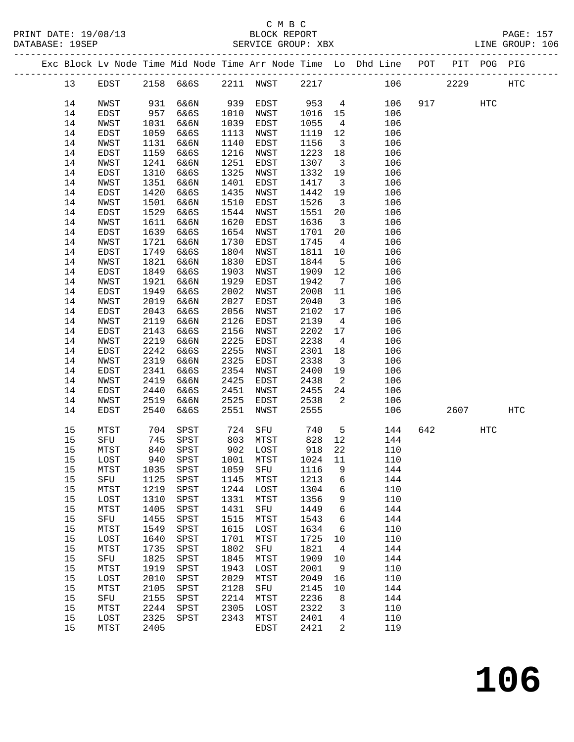|  |          |              |              |                           |      |              |              |                               | Exc Block Lv Node Time Mid Node Time Arr Node Time Lo Dhd Line POT PIT POG PIG |     |      |     |                   |
|--|----------|--------------|--------------|---------------------------|------|--------------|--------------|-------------------------------|--------------------------------------------------------------------------------|-----|------|-----|-------------------|
|  | 13       | EDST         |              | 2158 6&6S                 |      | 2211 NWST    | 2217         |                               | 106                                                                            |     | 2229 |     | $_{\mathrm{HTC}}$ |
|  | 14       | NWST         | 931          | 6&6N                      | 939  | EDST         | 953          |                               | $4\overline{ }$<br>106                                                         |     | 917  | HTC |                   |
|  | 14       | EDST         | 957          | 6&6S                      | 1010 | NWST         | 1016         | 15                            | 106                                                                            |     |      |     |                   |
|  | 14       | NWST         | 1031         | 6&6N                      | 1039 | EDST         | 1055         | $\overline{4}$                | 106                                                                            |     |      |     |                   |
|  | 14       | EDST         | 1059         | 6&6S                      | 1113 | NWST         | 1119         | 12                            | 106                                                                            |     |      |     |                   |
|  | 14       | NWST         | 1131         | 6&6N                      | 1140 | EDST         | 1156         | $\overline{\mathbf{3}}$       | 106                                                                            |     |      |     |                   |
|  | 14       | EDST         | 1159         | 6&6S                      | 1216 | NWST         | 1223         | 18                            | 106                                                                            |     |      |     |                   |
|  |          |              |              | 6&6N                      | 1251 |              |              |                               |                                                                                |     |      |     |                   |
|  | 14<br>14 | NWST         | 1241         | 6&6S                      | 1325 | EDST         | 1307<br>1332 | $\overline{\mathbf{3}}$<br>19 | 106                                                                            |     |      |     |                   |
|  | 14       | EDST<br>NWST | 1310<br>1351 | 6&6N                      | 1401 | NWST<br>EDST | 1417         | $\overline{\mathbf{3}}$       | 106<br>106                                                                     |     |      |     |                   |
|  | 14       | EDST         | 1420         | 6&6S                      | 1435 | NWST         | 1442         | 19                            | 106                                                                            |     |      |     |                   |
|  | 14       | NWST         | 1501         | 6&6N                      | 1510 | EDST         | 1526         | $\overline{\mathbf{3}}$       | 106                                                                            |     |      |     |                   |
|  |          |              |              |                           | 1544 |              |              |                               |                                                                                |     |      |     |                   |
|  | 14<br>14 | EDST<br>NWST | 1529         | 6&6S<br>6&6N              | 1620 | NWST         | 1551<br>1636 | 20<br>$\overline{\mathbf{3}}$ | 106<br>106                                                                     |     |      |     |                   |
|  | 14       |              | 1611         | 6&6S                      | 1654 | EDST         | 1701         | 20                            | 106                                                                            |     |      |     |                   |
|  |          | EDST         | 1639         |                           |      | NWST         |              |                               |                                                                                |     |      |     |                   |
|  | 14       | NWST         | 1721         | 6&6N                      | 1730 | EDST         | 1745         | $\overline{4}$                | 106                                                                            |     |      |     |                   |
|  | 14       | EDST         | 1749         | 6&6S                      | 1804 | NWST         | 1811         | 10                            | 106                                                                            |     |      |     |                   |
|  | 14       | NWST         | 1821         | 6&6N                      | 1830 | EDST         | 1844         | $5^{\circ}$                   | 106                                                                            |     |      |     |                   |
|  | 14       | EDST         | 1849         | 6&6S                      | 1903 | NWST         | 1909         | 12                            | 106                                                                            |     |      |     |                   |
|  | 14       | NWST         | 1921         | 6&6N                      | 1929 | EDST         | 1942         | $\overline{7}$                | 106                                                                            |     |      |     |                   |
|  | 14       | EDST         | 1949         | 6&6S                      | 2002 | NWST         | 2008         | 11                            | 106                                                                            |     |      |     |                   |
|  | 14       | NWST         | 2019         | 6&6N                      | 2027 | EDST         | 2040         | $\overline{\mathbf{3}}$       | 106                                                                            |     |      |     |                   |
|  | 14       | EDST         | 2043         | 6&6S                      | 2056 | NWST         | 2102         | 17                            | 106                                                                            |     |      |     |                   |
|  | 14       | NWST         | 2119         | 6&6N                      | 2126 | EDST         | 2139         | $\overline{4}$                | 106                                                                            |     |      |     |                   |
|  | 14       | EDST         | 2143         | 6&6S                      | 2156 | NWST         | 2202         | 17                            | 106                                                                            |     |      |     |                   |
|  | 14       | NWST         | 2219         | 6&6N                      | 2225 | EDST         | 2238         | $\overline{4}$                | 106                                                                            |     |      |     |                   |
|  | 14       | EDST         | 2242         | 6&6S                      | 2255 | NWST         | 2301         | 18                            | 106                                                                            |     |      |     |                   |
|  | 14       | NWST         | 2319         | 6&6N                      | 2325 | EDST         | 2338         | $\overline{\mathbf{3}}$       | 106                                                                            |     |      |     |                   |
|  | 14       | EDST         | 2341         | 6&6S                      | 2354 | NWST         | 2400         | 19                            | 106                                                                            |     |      |     |                   |
|  | 14       | NWST         | 2419         | 6&6N                      | 2425 | EDST         | 2438         | $\overline{2}$                | 106                                                                            |     |      |     |                   |
|  | 14       | EDST         | 2440         | 6&6S                      | 2451 | NWST         | 2455         | 24                            | 106                                                                            |     |      |     |                   |
|  | 14       | NWST         | 2519         | 6&6N                      | 2525 | EDST         | 2538         | 2                             | 106                                                                            |     |      |     |                   |
|  | 14       | EDST         | 2540         | 6&6S                      | 2551 | NWST         | 2555         |                               | 106                                                                            |     | 2607 |     | <b>HTC</b>        |
|  | 15       | MTST         | 704          | SPST                      | 724  | SFU          | 740          | $5^{\circ}$                   | 144                                                                            | 642 |      | HTC |                   |
|  | 15       | SFU          | 745          | SPST                      | 803  | MTST         | 828          | 12                            | 144                                                                            |     |      |     |                   |
|  | 15       | MTST         | 840          | SPST                      |      | 902 LOST     | 918          | 22                            | 110                                                                            |     |      |     |                   |
|  | 15       | LOST         | 940          | SPST                      |      | 1001 MTST    | 1024         | 11                            | 110                                                                            |     |      |     |                   |
|  | 15       | MTST         |              | 1035 SPST 1059 SFU 1116 9 |      |              |              |                               | 144                                                                            |     |      |     |                   |
|  | 15       | SFU          | 1125         | SPST                      | 1145 | MTST         | 1213         | 6                             | 144                                                                            |     |      |     |                   |
|  | 15       | MTST         | 1219         | SPST                      | 1244 | LOST         | 1304         | 6                             | 110                                                                            |     |      |     |                   |
|  | 15       | LOST         | 1310         | SPST                      | 1331 | MTST         | 1356         | 9                             | 110                                                                            |     |      |     |                   |
|  | 15       | MTST         | 1405         | SPST                      | 1431 | ${\tt SFU}$  | 1449         | 6                             | 144                                                                            |     |      |     |                   |
|  | 15       | SFU          | 1455         | SPST                      | 1515 | MTST         | 1543         | 6                             | 144                                                                            |     |      |     |                   |
|  | 15       | MTST         | 1549         | SPST                      | 1615 | LOST         | 1634         | 6                             | 110                                                                            |     |      |     |                   |
|  | 15       | LOST         | 1640         | SPST                      | 1701 | MTST         | 1725         | 10                            | 110                                                                            |     |      |     |                   |
|  | 15       | MTST         | 1735         | SPST                      | 1802 | ${\rm SFU}$  | 1821         | $\overline{4}$                | 144                                                                            |     |      |     |                   |
|  | 15       | SFU          | 1825         | SPST                      | 1845 | MTST         | 1909         | 10                            | 144                                                                            |     |      |     |                   |
|  | 15       | MTST         | 1919         | SPST                      | 1943 | LOST         | 2001         | 9                             | 110                                                                            |     |      |     |                   |
|  | 15       | LOST         | 2010         | SPST                      | 2029 | MTST         | 2049         | 16                            | 110                                                                            |     |      |     |                   |
|  | 15       | MTST         | 2105         | SPST                      | 2128 | SFU          | 2145         | 10                            | 144                                                                            |     |      |     |                   |
|  | 15       | SFU          | 2155         | SPST                      | 2214 | MTST         | 2236         | 8                             | 144                                                                            |     |      |     |                   |
|  | 15       | MTST         | 2244         | SPST                      | 2305 | LOST         | 2322         | 3                             | 110                                                                            |     |      |     |                   |
|  | 15       | LOST         | 2325         | SPST                      | 2343 | MTST         | 2401         | 4                             | 110                                                                            |     |      |     |                   |
|  | 15       | MTST         | 2405         |                           |      | EDST         | 2421         | 2                             | 119                                                                            |     |      |     |                   |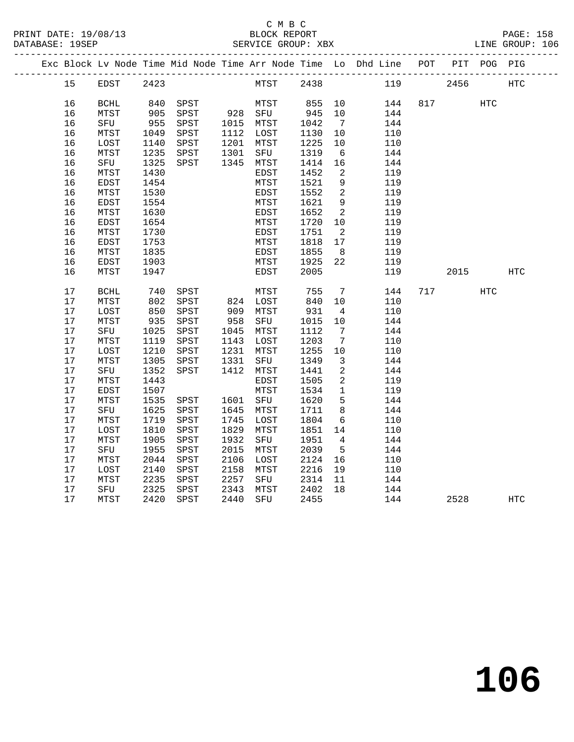# C M B C<br>BLOCK REPORT

PRINT DATE: 19/08/13 BLOCK REPORT PAGE: 158 LINE GROUP: 106

|      |                       |      |           |      |                       |      |                 | Exc Block Lv Node Time Mid Node Time Arr Node Time Lo Dhd Line POT PIT POG PIG |          |     |            |
|------|-----------------------|------|-----------|------|-----------------------|------|-----------------|--------------------------------------------------------------------------------|----------|-----|------------|
| 15   | EDST 2423             |      |           |      | MTST 2438             |      |                 |                                                                                | 119 2456 |     | HTC        |
| 16   | BCHL                  |      | 840 SPST  |      | MTST                  | 855  | 10              | 144                                                                            | 817 — 10 | HTC |            |
| 16   | MTST                  |      | 905 SPST  |      | 928 SFU               | 945  | 10              | 144                                                                            |          |     |            |
| 16   | SFU                   |      | 955 SPST  |      | 1015 MTST             | 1042 | 7               | 144                                                                            |          |     |            |
| 16   | MTST                  | 1049 | SPST      |      | $1112$ $LOST$         | 1130 | 10              | 110                                                                            |          |     |            |
| 16   | LOST                  | 1140 | SPST      | 1201 | MTST                  | 1225 | 10              | 110                                                                            |          |     |            |
| 16   | MTST                  | 1235 | SPST      | 1301 | SFU                   | 1319 | $6\overline{6}$ | 144                                                                            |          |     |            |
| 16   | SFU                   | 1325 | SPST      |      | 1345 MTST             | 1414 | 16              | 144                                                                            |          |     |            |
| 16   | MTST                  | 1430 |           |      | EDST                  | 1452 | $\overline{2}$  | 119                                                                            |          |     |            |
| 16   | EDST                  | 1454 |           |      | MTST                  | 1521 | 9               | 119                                                                            |          |     |            |
| 16   | MTST                  | 1530 |           |      | EDST                  | 1552 | $\overline{2}$  | 119                                                                            |          |     |            |
| 16   | EDST                  | 1554 |           |      | MTST                  | 1621 | 9               | 119                                                                            |          |     |            |
| 16   | MTST                  | 1630 |           |      | EDST                  | 1652 | 2               | 119                                                                            |          |     |            |
| 16   | EDST                  | 1654 |           |      | MTST                  | 1720 | 10              | 119                                                                            |          |     |            |
| 16   | MTST                  | 1730 |           |      | EDST                  | 1751 | $\overline{2}$  | 119                                                                            |          |     |            |
| 16   | EDST                  | 1753 |           |      | MTST                  | 1818 | 17              | 119                                                                            |          |     |            |
| 16   | MTST                  | 1835 |           |      | EDST                  | 1855 | 8 <sup>8</sup>  | 119                                                                            |          |     |            |
| 16   | EDST                  | 1903 |           |      | MTST                  | 1925 | 22              | 119                                                                            |          |     |            |
| 16   | MTST                  | 1947 |           |      | EDST                  | 2005 |                 | 119                                                                            | 2015     |     | <b>HTC</b> |
| $17$ | $\operatorname{BCHL}$ |      | 740 SPST  |      | MTST                  | 755  | $\overline{7}$  | 144                                                                            | 717      | HTC |            |
| 17   | MTST                  | 802  | SPST      |      | 824 LOST<br>909 MTST  | 840  | 10              | 110                                                                            |          |     |            |
| 17   | LOST                  | 850  | SPST      |      |                       | 931  | $4\overline{4}$ | 110                                                                            |          |     |            |
| 17   | MTST                  |      | 935 SPST  | 958  | SFU                   | 1015 | 10              | 144                                                                            |          |     |            |
| 17   | SFU                   | 1025 | SPST      | 1045 | MTST                  | 1112 | 7               | 144                                                                            |          |     |            |
| 17   | MTST                  | 1119 | SPST      | 1143 | LOST                  | 1203 | $\overline{7}$  | 110                                                                            |          |     |            |
| $17$ | LOST                  | 1210 | SPST      | 1231 | MTST                  | 1255 | 10              | 110                                                                            |          |     |            |
| 17   | MTST                  | 1305 | SPST      | 1331 | SFU                   | 1349 | $\overline{3}$  | 144                                                                            |          |     |            |
| $17$ | SFU                   | 1352 | SPST      |      | 1412 MTST             | 1441 | $\overline{2}$  | 144                                                                            |          |     |            |
| 17   | MTST                  | 1443 |           |      | EDST                  | 1505 | $\overline{2}$  | 119                                                                            |          |     |            |
| 17   | EDST                  | 1507 |           |      | MTST                  | 1534 | $\mathbf{1}$    | 119                                                                            |          |     |            |
| 17   | MTST                  | 1535 | SPST      |      | 1601 SFU              | 1620 | 5               | 144                                                                            |          |     |            |
| $17$ | SFU                   | 1625 | SPST      | 1645 | MTST                  | 1711 | 8               | 144                                                                            |          |     |            |
| 17   | MTST                  | 1719 | SPST      | 1745 | LOST                  | 1804 | 6               | 110                                                                            |          |     |            |
| $17$ | LOST                  | 1810 | SPST      | 1829 | MTST                  | 1851 | 14              | 110                                                                            |          |     |            |
| 17   | MTST                  | 1905 | SPST      | 1932 | SFU                   | 1951 | $\overline{4}$  | 144                                                                            |          |     |            |
| 17   | SFU                   | 1955 | SPST      | 2015 | MTST                  | 2039 | $5^{\circ}$     | 144                                                                            |          |     |            |
| 17   | MTST                  | 2044 | SPST      | 2106 | LOST                  | 2124 | 16              | 110                                                                            |          |     |            |
| 17   | LOST                  | 2140 | SPST      | 2158 | MTST                  | 2216 | 19              | 110                                                                            |          |     |            |
| 17   | MTST                  | 2235 | SPST      | 2257 | SFU                   | 2314 | 11              | 144                                                                            |          |     |            |
| 17   | SFU                   | 2325 | SPST      | 2343 | MTST 2402<br>SFU 2455 |      | 18              | 144                                                                            |          |     |            |
| 17   | MTST                  |      | 2420 SPST | 2440 |                       |      |                 | 144                                                                            | 2528     |     | <b>HTC</b> |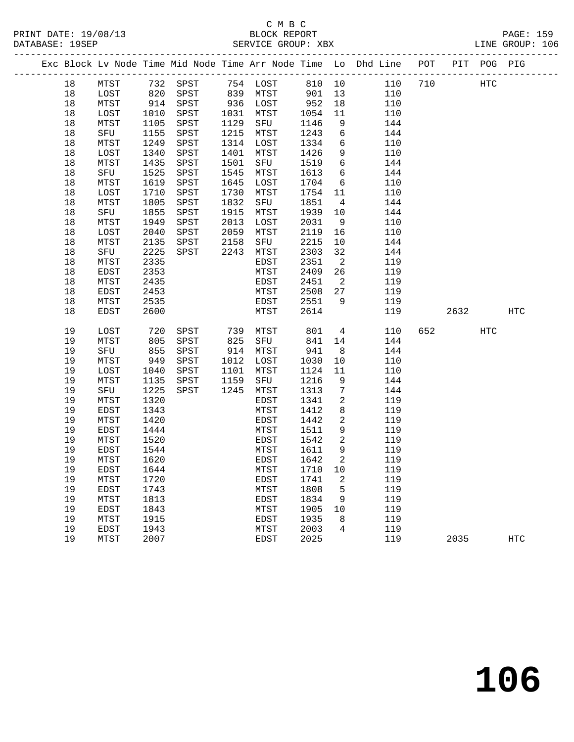## C M B C<br>BLOCK REPORT DATABASE: 19SEP SERVICE GROUP: XBX LINE GROUP: 106

#### ------------------------------------------------------------------------------------------------- Exc Block Lv Node Time Mid Node Time Arr Node Time Lo Dhd Line POT PIT POG PIG ------------------------------------------------------------------------------------------------- 18 MTST 732 SPST 754 LOST 810 10 110 710 HTC 18 LOST 820 SPST 839 MTST 901 13 110 18 MTST 914 SPST 936 LOST 952 18 110 18 LOST 1010 SPST 1031 MTST 1054 11 110 18 MTST 1105 SPST 1129 SFU 1146 9 144 18 SFU 1155 SPST 1215 MTST 1243 6 144 18 MTST 1249 SPST 1314 LOST 1334 6 110 18 LOST 1340 SPST 1401 MTST 1426 9 110 18 MTST 1435 SPST 1501 SFU 1519 6 144 18 SFU 1525 SPST 1545 MTST 1613 6 144 18 MTST 1619 SPST 1645 LOST 1704 6 110 18 LOST 1710 SPST 1730 MTST 1754 11 110 18 MTST 1805 SPST 1832 SFU 1851 4 144 18 SFU 1855 SPST 1915 MTST 1939 10 144 18 MTST 1949 SPST 2013 LOST 2031 9 110 18 LOST 2040 SPST 2059 MTST 2119 16 110 18 MTST 2135 SPST 2158 SFU 2215 10 144 18 SFU 2225 SPST 2243 MTST 2303 32 144 18 MTST 2335 EDST 2351 2 119 18 EDST 2353 MTST 2409 26 119 18 MTST 2435 EDST 2451 2 119 18 EDST 2453 MTST 2508 27 119 18 MTST 2535 EDST 2551 9 119 18 EDST 2600 MTST 2614 119 2632 HTC 19 LOST 720 SPST 739 MTST 801 4 110 652 HTC 19 MTST 805 SPST 825 SFU 841 14 144 19 SFU 855 SPST 914 MTST 941 8 144 19 MTST 949 SPST 1012 LOST 1030 10 110 19 LOST 1040 SPST 1101 MTST 1124 11 110 19 MTST 1135 SPST 1159 SFU 1216 9 144 19 SFU 1225 SPST 1245 MTST 1313 7 144 19 MTST 1320 EDST 1341 2 119 19 EDST 1343 MTST 1412 8 119 19 MTST 1420 EDST 1442 2 119 19 EDST 1444 MTST 1511 9 119 19 MTST 1520 EDST 1542 2 119 19 EDST 1544 MTST 1611 9 119 19 MTST 1620 EDST 1642 2 119 19 EDST 1644 MTST 1710 10 119 19 MTST 1720 EDST 1741 2 119 19 EDST 1743 MTST 1808 5 119 19 MTST 1813 EDST 1834 9 119 19 EDST 1843 MTST 1905 10 119 19 MTST 1915 EDST 1935 8 119 19 EDST 1943 MTST 2003 4 119 19 MTST 2007 EDST 2025 119 2035 HTC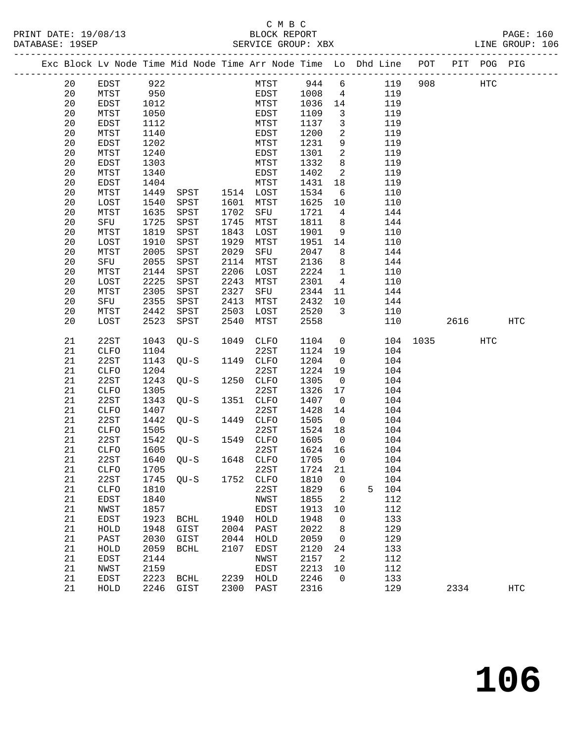#### C M B C<br>BLOCK REPORT PRINT DATE: 19/08/13 BLOCK REPORT PAGE: 160 SERVICE GROUP: XBX

|  |    |      |      |  |      |      |    | Exc Block Ly Node Time Mid Node Time Arr Node Time Lo Dhd Line | POT | PIT | POG. | PIG |
|--|----|------|------|--|------|------|----|----------------------------------------------------------------|-----|-----|------|-----|
|  | 20 | EDST | 922  |  | MTST | 944  | 6  | 119                                                            | 908 |     | HTC  |     |
|  | 20 | MTST | 950  |  | EDST | 1008 | 4  | 119                                                            |     |     |      |     |
|  | 20 | EDST | 1012 |  | MTST | 1036 | 14 | 119                                                            |     |     |      |     |
|  | 20 | MTST | 1050 |  | EDST | 1109 | 3  | 119                                                            |     |     |      |     |
|  | 20 | EDST | 1112 |  | MTST | 1137 | 3  | 119                                                            |     |     |      |     |
|  | 20 | MTST | 1140 |  | EDST | 1200 | 2  | 119                                                            |     |     |      |     |
|  | 20 | EDST | 1202 |  | MTST | 1231 | 9  | 119                                                            |     |     |      |     |
|  | 20 | MTST | 1240 |  | EDST | 1301 | 2  | 119                                                            |     |     |      |     |
|  | 20 | EDST | 1303 |  | MTST | 1332 | 8  | 119                                                            |     |     |      |     |
|  | 20 | MTST | 1340 |  | EDST | 1402 | 2  | 119                                                            |     |     |      |     |

| 20          | MTST         | 1140 |                       |      | EDST          | 1200 | 2                   |   | 119 |      |      |     |                   |  |
|-------------|--------------|------|-----------------------|------|---------------|------|---------------------|---|-----|------|------|-----|-------------------|--|
| $20$        | EDST         | 1202 |                       |      | MTST          | 1231 | 9                   |   | 119 |      |      |     |                   |  |
| 20          | MTST         | 1240 |                       |      | $_{\rm EDST}$ | 1301 | 2                   |   | 119 |      |      |     |                   |  |
| 20          | EDST         | 1303 |                       |      | MTST          | 1332 | 8                   |   | 119 |      |      |     |                   |  |
| 20          | MTST         | 1340 |                       |      | EDST          | 1402 | $\overline{c}$      |   | 119 |      |      |     |                   |  |
| 20          | <b>EDST</b>  | 1404 |                       |      | MTST          | 1431 | $18$                |   | 119 |      |      |     |                   |  |
| $20\,$      | ${\tt MTST}$ | 1449 | SPST                  | 1514 | LOST          | 1534 | 6                   |   | 110 |      |      |     |                   |  |
| 20          | LOST         | 1540 | SPST                  | 1601 | MTST          | 1625 | $10$                |   | 110 |      |      |     |                   |  |
| 20          | MTST         | 1635 | SPST                  | 1702 | SFU           | 1721 | 4                   |   | 144 |      |      |     |                   |  |
| 20          | ${\rm SFU}$  | 1725 | SPST                  | 1745 | MTST          | 1811 | 8                   |   | 144 |      |      |     |                   |  |
| 20          | MTST         | 1819 | SPST                  | 1843 | LOST          | 1901 | 9                   |   | 110 |      |      |     |                   |  |
| 20          | LOST         | 1910 | SPST                  | 1929 | MTST          | 1951 | 14                  |   | 110 |      |      |     |                   |  |
| $20$        | MTST         | 2005 | SPST                  | 2029 | SFU           | 2047 | 8                   |   | 144 |      |      |     |                   |  |
| 20          | ${\rm SFU}$  | 2055 | SPST                  | 2114 | MTST          | 2136 | 8                   |   | 144 |      |      |     |                   |  |
| 20          | MTST         | 2144 | SPST                  | 2206 | LOST          | 2224 | $\mathbf 1$         |   | 110 |      |      |     |                   |  |
| 20          | LOST         | 2225 | SPST                  | 2243 | MTST          | 2301 | $\overline{4}$      |   | 110 |      |      |     |                   |  |
| $20\,$      | MTST         | 2305 | SPST                  | 2327 | SFU           | 2344 | 11                  |   | 144 |      |      |     |                   |  |
| $20$        | ${\rm SFU}$  | 2355 | SPST                  | 2413 | MTST          | 2432 | $10$                |   | 144 |      |      |     |                   |  |
| $20$        | MTST         | 2442 | SPST                  | 2503 | LOST          | 2520 | 3                   |   | 110 |      |      |     |                   |  |
| 20          | LOST         | 2523 | ${\tt SPST}$          | 2540 | ${\tt MTST}$  | 2558 |                     |   | 110 |      | 2616 |     | $_{\mathrm{HTC}}$ |  |
|             |              |      |                       |      |               |      |                     |   |     |      |      |     |                   |  |
| 21          | 22ST         | 1043 | $QU-S$                | 1049 | CLFO          | 1104 | $\mathbf 0$         |   | 104 | 1035 |      | HTC |                   |  |
| $2\sqrt{1}$ | ${\tt CLFO}$ | 1104 |                       |      | 22ST          | 1124 | 19                  |   | 104 |      |      |     |                   |  |
| 21          | 22ST         | 1143 | $QU-S$                | 1149 | CLFO          | 1204 | $\mathsf 0$         |   | 104 |      |      |     |                   |  |
| 21          | CLFO         | 1204 |                       |      | 22ST          | 1224 | 19                  |   | 104 |      |      |     |                   |  |
| $2\sqrt{1}$ | 22ST         | 1243 | $QU-S$                | 1250 | CLFO          | 1305 | $\mathbf 0$         |   | 104 |      |      |     |                   |  |
| 21          | <b>CLFO</b>  | 1305 |                       |      | 22ST          | 1326 | $17$                |   | 104 |      |      |     |                   |  |
| 21          | 22ST         | 1343 | $QU-S$                | 1351 | ${\tt CLFO}$  | 1407 | $\mathsf 0$         |   | 104 |      |      |     |                   |  |
| $2\sqrt{1}$ | ${\tt CLFO}$ | 1407 |                       |      | 22ST          | 1428 | 14                  |   | 104 |      |      |     |                   |  |
| 21          | 22ST         | 1442 | $QU-S$                | 1449 | CLFO          | 1505 | $\mathsf{O}$        |   | 104 |      |      |     |                   |  |
| 21          | CLFO         | 1505 |                       |      | 22ST          | 1524 | $18$                |   | 104 |      |      |     |                   |  |
| 21          | 22ST         | 1542 | $QU-S$                | 1549 | ${\tt CLFO}$  | 1605 | $\mathsf 0$         |   | 104 |      |      |     |                   |  |
| 21          | <b>CLFO</b>  | 1605 |                       |      | 22ST          | 1624 | 16                  |   | 104 |      |      |     |                   |  |
| 21          | 22ST         | 1640 | $QU-S$                | 1648 | ${\tt CLFO}$  | 1705 | $\mathsf 0$         |   | 104 |      |      |     |                   |  |
| 21          | CLFO         | 1705 |                       |      | 22ST          | 1724 | 21                  |   | 104 |      |      |     |                   |  |
| 21          | 22ST         | 1745 | $QU-S$                | 1752 | <b>CLFO</b>   | 1810 | 0                   |   | 104 |      |      |     |                   |  |
| 21          | <b>CLFO</b>  | 1810 |                       |      | 22ST          | 1829 | б                   | 5 | 104 |      |      |     |                   |  |
| 21          | EDST         | 1840 |                       |      | NWST          | 1855 | 2                   |   | 112 |      |      |     |                   |  |
| 21          | NWST         | 1857 |                       |      | EDST          | 1913 | $10$                |   | 112 |      |      |     |                   |  |
| 21          | EDST         | 1923 | $\operatorname{BCHL}$ | 1940 | ${\tt HOLD}$  | 1948 | $\mathsf{O}\xspace$ |   | 133 |      |      |     |                   |  |
| 21          | ${\tt HOLD}$ | 1948 | GIST                  | 2004 | PAST          | 2022 | 8                   |   | 129 |      |      |     |                   |  |
| 21          | PAST         | 2030 | GIST                  | 2044 | ${\tt HOLD}$  | 2059 | 0                   |   | 129 |      |      |     |                   |  |
| 21          | ${\tt HOLD}$ | 2059 | $\operatorname{BCHL}$ | 2107 | EDST          | 2120 | 24                  |   | 133 |      |      |     |                   |  |
| 21          | EDST         | 2144 |                       |      | ${\tt NWST}$  | 2157 | 2                   |   | 112 |      |      |     |                   |  |
| 21          | NWST         | 2159 |                       |      | EDST          | 2213 | $10$                |   | 112 |      |      |     |                   |  |
| 21          | EDST         | 2223 | <b>BCHL</b>           | 2239 | HOLD          | 2246 | $\mathbf 0$         |   | 133 |      |      |     |                   |  |
| 21          | ${\tt HOLD}$ | 2246 | GIST                  | 2300 | PAST          | 2316 |                     |   | 129 |      | 2334 |     | HTC               |  |
|             |              |      |                       |      |               |      |                     |   |     |      |      |     |                   |  |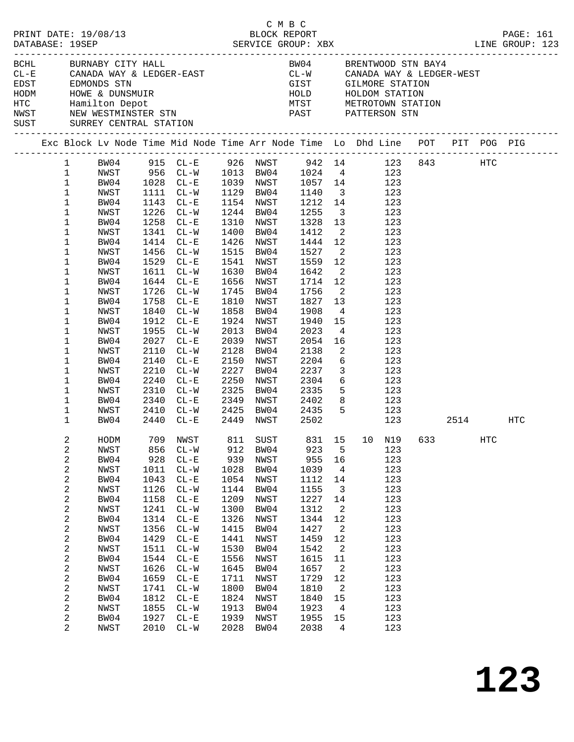|  | DATABASE: 19SEP                                                                                                                                                                                                           | PRINT DATE: 19/08/13                                                                                                                                                                         |                                                                                                                                                    |                                                                                                                                                                                                                                                                                                                         |                                                                                                                                                    | смвс<br>BLOCK REPORT                                                                                                                                                                                                            |                                                                                                                                                                                                     |                                                                                                                                                                                                                       |                                                                                                                                                                                                                                                                                                                                                                                                                                                                                                              |  |                   | PAGE: 161                                                                      |
|--|---------------------------------------------------------------------------------------------------------------------------------------------------------------------------------------------------------------------------|----------------------------------------------------------------------------------------------------------------------------------------------------------------------------------------------|----------------------------------------------------------------------------------------------------------------------------------------------------|-------------------------------------------------------------------------------------------------------------------------------------------------------------------------------------------------------------------------------------------------------------------------------------------------------------------------|----------------------------------------------------------------------------------------------------------------------------------------------------|---------------------------------------------------------------------------------------------------------------------------------------------------------------------------------------------------------------------------------|-----------------------------------------------------------------------------------------------------------------------------------------------------------------------------------------------------|-----------------------------------------------------------------------------------------------------------------------------------------------------------------------------------------------------------------------|--------------------------------------------------------------------------------------------------------------------------------------------------------------------------------------------------------------------------------------------------------------------------------------------------------------------------------------------------------------------------------------------------------------------------------------------------------------------------------------------------------------|--|-------------------|--------------------------------------------------------------------------------|
|  |                                                                                                                                                                                                                           | BCHL BURNABY CITY HALL<br>SUST SURREY CENTRAL STATION                                                                                                                                        |                                                                                                                                                    |                                                                                                                                                                                                                                                                                                                         |                                                                                                                                                    |                                                                                                                                                                                                                                 |                                                                                                                                                                                                     |                                                                                                                                                                                                                       | BW04 BRENTWOOD STN BAY4<br>$\begin{array}{lllllllll} \texttt{CL-E} & \texttt{CANADA WAY & \& LEDGER-EAST} & \texttt{CL-W} & \texttt{CANADA WAY & \& LEDGER-WEST} \\ \texttt{EDST} & \texttt{EDMONDS STN} & & & & & \\ \end{array}$<br>EDST EDMONDS STN EDMONDS STN GIST GILMORE STATION<br>HODM HOWE & DUNSMUIR<br>HTC Hamilton Depot MTST METROTOWN STATION<br>NWST NEW WESTMINSTER STN PAST PATTERSON STN                                                                                                  |  |                   |                                                                                |
|  |                                                                                                                                                                                                                           |                                                                                                                                                                                              |                                                                                                                                                    |                                                                                                                                                                                                                                                                                                                         |                                                                                                                                                    |                                                                                                                                                                                                                                 |                                                                                                                                                                                                     |                                                                                                                                                                                                                       |                                                                                                                                                                                                                                                                                                                                                                                                                                                                                                              |  |                   | Exc Block Lv Node Time Mid Node Time Arr Node Time Lo Dhd Line POT PIT POG PIG |
|  | $\mathbf{1}$<br>$\mathbf{1}$<br>$\mathbf{1}$<br>$\mathbf 1$<br>$\mathbf{1}$<br>$\mathbf{1}$<br>1<br>1<br>1<br>1<br>1<br>1<br>1<br>1<br>1<br>1<br>1<br>1<br>1<br>1<br>1<br>1<br>1<br>$\mathbf 1$<br>1<br>$\mathbf{1}$<br>2 | NWST<br>BW04<br>NWST<br>BW04<br>NWST<br>BW04<br>NWST<br>BW04<br>NWST<br>BW04<br>NWST<br>BW04<br>NWST<br>BW04<br>NWST<br>BW04<br>NWST<br>BW04<br>NWST<br>BW04<br>NWST<br>BW04<br>NWST<br>BW04 | 1912<br>1955<br>2027<br>2110<br>2210<br>2240                                                                                                       | 1111 CL-W<br>1143 CL-E<br>1226 CL-W<br>1258 CL-E<br>1341 CL-W<br>1414 CL-E<br>1456 CL-W<br>1529 CL-E<br>1611 CL-W<br>1644 CL-E<br>1726 CL-W<br>1758 CL-E<br>1840 CL-W<br>$CL-E$<br>$CL-W$<br>$CL - E$<br>$CL-W$<br>2140 CL-E<br>$CL - W$<br>$CL - E$<br>2310 CL-W<br>2340 CL-E<br>2410 CL-W 2425 BW04 2435<br>2440 CL-E | 2013<br>2150<br>2227<br>2250                                                                                                                       | 1244 BW04<br>1310 NWST<br>1400 BW04<br>1426 NWST<br>1515 BW04<br>1541 NWST<br>1630 BW04<br>1656 NWST<br>1745 BW04<br>1810 NWST<br>1858 BW04<br>1924 NWST<br>BW04<br>2039 NWST<br>2128 BW04<br>NWST<br>BW04<br>NWST<br>2325 BW04 | 1129 BW04 1140<br>1255<br>1328<br>1412<br>1444 12<br>1527 2<br>1559 12<br>1642<br>1714 12<br>1756<br>1827<br>1908<br>1940<br>2023<br>2054<br>2138<br>2204<br>2237<br>2304<br>2335<br>2449 NWST 2502 | 13<br>$\overline{\phantom{a}}$<br>$\overline{\phantom{a}}$<br>13<br>$4\overline{4}$<br>16<br>$\overline{\phantom{a}}^2$<br>$\overline{\mathbf{3}}$                                                                    | 1 BW04 915 CL-E 926 NWST 942 14 123 843 HTC<br>NWST 956 CL-W 1013 BW04 1024 4 123<br>BW04 1028 CL-E 1039 NWST 1057 14 123<br>3 123<br>1154 NWST 1212 14 123<br>$\frac{3}{2}$ 123<br>123<br>2 123<br>123<br>$\overline{\mathbf{2}}$<br>123<br>123<br>123<br>123<br>123<br>123<br>123<br>15<br>123<br>$4\overline{ }$<br>123<br>123<br>123<br>6 123<br>123<br>$\begin{array}{ccc} 6 & & 123 \\ 5 & & 123 \end{array}$<br>2349 NWST 2402 8 123<br>5 123<br>123 2514<br>HODM 709 NWST 811 SUST 831 15 10 N19 633 |  | $_{\mathrm{HTC}}$ | HTC                                                                            |
|  | 2<br>2<br>2<br>2<br>2<br>2<br>2<br>2<br>2<br>2<br>2<br>2<br>2<br>2<br>2<br>2<br>2<br>2<br>2                                                                                                                               | NWST<br>BW04<br>NWST<br>BW04<br>NWST<br>BW04<br>NWST<br>BW04<br>NWST<br>BW04<br>NWST<br>BW04<br>NWST<br>BW04<br>NWST<br>BW04<br>NWST<br>BW04<br>NWST                                         | 856<br>928<br>1011<br>1043<br>1126<br>1158<br>1241<br>1314<br>1356<br>1429<br>1511<br>1544<br>1626<br>1659<br>1741<br>1812<br>1855<br>1927<br>2010 | $CL - W$<br>$CL - E$<br>$CL-W$<br>$CL - E$<br>$CL - W$<br>$CL - E$<br>$CL - W$<br>$CL - E$<br>$CL - W$<br>$CL - E$<br>$CL-W$<br>$CL - E$<br>$CL - W$<br>$CL - E$<br>$CL-W$<br>$CL - E$<br>$CL-W$<br>$CL - E$<br>$CL-W$                                                                                                  | 912<br>939<br>1028<br>1054<br>1144<br>1209<br>1300<br>1326<br>1415<br>1441<br>1530<br>1556<br>1645<br>1711<br>1800<br>1824<br>1913<br>1939<br>2028 | BW04<br>NWST<br>BW04<br>NWST<br>BW04<br>NWST<br>BW04<br>NWST<br>BW04<br>NWST<br>BW04<br>NWST<br>BW04<br>NWST<br>BW04<br>NWST<br>BW04<br>NWST<br>BW04                                                                            | 923<br>955<br>1039<br>1112<br>1155<br>1227<br>1312<br>1344<br>1427<br>1459<br>1542<br>1615<br>1657<br>1729<br>1810<br>1840<br>1923<br>1955<br>2038                                                  | 5<br>16<br>$\overline{4}$<br>14<br>$\overline{3}$<br>14<br>$\overline{a}$<br>12<br>$\overline{\phantom{a}}^2$<br>12<br>$\overline{2}$<br>11<br>$\overline{\phantom{a}}$<br>12<br>2<br>15<br>$\overline{4}$<br>15<br>4 | 123<br>123<br>123<br>123<br>123<br>123<br>123<br>123<br>123<br>123<br>123<br>123<br>123<br>123<br>123<br>123<br>123<br>123<br>123                                                                                                                                                                                                                                                                                                                                                                            |  |                   |                                                                                |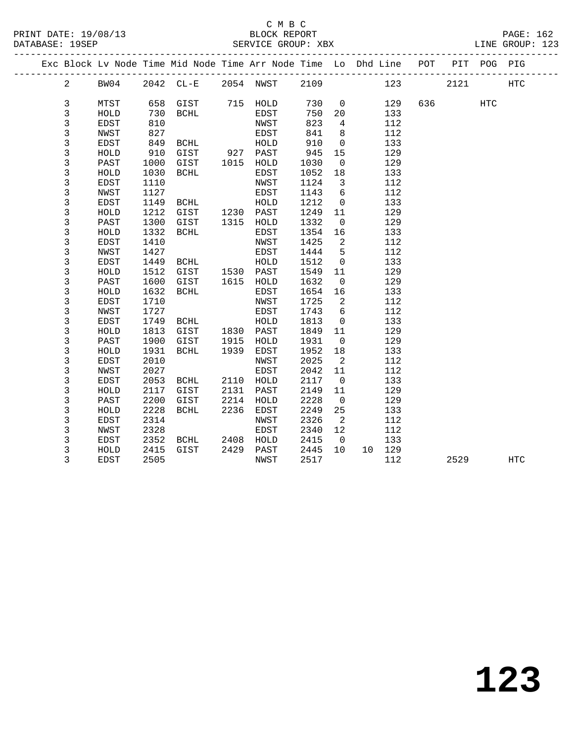|  |                |              |      | Exc Block Lv Node Time Mid Node Time Arr Node Time Lo Dhd Line POT |      |           |      |                            |        |     |      | PIT POG PIG |            |
|--|----------------|--------------|------|--------------------------------------------------------------------|------|-----------|------|----------------------------|--------|-----|------|-------------|------------|
|  | $\overline{a}$ | BW04         |      | 2042 CL-E 2054 NWST 2109                                           |      |           |      |                            |        | 123 | 2121 |             | <b>HTC</b> |
|  |                |              |      |                                                                    |      |           |      |                            |        |     |      |             |            |
|  | 3              | MTST         |      | 658 GIST 715 HOLD                                                  |      |           | 730  | $\overline{0}$             | 129    | 636 |      | <b>HTC</b>  |            |
|  | 3              | HOLD         | 730  | BCHL                                                               |      | EDST      | 750  | 20                         | 133    |     |      |             |            |
|  | 3              | EDST         | 810  |                                                                    |      | NWST      | 823  | $4\overline{ }$            | 112    |     |      |             |            |
|  | 3              | <b>NWST</b>  | 827  |                                                                    |      | EDST      | 841  | 8                          | 112    |     |      |             |            |
|  | 3              | EDST         | 849  | BCHL                                                               |      | HOLD      | 910  | $\overline{0}$             | 133    |     |      |             |            |
|  | 3              | ${\tt HOLD}$ | 910  | GIST                                                               |      | 927 PAST  | 945  | 15                         | 129    |     |      |             |            |
|  | $\mathsf{3}$   | PAST         | 1000 | GIST                                                               | 1015 | HOLD      | 1030 | $\overline{0}$             | 129    |     |      |             |            |
|  | 3              | HOLD         | 1030 | BCHL                                                               |      | EDST      | 1052 | 18                         | 133    |     |      |             |            |
|  | $\mathsf{3}$   | EDST         | 1110 |                                                                    |      | NWST      | 1124 | $\overline{\mathbf{3}}$    | 112    |     |      |             |            |
|  | 3              | NWST         | 1127 |                                                                    |      | EDST      | 1143 | $6\overline{6}$            | 112    |     |      |             |            |
|  | 3              | EDST         | 1149 | <b>BCHL</b>                                                        |      | HOLD      | 1212 | $\overline{0}$             | 133    |     |      |             |            |
|  | 3              | HOLD         | 1212 | GIST 1230 PAST                                                     |      |           | 1249 | 11                         | 129    |     |      |             |            |
|  | 3              | PAST         | 1300 | GIST                                                               |      | 1315 HOLD | 1332 | $\overline{0}$             | 129    |     |      |             |            |
|  | 3              | HOLD         | 1332 | BCHL                                                               |      | EDST      | 1354 | 16                         | 133    |     |      |             |            |
|  | 3              | <b>EDST</b>  | 1410 |                                                                    |      | NWST      | 1425 | $\overline{2}$             | 112    |     |      |             |            |
|  | 3              | NWST         | 1427 |                                                                    |      | EDST      | 1444 | $5^{\circ}$                | 112    |     |      |             |            |
|  | 3              | EDST         | 1449 | BCHL                                                               |      | HOLD      | 1512 | $\overline{0}$             | 133    |     |      |             |            |
|  | 3              | HOLD         | 1512 | GIST 1530 PAST<br>GIST 1615 HOLD                                   |      |           | 1549 | 11                         | 129    |     |      |             |            |
|  | $\mathsf{3}$   | PAST         | 1600 |                                                                    |      |           | 1632 | $\overline{0}$             | 129    |     |      |             |            |
|  | 3              | HOLD         | 1632 | BCHL                                                               |      | EDST      | 1654 | 16                         | 133    |     |      |             |            |
|  | 3              | EDST         | 1710 |                                                                    |      | NWST      | 1725 | $\overline{2}$             | 112    |     |      |             |            |
|  | 3              | NWST         | 1727 |                                                                    |      | EDST      | 1743 | 6                          | 112    |     |      |             |            |
|  | 3              | <b>EDST</b>  | 1749 | BCHL                                                               |      | HOLD      | 1813 | $\overline{0}$             | 133    |     |      |             |            |
|  | 3              | HOLD         | 1813 | GIST                                                               |      | 1830 PAST | 1849 | 11                         | 129    |     |      |             |            |
|  | 3              | PAST         | 1900 | GIST                                                               | 1915 | HOLD      | 1931 | $\overline{0}$             | 129    |     |      |             |            |
|  | 3              | HOLD         | 1931 | BCHL                                                               | 1939 | EDST      | 1952 | 18                         | 133    |     |      |             |            |
|  | 3              | EDST         | 2010 |                                                                    |      | NWST      | 2025 | $\overline{\phantom{a}}^2$ | 112    |     |      |             |            |
|  | 3              | NWST         | 2027 |                                                                    |      | EDST      | 2042 | 11                         | 112    |     |      |             |            |
|  | 3              | EDST         | 2053 | BCHL                                                               |      | 2110 HOLD | 2117 | $\overline{0}$             | 133    |     |      |             |            |
|  | 3              | HOLD         | 2117 | GIST                                                               | 2131 | PAST      | 2149 | 11                         | 129    |     |      |             |            |
|  | 3              | PAST         | 2200 | GIST                                                               | 2214 | HOLD      | 2228 | $\overline{0}$             | 129    |     |      |             |            |
|  | $\mathsf{3}$   | HOLD         | 2228 | BCHL                                                               | 2236 | EDST      | 2249 | 25                         | 133    |     |      |             |            |
|  | 3              | EDST         | 2314 |                                                                    |      | NWST      | 2326 | $\overline{2}$             | 112    |     |      |             |            |
|  | 3              | NWST         | 2328 |                                                                    |      | EDST      | 2340 | 12                         | 112    |     |      |             |            |
|  | 3              | EDST         | 2352 | BCHL                                                               | 2408 | HOLD      | 2415 | $\overline{0}$             | 133    |     |      |             |            |
|  | 3              | HOLD         | 2415 | GIST                                                               | 2429 | PAST      | 2445 | 10                         | 10 129 |     |      |             |            |
|  | 3              | EDST         | 2505 |                                                                    |      | NWST      | 2517 |                            | 112    |     | 2529 |             | HTC        |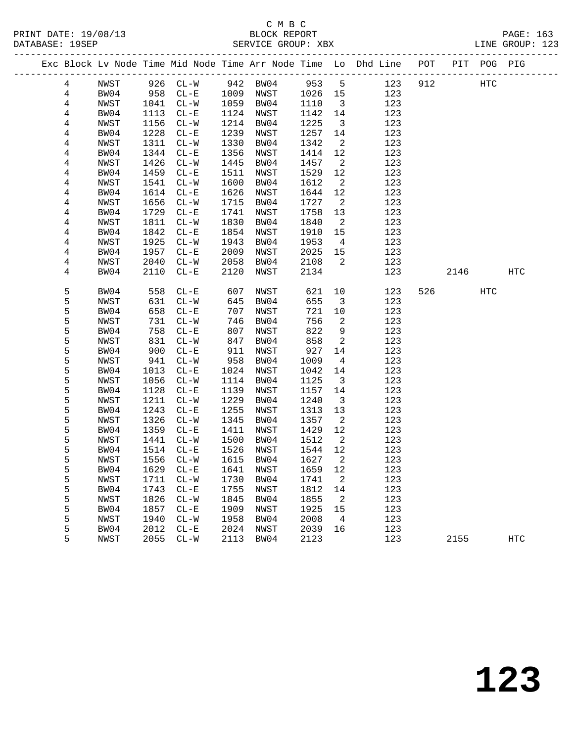|                |      |              |            |              |              |              |                            | Exc Block Lv Node Time Mid Node Time Arr Node Time Lo Dhd Line POT |     |      | PIT POG PIG |            |
|----------------|------|--------------|------------|--------------|--------------|--------------|----------------------------|--------------------------------------------------------------------|-----|------|-------------|------------|
| $\overline{4}$ | NWST |              | 926 CL-W   |              | 942 BW04     | 953 5        |                            | 123                                                                | 912 |      | HTC         |            |
| $\overline{4}$ | BW04 | 958          | $CL-E$     |              | 1009 NWST    | 1026 15      |                            | 123                                                                |     |      |             |            |
| $\overline{4}$ | NWST | 1041         | $CL-W$     | 1059         | BW04         | 1110         | $\overline{\mathbf{3}}$    | 123                                                                |     |      |             |            |
| $\overline{4}$ | BW04 | 1113         | $CL - E$   | 1124         | NWST         | 1142         | 14                         | 123                                                                |     |      |             |            |
| 4              | NWST | 1156         | $CL-W$     | 1214         | BW04         | 1225         | $\overline{\mathbf{3}}$    | 123                                                                |     |      |             |            |
| 4              | BW04 | 1228         | $CL - E$   | 1239         | NWST         | 1257         | 14                         | 123                                                                |     |      |             |            |
| 4              | NWST | 1311         | $CL-W$     | 1330         | BW04         | 1342         | $\overline{2}$             | 123                                                                |     |      |             |            |
| 4              | BW04 | 1344         | $CL - E$   | 1356         | NWST         | 1414         | 12                         | 123                                                                |     |      |             |            |
| 4              | NWST | 1426         | $CL-W$     | 1445         | BW04         | 1457         | $\overline{2}$             | 123                                                                |     |      |             |            |
| 4              | BW04 | 1459         | $CL - E$   | 1511         | NWST         | 1529         | 12                         | 123                                                                |     |      |             |            |
| 4              | NWST | 1541         | $CL-W$     | 1600         | BW04         | 1612         | $\overline{\phantom{a}}^2$ | 123                                                                |     |      |             |            |
| 4              | BW04 | 1614         | $CL - E$   | 1626         | NWST         | 1644         | 12                         | 123                                                                |     |      |             |            |
| 4              | NWST | 1656         | $CL-W$     | 1715         | BW04         | 1727         | $\overline{\phantom{a}}^2$ | 123                                                                |     |      |             |            |
| 4              | BW04 | 1729         | $CL - E$   | 1741         | NWST         | 1758         | 13                         | 123                                                                |     |      |             |            |
| 4              | NWST | 1811         | $CL-W$     | 1830         | BW04         | 1840         | $\overline{2}$             | 123                                                                |     |      |             |            |
| 4              | BW04 | 1842         | $CL - E$   | 1854         | NWST         | 1910         | 15                         | 123                                                                |     |      |             |            |
| 4              | NWST | 1925         | $CL-W$     | 1943         | BW04         | 1953         | $\overline{4}$             | 123                                                                |     |      |             |            |
| 4              | BW04 | 1957         | $CL-E$     | 2009         | NWST         | 2025         | 15                         | 123                                                                |     |      |             |            |
| 4              | NWST | 2040         | $CL-W$     | 2058         | BW04         | 2108         | $\overline{2}$             | 123                                                                |     |      |             |            |
| 4              | BW04 | 2110         | $CL - E$   | 2120         | NWST         | 2134         |                            | 123                                                                |     | 2146 |             | HTC        |
| 5              | BW04 | 558          | $CL - E$   | 607          | NWST         | 621          | 10                         | 123                                                                | 526 |      | HTC         |            |
| 5              | NWST | 631          | $CL-W$     | 645          | BW04         | 655          | $\overline{\mathbf{3}}$    | 123                                                                |     |      |             |            |
| 5              | BW04 | 658          | $CL - E$   | 707          | NWST         | 721          | 10                         | 123                                                                |     |      |             |            |
| 5              | NWST | 731          | $CL-W$     | 746          | BW04         | 756          | 2                          | 123                                                                |     |      |             |            |
| 5              | BW04 | 758          | $CL - E$   | 807          | NWST         | 822          | 9                          | 123                                                                |     |      |             |            |
| 5              | NWST | 831          | $CL-W$     | 847          | BW04         | 858          | 2                          | 123                                                                |     |      |             |            |
| 5              | BW04 | 900          | $CL - E$   | 911          | NWST         | 927          | 14                         | 123                                                                |     |      |             |            |
| 5              | NWST | 941          | $CL-W$     | 958          | BW04         | 1009         | $\overline{4}$             | 123                                                                |     |      |             |            |
| 5              | BW04 | 1013         | $CL - E$   | 1024         | NWST         | 1042         | 14                         | 123                                                                |     |      |             |            |
| 5              | NWST | 1056         | $CL-W$     | 1114         | BW04         | 1125         | $\overline{\mathbf{3}}$    | 123                                                                |     |      |             |            |
| 5              | BW04 | 1128         | $CL - E$   | 1139         | NWST         | 1157         | 14                         | 123                                                                |     |      |             |            |
| 5              | NWST | 1211         | $CL - W$   | 1229         | BW04         | 1240         | $\overline{\mathbf{3}}$    | 123                                                                |     |      |             |            |
| 5              | BW04 | 1243         | $CL - E$   | 1255         | NWST         | 1313         | 13                         | 123                                                                |     |      |             |            |
| 5              | NWST | 1326         | $CL-W$     | 1345         | BW04         | 1357         | $\overline{\phantom{a}}^2$ | 123                                                                |     |      |             |            |
| 5              | BW04 | 1359         | $CL - E$   | 1411         | NWST         | 1429         | 12                         | 123                                                                |     |      |             |            |
| 5              | NWST | 1441         | $CL - W$   | 1500         | BW04         | 1512         | $\overline{\phantom{a}}^2$ | 123                                                                |     |      |             |            |
| 5              | BW04 | 1514         | $CL - E$   | 1526         | NWST         | 1544         | 12                         | 123                                                                |     |      |             |            |
| 5              | NWST | 1556         | $CL-W$     | 1615         | BW04         | 1627         | $\overline{a}$             | 123                                                                |     |      |             |            |
| 5              | BW04 |              | 1629 CL-E  |              | 1641 NWST    | 1659 12      |                            | 123                                                                |     |      |             |            |
| 5              | NWST | 1711         | $CL-W$     | 1730         | BW04         | 1741         | 2                          | 123                                                                |     |      |             |            |
| 5              | BW04 | 1743         | $\rm CL-E$ | 1755         | NWST         | 1812         | 14                         | 123                                                                |     |      |             |            |
| 5              | NWST | 1826         | $CL-W$     | 1845         | BW04         | 1855         | 2                          | 123                                                                |     |      |             |            |
| 5<br>5         | BW04 | 1857         | $CL - E$   | 1909         | NWST         | 1925         | 15                         | 123<br>123                                                         |     |      |             |            |
|                | NWST | 1940         | $CL-W$     | 1958<br>2024 | BW04         | 2008         | 4                          | 123                                                                |     |      |             |            |
| 5<br>5         | BW04 | 2012<br>2055 | $\rm CL-E$ | 2113         | NWST<br>BW04 | 2039<br>2123 | 16                         | 123                                                                |     | 2155 |             | <b>HTC</b> |
|                | NWST |              | $CL-W$     |              |              |              |                            |                                                                    |     |      |             |            |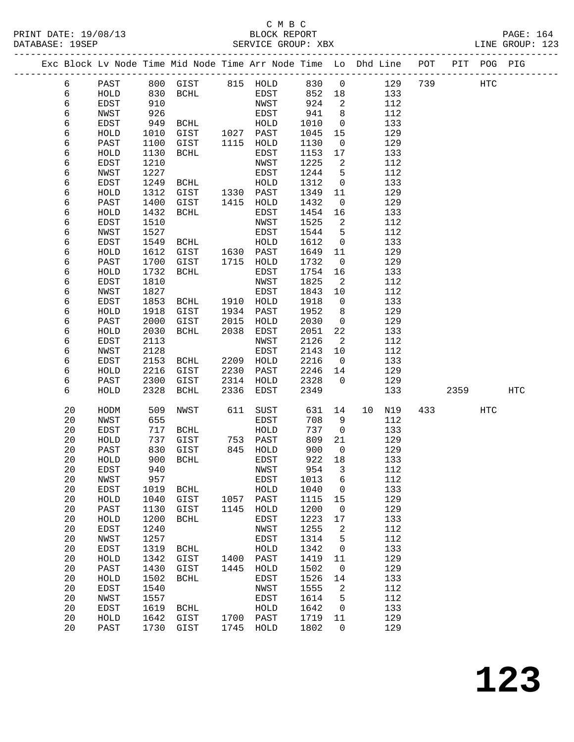#### C M B C<br>BLOCK REPORT PRINT DATE: 19/08/13 BLOCK REPORT PAGE: 164 SERVICE GROUP: XBX

|  |          |              |              | Exc Block Lv Node Time Mid Node Time Arr Node Time Lo Dhd Line POT |      |              |              |                |            |     |      | PIT POG PIG |            |
|--|----------|--------------|--------------|--------------------------------------------------------------------|------|--------------|--------------|----------------|------------|-----|------|-------------|------------|
|  | 6        | PAST         | 800          | GIST                                                               |      | 815 HOLD     | 830          | $\mathsf{O}$   | 129        | 739 |      | HTC         |            |
|  | 6        | HOLD         | 830          | BCHL                                                               |      | EDST         | 852          | 18             | 133        |     |      |             |            |
|  | 6        | EDST         | 910          |                                                                    |      | NWST         | 924          | 2              | 112        |     |      |             |            |
|  | 6        | NWST         | 926          |                                                                    |      | EDST         | 941          | 8              | 112        |     |      |             |            |
|  | 6        | EDST         | 949          | BCHL                                                               |      | HOLD         | 1010         | $\mathsf{O}$   | 133        |     |      |             |            |
|  | 6        | HOLD         | 1010         | GIST                                                               | 1027 | PAST         | 1045         | 15             | 129        |     |      |             |            |
|  | 6        | PAST         | 1100         | GIST                                                               | 1115 | HOLD         | 1130         | $\overline{0}$ | 129        |     |      |             |            |
|  | 6        | HOLD         | 1130         | <b>BCHL</b>                                                        |      | EDST         | 1153         | 17             | 133        |     |      |             |            |
|  | 6        | EDST         | 1210         |                                                                    |      | NWST         | 1225         | 2              | 112        |     |      |             |            |
|  | 6        | NWST         | 1227         |                                                                    |      | EDST         | 1244         | 5              | 112        |     |      |             |            |
|  | 6        | EDST         | 1249         | BCHL                                                               |      | HOLD         | 1312         | $\mathsf{O}$   | 133        |     |      |             |            |
|  | 6        | HOLD         | 1312         | GIST                                                               | 1330 | PAST         | 1349         | 11             | 129        |     |      |             |            |
|  | 6        | PAST         | 1400         | GIST                                                               | 1415 | HOLD         | 1432         | 0              | 129        |     |      |             |            |
|  | 6        | HOLD         | 1432         | BCHL                                                               |      | EDST         | 1454         | 16             | 133        |     |      |             |            |
|  | 6        | EDST         | 1510         |                                                                    |      | NWST         | 1525         | 2              | 112        |     |      |             |            |
|  | 6        | NWST         | 1527         |                                                                    |      | EDST         | 1544         | 5              | 112        |     |      |             |            |
|  | 6        | EDST         | 1549         | BCHL                                                               |      | HOLD         | 1612         | 0              | 133        |     |      |             |            |
|  | 6        | HOLD         | 1612         | GIST                                                               | 1630 | PAST         | 1649         | 11             | 129        |     |      |             |            |
|  | 6        | PAST         | 1700         | GIST                                                               | 1715 | HOLD         | 1732         | $\mathsf{O}$   | 129        |     |      |             |            |
|  | 6        | HOLD         | 1732         | BCHL                                                               |      | EDST         | 1754         | 16             | 133        |     |      |             |            |
|  | 6        | EDST         | 1810         |                                                                    |      | NWST         | 1825         | 2              | 112        |     |      |             |            |
|  | 6        | NWST         | 1827         |                                                                    |      | EDST         | 1843         | 10             | 112        |     |      |             |            |
|  | 6        | EDST         | 1853         | BCHL                                                               | 1910 | HOLD         | 1918         | 0              | 133        |     |      |             |            |
|  | 6        | HOLD         | 1918         | GIST                                                               | 1934 | PAST         | 1952         | 8              | 129        |     |      |             |            |
|  | 6        | PAST         | 2000         | GIST                                                               | 2015 | HOLD         | 2030         | $\mathbf 0$    | 129        |     |      |             |            |
|  | 6        | HOLD         | 2030         | BCHL                                                               | 2038 | EDST         | 2051         | 22             | 133        |     |      |             |            |
|  | 6        | EDST         | 2113         |                                                                    |      | NWST         | 2126         | 2              | 112        |     |      |             |            |
|  | 6        | NWST         | 2128         |                                                                    |      | EDST         | 2143         | 10             | 112        |     |      |             |            |
|  | 6        | EDST         | 2153         | BCHL                                                               | 2209 | HOLD         | 2216         | $\overline{0}$ | 133        |     |      |             |            |
|  | 6        | HOLD         | 2216         | GIST                                                               | 2230 | PAST         | 2246         | 14             | 129        |     |      |             |            |
|  | 6        | PAST         | 2300         | GIST                                                               | 2314 | HOLD         | 2328         | $\Omega$       | 129        |     |      |             |            |
|  | 6        | HOLD         | 2328         | BCHL                                                               | 2336 | EDST         | 2349         |                | 133        |     | 2359 |             | <b>HTC</b> |
|  | 20       | HODM         | 509          | NWST                                                               | 611  | SUST         | 631          | 14             | 10<br>N19  | 433 |      | HTC         |            |
|  | 20       | NWST         | 655          |                                                                    |      | EDST         | 708          | 9              | 112        |     |      |             |            |
|  | 20       | EDST         | 717          | BCHL                                                               |      | HOLD         | 737          | $\mathsf{O}$   | 133        |     |      |             |            |
|  | 20       | HOLD         | 737          | GIST                                                               | 753  | PAST         | 809          | 21             | 129        |     |      |             |            |
|  | 20       | PAST         | 830          | GIST                                                               | 845  | HOLD         | 900          | $\overline{0}$ | 129        |     |      |             |            |
|  | 20       | HOLD         | 900          | BCHL                                                               |      | EDST         | 922          | 18             | 133        |     |      |             |            |
|  | $20\,$   | <b>EDST</b>  | 940          |                                                                    |      | NWST         | 954 3        |                | 112        |     |      |             |            |
|  | 20<br>20 | NWST         | 957          |                                                                    |      | EDST<br>HOLD | 1013<br>1040 | 6              | 112<br>133 |     |      |             |            |
|  | 20       | EDST<br>HOLD | 1019<br>1040 | BCHL<br>GIST                                                       | 1057 | PAST         | 1115         | 0<br>15        | 129        |     |      |             |            |
|  | 20       | PAST         | 1130         | GIST                                                               | 1145 | HOLD         | 1200         | $\mathbf 0$    | 129        |     |      |             |            |
|  | 20       | HOLD         | 1200         | <b>BCHL</b>                                                        |      | EDST         | 1223         | 17             | 133        |     |      |             |            |
|  | 20       | EDST         | 1240         |                                                                    |      | NWST         | 1255         | 2              | 112        |     |      |             |            |
|  | 20       | NWST         | 1257         |                                                                    |      | EDST         | 1314         | 5              | 112        |     |      |             |            |
|  | 20       | EDST         | 1319         | <b>BCHL</b>                                                        |      | HOLD         | 1342         | 0              | 133        |     |      |             |            |
|  | 20       | HOLD         | 1342         | GIST                                                               | 1400 | PAST         | 1419         | 11             | 129        |     |      |             |            |
|  | 20       | PAST         | 1430         | GIST                                                               | 1445 | HOLD         | 1502         | 0              | 129        |     |      |             |            |
|  | 20       | HOLD         | 1502         | <b>BCHL</b>                                                        |      | EDST         | 1526         | 14             | 133        |     |      |             |            |
|  | 20       | EDST         | 1540         |                                                                    |      | NWST         | 1555         | 2              | 112        |     |      |             |            |
|  | 20       | NWST         | 1557         |                                                                    |      | EDST         | 1614         | 5              | 112        |     |      |             |            |
|  | 20       | EDST         | 1619         | <b>BCHL</b>                                                        |      | ${\tt HOLD}$ | 1642         | 0              | 133        |     |      |             |            |
|  | 20       | HOLD         | 1642         | GIST                                                               | 1700 | PAST         | 1719         | 11             | 129        |     |      |             |            |

20 PAST 1730 GIST 1745 HOLD 1802 0 129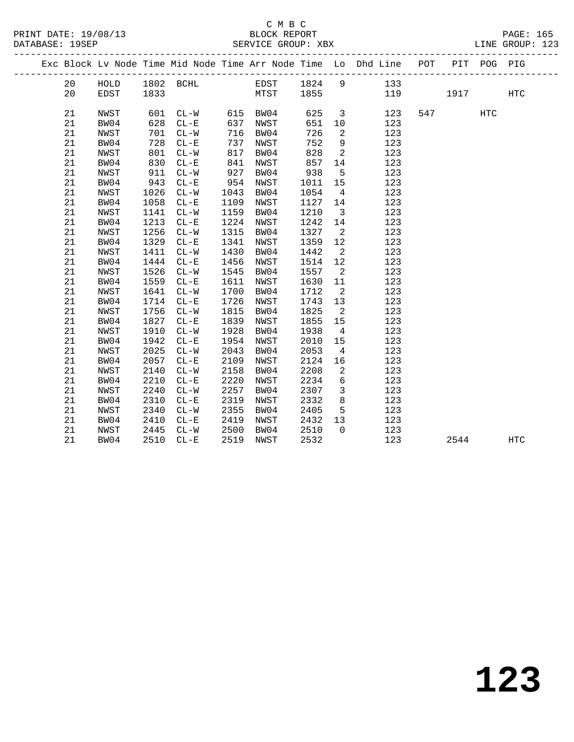|  |    |      |      |           |      |             |      |                            | Exc Block Lv Node Time Mid Node Time Arr Node Time Lo Dhd Line POT |     |      | PIT POG PIG |                   |  |
|--|----|------|------|-----------|------|-------------|------|----------------------------|--------------------------------------------------------------------|-----|------|-------------|-------------------|--|
|  | 20 | HOLD |      | 1802 BCHL |      | EDST 1824 9 |      |                            | 133                                                                |     |      |             |                   |  |
|  | 20 | EDST | 1833 |           |      | MTST        | 1855 |                            |                                                                    | 119 | 1917 |             | $_{\mathrm{HTC}}$ |  |
|  |    |      |      |           |      |             |      |                            |                                                                    |     |      |             |                   |  |
|  | 21 | NWST | 601  | $CL-W$    |      | 615 BW04    | 625  | $\overline{3}$             | 123                                                                | 547 |      | <b>HTC</b>  |                   |  |
|  | 21 | BW04 | 628  | $CL - E$  | 637  | NWST        | 651  | 10                         | 123                                                                |     |      |             |                   |  |
|  | 21 | NWST | 701  | $CL-W$    | 716  | BW04        | 726  | 2                          | 123                                                                |     |      |             |                   |  |
|  | 21 | BW04 | 728  | $CL - E$  | 737  | NWST        | 752  | 9                          | 123                                                                |     |      |             |                   |  |
|  | 21 | NWST | 801  | $CL-W$    | 817  | BW04        | 828  | $\overline{2}$             | 123                                                                |     |      |             |                   |  |
|  | 21 | BW04 | 830  | $CL-E$    | 841  | NWST        | 857  | 14                         | 123                                                                |     |      |             |                   |  |
|  | 21 | NWST | 911  | $CL-W$    | 927  | BW04        | 938  | 5                          | 123                                                                |     |      |             |                   |  |
|  | 21 | BW04 | 943  | $CL - E$  | 954  | NWST        | 1011 | 15                         | 123                                                                |     |      |             |                   |  |
|  | 21 | NWST | 1026 | $CL-W$    | 1043 | BW04        | 1054 | $\overline{4}$             | 123                                                                |     |      |             |                   |  |
|  | 21 | BW04 | 1058 | $CL-E$    | 1109 | NWST        | 1127 | 14                         | 123                                                                |     |      |             |                   |  |
|  | 21 | NWST | 1141 | $CL-W$    | 1159 | BW04        | 1210 | $\overline{\mathbf{3}}$    | 123                                                                |     |      |             |                   |  |
|  | 21 | BW04 | 1213 | $CL-E$    | 1224 | NWST        | 1242 | 14                         | 123                                                                |     |      |             |                   |  |
|  | 21 | NWST | 1256 | $CL-W$    | 1315 | BW04        | 1327 | $\overline{2}$             | 123                                                                |     |      |             |                   |  |
|  | 21 | BW04 | 1329 | $CL - E$  | 1341 | NWST        | 1359 | 12                         | 123                                                                |     |      |             |                   |  |
|  | 21 | NWST | 1411 | $CL-W$    | 1430 | BW04        | 1442 | 2                          | 123                                                                |     |      |             |                   |  |
|  | 21 | BW04 | 1444 | $CL - E$  | 1456 | NWST        | 1514 | 12                         | 123                                                                |     |      |             |                   |  |
|  | 21 | NWST | 1526 | $CL-W$    | 1545 | BW04        | 1557 | 2                          | 123                                                                |     |      |             |                   |  |
|  | 21 | BW04 | 1559 | $CL-E$    | 1611 | NWST        | 1630 | 11                         | 123                                                                |     |      |             |                   |  |
|  | 21 | NWST | 1641 | $CL-W$    | 1700 | BW04        | 1712 | $\overline{\phantom{0}}^2$ | 123                                                                |     |      |             |                   |  |
|  | 21 | BW04 | 1714 | $CL - E$  | 1726 | NWST        | 1743 | 13                         | 123                                                                |     |      |             |                   |  |
|  | 21 | NWST | 1756 | $CL-W$    | 1815 | BW04        | 1825 | $\overline{2}$             | 123                                                                |     |      |             |                   |  |
|  | 21 | BW04 | 1827 | $CL - E$  | 1839 | NWST        | 1855 | 15                         | 123                                                                |     |      |             |                   |  |
|  | 21 | NWST | 1910 | $CL-W$    | 1928 | BW04        | 1938 | $\overline{4}$             | 123                                                                |     |      |             |                   |  |
|  | 21 | BW04 | 1942 | $CL - E$  | 1954 | NWST        | 2010 | 15                         | 123                                                                |     |      |             |                   |  |
|  | 21 | NWST | 2025 | $CL-W$    | 2043 | BW04        | 2053 | $4\overline{4}$            | 123                                                                |     |      |             |                   |  |
|  | 21 | BW04 | 2057 | $CL - E$  | 2109 | NWST        | 2124 | 16                         | 123                                                                |     |      |             |                   |  |
|  | 21 | NWST | 2140 | $CL - W$  | 2158 | BW04        | 2208 | 2                          | 123                                                                |     |      |             |                   |  |
|  | 21 | BW04 | 2210 | $CL-E$    | 2220 | NWST        | 2234 | 6                          | 123                                                                |     |      |             |                   |  |
|  | 21 | NWST | 2240 | $CL-W$    | 2257 | BW04        | 2307 | $\overline{3}$             | 123                                                                |     |      |             |                   |  |
|  | 21 | BW04 | 2310 | $CL - E$  | 2319 | NWST        | 2332 | $8\phantom{1}$             | 123                                                                |     |      |             |                   |  |
|  | 21 | NWST | 2340 | $CL-W$    | 2355 | BW04        | 2405 | 5                          | 123                                                                |     |      |             |                   |  |
|  | 21 | BW04 | 2410 | $CL - E$  | 2419 | NWST        | 2432 | 13                         | 123                                                                |     |      |             |                   |  |
|  | 21 | NWST | 2445 | $CL-W$    | 2500 | BW04        | 2510 | $\Omega$                   | 123                                                                |     |      |             |                   |  |
|  | 21 | BW04 | 2510 | $CL - E$  | 2519 | NWST        | 2532 |                            | 123                                                                |     | 2544 |             | <b>HTC</b>        |  |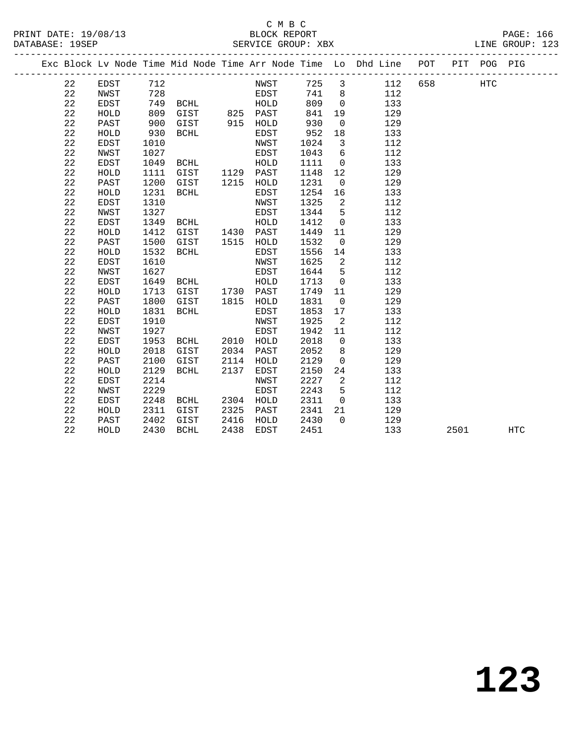## C M B C<br>BLOCK REPORT SERVICE GROUP: XBX

PRINT DATE: 19/08/13 BLOCK REPORT PAGE: 166

|  |    |             |      |             |      |           |      |                         | Exc Block Lv Node Time Mid Node Time Arr Node Time Lo Dhd Line POT |     |      | PIT POG PIG |            |
|--|----|-------------|------|-------------|------|-----------|------|-------------------------|--------------------------------------------------------------------|-----|------|-------------|------------|
|  | 22 | EDST        | 712  |             |      | NWST      |      |                         | 725 3 112                                                          | 658 |      | <b>HTC</b>  |            |
|  | 22 | NWST        | 728  |             |      | EDST      | 741  | 8 <sup>8</sup>          | 112                                                                |     |      |             |            |
|  | 22 | EDST        | 749  | BCHL        |      | HOLD      | 809  | $\overline{0}$          | 133                                                                |     |      |             |            |
|  | 22 | HOLD        | 809  | GIST        |      | 825 PAST  | 841  | 19                      | 129                                                                |     |      |             |            |
|  | 22 | PAST        | 900  | GIST        |      | 915 HOLD  | 930  | $\mathbf 0$             | 129                                                                |     |      |             |            |
|  | 22 | HOLD        | 930  | BCHL        |      | EDST      | 952  | 18                      | 133                                                                |     |      |             |            |
|  | 22 | EDST        | 1010 |             |      | NWST      | 1024 | $\overline{\mathbf{3}}$ | 112                                                                |     |      |             |            |
|  | 22 | NWST        | 1027 |             |      | EDST      | 1043 | $6\overline{6}$         | 112                                                                |     |      |             |            |
|  | 22 | EDST        | 1049 | BCHL        |      | HOLD      | 1111 | $\overline{0}$          | 133                                                                |     |      |             |            |
|  | 22 | HOLD        | 1111 | GIST        |      | 1129 PAST | 1148 | 12                      | 129                                                                |     |      |             |            |
|  | 22 | PAST        | 1200 | GIST        |      | 1215 HOLD | 1231 | $\overline{0}$          | 129                                                                |     |      |             |            |
|  | 22 | HOLD        | 1231 | <b>BCHL</b> |      | EDST      | 1254 | 16                      | 133                                                                |     |      |             |            |
|  | 22 | EDST        | 1310 |             |      | NWST      | 1325 | 2                       | 112                                                                |     |      |             |            |
|  | 22 | NWST        | 1327 |             |      | EDST      | 1344 | 5                       | 112                                                                |     |      |             |            |
|  | 22 | EDST        | 1349 | BCHL        |      | HOLD      | 1412 | $\overline{0}$          | 133                                                                |     |      |             |            |
|  | 22 | HOLD        | 1412 | GIST        |      | 1430 PAST | 1449 | 11                      | 129                                                                |     |      |             |            |
|  | 22 | PAST        | 1500 | GIST        |      | 1515 HOLD | 1532 | $\overline{0}$          | 129                                                                |     |      |             |            |
|  | 22 | HOLD        | 1532 | BCHL        |      | EDST      | 1556 | 14                      | 133                                                                |     |      |             |            |
|  | 22 | EDST        | 1610 |             |      | NWST      | 1625 | 2                       | 112                                                                |     |      |             |            |
|  | 22 | NWST        | 1627 |             |      | EDST      | 1644 | 5                       | 112                                                                |     |      |             |            |
|  | 22 | EDST        | 1649 | BCHL        |      | HOLD      | 1713 | $\overline{0}$          | 133                                                                |     |      |             |            |
|  | 22 | HOLD        | 1713 | GIST        |      | 1730 PAST | 1749 | 11                      | 129                                                                |     |      |             |            |
|  | 22 | PAST        | 1800 | GIST        |      | 1815 HOLD | 1831 | $\overline{0}$          | 129                                                                |     |      |             |            |
|  | 22 | HOLD        | 1831 | BCHL        |      | EDST      | 1853 | 17                      | 133                                                                |     |      |             |            |
|  | 22 | EDST        | 1910 |             |      | NWST      | 1925 | $\overline{2}$          | 112                                                                |     |      |             |            |
|  | 22 | NWST        | 1927 |             |      | EDST      | 1942 | 11                      | 112                                                                |     |      |             |            |
|  | 22 | EDST        | 1953 | BCHL        | 2010 | HOLD      | 2018 | $\overline{0}$          | 133                                                                |     |      |             |            |
|  | 22 | HOLD        | 2018 | GIST        | 2034 | PAST      | 2052 | 8                       | 129                                                                |     |      |             |            |
|  | 22 | PAST        | 2100 | GIST        | 2114 | HOLD      | 2129 | $\mathbf 0$             | 129                                                                |     |      |             |            |
|  | 22 | HOLD        | 2129 | BCHL        | 2137 | EDST      | 2150 | 24                      | 133                                                                |     |      |             |            |
|  | 22 | <b>EDST</b> | 2214 |             |      | NWST      | 2227 | 2                       | 112                                                                |     |      |             |            |
|  | 22 | NWST        | 2229 |             |      | EDST      | 2243 | 5                       | 112                                                                |     |      |             |            |
|  | 22 | EDST        | 2248 | BCHL        |      | 2304 HOLD | 2311 | $\overline{0}$          | 133                                                                |     |      |             |            |
|  | 22 | HOLD        | 2311 | GIST        | 2325 | PAST      | 2341 | 21                      | 129                                                                |     |      |             |            |
|  | 22 | PAST        | 2402 | GIST        | 2416 | HOLD      | 2430 | $\Omega$                | 129                                                                |     |      |             |            |
|  | 22 | HOLD        | 2430 | BCHL        | 2438 | EDST      | 2451 |                         | 133                                                                |     | 2501 |             | <b>HTC</b> |
|  |    |             |      |             |      |           |      |                         |                                                                    |     |      |             |            |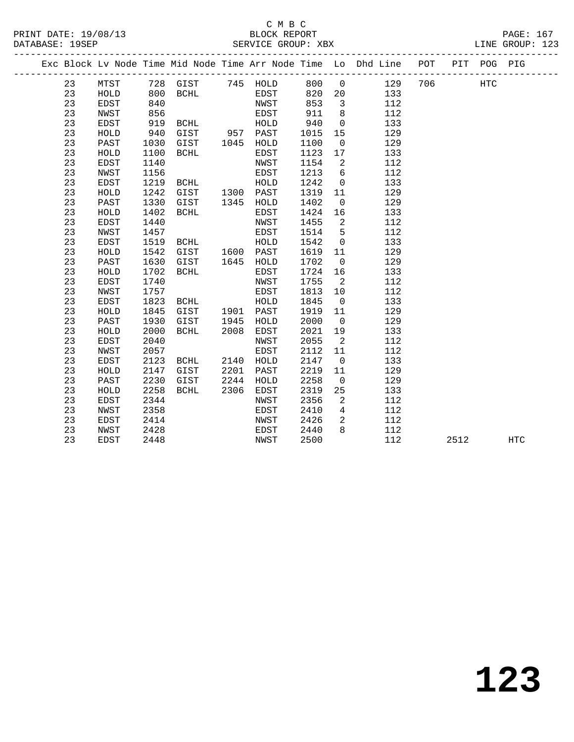#### C M B C<br>BLOCK REPORT PRINT DATE: 19/08/13 BLOCK REPORT PAGE: 167 SERVICE GROUP: XBX

|          |              |              |                   |      |              |              |                                | Exc Block Lv Node Time Mid Node Time Arr Node Time Lo Dhd Line POT |     |      | PIT POG PIG |     |
|----------|--------------|--------------|-------------------|------|--------------|--------------|--------------------------------|--------------------------------------------------------------------|-----|------|-------------|-----|
| 23       | MTST         |              | 728 GIST 745 HOLD |      |              | 800 0        |                                | 129                                                                | 706 |      | <b>HTC</b>  |     |
| 23       | HOLD         | 800          | BCHL              |      | EDST         | 820          | 20                             | 133                                                                |     |      |             |     |
| 23       | EDST         | 840          |                   |      | NWST         | 853          | $\overline{\mathbf{3}}$        | 112                                                                |     |      |             |     |
| 23       | NWST         | 856          |                   |      | EDST         | 911          | 8                              | 112                                                                |     |      |             |     |
| 23       | EDST         | 919          | BCHL              |      | HOLD         | 940          | $\overline{0}$                 | 133                                                                |     |      |             |     |
| 23       | HOLD         | 940          | GIST 957 PAST     |      |              | 1015         | 15                             | 129                                                                |     |      |             |     |
| 23       | PAST         | 1030         | GIST 1045         |      | HOLD         | 1100         | $\overline{0}$                 | 129                                                                |     |      |             |     |
| 23       | HOLD         | 1100         | BCHL              |      | EDST         | 1123         | 17                             | 133                                                                |     |      |             |     |
| 23       | EDST         | 1140         |                   |      | NWST         | 1154         | 2                              | 112                                                                |     |      |             |     |
| 23       | NWST         | 1156         |                   |      | EDST         | 1213         | 6                              | 112                                                                |     |      |             |     |
| 23       | <b>EDST</b>  | 1219         | BCHL              |      | HOLD         | 1242         | $\overline{0}$                 | 133                                                                |     |      |             |     |
| 23       | HOLD         | 1242         | GIST 1300 PAST    |      |              | 1319         | 11                             | 129                                                                |     |      |             |     |
| 23       | PAST         | 1330         | GIST              |      | 1345 HOLD    | 1402         | $\overline{0}$                 | 129                                                                |     |      |             |     |
| 23       | HOLD         | 1402         | BCHL              |      | EDST         | 1424         | 16                             | 133                                                                |     |      |             |     |
| 23       | <b>EDST</b>  | 1440         |                   |      | NWST         | 1455         | $\overline{2}$                 | 112                                                                |     |      |             |     |
| 23       | NWST         | 1457         |                   |      | EDST         | 1514         | 5                              | 112                                                                |     |      |             |     |
| 23       | <b>EDST</b>  | 1519         | BCHL              |      | HOLD         | 1542         | $\overline{0}$                 | 133                                                                |     |      |             |     |
| 23       | HOLD         | 1542         | GIST 1600 PAST    |      |              | 1619         | 11                             | 129                                                                |     |      |             |     |
| 23       | PAST         | 1630         | GIST              |      | 1645 HOLD    | 1702         | $\overline{0}$                 | 129                                                                |     |      |             |     |
| 23       | HOLD         | 1702         | BCHL              |      | EDST         | 1724         | 16                             | 133                                                                |     |      |             |     |
| 23       | EDST         | 1740         |                   |      | NWST         | 1755         | $\overline{\phantom{0}}^2$     | 112                                                                |     |      |             |     |
| 23       | NWST         | 1757         |                   |      | EDST         | 1813         | 10                             | 112                                                                |     |      |             |     |
| 23       | EDST         | 1823         | BCHL              |      | HOLD         | 1845         | $\overline{0}$                 | 133                                                                |     |      |             |     |
| 23       | HOLD         | 1845         | GIST              |      | 1901 PAST    | 1919         | 11                             | 129                                                                |     |      |             |     |
| 23       | PAST         | 1930         | GIST              | 1945 | HOLD         | 2000         | $\overline{0}$                 | 129                                                                |     |      |             |     |
| 23<br>23 | HOLD         | 2000         | BCHL              | 2008 | EDST         | 2021         | 19                             | 133                                                                |     |      |             |     |
| 23       | EDST<br>NWST | 2040<br>2057 |                   |      | NWST<br>EDST | 2055<br>2112 | $\overline{\phantom{a}}$<br>11 | 112<br>112                                                         |     |      |             |     |
| 23       | EDST         | 2123         | BCHL              | 2140 | HOLD         | 2147         | $\overline{0}$                 | 133                                                                |     |      |             |     |
| 23       | HOLD         | 2147         | GIST              | 2201 | PAST         | 2219         | 11                             | 129                                                                |     |      |             |     |
| 23       | PAST         | 2230         | GIST              | 2244 | HOLD         | 2258         | $\overline{0}$                 | 129                                                                |     |      |             |     |
| 23       | HOLD         | 2258         | BCHL              | 2306 | EDST         | 2319         | 25                             | 133                                                                |     |      |             |     |
| 23       | EDST         | 2344         |                   |      | NWST         | 2356         | 2                              | 112                                                                |     |      |             |     |
| 23       | <b>NWST</b>  | 2358         |                   |      | EDST         | 2410         | $\overline{4}$                 | 112                                                                |     |      |             |     |
| 23       | EDST         | 2414         |                   |      | NWST         | 2426         | 2                              | 112                                                                |     |      |             |     |
| 23       | NWST         | 2428         |                   |      | EDST         | 2440         | 8                              | 112                                                                |     |      |             |     |
| 23       | EDST         | 2448         |                   |      | NWST         | 2500         |                                | 112                                                                |     | 2512 |             | HTC |
|          |              |              |                   |      |              |              |                                |                                                                    |     |      |             |     |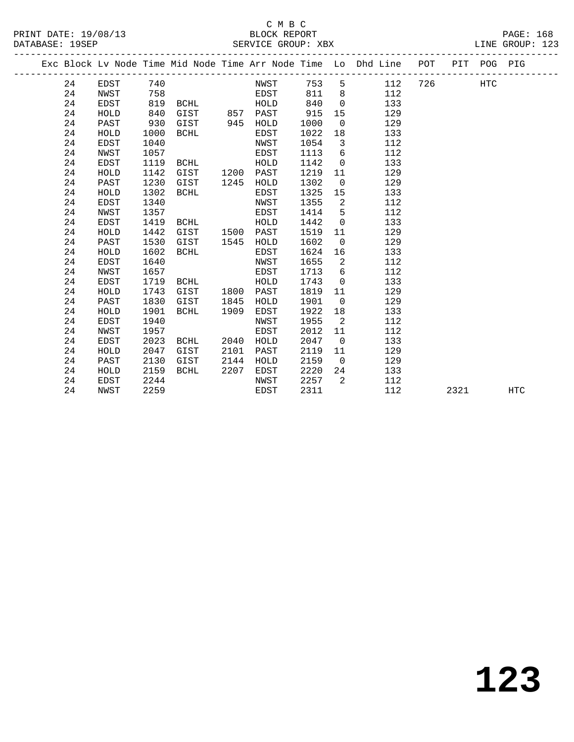# C M B C<br>BLOCK REPORT SERVICE GROUP: XBX

PRINT DATE: 19/08/13 BLOCK REPORT PAGE: 168

|  |    |             |      |             |      |          |      |                | Exc Block Lv Node Time Mid Node Time Arr Node Time Lo Dhd Line POT |     |      | PIT POG PIG |     |
|--|----|-------------|------|-------------|------|----------|------|----------------|--------------------------------------------------------------------|-----|------|-------------|-----|
|  | 24 | EDST        | 740  |             |      | NWST     | 753  | 5              | 112                                                                | 726 |      | <b>HTC</b>  |     |
|  | 24 | NWST        | 758  |             |      | EDST     | 811  | 8              | 112                                                                |     |      |             |     |
|  | 24 | <b>EDST</b> | 819  | BCHL        |      | HOLD     | 840  | $\Omega$       | 133                                                                |     |      |             |     |
|  | 24 | HOLD        | 840  | GIST        |      | 857 PAST | 915  | 15             | 129                                                                |     |      |             |     |
|  | 24 | PAST        | 930  | GIST        | 945  | HOLD     | 1000 | $\overline{0}$ | 129                                                                |     |      |             |     |
|  | 24 | HOLD        | 1000 | BCHL        |      | EDST     | 1022 | 18             | 133                                                                |     |      |             |     |
|  | 24 | <b>EDST</b> | 1040 |             |      | NWST     | 1054 | $\overline{3}$ | 112                                                                |     |      |             |     |
|  | 24 | NWST        | 1057 |             |      | EDST     | 1113 | 6              | 112                                                                |     |      |             |     |
|  | 24 | EDST        | 1119 | BCHL        |      | HOLD     | 1142 | $\overline{0}$ | 133                                                                |     |      |             |     |
|  | 24 | HOLD        | 1142 | GIST        | 1200 | PAST     | 1219 | 11             | 129                                                                |     |      |             |     |
|  | 24 | PAST        | 1230 | GIST        | 1245 | HOLD     | 1302 | $\overline{0}$ | 129                                                                |     |      |             |     |
|  | 24 | HOLD        | 1302 | <b>BCHL</b> |      | EDST     | 1325 | 15             | 133                                                                |     |      |             |     |
|  | 24 | EDST        | 1340 |             |      | NWST     | 1355 | 2              | 112                                                                |     |      |             |     |
|  | 24 | NWST        | 1357 |             |      | EDST     | 1414 | 5              | 112                                                                |     |      |             |     |
|  | 24 | <b>EDST</b> | 1419 | BCHL        |      | HOLD     | 1442 | $\mathbf 0$    | 133                                                                |     |      |             |     |
|  | 24 | HOLD        | 1442 | GIST        | 1500 | PAST     | 1519 | 11             | 129                                                                |     |      |             |     |
|  | 24 | PAST        | 1530 | GIST        | 1545 | HOLD     | 1602 | $\overline{0}$ | 129                                                                |     |      |             |     |
|  | 24 | HOLD        | 1602 | <b>BCHL</b> |      | EDST     | 1624 | 16             | 133                                                                |     |      |             |     |
|  | 24 | EDST        | 1640 |             |      | NWST     | 1655 | 2              | 112                                                                |     |      |             |     |
|  | 24 | NWST        | 1657 |             |      | EDST     | 1713 | 6              | 112                                                                |     |      |             |     |
|  | 24 | EDST        | 1719 | BCHL        |      | HOLD     | 1743 | $\overline{0}$ | 133                                                                |     |      |             |     |
|  | 24 | HOLD        | 1743 | GIST        | 1800 | PAST     | 1819 | 11             | 129                                                                |     |      |             |     |
|  | 24 | PAST        | 1830 | GIST        | 1845 | HOLD     | 1901 | $\overline{0}$ | 129                                                                |     |      |             |     |
|  | 24 | HOLD        | 1901 | <b>BCHL</b> | 1909 | EDST     | 1922 | 18             | 133                                                                |     |      |             |     |
|  | 24 | EDST        | 1940 |             |      | NWST     | 1955 | 2              | 112                                                                |     |      |             |     |
|  | 24 | NWST        | 1957 |             |      | EDST     | 2012 | 11             | 112                                                                |     |      |             |     |
|  | 24 | <b>EDST</b> | 2023 | BCHL        | 2040 | HOLD     | 2047 | $\overline{0}$ | 133                                                                |     |      |             |     |
|  | 24 | HOLD        | 2047 | GIST        | 2101 | PAST     | 2119 | 11             | 129                                                                |     |      |             |     |
|  | 24 | PAST        | 2130 | GIST        | 2144 | HOLD     | 2159 | $\overline{0}$ | 129                                                                |     |      |             |     |
|  | 24 | HOLD        | 2159 | <b>BCHL</b> | 2207 | EDST     | 2220 | 24             | 133                                                                |     |      |             |     |
|  | 24 | EDST        | 2244 |             |      | NWST     | 2257 | 2              | 112                                                                |     |      |             |     |
|  | 24 | NWST        | 2259 |             |      | EDST     | 2311 |                | 112                                                                |     | 2321 |             | HTC |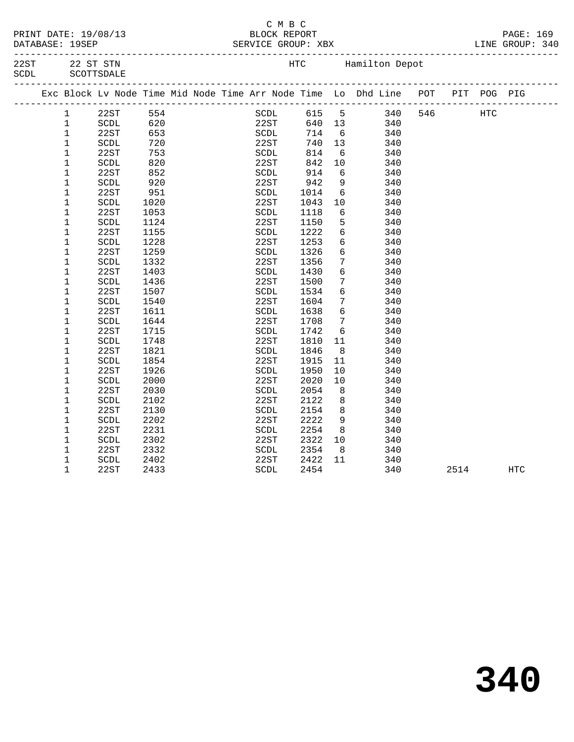|  | PRINT DATE: 19/08/13        |
|--|-----------------------------|
|  | $\sim$ $\sim$ $\sim$ $\sim$ |

#### C M B C<br>
S/13 BLOCK REPOR PAGE: 169<br>PERINT DATE: 1999 ERVICE GROUP: XBX DATABASE: 19SEP SERVICE GROUP: XBX

-------------------------------------------------------------------------------------------------

| 22ST  | 22 ST STN  |
|-------|------------|
| SCDL. | SCOTTSDALE |

HTC Hamilton Depot

|  |              | Exc Block Lv Node Time Mid Node Time Arr Node Time Lo Dhd Line POT |      |  |             |       |            |     |            | PIT  | POG PIG    |            |
|--|--------------|--------------------------------------------------------------------|------|--|-------------|-------|------------|-----|------------|------|------------|------------|
|  | $\mathbf{1}$ | 22ST                                                               | 554  |  | SCDL        | 615 5 |            |     | 340<br>546 |      | <b>HTC</b> |            |
|  | $\mathbf{1}$ | SCDL                                                               | 620  |  | 22ST        | 640   | 13         | 340 |            |      |            |            |
|  | 1            | 22ST                                                               | 653  |  | SCDL        | 714   | 6          | 340 |            |      |            |            |
|  | $\mathbf 1$  | SCDL                                                               | 720  |  | 22ST        | 740   | 13         | 340 |            |      |            |            |
|  | $\mathbf 1$  | 22ST                                                               | 753  |  | SCDL        | 814   | 6          | 340 |            |      |            |            |
|  | 1            | SCDL                                                               | 820  |  | 22ST        | 842   | 10         | 340 |            |      |            |            |
|  | 1            | 22ST                                                               | 852  |  | SCDL        | 914   | 6          | 340 |            |      |            |            |
|  | 1            | SCDL                                                               | 920  |  | 22ST        | 942   | 9          | 340 |            |      |            |            |
|  | $\mathbf 1$  | 22ST                                                               | 951  |  | SCDL        | 1014  | 6          | 340 |            |      |            |            |
|  | 1            | SCDL                                                               | 1020 |  | 22ST        | 1043  | 10         | 340 |            |      |            |            |
|  | 1            | 22ST                                                               | 1053 |  | <b>SCDL</b> | 1118  | 6          | 340 |            |      |            |            |
|  | 1            | SCDL                                                               | 1124 |  | 22ST        | 1150  | 5          | 340 |            |      |            |            |
|  | 1            | 22ST                                                               | 1155 |  | SCDL        | 1222  | $\epsilon$ | 340 |            |      |            |            |
|  | $\mathbf 1$  | SCDL                                                               | 1228 |  | 22ST        | 1253  | 6          | 340 |            |      |            |            |
|  | 1            | 22ST                                                               | 1259 |  | SCDL        | 1326  | 6          | 340 |            |      |            |            |
|  | 1            | SCDL                                                               | 1332 |  | 22ST        | 1356  | 7          | 340 |            |      |            |            |
|  | 1            | 22ST                                                               | 1403 |  | SCDL        | 1430  | 6          | 340 |            |      |            |            |
|  | 1            | SCDL                                                               | 1436 |  | 22ST        | 1500  | 7          | 340 |            |      |            |            |
|  | 1            | 22ST                                                               | 1507 |  | SCDL        | 1534  | 6          | 340 |            |      |            |            |
|  | 1            | SCDL                                                               | 1540 |  | 22ST        | 1604  | 7          | 340 |            |      |            |            |
|  | $\mathbf 1$  | 22ST                                                               | 1611 |  | SCDL        | 1638  | 6          | 340 |            |      |            |            |
|  | $\mathbf 1$  | SCDL                                                               | 1644 |  | 22ST        | 1708  | 7          | 340 |            |      |            |            |
|  | 1            | 22ST                                                               | 1715 |  | SCDL        | 1742  | 6          | 340 |            |      |            |            |
|  | 1            | SCDL                                                               | 1748 |  | 22ST        | 1810  | 11         | 340 |            |      |            |            |
|  | 1            | 22ST                                                               | 1821 |  | SCDL        | 1846  | 8          | 340 |            |      |            |            |
|  | 1            | SCDL                                                               | 1854 |  | 22ST        | 1915  | 11         | 340 |            |      |            |            |
|  | 1            | 22ST                                                               | 1926 |  | SCDL        | 1950  | 10         | 340 |            |      |            |            |
|  | 1            | SCDL                                                               | 2000 |  | 22ST        | 2020  | 10         | 340 |            |      |            |            |
|  | $\mathbf 1$  | 22ST                                                               | 2030 |  | SCDL        | 2054  | 8          | 340 |            |      |            |            |
|  | 1            | SCDL                                                               | 2102 |  | 22ST        | 2122  | 8          | 340 |            |      |            |            |
|  | 1            | 22ST                                                               | 2130 |  | SCDL        | 2154  | 8          | 340 |            |      |            |            |
|  | 1            | SCDL                                                               | 2202 |  | 22ST        | 2222  | 9          | 340 |            |      |            |            |
|  | $\mathbf 1$  | 22ST                                                               | 2231 |  | SCDL        | 2254  | 8          | 340 |            |      |            |            |
|  | 1            | SCDL                                                               | 2302 |  | 22ST        | 2322  | 10         | 340 |            |      |            |            |
|  | 1            | 22ST                                                               | 2332 |  | SCDL        | 2354  | - 8        | 340 |            |      |            |            |
|  | 1            | SCDL                                                               | 2402 |  | 22ST        | 2422  | 11         | 340 |            |      |            |            |
|  | $\mathbf 1$  | 22ST                                                               | 2433 |  | SCDL        | 2454  |            | 340 |            | 2514 |            | <b>HTC</b> |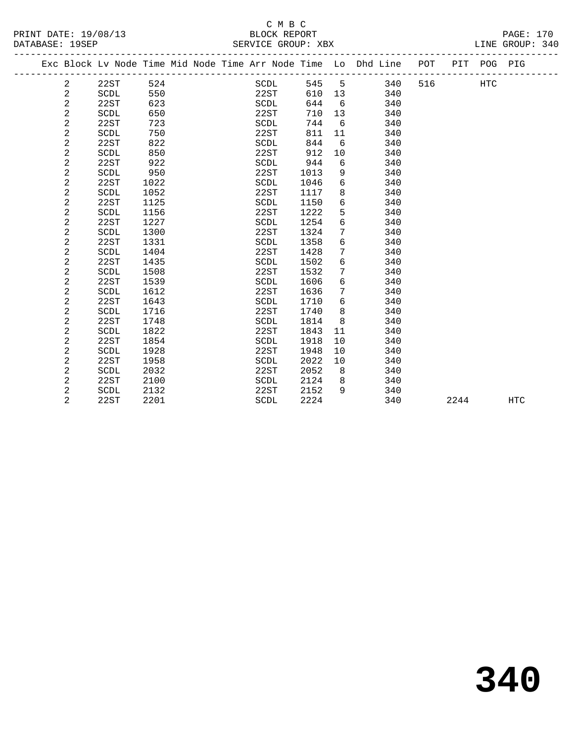|                 |                      | -----              |                   |  |
|-----------------|----------------------|--------------------|-------------------|--|
|                 | PRINT DATE: 19/08/13 | BLOCK REPORT       | $\mathtt{PAGE}$ : |  |
| DATABASE: 19SEP |                      | SERVICE GROUP: XBX | LINE GROUP: 340   |  |

|                |                       |      |  |             |      |                 | Exc Block Lv Node Time Mid Node Time Arr Node Time Lo Dhd Line POT |     |      | PIT POG PIG |            |
|----------------|-----------------------|------|--|-------------|------|-----------------|--------------------------------------------------------------------|-----|------|-------------|------------|
| 2              | 22ST                  | 524  |  | SCDL        | 545  | 5               | 340                                                                | 516 |      | <b>HTC</b>  |            |
| 2              | SCDL                  | 550  |  | 22ST        | 610  | 13              | 340                                                                |     |      |             |            |
| 2              | 22ST                  | 623  |  | SCDL        | 644  | 6               | 340                                                                |     |      |             |            |
| 2              | SCDL                  | 650  |  | 22ST        | 710  | 13 <sup>°</sup> | 340                                                                |     |      |             |            |
| 2              | 22ST                  | 723  |  | SCDL        | 744  | 6               | 340                                                                |     |      |             |            |
| 2              | <b>SCDL</b>           | 750  |  | 22ST        | 811  | 11              | 340                                                                |     |      |             |            |
| 2              | 22ST                  | 822  |  | SCDL        | 844  | 6               | 340                                                                |     |      |             |            |
| 2              | SCDL                  | 850  |  | 22ST        | 912  | 10              | 340                                                                |     |      |             |            |
| 2              | 22ST                  | 922  |  | SCDL        | 944  | 6               | 340                                                                |     |      |             |            |
| 2              | <b>SCDL</b>           | 950  |  | 22ST        | 1013 | 9               | 340                                                                |     |      |             |            |
| 2              | 22ST                  | 1022 |  | <b>SCDL</b> | 1046 | 6               | 340                                                                |     |      |             |            |
| 2              | SCDL                  | 1052 |  | 22ST        | 1117 | 8               | 340                                                                |     |      |             |            |
| $\overline{a}$ | 22ST                  | 1125 |  | <b>SCDL</b> | 1150 | 6               | 340                                                                |     |      |             |            |
| 2              | SCDL                  | 1156 |  | 22ST        | 1222 | 5               | 340                                                                |     |      |             |            |
| $\overline{c}$ | 22ST                  | 1227 |  | SCDL        | 1254 | 6               | 340                                                                |     |      |             |            |
| 2              | SCDL                  | 1300 |  | 22ST        | 1324 | 7               | 340                                                                |     |      |             |            |
| 2              | 22ST                  | 1331 |  | SCDL        | 1358 | 6               | 340                                                                |     |      |             |            |
| 2              | <b>SCDL</b>           | 1404 |  | 22ST        | 1428 | 7               | 340                                                                |     |      |             |            |
| 2              | 22ST                  | 1435 |  | SCDL        | 1502 | 6               | 340                                                                |     |      |             |            |
| 2              | SCDL                  | 1508 |  | 22ST        | 1532 | 7               | 340                                                                |     |      |             |            |
| 2              | 22ST                  | 1539 |  | SCDL        | 1606 | 6               | 340                                                                |     |      |             |            |
| 2              | $\operatorname{SCDL}$ | 1612 |  | 22ST        | 1636 | $7\phantom{.0}$ | 340                                                                |     |      |             |            |
| 2              | 22ST                  | 1643 |  | SCDL        | 1710 | 6               | 340                                                                |     |      |             |            |
| 2              | SCDL                  | 1716 |  | 22ST        | 1740 | 8               | 340                                                                |     |      |             |            |
| $\overline{a}$ | 22ST                  | 1748 |  | <b>SCDL</b> | 1814 | 8               | 340                                                                |     |      |             |            |
| 2              | <b>SCDL</b>           | 1822 |  | 22ST        | 1843 | 11              | 340                                                                |     |      |             |            |
| 2              | 22ST                  | 1854 |  | SCDL        | 1918 | 10              | 340                                                                |     |      |             |            |
| 2              | <b>SCDL</b>           | 1928 |  | 22ST        | 1948 | 10              | 340                                                                |     |      |             |            |
| 2              | 22ST                  | 1958 |  | SCDL        | 2022 | 10              | 340                                                                |     |      |             |            |
| 2              | SCDL                  | 2032 |  | 22ST        | 2052 | 8               | 340                                                                |     |      |             |            |
| 2              | 22ST                  | 2100 |  | SCDL        | 2124 | 8               | 340                                                                |     |      |             |            |
| 2              | SCDL                  | 2132 |  | 22ST        | 2152 | 9               | 340                                                                |     |      |             |            |
| 2              | 22ST                  | 2201 |  | <b>SCDL</b> | 2224 |                 | 340                                                                |     | 2244 |             | <b>HTC</b> |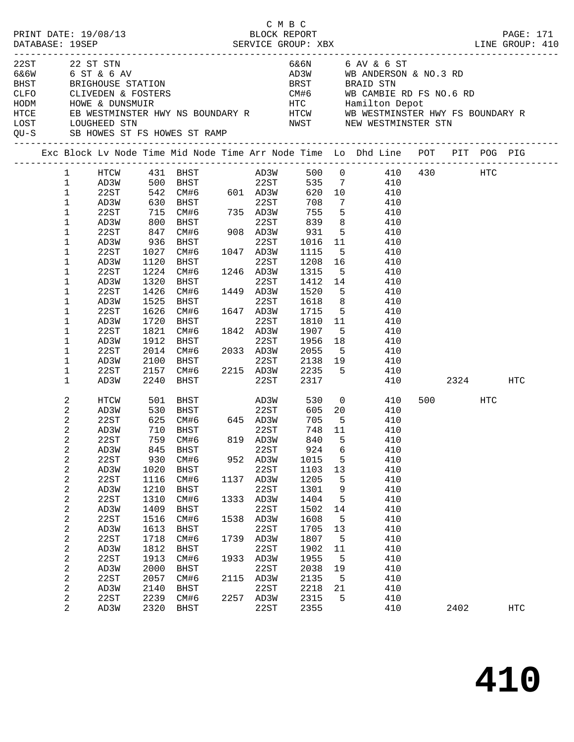| PRINT DATE: 19/08/13 |                |                                                                 |            |                                           |      | СМВС<br>BLOCK REPORT |                     |                 |                                                                                                                                             |          | PAGE: 171  |
|----------------------|----------------|-----------------------------------------------------------------|------------|-------------------------------------------|------|----------------------|---------------------|-----------------|---------------------------------------------------------------------------------------------------------------------------------------------|----------|------------|
|                      |                |                                                                 |            |                                           |      |                      |                     |                 |                                                                                                                                             |          |            |
| 22ST                 |                | 22 ST STN                                                       |            |                                           |      |                      |                     |                 | 6&6N 6 AV & 6 ST                                                                                                                            |          |            |
|                      |                | 6&6W 6 ST & 6 AV                                                |            |                                           |      |                      |                     |                 | AD3W WB ANDERSON & NO.3 RD                                                                                                                  |          |            |
|                      |                |                                                                 |            |                                           |      |                      |                     |                 | BRST BRAID STN                                                                                                                              |          |            |
|                      |                | BHST BRIGHOUSE STATION                                          |            |                                           |      |                      |                     |                 |                                                                                                                                             |          |            |
|                      |                | CLFO        CLIVEDEN & FOSTERS<br>HODM          HOWE & DUNSMUIR |            |                                           |      |                      |                     |                 |                                                                                                                                             |          |            |
| HTCE                 |                |                                                                 |            |                                           |      |                      |                     |                 |                                                                                                                                             |          |            |
| LOST                 |                | LOUGHEED STN                                                    |            |                                           |      |                      |                     |                 | NWST NEW WESTMINSTER STN                                                                                                                    |          |            |
|                      |                |                                                                 |            | QU-S SB HOWES ST FS HOWES ST RAMP         |      |                      |                     |                 |                                                                                                                                             |          |            |
|                      |                |                                                                 |            |                                           |      |                      |                     |                 | Exc Block Lv Node Time Mid Node Time Arr Node Time Lo Dhd Line POT PIT POG PIG                                                              |          |            |
|                      | 1              |                                                                 |            |                                           |      |                      |                     |                 |                                                                                                                                             |          |            |
|                      | $\mathbf 1$    |                                                                 |            |                                           |      |                      |                     |                 | $\begin{tabular}{lcccccc} HTCW & 431 & BHST & AD3W & 500 & 0 & 410 & 430 & HTC \\ AD3W & 500 & BHST & 22ST & 535 & 7 & 410 & \end{tabular}$ |          |            |
|                      | $\mathbf 1$    | 22ST                                                            |            | $542$ CM#6 601 AD3W                       |      |                      | 620 10              |                 | 410                                                                                                                                         |          |            |
|                      | $\mathbf{1}$   | AD3W                                                            |            |                                           |      |                      | 708                 | $7\overline{ }$ | 410                                                                                                                                         |          |            |
|                      | $\mathbf 1$    | 22ST                                                            |            | 630 BHST<br>715 CM#6 735 AD3W<br>800 BHST |      |                      | $752$<br>839<br>931 | 5 <sub>5</sub>  | 410                                                                                                                                         |          |            |
|                      | 1              | AD3W                                                            |            |                                           |      | 22ST                 |                     | 8 <sup>8</sup>  | 410                                                                                                                                         |          |            |
|                      | 1              | 22ST                                                            | 847        |                                           |      |                      | 931                 | $5^{\circ}$     | 410                                                                                                                                         |          |            |
|                      | 1              | AD3W                                                            | 936        | BHST                                      |      | 22ST                 | 1016 11             |                 | 410                                                                                                                                         |          |            |
|                      | 1              | 22ST                                                            | 1027       | CM#6 1047 AD3W<br>BHST 22ST               |      |                      | 1115                | $5^{\circ}$     | 410                                                                                                                                         |          |            |
|                      | 1              | AD3W                                                            | 1120       | BHST                                      |      | 22ST                 | 1208 16             |                 | 410                                                                                                                                         |          |            |
|                      | 1              | 22ST                                                            | 1224       | CM#6 1246 AD3W                            |      |                      | 1315                |                 | 5 410                                                                                                                                       |          |            |
|                      | 1              | AD3W                                                            | 1320       | BHST                                      |      | 22ST                 | 1412 14             |                 | 410                                                                                                                                         |          |            |
|                      | 1              | 22ST                                                            | 1426       | CM#6                                      |      | 1449 AD3W            | 1520                | 5 <sup>5</sup>  | 410                                                                                                                                         |          |            |
|                      | 1              | AD3W                                                            | 1525       | BHST                                      |      | 22ST                 | 1618                | 8 <sup>8</sup>  | 410                                                                                                                                         |          |            |
|                      | 1              | 22ST                                                            | 1626       | $CM#6$ $1647$ $AD3W$                      |      |                      | 1715 5              |                 | 410                                                                                                                                         |          |            |
|                      | 1              | AD3W                                                            | 1720       | BHST                                      |      | 22ST                 | 1810 11             |                 | 410                                                                                                                                         |          |            |
|                      | 1              | 22ST                                                            | 1821       | CM#6 1842 AD3W                            |      |                      | 1907                | 5 <sup>5</sup>  | 410                                                                                                                                         |          |            |
|                      | 1              | AD3W                                                            | 1912       | BHST                                      |      | 22ST                 | 1956                | 18              | 410                                                                                                                                         |          |            |
|                      | 1              | 22ST                                                            |            | 2014 CM#6 2033 AD3W                       |      |                      | 2055                | 5 <sup>5</sup>  | 410                                                                                                                                         |          |            |
|                      | 1              | AD3W                                                            | 2100       | <b>BHST</b>                               |      | 22ST                 |                     |                 | 2138 19 410                                                                                                                                 |          |            |
|                      | 1              | 22ST                                                            |            |                                           |      |                      |                     |                 | 2157 CM#6 2215 AD3W 2235 5 410                                                                                                              |          |            |
|                      | $\mathbf 1$    | AD3W                                                            | 2240       | BHST                                      |      | 22ST                 | 2317                |                 |                                                                                                                                             | 410 2324 | HTC        |
|                      | 2              | HTCW                                                            |            | 501 BHST                                  |      | AD3W                 |                     |                 | 530 0<br>410                                                                                                                                | 500 HTC  |            |
|                      | $\overline{a}$ | AD3W                                                            | 530        |                                           |      | 22ST                 |                     |                 | 605 20 410                                                                                                                                  |          |            |
|                      | 2              | 22ST                                                            | 625<br>710 | BHST 22ST<br>CM#6 645 AD3W<br>-----       |      |                      | 705                 | $-5$            | 410                                                                                                                                         |          |            |
|                      | $\sqrt{2}$     | AD3W                                                            |            | 710 BHST                                  |      | 22ST                 | 748 11              |                 | 410                                                                                                                                         |          |            |
|                      | 2              | 22ST                                                            |            | 759 CM#6                                  |      | 819 AD3W             |                     |                 | 840 5 410                                                                                                                                   |          |            |
|                      | 2              | AD3W                                                            | 845        | BHST                                      |      | 22ST                 | 924                 | 6               | 410                                                                                                                                         |          |            |
|                      | $\sqrt{2}$     | 22ST                                                            | 930        | CM#6                                      |      | 952 AD3W             | 1015                | 5               | 410                                                                                                                                         |          |            |
|                      | $\sqrt{2}$     | AD3W                                                            | 1020       | BHST                                      |      | 22ST                 | 1103                | 13              | 410                                                                                                                                         |          |            |
|                      | 2              | 22ST                                                            | 1116       | CM#6                                      | 1137 | AD3W                 | 1205                | 5               | 410                                                                                                                                         |          |            |
|                      | 2              | AD3W                                                            | 1210       | BHST                                      |      | 22ST                 | 1301                | 9               | 410                                                                                                                                         |          |            |
|                      | 2              | 22ST                                                            | 1310       | CM#6                                      | 1333 | AD3W                 | 1404                | 5               | 410                                                                                                                                         |          |            |
|                      | $\sqrt{2}$     | AD3W                                                            | 1409       | BHST                                      |      | 22ST                 | 1502                | 14              | 410                                                                                                                                         |          |            |
|                      | 2              | 22ST                                                            | 1516       | CM#6                                      |      | 1538 AD3W            | 1608                | 5               | 410                                                                                                                                         |          |            |
|                      | $\sqrt{2}$     | AD3W                                                            | 1613       | <b>BHST</b>                               |      | 22ST                 | 1705                | 13              | 410                                                                                                                                         |          |            |
|                      | 2              | 22ST                                                            | 1718       | CM#6                                      | 1739 | AD3W                 | 1807                | 5               | 410                                                                                                                                         |          |            |
|                      | $\sqrt{2}$     | AD3W                                                            | 1812       | BHST                                      |      | 22ST                 | 1902                | 11              | 410                                                                                                                                         |          |            |
|                      | 2              | 22ST                                                            | 1913       | CM#6                                      | 1933 | AD3W                 | 1955                | 5               | 410                                                                                                                                         |          |            |
|                      | $\sqrt{2}$     | AD3W                                                            | 2000       | BHST                                      |      | 22ST                 | 2038                | 19              | 410                                                                                                                                         |          |            |
|                      | 2              | 22ST                                                            | 2057       | CM#6                                      | 2115 | AD3W                 | 2135                | 5               | 410                                                                                                                                         |          |            |
|                      | $\sqrt{2}$     | AD3W                                                            | 2140       | BHST                                      |      | 22ST                 | 2218                | 21              | 410                                                                                                                                         |          |            |
|                      | $\overline{c}$ | 22ST                                                            | 2239       | CM#6                                      |      | 2257 AD3W            | 2315                | 5               | 410                                                                                                                                         |          |            |
|                      | $\overline{a}$ | AD3W                                                            | 2320       | BHST                                      |      | 22ST                 | 2355                |                 | 410                                                                                                                                         | 2402     | <b>HTC</b> |

**410**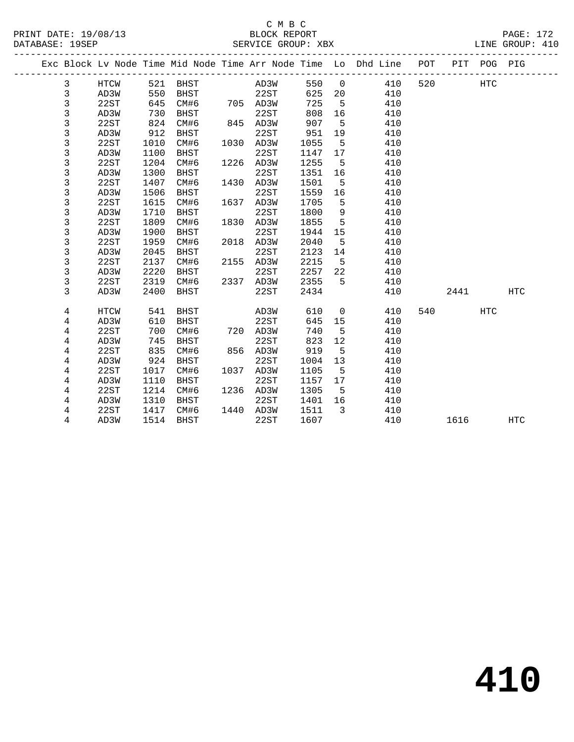|  |                |      |      |             |      |      |      |             | Exc Block Lv Node Time Mid Node Time Arr Node Time Lo Dhd Line | POT |      | PIT POG PIG |            |
|--|----------------|------|------|-------------|------|------|------|-------------|----------------------------------------------------------------|-----|------|-------------|------------|
|  | 3              | HTCW | 521  | <b>BHST</b> |      | AD3W | 550  | $\mathbf 0$ | 410                                                            | 520 |      | HTC         |            |
|  | 3              | AD3W | 550  | <b>BHST</b> |      | 22ST | 625  | 20          | 410                                                            |     |      |             |            |
|  | 3              | 22ST | 645  | CM#6        | 705  | AD3W | 725  | 5           | 410                                                            |     |      |             |            |
|  | 3              | AD3W | 730  | <b>BHST</b> |      | 22ST | 808  | 16          | 410                                                            |     |      |             |            |
|  | $\mathsf 3$    | 22ST | 824  | CM#6        | 845  | AD3W | 907  | 5           | 410                                                            |     |      |             |            |
|  | $\mathsf 3$    | AD3W | 912  | <b>BHST</b> |      | 22ST | 951  | 19          | 410                                                            |     |      |             |            |
|  | 3              | 22ST | 1010 | CM#6        | 1030 | AD3W | 1055 | 5           | 410                                                            |     |      |             |            |
|  | 3              | AD3W | 1100 | <b>BHST</b> |      | 22ST | 1147 | 17          | 410                                                            |     |      |             |            |
|  | 3              | 22ST | 1204 | CM#6        | 1226 | AD3W | 1255 | 5           | 410                                                            |     |      |             |            |
|  | 3              | AD3W | 1300 | <b>BHST</b> |      | 22ST | 1351 | 16          | 410                                                            |     |      |             |            |
|  | 3              | 22ST | 1407 | CM#6        | 1430 | AD3W | 1501 | 5           | 410                                                            |     |      |             |            |
|  | $\mathsf 3$    | AD3W | 1506 | <b>BHST</b> |      | 22ST | 1559 | 16          | 410                                                            |     |      |             |            |
|  | 3              | 22ST | 1615 | CM#6        | 1637 | AD3W | 1705 | 5           | 410                                                            |     |      |             |            |
|  | $\mathsf 3$    | AD3W | 1710 | <b>BHST</b> |      | 22ST | 1800 | 9           | 410                                                            |     |      |             |            |
|  | 3              | 22ST | 1809 | CM#6        | 1830 | AD3W | 1855 | 5           | 410                                                            |     |      |             |            |
|  | 3              | AD3W | 1900 | <b>BHST</b> |      | 22ST | 1944 | 15          | 410                                                            |     |      |             |            |
|  | $\mathsf 3$    | 22ST | 1959 | CM#6        | 2018 | AD3W | 2040 | 5           | 410                                                            |     |      |             |            |
|  | 3              | AD3W | 2045 | <b>BHST</b> |      | 22ST | 2123 | 14          | 410                                                            |     |      |             |            |
|  | 3              | 22ST | 2137 | CM#6        | 2155 | AD3W | 2215 | 5           | 410                                                            |     |      |             |            |
|  | 3              | AD3W | 2220 | <b>BHST</b> |      | 22ST | 2257 | 22          | 410                                                            |     |      |             |            |
|  | 3              | 22ST | 2319 | CM#6        | 2337 | AD3W | 2355 | 5           | 410                                                            |     |      |             |            |
|  | 3              | AD3W | 2400 | <b>BHST</b> |      | 22ST | 2434 |             | 410                                                            |     | 2441 |             | <b>HTC</b> |
|  | 4              | HTCW | 541  | <b>BHST</b> |      | AD3W | 610  | 0           | 410                                                            | 540 |      | <b>HTC</b>  |            |
|  | 4              | AD3W | 610  | <b>BHST</b> |      | 22ST | 645  | 15          | 410                                                            |     |      |             |            |
|  | 4              | 22ST | 700  | CM#6        | 720  | AD3W | 740  | 5           | 410                                                            |     |      |             |            |
|  | $\overline{4}$ | AD3W | 745  | <b>BHST</b> |      | 22ST | 823  | 12          | 410                                                            |     |      |             |            |
|  | 4              | 22ST | 835  | CM#6        | 856  | AD3W | 919  | 5           | 410                                                            |     |      |             |            |
|  | 4              | AD3W | 924  | <b>BHST</b> |      | 22ST | 1004 | 13          | 410                                                            |     |      |             |            |
|  | 4              | 22ST | 1017 | CM#6        | 1037 | AD3W | 1105 | 5           | 410                                                            |     |      |             |            |
|  | $\,4$          | AD3W | 1110 | <b>BHST</b> |      | 22ST | 1157 | 17          | 410                                                            |     |      |             |            |
|  | 4              | 22ST | 1214 | CM#6        | 1236 | AD3W | 1305 | 5           | 410                                                            |     |      |             |            |
|  | 4              | AD3W | 1310 | <b>BHST</b> |      | 22ST | 1401 | 16          | 410                                                            |     |      |             |            |
|  | 4              | 22ST | 1417 | CM#6        | 1440 | AD3W | 1511 | 3           | 410                                                            |     |      |             |            |
|  | 4              | AD3W | 1514 | <b>BHST</b> |      | 22ST | 1607 |             | 410                                                            |     | 1616 |             | <b>HTC</b> |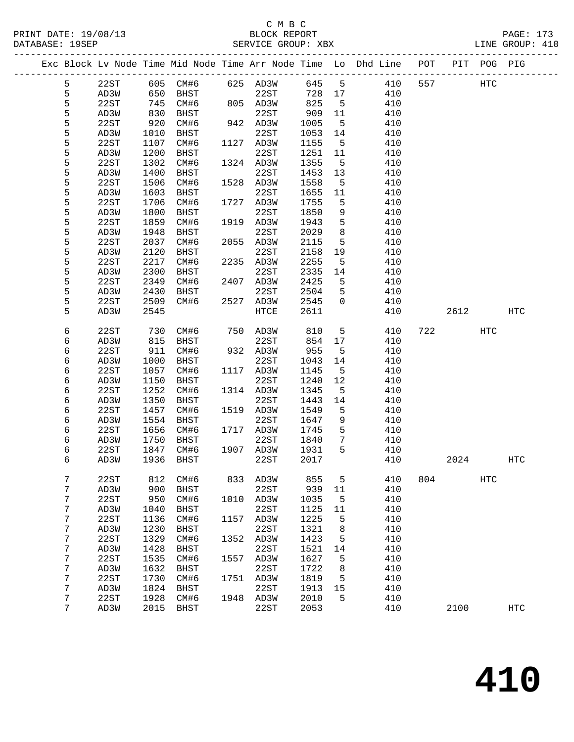#### C M B C<br>BLOCK REPORT PRINT DATE: 19/08/13 BLOCK REPORT PAGE: 173 SERVICE GROUP: XBX

|  |        |              |            |             |      |              |        |                 | Exc Block Lv Node Time Mid Node Time Arr Node Time Lo Dhd Line POT |     |      | PIT POG PIG |                   |
|--|--------|--------------|------------|-------------|------|--------------|--------|-----------------|--------------------------------------------------------------------|-----|------|-------------|-------------------|
|  | 5      | 22ST         |            |             |      |              | 645 5  |                 | 410                                                                | 557 |      | HTC         |                   |
|  | 5      | AD3W         |            |             |      |              | 728 17 |                 | 410                                                                |     |      |             |                   |
|  | 5      | 22ST         | 745        | CM#6        |      | 805 AD3W     | 825    | $5^{\circ}$     | 410                                                                |     |      |             |                   |
|  | 5      | AD3W         | 830        | BHST        |      | 22ST         | 909    | 11              | 410                                                                |     |      |             |                   |
|  | 5      | 22ST         | 920        | CM#6        |      | 942 AD3W     | 1005   | $5^{\circ}$     | 410                                                                |     |      |             |                   |
|  | 5      | AD3W         | 1010       | BHST        |      | 22ST         | 1053   | 14              | 410                                                                |     |      |             |                   |
|  | 5      | 22ST         | 1107       | CM#6        |      | 1127 AD3W    | 1155   | $5^{\circ}$     | 410                                                                |     |      |             |                   |
|  | 5      | AD3W         | 1200       | BHST        |      | 22ST         | 1251   | 11              | 410                                                                |     |      |             |                   |
|  | 5      | 22ST         | 1302       | CM#6        |      | 1324 AD3W    | 1355   | $5^{\circ}$     | 410                                                                |     |      |             |                   |
|  | 5      | AD3W         | 1400       | BHST        |      | 22ST         | 1453   | 13              | 410                                                                |     |      |             |                   |
|  | 5      | 22ST         | 1506       | CM#6        |      | 1528 AD3W    | 1558   | $5^{\circ}$     | 410                                                                |     |      |             |                   |
|  | 5      | AD3W         | 1603       | BHST        |      | 22ST         | 1655   | 11              | 410                                                                |     |      |             |                   |
|  | 5      | 22ST         | 1706       | CM#6        |      | 1727 AD3W    | 1755   | 5               | 410                                                                |     |      |             |                   |
|  | 5      | AD3W         | 1800       | BHST        |      | 22ST         | 1850   | 9               | 410                                                                |     |      |             |                   |
|  | 5      | 22ST         | 1859       | CM#6        |      | 1919 AD3W    | 1943   | 5               | 410                                                                |     |      |             |                   |
|  | 5      | AD3W         | 1948       | BHST        |      | 22ST         | 2029   | 8               | 410                                                                |     |      |             |                   |
|  | 5      | 22ST         | 2037       | CM#6        |      | 2055 AD3W    | 2115   | 5               | 410                                                                |     |      |             |                   |
|  | 5      | AD3W         | 2120       | BHST        |      | 22ST         | 2158   | 19              | 410                                                                |     |      |             |                   |
|  | 5      | 22ST         | 2217       | CM#6        |      | 2235 AD3W    | 2255   | $5^{\circ}$     | 410                                                                |     |      |             |                   |
|  | 5      | AD3W         | 2300       | <b>BHST</b> |      | 22ST         | 2335   | 14              | 410                                                                |     |      |             |                   |
|  | 5      | 22ST         | 2349       | CM#6        |      | 2407 AD3W    | 2425   | 5               | 410                                                                |     |      |             |                   |
|  | 5      | AD3W         | 2430       | BHST        |      | 22ST         | 2504   | 5               | 410                                                                |     |      |             |                   |
|  | 5      | 22ST         | 2509       | CM#6        |      | 2527 AD3W    | 2545   | $\Omega$        | 410                                                                |     |      |             |                   |
|  | 5      | AD3W         | 2545       |             |      | HTCE         | 2611   |                 | 410                                                                |     | 2612 |             | HTC               |
|  |        |              |            |             |      |              |        |                 |                                                                    |     |      |             |                   |
|  | 6      | 22ST         | 730        | CM#6        |      | 750 AD3W     | 810    | 5               | 410                                                                |     | 722  | HTC         |                   |
|  | 6      | AD3W         | 815        | BHST        |      | 22ST         | 854    | 17              | 410                                                                |     |      |             |                   |
|  | 6      | 22ST         | 911        | CM#6        |      | 932 AD3W     | 955    | 5               | 410                                                                |     |      |             |                   |
|  | 6      | AD3W         | 1000       | BHST        |      | 22ST         | 1043   | 14              | 410                                                                |     |      |             |                   |
|  | 6      | 22ST         | 1057       | CM#6        |      | 1117 AD3W    | 1145   | $5^{\circ}$     | 410                                                                |     |      |             |                   |
|  | 6      | AD3W         | 1150       | BHST        |      | 22ST         | 1240   | 12              | 410                                                                |     |      |             |                   |
|  | 6      | 22ST         | 1252       | CM#6        |      | 1314 AD3W    | 1345   | 5               | 410                                                                |     |      |             |                   |
|  | 6      | AD3W         | 1350       | BHST        |      | 22ST         | 1443   | 14              | 410                                                                |     |      |             |                   |
|  | 6      | 22ST         | 1457       | CM#6        |      | 1519 AD3W    | 1549   | 5               | 410                                                                |     |      |             |                   |
|  | 6      | AD3W         | 1554       | BHST        |      | 22ST         | 1647   | 9               | 410                                                                |     |      |             |                   |
|  | 6      | 22ST         | 1656       | CM#6        |      | 1717 AD3W    | 1745   | 5               | 410                                                                |     |      |             |                   |
|  | 6      | AD3W         | 1750       | BHST        |      | 22ST         | 1840   | $7\phantom{.0}$ | 410                                                                |     |      |             |                   |
|  | 6      | 22ST         | 1847       | CM#6        |      | 1907 AD3W    | 1931   | 5               | 410                                                                |     |      |             |                   |
|  | 6      | AD3W         | 1936       | BHST        |      | 22ST         | 2017   |                 | 410                                                                |     | 2024 |             | HTC               |
|  |        |              |            | CM#6        |      |              | 855    |                 |                                                                    | 804 |      |             |                   |
|  | 7<br>7 | 22ST<br>AD3W | 812<br>900 | <b>BHST</b> | 833  | AD3W<br>22ST | 939    | 5<br>11         | 410<br>410                                                         |     |      | HTC         |                   |
|  | 7      | 22ST         | 950        | CM#6        | 1010 | AD3W         | 1035   | 5               | 410                                                                |     |      |             |                   |
|  | 7      | AD3W         | 1040       | <b>BHST</b> |      | 22ST         | 1125   | 11              | 410                                                                |     |      |             |                   |
|  | 7      | 22ST         | 1136       | CM#6        | 1157 | AD3W         | 1225   | 5               | 410                                                                |     |      |             |                   |
|  | 7      | AD3W         | 1230       | <b>BHST</b> |      | 22ST         | 1321   | 8               | 410                                                                |     |      |             |                   |
|  | 7      | 22ST         | 1329       | CM#6        | 1352 | AD3W         | 1423   | 5               | 410                                                                |     |      |             |                   |
|  | 7      | AD3W         | 1428       | <b>BHST</b> |      | 22ST         | 1521   | 14              | 410                                                                |     |      |             |                   |
|  | 7      | 22ST         | 1535       | CM#6        | 1557 | AD3W         | 1627   | 5               | 410                                                                |     |      |             |                   |
|  | 7      | AD3W         | 1632       | BHST        |      | 22ST         | 1722   | 8               | 410                                                                |     |      |             |                   |
|  | 7      | 22ST         | 1730       | CM#6        | 1751 | AD3W         | 1819   | 5               | 410                                                                |     |      |             |                   |
|  | 7      | AD3W         | 1824       | <b>BHST</b> |      | 22ST         | 1913   | 15              | 410                                                                |     |      |             |                   |
|  | 7      | 22ST         | 1928       | CM#6        | 1948 | AD3W         | 2010   | 5               | 410                                                                |     |      |             |                   |
|  | 7      | AD3W         | 2015       | <b>BHST</b> |      | 22ST         | 2053   |                 | 410                                                                |     | 2100 |             | $_{\mathrm{HTC}}$ |
|  |        |              |            |             |      |              |        |                 |                                                                    |     |      |             |                   |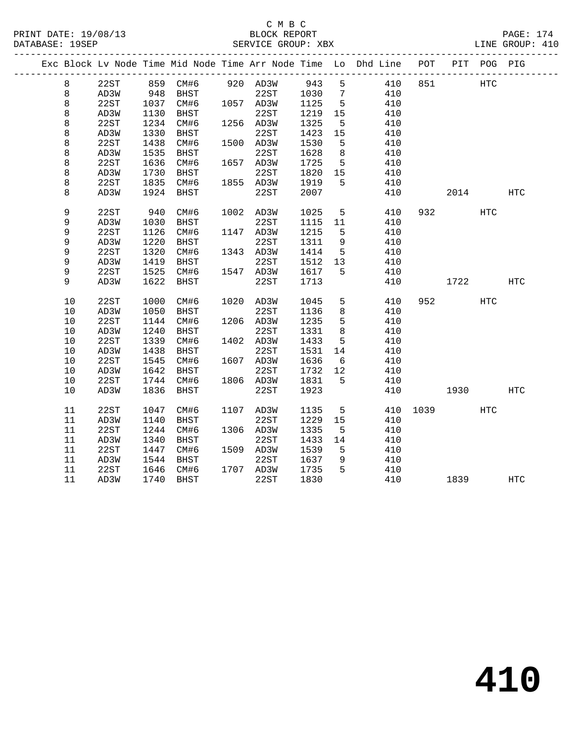|    | Exc Block Lv Node Time Mid Node Time Arr Node Time Lo Dhd Line POT |      |                       |           |      |                 |     |     |      | PIT POG PIG |              |
|----|--------------------------------------------------------------------|------|-----------------------|-----------|------|-----------------|-----|-----|------|-------------|--------------|
| 8  | 22ST                                                               |      | 859 CM#6 920 AD3W 943 |           |      | 5 <sup>5</sup>  | 410 | 851 |      | <b>HTC</b>  |              |
| 8  | AD3W                                                               | 948  | BHST                  | 22ST      | 1030 | $7\phantom{.0}$ | 410 |     |      |             |              |
| 8  | 22ST                                                               | 1037 | CM#6                  | 1057 AD3W | 1125 | 5               | 410 |     |      |             |              |
| 8  | AD3W                                                               | 1130 | BHST                  | 22ST      | 1219 | 15              | 410 |     |      |             |              |
| 8  | 22ST                                                               | 1234 | CM#6                  | 1256 AD3W | 1325 | $5\overline{5}$ | 410 |     |      |             |              |
| 8  | AD3W                                                               | 1330 | BHST                  | 22ST      | 1423 | 15              | 410 |     |      |             |              |
| 8  | 22ST                                                               | 1438 | CM#6                  | 1500 AD3W | 1530 | 5               | 410 |     |      |             |              |
| 8  | AD3W                                                               | 1535 | BHST                  | 22ST      | 1628 | 8               | 410 |     |      |             |              |
| 8  | 22ST                                                               | 1636 | CM#6                  | 1657 AD3W | 1725 | $5^{\circ}$     | 410 |     |      |             |              |
| 8  | AD3W                                                               | 1730 | BHST                  | 22ST      | 1820 | 15              | 410 |     |      |             |              |
| 8  | 22ST                                                               | 1835 | CM#6                  | 1855 AD3W | 1919 | 5               | 410 |     |      |             |              |
| 8  | AD3W                                                               | 1924 | <b>BHST</b>           | 22ST      | 2007 |                 | 410 |     | 2014 |             | $_{\rm HTC}$ |
|    |                                                                    |      |                       |           |      |                 |     |     |      |             |              |
| 9  | 22ST                                                               | 940  | CM#6                  | 1002 AD3W | 1025 | 5               | 410 |     | 932  | HTC         |              |
| 9  | AD3W                                                               | 1030 | BHST                  | 22ST      | 1115 | 11              | 410 |     |      |             |              |
| 9  | 22ST                                                               | 1126 | CM#6                  | 1147 AD3W | 1215 | 5               | 410 |     |      |             |              |
| 9  | AD3W                                                               | 1220 | BHST                  | 22ST      | 1311 | 9               | 410 |     |      |             |              |
| 9  | 22ST                                                               | 1320 | CM#6                  | 1343 AD3W | 1414 | 5               | 410 |     |      |             |              |
| 9  | AD3W                                                               | 1419 | <b>BHST</b>           | 22ST      | 1512 | 13              | 410 |     |      |             |              |
| 9  | 22ST                                                               | 1525 | CM#6                  | 1547 AD3W | 1617 | 5               | 410 |     |      |             |              |
| 9  | AD3W                                                               | 1622 | BHST                  | 22ST      | 1713 |                 | 410 |     | 1722 |             | HTC          |
| 10 | 22ST                                                               | 1000 | CM#6                  | 1020 AD3W | 1045 | 5               | 410 |     | 952  | HTC         |              |
| 10 | AD3W                                                               | 1050 | <b>BHST</b>           | 22ST      | 1136 | 8               | 410 |     |      |             |              |
| 10 | 22ST                                                               | 1144 | CM#6                  | 1206 AD3W | 1235 | 5               | 410 |     |      |             |              |
| 10 | AD3W                                                               | 1240 | BHST                  | 22ST      | 1331 | 8               | 410 |     |      |             |              |
| 10 | 22ST                                                               | 1339 | CM#6                  | 1402 AD3W | 1433 | 5               | 410 |     |      |             |              |
| 10 | AD3W                                                               | 1438 | <b>BHST</b>           | 22ST      | 1531 | 14              | 410 |     |      |             |              |
| 10 | 22ST                                                               | 1545 | CM#6                  | 1607 AD3W | 1636 | $6\overline{6}$ | 410 |     |      |             |              |
| 10 | AD3W                                                               | 1642 | BHST                  | 22ST      | 1732 | 12              | 410 |     |      |             |              |
| 10 | 22ST                                                               | 1744 | CM#6                  | 1806 AD3W | 1831 | 5               | 410 |     |      |             |              |
| 10 | AD3W                                                               | 1836 | BHST                  | 22ST      | 1923 |                 | 410 |     | 1930 |             | <b>HTC</b>   |
|    |                                                                    |      |                       |           |      |                 |     |     |      |             |              |
| 11 | 22ST                                                               | 1047 | CM#6                  | 1107 AD3W | 1135 | 5               | 410 |     | 1039 | HTC         |              |
| 11 | AD3W                                                               | 1140 | <b>BHST</b>           | 22ST      | 1229 | 15              | 410 |     |      |             |              |
| 11 | 22ST                                                               | 1244 | CM#6                  | 1306 AD3W | 1335 | 5               | 410 |     |      |             |              |
| 11 | AD3W                                                               | 1340 | <b>BHST</b>           | 22ST      | 1433 | 14              | 410 |     |      |             |              |
| 11 | 22ST                                                               | 1447 | CM#6                  | 1509 AD3W | 1539 | 5               | 410 |     |      |             |              |
| 11 | AD3W                                                               | 1544 | <b>BHST</b>           | 22ST      | 1637 | 9               | 410 |     |      |             |              |
| 11 | 22ST                                                               | 1646 | CM#6                  | 1707 AD3W | 1735 | 5               | 410 |     |      |             |              |
| 11 | AD3W                                                               | 1740 | <b>BHST</b>           | 22ST      | 1830 |                 | 410 |     | 1839 |             | HTC          |
|    |                                                                    |      |                       |           |      |                 |     |     |      |             |              |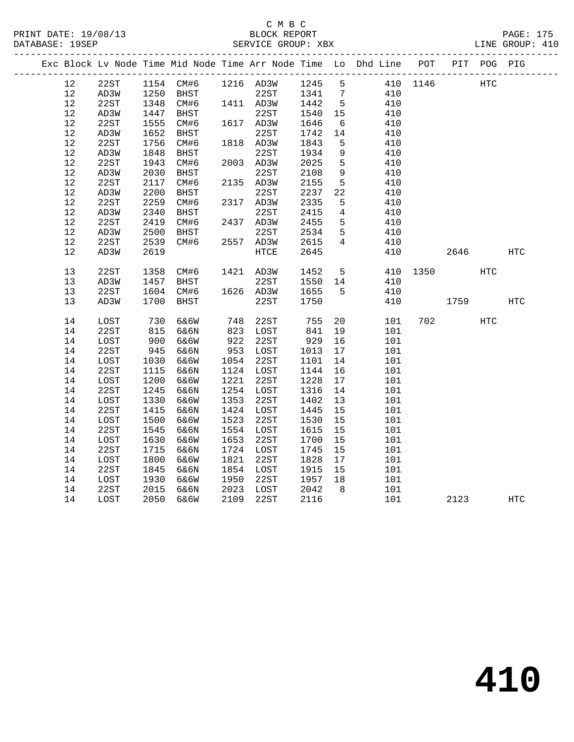# C M B C<br>BLOCK REPORT

| PRINT DATE: 19/08/13 | BLOCK REPORT       | PAGE: 175       |
|----------------------|--------------------|-----------------|
| DATABASE: 19SEP      | SERVICE GROUP: XBX | LINE GROUP: 410 |
|                      |                    |                 |

|  |          |               |              |              |              |              |              |                 | Exc Block Lv Node Time Mid Node Time Arr Node Time Lo Dhd Line POT |          | $\verb PIT $ | POG PIG |              |
|--|----------|---------------|--------------|--------------|--------------|--------------|--------------|-----------------|--------------------------------------------------------------------|----------|--------------|---------|--------------|
|  | 12       | 22ST          |              | 1154 CM#6    |              | 1216 AD3W    | 1245         | 5               |                                                                    | 410 1146 |              | HTC     |              |
|  | 12       | AD3W          | 1250         | BHST         |              | 22ST         | 1341         | $7\phantom{.0}$ | 410                                                                |          |              |         |              |
|  | $12$     | 22ST          | 1348         | CM#6         |              | 1411 AD3W    | 1442         | $5\phantom{.0}$ | 410                                                                |          |              |         |              |
|  | 12       | AD3W          | 1447         | BHST         |              | 22ST         | 1540         | 15              | 410                                                                |          |              |         |              |
|  | 12       | 22ST          | 1555         | CM#6         |              | 1617 AD3W    | 1646         | 6               | 410                                                                |          |              |         |              |
|  | $12$     | AD3W          | 1652         | <b>BHST</b>  |              | 22ST         | 1742         | 14              | 410                                                                |          |              |         |              |
|  | 12       | 22ST          | 1756         | CM#6         |              | 1818 AD3W    | 1843         | 5               | 410                                                                |          |              |         |              |
|  | $12$     | AD3W          | 1848         | <b>BHST</b>  |              | 22ST         | 1934         | 9               | 410                                                                |          |              |         |              |
|  | $12$     | 22ST          | 1943         | CM#6         | 2003         | AD3W         | 2025         | 5               | 410                                                                |          |              |         |              |
|  | 12       | AD3W          | 2030         | BHST         |              | 22ST         | 2108         | $\mathsf 9$     | 410                                                                |          |              |         |              |
|  | $12$     | 22ST          | 2117         | CM#6         |              | 2135 AD3W    | 2155         | $5\phantom{.0}$ | 410                                                                |          |              |         |              |
|  | 12       | AD3W          | 2200         | <b>BHST</b>  |              | 22ST         | 2237         | 22              | 410                                                                |          |              |         |              |
|  | 12       | 22ST          | 2259         | CM#6         |              | 2317 AD3W    | 2335         | 5               | 410                                                                |          |              |         |              |
|  | 12       | AD3W          | 2340         | BHST         |              | 22ST         | 2415         | $\overline{4}$  | 410                                                                |          |              |         |              |
|  | 12       | 22ST          | 2419         | CM#6         | 2437         | AD3W         | 2455         | 5               | 410                                                                |          |              |         |              |
|  | 12       | AD3W          | 2500         | BHST         |              | 22ST         | 2534         | 5               | 410                                                                |          |              |         |              |
|  | 12       | 22ST          | 2539         | CM#6         | 2557         | AD3W         | 2615         | 4               | 410                                                                |          |              |         |              |
|  | 12       | AD3W          | 2619         |              |              | HTCE         | 2645         |                 | 410                                                                |          | 2646         |         | HTC          |
|  |          |               |              |              |              |              |              |                 |                                                                    |          |              |         |              |
|  | 13       | 22ST          | 1358         | CM#6         | 1421         | AD3W         | 1452         | 5               | 410                                                                | 1350     |              | HTC     |              |
|  | 13       | AD3W          | 1457         | <b>BHST</b>  |              | 22ST         | 1550         | 14              | 410                                                                |          |              |         |              |
|  | 13       | 22ST          | 1604         | CM#6         |              | 1626 AD3W    | 1655         | 5               | 410                                                                |          |              |         |              |
|  | 13       | AD3W          | 1700         | BHST         |              | 22ST         | 1750         |                 | 410                                                                |          | 1759         |         | $_{\rm HTC}$ |
|  |          |               |              |              |              |              |              |                 |                                                                    |          |              |         |              |
|  | 14       | $_{\rm LOST}$ | 730          | 6&6W         | 748          | 22ST         | 755          | 20              | 101                                                                | 702      |              | HTC     |              |
|  | 14       | 22ST          | 815          | 6&6N         | 823          | LOST         | 841          | 19              | 101                                                                |          |              |         |              |
|  | 14       | LOST          | 900          | 6&6W         | 922          | 22ST         | 929          | 16              | 101                                                                |          |              |         |              |
|  | 14       | 22ST          | 945          | 6&6N         | 953          | LOST         | 1013         | 17              | 101                                                                |          |              |         |              |
|  | 14       | LOST<br>22ST  | 1030         | 6&6W         | 1054<br>1124 | 22ST         | 1101         | 14              | 101                                                                |          |              |         |              |
|  | 14<br>14 | LOST          | 1115<br>1200 | 6&6N<br>6&6W | 1221         | LOST<br>22ST | 1144<br>1228 | 16<br>17        | 101<br>101                                                         |          |              |         |              |
|  | 14       | 22ST          | 1245         |              | 1254         |              | 1316         |                 |                                                                    |          |              |         |              |
|  | 14       | $_{\rm LOST}$ | 1330         | 6&6N<br>6&6W | 1353         | LOST<br>22ST | 1402         | 14<br>13        | 101<br>101                                                         |          |              |         |              |
|  | 14       | 22ST          | 1415         | 6&6N         | 1424         | LOST         | 1445         | 15              | 101                                                                |          |              |         |              |
|  | 14       | LOST          | 1500         | 6&6W         | 1523         | 22ST         | 1530         | 15              | 101                                                                |          |              |         |              |
|  | 14       | 22ST          | 1545         | 6&6N         | 1554         | LOST         | 1615         | 15              | 101                                                                |          |              |         |              |
|  | 14       | LOST          | 1630         | 6&6W         | 1653         | 22ST         | 1700         | 15              | 101                                                                |          |              |         |              |
|  | 14       | 22ST          | 1715         | 6&6N         | 1724         | LOST         | 1745         | 15              | 101                                                                |          |              |         |              |
|  | 14       | LOST          | 1800         | 6&6W         | 1821         | 22ST         | 1828         | 17              | 101                                                                |          |              |         |              |
|  | 14       | 22ST          | 1845         | 6&6N         | 1854         | LOST         | 1915         | 15              | 101                                                                |          |              |         |              |
|  | 14       | LOST          | 1930         | 6&6W         | 1950         | 22ST         | 1957         | 18              | 101                                                                |          |              |         |              |
|  | 14       | 22ST          | 2015         | 6&6N         | 2023         | LOST         | 2042         | 8               | 101                                                                |          |              |         |              |
|  | 14       | LOST          | 2050         | 6&6W         | 2109         | 22ST         | 2116         |                 | 101                                                                |          | 2123         |         | HTC          |
|  |          |               |              |              |              |              |              |                 |                                                                    |          |              |         |              |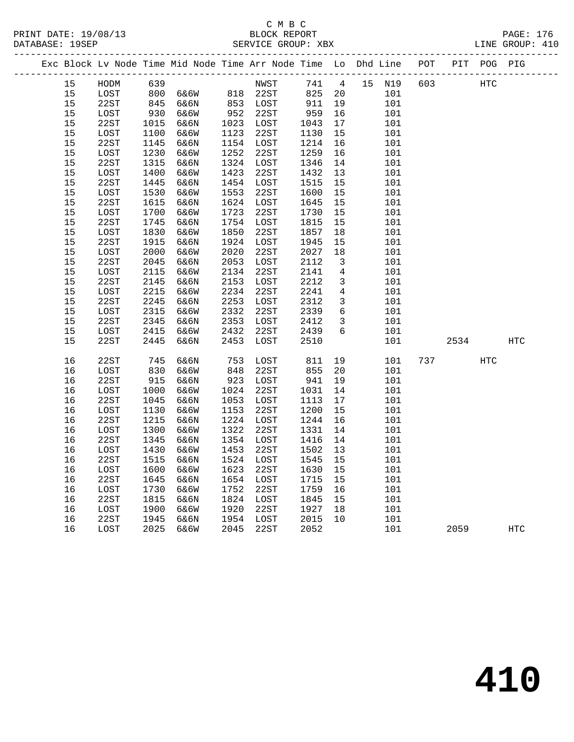#### C M B C<br>BLOCK REPORT PRINT DATE: 19/08/13 BLOCK REPORT PAGE: 176 SERVICE GROUP: XBX

|  |            | Exc Block Lv Node Time Mid Node Time Arr Node Time Lo Dhd Line POT PIT POG PIG |              |              |                      |              |              |                     |                 |     |      |     |            |
|--|------------|--------------------------------------------------------------------------------|--------------|--------------|----------------------|--------------|--------------|---------------------|-----------------|-----|------|-----|------------|
|  | 15         | HODM                                                                           | 639          |              |                      | NWST         |              |                     | 741  4  15  N19 | 603 |      | HTC |            |
|  | 15         | LOST                                                                           |              |              | 800 6&6W 818 22ST    |              | 825          | 20                  | 101             |     |      |     |            |
|  | 15         | 22ST                                                                           | 845<br>930   | 6&6N         | 853 LOST<br>952 22ST |              | 911          | 19                  | 101             |     |      |     |            |
|  | 15         | LOST                                                                           |              | 6&6W         |                      |              | 959          | 16                  | 101             |     |      |     |            |
|  | 15         | 22ST                                                                           | 1015         | 6&6N         |                      | 1023 LOST    | 1043         | 17                  | 101             |     |      |     |            |
|  | 15         | LOST                                                                           | 1100         | 6&6W         | 1123                 | 22ST         | 1130         | 15                  | 101             |     |      |     |            |
|  | $15$       | 22ST                                                                           | 1145         | 6&6N         |                      | 1154 LOST    | 1214         | 16                  | 101             |     |      |     |            |
|  | 15         | LOST                                                                           | 1230         | 6&6W         | 1252                 | 22ST         | 1259         | 16                  | 101             |     |      |     |            |
|  | 15         | 22ST                                                                           | 1315         | 6&6N         |                      | 1324 LOST    | 1346         | 14                  | 101             |     |      |     |            |
|  | 15         | LOST                                                                           | 1400         | 6&6W         | 1423                 | 22ST         | 1432         | 13                  | 101             |     |      |     |            |
|  | 15         | 22ST                                                                           | 1445         | 6&6N         |                      | 1454 LOST    | 1515         | 15                  | 101             |     |      |     |            |
|  | 15         | LOST                                                                           | 1530         | 6&6W         | 1553                 | 22ST         | 1600         | 15                  | 101             |     |      |     |            |
|  | 15         | 22ST                                                                           | 1615         | 6&6N         |                      | 1624 LOST    | 1645         | 15                  | 101             |     |      |     |            |
|  | 15         | LOST                                                                           | 1700         | 6&6W         | 1723                 | 22ST         | 1730         | 15                  | 101             |     |      |     |            |
|  | 15         | 22ST                                                                           | 1745         | 6&6N         |                      | 1754 LOST    | 1815         | 15                  | 101             |     |      |     |            |
|  | 15         | LOST                                                                           | 1830         | 6&6W         | 1850                 | 22ST         | 1857         | 18                  | 101             |     |      |     |            |
|  | 15         | 22ST                                                                           | 1915         | 6&6N         |                      | 1924 LOST    | 1945         | 15                  | 101             |     |      |     |            |
|  | 15         | LOST                                                                           | 2000         | 6&6W         | 2020                 | 22ST         | 2027         | 18                  | 101             |     |      |     |            |
|  | 15         | 22ST                                                                           | 2045         | 6&6N         | 2053                 | LOST         | 2112         | $\overline{3}$      | 101             |     |      |     |            |
|  | $15$       | LOST                                                                           | 2115         | 6&6W         | 2134                 | 22ST         | 2141         | 4                   | 101             |     |      |     |            |
|  | 15         | 22ST                                                                           | 2145         | 6&6N         | 2153                 | LOST         | 2212         | $\mathbf{3}$        | 101             |     |      |     |            |
|  | 15         | LOST                                                                           | 2215         | 6&6W         | 2234                 | 22ST         | 2241         | $\overline{4}$      | 101             |     |      |     |            |
|  | 15<br>$15$ | 22ST<br>LOST                                                                   | 2245<br>2315 | 6&6N<br>6&6W | 2253<br>2332         | LOST<br>22ST | 2312<br>2339 | $\overline{3}$<br>6 | 101<br>101      |     |      |     |            |
|  | 15         | 22ST                                                                           | 2345         | 6&6N         | 2353                 | LOST         | 2412         | $\overline{3}$      | 101             |     |      |     |            |
|  | 15         | LOST                                                                           | 2415         | 6&6W         | 2432                 | 22ST         | 2439         | 6                   | 101             |     |      |     |            |
|  | 15         | 22ST                                                                           | 2445         | 6&6N         | 2453                 | LOST         | 2510         |                     | 101             |     | 2534 |     | <b>HTC</b> |
|  |            |                                                                                |              |              |                      |              |              |                     |                 |     |      |     |            |
|  | 16         | 22ST                                                                           | 745          | 6&6N         | 753                  | LOST         | 811          | 19                  | 101             | 737 |      | HTC |            |
|  | 16         | LOST                                                                           | 830          | 6&6W         | 848                  | 22ST         | 855          | $20\,$              | 101             |     |      |     |            |
|  | 16         | 22ST                                                                           | 915          | 6&6N         | 923                  | LOST         | 941          | 19                  | 101             |     |      |     |            |
|  | 16         | LOST                                                                           | 1000         | 6&6W         | 1024                 | 22ST         | 1031         | 14                  | 101             |     |      |     |            |
|  | 16         | 22ST                                                                           | 1045         | 6&6N         | 1053                 | LOST         | 1113         | 17                  | 101             |     |      |     |            |
|  | 16         | LOST                                                                           | 1130         | 6&6W         | 1153                 | 22ST         | 1200         | 15                  | 101             |     |      |     |            |
|  | 16         | 22ST                                                                           | 1215         | 6&6N         | 1224                 | LOST         | 1244         | 16                  | 101             |     |      |     |            |
|  | 16         | LOST                                                                           | 1300         | 6&6W         | 1322                 | 22ST         | 1331         | 14                  | 101             |     |      |     |            |
|  | 16         | 22ST                                                                           | 1345         | 6&6N         | 1354                 | LOST         | 1416         | 14                  | 101             |     |      |     |            |
|  | 16         | LOST                                                                           | 1430         | 6&6W         | 1453                 | 22ST         | 1502         | 13                  | 101             |     |      |     |            |
|  | 16         | 22ST                                                                           | 1515         | 6&6N         | 1524                 | LOST         | 1545         | 15                  | 101             |     |      |     |            |
|  | 16         | LOST                                                                           | 1600         | 6&6W         | 1623                 | 22ST         | 1630         | 15                  | 101             |     |      |     |            |
|  | 16         | 22ST                                                                           | 1645         | 6&6N         | 1654                 | LOST         | 1715         | 15                  | 101             |     |      |     |            |
|  | 16         | LOST                                                                           | 1730         | 6&6W         | 1752                 | 22ST         | 1759<br>1845 | 16                  | 101<br>101      |     |      |     |            |
|  | 16<br>16   | 22ST<br>LOST                                                                   | 1815<br>1900 | 6&6N<br>6&6W | 1824<br>1920         | LOST<br>22ST | 1927         | 15<br>18            | 101             |     |      |     |            |
|  | 16         | 22ST                                                                           | 1945         | 6&6N         | 1954                 | LOST         | 2015         | 10                  | 101             |     |      |     |            |
|  | 16         | LOST                                                                           | 2025         | 6&6W         | 2045                 | 22ST         | 2052         |                     | 101             |     | 2059 |     | <b>HTC</b> |
|  |            |                                                                                |              |              |                      |              |              |                     |                 |     |      |     |            |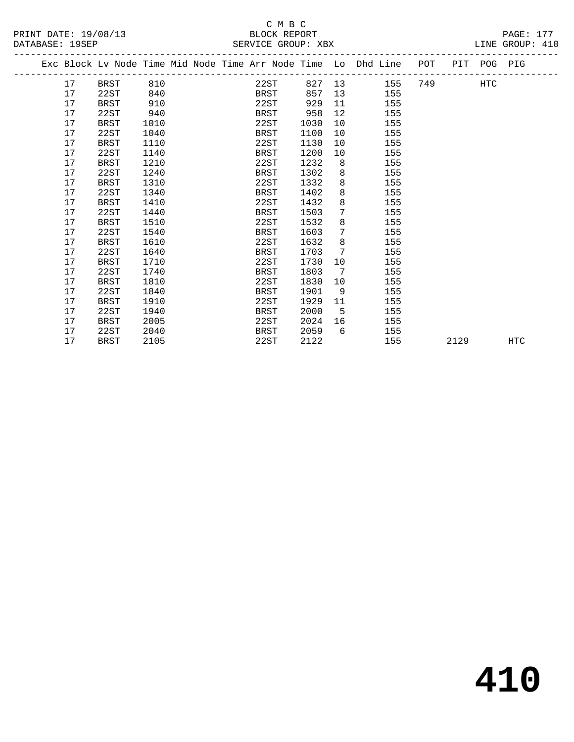#### C M B C<br>BLOCK REPORT PRINT DATE: 19/08/13 BLOCK REPORT PAGE: 177 SERVICE GROUP: XBX

|  |    | Exc Block Lv Node Time Mid Node Time Arr Node Time Lo Dhd Line POT |      |  |             |      |      |                 |    |     |     |      | PIT POG PIG |     |  |
|--|----|--------------------------------------------------------------------|------|--|-------------|------|------|-----------------|----|-----|-----|------|-------------|-----|--|
|  | 17 | <b>BRST</b>                                                        | 810  |  |             | 22ST | 827  |                 | 13 | 155 | 749 |      | HTC         |     |  |
|  | 17 | 22ST                                                               | 840  |  | BRST        |      | 857  | 13              |    | 155 |     |      |             |     |  |
|  | 17 | <b>BRST</b>                                                        | 910  |  | 22ST        |      | 929  | 11              |    | 155 |     |      |             |     |  |
|  | 17 | 22ST                                                               | 940  |  | BRST        |      | 958  | 12              |    | 155 |     |      |             |     |  |
|  | 17 | <b>BRST</b>                                                        | 1010 |  | 22ST        |      | 1030 | 10              |    | 155 |     |      |             |     |  |
|  | 17 | 22ST                                                               | 1040 |  | BRST        |      | 1100 | 10              |    | 155 |     |      |             |     |  |
|  | 17 | <b>BRST</b>                                                        | 1110 |  | 22ST        |      | 1130 | 10              |    | 155 |     |      |             |     |  |
|  | 17 | 22ST                                                               | 1140 |  | BRST        |      | 1200 | 10              |    | 155 |     |      |             |     |  |
|  | 17 | <b>BRST</b>                                                        | 1210 |  | 22ST        |      | 1232 | 8               |    | 155 |     |      |             |     |  |
|  | 17 | 22ST                                                               | 1240 |  | BRST        |      | 1302 | 8               |    | 155 |     |      |             |     |  |
|  | 17 | <b>BRST</b>                                                        | 1310 |  | 22ST        |      | 1332 | 8               |    | 155 |     |      |             |     |  |
|  | 17 | 22ST                                                               | 1340 |  | BRST        |      | 1402 | 8               |    | 155 |     |      |             |     |  |
|  | 17 | <b>BRST</b>                                                        | 1410 |  | 22ST        |      | 1432 | 8               |    | 155 |     |      |             |     |  |
|  | 17 | 22ST                                                               | 1440 |  | BRST        |      | 1503 | 7               |    | 155 |     |      |             |     |  |
|  | 17 | <b>BRST</b>                                                        | 1510 |  | 22ST        |      | 1532 | 8               |    | 155 |     |      |             |     |  |
|  | 17 | 22ST                                                               | 1540 |  | BRST        |      | 1603 | 7               |    | 155 |     |      |             |     |  |
|  | 17 | <b>BRST</b>                                                        | 1610 |  | 22ST        |      | 1632 | 8               |    | 155 |     |      |             |     |  |
|  | 17 | 22ST                                                               | 1640 |  | BRST        |      | 1703 | $7\phantom{.0}$ |    | 155 |     |      |             |     |  |
|  | 17 | BRST                                                               | 1710 |  | 22ST        |      | 1730 | 10              |    | 155 |     |      |             |     |  |
|  | 17 | 22ST                                                               | 1740 |  | BRST        |      | 1803 | 7               |    | 155 |     |      |             |     |  |
|  | 17 | <b>BRST</b>                                                        | 1810 |  | 22ST        |      | 1830 | 10              |    | 155 |     |      |             |     |  |
|  | 17 | 22ST                                                               | 1840 |  | BRST        |      | 1901 | 9               |    | 155 |     |      |             |     |  |
|  | 17 | BRST                                                               | 1910 |  | 22ST        |      | 1929 | 11              |    | 155 |     |      |             |     |  |
|  | 17 | 22ST                                                               | 1940 |  | <b>BRST</b> |      | 2000 | 5               |    | 155 |     |      |             |     |  |
|  | 17 | <b>BRST</b>                                                        | 2005 |  | 22ST        |      | 2024 | 16              |    | 155 |     |      |             |     |  |
|  | 17 | 22ST                                                               | 2040 |  | <b>BRST</b> |      | 2059 | 6               |    | 155 |     |      |             |     |  |
|  | 17 | <b>BRST</b>                                                        | 2105 |  | 22ST        |      | 2122 |                 |    | 155 |     | 2129 |             | HTC |  |
|  |    |                                                                    |      |  |             |      |      |                 |    |     |     |      |             |     |  |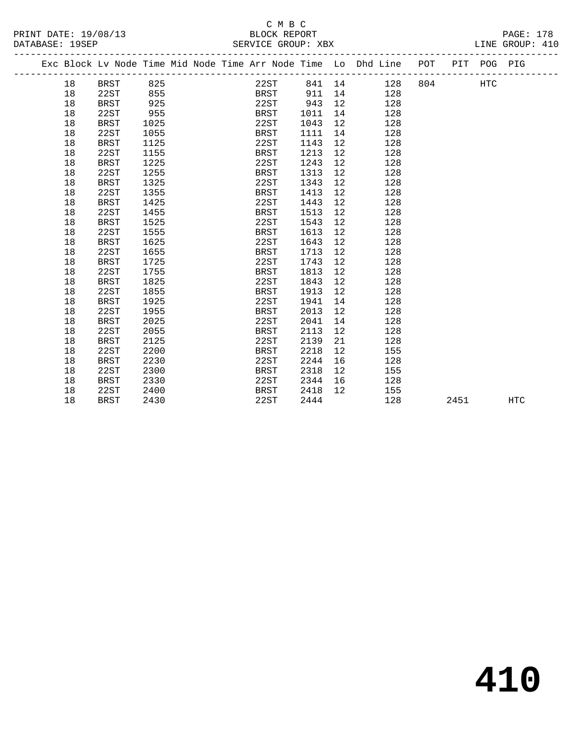# C M B C

#### PRINT DATE: 19/08/13 BLOCK REPORT PAGE: 178 DATABASE: 19SEP SERVICE GROUP: XBX ------------------------------------------------------------------------------------------------- Exc Block Lv Node Time Mid Node Time Arr Node Time Lo Dhd Line POT PIT POG PIG ------------------------------------------------------------------------------------------------- --------------<br>
18 BRST 825 22ST 841 14 128 804 HTC<br>
18 22ST 855 BRST 911 14 128<br>
18 BRST 925 22ST 943 12 128 18 22ST 855 BRST 911 14 128 18 BRST 925 22ST 943 12 128 18 22ST 955 BRST 1011 14 128 18 BRST 1025 22ST 1043 12 128 18 22ST 1055 BRST 1111 14 128 18 BRST 1125 22ST 1143 12 128 18 22ST 1155 BRST 1213 12 128 18 BRST 1225 22ST 1243 12 128 18 22ST 1255 BRST 1313 12 128 18 BRST 1325 22ST 1343 12 128 18 22ST 1355 BRST 1413 12 128 18 BRST 1425 22ST 1443 12 128 18 22ST 1455 BRST 1513 12 128 18 BRST 1525 22ST 1543 12 128 18 22ST 1555 BRST 1613 12 128 18 BRST 1625 22ST 1643 12 128 18 22ST 1655 BRST 1713 12 128 18 BRST 1725 22ST 1743 12 128 18 22ST 1755 BRST 1813 12 128 18 BRST 1825 22ST 1843 12 128 18 22ST 1855 BRST 1913 12 128 18 BRST 1925 22ST 1941 14 128 18 22ST 1955 BRST 2013 12 128 18 BRST 2025 22ST 2041 14 128 18 22ST 2055 BRST 2113 12 128 18 BRST 2125 22ST 2139 21 128 18 22ST 2200 BRST 2218 12 155 18 BRST 2230 22ST 2244 16 128 18 22ST 2300 BRST 2318 12 155 18 BRST 2330 22ST 2344 16 128 18 22ST 2400 BRST 2418 12 155

18 BRST 2430 22ST 2444 128 2451 HTC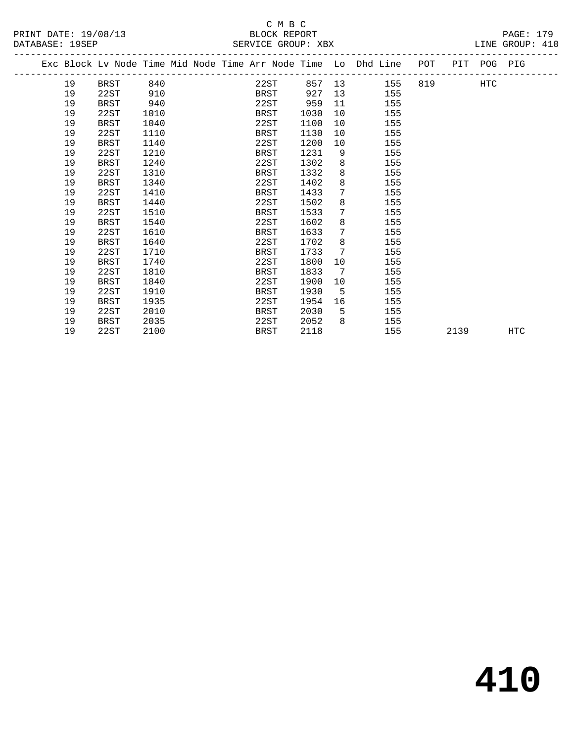#### C M B C<br>BLOCK REPORT PRINT DATE: 19/08/13 BLOCK REPORT PAGE: 179 SERVICE GROUP: XBX

|  |    | Exc Block Lv Node Time Mid Node Time Arr Node Time Lo Dhd Line |      |  |             |      |    |     | POT | PIT  | POG PIG |     |
|--|----|----------------------------------------------------------------|------|--|-------------|------|----|-----|-----|------|---------|-----|
|  | 19 | BRST                                                           | 840  |  | 22ST        | 857  | 13 | 155 | 819 |      | HTC     |     |
|  | 19 | 22ST                                                           | 910  |  | BRST        | 927  | 13 | 155 |     |      |         |     |
|  | 19 | <b>BRST</b>                                                    | 940  |  | 22ST        | 959  | 11 | 155 |     |      |         |     |
|  | 19 | 22ST                                                           | 1010 |  | BRST        | 1030 | 10 | 155 |     |      |         |     |
|  | 19 | <b>BRST</b>                                                    | 1040 |  | 22ST        | 1100 | 10 | 155 |     |      |         |     |
|  | 19 | 22ST                                                           | 1110 |  | BRST        | 1130 | 10 | 155 |     |      |         |     |
|  | 19 | <b>BRST</b>                                                    | 1140 |  | 22ST        | 1200 | 10 | 155 |     |      |         |     |
|  | 19 | 22ST                                                           | 1210 |  | <b>BRST</b> | 1231 | 9  | 155 |     |      |         |     |
|  | 19 | <b>BRST</b>                                                    | 1240 |  | 22ST        | 1302 | 8  | 155 |     |      |         |     |
|  | 19 | 22ST                                                           | 1310 |  | <b>BRST</b> | 1332 | 8  | 155 |     |      |         |     |
|  | 19 | <b>BRST</b>                                                    | 1340 |  | 22ST        | 1402 | 8  | 155 |     |      |         |     |
|  | 19 | 22ST                                                           | 1410 |  | BRST        | 1433 | 7  | 155 |     |      |         |     |
|  | 19 | <b>BRST</b>                                                    | 1440 |  | 22ST        | 1502 | 8  | 155 |     |      |         |     |
|  | 19 | 22ST                                                           | 1510 |  | <b>BRST</b> | 1533 | 7  | 155 |     |      |         |     |
|  | 19 | <b>BRST</b>                                                    | 1540 |  | 22ST        | 1602 | 8  | 155 |     |      |         |     |
|  | 19 | 22ST                                                           | 1610 |  | BRST        | 1633 | 7  | 155 |     |      |         |     |
|  | 19 | <b>BRST</b>                                                    | 1640 |  | 22ST        | 1702 | 8  | 155 |     |      |         |     |
|  | 19 | 22ST                                                           | 1710 |  | BRST        | 1733 | 7  | 155 |     |      |         |     |
|  | 19 | <b>BRST</b>                                                    | 1740 |  | 22ST        | 1800 | 10 | 155 |     |      |         |     |
|  | 19 | 22ST                                                           | 1810 |  | BRST        | 1833 | 7  | 155 |     |      |         |     |
|  | 19 | <b>BRST</b>                                                    | 1840 |  | 22ST        | 1900 | 10 | 155 |     |      |         |     |
|  | 19 | 22ST                                                           | 1910 |  | <b>BRST</b> | 1930 | 5  | 155 |     |      |         |     |
|  | 19 | <b>BRST</b>                                                    | 1935 |  | 22ST        | 1954 | 16 | 155 |     |      |         |     |
|  | 19 | 22ST                                                           | 2010 |  | BRST        | 2030 | 5  | 155 |     |      |         |     |
|  | 19 | BRST                                                           | 2035 |  | 22ST        | 2052 | 8  | 155 |     |      |         |     |
|  | 19 | 22ST                                                           | 2100 |  | BRST        | 2118 |    | 155 |     | 2139 |         | HTC |
|  |    |                                                                |      |  |             |      |    |     |     |      |         |     |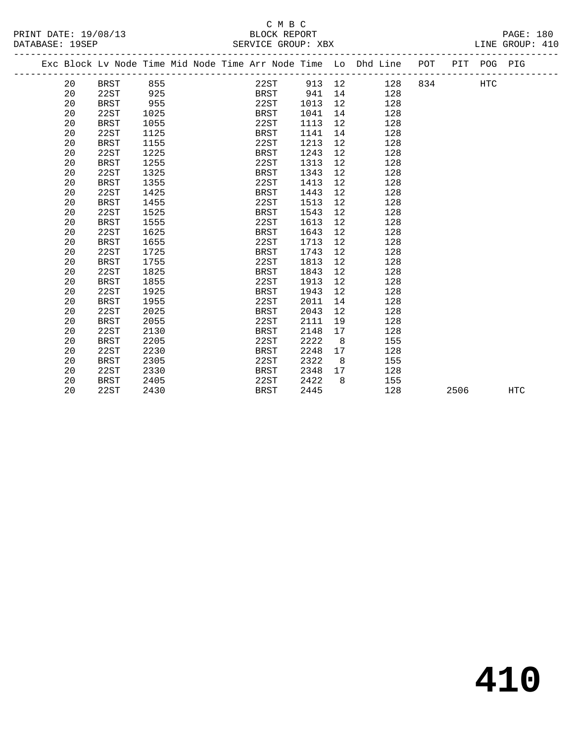| C M B C<br>PRINT DATE: 19/08/13<br>BLOCK REPORT<br>DATABASE: 19SEP<br>SERVICE GROUP: XBX |    |             |      |  |  |  |      |      |             |                 |                                                                                |         |     | PAGE: 180<br>LINE GROUP: 410 |  |
|------------------------------------------------------------------------------------------|----|-------------|------|--|--|--|------|------|-------------|-----------------|--------------------------------------------------------------------------------|---------|-----|------------------------------|--|
|                                                                                          |    |             |      |  |  |  |      |      |             |                 | Exc Block Lv Node Time Mid Node Time Arr Node Time Lo Dhd Line POT PIT POG PIG |         |     |                              |  |
|                                                                                          | 20 | BRST 855    |      |  |  |  |      |      | 22ST 913 12 |                 |                                                                                | 128 834 | HTC |                              |  |
|                                                                                          | 20 | 22ST        | 925  |  |  |  |      |      | BRST 941 14 |                 | 128                                                                            |         |     |                              |  |
|                                                                                          | 20 | <b>BRST</b> | 955  |  |  |  |      | 22ST | 1013        | 12              | 128                                                                            |         |     |                              |  |
|                                                                                          | 20 | 22ST        | 1025 |  |  |  | BRST |      | 1041        | 14              | 128                                                                            |         |     |                              |  |
|                                                                                          | 20 | BRST        | 1055 |  |  |  | 22ST |      | 1113        | 12              | 128                                                                            |         |     |                              |  |
|                                                                                          | 20 | 22ST        | 1125 |  |  |  | BRST |      | 1141        |                 | 128<br>14                                                                      |         |     |                              |  |
|                                                                                          | 20 | BRST        | 1155 |  |  |  | 22ST |      | 1213        | 12              | 128                                                                            |         |     |                              |  |
|                                                                                          | 20 | 22ST        | 1225 |  |  |  | BRST |      | 1243        | 12              | 128                                                                            |         |     |                              |  |
|                                                                                          | 20 | <b>BRST</b> | 1255 |  |  |  | 22ST |      | 1313        | 12              | 128                                                                            |         |     |                              |  |
|                                                                                          | 20 | 22ST        | 1325 |  |  |  | BRST |      | 1343        | 12              | 128                                                                            |         |     |                              |  |
|                                                                                          | 20 | <b>BRST</b> | 1355 |  |  |  | 22ST |      | 1413        | 12              | 128                                                                            |         |     |                              |  |
|                                                                                          | 20 | 22ST        | 1425 |  |  |  | BRST |      | 1443        | 12              | 128                                                                            |         |     |                              |  |
|                                                                                          | 20 | BRST        | 1455 |  |  |  | 22ST |      | 1513        | 12              | 128                                                                            |         |     |                              |  |
|                                                                                          | 20 | 22ST        | 1525 |  |  |  | BRST |      | 1543        | 12              | 128                                                                            |         |     |                              |  |
|                                                                                          | 20 | BRST        | 1555 |  |  |  | 22ST |      | 1613        | 12 <sup>°</sup> | 128                                                                            |         |     |                              |  |
|                                                                                          | 20 | 22ST        | 1625 |  |  |  | BRST |      | 1643        | 12              | 128                                                                            |         |     |                              |  |
|                                                                                          | 20 | BRST        | 1655 |  |  |  | 22ST |      | 1713        | 12              | 128                                                                            |         |     |                              |  |
|                                                                                          | 20 | 22ST        | 1725 |  |  |  | BRST |      | 1743        | 12              | 128                                                                            |         |     |                              |  |
|                                                                                          | 20 | BRST        | 1755 |  |  |  | 22ST |      | 1813        | 12              | 128                                                                            |         |     |                              |  |
|                                                                                          | 20 | 22ST        | 1825 |  |  |  | BRST |      | 1843        | 12 <sup>°</sup> | 128                                                                            |         |     |                              |  |
|                                                                                          | 20 | <b>BRST</b> | 1855 |  |  |  | 22ST |      | 1913        | 12              | 128                                                                            |         |     |                              |  |
|                                                                                          | 20 | 22ST        | 1925 |  |  |  | BRST |      | 1943        | 12              | 128                                                                            |         |     |                              |  |
|                                                                                          | 20 | BRST        | 1955 |  |  |  | 22ST |      | 2011        | 14              | 128                                                                            |         |     |                              |  |
|                                                                                          | 20 | 22ST        | 2025 |  |  |  | BRST |      | 2043        | 12              | 128                                                                            |         |     |                              |  |
|                                                                                          | 20 | <b>BRST</b> | 2055 |  |  |  | 22ST |      | 2111        | 19              | 128                                                                            |         |     |                              |  |
|                                                                                          | 20 | 22ST        | 2130 |  |  |  | BRST |      | 2148        | 17              | 128                                                                            |         |     |                              |  |
|                                                                                          | 20 | BRST        | 2205 |  |  |  | 22ST |      | 2222        | 8 <sup>1</sup>  | 155                                                                            |         |     |                              |  |
|                                                                                          | 20 | 22ST        | 2230 |  |  |  | BRST |      | 2248        | 17              | 128                                                                            |         |     |                              |  |
|                                                                                          | 20 | BRST        | 2305 |  |  |  | 22ST |      | 2322        | $\overline{8}$  | 155                                                                            |         |     |                              |  |

 20 22ST 2330 BRST 2348 17 128 20 BRST 2405 22ST 2422 8 155

20 22ST 2430 BRST 2445 128 2506 HTC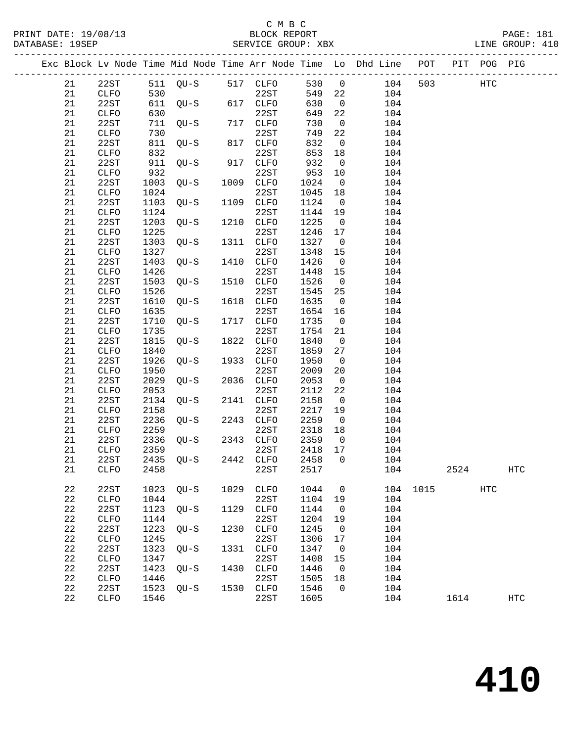#### C M B C<br>BLOCK REPORT SERVICE GROUP: XBX

-------------------------------------------------------------------------------------------------

|  |             |                      |              |        |      |              |              |                   | Exc Block Lv Node Time Mid Node Time Arr Node Time Lo Dhd Line | POT  | PIT  | POG PIG |                   |
|--|-------------|----------------------|--------------|--------|------|--------------|--------------|-------------------|----------------------------------------------------------------|------|------|---------|-------------------|
|  | 21          | 22ST                 | 511          | $QU-S$ |      | 517 CLFO     | 530          | $\mathsf{O}$      | 104                                                            | 503  |      | HTC     |                   |
|  | 21          | CLFO                 | 530          |        |      | 22ST         | 549          | 22                | 104                                                            |      |      |         |                   |
|  | 21          | 22ST                 | 611          | $QU-S$ | 617  | CLFO         | 630          | $\mathsf{O}$      | 104                                                            |      |      |         |                   |
|  | 21          | CLFO                 | 630          |        |      | 22ST         | 649          | 22                | 104                                                            |      |      |         |                   |
|  | 21          | 22ST                 | 711          | $QU-S$ | 717  | CLFO         | 730          | 0                 | 104                                                            |      |      |         |                   |
|  | 21          | ${\tt CLFO}$         | 730          |        |      | 22ST         | 749          | 22                | 104                                                            |      |      |         |                   |
|  | 21          | 22ST                 | 811          | $QU-S$ | 817  | ${\tt CLFO}$ | 832          | 0                 | 104                                                            |      |      |         |                   |
|  | 21          | CLFO                 | 832          |        |      | 22ST         | 853          | 18                | 104                                                            |      |      |         |                   |
|  | 21          | 22ST                 | 911          | $OU-S$ | 917  | CLFO         | 932          | 0                 | 104                                                            |      |      |         |                   |
|  | 21          | CLFO                 | 932          |        |      | 22ST         | 953          | 10                | 104                                                            |      |      |         |                   |
|  | 21          | 22ST                 | 1003         | $OU-S$ | 1009 | CLFO         | 1024         | $\mathsf{O}$      | 104                                                            |      |      |         |                   |
|  | 21          | CLFO                 | 1024         |        |      | 22ST         | 1045         | 18                | 104                                                            |      |      |         |                   |
|  | 21          | 22ST                 | 1103         | $QU-S$ | 1109 | CLFO         | 1124         | 0                 | 104                                                            |      |      |         |                   |
|  | 21          | ${\tt CLFO}$         | 1124         |        |      | 22ST         | 1144         | 19                | 104                                                            |      |      |         |                   |
|  | 21          | 22ST                 | 1203         | $QU-S$ | 1210 | CLFO         | 1225         | $\mathbf 0$       | 104                                                            |      |      |         |                   |
|  | 21          | CLFO                 | 1225         |        |      | 22ST         | 1246         | 17                | 104                                                            |      |      |         |                   |
|  | 21          | 22ST                 | 1303         | $QU-S$ | 1311 | CLFO         | 1327         | 0                 | 104                                                            |      |      |         |                   |
|  | 21          | CLFO                 | 1327         |        |      | 22ST         | 1348         | 15                | 104                                                            |      |      |         |                   |
|  | 21          | 22ST                 | 1403         | $OU-S$ | 1410 | CLFO         | 1426         | $\mathbf 0$       | 104                                                            |      |      |         |                   |
|  | 21          | ${\tt CLFO}$         | 1426         |        |      | 22ST         | 1448         | 15                | 104                                                            |      |      |         |                   |
|  | 21          | 22ST                 | 1503         | $QU-S$ | 1510 | CLFO         | 1526         | $\mathsf{O}$      | 104                                                            |      |      |         |                   |
|  | 21          | ${\tt CLFO}$         | 1526         |        |      | 22ST         | 1545         | 25                | 104                                                            |      |      |         |                   |
|  | 21          | 22ST                 | 1610         | $QU-S$ | 1618 | ${\tt CLFO}$ | 1635         | $\mathbf 0$       | 104                                                            |      |      |         |                   |
|  | 21          | ${\tt CLFO}$         | 1635         |        |      | 22ST         | 1654         | 16                | 104                                                            |      |      |         |                   |
|  | 21          | 22ST                 | 1710         | $OU-S$ | 1717 | CLFO         | 1735         | 0                 | 104                                                            |      |      |         |                   |
|  | 21          | ${\tt CLFO}$         | 1735         |        |      | 22ST         | 1754         | 21                | 104                                                            |      |      |         |                   |
|  | 21          | 22ST                 | 1815         | $QU-S$ | 1822 | CLFO         | 1840         | $\mathsf{O}$      | 104                                                            |      |      |         |                   |
|  | 21          | CLFO                 | 1840         |        |      | 22ST         | 1859         | 27                | 104                                                            |      |      |         |                   |
|  | 21          | 22ST                 | 1926         | $QU-S$ | 1933 | CLFO         | 1950         | $\mathbf 0$       | 104                                                            |      |      |         |                   |
|  | 21          | CLFO                 | 1950         |        |      | 22ST         | 2009         | 20                | 104                                                            |      |      |         |                   |
|  | 21<br>21    | 22ST                 | 2029<br>2053 | $QU-S$ | 2036 | CLFO<br>22ST | 2053<br>2112 | $\mathbf 0$<br>22 | 104<br>104                                                     |      |      |         |                   |
|  | 21          | ${\tt CLFO}$<br>22ST | 2134         | $QU-S$ | 2141 | CLFO         | 2158         | 0                 | 104                                                            |      |      |         |                   |
|  | 21          | CLFO                 | 2158         |        |      | 22ST         | 2217         | 19                | 104                                                            |      |      |         |                   |
|  | 21          | 22ST                 | 2236         | $QU-S$ | 2243 | CLFO         | 2259         | $\mathsf{O}$      | 104                                                            |      |      |         |                   |
|  | 21          | CLFO                 | 2259         |        |      | 22ST         | 2318         | 18                | 104                                                            |      |      |         |                   |
|  | 21          | 22ST                 | 2336         | $OU-S$ | 2343 | <b>CLFO</b>  | 2359         | 0                 | 104                                                            |      |      |         |                   |
|  | 21          | CLFO                 | 2359         |        |      | 22ST         | 2418         | 17                | 104                                                            |      |      |         |                   |
|  | 21          | 22ST                 | 2435         | $OU-S$ | 2442 | ${\tt CLFO}$ | 2458         | 0                 | 104                                                            |      |      |         |                   |
|  | 21          | ${\tt CLFO}$         | 2458         |        |      | 22ST         | 2517         |                   | 104                                                            |      | 2524 |         | $_{\mathrm{HTC}}$ |
|  |             |                      |              |        |      |              |              |                   |                                                                |      |      |         |                   |
|  | 22          | 22ST                 | 1023         | $QU-S$ | 1029 | CLFO         | 1044         | 0                 | 104                                                            | 1015 |      | HTC     |                   |
|  | 22          | ${\tt CLFO}$         | 1044         |        |      | 22ST         | 1104         | 19                | 104                                                            |      |      |         |                   |
|  | 22          | 22ST                 | 1123         | $QU-S$ | 1129 | ${\tt CLFO}$ | 1144         | 0                 | 104                                                            |      |      |         |                   |
|  | 22          | CLFO                 | 1144         |        |      | 22ST         | 1204         | 19                | 104                                                            |      |      |         |                   |
|  | 22          | 22ST                 | 1223         | $QU-S$ | 1230 | CLFO         | 1245         | 0                 | 104                                                            |      |      |         |                   |
|  | 22          | CLFO                 | 1245         |        |      | 22ST         | 1306         | 17                | 104                                                            |      |      |         |                   |
|  | 22          | 22ST                 | 1323         | $QU-S$ | 1331 | CLFO         | 1347         | 0                 | 104                                                            |      |      |         |                   |
|  | 22          | CLFO                 | 1347         |        |      | 22ST         | 1408         | 15                | 104                                                            |      |      |         |                   |
|  | 22          | 22ST                 | 1423         | $QU-S$ | 1430 | CLFO         | 1446         | 0                 | 104                                                            |      |      |         |                   |
|  | $2\sqrt{2}$ | CLFO                 | 1446         |        |      | 22ST         | 1505         | 18                | 104                                                            |      |      |         |                   |
|  | 22          | 22ST                 | 1523         | $QU-S$ | 1530 | CLFO         | 1546         | 0                 | 104                                                            |      |      |         |                   |
|  | $2\sqrt{2}$ | CLFO                 | 1546         |        |      | 22ST         | 1605         |                   | 104                                                            |      | 1614 |         | $_{\mathrm{HTC}}$ |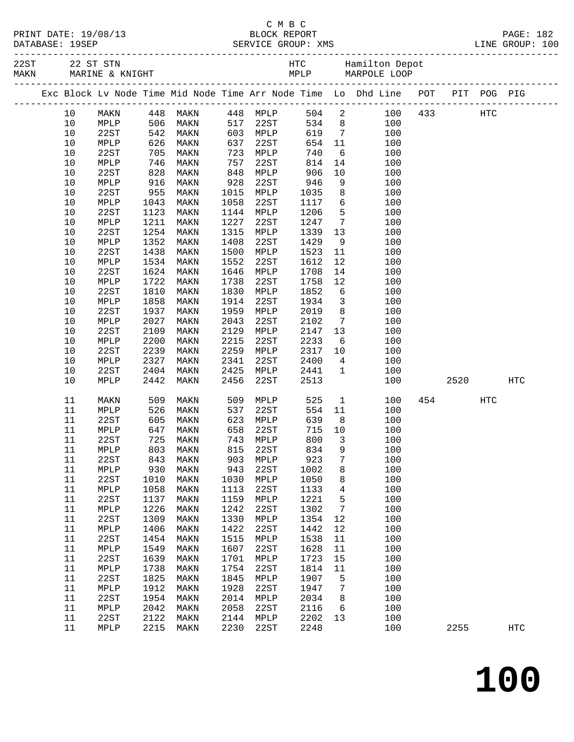|  | PRINT DATE: 19/08/13        |
|--|-----------------------------|
|  | $\sim$ $\sim$ $\sim$ $\sim$ |

|  |          |              |                   |                                  |              |                                                   |              |                         | Exc Block Lv Node Time Mid Node Time Arr Node Time Lo Dhd Line POT PIT POG PIG |             |            |            |
|--|----------|--------------|-------------------|----------------------------------|--------------|---------------------------------------------------|--------------|-------------------------|--------------------------------------------------------------------------------|-------------|------------|------------|
|  | 10       |              |                   | MAKN 448 MAKN 448 MPLP           |              |                                                   |              |                         | 504 2                                                                          | 100 433 HTC |            |            |
|  | 10       | MPLP         |                   |                                  |              | $^{440}$ $^{111}$ $^{22ST}$<br>$^{602}$ $^{MDLP}$ |              |                         | $534$ 8<br>619 7<br>100                                                        |             |            |            |
|  | $10$     | 22ST         |                   | 506 MAKN<br>542 MAKN<br>626 MAKN |              |                                                   |              |                         | 100                                                                            |             |            |            |
|  | $10$     | MPLP         |                   |                                  | 637          | 22ST                                              | 654          | 11                      | 100                                                                            |             |            |            |
|  | 10       | 22ST         | 705               | MAKN                             | 723          | MPLP                                              | 740          | $6\overline{6}$         | 100                                                                            |             |            |            |
|  | 10       | MPLP         | 746<br>828<br>916 | MAKN                             | 757          | 22ST                                              | 814          | 14                      | 100                                                                            |             |            |            |
|  | $10$     | 22ST         |                   | MAKN                             | 848          | MPLP                                              | 906          | 10                      | 100                                                                            |             |            |            |
|  | 10       | MPLP         | 955               | MAKN                             | 928          | 22ST                                              | 946          | 9<br>8                  | 100                                                                            |             |            |            |
|  | 10<br>10 | 22ST<br>MPLP | 1043              | MAKN<br>MAKN                     | 1015<br>1058 | MPLP<br>22ST                                      | 1035<br>1117 | $6\overline{6}$         | 100<br>100                                                                     |             |            |            |
|  | $10$     | 22ST         | 1123              | MAKN                             | 1144         | MPLP                                              | 1206         | $5^{\circ}$             | 100                                                                            |             |            |            |
|  | 10       | MPLP         | 1211              | MAKN                             | 1227         | 22ST                                              | 1247         | $7\overline{ }$         | 100                                                                            |             |            |            |
|  | 10       | 22ST         | 1254              | MAKN                             | 1315         | MPLP                                              | 1339         | 13                      | 100                                                                            |             |            |            |
|  | 10       | MPLP         | 1352              | MAKN                             | 1408         | 22ST                                              | 1429         | 9                       | 100                                                                            |             |            |            |
|  | $10$     | 22ST         | 1438              | MAKN                             | 1500         | MPLP                                              | 1523         | 11                      | 100                                                                            |             |            |            |
|  | 10       | MPLP         | 1534              | MAKN                             | 1552         | 22ST                                              | 1612         | 12                      | 100                                                                            |             |            |            |
|  | 10       | 22ST         | 1624              | MAKN                             | 1646         | MPLP                                              | 1708         | 14                      | 100                                                                            |             |            |            |
|  | 10       | MPLP         | 1722              | MAKN                             | 1738         | 22ST                                              | 1758         | 12                      | 100                                                                            |             |            |            |
|  | $10$     | 22ST         | 1810              | MAKN                             | 1830         | MPLP                                              | 1852         | 6                       | 100                                                                            |             |            |            |
|  | 10       | MPLP         | 1858              | MAKN                             | 1914         | 22ST                                              | 1934         | $\overline{\mathbf{3}}$ | 100                                                                            |             |            |            |
|  | $10$     | 22ST         | 1937              | MAKN                             | 1959         | MPLP                                              | 2019         | 8                       | 100                                                                            |             |            |            |
|  | 10       | MPLP         | 2027              | MAKN                             | 2043         | 22ST                                              | 2102         | $7\overline{ }$         | 100                                                                            |             |            |            |
|  | $10$     | 22ST         | 2109              | MAKN                             | 2129         | MPLP                                              | 2147         | 13                      | 100                                                                            |             |            |            |
|  | $10$     | MPLP         | 2200              | MAKN                             | 2215         | 22ST                                              | 2233         | 6                       | 100                                                                            |             |            |            |
|  | 10       | 22ST         | 2239              | MAKN                             | 2259         | MPLP                                              | 2317         | 10                      | 100                                                                            |             |            |            |
|  | 10       | MPLP         | 2327              | MAKN                             | 2341         | 22ST                                              | 2400         | $\overline{4}$          | 100                                                                            |             |            |            |
|  | 10       | 22ST         | 2404              | MAKN                             | 2425         | MPLP                                              | 2441         | $\mathbf{1}$            | 100                                                                            |             |            |            |
|  | 10       | MPLP         | 2442              | MAKN                             | 2456         | 22ST                                              | 2513         |                         | 100                                                                            | 2520        |            | <b>HTC</b> |
|  | 11       | MAKN         | 509               | MAKN                             | 509          | MPLP                                              | 525          | $\mathbf{1}$            | 100                                                                            | 454         | <b>HTC</b> |            |
|  | 11       | MPLP         | 526               | MAKN                             | 537          | 22ST                                              | 554          | 11                      | 100                                                                            |             |            |            |
|  | 11       | 22ST         | 605               | MAKN                             | 623          | MPLP                                              | 639          | 8 <sup>8</sup>          | 100                                                                            |             |            |            |
|  | 11       | MPLP         | 647               | MAKN                             | 658          | 22ST                                              | 715          | 10                      | 100                                                                            |             |            |            |
|  | 11       | 22ST         | 725               | MAKN                             | 743          | MPLP                                              | 800          | $\overline{\mathbf{3}}$ | 100                                                                            |             |            |            |
|  | 11       | MPLP         | 803<br>843        | MAKN                             | 815<br>903   | 22ST                                              | 834          | 9                       | 100                                                                            |             |            |            |
|  | 11       | 22ST         |                   | MAKN                             |              | 903 MPLP                                          | 923          | $7\overline{ }$         | 100                                                                            |             |            |            |
|  |          |              |                   | 11 MPLP 930 MAKN 943 22ST 1002 8 |              |                                                   |              |                         | 100                                                                            |             |            |            |
|  | 11       | 22ST         | 1010              | MAKN                             | 1030         | MPLP                                              | 1050         | 8                       | 100                                                                            |             |            |            |
|  | 11       | MPLP         | 1058              | MAKN                             | 1113         | 22ST                                              | 1133         | 4                       | 100                                                                            |             |            |            |
|  | 11       | 22ST         | 1137              | MAKN                             | 1159         | MPLP                                              | 1221         | 5                       | 100                                                                            |             |            |            |
|  | 11<br>11 | MPLP         | 1226<br>1309      | MAKN                             | 1242<br>1330 | 22ST                                              | 1302<br>1354 | $7\phantom{.0}$         | 100<br>100                                                                     |             |            |            |
|  | 11       | 22ST         | 1406              | MAKN                             | 1422         | MPLP                                              | 1442         | 12                      |                                                                                |             |            |            |
|  | 11       | MPLP<br>22ST | 1454              | MAKN<br>MAKN                     | 1515         | 22ST<br>MPLP                                      | 1538         | 12<br>11                | 100<br>100                                                                     |             |            |            |
|  | 11       | MPLP         | 1549              | MAKN                             | 1607         | 22ST                                              | 1628         | 11                      | 100                                                                            |             |            |            |
|  | 11       | 22ST         | 1639              | MAKN                             | 1701         | MPLP                                              | 1723         | 15                      | 100                                                                            |             |            |            |
|  | 11       | MPLP         | 1738              | MAKN                             | 1754         | 22ST                                              | 1814         | 11                      | 100                                                                            |             |            |            |
|  | 11       | 22ST         | 1825              | MAKN                             | 1845         | MPLP                                              | 1907         | 5                       | 100                                                                            |             |            |            |
|  | 11       | MPLP         | 1912              | MAKN                             | 1928         | 22ST                                              | 1947         | $7\phantom{.0}$         | 100                                                                            |             |            |            |
|  | 11       | 22ST         | 1954              | MAKN                             | 2014         | MPLP                                              | 2034         | 8                       | 100                                                                            |             |            |            |
|  | 11       | MPLP         | 2042              | MAKN                             | 2058         | 22ST                                              | 2116         | 6                       | 100                                                                            |             |            |            |
|  | 11       | 22ST         | 2122              | MAKN                             | 2144         | MPLP                                              | 2202         | 13                      | 100                                                                            |             |            |            |
|  | 11       | MPLP         | 2215              | MAKN                             | 2230         | 22ST                                              | 2248         |                         | 100                                                                            | 2255        |            | <b>HTC</b> |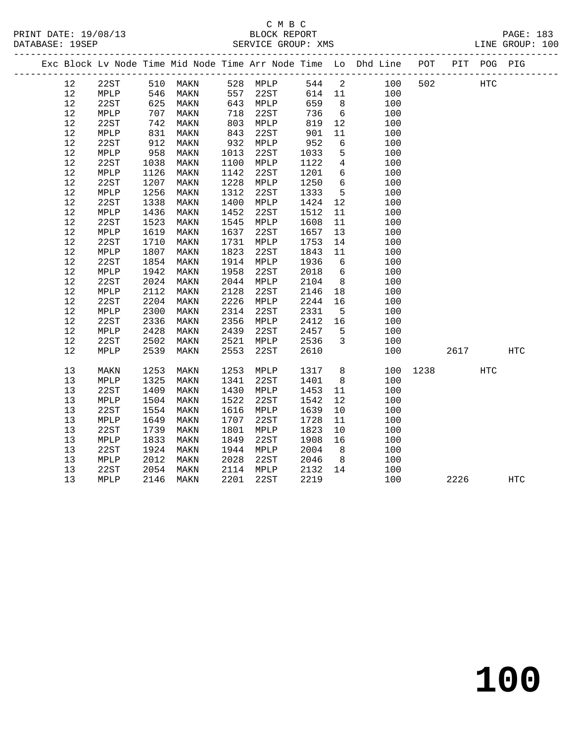|  |        |      |      |          |      |          |        |                 | Exc Block Lv Node Time Mid Node Time Arr Node Time Lo Dhd Line POT |          |      | PIT POG PIG | ---------- |
|--|--------|------|------|----------|------|----------|--------|-----------------|--------------------------------------------------------------------|----------|------|-------------|------------|
|  | 12     | 22ST |      | 510 MAKN |      | 528 MPLP | 544 2  |                 | 100                                                                | 502      |      | <b>HTC</b>  |            |
|  | 12     | MPLP | 546  | MAKN     |      | 557 22ST | 614 11 |                 | 100                                                                |          |      |             |            |
|  | 12     | 22ST | 625  | MAKN     |      | 643 MPLP | 659    | 8 <sup>8</sup>  | 100                                                                |          |      |             |            |
|  | $12$   | MPLP | 707  | MAKN     | 718  | 22ST     | 736    | $6\overline{6}$ | 100                                                                |          |      |             |            |
|  | $12$   | 22ST | 742  | MAKN     | 803  | MPLP     | 819    | 12              | 100                                                                |          |      |             |            |
|  | $12$   | MPLP | 831  | MAKN     | 843  | 22ST     | 901    | 11              | 100                                                                |          |      |             |            |
|  | $12\,$ | 22ST | 912  | MAKN     |      | 932 MPLP | 952    | $6\overline{6}$ | 100                                                                |          |      |             |            |
|  | 12     | MPLP | 958  | MAKN     | 1013 | 22ST     | 1033   | 5               | 100                                                                |          |      |             |            |
|  | $12$   | 22ST | 1038 | MAKN     | 1100 | MPLP     | 1122   | $\overline{4}$  | 100                                                                |          |      |             |            |
|  | 12     | MPLP | 1126 | MAKN     | 1142 | 22ST     | 1201   | $6\overline{6}$ | 100                                                                |          |      |             |            |
|  | 12     | 22ST | 1207 | MAKN     | 1228 | MPLP     | 1250   | $6\overline{6}$ | 100                                                                |          |      |             |            |
|  | 12     | MPLP | 1256 | MAKN     | 1312 | 22ST     | 1333   | $5^{\circ}$     | 100                                                                |          |      |             |            |
|  | $12$   | 22ST | 1338 | MAKN     | 1400 | MPLP     | 1424   | 12              | 100                                                                |          |      |             |            |
|  | 12     | MPLP | 1436 | MAKN     | 1452 | 22ST     | 1512   | 11              | 100                                                                |          |      |             |            |
|  | $12$   | 22ST | 1523 | MAKN     | 1545 | MPLP     | 1608   | 11              | 100                                                                |          |      |             |            |
|  | 12     | MPLP | 1619 | MAKN     | 1637 | 22ST     | 1657   | 13              | 100                                                                |          |      |             |            |
|  | 12     | 22ST | 1710 | MAKN     | 1731 | MPLP     | 1753   | 14              | 100                                                                |          |      |             |            |
|  | $12$   | MPLP | 1807 | MAKN     | 1823 | 22ST     | 1843   | 11              | 100                                                                |          |      |             |            |
|  | $12$   | 22ST | 1854 | MAKN     | 1914 | MPLP     | 1936   | $6\overline{6}$ | 100                                                                |          |      |             |            |
|  | $12$   | MPLP | 1942 | MAKN     | 1958 | 22ST     | 2018   | $6\overline{6}$ | 100                                                                |          |      |             |            |
|  | 12     | 22ST | 2024 | MAKN     | 2044 | MPLP     | 2104   | 8 <sup>8</sup>  | 100                                                                |          |      |             |            |
|  | $12$   | MPLP | 2112 | MAKN     | 2128 | 22ST     | 2146   | 18              | 100                                                                |          |      |             |            |
|  | $12$   | 22ST | 2204 | MAKN     | 2226 | MPLP     | 2244   | 16              | 100                                                                |          |      |             |            |
|  | 12     | MPLP | 2300 | MAKN     | 2314 | 22ST     | 2331   | $5^{\circ}$     | 100                                                                |          |      |             |            |
|  | 12     | 22ST | 2336 | MAKN     | 2356 | MPLP     | 2412   | 16              | 100                                                                |          |      |             |            |
|  | 12     | MPLP | 2428 | MAKN     | 2439 | 22ST     | 2457   | 5               | 100                                                                |          |      |             |            |
|  | 12     | 22ST | 2502 | MAKN     | 2521 | MPLP     | 2536   | $\overline{3}$  | 100                                                                |          |      |             |            |
|  | 12     | MPLP | 2539 | MAKN     | 2553 | 22ST     | 2610   |                 | 100                                                                |          | 2617 |             | HTC        |
|  | 13     | MAKN | 1253 | MAKN     | 1253 | MPLP     | 1317   | 8 <sup>8</sup>  |                                                                    | 100 1238 |      | HTC         |            |
|  | 13     | MPLP | 1325 | MAKN     | 1341 | 22ST     | 1401   | 8 <sup>8</sup>  | 100                                                                |          |      |             |            |
|  | 13     | 22ST | 1409 | MAKN     | 1430 | MPLP     | 1453   | 11              | 100                                                                |          |      |             |            |
|  | 13     | MPLP | 1504 | MAKN     | 1522 | 22ST     | 1542   | 12              | 100                                                                |          |      |             |            |
|  | 13     | 22ST | 1554 | MAKN     | 1616 | MPLP     | 1639   | 10              | 100                                                                |          |      |             |            |
|  | 13     | MPLP | 1649 | MAKN     | 1707 | 22ST     | 1728   | 11              | 100                                                                |          |      |             |            |
|  | $13$   | 22ST | 1739 | MAKN     | 1801 | MPLP     | 1823   | 10              | 100                                                                |          |      |             |            |
|  | 13     | MPLP | 1833 | MAKN     | 1849 | 22ST     | 1908   | 16              | 100                                                                |          |      |             |            |
|  | 13     | 22ST | 1924 | MAKN     | 1944 | MPLP     | 2004   | 8 <sup>8</sup>  | 100                                                                |          |      |             |            |
|  | 13     | MPLP | 2012 | MAKN     | 2028 | 22ST     | 2046   | 8 <sup>8</sup>  | 100                                                                |          |      |             |            |
|  | 13     | 22ST | 2054 | MAKN     | 2114 | MPLP     | 2132   | 14              | 100                                                                |          |      |             |            |
|  | 13     | MPLP | 2146 | MAKN     | 2201 | 22ST     | 2219   |                 | 100                                                                |          | 2226 |             | <b>HTC</b> |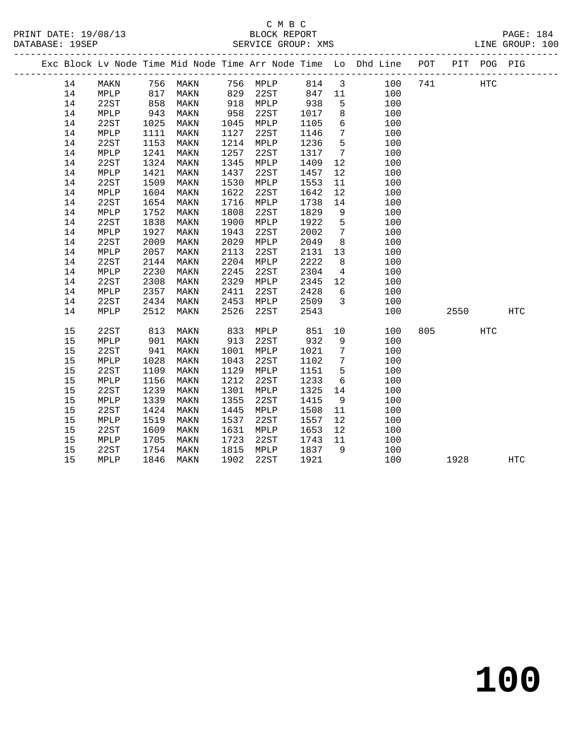### C M B C<br>BLOCK REPORT SERVICE GROUP: XMS

|  |    |      |      |          |      |          |      |                         | Exc Block Lv Node Time Mid Node Time Arr Node Time Lo Dhd Line POT PIT POG PIG                                   |         |     |            |
|--|----|------|------|----------|------|----------|------|-------------------------|------------------------------------------------------------------------------------------------------------------|---------|-----|------------|
|  | 14 | MAKN |      |          |      |          |      |                         | 756 MAKN      756  MPLP       814    3          100<br>817   MAKN       829   22ST       847   11            100 | 741 HTC |     |            |
|  | 14 | MPLP |      |          |      |          |      |                         |                                                                                                                  |         |     |            |
|  | 14 | 22ST |      | 858 MAKN |      | 918 MPLP | 938  | $5^{\circ}$             | 100                                                                                                              |         |     |            |
|  | 14 | MPLP | 943  | MAKN     | 958  | 22ST     | 1017 | 8 <sup>8</sup>          | 100                                                                                                              |         |     |            |
|  | 14 | 22ST | 1025 | MAKN     | 1045 | MPLP     | 1105 | 6                       | 100                                                                                                              |         |     |            |
|  | 14 | MPLP | 1111 | MAKN     | 1127 | 22ST     | 1146 | $7\overline{ }$         | 100                                                                                                              |         |     |            |
|  | 14 | 22ST | 1153 | MAKN     | 1214 | MPLP     | 1236 | 5                       | 100                                                                                                              |         |     |            |
|  | 14 | MPLP | 1241 | MAKN     | 1257 | 22ST     | 1317 | $7\overline{ }$         | 100                                                                                                              |         |     |            |
|  | 14 | 22ST | 1324 | MAKN     | 1345 | MPLP     | 1409 | 12                      | 100                                                                                                              |         |     |            |
|  | 14 | MPLP | 1421 | MAKN     | 1437 | 22ST     | 1457 | 12                      | 100                                                                                                              |         |     |            |
|  | 14 | 22ST | 1509 | MAKN     | 1530 | MPLP     | 1553 | 11                      | 100                                                                                                              |         |     |            |
|  | 14 | MPLP | 1604 | MAKN     | 1622 | 22ST     | 1642 | 12                      | 100                                                                                                              |         |     |            |
|  | 14 | 22ST | 1654 | MAKN     | 1716 | MPLP     | 1738 | 14                      | 100                                                                                                              |         |     |            |
|  | 14 | MPLP | 1752 | MAKN     | 1808 | 22ST     | 1829 | 9                       | 100                                                                                                              |         |     |            |
|  | 14 | 22ST | 1838 | MAKN     | 1900 | MPLP     | 1922 | $5\overline{)}$         | 100                                                                                                              |         |     |            |
|  | 14 | MPLP | 1927 | MAKN     | 1943 | 22ST     | 2002 | $7\overline{ }$         | 100                                                                                                              |         |     |            |
|  | 14 | 22ST | 2009 | MAKN     | 2029 | MPLP     | 2049 | 8                       | 100                                                                                                              |         |     |            |
|  | 14 | MPLP | 2057 | MAKN     | 2113 | 22ST     | 2131 | 13                      | 100                                                                                                              |         |     |            |
|  | 14 | 22ST | 2144 | MAKN     | 2204 | MPLP     | 2222 | 8                       | 100                                                                                                              |         |     |            |
|  | 14 | MPLP | 2230 | MAKN     | 2245 | 22ST     | 2304 | $\overline{4}$          | 100                                                                                                              |         |     |            |
|  | 14 | 22ST | 2308 | MAKN     | 2329 | MPLP     | 2345 | 12                      | 100                                                                                                              |         |     |            |
|  | 14 | MPLP | 2357 | MAKN     | 2411 | 22ST     | 2428 | 6                       | 100                                                                                                              |         |     |            |
|  | 14 | 22ST | 2434 | MAKN     | 2453 | MPLP     | 2509 | $\overline{\mathbf{3}}$ | 100                                                                                                              |         |     |            |
|  | 14 | MPLP | 2512 | MAKN     | 2526 | 22ST     | 2543 |                         | 100                                                                                                              | 2550    |     | <b>HTC</b> |
|  | 15 | 22ST | 813  | MAKN     | 833  | MPLP     | 851  | 10                      | 100                                                                                                              | 805 7   | HTC |            |
|  | 15 | MPLP | 901  | MAKN     |      | 913 22ST | 932  | 9                       | 100                                                                                                              |         |     |            |
|  | 15 | 22ST | 941  | MAKN     | 1001 | MPLP     | 1021 | $\overline{7}$          | 100                                                                                                              |         |     |            |
|  | 15 | MPLP | 1028 | MAKN     | 1043 | 22ST     | 1102 | $7\overline{ }$         | 100                                                                                                              |         |     |            |
|  | 15 | 22ST | 1109 | MAKN     | 1129 | MPLP     | 1151 | $5\overline{)}$         | 100                                                                                                              |         |     |            |
|  | 15 | MPLP | 1156 | MAKN     | 1212 | 22ST     | 1233 | 6                       | 100                                                                                                              |         |     |            |
|  | 15 | 22ST | 1239 | MAKN     | 1301 | MPLP     | 1325 | 14                      | 100                                                                                                              |         |     |            |
|  | 15 | MPLP | 1339 | MAKN     | 1355 | 22ST     | 1415 | 9                       | 100                                                                                                              |         |     |            |
|  | 15 | 22ST | 1424 | MAKN     | 1445 | MPLP     | 1508 | 11                      | 100                                                                                                              |         |     |            |
|  | 15 | MPLP | 1519 | MAKN     | 1537 | 22ST     | 1557 | 12                      | 100                                                                                                              |         |     |            |
|  | 15 | 22ST | 1609 | MAKN     | 1631 | MPLP     | 1653 | 12                      | 100                                                                                                              |         |     |            |
|  | 15 | MPLP | 1705 | MAKN     | 1723 | 22ST     | 1743 | 11                      | 100                                                                                                              |         |     |            |
|  | 15 | 22ST | 1754 | MAKN     | 1815 | MPLP     | 1837 | 9                       | 100                                                                                                              |         |     |            |
|  | 15 | MPLP | 1846 | MAKN     | 1902 | 22ST     | 1921 |                         | 100                                                                                                              | 1928    |     | HTC        |
|  |    |      |      |          |      |          |      |                         |                                                                                                                  |         |     |            |

**100**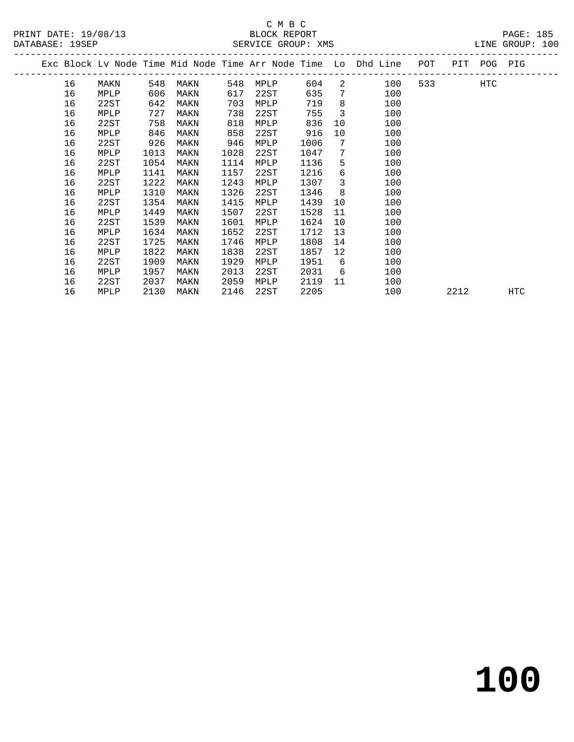|    |      |      |      |      |      |      |                         | Exc Block Lv Node Time Mid Node Time Arr Node Time Lo Dhd Line | POT |      | PIT POG PIG |     |  |
|----|------|------|------|------|------|------|-------------------------|----------------------------------------------------------------|-----|------|-------------|-----|--|
| 16 | MAKN | 548  | MAKN | 548  | MPLP | 604  |                         | $2 \left( \frac{1}{2} \right)$<br>100                          | 533 |      | HTC         |     |  |
| 16 | MPLP | 606  | MAKN | 617  | 22ST | 635  | $7\overline{ }$         | 100                                                            |     |      |             |     |  |
| 16 | 22ST | 642  | MAKN | 703  | MPLP | 719  | 8                       | 100                                                            |     |      |             |     |  |
| 16 | MPLP | 727  | MAKN | 738  | 22ST | 755  | $\overline{\mathbf{3}}$ | 100                                                            |     |      |             |     |  |
| 16 | 22ST | 758  | MAKN | 818  | MPLP | 836  | 10                      | 100                                                            |     |      |             |     |  |
| 16 | MPLP | 846  | MAKN | 858  | 22ST | 916  | 10                      | 100                                                            |     |      |             |     |  |
| 16 | 22ST | 926  | MAKN | 946  | MPLP | 1006 | 7                       | 100                                                            |     |      |             |     |  |
| 16 | MPLP | 1013 | MAKN | 1028 | 22ST | 1047 | 7                       | 100                                                            |     |      |             |     |  |
| 16 | 22ST | 1054 | MAKN | 1114 | MPLP | 1136 | 5                       | 100                                                            |     |      |             |     |  |
| 16 | MPLP | 1141 | MAKN | 1157 | 22ST | 1216 | 6                       | 100                                                            |     |      |             |     |  |
| 16 | 22ST | 1222 | MAKN | 1243 | MPLP | 1307 | 3                       | 100                                                            |     |      |             |     |  |
| 16 | MPLP | 1310 | MAKN | 1326 | 22ST | 1346 | 8                       | 100                                                            |     |      |             |     |  |
| 16 | 22ST | 1354 | MAKN | 1415 | MPLP | 1439 | 10                      | 100                                                            |     |      |             |     |  |
| 16 | MPLP | 1449 | MAKN | 1507 | 22ST | 1528 | 11                      | 100                                                            |     |      |             |     |  |
| 16 | 22ST | 1539 | MAKN | 1601 | MPLP | 1624 | 10 <sup>°</sup>         | 100                                                            |     |      |             |     |  |
| 16 | MPLP | 1634 | MAKN | 1652 | 22ST | 1712 | 13                      | 100                                                            |     |      |             |     |  |
| 16 | 22ST | 1725 | MAKN | 1746 | MPLP | 1808 | 14                      | 100                                                            |     |      |             |     |  |
| 16 | MPLP | 1822 | MAKN | 1838 | 22ST | 1857 | 12                      | 100                                                            |     |      |             |     |  |
| 16 | 22ST | 1909 | MAKN | 1929 | MPLP | 1951 | 6                       | 100                                                            |     |      |             |     |  |
| 16 | MPLP | 1957 | MAKN | 2013 | 22ST | 2031 | 6                       | 100                                                            |     |      |             |     |  |
| 16 | 22ST | 2037 | MAKN | 2059 | MPLP | 2119 | 11                      | 100                                                            |     |      |             |     |  |
| 16 | MPLP | 2130 | MAKN | 2146 | 22ST | 2205 |                         | 100                                                            |     | 2212 |             | HTC |  |
|    |      |      |      |      |      |      |                         |                                                                |     |      |             |     |  |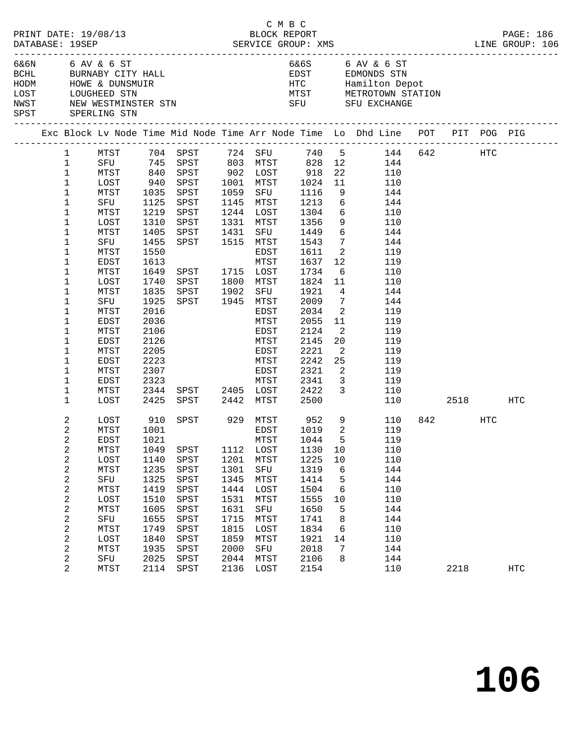|  |              | PRINT DATE: 19/08/13                  |      |                                                                                                 |      |           | C M B C<br>BLOCK REPORT |                            |                                                                                                                                                                                                                                                                                                                  |      |     | PAGE: 186  |
|--|--------------|---------------------------------------|------|-------------------------------------------------------------------------------------------------|------|-----------|-------------------------|----------------------------|------------------------------------------------------------------------------------------------------------------------------------------------------------------------------------------------------------------------------------------------------------------------------------------------------------------|------|-----|------------|
|  |              | 6&6N 6 AV & 6 ST<br>SPST SPERLING STN |      | BCHL BURNABY CITY HALL<br>HODM HOWE & DUNSMUIR<br>LOST LOUGHEED STN<br>NWST NEW WESTMINSTER STN |      |           |                         |                            | 6&6S 6 AV & 6 ST<br>EDST EDMONDS STN                                                                                                                                                                                                                                                                             |      |     |            |
|  |              |                                       |      |                                                                                                 |      |           |                         |                            | Exc Block Lv Node Time Mid Node Time Arr Node Time Lo Dhd Line POT PIT POG PIG<br>Exc Block Lv Node Time Mid Node Time Arr node Time To Dina Time Torman Company of the Case of the Case of the Case of the Case of the Case of the Case of the Case of the Case of the Case of the Case of the Case of the Case |      |     |            |
|  |              |                                       |      |                                                                                                 |      |           |                         |                            | 1 MTST 704 SPST 724 SFU 740 5 144 642 HTC                                                                                                                                                                                                                                                                        |      |     |            |
|  | $\mathbf{1}$ |                                       |      |                                                                                                 |      |           |                         |                            | SFU 745 SPST 803 MTST 828 12 144<br>MTST 840 SPST 902 LOST 918 22 110<br>LOST 940 SPST 1001 MTST 1024 11 110                                                                                                                                                                                                     |      |     |            |
|  | $\mathbf 1$  |                                       |      |                                                                                                 |      |           |                         |                            |                                                                                                                                                                                                                                                                                                                  |      |     |            |
|  | $\mathbf{1}$ |                                       |      |                                                                                                 |      |           |                         |                            |                                                                                                                                                                                                                                                                                                                  |      |     |            |
|  | $\mathbf{1}$ | MTST                                  |      | 1035 SPST                                                                                       |      |           | 1059 SFU 1116           |                            | 9 144                                                                                                                                                                                                                                                                                                            |      |     |            |
|  | $\mathbf 1$  | SFU                                   |      | 1125 SPST                                                                                       |      |           | 1145 MTST 1213          |                            | $6\overline{6}$<br>144                                                                                                                                                                                                                                                                                           |      |     |            |
|  | $\mathbf{1}$ | MTST                                  |      | 1219 SPST                                                                                       |      | 1244 LOST | 1304<br>1356            |                            | $6\overline{6}$<br>110                                                                                                                                                                                                                                                                                           |      |     |            |
|  | 1            | LOST                                  |      | 1310 SPST                                                                                       |      | 1331 MTST |                         | 9                          | 110                                                                                                                                                                                                                                                                                                              |      |     |            |
|  | 1            | MTST                                  |      | 1405 SPST 1431                                                                                  |      |           | SFU 1449                |                            | $6\overline{6}$<br>144                                                                                                                                                                                                                                                                                           |      |     |            |
|  | 1            | SFU                                   | 1455 | SPST 1515 MTST 1543                                                                             |      |           |                         | $7\overline{ }$            | 144                                                                                                                                                                                                                                                                                                              |      |     |            |
|  | 1            | MTST                                  | 1550 |                                                                                                 |      | EDST      | 1611                    |                            | $\overline{2}$<br>119                                                                                                                                                                                                                                                                                            |      |     |            |
|  | 1            | EDST                                  | 1613 |                                                                                                 |      | MTST      | 1637                    | 12                         | 119                                                                                                                                                                                                                                                                                                              |      |     |            |
|  | 1            | MTST                                  |      | 1649 SPST 1715 LOST                                                                             |      |           | 1734                    |                            | $6\overline{6}$<br>110                                                                                                                                                                                                                                                                                           |      |     |            |
|  | 1            | LOST                                  | 1740 | SPST 1800 MTST                                                                                  |      |           | 1824                    | 11                         | 110                                                                                                                                                                                                                                                                                                              |      |     |            |
|  | 1            | MTST                                  | 1835 | SPST 1902 SFU                                                                                   |      |           | 1921                    | $4\overline{ }$            | 144                                                                                                                                                                                                                                                                                                              |      |     |            |
|  | 1            | SFU                                   | 1925 | SPST 1945 MTST                                                                                  |      |           | 2009                    | $7\overline{ }$            | 144                                                                                                                                                                                                                                                                                                              |      |     |            |
|  | 1            | MTST                                  | 2016 |                                                                                                 |      | EDST      | 2034                    | $\overline{\phantom{a}}$   | 119                                                                                                                                                                                                                                                                                                              |      |     |            |
|  | 1            | EDST                                  | 2036 |                                                                                                 |      | MTST      | 2055                    | 11                         | 119                                                                                                                                                                                                                                                                                                              |      |     |            |
|  | 1            | MTST                                  | 2106 |                                                                                                 |      | EDST      | 2124                    | $\overline{\phantom{a}}^2$ | 119                                                                                                                                                                                                                                                                                                              |      |     |            |
|  | 1            | EDST                                  | 2126 |                                                                                                 |      | MTST      | 2145                    | 20 <sub>o</sub>            | 119                                                                                                                                                                                                                                                                                                              |      |     |            |
|  | 1            | MTST                                  | 2205 |                                                                                                 |      | EDST      | 2221                    | $\overline{\phantom{a}}$   | 119                                                                                                                                                                                                                                                                                                              |      |     |            |
|  | 1            | EDST                                  | 2223 |                                                                                                 |      | MTST      | 2242                    | 25                         | 119                                                                                                                                                                                                                                                                                                              |      |     |            |
|  | 1            | MTST                                  | 2307 |                                                                                                 |      | EDST      | 2321                    | 2                          | 119                                                                                                                                                                                                                                                                                                              |      |     |            |
|  | $\mathbf 1$  | EDST                                  | 2323 |                                                                                                 |      | MTST      | 2341                    | $\overline{\mathbf{3}}$    | 119                                                                                                                                                                                                                                                                                                              |      |     |            |
|  | 1            | MTST                                  |      |                                                                                                 |      |           | 2422                    | $\overline{\mathbf{3}}$    | 110                                                                                                                                                                                                                                                                                                              |      |     |            |
|  | $\mathbf 1$  | LOST                                  |      | 2323<br>2344 SPST 2405 LOST<br>-- 2442 MTST<br>2425 SPST 2442 MTST                              |      |           | 2500                    |                            | 110 2518 HTC                                                                                                                                                                                                                                                                                                     |      |     |            |
|  | 2            | LOST                                  | 910  | SPST 929 MTST                                                                                   |      |           |                         | 9                          | 110                                                                                                                                                                                                                                                                                                              | 842  | HTC |            |
|  | 2            | MTST                                  | 1001 |                                                                                                 |      | EDST      | 952<br>1019             | $\overline{\phantom{a}}^2$ | 119                                                                                                                                                                                                                                                                                                              |      |     |            |
|  | 2            | EDST 1021                             |      |                                                                                                 |      |           | MTST 1044               |                            | 5 119                                                                                                                                                                                                                                                                                                            |      |     |            |
|  | 2            | MTST                                  | 1049 | SPST                                                                                            | 1112 | LOST      | 1130                    | 10                         | 110                                                                                                                                                                                                                                                                                                              |      |     |            |
|  | 2            | LOST                                  | 1140 | SPST                                                                                            | 1201 | MTST      | 1225                    | 10                         | 110                                                                                                                                                                                                                                                                                                              |      |     |            |
|  | $\sqrt{2}$   | MTST                                  | 1235 | SPST                                                                                            | 1301 | SFU       | 1319                    | 6                          | 144                                                                                                                                                                                                                                                                                                              |      |     |            |
|  | 2            | SFU                                   | 1325 | SPST                                                                                            | 1345 | MTST      | 1414                    | 5                          | 144                                                                                                                                                                                                                                                                                                              |      |     |            |
|  | 2            | MTST                                  | 1419 | SPST                                                                                            | 1444 | LOST      | 1504                    | 6                          | 110                                                                                                                                                                                                                                                                                                              |      |     |            |
|  |              |                                       |      |                                                                                                 |      |           |                         |                            |                                                                                                                                                                                                                                                                                                                  |      |     |            |
|  | 2            | LOST                                  | 1510 | SPST                                                                                            | 1531 | MTST      | 1555                    | 10                         | 110                                                                                                                                                                                                                                                                                                              |      |     |            |
|  | $\sqrt{2}$   | MTST                                  | 1605 | SPST                                                                                            | 1631 | SFU       | 1650                    | 5                          | 144                                                                                                                                                                                                                                                                                                              |      |     |            |
|  | 2            | SFU                                   | 1655 | SPST                                                                                            | 1715 | MTST      | 1741                    | 8                          | 144                                                                                                                                                                                                                                                                                                              |      |     |            |
|  | 2            | <b>MTST</b>                           | 1749 | SPST                                                                                            | 1815 | LOST      | 1834                    | 6                          | 110                                                                                                                                                                                                                                                                                                              |      |     |            |
|  | 2            | LOST                                  | 1840 | SPST                                                                                            | 1859 | MTST      | 1921                    | 14                         | 110                                                                                                                                                                                                                                                                                                              |      |     |            |
|  | $\sqrt{2}$   | MTST                                  | 1935 | SPST                                                                                            | 2000 | SFU       | 2018                    | 7                          | 144                                                                                                                                                                                                                                                                                                              |      |     |            |
|  | 2            | SFU                                   | 2025 | SPST                                                                                            | 2044 | MTST      | 2106                    | 8                          | 144                                                                                                                                                                                                                                                                                                              |      |     |            |
|  | 2            | <b>MTST</b>                           | 2114 | SPST                                                                                            | 2136 | LOST      | 2154                    |                            | 110                                                                                                                                                                                                                                                                                                              | 2218 |     | <b>HTC</b> |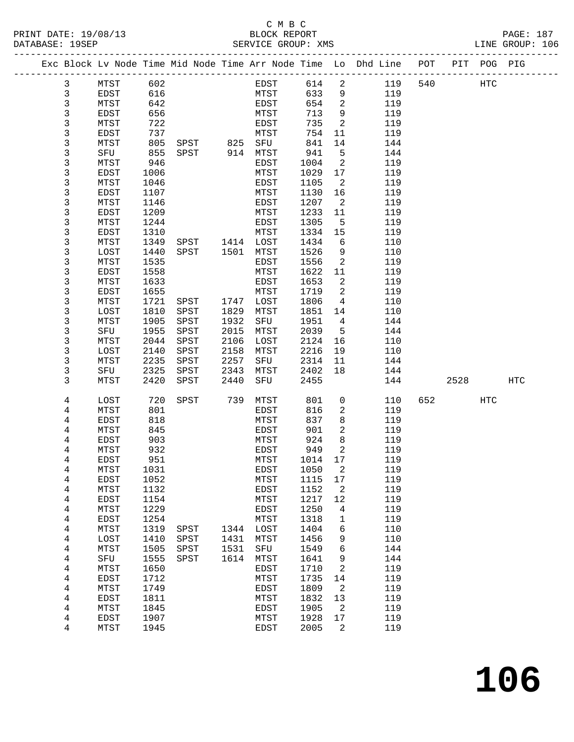#### C M B C<br>BLOCK REPORT SERVICE GROUP: XMS

| PRINT DATE: 19/08/13<br>DATABASE: 19SEP |                |             |      | 3/13<br>BLOCK REPORT<br>SERVICE GROUP: 2                          |      | SERVICE GROUP: XMS |         |                            |                                                                                |         |     | PAGE: 187<br>LINE GROUP: 106 |
|-----------------------------------------|----------------|-------------|------|-------------------------------------------------------------------|------|--------------------|---------|----------------------------|--------------------------------------------------------------------------------|---------|-----|------------------------------|
|                                         |                |             |      |                                                                   |      |                    |         |                            | Exc Block Lv Node Time Mid Node Time Arr Node Time Lo Dhd Line POT PIT POG PIG |         |     |                              |
|                                         | 3              |             |      | MTST 602                                                          |      |                    |         |                            | EDST 614 2 119                                                                 | 540 HTC |     |                              |
|                                         | $\mathbf{3}$   | EDST        |      | 616<br>642<br>656<br>722                                          |      | MTST               |         |                            | 633 9<br>119                                                                   |         |     |                              |
|                                         | $\mathfrak{Z}$ | MTST        |      |                                                                   |      | EDST               | 654 2   |                            | 119                                                                            |         |     |                              |
|                                         | $\mathsf 3$    | EDST        |      |                                                                   |      | MTST               | 713     | 9                          | 119                                                                            |         |     |                              |
|                                         | 3              | MTST        |      |                                                                   |      | EDST               | 735     | $\overline{\phantom{a}}$   | 119                                                                            |         |     |                              |
|                                         | 3              | <b>EDST</b> |      | 737<br>805 SPST 825 SFU<br>855 SPST 914 MTST<br>855 SPST 914 MTST |      |                    | 754     | 11                         | 119                                                                            |         |     |                              |
|                                         | $\mathsf 3$    | MTST        |      |                                                                   |      |                    | 841     | 14                         | 144                                                                            |         |     |                              |
|                                         | 3              | SFU         |      |                                                                   |      |                    | 941     | $5^{\circ}$                | 144                                                                            |         |     |                              |
|                                         | 3              | MTST        | 946  |                                                                   |      | EDST               | 1004    | $\overline{\phantom{a}}^2$ | 119                                                                            |         |     |                              |
|                                         | 3              | EDST        | 1006 |                                                                   |      | MTST               | 1029    | 17                         | 119                                                                            |         |     |                              |
|                                         | 3              | MTST        | 1046 |                                                                   |      | EDST               | 1105    | 2                          | 119                                                                            |         |     |                              |
|                                         | $\mathsf 3$    | EDST        | 1107 |                                                                   |      | MTST               | 1130    | 16                         | 119                                                                            |         |     |                              |
|                                         | 3              | MTST        | 1146 |                                                                   |      | EDST               | 1207    | $\overline{2}$             | 119                                                                            |         |     |                              |
|                                         | 3              | EDST        | 1209 |                                                                   |      | MTST               | 1233    | 11                         | 119                                                                            |         |     |                              |
|                                         | 3              | MTST        | 1244 |                                                                   |      | EDST               | 1305    | 5                          | 119                                                                            |         |     |                              |
|                                         | $\mathsf 3$    | EDST        | 1310 |                                                                   |      |                    | 1334    | 15                         | 119                                                                            |         |     |                              |
|                                         | 3              | MTST        | 1349 |                                                                   |      |                    | 1434    | 6                          | 110                                                                            |         |     |                              |
|                                         | 3              | LOST        | 1440 | SPST 1501 MTST                                                    |      |                    | 1526    | 9                          | 110                                                                            |         |     |                              |
|                                         | 3              | MTST        | 1535 |                                                                   |      | EDST               | 1556    | 2                          | 119                                                                            |         |     |                              |
|                                         | $\mathsf 3$    | EDST        | 1558 |                                                                   |      | MTST               | 1622    | 11                         | 119                                                                            |         |     |                              |
|                                         | 3              | MTST        | 1633 |                                                                   |      | EDST               | 1653    | $\overline{2}$             | 119                                                                            |         |     |                              |
|                                         | 3              | EDST        | 1655 |                                                                   |      | MTST               | 1719    | $\overline{\mathbf{2}}$    | 119                                                                            |         |     |                              |
|                                         | 3              | MTST        | 1721 | SPST                                                              |      | 1747 LOST          | 1806    | $\overline{4}$             | 110                                                                            |         |     |                              |
|                                         | $\mathsf 3$    | LOST        | 1810 | SPST                                                              | 1829 | MTST               | 1851    | 14                         | 110                                                                            |         |     |                              |
|                                         | 3              | MTST        | 1905 | SPST                                                              | 1932 | SFU                | 1951    | $\overline{4}$             | 144                                                                            |         |     |                              |
|                                         | 3              | SFU         | 1955 | SPST                                                              | 2015 | MTST               | 2039    | $5^{\circ}$                | 144                                                                            |         |     |                              |
|                                         | 3              | MTST        | 2044 | SPST                                                              | 2106 | LOST               | 2124    | 16                         | 110                                                                            |         |     |                              |
|                                         | 3              | LOST        | 2140 | SPST                                                              | 2158 | MTST               | 2216    | 19                         | 110                                                                            |         |     |                              |
|                                         | 3              | MTST        | 2235 | SPST                                                              | 2257 | SFU                | 2314    | 11                         | 144                                                                            |         |     |                              |
|                                         | 3              | SFU         | 2325 | SPST                                                              | 2343 | MTST               | 2402    | 18                         | 144                                                                            |         |     |                              |
|                                         | 3              | MTST        | 2420 | SPST                                                              | 2440 | SFU                | 2455    |                            | 144                                                                            | 2528    |     | <b>HTC</b>                   |
|                                         | 4              | LOST        | 720  | SPST 739 MTST                                                     |      |                    | 801     | $\overline{0}$             | 110                                                                            | 652 11  | HTC |                              |
|                                         | 4              | MTST        | 801  |                                                                   |      | EDST               | 816     | $\overline{a}$             | 119                                                                            |         |     |                              |
|                                         | 4              | EDST        | 818  |                                                                   |      | MTST               | 837     | 8                          | 119                                                                            |         |     |                              |
|                                         | 4              | MTST        | 845  |                                                                   |      | EDST               | 901     | $\overline{2}$             | 119                                                                            |         |     |                              |
|                                         | 4              | EDST        | 903  |                                                                   |      | MTST               | 924     | 8                          | 119                                                                            |         |     |                              |
|                                         | 4              | MTST        | 932  |                                                                   |      | EDST 949           |         | $2\overline{ }$            | 119                                                                            |         |     |                              |
|                                         | 4              | EDST        | 951  |                                                                   |      | MTST               | 1014 17 |                            | 119                                                                            |         |     |                              |
|                                         | 4              | MTST        | 1031 |                                                                   |      | EDST               | 1050    | 2                          | 119                                                                            |         |     |                              |
|                                         | 4              | EDST        | 1052 |                                                                   |      | MTST               | 1115    | 17                         | 119                                                                            |         |     |                              |
|                                         | 4              | MTST        | 1132 |                                                                   |      | EDST               | 1152    | 2                          | 119                                                                            |         |     |                              |
|                                         | 4              | EDST        | 1154 |                                                                   |      | MTST               | 1217    | 12                         | 119                                                                            |         |     |                              |
|                                         | 4              | MTST        | 1229 |                                                                   |      | EDST               | 1250    | 4                          | 119                                                                            |         |     |                              |
|                                         | 4              | EDST        | 1254 |                                                                   |      | MTST               | 1318    | 1                          | 119                                                                            |         |     |                              |
|                                         | 4              | MTST        | 1319 | SPST                                                              | 1344 | LOST               | 1404    | 6                          | 110                                                                            |         |     |                              |
|                                         | 4              | LOST        | 1410 | SPST                                                              | 1431 | MTST               | 1456    | 9                          | 110                                                                            |         |     |                              |
|                                         | 4              | MTST        | 1505 | SPST                                                              | 1531 | SFU                | 1549    | 6                          | 144                                                                            |         |     |                              |
|                                         | 4              | SFU         | 1555 | SPST                                                              | 1614 | MTST               | 1641    | 9                          | 144                                                                            |         |     |                              |
|                                         | 4              | MTST        | 1650 |                                                                   |      | EDST               | 1710    | 2                          | 119                                                                            |         |     |                              |
|                                         | 4              | EDST        | 1712 |                                                                   |      | MTST               | 1735    | 14                         | 119                                                                            |         |     |                              |
|                                         | 4              | MTST        | 1749 |                                                                   |      | EDST               | 1809    | 2                          | 119                                                                            |         |     |                              |
|                                         | 4              | EDST        | 1811 |                                                                   |      | MTST               | 1832    | 13                         | 119                                                                            |         |     |                              |
|                                         | 4              | MTST        | 1845 |                                                                   |      | EDST               | 1905    | 2                          | 119                                                                            |         |     |                              |
|                                         | 4              | <b>EDST</b> | 1907 |                                                                   |      | MTST               | 1928 17 |                            | 119                                                                            |         |     |                              |

4 MTST 1945 EDST 2005 2 119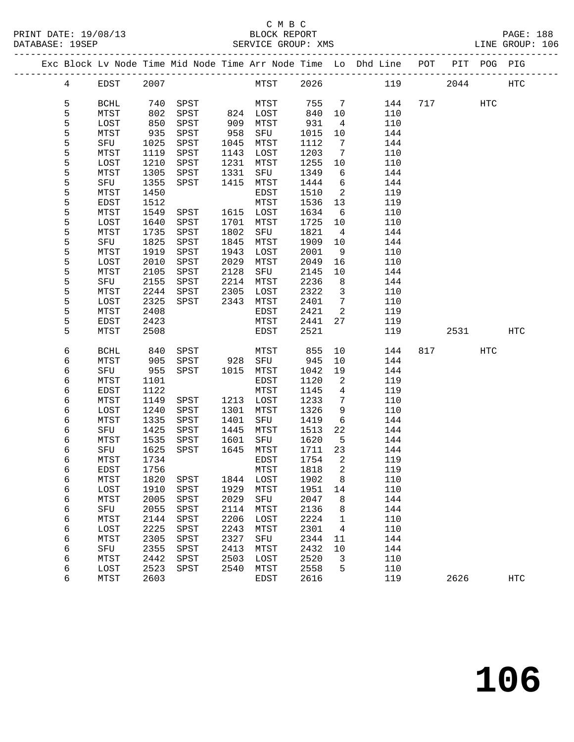|  |                 |              |              |              |              |              |              |                            | Exc Block Lv Node Time Mid Node Time Arr Node Time Lo Dhd Line POT |          | PIT POG PIG |            |
|--|-----------------|--------------|--------------|--------------|--------------|--------------|--------------|----------------------------|--------------------------------------------------------------------|----------|-------------|------------|
|  | $4\overline{ }$ | EDST         | 2007         |              |              | MTST 2026    |              |                            | 119                                                                | 2044     |             | HTC        |
|  | 5               | <b>BCHL</b>  | 740          | SPST         |              | MTST         | 755 7        |                            | 144                                                                | 717 — 11 | HTC         |            |
|  | 5               | MTST         | 802          | SPST         |              | 824 LOST     | 840          | 10                         | 110                                                                |          |             |            |
|  | 5               | LOST         | 850          | SPST         | 909          | MTST         | 931          | $\overline{4}$             | 110                                                                |          |             |            |
|  | 5               | MTST         | 935          | SPST         | 958          | SFU          | 1015         | 10                         | 144                                                                |          |             |            |
|  | 5               | SFU          | 1025         | SPST         | 1045         | MTST         | 1112         | $\overline{7}$             | 144                                                                |          |             |            |
|  | 5               | MTST         | 1119         | SPST         | 1143         | LOST         | 1203         | $\overline{7}$             | 110                                                                |          |             |            |
|  | 5               | LOST         | 1210         | SPST         | 1231         | MTST         | 1255         | 10                         | 110                                                                |          |             |            |
|  | 5               | MTST         | 1305         | SPST         | 1331         | SFU          | 1349         | 6                          | 144                                                                |          |             |            |
|  | 5               | SFU          | 1355         | SPST         | 1415         | MTST         | 1444         | 6                          | 144                                                                |          |             |            |
|  | 5               | MTST         | 1450         |              |              | EDST         | 1510         | $\overline{\phantom{a}}^2$ | 119                                                                |          |             |            |
|  | 5               | EDST         | 1512         |              |              | MTST         | 1536         | 13                         | 119                                                                |          |             |            |
|  | 5               | MTST         | 1549         | SPST         |              | 1615 LOST    | 1634         | 6                          | 110                                                                |          |             |            |
|  | 5               | LOST         | 1640         | SPST         | 1701         | MTST         | 1725         | 10                         | 110                                                                |          |             |            |
|  | 5               | MTST         | 1735         | SPST         | 1802         | SFU          | 1821         | $\overline{4}$             | 144                                                                |          |             |            |
|  | 5               | SFU          | 1825         | SPST         | 1845         | MTST         | 1909         | 10                         | 144                                                                |          |             |            |
|  | 5               | MTST         | 1919         | SPST         | 1943         | LOST         | 2001         | 9                          | 110                                                                |          |             |            |
|  | 5<br>5          | LOST<br>MTST | 2010<br>2105 | SPST<br>SPST | 2029<br>2128 | MTST<br>SFU  | 2049<br>2145 | 16<br>10                   | 110<br>144                                                         |          |             |            |
|  | 5               | SFU          | 2155         | SPST         | 2214         | MTST         | 2236         | 8                          | 144                                                                |          |             |            |
|  | 5               | MTST         | 2244         | SPST         | 2305         | LOST         | 2322         | $\overline{\mathbf{3}}$    | 110                                                                |          |             |            |
|  | 5               | LOST         | 2325         | SPST         | 2343         | MTST         | 2401         | $\overline{7}$             | 110                                                                |          |             |            |
|  | 5               | MTST         | 2408         |              |              | EDST         | 2421         | $\overline{\phantom{a}}$   | 119                                                                |          |             |            |
|  | 5               | EDST         | 2423         |              |              | MTST         | 2441         | 27                         | 119                                                                |          |             |            |
|  | 5               | MTST         | 2508         |              |              | EDST         | 2521         |                            | 119                                                                | 2531     |             | HTC        |
|  | 6               | BCHL         | 840          | SPST         |              | MTST         | 855          | 10                         | 144                                                                | 817 — 10 | HTC         |            |
|  | 6               | MTST         | 905          | SPST         | 928          | SFU          | 945          | 10                         | 144                                                                |          |             |            |
|  | 6               | SFU          | 955          | SPST         | 1015         | MTST         | 1042         | 19                         | 144                                                                |          |             |            |
|  | 6               | MTST         | 1101         |              |              | EDST         | 1120         | $\overline{a}$             | 119                                                                |          |             |            |
|  | 6               | EDST         | 1122         |              |              | MTST         | 1145         | $\overline{4}$             | 119                                                                |          |             |            |
|  | 6               | MTST         | 1149         | SPST         | 1213         | LOST         | 1233         | 7                          | 110                                                                |          |             |            |
|  | 6               | LOST         | 1240         | SPST         | 1301         | MTST         | 1326         | 9                          | 110                                                                |          |             |            |
|  | 6               | MTST         | 1335         | SPST         | 1401         | SFU          | 1419         | 6                          | 144                                                                |          |             |            |
|  | 6<br>6          | SFU<br>MTST  | 1425         | SPST         | 1445         | MTST         | 1513         | 22                         | 144<br>144                                                         |          |             |            |
|  | 6               | SFU          | 1535<br>1625 | SPST<br>SPST | 1601<br>1645 | SFU<br>MTST  | 1620<br>1711 | $5^{\circ}$<br>23          | 144                                                                |          |             |            |
|  | 6               | MTST         | 1734         |              |              | EDST         | 1754         | $\overline{\phantom{0}}^2$ | 119                                                                |          |             |            |
|  | 6               | EDST         | 1756         |              |              | ${\tt MTST}$ | 1818 2       |                            | 119                                                                |          |             |            |
|  | 6               | MTST         | 1820         | SPST         | 1844         | LOST         | 1902         | 8                          | 110                                                                |          |             |            |
|  | 6               | LOST         | 1910         | SPST         | 1929         | MTST         | 1951         | 14                         | 110                                                                |          |             |            |
|  | 6               | <b>MTST</b>  | 2005         | SPST         | 2029         | SFU          | 2047         | 8                          | 144                                                                |          |             |            |
|  | 6               | SFU          | 2055         | SPST         | 2114         | MTST         | 2136         | 8                          | 144                                                                |          |             |            |
|  | 6               | MTST         | 2144         | SPST         | 2206         | LOST         | 2224         | $\mathbf 1$                | 110                                                                |          |             |            |
|  | 6               | LOST         | 2225         | SPST         | 2243         | MTST         | 2301         | 4                          | 110                                                                |          |             |            |
|  | 6               | MTST         | 2305         | SPST         | 2327         | SFU          | 2344         | 11                         | 144                                                                |          |             |            |
|  | 6               | SFU          | 2355         | SPST         | 2413         | MTST         | 2432         | 10                         | 144                                                                |          |             |            |
|  | 6               | MTST         | 2442         | SPST         | 2503         | LOST         | 2520         | 3                          | 110                                                                |          |             |            |
|  | 6               | LOST         | 2523         | SPST         | 2540         | MTST         | 2558         | 5                          | 110                                                                |          |             |            |
|  | 6               | MTST         | 2603         |              |              | EDST         | 2616         |                            | 119                                                                | 2626     |             | <b>HTC</b> |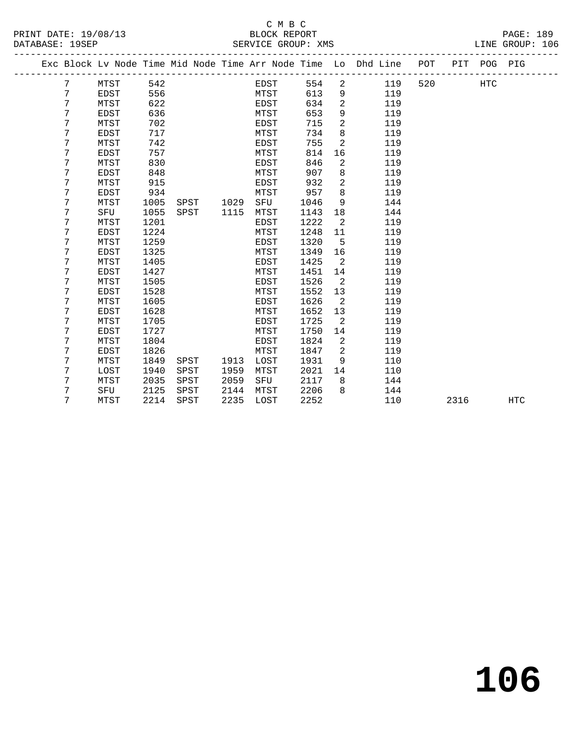# C M B C<br>BLOCK REPORT

|                 |                      | ----                  |                  |
|-----------------|----------------------|-----------------------|------------------|
|                 | PRINT DATE: 19/08/13 | BLOCK REPORT          | <b>PAGE: 189</b> |
| DATABASE: 19SEP |                      | SERVICE GROUP:<br>XMS | LINE GROUP: 106  |

|  |   |             |      |      |      |             |      |                | Exc Block Lv Node Time Mid Node Time Arr Node Time Lo Dhd Line | POT | PIT  | POG PIG    |            |
|--|---|-------------|------|------|------|-------------|------|----------------|----------------------------------------------------------------|-----|------|------------|------------|
|  | 7 | MTST        | 542  |      |      | EDST        | 554  | 2              | 119                                                            | 520 |      | <b>HTC</b> |            |
|  | 7 | <b>EDST</b> | 556  |      |      | MTST        | 613  | 9              | 119                                                            |     |      |            |            |
|  | 7 | MTST        | 622  |      |      | EDST        | 634  | $\overline{2}$ | 119                                                            |     |      |            |            |
|  | 7 | <b>EDST</b> | 636  |      |      | MTST        | 653  | 9              | 119                                                            |     |      |            |            |
|  | 7 | MTST        | 702  |      |      | EDST        | 715  | $\overline{a}$ | 119                                                            |     |      |            |            |
|  | 7 | <b>EDST</b> | 717  |      |      | MTST        | 734  | 8              | 119                                                            |     |      |            |            |
|  | 7 | MTST        | 742  |      |      | EDST        | 755  | 2              | 119                                                            |     |      |            |            |
|  | 7 | <b>EDST</b> | 757  |      |      | MTST        | 814  | 16             | 119                                                            |     |      |            |            |
|  | 7 | MTST        | 830  |      |      | EDST        | 846  | 2              | 119                                                            |     |      |            |            |
|  | 7 | EDST        | 848  |      |      | MTST        | 907  | 8              | 119                                                            |     |      |            |            |
|  | 7 | MTST        | 915  |      |      | EDST        | 932  | 2              | 119                                                            |     |      |            |            |
|  | 7 | <b>EDST</b> | 934  |      |      | MTST        | 957  | 8              | 119                                                            |     |      |            |            |
|  | 7 | MTST        | 1005 | SPST | 1029 | SFU         | 1046 | 9              | 144                                                            |     |      |            |            |
|  | 7 | SFU         | 1055 | SPST | 1115 | MTST        | 1143 | 18             | 144                                                            |     |      |            |            |
|  | 7 | MTST        | 1201 |      |      | EDST        | 1222 | 2              | 119                                                            |     |      |            |            |
|  | 7 | EDST        | 1224 |      |      | MTST        | 1248 | 11             | 119                                                            |     |      |            |            |
|  | 7 | MTST        | 1259 |      |      | <b>EDST</b> | 1320 | 5              | 119                                                            |     |      |            |            |
|  | 7 | EDST        | 1325 |      |      | MTST        | 1349 | 16             | 119                                                            |     |      |            |            |
|  | 7 | MTST        | 1405 |      |      | EDST        | 1425 | 2              | 119                                                            |     |      |            |            |
|  | 7 | <b>EDST</b> | 1427 |      |      | MTST        | 1451 | 14             | 119                                                            |     |      |            |            |
|  | 7 | MTST        | 1505 |      |      | EDST        | 1526 | 2              | 119                                                            |     |      |            |            |
|  | 7 | EDST        | 1528 |      |      | MTST        | 1552 | 13             | 119                                                            |     |      |            |            |
|  | 7 | MTST        | 1605 |      |      | EDST        | 1626 | 2              | 119                                                            |     |      |            |            |
|  | 7 | EDST        | 1628 |      |      | MTST        | 1652 | 13             | 119                                                            |     |      |            |            |
|  | 7 | MTST        | 1705 |      |      | EDST        | 1725 | 2              | 119                                                            |     |      |            |            |
|  | 7 | EDST        | 1727 |      |      | MTST        | 1750 | 14             | 119                                                            |     |      |            |            |
|  | 7 | MTST        | 1804 |      |      | EDST        | 1824 | 2              | 119                                                            |     |      |            |            |
|  | 7 | EDST        | 1826 |      |      | MTST        | 1847 | 2              | 119                                                            |     |      |            |            |
|  | 7 | MTST        | 1849 | SPST | 1913 | LOST        | 1931 | 9              | 110                                                            |     |      |            |            |
|  | 7 | LOST        | 1940 | SPST | 1959 | MTST        | 2021 | 14             | 110                                                            |     |      |            |            |
|  | 7 | MTST        | 2035 | SPST | 2059 | SFU         | 2117 | 8              | 144                                                            |     |      |            |            |
|  | 7 | SFU         | 2125 | SPST | 2144 | MTST        | 2206 | 8              | 144                                                            |     |      |            |            |
|  | 7 | MTST        | 2214 | SPST | 2235 | LOST        | 2252 |                | 110                                                            |     | 2316 |            | <b>HTC</b> |
|  |   |             |      |      |      |             |      |                |                                                                |     |      |            |            |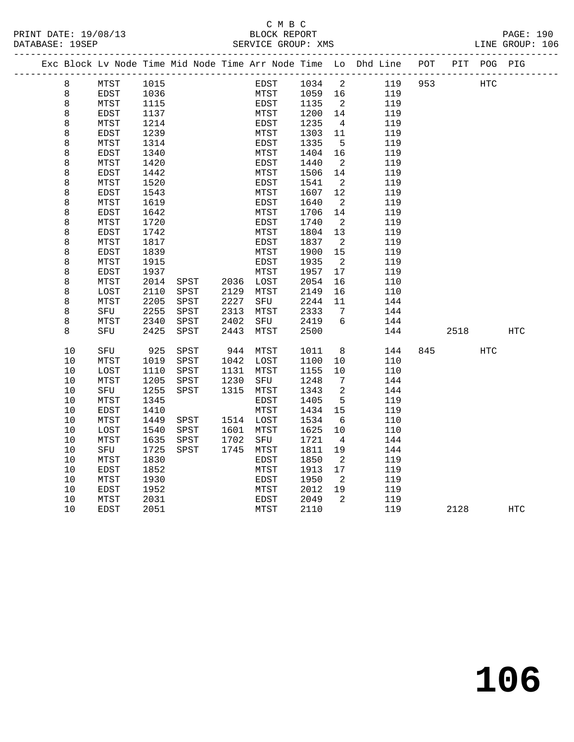#### C M B C<br>BLOCK REPORT PRINT DATE: 19/08/13 BLOCK REPORT PAGE: 190 SERVICE GROUP: XMS

|  |         | Exc Block Lv Node Time Mid Node Time Arr Node Time Lo Dhd Line POT |      |              |           |             |             |         |                              |     |     |      | PIT POG PIG |            |
|--|---------|--------------------------------------------------------------------|------|--------------|-----------|-------------|-------------|---------|------------------------------|-----|-----|------|-------------|------------|
|  | 8       | MTST                                                               | 1015 |              |           |             | EDST        | 1034 2  |                              | 119 | 953 |      | <b>HTC</b>  |            |
|  | 8       | EDST                                                               | 1036 |              |           |             | <b>MTST</b> | 1059 16 |                              | 119 |     |      |             |            |
|  | 8       | MTST                                                               | 1115 |              |           | EDST        |             | 1135    | $\overline{2}$               | 119 |     |      |             |            |
|  | $\,8\,$ | EDST                                                               | 1137 |              |           | MTST        |             | 1200    | 14                           | 119 |     |      |             |            |
|  | 8       | MTST                                                               | 1214 |              |           | EDST        |             | 1235    | $\overline{4}$               | 119 |     |      |             |            |
|  | 8       | <b>EDST</b>                                                        | 1239 |              |           | MTST        |             | 1303    | 11                           | 119 |     |      |             |            |
|  | 8       | MTST                                                               | 1314 |              |           | EDST        |             | 1335    | 5                            | 119 |     |      |             |            |
|  | 8       | EDST                                                               | 1340 |              |           | MTST        |             | 1404    | 16                           | 119 |     |      |             |            |
|  | 8       | MTST                                                               | 1420 |              |           | EDST        |             | 1440    | $\overline{2}$               | 119 |     |      |             |            |
|  | 8       | EDST                                                               | 1442 |              |           | MTST        |             | 1506    | 14                           | 119 |     |      |             |            |
|  | 8       | MTST                                                               | 1520 |              |           | EDST        |             | 1541    | $\overline{2}$               | 119 |     |      |             |            |
|  | 8       | EDST                                                               | 1543 |              |           | MTST        |             | 1607    | 12                           | 119 |     |      |             |            |
|  | 8       | MTST                                                               | 1619 |              |           | EDST        |             | 1640    | $\overline{2}$               | 119 |     |      |             |            |
|  | 8       | EDST                                                               | 1642 |              |           | MTST        |             | 1706    | 14                           | 119 |     |      |             |            |
|  | 8       | MTST                                                               | 1720 |              |           | <b>EDST</b> |             | 1740    | $\overline{2}$               | 119 |     |      |             |            |
|  | 8       | <b>EDST</b>                                                        | 1742 |              |           | MTST        |             | 1804    | 13                           | 119 |     |      |             |            |
|  | 8       | MTST                                                               | 1817 |              |           | EDST        |             | 1837    | $\overline{2}$               | 119 |     |      |             |            |
|  | 8       | EDST                                                               | 1839 |              |           | MTST        |             | 1900    | 15                           | 119 |     |      |             |            |
|  | 8       | MTST                                                               | 1915 |              |           | EDST        |             | 1935    | $\overline{\phantom{a}}^2$   | 119 |     |      |             |            |
|  | $\,8\,$ | EDST                                                               | 1937 |              |           | MTST        |             | 1957    | 17                           | 119 |     |      |             |            |
|  | 8       | MTST                                                               | 2014 | SPST         | 2036 LOST |             |             | 2054    | 16                           | 110 |     |      |             |            |
|  | 8       | LOST                                                               | 2110 | SPST         | 2129      | MTST        |             | 2149    | 16                           | 110 |     |      |             |            |
|  | 8       | MTST                                                               | 2205 | SPST         | 2227      | SFU         |             | 2244    | 11                           | 144 |     |      |             |            |
|  | 8       | SFU                                                                | 2255 | SPST         | 2313      | MTST        |             | 2333    | $\overline{7}$               | 144 |     |      |             |            |
|  | 8       | MTST                                                               | 2340 | ${\tt SPST}$ | 2402      | SFU         |             | 2419    | 6                            | 144 |     |      |             |            |
|  | 8       | SFU                                                                | 2425 | SPST         | 2443      | MTST        |             | 2500    |                              | 144 |     | 2518 |             | <b>HTC</b> |
|  | 10      | SFU                                                                | 925  | SPST         | 944       | MTST        |             | 1011    | 8 <sup>8</sup>               | 144 | 845 |      | HTC         |            |
|  | 10      | MTST                                                               | 1019 | SPST         | 1042 LOST |             |             | 1100    | $10 \,$                      | 110 |     |      |             |            |
|  | 10      | LOST                                                               | 1110 | SPST         | 1131      | MTST        |             | 1155    | 10                           | 110 |     |      |             |            |
|  | 10      | MTST                                                               | 1205 | SPST         | 1230      | SFU         |             | 1248    | $7\phantom{.0}\phantom{.0}7$ | 144 |     |      |             |            |
|  | 10      | SFU                                                                | 1255 | SPST         | 1315      | MTST        |             | 1343    | 2                            | 144 |     |      |             |            |
|  | 10      | MTST                                                               | 1345 |              |           | EDST        |             | 1405    | 5                            | 119 |     |      |             |            |
|  | 10      | EDST                                                               | 1410 |              |           | MTST        |             | 1434    | 15                           | 119 |     |      |             |            |
|  | 10      | MTST                                                               | 1449 | SPST         | 1514 LOST |             |             | 1534    | - 6                          | 110 |     |      |             |            |
|  | 10      | LOST                                                               | 1540 | SPST         | 1601      | MTST        |             | 1625    | 10                           | 110 |     |      |             |            |
|  | 10      | MTST                                                               | 1635 | SPST         | 1702      | SFU         |             | 1721    | $\overline{4}$               | 144 |     |      |             |            |
|  | 10      | SFU                                                                | 1725 | SPST         | 1745 MTST |             |             | 1811    | 19                           | 144 |     |      |             |            |
|  | 10      | MTST                                                               | 1830 |              |           | EDST        |             | 1850    | $\overline{2}$               | 119 |     |      |             |            |
|  | $10$    | EDST                                                               | 1852 |              |           | MTST        |             | 1913    | 17                           | 119 |     |      |             |            |
|  | 10      | MTST                                                               | 1930 |              |           | EDST        |             | 1950    | $\overline{2}$               | 119 |     |      |             |            |
|  | 10      | EDST                                                               | 1952 |              |           | MTST        |             | 2012    | 19                           | 119 |     |      |             |            |
|  | 10      | MTST                                                               | 2031 |              |           | <b>EDST</b> |             | 2049    | 2                            | 119 |     |      |             |            |
|  | 10      | <b>EDST</b>                                                        | 2051 |              |           | MTST        |             | 2110    |                              | 119 |     | 2128 |             | HTC        |
|  |         |                                                                    |      |              |           |             |             |         |                              |     |     |      |             |            |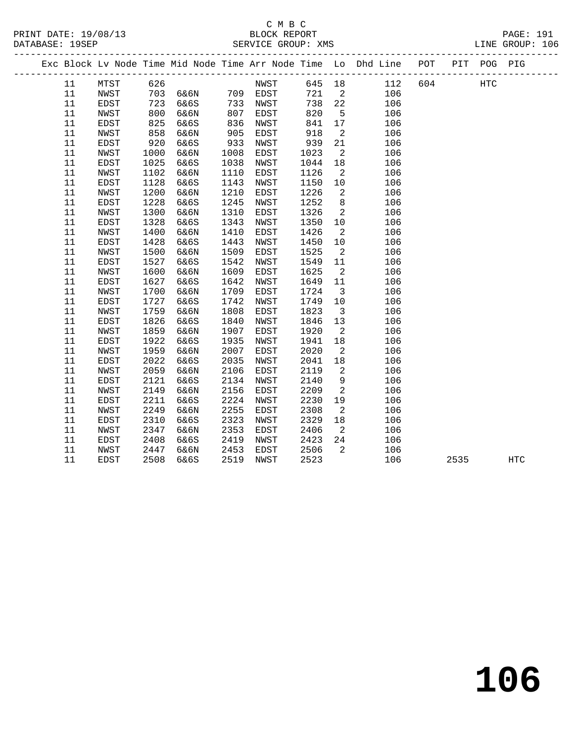#### C M B C<br>BLOCK REPORT PRINT DATE: 19/08/13 BLOCK REPORT PAGE: 191 SERVICE GROUP: XMS

|  |    |             |      |          |      |          |      |                            | Exc Block Lv Node Time Mid Node Time Arr Node Time Lo Dhd Line POT |     |      | PIT POG PIG |            |
|--|----|-------------|------|----------|------|----------|------|----------------------------|--------------------------------------------------------------------|-----|------|-------------|------------|
|  | 11 | MTST        | 626  |          |      | NWST     |      |                            | 645 18<br>112                                                      | 604 |      | <b>HTC</b>  |            |
|  | 11 | NWST        |      | 703 6&6N |      | 709 EDST | 721  | $\overline{2}$             | 106                                                                |     |      |             |            |
|  | 11 | <b>EDST</b> | 723  | 6&6S     | 733  | NWST     | 738  | 22                         | 106                                                                |     |      |             |            |
|  | 11 | NWST        | 800  | 6&6N     | 807  | EDST     | 820  | $5^{\circ}$                | 106                                                                |     |      |             |            |
|  | 11 | EDST        | 825  | 6&6S     | 836  | NWST     | 841  | 17                         | 106                                                                |     |      |             |            |
|  | 11 | NWST        | 858  | 6&6N     | 905  | EDST     | 918  | $\overline{\phantom{a}}^2$ | 106                                                                |     |      |             |            |
|  | 11 | EDST        | 920  | 6&6S     | 933  | NWST     | 939  | 21                         | 106                                                                |     |      |             |            |
|  | 11 | NWST        | 1000 | 6&6N     | 1008 | EDST     | 1023 | $\overline{2}$             | 106                                                                |     |      |             |            |
|  | 11 | EDST        | 1025 | 6&6S     | 1038 | NWST     | 1044 | 18                         | 106                                                                |     |      |             |            |
|  | 11 | NWST        | 1102 | 6&6N     | 1110 | EDST     | 1126 | 2                          | 106                                                                |     |      |             |            |
|  | 11 | EDST        | 1128 | 6&6S     | 1143 | NWST     | 1150 | 10                         | 106                                                                |     |      |             |            |
|  | 11 | NWST        | 1200 | 6&6N     | 1210 | EDST     | 1226 | $\overline{a}$             | 106                                                                |     |      |             |            |
|  | 11 | EDST        | 1228 | 6&6S     | 1245 | NWST     | 1252 | 8                          | 106                                                                |     |      |             |            |
|  | 11 | NWST        | 1300 | 6&6N     | 1310 | EDST     | 1326 | 2                          | 106                                                                |     |      |             |            |
|  | 11 | EDST        | 1328 | 6&6S     | 1343 | NWST     | 1350 | 10                         | 106                                                                |     |      |             |            |
|  | 11 | NWST        | 1400 | 6&6N     | 1410 | EDST     | 1426 | $\overline{2}$             | 106                                                                |     |      |             |            |
|  | 11 | EDST        | 1428 | 6&6S     | 1443 | NWST     | 1450 | 10                         | 106                                                                |     |      |             |            |
|  | 11 | NWST        | 1500 | 6&6N     | 1509 | EDST     | 1525 | $\overline{\phantom{a}}^2$ | 106                                                                |     |      |             |            |
|  | 11 | EDST        | 1527 | 6&6S     | 1542 | NWST     | 1549 | 11                         | 106                                                                |     |      |             |            |
|  | 11 | NWST        | 1600 | 6&6N     | 1609 | EDST     | 1625 | $\overline{\phantom{a}}$   | 106                                                                |     |      |             |            |
|  | 11 | EDST        | 1627 | 6&6S     | 1642 | NWST     | 1649 | 11                         | 106                                                                |     |      |             |            |
|  | 11 | NWST        | 1700 | 6&6N     | 1709 | EDST     | 1724 | $\overline{\mathbf{3}}$    | 106                                                                |     |      |             |            |
|  | 11 | EDST        | 1727 | 6&6S     | 1742 | NWST     | 1749 | 10                         | 106                                                                |     |      |             |            |
|  | 11 | NWST        | 1759 | 6&6N     | 1808 | EDST     | 1823 | $\overline{\mathbf{3}}$    | 106                                                                |     |      |             |            |
|  | 11 | EDST        | 1826 | 6&6S     | 1840 | NWST     | 1846 | 13                         | 106                                                                |     |      |             |            |
|  | 11 | NWST        | 1859 | 6&6N     | 1907 | EDST     | 1920 | $\overline{a}$             | 106                                                                |     |      |             |            |
|  | 11 | EDST        | 1922 | 6&6S     | 1935 | NWST     | 1941 | $18\,$                     | 106                                                                |     |      |             |            |
|  | 11 | NWST        | 1959 | 6&6N     | 2007 | EDST     | 2020 | $\overline{2}$             | 106                                                                |     |      |             |            |
|  | 11 | EDST        | 2022 | 6&6S     | 2035 | NWST     | 2041 | 18                         | 106                                                                |     |      |             |            |
|  | 11 | NWST        | 2059 | 6&6N     | 2106 | EDST     | 2119 | $\overline{a}$             | 106                                                                |     |      |             |            |
|  | 11 | EDST        | 2121 | 6&6S     | 2134 | NWST     | 2140 | 9                          | 106                                                                |     |      |             |            |
|  | 11 | NWST        | 2149 | 6&6N     | 2156 | EDST     | 2209 | $\overline{a}$             | 106                                                                |     |      |             |            |
|  | 11 | EDST        | 2211 | 6&6S     | 2224 | NWST     | 2230 | 19                         | 106                                                                |     |      |             |            |
|  | 11 | NWST        | 2249 | 6&6N     | 2255 | EDST     | 2308 | $\overline{2}$             | 106                                                                |     |      |             |            |
|  | 11 | EDST        | 2310 | 6&6S     | 2323 | NWST     | 2329 | 18                         | 106                                                                |     |      |             |            |
|  | 11 | NWST        | 2347 | 6&6N     | 2353 | EDST     | 2406 | $\overline{\phantom{a}}$   | 106                                                                |     |      |             |            |
|  | 11 | EDST        | 2408 | 6&6S     | 2419 | NWST     | 2423 | 24                         | 106                                                                |     |      |             |            |
|  | 11 | NWST        | 2447 | 6&6N     | 2453 | EDST     | 2506 | $\overline{2}$             | 106                                                                |     |      |             |            |
|  | 11 | EDST        | 2508 | 6&6S     | 2519 | NWST     | 2523 |                            | 106                                                                |     | 2535 |             | <b>HTC</b> |
|  |    |             |      |          |      |          |      |                            |                                                                    |     |      |             |            |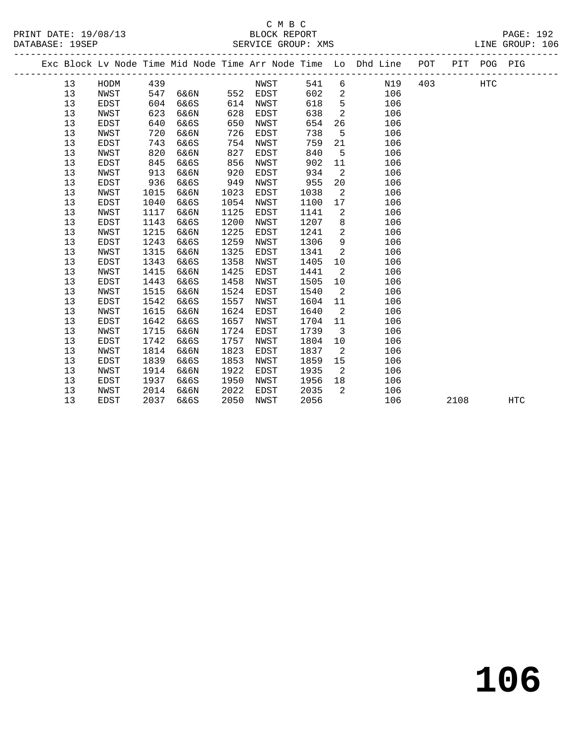# C M B C<br>BLOCK REPORT

PRINT DATE: 19/08/13 BLOCK REPORT PAGE: 192 SERVICE GROUP: XMS

|  |    |             |      |      |      |             |      |                | Exc Block Lv Node Time Mid Node Time Arr Node Time Lo Dhd Line POT |     |      | PIT POG PIG |            |
|--|----|-------------|------|------|------|-------------|------|----------------|--------------------------------------------------------------------|-----|------|-------------|------------|
|  | 13 | HODM        | 439  |      |      | NWST        | 541  | 6              | N19                                                                | 403 |      | <b>HTC</b>  |            |
|  | 13 | NWST        | 547  | 6&6N | 552  | EDST        | 602  | $\overline{a}$ | 106                                                                |     |      |             |            |
|  | 13 | <b>EDST</b> | 604  | 6&6S | 614  | NWST        | 618  | 5              | 106                                                                |     |      |             |            |
|  | 13 | NWST        | 623  | 6&6N | 628  | EDST        | 638  | 2              | 106                                                                |     |      |             |            |
|  | 13 | EDST        | 640  | 6&6S | 650  | NWST        | 654  | 26             | 106                                                                |     |      |             |            |
|  | 13 | NWST        | 720  | 6&6N | 726  | EDST        | 738  | 5              | 106                                                                |     |      |             |            |
|  | 13 | <b>EDST</b> | 743  | 6&6S | 754  | NWST        | 759  | 21             | 106                                                                |     |      |             |            |
|  | 13 | NWST        | 820  | 6&6N | 827  | EDST        | 840  | 5              | 106                                                                |     |      |             |            |
|  | 13 | <b>EDST</b> | 845  | 6&6S | 856  | NWST        | 902  | 11             | 106                                                                |     |      |             |            |
|  | 13 | NWST        | 913  | 6&6N | 920  | EDST        | 934  | $\overline{a}$ | 106                                                                |     |      |             |            |
|  | 13 | <b>EDST</b> | 936  | 6&6S | 949  | NWST        | 955  | 20             | 106                                                                |     |      |             |            |
|  | 13 | NWST        | 1015 | 6&6N | 1023 | EDST        | 1038 | 2              | 106                                                                |     |      |             |            |
|  | 13 | EDST        | 1040 | 6&6S | 1054 | NWST        | 1100 | 17             | 106                                                                |     |      |             |            |
|  | 13 | NWST        | 1117 | 6&6N | 1125 | EDST        | 1141 | 2              | 106                                                                |     |      |             |            |
|  | 13 | <b>EDST</b> | 1143 | 6&6S | 1200 | NWST        | 1207 | 8              | 106                                                                |     |      |             |            |
|  | 13 | NWST        | 1215 | 6&6N | 1225 | EDST        | 1241 | 2              | 106                                                                |     |      |             |            |
|  | 13 | EDST        | 1243 | 6&6S | 1259 | NWST        | 1306 | 9              | 106                                                                |     |      |             |            |
|  | 13 | NWST        | 1315 | 6&6N | 1325 | EDST        | 1341 | 2              | 106                                                                |     |      |             |            |
|  | 13 | EDST        | 1343 | 6&6S | 1358 | NWST        | 1405 | 10             | 106                                                                |     |      |             |            |
|  | 13 | NWST        | 1415 | 6&6N | 1425 | EDST        | 1441 | 2              | 106                                                                |     |      |             |            |
|  | 13 | EDST        | 1443 | 6&6S | 1458 | NWST        | 1505 | 10             | 106                                                                |     |      |             |            |
|  | 13 | NWST        | 1515 | 6&6N | 1524 | EDST        | 1540 | 2              | 106                                                                |     |      |             |            |
|  | 13 | EDST        | 1542 | 6&6S | 1557 | NWST        | 1604 | 11             | 106                                                                |     |      |             |            |
|  | 13 | NWST        | 1615 | 6&6N | 1624 | EDST        | 1640 | 2              | 106                                                                |     |      |             |            |
|  | 13 | EDST        | 1642 | 6&6S | 1657 | NWST        | 1704 | 11             | 106                                                                |     |      |             |            |
|  | 13 | NWST        | 1715 | 6&6N | 1724 | EDST        | 1739 | $\overline{3}$ | 106                                                                |     |      |             |            |
|  | 13 | <b>EDST</b> | 1742 | 6&6S | 1757 | NWST        | 1804 | 10             | 106                                                                |     |      |             |            |
|  | 13 | NWST        | 1814 | 6&6N | 1823 | <b>EDST</b> | 1837 | 2              | 106                                                                |     |      |             |            |
|  | 13 | <b>EDST</b> | 1839 | 6&6S | 1853 | NWST        | 1859 | 15             | 106                                                                |     |      |             |            |
|  | 13 | NWST        | 1914 | 6&6N | 1922 | EDST        | 1935 | 2              | 106                                                                |     |      |             |            |
|  | 13 | EDST        | 1937 | 6&6S | 1950 | NWST        | 1956 | 18             | 106                                                                |     |      |             |            |
|  | 13 | NWST        | 2014 | 6&6N | 2022 | EDST        | 2035 | 2              | 106                                                                |     |      |             |            |
|  | 13 | <b>EDST</b> | 2037 | 6&6S | 2050 | NWST        | 2056 |                | 106                                                                |     | 2108 |             | <b>HTC</b> |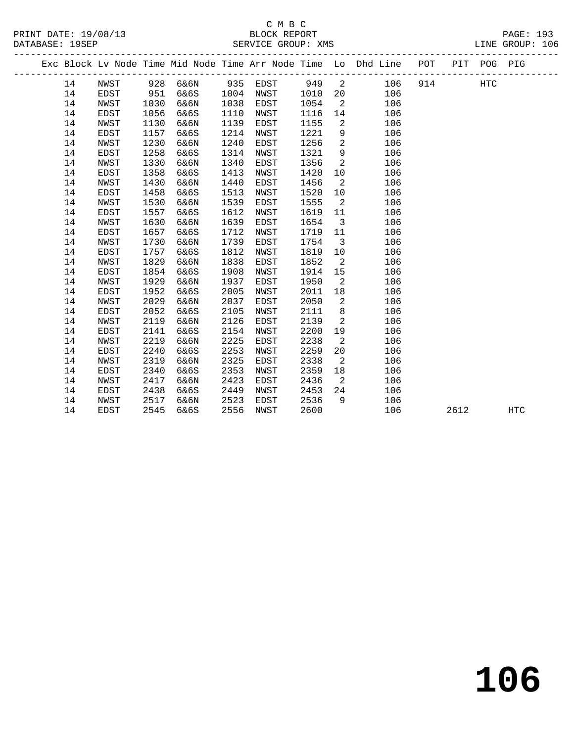# C M B C<br>BLOCK REPORT

PRINT DATE: 19/08/13 BLOCK REPORT PAGE: 193 LINE GROUP: 106 -------------------------------------------------------------------------------------------------

| Exc Block Lv Node Time Mid Node Time Arr Node Time Lo Dhd Line |                     |              |              |              |              |              |                      |            | POT | PIT  | POG | PIG        |  |
|----------------------------------------------------------------|---------------------|--------------|--------------|--------------|--------------|--------------|----------------------|------------|-----|------|-----|------------|--|
| 14                                                             | NWST                | 928          | 6&6N         | 935          | EDST         | 949          | 2                    | 106        | 914 |      | HTC |            |  |
| 14                                                             | EDST                | 951          | 6&6S         | 1004         | NWST         | 1010         | 20                   | 106        |     |      |     |            |  |
| 14                                                             | NWST                | 1030         | 6&6N         | 1038         | EDST         | 1054         | 2                    | 106        |     |      |     |            |  |
| 14                                                             | <b>EDST</b>         | 1056         | 6&6S         | 1110         | NWST         | 1116         | 14                   | 106        |     |      |     |            |  |
| 14                                                             | NWST                | 1130         | 6&6N         | 1139         | EDST         | 1155         | 2                    | 106        |     |      |     |            |  |
| 14                                                             | EDST                | 1157         | 6&6S         | 1214         | NWST         | 1221         | 9                    | 106        |     |      |     |            |  |
| 14                                                             | NWST                | 1230         | 6&6N         | 1240         | EDST         | 1256         | 2                    | 106        |     |      |     |            |  |
| 14                                                             | EDST                | 1258         | 6&6S         | 1314         | NWST         | 1321         | 9                    | 106        |     |      |     |            |  |
| 14                                                             | NWST                | 1330         | 6&6N         | 1340         | EDST         | 1356         | 2                    | 106        |     |      |     |            |  |
| 14                                                             | <b>EDST</b>         | 1358         | 6&6S         | 1413         | NWST         | 1420         | 10                   | 106        |     |      |     |            |  |
| 14                                                             | NWST                | 1430         | 6&6N         | 1440         | EDST         | 1456         | 2                    | 106        |     |      |     |            |  |
| 14                                                             | <b>EDST</b>         | 1458         | 6&6S         | 1513         | NWST         | 1520         | 10                   | 106        |     |      |     |            |  |
| 14                                                             | NWST                | 1530         | 6&6N         | 1539         | EDST         | 1555         | 2                    | 106        |     |      |     |            |  |
| 14                                                             | EDST                | 1557         | 6&6S         | 1612         | NWST         | 1619         | 11                   | 106        |     |      |     |            |  |
| 14                                                             | NWST                | 1630         | 6&6N         | 1639         | EDST         | 1654         | 3                    | 106        |     |      |     |            |  |
| 14                                                             | EDST                | 1657         | 6&6S         | 1712         | NWST         | 1719         | 11                   | 106        |     |      |     |            |  |
| 14                                                             | NWST                | 1730         | 6&6N         | 1739         | EDST         | 1754         | 3                    | 106        |     |      |     |            |  |
| 14                                                             | EDST                | 1757         | 6&6S         | 1812         | NWST         | 1819         | 10                   | 106        |     |      |     |            |  |
| 14                                                             | NWST                | 1829         | 6&6N         | 1838         | EDST         | 1852         | 2                    | 106        |     |      |     |            |  |
| 14                                                             | <b>EDST</b>         | 1854         | 6&6S         | 1908         | NWST         | 1914         | 15                   | 106        |     |      |     |            |  |
| 14                                                             | NWST                | 1929         | 6&6N         | 1937         | EDST         | 1950         | 2                    | 106        |     |      |     |            |  |
| 14                                                             | EDST                | 1952         | 6&6S         | 2005         | NWST         | 2011         | 18                   | 106        |     |      |     |            |  |
| 14                                                             | NWST                | 2029         | 6&6N         | 2037         | EDST         | 2050         | 2                    | 106        |     |      |     |            |  |
| 14                                                             | <b>EDST</b>         | 2052         | 6&6S         | 2105         | NWST         | 2111         | 8                    | 106        |     |      |     |            |  |
| 14                                                             | NWST                | 2119         | 6&6N         | 2126         | EDST         | 2139         | $\overline{a}$       | 106        |     |      |     |            |  |
| 14                                                             | EDST                | 2141         | 6&6S         | 2154         | NWST         | 2200         | 19                   | 106        |     |      |     |            |  |
| 14<br>14                                                       | NWST<br><b>EDST</b> | 2219<br>2240 | 6&6N         | 2225<br>2253 | EDST         | 2238<br>2259 | $\overline{a}$<br>20 | 106<br>106 |     |      |     |            |  |
| 14                                                             | NWST                | 2319         | 6&6S<br>6&6N | 2325         | NWST<br>EDST | 2338         | 2                    | 106        |     |      |     |            |  |
| 14                                                             | EDST                | 2340         | 6&6S         | 2353         | NWST         | 2359         | 18                   | 106        |     |      |     |            |  |
| 14                                                             | NWST                | 2417         | 6&6N         | 2423         | EDST         | 2436         | 2                    | 106        |     |      |     |            |  |
| 14                                                             | EDST                | 2438         | 6&6S         | 2449         | NWST         | 2453         | 24                   | 106        |     |      |     |            |  |
| 14                                                             | NWST                | 2517         | 6&6N         | 2523         | EDST         | 2536         | 9                    | 106        |     |      |     |            |  |
| 14                                                             | <b>EDST</b>         | 2545         | 6&6S         | 2556         | <b>NWST</b>  | 2600         |                      | 106        |     | 2612 |     | <b>HTC</b> |  |
|                                                                |                     |              |              |              |              |              |                      |            |     |      |     |            |  |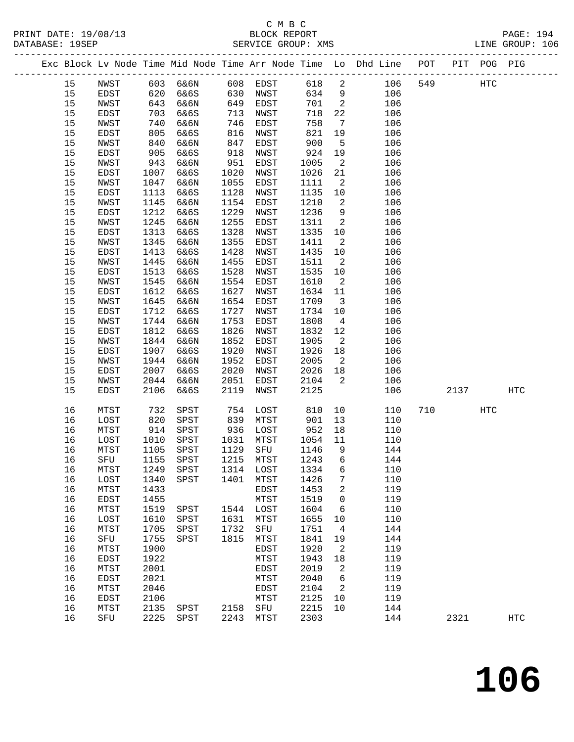# C M B C

LINE GROUP: 106

| DATABASE: 19SEP |                     |                      | SERVICE GROUP: XMS   |                |                                                                                |     |     | LINE GROUP: 106 |  |
|-----------------|---------------------|----------------------|----------------------|----------------|--------------------------------------------------------------------------------|-----|-----|-----------------|--|
|                 |                     |                      |                      |                | Exc Block Lv Node Time Mid Node Time Arr Node Time Lo Dhd Line POT PIT POG PIG |     |     |                 |  |
| 15<br>15        | NWST<br><b>EDST</b> | 603 6&6N<br>620 6&6S | 608 EDST<br>630 NWST | 618 2<br>634 9 | 106<br>106                                                                     | 549 | HTC |                 |  |

 15 NWST 643 6&6N 649 EDST 701 2 106 15 EDST 703 6&6S 713 NWST 718 22 106

 15 NWST 740 6&6N 746 EDST 758 7 106 15 EDST 805 6&6S 816 NWST 821 19 106 15 NWST 840 6&6N 847 EDST 900 5 106 15 EDST 905 6&6S 918 NWST 924 19 106 15 NWST 943 6&6N 951 EDST 1005 2 106 15 EDST 1007 6&6S 1020 NWST 1026 21 106 15 NWST 1047 6&6N 1055 EDST 1111 2 106 15 EDST 1113 6&6S 1128 NWST 1135 10 106 15 NWST 1145 6&6N 1154 EDST 1210 2 106 15 EDST 1212 6&6S 1229 NWST 1236 9 106 15 NWST 1245 6&6N 1255 EDST 1311 2 106 15 EDST 1313 6&6S 1328 NWST 1335 10 106 15 NWST 1345 6&6N 1355 EDST 1411 2 106 15 EDST 1413 6&6S 1428 NWST 1435 10 106 15 NWST 1445 6&6N 1455 EDST 1511 2 106 15 EDST 1513 6&6S 1528 NWST 1535 10 106 15 NWST 1545 6&6N 1554 EDST 1610 2 106 15 EDST 1612 6&6S 1627 NWST 1634 11 106 15 NWST 1645 6&6N 1654 EDST 1709 3 106 15 EDST 1712 6&6S 1727 NWST 1734 10 106 15 NWST 1744 6&6N 1753 EDST 1808 4 106 15 EDST 1812 6&6S 1826 NWST 1832 12 106 15 NWST 1844 6&6N 1852 EDST 1905 2 106 15 EDST 1907 6&6S 1920 NWST 1926 18 106 15 NWST 1944 6&6N 1952 EDST 2005 2 106 15 EDST 2007 6&6S 2020 NWST 2026 18 106 15 NWST 2044 6&6N 2051 EDST 2104 2 106 15 EDST 2106 6&6S 2119 NWST 2125 106 2137 HTC 16 MTST 732 SPST 754 LOST 810 10 110 710 HTC 16 LOST 820 SPST 839 MTST 901 13 110 16 MTST 914 SPST 936 LOST 952 18 110 16 LOST 1010 SPST 1031 MTST 1054 11 110 16 MTST 1105 SPST 1129 SFU 1146 9 144 16 SFU 1155 SPST 1215 MTST 1243 6 144 16 MTST 1249 SPST 1314 LOST 1334 6 110 16 LOST 1340 SPST 1401 MTST 1426 7 110 16 MTST 1433 EDST 1453 2 119 16 EDST 1455 MTST 1519 0 119 16 MTST 1519 SPST 1544 LOST 1604 6 110 16 LOST 1610 SPST 1631 MTST 1655 10 110 16 MTST 1705 SPST 1732 SFU 1751 4 144 16 SFU 1755 SPST 1815 MTST 1841 19 144 16 MTST 1900 EDST 1920 2 119 16 EDST 1922 MTST 1943 18 119 16 MTST 2001 EDST 2019 2 119 16 EDST 2021 MTST 2040 6 119 16 MTST 2046 EDST 2104 2 119 16 EDST 2106 MTST 2125 10 119 16 MTST 2135 SPST 2158 SFU 2215 10 144 16 SFU 2225 SPST 2243 MTST 2303 144 2321 HTC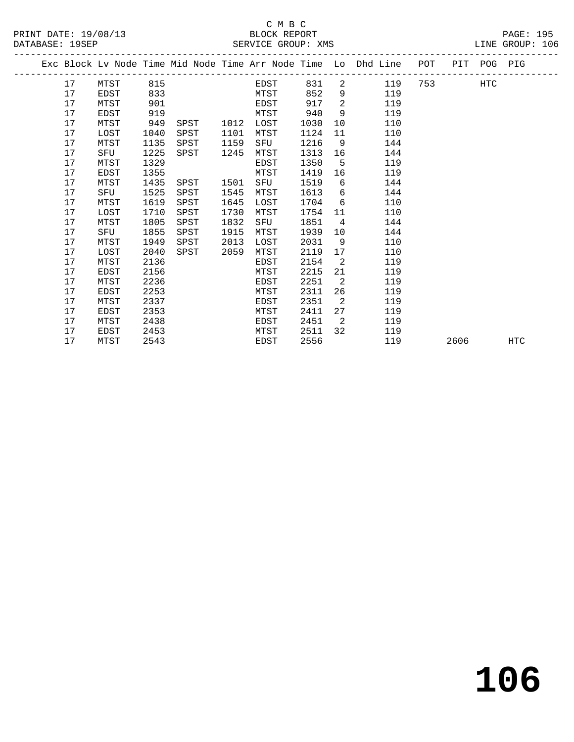|  |    |             |      |      |      |      |      |                | Exc Block Lv Node Time Mid Node Time Arr Node Time Lo Dhd Line | POT |      | PIT POG PIG |            |
|--|----|-------------|------|------|------|------|------|----------------|----------------------------------------------------------------|-----|------|-------------|------------|
|  | 17 | MTST        | 815  |      |      | EDST | 831  | $\overline{2}$ | 119                                                            |     |      | <b>HTC</b>  |            |
|  | 17 | EDST        | 833  |      |      | MTST | 852  | 9              | 119                                                            |     |      |             |            |
|  | 17 | MTST        | 901  |      |      | EDST | 917  | 2              | 119                                                            |     |      |             |            |
|  | 17 | <b>EDST</b> | 919  |      |      | MTST | 940  | 9              | 119                                                            |     |      |             |            |
|  | 17 | MTST        | 949  | SPST | 1012 | LOST | 1030 | 10             | 110                                                            |     |      |             |            |
|  | 17 | LOST        | 1040 | SPST | 1101 | MTST | 1124 | 11             | 110                                                            |     |      |             |            |
|  | 17 | MTST        | 1135 | SPST | 1159 | SFU  | 1216 | - 9            | 144                                                            |     |      |             |            |
|  | 17 | SFU         | 1225 | SPST | 1245 | MTST | 1313 | 16             | 144                                                            |     |      |             |            |
|  | 17 | MTST        | 1329 |      |      | EDST | 1350 | $-5$           | 119                                                            |     |      |             |            |
|  | 17 | EDST        | 1355 |      |      | MTST | 1419 | 16             | 119                                                            |     |      |             |            |
|  | 17 | MTST        | 1435 | SPST | 1501 | SFU  | 1519 | 6              | 144                                                            |     |      |             |            |
|  | 17 | SFU         | 1525 | SPST | 1545 | MTST | 1613 | 6              | 144                                                            |     |      |             |            |
|  | 17 | MTST        | 1619 | SPST | 1645 | LOST | 1704 | 6              | 110                                                            |     |      |             |            |
|  | 17 | LOST        | 1710 | SPST | 1730 | MTST | 1754 | 11             | 110                                                            |     |      |             |            |
|  | 17 | MTST        | 1805 | SPST | 1832 | SFU  | 1851 | $\overline{4}$ | 144                                                            |     |      |             |            |
|  | 17 | SFU         | 1855 | SPST | 1915 | MTST | 1939 | 10             | 144                                                            |     |      |             |            |
|  | 17 | MTST        | 1949 | SPST | 2013 | LOST | 2031 | 9              | 110                                                            |     |      |             |            |
|  | 17 | LOST        | 2040 | SPST | 2059 | MTST | 2119 | 17             | 110                                                            |     |      |             |            |
|  | 17 | MTST        | 2136 |      |      | EDST | 2154 | 2              | 119                                                            |     |      |             |            |
|  | 17 | EDST        | 2156 |      |      | MTST | 2215 | 21             | 119                                                            |     |      |             |            |
|  | 17 | MTST        | 2236 |      |      | EDST | 2251 | 2              | 119                                                            |     |      |             |            |
|  | 17 | EDST        | 2253 |      |      | MTST | 2311 | 26             | 119                                                            |     |      |             |            |
|  | 17 | MTST        | 2337 |      |      | EDST | 2351 | 2              | 119                                                            |     |      |             |            |
|  | 17 | EDST        | 2353 |      |      | MTST | 2411 | 27             | 119                                                            |     |      |             |            |
|  | 17 | MTST        | 2438 |      |      | EDST | 2451 | 2              | 119                                                            |     |      |             |            |
|  | 17 | EDST        | 2453 |      |      | MTST | 2511 | 32             | 119                                                            |     |      |             |            |
|  | 17 | MTST        | 2543 |      |      | EDST | 2556 |                | 119                                                            |     | 2606 |             | <b>HTC</b> |
|  |    |             |      |      |      |      |      |                |                                                                |     |      |             |            |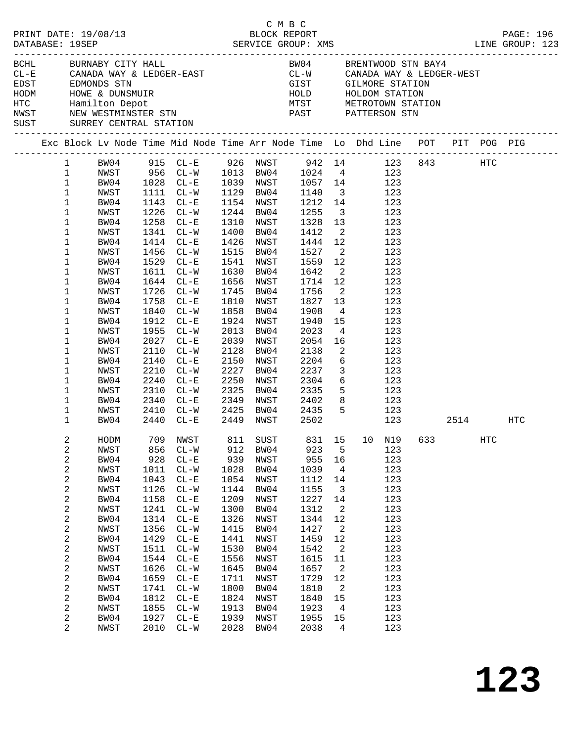|  | DATABASE: 19SEP                                                                                                                                                                                                            | PRINT DATE: 19/08/13                                                                                                                                                                         |                                                                                                                                                    |                                                                                                                                                                                                                                                                                                                                                                                                                                                                                                  |                                                                                                                                                    | смвс<br>BLOCK REPORT                                                                                                                                                                                                                    |                                                                                                                                                                                                |                                                                                                                                                                                                                       |                                                                                                                                                                                                                                                                                                                                                                         |  |     | PAGE: 196                                                                      |
|--|----------------------------------------------------------------------------------------------------------------------------------------------------------------------------------------------------------------------------|----------------------------------------------------------------------------------------------------------------------------------------------------------------------------------------------|----------------------------------------------------------------------------------------------------------------------------------------------------|--------------------------------------------------------------------------------------------------------------------------------------------------------------------------------------------------------------------------------------------------------------------------------------------------------------------------------------------------------------------------------------------------------------------------------------------------------------------------------------------------|----------------------------------------------------------------------------------------------------------------------------------------------------|-----------------------------------------------------------------------------------------------------------------------------------------------------------------------------------------------------------------------------------------|------------------------------------------------------------------------------------------------------------------------------------------------------------------------------------------------|-----------------------------------------------------------------------------------------------------------------------------------------------------------------------------------------------------------------------|-------------------------------------------------------------------------------------------------------------------------------------------------------------------------------------------------------------------------------------------------------------------------------------------------------------------------------------------------------------------------|--|-----|--------------------------------------------------------------------------------|
|  |                                                                                                                                                                                                                            | BCHL BURNABY CITY HALL<br>SUST SURREY CENTRAL STATION                                                                                                                                        |                                                                                                                                                    | $\begin{array}{lllllllll} \texttt{CL-E} & \texttt{CANADA WAY & \& LEDGER-EAST} & \texttt{CL-W} & \texttt{CANADA WAY & \& LEDGER-WEST} \\ \texttt{EDST} & \texttt{EDMONDS STN} & & & & & \\ \end{array}$<br>EDST EDMONDS STN GIST GILMORE STATION<br>HODM HOWE & DUNSMUIR<br>HODM HOWE & DUNSMUIR<br>HOLD HOLDOM STATION<br>HOLD HOLDOM STATION<br>NETROTOWN STATION<br>NETROTOWN STATION<br>NETROTOWN STATION<br>NETROTOWN STATION<br>NETROTOWN STATION<br>NE                                    |                                                                                                                                                    |                                                                                                                                                                                                                                         |                                                                                                                                                                                                |                                                                                                                                                                                                                       | BW04 BRENTWOOD STN BAY4                                                                                                                                                                                                                                                                                                                                                 |  |     |                                                                                |
|  |                                                                                                                                                                                                                            |                                                                                                                                                                                              |                                                                                                                                                    |                                                                                                                                                                                                                                                                                                                                                                                                                                                                                                  |                                                                                                                                                    |                                                                                                                                                                                                                                         |                                                                                                                                                                                                |                                                                                                                                                                                                                       |                                                                                                                                                                                                                                                                                                                                                                         |  |     | Exc Block Lv Node Time Mid Node Time Arr Node Time Lo Dhd Line POT PIT POG PIG |
|  | $\mathbf{1}$<br>$\mathbf{1}$<br>$\mathbf{1}$<br>$\mathbf{1}$<br>$\mathbf{1}$<br>$\mathbf{1}$<br>1<br>1<br>1<br>1<br>1<br>1<br>1<br>1<br>1<br>1<br>1<br>1<br>1<br>1<br>1<br>1<br>1<br>$\mathbf 1$<br>1<br>$\mathbf{1}$<br>2 | NWST<br>BW04<br>NWST<br>BW04<br>NWST<br>BW04<br>NWST<br>BW04<br>NWST<br>BW04<br>NWST<br>BW04<br>NWST<br>BW04<br>NWST<br>BW04<br>NWST<br>BW04<br>NWST<br>BW04<br>NWST<br>BW04<br>NWST<br>BW04 | 1912<br>1955<br>2027<br>2110<br>2210<br>2240                                                                                                       | 1 BW04 915 CL-E 926 NWST 942 14 123 843 HTC<br>NWST 956 CL-W 1013 BW04 1024 4 123<br>BW04 1028 CL-E 1039 NWST 1057 14 123<br>1111 CL-W<br>1143 CL-E<br>1226 CL-W<br>1258 CL-E<br>1341 CL-W<br>1414 CL-E<br>1456 CL-W<br>1529 CL-E<br>1611 CL-W<br>1644 CL-E<br>1726 CL-W<br>1758 CL-E<br>1840 CL-W<br>$CL-E$<br>$CL-W$<br>$CL - E$<br>$CL-W$<br>2140 CL-E<br>$CL - W$<br>$CL - E$<br>2310 CL-W<br>2340 CL-E<br>2410 CL-W 2425 BW04 2435<br>2440 CL-E<br>HODM 709 NWST 811 SUST 831 15 10 N19 633 | 1630<br>2013<br>2150<br>2227<br>2250                                                                                                               | 1154 NWST<br>1244 BW04<br>1310 NWST<br>1400 BW04<br>1426 NWST<br>1515 BW04<br>1541 NWST<br>BW04<br>1656 NWST<br>1745 BW04<br>1810 NWST<br>1858 BW04<br>1924 NWST<br>BW04<br>2039 NWST<br>2128 BW04<br>NWST<br>BW04<br>NWST<br>2325 BW04 | 1129 BW04 1140<br>1255<br>1328<br>1412<br>1444 12<br>1527<br>1559<br>1642<br>1714 12<br>1756<br>1827<br>1908<br>1940<br>2023<br>2054<br>2138<br>2204<br>2237<br>2304<br>2335<br>2449 NWST 2502 | 13<br>12<br>$\overline{\phantom{a}}$<br>$\overline{\phantom{a}}$<br>13<br>$4\overline{4}$<br>$\overline{\phantom{a}}$<br>$\overline{\mathbf{3}}$                                                                      | 3 123<br>1212 14 123<br>$\overline{\mathbf{3}}$<br>123<br>123<br>2 123<br>123<br>$\overline{\mathbf{2}}$<br>123<br>123<br>123<br>123<br>123<br>123<br>123<br>15<br>123<br>$4\overline{ }$<br>123<br>16<br>$\frac{1}{2}$<br>123<br>$6\overline{6}$<br>123<br>123<br>$\begin{array}{ccc} 6 & & 123 \\ 5 & & 123 \end{array}$<br>2349 NWST 2402 8 123<br>5 123<br>123 2514 |  | HTC | HTC                                                                            |
|  | 2<br>2<br>2<br>2<br>2<br>2<br>2<br>2<br>2<br>2<br>2<br>2<br>2<br>2<br>2<br>2<br>2<br>2<br>2                                                                                                                                | NWST<br>BW04<br>NWST<br>BW04<br>NWST<br>BW04<br>NWST<br>BW04<br>NWST<br>BW04<br>NWST<br>BW04<br>NWST<br>BW04<br>NWST<br>BW04<br>NWST<br>BW04<br>NWST                                         | 856<br>928<br>1011<br>1043<br>1126<br>1158<br>1241<br>1314<br>1356<br>1429<br>1511<br>1544<br>1626<br>1659<br>1741<br>1812<br>1855<br>1927<br>2010 | $CL - W$<br>$CL - E$<br>$CL-W$<br>$CL - E$<br>$CL - W$<br>$CL - E$<br>$CL - W$<br>$CL - E$<br>$CL - W$<br>$CL - E$<br>$CL-W$<br>$CL - E$<br>$CL - W$<br>$CL - E$<br>$CL-W$<br>$CL - E$<br>$CL-W$<br>$CL - E$<br>$CL-W$                                                                                                                                                                                                                                                                           | 912<br>939<br>1028<br>1054<br>1144<br>1209<br>1300<br>1326<br>1415<br>1441<br>1530<br>1556<br>1645<br>1711<br>1800<br>1824<br>1913<br>1939<br>2028 | BW04<br>NWST<br>BW04<br>NWST<br>BW04<br>NWST<br>BW04<br>NWST<br>BW04<br>NWST<br>BW04<br>NWST<br>BW04<br>NWST<br>BW04<br>NWST<br>BW04<br>NWST<br>BW04                                                                                    | 923<br>955<br>1039<br>1112<br>1155<br>1227<br>1312<br>1344<br>1427<br>1459<br>1542<br>1615<br>1657<br>1729<br>1810<br>1840<br>1923<br>1955<br>2038                                             | 5<br>16<br>$\overline{4}$<br>14<br>$\overline{3}$<br>14<br>$\overline{a}$<br>12<br>$\overline{\phantom{a}}^2$<br>12<br>$\overline{2}$<br>11<br>$\overline{\phantom{a}}$<br>12<br>2<br>15<br>$\overline{4}$<br>15<br>4 | 123<br>123<br>123<br>123<br>123<br>123<br>123<br>123<br>123<br>123<br>123<br>123<br>123<br>123<br>123<br>123<br>123<br>123<br>123                                                                                                                                                                                                                                       |  |     |                                                                                |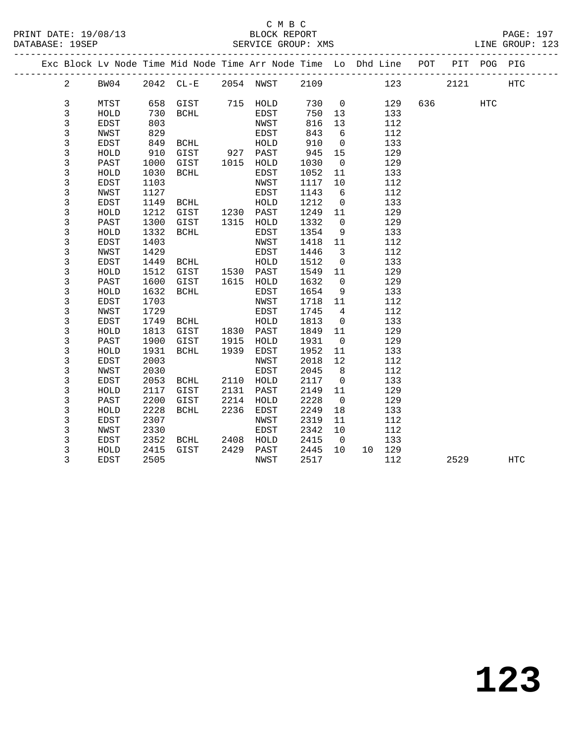### C M B C<br>BLOCK REPORT

PAGE: 197<br>LINE GROUP: 123

|  |                |              |              | Exc Block Lv Node Time Mid Node Time Arr Node Time Lo Dhd Line POT |              |              |              |                          |    |            |     | PIT  | POG        | PIG        |  |
|--|----------------|--------------|--------------|--------------------------------------------------------------------|--------------|--------------|--------------|--------------------------|----|------------|-----|------|------------|------------|--|
|  | $\overline{a}$ | BW04         |              | 2042 CL-E                                                          |              | 2054 NWST    | 2109         |                          |    | 123        |     | 2121 |            | <b>HTC</b> |  |
|  | 3              | MTST         | 658          | GIST                                                               | 715          | HOLD         | 730          | $\mathbf 0$              |    | 129        | 636 |      | <b>HTC</b> |            |  |
|  | 3              | HOLD         | 730          | <b>BCHL</b>                                                        |              | EDST         | 750          | 13                       |    | 133        |     |      |            |            |  |
|  | 3              | EDST         | 803          |                                                                    |              | NWST         | 816          | 13                       |    | 112        |     |      |            |            |  |
|  | 3              | NWST         | 829          |                                                                    |              | EDST         | 843          | 6                        |    | 112        |     |      |            |            |  |
|  | 3              | EDST         | 849          | BCHL                                                               |              | HOLD         | 910          | $\mathbf 0$              |    | 133        |     |      |            |            |  |
|  | 3              | HOLD         | 910          | GIST                                                               | 927          | PAST         | 945          | 15                       |    | 129        |     |      |            |            |  |
|  | $\mathbf{3}$   | PAST         | 1000         | GIST                                                               | 1015         | HOLD         | 1030         | $\overline{0}$           |    | 129        |     |      |            |            |  |
|  | 3              | HOLD         | 1030         | BCHL                                                               |              | EDST         | 1052         | 11                       |    | 133        |     |      |            |            |  |
|  | 3              | EDST         | 1103         |                                                                    |              | NWST         | 1117         | 10                       |    | 112        |     |      |            |            |  |
|  | $\mathbf{3}$   | NWST         | 1127         |                                                                    |              | EDST         | 1143         | 6                        |    | 112        |     |      |            |            |  |
|  | $\mathbf{3}$   | EDST         | 1149         | BCHL                                                               |              | HOLD         | 1212         | $\mathbf 0$              |    | 133        |     |      |            |            |  |
|  | 3              | HOLD         | 1212         | GIST                                                               | 1230         | PAST         | 1249         | 11                       |    | 129        |     |      |            |            |  |
|  | 3              | PAST         | 1300         | GIST                                                               | 1315         | HOLD         | 1332         | $\mathbf 0$              |    | 129        |     |      |            |            |  |
|  | 3              | HOLD         | 1332         | <b>BCHL</b>                                                        |              | EDST         | 1354         | 9                        |    | 133        |     |      |            |            |  |
|  | $\mathbf{3}$   | EDST         | 1403         |                                                                    |              | NWST         | 1418         | 11                       |    | 112        |     |      |            |            |  |
|  | 3              | NWST         | 1429         |                                                                    |              | EDST         | 1446         | $\overline{\mathbf{3}}$  |    | 112        |     |      |            |            |  |
|  | 3              | EDST         | 1449         | <b>BCHL</b>                                                        |              | HOLD         | 1512         | $\mathsf{O}$             |    | 133        |     |      |            |            |  |
|  | 3              | HOLD         | 1512         | GIST                                                               | 1530         | PAST         | 1549         | 11                       |    | 129        |     |      |            |            |  |
|  | 3              | PAST         | 1600         | GIST                                                               | 1615         | HOLD         | 1632         | $\mathbf 0$              |    | 129        |     |      |            |            |  |
|  | 3              | HOLD         | 1632         | BCHL                                                               |              | EDST         | 1654         | 9                        |    | 133        |     |      |            |            |  |
|  | 3              | EDST         | 1703         |                                                                    |              | NWST         | 1718         | 11                       |    | 112        |     |      |            |            |  |
|  | 3              | NWST         | 1729         |                                                                    |              | EDST         | 1745         | 4                        |    | 112        |     |      |            |            |  |
|  | 3              | EDST         | 1749         | BCHL                                                               |              | HOLD         | 1813         | $\mathbf 0$              |    | 133        |     |      |            |            |  |
|  | 3              | ${\tt HOLD}$ | 1813         | GIST                                                               |              | 1830 PAST    | 1849         | 11                       |    | 129        |     |      |            |            |  |
|  | 3<br>3         | PAST<br>HOLD | 1900<br>1931 | GIST<br><b>BCHL</b>                                                | 1915<br>1939 | HOLD<br>EDST | 1931<br>1952 | $\overline{0}$<br>11     |    | 129<br>133 |     |      |            |            |  |
|  | 3              | EDST         | 2003         |                                                                    |              | NWST         | 2018         | 12                       |    | 112        |     |      |            |            |  |
|  | $\mathbf{3}$   | NWST         | 2030         |                                                                    |              | EDST         | 2045         | 8                        |    | 112        |     |      |            |            |  |
|  | 3              | EDST         | 2053         | BCHL                                                               | 2110         | HOLD         | 2117         | $\mathbf 0$              |    | 133        |     |      |            |            |  |
|  | 3              | HOLD         | 2117         | GIST                                                               | 2131         | PAST         | 2149         | 11                       |    | 129        |     |      |            |            |  |
|  | 3              | PAST         | 2200         | GIST                                                               | 2214         | HOLD         | 2228         | $\mathbf 0$              |    | 129        |     |      |            |            |  |
|  | $\mathbf{3}$   | HOLD         | 2228         | <b>BCHL</b>                                                        | 2236         | EDST         | 2249         | 18                       |    | 133        |     |      |            |            |  |
|  | 3              | EDST         | 2307         |                                                                    |              | NWST         | 2319         | 11                       |    | 112        |     |      |            |            |  |
|  | 3              | NWST         | 2330         |                                                                    |              | EDST         | 2342         | 10                       |    | 112        |     |      |            |            |  |
|  | 3              | EDST         | 2352         | BCHL                                                               | 2408         | HOLD         | 2415         | $\overline{\phantom{0}}$ |    | 133        |     |      |            |            |  |
|  | 3              | HOLD         | 2415         | GIST                                                               | 2429         | PAST         | 2445         | 10                       | 10 | 129        |     |      |            |            |  |
|  | 3              | EDST         | 2505         |                                                                    |              | NWST         | 2517         |                          |    | 112        |     | 2529 |            | <b>HTC</b> |  |
|  |                |              |              |                                                                    |              |              |              |                          |    |            |     |      |            |            |  |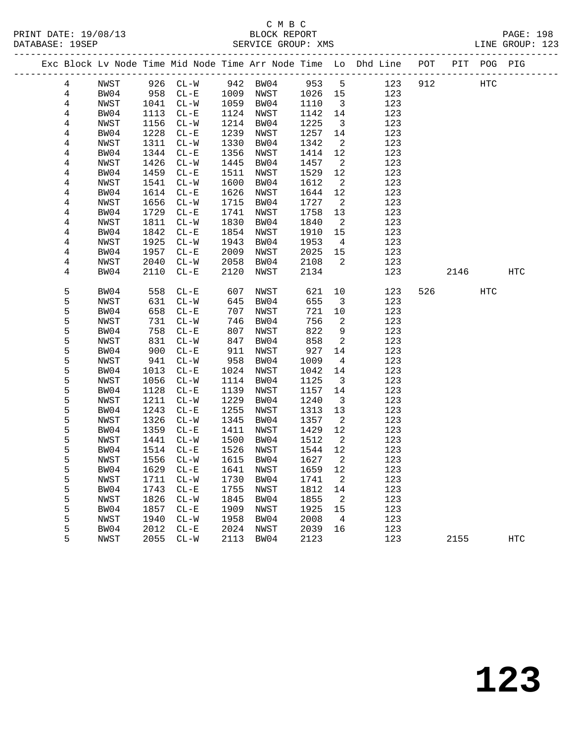|  |                |              |              |                          |              |              |                   |                            | Exc Block Lv Node Time Mid Node Time Arr Node Time Lo Dhd Line POT |     |      | PIT POG PIG |                   |  |
|--|----------------|--------------|--------------|--------------------------|--------------|--------------|-------------------|----------------------------|--------------------------------------------------------------------|-----|------|-------------|-------------------|--|
|  | 4              | NWST         | 926          | $CL-W$                   | 942          | BW04         | 953               | 5                          | 123                                                                | 912 |      | <b>HTC</b>  |                   |  |
|  | 4              | BW04         | 958          | $CL - E$                 | 1009         | NWST         | 1026              | 15                         | 123                                                                |     |      |             |                   |  |
|  | $\overline{4}$ | NWST         | 1041         | $CL-W$                   | 1059         | BW04         | 1110              | $\overline{\mathbf{3}}$    | 123                                                                |     |      |             |                   |  |
|  | 4              | BW04         | 1113         | $CL - E$                 | 1124         | NWST         | 1142              | 14                         | 123                                                                |     |      |             |                   |  |
|  | 4              | NWST         | 1156         | $CL - W$                 | 1214         | BW04         | 1225              | $\overline{\mathbf{3}}$    | 123                                                                |     |      |             |                   |  |
|  | 4              | BW04         | 1228         | $CL - E$                 | 1239         | NWST         | 1257              | 14                         | 123                                                                |     |      |             |                   |  |
|  | $\bf 4$        | NWST         | 1311         | $CL - W$                 | 1330         | BW04         | 1342              | $\overline{a}$             | 123                                                                |     |      |             |                   |  |
|  | 4              | BW04         | 1344         | $CL - E$                 | 1356         | NWST         | 1414              | 12                         | 123                                                                |     |      |             |                   |  |
|  | 4              | NWST         | 1426         | $CL - W$                 | 1445         | BW04         | 1457              | $\overline{\phantom{a}}^2$ | 123                                                                |     |      |             |                   |  |
|  | 4              | BW04         | 1459         | $CL - E$                 | 1511         | NWST         | 1529              | $12$                       | 123                                                                |     |      |             |                   |  |
|  | 4              | NWST         | 1541         | $CL - W$                 | 1600         | BW04         | 1612              | $\overline{\phantom{a}}^2$ | 123                                                                |     |      |             |                   |  |
|  | 4              | BW04         | 1614         | $CL - E$                 | 1626         | NWST         | 1644              | 12                         | 123                                                                |     |      |             |                   |  |
|  | 4              | NWST         | 1656         | $CL - W$                 | 1715         | BW04         | 1727              | $\overline{\phantom{a}}^2$ | 123                                                                |     |      |             |                   |  |
|  | 4              | BW04         | 1729         | $CL - E$                 | 1741         | NWST         | 1758              | 13                         | 123                                                                |     |      |             |                   |  |
|  | 4              | NWST         | 1811         | $CL-W$                   | 1830         | BW04         | 1840              | $\overline{2}$             | 123                                                                |     |      |             |                   |  |
|  | 4              | BW04         | 1842         | $CL - E$                 | 1854         | NWST         | 1910              | 15                         | 123                                                                |     |      |             |                   |  |
|  | 4              | NWST         | 1925         | $CL - W$                 | 1943         | BW04         | 1953              | $\overline{4}$             | 123                                                                |     |      |             |                   |  |
|  | 4              | BW04         | 1957         | $CL - E$                 | 2009         | NWST         | 2025              | 15                         | 123                                                                |     |      |             |                   |  |
|  | 4              | NWST         | 2040         | $CL-W$                   | 2058         | BW04         | 2108              | 2                          | 123                                                                |     |      |             |                   |  |
|  | 4              | BW04         | 2110         | $CL - E$                 | 2120         | NWST         | 2134              |                            | 123                                                                |     | 2146 |             | $_{\mathrm{HTC}}$ |  |
|  | 5              | BW04         | 558          | $CL - E$                 | 607          | NWST         | 621               | 10                         | 123                                                                | 526 |      | <b>HTC</b>  |                   |  |
|  | 5              | NWST         | 631          | $CL-W$                   | 645          | BW04         | 655               | $\overline{\mathbf{3}}$    | 123                                                                |     |      |             |                   |  |
|  | 5              | BW04         | 658          | $CL - E$                 | 707          | NWST         | 721               | 10                         | 123                                                                |     |      |             |                   |  |
|  | 5              | NWST         | 731          | $\mathtt{CL-}\mathtt{W}$ | 746          | BW04         | 756               | 2                          | 123                                                                |     |      |             |                   |  |
|  | 5              | BW04         | 758          | $CL - E$                 | 807          | NWST         | 822               | 9                          | 123                                                                |     |      |             |                   |  |
|  | 5              | NWST         | 831          | $CL-W$                   | 847          | BW04         | 858               | 2                          | 123                                                                |     |      |             |                   |  |
|  | 5              | BW04         | 900          | $CL - E$                 | 911          | NWST         | 927               | 14                         | 123                                                                |     |      |             |                   |  |
|  | 5              | NWST         | 941          | $CL - W$                 | 958          | BW04         | 1009              | $\overline{4}$             | 123                                                                |     |      |             |                   |  |
|  | 5              | BW04         | 1013         | $CL - E$                 | 1024         | NWST         | 1042              | 14                         | 123                                                                |     |      |             |                   |  |
|  | 5              | NWST         | 1056         | $CL-W$                   | 1114         | BW04         | 1125              | $\overline{\mathbf{3}}$    | 123                                                                |     |      |             |                   |  |
|  | 5              | BW04         | 1128         | $CL - E$                 | 1139         | NWST         | 1157              | 14                         | 123                                                                |     |      |             |                   |  |
|  | 5              | NWST         | 1211         | $CL - W$                 | 1229         | BW04         | 1240              | $\overline{\mathbf{3}}$    | 123                                                                |     |      |             |                   |  |
|  | 5              | BW04         | 1243         | $CL - E$                 | 1255         | NWST         | 1313              | 13                         | 123                                                                |     |      |             |                   |  |
|  | 5              | NWST         | 1326         | $CL - W$                 | 1345         | BW04         | 1357              | 2                          | 123                                                                |     |      |             |                   |  |
|  | 5              | BW04         | 1359         | $CL - E$                 | 1411         | NWST         | 1429              | 12                         | 123                                                                |     |      |             |                   |  |
|  | 5              | NWST         | 1441         | $CL-W$                   | 1500         | BW04         | 1512              | $\overline{\phantom{a}}^2$ | 123                                                                |     |      |             |                   |  |
|  | 5              | BW04         | 1514         | $CL - E$                 | 1526         | NWST         | 1544              | 12                         | 123                                                                |     |      |             |                   |  |
|  | 5              | NWST         | 1556         | $CL-W$                   | 1615         | BW04         | 1627              | 2                          | 123                                                                |     |      |             |                   |  |
|  | 5              | BW04         | 1629 CL-E    |                          |              |              | 1641 NWST 1659 12 |                            | 123                                                                |     |      |             |                   |  |
|  | 5              | NWST         | 1711         | $CL - W$                 | 1730         | BW04         | 1741              | 2                          | 123                                                                |     |      |             |                   |  |
|  | 5              | BW04         | 1743         | $CL - E$                 | 1755         | NWST         | 1812              | 14                         | 123                                                                |     |      |             |                   |  |
|  | 5              | NWST         | 1826         | $CL - W$                 | 1845         | BW04         | 1855              | 2                          | 123<br>123                                                         |     |      |             |                   |  |
|  | 5<br>5         | BW04         | 1857<br>1940 | $CL - E$                 | 1909<br>1958 | NWST         | 1925<br>2008      | 15                         | 123                                                                |     |      |             |                   |  |
|  | 5              | NWST<br>BW04 | 2012         | $CL - W$<br>$\rm CL-E$   | 2024         | BW04<br>NWST | 2039              | 4<br>16                    | 123                                                                |     |      |             |                   |  |
|  | 5              | NWST         | 2055         | $CL-W$                   | 2113         | BW04         | 2123              |                            | 123                                                                |     | 2155 |             | <b>HTC</b>        |  |
|  |                |              |              |                          |              |              |                   |                            |                                                                    |     |      |             |                   |  |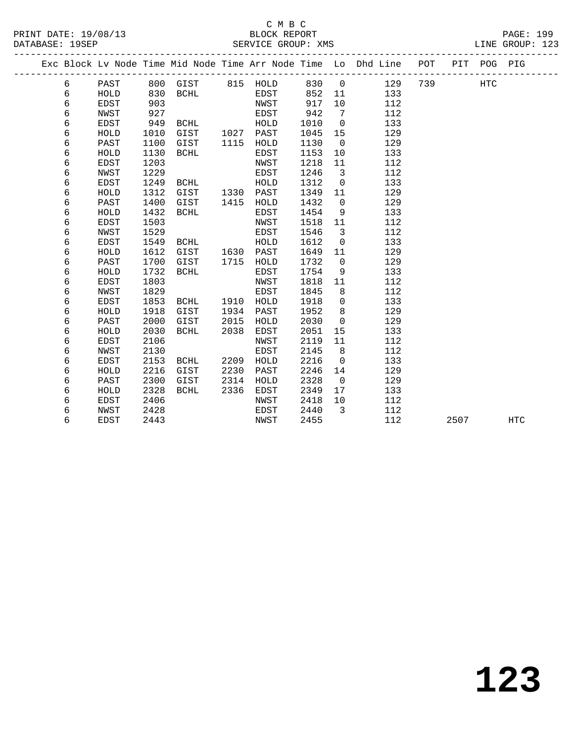### C M B C<br>BLOCK REPORT SERVICE GROUP: XMS

PRINT DATE: 19/08/13 BLOCK REPORT PAGE: 199

|  |   |             |      |                   |      |           |      |                              | Exc Block Lv Node Time Mid Node Time Arr Node Time Lo Dhd Line POT |     | PIT  | POG PIG    |            |
|--|---|-------------|------|-------------------|------|-----------|------|------------------------------|--------------------------------------------------------------------|-----|------|------------|------------|
|  | 6 | PAST        |      | 800 GIST 815 HOLD |      |           | 830  | $\overline{0}$               | 129                                                                | 739 |      | <b>HTC</b> |            |
|  | 6 | HOLD        | 830  | BCHL              |      | EDST      | 852  | 11                           | 133                                                                |     |      |            |            |
|  | 6 | <b>EDST</b> | 903  |                   |      | NWST      | 917  | 10                           | 112                                                                |     |      |            |            |
|  | 6 | NWST        | 927  |                   |      | EDST      | 942  | $7\phantom{.0}\phantom{.0}7$ | 112                                                                |     |      |            |            |
|  | 6 | <b>EDST</b> | 949  | BCHL              |      | HOLD      | 1010 | $\overline{0}$               | 133                                                                |     |      |            |            |
|  | 6 | HOLD        | 1010 | GIST              | 1027 | PAST      | 1045 | 15                           | 129                                                                |     |      |            |            |
|  | 6 | PAST        | 1100 | GIST              | 1115 | HOLD      | 1130 | $\overline{0}$               | 129                                                                |     |      |            |            |
|  | 6 | HOLD        | 1130 | BCHL              |      | EDST      | 1153 | 10                           | 133                                                                |     |      |            |            |
|  | 6 | <b>EDST</b> | 1203 |                   |      | NWST      | 1218 | 11                           | 112                                                                |     |      |            |            |
|  | 6 | NWST        | 1229 |                   |      | EDST      | 1246 | $\overline{3}$               | 112                                                                |     |      |            |            |
|  | 6 | <b>EDST</b> | 1249 | BCHL              |      | HOLD      | 1312 | $\mathbf 0$                  | 133                                                                |     |      |            |            |
|  | 6 | HOLD        | 1312 | GIST              | 1330 | PAST      | 1349 | 11                           | 129                                                                |     |      |            |            |
|  | 6 | PAST        | 1400 | GIST              | 1415 | HOLD      | 1432 | $\mathbf 0$                  | 129                                                                |     |      |            |            |
|  | 6 | HOLD        | 1432 | BCHL              |      | EDST      | 1454 | 9                            | 133                                                                |     |      |            |            |
|  | 6 | <b>EDST</b> | 1503 |                   |      | NWST      | 1518 | 11                           | 112                                                                |     |      |            |            |
|  | 6 | NWST        | 1529 |                   |      | EDST      | 1546 | 3                            | 112                                                                |     |      |            |            |
|  | 6 | <b>EDST</b> | 1549 | BCHL              |      | HOLD      | 1612 | $\mathbf 0$                  | 133                                                                |     |      |            |            |
|  | 6 | HOLD        | 1612 | GIST              | 1630 | PAST      | 1649 | 11                           | 129                                                                |     |      |            |            |
|  | 6 | PAST        | 1700 | GIST              | 1715 | HOLD      | 1732 | $\mathbf 0$                  | 129                                                                |     |      |            |            |
|  | 6 | HOLD        | 1732 | BCHL              |      | EDST      | 1754 | 9                            | 133                                                                |     |      |            |            |
|  | 6 | <b>EDST</b> | 1803 |                   |      | NWST      | 1818 | 11                           | 112                                                                |     |      |            |            |
|  | 6 | NWST        | 1829 |                   |      | EDST      | 1845 | 8                            | 112                                                                |     |      |            |            |
|  | 6 | EDST        | 1853 | BCHL              |      | 1910 HOLD | 1918 | $\mathbf 0$                  | 133                                                                |     |      |            |            |
|  | 6 | HOLD        | 1918 | GIST              | 1934 | PAST      | 1952 | 8                            | 129                                                                |     |      |            |            |
|  | 6 | PAST        | 2000 | GIST              | 2015 | HOLD      | 2030 | $\overline{0}$               | 129                                                                |     |      |            |            |
|  | 6 | HOLD        | 2030 | BCHL              | 2038 | EDST      | 2051 | 15                           | 133                                                                |     |      |            |            |
|  | 6 | <b>EDST</b> | 2106 |                   |      | NWST      | 2119 | 11                           | 112                                                                |     |      |            |            |
|  | 6 | NWST        | 2130 |                   |      | EDST      | 2145 | 8                            | 112                                                                |     |      |            |            |
|  | 6 | EDST        | 2153 | BCHL              | 2209 | HOLD      | 2216 | $\overline{0}$               | 133                                                                |     |      |            |            |
|  | 6 | HOLD        | 2216 | GIST              | 2230 | PAST      | 2246 | 14                           | 129                                                                |     |      |            |            |
|  | 6 | PAST        | 2300 | GIST              | 2314 | HOLD      | 2328 | $\overline{0}$               | 129                                                                |     |      |            |            |
|  | 6 | HOLD        | 2328 | BCHL              | 2336 | EDST      | 2349 | 17                           | 133                                                                |     |      |            |            |
|  | 6 | EDST        | 2406 |                   |      | NWST      | 2418 | 10                           | 112                                                                |     |      |            |            |
|  | 6 | NWST        | 2428 |                   |      | EDST      | 2440 | 3                            | 112                                                                |     |      |            |            |
|  | 6 | EDST        | 2443 |                   |      | NWST      | 2455 |                              | 112                                                                |     | 2507 |            | <b>HTC</b> |
|  |   |             |      |                   |      |           |      |                              |                                                                    |     |      |            |            |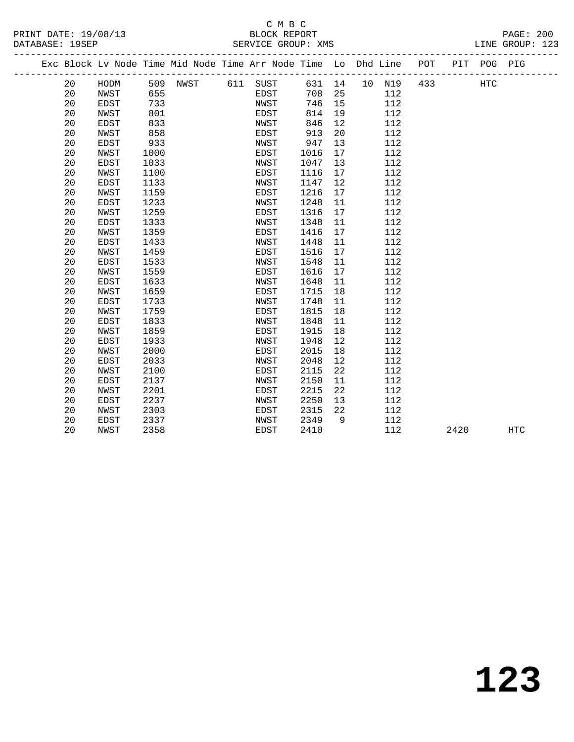#### C M B C<br>BLOCK REPORT SERVICE GROUP: XMS

|  |    |             |      | Exc Block Lv Node Time Mid Node Time Arr Node Time Lo Dhd Line POT |             |        |    |        |     | PIT POG PIG |  |
|--|----|-------------|------|--------------------------------------------------------------------|-------------|--------|----|--------|-----|-------------|--|
|  | 20 | HODM        |      | 509 NWST 611 SUST                                                  |             | 631 14 |    | 10 N19 | 433 | HTC         |  |
|  | 20 | NWST        | 655  |                                                                    | EDST        | 708    | 25 | 112    |     |             |  |
|  | 20 | <b>EDST</b> | 733  |                                                                    | NWST        | 746    | 15 | 112    |     |             |  |
|  | 20 | NWST        | 801  |                                                                    | EDST        | 814    | 19 | 112    |     |             |  |
|  | 20 | <b>EDST</b> | 833  |                                                                    | NWST        | 846    | 12 | 112    |     |             |  |
|  | 20 | NWST        | 858  |                                                                    | EDST        | 913    | 20 | 112    |     |             |  |
|  | 20 | <b>EDST</b> | 933  |                                                                    | NWST        | 947    | 13 | 112    |     |             |  |
|  | 20 | NWST        | 1000 |                                                                    | EDST        | 1016   | 17 | 112    |     |             |  |
|  | 20 | <b>EDST</b> | 1033 |                                                                    | NWST        | 1047   | 13 | 112    |     |             |  |
|  | 20 | NWST        | 1100 |                                                                    | EDST        | 1116   | 17 | 112    |     |             |  |
|  | 20 | <b>EDST</b> | 1133 |                                                                    | NWST        | 1147   | 12 | 112    |     |             |  |
|  | 20 | NWST        | 1159 |                                                                    | EDST        | 1216   | 17 | 112    |     |             |  |
|  | 20 | <b>EDST</b> | 1233 |                                                                    | NWST        | 1248   | 11 | 112    |     |             |  |
|  | 20 | NWST        | 1259 |                                                                    | EDST        | 1316   | 17 | 112    |     |             |  |
|  | 20 | <b>EDST</b> | 1333 |                                                                    | NWST        | 1348   | 11 | 112    |     |             |  |
|  | 20 | NWST        | 1359 |                                                                    | EDST        | 1416   | 17 | 112    |     |             |  |
|  | 20 | <b>EDST</b> | 1433 |                                                                    | NWST        | 1448   | 11 | 112    |     |             |  |
|  | 20 | NWST        | 1459 |                                                                    | EDST        | 1516   | 17 | 112    |     |             |  |
|  | 20 | EDST        | 1533 |                                                                    | NWST        | 1548   | 11 | 112    |     |             |  |
|  | 20 | NWST        | 1559 |                                                                    | EDST        | 1616   | 17 | 112    |     |             |  |
|  | 20 | <b>EDST</b> | 1633 |                                                                    | NWST        | 1648   | 11 | 112    |     |             |  |
|  | 20 | NWST        | 1659 |                                                                    | EDST        | 1715   | 18 | 112    |     |             |  |
|  | 20 | <b>EDST</b> | 1733 |                                                                    | NWST        | 1748   | 11 | 112    |     |             |  |
|  | 20 | NWST        | 1759 |                                                                    | EDST        | 1815   | 18 | 112    |     |             |  |
|  | 20 | EDST        | 1833 |                                                                    | NWST        | 1848   | 11 | 112    |     |             |  |
|  | 20 | NWST        | 1859 |                                                                    | EDST        | 1915   | 18 | 112    |     |             |  |
|  | 20 | <b>EDST</b> | 1933 |                                                                    | NWST        | 1948   | 12 | 112    |     |             |  |
|  | 20 | NWST        | 2000 |                                                                    | EDST        | 2015   | 18 | 112    |     |             |  |
|  | 20 | <b>EDST</b> | 2033 |                                                                    | NWST        | 2048   | 12 | 112    |     |             |  |
|  | 20 | NWST        | 2100 |                                                                    | EDST        | 2115   | 22 | 112    |     |             |  |
|  | 20 | <b>EDST</b> | 2137 |                                                                    | NWST        | 2150   | 11 | 112    |     |             |  |
|  | 20 | NWST        | 2201 |                                                                    | EDST        | 2215   | 22 | 112    |     |             |  |
|  | 20 | <b>EDST</b> | 2237 |                                                                    | NWST        | 2250   | 13 | 112    |     |             |  |
|  | 20 | NWST        | 2303 |                                                                    | <b>EDST</b> | 2315   | 22 | 112    |     |             |  |

20 EDST 2337 NWST 2349 9 112

20 NWST 2358 EDST 2410 112 2420 HTC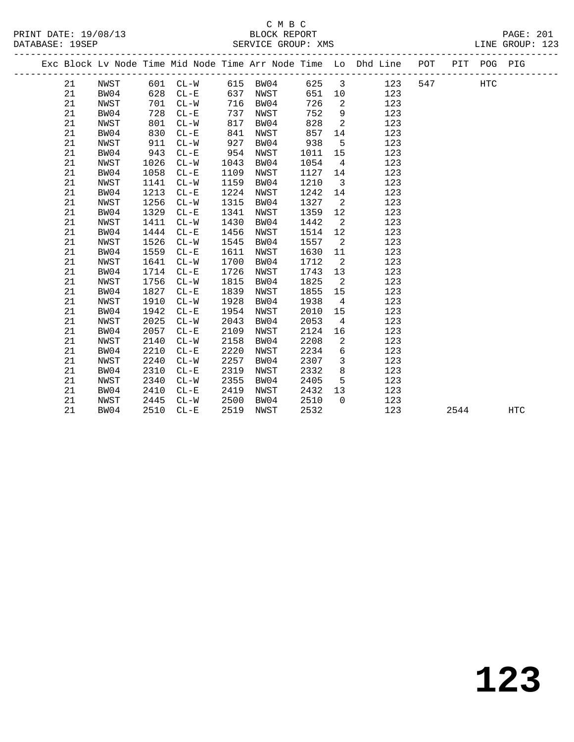### C M B C<br>BLOCK REPORT PRINT DATE: 19/08/13 BLOCK REPORT PAGE: 201

| DATABASE: 19SEP |    |  |  | SERVICE GROUP: XMS |  |                                                                                |  |     | LINE GROUP: 123 |  |
|-----------------|----|--|--|--------------------|--|--------------------------------------------------------------------------------|--|-----|-----------------|--|
|                 |    |  |  |                    |  | Exc Block Lv Node Time Mid Node Time Arr Node Time Lo Dhd Line POT PIT POG PIG |  |     |                 |  |
|                 | 21 |  |  |                    |  | NWST 601 CL-W 615 BW04 625 3 123 547                                           |  | HTC |                 |  |

| 21 | BW04 | 628  | $CL - E$ | 637  | NWST        | 651  | 10             | 123 |      |     |
|----|------|------|----------|------|-------------|------|----------------|-----|------|-----|
| 21 | NWST | 701  | $CL-W$   | 716  | BW04        | 726  | 2              | 123 |      |     |
| 21 | BW04 | 728  | $CL - E$ | 737  | NWST        | 752  | 9              | 123 |      |     |
| 21 | NWST | 801  | $CL - W$ | 817  | BW04        | 828  | $\overline{a}$ | 123 |      |     |
| 21 | BW04 | 830  | $CL - E$ | 841  | NWST        | 857  | 14             | 123 |      |     |
| 21 | NWST | 911  | $CL-W$   | 927  | BW04        | 938  | 5              | 123 |      |     |
| 21 | BW04 | 943  | $CL - E$ | 954  | NWST        | 1011 | 15             | 123 |      |     |
| 21 | NWST | 1026 | $CL - W$ | 1043 | BW04        | 1054 | $\overline{4}$ | 123 |      |     |
| 21 | BW04 | 1058 | $CL - E$ | 1109 | <b>NWST</b> | 1127 | 14             | 123 |      |     |
| 21 | NWST | 1141 | $CL-W$   | 1159 | BW04        | 1210 | 3              | 123 |      |     |
| 21 | BW04 | 1213 | $CL - E$ | 1224 | NWST        | 1242 | 14             | 123 |      |     |
| 21 | NWST | 1256 | $CL-W$   | 1315 | BW04        | 1327 | $\overline{a}$ | 123 |      |     |
| 21 | BW04 | 1329 | $CL - E$ | 1341 | NWST        | 1359 | 12             | 123 |      |     |
| 21 | NWST | 1411 | $CL-W$   | 1430 | BW04        | 1442 | 2              | 123 |      |     |
| 21 | BW04 | 1444 | $CL - E$ | 1456 | NWST        | 1514 | 12             | 123 |      |     |
| 21 | NWST | 1526 | $CL - W$ | 1545 | BW04        | 1557 | 2              | 123 |      |     |
| 21 | BW04 | 1559 | $CL - E$ | 1611 | <b>NWST</b> | 1630 | 11             | 123 |      |     |
| 21 | NWST | 1641 | $CL-W$   | 1700 | BW04        | 1712 | 2              | 123 |      |     |
| 21 | BW04 | 1714 | $CL - E$ | 1726 | NWST        | 1743 | 13             | 123 |      |     |
| 21 | NWST | 1756 | $CL - W$ | 1815 | BW04        | 1825 | $\overline{a}$ | 123 |      |     |
| 21 | BW04 | 1827 | $CL - E$ | 1839 | NWST        | 1855 | 15             | 123 |      |     |
| 21 | NWST | 1910 | $CL-W$   | 1928 | BW04        | 1938 | 4              | 123 |      |     |
| 21 | BW04 | 1942 | $CL - E$ | 1954 | NWST        | 2010 | 15             | 123 |      |     |
| 21 | NWST | 2025 | $CL-W$   | 2043 | BW04        | 2053 | 4              | 123 |      |     |
| 21 | BW04 | 2057 | $CL - E$ | 2109 | <b>NWST</b> | 2124 | 16             | 123 |      |     |
| 21 | NWST | 2140 | $CL - W$ | 2158 | BW04        | 2208 | 2              | 123 |      |     |
| 21 | BW04 | 2210 | $CL - E$ | 2220 | NWST        | 2234 | 6              | 123 |      |     |
| 21 | NWST | 2240 | $CL-W$   | 2257 | BW04        | 2307 | 3              | 123 |      |     |
| 21 | BW04 | 2310 | $CL - E$ | 2319 | NWST        | 2332 | 8              | 123 |      |     |
| 21 | NWST | 2340 | $CL-W$   | 2355 | BW04        | 2405 | 5              | 123 |      |     |
| 21 | BW04 | 2410 | $CL - E$ | 2419 | NWST        | 2432 | 13             | 123 |      |     |
| 21 | NWST | 2445 | $CL-W$   | 2500 | BW04        | 2510 | $\mathbf 0$    | 123 |      |     |
| 21 | BW04 | 2510 | $CL - E$ | 2519 | <b>NWST</b> | 2532 |                | 123 | 2544 | HTC |
|    |      |      |          |      |             |      |                |     |      |     |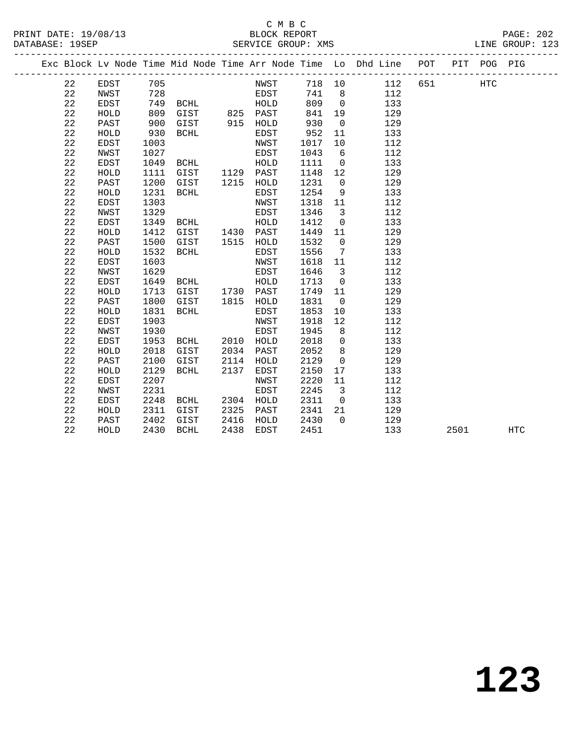# C M B C<br>BLOCK REPORT

|                 | PRINT DATE: 19/08/13 |                                                                                    |                    | BLOCK REPORT |  |  | PAGE: 202       |  |
|-----------------|----------------------|------------------------------------------------------------------------------------|--------------------|--------------|--|--|-----------------|--|
| DATABASE: 19SEP |                      |                                                                                    | SERVICE GROUP: XMS |              |  |  | LINE GROUP: 123 |  |
|                 |                      | Fire Dlogh It Mode Time Mid Mode Time Appe Mode Time Is Dhd Line. DOT LOTT DOC DIC |                    |              |  |  |                 |  |

|  |             |             |      |             |      |             |      |             | Exc Block Lv Node Time Mid Node Time Arr Node Time Lo Dhd Line | POT | PIT  | POG PIG    |            |  |
|--|-------------|-------------|------|-------------|------|-------------|------|-------------|----------------------------------------------------------------|-----|------|------------|------------|--|
|  | 22          | EDST        | 705  |             |      | NWST        | 718  | 10          | 112                                                            | 651 |      | <b>HTC</b> |            |  |
|  | 22          | NWST        | 728  |             |      | EDST        | 741  | 8           | 112                                                            |     |      |            |            |  |
|  | 22          | EDST        | 749  | BCHL        |      | HOLD        | 809  | $\mathbf 0$ | 133                                                            |     |      |            |            |  |
|  | 22          | HOLD        | 809  | GIST        | 825  | PAST        | 841  | 19          | 129                                                            |     |      |            |            |  |
|  | 22          | PAST        | 900  | GIST        | 915  | HOLD        | 930  | $\mathbf 0$ | 129                                                            |     |      |            |            |  |
|  | 22          | HOLD        | 930  | <b>BCHL</b> |      | <b>EDST</b> | 952  | 11          | 133                                                            |     |      |            |            |  |
|  | 22          | <b>EDST</b> | 1003 |             |      | NWST        | 1017 | 10          | 112                                                            |     |      |            |            |  |
|  | 22          | NWST        | 1027 |             |      | EDST        | 1043 | 6           | 112                                                            |     |      |            |            |  |
|  | 22          | EDST        | 1049 | BCHL        |      | HOLD        | 1111 | $\mathbf 0$ | 133                                                            |     |      |            |            |  |
|  | 22          | HOLD        | 1111 | GIST        | 1129 | PAST        | 1148 | 12          | 129                                                            |     |      |            |            |  |
|  | 22          | PAST        | 1200 | GIST        | 1215 | HOLD        | 1231 | $\mathbf 0$ | 129                                                            |     |      |            |            |  |
|  | 22          | HOLD        | 1231 | <b>BCHL</b> |      | EDST        | 1254 | 9           | 133                                                            |     |      |            |            |  |
|  | 22          | <b>EDST</b> | 1303 |             |      | NWST        | 1318 | 11          | 112                                                            |     |      |            |            |  |
|  | 22          | NWST        | 1329 |             |      | EDST        | 1346 | 3           | 112                                                            |     |      |            |            |  |
|  | 22          | EDST        | 1349 | BCHL        |      | HOLD        | 1412 | $\mathbf 0$ | 133                                                            |     |      |            |            |  |
|  | $2\sqrt{2}$ | HOLD        | 1412 | GIST        | 1430 | PAST        | 1449 | 11          | 129                                                            |     |      |            |            |  |
|  | 22          | PAST        | 1500 | GIST        | 1515 | HOLD        | 1532 | 0           | 129                                                            |     |      |            |            |  |
|  | 22          | HOLD        | 1532 | <b>BCHL</b> |      | <b>EDST</b> | 1556 | 7           | 133                                                            |     |      |            |            |  |
|  | 22          | EDST        | 1603 |             |      | NWST        | 1618 | 11          | 112                                                            |     |      |            |            |  |
|  | 22          | NWST        | 1629 |             |      | EDST        | 1646 | 3           | 112                                                            |     |      |            |            |  |
|  | 22          | <b>EDST</b> | 1649 | BCHL        |      | HOLD        | 1713 | $\mathbf 0$ | 133                                                            |     |      |            |            |  |
|  | 22          | HOLD        | 1713 | GIST        | 1730 | PAST        | 1749 | 11          | 129                                                            |     |      |            |            |  |
|  | 22          | PAST        | 1800 | GIST        | 1815 | HOLD        | 1831 | $\mathbf 0$ | 129                                                            |     |      |            |            |  |
|  | 22          | HOLD        | 1831 | <b>BCHL</b> |      | EDST        | 1853 | 10          | 133                                                            |     |      |            |            |  |
|  | 22          | <b>EDST</b> | 1903 |             |      | NWST        | 1918 | 12          | 112                                                            |     |      |            |            |  |
|  | 22          | NWST        | 1930 |             |      | EDST        | 1945 | 8           | 112                                                            |     |      |            |            |  |
|  | 22          | <b>EDST</b> | 1953 | BCHL        | 2010 | HOLD        | 2018 | 0           | 133                                                            |     |      |            |            |  |
|  | 22          | HOLD        | 2018 | GIST        | 2034 | PAST        | 2052 | 8           | 129                                                            |     |      |            |            |  |
|  | 22          | PAST        | 2100 | GIST        | 2114 | HOLD        | 2129 | $\mathbf 0$ | 129                                                            |     |      |            |            |  |
|  | 22          | HOLD        | 2129 | <b>BCHL</b> | 2137 | EDST        | 2150 | 17          | 133                                                            |     |      |            |            |  |
|  | 22          | EDST        | 2207 |             |      | NWST        | 2220 | 11          | 112                                                            |     |      |            |            |  |
|  | 22          | NWST        | 2231 |             |      | EDST        | 2245 | 3           | 112                                                            |     |      |            |            |  |
|  | 22          | EDST        | 2248 | BCHL        | 2304 | HOLD        | 2311 | $\mathbf 0$ | 133                                                            |     |      |            |            |  |
|  | 22          | HOLD        | 2311 | GIST        | 2325 | PAST        | 2341 | 21          | 129                                                            |     |      |            |            |  |
|  | 22          | PAST        | 2402 | GIST        | 2416 | HOLD        | 2430 | $\Omega$    | 129                                                            |     |      |            |            |  |
|  | 22          | HOLD        | 2430 | <b>BCHL</b> | 2438 | EDST        | 2451 |             | 133                                                            |     | 2501 |            | <b>HTC</b> |  |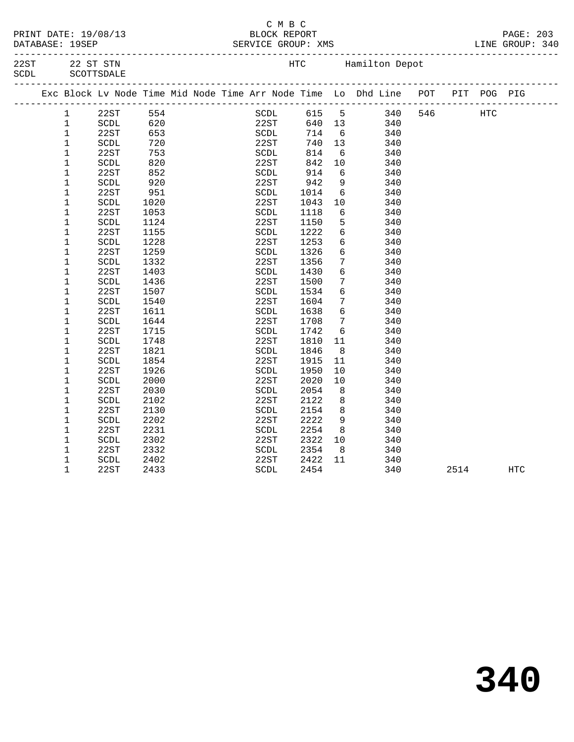|  | PRINT DATE: 19/08/13 |
|--|----------------------|
|  | $\cdots$             |

#### $\begin{array}{ccccc}\n & C & M & B & C \\
\hline\n & & & \text{BLOCK REPOF}\n\end{array}$ BLOCK REPORT PAGE: 203<br>ERVICE GROUP: XMS DERVICE BLOCK PAGE: 203 DATABASE: 19SEP SERVICE GROUP: XMS

-------------------------------------------------------------------------------------------------

| 22ST  | 22 ST STN  |
|-------|------------|
| SCDL. | SCOTTSDALE |

HTC Hamilton Depot

| Exc Block Lv Node Time Mid Node Time Arr Node Time Lo Dhd Line POT | ____________________ |      |  |      |       |                 |     |     |      | PIT POG PIG |            |  |
|--------------------------------------------------------------------|----------------------|------|--|------|-------|-----------------|-----|-----|------|-------------|------------|--|
| $\mathbf{1}$                                                       | 22ST                 | 554  |  | SCDL | 615 5 |                 | 340 | 546 |      | <b>HTC</b>  |            |  |
| 1                                                                  | SCDL                 | 620  |  | 22ST | 640   | 13              | 340 |     |      |             |            |  |
| 1                                                                  | 22ST                 | 653  |  | SCDL | 714   | $6\overline{6}$ | 340 |     |      |             |            |  |
| 1                                                                  | SCDL                 | 720  |  | 22ST | 740   | 13              | 340 |     |      |             |            |  |
| $\mathbf 1$                                                        | 22ST                 | 753  |  | SCDL | 814   | $6\overline{6}$ | 340 |     |      |             |            |  |
| $\mathbf 1$                                                        | SCDL                 | 820  |  | 22ST | 842   | 10              | 340 |     |      |             |            |  |
| 1                                                                  | 22ST                 | 852  |  | SCDL | 914   | 6               | 340 |     |      |             |            |  |
| 1                                                                  | SCDL                 | 920  |  | 22ST | 942   | 9               | 340 |     |      |             |            |  |
| 1                                                                  | 22ST                 | 951  |  | SCDL | 1014  | 6               | 340 |     |      |             |            |  |
| 1                                                                  | SCDL                 | 1020 |  | 22ST | 1043  | 10              | 340 |     |      |             |            |  |
| 1                                                                  | 22ST                 | 1053 |  | SCDL | 1118  | 6               | 340 |     |      |             |            |  |
| 1                                                                  | SCDL                 | 1124 |  | 22ST | 1150  | 5               | 340 |     |      |             |            |  |
| 1                                                                  | 22ST                 | 1155 |  | SCDL | 1222  | $\sqrt{6}$      | 340 |     |      |             |            |  |
| 1                                                                  | SCDL                 | 1228 |  | 22ST | 1253  | 6               | 340 |     |      |             |            |  |
| 1                                                                  | 22ST                 | 1259 |  | SCDL | 1326  | 6               | 340 |     |      |             |            |  |
| 1                                                                  | SCDL                 | 1332 |  | 22ST | 1356  | 7               | 340 |     |      |             |            |  |
| 1                                                                  | 22ST                 | 1403 |  | SCDL | 1430  | 6               | 340 |     |      |             |            |  |
| 1                                                                  | <b>SCDL</b>          | 1436 |  | 22ST | 1500  | 7               | 340 |     |      |             |            |  |
| 1                                                                  | 22ST                 | 1507 |  | SCDL | 1534  | 6               | 340 |     |      |             |            |  |
| 1                                                                  | SCDL                 | 1540 |  | 22ST | 1604  | 7               | 340 |     |      |             |            |  |
| 1                                                                  | 22ST                 | 1611 |  | SCDL | 1638  | 6               | 340 |     |      |             |            |  |
| 1                                                                  | SCDL                 | 1644 |  | 22ST | 1708  | 7               | 340 |     |      |             |            |  |
| 1                                                                  | 22ST                 | 1715 |  | SCDL | 1742  | 6               | 340 |     |      |             |            |  |
| 1                                                                  | SCDL                 | 1748 |  | 22ST | 1810  | 11              | 340 |     |      |             |            |  |
| 1                                                                  | 22ST                 | 1821 |  | SCDL | 1846  | 8               | 340 |     |      |             |            |  |
| 1                                                                  | SCDL                 | 1854 |  | 22ST | 1915  | 11              | 340 |     |      |             |            |  |
| 1                                                                  | 22ST                 | 1926 |  | SCDL | 1950  | 10              | 340 |     |      |             |            |  |
| 1                                                                  | SCDL                 | 2000 |  | 22ST | 2020  | 10              | 340 |     |      |             |            |  |
| 1                                                                  | 22ST                 | 2030 |  | SCDL | 2054  | 8               | 340 |     |      |             |            |  |
| 1                                                                  | SCDL                 | 2102 |  | 22ST | 2122  | 8               | 340 |     |      |             |            |  |
| 1                                                                  | 22ST                 | 2130 |  | SCDL | 2154  | 8               | 340 |     |      |             |            |  |
| 1                                                                  | <b>SCDL</b>          | 2202 |  | 22ST | 2222  | 9               | 340 |     |      |             |            |  |
| 1                                                                  | 22ST                 | 2231 |  | SCDL | 2254  | 8               | 340 |     |      |             |            |  |
| 1                                                                  | SCDL                 | 2302 |  | 22ST | 2322  | 10              | 340 |     |      |             |            |  |
| 1                                                                  | 22ST                 | 2332 |  | SCDL | 2354  | 8               | 340 |     |      |             |            |  |
| 1                                                                  | SCDL                 | 2402 |  | 22ST | 2422  | 11              | 340 |     |      |             |            |  |
| $\mathbf 1$                                                        | 22ST                 | 2433 |  | SCDL | 2454  |                 | 340 |     | 2514 |             | <b>HTC</b> |  |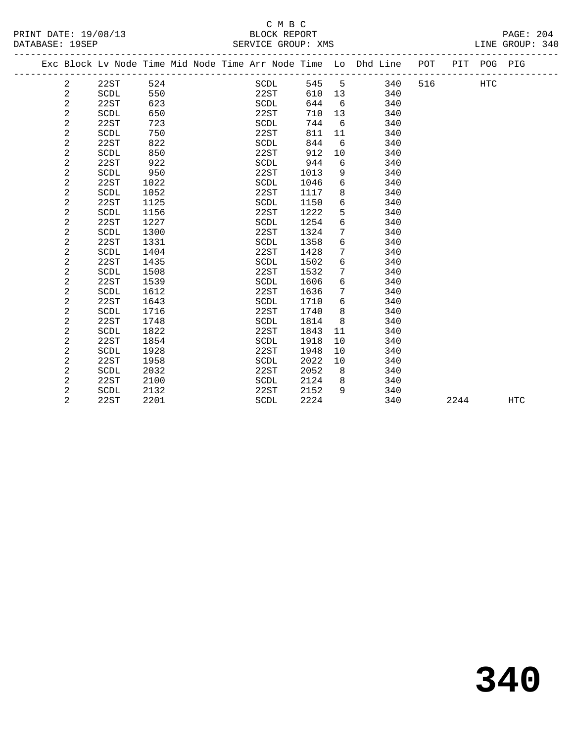# C M B C<br>BLOCK REPORT

| DATABASE: 19SEP |                |      |      |  | SERVICE GROUP: XMS |      |    |                                                                |     |             | LINE GROUP: 340 |  |
|-----------------|----------------|------|------|--|--------------------|------|----|----------------------------------------------------------------|-----|-------------|-----------------|--|
|                 |                |      |      |  |                    |      |    | Exc Block Lv Node Time Mid Node Time Arr Node Time Lo Dhd Line | POT | PIT POG PIG |                 |  |
|                 | $\overline{2}$ | 22ST | 524  |  | SCDL               | 545  | -5 | 340                                                            | 516 | HTC         |                 |  |
|                 | 2              | SCDL | 550  |  | 22ST               | 610  | 13 | 340                                                            |     |             |                 |  |
|                 | 2              | 22ST | 623  |  | SCDL               | 644  | -6 | 340                                                            |     |             |                 |  |
|                 | 2              | SCDL | 650  |  | 22ST               | 710  | 13 | 340                                                            |     |             |                 |  |
|                 | 2              | 22ST | 723  |  | SCDL               | 744  | 6  | 340                                                            |     |             |                 |  |
|                 | 2              | SCDL | 750  |  | 22ST               | 811  | 11 | 340                                                            |     |             |                 |  |
|                 | 2              | 22ST | 822  |  | SCDL               | 844  | 6  | 340                                                            |     |             |                 |  |
|                 | 2              | SCDL | 850  |  | 22ST               | 912  | 10 | 340                                                            |     |             |                 |  |
|                 | 2              | 22ST | 922  |  | SCDL               | 944  | 6  | 340                                                            |     |             |                 |  |
|                 | 2              | SCDL | 950  |  | 22ST               | 1013 | 9  | 340                                                            |     |             |                 |  |
|                 | 2              | 22ST | 1022 |  | SCDL               | 1046 | 6  | 340                                                            |     |             |                 |  |
|                 | 2              | SCDL | 1052 |  | 22ST               | 1117 | 8  | 340                                                            |     |             |                 |  |
|                 | 2              | 22ST | 1125 |  | SCDL               | 1150 | 6  | 340                                                            |     |             |                 |  |
|                 | 2              | SCDL | 1156 |  | 22ST               | 1222 | 5  | 340                                                            |     |             |                 |  |
|                 | 2              | 22ST | 1227 |  | SCDL               | 1254 | 6  | 340                                                            |     |             |                 |  |
|                 | $\overline{2}$ | SCDL | 1300 |  | 22ST               | 1324 | 7  | 340                                                            |     |             |                 |  |
|                 | 2              | 22ST | 1331 |  | SCDL               | 1358 | 6  | 340                                                            |     |             |                 |  |

| 2 | SCDL | 1404 | <b>22ST</b> | 1428 | 7  | 340 |      |     |
|---|------|------|-------------|------|----|-----|------|-----|
| 2 | 22ST | 1435 | SCDL        | 1502 | 6  | 340 |      |     |
| 2 | SCDL | 1508 | 22ST        | 1532 | 7  | 340 |      |     |
| 2 | 22ST | 1539 | SCDL        | 1606 | 6  | 340 |      |     |
| 2 | SCDL | 1612 | 22ST        | 1636 | 7  | 340 |      |     |
| 2 | 22ST | 1643 | SCDL        | 1710 | 6  | 340 |      |     |
| 2 | SCDL | 1716 | 22ST        | 1740 | 8  | 340 |      |     |
| 2 | 22ST | 1748 | SCDL        | 1814 | 8  | 340 |      |     |
| 2 | SCDL | 1822 | 22ST        | 1843 | 11 | 340 |      |     |
| 2 | 22ST | 1854 | SCDL        | 1918 | 10 | 340 |      |     |
| 2 | SCDL | 1928 | 22ST        | 1948 | 10 | 340 |      |     |
| 2 | 22ST | 1958 | SCDL        | 2022 | 10 | 340 |      |     |
| 2 | SCDL | 2032 | 22ST        | 2052 | 8  | 340 |      |     |
| 2 | 22ST | 2100 | SCDL        | 2124 | 8  | 340 |      |     |
| 2 | SCDL | 2132 | 22ST        | 2152 | 9  | 340 |      |     |
| 2 | 22ST | 2201 | SCDL        | 2224 |    | 340 | 2244 | HTC |
|   |      |      |             |      |    |     |      |     |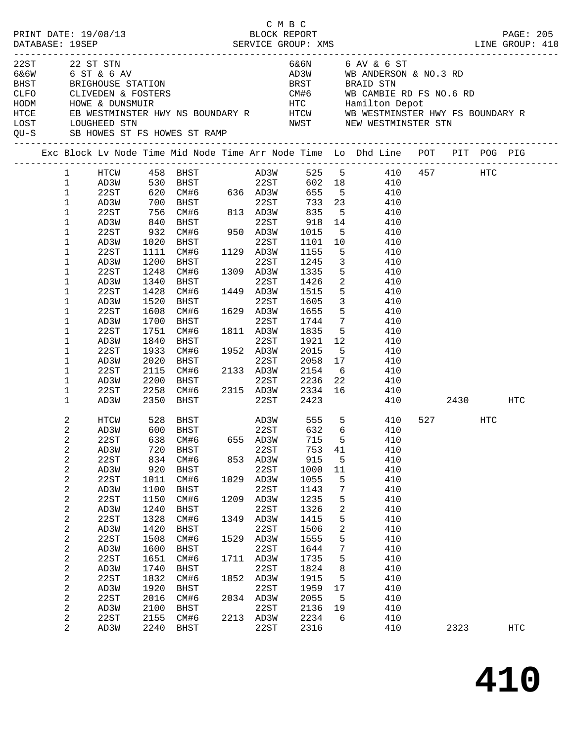|      |             |                         |                      |            |                                                       |      | C M B C      |                           |                         |                                                                                |                          |     |           |
|------|-------------|-------------------------|----------------------|------------|-------------------------------------------------------|------|--------------|---------------------------|-------------------------|--------------------------------------------------------------------------------|--------------------------|-----|-----------|
|      |             |                         | PRINT DATE: 19/08/13 |            |                                                       |      | BLOCK REPORT |                           |                         |                                                                                |                          |     | PAGE: 205 |
|      |             |                         |                      |            |                                                       |      |              |                           |                         |                                                                                |                          |     |           |
|      |             |                         |                      |            |                                                       |      |              |                           |                         |                                                                                |                          |     |           |
|      | 22ST        |                         | 22 ST STN            |            |                                                       |      |              |                           |                         | 6&6N 6 AV & 6 ST                                                               |                          |     |           |
|      |             |                         | 6&6W 6 ST & 6 AV     |            |                                                       |      |              |                           |                         | AD3W WB ANDERSON & NO.3 RD                                                     |                          |     |           |
|      | <b>BHST</b> |                         |                      |            | BRIGHOUSE STATION                                     |      |              |                           |                         | BRST BRAID STN                                                                 |                          |     |           |
| CLFO |             |                         |                      |            |                                                       |      |              |                           |                         |                                                                                |                          |     |           |
| HODM |             |                         |                      |            |                                                       |      |              |                           |                         |                                                                                |                          |     |           |
| HTCE |             |                         |                      |            |                                                       |      |              |                           |                         |                                                                                |                          |     |           |
| LOST |             |                         | LOUGHEED STN         |            |                                                       |      |              |                           |                         | NWST NEW WESTMINSTER STN                                                       |                          |     |           |
|      | QU-S        |                         |                      |            | SB HOWES ST FS HOWES ST RAMP                          |      |              |                           |                         |                                                                                |                          |     |           |
|      |             |                         |                      |            |                                                       |      |              |                           |                         | Exc Block Lv Node Time Mid Node Time Arr Node Time Lo Dhd Line POT PIT POG PIG |                          |     |           |
|      |             | $\mathbf{1}$            | HTCW                 |            | 458    BHST<br>530    BHST                            |      |              | AD3W 525 5<br>22ST 602 18 |                         | 410 457 HTC                                                                    |                          |     |           |
|      |             | $\mathbf 1$             | AD3W                 |            |                                                       |      |              |                           |                         | 410                                                                            |                          |     |           |
|      |             | $\mathbf{1}$            | 22ST                 |            | $620$ CM#6 636 AD3W                                   |      |              | 655                       |                         | 5 410                                                                          |                          |     |           |
|      |             | $\mathbf{1}$            | AD3W                 | 700        |                                                       |      |              | 733                       | 23                      | 410                                                                            |                          |     |           |
|      |             | $\mathbf 1$             | 22ST                 |            | BHST 22ST<br>CM#6 813 AD3W                            |      |              | 835                       | $5^{\circ}$             | 410                                                                            |                          |     |           |
|      |             | 1                       | AD3W                 | 756<br>840 | BHST                                                  |      | 22ST         | 918 14                    |                         | 410                                                                            |                          |     |           |
|      |             | 1                       | 22ST                 | 932        | CM#6 950 AD3W                                         |      |              | 1015                      | 5 <sup>5</sup>          | 410                                                                            |                          |     |           |
|      |             | 1                       | AD3W                 | 1020       | BHST                                                  |      | 22ST         | 1101 10                   |                         | 410                                                                            |                          |     |           |
|      |             | 1                       | 22ST                 | 1111       | CM#6                                                  |      | 1129 AD3W    | 1155                      | 5                       | 410                                                                            |                          |     |           |
|      |             | 1                       | AD3W                 | 1200       | BHST                                                  |      | 22ST         | 1245                      | $\mathbf{3}$            | 410                                                                            |                          |     |           |
|      |             | 1                       | 22ST                 | 1248       | CM#6                                                  |      | 1309 AD3W    | 1335                      | 5 <sup>5</sup>          | 410                                                                            |                          |     |           |
|      |             | 1                       | AD3W                 | 1340       | BHST                                                  |      | 22ST         | 1426                      | $\overline{\mathbf{c}}$ | 410                                                                            |                          |     |           |
|      |             | 1                       | 22ST                 | 1428       | CM#6                                                  |      | 1449 AD3W    | 1515                      | 5 <sub>5</sub>          | 410                                                                            |                          |     |           |
|      |             | 1                       | AD3W                 | 1520       | BHST                                                  |      | 22ST         | 1605                      | 3 <sup>7</sup>          | 410                                                                            |                          |     |           |
|      |             | 1                       | 22ST                 | 1608       | CM#6                                                  |      | 1629 AD3W    | 1655                      | 5 <sup>5</sup>          | 410                                                                            |                          |     |           |
|      |             | 1                       | AD3W                 | 1700       | BHST                                                  |      | 22ST         | 1744                      |                         | 7 410                                                                          |                          |     |           |
|      |             | 1                       | 22ST                 | 1751       | CM#6                                                  |      | 1811 AD3W    | 1835                      | 5 <sup>5</sup>          | 410                                                                            |                          |     |           |
|      |             | 1                       | AD3W                 | 1840       | BHST                                                  |      | 22ST         | 1921 12                   |                         | 410                                                                            |                          |     |           |
|      |             | 1                       | 22ST                 | 1933       | CM#6                                                  |      | 1952 AD3W    | 2015                      | 5 <sup>5</sup>          | 410                                                                            |                          |     |           |
|      |             | 1                       | AD3W                 | 2020       | BHST                                                  |      | 22ST         | 2058 17                   |                         | 410                                                                            |                          |     |           |
|      |             | 1                       |                      |            |                                                       |      |              |                           | 6                       |                                                                                |                          |     |           |
|      |             | 1                       | 22ST                 | 2115       | CM#6 2133 AD3W                                        |      |              | 2154                      |                         | 410<br>410                                                                     |                          |     |           |
|      |             |                         | AD3W                 |            | 2200 BHST 22ST 2236 22<br>2258 CM#6 2315 AD3W 2334 16 |      |              |                           |                         |                                                                                |                          |     |           |
|      |             | 1                       | 22ST                 |            |                                                       |      | 22ST         |                           |                         | 410                                                                            |                          |     |           |
|      |             | 1                       | AD3W                 | 2350       | BHST                                                  |      |              | 2423                      |                         | 410                                                                            | 2430 HTC                 |     |           |
|      |             | 2                       | HTCW                 | 528        | BHST                                                  |      |              | AD3W 555<br>22ST 632      | 5 <sub>5</sub>          | 410                                                                            | 527 and $\overline{527}$ | HTC |           |
|      |             | 2                       | AD3W                 | 600        | BHST                                                  |      | 22ST         | 632 6                     |                         | 410                                                                            |                          |     |           |
|      |             | 2                       | 22ST                 |            | 638 CM#6 655 AD3W                                     |      |              | 715                       |                         | 5 410                                                                          |                          |     |           |
|      |             | 2                       | AD3W                 | 720        | BHST                                                  |      | 22ST         | 753                       | 41                      | 410                                                                            |                          |     |           |
|      |             | 2                       | 22ST                 | 834        | CM#6                                                  | 853  | AD3W         | 915                       | 5                       | 410                                                                            |                          |     |           |
|      |             | $\boldsymbol{2}$        | AD3W                 | 920        | BHST                                                  |      | 22ST         | 1000                      | 11                      | 410                                                                            |                          |     |           |
|      |             | 2                       | 22ST                 | 1011       | CM#6                                                  | 1029 | AD3W         | 1055                      | 5                       | 410                                                                            |                          |     |           |
|      |             | $\overline{\mathbf{c}}$ | AD3W                 | 1100       | BHST                                                  |      | 22ST         | 1143                      | 7                       | 410                                                                            |                          |     |           |
|      |             | 2                       | 22ST                 | 1150       | CM#6                                                  | 1209 | AD3W         | 1235                      | 5                       | 410                                                                            |                          |     |           |
|      |             | $\boldsymbol{2}$        | AD3W                 | 1240       | <b>BHST</b>                                           |      | 22ST         | 1326                      | 2                       | 410                                                                            |                          |     |           |
|      |             | 2                       | 22ST                 | 1328       | CM#6                                                  | 1349 | AD3W         | 1415                      | 5                       | 410                                                                            |                          |     |           |
|      |             | $\boldsymbol{2}$        | AD3W                 | 1420       | <b>BHST</b>                                           |      | 22ST         | 1506                      | 2                       | 410                                                                            |                          |     |           |
|      |             | 2                       | 22ST                 | 1508       | CM#6                                                  | 1529 | AD3W         | 1555                      | 5                       | 410                                                                            |                          |     |           |
|      |             | $\boldsymbol{2}$        | AD3W                 | 1600       | <b>BHST</b>                                           |      | 22ST         | 1644                      | 7                       | 410                                                                            |                          |     |           |
|      |             | 2                       | 22ST                 | 1651       | CM#6                                                  | 1711 | AD3W         | 1735                      | 5                       | 410                                                                            |                          |     |           |
|      |             | $\boldsymbol{2}$        | AD3W                 | 1740       | BHST                                                  |      | 22ST         | 1824                      | 8                       | 410                                                                            |                          |     |           |
|      |             | 2                       | 22ST                 | 1832       | CM#6                                                  | 1852 | AD3W         | 1915                      | 5                       | 410                                                                            |                          |     |           |
|      |             | $\overline{c}$          | AD3W                 | 1920       | BHST                                                  |      | 22ST         | 1959                      | 17                      | 410                                                                            |                          |     |           |
|      |             | $\overline{c}$          | 22ST                 | 2016       | CM#6                                                  |      | 2034 AD3W    | 2055                      | 5                       | 410                                                                            |                          |     |           |
|      |             | 2                       | AD3W                 | 2100       | BHST                                                  |      | 22ST         | 2136                      | 19                      | 410                                                                            |                          |     |           |
|      |             | 2                       | 22ST                 | 2155       | CM#6                                                  | 2213 | AD3W         | 2234                      | 6                       | 410                                                                            |                          |     |           |
|      |             | 2                       | AD3W                 | 2240       | BHST                                                  |      | 22ST         | 2316                      |                         | 410                                                                            | 2323                     |     | HTC       |
|      |             |                         |                      |            |                                                       |      |              |                           |                         |                                                                                |                          |     |           |

**410**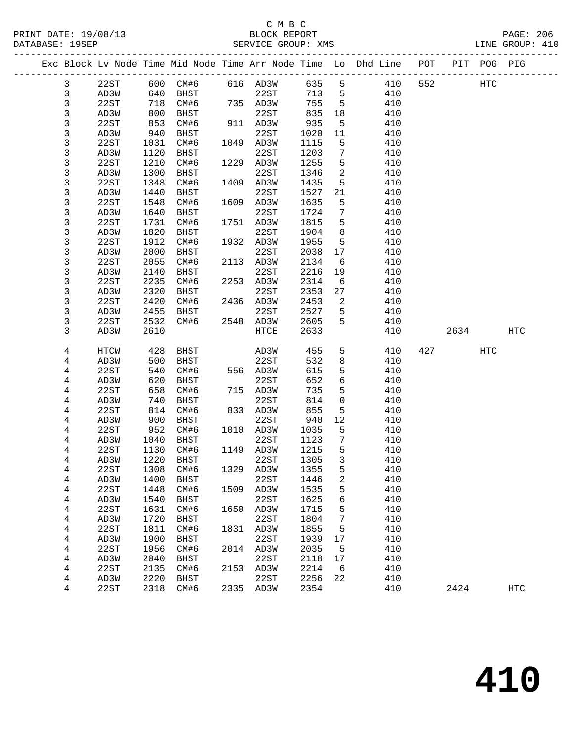#### C M B C<br>BLOCK REPORT SERVICE GROUP: XMS

PRINT DATE: 19/08/13 BLOCK REPORT PAGE: 206

|  |              |              |              |                   |      |                        |              |                      | Exc Block Lv Node Time Mid Node Time Arr Node Time Lo Dhd Line POT |     |            | PIT POG PIG |            |
|--|--------------|--------------|--------------|-------------------|------|------------------------|--------------|----------------------|--------------------------------------------------------------------|-----|------------|-------------|------------|
|  | $\mathbf{3}$ | 22ST         |              | 600 CM#6 616 AD3W |      |                        | 635          | 5                    | 410                                                                | 552 | <b>HTC</b> |             |            |
|  | $\mathbf{3}$ | AD3W         | 640          | BHST              |      | 22ST                   | 713          | $5^{\circ}$          | 410                                                                |     |            |             |            |
|  | $\mathbf{3}$ | 22ST         | 718          | CM#6              |      | 735 AD3W               | 755          | $5\overline{)}$      | 410                                                                |     |            |             |            |
|  | $\mathbf{3}$ | AD3W         | 800          | BHST              |      | 22ST                   | 835          | 18                   | 410                                                                |     |            |             |            |
|  | $\mathsf{3}$ | 22ST         | 853          | CM#6              |      | 911 AD3W               | 935          | $5^{\circ}$          | 410                                                                |     |            |             |            |
|  | 3            | AD3W         | 940          | BHST              |      | 22ST                   | 1020         | 11                   | 410                                                                |     |            |             |            |
|  | 3            | 22ST         | 1031         | CM#6              |      | 1049 AD3W              | 1115         | 5                    | 410                                                                |     |            |             |            |
|  | 3            | AD3W         | 1120         | BHST              |      | 22ST                   | 1203         | $7\phantom{.0}$      | 410                                                                |     |            |             |            |
|  | $\mathsf{3}$ | 22ST         | 1210         | CM#6              |      | 1229 AD3W              | 1255         | 5                    | 410                                                                |     |            |             |            |
|  | 3            | AD3W         | 1300         | BHST              |      | 22ST                   | 1346         | 2                    | 410                                                                |     |            |             |            |
|  | 3            | 22ST         | 1348         | CM#6              |      | 1409 AD3W              | 1435         | 5                    | 410                                                                |     |            |             |            |
|  | 3            | AD3W         | 1440         | BHST              |      | 22ST                   | 1527         | 21                   | 410                                                                |     |            |             |            |
|  | 3            | 22ST         | 1548         | CM#6              |      | 1609 AD3W              | 1635         | 5                    | 410                                                                |     |            |             |            |
|  | 3            | AD3W         | 1640         | BHST              |      | 22ST                   | 1724         | $7\phantom{.0}$      | 410                                                                |     |            |             |            |
|  | 3            | 22ST         | 1731         | CM#6              |      | 1751 AD3W              | 1815         | 5                    | 410                                                                |     |            |             |            |
|  | 3            | AD3W         | 1820         | BHST              |      | 22ST                   | 1904         | 8                    | 410                                                                |     |            |             |            |
|  | 3            | 22ST         | 1912         | CM#6              |      | 1932 AD3W              | 1955         | $5^{\circ}$          | 410                                                                |     |            |             |            |
|  | 3            | AD3W         | 2000         | BHST              |      | 22ST                   | 2038         | 17                   | 410                                                                |     |            |             |            |
|  | 3            | 22ST         | 2055         | CM#6              |      | 2113 AD3W              | 2134         | 6                    | 410                                                                |     |            |             |            |
|  | 3            | AD3W         | 2140         | BHST              |      | 22ST                   | 2216         | 19                   | 410                                                                |     |            |             |            |
|  | 3            | 22ST         | 2235         | CM#6              |      | 2253 AD3W              | 2314         | 6                    | 410                                                                |     |            |             |            |
|  | 3            | AD3W         | 2320         | BHST              |      | 22ST                   | 2353         | 27                   | 410                                                                |     |            |             |            |
|  | 3            | 22ST         | 2420         | CM#6              |      | 2436 AD3W              | 2453         | 2                    | 410                                                                |     |            |             |            |
|  | 3            | AD3W         | 2455         | BHST              |      | 22ST                   | 2527         | 5                    | 410                                                                |     |            |             |            |
|  | 3            | 22ST         | 2532         | CM#6              |      | 2548 AD3W              | 2605         | 5                    | 410                                                                |     |            |             |            |
|  | 3            | AD3W         | 2610         |                   |      | HTCE                   | 2633         |                      | 410                                                                |     | 2634       |             | HTC        |
|  |              |              |              |                   |      |                        |              |                      |                                                                    |     |            |             |            |
|  | 4            | HTCW         | 428          | BHST              |      | AD3W                   | 455          | 5                    | 410                                                                |     | 427        | HTC         |            |
|  | 4            | AD3W         | 500          | BHST              |      | 22ST                   | 532          | 8                    | 410                                                                |     |            |             |            |
|  | 4            | 22ST         | 540          | CM#6              |      | 556 AD3W               | 615          | 5                    | 410                                                                |     |            |             |            |
|  | 4            | AD3W         | 620          | BHST              |      | 22ST                   | 652          | 6                    | 410                                                                |     |            |             |            |
|  | 4            | 22ST         | 658          | CM#6              |      | 715 AD3W               | 735          | 5                    | 410                                                                |     |            |             |            |
|  | 4            | AD3W         | 740          | BHST              |      | 22ST                   | 814          | $\mathbf 0$          | 410                                                                |     |            |             |            |
|  | 4            | 22ST         | 814          | CM#6              |      | 833 AD3W               | 855          | 5                    | 410                                                                |     |            |             |            |
|  | 4            | AD3W         | 900          | BHST              |      | 22ST                   | 940          | 12                   | 410                                                                |     |            |             |            |
|  | 4            | 22ST         | 952          | CM#6              |      | 1010 AD3W              | 1035         | 5                    | 410                                                                |     |            |             |            |
|  | 4            | AD3W         | 1040         | BHST              |      | 22ST                   | 1123         | $7\phantom{.0}$<br>5 | 410                                                                |     |            |             |            |
|  | 4            | 22ST         | 1130         | CM#6              |      | 1149 AD3W              | 1215         |                      | 410                                                                |     |            |             |            |
|  | 4            | AD3W         | 1220         | BHST              |      | 22ST<br>1329 AD3W 1355 | 1305         | $\overline{3}$<br>5  | 410                                                                |     |            |             |            |
|  | 4            | 22ST         |              | 1308 CM#6         |      |                        |              |                      | 410<br>410                                                         |     |            |             |            |
|  | 4            | AD3W<br>22ST | 1400<br>1448 | BHST<br>CM#6      |      | 22ST<br>1509 AD3W      | 1446<br>1535 | 2<br>5               | 410                                                                |     |            |             |            |
|  | 4            | AD3W         | 1540         | BHST              |      | 22ST                   | 1625         | 6                    | 410                                                                |     |            |             |            |
|  | 4<br>4       | 22ST         | 1631         | CM#6              | 1650 | AD3W                   | 1715         | 5                    | 410                                                                |     |            |             |            |
|  | 4            | AD3W         | 1720         | BHST              |      | 22ST                   | 1804         | 7                    | 410                                                                |     |            |             |            |
|  | 4            | 22ST         | 1811         | CM#6              | 1831 | AD3W                   | 1855         | 5                    | 410                                                                |     |            |             |            |
|  | 4            | AD3W         | 1900         | BHST              |      | 22ST                   | 1939         | 17                   | 410                                                                |     |            |             |            |
|  | 4            | 22ST         | 1956         | CM#6              |      | 2014 AD3W              | 2035         | 5                    | 410                                                                |     |            |             |            |
|  | 4            | AD3W         | 2040         | BHST              |      | 22ST                   | 2118         | 17                   | 410                                                                |     |            |             |            |
|  | 4            | 22ST         | 2135         | CM#6              | 2153 | AD3W                   | 2214         | 6                    | 410                                                                |     |            |             |            |
|  | 4            | AD3W         | 2220         | BHST              |      | 22ST                   | 2256         | 22                   | 410                                                                |     |            |             |            |
|  | 4            | 22ST         | 2318         | CM#6              |      | 2335 AD3W              | 2354         |                      | 410                                                                |     | 2424       |             | <b>HTC</b> |
|  |              |              |              |                   |      |                        |              |                      |                                                                    |     |            |             |            |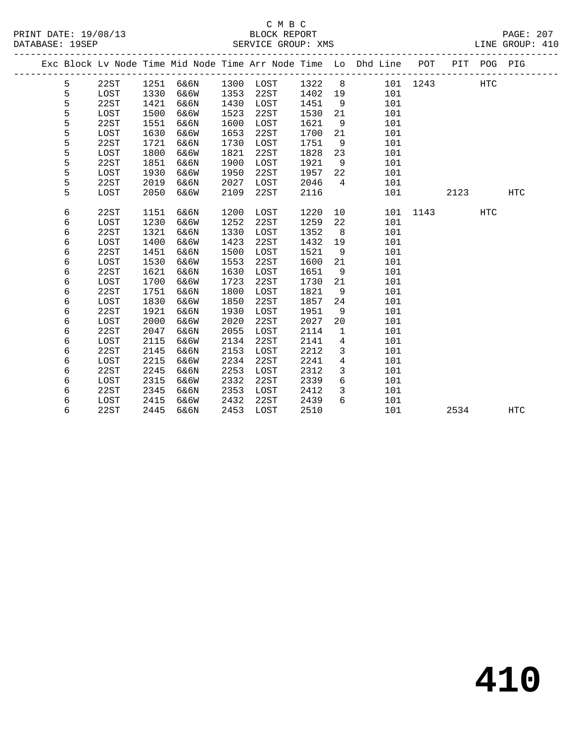# C M B C<br>BLOCK REPORT

PAGE: 207<br>LINE GROUP: 410

|   |      |      |           |      |           |      |                 | Exc Block Lv Node Time Mid Node Time Arr Node Time Lo Dhd Line POT PIT POG PIG |          |      |            |            |
|---|------|------|-----------|------|-----------|------|-----------------|--------------------------------------------------------------------------------|----------|------|------------|------------|
| 5 | 22ST |      | 1251 6&6N |      | 1300 LOST | 1322 | 8 <sup>8</sup>  |                                                                                | 101 1243 |      | HTC        |            |
| 5 | LOST | 1330 | 6&6W      | 1353 | 22ST      | 1402 | 19              | 101                                                                            |          |      |            |            |
| 5 | 22ST | 1421 | 6&6N      | 1430 | LOST      | 1451 | 9               | 101                                                                            |          |      |            |            |
| 5 | LOST | 1500 | 6&6W      | 1523 | 22ST      | 1530 | 21              | 101                                                                            |          |      |            |            |
| 5 | 22ST | 1551 | 6&6N      | 1600 | LOST      | 1621 | 9               | 101                                                                            |          |      |            |            |
| 5 | LOST | 1630 | 6&6W      | 1653 | 22ST      | 1700 | 21              | 101                                                                            |          |      |            |            |
| 5 | 22ST | 1721 | 6&6N      | 1730 | LOST      | 1751 | 9               | 101                                                                            |          |      |            |            |
| 5 | LOST | 1800 | 6&6W      | 1821 | 22ST      | 1828 | 23              | 101                                                                            |          |      |            |            |
| 5 | 22ST | 1851 | 6&6N      | 1900 | LOST      | 1921 | 9               | 101                                                                            |          |      |            |            |
| 5 | LOST | 1930 | 6&6W      | 1950 | 22ST      | 1957 | 22              | 101                                                                            |          |      |            |            |
| 5 | 22ST | 2019 | 6&6N      | 2027 | LOST      | 2046 | $\overline{4}$  | 101                                                                            |          |      |            |            |
| 5 | LOST | 2050 | 6&6W      | 2109 | 22ST      | 2116 |                 | 101                                                                            |          | 2123 |            | <b>HTC</b> |
| 6 | 22ST | 1151 | 6&6N      | 1200 | LOST      | 1220 | 10              |                                                                                | 101 1143 |      | <b>HTC</b> |            |
| 6 | LOST | 1230 | 6&6W      | 1252 | 22ST      | 1259 | 22              | 101                                                                            |          |      |            |            |
| 6 | 22ST | 1321 | 6&6N      | 1330 | LOST      | 1352 | 8 <sup>8</sup>  | 101                                                                            |          |      |            |            |
| 6 | LOST | 1400 | 6&6W      | 1423 | 22ST      | 1432 | 19              | 101                                                                            |          |      |            |            |
| 6 | 22ST | 1451 | 6&6N      | 1500 | LOST      | 1521 | 9               | 101                                                                            |          |      |            |            |
| 6 | LOST | 1530 | 6&6W      | 1553 | 22ST      | 1600 | 21              | 101                                                                            |          |      |            |            |
| 6 | 22ST | 1621 | 6&6N      | 1630 | LOST      | 1651 | 9               | 101                                                                            |          |      |            |            |
| 6 | LOST | 1700 | 6&6W      | 1723 | 22ST      | 1730 | 21              | 101                                                                            |          |      |            |            |
| 6 | 22ST | 1751 | 6&6N      | 1800 | LOST      | 1821 | 9               | 101                                                                            |          |      |            |            |
| 6 | LOST | 1830 | 6&6W      | 1850 | 22ST      | 1857 | 24              | 101                                                                            |          |      |            |            |
| 6 | 22ST | 1921 | 6&6N      | 1930 | LOST      | 1951 | 9               | 101                                                                            |          |      |            |            |
| 6 | LOST | 2000 | 6&6W      | 2020 | 22ST      | 2027 | 20              | 101                                                                            |          |      |            |            |
| 6 | 22ST | 2047 | 6&6N      | 2055 | LOST      | 2114 | $\mathbf{1}$    | 101                                                                            |          |      |            |            |
| 6 | LOST | 2115 | 6&6W      | 2134 | 22ST      | 2141 | $4\overline{ }$ | 101                                                                            |          |      |            |            |
| 6 | 22ST | 2145 | 6&6N      | 2153 | LOST      | 2212 | $\mathbf{3}$    | 101                                                                            |          |      |            |            |
| 6 | LOST | 2215 | 6&6W      | 2234 | 22ST      | 2241 | $\overline{4}$  | 101                                                                            |          |      |            |            |
| 6 | 22ST | 2245 | 6&6N      | 2253 | LOST      | 2312 | 3               | 101                                                                            |          |      |            |            |
| 6 | LOST | 2315 | 6&6W      | 2332 | 22ST      | 2339 | 6               | 101                                                                            |          |      |            |            |
| 6 | 22ST | 2345 | 6&6N      | 2353 | LOST      | 2412 | $\mathbf{3}$    | 101                                                                            |          |      |            |            |
| 6 | LOST | 2415 | 6&6W      | 2432 | 22ST      | 2439 | 6               | 101                                                                            |          |      |            |            |
| 6 | 22ST | 2445 | 6&6N      | 2453 | LOST      | 2510 |                 | 101                                                                            |          | 2534 |            | <b>HTC</b> |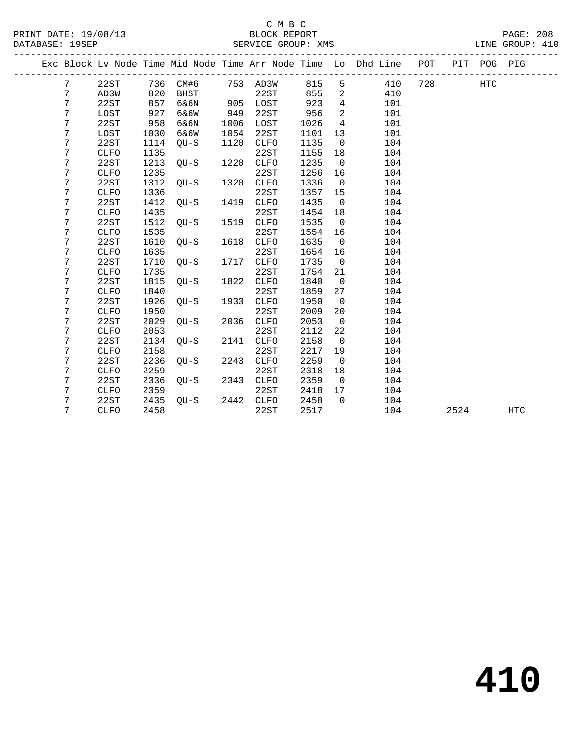|  |   |             |      |        |      |             |      |                 | Exc Block Lv Node Time Mid Node Time Arr Node Time Lo Dhd Line POT |     |      | PIT POG PIG |            |
|--|---|-------------|------|--------|------|-------------|------|-----------------|--------------------------------------------------------------------|-----|------|-------------|------------|
|  | 7 | 22ST        | 736  | CM#6   |      | 753 AD3W    | 815  | 5               | 410                                                                | 728 |      | <b>HTC</b>  |            |
|  | 7 | AD3W        | 820  | BHST   |      | 22ST        | 855  | 2               | 410                                                                |     |      |             |            |
|  | 7 | 22ST        | 857  | 6&6N   | 905  | LOST        | 923  | $4\overline{ }$ | 101                                                                |     |      |             |            |
|  | 7 | LOST        | 927  | 6&6W   | 949  | 22ST        | 956  | 2               | 101                                                                |     |      |             |            |
|  | 7 | 22ST        | 958  | 6&6N   | 1006 | LOST        | 1026 | 4               | 101                                                                |     |      |             |            |
|  | 7 | LOST        | 1030 | 6&6W   | 1054 | 22ST        | 1101 | 13              | 101                                                                |     |      |             |            |
|  | 7 | 22ST        | 1114 | $QU-S$ | 1120 | CLFO        | 1135 | $\overline{0}$  | 104                                                                |     |      |             |            |
|  | 7 | CLFO        | 1135 |        |      | 22ST        | 1155 | 18              | 104                                                                |     |      |             |            |
|  | 7 | 22ST        | 1213 | $OU-S$ | 1220 | CLFO        | 1235 | $\overline{0}$  | 104                                                                |     |      |             |            |
|  | 7 | CLFO        | 1235 |        |      | 22ST        | 1256 | 16              | 104                                                                |     |      |             |            |
|  | 7 | 22ST        | 1312 | $OU-S$ | 1320 | CLFO        | 1336 | $\overline{0}$  | 104                                                                |     |      |             |            |
|  | 7 | CLFO        | 1336 |        |      | 22ST        | 1357 | 15              | 104                                                                |     |      |             |            |
|  | 7 | 22ST        | 1412 | $OU-S$ | 1419 | CLFO        | 1435 | $\overline{0}$  | 104                                                                |     |      |             |            |
|  | 7 | CLFO        | 1435 |        |      | 22ST        | 1454 | 18              | 104                                                                |     |      |             |            |
|  | 7 | 22ST        | 1512 | $OU-S$ | 1519 | CLFO        | 1535 | $\overline{0}$  | 104                                                                |     |      |             |            |
|  | 7 | CLFO        | 1535 |        |      | 22ST        | 1554 | 16              | 104                                                                |     |      |             |            |
|  | 7 | 22ST        | 1610 | $OU-S$ | 1618 | CLFO        | 1635 | $\overline{0}$  | 104                                                                |     |      |             |            |
|  | 7 | CLFO        | 1635 |        |      | 22ST        | 1654 | 16              | 104                                                                |     |      |             |            |
|  | 7 | 22ST        | 1710 | $OU-S$ | 1717 | CLFO        | 1735 | $\overline{0}$  | 104                                                                |     |      |             |            |
|  | 7 | CLFO        | 1735 |        |      | 22ST        | 1754 | 21              | 104                                                                |     |      |             |            |
|  | 7 | 22ST        | 1815 | $QU-S$ | 1822 | CLFO        | 1840 | $\overline{0}$  | 104                                                                |     |      |             |            |
|  | 7 | CLFO        | 1840 |        |      | 22ST        | 1859 | 27              | 104                                                                |     |      |             |            |
|  | 7 | 22ST        | 1926 | $QU-S$ | 1933 | CLFO        | 1950 | $\overline{0}$  | 104                                                                |     |      |             |            |
|  | 7 | CLFO        | 1950 |        |      | 22ST        | 2009 | 20              | 104                                                                |     |      |             |            |
|  | 7 | 22ST        | 2029 | $QU-S$ | 2036 | CLFO        | 2053 | $\overline{0}$  | 104                                                                |     |      |             |            |
|  | 7 | CLFO        | 2053 |        |      | 22ST        | 2112 | 22              | 104                                                                |     |      |             |            |
|  | 7 | 22ST        | 2134 | $QU-S$ | 2141 | <b>CLFO</b> | 2158 | $\overline{0}$  | 104                                                                |     |      |             |            |
|  | 7 | <b>CLFO</b> | 2158 |        |      | 22ST        | 2217 | 19              | 104                                                                |     |      |             |            |
|  | 7 | 22ST        | 2236 | $OU-S$ | 2243 | <b>CLFO</b> | 2259 | $\overline{0}$  | 104                                                                |     |      |             |            |
|  | 7 | <b>CLFO</b> | 2259 |        |      | 22ST        | 2318 | 18              | 104                                                                |     |      |             |            |
|  | 7 | 22ST        | 2336 | $QU-S$ | 2343 | <b>CLFO</b> | 2359 | $\overline{0}$  | 104                                                                |     |      |             |            |
|  | 7 | <b>CLFO</b> | 2359 |        |      | 22ST        | 2418 | 17              | 104                                                                |     |      |             |            |
|  | 7 | 22ST        | 2435 | $OU-S$ | 2442 | <b>CLFO</b> | 2458 | $\Omega$        | 104                                                                |     |      |             |            |
|  | 7 | <b>CLFO</b> | 2458 |        |      | 22ST        | 2517 |                 | 104                                                                |     | 2524 |             | <b>HTC</b> |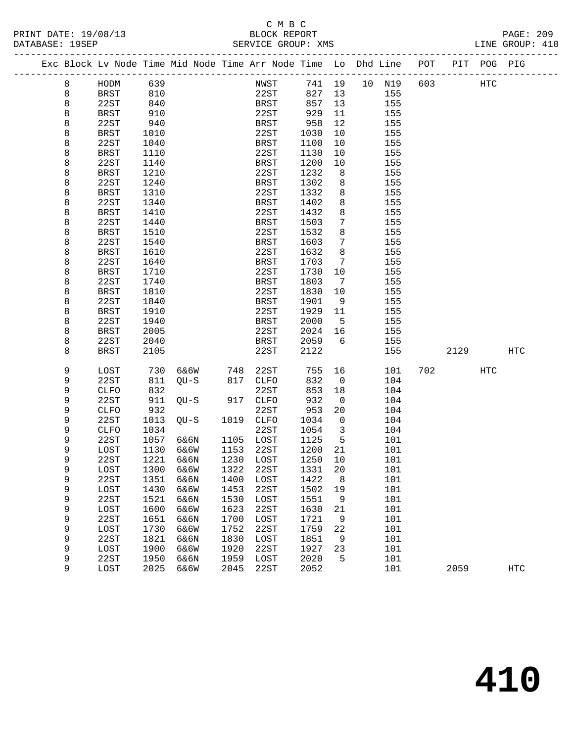#### C M B C DATABASE: 19SEP SERVICE GROUP: XMS LINE GROUP: 410

-------------------------------------------------------------------------------------------------

#### Exc Block Lv Node Time Mid Node Time Arr Node Time Lo Dhd Line POT PIT POG PIG ------------------------------------------------------------------------------------------------- 8 HODM 639 NWST 741 19 10 N19 603 HTC 8 BRST 810 22ST 827 13 155 8 22ST 840 BRST 857 13 155 8 BRST 910 22ST 929 11 155 8 22ST 940 BRST 958 12 155 8 BRST 1010 22ST 1030 10 155 8 22ST 1040 BRST 1100 10 155 8 BRST 1110 22ST 1130 10 155 8 22ST 1140 BRST 1200 10 155 8 BRST 1210 22ST 1232 8 155 8 22ST 940<br>
BRST 958 12 155<br>
8 BRST 1010<br>
8 22ST 1040<br>
22ST 1100 10 155<br>
8 22ST 1140<br>
BRST 1200 10 155<br>
8 BRST 1210<br>
22ST 1302 8 155<br>
BRST 1302 8 155<br>
8 22ST 1340<br>
8 RST 1410<br>
22ST 1432 8 155<br>
8 22ST 1440<br>
8 RST 1510<br>
8 RS 8 BRST 1310 22ST 1332 8 155 8 22ST 1340 BRST 1402 8 155 8 BRST 1410 22ST 1432 8 155 8 22ST 1440 BRST 1503 7 155 8 BRST 1510 22ST 1532 8 155 8 22ST 1540 BRST 1603 7 155 8 BRST 1610 22ST 1632 8 155 8 22ST 1640 BRST 1703 7 155 8 BRST 1710 22ST 1730 10 155 8 22ST 1740 BRST 1803 7 155 8 BRST 1810 22ST 1830 10 155 8 22ST 1840 BRST 1901 9 155 8 22ST 1840<br>
BRST 1910<br>
22ST 1940<br>
8 22ST 1940<br>
8 BRST 2005<br>
22ST 2040<br>
8 22ST 2040<br>
8 BRST 2105<br>
22ST 2059<br>
22ST 2122<br>
155 8 22ST 1940<br>8 BRST 2005 22ST 2024 16<br>8 BRST 2005 22ST 2024 16 8 BRST 2005 22ST 2024 16 155 8 22ST 2040 BRST 2059 6 155 8 BRST 2105 22ST 2122 155 2129 HTC 9 LOST 730 6&6W 748 22ST 755 16 101 702 HTC 9 22ST 811 QU-S 817 CLFO 832 0 104 9 CLFO 832 22ST 853 18 104 9 22ST 911 QU-S 917 CLFO 932 0 104 9 CLFO 932 22ST 953 20 104 9 22ST 1013 QU-S 1019 CLFO 1034 0 104 9 CLFO 1034 22ST 1054 3 104 9 22ST 1057 6&6N 1105 LOST 1125 5 101 9 LOST 1130 6&6W 1153 22ST 1200 21 101 9 22ST 1221 6&6N 1230 LOST 1250 10 101 9 LOST 1300 6&6W 1322 22ST 1331 20 101 9 22ST 1351 6&6N 1400 LOST 1422 8 101 9 LOST 1430 6&6W 1453 22ST 1502 19 101 9 22ST 1521 6&6N 1530 LOST 1551 9 101 9 LOST 1600 6&6W 1623 22ST 1630 21 101 9 22ST 1651 6&6N 1700 LOST 1721 9 101 9 LOST 1730 6&6W 1752 22ST 1759 22 101 9 22ST 1821 6&6N 1830 LOST 1851 9 101 9 LOST 1900 6&6W 1920 22ST 1927 23 101 9 22ST 1950 6&6N 1959 LOST 2020 5 101 9 LOST 2025 6&6W 2045 22ST 2052 101 2059 HTC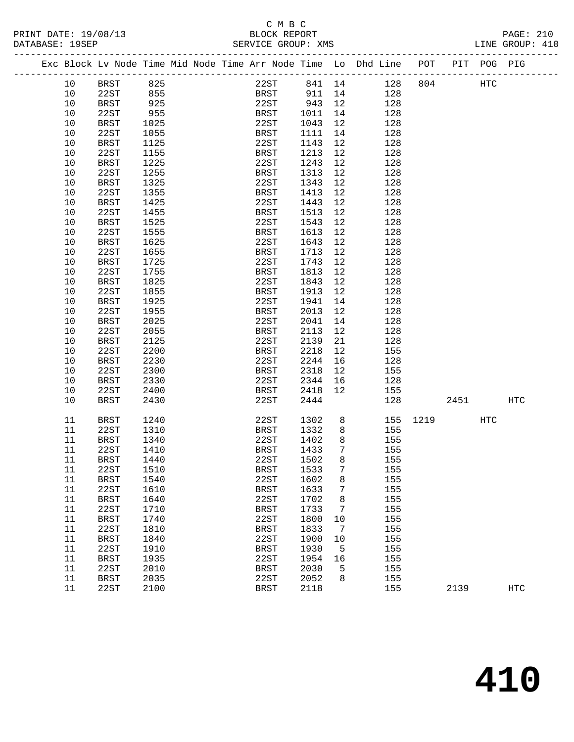#### C M B C<br>BLOCK REPORT PRINT DATE: 19/08/13 BLOCK REPORT PAGE: 210 DATABASE: 1992.<br>SERVICE GROUP: XMS

| 22ST 841 14 128 804<br>BRST 911 14 128<br>825<br>855<br>10<br>BRST<br>HTC<br>10<br>22ST<br>925<br>22ST 943 12<br>10<br><b>BRST</b><br>128<br>1011<br>22ST<br>955<br>14<br>10<br>BRST<br>128<br><b>BRST</b><br>22ST<br>12<br>10<br>1025<br>1043<br>128<br>10<br>22ST<br><b>BRST</b><br>14<br>128<br>1055<br>1111<br>10<br>22ST<br>12<br>BRST<br>1125<br>1143<br>128<br>22ST<br>1213<br>12<br>10<br>1155<br>BRST<br>128<br>10<br>1225<br>22ST<br>1243<br>12<br><b>BRST</b><br>128<br>22ST<br>1255<br><b>BRST</b><br>1313<br>12<br>128<br>10<br>10<br>1325<br>22ST<br>1343<br>12<br>BRST<br>128<br>22ST<br>1355<br>12<br>10<br>BRST<br>1413<br>128<br>22ST<br>12<br>10<br><b>BRST</b><br>1425<br>1443<br>128<br>22ST<br>1455<br><b>BRST</b><br>1513<br>12<br>128<br>10<br>10<br>1525<br>22ST<br>1543<br>12<br>128<br>BRST |     |
|------------------------------------------------------------------------------------------------------------------------------------------------------------------------------------------------------------------------------------------------------------------------------------------------------------------------------------------------------------------------------------------------------------------------------------------------------------------------------------------------------------------------------------------------------------------------------------------------------------------------------------------------------------------------------------------------------------------------------------------------------------------------------------------------------------------------|-----|
|                                                                                                                                                                                                                                                                                                                                                                                                                                                                                                                                                                                                                                                                                                                                                                                                                        |     |
|                                                                                                                                                                                                                                                                                                                                                                                                                                                                                                                                                                                                                                                                                                                                                                                                                        |     |
|                                                                                                                                                                                                                                                                                                                                                                                                                                                                                                                                                                                                                                                                                                                                                                                                                        |     |
|                                                                                                                                                                                                                                                                                                                                                                                                                                                                                                                                                                                                                                                                                                                                                                                                                        |     |
|                                                                                                                                                                                                                                                                                                                                                                                                                                                                                                                                                                                                                                                                                                                                                                                                                        |     |
|                                                                                                                                                                                                                                                                                                                                                                                                                                                                                                                                                                                                                                                                                                                                                                                                                        |     |
|                                                                                                                                                                                                                                                                                                                                                                                                                                                                                                                                                                                                                                                                                                                                                                                                                        |     |
|                                                                                                                                                                                                                                                                                                                                                                                                                                                                                                                                                                                                                                                                                                                                                                                                                        |     |
|                                                                                                                                                                                                                                                                                                                                                                                                                                                                                                                                                                                                                                                                                                                                                                                                                        |     |
|                                                                                                                                                                                                                                                                                                                                                                                                                                                                                                                                                                                                                                                                                                                                                                                                                        |     |
|                                                                                                                                                                                                                                                                                                                                                                                                                                                                                                                                                                                                                                                                                                                                                                                                                        |     |
|                                                                                                                                                                                                                                                                                                                                                                                                                                                                                                                                                                                                                                                                                                                                                                                                                        |     |
|                                                                                                                                                                                                                                                                                                                                                                                                                                                                                                                                                                                                                                                                                                                                                                                                                        |     |
|                                                                                                                                                                                                                                                                                                                                                                                                                                                                                                                                                                                                                                                                                                                                                                                                                        |     |
|                                                                                                                                                                                                                                                                                                                                                                                                                                                                                                                                                                                                                                                                                                                                                                                                                        |     |
| 1555<br>1613<br>12<br>128<br>10<br>22ST<br>BRST                                                                                                                                                                                                                                                                                                                                                                                                                                                                                                                                                                                                                                                                                                                                                                        |     |
| 22ST<br>12<br>10<br>BRST<br>1625<br>1643<br>128                                                                                                                                                                                                                                                                                                                                                                                                                                                                                                                                                                                                                                                                                                                                                                        |     |
| 12<br>22ST<br>128<br>10<br>1655<br>BRST<br>1713                                                                                                                                                                                                                                                                                                                                                                                                                                                                                                                                                                                                                                                                                                                                                                        |     |
| 22ST<br>12<br>10<br>BRST<br>1725<br>1743<br>128                                                                                                                                                                                                                                                                                                                                                                                                                                                                                                                                                                                                                                                                                                                                                                        |     |
| 1755<br>12<br>10<br>22ST<br>BRST<br>1813<br>128                                                                                                                                                                                                                                                                                                                                                                                                                                                                                                                                                                                                                                                                                                                                                                        |     |
| 22ST<br>10<br><b>BRST</b><br>1825<br>1843<br>12<br>128                                                                                                                                                                                                                                                                                                                                                                                                                                                                                                                                                                                                                                                                                                                                                                 |     |
| 22ST<br><b>BRST</b><br>12<br>128<br>10<br>1855<br>1913                                                                                                                                                                                                                                                                                                                                                                                                                                                                                                                                                                                                                                                                                                                                                                 |     |
| 1925<br>22ST<br>14<br>128<br>10<br><b>BRST</b><br>1941                                                                                                                                                                                                                                                                                                                                                                                                                                                                                                                                                                                                                                                                                                                                                                 |     |
| 10<br>12<br>128<br>22ST<br>1955<br>BRST<br>2013                                                                                                                                                                                                                                                                                                                                                                                                                                                                                                                                                                                                                                                                                                                                                                        |     |
| 22ST<br>10<br>BRST<br>2025<br>2041<br>14<br>128                                                                                                                                                                                                                                                                                                                                                                                                                                                                                                                                                                                                                                                                                                                                                                        |     |
| 12<br>128<br>10<br>22ST<br>2055<br>BRST<br>2113                                                                                                                                                                                                                                                                                                                                                                                                                                                                                                                                                                                                                                                                                                                                                                        |     |
| 10<br>2125<br>22ST<br>2139<br>21<br>128<br><b>BRST</b>                                                                                                                                                                                                                                                                                                                                                                                                                                                                                                                                                                                                                                                                                                                                                                 |     |
| 10<br>22ST<br>2200<br>2218<br>12                                                                                                                                                                                                                                                                                                                                                                                                                                                                                                                                                                                                                                                                                                                                                                                       |     |
| BRST<br>155<br>22ST<br>16                                                                                                                                                                                                                                                                                                                                                                                                                                                                                                                                                                                                                                                                                                                                                                                              |     |
| 10<br>BRST<br>2230<br>2244<br>128                                                                                                                                                                                                                                                                                                                                                                                                                                                                                                                                                                                                                                                                                                                                                                                      |     |
| 10<br>22ST<br>2300<br>2318<br>12<br>BRST<br>155                                                                                                                                                                                                                                                                                                                                                                                                                                                                                                                                                                                                                                                                                                                                                                        |     |
| 10<br><b>BRST</b><br>2330<br>22ST<br>2344<br>16<br>128                                                                                                                                                                                                                                                                                                                                                                                                                                                                                                                                                                                                                                                                                                                                                                 |     |
| 10<br>22ST<br>2400<br>12<br>BRST<br>2418<br>155                                                                                                                                                                                                                                                                                                                                                                                                                                                                                                                                                                                                                                                                                                                                                                        |     |
| 22ST<br>2444<br>128<br>10<br>BRST<br>2430<br>2451                                                                                                                                                                                                                                                                                                                                                                                                                                                                                                                                                                                                                                                                                                                                                                      | HTC |
| 8 <sup>8</sup><br>11<br>1240<br>22ST<br>1302<br>155 1219<br>BRST<br>HTC                                                                                                                                                                                                                                                                                                                                                                                                                                                                                                                                                                                                                                                                                                                                                |     |
| 22ST<br>8 <sup>8</sup><br>11<br>1310<br>BRST<br>1332<br>155                                                                                                                                                                                                                                                                                                                                                                                                                                                                                                                                                                                                                                                                                                                                                            |     |
| 22ST<br>1402<br>8 <sup>8</sup><br>11<br><b>BRST</b><br>1340<br>155                                                                                                                                                                                                                                                                                                                                                                                                                                                                                                                                                                                                                                                                                                                                                     |     |
| 22ST<br><b>BRST</b><br>1433<br>$7\overline{ }$<br>11<br>1410<br>155                                                                                                                                                                                                                                                                                                                                                                                                                                                                                                                                                                                                                                                                                                                                                    |     |
| 8<br>1440<br>22ST<br>1502<br>11<br><b>BRST</b><br>155                                                                                                                                                                                                                                                                                                                                                                                                                                                                                                                                                                                                                                                                                                                                                                  |     |
| 22ST<br><b>BRST</b><br>1533<br>7 <sup>7</sup><br>11<br>1510<br>155                                                                                                                                                                                                                                                                                                                                                                                                                                                                                                                                                                                                                                                                                                                                                     |     |
| 22ST<br>1602<br>8<br>155<br>11<br>BRST<br>1540                                                                                                                                                                                                                                                                                                                                                                                                                                                                                                                                                                                                                                                                                                                                                                         |     |
| 22ST<br>1633<br>155<br>11<br>1610<br>BRST<br>7                                                                                                                                                                                                                                                                                                                                                                                                                                                                                                                                                                                                                                                                                                                                                                         |     |
| 11<br>1640<br>22ST<br>1702<br>155<br><b>BRST</b><br>8                                                                                                                                                                                                                                                                                                                                                                                                                                                                                                                                                                                                                                                                                                                                                                  |     |
| 155<br>11<br>22ST<br>1733<br>1710<br>BRST<br>7                                                                                                                                                                                                                                                                                                                                                                                                                                                                                                                                                                                                                                                                                                                                                                         |     |
| 1740<br>22ST<br>1800<br>155<br>11<br><b>BRST</b><br>10                                                                                                                                                                                                                                                                                                                                                                                                                                                                                                                                                                                                                                                                                                                                                                 |     |
| 22ST<br>1833<br>155<br>11<br>1810<br><b>BRST</b><br>7                                                                                                                                                                                                                                                                                                                                                                                                                                                                                                                                                                                                                                                                                                                                                                  |     |
| 11<br>1840<br>22ST<br>1900<br>155<br><b>BRST</b><br>10                                                                                                                                                                                                                                                                                                                                                                                                                                                                                                                                                                                                                                                                                                                                                                 |     |
| 11<br>22ST<br>1930<br>5<br>155<br>1910<br><b>BRST</b>                                                                                                                                                                                                                                                                                                                                                                                                                                                                                                                                                                                                                                                                                                                                                                  |     |
| 22ST<br>155<br>11<br><b>BRST</b><br>1935<br>1954<br>16                                                                                                                                                                                                                                                                                                                                                                                                                                                                                                                                                                                                                                                                                                                                                                 |     |
| 11<br>22ST<br>2010<br><b>BRST</b><br>2030<br>5<br>155                                                                                                                                                                                                                                                                                                                                                                                                                                                                                                                                                                                                                                                                                                                                                                  |     |
| 11<br>22ST<br>155<br><b>BRST</b><br>2035<br>2052<br>8                                                                                                                                                                                                                                                                                                                                                                                                                                                                                                                                                                                                                                                                                                                                                                  |     |
| 11<br>22ST<br>2100<br><b>BRST</b><br>2118<br>155<br>2139                                                                                                                                                                                                                                                                                                                                                                                                                                                                                                                                                                                                                                                                                                                                                               |     |